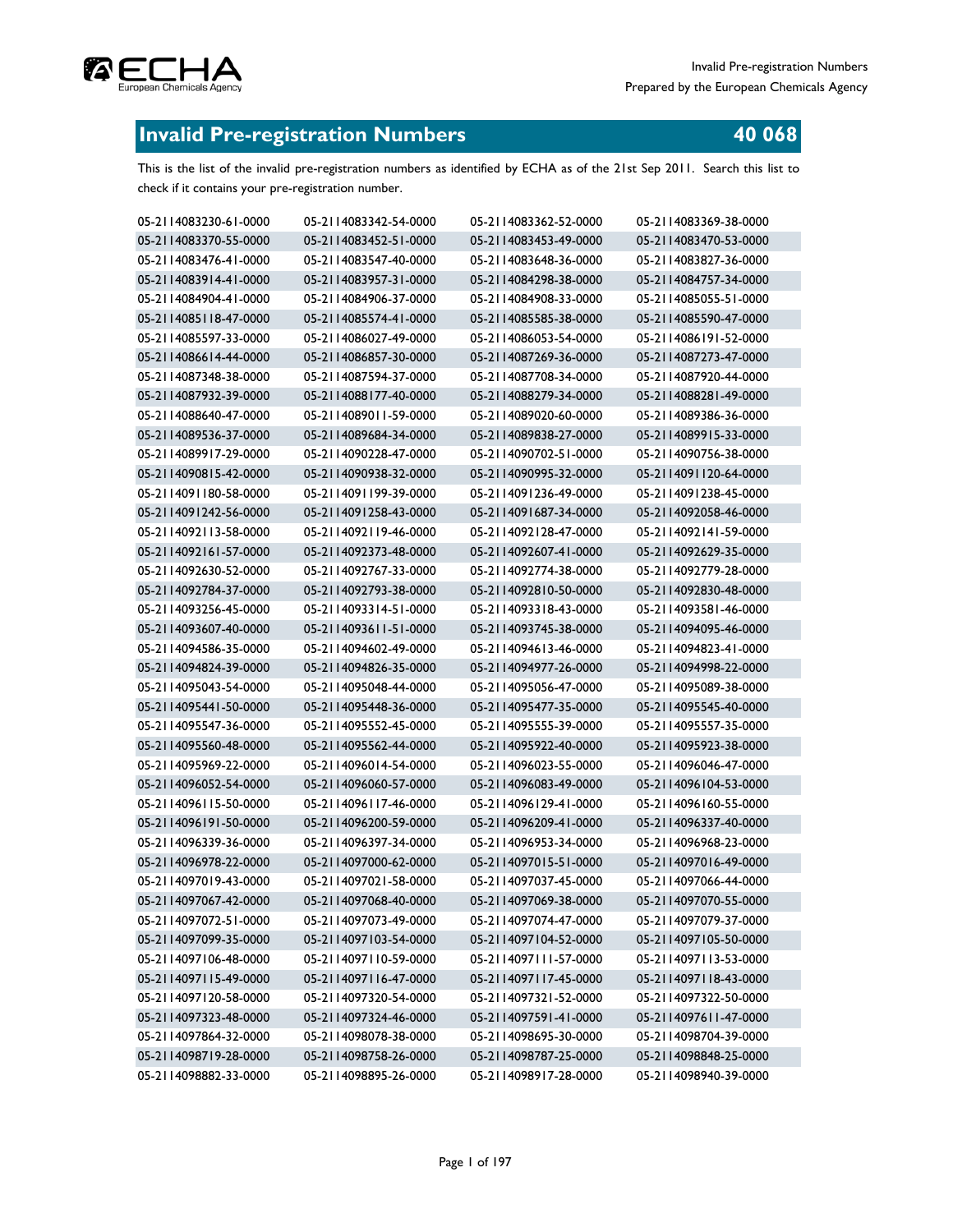# **Invalid Pre-registration Numbers**

This is the list of the invalid pre-registration numbers as identified by ECHA as of the 21st Sep 2011. Search this list to check if it contains your pre-registration number.

| 05-2114083230-61-0000 | 05-2114083342-54-0000 | 05-2114083362-52-0000 | 05-2114083369-38-0000 |
|-----------------------|-----------------------|-----------------------|-----------------------|
| 05-2114083370-55-0000 | 05-2114083452-51-0000 | 05-2114083453-49-0000 | 05-2114083470-53-0000 |
| 05-2114083476-41-0000 | 05-2114083547-40-0000 | 05-2114083648-36-0000 | 05-2114083827-36-0000 |
| 05-2114083914-41-0000 | 05-2114083957-31-0000 | 05-2114084298-38-0000 | 05-2114084757-34-0000 |
| 05-2114084904-41-0000 | 05-2114084906-37-0000 | 05-2114084908-33-0000 | 05-2114085055-51-0000 |
| 05-2114085118-47-0000 | 05-2114085574-41-0000 | 05-2114085585-38-0000 | 05-2114085590-47-0000 |
| 05-2114085597-33-0000 | 05-2114086027-49-0000 | 05-2114086053-54-0000 | 05-2114086191-52-0000 |
| 05-2114086614-44-0000 | 05-2114086857-30-0000 | 05-2114087269-36-0000 | 05-2114087273-47-0000 |
| 05-2114087348-38-0000 | 05-2114087594-37-0000 | 05-2114087708-34-0000 | 05-2114087920-44-0000 |
| 05-2114087932-39-0000 | 05-2114088177-40-0000 | 05-2114088279-34-0000 | 05-2114088281-49-0000 |
| 05-2114088640-47-0000 | 05-2114089011-59-0000 | 05-2114089020-60-0000 | 05-2114089386-36-0000 |
| 05-2114089536-37-0000 | 05-2114089684-34-0000 | 05-2114089838-27-0000 | 05-2114089915-33-0000 |
| 05-2114089917-29-0000 | 05-2114090228-47-0000 | 05-2114090702-51-0000 | 05-2114090756-38-0000 |
| 05-2114090815-42-0000 | 05-2114090938-32-0000 | 05-2114090995-32-0000 | 05-2114091120-64-0000 |
| 05-2114091180-58-0000 | 05-2114091199-39-0000 | 05-2114091236-49-0000 | 05-2114091238-45-0000 |
| 05-2114091242-56-0000 | 05-2114091258-43-0000 | 05-2114091687-34-0000 | 05-2114092058-46-0000 |
| 05-2114092113-58-0000 | 05-2114092119-46-0000 | 05-2114092128-47-0000 | 05-2114092141-59-0000 |
| 05-2114092161-57-0000 | 05-2114092373-48-0000 | 05-2114092607-41-0000 | 05-2114092629-35-0000 |
| 05-2114092630-52-0000 | 05-2114092767-33-0000 | 05-2114092774-38-0000 | 05-2114092779-28-0000 |
| 05-2114092784-37-0000 | 05-2114092793-38-0000 | 05-2114092810-50-0000 | 05-2114092830-48-0000 |
| 05-2114093256-45-0000 | 05-2114093314-51-0000 | 05-2114093318-43-0000 | 05-2114093581-46-0000 |
| 05-2114093607-40-0000 | 05-2114093611-51-0000 | 05-2114093745-38-0000 | 05-2114094095-46-0000 |
| 05-2114094586-35-0000 | 05-2114094602-49-0000 | 05-2114094613-46-0000 | 05-2114094823-41-0000 |
| 05-2114094824-39-0000 | 05-2114094826-35-0000 | 05-2114094977-26-0000 | 05-2114094998-22-0000 |
| 05-2114095043-54-0000 | 05-2114095048-44-0000 | 05-2114095056-47-0000 | 05-2114095089-38-0000 |
| 05-2114095441-50-0000 | 05-2114095448-36-0000 | 05-2114095477-35-0000 | 05-2114095545-40-0000 |
| 05-2114095547-36-0000 | 05-2114095552-45-0000 | 05-2114095555-39-0000 | 05-2114095557-35-0000 |
| 05-2114095560-48-0000 | 05-2114095562-44-0000 | 05-2114095922-40-0000 | 05-2114095923-38-0000 |
| 05-2114095969-22-0000 | 05-2114096014-54-0000 | 05-2114096023-55-0000 | 05-2114096046-47-0000 |
| 05-2114096052-54-0000 | 05-2114096060-57-0000 | 05-2114096083-49-0000 | 05-2114096104-53-0000 |
| 05-2114096115-50-0000 | 05-2114096117-46-0000 | 05-2114096129-41-0000 | 05-2114096160-55-0000 |
| 05-2114096191-50-0000 | 05-2114096200-59-0000 | 05-2114096209-41-0000 | 05-2114096337-40-0000 |
| 05-2114096339-36-0000 | 05-2114096397-34-0000 | 05-2114096953-34-0000 | 05-2114096968-23-0000 |
| 05-2114096978-22-0000 | 05-2114097000-62-0000 | 05-2114097015-51-0000 | 05-2114097016-49-0000 |
| 05-2114097019-43-0000 | 05-2114097021-58-0000 | 05-2114097037-45-0000 | 05-2114097066-44-0000 |
| 05-2114097067-42-0000 | 05-2114097068-40-0000 | 05-2114097069-38-0000 | 05-2114097070-55-0000 |
| 05-2114097072-51-0000 | 05-2114097073-49-0000 | 05-2114097074-47-0000 | 05-2114097079-37-0000 |
| 05-2114097099-35-0000 | 05-2114097103-54-0000 | 05-2114097104-52-0000 | 05-2114097105-50-0000 |
| 05-2114097106-48-0000 | 05-2114097110-59-0000 | 05-2114097111-57-0000 | 05-2114097113-53-0000 |
| 05-2114097115-49-0000 | 05-2114097116-47-0000 | 05-2114097117-45-0000 | 05-2114097118-43-0000 |
| 05-2114097120-58-0000 | 05-2114097320-54-0000 | 05-2114097321-52-0000 | 05-2114097322-50-0000 |
| 05-2114097323-48-0000 | 05-2114097324-46-0000 | 05-2114097591-41-0000 | 05-2114097611-47-0000 |
| 05-2114097864-32-0000 | 05-2114098078-38-0000 | 05-2114098695-30-0000 | 05-2114098704-39-0000 |
| 05-2114098719-28-0000 | 05-2114098758-26-0000 | 05-2114098787-25-0000 | 05-2114098848-25-0000 |
| 05-2114098882-33-0000 | 05-2114098895-26-0000 | 05-2114098917-28-0000 | 05-2114098940-39-0000 |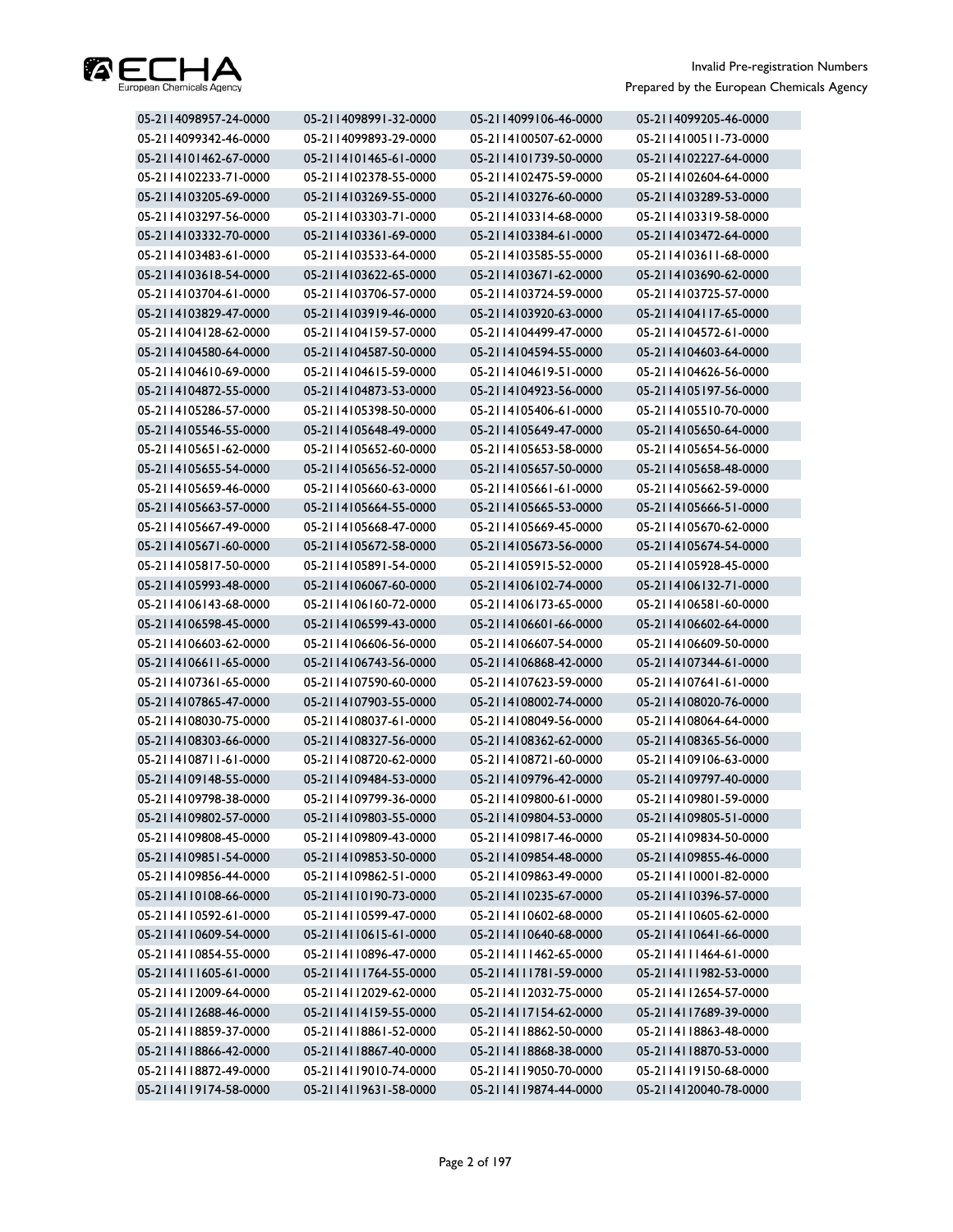

| 05-2114098957-24-0000 | 05-2114098991-32-0000 | 05-2114099106-46-0000 | 05-2114099205-46-0000 |
|-----------------------|-----------------------|-----------------------|-----------------------|
| 05-2114099342-46-0000 | 05-2114099893-29-0000 | 05-2114100507-62-0000 | 05-2114100511-73-0000 |
| 05-2114101462-67-0000 | 05-2114101465-61-0000 | 05-2114101739-50-0000 | 05-2114102227-64-0000 |
| 05-2114102233-71-0000 | 05-2114102378-55-0000 | 05-2114102475-59-0000 | 05-2114102604-64-0000 |
| 05-2114103205-69-0000 | 05-2114103269-55-0000 | 05-2114103276-60-0000 | 05-2114103289-53-0000 |
| 05-2114103297-56-0000 | 05-2114103303-71-0000 | 05-2114103314-68-0000 | 05-2114103319-58-0000 |
| 05-2114103332-70-0000 | 05-2114103361-69-0000 | 05-2114103384-61-0000 | 05-2114103472-64-0000 |
| 05-2114103483-61-0000 | 05-2114103533-64-0000 | 05-2114103585-55-0000 | 05-2114103611-68-0000 |
| 05-2114103618-54-0000 | 05-2114103622-65-0000 | 05-2114103671-62-0000 | 05-2114103690-62-0000 |
| 05-2114103704-61-0000 | 05-2114103706-57-0000 | 05-2114103724-59-0000 | 05-2114103725-57-0000 |
| 05-2114103829-47-0000 | 05-2114103919-46-0000 | 05-2114103920-63-0000 | 05-2114104117-65-0000 |
| 05-2114104128-62-0000 | 05-2114104159-57-0000 | 05-2114104499-47-0000 | 05-2114104572-61-0000 |
| 05-2114104580-64-0000 | 05-2114104587-50-0000 | 05-2114104594-55-0000 | 05-2114104603-64-0000 |
| 05-2114104610-69-0000 | 05-2114104615-59-0000 | 05-2114104619-51-0000 | 05-2114104626-56-0000 |
| 05-2114104872-55-0000 | 05-2114104873-53-0000 | 05-2114104923-56-0000 | 05-2114105197-56-0000 |
| 05-2114105286-57-0000 | 05-2114105398-50-0000 | 05-2114105406-61-0000 | 05-2114105510-70-0000 |
| 05-2114105546-55-0000 | 05-2114105648-49-0000 | 05-2114105649-47-0000 | 05-2114105650-64-0000 |
| 05-2114105651-62-0000 | 05-2114105652-60-0000 | 05-2114105653-58-0000 | 05-2114105654-56-0000 |
| 05-2114105655-54-0000 | 05-2114105656-52-0000 | 05-2114105657-50-0000 | 05-2114105658-48-0000 |
| 05-2114105659-46-0000 | 05-2114105660-63-0000 | 05-2114105661-61-0000 | 05-2114105662-59-0000 |
| 05-2114105663-57-0000 | 05-2114105664-55-0000 | 05-2114105665-53-0000 | 05-2114105666-51-0000 |
| 05-2114105667-49-0000 | 05-2114105668-47-0000 | 05-2114105669-45-0000 | 05-2114105670-62-0000 |
| 05-2114105671-60-0000 | 05-2114105672-58-0000 | 05-2114105673-56-0000 | 05-2114105674-54-0000 |
| 05-2114105817-50-0000 | 05-2114105891-54-0000 | 05-2114105915-52-0000 | 05-2114105928-45-0000 |
| 05-2114105993-48-0000 | 05-2114106067-60-0000 | 05-2114106102-74-0000 | 05-2114106132-71-0000 |
| 05-2114106143-68-0000 | 05-2114106160-72-0000 | 05-2114106173-65-0000 | 05-2114106581-60-0000 |
| 05-2114106598-45-0000 | 05-2114106599-43-0000 | 05-2114106601-66-0000 | 05-2114106602-64-0000 |
| 05-2114106603-62-0000 | 05-2114106606-56-0000 | 05-2114106607-54-0000 | 05-2114106609-50-0000 |
| 05-2114106611-65-0000 | 05-2114106743-56-0000 | 05-2114106868-42-0000 | 05-2114107344-61-0000 |
| 05-2114107361-65-0000 | 05-2114107590-60-0000 | 05-2114107623-59-0000 | 05-2114107641-61-0000 |
| 05-2114107865-47-0000 | 05-2114107903-55-0000 | 05-2114108002-74-0000 | 05-2114108020-76-0000 |
| 05-2114108030-75-0000 | 05-2114108037-61-0000 | 05-2114108049-56-0000 | 05-2114108064-64-0000 |
| 05-2114108303-66-0000 | 05-2114108327-56-0000 | 05-2114108362-62-0000 | 05-2114108365-56-0000 |
| 05-2114108711-61-0000 | 05-2114108720-62-0000 | 05-2114108721-60-0000 | 05-2114109106-63-0000 |
| 05-2114109148-55-0000 | 05-2114109484-53-0000 | 05-2114109796-42-0000 | 05-2114109797-40-0000 |
| 05-2114109798-38-0000 | 05-2114109799-36-0000 | 05-2114109800-61-0000 | 05-2114109801-59-0000 |
| 05-2114109802-57-0000 | 05-2114109803-55-0000 | 05-2114109804-53-0000 | 05-2114109805-51-0000 |
| 05-2114109808-45-0000 | 05-2114109809-43-0000 | 05-2114109817-46-0000 | 05-2114109834-50-0000 |
| 05-2114109851-54-0000 | 05-2114109853-50-0000 | 05-2114109854-48-0000 | 05-2114109855-46-0000 |
| 05-2114109856-44-0000 | 05-2114109862-51-0000 | 05-2114109863-49-0000 | 05-2114110001-82-0000 |
| 05-2114110108-66-0000 | 05-2114110190-73-0000 | 05-2114110235-67-0000 | 05-2114110396-57-0000 |
| 05-2114110592-61-0000 | 05-2114110599-47-0000 | 05-2114110602-68-0000 | 05-2114110605-62-0000 |
| 05-2114110609-54-0000 | 05-2114110615-61-0000 | 05-2114110640-68-0000 | 05-2114110641-66-0000 |
| 05-2114110854-55-0000 | 05-2114110896-47-0000 | 05-2114111462-65-0000 | 05-2114111464-61-0000 |
| 05-2114111605-61-0000 | 05-2114111764-55-0000 | 05-2114111781-59-0000 | 05-2114111982-53-0000 |
| 05-2114112009-64-0000 | 05-2114112029-62-0000 | 05-2114112032-75-0000 | 05-2114112654-57-0000 |
| 05-2114112688-46-0000 | 05-2114114159-55-0000 | 05-2114117154-62-0000 | 05-2114117689-39-0000 |
| 05-2114118859-37-0000 | 05-2114118861-52-0000 | 05-2114118862-50-0000 | 05-2114118863-48-0000 |
| 05-2114118866-42-0000 | 05-2114118867-40-0000 | 05-2114118868-38-0000 | 05-2114118870-53-0000 |
| 05-2114118872-49-0000 | 05-2114119010-74-0000 | 05-2114119050-70-0000 | 05-2114119150-68-0000 |
| 05-2114119174-58-0000 | 05-2114119631-58-0000 | 05-2114119874-44-0000 | 05-2114120040-78-0000 |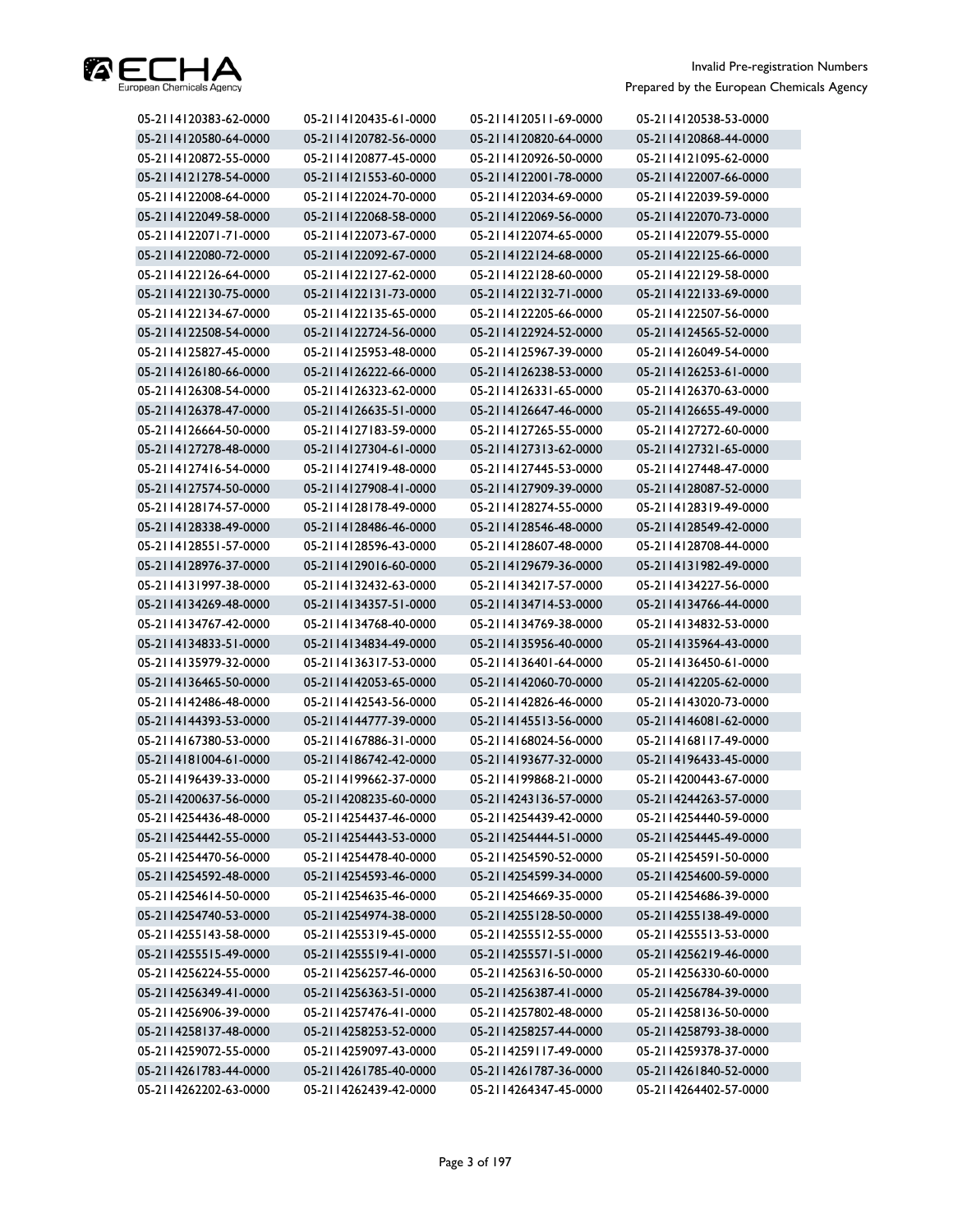

| 05-2114120383-62-0000 | 05-2114120435-61-0000 | 05-2114120511-69-0000 | 05-2114120538-53-0000 |
|-----------------------|-----------------------|-----------------------|-----------------------|
| 05-2114120580-64-0000 | 05-2114120782-56-0000 | 05-2114120820-64-0000 | 05-2114120868-44-0000 |
| 05-2114120872-55-0000 | 05-2114120877-45-0000 | 05-2114120926-50-0000 | 05-2114121095-62-0000 |
| 05-2114121278-54-0000 | 05-2114121553-60-0000 | 05-2114122001-78-0000 | 05-2114122007-66-0000 |
| 05-2114122008-64-0000 | 05-2114122024-70-0000 | 05-2114122034-69-0000 | 05-2114122039-59-0000 |
| 05-2114122049-58-0000 | 05-2114122068-58-0000 | 05-2114122069-56-0000 | 05-2114122070-73-0000 |
| 05-2114122071-71-0000 | 05-2114122073-67-0000 | 05-2114122074-65-0000 | 05-2114122079-55-0000 |
| 05-2114122080-72-0000 | 05-2114122092-67-0000 | 05-2114122124-68-0000 | 05-2114122125-66-0000 |
| 05-2114122126-64-0000 | 05-2114122127-62-0000 | 05-2114122128-60-0000 | 05-2114122129-58-0000 |
| 05-2114122130-75-0000 | 05-2114122131-73-0000 | 05-2114122132-71-0000 | 05-2114122133-69-0000 |
| 05-2114122134-67-0000 | 05-2114122135-65-0000 | 05-2114122205-66-0000 | 05-2114122507-56-0000 |
| 05-2114122508-54-0000 | 05-2114122724-56-0000 | 05-2114122924-52-0000 | 05-2114124565-52-0000 |
| 05-2114125827-45-0000 | 05-2114125953-48-0000 | 05-2114125967-39-0000 | 05-2114126049-54-0000 |
| 05-2114126180-66-0000 | 05-2114126222-66-0000 | 05-2114126238-53-0000 | 05-2114126253-61-0000 |
| 05-2114126308-54-0000 | 05-2114126323-62-0000 | 05-2114126331-65-0000 | 05-2114126370-63-0000 |
| 05-2114126378-47-0000 | 05-2114126635-51-0000 | 05-2114126647-46-0000 | 05-2114126655-49-0000 |
| 05-2114126664-50-0000 | 05-2114127183-59-0000 | 05-2114127265-55-0000 | 05-2114127272-60-0000 |
| 05-2114127278-48-0000 | 05-2114127304-61-0000 | 05-2114127313-62-0000 | 05-2114127321-65-0000 |
| 05-2114127416-54-0000 | 05-2114127419-48-0000 | 05-2114127445-53-0000 | 05-2114127448-47-0000 |
| 05-2114127574-50-0000 | 05-2114127908-41-0000 | 05-2114127909-39-0000 | 05-2114128087-52-0000 |
| 05-2114128174-57-0000 | 05-2114128178-49-0000 | 05-2114128274-55-0000 | 05-2114128319-49-0000 |
| 05-2114128338-49-0000 | 05-2114128486-46-0000 | 05-2114128546-48-0000 | 05-2114128549-42-0000 |
| 05-2114128551-57-0000 | 05-2114128596-43-0000 | 05-2114128607-48-0000 | 05-2114128708-44-0000 |
| 05-2114128976-37-0000 | 05-2114129016-60-0000 | 05-2114129679-36-0000 | 05-2114131982-49-0000 |
| 05-2114131997-38-0000 | 05-2114132432-63-0000 | 05-2114134217-57-0000 | 05-2114134227-56-0000 |
| 05-2114134269-48-0000 | 05-2114134357-51-0000 | 05-2114134714-53-0000 | 05-2114134766-44-0000 |
| 05-2114134767-42-0000 | 05-2114134768-40-0000 | 05-2114134769-38-0000 | 05-2114134832-53-0000 |
| 05-2114134833-51-0000 | 05-2114134834-49-0000 | 05-2114135956-40-0000 | 05-2114135964-43-0000 |
| 05-2114135979-32-0000 | 05-2114136317-53-0000 | 05-2114136401-64-0000 | 05-2114136450-61-0000 |
| 05-2114136465-50-0000 | 05-2114142053-65-0000 | 05-2114142060-70-0000 | 05-2114142205-62-0000 |
| 05-2114142486-48-0000 | 05-2114142543-56-0000 | 05-2114142826-46-0000 | 05-2114143020-73-0000 |
| 05-2114144393-53-0000 | 05-2114144777-39-0000 | 05-2114145513-56-0000 | 05-2114146081-62-0000 |
| 05-2114167380-53-0000 | 05-2114167886-31-0000 | 05-2114168024-56-0000 | 05-2114168117-49-0000 |
| 05-2114181004-61-0000 | 05-2114186742-42-0000 | 05-2114193677-32-0000 | 05-2114196433-45-0000 |
| 05-2114196439-33-0000 | 05-2114199662-37-0000 | 05-2114199868-21-0000 | 05-2114200443-67-0000 |
| 05-2114200637-56-0000 | 05-2114208235-60-0000 | 05-2114243136-57-0000 | 05-2114244263-57-0000 |
| 05-2114254436-48-0000 | 05-2114254437-46-0000 | 05-2114254439-42-0000 | 05-2114254440-59-0000 |
| 05-2114254442-55-0000 | 05-2114254443-53-0000 | 05-2114254444-51-0000 | 05-2114254445-49-0000 |
| 05-2114254470-56-0000 | 05-2114254478-40-0000 | 05-2114254590-52-0000 | 05-2114254591-50-0000 |
| 05-2114254592-48-0000 | 05-2114254593-46-0000 | 05-2114254599-34-0000 | 05-2114254600-59-0000 |
| 05-2114254614-50-0000 | 05-2114254635-46-0000 | 05-2114254669-35-0000 | 05-2114254686-39-0000 |
| 05-2114254740-53-0000 | 05-2114254974-38-0000 | 05-2114255128-50-0000 | 05-2114255138-49-0000 |
| 05-2114255143-58-0000 | 05-2114255319-45-0000 | 05-2114255512-55-0000 | 05-2114255513-53-0000 |
| 05-2114255515-49-0000 | 05-2114255519-41-0000 | 05-2114255571-51-0000 | 05-2114256219-46-0000 |
| 05-2114256224-55-0000 | 05-2114256257-46-0000 | 05-2114256316-50-0000 | 05-2114256330-60-0000 |
| 05-2114256349-41-0000 | 05-2114256363-51-0000 | 05-2114256387-41-0000 | 05-2114256784-39-0000 |
| 05-2114256906-39-0000 | 05-2114257476-41-0000 | 05-2114257802-48-0000 | 05-2114258136-50-0000 |
| 05-2114258137-48-0000 | 05-2114258253-52-0000 | 05-2114258257-44-0000 | 05-2114258793-38-0000 |
| 05-2114259072-55-0000 | 05-2114259097-43-0000 | 05-2114259117-49-0000 | 05-2114259378-37-0000 |
| 05-2114261783-44-0000 | 05-2114261785-40-0000 | 05-2114261787-36-0000 | 05-2114261840-52-0000 |
| 05-2114262202-63-0000 | 05-2114262439-42-0000 | 05-2114264347-45-0000 | 05-2114264402-57-0000 |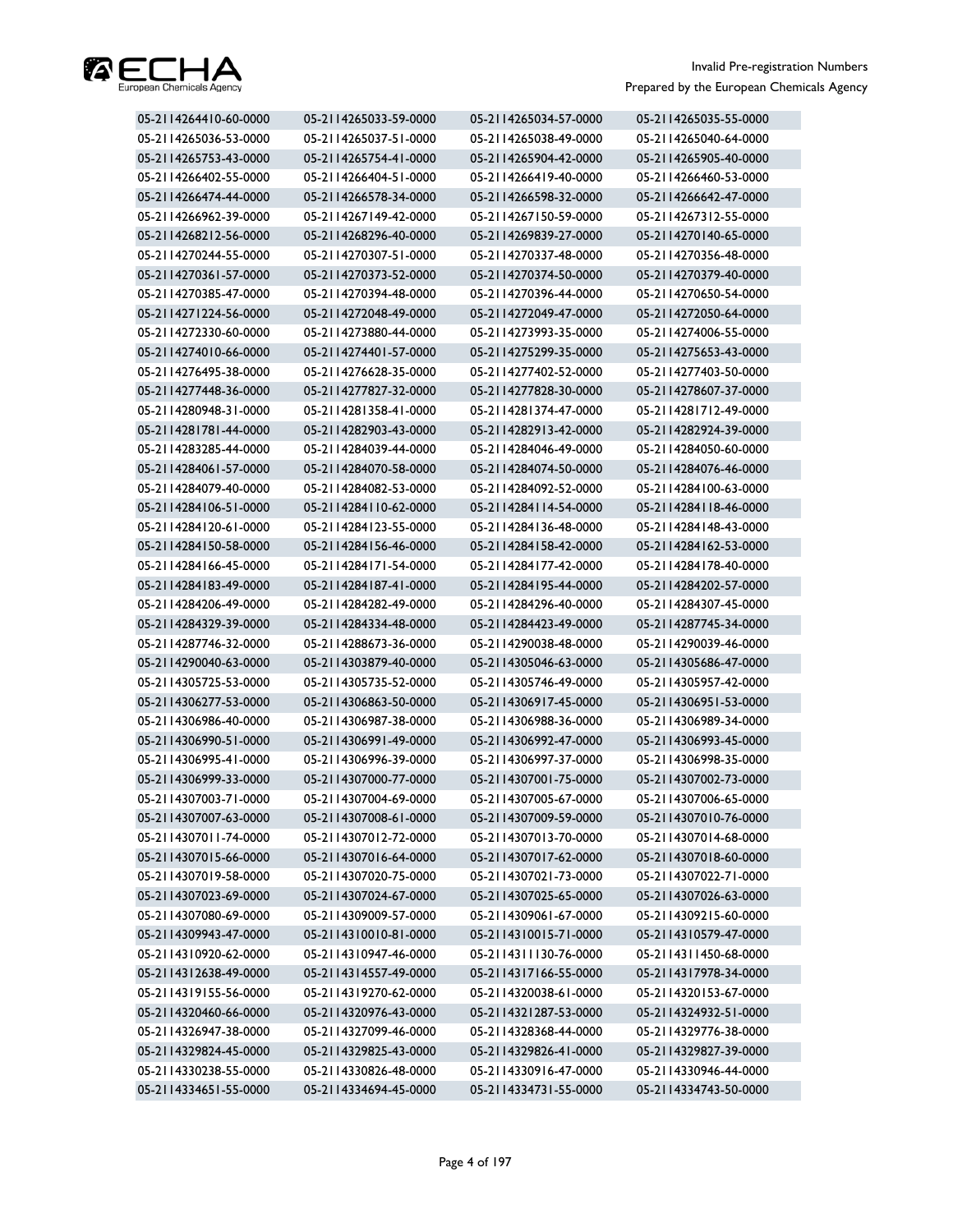

| 05-2114264410-60-0000 | 05-2114265033-59-0000 | 05-2114265034-57-0000 | 05-2114265035-55-0000 |
|-----------------------|-----------------------|-----------------------|-----------------------|
| 05-2114265036-53-0000 | 05-2114265037-51-0000 | 05-2114265038-49-0000 | 05-2114265040-64-0000 |
| 05-2114265753-43-0000 | 05-2114265754-41-0000 | 05-2114265904-42-0000 | 05-2114265905-40-0000 |
| 05-2114266402-55-0000 | 05-2114266404-51-0000 | 05-2114266419-40-0000 | 05-2114266460-53-0000 |
| 05-2114266474-44-0000 | 05-2114266578-34-0000 | 05-2114266598-32-0000 | 05-2114266642-47-0000 |
| 05-2114266962-39-0000 | 05-2114267149-42-0000 | 05-2114267150-59-0000 | 05-2114267312-55-0000 |
| 05-2114268212-56-0000 | 05-2114268296-40-0000 | 05-2114269839-27-0000 | 05-2114270140-65-0000 |
| 05-2114270244-55-0000 | 05-2114270307-51-0000 | 05-2114270337-48-0000 | 05-2114270356-48-0000 |
| 05-2114270361-57-0000 | 05-2114270373-52-0000 | 05-2114270374-50-0000 | 05-2114270379-40-0000 |
| 05-2114270385-47-0000 | 05-2114270394-48-0000 | 05-2114270396-44-0000 | 05-2114270650-54-0000 |
| 05-2114271224-56-0000 | 05-2114272048-49-0000 | 05-2114272049-47-0000 | 05-2114272050-64-0000 |
| 05-2114272330-60-0000 | 05-2114273880-44-0000 | 05-2114273993-35-0000 | 05-2114274006-55-0000 |
| 05-2114274010-66-0000 | 05-2114274401-57-0000 | 05-2114275299-35-0000 | 05-2114275653-43-0000 |
| 05-2114276495-38-0000 | 05-2114276628-35-0000 | 05-2114277402-52-0000 | 05-2114277403-50-0000 |
| 05-2114277448-36-0000 | 05-2114277827-32-0000 | 05-2114277828-30-0000 | 05-2114278607-37-0000 |
| 05-2114280948-31-0000 | 05-2114281358-41-0000 | 05-2114281374-47-0000 | 05-2114281712-49-0000 |
| 05-2114281781-44-0000 | 05-2114282903-43-0000 | 05-2114282913-42-0000 | 05-2114282924-39-0000 |
| 05-2114283285-44-0000 | 05-2114284039-44-0000 | 05-2114284046-49-0000 | 05-2114284050-60-0000 |
| 05-2114284061-57-0000 | 05-2114284070-58-0000 | 05-2114284074-50-0000 | 05-2114284076-46-0000 |
| 05-2114284079-40-0000 | 05-2114284082-53-0000 | 05-2114284092-52-0000 | 05-2114284100-63-0000 |
| 05-2114284106-51-0000 | 05-2114284110-62-0000 | 05-2114284114-54-0000 | 05-2114284118-46-0000 |
| 05-2114284120-61-0000 | 05-2114284123-55-0000 | 05-2114284136-48-0000 | 05-2114284148-43-0000 |
| 05-2114284150-58-0000 | 05-2114284156-46-0000 | 05-2114284158-42-0000 | 05-2114284162-53-0000 |
| 05-2114284166-45-0000 | 05-2114284171-54-0000 | 05-2114284177-42-0000 | 05-2114284178-40-0000 |
| 05-2114284183-49-0000 | 05-2114284187-41-0000 | 05-2114284195-44-0000 | 05-2114284202-57-0000 |
| 05-2114284206-49-0000 | 05-2114284282-49-0000 | 05-2114284296-40-0000 | 05-2114284307-45-0000 |
| 05-2114284329-39-0000 | 05-2114284334-48-0000 | 05-2114284423-49-0000 | 05-2114287745-34-0000 |
| 05-2114287746-32-0000 | 05-2114288673-36-0000 | 05-2114290038-48-0000 | 05-2114290039-46-0000 |
| 05-2114290040-63-0000 | 05-2114303879-40-0000 | 05-2114305046-63-0000 | 05-2114305686-47-0000 |
| 05-2114305725-53-0000 | 05-2114305735-52-0000 | 05-2114305746-49-0000 | 05-2114305957-42-0000 |
| 05-2114306277-53-0000 | 05-2114306863-50-0000 | 05-2114306917-45-0000 | 05-2114306951-53-0000 |
| 05-2114306986-40-0000 | 05-2114306987-38-0000 | 05-2114306988-36-0000 | 05-2114306989-34-0000 |
| 05-2114306990-51-0000 | 05-2114306991-49-0000 | 05-2114306992-47-0000 | 05-2114306993-45-0000 |
| 05-2114306995-41-0000 | 05-2114306996-39-0000 | 05-2114306997-37-0000 | 05-2114306998-35-0000 |
| 05-2114306999-33-0000 | 05-2114307000-77-0000 | 05-2114307001-75-0000 | 05-2114307002-73-0000 |
| 05-2114307003-71-0000 | 05-2114307004-69-0000 | 05-2114307005-67-0000 | 05-2114307006-65-0000 |
| 05-2114307007-63-0000 | 05-2114307008-61-0000 | 05-2114307009-59-0000 | 05-2114307010-76-0000 |
| 05-2114307011-74-0000 | 05-2114307012-72-0000 | 05-2114307013-70-0000 | 05-2114307014-68-0000 |
| 05-2114307015-66-0000 | 05-2114307016-64-0000 | 05-2114307017-62-0000 | 05-2114307018-60-0000 |
| 05-2114307019-58-0000 | 05-2114307020-75-0000 | 05-2114307021-73-0000 | 05-2114307022-71-0000 |
| 05-2114307023-69-0000 | 05-2114307024-67-0000 | 05-2114307025-65-0000 | 05-2114307026-63-0000 |
| 05-2114307080-69-0000 | 05-2114309009-57-0000 | 05-2114309061-67-0000 | 05-2114309215-60-0000 |
| 05-2114309943-47-0000 | 05-2114310010-81-0000 | 05-2114310015-71-0000 | 05-2114310579-47-0000 |
| 05-2114310920-62-0000 | 05-2114310947-46-0000 | 05-2114311130-76-0000 | 05-2114311450-68-0000 |
| 05-2114312638-49-0000 | 05-2114314557-49-0000 | 05-2114317166-55-0000 | 05-2114317978-34-0000 |
| 05-2114319155-56-0000 | 05-2114319270-62-0000 | 05-2114320038-61-0000 | 05-2114320153-67-0000 |
| 05-2114320460-66-0000 | 05-2114320976-43-0000 | 05-2114321287-53-0000 | 05-2114324932-51-0000 |
| 05-2114326947-38-0000 | 05-2114327099-46-0000 | 05-2114328368-44-0000 | 05-2114329776-38-0000 |
| 05-2114329824-45-0000 | 05-2114329825-43-0000 | 05-2114329826-41-0000 | 05-2114329827-39-0000 |
| 05-2114330238-55-0000 | 05-2114330826-48-0000 | 05-2114330916-47-0000 | 05-2114330946-44-0000 |
| 05-2114334651-55-0000 | 05-2114334694-45-0000 | 05-2114334731-55-0000 | 05-2114334743-50-0000 |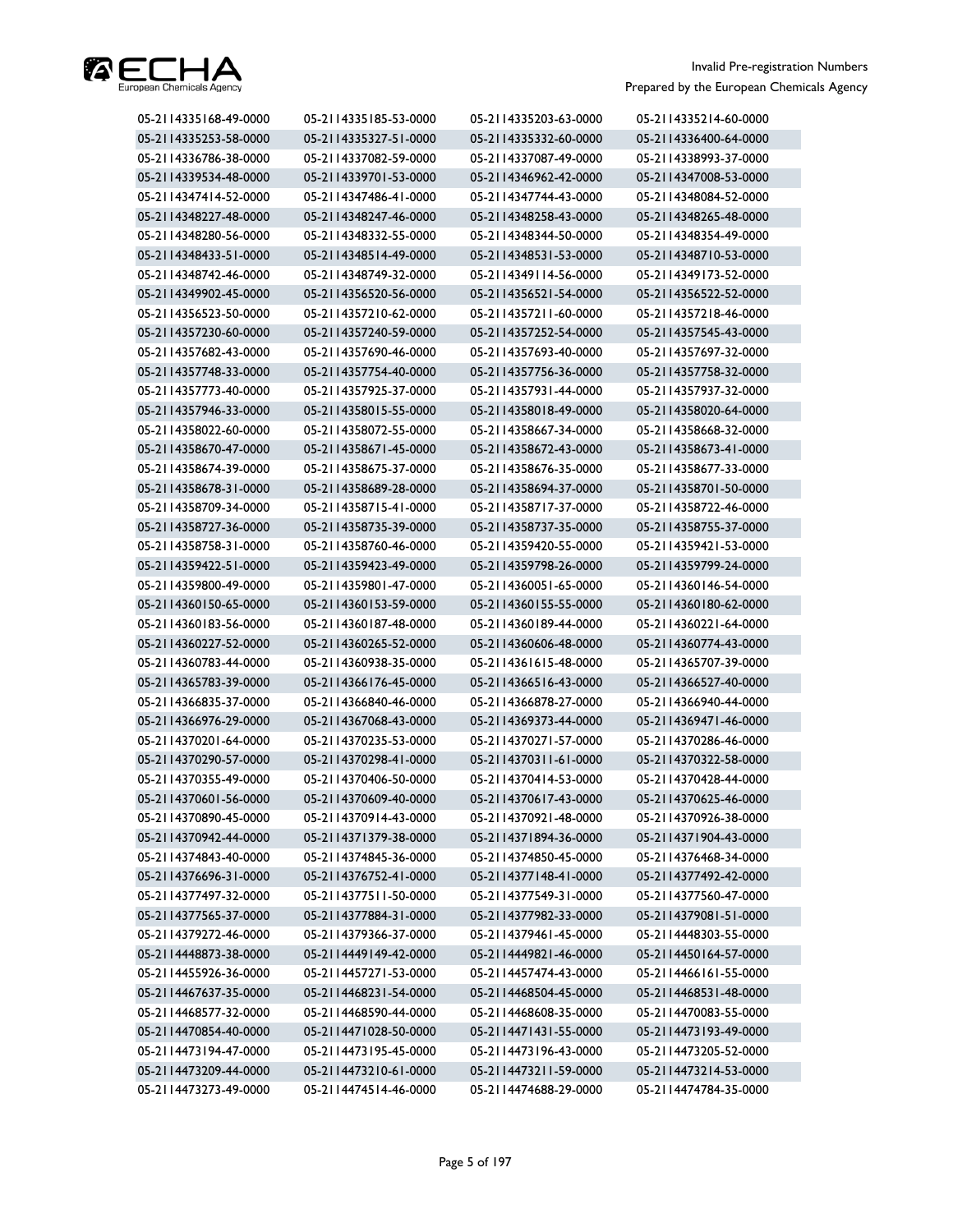

| 05-2114335168-49-0000 | 05-2114335185-53-0000 | 05-2114335203-63-0000 | 05-2114335214-60-0000 |
|-----------------------|-----------------------|-----------------------|-----------------------|
| 05-2114335253-58-0000 | 05-2114335327-51-0000 | 05-2114335332-60-0000 | 05-2114336400-64-0000 |
| 05-2114336786-38-0000 | 05-2114337082-59-0000 | 05-2114337087-49-0000 | 05-2114338993-37-0000 |
| 05-2114339534-48-0000 | 05-2114339701-53-0000 | 05-2114346962-42-0000 | 05-2114347008-53-0000 |
| 05-2114347414-52-0000 | 05-2114347486-41-0000 | 05-2114347744-43-0000 | 05-2114348084-52-0000 |
| 05-2114348227-48-0000 | 05-2114348247-46-0000 | 05-2114348258-43-0000 | 05-2114348265-48-0000 |
| 05-2114348280-56-0000 | 05-2114348332-55-0000 | 05-2114348344-50-0000 | 05-2114348354-49-0000 |
| 05-2114348433-51-0000 | 05-2114348514-49-0000 | 05-2114348531-53-0000 | 05-2114348710-53-0000 |
| 05-2114348742-46-0000 | 05-2114348749-32-0000 | 05-2114349114-56-0000 | 05-2114349173-52-0000 |
| 05-2114349902-45-0000 | 05-2114356520-56-0000 | 05-2114356521-54-0000 | 05-2114356522-52-0000 |
| 05-2114356523-50-0000 | 05-2114357210-62-0000 | 05-2114357211-60-0000 | 05-2114357218-46-0000 |
| 05-2114357230-60-0000 | 05-2114357240-59-0000 | 05-2114357252-54-0000 | 05-2114357545-43-0000 |
| 05-2114357682-43-0000 | 05-2114357690-46-0000 | 05-2114357693-40-0000 | 05-2114357697-32-0000 |
| 05-2114357748-33-0000 | 05-2114357754-40-0000 | 05-2114357756-36-0000 | 05-2114357758-32-0000 |
| 05-2114357773-40-0000 | 05-2114357925-37-0000 | 05-2114357931-44-0000 | 05-2114357937-32-0000 |
| 05-2114357946-33-0000 | 05-2114358015-55-0000 | 05-2114358018-49-0000 | 05-2114358020-64-0000 |
| 05-2114358022-60-0000 | 05-2114358072-55-0000 | 05-2114358667-34-0000 | 05-2114358668-32-0000 |
| 05-2114358670-47-0000 | 05-2114358671-45-0000 | 05-2114358672-43-0000 | 05-2114358673-41-0000 |
| 05-2114358674-39-0000 | 05-2114358675-37-0000 | 05-2114358676-35-0000 | 05-2114358677-33-0000 |
| 05-2114358678-31-0000 | 05-2114358689-28-0000 | 05-2114358694-37-0000 | 05-2114358701-50-0000 |
| 05-2114358709-34-0000 | 05-2114358715-41-0000 | 05-2114358717-37-0000 | 05-2114358722-46-0000 |
| 05-2114358727-36-0000 | 05-2114358735-39-0000 | 05-2114358737-35-0000 | 05-2114358755-37-0000 |
| 05-2114358758-31-0000 | 05-2114358760-46-0000 | 05-2114359420-55-0000 | 05-2114359421-53-0000 |
| 05-2114359422-51-0000 | 05-2114359423-49-0000 | 05-2114359798-26-0000 | 05-2114359799-24-0000 |
| 05-2114359800-49-0000 | 05-2114359801-47-0000 | 05-2114360051-65-0000 | 05-2114360146-54-0000 |
| 05-2114360150-65-0000 | 05-2114360153-59-0000 | 05-2114360155-55-0000 | 05-2114360180-62-0000 |
| 05-2114360183-56-0000 | 05-2114360187-48-0000 | 05-2114360189-44-0000 | 05-2114360221-64-0000 |
| 05-2114360227-52-0000 | 05-2114360265-52-0000 | 05-2114360606-48-0000 | 05-2114360774-43-0000 |
| 05-2114360783-44-0000 | 05-2114360938-35-0000 | 05-2114361615-48-0000 | 05-2114365707-39-0000 |
| 05-2114365783-39-0000 | 05-2114366176-45-0000 | 05-2114366516-43-0000 | 05-2114366527-40-0000 |
| 05-2114366835-37-0000 | 05-2114366840-46-0000 | 05-2114366878-27-0000 | 05-2114366940-44-0000 |
| 05-2114366976-29-0000 | 05-2114367068-43-0000 | 05-2114369373-44-0000 | 05-2114369471-46-0000 |
| 05-2114370201-64-0000 | 05-2114370235-53-0000 | 05-2114370271-57-0000 | 05-2114370286-46-0000 |
| 05-2114370290-57-0000 | 05-2114370298-41-0000 | 05-2114370311-61-0000 | 05-2114370322-58-0000 |
| 05-2114370355-49-0000 | 05-2114370406-50-0000 | 05-2114370414-53-0000 | 05-2114370428-44-0000 |
| 05-2114370601-56-0000 | 05-2114370609-40-0000 | 05-2114370617-43-0000 | 05-2114370625-46-0000 |
| 05-2114370890-45-0000 | 05-2114370914-43-0000 | 05-2114370921-48-0000 | 05-2114370926-38-0000 |
| 05-2114370942-44-0000 | 05-2114371379-38-0000 | 05-2114371894-36-0000 | 05-2114371904-43-0000 |
| 05-2114374843-40-0000 | 05-2114374845-36-0000 | 05-2114374850-45-0000 | 05-2114376468-34-0000 |
| 05-2114376696-31-0000 | 05-2114376752-41-0000 | 05-2114377148-41-0000 | 05-2114377492-42-0000 |
| 05-2114377497-32-0000 | 05-2114377511-50-0000 | 05-2114377549-31-0000 | 05-2114377560-47-0000 |
| 05-2114377565-37-0000 | 05-2114377884-31-0000 | 05-2114377982-33-0000 | 05-2114379081-51-0000 |
| 05-2114379272-46-0000 | 05-2114379366-37-0000 | 05-2114379461-45-0000 | 05-2114448303-55-0000 |
| 05-2114448873-38-0000 | 05-2114449149-42-0000 | 05-2114449821-46-0000 | 05-2114450164-57-0000 |
| 05-2114455926-36-0000 | 05-2114457271-53-0000 | 05-2114457474-43-0000 | 05-2114466161-55-0000 |
| 05-2114467637-35-0000 | 05-2114468231-54-0000 | 05-2114468504-45-0000 | 05-2114468531-48-0000 |
| 05-2114468577-32-0000 | 05-2114468590-44-0000 | 05-2114468608-35-0000 | 05-2114470083-55-0000 |
| 05-2114470854-40-0000 | 05-2114471028-50-0000 | 05-2114471431-55-0000 | 05-2114473193-49-0000 |
| 05-2114473194-47-0000 | 05-2114473195-45-0000 | 05-2114473196-43-0000 | 05-2114473205-52-0000 |
| 05-2114473209-44-0000 | 05-2114473210-61-0000 | 05-2114473211-59-0000 | 05-2114473214-53-0000 |
| 05-2114473273-49-0000 | 05-2114474514-46-0000 | 05-2114474688-29-0000 | 05-2114474784-35-0000 |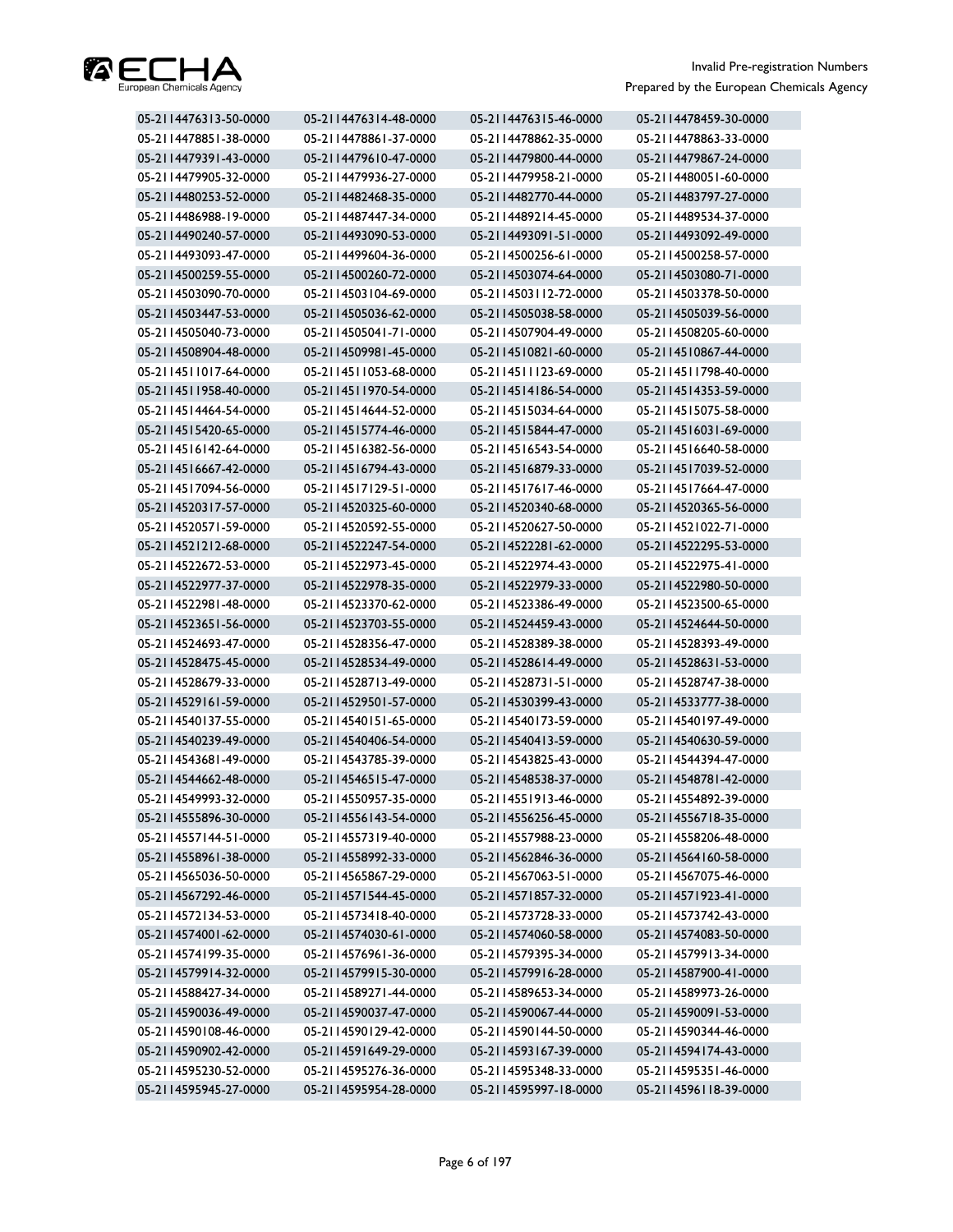

| 05-2114476313-50-0000 | 05-2114476314-48-0000 | 05-2114476315-46-0000 | 05-2114478459-30-0000 |
|-----------------------|-----------------------|-----------------------|-----------------------|
| 05-2114478851-38-0000 | 05-2114478861-37-0000 | 05-2114478862-35-0000 | 05-2114478863-33-0000 |
| 05-2114479391-43-0000 | 05-2114479610-47-0000 | 05-2114479800-44-0000 | 05-2114479867-24-0000 |
| 05-2114479905-32-0000 | 05-2114479936-27-0000 | 05-2114479958-21-0000 | 05-2114480051-60-0000 |
| 05-2114480253-52-0000 | 05-2114482468-35-0000 | 05-2114482770-44-0000 | 05-2114483797-27-0000 |
| 05-2114486988-19-0000 | 05-2114487447-34-0000 | 05-2114489214-45-0000 | 05-2114489534-37-0000 |
| 05-2114490240-57-0000 | 05-2114493090-53-0000 | 05-2114493091-51-0000 | 05-2114493092-49-0000 |
| 05-2114493093-47-0000 | 05-2114499604-36-0000 | 05-2114500256-61-0000 | 05-2114500258-57-0000 |
| 05-2114500259-55-0000 | 05-2114500260-72-0000 | 05-2114503074-64-0000 | 05-2114503080-71-0000 |
| 05-2114503090-70-0000 | 05-2114503104-69-0000 | 05-2114503112-72-0000 | 05-2114503378-50-0000 |
| 05-2114503447-53-0000 | 05-2114505036-62-0000 | 05-2114505038-58-0000 | 05-2114505039-56-0000 |
| 05-2114505040-73-0000 | 05-2114505041-71-0000 | 05-2114507904-49-0000 | 05-2114508205-60-0000 |
| 05-2114508904-48-0000 | 05-2114509981-45-0000 | 05-2114510821-60-0000 | 05-2114510867-44-0000 |
| 05-2114511017-64-0000 | 05-2114511053-68-0000 | 05-2114511123-69-0000 | 05-2114511798-40-0000 |
| 05-2114511958-40-0000 | 05-2114511970-54-0000 | 05-2114514186-54-0000 | 05-2114514353-59-0000 |
| 05-2114514464-54-0000 | 05-2114514644-52-0000 | 05-2114515034-64-0000 | 05-2114515075-58-0000 |
| 05-2114515420-65-0000 | 05-2114515774-46-0000 | 05-2114515844-47-0000 | 05-2114516031-69-0000 |
| 05-2114516142-64-0000 | 05-2114516382-56-0000 | 05-2114516543-54-0000 | 05-2114516640-58-0000 |
| 05-2114516667-42-0000 | 05-2114516794-43-0000 | 05-2114516879-33-0000 | 05-2114517039-52-0000 |
| 05-2114517094-56-0000 | 05-2114517129-51-0000 | 05-2114517617-46-0000 | 05-2114517664-47-0000 |
| 05-2114520317-57-0000 | 05-2114520325-60-0000 | 05-2114520340-68-0000 | 05-2114520365-56-0000 |
| 05-2114520571-59-0000 | 05-2114520592-55-0000 | 05-2114520627-50-0000 | 05-2114521022-71-0000 |
| 05-2114521212-68-0000 | 05-2114522247-54-0000 | 05-2114522281-62-0000 | 05-2114522295-53-0000 |
| 05-2114522672-53-0000 | 05-2114522973-45-0000 | 05-2114522974-43-0000 | 05-2114522975-41-0000 |
| 05-2114522977-37-0000 | 05-2114522978-35-0000 | 05-2114522979-33-0000 | 05-2114522980-50-0000 |
| 05-2114522981-48-0000 | 05-2114523370-62-0000 | 05-2114523386-49-0000 | 05-2114523500-65-0000 |
| 05-2114523651-56-0000 | 05-2114523703-55-0000 | 05-2114524459-43-0000 | 05-2114524644-50-0000 |
| 05-2114524693-47-0000 | 05-2114528356-47-0000 | 05-2114528389-38-0000 | 05-2114528393-49-0000 |
| 05-2114528475-45-0000 | 05-2114528534-49-0000 | 05-2114528614-49-0000 | 05-2114528631-53-0000 |
| 05-2114528679-33-0000 | 05-2114528713-49-0000 | 05-2114528731-51-0000 | 05-2114528747-38-0000 |
| 05-2114529161-59-0000 | 05-2114529501-57-0000 | 05-2114530399-43-0000 | 05-2114533777-38-0000 |
| 05-2114540137-55-0000 | 05-2114540151-65-0000 | 05-2114540173-59-0000 | 05-2114540197-49-0000 |
| 05-2114540239-49-0000 | 05-2114540406-54-0000 | 05-2114540413-59-0000 | 05-2114540630-59-0000 |
| 05-2114543681-49-0000 | 05-2114543785-39-0000 | 05-2114543825-43-0000 | 05-2114544394-47-0000 |
| 05-2114544662-48-0000 | 05-2114546515-47-0000 | 05-2114548538-37-0000 | 05-2114548781-42-0000 |
| 05-2114549993-32-0000 | 05-2114550957-35-0000 | 05-2114551913-46-0000 | 05-2114554892-39-0000 |
| 05-2114555896-30-0000 | 05-2114556143-54-0000 | 05-2114556256-45-0000 | 05-2114556718-35-0000 |
| 05-2114557144-51-0000 | 05-2114557319-40-0000 | 05-2114557988-23-0000 | 05-2114558206-48-0000 |
| 05-2114558961-38-0000 | 05-2114558992-33-0000 | 05-2114562846-36-0000 | 05-2114564160-58-0000 |
| 05-2114565036-50-0000 | 05-2114565867-29-0000 | 05-2114567063-51-0000 | 05-2114567075-46-0000 |
| 05-2114567292-46-0000 | 05-2114571544-45-0000 | 05-2114571857-32-0000 | 05-2114571923-41-0000 |
| 05-2114572134-53-0000 | 05-2114573418-40-0000 | 05-2114573728-33-0000 | 05-2114573742-43-0000 |
| 05-2114574001-62-0000 | 05-2114574030-61-0000 | 05-2114574060-58-0000 | 05-2114574083-50-0000 |
| 05-2114574199-35-0000 | 05-2114576961-36-0000 | 05-2114579395-34-0000 | 05-2114579913-34-0000 |
| 05-2114579914-32-0000 | 05-2114579915-30-0000 | 05-2114579916-28-0000 | 05-2114587900-41-0000 |
| 05-2114588427-34-0000 | 05-2114589271-44-0000 | 05-2114589653-34-0000 | 05-2114589973-26-0000 |
| 05-2114590036-49-0000 | 05-2114590037-47-0000 | 05-2114590067-44-0000 | 05-2114590091-53-0000 |
| 05-2114590108-46-0000 | 05-2114590129-42-0000 | 05-2114590144-50-0000 | 05-2114590344-46-0000 |
| 05-2114590902-42-0000 | 05-2114591649-29-0000 | 05-2114593167-39-0000 | 05-2114594174-43-0000 |
| 05-2114595230-52-0000 | 05-2114595276-36-0000 | 05-2114595348-33-0000 | 05-2114595351-46-0000 |
| 05-2114595945-27-0000 | 05-2114595954-28-0000 | 05-2114595997-18-0000 | 05-2114596118-39-0000 |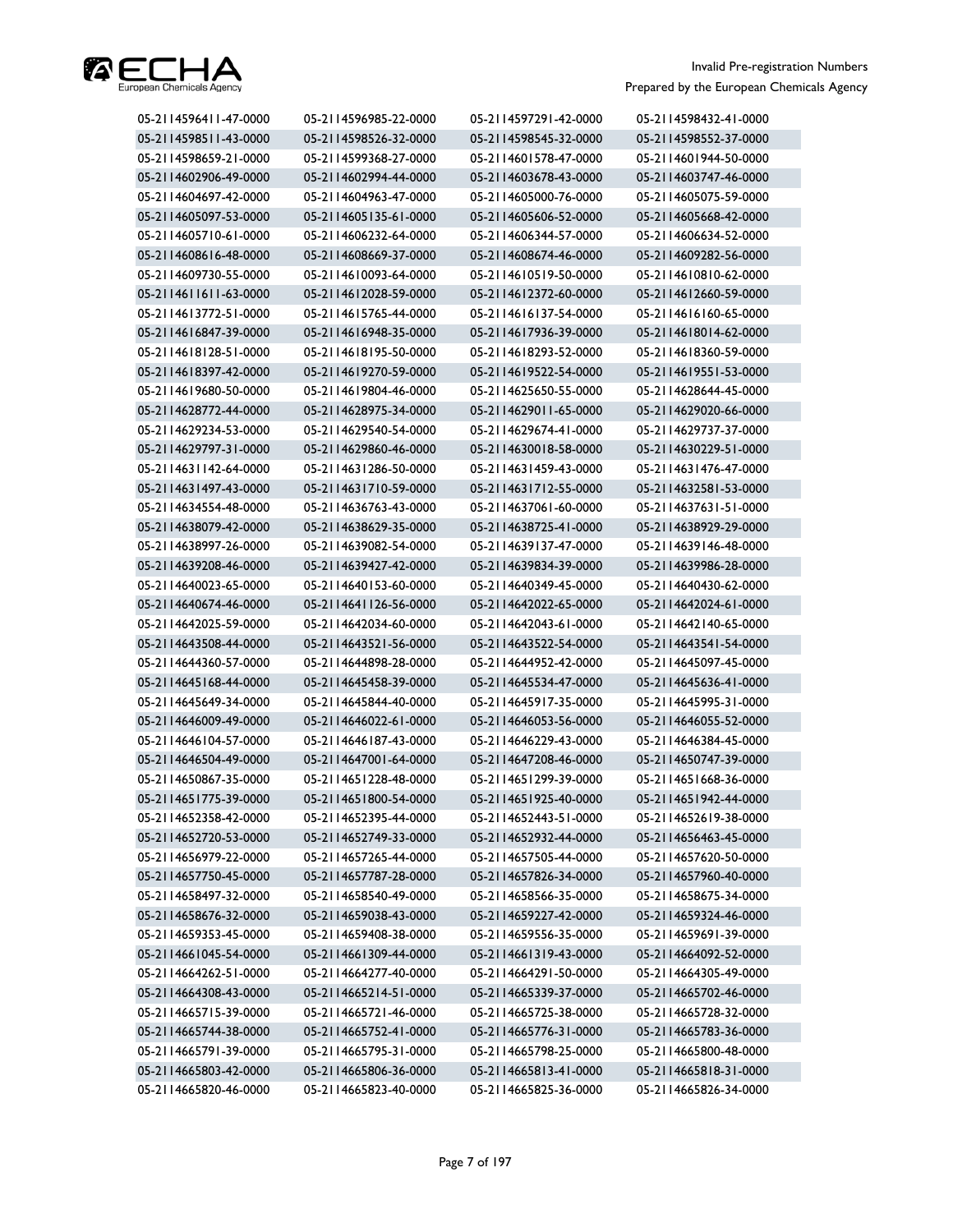

| 05-2114596411-47-0000<br>05-2114596985-22-0000<br>05-2114597291-42-0000 | 05-2114598432-41-0000 |
|-------------------------------------------------------------------------|-----------------------|
| 05-2114598511-43-0000<br>05-2114598526-32-0000<br>05-2114598545-32-0000 | 05-2114598552-37-0000 |
| 05-2114598659-21-0000<br>05-2114599368-27-0000<br>05-2114601578-47-0000 | 05-2114601944-50-0000 |
| 05-2114602906-49-0000<br>05-2114602994-44-0000<br>05-2114603678-43-0000 | 05-2114603747-46-0000 |
| 05-2114604697-42-0000<br>05-2114604963-47-0000<br>05-2114605000-76-0000 | 05-2114605075-59-0000 |
| 05-2114605097-53-0000<br>05-2114605135-61-0000<br>05-2114605606-52-0000 | 05-2114605668-42-0000 |
| 05-2114605710-61-0000<br>05-2114606232-64-0000<br>05-2114606344-57-0000 | 05-2114606634-52-0000 |
| 05-2114608616-48-0000<br>05-2114608669-37-0000<br>05-2114608674-46-0000 | 05-2114609282-56-0000 |
| 05-2114609730-55-0000<br>05-2114610093-64-0000<br>05-2114610519-50-0000 | 05-2114610810-62-0000 |
| 05-2114611611-63-0000<br>05-2114612028-59-0000<br>05-2114612372-60-0000 | 05-2114612660-59-0000 |
| 05-2114613772-51-0000<br>05-2114615765-44-0000<br>05-2114616137-54-0000 | 05-2114616160-65-0000 |
| 05-2114616847-39-0000<br>05-2114616948-35-0000<br>05-2114617936-39-0000 | 05-2114618014-62-0000 |
| 05-2114618128-51-0000<br>05-2114618195-50-0000<br>05-2114618293-52-0000 | 05-2114618360-59-0000 |
| 05-2114619522-54-0000<br>05-2114618397-42-0000<br>05-2114619270-59-0000 | 05-2114619551-53-0000 |
| 05-2114619680-50-0000<br>05-2114619804-46-0000<br>05-2114625650-55-0000 | 05-2114628644-45-0000 |
| 05-2114628772-44-0000<br>05-2114628975-34-0000<br>05-2114629011-65-0000 | 05-2114629020-66-0000 |
| 05-2114629234-53-0000<br>05-2114629540-54-0000<br>05-2114629674-41-0000 | 05-2114629737-37-0000 |
| 05-2114629797-31-0000<br>05-2114629860-46-0000<br>05-2114630018-58-0000 | 05-2114630229-51-0000 |
| 05-2114631142-64-0000<br>05-2114631286-50-0000<br>05-2114631459-43-0000 | 05-2114631476-47-0000 |
| 05-2114631497-43-0000<br>05-2114631710-59-0000<br>05-2114631712-55-0000 | 05-2114632581-53-0000 |
| 05-2114634554-48-0000<br>05-2114636763-43-0000<br>05-2114637061-60-0000 | 05-2114637631-51-0000 |
| 05-2114638079-42-0000<br>05-2114638629-35-0000<br>05-2114638725-41-0000 | 05-2114638929-29-0000 |
| 05-2114638997-26-0000<br>05-2114639082-54-0000<br>05-2114639137-47-0000 | 05-2114639146-48-0000 |
| 05-2114639208-46-0000<br>05-2114639427-42-0000<br>05-2114639834-39-0000 | 05-2114639986-28-0000 |
| 05-2114640023-65-0000<br>05-2114640153-60-0000<br>05-2114640349-45-0000 | 05-2114640430-62-0000 |
| 05-2114640674-46-0000<br>05-2114641126-56-0000<br>05-2114642022-65-0000 | 05-2114642024-61-0000 |
| 05-2114642025-59-0000<br>05-2114642034-60-0000<br>05-2114642043-61-0000 | 05-2114642140-65-0000 |
| 05-2114643508-44-0000<br>05-2114643521-56-0000<br>05-2114643522-54-0000 | 05-2114643541-54-0000 |
| 05-2114644360-57-0000<br>05-2114644898-28-0000<br>05-2114644952-42-0000 | 05-2114645097-45-0000 |
| 05-2114645168-44-0000<br>05-2114645458-39-0000<br>05-2114645534-47-0000 | 05-2114645636-41-0000 |
| 05-2114645649-34-0000<br>05-2114645844-40-0000<br>05-2114645917-35-0000 | 05-2114645995-31-0000 |
| 05-2114646009-49-0000<br>05-2114646022-61-0000<br>05-2114646053-56-0000 | 05-2114646055-52-0000 |
| 05-2114646104-57-0000<br>05-2114646187-43-0000<br>05-2114646229-43-0000 | 05-2114646384-45-0000 |
| 05-2114646504-49-0000<br>05-2114647001-64-0000<br>05-2114647208-46-0000 | 05-2114650747-39-0000 |
| 05-2114650867-35-0000<br>05-2114651228-48-0000<br>05-2114651299-39-0000 | 05-2114651668-36-0000 |
| 05-2114651775-39-0000<br>05-2114651800-54-0000<br>05-2114651925-40-0000 | 05-2114651942-44-0000 |
| 05-2114652358-42-0000<br>05-2114652395-44-0000<br>05-2114652443-51-0000 | 05-2114652619-38-0000 |
| 05-2114652720-53-0000<br>05-2114652749-33-0000<br>05-2114652932-44-0000 | 05-2114656463-45-0000 |
| 05-2114656979-22-0000<br>05-2114657265-44-0000<br>05-2114657505-44-0000 | 05-2114657620-50-0000 |
| 05-2114657750-45-0000<br>05-2114657787-28-0000<br>05-2114657826-34-0000 | 05-2114657960-40-0000 |
| 05-2114658566-35-0000<br>05-2114658497-32-0000<br>05-2114658540-49-0000 | 05-2114658675-34-0000 |
| 05-2114658676-32-0000<br>05-2114659038-43-0000<br>05-2114659227-42-0000 | 05-2114659324-46-0000 |
| 05-2114659353-45-0000<br>05-2114659408-38-0000<br>05-2114659556-35-0000 | 05-2114659691-39-0000 |
| 05-2114661309-44-0000<br>05-2114661319-43-0000<br>05-2114661045-54-0000 | 05-2114664092-52-0000 |
| 05-2114664262-51-0000<br>05-2114664277-40-0000<br>05-2114664291-50-0000 | 05-2114664305-49-0000 |
| 05-2114664308-43-0000<br>05-2114665339-37-0000<br>05-2114665214-51-0000 | 05-2114665702-46-0000 |
| 05-2114665715-39-0000<br>05-2114665721-46-0000<br>05-2114665725-38-0000 | 05-2114665728-32-0000 |
| 05-2114665744-38-0000<br>05-2114665752-41-0000<br>05-2114665776-31-0000 | 05-2114665783-36-0000 |
| 05-2114665791-39-0000<br>05-2114665795-31-0000<br>05-2114665798-25-0000 | 05-2114665800-48-0000 |
| 05-2114665803-42-0000<br>05-2114665806-36-0000<br>05-2114665813-41-0000 |                       |
|                                                                         | 05-2114665818-31-0000 |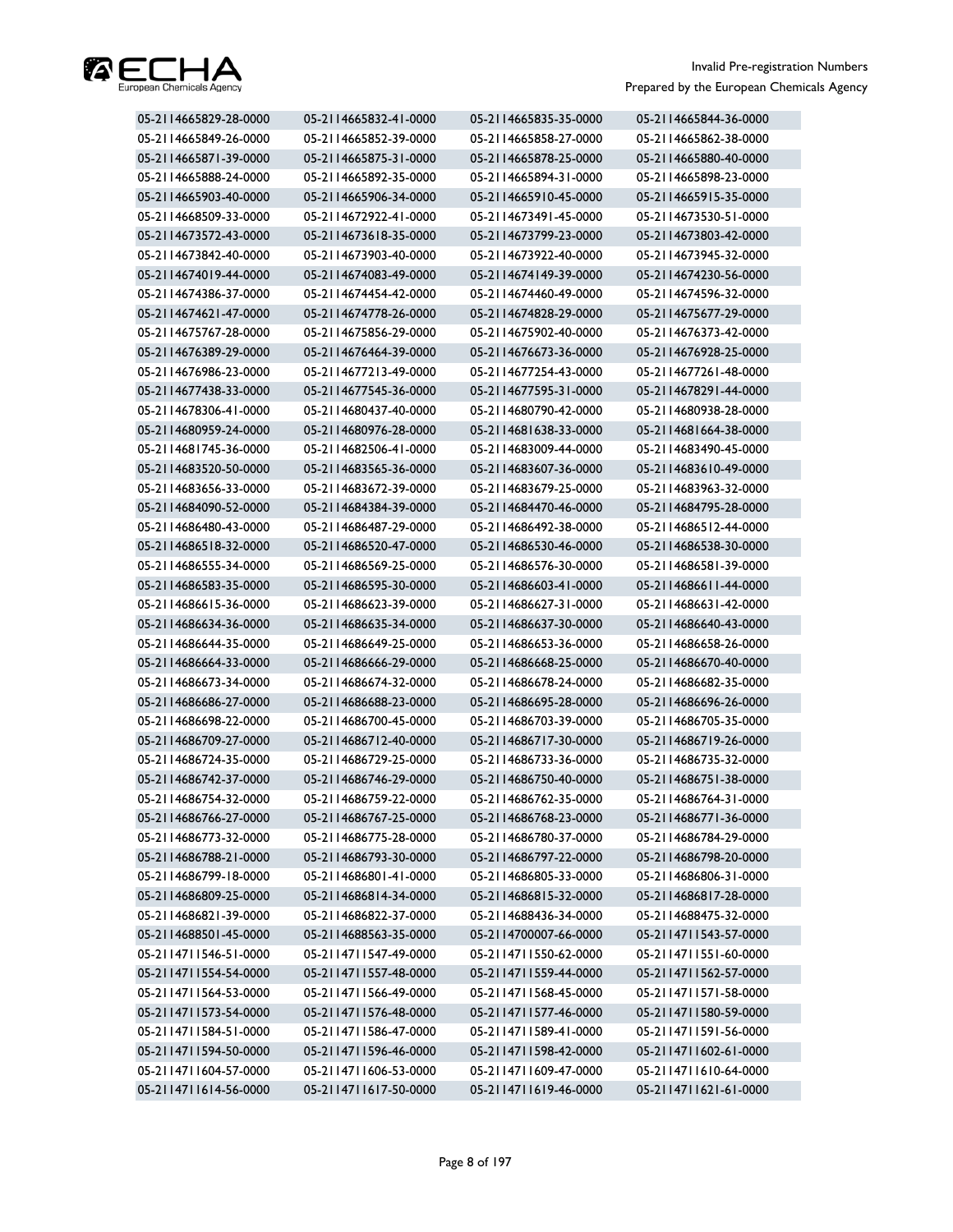

| 05-2114665829-28-0000 | 05-2114665832-41-0000 | 05-2114665835-35-0000 | 05-2114665844-36-0000 |
|-----------------------|-----------------------|-----------------------|-----------------------|
| 05-2114665849-26-0000 | 05-2114665852-39-0000 | 05-2114665858-27-0000 | 05-2114665862-38-0000 |
| 05-2114665871-39-0000 | 05-2114665875-31-0000 | 05-2114665878-25-0000 | 05-2114665880-40-0000 |
| 05-2114665888-24-0000 | 05-2114665892-35-0000 | 05-2114665894-31-0000 | 05-2114665898-23-0000 |
| 05-2114665903-40-0000 | 05-2114665906-34-0000 | 05-2114665910-45-0000 | 05-2114665915-35-0000 |
| 05-2114668509-33-0000 | 05-2114672922-41-0000 | 05-2114673491-45-0000 | 05-2114673530-51-0000 |
| 05-2114673572-43-0000 | 05-2114673618-35-0000 | 05-2114673799-23-0000 | 05-2114673803-42-0000 |
| 05-2114673842-40-0000 | 05-2114673903-40-0000 | 05-2114673922-40-0000 | 05-2114673945-32-0000 |
| 05-2114674019-44-0000 | 05-2114674083-49-0000 | 05-2114674149-39-0000 | 05-2114674230-56-0000 |
| 05-2114674386-37-0000 | 05-2114674454-42-0000 | 05-2114674460-49-0000 | 05-2114674596-32-0000 |
| 05-2114674621-47-0000 | 05-2114674778-26-0000 | 05-2114674828-29-0000 | 05-2114675677-29-0000 |
| 05-2114675767-28-0000 | 05-2114675856-29-0000 | 05-2114675902-40-0000 | 05-2114676373-42-0000 |
| 05-2114676389-29-0000 | 05-2114676464-39-0000 | 05-2114676673-36-0000 | 05-2114676928-25-0000 |
| 05-2114676986-23-0000 | 05-2114677213-49-0000 | 05-2114677254-43-0000 | 05-2114677261-48-0000 |
| 05-2114677438-33-0000 | 05-2114677545-36-0000 | 05-2114677595-31-0000 | 05-2114678291-44-0000 |
| 05-2114678306-41-0000 | 05-2114680437-40-0000 | 05-2114680790-42-0000 | 05-2114680938-28-0000 |
| 05-2114680959-24-0000 | 05-2114680976-28-0000 | 05-2114681638-33-0000 | 05-2114681664-38-0000 |
| 05-2114681745-36-0000 | 05-2114682506-41-0000 | 05-2114683009-44-0000 | 05-2114683490-45-0000 |
| 05-2114683520-50-0000 | 05-2114683565-36-0000 | 05-2114683607-36-0000 | 05-2114683610-49-0000 |
| 05-2114683656-33-0000 | 05-2114683672-39-0000 | 05-2114683679-25-0000 | 05-2114683963-32-0000 |
| 05-2114684090-52-0000 | 05-2114684384-39-0000 | 05-2114684470-46-0000 | 05-2114684795-28-0000 |
| 05-2114686480-43-0000 | 05-2114686487-29-0000 | 05-2114686492-38-0000 | 05-2114686512-44-0000 |
| 05-2114686518-32-0000 | 05-2114686520-47-0000 | 05-2114686530-46-0000 | 05-2114686538-30-0000 |
| 05-2114686555-34-0000 | 05-2114686569-25-0000 | 05-2114686576-30-0000 | 05-2114686581-39-0000 |
| 05-2114686583-35-0000 | 05-2114686595-30-0000 | 05-2114686603-41-0000 | 05-2114686611-44-0000 |
| 05-2114686615-36-0000 | 05-2114686623-39-0000 | 05-2114686627-31-0000 | 05-2114686631-42-0000 |
| 05-2114686634-36-0000 | 05-2114686635-34-0000 | 05-2114686637-30-0000 | 05-2114686640-43-0000 |
| 05-2114686644-35-0000 | 05-2114686649-25-0000 | 05-2114686653-36-0000 | 05-2114686658-26-0000 |
| 05-2114686664-33-0000 | 05-2114686666-29-0000 | 05-2114686668-25-0000 | 05-2114686670-40-0000 |
| 05-2114686673-34-0000 | 05-2114686674-32-0000 | 05-2114686678-24-0000 | 05-2114686682-35-0000 |
| 05-2114686686-27-0000 | 05-2114686688-23-0000 | 05-2114686695-28-0000 | 05-2114686696-26-0000 |
| 05-2114686698-22-0000 | 05-2114686700-45-0000 | 05-2114686703-39-0000 | 05-2114686705-35-0000 |
| 05-2114686709-27-0000 | 05-2114686712-40-0000 | 05-2114686717-30-0000 | 05-2114686719-26-0000 |
| 05-2114686724-35-0000 | 05-2114686729-25-0000 | 05-2114686733-36-0000 | 05-2114686735-32-0000 |
| 05-2114686742-37-0000 | 05-2114686746-29-0000 | 05-2114686750-40-0000 | 05-2114686751-38-0000 |
| 05-2114686754-32-0000 | 05-2114686759-22-0000 | 05-2114686762-35-0000 | 05-2114686764-31-0000 |
| 05-2114686766-27-0000 | 05-2114686767-25-0000 | 05-2114686768-23-0000 | 05-2114686771-36-0000 |
| 05-2114686773-32-0000 | 05-2114686775-28-0000 | 05-2114686780-37-0000 | 05-2114686784-29-0000 |
| 05-2114686788-21-0000 | 05-2114686793-30-0000 | 05-2114686797-22-0000 | 05-2114686798-20-0000 |
| 05-2114686799-18-0000 | 05-2114686801-41-0000 | 05-2114686805-33-0000 | 05-2114686806-31-0000 |
| 05-2114686809-25-0000 | 05-2114686814-34-0000 | 05-2114686815-32-0000 | 05-2114686817-28-0000 |
| 05-2114686821-39-0000 | 05-2114686822-37-0000 | 05-2114688436-34-0000 | 05-2114688475-32-0000 |
| 05-2114688501-45-0000 | 05-2114688563-35-0000 | 05-2114700007-66-0000 | 05-2114711543-57-0000 |
| 05-2114711546-51-0000 | 05-2114711547-49-0000 | 05-2114711550-62-0000 | 05-2114711551-60-0000 |
| 05-2114711554-54-0000 | 05-2114711557-48-0000 | 05-2114711559-44-0000 | 05-2114711562-57-0000 |
| 05-2114711564-53-0000 | 05-2114711566-49-0000 | 05-2114711568-45-0000 | 05-2114711571-58-0000 |
| 05-2114711573-54-0000 | 05-2114711576-48-0000 | 05-2114711577-46-0000 | 05-2114711580-59-0000 |
| 05-2114711584-51-0000 | 05-2114711586-47-0000 | 05-2114711589-41-0000 | 05-2114711591-56-0000 |
| 05-2114711594-50-0000 | 05-2114711596-46-0000 | 05-2114711598-42-0000 | 05-2114711602-61-0000 |
| 05-2114711604-57-0000 | 05-2114711606-53-0000 | 05-2114711609-47-0000 | 05-2114711610-64-0000 |
| 05-2114711614-56-0000 | 05-2114711617-50-0000 | 05-2114711619-46-0000 | 05-2114711621-61-0000 |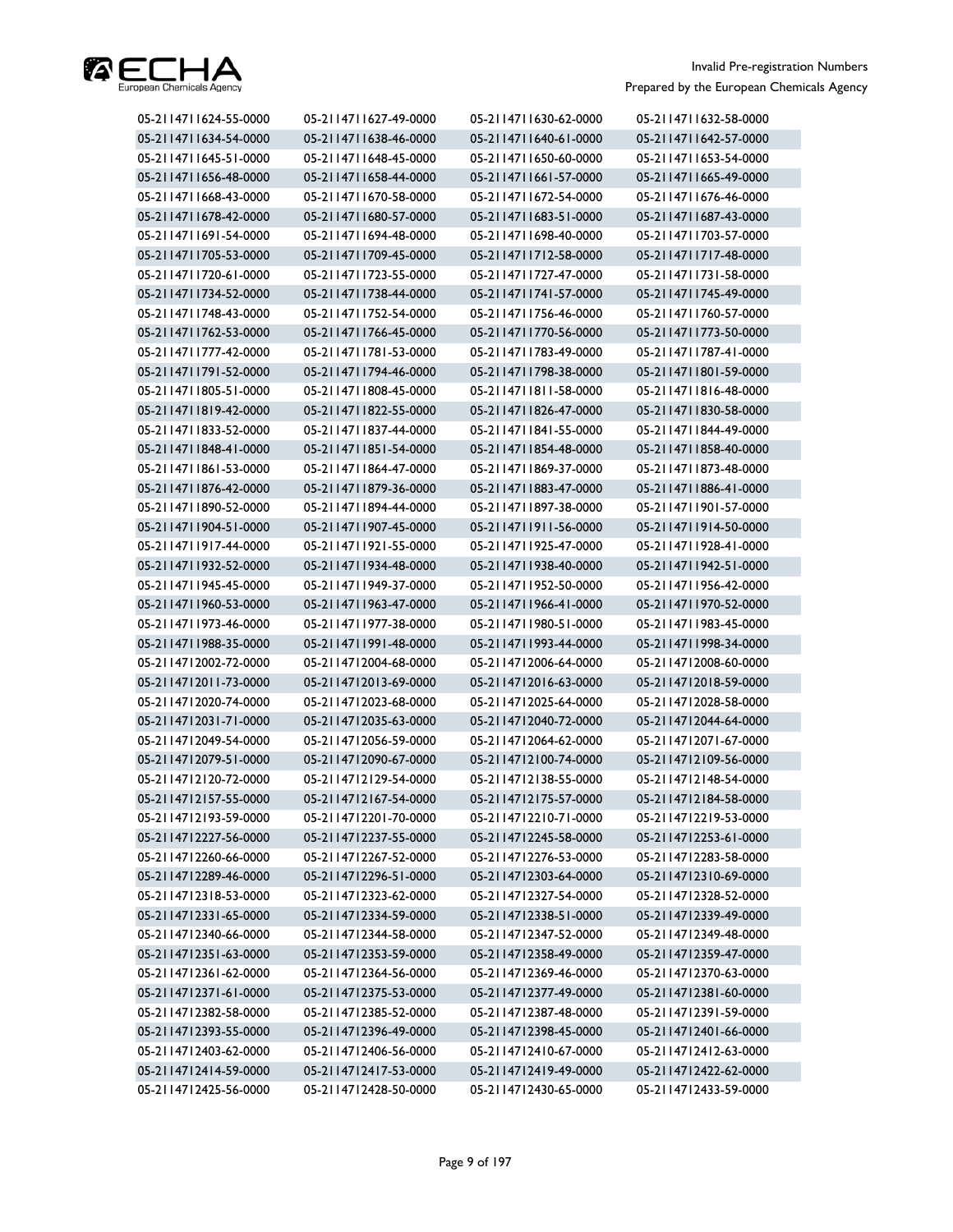

| 05-2114711624-55-0000 | 05-2114711627-49-0000 | 05-2114711630-62-0000 | 05-2114711632-58-0000 |
|-----------------------|-----------------------|-----------------------|-----------------------|
| 05-2114711634-54-0000 | 05-2114711638-46-0000 | 05-2114711640-61-0000 | 05-2114711642-57-0000 |
| 05-2114711645-51-0000 | 05-2114711648-45-0000 | 05-2114711650-60-0000 | 05-2114711653-54-0000 |
| 05-2114711656-48-0000 | 05-2114711658-44-0000 | 05-2114711661-57-0000 | 05-2114711665-49-0000 |
| 05-2114711668-43-0000 | 05-2114711670-58-0000 | 05-2114711672-54-0000 | 05-2114711676-46-0000 |
| 05-2114711678-42-0000 | 05-2114711680-57-0000 | 05-2114711683-51-0000 | 05-2114711687-43-0000 |
| 05-2114711691-54-0000 | 05-2114711694-48-0000 | 05-2114711698-40-0000 | 05-2114711703-57-0000 |
| 05-2114711705-53-0000 | 05-2114711709-45-0000 | 05-2114711712-58-0000 | 05-2114711717-48-0000 |
| 05-2114711720-61-0000 | 05-2114711723-55-0000 | 05-2114711727-47-0000 | 05-2114711731-58-0000 |
| 05-2114711734-52-0000 | 05-2114711738-44-0000 | 05-2114711741-57-0000 | 05-2114711745-49-0000 |
| 05-2114711748-43-0000 | 05-2114711752-54-0000 | 05-2114711756-46-0000 | 05-2114711760-57-0000 |
| 05-2114711762-53-0000 | 05-2114711766-45-0000 | 05-2114711770-56-0000 | 05-2114711773-50-0000 |
| 05-2114711777-42-0000 | 05-2114711781-53-0000 | 05-2114711783-49-0000 | 05-2114711787-41-0000 |
| 05-2114711791-52-0000 | 05-2114711794-46-0000 | 05-2114711798-38-0000 | 05-2114711801-59-0000 |
| 05-2114711805-51-0000 | 05-2114711808-45-0000 | 05-2114711811-58-0000 | 05-2114711816-48-0000 |
| 05-2114711819-42-0000 | 05-2114711822-55-0000 | 05-2114711826-47-0000 | 05-2114711830-58-0000 |
| 05-2114711833-52-0000 | 05-2114711837-44-0000 | 05-2114711841-55-0000 | 05-2114711844-49-0000 |
| 05-2114711848-41-0000 | 05-2114711851-54-0000 | 05-2114711854-48-0000 | 05-2114711858-40-0000 |
| 05-2114711861-53-0000 | 05-2114711864-47-0000 | 05-2114711869-37-0000 | 05-2114711873-48-0000 |
| 05-2114711876-42-0000 | 05-2114711879-36-0000 | 05-2114711883-47-0000 | 05-2114711886-41-0000 |
| 05-2114711890-52-0000 | 05-2114711894-44-0000 | 05-2114711897-38-0000 | 05-2114711901-57-0000 |
| 05-2114711904-51-0000 | 05-2114711907-45-0000 | 05-2114711911-56-0000 | 05-2114711914-50-0000 |
| 05-2114711917-44-0000 | 05-2114711921-55-0000 | 05-2114711925-47-0000 | 05-2114711928-41-0000 |
| 05-2114711932-52-0000 | 05-2114711934-48-0000 | 05-2114711938-40-0000 | 05-2114711942-51-0000 |
| 05-2114711945-45-0000 | 05-2114711949-37-0000 | 05-2114711952-50-0000 | 05-2114711956-42-0000 |
| 05-2114711960-53-0000 | 05-2114711963-47-0000 | 05-2114711966-41-0000 | 05-2114711970-52-0000 |
| 05-2114711973-46-0000 | 05-2114711977-38-0000 | 05-2114711980-51-0000 | 05-2114711983-45-0000 |
| 05-2114711988-35-0000 | 05-2114711991-48-0000 | 05-2114711993-44-0000 | 05-2114711998-34-0000 |
| 05-2114712002-72-0000 | 05-2114712004-68-0000 | 05-2114712006-64-0000 | 05-2114712008-60-0000 |
| 05-2114712011-73-0000 | 05-2114712013-69-0000 | 05-2114712016-63-0000 | 05-2114712018-59-0000 |
| 05-2114712020-74-0000 | 05-2114712023-68-0000 | 05-2114712025-64-0000 | 05-2114712028-58-0000 |
| 05-2114712031-71-0000 | 05-2114712035-63-0000 | 05-2114712040-72-0000 | 05-2114712044-64-0000 |
| 05-2114712049-54-0000 | 05-2114712056-59-0000 | 05-2114712064-62-0000 | 05-2114712071-67-0000 |
| 05-2114712079-51-0000 | 05-2114712090-67-0000 | 05-2114712100-74-0000 | 05-2114712109-56-0000 |
| 05-2114712120-72-0000 | 05-2114712129-54-0000 | 05-2114712138-55-0000 | 05-2114712148-54-0000 |
| 05-2114712157-55-0000 | 05-2114712167-54-0000 | 05-2114712175-57-0000 | 05-2114712184-58-0000 |
| 05-2114712193-59-0000 | 05-2114712201-70-0000 | 05-2114712210-71-0000 | 05-2114712219-53-0000 |
| 05-2114712227-56-0000 | 05-2114712237-55-0000 | 05-2114712245-58-0000 | 05-2114712253-61-0000 |
| 05-2114712260-66-0000 | 05-2114712267-52-0000 | 05-2114712276-53-0000 | 05-2114712283-58-0000 |
| 05-2114712289-46-0000 | 05-2114712296-51-0000 | 05-2114712303-64-0000 | 05-2114712310-69-0000 |
| 05-2114712318-53-0000 | 05-2114712323-62-0000 | 05-2114712327-54-0000 | 05-2114712328-52-0000 |
| 05-2114712331-65-0000 | 05-2114712334-59-0000 | 05-2114712338-51-0000 | 05-2114712339-49-0000 |
| 05-2114712340-66-0000 | 05-2114712344-58-0000 | 05-2114712347-52-0000 | 05-2114712349-48-0000 |
| 05-2114712351-63-0000 | 05-2114712353-59-0000 | 05-2114712358-49-0000 | 05-2114712359-47-0000 |
| 05-2114712361-62-0000 | 05-2114712364-56-0000 | 05-2114712369-46-0000 | 05-2114712370-63-0000 |
| 05-2114712371-61-0000 | 05-2114712375-53-0000 | 05-2114712377-49-0000 | 05-2114712381-60-0000 |
| 05-2114712382-58-0000 | 05-2114712385-52-0000 | 05-2114712387-48-0000 | 05-2114712391-59-0000 |
| 05-2114712393-55-0000 | 05-2114712396-49-0000 | 05-2114712398-45-0000 | 05-2114712401-66-0000 |
| 05-2114712403-62-0000 | 05-2114712406-56-0000 | 05-2114712410-67-0000 | 05-2114712412-63-0000 |
| 05-2114712414-59-0000 | 05-2114712417-53-0000 | 05-2114712419-49-0000 | 05-2114712422-62-0000 |
| 05-2114712425-56-0000 | 05-2114712428-50-0000 | 05-2114712430-65-0000 | 05-2114712433-59-0000 |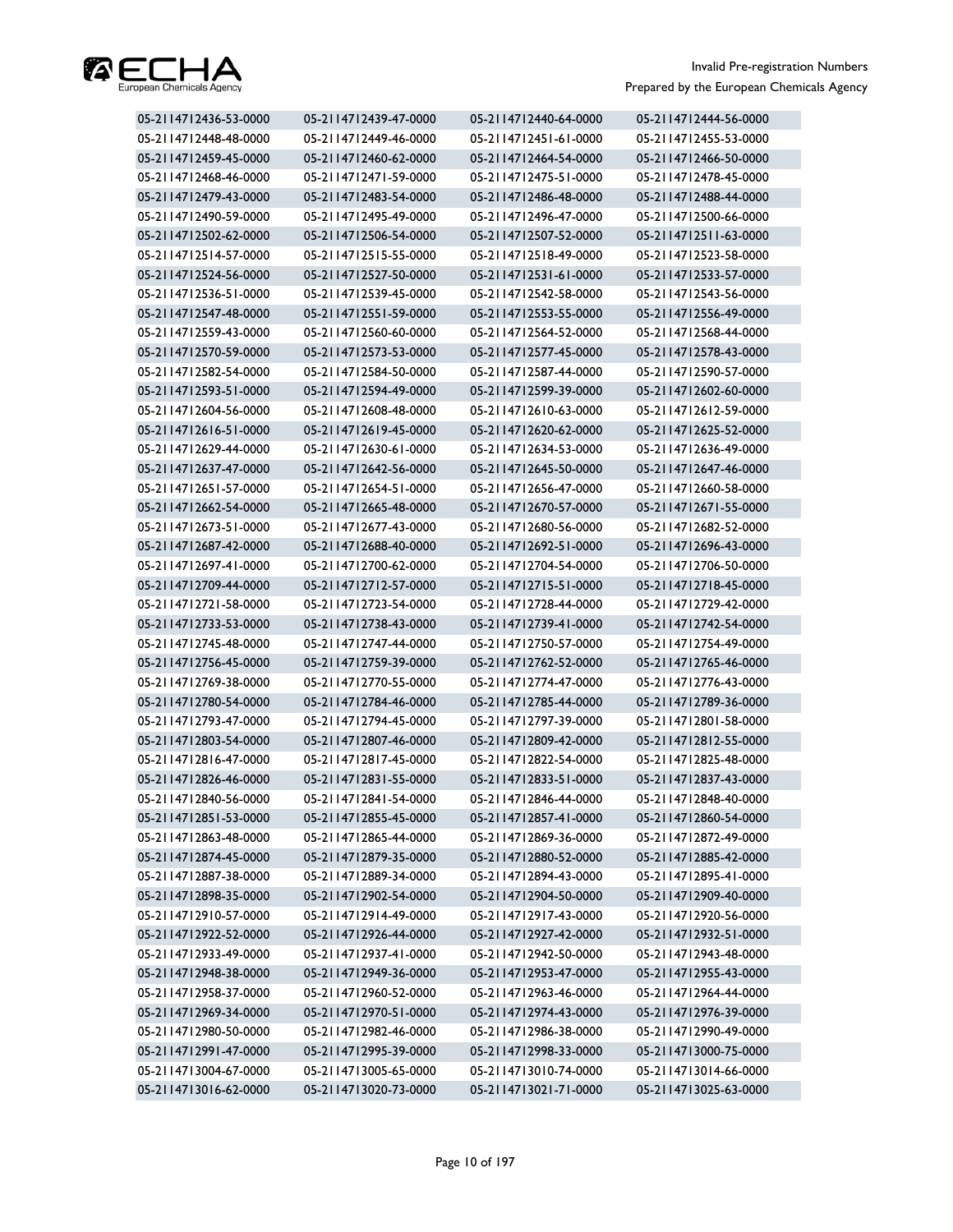

| 05-2114712436-53-0000 | 05-2114712439-47-0000 | 05-2114712440-64-0000 | 05-2114712444-56-0000 |
|-----------------------|-----------------------|-----------------------|-----------------------|
| 05-2114712448-48-0000 | 05-2114712449-46-0000 | 05-2114712451-61-0000 | 05-2114712455-53-0000 |
| 05-2114712459-45-0000 | 05-2114712460-62-0000 | 05-2114712464-54-0000 | 05-2114712466-50-0000 |
| 05-2114712468-46-0000 | 05-2114712471-59-0000 | 05-2114712475-51-0000 | 05-2114712478-45-0000 |
| 05-2114712479-43-0000 | 05-2114712483-54-0000 | 05-2114712486-48-0000 | 05-2114712488-44-0000 |
| 05-2114712490-59-0000 | 05-2114712495-49-0000 | 05-2114712496-47-0000 | 05-2114712500-66-0000 |
| 05-2114712502-62-0000 | 05-2114712506-54-0000 | 05-2114712507-52-0000 | 05-2114712511-63-0000 |
| 05-2114712514-57-0000 | 05-2114712515-55-0000 | 05-2114712518-49-0000 | 05-2114712523-58-0000 |
| 05-2114712524-56-0000 | 05-2114712527-50-0000 | 05-2114712531-61-0000 | 05-2114712533-57-0000 |
| 05-2114712536-51-0000 | 05-2114712539-45-0000 | 05-2114712542-58-0000 | 05-2114712543-56-0000 |
| 05-2114712547-48-0000 | 05-2114712551-59-0000 | 05-2114712553-55-0000 | 05-2114712556-49-0000 |
| 05-2114712559-43-0000 | 05-2114712560-60-0000 | 05-2114712564-52-0000 | 05-2114712568-44-0000 |
| 05-2114712570-59-0000 | 05-2114712573-53-0000 | 05-2114712577-45-0000 | 05-2114712578-43-0000 |
| 05-2114712582-54-0000 | 05-2114712584-50-0000 | 05-2114712587-44-0000 | 05-2114712590-57-0000 |
| 05-2114712593-51-0000 | 05-2114712594-49-0000 | 05-2114712599-39-0000 | 05-2114712602-60-0000 |
| 05-2114712604-56-0000 | 05-2114712608-48-0000 | 05-2114712610-63-0000 | 05-2114712612-59-0000 |
| 05-2114712616-51-0000 | 05-2114712619-45-0000 | 05-2114712620-62-0000 | 05-2114712625-52-0000 |
| 05-2114712629-44-0000 | 05-2114712630-61-0000 | 05-2114712634-53-0000 | 05-2114712636-49-0000 |
| 05-2114712637-47-0000 | 05-2114712642-56-0000 | 05-2114712645-50-0000 | 05-2114712647-46-0000 |
| 05-2114712651-57-0000 | 05-2114712654-51-0000 | 05-2114712656-47-0000 | 05-2114712660-58-0000 |
| 05-2114712662-54-0000 | 05-2114712665-48-0000 | 05-2114712670-57-0000 | 05-2114712671-55-0000 |
| 05-2114712673-51-0000 | 05-2114712677-43-0000 | 05-2114712680-56-0000 | 05-2114712682-52-0000 |
| 05-2114712687-42-0000 | 05-2114712688-40-0000 | 05-2114712692-51-0000 | 05-2114712696-43-0000 |
| 05-2114712697-41-0000 | 05-2114712700-62-0000 | 05-2114712704-54-0000 | 05-2114712706-50-0000 |
| 05-2114712709-44-0000 | 05-2114712712-57-0000 | 05-2114712715-51-0000 | 05-2114712718-45-0000 |
| 05-2114712721-58-0000 | 05-2114712723-54-0000 | 05-2114712728-44-0000 | 05-2114712729-42-0000 |
| 05-2114712733-53-0000 | 05-2114712738-43-0000 | 05-2114712739-41-0000 | 05-2114712742-54-0000 |
| 05-2114712745-48-0000 | 05-2114712747-44-0000 | 05-2114712750-57-0000 | 05-2114712754-49-0000 |
| 05-2114712756-45-0000 | 05-2114712759-39-0000 | 05-2114712762-52-0000 | 05-2114712765-46-0000 |
| 05-2114712769-38-0000 | 05-2114712770-55-0000 | 05-2114712774-47-0000 | 05-2114712776-43-0000 |
| 05-2114712780-54-0000 | 05-2114712784-46-0000 | 05-2114712785-44-0000 | 05-2114712789-36-0000 |
| 05-2114712793-47-0000 | 05-2114712794-45-0000 | 05-2114712797-39-0000 | 05-2114712801-58-0000 |
| 05-2114712803-54-0000 | 05-2114712807-46-0000 | 05-2114712809-42-0000 | 05-2114712812-55-0000 |
| 05-2114712816-47-0000 | 05-2114712817-45-0000 | 05-2114712822-54-0000 | 05-2114712825-48-0000 |
| 05-2114712826-46-0000 | 05-2114712831-55-0000 | 05-2114712833-51-0000 | 05-2114712837-43-0000 |
| 05-2114712840-56-0000 | 05-2114712841-54-0000 | 05-2114712846-44-0000 | 05-2114712848-40-0000 |
| 05-2114712851-53-0000 | 05-2114712855-45-0000 | 05-2114712857-41-0000 | 05-2114712860-54-0000 |
| 05-2114712863-48-0000 | 05-2114712865-44-0000 | 05-2114712869-36-0000 | 05-2114712872-49-0000 |
| 05-2114712874-45-0000 | 05-2114712879-35-0000 | 05-2114712880-52-0000 | 05-2114712885-42-0000 |
| 05-2114712887-38-0000 | 05-2114712889-34-0000 | 05-2114712894-43-0000 | 05-2114712895-41-0000 |
| 05-2114712898-35-0000 | 05-2114712902-54-0000 | 05-2114712904-50-0000 | 05-2114712909-40-0000 |
| 05-2114712910-57-0000 | 05-2114712914-49-0000 | 05-2114712917-43-0000 | 05-2114712920-56-0000 |
| 05-2114712922-52-0000 | 05-2114712926-44-0000 | 05-2114712927-42-0000 | 05-2114712932-51-0000 |
| 05-2114712933-49-0000 | 05-2114712937-41-0000 | 05-2114712942-50-0000 | 05-2114712943-48-0000 |
| 05-2114712948-38-0000 | 05-2114712949-36-0000 | 05-2114712953-47-0000 | 05-2114712955-43-0000 |
| 05-2114712958-37-0000 | 05-2114712960-52-0000 | 05-2114712963-46-0000 | 05-2114712964-44-0000 |
| 05-2114712969-34-0000 | 05-2114712970-51-0000 | 05-2114712974-43-0000 | 05-2114712976-39-0000 |
| 05-2114712980-50-0000 | 05-2114712982-46-0000 | 05-2114712986-38-0000 | 05-2114712990-49-0000 |
| 05-2114712991-47-0000 | 05-2114712995-39-0000 | 05-2114712998-33-0000 | 05-2114713000-75-0000 |
| 05-2114713004-67-0000 | 05-2114713005-65-0000 | 05-2114713010-74-0000 | 05-2114713014-66-0000 |
| 05-2114713016-62-0000 | 05-2114713020-73-0000 | 05-2114713021-71-0000 | 05-2114713025-63-0000 |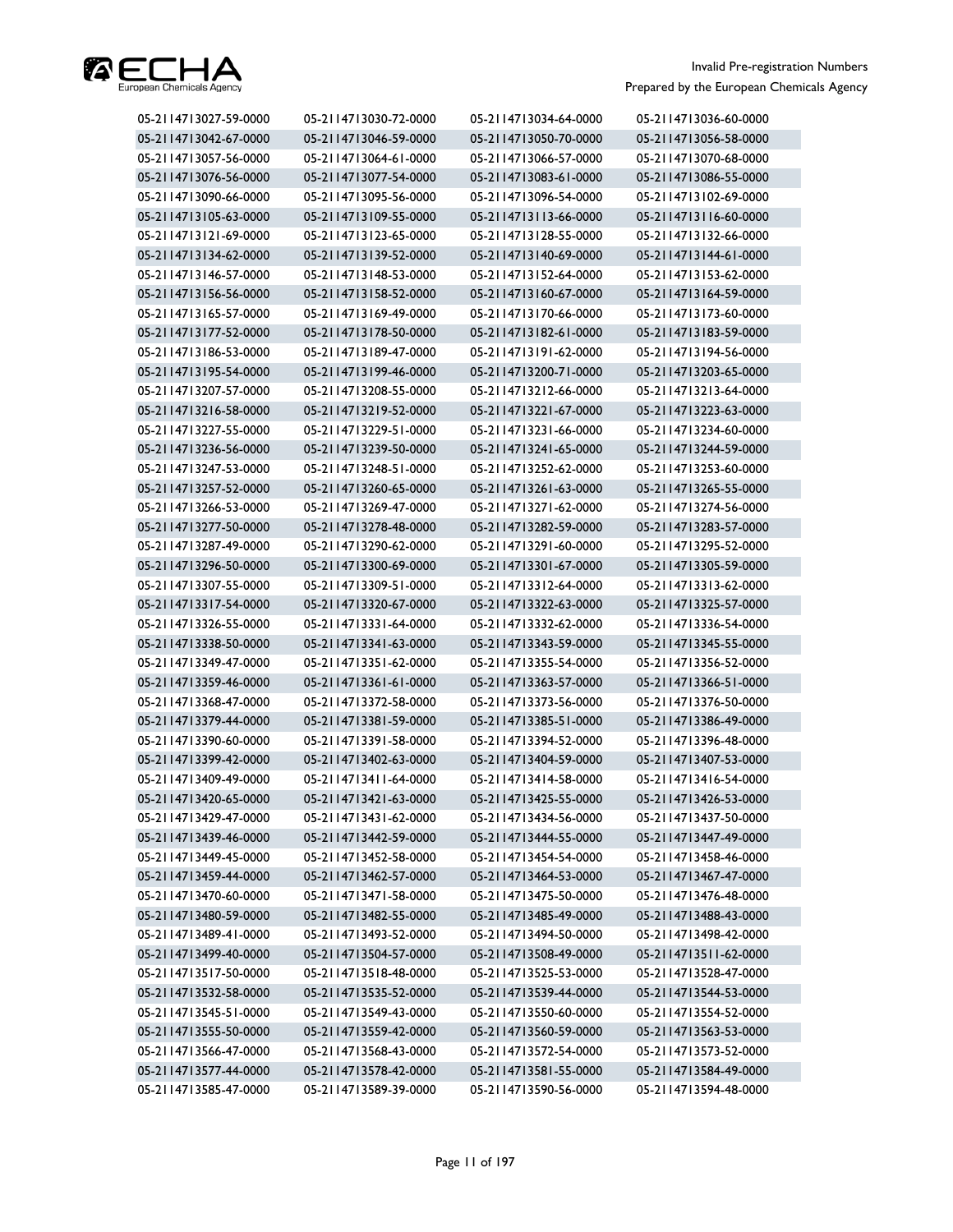

| 05-2114713027-59-0000 | 05-2114713030-72-0000 | 05-2114713034-64-0000 | 05-2114713036-60-0000 |
|-----------------------|-----------------------|-----------------------|-----------------------|
| 05-2114713042-67-0000 | 05-2114713046-59-0000 | 05-2114713050-70-0000 | 05-2114713056-58-0000 |
| 05-2114713057-56-0000 | 05-2114713064-61-0000 | 05-2114713066-57-0000 | 05-2114713070-68-0000 |
| 05-2114713076-56-0000 | 05-2114713077-54-0000 | 05-2114713083-61-0000 | 05-2114713086-55-0000 |
| 05-2114713090-66-0000 | 05-2114713095-56-0000 | 05-2114713096-54-0000 | 05-2114713102-69-0000 |
| 05-2114713105-63-0000 | 05-2114713109-55-0000 | 05-2114713113-66-0000 | 05-2114713116-60-0000 |
| 05-2114713121-69-0000 | 05-2114713123-65-0000 | 05-2114713128-55-0000 | 05-2114713132-66-0000 |
| 05-2114713134-62-0000 | 05-2114713139-52-0000 | 05-2114713140-69-0000 | 05-2114713144-61-0000 |
| 05-2114713146-57-0000 | 05-2114713148-53-0000 | 05-2114713152-64-0000 | 05-2114713153-62-0000 |
| 05-2114713156-56-0000 | 05-2114713158-52-0000 | 05-2114713160-67-0000 | 05-2114713164-59-0000 |
| 05-2114713165-57-0000 | 05-2114713169-49-0000 | 05-2114713170-66-0000 | 05-2114713173-60-0000 |
| 05-2114713177-52-0000 | 05-2114713178-50-0000 | 05-2114713182-61-0000 | 05-2114713183-59-0000 |
| 05-2114713186-53-0000 | 05-2114713189-47-0000 | 05-2114713191-62-0000 | 05-2114713194-56-0000 |
| 05-2114713195-54-0000 | 05-2114713199-46-0000 | 05-2114713200-71-0000 | 05-2114713203-65-0000 |
| 05-2114713207-57-0000 | 05-2114713208-55-0000 | 05-2114713212-66-0000 | 05-2114713213-64-0000 |
| 05-2114713216-58-0000 | 05-2114713219-52-0000 | 05-2114713221-67-0000 | 05-2114713223-63-0000 |
| 05-2114713227-55-0000 | 05-2114713229-51-0000 | 05-2114713231-66-0000 | 05-2114713234-60-0000 |
| 05-2114713236-56-0000 | 05-2114713239-50-0000 | 05-2114713241-65-0000 | 05-2114713244-59-0000 |
| 05-2114713247-53-0000 | 05-2114713248-51-0000 | 05-2114713252-62-0000 | 05-2114713253-60-0000 |
| 05-2114713257-52-0000 | 05-2114713260-65-0000 | 05-2114713261-63-0000 | 05-2114713265-55-0000 |
| 05-2114713266-53-0000 | 05-2114713269-47-0000 | 05-2114713271-62-0000 | 05-2114713274-56-0000 |
| 05-2114713277-50-0000 | 05-2114713278-48-0000 | 05-2114713282-59-0000 | 05-2114713283-57-0000 |
| 05-2114713287-49-0000 | 05-2114713290-62-0000 | 05-2114713291-60-0000 | 05-2114713295-52-0000 |
| 05-2114713296-50-0000 | 05-2114713300-69-0000 | 05-2114713301-67-0000 | 05-2114713305-59-0000 |
| 05-2114713307-55-0000 | 05-2114713309-51-0000 | 05-2114713312-64-0000 | 05-2114713313-62-0000 |
| 05-2114713317-54-0000 | 05-2114713320-67-0000 | 05-2114713322-63-0000 | 05-2114713325-57-0000 |
| 05-2114713326-55-0000 | 05-2114713331-64-0000 | 05-2114713332-62-0000 | 05-2114713336-54-0000 |
| 05-2114713338-50-0000 | 05-2114713341-63-0000 | 05-2114713343-59-0000 | 05-2114713345-55-0000 |
| 05-2114713349-47-0000 | 05-2114713351-62-0000 | 05-2114713355-54-0000 | 05-2114713356-52-0000 |
| 05-2114713359-46-0000 | 05-2114713361-61-0000 | 05-2114713363-57-0000 | 05-2114713366-51-0000 |
| 05-2114713368-47-0000 | 05-2114713372-58-0000 | 05-2114713373-56-0000 | 05-2114713376-50-0000 |
| 05-2114713379-44-0000 | 05-2114713381-59-0000 | 05-2114713385-51-0000 | 05-2114713386-49-0000 |
| 05-2114713390-60-0000 | 05-2114713391-58-0000 | 05-2114713394-52-0000 | 05-2114713396-48-0000 |
| 05-2114713399-42-0000 | 05-2114713402-63-0000 | 05-2114713404-59-0000 | 05-2114713407-53-0000 |
| 05-2114713409-49-0000 | 05-2114713411-64-0000 | 05-2114713414-58-0000 | 05-2114713416-54-0000 |
| 05-2114713420-65-0000 | 05-2114713421-63-0000 | 05-2114713425-55-0000 | 05-2114713426-53-0000 |
| 05-2114713429-47-0000 | 05-2114713431-62-0000 | 05-2114713434-56-0000 | 05-2114713437-50-0000 |
| 05-2114713439-46-0000 | 05-2114713442-59-0000 | 05-2114713444-55-0000 | 05-2114713447-49-0000 |
| 05-2114713449-45-0000 | 05-2114713452-58-0000 | 05-2114713454-54-0000 | 05-2114713458-46-0000 |
| 05-2114713459-44-0000 | 05-2114713462-57-0000 | 05-2114713464-53-0000 | 05-2114713467-47-0000 |
| 05-2114713470-60-0000 | 05-2114713471-58-0000 | 05-2114713475-50-0000 | 05-2114713476-48-0000 |
| 05-2114713480-59-0000 | 05-2114713482-55-0000 | 05-2114713485-49-0000 | 05-2114713488-43-0000 |
| 05-2114713489-41-0000 | 05-2114713493-52-0000 | 05-2114713494-50-0000 | 05-2114713498-42-0000 |
| 05-2114713499-40-0000 | 05-2114713504-57-0000 | 05-2114713508-49-0000 | 05-2114713511-62-0000 |
| 05-2114713517-50-0000 | 05-2114713518-48-0000 | 05-2114713525-53-0000 | 05-2114713528-47-0000 |
| 05-2114713532-58-0000 | 05-2114713535-52-0000 | 05-2114713539-44-0000 | 05-2114713544-53-0000 |
| 05-2114713545-51-0000 | 05-2114713549-43-0000 | 05-2114713550-60-0000 | 05-2114713554-52-0000 |
| 05-2114713555-50-0000 | 05-2114713559-42-0000 | 05-2114713560-59-0000 | 05-2114713563-53-0000 |
| 05-2114713566-47-0000 | 05-2114713568-43-0000 | 05-2114713572-54-0000 | 05-2114713573-52-0000 |
| 05-2114713577-44-0000 | 05-2114713578-42-0000 | 05-2114713581-55-0000 | 05-2114713584-49-0000 |
| 05-2114713585-47-0000 | 05-2114713589-39-0000 | 05-2114713590-56-0000 | 05-2114713594-48-0000 |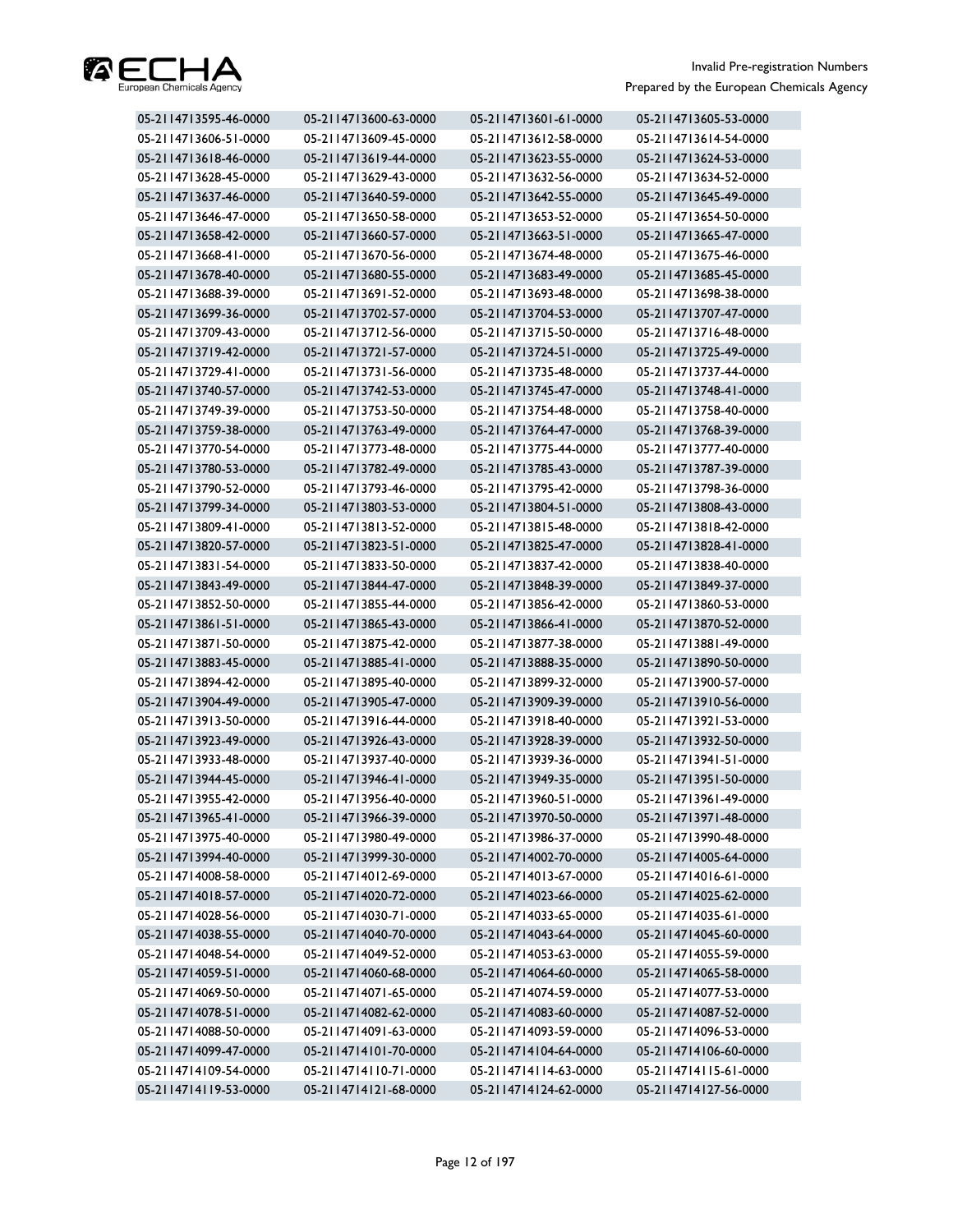

| 05-2114713595-46-0000 | 05-2114713600-63-0000 | 05-2114713601-61-0000 | 05-2114713605-53-0000 |
|-----------------------|-----------------------|-----------------------|-----------------------|
| 05-2114713606-51-0000 | 05-2114713609-45-0000 | 05-2114713612-58-0000 | 05-2114713614-54-0000 |
| 05-2114713618-46-0000 | 05-2114713619-44-0000 | 05-2114713623-55-0000 | 05-2114713624-53-0000 |
| 05-2114713628-45-0000 | 05-2114713629-43-0000 | 05-2114713632-56-0000 | 05-2114713634-52-0000 |
| 05-2114713637-46-0000 | 05-2114713640-59-0000 | 05-2114713642-55-0000 | 05-2114713645-49-0000 |
| 05-2114713646-47-0000 | 05-2114713650-58-0000 | 05-2114713653-52-0000 | 05-2114713654-50-0000 |
| 05-2114713658-42-0000 | 05-2114713660-57-0000 | 05-2114713663-51-0000 | 05-2114713665-47-0000 |
| 05-2114713668-41-0000 | 05-2114713670-56-0000 | 05-2114713674-48-0000 | 05-2114713675-46-0000 |
| 05-2114713678-40-0000 | 05-2114713680-55-0000 | 05-2114713683-49-0000 | 05-2114713685-45-0000 |
| 05-2114713688-39-0000 | 05-2114713691-52-0000 | 05-2114713693-48-0000 | 05-2114713698-38-0000 |
| 05-2114713699-36-0000 | 05-2114713702-57-0000 | 05-2114713704-53-0000 | 05-2114713707-47-0000 |
| 05-2114713709-43-0000 | 05-2114713712-56-0000 | 05-2114713715-50-0000 | 05-2114713716-48-0000 |
| 05-2114713719-42-0000 | 05-2114713721-57-0000 | 05-2114713724-51-0000 | 05-2114713725-49-0000 |
| 05-2114713729-41-0000 | 05-2114713731-56-0000 | 05-2114713735-48-0000 | 05-2114713737-44-0000 |
| 05-2114713740-57-0000 | 05-2114713742-53-0000 | 05-2114713745-47-0000 | 05-2114713748-41-0000 |
| 05-2114713749-39-0000 | 05-2114713753-50-0000 | 05-2114713754-48-0000 | 05-2114713758-40-0000 |
| 05-2114713759-38-0000 | 05-2114713763-49-0000 | 05-2114713764-47-0000 | 05-2114713768-39-0000 |
| 05-2114713770-54-0000 | 05-2114713773-48-0000 | 05-2114713775-44-0000 | 05-2114713777-40-0000 |
| 05-2114713780-53-0000 | 05-2114713782-49-0000 | 05-2114713785-43-0000 | 05-2114713787-39-0000 |
| 05-2114713790-52-0000 | 05-2114713793-46-0000 | 05-2114713795-42-0000 | 05-2114713798-36-0000 |
| 05-2114713799-34-0000 | 05-2114713803-53-0000 | 05-2114713804-51-0000 | 05-2114713808-43-0000 |
| 05-2114713809-41-0000 | 05-2114713813-52-0000 | 05-2114713815-48-0000 | 05-2114713818-42-0000 |
| 05-2114713820-57-0000 | 05-2114713823-51-0000 | 05-2114713825-47-0000 | 05-2114713828-41-0000 |
| 05-2114713831-54-0000 | 05-2114713833-50-0000 | 05-2114713837-42-0000 | 05-2114713838-40-0000 |
| 05-2114713843-49-0000 | 05-2114713844-47-0000 | 05-2114713848-39-0000 | 05-2114713849-37-0000 |
| 05-2114713852-50-0000 | 05-2114713855-44-0000 | 05-2114713856-42-0000 | 05-2114713860-53-0000 |
| 05-2114713861-51-0000 | 05-2114713865-43-0000 | 05-2114713866-41-0000 | 05-2114713870-52-0000 |
| 05-2114713871-50-0000 | 05-2114713875-42-0000 | 05-2114713877-38-0000 | 05-2114713881-49-0000 |
| 05-2114713883-45-0000 | 05-2114713885-41-0000 | 05-2114713888-35-0000 | 05-2114713890-50-0000 |
| 05-2114713894-42-0000 | 05-2114713895-40-0000 | 05-2114713899-32-0000 | 05-2114713900-57-0000 |
| 05-2114713904-49-0000 | 05-2114713905-47-0000 | 05-2114713909-39-0000 | 05-2114713910-56-0000 |
| 05-2114713913-50-0000 | 05-2114713916-44-0000 | 05-2114713918-40-0000 | 05-2114713921-53-0000 |
| 05-2114713923-49-0000 | 05-2114713926-43-0000 | 05-2114713928-39-0000 | 05-2114713932-50-0000 |
| 05-2114713933-48-0000 | 05-2114713937-40-0000 | 05-2114713939-36-0000 | 05-2114713941-51-0000 |
| 05-2114713944-45-0000 | 05-2114713946-41-0000 | 05-2114713949-35-0000 | 05-2114713951-50-0000 |
| 05-2114713955-42-0000 | 05-2114713956-40-0000 | 05-2114713960-51-0000 | 05-2114713961-49-0000 |
| 05-2114713965-41-0000 | 05-2114713966-39-0000 | 05-2114713970-50-0000 | 05-2114713971-48-0000 |
| 05-2114713975-40-0000 | 05-2114713980-49-0000 | 05-2114713986-37-0000 | 05-2114713990-48-0000 |
| 05-2114713994-40-0000 | 05-2114713999-30-0000 | 05-2114714002-70-0000 | 05-2114714005-64-0000 |
| 05-2114714008-58-0000 | 05-2114714012-69-0000 | 05-2114714013-67-0000 | 05-2114714016-61-0000 |
| 05-2114714018-57-0000 | 05-2114714020-72-0000 | 05-2114714023-66-0000 | 05-2114714025-62-0000 |
| 05-2114714028-56-0000 | 05-2114714030-71-0000 | 05-2114714033-65-0000 | 05-2114714035-61-0000 |
| 05-2114714038-55-0000 | 05-2114714040-70-0000 | 05-2114714043-64-0000 | 05-2114714045-60-0000 |
| 05-2114714048-54-0000 | 05-2114714049-52-0000 | 05-2114714053-63-0000 | 05-2114714055-59-0000 |
| 05-2114714059-51-0000 | 05-2114714060-68-0000 | 05-2114714064-60-0000 | 05-2114714065-58-0000 |
| 05-2114714069-50-0000 | 05-2114714071-65-0000 | 05-2114714074-59-0000 | 05-2114714077-53-0000 |
| 05-2114714078-51-0000 | 05-2114714082-62-0000 | 05-2114714083-60-0000 | 05-2114714087-52-0000 |
| 05-2114714088-50-0000 | 05-2114714091-63-0000 | 05-2114714093-59-0000 | 05-2114714096-53-0000 |
| 05-2114714099-47-0000 | 05-2114714101-70-0000 | 05-2114714104-64-0000 | 05-2114714106-60-0000 |
| 05-2114714109-54-0000 | 05-2114714110-71-0000 | 05-2114714114-63-0000 | 05-2114714115-61-0000 |
| 05-2114714119-53-0000 | 05-2114714121-68-0000 | 05-2114714124-62-0000 | 05-2114714127-56-0000 |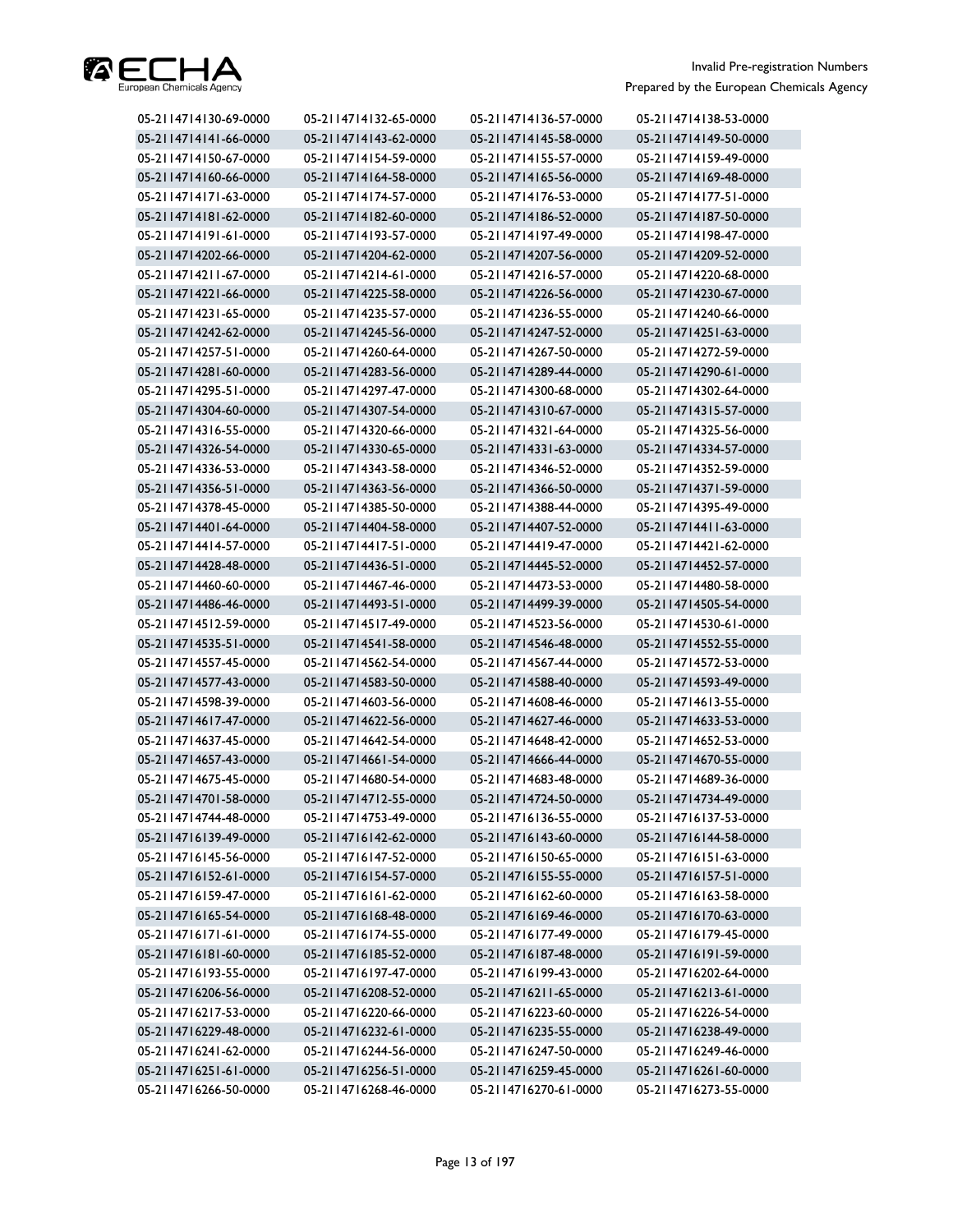

| 05-2114714130-69-0000 | 05-2114714132-65-0000 | 05-2114714136-57-0000 | 05-2114714138-53-0000 |
|-----------------------|-----------------------|-----------------------|-----------------------|
| 05-2114714141-66-0000 | 05-2114714143-62-0000 | 05-2114714145-58-0000 | 05-2114714149-50-0000 |
| 05-2114714150-67-0000 | 05-2114714154-59-0000 | 05-2114714155-57-0000 | 05-2114714159-49-0000 |
| 05-2114714160-66-0000 | 05-2114714164-58-0000 | 05-2114714165-56-0000 | 05-2114714169-48-0000 |
| 05-2114714171-63-0000 | 05-2114714174-57-0000 | 05-2114714176-53-0000 | 05-2114714177-51-0000 |
| 05-2114714181-62-0000 | 05-2114714182-60-0000 | 05-2114714186-52-0000 | 05-2114714187-50-0000 |
| 05-2114714191-61-0000 | 05-2114714193-57-0000 | 05-2114714197-49-0000 | 05-2114714198-47-0000 |
| 05-2114714202-66-0000 | 05-2114714204-62-0000 | 05-2114714207-56-0000 | 05-2114714209-52-0000 |
| 05-2114714211-67-0000 | 05-2114714214-61-0000 | 05-2114714216-57-0000 | 05-2114714220-68-0000 |
| 05-2114714221-66-0000 | 05-2114714225-58-0000 | 05-2114714226-56-0000 | 05-2114714230-67-0000 |
| 05-2114714231-65-0000 | 05-2114714235-57-0000 | 05-2114714236-55-0000 | 05-2114714240-66-0000 |
| 05-2114714242-62-0000 | 05-2114714245-56-0000 | 05-2114714247-52-0000 | 05-2114714251-63-0000 |
| 05-2114714257-51-0000 | 05-2114714260-64-0000 | 05-2114714267-50-0000 | 05-2114714272-59-0000 |
| 05-2114714281-60-0000 | 05-2114714283-56-0000 | 05-2114714289-44-0000 | 05-2114714290-61-0000 |
| 05-2114714295-51-0000 | 05-2114714297-47-0000 | 05-2114714300-68-0000 | 05-2114714302-64-0000 |
| 05-2114714304-60-0000 | 05-2114714307-54-0000 | 05-2114714310-67-0000 | 05-2114714315-57-0000 |
| 05-2114714316-55-0000 | 05-2114714320-66-0000 | 05-2114714321-64-0000 | 05-2114714325-56-0000 |
| 05-2114714326-54-0000 | 05-2114714330-65-0000 | 05-2114714331-63-0000 | 05-2114714334-57-0000 |
| 05-2114714336-53-0000 | 05-2114714343-58-0000 | 05-2114714346-52-0000 | 05-2114714352-59-0000 |
| 05-2114714356-51-0000 | 05-2114714363-56-0000 | 05-2114714366-50-0000 | 05-2114714371-59-0000 |
| 05-2114714378-45-0000 | 05-2114714385-50-0000 | 05-2114714388-44-0000 | 05-2114714395-49-0000 |
| 05-2114714401-64-0000 | 05-2114714404-58-0000 | 05-2114714407-52-0000 | 05-2114714411-63-0000 |
| 05-2114714414-57-0000 | 05-2114714417-51-0000 | 05-2114714419-47-0000 | 05-2114714421-62-0000 |
| 05-2114714428-48-0000 | 05-2114714436-51-0000 | 05-2114714445-52-0000 | 05-2114714452-57-0000 |
| 05-2114714460-60-0000 | 05-2114714467-46-0000 | 05-2114714473-53-0000 | 05-2114714480-58-0000 |
| 05-2114714486-46-0000 | 05-2114714493-51-0000 | 05-2114714499-39-0000 | 05-2114714505-54-0000 |
| 05-2114714512-59-0000 | 05-2114714517-49-0000 | 05-2114714523-56-0000 | 05-2114714530-61-0000 |
| 05-2114714535-51-0000 | 05-2114714541-58-0000 | 05-2114714546-48-0000 | 05-2114714552-55-0000 |
| 05-2114714557-45-0000 | 05-2114714562-54-0000 | 05-2114714567-44-0000 | 05-2114714572-53-0000 |
| 05-2114714577-43-0000 | 05-2114714583-50-0000 | 05-2114714588-40-0000 | 05-2114714593-49-0000 |
| 05-2114714598-39-0000 | 05-2114714603-56-0000 | 05-2114714608-46-0000 | 05-2114714613-55-0000 |
| 05-2114714617-47-0000 | 05-2114714622-56-0000 | 05-2114714627-46-0000 | 05-2114714633-53-0000 |
| 05-2114714637-45-0000 | 05-2114714642-54-0000 | 05-2114714648-42-0000 | 05-2114714652-53-0000 |
| 05-2114714657-43-0000 | 05-2114714661-54-0000 | 05-2114714666-44-0000 | 05-2114714670-55-0000 |
| 05-2114714675-45-0000 | 05-2114714680-54-0000 | 05-2114714683-48-0000 | 05-2114714689-36-0000 |
| 05-2114714701-58-0000 | 05-2114714712-55-0000 | 05-2114714724-50-0000 | 05-2114714734-49-0000 |
| 05-2114714744-48-0000 | 05-2114714753-49-0000 | 05-2114716136-55-0000 | 05-2114716137-53-0000 |
| 05-2114716139-49-0000 | 05-2114716142-62-0000 | 05-2114716143-60-0000 | 05-2114716144-58-0000 |
| 05-2114716145-56-0000 | 05-2114716147-52-0000 | 05-2114716150-65-0000 | 05-2114716151-63-0000 |
| 05-2114716152-61-0000 | 05-2114716154-57-0000 | 05-2114716155-55-0000 | 05-2114716157-51-0000 |
| 05-2114716159-47-0000 | 05-2114716161-62-0000 | 05-2114716162-60-0000 | 05-2114716163-58-0000 |
| 05-2114716165-54-0000 | 05-2114716168-48-0000 | 05-2114716169-46-0000 | 05-2114716170-63-0000 |
| 05-2114716171-61-0000 | 05-2114716174-55-0000 | 05-2114716177-49-0000 | 05-2114716179-45-0000 |
| 05-2114716181-60-0000 | 05-2114716185-52-0000 | 05-2114716187-48-0000 | 05-2114716191-59-0000 |
| 05-2114716193-55-0000 | 05-2114716197-47-0000 | 05-2114716199-43-0000 | 05-2114716202-64-0000 |
| 05-2114716206-56-0000 | 05-2114716208-52-0000 | 05-2114716211-65-0000 | 05-2114716213-61-0000 |
| 05-2114716217-53-0000 | 05-2114716220-66-0000 | 05-2114716223-60-0000 | 05-2114716226-54-0000 |
| 05-2114716229-48-0000 | 05-2114716232-61-0000 | 05-2114716235-55-0000 | 05-2114716238-49-0000 |
| 05-2114716241-62-0000 | 05-2114716244-56-0000 | 05-2114716247-50-0000 | 05-2114716249-46-0000 |
| 05-2114716251-61-0000 | 05-2114716256-51-0000 | 05-2114716259-45-0000 | 05-2114716261-60-0000 |
| 05-2114716266-50-0000 | 05-2114716268-46-0000 | 05-2114716270-61-0000 | 05-2114716273-55-0000 |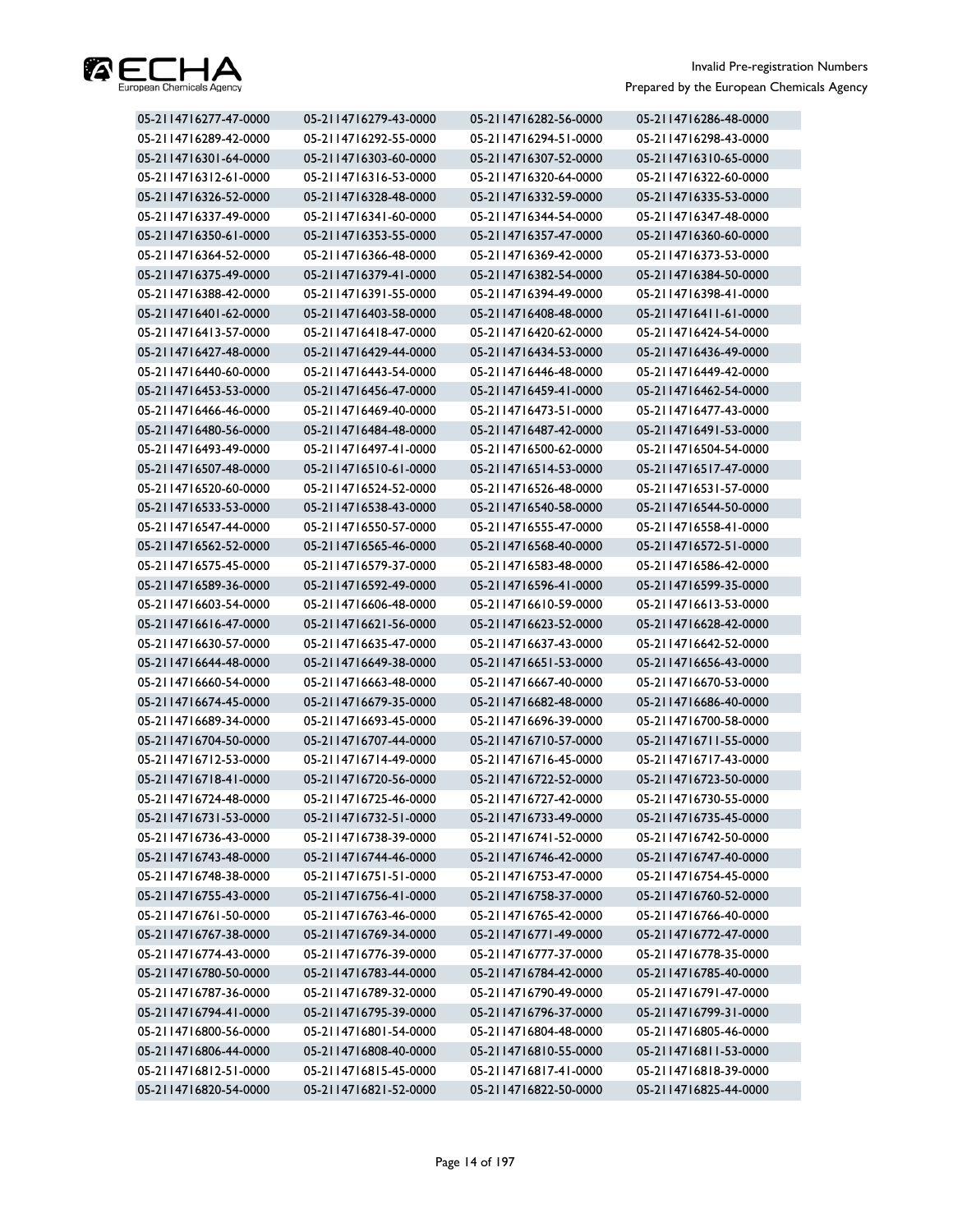

| 05-2114716277-47-0000 | 05-2114716279-43-0000 | 05-2114716282-56-0000 | 05-2114716286-48-0000 |
|-----------------------|-----------------------|-----------------------|-----------------------|
| 05-2114716289-42-0000 | 05-2114716292-55-0000 | 05-2114716294-51-0000 | 05-2114716298-43-0000 |
| 05-2114716301-64-0000 | 05-2114716303-60-0000 | 05-2114716307-52-0000 | 05-2114716310-65-0000 |
| 05-2114716312-61-0000 | 05-2114716316-53-0000 | 05-2114716320-64-0000 | 05-2114716322-60-0000 |
| 05-2114716326-52-0000 | 05-2114716328-48-0000 | 05-2114716332-59-0000 | 05-2114716335-53-0000 |
| 05-2114716337-49-0000 | 05-2114716341-60-0000 | 05-2114716344-54-0000 | 05-2114716347-48-0000 |
| 05-2114716350-61-0000 | 05-2114716353-55-0000 | 05-2114716357-47-0000 | 05-2114716360-60-0000 |
| 05-2114716364-52-0000 | 05-2114716366-48-0000 | 05-2114716369-42-0000 | 05-2114716373-53-0000 |
| 05-2114716375-49-0000 | 05-2114716379-41-0000 | 05-2114716382-54-0000 | 05-2114716384-50-0000 |
| 05-2114716388-42-0000 | 05-2114716391-55-0000 | 05-2114716394-49-0000 | 05-2114716398-41-0000 |
| 05-2114716401-62-0000 | 05-2114716403-58-0000 | 05-2114716408-48-0000 | 05-2114716411-61-0000 |
| 05-2114716413-57-0000 | 05-2114716418-47-0000 | 05-2114716420-62-0000 | 05-2114716424-54-0000 |
| 05-2114716427-48-0000 | 05-2114716429-44-0000 | 05-2114716434-53-0000 | 05-2114716436-49-0000 |
| 05-2114716440-60-0000 | 05-2114716443-54-0000 | 05-2114716446-48-0000 | 05-2114716449-42-0000 |
| 05-2114716453-53-0000 | 05-2114716456-47-0000 | 05-2114716459-41-0000 | 05-2114716462-54-0000 |
| 05-2114716466-46-0000 | 05-2114716469-40-0000 | 05-2114716473-51-0000 | 05-2114716477-43-0000 |
| 05-2114716480-56-0000 | 05-2114716484-48-0000 | 05-2114716487-42-0000 | 05-2114716491-53-0000 |
| 05-2114716493-49-0000 | 05-2114716497-41-0000 | 05-2114716500-62-0000 | 05-2114716504-54-0000 |
| 05-2114716507-48-0000 | 05-2114716510-61-0000 | 05-2114716514-53-0000 | 05-2114716517-47-0000 |
| 05-2114716520-60-0000 | 05-2114716524-52-0000 | 05-2114716526-48-0000 | 05-2114716531-57-0000 |
| 05-2114716533-53-0000 | 05-2114716538-43-0000 | 05-2114716540-58-0000 | 05-2114716544-50-0000 |
| 05-2114716547-44-0000 | 05-2114716550-57-0000 | 05-2114716555-47-0000 | 05-2114716558-41-0000 |
| 05-2114716562-52-0000 | 05-2114716565-46-0000 | 05-2114716568-40-0000 | 05-2114716572-51-0000 |
| 05-2114716575-45-0000 | 05-2114716579-37-0000 | 05-2114716583-48-0000 | 05-2114716586-42-0000 |
| 05-2114716589-36-0000 | 05-2114716592-49-0000 | 05-2114716596-41-0000 | 05-2114716599-35-0000 |
| 05-2114716603-54-0000 | 05-2114716606-48-0000 | 05-2114716610-59-0000 | 05-2114716613-53-0000 |
| 05-2114716616-47-0000 | 05-2114716621-56-0000 | 05-2114716623-52-0000 | 05-2114716628-42-0000 |
| 05-2114716630-57-0000 | 05-2114716635-47-0000 | 05-2114716637-43-0000 | 05-2114716642-52-0000 |
| 05-2114716644-48-0000 | 05-2114716649-38-0000 | 05-2114716651-53-0000 | 05-2114716656-43-0000 |
| 05-2114716660-54-0000 | 05-2114716663-48-0000 | 05-2114716667-40-0000 | 05-2114716670-53-0000 |
| 05-2114716674-45-0000 | 05-2114716679-35-0000 | 05-2114716682-48-0000 | 05-2114716686-40-0000 |
| 05-2114716689-34-0000 | 05-2114716693-45-0000 | 05-2114716696-39-0000 | 05-2114716700-58-0000 |
| 05-2114716704-50-0000 | 05-2114716707-44-0000 | 05-2114716710-57-0000 | 05-2114716711-55-0000 |
| 05-2114716712-53-0000 | 05-2114716714-49-0000 | 05-2114716716-45-0000 | 05-2114716717-43-0000 |
| 05-2114716718-41-0000 | 05-2114716720-56-0000 | 05-2114716722-52-0000 | 05-2114716723-50-0000 |
| 05-2114716724-48-0000 | 05-2114716725-46-0000 | 05-2114716727-42-0000 | 05-2114716730-55-0000 |
| 05-2114716731-53-0000 | 05-2114716732-51-0000 | 05-2114716733-49-0000 | 05-2114716735-45-0000 |
| 05-2114716736-43-0000 | 05-2114716738-39-0000 | 05-2114716741-52-0000 | 05-2114716742-50-0000 |
| 05-2114716743-48-0000 | 05-2114716744-46-0000 | 05-2114716746-42-0000 | 05-2114716747-40-0000 |
| 05-2114716748-38-0000 | 05-2114716751-51-0000 | 05-2114716753-47-0000 | 05-2114716754-45-0000 |
| 05-2114716755-43-0000 | 05-2114716756-41-0000 | 05-2114716758-37-0000 | 05-2114716760-52-0000 |
| 05-2114716761-50-0000 | 05-2114716763-46-0000 | 05-2114716765-42-0000 | 05-2114716766-40-0000 |
| 05-2114716767-38-0000 | 05-2114716769-34-0000 | 05-2114716771-49-0000 | 05-2114716772-47-0000 |
| 05-2114716774-43-0000 | 05-2114716776-39-0000 | 05-2114716777-37-0000 | 05-2114716778-35-0000 |
| 05-2114716780-50-0000 | 05-2114716783-44-0000 | 05-2114716784-42-0000 | 05-2114716785-40-0000 |
| 05-2114716787-36-0000 | 05-2114716789-32-0000 | 05-2114716790-49-0000 | 05-2114716791-47-0000 |
| 05-2114716794-41-0000 | 05-2114716795-39-0000 | 05-2114716796-37-0000 | 05-2114716799-31-0000 |
| 05-2114716800-56-0000 | 05-2114716801-54-0000 | 05-2114716804-48-0000 | 05-2114716805-46-0000 |
| 05-2114716806-44-0000 | 05-2114716808-40-0000 | 05-2114716810-55-0000 | 05-2114716811-53-0000 |
| 05-2114716812-51-0000 | 05-2114716815-45-0000 | 05-2114716817-41-0000 | 05-2114716818-39-0000 |
| 05-2114716820-54-0000 | 05-2114716821-52-0000 | 05-2114716822-50-0000 | 05-2114716825-44-0000 |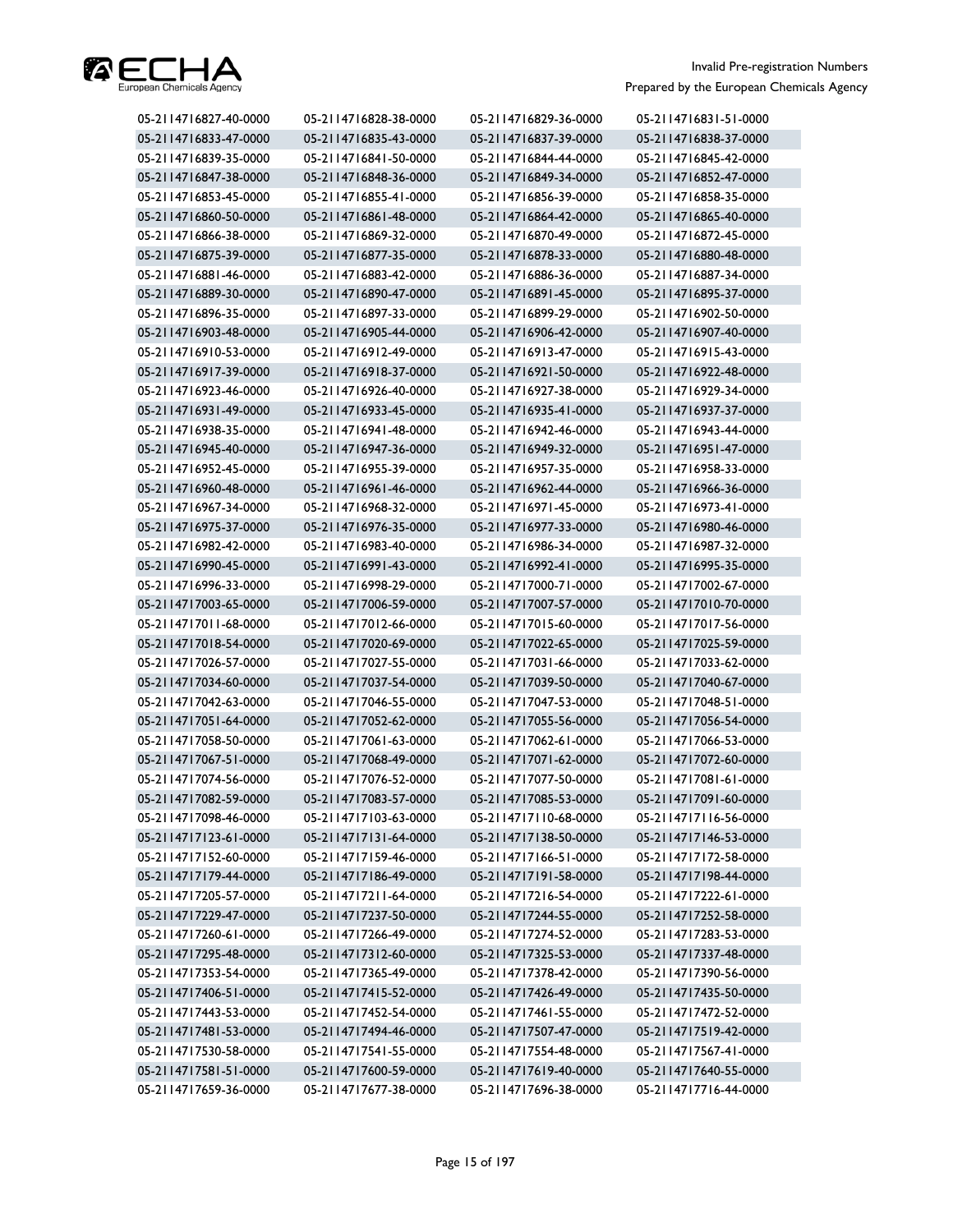

| 05-2114716827-40-0000 | 05-2114716828-38-0000 | 05-2114716829-36-0000 | 05-2114716831-51-0000 |
|-----------------------|-----------------------|-----------------------|-----------------------|
| 05-2114716833-47-0000 | 05-2114716835-43-0000 | 05-2114716837-39-0000 | 05-2114716838-37-0000 |
| 05-2114716839-35-0000 | 05-2114716841-50-0000 | 05-2114716844-44-0000 | 05-2114716845-42-0000 |
| 05-2114716847-38-0000 | 05-2114716848-36-0000 | 05-2114716849-34-0000 | 05-2114716852-47-0000 |
| 05-2114716853-45-0000 | 05-2114716855-41-0000 | 05-2114716856-39-0000 | 05-2114716858-35-0000 |
| 05-2114716860-50-0000 | 05-2114716861-48-0000 | 05-2114716864-42-0000 | 05-2114716865-40-0000 |
| 05-2114716866-38-0000 | 05-2114716869-32-0000 | 05-2114716870-49-0000 | 05-2114716872-45-0000 |
| 05-2114716875-39-0000 | 05-2114716877-35-0000 | 05-2114716878-33-0000 | 05-2114716880-48-0000 |
| 05-2114716881-46-0000 | 05-2114716883-42-0000 | 05-2114716886-36-0000 | 05-2114716887-34-0000 |
| 05-2114716889-30-0000 | 05-2114716890-47-0000 | 05-2114716891-45-0000 | 05-2114716895-37-0000 |
| 05-2114716896-35-0000 | 05-2114716897-33-0000 | 05-2114716899-29-0000 | 05-2114716902-50-0000 |
| 05-2114716903-48-0000 | 05-2114716905-44-0000 | 05-2114716906-42-0000 | 05-2114716907-40-0000 |
| 05-2114716910-53-0000 | 05-2114716912-49-0000 | 05-2114716913-47-0000 | 05-2114716915-43-0000 |
| 05-2114716917-39-0000 | 05-2114716918-37-0000 | 05-2114716921-50-0000 | 05-2114716922-48-0000 |
| 05-2114716923-46-0000 | 05-2114716926-40-0000 | 05-2114716927-38-0000 | 05-2114716929-34-0000 |
| 05-2114716931-49-0000 | 05-2114716933-45-0000 | 05-2114716935-41-0000 | 05-2114716937-37-0000 |
| 05-2114716938-35-0000 | 05-2114716941-48-0000 | 05-2114716942-46-0000 | 05-2114716943-44-0000 |
| 05-2114716945-40-0000 | 05-2114716947-36-0000 | 05-2114716949-32-0000 | 05-2114716951-47-0000 |
| 05-2114716952-45-0000 | 05-2114716955-39-0000 | 05-2114716957-35-0000 | 05-2114716958-33-0000 |
| 05-2114716960-48-0000 | 05-2114716961-46-0000 | 05-2114716962-44-0000 | 05-2114716966-36-0000 |
| 05-2114716967-34-0000 | 05-2114716968-32-0000 | 05-2114716971-45-0000 | 05-2114716973-41-0000 |
| 05-2114716975-37-0000 | 05-2114716976-35-0000 | 05-2114716977-33-0000 | 05-2114716980-46-0000 |
| 05-2114716982-42-0000 | 05-2114716983-40-0000 | 05-2114716986-34-0000 | 05-2114716987-32-0000 |
| 05-2114716990-45-0000 | 05-2114716991-43-0000 | 05-2114716992-41-0000 | 05-2114716995-35-0000 |
| 05-2114716996-33-0000 | 05-2114716998-29-0000 | 05-2114717000-71-0000 | 05-2114717002-67-0000 |
| 05-2114717003-65-0000 | 05-2114717006-59-0000 | 05-2114717007-57-0000 | 05-2114717010-70-0000 |
| 05-2114717011-68-0000 | 05-2114717012-66-0000 | 05-2114717015-60-0000 | 05-2114717017-56-0000 |
| 05-2114717018-54-0000 | 05-2114717020-69-0000 | 05-2114717022-65-0000 | 05-2114717025-59-0000 |
| 05-2114717026-57-0000 | 05-2114717027-55-0000 | 05-2114717031-66-0000 | 05-2114717033-62-0000 |
| 05-2114717034-60-0000 | 05-2114717037-54-0000 | 05-2114717039-50-0000 | 05-2114717040-67-0000 |
| 05-2114717042-63-0000 | 05-2114717046-55-0000 | 05-2114717047-53-0000 | 05-2114717048-51-0000 |
| 05-2114717051-64-0000 | 05-2114717052-62-0000 | 05-2114717055-56-0000 | 05-2114717056-54-0000 |
| 05-2114717058-50-0000 | 05-2114717061-63-0000 | 05-2114717062-61-0000 | 05-2114717066-53-0000 |
| 05-2114717067-51-0000 | 05-2114717068-49-0000 | 05-2114717071-62-0000 | 05-2114717072-60-0000 |
| 05-2114717074-56-0000 | 05-2114717076-52-0000 | 05-2114717077-50-0000 | 05-2114717081-61-0000 |
| 05-2114717082-59-0000 | 05-2114717083-57-0000 | 05-2114717085-53-0000 | 05-2114717091-60-0000 |
| 05-2114717098-46-0000 | 05-2114717103-63-0000 | 05-2114717110-68-0000 | 05-2114717116-56-0000 |
| 05-2114717123-61-0000 | 05-2114717131-64-0000 | 05-2114717138-50-0000 | 05-2114717146-53-0000 |
| 05-2114717152-60-0000 | 05-2114717159-46-0000 | 05-2114717166-51-0000 | 05-2114717172-58-0000 |
| 05-2114717179-44-0000 | 05-2114717186-49-0000 | 05-2114717191-58-0000 | 05-2114717198-44-0000 |
| 05-2114717205-57-0000 | 05-2114717211-64-0000 | 05-2114717216-54-0000 | 05-2114717222-61-0000 |
| 05-2114717229-47-0000 | 05-2114717237-50-0000 | 05-2114717244-55-0000 | 05-2114717252-58-0000 |
| 05-2114717260-61-0000 | 05-2114717266-49-0000 | 05-2114717274-52-0000 | 05-2114717283-53-0000 |
| 05-2114717295-48-0000 | 05-2114717312-60-0000 | 05-2114717325-53-0000 | 05-2114717337-48-0000 |
| 05-2114717353-54-0000 | 05-2114717365-49-0000 | 05-2114717378-42-0000 | 05-2114717390-56-0000 |
| 05-2114717406-51-0000 | 05-2114717415-52-0000 | 05-2114717426-49-0000 | 05-2114717435-50-0000 |
| 05-2114717443-53-0000 | 05-2114717452-54-0000 | 05-2114717461-55-0000 | 05-2114717472-52-0000 |
| 05-2114717481-53-0000 | 05-2114717494-46-0000 | 05-2114717507-47-0000 | 05-2114717519-42-0000 |
| 05-2114717530-58-0000 | 05-2114717541-55-0000 | 05-2114717554-48-0000 | 05-2114717567-41-0000 |
| 05-2114717581-51-0000 | 05-2114717600-59-0000 | 05-2114717619-40-0000 | 05-2114717640-55-0000 |
| 05-2114717659-36-0000 | 05-2114717677-38-0000 | 05-2114717696-38-0000 | 05-2114717716-44-0000 |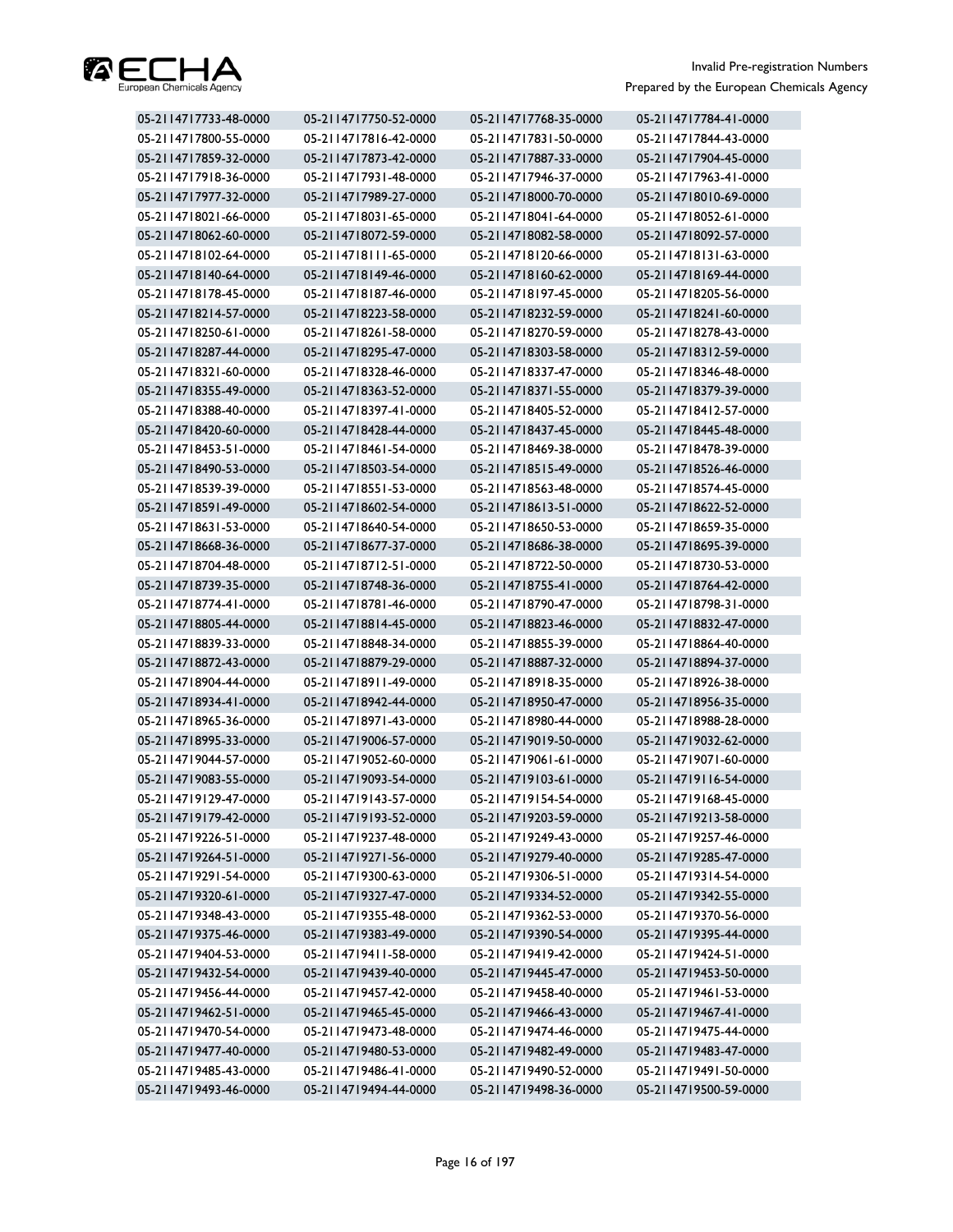

| 05-2114717733-48-0000 | 05-2114717750-52-0000 | 05-2114717768-35-0000 | 05-2114717784-41-0000 |
|-----------------------|-----------------------|-----------------------|-----------------------|
| 05-2114717800-55-0000 | 05-2114717816-42-0000 | 05-2114717831-50-0000 | 05-2114717844-43-0000 |
| 05-2114717859-32-0000 | 05-2114717873-42-0000 | 05-2114717887-33-0000 | 05-2114717904-45-0000 |
| 05-2114717918-36-0000 | 05-2114717931-48-0000 | 05-2114717946-37-0000 | 05-2114717963-41-0000 |
| 05-2114717977-32-0000 | 05-2114717989-27-0000 | 05-2114718000-70-0000 | 05-2114718010-69-0000 |
| 05-2114718021-66-0000 | 05-2114718031-65-0000 | 05-2114718041-64-0000 | 05-2114718052-61-0000 |
| 05-2114718062-60-0000 | 05-2114718072-59-0000 | 05-2114718082-58-0000 | 05-2114718092-57-0000 |
| 05-2114718102-64-0000 | 05-2114718111-65-0000 | 05-2114718120-66-0000 | 05-2114718131-63-0000 |
| 05-2114718140-64-0000 | 05-2114718149-46-0000 | 05-2114718160-62-0000 | 05-2114718169-44-0000 |
| 05-2114718178-45-0000 | 05-2114718187-46-0000 | 05-2114718197-45-0000 | 05-2114718205-56-0000 |
| 05-2114718214-57-0000 | 05-2114718223-58-0000 | 05-2114718232-59-0000 | 05-2114718241-60-0000 |
| 05-2114718250-61-0000 | 05-2114718261-58-0000 | 05-2114718270-59-0000 | 05-2114718278-43-0000 |
| 05-2114718287-44-0000 | 05-2114718295-47-0000 | 05-2114718303-58-0000 | 05-2114718312-59-0000 |
| 05-2114718321-60-0000 | 05-2114718328-46-0000 | 05-2114718337-47-0000 | 05-2114718346-48-0000 |
| 05-2114718355-49-0000 | 05-2114718363-52-0000 | 05-2114718371-55-0000 | 05-2114718379-39-0000 |
| 05-2114718388-40-0000 | 05-2114718397-41-0000 | 05-2114718405-52-0000 | 05-2114718412-57-0000 |
| 05-2114718420-60-0000 | 05-2114718428-44-0000 | 05-2114718437-45-0000 | 05-2114718445-48-0000 |
| 05-2114718453-51-0000 | 05-2114718461-54-0000 | 05-2114718469-38-0000 | 05-2114718478-39-0000 |
| 05-2114718490-53-0000 | 05-2114718503-54-0000 | 05-2114718515-49-0000 | 05-2114718526-46-0000 |
| 05-2114718539-39-0000 | 05-2114718551-53-0000 | 05-2114718563-48-0000 | 05-2114718574-45-0000 |
| 05-2114718591-49-0000 | 05-2114718602-54-0000 | 05-2114718613-51-0000 | 05-2114718622-52-0000 |
| 05-2114718631-53-0000 | 05-2114718640-54-0000 | 05-2114718650-53-0000 | 05-2114718659-35-0000 |
| 05-2114718668-36-0000 | 05-2114718677-37-0000 | 05-2114718686-38-0000 | 05-2114718695-39-0000 |
| 05-2114718704-48-0000 | 05-2114718712-51-0000 | 05-2114718722-50-0000 | 05-2114718730-53-0000 |
| 05-2114718739-35-0000 | 05-2114718748-36-0000 | 05-2114718755-41-0000 | 05-2114718764-42-0000 |
| 05-2114718774-41-0000 | 05-2114718781-46-0000 | 05-2114718790-47-0000 | 05-2114718798-31-0000 |
| 05-2114718805-44-0000 | 05-2114718814-45-0000 | 05-2114718823-46-0000 | 05-2114718832-47-0000 |
| 05-2114718839-33-0000 | 05-2114718848-34-0000 | 05-2114718855-39-0000 | 05-2114718864-40-0000 |
| 05-2114718872-43-0000 | 05-2114718879-29-0000 | 05-2114718887-32-0000 | 05-2114718894-37-0000 |
| 05-2114718904-44-0000 | 05-2114718911-49-0000 | 05-2114718918-35-0000 | 05-2114718926-38-0000 |
| 05-2114718934-41-0000 | 05-2114718942-44-0000 | 05-2114718950-47-0000 | 05-2114718956-35-0000 |
| 05-2114718965-36-0000 | 05-2114718971-43-0000 | 05-2114718980-44-0000 | 05-2114718988-28-0000 |
| 05-2114718995-33-0000 | 05-2114719006-57-0000 | 05-2114719019-50-0000 | 05-2114719032-62-0000 |
| 05-2114719044-57-0000 | 05-2114719052-60-0000 | 05-2114719061-61-0000 | 05-2114719071-60-0000 |
| 05-2114719083-55-0000 | 05-2114719093-54-0000 | 05-2114719103-61-0000 | 05-2114719116-54-0000 |
| 05-2114719129-47-0000 | 05-2114719143-57-0000 | 05-2114719154-54-0000 | 05-2114719168-45-0000 |
| 05-2114719179-42-0000 | 05-2114719193-52-0000 | 05-2114719203-59-0000 | 05-2114719213-58-0000 |
| 05-2114719226-51-0000 | 05-2114719237-48-0000 | 05-2114719249-43-0000 | 05-2114719257-46-0000 |
| 05-2114719264-51-0000 | 05-2114719271-56-0000 | 05-2114719279-40-0000 | 05-2114719285-47-0000 |
| 05-2114719291-54-0000 | 05-2114719300-63-0000 | 05-2114719306-51-0000 | 05-2114719314-54-0000 |
| 05-2114719320-61-0000 | 05-2114719327-47-0000 | 05-2114719334-52-0000 | 05-2114719342-55-0000 |
| 05-2114719348-43-0000 | 05-2114719355-48-0000 | 05-2114719362-53-0000 | 05-2114719370-56-0000 |
| 05-2114719375-46-0000 | 05-2114719383-49-0000 | 05-2114719390-54-0000 | 05-2114719395-44-0000 |
| 05-2114719404-53-0000 | 05-2114719411-58-0000 | 05-2114719419-42-0000 | 05-2114719424-51-0000 |
| 05-2114719432-54-0000 | 05-2114719439-40-0000 | 05-2114719445-47-0000 | 05-2114719453-50-0000 |
| 05-2114719456-44-0000 | 05-2114719457-42-0000 | 05-2114719458-40-0000 | 05-2114719461-53-0000 |
| 05-2114719462-51-0000 | 05-2114719465-45-0000 | 05-2114719466-43-0000 | 05-2114719467-41-0000 |
| 05-2114719470-54-0000 | 05-2114719473-48-0000 | 05-2114719474-46-0000 | 05-2114719475-44-0000 |
| 05-2114719477-40-0000 | 05-2114719480-53-0000 | 05-2114719482-49-0000 | 05-2114719483-47-0000 |
| 05-2114719485-43-0000 | 05-2114719486-41-0000 | 05-2114719490-52-0000 | 05-2114719491-50-0000 |
| 05-2114719493-46-0000 | 05-2114719494-44-0000 | 05-2114719498-36-0000 | 05-2114719500-59-0000 |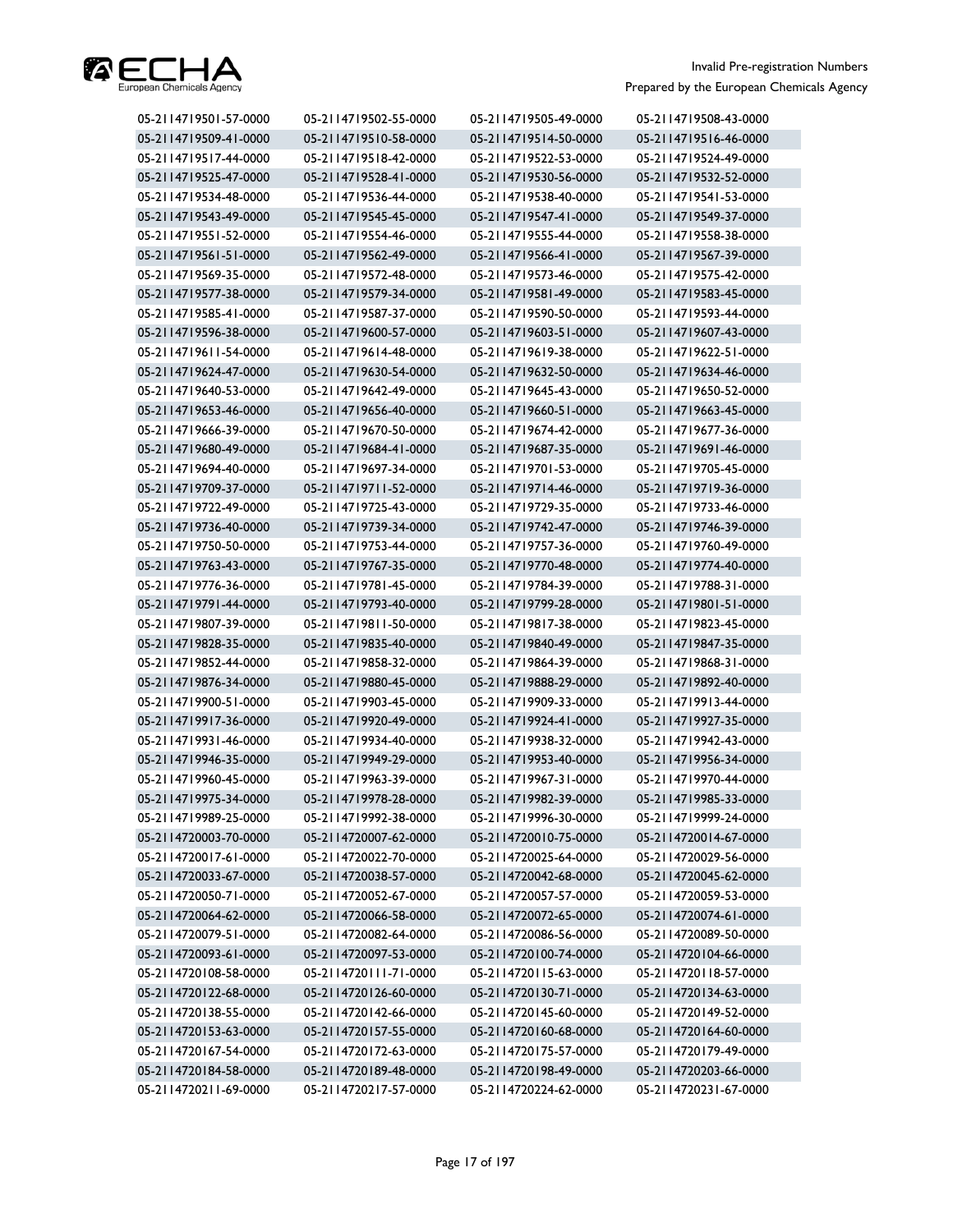

| 05-2114719501-57-0000 | 05-2114719502-55-0000 | 05-2114719505-49-0000 | 05-2114719508-43-0000 |
|-----------------------|-----------------------|-----------------------|-----------------------|
| 05-2114719509-41-0000 | 05-2114719510-58-0000 | 05-2114719514-50-0000 | 05-2114719516-46-0000 |
| 05-2114719517-44-0000 | 05-2114719518-42-0000 | 05-2114719522-53-0000 | 05-2114719524-49-0000 |
| 05-2114719525-47-0000 | 05-2114719528-41-0000 | 05-2114719530-56-0000 | 05-2114719532-52-0000 |
| 05-2114719534-48-0000 | 05-2114719536-44-0000 | 05-2114719538-40-0000 | 05-2114719541-53-0000 |
| 05-2114719543-49-0000 | 05-2114719545-45-0000 | 05-2114719547-41-0000 | 05-2114719549-37-0000 |
| 05-2114719551-52-0000 | 05-2114719554-46-0000 | 05-2114719555-44-0000 | 05-2114719558-38-0000 |
| 05-2114719561-51-0000 | 05-2114719562-49-0000 | 05-2114719566-41-0000 | 05-2114719567-39-0000 |
| 05-2114719569-35-0000 | 05-2114719572-48-0000 | 05-2114719573-46-0000 | 05-2114719575-42-0000 |
| 05-2114719577-38-0000 | 05-2114719579-34-0000 | 05-2114719581-49-0000 | 05-2114719583-45-0000 |
| 05-2114719585-41-0000 | 05-2114719587-37-0000 | 05-2114719590-50-0000 | 05-2114719593-44-0000 |
| 05-2114719596-38-0000 | 05-2114719600-57-0000 | 05-2114719603-51-0000 | 05-2114719607-43-0000 |
| 05-2114719611-54-0000 | 05-2114719614-48-0000 | 05-2114719619-38-0000 | 05-2114719622-51-0000 |
| 05-2114719624-47-0000 | 05-2114719630-54-0000 | 05-2114719632-50-0000 | 05-2114719634-46-0000 |
| 05-2114719640-53-0000 | 05-2114719642-49-0000 | 05-2114719645-43-0000 | 05-2114719650-52-0000 |
| 05-2114719653-46-0000 | 05-2114719656-40-0000 | 05-2114719660-51-0000 | 05-2114719663-45-0000 |
| 05-2114719666-39-0000 | 05-2114719670-50-0000 | 05-2114719674-42-0000 | 05-2114719677-36-0000 |
| 05-2114719680-49-0000 | 05-2114719684-41-0000 | 05-2114719687-35-0000 | 05-2114719691-46-0000 |
| 05-2114719694-40-0000 | 05-2114719697-34-0000 | 05-2114719701-53-0000 | 05-2114719705-45-0000 |
| 05-2114719709-37-0000 | 05-2114719711-52-0000 | 05-2114719714-46-0000 | 05-2114719719-36-0000 |
| 05-2114719722-49-0000 | 05-2114719725-43-0000 | 05-2114719729-35-0000 | 05-2114719733-46-0000 |
| 05-2114719736-40-0000 | 05-2114719739-34-0000 | 05-2114719742-47-0000 | 05-2114719746-39-0000 |
| 05-2114719750-50-0000 | 05-2114719753-44-0000 | 05-2114719757-36-0000 | 05-2114719760-49-0000 |
| 05-2114719763-43-0000 | 05-2114719767-35-0000 | 05-2114719770-48-0000 | 05-2114719774-40-0000 |
| 05-2114719776-36-0000 | 05-2114719781-45-0000 | 05-2114719784-39-0000 | 05-2114719788-31-0000 |
| 05-2114719791-44-0000 | 05-2114719793-40-0000 | 05-2114719799-28-0000 | 05-2114719801-51-0000 |
| 05-2114719807-39-0000 | 05-2114719811-50-0000 | 05-2114719817-38-0000 | 05-2114719823-45-0000 |
| 05-2114719828-35-0000 | 05-2114719835-40-0000 | 05-2114719840-49-0000 | 05-2114719847-35-0000 |
| 05-2114719852-44-0000 | 05-2114719858-32-0000 | 05-2114719864-39-0000 | 05-2114719868-31-0000 |
| 05-2114719876-34-0000 | 05-2114719880-45-0000 | 05-2114719888-29-0000 | 05-2114719892-40-0000 |
| 05-2114719900-51-0000 | 05-2114719903-45-0000 | 05-2114719909-33-0000 | 05-2114719913-44-0000 |
| 05-2114719917-36-0000 | 05-2114719920-49-0000 | 05-2114719924-41-0000 | 05-2114719927-35-0000 |
| 05-2114719931-46-0000 | 05-2114719934-40-0000 | 05-2114719938-32-0000 | 05-2114719942-43-0000 |
| 05-2114719946-35-0000 | 05-2114719949-29-0000 | 05-2114719953-40-0000 | 05-2114719956-34-0000 |
| 05-2114719960-45-0000 | 05-2114719963-39-0000 | 05-2114719967-31-0000 | 05-2114719970-44-0000 |
| 05-2114719975-34-0000 | 05-2114719978-28-0000 | 05-2114719982-39-0000 | 05-2114719985-33-0000 |
| 05-2114719989-25-0000 | 05-2114719992-38-0000 | 05-2114719996-30-0000 | 05-2114719999-24-0000 |
| 05-2114720003-70-0000 | 05-2114720007-62-0000 | 05-2114720010-75-0000 | 05-2114720014-67-0000 |
| 05-2114720017-61-0000 | 05-2114720022-70-0000 | 05-2114720025-64-0000 | 05-2114720029-56-0000 |
| 05-2114720033-67-0000 | 05-2114720038-57-0000 | 05-2114720042-68-0000 | 05-2114720045-62-0000 |
| 05-2114720050-71-0000 | 05-2114720052-67-0000 | 05-2114720057-57-0000 | 05-2114720059-53-0000 |
| 05-2114720064-62-0000 | 05-2114720066-58-0000 | 05-2114720072-65-0000 | 05-2114720074-61-0000 |
| 05-2114720079-51-0000 | 05-2114720082-64-0000 | 05-2114720086-56-0000 | 05-2114720089-50-0000 |
| 05-2114720093-61-0000 | 05-2114720097-53-0000 | 05-2114720100-74-0000 | 05-2114720104-66-0000 |
| 05-2114720108-58-0000 | 05-2114720111-71-0000 | 05-2114720115-63-0000 | 05-2114720118-57-0000 |
| 05-2114720122-68-0000 | 05-2114720126-60-0000 | 05-2114720130-71-0000 | 05-2114720134-63-0000 |
| 05-2114720138-55-0000 | 05-2114720142-66-0000 | 05-2114720145-60-0000 | 05-2114720149-52-0000 |
| 05-2114720153-63-0000 | 05-2114720157-55-0000 | 05-2114720160-68-0000 | 05-2114720164-60-0000 |
| 05-2114720167-54-0000 | 05-2114720172-63-0000 | 05-2114720175-57-0000 | 05-2114720179-49-0000 |
| 05-2114720184-58-0000 | 05-2114720189-48-0000 | 05-2114720198-49-0000 | 05-2114720203-66-0000 |
| 05-2114720211-69-0000 | 05-2114720217-57-0000 | 05-2114720224-62-0000 | 05-2114720231-67-0000 |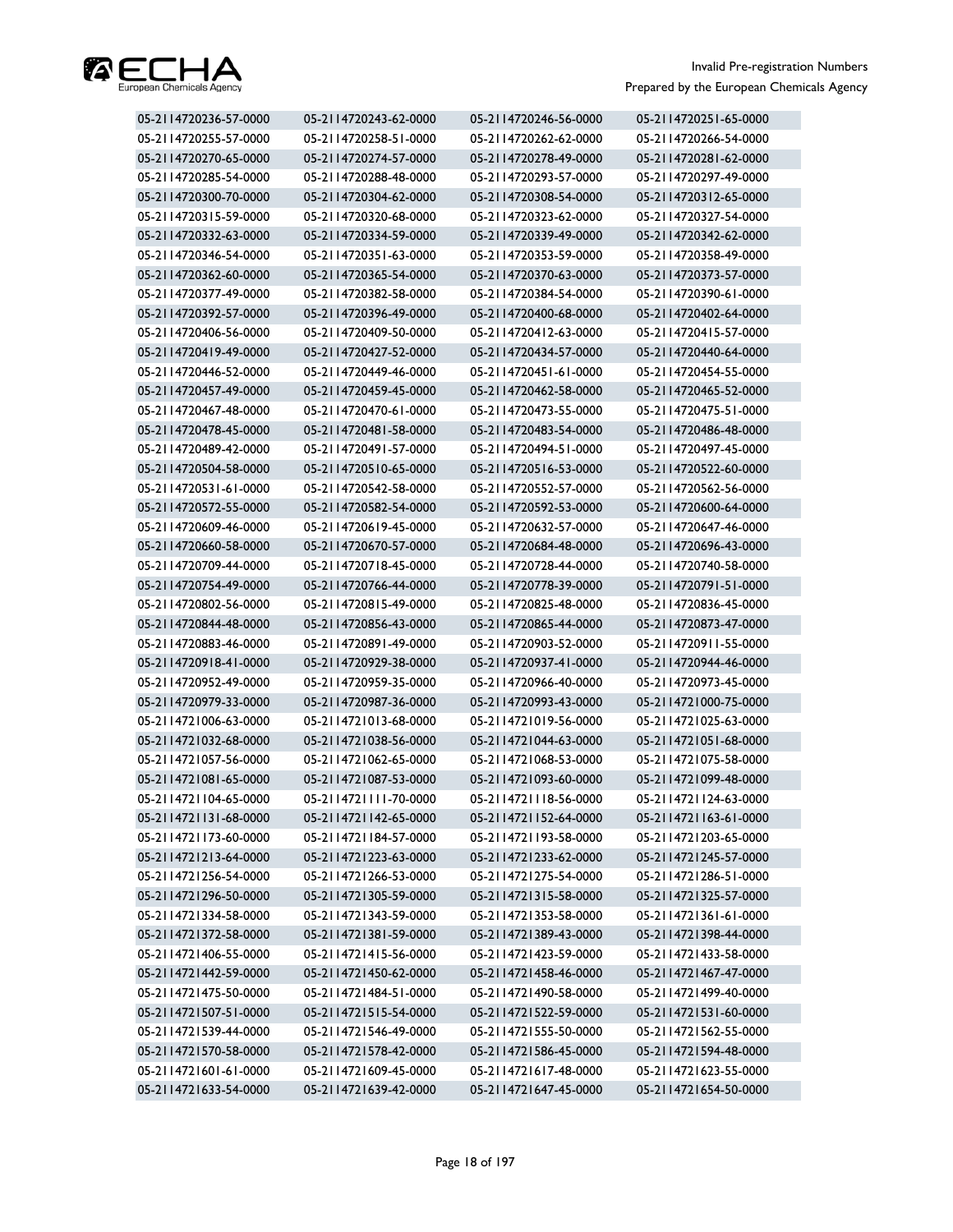

| 05-2114720236-57-0000 | 05-2114720243-62-0000 | 05-2114720246-56-0000 | 05-2114720251-65-0000 |
|-----------------------|-----------------------|-----------------------|-----------------------|
| 05-2114720255-57-0000 | 05-2114720258-51-0000 | 05-2114720262-62-0000 | 05-2114720266-54-0000 |
| 05-2114720270-65-0000 | 05-2114720274-57-0000 | 05-2114720278-49-0000 | 05-2114720281-62-0000 |
| 05-2114720285-54-0000 | 05-2114720288-48-0000 | 05-2114720293-57-0000 | 05-2114720297-49-0000 |
| 05-2114720300-70-0000 | 05-2114720304-62-0000 | 05-2114720308-54-0000 | 05-2114720312-65-0000 |
| 05-2114720315-59-0000 | 05-2114720320-68-0000 | 05-2114720323-62-0000 | 05-2114720327-54-0000 |
| 05-2114720332-63-0000 | 05-2114720334-59-0000 | 05-2114720339-49-0000 | 05-2114720342-62-0000 |
| 05-2114720346-54-0000 | 05-2114720351-63-0000 | 05-2114720353-59-0000 | 05-2114720358-49-0000 |
| 05-2114720362-60-0000 | 05-2114720365-54-0000 | 05-2114720370-63-0000 | 05-2114720373-57-0000 |
| 05-2114720377-49-0000 | 05-2114720382-58-0000 | 05-2114720384-54-0000 | 05-2114720390-61-0000 |
| 05-2114720392-57-0000 | 05-2114720396-49-0000 | 05-2114720400-68-0000 | 05-2114720402-64-0000 |
| 05-2114720406-56-0000 | 05-2114720409-50-0000 | 05-2114720412-63-0000 | 05-2114720415-57-0000 |
| 05-2114720419-49-0000 | 05-2114720427-52-0000 | 05-2114720434-57-0000 | 05-2114720440-64-0000 |
| 05-2114720446-52-0000 | 05-2114720449-46-0000 | 05-2114720451-61-0000 | 05-2114720454-55-0000 |
| 05-2114720457-49-0000 | 05-2114720459-45-0000 | 05-2114720462-58-0000 | 05-2114720465-52-0000 |
| 05-2114720467-48-0000 | 05-2114720470-61-0000 | 05-2114720473-55-0000 | 05-2114720475-51-0000 |
| 05-2114720478-45-0000 | 05-2114720481-58-0000 | 05-2114720483-54-0000 | 05-2114720486-48-0000 |
| 05-2114720489-42-0000 | 05-2114720491-57-0000 | 05-2114720494-51-0000 | 05-2114720497-45-0000 |
| 05-2114720504-58-0000 | 05-2114720510-65-0000 | 05-2114720516-53-0000 | 05-2114720522-60-0000 |
| 05-2114720531-61-0000 | 05-2114720542-58-0000 | 05-2114720552-57-0000 | 05-2114720562-56-0000 |
| 05-2114720572-55-0000 | 05-2114720582-54-0000 | 05-2114720592-53-0000 | 05-2114720600-64-0000 |
| 05-2114720609-46-0000 | 05-2114720619-45-0000 | 05-2114720632-57-0000 | 05-2114720647-46-0000 |
| 05-2114720660-58-0000 | 05-2114720670-57-0000 | 05-2114720684-48-0000 | 05-2114720696-43-0000 |
| 05-2114720709-44-0000 | 05-2114720718-45-0000 | 05-2114720728-44-0000 | 05-2114720740-58-0000 |
| 05-2114720754-49-0000 | 05-2114720766-44-0000 | 05-2114720778-39-0000 | 05-2114720791-51-0000 |
| 05-2114720802-56-0000 | 05-2114720815-49-0000 | 05-2114720825-48-0000 | 05-2114720836-45-0000 |
| 05-2114720844-48-0000 | 05-2114720856-43-0000 | 05-2114720865-44-0000 | 05-2114720873-47-0000 |
| 05-2114720883-46-0000 | 05-2114720891-49-0000 | 05-2114720903-52-0000 | 05-2114720911-55-0000 |
| 05-2114720918-41-0000 | 05-2114720929-38-0000 | 05-2114720937-41-0000 | 05-2114720944-46-0000 |
| 05-2114720952-49-0000 | 05-2114720959-35-0000 | 05-2114720966-40-0000 | 05-2114720973-45-0000 |
| 05-2114720979-33-0000 | 05-2114720987-36-0000 | 05-2114720993-43-0000 | 05-2114721000-75-0000 |
| 05-2114721006-63-0000 | 05-2114721013-68-0000 | 05-2114721019-56-0000 | 05-2114721025-63-0000 |
| 05-2114721032-68-0000 | 05-2114721038-56-0000 | 05-2114721044-63-0000 | 05-2114721051-68-0000 |
| 05-2114721057-56-0000 | 05-2114721062-65-0000 | 05-2114721068-53-0000 | 05-2114721075-58-0000 |
| 05-2114721081-65-0000 | 05-2114721087-53-0000 | 05-2114721093-60-0000 | 05-2114721099-48-0000 |
| 05-2114721104-65-0000 | 05-2114721111-70-0000 | 05-2114721118-56-0000 | 05-2114721124-63-0000 |
| 05-2114721131-68-0000 | 05-2114721142-65-0000 | 05-2114721152-64-0000 | 05-2114721163-61-0000 |
| 05-2114721173-60-0000 | 05-2114721184-57-0000 | 05-2114721193-58-0000 | 05-2114721203-65-0000 |
| 05-2114721213-64-0000 | 05-2114721223-63-0000 | 05-2114721233-62-0000 | 05-2114721245-57-0000 |
| 05-2114721256-54-0000 | 05-2114721266-53-0000 | 05-2114721275-54-0000 | 05-2114721286-51-0000 |
| 05-2114721296-50-0000 | 05-2114721305-59-0000 | 05-2114721315-58-0000 | 05-2114721325-57-0000 |
| 05-2114721334-58-0000 | 05-2114721343-59-0000 | 05-2114721353-58-0000 | 05-2114721361-61-0000 |
| 05-2114721372-58-0000 | 05-2114721381-59-0000 | 05-2114721389-43-0000 | 05-2114721398-44-0000 |
| 05-2114721406-55-0000 | 05-2114721415-56-0000 | 05-2114721423-59-0000 | 05-2114721433-58-0000 |
| 05-2114721442-59-0000 | 05-2114721450-62-0000 | 05-2114721458-46-0000 | 05-2114721467-47-0000 |
| 05-2114721475-50-0000 | 05-2114721484-51-0000 | 05-2114721490-58-0000 | 05-2114721499-40-0000 |
| 05-2114721507-51-0000 | 05-2114721515-54-0000 | 05-2114721522-59-0000 | 05-2114721531-60-0000 |
| 05-2114721539-44-0000 | 05-2114721546-49-0000 | 05-2114721555-50-0000 | 05-2114721562-55-0000 |
| 05-2114721570-58-0000 | 05-2114721578-42-0000 | 05-2114721586-45-0000 | 05-2114721594-48-0000 |
| 05-2114721601-61-0000 | 05-2114721609-45-0000 | 05-2114721617-48-0000 | 05-2114721623-55-0000 |
| 05-2114721633-54-0000 | 05-2114721639-42-0000 | 05-2114721647-45-0000 | 05-2114721654-50-0000 |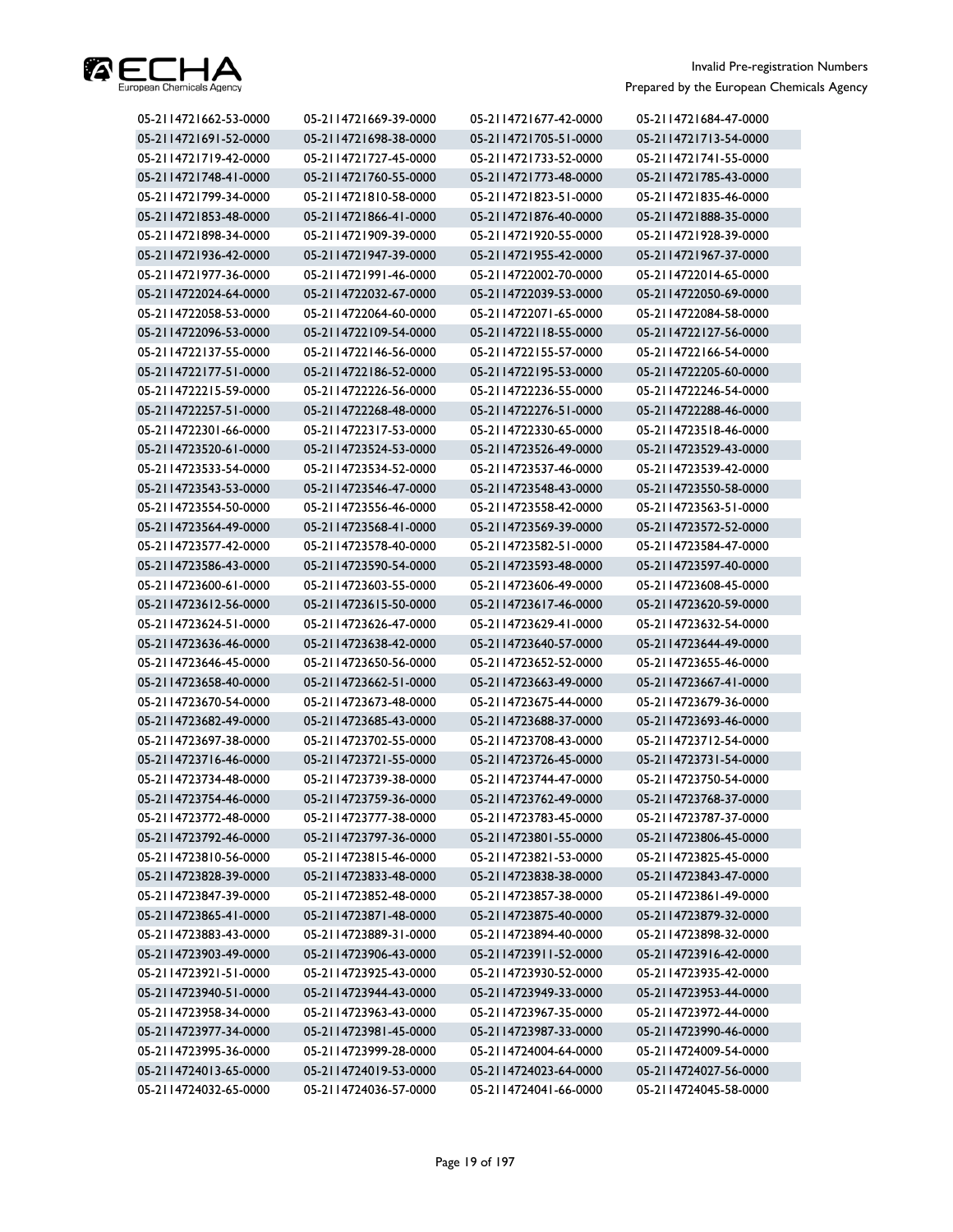

| 05-2114721662-53-0000 | 05-2114721669-39-0000 | 05-2114721677-42-0000 | 05-2114721684-47-0000 |
|-----------------------|-----------------------|-----------------------|-----------------------|
| 05-2114721691-52-0000 | 05-2114721698-38-0000 | 05-2114721705-51-0000 | 05-2114721713-54-0000 |
| 05-2114721719-42-0000 | 05-2114721727-45-0000 | 05-2114721733-52-0000 | 05-2114721741-55-0000 |
| 05-2114721748-41-0000 | 05-2114721760-55-0000 | 05-2114721773-48-0000 | 05-2114721785-43-0000 |
| 05-2114721799-34-0000 | 05-2114721810-58-0000 | 05-2114721823-51-0000 | 05-2114721835-46-0000 |
| 05-2114721853-48-0000 | 05-2114721866-41-0000 | 05-2114721876-40-0000 | 05-2114721888-35-0000 |
| 05-2114721898-34-0000 | 05-2114721909-39-0000 | 05-2114721920-55-0000 | 05-2114721928-39-0000 |
| 05-2114721936-42-0000 | 05-2114721947-39-0000 | 05-2114721955-42-0000 | 05-2114721967-37-0000 |
| 05-2114721977-36-0000 | 05-2114721991-46-0000 | 05-2114722002-70-0000 | 05-2114722014-65-0000 |
| 05-2114722024-64-0000 | 05-2114722032-67-0000 | 05-2114722039-53-0000 | 05-2114722050-69-0000 |
| 05-2114722058-53-0000 | 05-2114722064-60-0000 | 05-2114722071-65-0000 | 05-2114722084-58-0000 |
| 05-2114722096-53-0000 | 05-2114722109-54-0000 | 05-2114722118-55-0000 | 05-2114722127-56-0000 |
| 05-2114722137-55-0000 | 05-2114722146-56-0000 | 05-2114722155-57-0000 | 05-2114722166-54-0000 |
| 05-2114722177-51-0000 | 05-2114722186-52-0000 | 05-2114722195-53-0000 | 05-2114722205-60-0000 |
| 05-2114722215-59-0000 | 05-2114722226-56-0000 | 05-2114722236-55-0000 | 05-2114722246-54-0000 |
| 05-2114722257-51-0000 | 05-2114722268-48-0000 | 05-2114722276-51-0000 | 05-2114722288-46-0000 |
| 05-2114722301-66-0000 | 05-2114722317-53-0000 | 05-2114722330-65-0000 | 05-2114723518-46-0000 |
| 05-2114723520-61-0000 | 05-2114723524-53-0000 | 05-2114723526-49-0000 | 05-2114723529-43-0000 |
| 05-2114723533-54-0000 | 05-2114723534-52-0000 | 05-2114723537-46-0000 | 05-2114723539-42-0000 |
| 05-2114723543-53-0000 | 05-2114723546-47-0000 | 05-2114723548-43-0000 | 05-2114723550-58-0000 |
| 05-2114723554-50-0000 | 05-2114723556-46-0000 | 05-2114723558-42-0000 | 05-2114723563-51-0000 |
| 05-2114723564-49-0000 | 05-2114723568-41-0000 | 05-2114723569-39-0000 | 05-2114723572-52-0000 |
| 05-2114723577-42-0000 | 05-2114723578-40-0000 | 05-2114723582-51-0000 | 05-2114723584-47-0000 |
| 05-2114723586-43-0000 | 05-2114723590-54-0000 | 05-2114723593-48-0000 | 05-2114723597-40-0000 |
| 05-2114723600-61-0000 | 05-2114723603-55-0000 | 05-2114723606-49-0000 | 05-2114723608-45-0000 |
| 05-2114723612-56-0000 | 05-2114723615-50-0000 | 05-2114723617-46-0000 | 05-2114723620-59-0000 |
| 05-2114723624-51-0000 | 05-2114723626-47-0000 | 05-2114723629-41-0000 | 05-2114723632-54-0000 |
| 05-2114723636-46-0000 | 05-2114723638-42-0000 | 05-2114723640-57-0000 | 05-2114723644-49-0000 |
| 05-2114723646-45-0000 | 05-2114723650-56-0000 | 05-2114723652-52-0000 | 05-2114723655-46-0000 |
| 05-2114723658-40-0000 | 05-2114723662-51-0000 | 05-2114723663-49-0000 | 05-2114723667-41-0000 |
| 05-2114723670-54-0000 | 05-2114723673-48-0000 | 05-2114723675-44-0000 | 05-2114723679-36-0000 |
| 05-2114723682-49-0000 | 05-2114723685-43-0000 | 05-2114723688-37-0000 | 05-2114723693-46-0000 |
| 05-2114723697-38-0000 | 05-2114723702-55-0000 | 05-2114723708-43-0000 | 05-2114723712-54-0000 |
| 05-2114723716-46-0000 | 05-2114723721-55-0000 | 05-2114723726-45-0000 | 05-2114723731-54-0000 |
| 05-2114723734-48-0000 | 05-2114723739-38-0000 | 05-2114723744-47-0000 | 05-2114723750-54-0000 |
| 05-2114723754-46-0000 | 05-2114723759-36-0000 | 05-2114723762-49-0000 | 05-2114723768-37-0000 |
| 05-2114723772-48-0000 | 05-2114723777-38-0000 | 05-2114723783-45-0000 | 05-2114723787-37-0000 |
| 05-2114723792-46-0000 | 05-2114723797-36-0000 | 05-2114723801-55-0000 | 05-2114723806-45-0000 |
| 05-2114723810-56-0000 | 05-2114723815-46-0000 | 05-2114723821-53-0000 | 05-2114723825-45-0000 |
| 05-2114723828-39-0000 | 05-2114723833-48-0000 | 05-2114723838-38-0000 | 05-2114723843-47-0000 |
| 05-2114723847-39-0000 | 05-2114723852-48-0000 | 05-2114723857-38-0000 | 05-2114723861-49-0000 |
| 05-2114723865-41-0000 | 05-2114723871-48-0000 | 05-2114723875-40-0000 | 05-2114723879-32-0000 |
| 05-2114723883-43-0000 | 05-2114723889-31-0000 | 05-2114723894-40-0000 | 05-2114723898-32-0000 |
| 05-2114723903-49-0000 | 05-2114723906-43-0000 | 05-2114723911-52-0000 | 05-2114723916-42-0000 |
| 05-2114723921-51-0000 | 05-2114723925-43-0000 | 05-2114723930-52-0000 | 05-2114723935-42-0000 |
| 05-2114723940-51-0000 | 05-2114723944-43-0000 | 05-2114723949-33-0000 | 05-2114723953-44-0000 |
| 05-2114723958-34-0000 | 05-2114723963-43-0000 | 05-2114723967-35-0000 | 05-2114723972-44-0000 |
| 05-2114723977-34-0000 | 05-2114723981-45-0000 | 05-2114723987-33-0000 | 05-2114723990-46-0000 |
| 05-2114723995-36-0000 | 05-2114723999-28-0000 | 05-2114724004-64-0000 | 05-2114724009-54-0000 |
| 05-2114724013-65-0000 | 05-2114724019-53-0000 | 05-2114724023-64-0000 | 05-2114724027-56-0000 |
| 05-2114724032-65-0000 | 05-2114724036-57-0000 | 05-2114724041-66-0000 | 05-2114724045-58-0000 |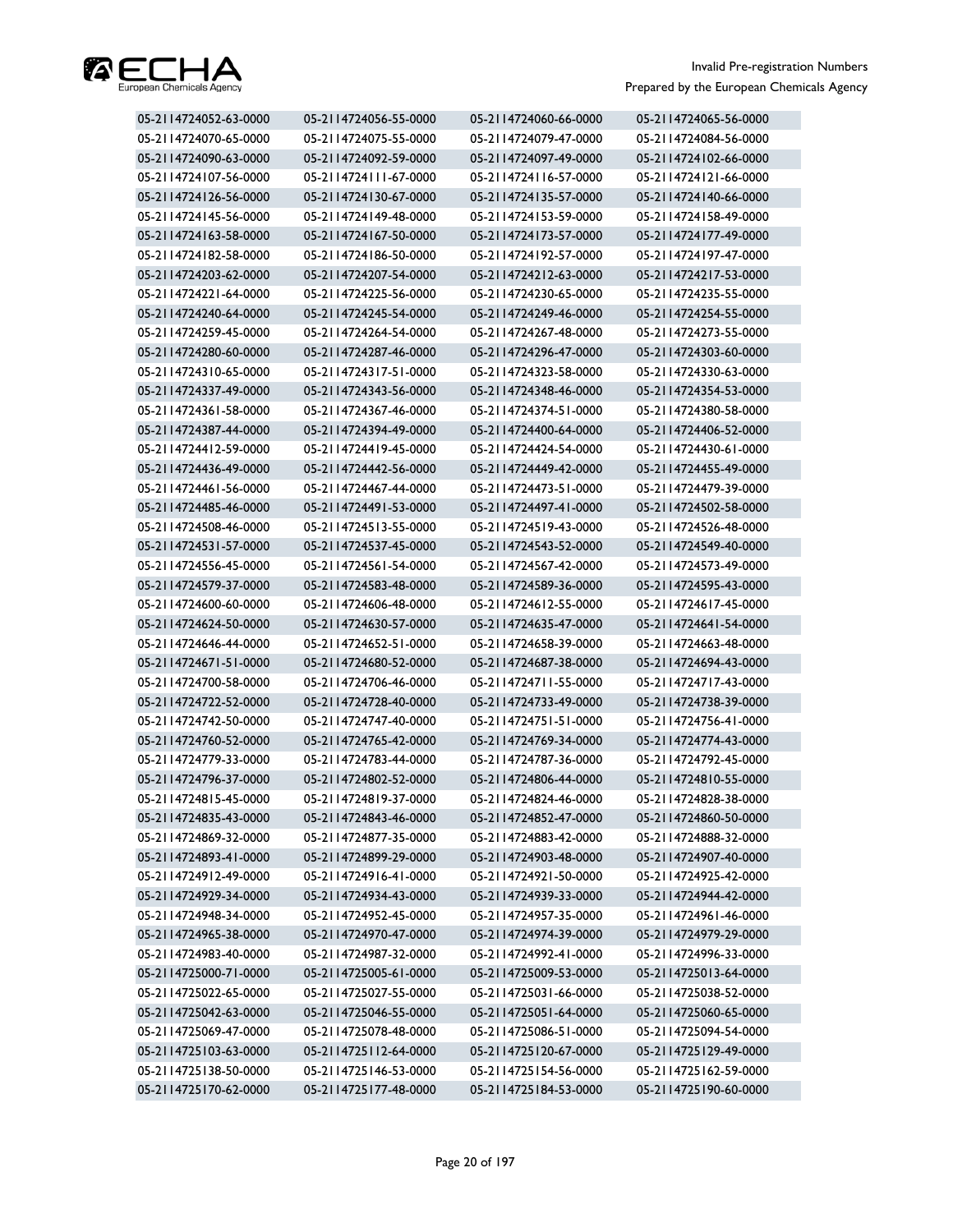

| 05-2114724052-63-0000 | 05-2114724056-55-0000 | 05-2114724060-66-0000 | 05-2114724065-56-0000 |
|-----------------------|-----------------------|-----------------------|-----------------------|
| 05-2114724070-65-0000 | 05-2114724075-55-0000 | 05-2114724079-47-0000 | 05-2114724084-56-0000 |
| 05-2114724090-63-0000 | 05-2114724092-59-0000 | 05-2114724097-49-0000 | 05-2114724102-66-0000 |
| 05-2114724107-56-0000 | 05-2114724111-67-0000 | 05-2114724116-57-0000 | 05-2114724121-66-0000 |
| 05-2114724126-56-0000 | 05-2114724130-67-0000 | 05-2114724135-57-0000 | 05-2114724140-66-0000 |
| 05-2114724145-56-0000 | 05-2114724149-48-0000 | 05-2114724153-59-0000 | 05-2114724158-49-0000 |
| 05-2114724163-58-0000 | 05-2114724167-50-0000 | 05-2114724173-57-0000 | 05-2114724177-49-0000 |
| 05-2114724182-58-0000 | 05-2114724186-50-0000 | 05-2114724192-57-0000 | 05-2114724197-47-0000 |
| 05-2114724203-62-0000 | 05-2114724207-54-0000 | 05-2114724212-63-0000 | 05-2114724217-53-0000 |
| 05-2114724221-64-0000 | 05-2114724225-56-0000 | 05-2114724230-65-0000 | 05-2114724235-55-0000 |
| 05-2114724240-64-0000 | 05-2114724245-54-0000 | 05-2114724249-46-0000 | 05-2114724254-55-0000 |
| 05-2114724259-45-0000 | 05-2114724264-54-0000 | 05-2114724267-48-0000 | 05-2114724273-55-0000 |
| 05-2114724280-60-0000 | 05-2114724287-46-0000 | 05-2114724296-47-0000 | 05-2114724303-60-0000 |
| 05-2114724310-65-0000 | 05-2114724317-51-0000 | 05-2114724323-58-0000 | 05-2114724330-63-0000 |
| 05-2114724337-49-0000 | 05-2114724343-56-0000 | 05-2114724348-46-0000 | 05-2114724354-53-0000 |
| 05-2114724361-58-0000 | 05-2114724367-46-0000 | 05-2114724374-51-0000 | 05-2114724380-58-0000 |
| 05-2114724387-44-0000 | 05-2114724394-49-0000 | 05-2114724400-64-0000 | 05-2114724406-52-0000 |
| 05-2114724412-59-0000 | 05-2114724419-45-0000 | 05-2114724424-54-0000 | 05-2114724430-61-0000 |
| 05-2114724436-49-0000 | 05-2114724442-56-0000 | 05-2114724449-42-0000 | 05-2114724455-49-0000 |
| 05-2114724461-56-0000 | 05-2114724467-44-0000 | 05-2114724473-51-0000 | 05-2114724479-39-0000 |
| 05-2114724485-46-0000 | 05-2114724491-53-0000 | 05-2114724497-41-0000 | 05-2114724502-58-0000 |
| 05-2114724508-46-0000 | 05-2114724513-55-0000 | 05-2114724519-43-0000 | 05-2114724526-48-0000 |
| 05-2114724531-57-0000 | 05-2114724537-45-0000 | 05-2114724543-52-0000 | 05-2114724549-40-0000 |
| 05-2114724556-45-0000 | 05-2114724561-54-0000 | 05-2114724567-42-0000 | 05-2114724573-49-0000 |
| 05-2114724579-37-0000 | 05-2114724583-48-0000 | 05-2114724589-36-0000 | 05-2114724595-43-0000 |
| 05-2114724600-60-0000 | 05-2114724606-48-0000 | 05-2114724612-55-0000 | 05-2114724617-45-0000 |
| 05-2114724624-50-0000 | 05-2114724630-57-0000 | 05-2114724635-47-0000 | 05-2114724641-54-0000 |
| 05-2114724646-44-0000 | 05-2114724652-51-0000 | 05-2114724658-39-0000 | 05-2114724663-48-0000 |
| 05-2114724671-51-0000 | 05-2114724680-52-0000 | 05-2114724687-38-0000 | 05-2114724694-43-0000 |
| 05-2114724700-58-0000 | 05-2114724706-46-0000 | 05-2114724711-55-0000 | 05-2114724717-43-0000 |
| 05-2114724722-52-0000 | 05-2114724728-40-0000 | 05-2114724733-49-0000 | 05-2114724738-39-0000 |
| 05-2114724742-50-0000 | 05-2114724747-40-0000 | 05-2114724751-51-0000 | 05-2114724756-41-0000 |
| 05-2114724760-52-0000 | 05-2114724765-42-0000 | 05-2114724769-34-0000 | 05-2114724774-43-0000 |
| 05-2114724779-33-0000 | 05-2114724783-44-0000 | 05-2114724787-36-0000 | 05-2114724792-45-0000 |
| 05-2114724796-37-0000 | 05-2114724802-52-0000 | 05-2114724806-44-0000 | 05-2114724810-55-0000 |
| 05-2114724815-45-0000 | 05-2114724819-37-0000 | 05-2114724824-46-0000 | 05-2114724828-38-0000 |
| 05-2114724835-43-0000 | 05-2114724843-46-0000 | 05-2114724852-47-0000 | 05-2114724860-50-0000 |
| 05-2114724869-32-0000 | 05-2114724877-35-0000 | 05-2114724883-42-0000 | 05-2114724888-32-0000 |
| 05-2114724893-41-0000 | 05-2114724899-29-0000 | 05-2114724903-48-0000 | 05-2114724907-40-0000 |
| 05-2114724912-49-0000 | 05-2114724916-41-0000 | 05-2114724921-50-0000 | 05-2114724925-42-0000 |
| 05-2114724929-34-0000 | 05-2114724934-43-0000 | 05-2114724939-33-0000 | 05-2114724944-42-0000 |
| 05-2114724948-34-0000 | 05-2114724952-45-0000 | 05-2114724957-35-0000 | 05-2114724961-46-0000 |
| 05-2114724965-38-0000 | 05-2114724970-47-0000 | 05-2114724974-39-0000 | 05-2114724979-29-0000 |
| 05-2114724983-40-0000 | 05-2114724987-32-0000 | 05-2114724992-41-0000 | 05-2114724996-33-0000 |
| 05-2114725000-71-0000 | 05-2114725005-61-0000 | 05-2114725009-53-0000 | 05-2114725013-64-0000 |
| 05-2114725022-65-0000 | 05-2114725027-55-0000 | 05-2114725031-66-0000 | 05-2114725038-52-0000 |
| 05-2114725042-63-0000 | 05-2114725046-55-0000 | 05-2114725051-64-0000 | 05-2114725060-65-0000 |
| 05-2114725069-47-0000 | 05-2114725078-48-0000 | 05-2114725086-51-0000 | 05-2114725094-54-0000 |
| 05-2114725103-63-0000 | 05-2114725112-64-0000 | 05-2114725120-67-0000 | 05-2114725129-49-0000 |
| 05-2114725138-50-0000 | 05-2114725146-53-0000 | 05-2114725154-56-0000 | 05-2114725162-59-0000 |
| 05-2114725170-62-0000 | 05-2114725177-48-0000 | 05-2114725184-53-0000 | 05-2114725190-60-0000 |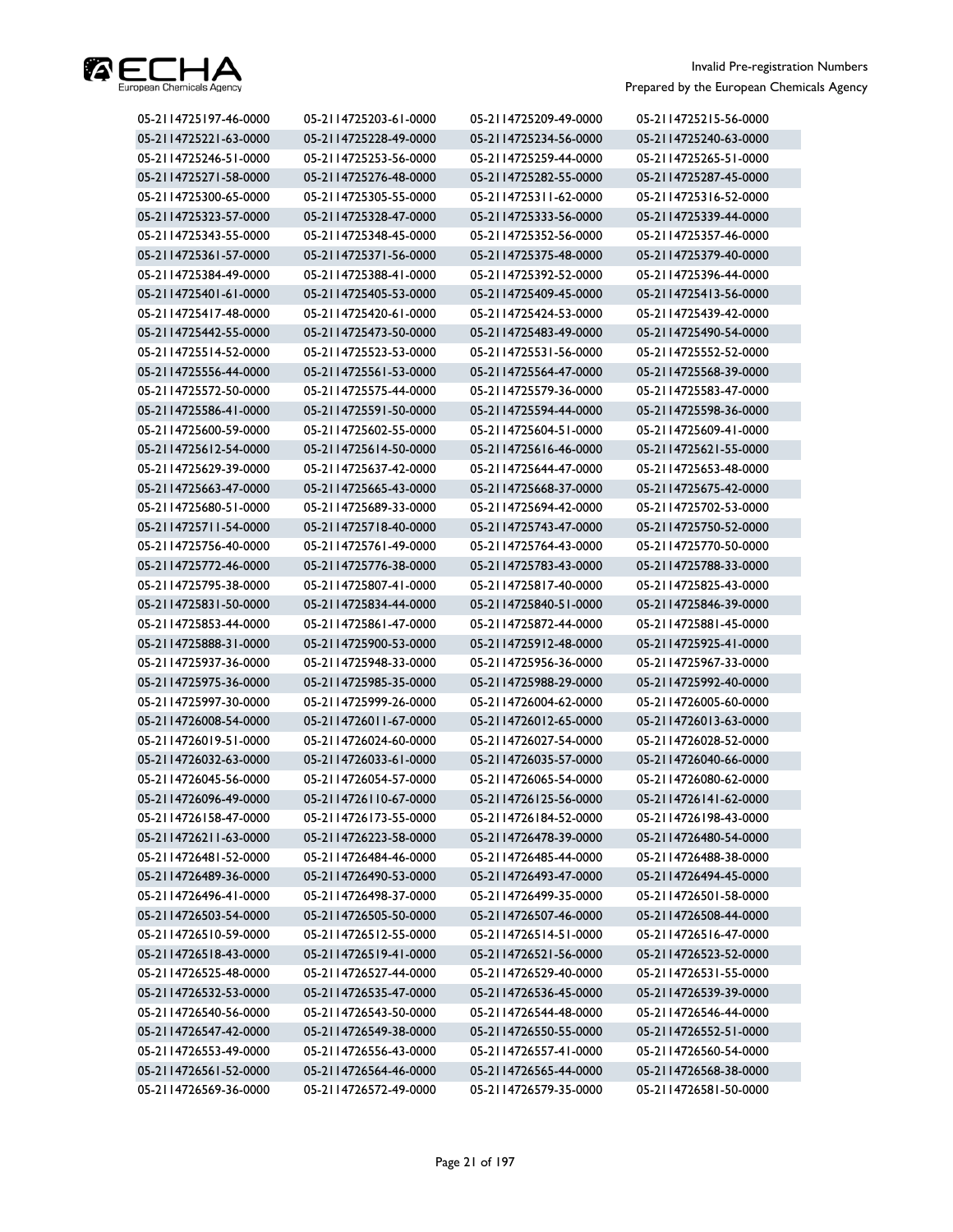

| 05-2114725197-46-0000 | 05-2114725203-61-0000 | 05-2114725209-49-0000 | 05-2114725215-56-0000 |
|-----------------------|-----------------------|-----------------------|-----------------------|
| 05-2114725221-63-0000 | 05-2114725228-49-0000 | 05-2114725234-56-0000 | 05-2114725240-63-0000 |
| 05-2114725246-51-0000 | 05-2114725253-56-0000 | 05-2114725259-44-0000 | 05-2114725265-51-0000 |
| 05-2114725271-58-0000 | 05-2114725276-48-0000 | 05-2114725282-55-0000 | 05-2114725287-45-0000 |
| 05-2114725300-65-0000 | 05-2114725305-55-0000 | 05-2114725311-62-0000 | 05-2114725316-52-0000 |
| 05-2114725323-57-0000 | 05-2114725328-47-0000 | 05-2114725333-56-0000 | 05-2114725339-44-0000 |
| 05-2114725343-55-0000 | 05-2114725348-45-0000 | 05-2114725352-56-0000 | 05-2114725357-46-0000 |
| 05-2114725361-57-0000 | 05-2114725371-56-0000 | 05-2114725375-48-0000 | 05-2114725379-40-0000 |
| 05-2114725384-49-0000 | 05-2114725388-41-0000 | 05-2114725392-52-0000 | 05-2114725396-44-0000 |
| 05-2114725401-61-0000 | 05-2114725405-53-0000 | 05-2114725409-45-0000 | 05-2114725413-56-0000 |
| 05-2114725417-48-0000 | 05-2114725420-61-0000 | 05-2114725424-53-0000 | 05-2114725439-42-0000 |
| 05-2114725442-55-0000 | 05-2114725473-50-0000 | 05-2114725483-49-0000 | 05-2114725490-54-0000 |
| 05-2114725514-52-0000 | 05-2114725523-53-0000 | 05-2114725531-56-0000 | 05-2114725552-52-0000 |
| 05-2114725556-44-0000 | 05-2114725561-53-0000 | 05-2114725564-47-0000 | 05-2114725568-39-0000 |
| 05-2114725572-50-0000 | 05-2114725575-44-0000 | 05-2114725579-36-0000 | 05-2114725583-47-0000 |
| 05-2114725586-41-0000 | 05-2114725591-50-0000 | 05-2114725594-44-0000 | 05-2114725598-36-0000 |
| 05-2114725600-59-0000 | 05-2114725602-55-0000 | 05-2114725604-51-0000 | 05-2114725609-41-0000 |
| 05-2114725612-54-0000 | 05-2114725614-50-0000 | 05-2114725616-46-0000 | 05-2114725621-55-0000 |
| 05-2114725629-39-0000 | 05-2114725637-42-0000 | 05-2114725644-47-0000 | 05-2114725653-48-0000 |
| 05-2114725663-47-0000 | 05-2114725665-43-0000 | 05-2114725668-37-0000 | 05-2114725675-42-0000 |
| 05-2114725680-51-0000 | 05-2114725689-33-0000 | 05-2114725694-42-0000 | 05-2114725702-53-0000 |
| 05-2114725711-54-0000 | 05-2114725718-40-0000 | 05-2114725743-47-0000 | 05-2114725750-52-0000 |
| 05-2114725756-40-0000 | 05-2114725761-49-0000 | 05-2114725764-43-0000 | 05-2114725770-50-0000 |
| 05-2114725772-46-0000 | 05-2114725776-38-0000 | 05-2114725783-43-0000 | 05-2114725788-33-0000 |
| 05-2114725795-38-0000 | 05-2114725807-41-0000 | 05-2114725817-40-0000 | 05-2114725825-43-0000 |
| 05-2114725831-50-0000 | 05-2114725834-44-0000 | 05-2114725840-51-0000 | 05-2114725846-39-0000 |
| 05-2114725853-44-0000 | 05-2114725861-47-0000 | 05-2114725872-44-0000 | 05-2114725881-45-0000 |
| 05-2114725888-31-0000 | 05-2114725900-53-0000 | 05-2114725912-48-0000 | 05-2114725925-41-0000 |
| 05-2114725937-36-0000 | 05-2114725948-33-0000 | 05-2114725956-36-0000 | 05-2114725967-33-0000 |
| 05-2114725975-36-0000 | 05-2114725985-35-0000 | 05-2114725988-29-0000 | 05-2114725992-40-0000 |
| 05-2114725997-30-0000 | 05-2114725999-26-0000 | 05-2114726004-62-0000 | 05-2114726005-60-0000 |
| 05-2114726008-54-0000 | 05-2114726011-67-0000 | 05-2114726012-65-0000 | 05-2114726013-63-0000 |
| 05-2114726019-51-0000 | 05-2114726024-60-0000 | 05-2114726027-54-0000 | 05-2114726028-52-0000 |
| 05-2114726032-63-0000 | 05-2114726033-61-0000 | 05-2114726035-57-0000 | 05-2114726040-66-0000 |
| 05-2114726045-56-0000 | 05-2114726054-57-0000 | 05-2114726065-54-0000 | 05-2114726080-62-0000 |
| 05-2114726096-49-0000 | 05-2114726110-67-0000 | 05-2114726125-56-0000 | 05-2114726141-62-0000 |
| 05-2114726158-47-0000 | 05-2114726173-55-0000 | 05-2114726184-52-0000 | 05-2114726198-43-0000 |
| 05-2114726211-63-0000 | 05-2114726223-58-0000 | 05-2114726478-39-0000 | 05-2114726480-54-0000 |
| 05-2114726481-52-0000 | 05-2114726484-46-0000 | 05-2114726485-44-0000 | 05-2114726488-38-0000 |
| 05-2114726489-36-0000 | 05-2114726490-53-0000 | 05-2114726493-47-0000 | 05-2114726494-45-0000 |
| 05-2114726496-41-0000 | 05-2114726498-37-0000 | 05-2114726499-35-0000 | 05-2114726501-58-0000 |
| 05-2114726503-54-0000 | 05-2114726505-50-0000 | 05-2114726507-46-0000 | 05-2114726508-44-0000 |
| 05-2114726510-59-0000 | 05-2114726512-55-0000 | 05-2114726514-51-0000 | 05-2114726516-47-0000 |
| 05-2114726518-43-0000 | 05-2114726519-41-0000 | 05-2114726521-56-0000 | 05-2114726523-52-0000 |
| 05-2114726525-48-0000 | 05-2114726527-44-0000 | 05-2114726529-40-0000 | 05-2114726531-55-0000 |
| 05-2114726532-53-0000 | 05-2114726535-47-0000 | 05-2114726536-45-0000 | 05-2114726539-39-0000 |
| 05-2114726540-56-0000 | 05-2114726543-50-0000 | 05-2114726544-48-0000 | 05-2114726546-44-0000 |
| 05-2114726547-42-0000 | 05-2114726549-38-0000 | 05-2114726550-55-0000 | 05-2114726552-51-0000 |
| 05-2114726553-49-0000 | 05-2114726556-43-0000 | 05-2114726557-41-0000 | 05-2114726560-54-0000 |
| 05-2114726561-52-0000 | 05-2114726564-46-0000 | 05-2114726565-44-0000 | 05-2114726568-38-0000 |
| 05-2114726569-36-0000 | 05-2114726572-49-0000 | 05-2114726579-35-0000 | 05-2114726581-50-0000 |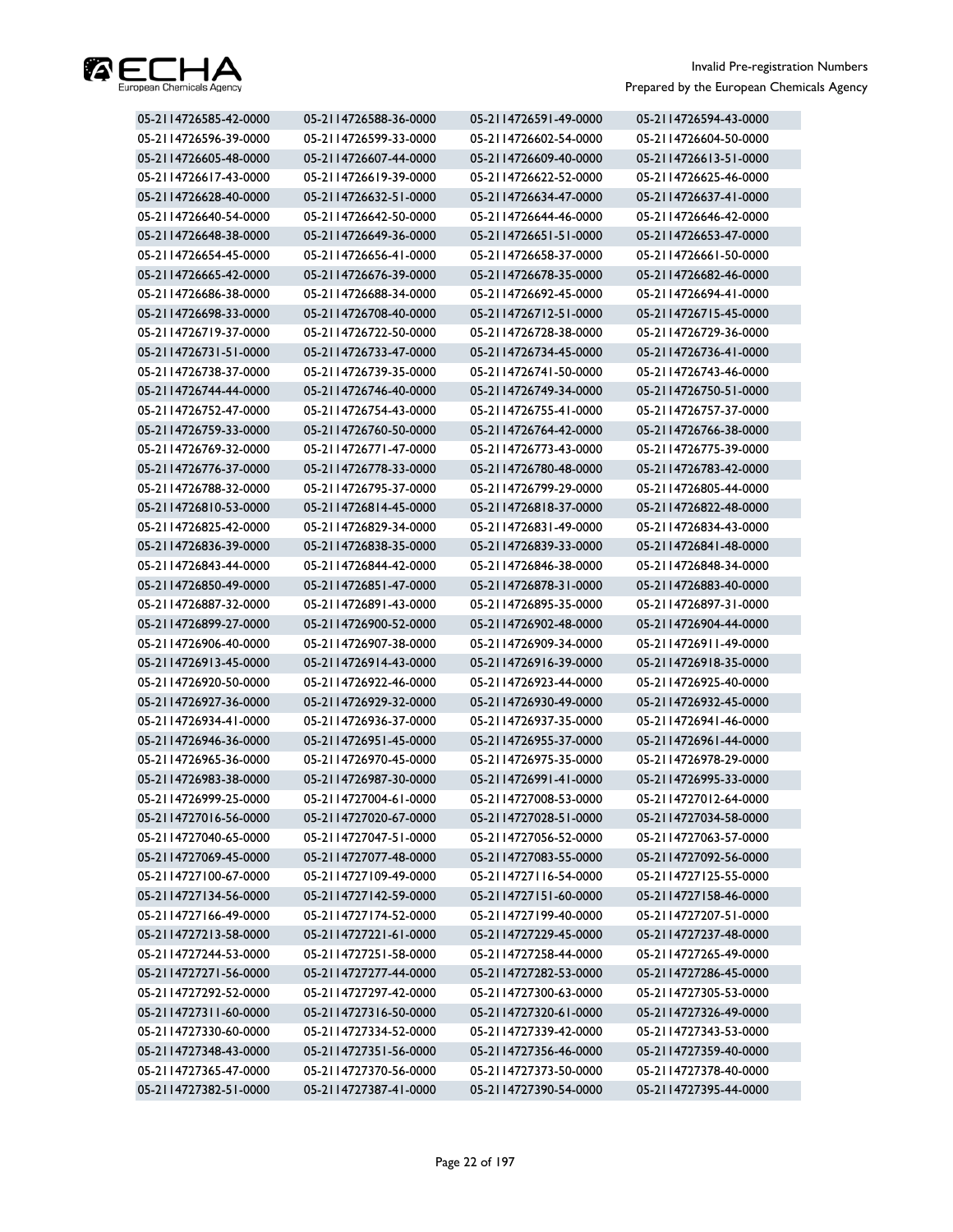

| 05-2114726585-42-0000 | 05-2114726588-36-0000 | 05-2114726591-49-0000 | 05-2114726594-43-0000 |
|-----------------------|-----------------------|-----------------------|-----------------------|
| 05-2114726596-39-0000 | 05-2114726599-33-0000 | 05-2114726602-54-0000 | 05-2114726604-50-0000 |
| 05-2114726605-48-0000 | 05-2114726607-44-0000 | 05-2114726609-40-0000 | 05-2114726613-51-0000 |
| 05-2114726617-43-0000 | 05-2114726619-39-0000 | 05-2114726622-52-0000 | 05-2114726625-46-0000 |
| 05-2114726628-40-0000 | 05-2114726632-51-0000 | 05-2114726634-47-0000 | 05-2114726637-41-0000 |
| 05-2114726640-54-0000 | 05-2114726642-50-0000 | 05-2114726644-46-0000 | 05-2114726646-42-0000 |
| 05-2114726648-38-0000 | 05-2114726649-36-0000 | 05-2114726651-51-0000 | 05-2114726653-47-0000 |
| 05-2114726654-45-0000 | 05-2114726656-41-0000 | 05-2114726658-37-0000 | 05-2114726661-50-0000 |
| 05-2114726665-42-0000 | 05-2114726676-39-0000 | 05-2114726678-35-0000 | 05-2114726682-46-0000 |
| 05-2114726686-38-0000 | 05-2114726688-34-0000 | 05-2114726692-45-0000 | 05-2114726694-41-0000 |
| 05-2114726698-33-0000 | 05-2114726708-40-0000 | 05-2114726712-51-0000 | 05-2114726715-45-0000 |
| 05-2114726719-37-0000 | 05-2114726722-50-0000 | 05-2114726728-38-0000 | 05-2114726729-36-0000 |
| 05-2114726731-51-0000 | 05-2114726733-47-0000 | 05-2114726734-45-0000 | 05-2114726736-41-0000 |
| 05-2114726738-37-0000 | 05-2114726739-35-0000 | 05-2114726741-50-0000 | 05-2114726743-46-0000 |
| 05-2114726744-44-0000 | 05-2114726746-40-0000 | 05-2114726749-34-0000 | 05-2114726750-51-0000 |
| 05-2114726752-47-0000 | 05-2114726754-43-0000 | 05-2114726755-41-0000 | 05-2114726757-37-0000 |
| 05-2114726759-33-0000 | 05-2114726760-50-0000 | 05-2114726764-42-0000 | 05-2114726766-38-0000 |
| 05-2114726769-32-0000 | 05-2114726771-47-0000 | 05-2114726773-43-0000 | 05-2114726775-39-0000 |
| 05-2114726776-37-0000 | 05-2114726778-33-0000 | 05-2114726780-48-0000 | 05-2114726783-42-0000 |
| 05-2114726788-32-0000 | 05-2114726795-37-0000 | 05-2114726799-29-0000 | 05-2114726805-44-0000 |
| 05-2114726810-53-0000 | 05-2114726814-45-0000 | 05-2114726818-37-0000 | 05-2114726822-48-0000 |
| 05-2114726825-42-0000 | 05-2114726829-34-0000 | 05-2114726831-49-0000 | 05-2114726834-43-0000 |
| 05-2114726836-39-0000 | 05-2114726838-35-0000 | 05-2114726839-33-0000 | 05-2114726841-48-0000 |
| 05-2114726843-44-0000 | 05-2114726844-42-0000 | 05-2114726846-38-0000 | 05-2114726848-34-0000 |
| 05-2114726850-49-0000 | 05-2114726851-47-0000 | 05-2114726878-31-0000 | 05-2114726883-40-0000 |
| 05-2114726887-32-0000 | 05-2114726891-43-0000 | 05-2114726895-35-0000 | 05-2114726897-31-0000 |
| 05-2114726899-27-0000 | 05-2114726900-52-0000 | 05-2114726902-48-0000 | 05-2114726904-44-0000 |
| 05-2114726906-40-0000 | 05-2114726907-38-0000 | 05-2114726909-34-0000 | 05-2114726911-49-0000 |
| 05-2114726913-45-0000 | 05-2114726914-43-0000 | 05-2114726916-39-0000 | 05-2114726918-35-0000 |
| 05-2114726920-50-0000 | 05-2114726922-46-0000 | 05-2114726923-44-0000 | 05-2114726925-40-0000 |
| 05-2114726927-36-0000 | 05-2114726929-32-0000 | 05-2114726930-49-0000 | 05-2114726932-45-0000 |
| 05-2114726934-41-0000 | 05-2114726936-37-0000 | 05-2114726937-35-0000 | 05-2114726941-46-0000 |
| 05-2114726946-36-0000 | 05-2114726951-45-0000 | 05-2114726955-37-0000 | 05-2114726961-44-0000 |
| 05-2114726965-36-0000 | 05-2114726970-45-0000 | 05-2114726975-35-0000 | 05-2114726978-29-0000 |
| 05-2114726983-38-0000 | 05-2114726987-30-0000 | 05-2114726991-41-0000 | 05-2114726995-33-0000 |
| 05-2114726999-25-0000 | 05-2114727004-61-0000 | 05-2114727008-53-0000 | 05-2114727012-64-0000 |
| 05-2114727016-56-0000 | 05-2114727020-67-0000 | 05-2114727028-51-0000 | 05-2114727034-58-0000 |
| 05-2114727040-65-0000 | 05-2114727047-51-0000 | 05-2114727056-52-0000 | 05-2114727063-57-0000 |
| 05-2114727069-45-0000 | 05-2114727077-48-0000 | 05-2114727083-55-0000 | 05-2114727092-56-0000 |
| 05-2114727100-67-0000 | 05-2114727109-49-0000 | 05-2114727116-54-0000 | 05-2114727125-55-0000 |
| 05-2114727134-56-0000 | 05-2114727142-59-0000 | 05-2114727151-60-0000 | 05-2114727158-46-0000 |
| 05-2114727166-49-0000 | 05-2114727174-52-0000 | 05-2114727199-40-0000 | 05-2114727207-51-0000 |
| 05-2114727213-58-0000 | 05-2114727221-61-0000 | 05-2114727229-45-0000 | 05-2114727237-48-0000 |
| 05-2114727244-53-0000 | 05-2114727251-58-0000 | 05-2114727258-44-0000 | 05-2114727265-49-0000 |
| 05-2114727271-56-0000 | 05-2114727277-44-0000 | 05-2114727282-53-0000 | 05-2114727286-45-0000 |
| 05-2114727292-52-0000 | 05-2114727297-42-0000 | 05-2114727300-63-0000 | 05-2114727305-53-0000 |
| 05-2114727311-60-0000 | 05-2114727316-50-0000 | 05-2114727320-61-0000 | 05-2114727326-49-0000 |
| 05-2114727330-60-0000 | 05-2114727334-52-0000 | 05-2114727339-42-0000 | 05-2114727343-53-0000 |
| 05-2114727348-43-0000 | 05-2114727351-56-0000 | 05-2114727356-46-0000 | 05-2114727359-40-0000 |
| 05-2114727365-47-0000 | 05-2114727370-56-0000 | 05-2114727373-50-0000 | 05-2114727378-40-0000 |
| 05-2114727382-51-0000 | 05-2114727387-41-0000 | 05-2114727390-54-0000 | 05-2114727395-44-0000 |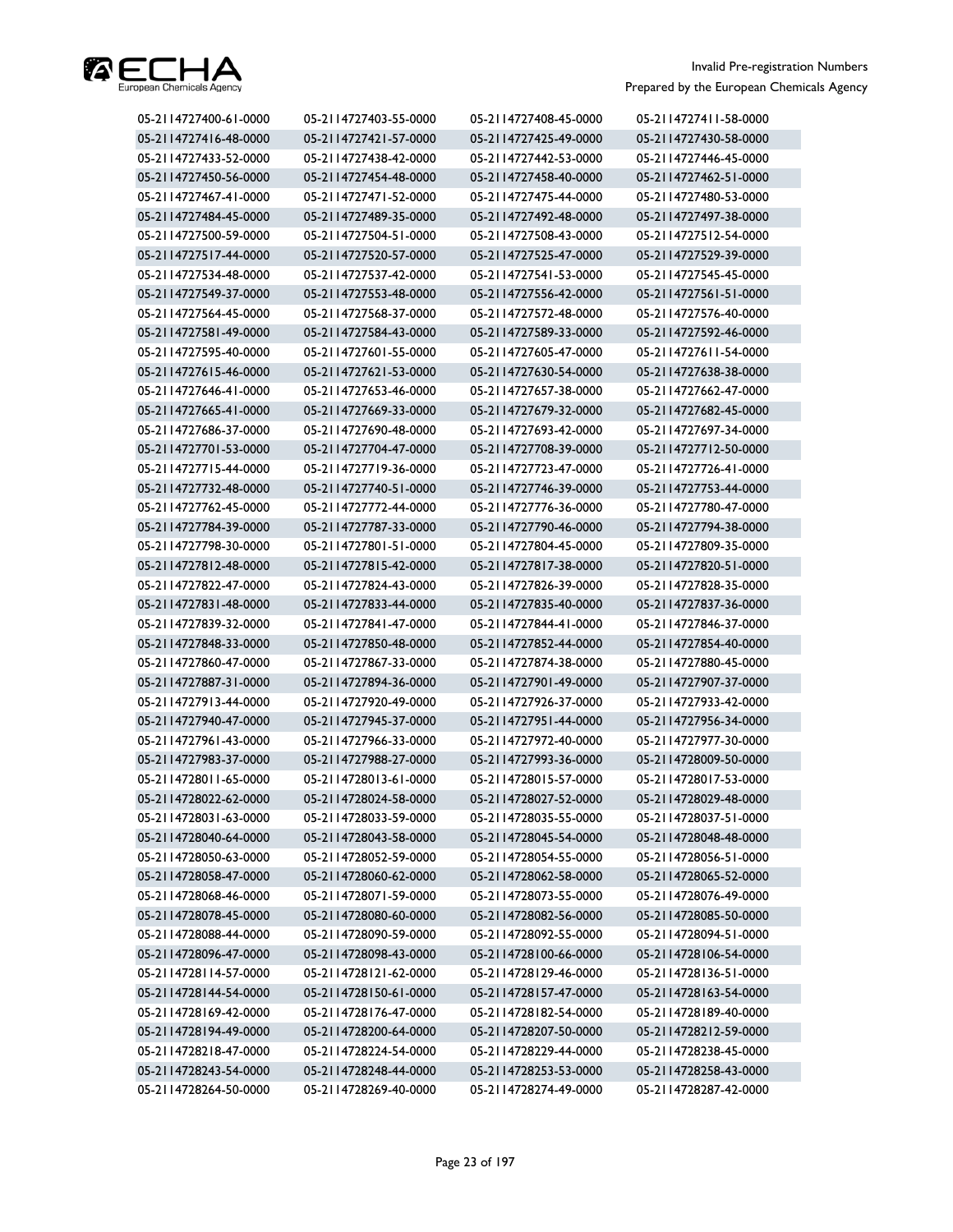

| 05-2114727400-61-0000 | 05-2114727403-55-0000 | 05-2114727408-45-0000 | 05-2114727411-58-0000 |
|-----------------------|-----------------------|-----------------------|-----------------------|
| 05-2114727416-48-0000 | 05-2114727421-57-0000 | 05-2114727425-49-0000 | 05-2114727430-58-0000 |
| 05-2114727433-52-0000 | 05-2114727438-42-0000 | 05-2114727442-53-0000 | 05-2114727446-45-0000 |
| 05-2114727450-56-0000 | 05-2114727454-48-0000 | 05-2114727458-40-0000 | 05-2114727462-51-0000 |
| 05-2114727467-41-0000 | 05-2114727471-52-0000 | 05-2114727475-44-0000 | 05-2114727480-53-0000 |
| 05-2114727484-45-0000 | 05-2114727489-35-0000 | 05-2114727492-48-0000 | 05-2114727497-38-0000 |
| 05-2114727500-59-0000 | 05-2114727504-51-0000 | 05-2114727508-43-0000 | 05-2114727512-54-0000 |
| 05-2114727517-44-0000 | 05-2114727520-57-0000 | 05-2114727525-47-0000 | 05-2114727529-39-0000 |
| 05-2114727534-48-0000 | 05-2114727537-42-0000 | 05-2114727541-53-0000 | 05-2114727545-45-0000 |
| 05-2114727549-37-0000 | 05-2114727553-48-0000 | 05-2114727556-42-0000 | 05-2114727561-51-0000 |
| 05-2114727564-45-0000 | 05-2114727568-37-0000 | 05-2114727572-48-0000 | 05-2114727576-40-0000 |
| 05-2114727581-49-0000 | 05-2114727584-43-0000 | 05-2114727589-33-0000 | 05-2114727592-46-0000 |
| 05-2114727595-40-0000 | 05-2114727601-55-0000 | 05-2114727605-47-0000 | 05-2114727611-54-0000 |
| 05-2114727615-46-0000 | 05-2114727621-53-0000 | 05-2114727630-54-0000 | 05-2114727638-38-0000 |
| 05-2114727646-41-0000 | 05-2114727653-46-0000 | 05-2114727657-38-0000 | 05-2114727662-47-0000 |
| 05-2114727665-41-0000 | 05-2114727669-33-0000 | 05-2114727679-32-0000 | 05-2114727682-45-0000 |
| 05-2114727686-37-0000 | 05-2114727690-48-0000 | 05-2114727693-42-0000 | 05-2114727697-34-0000 |
| 05-2114727701-53-0000 | 05-2114727704-47-0000 | 05-2114727708-39-0000 | 05-2114727712-50-0000 |
| 05-2114727715-44-0000 | 05-2114727719-36-0000 | 05-2114727723-47-0000 | 05-2114727726-41-0000 |
| 05-2114727732-48-0000 | 05-2114727740-51-0000 | 05-2114727746-39-0000 | 05-2114727753-44-0000 |
| 05-2114727762-45-0000 | 05-2114727772-44-0000 | 05-2114727776-36-0000 | 05-2114727780-47-0000 |
| 05-2114727784-39-0000 | 05-2114727787-33-0000 | 05-2114727790-46-0000 | 05-2114727794-38-0000 |
| 05-2114727798-30-0000 | 05-2114727801-51-0000 | 05-2114727804-45-0000 | 05-2114727809-35-0000 |
| 05-2114727812-48-0000 | 05-2114727815-42-0000 | 05-2114727817-38-0000 | 05-2114727820-51-0000 |
| 05-2114727822-47-0000 | 05-2114727824-43-0000 | 05-2114727826-39-0000 | 05-2114727828-35-0000 |
| 05-2114727831-48-0000 | 05-2114727833-44-0000 | 05-2114727835-40-0000 | 05-2114727837-36-0000 |
| 05-2114727839-32-0000 | 05-2114727841-47-0000 | 05-2114727844-41-0000 | 05-2114727846-37-0000 |
| 05-2114727848-33-0000 | 05-2114727850-48-0000 | 05-2114727852-44-0000 | 05-2114727854-40-0000 |
| 05-2114727860-47-0000 | 05-2114727867-33-0000 | 05-2114727874-38-0000 | 05-2114727880-45-0000 |
| 05-2114727887-31-0000 | 05-2114727894-36-0000 | 05-2114727901-49-0000 | 05-2114727907-37-0000 |
| 05-2114727913-44-0000 | 05-2114727920-49-0000 | 05-2114727926-37-0000 | 05-2114727933-42-0000 |
| 05-2114727940-47-0000 | 05-2114727945-37-0000 | 05-2114727951-44-0000 | 05-2114727956-34-0000 |
| 05-2114727961-43-0000 | 05-2114727966-33-0000 | 05-2114727972-40-0000 | 05-2114727977-30-0000 |
| 05-2114727983-37-0000 | 05-2114727988-27-0000 | 05-2114727993-36-0000 | 05-2114728009-50-0000 |
| 05-2114728011-65-0000 | 05-2114728013-61-0000 | 05-2114728015-57-0000 | 05-2114728017-53-0000 |
| 05-2114728022-62-0000 | 05-2114728024-58-0000 | 05-2114728027-52-0000 | 05-2114728029-48-0000 |
| 05-2114728031-63-0000 | 05-2114728033-59-0000 | 05-2114728035-55-0000 | 05-2114728037-51-0000 |
| 05-2114728040-64-0000 | 05-2114728043-58-0000 | 05-2114728045-54-0000 | 05-2114728048-48-0000 |
| 05-2114728050-63-0000 | 05-2114728052-59-0000 | 05-2114728054-55-0000 | 05-2114728056-51-0000 |
| 05-2114728058-47-0000 | 05-2114728060-62-0000 | 05-2114728062-58-0000 | 05-2114728065-52-0000 |
| 05-2114728068-46-0000 | 05-2114728071-59-0000 | 05-2114728073-55-0000 | 05-2114728076-49-0000 |
| 05-2114728078-45-0000 | 05-2114728080-60-0000 | 05-2114728082-56-0000 | 05-2114728085-50-0000 |
| 05-2114728088-44-0000 | 05-2114728090-59-0000 | 05-2114728092-55-0000 | 05-2114728094-51-0000 |
| 05-2114728096-47-0000 | 05-2114728098-43-0000 | 05-2114728100-66-0000 | 05-2114728106-54-0000 |
| 05-2114728114-57-0000 | 05-2114728121-62-0000 | 05-2114728129-46-0000 | 05-2114728136-51-0000 |
| 05-2114728144-54-0000 | 05-2114728150-61-0000 | 05-2114728157-47-0000 | 05-2114728163-54-0000 |
| 05-2114728169-42-0000 | 05-2114728176-47-0000 | 05-2114728182-54-0000 | 05-2114728189-40-0000 |
| 05-2114728194-49-0000 | 05-2114728200-64-0000 | 05-2114728207-50-0000 | 05-2114728212-59-0000 |
| 05-2114728218-47-0000 | 05-2114728224-54-0000 | 05-2114728229-44-0000 | 05-2114728238-45-0000 |
| 05-2114728243-54-0000 | 05-2114728248-44-0000 | 05-2114728253-53-0000 | 05-2114728258-43-0000 |
| 05-2114728264-50-0000 | 05-2114728269-40-0000 | 05-2114728274-49-0000 | 05-2114728287-42-0000 |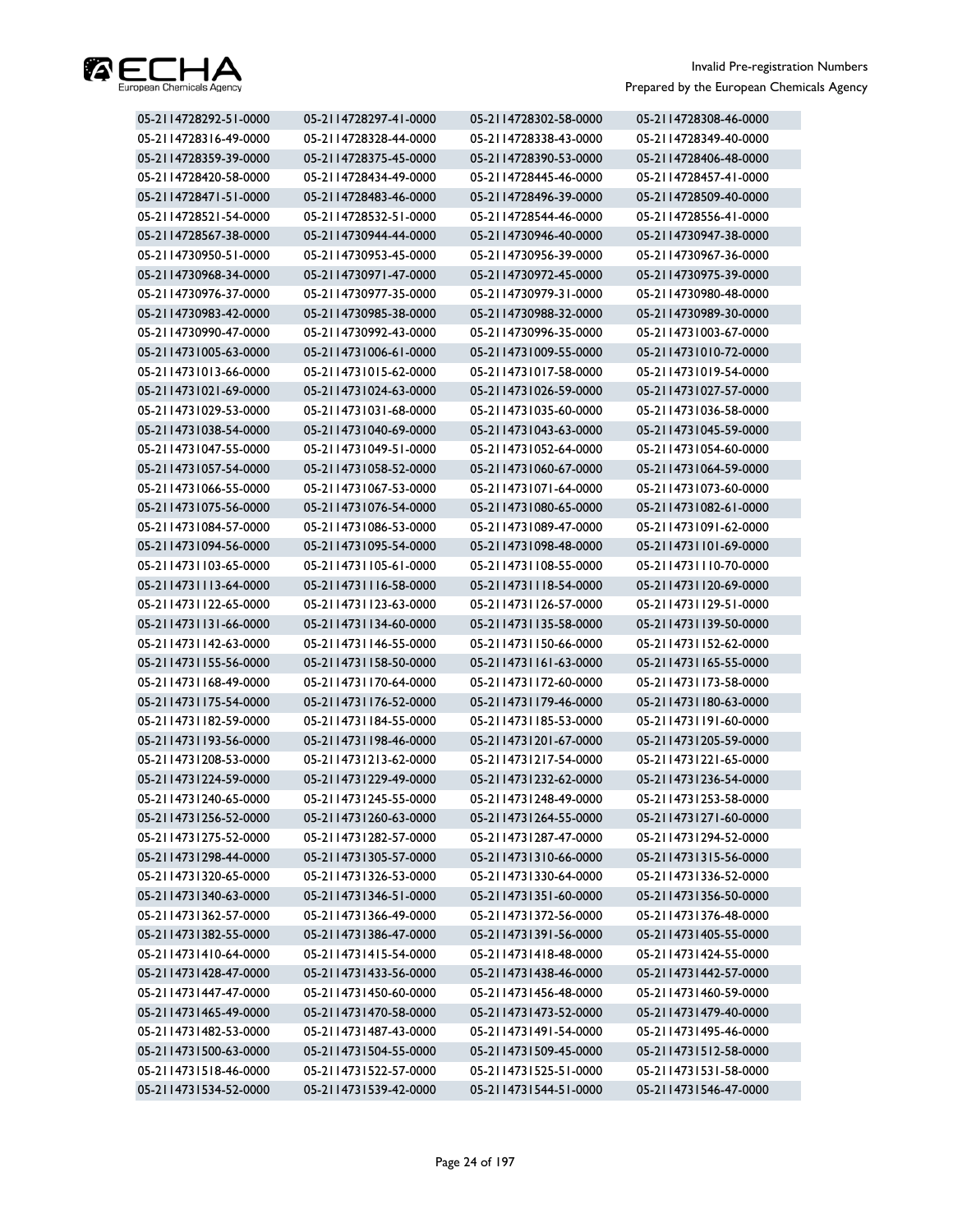

| 05-2114728292-51-0000 | 05-2114728297-41-0000 | 05-2114728302-58-0000 | 05-2114728308-46-0000 |
|-----------------------|-----------------------|-----------------------|-----------------------|
| 05-2114728316-49-0000 | 05-2114728328-44-0000 | 05-2114728338-43-0000 | 05-2114728349-40-0000 |
| 05-2114728359-39-0000 | 05-2114728375-45-0000 | 05-2114728390-53-0000 | 05-2114728406-48-0000 |
| 05-2114728420-58-0000 | 05-2114728434-49-0000 | 05-2114728445-46-0000 | 05-2114728457-41-0000 |
| 05-2114728471-51-0000 | 05-2114728483-46-0000 | 05-2114728496-39-0000 | 05-2114728509-40-0000 |
| 05-2114728521-54-0000 | 05-2114728532-51-0000 | 05-2114728544-46-0000 | 05-2114728556-41-0000 |
| 05-2114728567-38-0000 | 05-2114730944-44-0000 | 05-2114730946-40-0000 | 05-2114730947-38-0000 |
| 05-2114730950-51-0000 | 05-2114730953-45-0000 | 05-2114730956-39-0000 | 05-2114730967-36-0000 |
| 05-2114730968-34-0000 | 05-2114730971-47-0000 | 05-2114730972-45-0000 | 05-2114730975-39-0000 |
| 05-2114730976-37-0000 | 05-2114730977-35-0000 | 05-2114730979-31-0000 | 05-2114730980-48-0000 |
| 05-2114730983-42-0000 | 05-2114730985-38-0000 | 05-2114730988-32-0000 | 05-2114730989-30-0000 |
| 05-2114730990-47-0000 | 05-2114730992-43-0000 | 05-2114730996-35-0000 | 05-2114731003-67-0000 |
| 05-2114731005-63-0000 | 05-2114731006-61-0000 | 05-2114731009-55-0000 | 05-2114731010-72-0000 |
| 05-2114731013-66-0000 | 05-2114731015-62-0000 | 05-2114731017-58-0000 | 05-2114731019-54-0000 |
| 05-2114731021-69-0000 | 05-2114731024-63-0000 | 05-2114731026-59-0000 | 05-2114731027-57-0000 |
| 05-2114731029-53-0000 | 05-2114731031-68-0000 | 05-2114731035-60-0000 | 05-2114731036-58-0000 |
| 05-2114731038-54-0000 | 05-2114731040-69-0000 | 05-2114731043-63-0000 | 05-2114731045-59-0000 |
| 05-2114731047-55-0000 | 05-2114731049-51-0000 | 05-2114731052-64-0000 | 05-2114731054-60-0000 |
| 05-2114731057-54-0000 | 05-2114731058-52-0000 | 05-2114731060-67-0000 | 05-2114731064-59-0000 |
| 05-2114731066-55-0000 | 05-2114731067-53-0000 | 05-2114731071-64-0000 | 05-2114731073-60-0000 |
| 05-2114731075-56-0000 | 05-2114731076-54-0000 | 05-2114731080-65-0000 | 05-2114731082-61-0000 |
| 05-2114731084-57-0000 | 05-2114731086-53-0000 | 05-2114731089-47-0000 | 05-2114731091-62-0000 |
| 05-2114731094-56-0000 | 05-2114731095-54-0000 | 05-2114731098-48-0000 | 05-2114731101-69-0000 |
| 05-2114731103-65-0000 | 05-2114731105-61-0000 | 05-2114731108-55-0000 | 05-2114731110-70-0000 |
| 05-2114731113-64-0000 | 05-2114731116-58-0000 | 05-2114731118-54-0000 | 05-2114731120-69-0000 |
| 05-2114731122-65-0000 | 05-2114731123-63-0000 | 05-2114731126-57-0000 | 05-2114731129-51-0000 |
| 05-2114731131-66-0000 | 05-2114731134-60-0000 | 05-2114731135-58-0000 | 05-2114731139-50-0000 |
| 05-2114731142-63-0000 | 05-2114731146-55-0000 | 05-2114731150-66-0000 | 05-2114731152-62-0000 |
| 05-2114731155-56-0000 | 05-2114731158-50-0000 | 05-2114731161-63-0000 | 05-2114731165-55-0000 |
| 05-2114731168-49-0000 | 05-2114731170-64-0000 | 05-2114731172-60-0000 | 05-2114731173-58-0000 |
| 05-2114731175-54-0000 | 05-2114731176-52-0000 | 05-2114731179-46-0000 | 05-2114731180-63-0000 |
| 05-2114731182-59-0000 | 05-2114731184-55-0000 | 05-2114731185-53-0000 | 05-2114731191-60-0000 |
| 05-2114731193-56-0000 | 05-2114731198-46-0000 | 05-2114731201-67-0000 | 05-2114731205-59-0000 |
| 05-2114731208-53-0000 | 05-2114731213-62-0000 | 05-2114731217-54-0000 | 05-2114731221-65-0000 |
| 05-2114731224-59-0000 | 05-2114731229-49-0000 | 05-2114731232-62-0000 | 05-2114731236-54-0000 |
| 05-2114731240-65-0000 | 05-2114731245-55-0000 | 05-2114731248-49-0000 | 05-2114731253-58-0000 |
| 05-2114731256-52-0000 | 05-2114731260-63-0000 | 05-2114731264-55-0000 | 05-2114731271-60-0000 |
| 05-2114731275-52-0000 | 05-2114731282-57-0000 | 05-2114731287-47-0000 | 05-2114731294-52-0000 |
| 05-2114731298-44-0000 | 05-2114731305-57-0000 | 05-2114731310-66-0000 | 05-2114731315-56-0000 |
| 05-2114731320-65-0000 | 05-2114731326-53-0000 | 05-2114731330-64-0000 | 05-2114731336-52-0000 |
| 05-2114731340-63-0000 | 05-2114731346-51-0000 | 05-2114731351-60-0000 | 05-2114731356-50-0000 |
| 05-2114731362-57-0000 | 05-2114731366-49-0000 | 05-2114731372-56-0000 | 05-2114731376-48-0000 |
| 05-2114731382-55-0000 | 05-2114731386-47-0000 | 05-2114731391-56-0000 | 05-2114731405-55-0000 |
| 05-2114731410-64-0000 | 05-2114731415-54-0000 | 05-2114731418-48-0000 | 05-2114731424-55-0000 |
| 05-2114731428-47-0000 | 05-2114731433-56-0000 | 05-2114731438-46-0000 | 05-2114731442-57-0000 |
| 05-2114731447-47-0000 | 05-2114731450-60-0000 | 05-2114731456-48-0000 | 05-2114731460-59-0000 |
| 05-2114731465-49-0000 | 05-2114731470-58-0000 | 05-2114731473-52-0000 | 05-2114731479-40-0000 |
| 05-2114731482-53-0000 | 05-2114731487-43-0000 | 05-2114731491-54-0000 | 05-2114731495-46-0000 |
| 05-2114731500-63-0000 | 05-2114731504-55-0000 | 05-2114731509-45-0000 | 05-2114731512-58-0000 |
| 05-2114731518-46-0000 | 05-2114731522-57-0000 | 05-2114731525-51-0000 | 05-2114731531-58-0000 |
| 05-2114731534-52-0000 | 05-2114731539-42-0000 | 05-2114731544-51-0000 | 05-2114731546-47-0000 |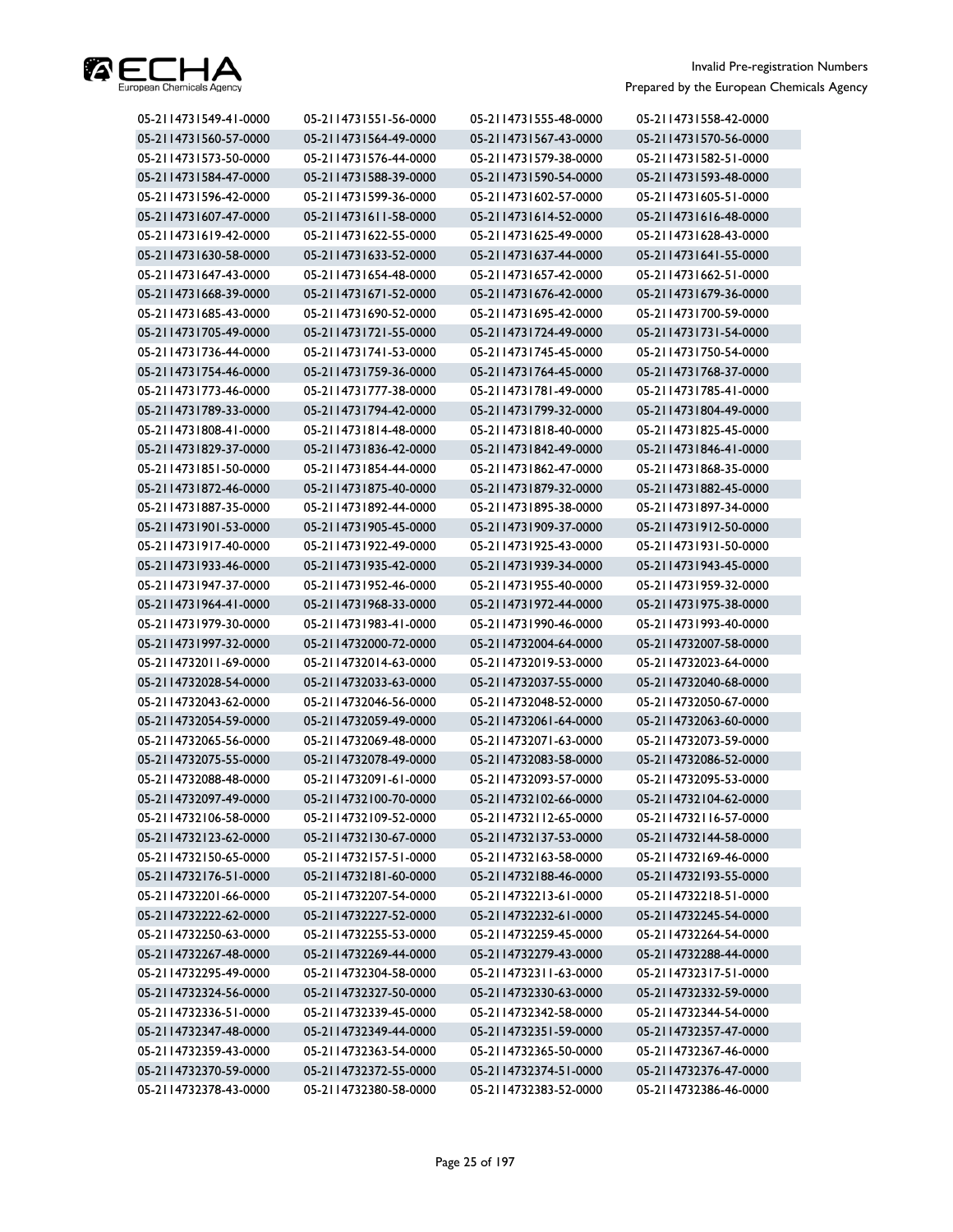

| 05-2114731549-41-0000 | 05-2114731551-56-0000 | 05-2114731555-48-0000 | 05-2114731558-42-0000 |
|-----------------------|-----------------------|-----------------------|-----------------------|
| 05-2114731560-57-0000 | 05-2114731564-49-0000 | 05-2114731567-43-0000 | 05-2114731570-56-0000 |
| 05-2114731573-50-0000 | 05-2114731576-44-0000 | 05-2114731579-38-0000 | 05-2114731582-51-0000 |
| 05-2114731584-47-0000 | 05-2114731588-39-0000 | 05-2114731590-54-0000 | 05-2114731593-48-0000 |
| 05-2114731596-42-0000 | 05-2114731599-36-0000 | 05-2114731602-57-0000 | 05-2114731605-51-0000 |
| 05-2114731607-47-0000 | 05-2114731611-58-0000 | 05-2114731614-52-0000 | 05-2114731616-48-0000 |
| 05-2114731619-42-0000 | 05-2114731622-55-0000 | 05-2114731625-49-0000 | 05-2114731628-43-0000 |
| 05-2114731630-58-0000 | 05-2114731633-52-0000 | 05-2114731637-44-0000 | 05-2114731641-55-0000 |
| 05-2114731647-43-0000 | 05-2114731654-48-0000 | 05-2114731657-42-0000 | 05-2114731662-51-0000 |
| 05-2114731668-39-0000 | 05-2114731671-52-0000 | 05-2114731676-42-0000 | 05-2114731679-36-0000 |
| 05-2114731685-43-0000 | 05-2114731690-52-0000 | 05-2114731695-42-0000 | 05-2114731700-59-0000 |
| 05-2114731705-49-0000 | 05-2114731721-55-0000 | 05-2114731724-49-0000 | 05-2114731731-54-0000 |
| 05-2114731736-44-0000 | 05-2114731741-53-0000 | 05-2114731745-45-0000 | 05-2114731750-54-0000 |
| 05-2114731754-46-0000 | 05-2114731759-36-0000 | 05-2114731764-45-0000 | 05-2114731768-37-0000 |
| 05-2114731773-46-0000 | 05-2114731777-38-0000 | 05-2114731781-49-0000 | 05-2114731785-41-0000 |
| 05-2114731789-33-0000 | 05-2114731794-42-0000 | 05-2114731799-32-0000 | 05-2114731804-49-0000 |
| 05-2114731808-41-0000 | 05-2114731814-48-0000 | 05-2114731818-40-0000 | 05-2114731825-45-0000 |
| 05-2114731829-37-0000 | 05-2114731836-42-0000 | 05-2114731842-49-0000 | 05-2114731846-41-0000 |
| 05-2114731851-50-0000 | 05-2114731854-44-0000 | 05-2114731862-47-0000 | 05-2114731868-35-0000 |
| 05-2114731872-46-0000 | 05-2114731875-40-0000 | 05-2114731879-32-0000 | 05-2114731882-45-0000 |
| 05-2114731887-35-0000 | 05-2114731892-44-0000 | 05-2114731895-38-0000 | 05-2114731897-34-0000 |
| 05-2114731901-53-0000 | 05-2114731905-45-0000 | 05-2114731909-37-0000 | 05-2114731912-50-0000 |
| 05-2114731917-40-0000 | 05-2114731922-49-0000 | 05-2114731925-43-0000 | 05-2114731931-50-0000 |
| 05-2114731933-46-0000 | 05-2114731935-42-0000 | 05-2114731939-34-0000 | 05-2114731943-45-0000 |
| 05-2114731947-37-0000 | 05-2114731952-46-0000 | 05-2114731955-40-0000 | 05-2114731959-32-0000 |
| 05-2114731964-41-0000 | 05-2114731968-33-0000 | 05-2114731972-44-0000 | 05-2114731975-38-0000 |
| 05-2114731979-30-0000 | 05-2114731983-41-0000 | 05-2114731990-46-0000 | 05-2114731993-40-0000 |
| 05-2114731997-32-0000 | 05-2114732000-72-0000 | 05-2114732004-64-0000 | 05-2114732007-58-0000 |
| 05-2114732011-69-0000 | 05-2114732014-63-0000 | 05-2114732019-53-0000 | 05-2114732023-64-0000 |
| 05-2114732028-54-0000 | 05-2114732033-63-0000 | 05-2114732037-55-0000 | 05-2114732040-68-0000 |
| 05-2114732043-62-0000 | 05-2114732046-56-0000 | 05-2114732048-52-0000 | 05-2114732050-67-0000 |
| 05-2114732054-59-0000 | 05-2114732059-49-0000 | 05-2114732061-64-0000 | 05-2114732063-60-0000 |
| 05-2114732065-56-0000 | 05-2114732069-48-0000 | 05-2114732071-63-0000 | 05-2114732073-59-0000 |
| 05-2114732075-55-0000 | 05-2114732078-49-0000 | 05-2114732083-58-0000 | 05-2114732086-52-0000 |
| 05-2114732088-48-0000 | 05-2114732091-61-0000 | 05-2114732093-57-0000 | 05-2114732095-53-0000 |
| 05-2114732097-49-0000 | 05-2114732100-70-0000 | 05-2114732102-66-0000 | 05-2114732104-62-0000 |
| 05-2114732106-58-0000 | 05-2114732109-52-0000 | 05-2114732112-65-0000 | 05-2114732116-57-0000 |
| 05-2114732123-62-0000 | 05-2114732130-67-0000 | 05-2114732137-53-0000 | 05-2114732144-58-0000 |
| 05-2114732150-65-0000 | 05-2114732157-51-0000 | 05-2114732163-58-0000 | 05-2114732169-46-0000 |
| 05-2114732176-51-0000 | 05-2114732181-60-0000 | 05-2114732188-46-0000 | 05-2114732193-55-0000 |
| 05-2114732201-66-0000 | 05-2114732207-54-0000 | 05-2114732213-61-0000 | 05-2114732218-51-0000 |
| 05-2114732222-62-0000 | 05-2114732227-52-0000 | 05-2114732232-61-0000 | 05-2114732245-54-0000 |
| 05-2114732250-63-0000 | 05-2114732255-53-0000 | 05-2114732259-45-0000 | 05-2114732264-54-0000 |
| 05-2114732267-48-0000 | 05-2114732269-44-0000 | 05-2114732279-43-0000 | 05-2114732288-44-0000 |
| 05-2114732295-49-0000 | 05-2114732304-58-0000 | 05-2114732311-63-0000 | 05-2114732317-51-0000 |
| 05-2114732324-56-0000 | 05-2114732327-50-0000 | 05-2114732330-63-0000 | 05-2114732332-59-0000 |
| 05-2114732336-51-0000 | 05-2114732339-45-0000 | 05-2114732342-58-0000 | 05-2114732344-54-0000 |
| 05-2114732347-48-0000 | 05-2114732349-44-0000 | 05-2114732351-59-0000 | 05-2114732357-47-0000 |
| 05-2114732359-43-0000 | 05-2114732363-54-0000 | 05-2114732365-50-0000 | 05-2114732367-46-0000 |
| 05-2114732370-59-0000 |                       |                       |                       |
|                       | 05-2114732372-55-0000 | 05-2114732374-51-0000 | 05-2114732376-47-0000 |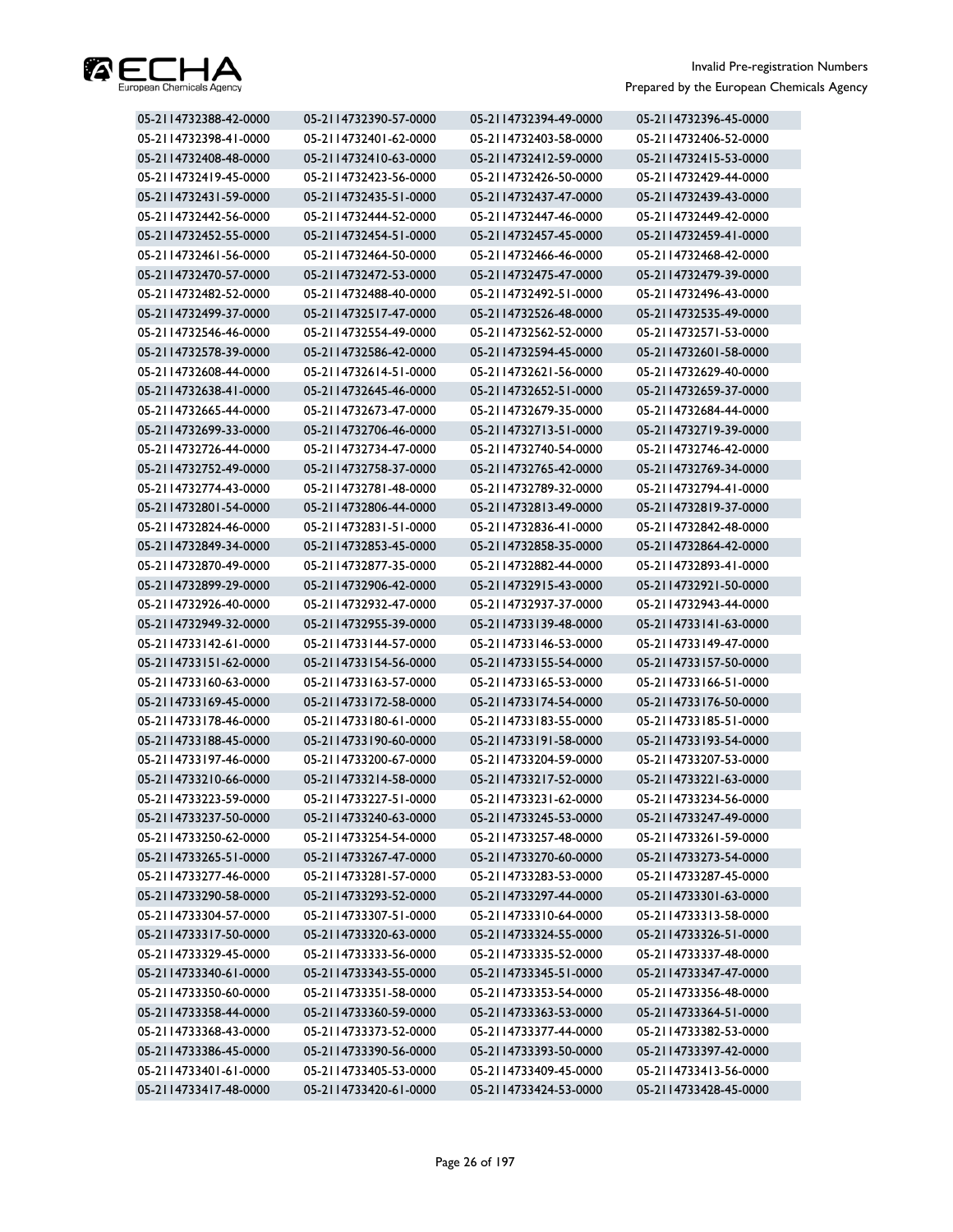

| 05-2114732388-42-0000 | 05-2114732390-57-0000 | 05-2114732394-49-0000 | 05-2114732396-45-0000 |
|-----------------------|-----------------------|-----------------------|-----------------------|
| 05-2114732398-41-0000 | 05-2114732401-62-0000 | 05-2114732403-58-0000 | 05-2114732406-52-0000 |
| 05-2114732408-48-0000 | 05-2114732410-63-0000 | 05-2114732412-59-0000 | 05-2114732415-53-0000 |
| 05-2114732419-45-0000 | 05-2114732423-56-0000 | 05-2114732426-50-0000 | 05-2114732429-44-0000 |
| 05-2114732431-59-0000 | 05-2114732435-51-0000 | 05-2114732437-47-0000 | 05-2114732439-43-0000 |
| 05-2114732442-56-0000 | 05-2114732444-52-0000 | 05-2114732447-46-0000 | 05-2114732449-42-0000 |
| 05-2114732452-55-0000 | 05-2114732454-51-0000 | 05-2114732457-45-0000 | 05-2114732459-41-0000 |
| 05-2114732461-56-0000 | 05-2114732464-50-0000 | 05-2114732466-46-0000 | 05-2114732468-42-0000 |
| 05-2114732470-57-0000 | 05-2114732472-53-0000 | 05-2114732475-47-0000 | 05-2114732479-39-0000 |
| 05-2114732482-52-0000 | 05-2114732488-40-0000 | 05-2114732492-51-0000 | 05-2114732496-43-0000 |
| 05-2114732499-37-0000 | 05-2114732517-47-0000 | 05-2114732526-48-0000 | 05-2114732535-49-0000 |
| 05-2114732546-46-0000 | 05-2114732554-49-0000 | 05-2114732562-52-0000 | 05-2114732571-53-0000 |
| 05-2114732578-39-0000 | 05-2114732586-42-0000 | 05-2114732594-45-0000 | 05-2114732601-58-0000 |
| 05-2114732608-44-0000 | 05-2114732614-51-0000 | 05-2114732621-56-0000 | 05-2114732629-40-0000 |
| 05-2114732638-41-0000 | 05-2114732645-46-0000 | 05-2114732652-51-0000 | 05-2114732659-37-0000 |
| 05-2114732665-44-0000 | 05-2114732673-47-0000 | 05-2114732679-35-0000 | 05-2114732684-44-0000 |
| 05-2114732699-33-0000 | 05-2114732706-46-0000 | 05-2114732713-51-0000 | 05-2114732719-39-0000 |
| 05-2114732726-44-0000 | 05-2114732734-47-0000 | 05-2114732740-54-0000 | 05-2114732746-42-0000 |
| 05-2114732752-49-0000 | 05-2114732758-37-0000 | 05-2114732765-42-0000 | 05-2114732769-34-0000 |
| 05-2114732774-43-0000 | 05-2114732781-48-0000 | 05-2114732789-32-0000 | 05-2114732794-41-0000 |
| 05-2114732801-54-0000 | 05-2114732806-44-0000 | 05-2114732813-49-0000 | 05-2114732819-37-0000 |
| 05-2114732824-46-0000 | 05-2114732831-51-0000 | 05-2114732836-41-0000 | 05-2114732842-48-0000 |
| 05-2114732849-34-0000 | 05-2114732853-45-0000 | 05-2114732858-35-0000 | 05-2114732864-42-0000 |
| 05-2114732870-49-0000 | 05-2114732877-35-0000 | 05-2114732882-44-0000 | 05-2114732893-41-0000 |
| 05-2114732899-29-0000 | 05-2114732906-42-0000 | 05-2114732915-43-0000 | 05-2114732921-50-0000 |
| 05-2114732926-40-0000 | 05-2114732932-47-0000 | 05-2114732937-37-0000 | 05-2114732943-44-0000 |
| 05-2114732949-32-0000 | 05-2114732955-39-0000 | 05-2114733139-48-0000 | 05-2114733141-63-0000 |
| 05-2114733142-61-0000 | 05-2114733144-57-0000 | 05-2114733146-53-0000 | 05-2114733149-47-0000 |
| 05-2114733151-62-0000 | 05-2114733154-56-0000 | 05-2114733155-54-0000 | 05-2114733157-50-0000 |
| 05-2114733160-63-0000 | 05-2114733163-57-0000 | 05-2114733165-53-0000 | 05-2114733166-51-0000 |
| 05-2114733169-45-0000 | 05-2114733172-58-0000 | 05-2114733174-54-0000 | 05-2114733176-50-0000 |
| 05-2114733178-46-0000 | 05-2114733180-61-0000 | 05-2114733183-55-0000 | 05-2114733185-51-0000 |
| 05-2114733188-45-0000 | 05-2114733190-60-0000 | 05-2114733191-58-0000 | 05-2114733193-54-0000 |
| 05-2114733197-46-0000 | 05-2114733200-67-0000 | 05-2114733204-59-0000 | 05-2114733207-53-0000 |
| 05-2114733210-66-0000 | 05-2114733214-58-0000 | 05-2114733217-52-0000 | 05-2114733221-63-0000 |
| 05-2114733223-59-0000 | 05-2114733227-51-0000 | 05-2114733231-62-0000 | 05-2114733234-56-0000 |
| 05-2114733237-50-0000 | 05-2114733240-63-0000 | 05-2114733245-53-0000 | 05-2114733247-49-0000 |
| 05-2114733250-62-0000 | 05-2114733254-54-0000 | 05-2114733257-48-0000 | 05-2114733261-59-0000 |
| 05-2114733265-51-0000 | 05-2114733267-47-0000 | 05-2114733270-60-0000 | 05-2114733273-54-0000 |
| 05-2114733277-46-0000 | 05-2114733281-57-0000 | 05-2114733283-53-0000 | 05-2114733287-45-0000 |
| 05-2114733290-58-0000 | 05-2114733293-52-0000 | 05-2114733297-44-0000 | 05-2114733301-63-0000 |
| 05-2114733304-57-0000 | 05-2114733307-51-0000 | 05-2114733310-64-0000 | 05-2114733313-58-0000 |
| 05-2114733317-50-0000 | 05-2114733320-63-0000 | 05-2114733324-55-0000 | 05-2114733326-51-0000 |
| 05-2114733329-45-0000 | 05-2114733333-56-0000 | 05-2114733335-52-0000 | 05-2114733337-48-0000 |
| 05-2114733340-61-0000 | 05-2114733343-55-0000 | 05-2114733345-51-0000 | 05-2114733347-47-0000 |
| 05-2114733350-60-0000 | 05-2114733351-58-0000 | 05-2114733353-54-0000 | 05-2114733356-48-0000 |
| 05-2114733358-44-0000 | 05-2114733360-59-0000 | 05-2114733363-53-0000 | 05-2114733364-51-0000 |
| 05-2114733368-43-0000 | 05-2114733373-52-0000 | 05-2114733377-44-0000 | 05-2114733382-53-0000 |
| 05-2114733386-45-0000 | 05-2114733390-56-0000 | 05-2114733393-50-0000 | 05-2114733397-42-0000 |
| 05-2114733401-61-0000 | 05-2114733405-53-0000 | 05-2114733409-45-0000 | 05-2114733413-56-0000 |
| 05-2114733417-48-0000 | 05-2114733420-61-0000 | 05-2114733424-53-0000 | 05-2114733428-45-0000 |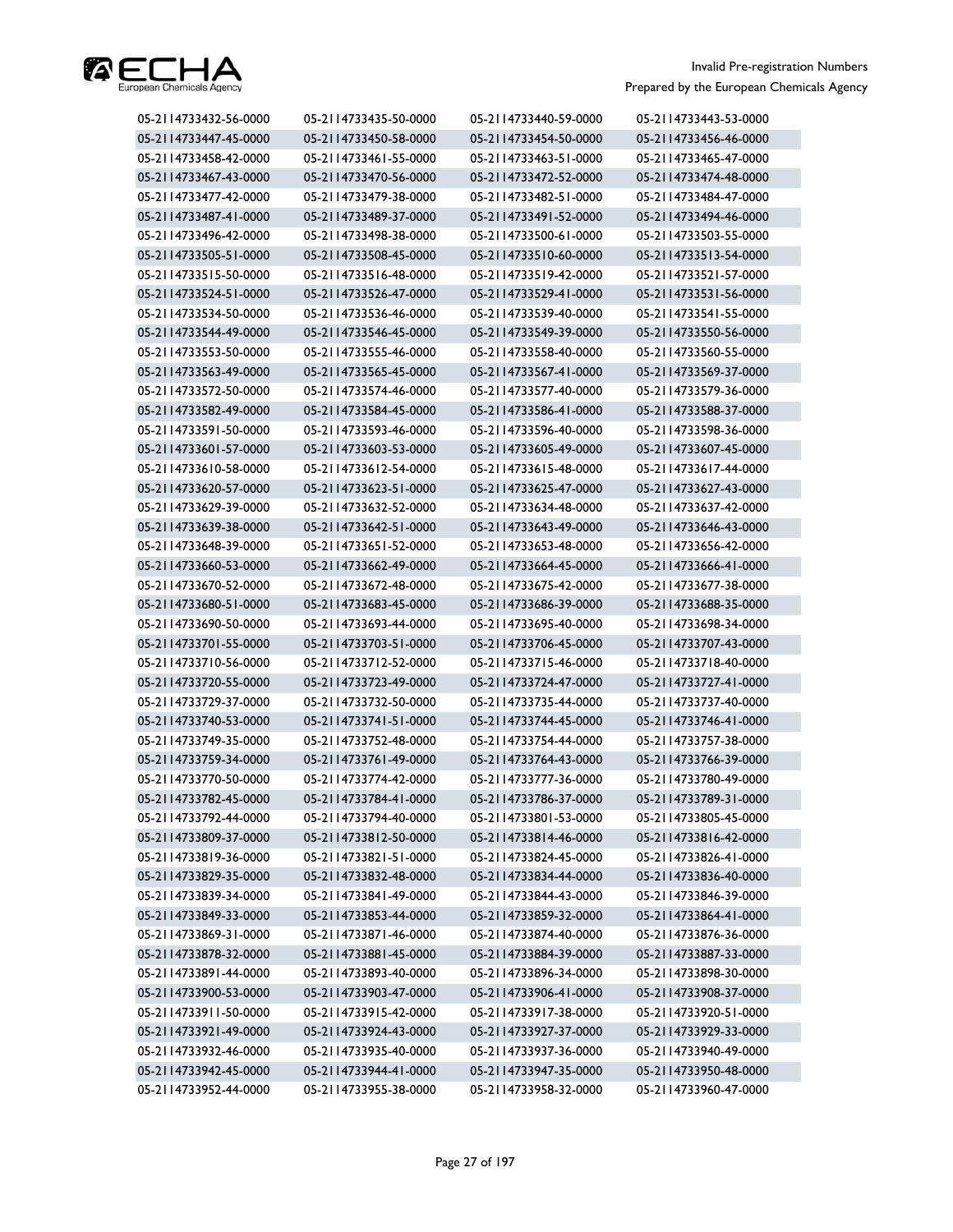

| 05-2114733432-56-0000 | 05-2114733435-50-0000 | 05-2114733440-59-0000 | 05-2114733443-53-0000 |
|-----------------------|-----------------------|-----------------------|-----------------------|
| 05-2114733447-45-0000 | 05-2114733450-58-0000 | 05-2114733454-50-0000 | 05-2114733456-46-0000 |
| 05-2114733458-42-0000 | 05-2114733461-55-0000 | 05-2114733463-51-0000 | 05-2114733465-47-0000 |
| 05-2114733467-43-0000 | 05-2114733470-56-0000 | 05-2114733472-52-0000 | 05-2114733474-48-0000 |
| 05-2114733477-42-0000 | 05-2114733479-38-0000 | 05-2114733482-51-0000 | 05-2114733484-47-0000 |
| 05-2114733487-41-0000 | 05-2114733489-37-0000 | 05-2114733491-52-0000 | 05-2114733494-46-0000 |
| 05-2114733496-42-0000 | 05-2114733498-38-0000 | 05-2114733500-61-0000 | 05-2114733503-55-0000 |
| 05-2114733505-51-0000 | 05-2114733508-45-0000 | 05-2114733510-60-0000 | 05-2114733513-54-0000 |
| 05-2114733515-50-0000 | 05-2114733516-48-0000 | 05-2114733519-42-0000 | 05-2114733521-57-0000 |
| 05-2114733524-51-0000 | 05-2114733526-47-0000 | 05-2114733529-41-0000 | 05-2114733531-56-0000 |
| 05-2114733534-50-0000 | 05-2114733536-46-0000 | 05-2114733539-40-0000 | 05-2114733541-55-0000 |
| 05-2114733544-49-0000 | 05-2114733546-45-0000 | 05-2114733549-39-0000 | 05-2114733550-56-0000 |
| 05-2114733553-50-0000 | 05-2114733555-46-0000 | 05-2114733558-40-0000 | 05-2114733560-55-0000 |
| 05-2114733563-49-0000 | 05-2114733565-45-0000 | 05-2114733567-41-0000 | 05-2114733569-37-0000 |
| 05-2114733572-50-0000 | 05-2114733574-46-0000 | 05-2114733577-40-0000 | 05-2114733579-36-0000 |
| 05-2114733582-49-0000 | 05-2114733584-45-0000 | 05-2114733586-41-0000 | 05-2114733588-37-0000 |
| 05-2114733591-50-0000 | 05-2114733593-46-0000 | 05-2114733596-40-0000 | 05-2114733598-36-0000 |
| 05-2114733601-57-0000 | 05-2114733603-53-0000 | 05-2114733605-49-0000 | 05-2114733607-45-0000 |
| 05-2114733610-58-0000 | 05-2114733612-54-0000 | 05-2114733615-48-0000 | 05-2114733617-44-0000 |
| 05-2114733620-57-0000 | 05-2114733623-51-0000 | 05-2114733625-47-0000 | 05-2114733627-43-0000 |
| 05-2114733629-39-0000 | 05-2114733632-52-0000 | 05-2114733634-48-0000 | 05-2114733637-42-0000 |
| 05-2114733639-38-0000 | 05-2114733642-51-0000 | 05-2114733643-49-0000 | 05-2114733646-43-0000 |
| 05-2114733648-39-0000 | 05-2114733651-52-0000 | 05-2114733653-48-0000 | 05-2114733656-42-0000 |
| 05-2114733660-53-0000 | 05-2114733662-49-0000 | 05-2114733664-45-0000 | 05-2114733666-41-0000 |
| 05-2114733670-52-0000 | 05-2114733672-48-0000 | 05-2114733675-42-0000 | 05-2114733677-38-0000 |
| 05-2114733680-51-0000 | 05-2114733683-45-0000 | 05-2114733686-39-0000 | 05-2114733688-35-0000 |
| 05-2114733690-50-0000 | 05-2114733693-44-0000 | 05-2114733695-40-0000 | 05-2114733698-34-0000 |
| 05-2114733701-55-0000 | 05-2114733703-51-0000 | 05-2114733706-45-0000 | 05-2114733707-43-0000 |
| 05-2114733710-56-0000 | 05-2114733712-52-0000 | 05-2114733715-46-0000 | 05-2114733718-40-0000 |
| 05-2114733720-55-0000 | 05-2114733723-49-0000 | 05-2114733724-47-0000 | 05-2114733727-41-0000 |
| 05-2114733729-37-0000 | 05-2114733732-50-0000 | 05-2114733735-44-0000 | 05-2114733737-40-0000 |
| 05-2114733740-53-0000 | 05-2114733741-51-0000 | 05-2114733744-45-0000 | 05-2114733746-41-0000 |
| 05-2114733749-35-0000 | 05-2114733752-48-0000 | 05-2114733754-44-0000 | 05-2114733757-38-0000 |
| 05-2114733759-34-0000 | 05-2114733761-49-0000 | 05-2114733764-43-0000 | 05-2114733766-39-0000 |
| 05-2114733770-50-0000 | 05-2114733774-42-0000 | 05-2114733777-36-0000 | 05-2114733780-49-0000 |
| 05-2114733782-45-0000 | 05-2114733784-41-0000 | 05-2114733786-37-0000 | 05-2114733789-31-0000 |
| 05-2114733792-44-0000 | 05-2114733794-40-0000 | 05-2114733801-53-0000 | 05-2114733805-45-0000 |
| 05-2114733809-37-0000 | 05-2114733812-50-0000 | 05-2114733814-46-0000 | 05-2114733816-42-0000 |
| 05-2114733819-36-0000 | 05-2114733821-51-0000 | 05-2114733824-45-0000 | 05-2114733826-41-0000 |
| 05-2114733829-35-0000 | 05-2114733832-48-0000 | 05-2114733834-44-0000 | 05-2114733836-40-0000 |
| 05-2114733839-34-0000 | 05-2114733841-49-0000 | 05-2114733844-43-0000 | 05-2114733846-39-0000 |
| 05-2114733849-33-0000 | 05-2114733853-44-0000 | 05-2114733859-32-0000 | 05-2114733864-41-0000 |
| 05-2114733869-31-0000 | 05-2114733871-46-0000 | 05-2114733874-40-0000 | 05-2114733876-36-0000 |
| 05-2114733878-32-0000 | 05-2114733881-45-0000 | 05-2114733884-39-0000 | 05-2114733887-33-0000 |
| 05-2114733891-44-0000 | 05-2114733893-40-0000 | 05-2114733896-34-0000 | 05-2114733898-30-0000 |
| 05-2114733900-53-0000 | 05-2114733903-47-0000 | 05-2114733906-41-0000 | 05-2114733908-37-0000 |
| 05-2114733911-50-0000 | 05-2114733915-42-0000 | 05-2114733917-38-0000 | 05-2114733920-51-0000 |
| 05-2114733921-49-0000 | 05-2114733924-43-0000 | 05-2114733927-37-0000 | 05-2114733929-33-0000 |
| 05-2114733932-46-0000 | 05-2114733935-40-0000 | 05-2114733937-36-0000 | 05-2114733940-49-0000 |
| 05-2114733942-45-0000 | 05-2114733944-41-0000 | 05-2114733947-35-0000 | 05-2114733950-48-0000 |
| 05-2114733952-44-0000 | 05-2114733955-38-0000 | 05-2114733958-32-0000 | 05-2114733960-47-0000 |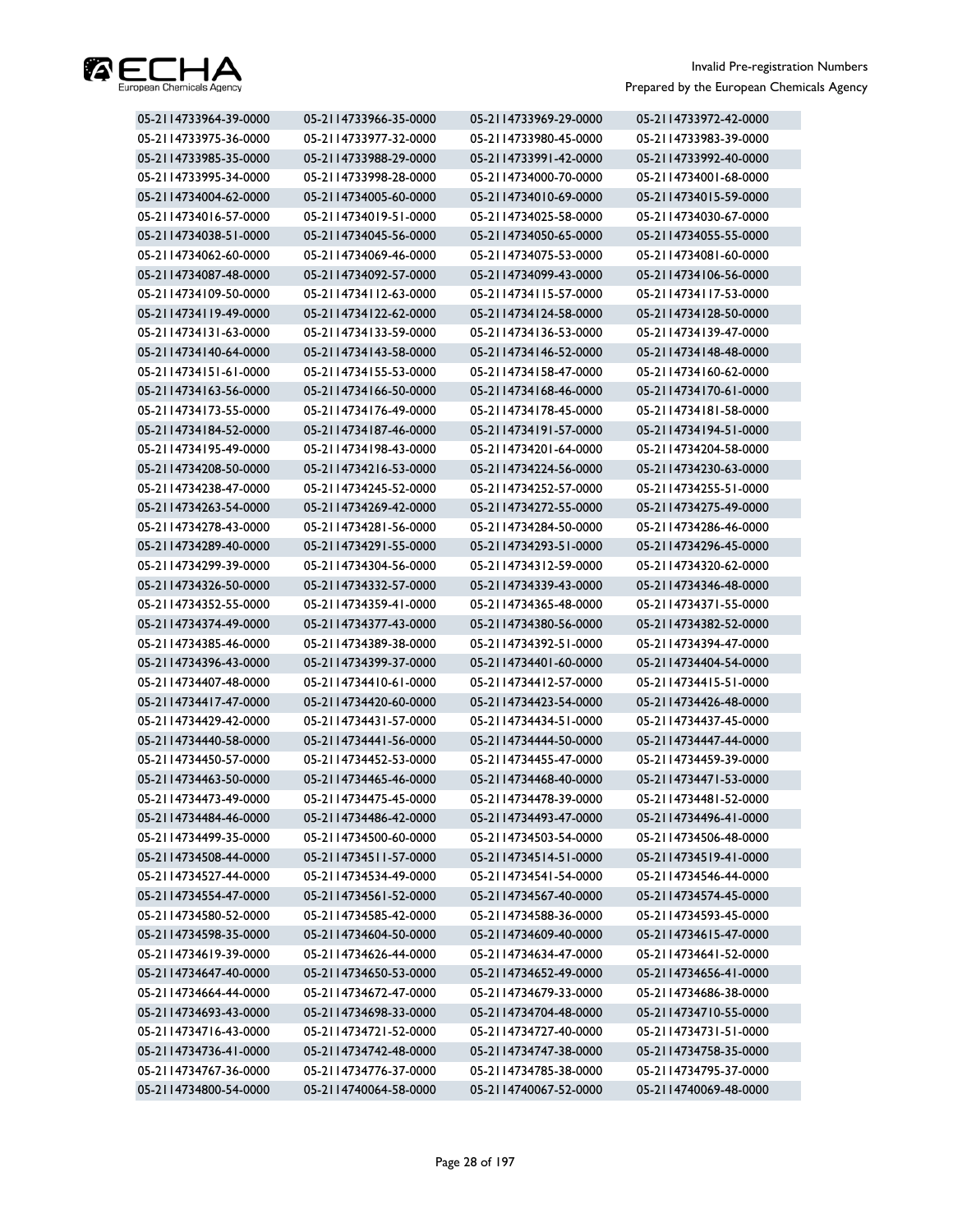

| 05-2114733964-39-0000 | 05-2114733966-35-0000 | 05-2114733969-29-0000 | 05-2114733972-42-0000 |
|-----------------------|-----------------------|-----------------------|-----------------------|
| 05-2114733975-36-0000 | 05-2114733977-32-0000 | 05-2114733980-45-0000 | 05-2114733983-39-0000 |
| 05-2114733985-35-0000 | 05-2114733988-29-0000 | 05-2114733991-42-0000 | 05-2114733992-40-0000 |
| 05-2114733995-34-0000 | 05-2114733998-28-0000 | 05-2114734000-70-0000 | 05-2114734001-68-0000 |
| 05-2114734004-62-0000 | 05-2114734005-60-0000 | 05-2114734010-69-0000 | 05-2114734015-59-0000 |
| 05-2114734016-57-0000 | 05-2114734019-51-0000 | 05-2114734025-58-0000 | 05-2114734030-67-0000 |
| 05-2114734038-51-0000 | 05-2114734045-56-0000 | 05-2114734050-65-0000 | 05-2114734055-55-0000 |
| 05-2114734062-60-0000 | 05-2114734069-46-0000 | 05-2114734075-53-0000 | 05-2114734081-60-0000 |
| 05-2114734087-48-0000 | 05-2114734092-57-0000 | 05-2114734099-43-0000 | 05-2114734106-56-0000 |
| 05-2114734109-50-0000 | 05-2114734112-63-0000 | 05-2114734115-57-0000 | 05-2114734117-53-0000 |
| 05-2114734119-49-0000 | 05-2114734122-62-0000 | 05-2114734124-58-0000 | 05-2114734128-50-0000 |
| 05-2114734131-63-0000 | 05-2114734133-59-0000 | 05-2114734136-53-0000 | 05-2114734139-47-0000 |
| 05-2114734140-64-0000 | 05-2114734143-58-0000 | 05-2114734146-52-0000 | 05-2114734148-48-0000 |
| 05-2114734151-61-0000 | 05-2114734155-53-0000 | 05-2114734158-47-0000 | 05-2114734160-62-0000 |
| 05-2114734163-56-0000 | 05-2114734166-50-0000 | 05-2114734168-46-0000 | 05-2114734170-61-0000 |
| 05-2114734173-55-0000 | 05-2114734176-49-0000 | 05-2114734178-45-0000 | 05-2114734181-58-0000 |
| 05-2114734184-52-0000 | 05-2114734187-46-0000 | 05-2114734191-57-0000 | 05-2114734194-51-0000 |
| 05-2114734195-49-0000 | 05-2114734198-43-0000 | 05-2114734201-64-0000 | 05-2114734204-58-0000 |
| 05-2114734208-50-0000 | 05-2114734216-53-0000 | 05-2114734224-56-0000 | 05-2114734230-63-0000 |
| 05-2114734238-47-0000 | 05-2114734245-52-0000 | 05-2114734252-57-0000 | 05-2114734255-51-0000 |
| 05-2114734263-54-0000 | 05-2114734269-42-0000 | 05-2114734272-55-0000 | 05-2114734275-49-0000 |
| 05-2114734278-43-0000 | 05-2114734281-56-0000 | 05-2114734284-50-0000 | 05-2114734286-46-0000 |
| 05-2114734289-40-0000 | 05-2114734291-55-0000 | 05-2114734293-51-0000 | 05-2114734296-45-0000 |
| 05-2114734299-39-0000 | 05-2114734304-56-0000 | 05-2114734312-59-0000 | 05-2114734320-62-0000 |
| 05-2114734326-50-0000 | 05-2114734332-57-0000 | 05-2114734339-43-0000 | 05-2114734346-48-0000 |
| 05-2114734352-55-0000 | 05-2114734359-41-0000 | 05-2114734365-48-0000 | 05-2114734371-55-0000 |
| 05-2114734374-49-0000 | 05-2114734377-43-0000 | 05-2114734380-56-0000 | 05-2114734382-52-0000 |
| 05-2114734385-46-0000 | 05-2114734389-38-0000 | 05-2114734392-51-0000 | 05-2114734394-47-0000 |
| 05-2114734396-43-0000 | 05-2114734399-37-0000 | 05-2114734401-60-0000 | 05-2114734404-54-0000 |
| 05-2114734407-48-0000 | 05-2114734410-61-0000 | 05-2114734412-57-0000 | 05-2114734415-51-0000 |
| 05-2114734417-47-0000 | 05-2114734420-60-0000 | 05-2114734423-54-0000 | 05-2114734426-48-0000 |
| 05-2114734429-42-0000 | 05-2114734431-57-0000 | 05-2114734434-51-0000 | 05-2114734437-45-0000 |
| 05-2114734440-58-0000 | 05-2114734441-56-0000 | 05-2114734444-50-0000 | 05-2114734447-44-0000 |
| 05-2114734450-57-0000 | 05-2114734452-53-0000 | 05-2114734455-47-0000 | 05-2114734459-39-0000 |
| 05-2114734463-50-0000 | 05-2114734465-46-0000 | 05-2114734468-40-0000 | 05-2114734471-53-0000 |
| 05-2114734473-49-0000 | 05-2114734475-45-0000 | 05-2114734478-39-0000 | 05-2114734481-52-0000 |
| 05-2114734484-46-0000 | 05-2114734486-42-0000 | 05-2114734493-47-0000 | 05-2114734496-41-0000 |
| 05-2114734499-35-0000 | 05-2114734500-60-0000 | 05-2114734503-54-0000 | 05-2114734506-48-0000 |
| 05-2114734508-44-0000 | 05-2114734511-57-0000 | 05-2114734514-51-0000 | 05-2114734519-41-0000 |
| 05-2114734527-44-0000 | 05-2114734534-49-0000 | 05-2114734541-54-0000 | 05-2114734546-44-0000 |
| 05-2114734554-47-0000 | 05-2114734561-52-0000 | 05-2114734567-40-0000 | 05-2114734574-45-0000 |
| 05-2114734580-52-0000 | 05-2114734585-42-0000 | 05-2114734588-36-0000 | 05-2114734593-45-0000 |
| 05-2114734598-35-0000 | 05-2114734604-50-0000 | 05-2114734609-40-0000 | 05-2114734615-47-0000 |
| 05-2114734619-39-0000 | 05-2114734626-44-0000 | 05-2114734634-47-0000 | 05-2114734641-52-0000 |
| 05-2114734647-40-0000 | 05-2114734650-53-0000 | 05-2114734652-49-0000 | 05-2114734656-41-0000 |
| 05-2114734664-44-0000 | 05-2114734672-47-0000 | 05-2114734679-33-0000 | 05-2114734686-38-0000 |
| 05-2114734693-43-0000 | 05-2114734698-33-0000 | 05-2114734704-48-0000 | 05-2114734710-55-0000 |
| 05-2114734716-43-0000 | 05-2114734721-52-0000 | 05-2114734727-40-0000 | 05-2114734731-51-0000 |
| 05-2114734736-41-0000 | 05-2114734742-48-0000 | 05-2114734747-38-0000 | 05-2114734758-35-0000 |
| 05-2114734767-36-0000 | 05-2114734776-37-0000 | 05-2114734785-38-0000 | 05-2114734795-37-0000 |
| 05-2114734800-54-0000 | 05-2114740064-58-0000 | 05-2114740067-52-0000 | 05-2114740069-48-0000 |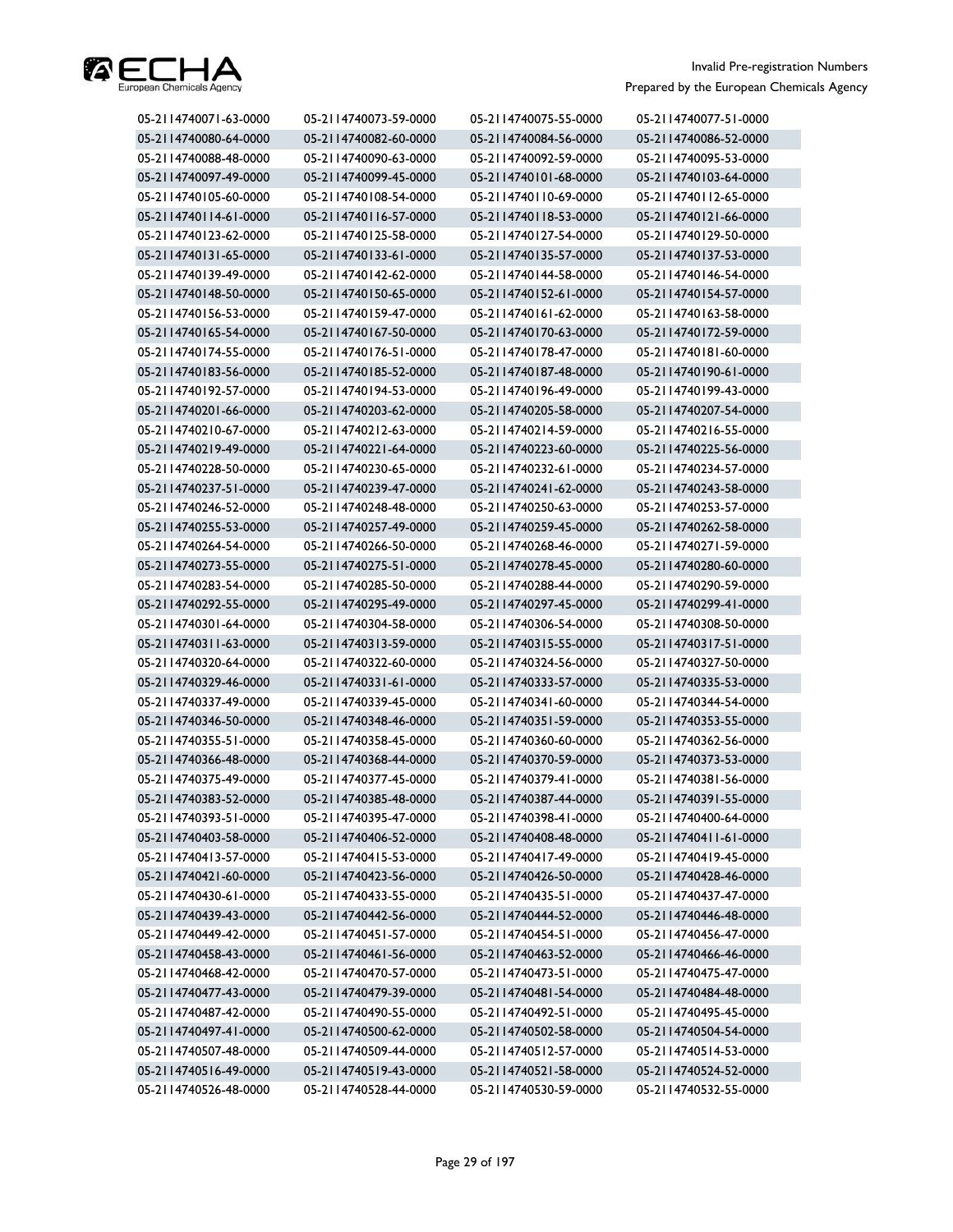

| 05-2114740071-63-0000 | 05-2114740073-59-0000 | 05-2114740075-55-0000 | 05-2114740077-51-0000 |
|-----------------------|-----------------------|-----------------------|-----------------------|
| 05-2114740080-64-0000 | 05-2114740082-60-0000 | 05-2114740084-56-0000 | 05-2114740086-52-0000 |
| 05-2114740088-48-0000 | 05-2114740090-63-0000 | 05-2114740092-59-0000 | 05-2114740095-53-0000 |
| 05-2114740097-49-0000 | 05-2114740099-45-0000 | 05-2114740101-68-0000 | 05-2114740103-64-0000 |
| 05-2114740105-60-0000 | 05-2114740108-54-0000 | 05-2114740110-69-0000 | 05-2114740112-65-0000 |
| 05-2114740114-61-0000 | 05-2114740116-57-0000 | 05-2114740118-53-0000 | 05-2114740121-66-0000 |
| 05-2114740123-62-0000 | 05-2114740125-58-0000 | 05-2114740127-54-0000 | 05-2114740129-50-0000 |
| 05-2114740131-65-0000 | 05-2114740133-61-0000 | 05-2114740135-57-0000 | 05-2114740137-53-0000 |
| 05-2114740139-49-0000 | 05-2114740142-62-0000 | 05-2114740144-58-0000 | 05-2114740146-54-0000 |
| 05-2114740148-50-0000 | 05-2114740150-65-0000 | 05-2114740152-61-0000 | 05-2114740154-57-0000 |
| 05-2114740156-53-0000 | 05-2114740159-47-0000 | 05-2114740161-62-0000 | 05-2114740163-58-0000 |
| 05-2114740165-54-0000 | 05-2114740167-50-0000 | 05-2114740170-63-0000 | 05-2114740172-59-0000 |
| 05-2114740174-55-0000 | 05-2114740176-51-0000 | 05-2114740178-47-0000 | 05-2114740181-60-0000 |
| 05-2114740183-56-0000 | 05-2114740185-52-0000 | 05-2114740187-48-0000 | 05-2114740190-61-0000 |
| 05-2114740192-57-0000 | 05-2114740194-53-0000 | 05-2114740196-49-0000 | 05-2114740199-43-0000 |
| 05-2114740201-66-0000 | 05-2114740203-62-0000 | 05-2114740205-58-0000 | 05-2114740207-54-0000 |
| 05-2114740210-67-0000 | 05-2114740212-63-0000 | 05-2114740214-59-0000 | 05-2114740216-55-0000 |
| 05-2114740219-49-0000 | 05-2114740221-64-0000 | 05-2114740223-60-0000 | 05-2114740225-56-0000 |
| 05-2114740228-50-0000 | 05-2114740230-65-0000 | 05-2114740232-61-0000 | 05-2114740234-57-0000 |
| 05-2114740237-51-0000 | 05-2114740239-47-0000 | 05-2114740241-62-0000 | 05-2114740243-58-0000 |
| 05-2114740246-52-0000 | 05-2114740248-48-0000 | 05-2114740250-63-0000 | 05-2114740253-57-0000 |
| 05-2114740255-53-0000 | 05-2114740257-49-0000 | 05-2114740259-45-0000 | 05-2114740262-58-0000 |
| 05-2114740264-54-0000 | 05-2114740266-50-0000 | 05-2114740268-46-0000 | 05-2114740271-59-0000 |
| 05-2114740273-55-0000 | 05-2114740275-51-0000 | 05-2114740278-45-0000 | 05-2114740280-60-0000 |
| 05-2114740283-54-0000 | 05-2114740285-50-0000 | 05-2114740288-44-0000 | 05-2114740290-59-0000 |
| 05-2114740292-55-0000 | 05-2114740295-49-0000 | 05-2114740297-45-0000 | 05-2114740299-41-0000 |
| 05-2114740301-64-0000 | 05-2114740304-58-0000 | 05-2114740306-54-0000 | 05-2114740308-50-0000 |
| 05-2114740311-63-0000 | 05-2114740313-59-0000 | 05-2114740315-55-0000 | 05-2114740317-51-0000 |
| 05-2114740320-64-0000 | 05-2114740322-60-0000 | 05-2114740324-56-0000 | 05-2114740327-50-0000 |
| 05-2114740329-46-0000 | 05-2114740331-61-0000 | 05-2114740333-57-0000 | 05-2114740335-53-0000 |
| 05-2114740337-49-0000 | 05-2114740339-45-0000 | 05-2114740341-60-0000 | 05-2114740344-54-0000 |
| 05-2114740346-50-0000 | 05-2114740348-46-0000 | 05-2114740351-59-0000 | 05-2114740353-55-0000 |
| 05-2114740355-51-0000 | 05-2114740358-45-0000 | 05-2114740360-60-0000 | 05-2114740362-56-0000 |
| 05-2114740366-48-0000 | 05-2114740368-44-0000 | 05-2114740370-59-0000 | 05-2114740373-53-0000 |
| 05-2114740375-49-0000 | 05-2114740377-45-0000 | 05-2114740379-41-0000 | 05-2114740381-56-0000 |
| 05-2114740383-52-0000 | 05-2114740385-48-0000 | 05-2114740387-44-0000 | 05-2114740391-55-0000 |
| 05-2114740393-51-0000 | 05-2114740395-47-0000 | 05-2114740398-41-0000 | 05-2114740400-64-0000 |
| 05-2114740403-58-0000 | 05-2114740406-52-0000 | 05-2114740408-48-0000 | 05-2114740411-61-0000 |
| 05-2114740413-57-0000 | 05-2114740415-53-0000 | 05-2114740417-49-0000 | 05-2114740419-45-0000 |
| 05-2114740421-60-0000 | 05-2114740423-56-0000 | 05-2114740426-50-0000 | 05-2114740428-46-0000 |
| 05-2114740430-61-0000 | 05-2114740433-55-0000 | 05-2114740435-51-0000 | 05-2114740437-47-0000 |
| 05-2114740439-43-0000 | 05-2114740442-56-0000 | 05-2114740444-52-0000 | 05-2114740446-48-0000 |
| 05-2114740449-42-0000 | 05-2114740451-57-0000 | 05-2114740454-51-0000 | 05-2114740456-47-0000 |
| 05-2114740458-43-0000 | 05-2114740461-56-0000 | 05-2114740463-52-0000 | 05-2114740466-46-0000 |
| 05-2114740468-42-0000 | 05-2114740470-57-0000 | 05-2114740473-51-0000 | 05-2114740475-47-0000 |
| 05-2114740477-43-0000 | 05-2114740479-39-0000 | 05-2114740481-54-0000 | 05-2114740484-48-0000 |
| 05-2114740487-42-0000 | 05-2114740490-55-0000 | 05-2114740492-51-0000 | 05-2114740495-45-0000 |
| 05-2114740497-41-0000 | 05-2114740500-62-0000 | 05-2114740502-58-0000 | 05-2114740504-54-0000 |
| 05-2114740507-48-0000 | 05-2114740509-44-0000 | 05-2114740512-57-0000 | 05-2114740514-53-0000 |
| 05-2114740516-49-0000 | 05-2114740519-43-0000 | 05-2114740521-58-0000 | 05-2114740524-52-0000 |
| 05-2114740526-48-0000 | 05-2114740528-44-0000 | 05-2114740530-59-0000 | 05-2114740532-55-0000 |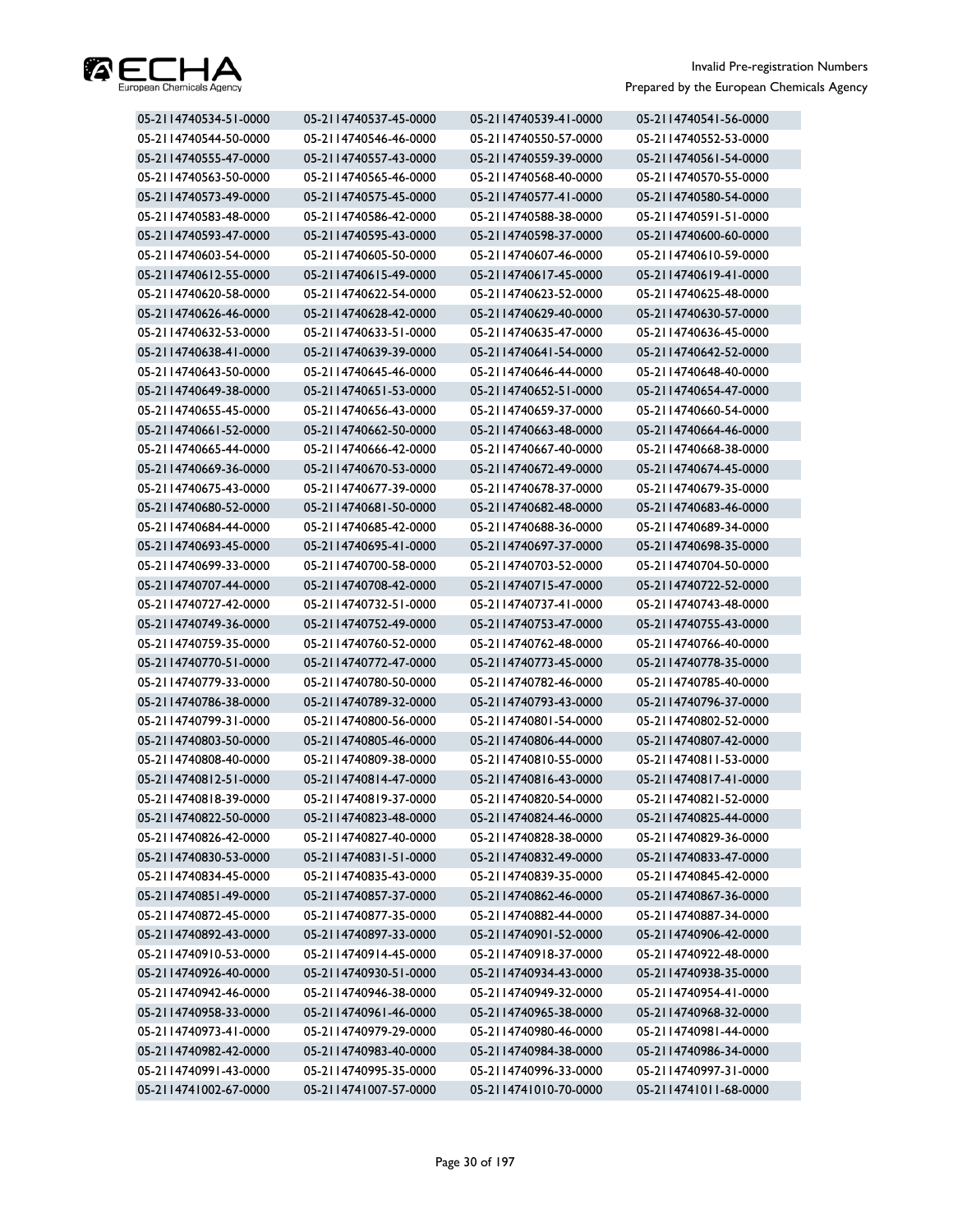

| 05-2114740534-51-0000 | 05-2114740537-45-0000 | 05-2114740539-41-0000 | 05-2114740541-56-0000 |
|-----------------------|-----------------------|-----------------------|-----------------------|
| 05-2114740544-50-0000 | 05-2114740546-46-0000 | 05-2114740550-57-0000 | 05-2114740552-53-0000 |
| 05-2114740555-47-0000 | 05-2114740557-43-0000 | 05-2114740559-39-0000 | 05-2114740561-54-0000 |
| 05-2114740563-50-0000 | 05-2114740565-46-0000 | 05-2114740568-40-0000 | 05-2114740570-55-0000 |
| 05-2114740573-49-0000 | 05-2114740575-45-0000 | 05-2114740577-41-0000 | 05-2114740580-54-0000 |
| 05-2114740583-48-0000 | 05-2114740586-42-0000 | 05-2114740588-38-0000 | 05-2114740591-51-0000 |
| 05-2114740593-47-0000 | 05-2114740595-43-0000 | 05-2114740598-37-0000 | 05-2114740600-60-0000 |
| 05-2114740603-54-0000 | 05-2114740605-50-0000 | 05-2114740607-46-0000 | 05-2114740610-59-0000 |
| 05-2114740612-55-0000 | 05-2114740615-49-0000 | 05-2114740617-45-0000 | 05-2114740619-41-0000 |
| 05-2114740620-58-0000 | 05-2114740622-54-0000 | 05-2114740623-52-0000 | 05-2114740625-48-0000 |
| 05-2114740626-46-0000 | 05-2114740628-42-0000 | 05-2114740629-40-0000 | 05-2114740630-57-0000 |
| 05-2114740632-53-0000 | 05-2114740633-51-0000 | 05-2114740635-47-0000 | 05-2114740636-45-0000 |
| 05-2114740638-41-0000 | 05-2114740639-39-0000 | 05-2114740641-54-0000 | 05-2114740642-52-0000 |
| 05-2114740643-50-0000 | 05-2114740645-46-0000 | 05-2114740646-44-0000 | 05-2114740648-40-0000 |
| 05-2114740649-38-0000 | 05-2114740651-53-0000 | 05-2114740652-51-0000 | 05-2114740654-47-0000 |
| 05-2114740655-45-0000 | 05-2114740656-43-0000 | 05-2114740659-37-0000 | 05-2114740660-54-0000 |
| 05-2114740661-52-0000 | 05-2114740662-50-0000 | 05-2114740663-48-0000 | 05-2114740664-46-0000 |
| 05-2114740665-44-0000 | 05-2114740666-42-0000 | 05-2114740667-40-0000 | 05-2114740668-38-0000 |
| 05-2114740669-36-0000 | 05-2114740670-53-0000 | 05-2114740672-49-0000 | 05-2114740674-45-0000 |
| 05-2114740675-43-0000 | 05-2114740677-39-0000 | 05-2114740678-37-0000 | 05-2114740679-35-0000 |
| 05-2114740680-52-0000 | 05-2114740681-50-0000 | 05-2114740682-48-0000 | 05-2114740683-46-0000 |
| 05-2114740684-44-0000 | 05-2114740685-42-0000 | 05-2114740688-36-0000 | 05-2114740689-34-0000 |
| 05-2114740693-45-0000 | 05-2114740695-41-0000 | 05-2114740697-37-0000 | 05-2114740698-35-0000 |
| 05-2114740699-33-0000 | 05-2114740700-58-0000 | 05-2114740703-52-0000 | 05-2114740704-50-0000 |
| 05-2114740707-44-0000 | 05-2114740708-42-0000 | 05-2114740715-47-0000 | 05-2114740722-52-0000 |
| 05-2114740727-42-0000 | 05-2114740732-51-0000 | 05-2114740737-41-0000 | 05-2114740743-48-0000 |
| 05-2114740749-36-0000 | 05-2114740752-49-0000 | 05-2114740753-47-0000 | 05-2114740755-43-0000 |
| 05-2114740759-35-0000 | 05-2114740760-52-0000 | 05-2114740762-48-0000 | 05-2114740766-40-0000 |
| 05-2114740770-51-0000 | 05-2114740772-47-0000 | 05-2114740773-45-0000 | 05-2114740778-35-0000 |
| 05-2114740779-33-0000 | 05-2114740780-50-0000 | 05-2114740782-46-0000 | 05-2114740785-40-0000 |
| 05-2114740786-38-0000 | 05-2114740789-32-0000 | 05-2114740793-43-0000 | 05-2114740796-37-0000 |
| 05-2114740799-31-0000 | 05-2114740800-56-0000 | 05-2114740801-54-0000 | 05-2114740802-52-0000 |
| 05-2114740803-50-0000 | 05-2114740805-46-0000 | 05-2114740806-44-0000 | 05-2114740807-42-0000 |
| 05-2114740808-40-0000 | 05-2114740809-38-0000 | 05-2114740810-55-0000 | 05-2114740811-53-0000 |
| 05-2114740812-51-0000 | 05-2114740814-47-0000 | 05-2114740816-43-0000 | 05-2114740817-41-0000 |
| 05-2114740818-39-0000 | 05-2114740819-37-0000 | 05-2114740820-54-0000 | 05-2114740821-52-0000 |
| 05-2114740822-50-0000 | 05-2114740823-48-0000 | 05-2114740824-46-0000 | 05-2114740825-44-0000 |
| 05-2114740826-42-0000 | 05-2114740827-40-0000 | 05-2114740828-38-0000 | 05-2114740829-36-0000 |
| 05-2114740830-53-0000 | 05-2114740831-51-0000 | 05-2114740832-49-0000 | 05-2114740833-47-0000 |
| 05-2114740834-45-0000 | 05-2114740835-43-0000 | 05-2114740839-35-0000 | 05-2114740845-42-0000 |
| 05-2114740851-49-0000 | 05-2114740857-37-0000 | 05-2114740862-46-0000 | 05-2114740867-36-0000 |
| 05-2114740872-45-0000 | 05-2114740877-35-0000 | 05-2114740882-44-0000 | 05-2114740887-34-0000 |
| 05-2114740892-43-0000 | 05-2114740897-33-0000 | 05-2114740901-52-0000 | 05-2114740906-42-0000 |
| 05-2114740910-53-0000 | 05-2114740914-45-0000 | 05-2114740918-37-0000 | 05-2114740922-48-0000 |
| 05-2114740926-40-0000 | 05-2114740930-51-0000 | 05-2114740934-43-0000 | 05-2114740938-35-0000 |
| 05-2114740942-46-0000 | 05-2114740946-38-0000 | 05-2114740949-32-0000 | 05-2114740954-41-0000 |
| 05-2114740958-33-0000 | 05-2114740961-46-0000 | 05-2114740965-38-0000 | 05-2114740968-32-0000 |
| 05-2114740973-41-0000 | 05-2114740979-29-0000 | 05-2114740980-46-0000 | 05-2114740981-44-0000 |
| 05-2114740982-42-0000 | 05-2114740983-40-0000 | 05-2114740984-38-0000 | 05-2114740986-34-0000 |
| 05-2114740991-43-0000 | 05-2114740995-35-0000 | 05-2114740996-33-0000 | 05-2114740997-31-0000 |
| 05-2114741002-67-0000 | 05-2114741007-57-0000 | 05-2114741010-70-0000 | 05-2114741011-68-0000 |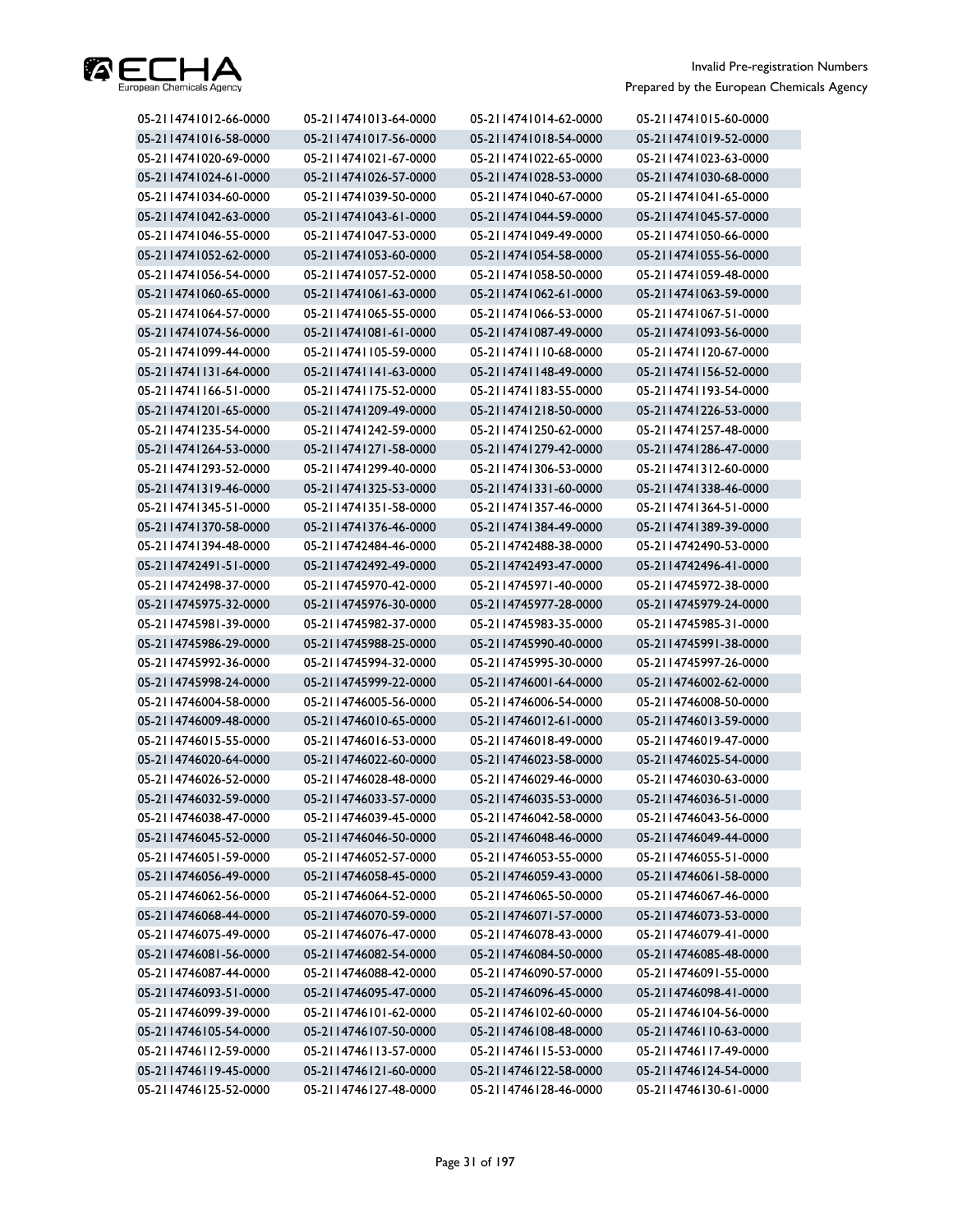

| 05-2114741016-58-0000<br>05-2114741017-56-0000<br>05-2114741018-54-0000<br>05-2114741019-52-0000<br>05-2114741020-69-0000<br>05-2114741023-63-0000<br>05-2114741021-67-0000<br>05-2114741022-65-0000<br>05-2114741024-61-0000<br>05-2114741026-57-0000<br>05-2114741028-53-0000<br>05-2114741030-68-0000<br>05-2114741034-60-0000<br>05-2114741039-50-0000<br>05-2114741040-67-0000<br>05-2114741041-65-0000<br>05-2114741042-63-0000<br>05-2114741043-61-0000<br>05-2114741044-59-0000<br>05-2114741045-57-0000<br>05-2114741046-55-0000<br>05-2114741047-53-0000<br>05-2114741049-49-0000<br>05-2114741050-66-0000<br>05-2114741052-62-0000<br>05-2114741053-60-0000<br>05-2114741054-58-0000<br>05-2114741055-56-0000<br>05-2114741056-54-0000<br>05-2114741057-52-0000<br>05-2114741058-50-0000<br>05-2114741059-48-0000<br>05-2114741060-65-0000<br>05-2114741061-63-0000<br>05-2114741062-61-0000<br>05-2114741063-59-0000<br>05-2114741064-57-0000<br>05-2114741065-55-0000<br>05-2114741066-53-0000<br>05-2114741067-51-0000<br>05-2114741081-61-0000<br>05-2114741087-49-0000<br>05-2114741074-56-0000<br>05-2114741093-56-0000<br>05-2114741099-44-0000<br>05-2114741105-59-0000<br>05-2114741110-68-0000<br>05-2114741120-67-0000<br>05-2114741131-64-0000<br>05-2114741141-63-0000<br>05-2114741148-49-0000<br>05-2114741156-52-0000<br>05-2114741166-51-0000<br>05-2114741175-52-0000<br>05-2114741183-55-0000<br>05-2114741193-54-0000<br>05-2114741201-65-0000<br>05-2114741209-49-0000<br>05-2114741218-50-0000<br>05-2114741226-53-0000<br>05-2114741235-54-0000<br>05-2114741242-59-0000<br>05-2114741250-62-0000<br>05-2114741257-48-0000<br>05-2114741264-53-0000<br>05-2114741271-58-0000<br>05-2114741279-42-0000<br>05-2114741286-47-0000<br>05-2114741293-52-0000<br>05-2114741299-40-0000<br>05-2114741306-53-0000<br>05-2114741312-60-0000<br>05-2114741319-46-0000<br>05-2114741325-53-0000<br>05-2114741331-60-0000<br>05-2114741338-46-0000<br>05-2114741345-51-0000<br>05-2114741351-58-0000<br>05-2114741357-46-0000<br>05-2114741364-51-0000<br>05-2114741370-58-0000<br>05-2114741376-46-0000<br>05-2114741384-49-0000<br>05-2114741389-39-0000<br>05-2114741394-48-0000<br>05-2114742484-46-0000<br>05-2114742488-38-0000<br>05-2114742490-53-0000<br>05-2114742496-41-0000<br>05-2114742491-51-0000<br>05-2114742492-49-0000<br>05-2114742493-47-0000<br>05-2114742498-37-0000<br>05-2114745970-42-0000<br>05-2114745971-40-0000<br>05-2114745972-38-0000<br>05-2114745975-32-0000<br>05-2114745976-30-0000<br>05-2114745977-28-0000<br>05-2114745979-24-0000<br>05-2114745981-39-0000<br>05-2114745982-37-0000<br>05-2114745983-35-0000<br>05-2114745985-31-0000<br>05-2114745990-40-0000<br>05-2114745991-38-0000<br>05-2114745986-29-0000<br>05-2114745988-25-0000<br>05-2114745992-36-0000<br>05-2114745994-32-0000<br>05-2114745995-30-0000<br>05-2114745997-26-0000<br>05-2114745998-24-0000<br>05-2114745999-22-0000<br>05-2114746001-64-0000<br>05-2114746002-62-0000<br>05-2114746004-58-0000<br>05-2114746005-56-0000<br>05-2114746006-54-0000<br>05-2114746008-50-0000<br>05-2114746009-48-0000<br>05-2114746010-65-0000<br>05-2114746012-61-0000<br>05-2114746013-59-0000<br>05-2114746015-55-0000<br>05-2114746016-53-0000<br>05-2114746018-49-0000<br>05-2114746019-47-0000<br>05-2114746020-64-0000<br>05-2114746022-60-0000<br>05-2114746023-58-0000<br>05-2114746025-54-0000<br>05-2114746026-52-0000<br>05-2114746028-48-0000<br>05-2114746029-46-0000<br>05-2114746030-63-0000<br>05-2114746032-59-0000<br>05-2114746033-57-0000<br>05-2114746035-53-0000<br>05-2114746036-51-0000<br>05-2114746038-47-0000<br>05-2114746039-45-0000<br>05-2114746042-58-0000<br>05-2114746043-56-0000<br>05-2114746045-52-0000<br>05-2114746046-50-0000<br>05-2114746048-46-0000<br>05-2114746049-44-0000<br>05-2114746051-59-0000<br>05-2114746052-57-0000<br>05-2114746053-55-0000<br>05-2114746055-51-0000<br>05-2114746056-49-0000<br>05-2114746058-45-0000<br>05-2114746059-43-0000<br>05-2114746061-58-0000<br>05-2114746062-56-0000<br>05-2114746064-52-0000<br>05-2114746065-50-0000<br>05-2114746067-46-0000<br>05-2114746068-44-0000<br>05-2114746070-59-0000<br>05-2114746071-57-0000<br>05-2114746073-53-0000<br>05-2114746075-49-0000<br>05-2114746076-47-0000<br>05-2114746078-43-0000<br>05-2114746079-41-0000<br>05-2114746081-56-0000<br>05-2114746085-48-0000<br>05-2114746082-54-0000<br>05-2114746084-50-0000<br>05-2114746087-44-0000<br>05-2114746088-42-0000<br>05-2114746090-57-0000<br>05-2114746091-55-0000<br>05-2114746093-51-0000<br>05-2114746095-47-0000<br>05-2114746096-45-0000<br>05-2114746098-41-0000<br>05-2114746099-39-0000<br>05-2114746101-62-0000<br>05-2114746102-60-0000<br>05-2114746104-56-0000<br>05-2114746105-54-0000<br>05-2114746107-50-0000<br>05-2114746108-48-0000<br>05-2114746110-63-0000<br>05-2114746112-59-0000<br>05-2114746113-57-0000<br>05-2114746115-53-0000<br>05-2114746117-49-0000 | 05-2114741012-66-0000 | 05-2114741013-64-0000 | 05-2114741014-62-0000 | 05-2114741015-60-0000 |
|----------------------------------------------------------------------------------------------------------------------------------------------------------------------------------------------------------------------------------------------------------------------------------------------------------------------------------------------------------------------------------------------------------------------------------------------------------------------------------------------------------------------------------------------------------------------------------------------------------------------------------------------------------------------------------------------------------------------------------------------------------------------------------------------------------------------------------------------------------------------------------------------------------------------------------------------------------------------------------------------------------------------------------------------------------------------------------------------------------------------------------------------------------------------------------------------------------------------------------------------------------------------------------------------------------------------------------------------------------------------------------------------------------------------------------------------------------------------------------------------------------------------------------------------------------------------------------------------------------------------------------------------------------------------------------------------------------------------------------------------------------------------------------------------------------------------------------------------------------------------------------------------------------------------------------------------------------------------------------------------------------------------------------------------------------------------------------------------------------------------------------------------------------------------------------------------------------------------------------------------------------------------------------------------------------------------------------------------------------------------------------------------------------------------------------------------------------------------------------------------------------------------------------------------------------------------------------------------------------------------------------------------------------------------------------------------------------------------------------------------------------------------------------------------------------------------------------------------------------------------------------------------------------------------------------------------------------------------------------------------------------------------------------------------------------------------------------------------------------------------------------------------------------------------------------------------------------------------------------------------------------------------------------------------------------------------------------------------------------------------------------------------------------------------------------------------------------------------------------------------------------------------------------------------------------------------------------------------------------------------------------------------------------------------------------------------------------------------------------------------------------------------------------------------------------------------------------------------------------------------------------------------------------------------------------------------------------------------------------------------------------------------------------------------------------------------------------------------------------------------------------------------------------------------------------------------------------------------------------------------------------------------------------------------------------------------------------------------------------------------------------------------------------------------------------------------------------------------------------------------------------------------------------------------------------------------------------------------------------------------------------------------------------------------------------------------------------------------------------------------------------------------------------------------------------------------------------------------------------------------------------------------------------------------------------------------------------------------------------------------|-----------------------|-----------------------|-----------------------|-----------------------|
|                                                                                                                                                                                                                                                                                                                                                                                                                                                                                                                                                                                                                                                                                                                                                                                                                                                                                                                                                                                                                                                                                                                                                                                                                                                                                                                                                                                                                                                                                                                                                                                                                                                                                                                                                                                                                                                                                                                                                                                                                                                                                                                                                                                                                                                                                                                                                                                                                                                                                                                                                                                                                                                                                                                                                                                                                                                                                                                                                                                                                                                                                                                                                                                                                                                                                                                                                                                                                                                                                                                                                                                                                                                                                                                                                                                                                                                                                                                                                                                                                                                                                                                                                                                                                                                                                                                                                                                                                                                                                                                                                                                                                                                                                                                                                                                                                                                                                                                                                                                              |                       |                       |                       |                       |
|                                                                                                                                                                                                                                                                                                                                                                                                                                                                                                                                                                                                                                                                                                                                                                                                                                                                                                                                                                                                                                                                                                                                                                                                                                                                                                                                                                                                                                                                                                                                                                                                                                                                                                                                                                                                                                                                                                                                                                                                                                                                                                                                                                                                                                                                                                                                                                                                                                                                                                                                                                                                                                                                                                                                                                                                                                                                                                                                                                                                                                                                                                                                                                                                                                                                                                                                                                                                                                                                                                                                                                                                                                                                                                                                                                                                                                                                                                                                                                                                                                                                                                                                                                                                                                                                                                                                                                                                                                                                                                                                                                                                                                                                                                                                                                                                                                                                                                                                                                                              |                       |                       |                       |                       |
|                                                                                                                                                                                                                                                                                                                                                                                                                                                                                                                                                                                                                                                                                                                                                                                                                                                                                                                                                                                                                                                                                                                                                                                                                                                                                                                                                                                                                                                                                                                                                                                                                                                                                                                                                                                                                                                                                                                                                                                                                                                                                                                                                                                                                                                                                                                                                                                                                                                                                                                                                                                                                                                                                                                                                                                                                                                                                                                                                                                                                                                                                                                                                                                                                                                                                                                                                                                                                                                                                                                                                                                                                                                                                                                                                                                                                                                                                                                                                                                                                                                                                                                                                                                                                                                                                                                                                                                                                                                                                                                                                                                                                                                                                                                                                                                                                                                                                                                                                                                              |                       |                       |                       |                       |
|                                                                                                                                                                                                                                                                                                                                                                                                                                                                                                                                                                                                                                                                                                                                                                                                                                                                                                                                                                                                                                                                                                                                                                                                                                                                                                                                                                                                                                                                                                                                                                                                                                                                                                                                                                                                                                                                                                                                                                                                                                                                                                                                                                                                                                                                                                                                                                                                                                                                                                                                                                                                                                                                                                                                                                                                                                                                                                                                                                                                                                                                                                                                                                                                                                                                                                                                                                                                                                                                                                                                                                                                                                                                                                                                                                                                                                                                                                                                                                                                                                                                                                                                                                                                                                                                                                                                                                                                                                                                                                                                                                                                                                                                                                                                                                                                                                                                                                                                                                                              |                       |                       |                       |                       |
|                                                                                                                                                                                                                                                                                                                                                                                                                                                                                                                                                                                                                                                                                                                                                                                                                                                                                                                                                                                                                                                                                                                                                                                                                                                                                                                                                                                                                                                                                                                                                                                                                                                                                                                                                                                                                                                                                                                                                                                                                                                                                                                                                                                                                                                                                                                                                                                                                                                                                                                                                                                                                                                                                                                                                                                                                                                                                                                                                                                                                                                                                                                                                                                                                                                                                                                                                                                                                                                                                                                                                                                                                                                                                                                                                                                                                                                                                                                                                                                                                                                                                                                                                                                                                                                                                                                                                                                                                                                                                                                                                                                                                                                                                                                                                                                                                                                                                                                                                                                              |                       |                       |                       |                       |
|                                                                                                                                                                                                                                                                                                                                                                                                                                                                                                                                                                                                                                                                                                                                                                                                                                                                                                                                                                                                                                                                                                                                                                                                                                                                                                                                                                                                                                                                                                                                                                                                                                                                                                                                                                                                                                                                                                                                                                                                                                                                                                                                                                                                                                                                                                                                                                                                                                                                                                                                                                                                                                                                                                                                                                                                                                                                                                                                                                                                                                                                                                                                                                                                                                                                                                                                                                                                                                                                                                                                                                                                                                                                                                                                                                                                                                                                                                                                                                                                                                                                                                                                                                                                                                                                                                                                                                                                                                                                                                                                                                                                                                                                                                                                                                                                                                                                                                                                                                                              |                       |                       |                       |                       |
|                                                                                                                                                                                                                                                                                                                                                                                                                                                                                                                                                                                                                                                                                                                                                                                                                                                                                                                                                                                                                                                                                                                                                                                                                                                                                                                                                                                                                                                                                                                                                                                                                                                                                                                                                                                                                                                                                                                                                                                                                                                                                                                                                                                                                                                                                                                                                                                                                                                                                                                                                                                                                                                                                                                                                                                                                                                                                                                                                                                                                                                                                                                                                                                                                                                                                                                                                                                                                                                                                                                                                                                                                                                                                                                                                                                                                                                                                                                                                                                                                                                                                                                                                                                                                                                                                                                                                                                                                                                                                                                                                                                                                                                                                                                                                                                                                                                                                                                                                                                              |                       |                       |                       |                       |
|                                                                                                                                                                                                                                                                                                                                                                                                                                                                                                                                                                                                                                                                                                                                                                                                                                                                                                                                                                                                                                                                                                                                                                                                                                                                                                                                                                                                                                                                                                                                                                                                                                                                                                                                                                                                                                                                                                                                                                                                                                                                                                                                                                                                                                                                                                                                                                                                                                                                                                                                                                                                                                                                                                                                                                                                                                                                                                                                                                                                                                                                                                                                                                                                                                                                                                                                                                                                                                                                                                                                                                                                                                                                                                                                                                                                                                                                                                                                                                                                                                                                                                                                                                                                                                                                                                                                                                                                                                                                                                                                                                                                                                                                                                                                                                                                                                                                                                                                                                                              |                       |                       |                       |                       |
|                                                                                                                                                                                                                                                                                                                                                                                                                                                                                                                                                                                                                                                                                                                                                                                                                                                                                                                                                                                                                                                                                                                                                                                                                                                                                                                                                                                                                                                                                                                                                                                                                                                                                                                                                                                                                                                                                                                                                                                                                                                                                                                                                                                                                                                                                                                                                                                                                                                                                                                                                                                                                                                                                                                                                                                                                                                                                                                                                                                                                                                                                                                                                                                                                                                                                                                                                                                                                                                                                                                                                                                                                                                                                                                                                                                                                                                                                                                                                                                                                                                                                                                                                                                                                                                                                                                                                                                                                                                                                                                                                                                                                                                                                                                                                                                                                                                                                                                                                                                              |                       |                       |                       |                       |
|                                                                                                                                                                                                                                                                                                                                                                                                                                                                                                                                                                                                                                                                                                                                                                                                                                                                                                                                                                                                                                                                                                                                                                                                                                                                                                                                                                                                                                                                                                                                                                                                                                                                                                                                                                                                                                                                                                                                                                                                                                                                                                                                                                                                                                                                                                                                                                                                                                                                                                                                                                                                                                                                                                                                                                                                                                                                                                                                                                                                                                                                                                                                                                                                                                                                                                                                                                                                                                                                                                                                                                                                                                                                                                                                                                                                                                                                                                                                                                                                                                                                                                                                                                                                                                                                                                                                                                                                                                                                                                                                                                                                                                                                                                                                                                                                                                                                                                                                                                                              |                       |                       |                       |                       |
|                                                                                                                                                                                                                                                                                                                                                                                                                                                                                                                                                                                                                                                                                                                                                                                                                                                                                                                                                                                                                                                                                                                                                                                                                                                                                                                                                                                                                                                                                                                                                                                                                                                                                                                                                                                                                                                                                                                                                                                                                                                                                                                                                                                                                                                                                                                                                                                                                                                                                                                                                                                                                                                                                                                                                                                                                                                                                                                                                                                                                                                                                                                                                                                                                                                                                                                                                                                                                                                                                                                                                                                                                                                                                                                                                                                                                                                                                                                                                                                                                                                                                                                                                                                                                                                                                                                                                                                                                                                                                                                                                                                                                                                                                                                                                                                                                                                                                                                                                                                              |                       |                       |                       |                       |
|                                                                                                                                                                                                                                                                                                                                                                                                                                                                                                                                                                                                                                                                                                                                                                                                                                                                                                                                                                                                                                                                                                                                                                                                                                                                                                                                                                                                                                                                                                                                                                                                                                                                                                                                                                                                                                                                                                                                                                                                                                                                                                                                                                                                                                                                                                                                                                                                                                                                                                                                                                                                                                                                                                                                                                                                                                                                                                                                                                                                                                                                                                                                                                                                                                                                                                                                                                                                                                                                                                                                                                                                                                                                                                                                                                                                                                                                                                                                                                                                                                                                                                                                                                                                                                                                                                                                                                                                                                                                                                                                                                                                                                                                                                                                                                                                                                                                                                                                                                                              |                       |                       |                       |                       |
|                                                                                                                                                                                                                                                                                                                                                                                                                                                                                                                                                                                                                                                                                                                                                                                                                                                                                                                                                                                                                                                                                                                                                                                                                                                                                                                                                                                                                                                                                                                                                                                                                                                                                                                                                                                                                                                                                                                                                                                                                                                                                                                                                                                                                                                                                                                                                                                                                                                                                                                                                                                                                                                                                                                                                                                                                                                                                                                                                                                                                                                                                                                                                                                                                                                                                                                                                                                                                                                                                                                                                                                                                                                                                                                                                                                                                                                                                                                                                                                                                                                                                                                                                                                                                                                                                                                                                                                                                                                                                                                                                                                                                                                                                                                                                                                                                                                                                                                                                                                              |                       |                       |                       |                       |
|                                                                                                                                                                                                                                                                                                                                                                                                                                                                                                                                                                                                                                                                                                                                                                                                                                                                                                                                                                                                                                                                                                                                                                                                                                                                                                                                                                                                                                                                                                                                                                                                                                                                                                                                                                                                                                                                                                                                                                                                                                                                                                                                                                                                                                                                                                                                                                                                                                                                                                                                                                                                                                                                                                                                                                                                                                                                                                                                                                                                                                                                                                                                                                                                                                                                                                                                                                                                                                                                                                                                                                                                                                                                                                                                                                                                                                                                                                                                                                                                                                                                                                                                                                                                                                                                                                                                                                                                                                                                                                                                                                                                                                                                                                                                                                                                                                                                                                                                                                                              |                       |                       |                       |                       |
|                                                                                                                                                                                                                                                                                                                                                                                                                                                                                                                                                                                                                                                                                                                                                                                                                                                                                                                                                                                                                                                                                                                                                                                                                                                                                                                                                                                                                                                                                                                                                                                                                                                                                                                                                                                                                                                                                                                                                                                                                                                                                                                                                                                                                                                                                                                                                                                                                                                                                                                                                                                                                                                                                                                                                                                                                                                                                                                                                                                                                                                                                                                                                                                                                                                                                                                                                                                                                                                                                                                                                                                                                                                                                                                                                                                                                                                                                                                                                                                                                                                                                                                                                                                                                                                                                                                                                                                                                                                                                                                                                                                                                                                                                                                                                                                                                                                                                                                                                                                              |                       |                       |                       |                       |
|                                                                                                                                                                                                                                                                                                                                                                                                                                                                                                                                                                                                                                                                                                                                                                                                                                                                                                                                                                                                                                                                                                                                                                                                                                                                                                                                                                                                                                                                                                                                                                                                                                                                                                                                                                                                                                                                                                                                                                                                                                                                                                                                                                                                                                                                                                                                                                                                                                                                                                                                                                                                                                                                                                                                                                                                                                                                                                                                                                                                                                                                                                                                                                                                                                                                                                                                                                                                                                                                                                                                                                                                                                                                                                                                                                                                                                                                                                                                                                                                                                                                                                                                                                                                                                                                                                                                                                                                                                                                                                                                                                                                                                                                                                                                                                                                                                                                                                                                                                                              |                       |                       |                       |                       |
|                                                                                                                                                                                                                                                                                                                                                                                                                                                                                                                                                                                                                                                                                                                                                                                                                                                                                                                                                                                                                                                                                                                                                                                                                                                                                                                                                                                                                                                                                                                                                                                                                                                                                                                                                                                                                                                                                                                                                                                                                                                                                                                                                                                                                                                                                                                                                                                                                                                                                                                                                                                                                                                                                                                                                                                                                                                                                                                                                                                                                                                                                                                                                                                                                                                                                                                                                                                                                                                                                                                                                                                                                                                                                                                                                                                                                                                                                                                                                                                                                                                                                                                                                                                                                                                                                                                                                                                                                                                                                                                                                                                                                                                                                                                                                                                                                                                                                                                                                                                              |                       |                       |                       |                       |
|                                                                                                                                                                                                                                                                                                                                                                                                                                                                                                                                                                                                                                                                                                                                                                                                                                                                                                                                                                                                                                                                                                                                                                                                                                                                                                                                                                                                                                                                                                                                                                                                                                                                                                                                                                                                                                                                                                                                                                                                                                                                                                                                                                                                                                                                                                                                                                                                                                                                                                                                                                                                                                                                                                                                                                                                                                                                                                                                                                                                                                                                                                                                                                                                                                                                                                                                                                                                                                                                                                                                                                                                                                                                                                                                                                                                                                                                                                                                                                                                                                                                                                                                                                                                                                                                                                                                                                                                                                                                                                                                                                                                                                                                                                                                                                                                                                                                                                                                                                                              |                       |                       |                       |                       |
|                                                                                                                                                                                                                                                                                                                                                                                                                                                                                                                                                                                                                                                                                                                                                                                                                                                                                                                                                                                                                                                                                                                                                                                                                                                                                                                                                                                                                                                                                                                                                                                                                                                                                                                                                                                                                                                                                                                                                                                                                                                                                                                                                                                                                                                                                                                                                                                                                                                                                                                                                                                                                                                                                                                                                                                                                                                                                                                                                                                                                                                                                                                                                                                                                                                                                                                                                                                                                                                                                                                                                                                                                                                                                                                                                                                                                                                                                                                                                                                                                                                                                                                                                                                                                                                                                                                                                                                                                                                                                                                                                                                                                                                                                                                                                                                                                                                                                                                                                                                              |                       |                       |                       |                       |
|                                                                                                                                                                                                                                                                                                                                                                                                                                                                                                                                                                                                                                                                                                                                                                                                                                                                                                                                                                                                                                                                                                                                                                                                                                                                                                                                                                                                                                                                                                                                                                                                                                                                                                                                                                                                                                                                                                                                                                                                                                                                                                                                                                                                                                                                                                                                                                                                                                                                                                                                                                                                                                                                                                                                                                                                                                                                                                                                                                                                                                                                                                                                                                                                                                                                                                                                                                                                                                                                                                                                                                                                                                                                                                                                                                                                                                                                                                                                                                                                                                                                                                                                                                                                                                                                                                                                                                                                                                                                                                                                                                                                                                                                                                                                                                                                                                                                                                                                                                                              |                       |                       |                       |                       |
|                                                                                                                                                                                                                                                                                                                                                                                                                                                                                                                                                                                                                                                                                                                                                                                                                                                                                                                                                                                                                                                                                                                                                                                                                                                                                                                                                                                                                                                                                                                                                                                                                                                                                                                                                                                                                                                                                                                                                                                                                                                                                                                                                                                                                                                                                                                                                                                                                                                                                                                                                                                                                                                                                                                                                                                                                                                                                                                                                                                                                                                                                                                                                                                                                                                                                                                                                                                                                                                                                                                                                                                                                                                                                                                                                                                                                                                                                                                                                                                                                                                                                                                                                                                                                                                                                                                                                                                                                                                                                                                                                                                                                                                                                                                                                                                                                                                                                                                                                                                              |                       |                       |                       |                       |
|                                                                                                                                                                                                                                                                                                                                                                                                                                                                                                                                                                                                                                                                                                                                                                                                                                                                                                                                                                                                                                                                                                                                                                                                                                                                                                                                                                                                                                                                                                                                                                                                                                                                                                                                                                                                                                                                                                                                                                                                                                                                                                                                                                                                                                                                                                                                                                                                                                                                                                                                                                                                                                                                                                                                                                                                                                                                                                                                                                                                                                                                                                                                                                                                                                                                                                                                                                                                                                                                                                                                                                                                                                                                                                                                                                                                                                                                                                                                                                                                                                                                                                                                                                                                                                                                                                                                                                                                                                                                                                                                                                                                                                                                                                                                                                                                                                                                                                                                                                                              |                       |                       |                       |                       |
|                                                                                                                                                                                                                                                                                                                                                                                                                                                                                                                                                                                                                                                                                                                                                                                                                                                                                                                                                                                                                                                                                                                                                                                                                                                                                                                                                                                                                                                                                                                                                                                                                                                                                                                                                                                                                                                                                                                                                                                                                                                                                                                                                                                                                                                                                                                                                                                                                                                                                                                                                                                                                                                                                                                                                                                                                                                                                                                                                                                                                                                                                                                                                                                                                                                                                                                                                                                                                                                                                                                                                                                                                                                                                                                                                                                                                                                                                                                                                                                                                                                                                                                                                                                                                                                                                                                                                                                                                                                                                                                                                                                                                                                                                                                                                                                                                                                                                                                                                                                              |                       |                       |                       |                       |
|                                                                                                                                                                                                                                                                                                                                                                                                                                                                                                                                                                                                                                                                                                                                                                                                                                                                                                                                                                                                                                                                                                                                                                                                                                                                                                                                                                                                                                                                                                                                                                                                                                                                                                                                                                                                                                                                                                                                                                                                                                                                                                                                                                                                                                                                                                                                                                                                                                                                                                                                                                                                                                                                                                                                                                                                                                                                                                                                                                                                                                                                                                                                                                                                                                                                                                                                                                                                                                                                                                                                                                                                                                                                                                                                                                                                                                                                                                                                                                                                                                                                                                                                                                                                                                                                                                                                                                                                                                                                                                                                                                                                                                                                                                                                                                                                                                                                                                                                                                                              |                       |                       |                       |                       |
|                                                                                                                                                                                                                                                                                                                                                                                                                                                                                                                                                                                                                                                                                                                                                                                                                                                                                                                                                                                                                                                                                                                                                                                                                                                                                                                                                                                                                                                                                                                                                                                                                                                                                                                                                                                                                                                                                                                                                                                                                                                                                                                                                                                                                                                                                                                                                                                                                                                                                                                                                                                                                                                                                                                                                                                                                                                                                                                                                                                                                                                                                                                                                                                                                                                                                                                                                                                                                                                                                                                                                                                                                                                                                                                                                                                                                                                                                                                                                                                                                                                                                                                                                                                                                                                                                                                                                                                                                                                                                                                                                                                                                                                                                                                                                                                                                                                                                                                                                                                              |                       |                       |                       |                       |
|                                                                                                                                                                                                                                                                                                                                                                                                                                                                                                                                                                                                                                                                                                                                                                                                                                                                                                                                                                                                                                                                                                                                                                                                                                                                                                                                                                                                                                                                                                                                                                                                                                                                                                                                                                                                                                                                                                                                                                                                                                                                                                                                                                                                                                                                                                                                                                                                                                                                                                                                                                                                                                                                                                                                                                                                                                                                                                                                                                                                                                                                                                                                                                                                                                                                                                                                                                                                                                                                                                                                                                                                                                                                                                                                                                                                                                                                                                                                                                                                                                                                                                                                                                                                                                                                                                                                                                                                                                                                                                                                                                                                                                                                                                                                                                                                                                                                                                                                                                                              |                       |                       |                       |                       |
|                                                                                                                                                                                                                                                                                                                                                                                                                                                                                                                                                                                                                                                                                                                                                                                                                                                                                                                                                                                                                                                                                                                                                                                                                                                                                                                                                                                                                                                                                                                                                                                                                                                                                                                                                                                                                                                                                                                                                                                                                                                                                                                                                                                                                                                                                                                                                                                                                                                                                                                                                                                                                                                                                                                                                                                                                                                                                                                                                                                                                                                                                                                                                                                                                                                                                                                                                                                                                                                                                                                                                                                                                                                                                                                                                                                                                                                                                                                                                                                                                                                                                                                                                                                                                                                                                                                                                                                                                                                                                                                                                                                                                                                                                                                                                                                                                                                                                                                                                                                              |                       |                       |                       |                       |
|                                                                                                                                                                                                                                                                                                                                                                                                                                                                                                                                                                                                                                                                                                                                                                                                                                                                                                                                                                                                                                                                                                                                                                                                                                                                                                                                                                                                                                                                                                                                                                                                                                                                                                                                                                                                                                                                                                                                                                                                                                                                                                                                                                                                                                                                                                                                                                                                                                                                                                                                                                                                                                                                                                                                                                                                                                                                                                                                                                                                                                                                                                                                                                                                                                                                                                                                                                                                                                                                                                                                                                                                                                                                                                                                                                                                                                                                                                                                                                                                                                                                                                                                                                                                                                                                                                                                                                                                                                                                                                                                                                                                                                                                                                                                                                                                                                                                                                                                                                                              |                       |                       |                       |                       |
|                                                                                                                                                                                                                                                                                                                                                                                                                                                                                                                                                                                                                                                                                                                                                                                                                                                                                                                                                                                                                                                                                                                                                                                                                                                                                                                                                                                                                                                                                                                                                                                                                                                                                                                                                                                                                                                                                                                                                                                                                                                                                                                                                                                                                                                                                                                                                                                                                                                                                                                                                                                                                                                                                                                                                                                                                                                                                                                                                                                                                                                                                                                                                                                                                                                                                                                                                                                                                                                                                                                                                                                                                                                                                                                                                                                                                                                                                                                                                                                                                                                                                                                                                                                                                                                                                                                                                                                                                                                                                                                                                                                                                                                                                                                                                                                                                                                                                                                                                                                              |                       |                       |                       |                       |
|                                                                                                                                                                                                                                                                                                                                                                                                                                                                                                                                                                                                                                                                                                                                                                                                                                                                                                                                                                                                                                                                                                                                                                                                                                                                                                                                                                                                                                                                                                                                                                                                                                                                                                                                                                                                                                                                                                                                                                                                                                                                                                                                                                                                                                                                                                                                                                                                                                                                                                                                                                                                                                                                                                                                                                                                                                                                                                                                                                                                                                                                                                                                                                                                                                                                                                                                                                                                                                                                                                                                                                                                                                                                                                                                                                                                                                                                                                                                                                                                                                                                                                                                                                                                                                                                                                                                                                                                                                                                                                                                                                                                                                                                                                                                                                                                                                                                                                                                                                                              |                       |                       |                       |                       |
|                                                                                                                                                                                                                                                                                                                                                                                                                                                                                                                                                                                                                                                                                                                                                                                                                                                                                                                                                                                                                                                                                                                                                                                                                                                                                                                                                                                                                                                                                                                                                                                                                                                                                                                                                                                                                                                                                                                                                                                                                                                                                                                                                                                                                                                                                                                                                                                                                                                                                                                                                                                                                                                                                                                                                                                                                                                                                                                                                                                                                                                                                                                                                                                                                                                                                                                                                                                                                                                                                                                                                                                                                                                                                                                                                                                                                                                                                                                                                                                                                                                                                                                                                                                                                                                                                                                                                                                                                                                                                                                                                                                                                                                                                                                                                                                                                                                                                                                                                                                              |                       |                       |                       |                       |
|                                                                                                                                                                                                                                                                                                                                                                                                                                                                                                                                                                                                                                                                                                                                                                                                                                                                                                                                                                                                                                                                                                                                                                                                                                                                                                                                                                                                                                                                                                                                                                                                                                                                                                                                                                                                                                                                                                                                                                                                                                                                                                                                                                                                                                                                                                                                                                                                                                                                                                                                                                                                                                                                                                                                                                                                                                                                                                                                                                                                                                                                                                                                                                                                                                                                                                                                                                                                                                                                                                                                                                                                                                                                                                                                                                                                                                                                                                                                                                                                                                                                                                                                                                                                                                                                                                                                                                                                                                                                                                                                                                                                                                                                                                                                                                                                                                                                                                                                                                                              |                       |                       |                       |                       |
|                                                                                                                                                                                                                                                                                                                                                                                                                                                                                                                                                                                                                                                                                                                                                                                                                                                                                                                                                                                                                                                                                                                                                                                                                                                                                                                                                                                                                                                                                                                                                                                                                                                                                                                                                                                                                                                                                                                                                                                                                                                                                                                                                                                                                                                                                                                                                                                                                                                                                                                                                                                                                                                                                                                                                                                                                                                                                                                                                                                                                                                                                                                                                                                                                                                                                                                                                                                                                                                                                                                                                                                                                                                                                                                                                                                                                                                                                                                                                                                                                                                                                                                                                                                                                                                                                                                                                                                                                                                                                                                                                                                                                                                                                                                                                                                                                                                                                                                                                                                              |                       |                       |                       |                       |
|                                                                                                                                                                                                                                                                                                                                                                                                                                                                                                                                                                                                                                                                                                                                                                                                                                                                                                                                                                                                                                                                                                                                                                                                                                                                                                                                                                                                                                                                                                                                                                                                                                                                                                                                                                                                                                                                                                                                                                                                                                                                                                                                                                                                                                                                                                                                                                                                                                                                                                                                                                                                                                                                                                                                                                                                                                                                                                                                                                                                                                                                                                                                                                                                                                                                                                                                                                                                                                                                                                                                                                                                                                                                                                                                                                                                                                                                                                                                                                                                                                                                                                                                                                                                                                                                                                                                                                                                                                                                                                                                                                                                                                                                                                                                                                                                                                                                                                                                                                                              |                       |                       |                       |                       |
|                                                                                                                                                                                                                                                                                                                                                                                                                                                                                                                                                                                                                                                                                                                                                                                                                                                                                                                                                                                                                                                                                                                                                                                                                                                                                                                                                                                                                                                                                                                                                                                                                                                                                                                                                                                                                                                                                                                                                                                                                                                                                                                                                                                                                                                                                                                                                                                                                                                                                                                                                                                                                                                                                                                                                                                                                                                                                                                                                                                                                                                                                                                                                                                                                                                                                                                                                                                                                                                                                                                                                                                                                                                                                                                                                                                                                                                                                                                                                                                                                                                                                                                                                                                                                                                                                                                                                                                                                                                                                                                                                                                                                                                                                                                                                                                                                                                                                                                                                                                              |                       |                       |                       |                       |
|                                                                                                                                                                                                                                                                                                                                                                                                                                                                                                                                                                                                                                                                                                                                                                                                                                                                                                                                                                                                                                                                                                                                                                                                                                                                                                                                                                                                                                                                                                                                                                                                                                                                                                                                                                                                                                                                                                                                                                                                                                                                                                                                                                                                                                                                                                                                                                                                                                                                                                                                                                                                                                                                                                                                                                                                                                                                                                                                                                                                                                                                                                                                                                                                                                                                                                                                                                                                                                                                                                                                                                                                                                                                                                                                                                                                                                                                                                                                                                                                                                                                                                                                                                                                                                                                                                                                                                                                                                                                                                                                                                                                                                                                                                                                                                                                                                                                                                                                                                                              |                       |                       |                       |                       |
|                                                                                                                                                                                                                                                                                                                                                                                                                                                                                                                                                                                                                                                                                                                                                                                                                                                                                                                                                                                                                                                                                                                                                                                                                                                                                                                                                                                                                                                                                                                                                                                                                                                                                                                                                                                                                                                                                                                                                                                                                                                                                                                                                                                                                                                                                                                                                                                                                                                                                                                                                                                                                                                                                                                                                                                                                                                                                                                                                                                                                                                                                                                                                                                                                                                                                                                                                                                                                                                                                                                                                                                                                                                                                                                                                                                                                                                                                                                                                                                                                                                                                                                                                                                                                                                                                                                                                                                                                                                                                                                                                                                                                                                                                                                                                                                                                                                                                                                                                                                              |                       |                       |                       |                       |
|                                                                                                                                                                                                                                                                                                                                                                                                                                                                                                                                                                                                                                                                                                                                                                                                                                                                                                                                                                                                                                                                                                                                                                                                                                                                                                                                                                                                                                                                                                                                                                                                                                                                                                                                                                                                                                                                                                                                                                                                                                                                                                                                                                                                                                                                                                                                                                                                                                                                                                                                                                                                                                                                                                                                                                                                                                                                                                                                                                                                                                                                                                                                                                                                                                                                                                                                                                                                                                                                                                                                                                                                                                                                                                                                                                                                                                                                                                                                                                                                                                                                                                                                                                                                                                                                                                                                                                                                                                                                                                                                                                                                                                                                                                                                                                                                                                                                                                                                                                                              |                       |                       |                       |                       |
|                                                                                                                                                                                                                                                                                                                                                                                                                                                                                                                                                                                                                                                                                                                                                                                                                                                                                                                                                                                                                                                                                                                                                                                                                                                                                                                                                                                                                                                                                                                                                                                                                                                                                                                                                                                                                                                                                                                                                                                                                                                                                                                                                                                                                                                                                                                                                                                                                                                                                                                                                                                                                                                                                                                                                                                                                                                                                                                                                                                                                                                                                                                                                                                                                                                                                                                                                                                                                                                                                                                                                                                                                                                                                                                                                                                                                                                                                                                                                                                                                                                                                                                                                                                                                                                                                                                                                                                                                                                                                                                                                                                                                                                                                                                                                                                                                                                                                                                                                                                              |                       |                       |                       |                       |
|                                                                                                                                                                                                                                                                                                                                                                                                                                                                                                                                                                                                                                                                                                                                                                                                                                                                                                                                                                                                                                                                                                                                                                                                                                                                                                                                                                                                                                                                                                                                                                                                                                                                                                                                                                                                                                                                                                                                                                                                                                                                                                                                                                                                                                                                                                                                                                                                                                                                                                                                                                                                                                                                                                                                                                                                                                                                                                                                                                                                                                                                                                                                                                                                                                                                                                                                                                                                                                                                                                                                                                                                                                                                                                                                                                                                                                                                                                                                                                                                                                                                                                                                                                                                                                                                                                                                                                                                                                                                                                                                                                                                                                                                                                                                                                                                                                                                                                                                                                                              |                       |                       |                       |                       |
|                                                                                                                                                                                                                                                                                                                                                                                                                                                                                                                                                                                                                                                                                                                                                                                                                                                                                                                                                                                                                                                                                                                                                                                                                                                                                                                                                                                                                                                                                                                                                                                                                                                                                                                                                                                                                                                                                                                                                                                                                                                                                                                                                                                                                                                                                                                                                                                                                                                                                                                                                                                                                                                                                                                                                                                                                                                                                                                                                                                                                                                                                                                                                                                                                                                                                                                                                                                                                                                                                                                                                                                                                                                                                                                                                                                                                                                                                                                                                                                                                                                                                                                                                                                                                                                                                                                                                                                                                                                                                                                                                                                                                                                                                                                                                                                                                                                                                                                                                                                              |                       |                       |                       |                       |
|                                                                                                                                                                                                                                                                                                                                                                                                                                                                                                                                                                                                                                                                                                                                                                                                                                                                                                                                                                                                                                                                                                                                                                                                                                                                                                                                                                                                                                                                                                                                                                                                                                                                                                                                                                                                                                                                                                                                                                                                                                                                                                                                                                                                                                                                                                                                                                                                                                                                                                                                                                                                                                                                                                                                                                                                                                                                                                                                                                                                                                                                                                                                                                                                                                                                                                                                                                                                                                                                                                                                                                                                                                                                                                                                                                                                                                                                                                                                                                                                                                                                                                                                                                                                                                                                                                                                                                                                                                                                                                                                                                                                                                                                                                                                                                                                                                                                                                                                                                                              |                       |                       |                       |                       |
|                                                                                                                                                                                                                                                                                                                                                                                                                                                                                                                                                                                                                                                                                                                                                                                                                                                                                                                                                                                                                                                                                                                                                                                                                                                                                                                                                                                                                                                                                                                                                                                                                                                                                                                                                                                                                                                                                                                                                                                                                                                                                                                                                                                                                                                                                                                                                                                                                                                                                                                                                                                                                                                                                                                                                                                                                                                                                                                                                                                                                                                                                                                                                                                                                                                                                                                                                                                                                                                                                                                                                                                                                                                                                                                                                                                                                                                                                                                                                                                                                                                                                                                                                                                                                                                                                                                                                                                                                                                                                                                                                                                                                                                                                                                                                                                                                                                                                                                                                                                              |                       |                       |                       |                       |
|                                                                                                                                                                                                                                                                                                                                                                                                                                                                                                                                                                                                                                                                                                                                                                                                                                                                                                                                                                                                                                                                                                                                                                                                                                                                                                                                                                                                                                                                                                                                                                                                                                                                                                                                                                                                                                                                                                                                                                                                                                                                                                                                                                                                                                                                                                                                                                                                                                                                                                                                                                                                                                                                                                                                                                                                                                                                                                                                                                                                                                                                                                                                                                                                                                                                                                                                                                                                                                                                                                                                                                                                                                                                                                                                                                                                                                                                                                                                                                                                                                                                                                                                                                                                                                                                                                                                                                                                                                                                                                                                                                                                                                                                                                                                                                                                                                                                                                                                                                                              |                       |                       |                       |                       |
|                                                                                                                                                                                                                                                                                                                                                                                                                                                                                                                                                                                                                                                                                                                                                                                                                                                                                                                                                                                                                                                                                                                                                                                                                                                                                                                                                                                                                                                                                                                                                                                                                                                                                                                                                                                                                                                                                                                                                                                                                                                                                                                                                                                                                                                                                                                                                                                                                                                                                                                                                                                                                                                                                                                                                                                                                                                                                                                                                                                                                                                                                                                                                                                                                                                                                                                                                                                                                                                                                                                                                                                                                                                                                                                                                                                                                                                                                                                                                                                                                                                                                                                                                                                                                                                                                                                                                                                                                                                                                                                                                                                                                                                                                                                                                                                                                                                                                                                                                                                              |                       |                       |                       |                       |
|                                                                                                                                                                                                                                                                                                                                                                                                                                                                                                                                                                                                                                                                                                                                                                                                                                                                                                                                                                                                                                                                                                                                                                                                                                                                                                                                                                                                                                                                                                                                                                                                                                                                                                                                                                                                                                                                                                                                                                                                                                                                                                                                                                                                                                                                                                                                                                                                                                                                                                                                                                                                                                                                                                                                                                                                                                                                                                                                                                                                                                                                                                                                                                                                                                                                                                                                                                                                                                                                                                                                                                                                                                                                                                                                                                                                                                                                                                                                                                                                                                                                                                                                                                                                                                                                                                                                                                                                                                                                                                                                                                                                                                                                                                                                                                                                                                                                                                                                                                                              |                       |                       |                       |                       |
|                                                                                                                                                                                                                                                                                                                                                                                                                                                                                                                                                                                                                                                                                                                                                                                                                                                                                                                                                                                                                                                                                                                                                                                                                                                                                                                                                                                                                                                                                                                                                                                                                                                                                                                                                                                                                                                                                                                                                                                                                                                                                                                                                                                                                                                                                                                                                                                                                                                                                                                                                                                                                                                                                                                                                                                                                                                                                                                                                                                                                                                                                                                                                                                                                                                                                                                                                                                                                                                                                                                                                                                                                                                                                                                                                                                                                                                                                                                                                                                                                                                                                                                                                                                                                                                                                                                                                                                                                                                                                                                                                                                                                                                                                                                                                                                                                                                                                                                                                                                              |                       |                       |                       |                       |
|                                                                                                                                                                                                                                                                                                                                                                                                                                                                                                                                                                                                                                                                                                                                                                                                                                                                                                                                                                                                                                                                                                                                                                                                                                                                                                                                                                                                                                                                                                                                                                                                                                                                                                                                                                                                                                                                                                                                                                                                                                                                                                                                                                                                                                                                                                                                                                                                                                                                                                                                                                                                                                                                                                                                                                                                                                                                                                                                                                                                                                                                                                                                                                                                                                                                                                                                                                                                                                                                                                                                                                                                                                                                                                                                                                                                                                                                                                                                                                                                                                                                                                                                                                                                                                                                                                                                                                                                                                                                                                                                                                                                                                                                                                                                                                                                                                                                                                                                                                                              |                       |                       |                       |                       |
|                                                                                                                                                                                                                                                                                                                                                                                                                                                                                                                                                                                                                                                                                                                                                                                                                                                                                                                                                                                                                                                                                                                                                                                                                                                                                                                                                                                                                                                                                                                                                                                                                                                                                                                                                                                                                                                                                                                                                                                                                                                                                                                                                                                                                                                                                                                                                                                                                                                                                                                                                                                                                                                                                                                                                                                                                                                                                                                                                                                                                                                                                                                                                                                                                                                                                                                                                                                                                                                                                                                                                                                                                                                                                                                                                                                                                                                                                                                                                                                                                                                                                                                                                                                                                                                                                                                                                                                                                                                                                                                                                                                                                                                                                                                                                                                                                                                                                                                                                                                              | 05-2114746119-45-0000 | 05-2114746121-60-0000 | 05-2114746122-58-0000 | 05-2114746124-54-0000 |
| 05-2114746125-52-0000<br>05-2114746127-48-0000<br>05-2114746128-46-0000<br>05-2114746130-61-0000                                                                                                                                                                                                                                                                                                                                                                                                                                                                                                                                                                                                                                                                                                                                                                                                                                                                                                                                                                                                                                                                                                                                                                                                                                                                                                                                                                                                                                                                                                                                                                                                                                                                                                                                                                                                                                                                                                                                                                                                                                                                                                                                                                                                                                                                                                                                                                                                                                                                                                                                                                                                                                                                                                                                                                                                                                                                                                                                                                                                                                                                                                                                                                                                                                                                                                                                                                                                                                                                                                                                                                                                                                                                                                                                                                                                                                                                                                                                                                                                                                                                                                                                                                                                                                                                                                                                                                                                                                                                                                                                                                                                                                                                                                                                                                                                                                                                                             |                       |                       |                       |                       |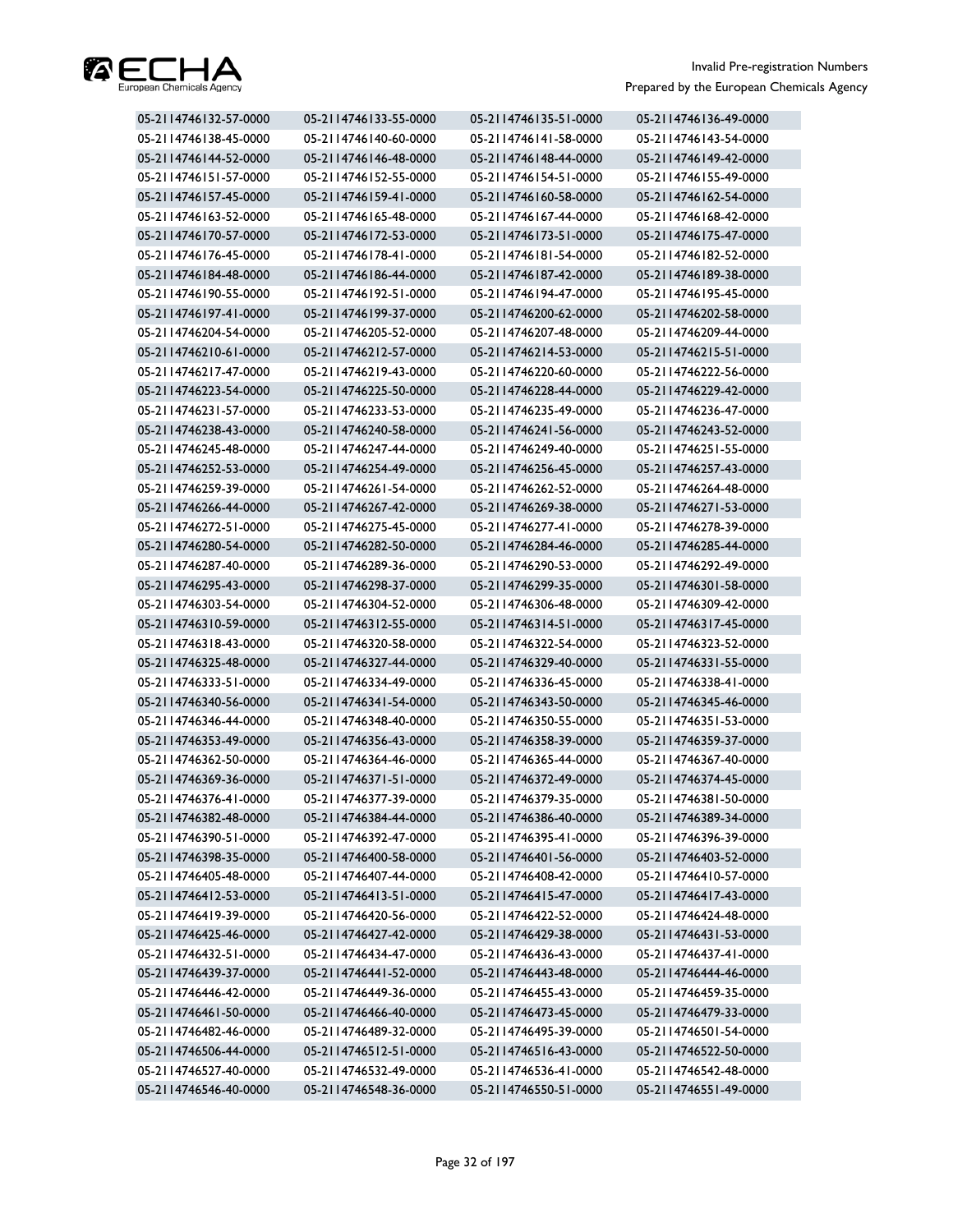

| 05-2114746132-57-0000 | 05-2114746133-55-0000 | 05-2114746135-51-0000 | 05-2114746136-49-0000 |
|-----------------------|-----------------------|-----------------------|-----------------------|
| 05-2114746138-45-0000 | 05-2114746140-60-0000 | 05-2114746141-58-0000 | 05-2114746143-54-0000 |
| 05-2114746144-52-0000 | 05-2114746146-48-0000 | 05-2114746148-44-0000 | 05-2114746149-42-0000 |
| 05-2114746151-57-0000 | 05-2114746152-55-0000 | 05-2114746154-51-0000 | 05-2114746155-49-0000 |
| 05-2114746157-45-0000 | 05-2114746159-41-0000 | 05-2114746160-58-0000 | 05-2114746162-54-0000 |
| 05-2114746163-52-0000 | 05-2114746165-48-0000 | 05-2114746167-44-0000 | 05-2114746168-42-0000 |
| 05-2114746170-57-0000 | 05-2114746172-53-0000 | 05-2114746173-51-0000 | 05-2114746175-47-0000 |
| 05-2114746176-45-0000 | 05-2114746178-41-0000 | 05-2114746181-54-0000 | 05-2114746182-52-0000 |
| 05-2114746184-48-0000 | 05-2114746186-44-0000 | 05-2114746187-42-0000 | 05-2114746189-38-0000 |
| 05-2114746190-55-0000 | 05-2114746192-51-0000 | 05-2114746194-47-0000 | 05-2114746195-45-0000 |
| 05-2114746197-41-0000 | 05-2114746199-37-0000 | 05-2114746200-62-0000 | 05-2114746202-58-0000 |
| 05-2114746204-54-0000 | 05-2114746205-52-0000 | 05-2114746207-48-0000 | 05-2114746209-44-0000 |
| 05-2114746210-61-0000 | 05-2114746212-57-0000 | 05-2114746214-53-0000 | 05-2114746215-51-0000 |
| 05-2114746217-47-0000 | 05-2114746219-43-0000 | 05-2114746220-60-0000 | 05-2114746222-56-0000 |
| 05-2114746223-54-0000 | 05-2114746225-50-0000 | 05-2114746228-44-0000 | 05-2114746229-42-0000 |
| 05-2114746231-57-0000 | 05-2114746233-53-0000 | 05-2114746235-49-0000 | 05-2114746236-47-0000 |
| 05-2114746238-43-0000 | 05-2114746240-58-0000 | 05-2114746241-56-0000 | 05-2114746243-52-0000 |
| 05-2114746245-48-0000 | 05-2114746247-44-0000 | 05-2114746249-40-0000 | 05-2114746251-55-0000 |
| 05-2114746252-53-0000 | 05-2114746254-49-0000 | 05-2114746256-45-0000 | 05-2114746257-43-0000 |
| 05-2114746259-39-0000 | 05-2114746261-54-0000 | 05-2114746262-52-0000 | 05-2114746264-48-0000 |
| 05-2114746266-44-0000 | 05-2114746267-42-0000 | 05-2114746269-38-0000 | 05-2114746271-53-0000 |
| 05-2114746272-51-0000 | 05-2114746275-45-0000 | 05-2114746277-41-0000 | 05-2114746278-39-0000 |
| 05-2114746280-54-0000 | 05-2114746282-50-0000 | 05-2114746284-46-0000 | 05-2114746285-44-0000 |
| 05-2114746287-40-0000 | 05-2114746289-36-0000 | 05-2114746290-53-0000 | 05-2114746292-49-0000 |
| 05-2114746295-43-0000 | 05-2114746298-37-0000 | 05-2114746299-35-0000 | 05-2114746301-58-0000 |
| 05-2114746303-54-0000 | 05-2114746304-52-0000 | 05-2114746306-48-0000 | 05-2114746309-42-0000 |
| 05-2114746310-59-0000 | 05-2114746312-55-0000 | 05-2114746314-51-0000 | 05-2114746317-45-0000 |
| 05-2114746318-43-0000 | 05-2114746320-58-0000 | 05-2114746322-54-0000 | 05-2114746323-52-0000 |
| 05-2114746325-48-0000 | 05-2114746327-44-0000 | 05-2114746329-40-0000 | 05-2114746331-55-0000 |
| 05-2114746333-51-0000 | 05-2114746334-49-0000 | 05-2114746336-45-0000 | 05-2114746338-41-0000 |
| 05-2114746340-56-0000 | 05-2114746341-54-0000 | 05-2114746343-50-0000 | 05-2114746345-46-0000 |
| 05-2114746346-44-0000 | 05-2114746348-40-0000 | 05-2114746350-55-0000 | 05-2114746351-53-0000 |
| 05-2114746353-49-0000 | 05-2114746356-43-0000 | 05-2114746358-39-0000 | 05-2114746359-37-0000 |
| 05-2114746362-50-0000 | 05-2114746364-46-0000 | 05-2114746365-44-0000 | 05-2114746367-40-0000 |
| 05-2114746369-36-0000 | 05-2114746371-51-0000 | 05-2114746372-49-0000 | 05-2114746374-45-0000 |
| 05-2114746376-41-0000 | 05-2114746377-39-0000 | 05-2114746379-35-0000 | 05-2114746381-50-0000 |
| 05-2114746382-48-0000 | 05-2114746384-44-0000 | 05-2114746386-40-0000 | 05-2114746389-34-0000 |
| 05-2114746390-51-0000 | 05-2114746392-47-0000 | 05-2114746395-41-0000 | 05-2114746396-39-0000 |
| 05-2114746398-35-0000 | 05-2114746400-58-0000 | 05-2114746401-56-0000 | 05-2114746403-52-0000 |
| 05-2114746405-48-0000 | 05-2114746407-44-0000 | 05-2114746408-42-0000 | 05-2114746410-57-0000 |
| 05-2114746412-53-0000 | 05-2114746413-51-0000 | 05-2114746415-47-0000 | 05-2114746417-43-0000 |
| 05-2114746419-39-0000 | 05-2114746420-56-0000 | 05-2114746422-52-0000 | 05-2114746424-48-0000 |
| 05-2114746425-46-0000 | 05-2114746427-42-0000 | 05-2114746429-38-0000 | 05-2114746431-53-0000 |
| 05-2114746432-51-0000 | 05-2114746434-47-0000 | 05-2114746436-43-0000 | 05-2114746437-41-0000 |
| 05-2114746439-37-0000 | 05-2114746441-52-0000 | 05-2114746443-48-0000 | 05-2114746444-46-0000 |
| 05-2114746446-42-0000 | 05-2114746449-36-0000 | 05-2114746455-43-0000 | 05-2114746459-35-0000 |
| 05-2114746461-50-0000 | 05-2114746466-40-0000 | 05-2114746473-45-0000 | 05-2114746479-33-0000 |
| 05-2114746482-46-0000 | 05-2114746489-32-0000 | 05-2114746495-39-0000 | 05-2114746501-54-0000 |
| 05-2114746506-44-0000 | 05-2114746512-51-0000 | 05-2114746516-43-0000 | 05-2114746522-50-0000 |
| 05-2114746527-40-0000 | 05-2114746532-49-0000 | 05-2114746536-41-0000 | 05-2114746542-48-0000 |
| 05-2114746546-40-0000 | 05-2114746548-36-0000 | 05-2114746550-51-0000 | 05-2114746551-49-0000 |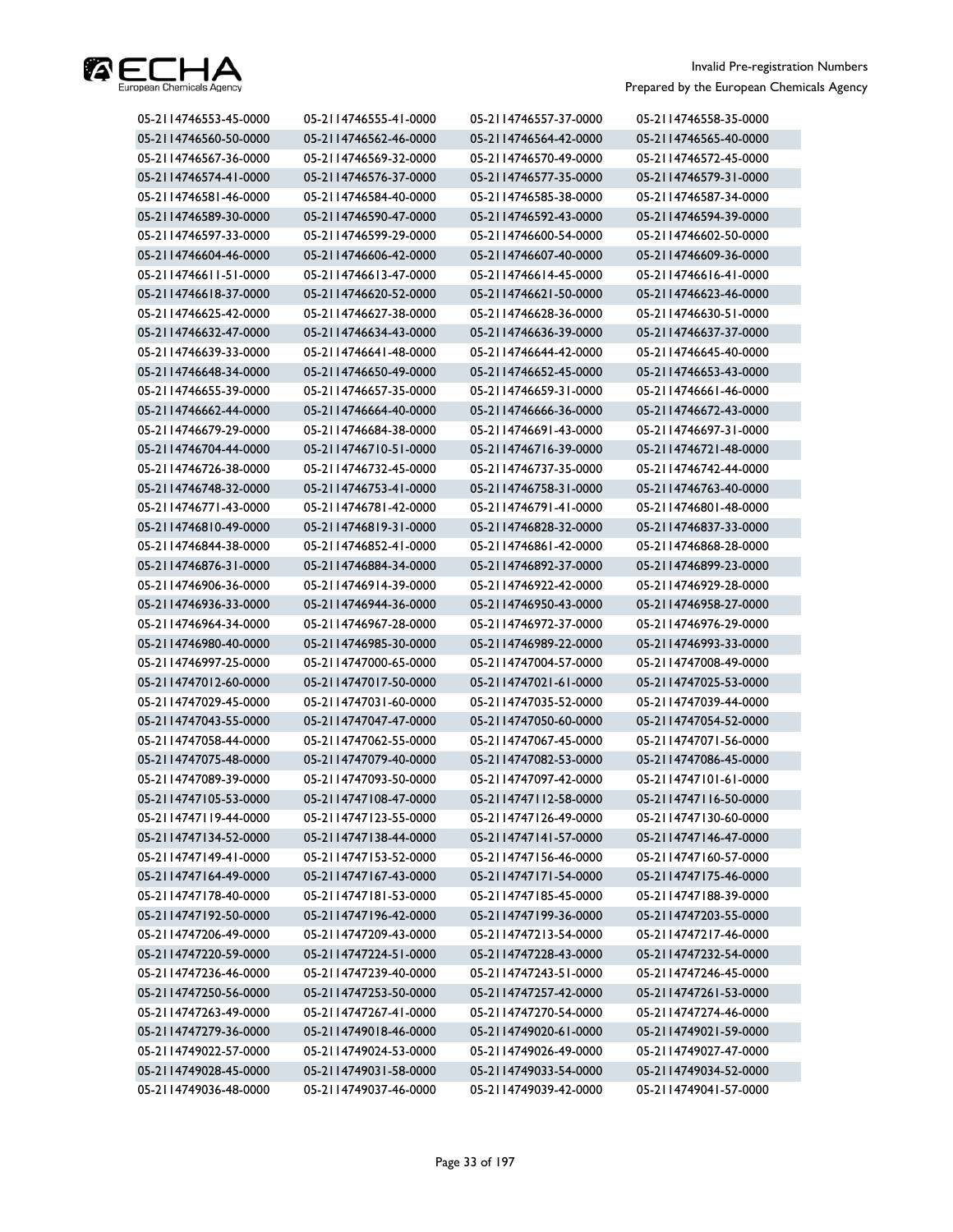

| 05-2114746553-45-0000 | 05-2114746555-41-0000 | 05-2114746557-37-0000 | 05-2114746558-35-0000 |
|-----------------------|-----------------------|-----------------------|-----------------------|
| 05-2114746560-50-0000 | 05-2114746562-46-0000 | 05-2114746564-42-0000 | 05-2114746565-40-0000 |
| 05-2114746567-36-0000 | 05-2114746569-32-0000 | 05-2114746570-49-0000 | 05-2114746572-45-0000 |
| 05-2114746574-41-0000 | 05-2114746576-37-0000 | 05-2114746577-35-0000 | 05-2114746579-31-0000 |
| 05-2114746581-46-0000 | 05-2114746584-40-0000 | 05-2114746585-38-0000 | 05-2114746587-34-0000 |
| 05-2114746589-30-0000 | 05-2114746590-47-0000 | 05-2114746592-43-0000 | 05-2114746594-39-0000 |
| 05-2114746597-33-0000 | 05-2114746599-29-0000 | 05-2114746600-54-0000 | 05-2114746602-50-0000 |
| 05-2114746604-46-0000 | 05-2114746606-42-0000 | 05-2114746607-40-0000 | 05-2114746609-36-0000 |
| 05-2114746611-51-0000 | 05-2114746613-47-0000 | 05-2114746614-45-0000 | 05-2114746616-41-0000 |
| 05-2114746618-37-0000 | 05-2114746620-52-0000 | 05-2114746621-50-0000 | 05-2114746623-46-0000 |
| 05-2114746625-42-0000 | 05-2114746627-38-0000 | 05-2114746628-36-0000 | 05-2114746630-51-0000 |
| 05-2114746632-47-0000 | 05-2114746634-43-0000 | 05-2114746636-39-0000 | 05-2114746637-37-0000 |
| 05-2114746639-33-0000 | 05-2114746641-48-0000 | 05-2114746644-42-0000 | 05-2114746645-40-0000 |
| 05-2114746648-34-0000 | 05-2114746650-49-0000 | 05-2114746652-45-0000 | 05-2114746653-43-0000 |
| 05-2114746655-39-0000 | 05-2114746657-35-0000 | 05-2114746659-31-0000 | 05-2114746661-46-0000 |
| 05-2114746662-44-0000 | 05-2114746664-40-0000 | 05-2114746666-36-0000 | 05-2114746672-43-0000 |
| 05-2114746679-29-0000 | 05-2114746684-38-0000 | 05-2114746691-43-0000 | 05-2114746697-31-0000 |
| 05-2114746704-44-0000 | 05-2114746710-51-0000 | 05-2114746716-39-0000 | 05-2114746721-48-0000 |
| 05-2114746726-38-0000 | 05-2114746732-45-0000 | 05-2114746737-35-0000 | 05-2114746742-44-0000 |
| 05-2114746748-32-0000 | 05-2114746753-41-0000 | 05-2114746758-31-0000 | 05-2114746763-40-0000 |
| 05-2114746771-43-0000 | 05-2114746781-42-0000 | 05-2114746791-41-0000 | 05-2114746801-48-0000 |
| 05-2114746810-49-0000 | 05-2114746819-31-0000 | 05-2114746828-32-0000 | 05-2114746837-33-0000 |
| 05-2114746844-38-0000 | 05-2114746852-41-0000 | 05-2114746861-42-0000 | 05-2114746868-28-0000 |
| 05-2114746876-31-0000 | 05-2114746884-34-0000 | 05-2114746892-37-0000 | 05-2114746899-23-0000 |
| 05-2114746906-36-0000 | 05-2114746914-39-0000 | 05-2114746922-42-0000 | 05-2114746929-28-0000 |
| 05-2114746936-33-0000 | 05-2114746944-36-0000 | 05-2114746950-43-0000 | 05-2114746958-27-0000 |
| 05-2114746964-34-0000 | 05-2114746967-28-0000 | 05-2114746972-37-0000 | 05-2114746976-29-0000 |
| 05-2114746980-40-0000 | 05-2114746985-30-0000 | 05-2114746989-22-0000 | 05-2114746993-33-0000 |
| 05-2114746997-25-0000 | 05-2114747000-65-0000 | 05-2114747004-57-0000 | 05-2114747008-49-0000 |
| 05-2114747012-60-0000 | 05-2114747017-50-0000 | 05-2114747021-61-0000 | 05-2114747025-53-0000 |
| 05-2114747029-45-0000 | 05-2114747031-60-0000 | 05-2114747035-52-0000 | 05-2114747039-44-0000 |
| 05-2114747043-55-0000 | 05-2114747047-47-0000 | 05-2114747050-60-0000 | 05-2114747054-52-0000 |
| 05-2114747058-44-0000 | 05-2114747062-55-0000 | 05-2114747067-45-0000 | 05-2114747071-56-0000 |
| 05-2114747075-48-0000 | 05-2114747079-40-0000 | 05-2114747082-53-0000 | 05-2114747086-45-0000 |
| 05-2114747089-39-0000 | 05-2114747093-50-0000 | 05-2114747097-42-0000 | 05-2114747101-61-0000 |
| 05-2114747105-53-0000 | 05-2114747108-47-0000 | 05-2114747112-58-0000 | 05-2114747116-50-0000 |
| 05-2114747119-44-0000 | 05-2114747123-55-0000 | 05-2114747126-49-0000 | 05-2114747130-60-0000 |
| 05-2114747134-52-0000 | 05-2114747138-44-0000 | 05-2114747141-57-0000 | 05-2114747146-47-0000 |
| 05-2114747149-41-0000 | 05-2114747153-52-0000 | 05-2114747156-46-0000 | 05-2114747160-57-0000 |
| 05-2114747164-49-0000 | 05-2114747167-43-0000 | 05-2114747171-54-0000 | 05-2114747175-46-0000 |
| 05-2114747178-40-0000 | 05-2114747181-53-0000 | 05-2114747185-45-0000 | 05-2114747188-39-0000 |
| 05-2114747192-50-0000 | 05-2114747196-42-0000 | 05-2114747199-36-0000 | 05-2114747203-55-0000 |
| 05-2114747206-49-0000 | 05-2114747209-43-0000 | 05-2114747213-54-0000 | 05-2114747217-46-0000 |
| 05-2114747220-59-0000 | 05-2114747224-51-0000 | 05-2114747228-43-0000 | 05-2114747232-54-0000 |
| 05-2114747236-46-0000 | 05-2114747239-40-0000 | 05-2114747243-51-0000 | 05-2114747246-45-0000 |
| 05-2114747250-56-0000 | 05-2114747253-50-0000 | 05-2114747257-42-0000 | 05-2114747261-53-0000 |
| 05-2114747263-49-0000 | 05-2114747267-41-0000 | 05-2114747270-54-0000 | 05-2114747274-46-0000 |
| 05-2114747279-36-0000 | 05-2114749018-46-0000 | 05-2114749020-61-0000 | 05-2114749021-59-0000 |
| 05-2114749022-57-0000 | 05-2114749024-53-0000 | 05-2114749026-49-0000 | 05-2114749027-47-0000 |
| 05-2114749028-45-0000 | 05-2114749031-58-0000 | 05-2114749033-54-0000 | 05-2114749034-52-0000 |
| 05-2114749036-48-0000 | 05-2114749037-46-0000 | 05-2114749039-42-0000 | 05-2114749041-57-0000 |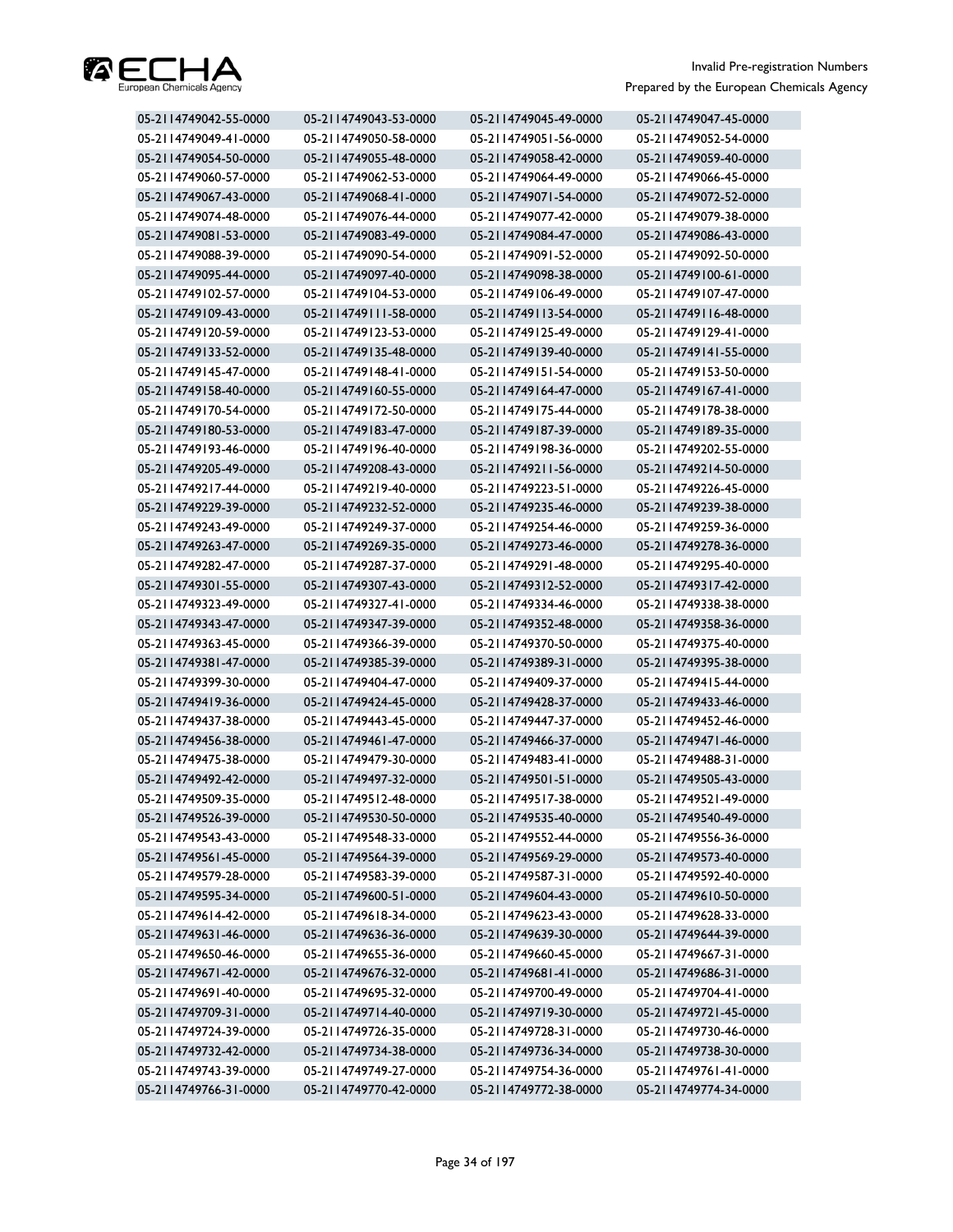

| 05-2114749042-55-0000 | 05-2114749043-53-0000 | 05-2114749045-49-0000 | 05-2114749047-45-0000 |
|-----------------------|-----------------------|-----------------------|-----------------------|
| 05-2114749049-41-0000 | 05-2114749050-58-0000 | 05-2114749051-56-0000 | 05-2114749052-54-0000 |
| 05-2114749054-50-0000 | 05-2114749055-48-0000 | 05-2114749058-42-0000 | 05-2114749059-40-0000 |
| 05-2114749060-57-0000 | 05-2114749062-53-0000 | 05-2114749064-49-0000 | 05-2114749066-45-0000 |
| 05-2114749067-43-0000 | 05-2114749068-41-0000 | 05-2114749071-54-0000 | 05-2114749072-52-0000 |
| 05-2114749074-48-0000 | 05-2114749076-44-0000 | 05-2114749077-42-0000 | 05-2114749079-38-0000 |
| 05-2114749081-53-0000 | 05-2114749083-49-0000 | 05-2114749084-47-0000 | 05-2114749086-43-0000 |
| 05-2114749088-39-0000 | 05-2114749090-54-0000 | 05-2114749091-52-0000 | 05-2114749092-50-0000 |
| 05-2114749095-44-0000 | 05-2114749097-40-0000 | 05-2114749098-38-0000 | 05-2114749100-61-0000 |
| 05-2114749102-57-0000 | 05-2114749104-53-0000 | 05-2114749106-49-0000 | 05-2114749107-47-0000 |
| 05-2114749109-43-0000 | 05-2114749111-58-0000 | 05-2114749113-54-0000 | 05-2114749116-48-0000 |
| 05-2114749120-59-0000 | 05-2114749123-53-0000 | 05-2114749125-49-0000 | 05-2114749129-41-0000 |
| 05-2114749133-52-0000 | 05-2114749135-48-0000 | 05-2114749139-40-0000 | 05-2114749141-55-0000 |
| 05-2114749145-47-0000 | 05-2114749148-41-0000 | 05-2114749151-54-0000 | 05-2114749153-50-0000 |
| 05-2114749158-40-0000 | 05-2114749160-55-0000 | 05-2114749164-47-0000 | 05-2114749167-41-0000 |
| 05-2114749170-54-0000 | 05-2114749172-50-0000 | 05-2114749175-44-0000 | 05-2114749178-38-0000 |
| 05-2114749180-53-0000 | 05-2114749183-47-0000 | 05-2114749187-39-0000 | 05-2114749189-35-0000 |
| 05-2114749193-46-0000 | 05-2114749196-40-0000 | 05-2114749198-36-0000 | 05-2114749202-55-0000 |
| 05-2114749205-49-0000 | 05-2114749208-43-0000 | 05-2114749211-56-0000 | 05-2114749214-50-0000 |
| 05-2114749217-44-0000 | 05-2114749219-40-0000 | 05-2114749223-51-0000 | 05-2114749226-45-0000 |
| 05-2114749229-39-0000 | 05-2114749232-52-0000 | 05-2114749235-46-0000 | 05-2114749239-38-0000 |
| 05-2114749243-49-0000 | 05-2114749249-37-0000 | 05-2114749254-46-0000 | 05-2114749259-36-0000 |
| 05-2114749263-47-0000 | 05-2114749269-35-0000 | 05-2114749273-46-0000 | 05-2114749278-36-0000 |
| 05-2114749282-47-0000 | 05-2114749287-37-0000 | 05-2114749291-48-0000 | 05-2114749295-40-0000 |
| 05-2114749301-55-0000 | 05-2114749307-43-0000 | 05-2114749312-52-0000 | 05-2114749317-42-0000 |
| 05-2114749323-49-0000 | 05-2114749327-41-0000 | 05-2114749334-46-0000 | 05-2114749338-38-0000 |
| 05-2114749343-47-0000 | 05-2114749347-39-0000 | 05-2114749352-48-0000 | 05-2114749358-36-0000 |
| 05-2114749363-45-0000 | 05-2114749366-39-0000 | 05-2114749370-50-0000 | 05-2114749375-40-0000 |
| 05-2114749381-47-0000 | 05-2114749385-39-0000 | 05-2114749389-31-0000 | 05-2114749395-38-0000 |
| 05-2114749399-30-0000 | 05-2114749404-47-0000 | 05-2114749409-37-0000 | 05-2114749415-44-0000 |
| 05-2114749419-36-0000 | 05-2114749424-45-0000 | 05-2114749428-37-0000 | 05-2114749433-46-0000 |
| 05-2114749437-38-0000 | 05-2114749443-45-0000 | 05-2114749447-37-0000 | 05-2114749452-46-0000 |
| 05-2114749456-38-0000 | 05-2114749461-47-0000 | 05-2114749466-37-0000 | 05-2114749471-46-0000 |
| 05-2114749475-38-0000 | 05-2114749479-30-0000 | 05-2114749483-41-0000 | 05-2114749488-31-0000 |
| 05-2114749492-42-0000 | 05-2114749497-32-0000 | 05-2114749501-51-0000 | 05-2114749505-43-0000 |
| 05-2114749509-35-0000 | 05-2114749512-48-0000 | 05-2114749517-38-0000 | 05-2114749521-49-0000 |
| 05-2114749526-39-0000 | 05-2114749530-50-0000 | 05-2114749535-40-0000 | 05-2114749540-49-0000 |
| 05-2114749543-43-0000 | 05-2114749548-33-0000 | 05-2114749552-44-0000 | 05-2114749556-36-0000 |
| 05-2114749561-45-0000 | 05-2114749564-39-0000 | 05-2114749569-29-0000 | 05-2114749573-40-0000 |
| 05-2114749579-28-0000 | 05-2114749583-39-0000 | 05-2114749587-31-0000 | 05-2114749592-40-0000 |
| 05-2114749595-34-0000 | 05-2114749600-51-0000 | 05-2114749604-43-0000 | 05-2114749610-50-0000 |
| 05-2114749614-42-0000 | 05-2114749618-34-0000 | 05-2114749623-43-0000 | 05-2114749628-33-0000 |
| 05-2114749631-46-0000 | 05-2114749636-36-0000 | 05-2114749639-30-0000 | 05-2114749644-39-0000 |
| 05-2114749650-46-0000 | 05-2114749655-36-0000 | 05-2114749660-45-0000 | 05-2114749667-31-0000 |
| 05-2114749671-42-0000 | 05-2114749676-32-0000 | 05-2114749681-41-0000 | 05-2114749686-31-0000 |
| 05-2114749691-40-0000 | 05-2114749695-32-0000 | 05-2114749700-49-0000 | 05-2114749704-41-0000 |
| 05-2114749709-31-0000 | 05-2114749714-40-0000 | 05-2114749719-30-0000 | 05-2114749721-45-0000 |
| 05-2114749724-39-0000 | 05-2114749726-35-0000 | 05-2114749728-31-0000 | 05-2114749730-46-0000 |
| 05-2114749732-42-0000 | 05-2114749734-38-0000 | 05-2114749736-34-0000 | 05-2114749738-30-0000 |
| 05-2114749743-39-0000 | 05-2114749749-27-0000 | 05-2114749754-36-0000 | 05-2114749761-41-0000 |
| 05-2114749766-31-0000 | 05-2114749770-42-0000 | 05-2114749772-38-0000 | 05-2114749774-34-0000 |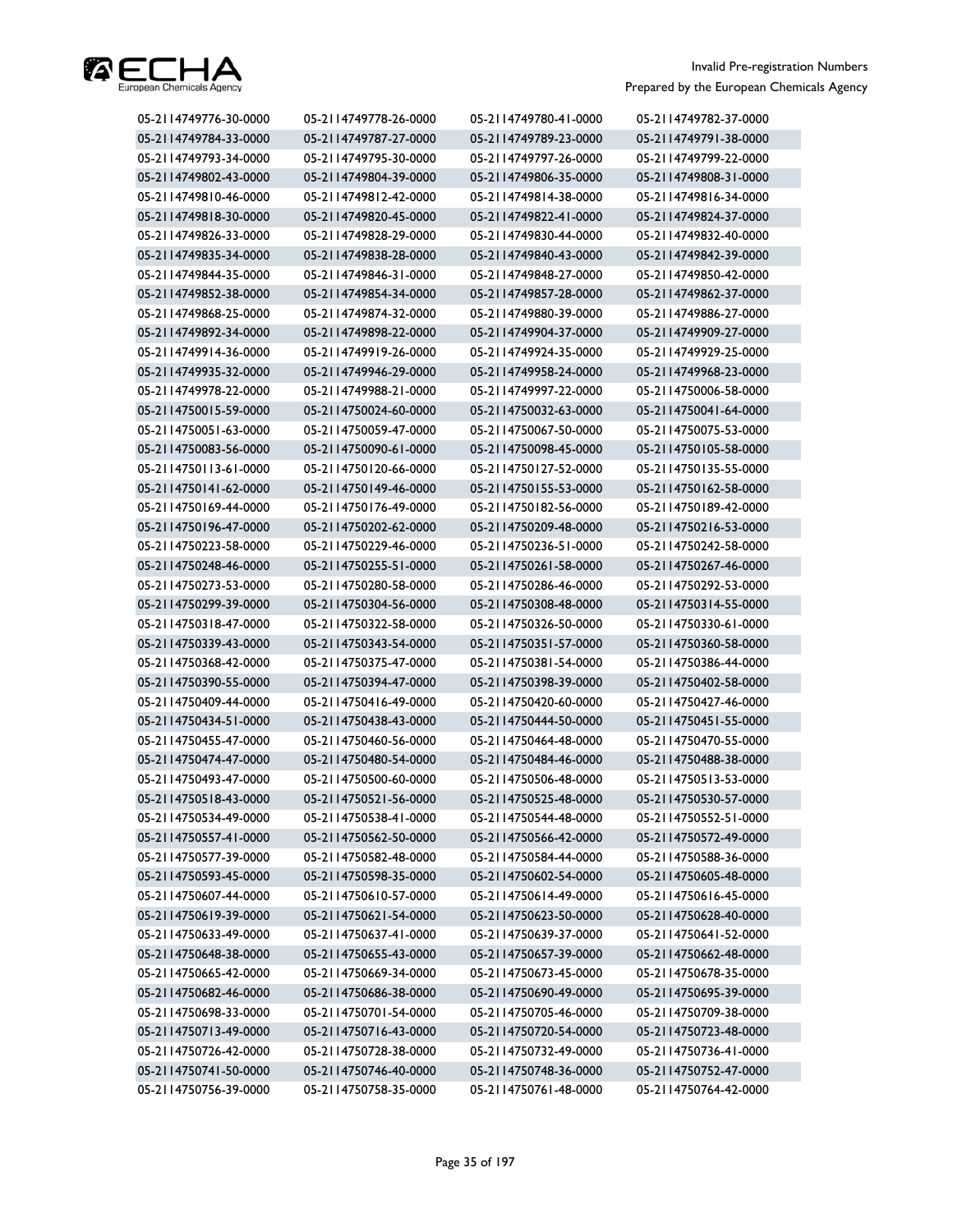

| 05-2114749776-30-0000 | 05-2114749778-26-0000 | 05-2114749780-41-0000 | 05-2114749782-37-0000 |
|-----------------------|-----------------------|-----------------------|-----------------------|
| 05-2114749784-33-0000 | 05-2114749787-27-0000 | 05-2114749789-23-0000 | 05-2114749791-38-0000 |
| 05-2114749793-34-0000 | 05-2114749795-30-0000 | 05-2114749797-26-0000 | 05-2114749799-22-0000 |
| 05-2114749802-43-0000 | 05-2114749804-39-0000 | 05-2114749806-35-0000 | 05-2114749808-31-0000 |
| 05-2114749810-46-0000 | 05-2114749812-42-0000 | 05-2114749814-38-0000 | 05-2114749816-34-0000 |
| 05-2114749818-30-0000 | 05-2114749820-45-0000 | 05-2114749822-41-0000 | 05-2114749824-37-0000 |
| 05-2114749826-33-0000 | 05-2114749828-29-0000 | 05-2114749830-44-0000 | 05-2114749832-40-0000 |
| 05-2114749835-34-0000 | 05-2114749838-28-0000 | 05-2114749840-43-0000 | 05-2114749842-39-0000 |
| 05-2114749844-35-0000 | 05-2114749846-31-0000 | 05-2114749848-27-0000 | 05-2114749850-42-0000 |
| 05-2114749852-38-0000 | 05-2114749854-34-0000 | 05-2114749857-28-0000 | 05-2114749862-37-0000 |
| 05-2114749868-25-0000 | 05-2114749874-32-0000 | 05-2114749880-39-0000 | 05-2114749886-27-0000 |
| 05-2114749892-34-0000 | 05-2114749898-22-0000 | 05-2114749904-37-0000 | 05-2114749909-27-0000 |
| 05-2114749914-36-0000 | 05-2114749919-26-0000 | 05-2114749924-35-0000 | 05-2114749929-25-0000 |
| 05-2114749935-32-0000 | 05-2114749946-29-0000 | 05-2114749958-24-0000 | 05-2114749968-23-0000 |
| 05-2114749978-22-0000 | 05-2114749988-21-0000 | 05-2114749997-22-0000 | 05-2114750006-58-0000 |
| 05-2114750015-59-0000 | 05-2114750024-60-0000 | 05-2114750032-63-0000 | 05-2114750041-64-0000 |
| 05-2114750051-63-0000 | 05-2114750059-47-0000 | 05-2114750067-50-0000 | 05-2114750075-53-0000 |
| 05-2114750083-56-0000 | 05-2114750090-61-0000 | 05-2114750098-45-0000 | 05-2114750105-58-0000 |
| 05-2114750113-61-0000 | 05-2114750120-66-0000 | 05-2114750127-52-0000 | 05-2114750135-55-0000 |
| 05-2114750141-62-0000 | 05-2114750149-46-0000 | 05-2114750155-53-0000 | 05-2114750162-58-0000 |
| 05-2114750169-44-0000 | 05-2114750176-49-0000 | 05-2114750182-56-0000 | 05-2114750189-42-0000 |
| 05-2114750196-47-0000 | 05-2114750202-62-0000 | 05-2114750209-48-0000 | 05-2114750216-53-0000 |
| 05-2114750223-58-0000 | 05-2114750229-46-0000 | 05-2114750236-51-0000 | 05-2114750242-58-0000 |
| 05-2114750248-46-0000 | 05-2114750255-51-0000 | 05-2114750261-58-0000 | 05-2114750267-46-0000 |
| 05-2114750273-53-0000 | 05-2114750280-58-0000 | 05-2114750286-46-0000 | 05-2114750292-53-0000 |
| 05-2114750299-39-0000 | 05-2114750304-56-0000 | 05-2114750308-48-0000 | 05-2114750314-55-0000 |
| 05-2114750318-47-0000 | 05-2114750322-58-0000 | 05-2114750326-50-0000 | 05-2114750330-61-0000 |
| 05-2114750339-43-0000 | 05-2114750343-54-0000 | 05-2114750351-57-0000 | 05-2114750360-58-0000 |
| 05-2114750368-42-0000 | 05-2114750375-47-0000 | 05-2114750381-54-0000 | 05-2114750386-44-0000 |
| 05-2114750390-55-0000 | 05-2114750394-47-0000 | 05-2114750398-39-0000 | 05-2114750402-58-0000 |
| 05-2114750409-44-0000 | 05-2114750416-49-0000 | 05-2114750420-60-0000 | 05-2114750427-46-0000 |
| 05-2114750434-51-0000 | 05-2114750438-43-0000 | 05-2114750444-50-0000 | 05-2114750451-55-0000 |
| 05-2114750455-47-0000 | 05-2114750460-56-0000 | 05-2114750464-48-0000 | 05-2114750470-55-0000 |
| 05-2114750474-47-0000 | 05-2114750480-54-0000 | 05-2114750484-46-0000 | 05-2114750488-38-0000 |
| 05-2114750493-47-0000 | 05-2114750500-60-0000 | 05-2114750506-48-0000 | 05-2114750513-53-0000 |
| 05-2114750518-43-0000 | 05-2114750521-56-0000 | 05-2114750525-48-0000 | 05-2114750530-57-0000 |
| 05-2114750534-49-0000 | 05-2114750538-41-0000 | 05-2114750544-48-0000 | 05-2114750552-51-0000 |
| 05-2114750557-41-0000 | 05-2114750562-50-0000 | 05-2114750566-42-0000 | 05-2114750572-49-0000 |
| 05-2114750577-39-0000 | 05-2114750582-48-0000 | 05-2114750584-44-0000 | 05-2114750588-36-0000 |
| 05-2114750593-45-0000 | 05-2114750598-35-0000 | 05-2114750602-54-0000 | 05-2114750605-48-0000 |
| 05-2114750607-44-0000 | 05-2114750610-57-0000 | 05-2114750614-49-0000 | 05-2114750616-45-0000 |
| 05-2114750619-39-0000 | 05-2114750621-54-0000 | 05-2114750623-50-0000 | 05-2114750628-40-0000 |
| 05-2114750633-49-0000 | 05-2114750637-41-0000 | 05-2114750639-37-0000 | 05-2114750641-52-0000 |
| 05-2114750648-38-0000 | 05-2114750655-43-0000 | 05-2114750657-39-0000 | 05-2114750662-48-0000 |
| 05-2114750665-42-0000 | 05-2114750669-34-0000 | 05-2114750673-45-0000 | 05-2114750678-35-0000 |
| 05-2114750682-46-0000 | 05-2114750686-38-0000 | 05-2114750690-49-0000 | 05-2114750695-39-0000 |
| 05-2114750698-33-0000 | 05-2114750701-54-0000 | 05-2114750705-46-0000 | 05-2114750709-38-0000 |
| 05-2114750713-49-0000 | 05-2114750716-43-0000 | 05-2114750720-54-0000 | 05-2114750723-48-0000 |
| 05-2114750726-42-0000 | 05-2114750728-38-0000 | 05-2114750732-49-0000 | 05-2114750736-41-0000 |
| 05-2114750741-50-0000 | 05-2114750746-40-0000 | 05-2114750748-36-0000 | 05-2114750752-47-0000 |
| 05-2114750756-39-0000 | 05-2114750758-35-0000 | 05-2114750761-48-0000 | 05-2114750764-42-0000 |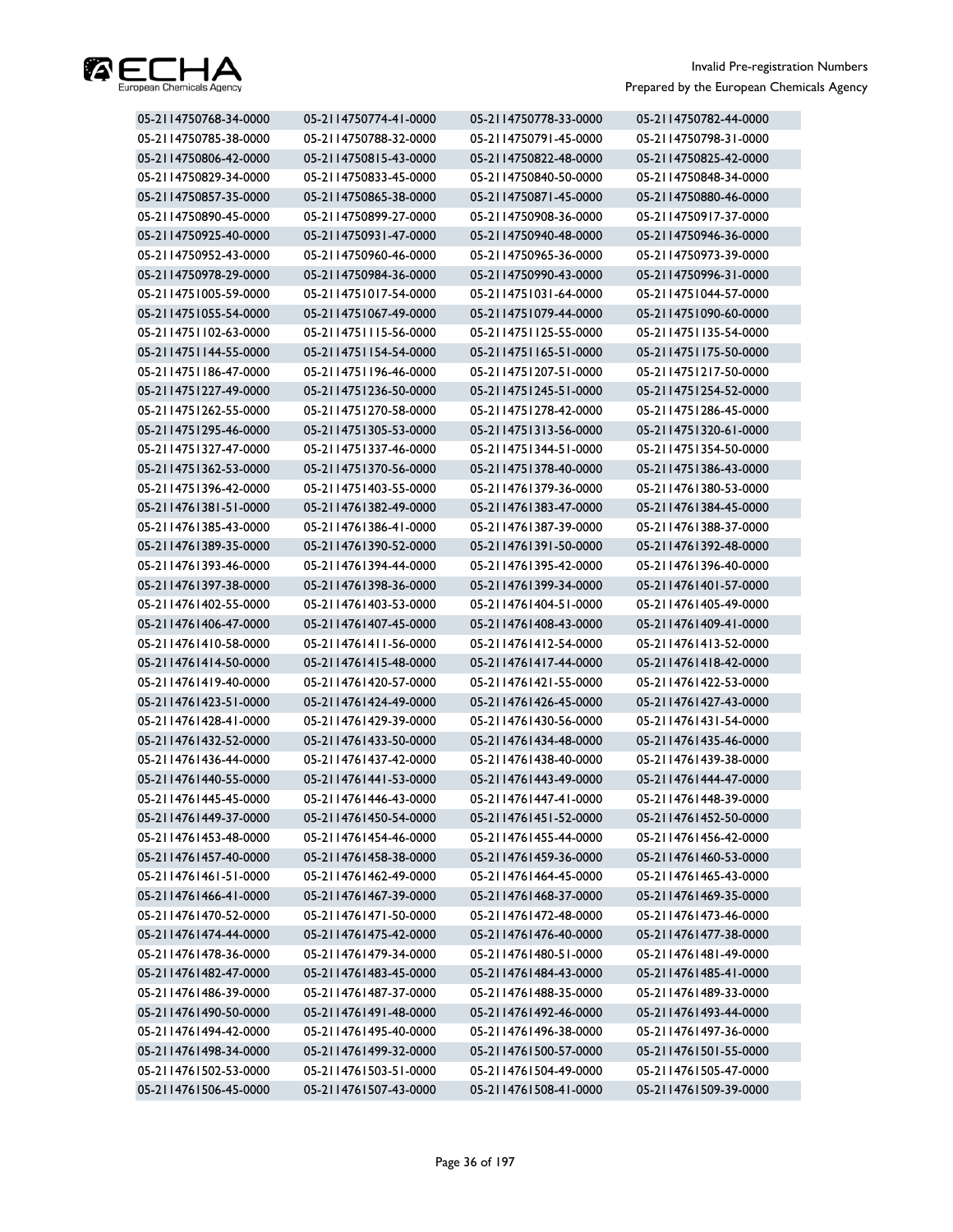

| 05-2114750768-34-0000 | 05-2114750774-41-0000 | 05-2114750778-33-0000 | 05-2114750782-44-0000 |
|-----------------------|-----------------------|-----------------------|-----------------------|
| 05-2114750785-38-0000 | 05-2114750788-32-0000 | 05-2114750791-45-0000 | 05-2114750798-31-0000 |
| 05-2114750806-42-0000 | 05-2114750815-43-0000 | 05-2114750822-48-0000 | 05-2114750825-42-0000 |
| 05-2114750829-34-0000 | 05-2114750833-45-0000 | 05-2114750840-50-0000 | 05-2114750848-34-0000 |
| 05-2114750857-35-0000 | 05-2114750865-38-0000 | 05-2114750871-45-0000 | 05-2114750880-46-0000 |
| 05-2114750890-45-0000 | 05-2114750899-27-0000 | 05-2114750908-36-0000 | 05-2114750917-37-0000 |
| 05-2114750925-40-0000 | 05-2114750931-47-0000 | 05-2114750940-48-0000 | 05-2114750946-36-0000 |
| 05-2114750952-43-0000 | 05-2114750960-46-0000 | 05-2114750965-36-0000 | 05-2114750973-39-0000 |
| 05-2114750978-29-0000 | 05-2114750984-36-0000 | 05-2114750990-43-0000 | 05-2114750996-31-0000 |
| 05-2114751005-59-0000 | 05-2114751017-54-0000 | 05-2114751031-64-0000 | 05-2114751044-57-0000 |
| 05-2114751055-54-0000 | 05-2114751067-49-0000 | 05-2114751079-44-0000 | 05-2114751090-60-0000 |
| 05-2114751102-63-0000 | 05-2114751115-56-0000 | 05-2114751125-55-0000 | 05-2114751135-54-0000 |
| 05-2114751144-55-0000 | 05-2114751154-54-0000 | 05-2114751165-51-0000 | 05-2114751175-50-0000 |
| 05-2114751186-47-0000 | 05-2114751196-46-0000 | 05-2114751207-51-0000 | 05-2114751217-50-0000 |
| 05-2114751227-49-0000 | 05-2114751236-50-0000 | 05-2114751245-51-0000 | 05-2114751254-52-0000 |
| 05-2114751262-55-0000 | 05-2114751270-58-0000 | 05-2114751278-42-0000 | 05-2114751286-45-0000 |
| 05-2114751295-46-0000 | 05-2114751305-53-0000 | 05-2114751313-56-0000 | 05-2114751320-61-0000 |
| 05-2114751327-47-0000 | 05-2114751337-46-0000 | 05-2114751344-51-0000 | 05-2114751354-50-0000 |
| 05-2114751362-53-0000 | 05-2114751370-56-0000 | 05-2114751378-40-0000 | 05-2114751386-43-0000 |
| 05-2114751396-42-0000 | 05-2114751403-55-0000 | 05-2114761379-36-0000 | 05-2114761380-53-0000 |
| 05-2114761381-51-0000 | 05-2114761382-49-0000 | 05-2114761383-47-0000 | 05-2114761384-45-0000 |
| 05-2114761385-43-0000 | 05-2114761386-41-0000 | 05-2114761387-39-0000 | 05-2114761388-37-0000 |
| 05-2114761389-35-0000 | 05-2114761390-52-0000 | 05-2114761391-50-0000 | 05-2114761392-48-0000 |
| 05-2114761393-46-0000 | 05-2114761394-44-0000 | 05-2114761395-42-0000 | 05-2114761396-40-0000 |
| 05-2114761397-38-0000 | 05-2114761398-36-0000 | 05-2114761399-34-0000 | 05-2114761401-57-0000 |
| 05-2114761402-55-0000 | 05-2114761403-53-0000 | 05-2114761404-51-0000 | 05-2114761405-49-0000 |
| 05-2114761406-47-0000 | 05-2114761407-45-0000 | 05-2114761408-43-0000 | 05-2114761409-41-0000 |
| 05-2114761410-58-0000 | 05-2114761411-56-0000 | 05-2114761412-54-0000 | 05-2114761413-52-0000 |
| 05-2114761414-50-0000 | 05-2114761415-48-0000 | 05-2114761417-44-0000 | 05-2114761418-42-0000 |
| 05-2114761419-40-0000 | 05-2114761420-57-0000 | 05-2114761421-55-0000 | 05-2114761422-53-0000 |
| 05-2114761423-51-0000 | 05-2114761424-49-0000 | 05-2114761426-45-0000 | 05-2114761427-43-0000 |
| 05-2114761428-41-0000 | 05-2114761429-39-0000 | 05-2114761430-56-0000 | 05-2114761431-54-0000 |
| 05-2114761432-52-0000 | 05-2114761433-50-0000 | 05-2114761434-48-0000 | 05-2114761435-46-0000 |
| 05-2114761436-44-0000 | 05-2114761437-42-0000 | 05-2114761438-40-0000 | 05-2114761439-38-0000 |
| 05-2114761440-55-0000 | 05-2114761441-53-0000 | 05-2114761443-49-0000 | 05-2114761444-47-0000 |
| 05-2114761445-45-0000 | 05-2114761446-43-0000 | 05-2114761447-41-0000 | 05-2114761448-39-0000 |
| 05-2114761449-37-0000 | 05-2114761450-54-0000 | 05-2114761451-52-0000 | 05-2114761452-50-0000 |
| 05-2114761453-48-0000 | 05-2114761454-46-0000 | 05-2114761455-44-0000 | 05-2114761456-42-0000 |
| 05-2114761457-40-0000 | 05-2114761458-38-0000 | 05-2114761459-36-0000 | 05-2114761460-53-0000 |
| 05-2114761461-51-0000 | 05-2114761462-49-0000 | 05-2114761464-45-0000 | 05-2114761465-43-0000 |
| 05-2114761466-41-0000 | 05-2114761467-39-0000 | 05-2114761468-37-0000 | 05-2114761469-35-0000 |
| 05-2114761470-52-0000 | 05-2114761471-50-0000 | 05-2114761472-48-0000 | 05-2114761473-46-0000 |
| 05-2114761474-44-0000 | 05-2114761475-42-0000 | 05-2114761476-40-0000 | 05-2114761477-38-0000 |
| 05-2114761478-36-0000 | 05-2114761479-34-0000 | 05-2114761480-51-0000 | 05-2114761481-49-0000 |
| 05-2114761482-47-0000 | 05-2114761483-45-0000 | 05-2114761484-43-0000 | 05-2114761485-41-0000 |
| 05-2114761486-39-0000 | 05-2114761487-37-0000 | 05-2114761488-35-0000 | 05-2114761489-33-0000 |
| 05-2114761490-50-0000 | 05-2114761491-48-0000 | 05-2114761492-46-0000 | 05-2114761493-44-0000 |
| 05-2114761494-42-0000 | 05-2114761495-40-0000 | 05-2114761496-38-0000 | 05-2114761497-36-0000 |
| 05-2114761498-34-0000 | 05-2114761499-32-0000 | 05-2114761500-57-0000 | 05-2114761501-55-0000 |
| 05-2114761502-53-0000 | 05-2114761503-51-0000 | 05-2114761504-49-0000 | 05-2114761505-47-0000 |
| 05-2114761506-45-0000 | 05-2114761507-43-0000 | 05-2114761508-41-0000 | 05-2114761509-39-0000 |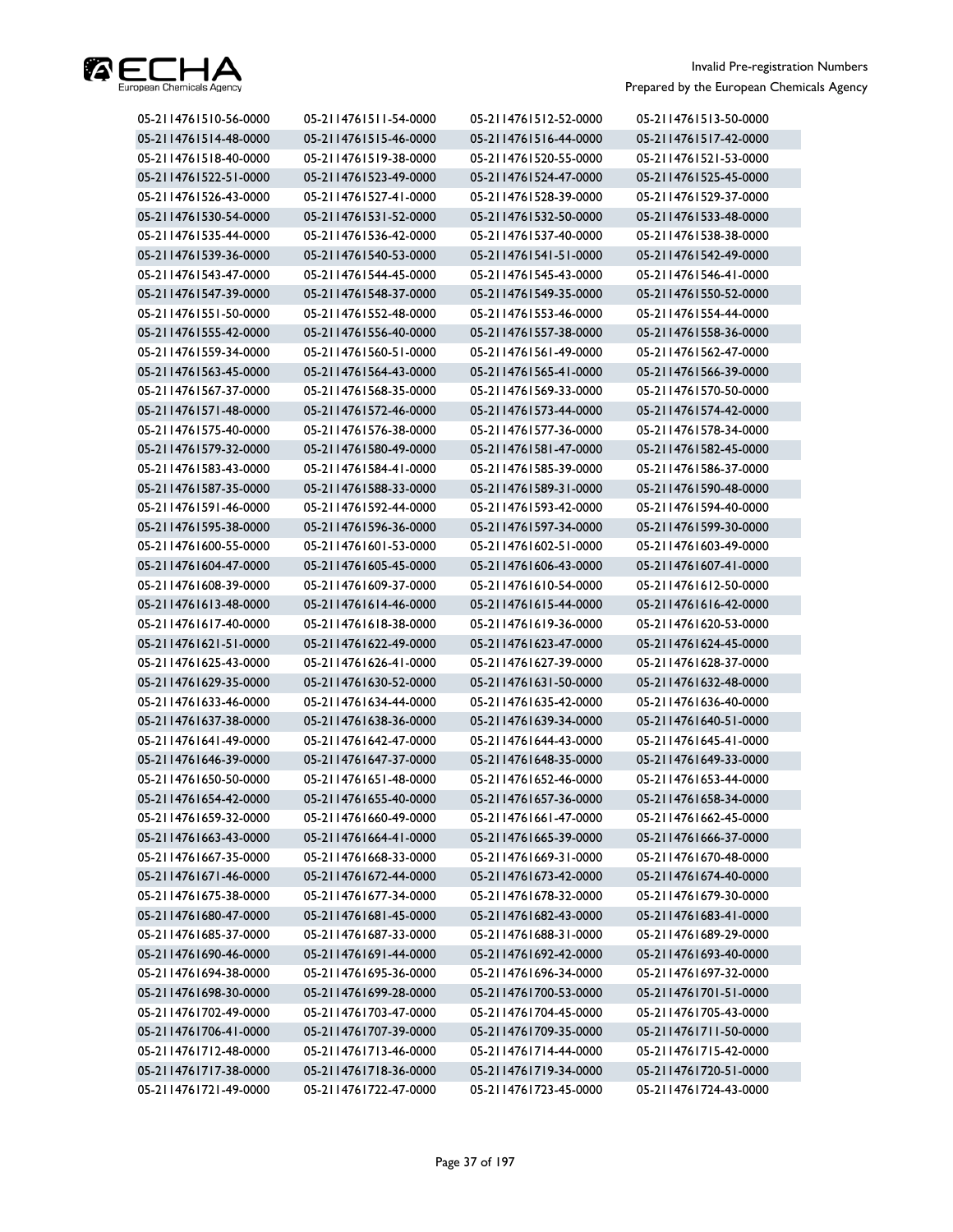

| 05-2114761510-56-0000 | 05-2114761511-54-0000 | 05-2114761512-52-0000 | 05-2114761513-50-0000 |
|-----------------------|-----------------------|-----------------------|-----------------------|
| 05-2114761514-48-0000 | 05-2114761515-46-0000 | 05-2114761516-44-0000 | 05-2114761517-42-0000 |
| 05-2114761518-40-0000 | 05-2114761519-38-0000 | 05-2114761520-55-0000 | 05-2114761521-53-0000 |
| 05-2114761522-51-0000 | 05-2114761523-49-0000 | 05-2114761524-47-0000 | 05-2114761525-45-0000 |
| 05-2114761526-43-0000 | 05-2114761527-41-0000 | 05-2114761528-39-0000 | 05-2114761529-37-0000 |
| 05-2114761530-54-0000 | 05-2114761531-52-0000 | 05-2114761532-50-0000 | 05-2114761533-48-0000 |
| 05-2114761535-44-0000 | 05-2114761536-42-0000 | 05-2114761537-40-0000 | 05-2114761538-38-0000 |
| 05-2114761539-36-0000 | 05-2114761540-53-0000 | 05-2114761541-51-0000 | 05-2114761542-49-0000 |
| 05-2114761543-47-0000 | 05-2114761544-45-0000 | 05-2114761545-43-0000 | 05-2114761546-41-0000 |
| 05-2114761547-39-0000 | 05-2114761548-37-0000 | 05-2114761549-35-0000 | 05-2114761550-52-0000 |
| 05-2114761551-50-0000 | 05-2114761552-48-0000 | 05-2114761553-46-0000 | 05-2114761554-44-0000 |
| 05-2114761555-42-0000 | 05-2114761556-40-0000 | 05-2114761557-38-0000 | 05-2114761558-36-0000 |
| 05-2114761559-34-0000 | 05-2114761560-51-0000 | 05-2114761561-49-0000 | 05-2114761562-47-0000 |
| 05-2114761563-45-0000 | 05-2114761564-43-0000 | 05-2114761565-41-0000 | 05-2114761566-39-0000 |
| 05-2114761567-37-0000 | 05-2114761568-35-0000 | 05-2114761569-33-0000 | 05-2114761570-50-0000 |
| 05-2114761571-48-0000 | 05-2114761572-46-0000 | 05-2114761573-44-0000 | 05-2114761574-42-0000 |
| 05-2114761575-40-0000 | 05-2114761576-38-0000 | 05-2114761577-36-0000 | 05-2114761578-34-0000 |
| 05-2114761579-32-0000 | 05-2114761580-49-0000 | 05-2114761581-47-0000 | 05-2114761582-45-0000 |
| 05-2114761583-43-0000 | 05-2114761584-41-0000 | 05-2114761585-39-0000 | 05-2114761586-37-0000 |
| 05-2114761587-35-0000 | 05-2114761588-33-0000 | 05-2114761589-31-0000 | 05-2114761590-48-0000 |
| 05-2114761591-46-0000 | 05-2114761592-44-0000 | 05-2114761593-42-0000 | 05-2114761594-40-0000 |
| 05-2114761595-38-0000 | 05-2114761596-36-0000 | 05-2114761597-34-0000 | 05-2114761599-30-0000 |
| 05-2114761600-55-0000 | 05-2114761601-53-0000 | 05-2114761602-51-0000 | 05-2114761603-49-0000 |
| 05-2114761604-47-0000 | 05-2114761605-45-0000 | 05-2114761606-43-0000 | 05-2114761607-41-0000 |
| 05-2114761608-39-0000 | 05-2114761609-37-0000 | 05-2114761610-54-0000 | 05-2114761612-50-0000 |
| 05-2114761613-48-0000 | 05-2114761614-46-0000 | 05-2114761615-44-0000 | 05-2114761616-42-0000 |
| 05-2114761617-40-0000 | 05-2114761618-38-0000 | 05-2114761619-36-0000 | 05-2114761620-53-0000 |
| 05-2114761621-51-0000 | 05-2114761622-49-0000 | 05-2114761623-47-0000 | 05-2114761624-45-0000 |
| 05-2114761625-43-0000 | 05-2114761626-41-0000 | 05-2114761627-39-0000 | 05-2114761628-37-0000 |
| 05-2114761629-35-0000 | 05-2114761630-52-0000 | 05-2114761631-50-0000 | 05-2114761632-48-0000 |
| 05-2114761633-46-0000 | 05-2114761634-44-0000 | 05-2114761635-42-0000 | 05-2114761636-40-0000 |
| 05-2114761637-38-0000 | 05-2114761638-36-0000 | 05-2114761639-34-0000 | 05-2114761640-51-0000 |
| 05-2114761641-49-0000 | 05-2114761642-47-0000 | 05-2114761644-43-0000 | 05-2114761645-41-0000 |
| 05-2114761646-39-0000 | 05-2114761647-37-0000 | 05-2114761648-35-0000 | 05-2114761649-33-0000 |
| 05-2114761650-50-0000 | 05-2114761651-48-0000 | 05-2114761652-46-0000 | 05-2114761653-44-0000 |
| 05-2114761654-42-0000 | 05-2114761655-40-0000 | 05-2114761657-36-0000 | 05-2114761658-34-0000 |
| 05-2114761659-32-0000 | 05-2114761660-49-0000 | 05-2114761661-47-0000 | 05-2114761662-45-0000 |
| 05-2114761663-43-0000 | 05-2114761664-41-0000 | 05-2114761665-39-0000 | 05-2114761666-37-0000 |
| 05-2114761667-35-0000 | 05-2114761668-33-0000 | 05-2114761669-31-0000 | 05-2114761670-48-0000 |
| 05-2114761671-46-0000 | 05-2114761672-44-0000 | 05-2114761673-42-0000 | 05-2114761674-40-0000 |
| 05-2114761675-38-0000 | 05-2114761677-34-0000 | 05-2114761678-32-0000 | 05-2114761679-30-0000 |
| 05-2114761680-47-0000 | 05-2114761681-45-0000 | 05-2114761682-43-0000 | 05-2114761683-41-0000 |
| 05-2114761685-37-0000 | 05-2114761687-33-0000 | 05-2114761688-31-0000 | 05-2114761689-29-0000 |
| 05-2114761690-46-0000 | 05-2114761691-44-0000 | 05-2114761692-42-0000 | 05-2114761693-40-0000 |
| 05-2114761694-38-0000 | 05-2114761695-36-0000 | 05-2114761696-34-0000 | 05-2114761697-32-0000 |
| 05-2114761698-30-0000 | 05-2114761699-28-0000 | 05-2114761700-53-0000 | 05-2114761701-51-0000 |
| 05-2114761702-49-0000 | 05-2114761703-47-0000 | 05-2114761704-45-0000 | 05-2114761705-43-0000 |
| 05-2114761706-41-0000 | 05-2114761707-39-0000 | 05-2114761709-35-0000 | 05-2114761711-50-0000 |
| 05-2114761712-48-0000 | 05-2114761713-46-0000 | 05-2114761714-44-0000 | 05-2114761715-42-0000 |
| 05-2114761717-38-0000 | 05-2114761718-36-0000 | 05-2114761719-34-0000 | 05-2114761720-51-0000 |
| 05-2114761721-49-0000 | 05-2114761722-47-0000 | 05-2114761723-45-0000 | 05-2114761724-43-0000 |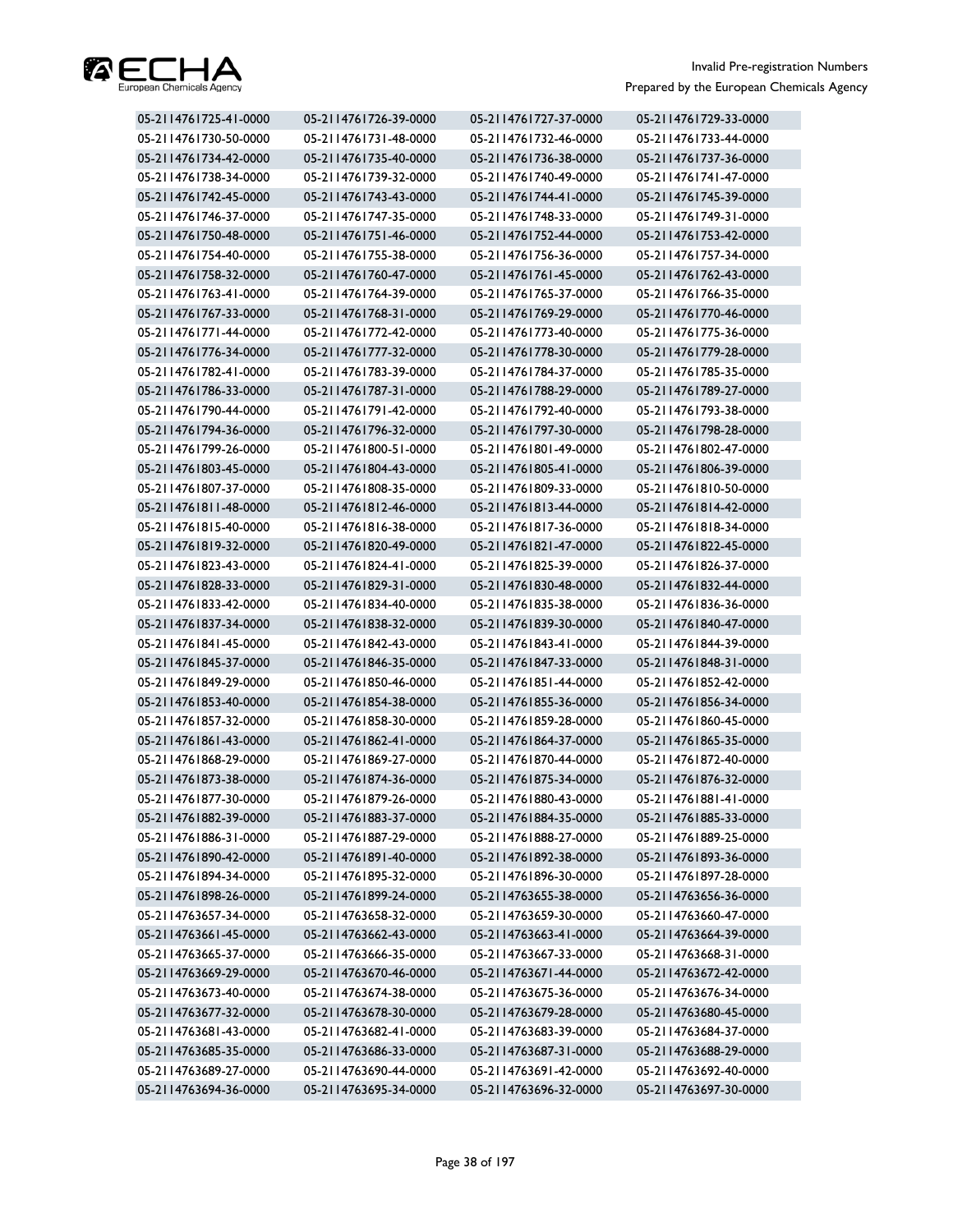

| 05-2114761725-41-0000 | 05-2114761726-39-0000 | 05-2114761727-37-0000 | 05-2114761729-33-0000 |
|-----------------------|-----------------------|-----------------------|-----------------------|
| 05-2114761730-50-0000 | 05-2114761731-48-0000 | 05-2114761732-46-0000 | 05-2114761733-44-0000 |
| 05-2114761734-42-0000 | 05-2114761735-40-0000 | 05-2114761736-38-0000 | 05-2114761737-36-0000 |
| 05-2114761738-34-0000 | 05-2114761739-32-0000 | 05-2114761740-49-0000 | 05-2114761741-47-0000 |
| 05-2114761742-45-0000 | 05-2114761743-43-0000 | 05-2114761744-41-0000 | 05-2114761745-39-0000 |
| 05-2114761746-37-0000 | 05-2114761747-35-0000 | 05-2114761748-33-0000 | 05-2114761749-31-0000 |
| 05-2114761750-48-0000 | 05-2114761751-46-0000 | 05-2114761752-44-0000 | 05-2114761753-42-0000 |
| 05-2114761754-40-0000 | 05-2114761755-38-0000 | 05-2114761756-36-0000 | 05-2114761757-34-0000 |
| 05-2114761758-32-0000 | 05-2114761760-47-0000 | 05-2114761761-45-0000 | 05-2114761762-43-0000 |
| 05-2114761763-41-0000 | 05-2114761764-39-0000 | 05-2114761765-37-0000 | 05-2114761766-35-0000 |
| 05-2114761767-33-0000 | 05-2114761768-31-0000 | 05-2114761769-29-0000 | 05-2114761770-46-0000 |
| 05-2114761771-44-0000 | 05-2114761772-42-0000 | 05-2114761773-40-0000 | 05-2114761775-36-0000 |
| 05-2114761776-34-0000 | 05-2114761777-32-0000 | 05-2114761778-30-0000 | 05-2114761779-28-0000 |
| 05-2114761782-41-0000 | 05-2114761783-39-0000 | 05-2114761784-37-0000 | 05-2114761785-35-0000 |
| 05-2114761786-33-0000 | 05-2114761787-31-0000 | 05-2114761788-29-0000 | 05-2114761789-27-0000 |
| 05-2114761790-44-0000 | 05-2114761791-42-0000 | 05-2114761792-40-0000 | 05-2114761793-38-0000 |
| 05-2114761794-36-0000 | 05-2114761796-32-0000 | 05-2114761797-30-0000 | 05-2114761798-28-0000 |
| 05-2114761799-26-0000 | 05-2114761800-51-0000 | 05-2114761801-49-0000 | 05-2114761802-47-0000 |
| 05-2114761803-45-0000 | 05-2114761804-43-0000 | 05-2114761805-41-0000 | 05-2114761806-39-0000 |
| 05-2114761807-37-0000 | 05-2114761808-35-0000 | 05-2114761809-33-0000 | 05-2114761810-50-0000 |
| 05-2114761811-48-0000 | 05-2114761812-46-0000 | 05-2114761813-44-0000 | 05-2114761814-42-0000 |
| 05-2114761815-40-0000 | 05-2114761816-38-0000 | 05-2114761817-36-0000 | 05-2114761818-34-0000 |
| 05-2114761819-32-0000 | 05-2114761820-49-0000 | 05-2114761821-47-0000 | 05-2114761822-45-0000 |
| 05-2114761823-43-0000 | 05-2114761824-41-0000 | 05-2114761825-39-0000 | 05-2114761826-37-0000 |
| 05-2114761828-33-0000 | 05-2114761829-31-0000 | 05-2114761830-48-0000 | 05-2114761832-44-0000 |
| 05-2114761833-42-0000 | 05-2114761834-40-0000 | 05-2114761835-38-0000 | 05-2114761836-36-0000 |
| 05-2114761837-34-0000 | 05-2114761838-32-0000 | 05-2114761839-30-0000 | 05-2114761840-47-0000 |
| 05-2114761841-45-0000 | 05-2114761842-43-0000 | 05-2114761843-41-0000 | 05-2114761844-39-0000 |
| 05-2114761845-37-0000 | 05-2114761846-35-0000 | 05-2114761847-33-0000 | 05-2114761848-31-0000 |
| 05-2114761849-29-0000 | 05-2114761850-46-0000 | 05-2114761851-44-0000 | 05-2114761852-42-0000 |
| 05-2114761853-40-0000 | 05-2114761854-38-0000 | 05-2114761855-36-0000 | 05-2114761856-34-0000 |
| 05-2114761857-32-0000 | 05-2114761858-30-0000 | 05-2114761859-28-0000 | 05-2114761860-45-0000 |
| 05-2114761861-43-0000 | 05-2114761862-41-0000 | 05-2114761864-37-0000 | 05-2114761865-35-0000 |
| 05-2114761868-29-0000 | 05-2114761869-27-0000 | 05-2114761870-44-0000 | 05-2114761872-40-0000 |
| 05-2114761873-38-0000 | 05-2114761874-36-0000 | 05-2114761875-34-0000 | 05-2114761876-32-0000 |
| 05-2114761877-30-0000 | 05-2114761879-26-0000 | 05-2114761880-43-0000 | 05-2114761881-41-0000 |
| 05-2114761882-39-0000 | 05-2114761883-37-0000 | 05-2114761884-35-0000 | 05-2114761885-33-0000 |
| 05-2114761886-31-0000 | 05-2114761887-29-0000 | 05-2114761888-27-0000 | 05-2114761889-25-0000 |
| 05-2114761890-42-0000 | 05-2114761891-40-0000 | 05-2114761892-38-0000 | 05-2114761893-36-0000 |
| 05-2114761894-34-0000 | 05-2114761895-32-0000 | 05-2114761896-30-0000 | 05-2114761897-28-0000 |
| 05-2114761898-26-0000 | 05-2114761899-24-0000 | 05-2114763655-38-0000 | 05-2114763656-36-0000 |
| 05-2114763657-34-0000 | 05-2114763658-32-0000 | 05-2114763659-30-0000 | 05-2114763660-47-0000 |
| 05-2114763661-45-0000 | 05-2114763662-43-0000 | 05-2114763663-41-0000 | 05-2114763664-39-0000 |
| 05-2114763665-37-0000 | 05-2114763666-35-0000 | 05-2114763667-33-0000 | 05-2114763668-31-0000 |
| 05-2114763669-29-0000 | 05-2114763670-46-0000 | 05-2114763671-44-0000 | 05-2114763672-42-0000 |
| 05-2114763673-40-0000 | 05-2114763674-38-0000 | 05-2114763675-36-0000 | 05-2114763676-34-0000 |
| 05-2114763677-32-0000 | 05-2114763678-30-0000 | 05-2114763679-28-0000 | 05-2114763680-45-0000 |
| 05-2114763681-43-0000 | 05-2114763682-41-0000 | 05-2114763683-39-0000 | 05-2114763684-37-0000 |
| 05-2114763685-35-0000 | 05-2114763686-33-0000 | 05-2114763687-31-0000 | 05-2114763688-29-0000 |
| 05-2114763689-27-0000 | 05-2114763690-44-0000 | 05-2114763691-42-0000 | 05-2114763692-40-0000 |
| 05-2114763694-36-0000 | 05-2114763695-34-0000 | 05-2114763696-32-0000 | 05-2114763697-30-0000 |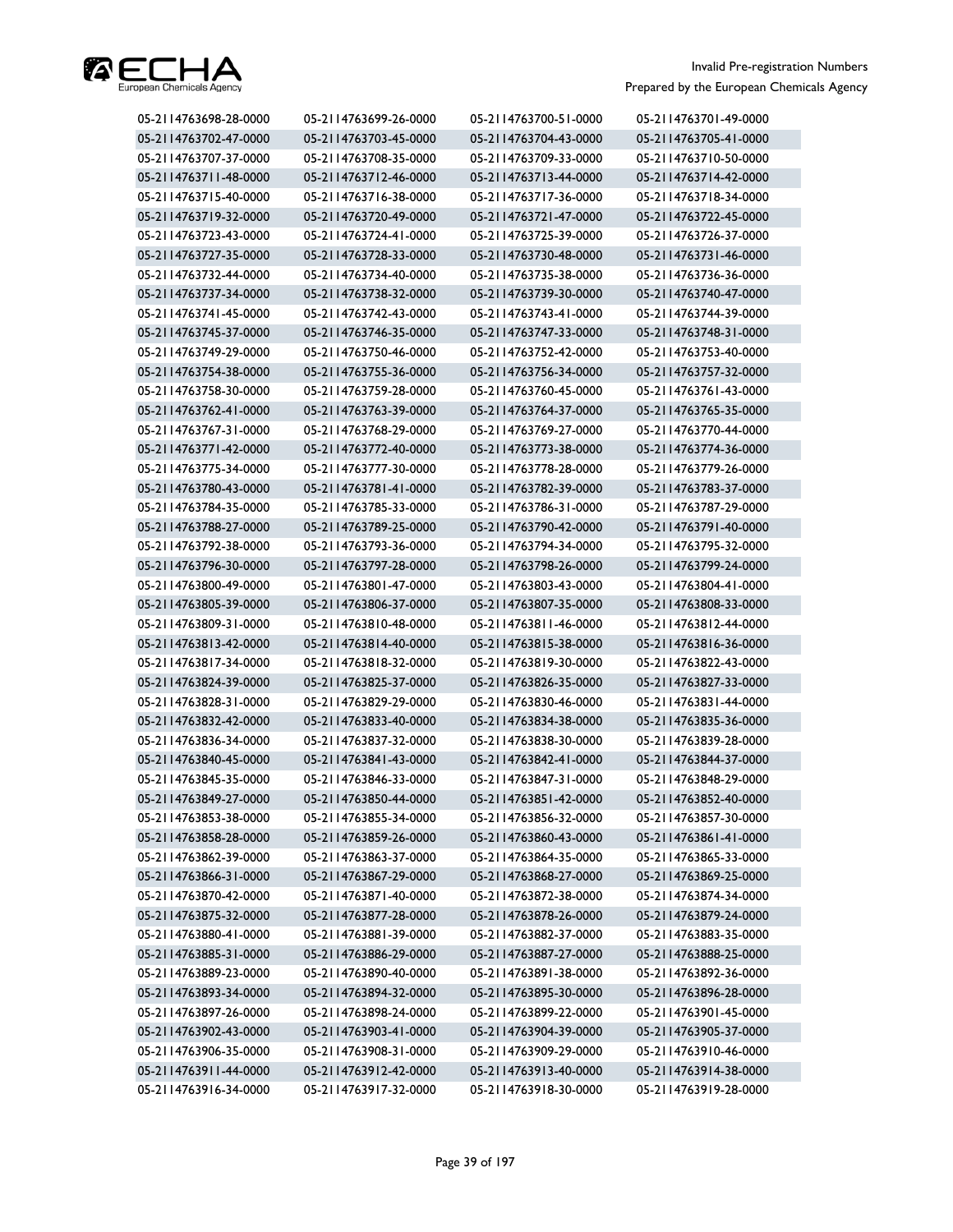

| 05-2114763698-28-0000 | 05-2114763699-26-0000 | 05-2114763700-51-0000 | 05-2114763701-49-0000 |
|-----------------------|-----------------------|-----------------------|-----------------------|
| 05-2114763702-47-0000 | 05-2114763703-45-0000 | 05-2114763704-43-0000 | 05-2114763705-41-0000 |
| 05-2114763707-37-0000 | 05-2114763708-35-0000 | 05-2114763709-33-0000 | 05-2114763710-50-0000 |
| 05-2114763711-48-0000 | 05-2114763712-46-0000 | 05-2114763713-44-0000 | 05-2114763714-42-0000 |
| 05-2114763715-40-0000 | 05-2114763716-38-0000 | 05-2114763717-36-0000 | 05-2114763718-34-0000 |
| 05-2114763719-32-0000 | 05-2114763720-49-0000 | 05-2114763721-47-0000 | 05-2114763722-45-0000 |
| 05-2114763723-43-0000 | 05-2114763724-41-0000 | 05-2114763725-39-0000 | 05-2114763726-37-0000 |
| 05-2114763727-35-0000 | 05-2114763728-33-0000 | 05-2114763730-48-0000 | 05-2114763731-46-0000 |
| 05-2114763732-44-0000 | 05-2114763734-40-0000 | 05-2114763735-38-0000 | 05-2114763736-36-0000 |
| 05-2114763737-34-0000 | 05-2114763738-32-0000 | 05-2114763739-30-0000 | 05-2114763740-47-0000 |
| 05-2114763741-45-0000 | 05-2114763742-43-0000 | 05-2114763743-41-0000 | 05-2114763744-39-0000 |
| 05-2114763745-37-0000 | 05-2114763746-35-0000 | 05-2114763747-33-0000 | 05-2114763748-31-0000 |
| 05-2114763749-29-0000 | 05-2114763750-46-0000 | 05-2114763752-42-0000 | 05-2114763753-40-0000 |
| 05-2114763754-38-0000 | 05-2114763755-36-0000 | 05-2114763756-34-0000 | 05-2114763757-32-0000 |
| 05-2114763758-30-0000 | 05-2114763759-28-0000 | 05-2114763760-45-0000 | 05-2114763761-43-0000 |
| 05-2114763762-41-0000 | 05-2114763763-39-0000 | 05-2114763764-37-0000 | 05-2114763765-35-0000 |
| 05-2114763767-31-0000 | 05-2114763768-29-0000 | 05-2114763769-27-0000 | 05-2114763770-44-0000 |
| 05-2114763771-42-0000 | 05-2114763772-40-0000 | 05-2114763773-38-0000 | 05-2114763774-36-0000 |
| 05-2114763775-34-0000 | 05-2114763777-30-0000 | 05-2114763778-28-0000 | 05-2114763779-26-0000 |
| 05-2114763780-43-0000 | 05-2114763781-41-0000 | 05-2114763782-39-0000 | 05-2114763783-37-0000 |
| 05-2114763784-35-0000 | 05-2114763785-33-0000 | 05-2114763786-31-0000 | 05-2114763787-29-0000 |
| 05-2114763788-27-0000 | 05-2114763789-25-0000 | 05-2114763790-42-0000 | 05-2114763791-40-0000 |
| 05-2114763792-38-0000 | 05-2114763793-36-0000 | 05-2114763794-34-0000 | 05-2114763795-32-0000 |
| 05-2114763796-30-0000 | 05-2114763797-28-0000 | 05-2114763798-26-0000 | 05-2114763799-24-0000 |
| 05-2114763800-49-0000 | 05-2114763801-47-0000 | 05-2114763803-43-0000 | 05-2114763804-41-0000 |
| 05-2114763805-39-0000 | 05-2114763806-37-0000 | 05-2114763807-35-0000 | 05-2114763808-33-0000 |
| 05-2114763809-31-0000 | 05-2114763810-48-0000 | 05-2114763811-46-0000 | 05-2114763812-44-0000 |
| 05-2114763813-42-0000 | 05-2114763814-40-0000 | 05-2114763815-38-0000 | 05-2114763816-36-0000 |
| 05-2114763817-34-0000 | 05-2114763818-32-0000 | 05-2114763819-30-0000 | 05-2114763822-43-0000 |
| 05-2114763824-39-0000 | 05-2114763825-37-0000 | 05-2114763826-35-0000 | 05-2114763827-33-0000 |
| 05-2114763828-31-0000 | 05-2114763829-29-0000 | 05-2114763830-46-0000 | 05-2114763831-44-0000 |
| 05-2114763832-42-0000 | 05-2114763833-40-0000 | 05-2114763834-38-0000 | 05-2114763835-36-0000 |
| 05-2114763836-34-0000 | 05-2114763837-32-0000 | 05-2114763838-30-0000 | 05-2114763839-28-0000 |
| 05-2114763840-45-0000 | 05-2114763841-43-0000 | 05-2114763842-41-0000 | 05-2114763844-37-0000 |
| 05-2114763845-35-0000 | 05-2114763846-33-0000 | 05-2114763847-31-0000 | 05-2114763848-29-0000 |
| 05-2114763849-27-0000 | 05-2114763850-44-0000 | 05-2114763851-42-0000 | 05-2114763852-40-0000 |
| 05-2114763853-38-0000 | 05-2114763855-34-0000 | 05-2114763856-32-0000 | 05-2114763857-30-0000 |
| 05-2114763858-28-0000 | 05-2114763859-26-0000 | 05-2114763860-43-0000 | 05-2114763861-41-0000 |
| 05-2114763862-39-0000 | 05-2114763863-37-0000 | 05-2114763864-35-0000 | 05-2114763865-33-0000 |
| 05-2114763866-31-0000 | 05-2114763867-29-0000 | 05-2114763868-27-0000 | 05-2114763869-25-0000 |
| 05-2114763870-42-0000 | 05-2114763871-40-0000 | 05-2114763872-38-0000 | 05-2114763874-34-0000 |
| 05-2114763875-32-0000 | 05-2114763877-28-0000 | 05-2114763878-26-0000 | 05-2114763879-24-0000 |
| 05-2114763880-41-0000 | 05-2114763881-39-0000 | 05-2114763882-37-0000 | 05-2114763883-35-0000 |
| 05-2114763885-31-0000 | 05-2114763886-29-0000 | 05-2114763887-27-0000 | 05-2114763888-25-0000 |
| 05-2114763889-23-0000 | 05-2114763890-40-0000 | 05-2114763891-38-0000 | 05-2114763892-36-0000 |
| 05-2114763893-34-0000 | 05-2114763894-32-0000 | 05-2114763895-30-0000 | 05-2114763896-28-0000 |
| 05-2114763897-26-0000 | 05-2114763898-24-0000 | 05-2114763899-22-0000 | 05-2114763901-45-0000 |
| 05-2114763902-43-0000 | 05-2114763903-41-0000 | 05-2114763904-39-0000 | 05-2114763905-37-0000 |
| 05-2114763906-35-0000 | 05-2114763908-31-0000 | 05-2114763909-29-0000 | 05-2114763910-46-0000 |
| 05-2114763911-44-0000 | 05-2114763912-42-0000 | 05-2114763913-40-0000 | 05-2114763914-38-0000 |
| 05-2114763916-34-0000 | 05-2114763917-32-0000 | 05-2114763918-30-0000 | 05-2114763919-28-0000 |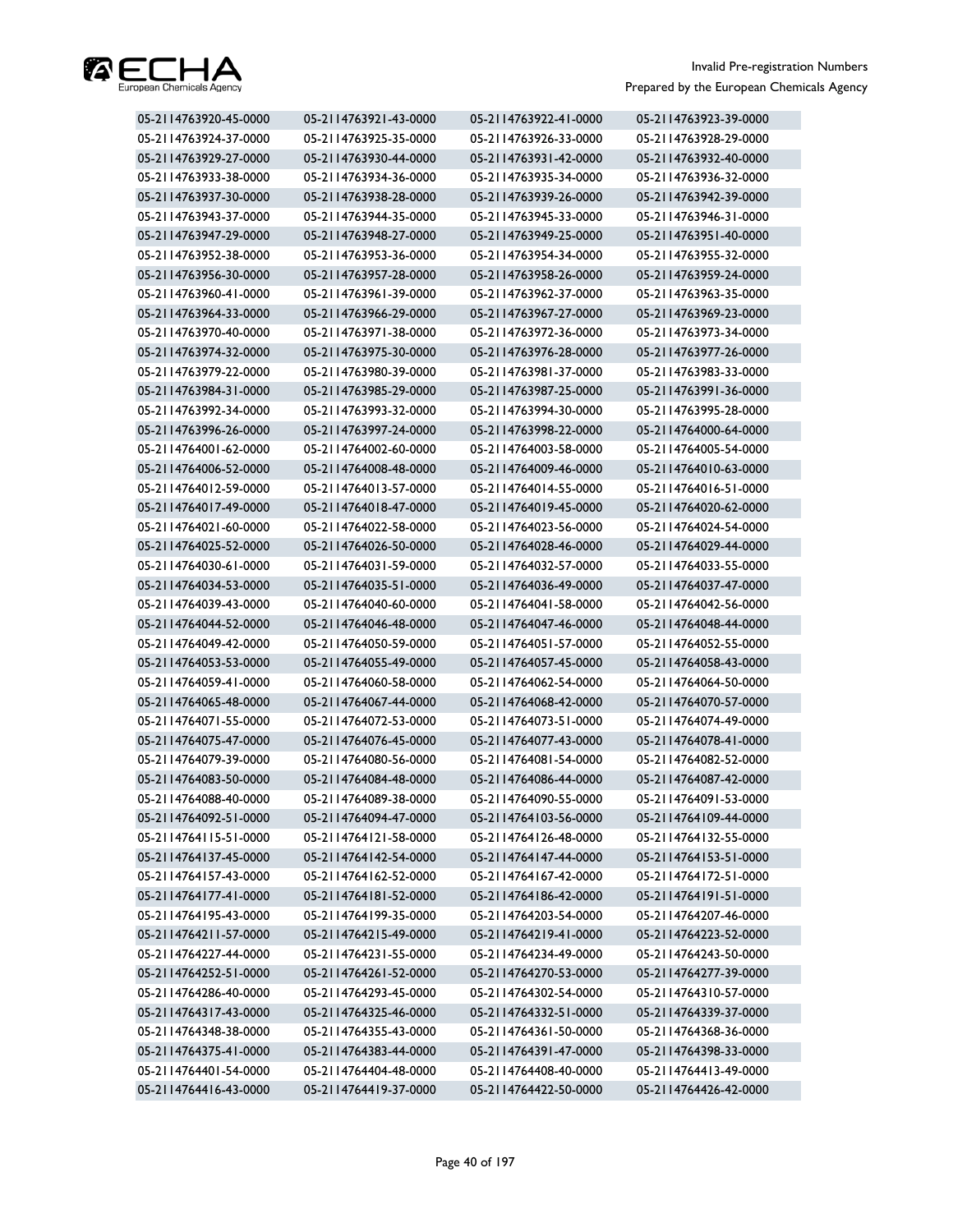

| 05-2114763920-45-0000 | 05-2114763921-43-0000 | 05-2114763922-41-0000 | 05-2114763923-39-0000 |
|-----------------------|-----------------------|-----------------------|-----------------------|
| 05-2114763924-37-0000 | 05-2114763925-35-0000 | 05-2114763926-33-0000 | 05-2114763928-29-0000 |
| 05-2114763929-27-0000 | 05-2114763930-44-0000 | 05-2114763931-42-0000 | 05-2114763932-40-0000 |
| 05-2114763933-38-0000 | 05-2114763934-36-0000 | 05-2114763935-34-0000 | 05-2114763936-32-0000 |
| 05-2114763937-30-0000 | 05-2114763938-28-0000 | 05-2114763939-26-0000 | 05-2114763942-39-0000 |
| 05-2114763943-37-0000 | 05-2114763944-35-0000 | 05-2114763945-33-0000 | 05-2114763946-31-0000 |
| 05-2114763947-29-0000 | 05-2114763948-27-0000 | 05-2114763949-25-0000 | 05-2114763951-40-0000 |
| 05-2114763952-38-0000 | 05-2114763953-36-0000 | 05-2114763954-34-0000 | 05-2114763955-32-0000 |
| 05-2114763956-30-0000 | 05-2114763957-28-0000 | 05-2114763958-26-0000 | 05-2114763959-24-0000 |
| 05-2114763960-41-0000 | 05-2114763961-39-0000 | 05-2114763962-37-0000 | 05-2114763963-35-0000 |
| 05-2114763964-33-0000 | 05-2114763966-29-0000 | 05-2114763967-27-0000 | 05-2114763969-23-0000 |
| 05-2114763970-40-0000 | 05-2114763971-38-0000 | 05-2114763972-36-0000 | 05-2114763973-34-0000 |
| 05-2114763974-32-0000 | 05-2114763975-30-0000 | 05-2114763976-28-0000 | 05-2114763977-26-0000 |
| 05-2114763979-22-0000 | 05-2114763980-39-0000 | 05-2114763981-37-0000 | 05-2114763983-33-0000 |
| 05-2114763984-31-0000 | 05-2114763985-29-0000 | 05-2114763987-25-0000 | 05-2114763991-36-0000 |
| 05-2114763992-34-0000 | 05-2114763993-32-0000 | 05-2114763994-30-0000 | 05-2114763995-28-0000 |
| 05-2114763996-26-0000 | 05-2114763997-24-0000 | 05-2114763998-22-0000 | 05-2114764000-64-0000 |
| 05-2114764001-62-0000 | 05-2114764002-60-0000 | 05-2114764003-58-0000 | 05-2114764005-54-0000 |
| 05-2114764006-52-0000 | 05-2114764008-48-0000 | 05-2114764009-46-0000 | 05-2114764010-63-0000 |
| 05-2114764012-59-0000 | 05-2114764013-57-0000 | 05-2114764014-55-0000 | 05-2114764016-51-0000 |
| 05-2114764017-49-0000 | 05-2114764018-47-0000 | 05-2114764019-45-0000 | 05-2114764020-62-0000 |
| 05-2114764021-60-0000 | 05-2114764022-58-0000 | 05-2114764023-56-0000 | 05-2114764024-54-0000 |
| 05-2114764025-52-0000 | 05-2114764026-50-0000 | 05-2114764028-46-0000 | 05-2114764029-44-0000 |
| 05-2114764030-61-0000 | 05-2114764031-59-0000 | 05-2114764032-57-0000 | 05-2114764033-55-0000 |
| 05-2114764034-53-0000 | 05-2114764035-51-0000 | 05-2114764036-49-0000 | 05-2114764037-47-0000 |
| 05-2114764039-43-0000 | 05-2114764040-60-0000 | 05-2114764041-58-0000 | 05-2114764042-56-0000 |
| 05-2114764044-52-0000 | 05-2114764046-48-0000 | 05-2114764047-46-0000 | 05-2114764048-44-0000 |
| 05-2114764049-42-0000 | 05-2114764050-59-0000 | 05-2114764051-57-0000 | 05-2114764052-55-0000 |
| 05-2114764053-53-0000 | 05-2114764055-49-0000 | 05-2114764057-45-0000 | 05-2114764058-43-0000 |
| 05-2114764059-41-0000 | 05-2114764060-58-0000 | 05-2114764062-54-0000 | 05-2114764064-50-0000 |
| 05-2114764065-48-0000 | 05-2114764067-44-0000 | 05-2114764068-42-0000 | 05-2114764070-57-0000 |
| 05-2114764071-55-0000 | 05-2114764072-53-0000 | 05-2114764073-51-0000 | 05-2114764074-49-0000 |
| 05-2114764075-47-0000 | 05-2114764076-45-0000 | 05-2114764077-43-0000 | 05-2114764078-41-0000 |
| 05-2114764079-39-0000 | 05-2114764080-56-0000 | 05-2114764081-54-0000 | 05-2114764082-52-0000 |
| 05-2114764083-50-0000 | 05-2114764084-48-0000 | 05-2114764086-44-0000 | 05-2114764087-42-0000 |
| 05-2114764088-40-0000 | 05-2114764089-38-0000 | 05-2114764090-55-0000 | 05-2114764091-53-0000 |
| 05-2114764092-51-0000 | 05-2114764094-47-0000 | 05-2114764103-56-0000 | 05-2114764109-44-0000 |
| 05-2114764115-51-0000 | 05-2114764121-58-0000 | 05-2114764126-48-0000 | 05-2114764132-55-0000 |
| 05-2114764137-45-0000 | 05-2114764142-54-0000 | 05-2114764147-44-0000 | 05-2114764153-51-0000 |
| 05-2114764157-43-0000 | 05-2114764162-52-0000 | 05-2114764167-42-0000 | 05-2114764172-51-0000 |
| 05-2114764177-41-0000 | 05-2114764181-52-0000 | 05-2114764186-42-0000 | 05-2114764191-51-0000 |
| 05-2114764195-43-0000 | 05-2114764199-35-0000 | 05-2114764203-54-0000 | 05-2114764207-46-0000 |
| 05-2114764211-57-0000 | 05-2114764215-49-0000 | 05-2114764219-41-0000 | 05-2114764223-52-0000 |
| 05-2114764227-44-0000 | 05-2114764231-55-0000 | 05-2114764234-49-0000 | 05-2114764243-50-0000 |
| 05-2114764252-51-0000 | 05-2114764261-52-0000 | 05-2114764270-53-0000 | 05-2114764277-39-0000 |
| 05-2114764286-40-0000 | 05-2114764293-45-0000 | 05-2114764302-54-0000 | 05-2114764310-57-0000 |
| 05-2114764317-43-0000 | 05-2114764325-46-0000 | 05-2114764332-51-0000 | 05-2114764339-37-0000 |
| 05-2114764348-38-0000 | 05-2114764355-43-0000 | 05-2114764361-50-0000 | 05-2114764368-36-0000 |
| 05-2114764375-41-0000 | 05-2114764383-44-0000 | 05-2114764391-47-0000 | 05-2114764398-33-0000 |
| 05-2114764401-54-0000 | 05-2114764404-48-0000 | 05-2114764408-40-0000 | 05-2114764413-49-0000 |
| 05-2114764416-43-0000 | 05-2114764419-37-0000 | 05-2114764422-50-0000 | 05-2114764426-42-0000 |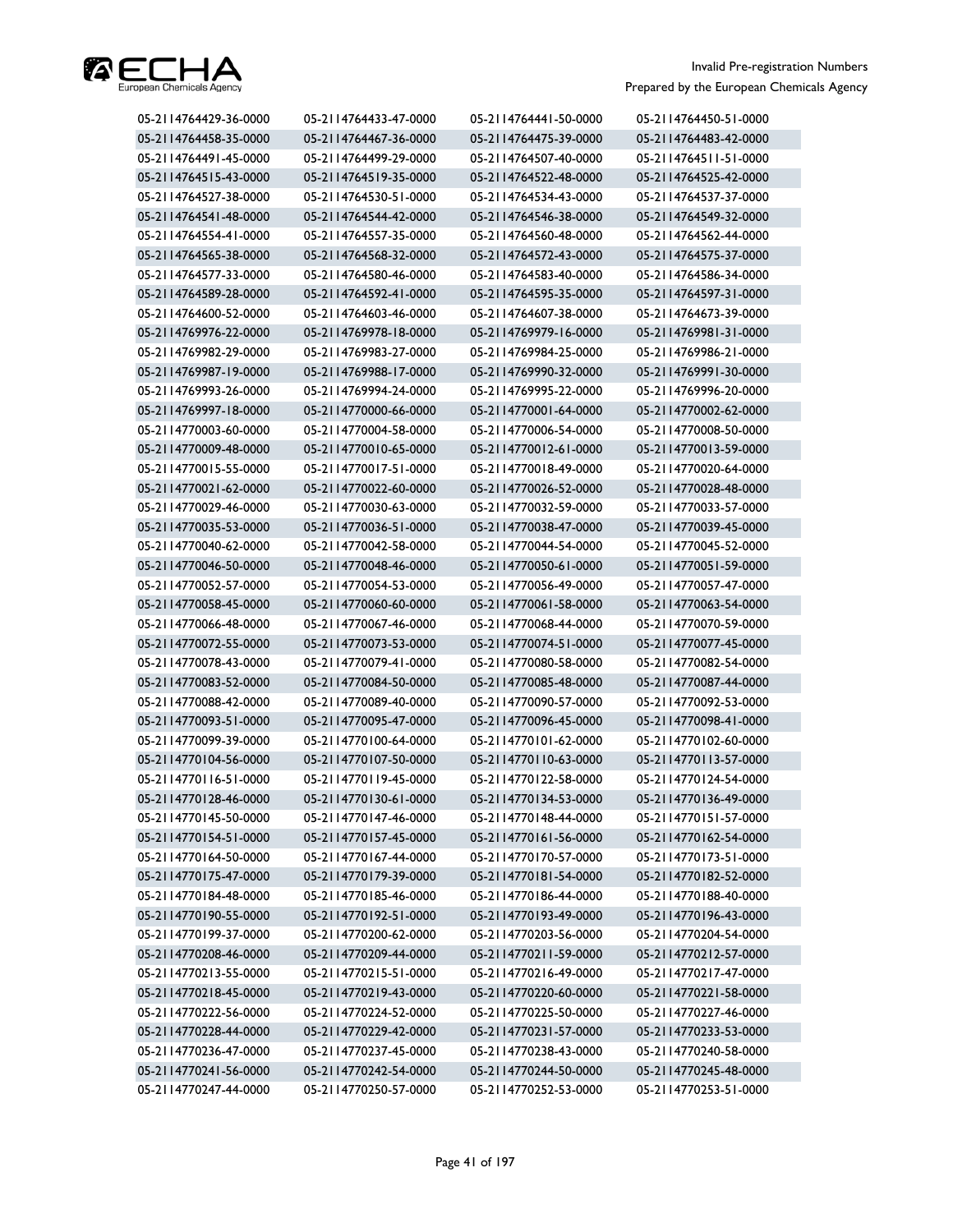

| 05-2114764429-36-0000 | 05-2114764433-47-0000 | 05-2114764441-50-0000 | 05-2114764450-51-0000 |
|-----------------------|-----------------------|-----------------------|-----------------------|
| 05-2114764458-35-0000 | 05-2114764467-36-0000 | 05-2114764475-39-0000 | 05-2114764483-42-0000 |
| 05-2114764491-45-0000 | 05-2114764499-29-0000 | 05-2114764507-40-0000 | 05-2114764511-51-0000 |
| 05-2114764515-43-0000 | 05-2114764519-35-0000 | 05-2114764522-48-0000 | 05-2114764525-42-0000 |
| 05-2114764527-38-0000 | 05-2114764530-51-0000 | 05-2114764534-43-0000 | 05-2114764537-37-0000 |
| 05-2114764541-48-0000 | 05-2114764544-42-0000 | 05-2114764546-38-0000 | 05-2114764549-32-0000 |
| 05-2114764554-41-0000 | 05-2114764557-35-0000 | 05-2114764560-48-0000 | 05-2114764562-44-0000 |
| 05-2114764565-38-0000 | 05-2114764568-32-0000 | 05-2114764572-43-0000 | 05-2114764575-37-0000 |
| 05-2114764577-33-0000 | 05-2114764580-46-0000 | 05-2114764583-40-0000 | 05-2114764586-34-0000 |
| 05-2114764589-28-0000 | 05-2114764592-41-0000 | 05-2114764595-35-0000 | 05-2114764597-31-0000 |
| 05-2114764600-52-0000 | 05-2114764603-46-0000 | 05-2114764607-38-0000 | 05-2114764673-39-0000 |
| 05-2114769976-22-0000 | 05-2114769978-18-0000 | 05-2114769979-16-0000 | 05-2114769981-31-0000 |
| 05-2114769982-29-0000 | 05-2114769983-27-0000 | 05-2114769984-25-0000 | 05-2114769986-21-0000 |
| 05-2114769987-19-0000 | 05-2114769988-17-0000 | 05-2114769990-32-0000 | 05-2114769991-30-0000 |
| 05-2114769993-26-0000 | 05-2114769994-24-0000 | 05-2114769995-22-0000 | 05-2114769996-20-0000 |
| 05-2114769997-18-0000 | 05-2114770000-66-0000 | 05-2114770001-64-0000 | 05-2114770002-62-0000 |
| 05-2114770003-60-0000 | 05-2114770004-58-0000 | 05-2114770006-54-0000 | 05-2114770008-50-0000 |
| 05-2114770009-48-0000 | 05-2114770010-65-0000 | 05-2114770012-61-0000 | 05-2114770013-59-0000 |
| 05-2114770015-55-0000 | 05-2114770017-51-0000 | 05-2114770018-49-0000 | 05-2114770020-64-0000 |
| 05-2114770021-62-0000 | 05-2114770022-60-0000 | 05-2114770026-52-0000 | 05-2114770028-48-0000 |
| 05-2114770029-46-0000 | 05-2114770030-63-0000 | 05-2114770032-59-0000 | 05-2114770033-57-0000 |
| 05-2114770035-53-0000 | 05-2114770036-51-0000 | 05-2114770038-47-0000 | 05-2114770039-45-0000 |
| 05-2114770040-62-0000 | 05-2114770042-58-0000 | 05-2114770044-54-0000 | 05-2114770045-52-0000 |
| 05-2114770046-50-0000 | 05-2114770048-46-0000 | 05-2114770050-61-0000 | 05-2114770051-59-0000 |
| 05-2114770052-57-0000 | 05-2114770054-53-0000 | 05-2114770056-49-0000 | 05-2114770057-47-0000 |
| 05-2114770058-45-0000 | 05-2114770060-60-0000 | 05-2114770061-58-0000 | 05-2114770063-54-0000 |
| 05-2114770066-48-0000 | 05-2114770067-46-0000 | 05-2114770068-44-0000 | 05-2114770070-59-0000 |
| 05-2114770072-55-0000 | 05-2114770073-53-0000 | 05-2114770074-51-0000 | 05-2114770077-45-0000 |
| 05-2114770078-43-0000 | 05-2114770079-41-0000 | 05-2114770080-58-0000 | 05-2114770082-54-0000 |
| 05-2114770083-52-0000 | 05-2114770084-50-0000 | 05-2114770085-48-0000 | 05-2114770087-44-0000 |
| 05-2114770088-42-0000 | 05-2114770089-40-0000 | 05-2114770090-57-0000 | 05-2114770092-53-0000 |
| 05-2114770093-51-0000 | 05-2114770095-47-0000 | 05-2114770096-45-0000 | 05-2114770098-41-0000 |
| 05-2114770099-39-0000 | 05-2114770100-64-0000 | 05-2114770101-62-0000 | 05-2114770102-60-0000 |
| 05-2114770104-56-0000 | 05-2114770107-50-0000 | 05-2114770110-63-0000 | 05-2114770113-57-0000 |
| 05-2114770116-51-0000 | 05-2114770119-45-0000 | 05-2114770122-58-0000 | 05-2114770124-54-0000 |
| 05-2114770128-46-0000 | 05-2114770130-61-0000 | 05-2114770134-53-0000 | 05-2114770136-49-0000 |
| 05-2114770145-50-0000 | 05-2114770147-46-0000 | 05-2114770148-44-0000 | 05-2114770151-57-0000 |
| 05-2114770154-51-0000 | 05-2114770157-45-0000 | 05-2114770161-56-0000 | 05-2114770162-54-0000 |
| 05-2114770164-50-0000 | 05-2114770167-44-0000 | 05-2114770170-57-0000 | 05-2114770173-51-0000 |
| 05-2114770175-47-0000 | 05-2114770179-39-0000 | 05-2114770181-54-0000 | 05-2114770182-52-0000 |
| 05-2114770184-48-0000 | 05-2114770185-46-0000 | 05-2114770186-44-0000 | 05-2114770188-40-0000 |
| 05-2114770190-55-0000 | 05-2114770192-51-0000 | 05-2114770193-49-0000 | 05-2114770196-43-0000 |
| 05-2114770199-37-0000 | 05-2114770200-62-0000 | 05-2114770203-56-0000 | 05-2114770204-54-0000 |
| 05-2114770208-46-0000 | 05-2114770209-44-0000 | 05-2114770211-59-0000 | 05-2114770212-57-0000 |
| 05-2114770213-55-0000 | 05-2114770215-51-0000 | 05-2114770216-49-0000 | 05-2114770217-47-0000 |
| 05-2114770218-45-0000 | 05-2114770219-43-0000 | 05-2114770220-60-0000 | 05-2114770221-58-0000 |
| 05-2114770222-56-0000 | 05-2114770224-52-0000 | 05-2114770225-50-0000 | 05-2114770227-46-0000 |
| 05-2114770228-44-0000 | 05-2114770229-42-0000 | 05-2114770231-57-0000 | 05-2114770233-53-0000 |
| 05-2114770236-47-0000 | 05-2114770237-45-0000 | 05-2114770238-43-0000 | 05-2114770240-58-0000 |
| 05-2114770241-56-0000 | 05-2114770242-54-0000 | 05-2114770244-50-0000 | 05-2114770245-48-0000 |
| 05-2114770247-44-0000 | 05-2114770250-57-0000 | 05-2114770252-53-0000 | 05-2114770253-51-0000 |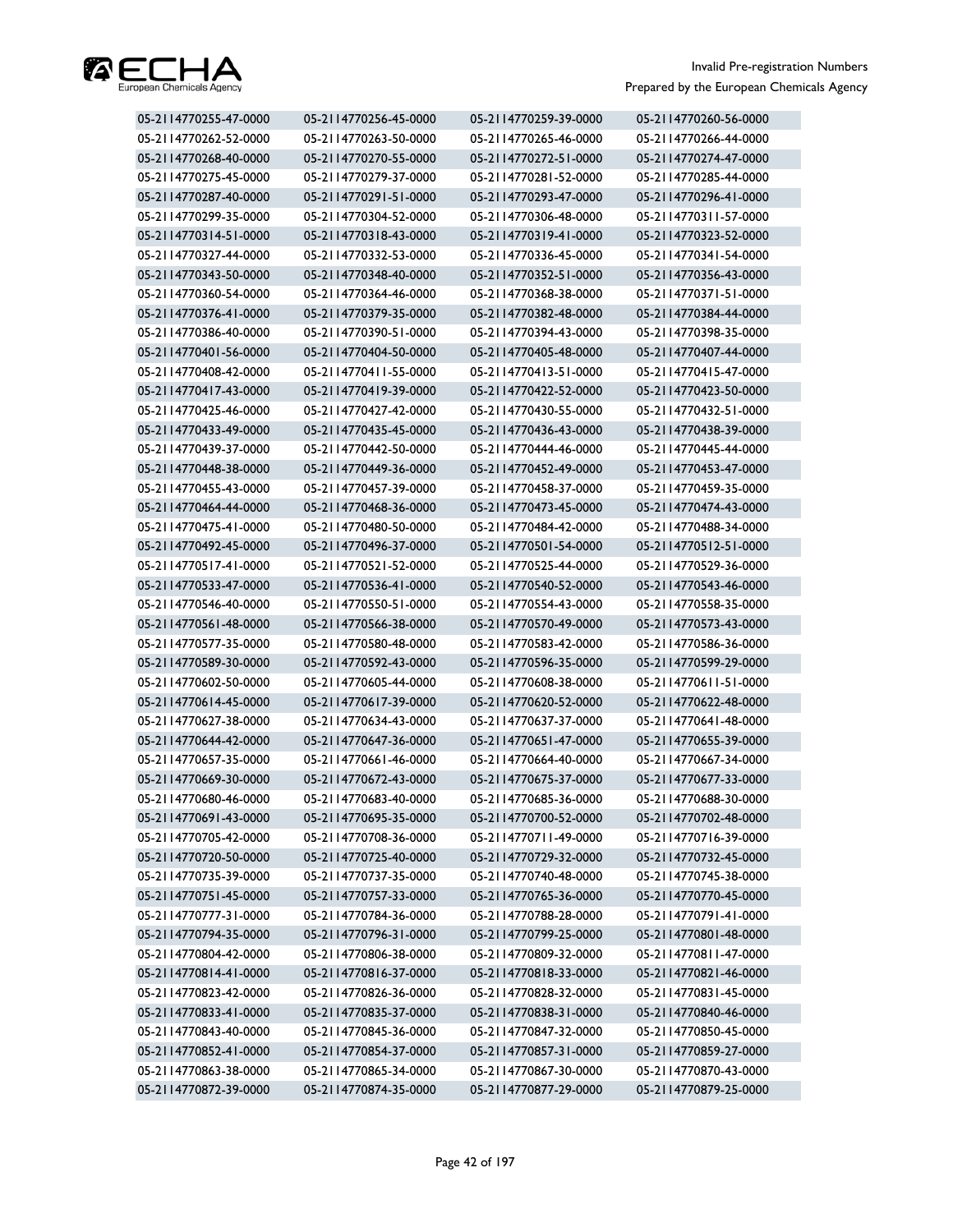

| 05-2114770255-47-0000 | 05-2114770256-45-0000 | 05-2114770259-39-0000 | 05-2114770260-56-0000 |
|-----------------------|-----------------------|-----------------------|-----------------------|
| 05-2114770262-52-0000 | 05-2114770263-50-0000 | 05-2114770265-46-0000 | 05-2114770266-44-0000 |
| 05-2114770268-40-0000 | 05-2114770270-55-0000 | 05-2114770272-51-0000 | 05-2114770274-47-0000 |
| 05-2114770275-45-0000 | 05-2114770279-37-0000 | 05-2114770281-52-0000 | 05-2114770285-44-0000 |
| 05-2114770287-40-0000 | 05-2114770291-51-0000 | 05-2114770293-47-0000 | 05-2114770296-41-0000 |
| 05-2114770299-35-0000 | 05-2114770304-52-0000 | 05-2114770306-48-0000 | 05-2114770311-57-0000 |
| 05-2114770314-51-0000 | 05-2114770318-43-0000 | 05-2114770319-41-0000 | 05-2114770323-52-0000 |
| 05-2114770327-44-0000 | 05-2114770332-53-0000 | 05-2114770336-45-0000 | 05-2114770341-54-0000 |
| 05-2114770343-50-0000 | 05-2114770348-40-0000 | 05-2114770352-51-0000 | 05-2114770356-43-0000 |
| 05-2114770360-54-0000 | 05-2114770364-46-0000 | 05-2114770368-38-0000 | 05-2114770371-51-0000 |
| 05-2114770376-41-0000 | 05-2114770379-35-0000 | 05-2114770382-48-0000 | 05-2114770384-44-0000 |
| 05-2114770386-40-0000 | 05-2114770390-51-0000 | 05-2114770394-43-0000 | 05-2114770398-35-0000 |
| 05-2114770401-56-0000 | 05-2114770404-50-0000 | 05-2114770405-48-0000 | 05-2114770407-44-0000 |
| 05-2114770408-42-0000 | 05-2114770411-55-0000 | 05-2114770413-51-0000 | 05-2114770415-47-0000 |
| 05-2114770417-43-0000 | 05-2114770419-39-0000 | 05-2114770422-52-0000 | 05-2114770423-50-0000 |
| 05-2114770425-46-0000 | 05-2114770427-42-0000 | 05-2114770430-55-0000 | 05-2114770432-51-0000 |
| 05-2114770433-49-0000 | 05-2114770435-45-0000 | 05-2114770436-43-0000 | 05-2114770438-39-0000 |
| 05-2114770439-37-0000 | 05-2114770442-50-0000 | 05-2114770444-46-0000 | 05-2114770445-44-0000 |
| 05-2114770448-38-0000 | 05-2114770449-36-0000 | 05-2114770452-49-0000 | 05-2114770453-47-0000 |
| 05-2114770455-43-0000 | 05-2114770457-39-0000 | 05-2114770458-37-0000 | 05-2114770459-35-0000 |
| 05-2114770464-44-0000 | 05-2114770468-36-0000 | 05-2114770473-45-0000 | 05-2114770474-43-0000 |
| 05-2114770475-41-0000 | 05-2114770480-50-0000 | 05-2114770484-42-0000 | 05-2114770488-34-0000 |
| 05-2114770492-45-0000 | 05-2114770496-37-0000 | 05-2114770501-54-0000 | 05-2114770512-51-0000 |
| 05-2114770517-41-0000 | 05-2114770521-52-0000 | 05-2114770525-44-0000 | 05-2114770529-36-0000 |
| 05-2114770533-47-0000 | 05-2114770536-41-0000 | 05-2114770540-52-0000 | 05-2114770543-46-0000 |
| 05-2114770546-40-0000 | 05-2114770550-51-0000 | 05-2114770554-43-0000 | 05-2114770558-35-0000 |
| 05-2114770561-48-0000 | 05-2114770566-38-0000 | 05-2114770570-49-0000 | 05-2114770573-43-0000 |
| 05-2114770577-35-0000 | 05-2114770580-48-0000 | 05-2114770583-42-0000 | 05-2114770586-36-0000 |
| 05-2114770589-30-0000 | 05-2114770592-43-0000 | 05-2114770596-35-0000 | 05-2114770599-29-0000 |
| 05-2114770602-50-0000 | 05-2114770605-44-0000 | 05-2114770608-38-0000 | 05-2114770611-51-0000 |
| 05-2114770614-45-0000 | 05-2114770617-39-0000 | 05-2114770620-52-0000 | 05-2114770622-48-0000 |
| 05-2114770627-38-0000 | 05-2114770634-43-0000 | 05-2114770637-37-0000 | 05-2114770641-48-0000 |
| 05-2114770644-42-0000 | 05-2114770647-36-0000 | 05-2114770651-47-0000 | 05-2114770655-39-0000 |
| 05-2114770657-35-0000 | 05-2114770661-46-0000 | 05-2114770664-40-0000 | 05-2114770667-34-0000 |
| 05-2114770669-30-0000 | 05-2114770672-43-0000 | 05-2114770675-37-0000 | 05-2114770677-33-0000 |
| 05-2114770680-46-0000 | 05-2114770683-40-0000 | 05-2114770685-36-0000 | 05-2114770688-30-0000 |
| 05-2114770691-43-0000 | 05-2114770695-35-0000 | 05-2114770700-52-0000 | 05-2114770702-48-0000 |
| 05-2114770705-42-0000 | 05-2114770708-36-0000 | 05-2114770711-49-0000 | 05-2114770716-39-0000 |
| 05-2114770720-50-0000 | 05-2114770725-40-0000 | 05-2114770729-32-0000 | 05-2114770732-45-0000 |
| 05-2114770735-39-0000 | 05-2114770737-35-0000 | 05-2114770740-48-0000 | 05-2114770745-38-0000 |
| 05-2114770751-45-0000 | 05-2114770757-33-0000 | 05-2114770765-36-0000 | 05-2114770770-45-0000 |
| 05-2114770777-31-0000 | 05-2114770784-36-0000 | 05-2114770788-28-0000 | 05-2114770791-41-0000 |
| 05-2114770794-35-0000 | 05-2114770796-31-0000 | 05-2114770799-25-0000 | 05-2114770801-48-0000 |
| 05-2114770804-42-0000 | 05-2114770806-38-0000 | 05-2114770809-32-0000 | 05-2114770811-47-0000 |
| 05-2114770814-41-0000 | 05-2114770816-37-0000 | 05-2114770818-33-0000 | 05-2114770821-46-0000 |
| 05-2114770823-42-0000 | 05-2114770826-36-0000 | 05-2114770828-32-0000 | 05-2114770831-45-0000 |
| 05-2114770833-41-0000 | 05-2114770835-37-0000 | 05-2114770838-31-0000 | 05-2114770840-46-0000 |
| 05-2114770843-40-0000 | 05-2114770845-36-0000 | 05-2114770847-32-0000 | 05-2114770850-45-0000 |
| 05-2114770852-41-0000 | 05-2114770854-37-0000 | 05-2114770857-31-0000 | 05-2114770859-27-0000 |
| 05-2114770863-38-0000 | 05-2114770865-34-0000 | 05-2114770867-30-0000 | 05-2114770870-43-0000 |
| 05-2114770872-39-0000 | 05-2114770874-35-0000 | 05-2114770877-29-0000 | 05-2114770879-25-0000 |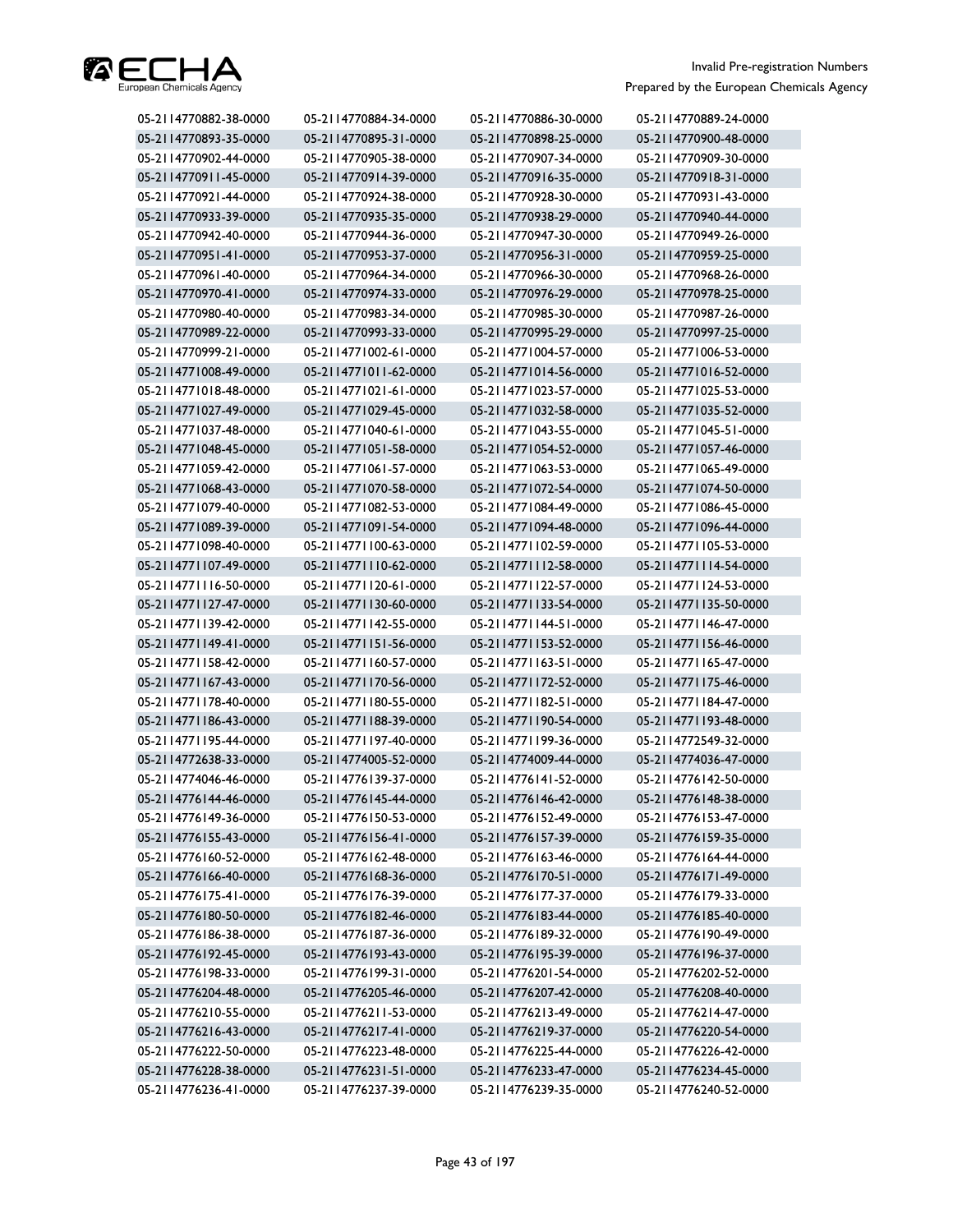

| 05-2114770882-38-0000 | 05-2114770884-34-0000 | 05-2114770886-30-0000 | 05-2114770889-24-0000 |
|-----------------------|-----------------------|-----------------------|-----------------------|
| 05-2114770893-35-0000 | 05-2114770895-31-0000 | 05-2114770898-25-0000 | 05-2114770900-48-0000 |
| 05-2114770902-44-0000 | 05-2114770905-38-0000 | 05-2114770907-34-0000 | 05-2114770909-30-0000 |
| 05-2114770911-45-0000 | 05-2114770914-39-0000 | 05-2114770916-35-0000 | 05-2114770918-31-0000 |
| 05-2114770921-44-0000 | 05-2114770924-38-0000 | 05-2114770928-30-0000 | 05-2114770931-43-0000 |
| 05-2114770933-39-0000 | 05-2114770935-35-0000 | 05-2114770938-29-0000 | 05-2114770940-44-0000 |
| 05-2114770942-40-0000 | 05-2114770944-36-0000 | 05-2114770947-30-0000 | 05-2114770949-26-0000 |
| 05-2114770951-41-0000 | 05-2114770953-37-0000 | 05-2114770956-31-0000 | 05-2114770959-25-0000 |
| 05-2114770961-40-0000 | 05-2114770964-34-0000 | 05-2114770966-30-0000 | 05-2114770968-26-0000 |
| 05-2114770970-41-0000 | 05-2114770974-33-0000 | 05-2114770976-29-0000 | 05-2114770978-25-0000 |
| 05-2114770980-40-0000 | 05-2114770983-34-0000 | 05-2114770985-30-0000 | 05-2114770987-26-0000 |
| 05-2114770989-22-0000 | 05-2114770993-33-0000 | 05-2114770995-29-0000 | 05-2114770997-25-0000 |
| 05-2114770999-21-0000 | 05-2114771002-61-0000 | 05-2114771004-57-0000 | 05-2114771006-53-0000 |
| 05-2114771008-49-0000 | 05-2114771011-62-0000 | 05-2114771014-56-0000 | 05-2114771016-52-0000 |
| 05-2114771018-48-0000 | 05-2114771021-61-0000 | 05-2114771023-57-0000 | 05-2114771025-53-0000 |
| 05-2114771027-49-0000 | 05-2114771029-45-0000 | 05-2114771032-58-0000 | 05-2114771035-52-0000 |
| 05-2114771037-48-0000 | 05-2114771040-61-0000 | 05-2114771043-55-0000 | 05-2114771045-51-0000 |
| 05-2114771048-45-0000 | 05-2114771051-58-0000 | 05-2114771054-52-0000 | 05-2114771057-46-0000 |
| 05-2114771059-42-0000 | 05-2114771061-57-0000 | 05-2114771063-53-0000 | 05-2114771065-49-0000 |
| 05-2114771068-43-0000 | 05-2114771070-58-0000 | 05-2114771072-54-0000 | 05-2114771074-50-0000 |
| 05-2114771079-40-0000 | 05-2114771082-53-0000 | 05-2114771084-49-0000 | 05-2114771086-45-0000 |
| 05-2114771089-39-0000 | 05-2114771091-54-0000 | 05-2114771094-48-0000 | 05-2114771096-44-0000 |
| 05-2114771098-40-0000 | 05-2114771100-63-0000 | 05-2114771102-59-0000 | 05-2114771105-53-0000 |
| 05-2114771107-49-0000 | 05-2114771110-62-0000 | 05-2114771112-58-0000 | 05-2114771114-54-0000 |
| 05-2114771116-50-0000 | 05-2114771120-61-0000 | 05-2114771122-57-0000 | 05-2114771124-53-0000 |
| 05-2114771127-47-0000 | 05-2114771130-60-0000 | 05-2114771133-54-0000 | 05-2114771135-50-0000 |
| 05-2114771139-42-0000 | 05-2114771142-55-0000 | 05-2114771144-51-0000 | 05-2114771146-47-0000 |
| 05-2114771149-41-0000 | 05-2114771151-56-0000 | 05-2114771153-52-0000 | 05-2114771156-46-0000 |
| 05-2114771158-42-0000 | 05-2114771160-57-0000 | 05-2114771163-51-0000 | 05-2114771165-47-0000 |
| 05-2114771167-43-0000 | 05-2114771170-56-0000 | 05-2114771172-52-0000 | 05-2114771175-46-0000 |
| 05-2114771178-40-0000 | 05-2114771180-55-0000 | 05-2114771182-51-0000 | 05-2114771184-47-0000 |
| 05-2114771186-43-0000 | 05-2114771188-39-0000 | 05-2114771190-54-0000 | 05-2114771193-48-0000 |
| 05-2114771195-44-0000 | 05-2114771197-40-0000 | 05-2114771199-36-0000 | 05-2114772549-32-0000 |
| 05-2114772638-33-0000 | 05-2114774005-52-0000 | 05-2114774009-44-0000 | 05-2114774036-47-0000 |
| 05-2114774046-46-0000 | 05-2114776139-37-0000 | 05-2114776141-52-0000 | 05-2114776142-50-0000 |
| 05-2114776144-46-0000 | 05-2114776145-44-0000 | 05-2114776146-42-0000 | 05-2114776148-38-0000 |
| 05-2114776149-36-0000 | 05-2114776150-53-0000 | 05-2114776152-49-0000 | 05-2114776153-47-0000 |
| 05-2114776155-43-0000 | 05-2114776156-41-0000 | 05-2114776157-39-0000 | 05-2114776159-35-0000 |
| 05-2114776160-52-0000 | 05-2114776162-48-0000 | 05-2114776163-46-0000 | 05-2114776164-44-0000 |
| 05-2114776166-40-0000 | 05-2114776168-36-0000 | 05-2114776170-51-0000 | 05-2114776171-49-0000 |
| 05-2114776175-41-0000 | 05-2114776176-39-0000 | 05-2114776177-37-0000 | 05-2114776179-33-0000 |
| 05-2114776180-50-0000 | 05-2114776182-46-0000 | 05-2114776183-44-0000 | 05-2114776185-40-0000 |
| 05-2114776186-38-0000 | 05-2114776187-36-0000 | 05-2114776189-32-0000 | 05-2114776190-49-0000 |
| 05-2114776192-45-0000 | 05-2114776193-43-0000 | 05-2114776195-39-0000 | 05-2114776196-37-0000 |
| 05-2114776198-33-0000 | 05-2114776199-31-0000 | 05-2114776201-54-0000 | 05-2114776202-52-0000 |
| 05-2114776204-48-0000 | 05-2114776205-46-0000 | 05-2114776207-42-0000 | 05-2114776208-40-0000 |
| 05-2114776210-55-0000 | 05-2114776211-53-0000 | 05-2114776213-49-0000 | 05-2114776214-47-0000 |
| 05-2114776216-43-0000 | 05-2114776217-41-0000 | 05-2114776219-37-0000 | 05-2114776220-54-0000 |
| 05-2114776222-50-0000 | 05-2114776223-48-0000 | 05-2114776225-44-0000 | 05-2114776226-42-0000 |
| 05-2114776228-38-0000 | 05-2114776231-51-0000 | 05-2114776233-47-0000 | 05-2114776234-45-0000 |
| 05-2114776236-41-0000 | 05-2114776237-39-0000 | 05-2114776239-35-0000 | 05-2114776240-52-0000 |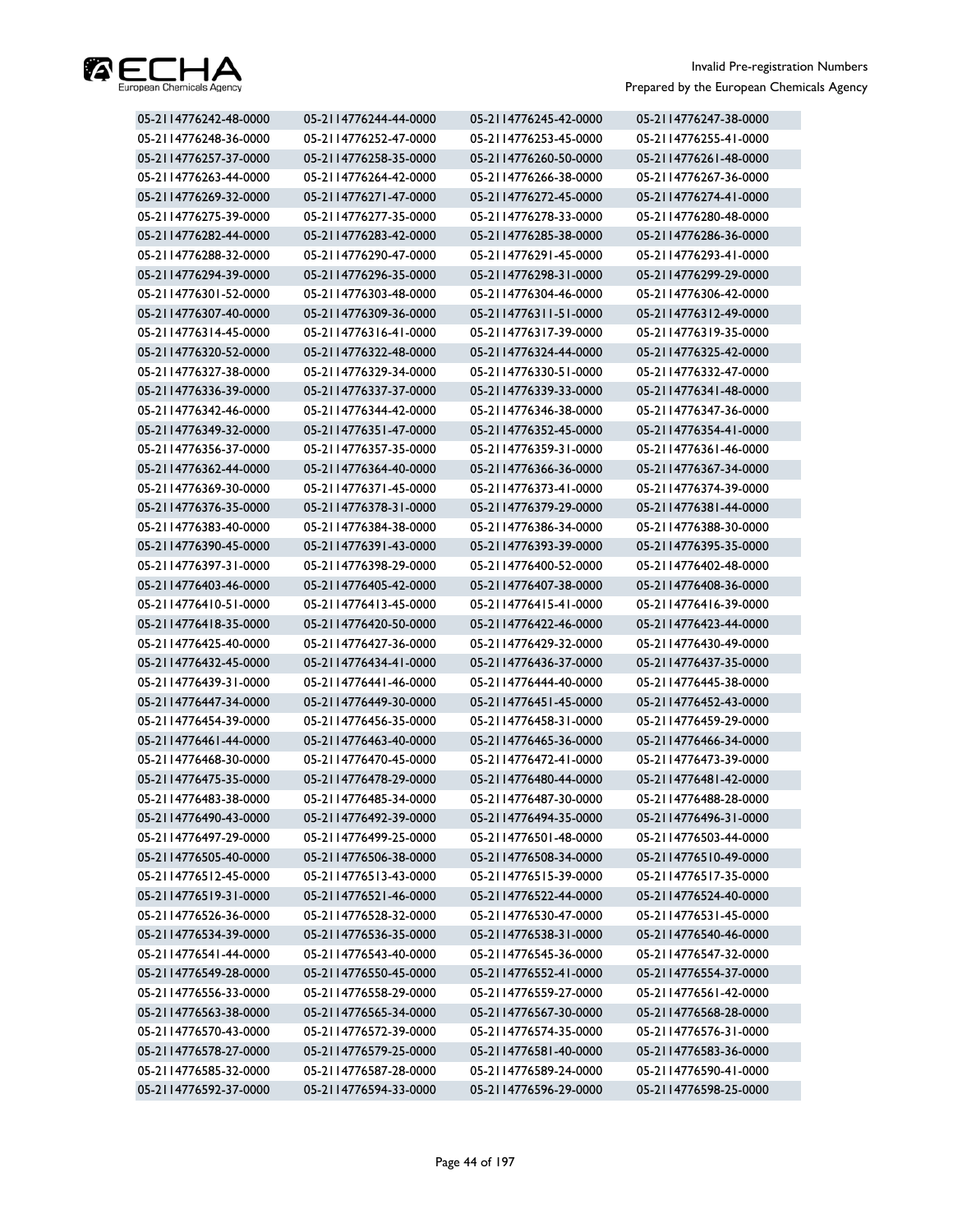

| 05-2114776242-48-0000 | 05-2114776244-44-0000 | 05-2114776245-42-0000 | 05-2114776247-38-0000 |
|-----------------------|-----------------------|-----------------------|-----------------------|
| 05-2114776248-36-0000 | 05-2114776252-47-0000 | 05-2114776253-45-0000 | 05-2114776255-41-0000 |
| 05-2114776257-37-0000 | 05-2114776258-35-0000 | 05-2114776260-50-0000 | 05-2114776261-48-0000 |
| 05-2114776263-44-0000 | 05-2114776264-42-0000 | 05-2114776266-38-0000 | 05-2114776267-36-0000 |
| 05-2114776269-32-0000 | 05-2114776271-47-0000 | 05-2114776272-45-0000 | 05-2114776274-41-0000 |
| 05-2114776275-39-0000 | 05-2114776277-35-0000 | 05-2114776278-33-0000 | 05-2114776280-48-0000 |
| 05-2114776282-44-0000 | 05-2114776283-42-0000 | 05-2114776285-38-0000 | 05-2114776286-36-0000 |
| 05-2114776288-32-0000 | 05-2114776290-47-0000 | 05-2114776291-45-0000 | 05-2114776293-41-0000 |
| 05-2114776294-39-0000 | 05-2114776296-35-0000 | 05-2114776298-31-0000 | 05-2114776299-29-0000 |
| 05-2114776301-52-0000 | 05-2114776303-48-0000 | 05-2114776304-46-0000 | 05-2114776306-42-0000 |
| 05-2114776307-40-0000 | 05-2114776309-36-0000 | 05-2114776311-51-0000 | 05-2114776312-49-0000 |
| 05-2114776314-45-0000 | 05-2114776316-41-0000 | 05-2114776317-39-0000 | 05-2114776319-35-0000 |
| 05-2114776320-52-0000 | 05-2114776322-48-0000 | 05-2114776324-44-0000 | 05-2114776325-42-0000 |
| 05-2114776327-38-0000 | 05-2114776329-34-0000 | 05-2114776330-51-0000 | 05-2114776332-47-0000 |
| 05-2114776336-39-0000 | 05-2114776337-37-0000 | 05-2114776339-33-0000 | 05-2114776341-48-0000 |
| 05-2114776342-46-0000 | 05-2114776344-42-0000 | 05-2114776346-38-0000 | 05-2114776347-36-0000 |
| 05-2114776349-32-0000 | 05-2114776351-47-0000 | 05-2114776352-45-0000 | 05-2114776354-41-0000 |
| 05-2114776356-37-0000 | 05-2114776357-35-0000 | 05-2114776359-31-0000 | 05-2114776361-46-0000 |
| 05-2114776362-44-0000 | 05-2114776364-40-0000 | 05-2114776366-36-0000 | 05-2114776367-34-0000 |
| 05-2114776369-30-0000 | 05-2114776371-45-0000 | 05-2114776373-41-0000 | 05-2114776374-39-0000 |
| 05-2114776376-35-0000 | 05-2114776378-31-0000 | 05-2114776379-29-0000 | 05-2114776381-44-0000 |
| 05-2114776383-40-0000 | 05-2114776384-38-0000 | 05-2114776386-34-0000 | 05-2114776388-30-0000 |
| 05-2114776390-45-0000 | 05-2114776391-43-0000 | 05-2114776393-39-0000 | 05-2114776395-35-0000 |
| 05-2114776397-31-0000 | 05-2114776398-29-0000 | 05-2114776400-52-0000 | 05-2114776402-48-0000 |
| 05-2114776403-46-0000 | 05-2114776405-42-0000 | 05-2114776407-38-0000 | 05-2114776408-36-0000 |
| 05-2114776410-51-0000 | 05-2114776413-45-0000 | 05-2114776415-41-0000 | 05-2114776416-39-0000 |
| 05-2114776418-35-0000 | 05-2114776420-50-0000 | 05-2114776422-46-0000 | 05-2114776423-44-0000 |
| 05-2114776425-40-0000 | 05-2114776427-36-0000 | 05-2114776429-32-0000 | 05-2114776430-49-0000 |
| 05-2114776432-45-0000 | 05-2114776434-41-0000 | 05-2114776436-37-0000 | 05-2114776437-35-0000 |
| 05-2114776439-31-0000 | 05-2114776441-46-0000 | 05-2114776444-40-0000 | 05-2114776445-38-0000 |
| 05-2114776447-34-0000 | 05-2114776449-30-0000 | 05-2114776451-45-0000 | 05-2114776452-43-0000 |
| 05-2114776454-39-0000 | 05-2114776456-35-0000 | 05-2114776458-31-0000 | 05-2114776459-29-0000 |
| 05-2114776461-44-0000 | 05-2114776463-40-0000 | 05-2114776465-36-0000 | 05-2114776466-34-0000 |
| 05-2114776468-30-0000 | 05-2114776470-45-0000 | 05-2114776472-41-0000 | 05-2114776473-39-0000 |
| 05-2114776475-35-0000 | 05-2114776478-29-0000 | 05-2114776480-44-0000 | 05-2114776481-42-0000 |
| 05-2114776483-38-0000 | 05-2114776485-34-0000 | 05-2114776487-30-0000 | 05-2114776488-28-0000 |
| 05-2114776490-43-0000 | 05-2114776492-39-0000 | 05-2114776494-35-0000 | 05-2114776496-31-0000 |
| 05-2114776497-29-0000 | 05-2114776499-25-0000 | 05-2114776501-48-0000 | 05-2114776503-44-0000 |
| 05-2114776505-40-0000 | 05-2114776506-38-0000 | 05-2114776508-34-0000 | 05-2114776510-49-0000 |
| 05-2114776512-45-0000 | 05-2114776513-43-0000 | 05-2114776515-39-0000 | 05-2114776517-35-0000 |
| 05-2114776519-31-0000 | 05-2114776521-46-0000 | 05-2114776522-44-0000 | 05-2114776524-40-0000 |
| 05-2114776526-36-0000 | 05-2114776528-32-0000 | 05-2114776530-47-0000 | 05-2114776531-45-0000 |
| 05-2114776534-39-0000 | 05-2114776536-35-0000 | 05-2114776538-31-0000 | 05-2114776540-46-0000 |
| 05-2114776541-44-0000 | 05-2114776543-40-0000 | 05-2114776545-36-0000 | 05-2114776547-32-0000 |
| 05-2114776549-28-0000 | 05-2114776550-45-0000 | 05-2114776552-41-0000 | 05-2114776554-37-0000 |
| 05-2114776556-33-0000 | 05-2114776558-29-0000 | 05-2114776559-27-0000 | 05-2114776561-42-0000 |
| 05-2114776563-38-0000 | 05-2114776565-34-0000 | 05-2114776567-30-0000 | 05-2114776568-28-0000 |
| 05-2114776570-43-0000 | 05-2114776572-39-0000 | 05-2114776574-35-0000 | 05-2114776576-31-0000 |
| 05-2114776578-27-0000 | 05-2114776579-25-0000 | 05-2114776581-40-0000 | 05-2114776583-36-0000 |
| 05-2114776585-32-0000 | 05-2114776587-28-0000 | 05-2114776589-24-0000 | 05-2114776590-41-0000 |
| 05-2114776592-37-0000 | 05-2114776594-33-0000 | 05-2114776596-29-0000 | 05-2114776598-25-0000 |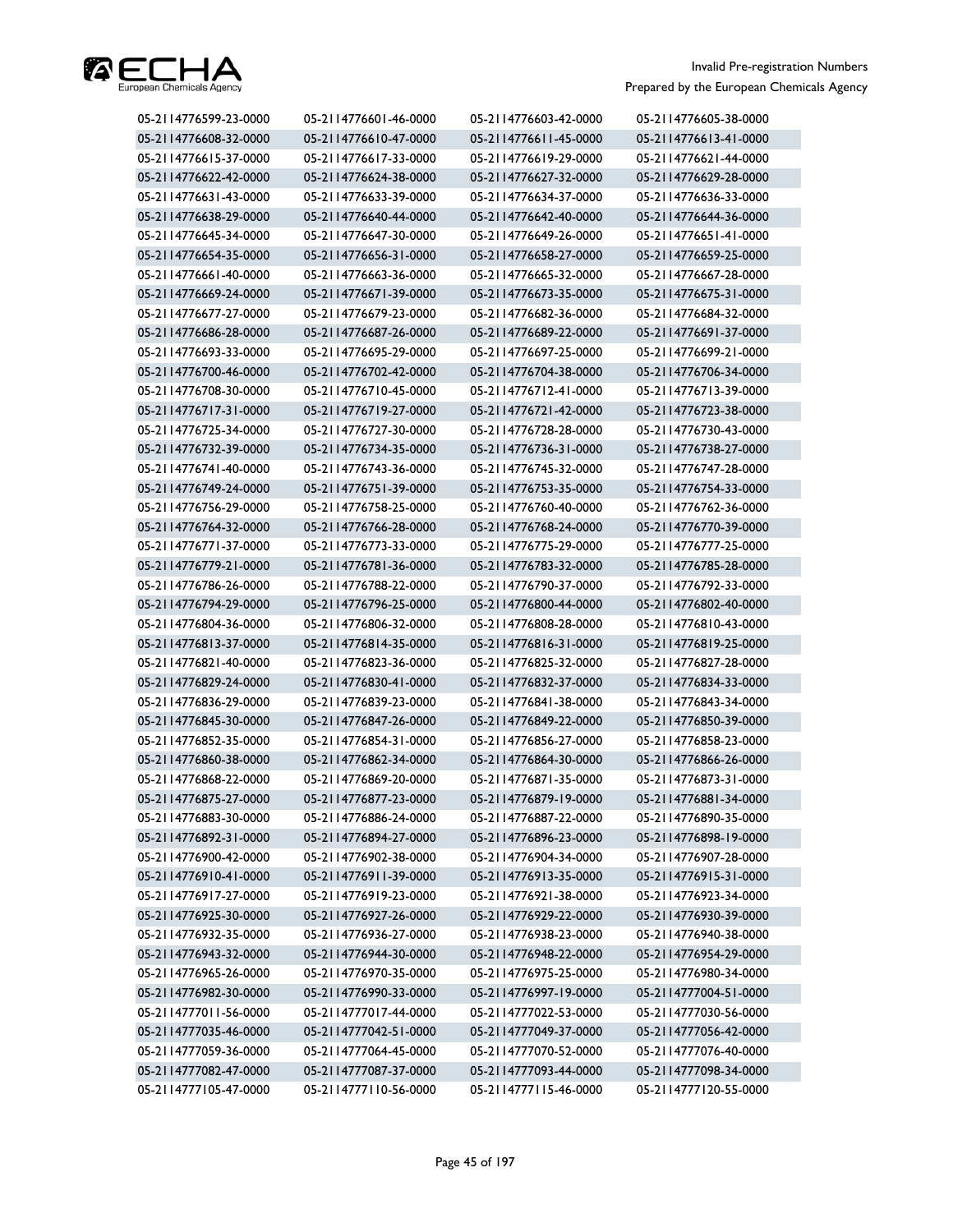

| 05-2114776599-23-0000 | 05-2114776601-46-0000 | 05-2114776603-42-0000 | 05-2114776605-38-0000 |
|-----------------------|-----------------------|-----------------------|-----------------------|
| 05-2114776608-32-0000 | 05-2114776610-47-0000 | 05-2114776611-45-0000 | 05-2114776613-41-0000 |
| 05-2114776615-37-0000 | 05-2114776617-33-0000 | 05-2114776619-29-0000 | 05-2114776621-44-0000 |
| 05-2114776622-42-0000 | 05-2114776624-38-0000 | 05-2114776627-32-0000 | 05-2114776629-28-0000 |
| 05-2114776631-43-0000 | 05-2114776633-39-0000 | 05-2114776634-37-0000 | 05-2114776636-33-0000 |
| 05-2114776638-29-0000 | 05-2114776640-44-0000 | 05-2114776642-40-0000 | 05-2114776644-36-0000 |
| 05-2114776645-34-0000 | 05-2114776647-30-0000 | 05-2114776649-26-0000 | 05-2114776651-41-0000 |
| 05-2114776654-35-0000 | 05-2114776656-31-0000 | 05-2114776658-27-0000 | 05-2114776659-25-0000 |
| 05-2114776661-40-0000 | 05-2114776663-36-0000 | 05-2114776665-32-0000 | 05-2114776667-28-0000 |
| 05-2114776669-24-0000 | 05-2114776671-39-0000 | 05-2114776673-35-0000 | 05-2114776675-31-0000 |
| 05-2114776677-27-0000 | 05-2114776679-23-0000 | 05-2114776682-36-0000 | 05-2114776684-32-0000 |
| 05-2114776686-28-0000 | 05-2114776687-26-0000 | 05-2114776689-22-0000 | 05-2114776691-37-0000 |
| 05-2114776693-33-0000 | 05-2114776695-29-0000 | 05-2114776697-25-0000 | 05-2114776699-21-0000 |
| 05-2114776700-46-0000 | 05-2114776702-42-0000 | 05-2114776704-38-0000 | 05-2114776706-34-0000 |
| 05-2114776708-30-0000 | 05-2114776710-45-0000 | 05-2114776712-41-0000 | 05-2114776713-39-0000 |
| 05-2114776717-31-0000 | 05-2114776719-27-0000 | 05-2114776721-42-0000 | 05-2114776723-38-0000 |
| 05-2114776725-34-0000 | 05-2114776727-30-0000 | 05-2114776728-28-0000 | 05-2114776730-43-0000 |
| 05-2114776732-39-0000 | 05-2114776734-35-0000 | 05-2114776736-31-0000 | 05-2114776738-27-0000 |
| 05-2114776741-40-0000 | 05-2114776743-36-0000 | 05-2114776745-32-0000 | 05-2114776747-28-0000 |
| 05-2114776749-24-0000 | 05-2114776751-39-0000 | 05-2114776753-35-0000 | 05-2114776754-33-0000 |
| 05-2114776756-29-0000 | 05-2114776758-25-0000 | 05-2114776760-40-0000 | 05-2114776762-36-0000 |
| 05-2114776764-32-0000 | 05-2114776766-28-0000 | 05-2114776768-24-0000 | 05-2114776770-39-0000 |
| 05-2114776771-37-0000 | 05-2114776773-33-0000 | 05-2114776775-29-0000 | 05-2114776777-25-0000 |
| 05-2114776779-21-0000 | 05-2114776781-36-0000 | 05-2114776783-32-0000 | 05-2114776785-28-0000 |
| 05-2114776786-26-0000 | 05-2114776788-22-0000 | 05-2114776790-37-0000 | 05-2114776792-33-0000 |
| 05-2114776794-29-0000 | 05-2114776796-25-0000 | 05-2114776800-44-0000 | 05-2114776802-40-0000 |
| 05-2114776804-36-0000 | 05-2114776806-32-0000 | 05-2114776808-28-0000 | 05-2114776810-43-0000 |
| 05-2114776813-37-0000 | 05-2114776814-35-0000 | 05-2114776816-31-0000 | 05-2114776819-25-0000 |
| 05-2114776821-40-0000 | 05-2114776823-36-0000 | 05-2114776825-32-0000 | 05-2114776827-28-0000 |
| 05-2114776829-24-0000 | 05-2114776830-41-0000 | 05-2114776832-37-0000 | 05-2114776834-33-0000 |
| 05-2114776836-29-0000 | 05-2114776839-23-0000 | 05-2114776841-38-0000 | 05-2114776843-34-0000 |
| 05-2114776845-30-0000 | 05-2114776847-26-0000 | 05-2114776849-22-0000 | 05-2114776850-39-0000 |
| 05-2114776852-35-0000 | 05-2114776854-31-0000 | 05-2114776856-27-0000 | 05-2114776858-23-0000 |
| 05-2114776860-38-0000 | 05-2114776862-34-0000 | 05-2114776864-30-0000 | 05-2114776866-26-0000 |
| 05-2114776868-22-0000 | 05-2114776869-20-0000 | 05-2114776871-35-0000 | 05-2114776873-31-0000 |
| 05-2114776875-27-0000 | 05-2114776877-23-0000 | 05-2114776879-19-0000 | 05-2114776881-34-0000 |
| 05-2114776883-30-0000 | 05-2114776886-24-0000 | 05-2114776887-22-0000 | 05-2114776890-35-0000 |
| 05-2114776892-31-0000 | 05-2114776894-27-0000 | 05-2114776896-23-0000 | 05-2114776898-19-0000 |
| 05-2114776900-42-0000 | 05-2114776902-38-0000 | 05-2114776904-34-0000 | 05-2114776907-28-0000 |
| 05-2114776910-41-0000 | 05-2114776911-39-0000 | 05-2114776913-35-0000 | 05-2114776915-31-0000 |
| 05-2114776917-27-0000 | 05-2114776919-23-0000 | 05-2114776921-38-0000 | 05-2114776923-34-0000 |
| 05-2114776925-30-0000 | 05-2114776927-26-0000 | 05-2114776929-22-0000 | 05-2114776930-39-0000 |
| 05-2114776932-35-0000 | 05-2114776936-27-0000 | 05-2114776938-23-0000 | 05-2114776940-38-0000 |
| 05-2114776943-32-0000 | 05-2114776944-30-0000 | 05-2114776948-22-0000 | 05-2114776954-29-0000 |
| 05-2114776965-26-0000 | 05-2114776970-35-0000 | 05-2114776975-25-0000 | 05-2114776980-34-0000 |
| 05-2114776982-30-0000 | 05-2114776990-33-0000 | 05-2114776997-19-0000 | 05-2114777004-51-0000 |
| 05-2114777011-56-0000 | 05-2114777017-44-0000 | 05-2114777022-53-0000 | 05-2114777030-56-0000 |
| 05-2114777035-46-0000 | 05-2114777042-51-0000 | 05-2114777049-37-0000 | 05-2114777056-42-0000 |
| 05-2114777059-36-0000 | 05-2114777064-45-0000 | 05-2114777070-52-0000 | 05-2114777076-40-0000 |
| 05-2114777082-47-0000 | 05-2114777087-37-0000 | 05-2114777093-44-0000 | 05-2114777098-34-0000 |
| 05-2114777105-47-0000 | 05-2114777110-56-0000 | 05-2114777115-46-0000 | 05-2114777120-55-0000 |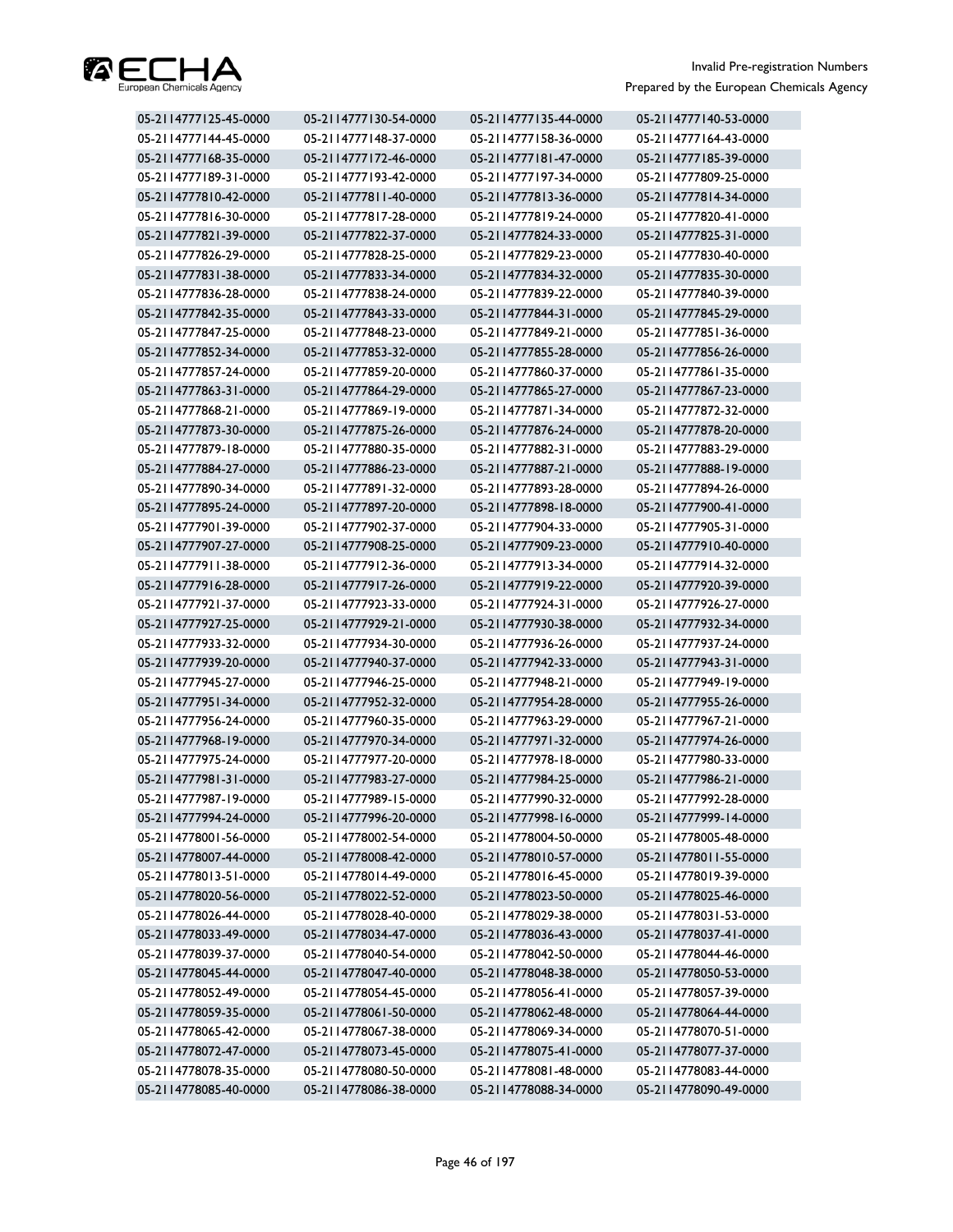

| 05-2114777125-45-0000 | 05-2114777130-54-0000 | 05-2114777135-44-0000 | 05-2114777140-53-0000 |
|-----------------------|-----------------------|-----------------------|-----------------------|
| 05-2114777144-45-0000 | 05-2114777148-37-0000 | 05-2114777158-36-0000 | 05-2114777164-43-0000 |
| 05-2114777168-35-0000 | 05-2114777172-46-0000 | 05-2114777181-47-0000 | 05-2114777185-39-0000 |
| 05-2114777189-31-0000 | 05-2114777193-42-0000 | 05-2114777197-34-0000 | 05-2114777809-25-0000 |
| 05-2114777810-42-0000 | 05-2114777811-40-0000 | 05-2114777813-36-0000 | 05-2114777814-34-0000 |
| 05-2114777816-30-0000 | 05-2114777817-28-0000 | 05-2114777819-24-0000 | 05-2114777820-41-0000 |
| 05-2114777821-39-0000 | 05-2114777822-37-0000 | 05-2114777824-33-0000 | 05-2114777825-31-0000 |
| 05-2114777826-29-0000 | 05-2114777828-25-0000 | 05-2114777829-23-0000 | 05-2114777830-40-0000 |
| 05-2114777831-38-0000 | 05-2114777833-34-0000 | 05-2114777834-32-0000 | 05-2114777835-30-0000 |
| 05-2114777836-28-0000 | 05-2114777838-24-0000 | 05-2114777839-22-0000 | 05-2114777840-39-0000 |
| 05-2114777842-35-0000 | 05-2114777843-33-0000 | 05-2114777844-31-0000 | 05-2114777845-29-0000 |
| 05-2114777847-25-0000 | 05-2114777848-23-0000 | 05-2114777849-21-0000 | 05-2114777851-36-0000 |
| 05-2114777852-34-0000 | 05-2114777853-32-0000 | 05-2114777855-28-0000 | 05-2114777856-26-0000 |
| 05-2114777857-24-0000 | 05-2114777859-20-0000 | 05-2114777860-37-0000 | 05-2114777861-35-0000 |
| 05-2114777863-31-0000 | 05-2114777864-29-0000 | 05-2114777865-27-0000 | 05-2114777867-23-0000 |
| 05-2114777868-21-0000 | 05-2114777869-19-0000 | 05-2114777871-34-0000 | 05-2114777872-32-0000 |
| 05-2114777873-30-0000 | 05-2114777875-26-0000 | 05-2114777876-24-0000 | 05-2114777878-20-0000 |
| 05-2114777879-18-0000 | 05-2114777880-35-0000 | 05-2114777882-31-0000 | 05-2114777883-29-0000 |
| 05-2114777884-27-0000 | 05-2114777886-23-0000 | 05-2114777887-21-0000 | 05-2114777888-19-0000 |
| 05-2114777890-34-0000 | 05-2114777891-32-0000 | 05-2114777893-28-0000 | 05-2114777894-26-0000 |
| 05-2114777895-24-0000 | 05-2114777897-20-0000 | 05-2114777898-18-0000 | 05-2114777900-41-0000 |
| 05-2114777901-39-0000 | 05-2114777902-37-0000 | 05-2114777904-33-0000 | 05-2114777905-31-0000 |
| 05-2114777907-27-0000 | 05-2114777908-25-0000 | 05-2114777909-23-0000 | 05-2114777910-40-0000 |
| 05-2114777911-38-0000 | 05-2114777912-36-0000 | 05-2114777913-34-0000 | 05-2114777914-32-0000 |
| 05-2114777916-28-0000 | 05-2114777917-26-0000 | 05-2114777919-22-0000 | 05-2114777920-39-0000 |
| 05-2114777921-37-0000 | 05-2114777923-33-0000 | 05-2114777924-31-0000 | 05-2114777926-27-0000 |
| 05-2114777927-25-0000 | 05-2114777929-21-0000 | 05-2114777930-38-0000 | 05-2114777932-34-0000 |
| 05-2114777933-32-0000 | 05-2114777934-30-0000 | 05-2114777936-26-0000 | 05-2114777937-24-0000 |
| 05-2114777939-20-0000 | 05-2114777940-37-0000 | 05-2114777942-33-0000 | 05-2114777943-31-0000 |
| 05-2114777945-27-0000 | 05-2114777946-25-0000 | 05-2114777948-21-0000 | 05-2114777949-19-0000 |
| 05-2114777951-34-0000 | 05-2114777952-32-0000 | 05-2114777954-28-0000 | 05-2114777955-26-0000 |
| 05-2114777956-24-0000 | 05-2114777960-35-0000 | 05-2114777963-29-0000 | 05-2114777967-21-0000 |
| 05-2114777968-19-0000 | 05-2114777970-34-0000 | 05-2114777971-32-0000 | 05-2114777974-26-0000 |
| 05-2114777975-24-0000 | 05-2114777977-20-0000 | 05-2114777978-18-0000 | 05-2114777980-33-0000 |
| 05-2114777981-31-0000 | 05-2114777983-27-0000 | 05-2114777984-25-0000 | 05-2114777986-21-0000 |
| 05-2114777987-19-0000 | 05-2114777989-15-0000 | 05-2114777990-32-0000 | 05-2114777992-28-0000 |
| 05-2114777994-24-0000 | 05-2114777996-20-0000 | 05-2114777998-16-0000 | 05-2114777999-14-0000 |
| 05-2114778001-56-0000 | 05-2114778002-54-0000 | 05-2114778004-50-0000 | 05-2114778005-48-0000 |
| 05-2114778007-44-0000 | 05-2114778008-42-0000 | 05-2114778010-57-0000 | 05-2114778011-55-0000 |
| 05-2114778013-51-0000 | 05-2114778014-49-0000 | 05-2114778016-45-0000 | 05-2114778019-39-0000 |
| 05-2114778020-56-0000 | 05-2114778022-52-0000 | 05-2114778023-50-0000 | 05-2114778025-46-0000 |
| 05-2114778026-44-0000 | 05-2114778028-40-0000 | 05-2114778029-38-0000 | 05-2114778031-53-0000 |
| 05-2114778033-49-0000 | 05-2114778034-47-0000 | 05-2114778036-43-0000 | 05-2114778037-41-0000 |
| 05-2114778039-37-0000 | 05-2114778040-54-0000 | 05-2114778042-50-0000 | 05-2114778044-46-0000 |
| 05-2114778045-44-0000 | 05-2114778047-40-0000 | 05-2114778048-38-0000 | 05-2114778050-53-0000 |
| 05-2114778052-49-0000 | 05-2114778054-45-0000 | 05-2114778056-41-0000 | 05-2114778057-39-0000 |
| 05-2114778059-35-0000 | 05-2114778061-50-0000 | 05-2114778062-48-0000 | 05-2114778064-44-0000 |
| 05-2114778065-42-0000 | 05-2114778067-38-0000 | 05-2114778069-34-0000 | 05-2114778070-51-0000 |
| 05-2114778072-47-0000 | 05-2114778073-45-0000 | 05-2114778075-41-0000 | 05-2114778077-37-0000 |
| 05-2114778078-35-0000 | 05-2114778080-50-0000 | 05-2114778081-48-0000 | 05-2114778083-44-0000 |
| 05-2114778085-40-0000 | 05-2114778086-38-0000 | 05-2114778088-34-0000 | 05-2114778090-49-0000 |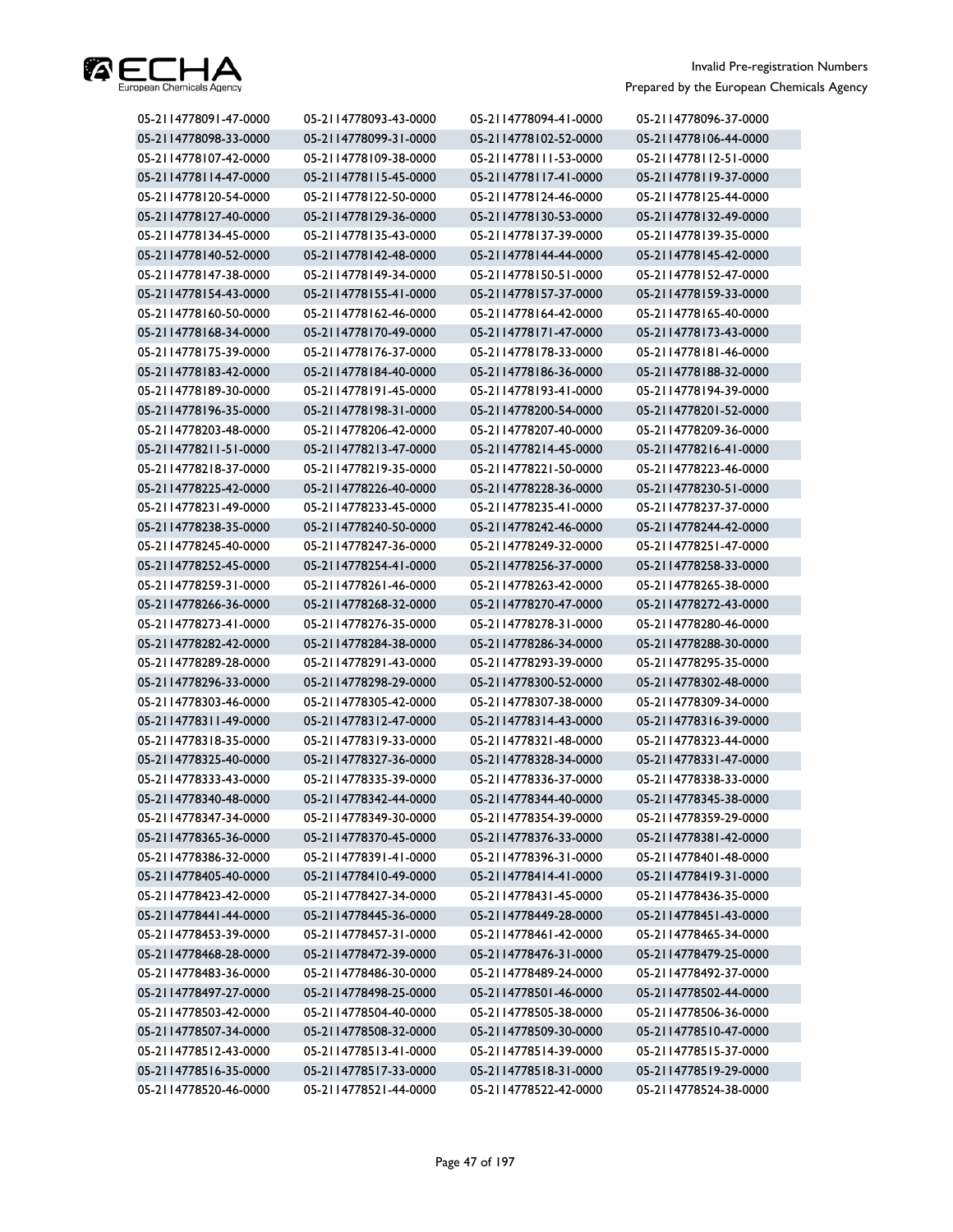

| 05-2114778091-47-0000 | 05-2114778093-43-0000 | 05-2114778094-41-0000 | 05-2114778096-37-0000 |
|-----------------------|-----------------------|-----------------------|-----------------------|
| 05-2114778098-33-0000 | 05-2114778099-31-0000 | 05-2114778102-52-0000 | 05-2114778106-44-0000 |
| 05-2114778107-42-0000 | 05-2114778109-38-0000 | 05-2114778111-53-0000 | 05-2114778112-51-0000 |
| 05-2114778114-47-0000 | 05-2114778115-45-0000 | 05-2114778117-41-0000 | 05-2114778119-37-0000 |
| 05-2114778120-54-0000 | 05-2114778122-50-0000 | 05-2114778124-46-0000 | 05-2114778125-44-0000 |
| 05-2114778127-40-0000 | 05-2114778129-36-0000 | 05-2114778130-53-0000 | 05-2114778132-49-0000 |
| 05-2114778134-45-0000 | 05-2114778135-43-0000 | 05-2114778137-39-0000 | 05-2114778139-35-0000 |
| 05-2114778140-52-0000 | 05-2114778142-48-0000 | 05-2114778144-44-0000 | 05-2114778145-42-0000 |
| 05-2114778147-38-0000 | 05-2114778149-34-0000 | 05-2114778150-51-0000 | 05-2114778152-47-0000 |
| 05-2114778154-43-0000 | 05-2114778155-41-0000 | 05-2114778157-37-0000 | 05-2114778159-33-0000 |
| 05-2114778160-50-0000 | 05-2114778162-46-0000 | 05-2114778164-42-0000 | 05-2114778165-40-0000 |
| 05-2114778168-34-0000 | 05-2114778170-49-0000 | 05-2114778171-47-0000 | 05-2114778173-43-0000 |
| 05-2114778175-39-0000 | 05-2114778176-37-0000 | 05-2114778178-33-0000 | 05-2114778181-46-0000 |
| 05-2114778183-42-0000 | 05-2114778184-40-0000 | 05-2114778186-36-0000 | 05-2114778188-32-0000 |
| 05-2114778189-30-0000 | 05-2114778191-45-0000 | 05-2114778193-41-0000 | 05-2114778194-39-0000 |
| 05-2114778196-35-0000 | 05-2114778198-31-0000 | 05-2114778200-54-0000 | 05-2114778201-52-0000 |
| 05-2114778203-48-0000 | 05-2114778206-42-0000 | 05-2114778207-40-0000 | 05-2114778209-36-0000 |
| 05-2114778211-51-0000 | 05-2114778213-47-0000 | 05-2114778214-45-0000 | 05-2114778216-41-0000 |
| 05-2114778218-37-0000 | 05-2114778219-35-0000 | 05-2114778221-50-0000 | 05-2114778223-46-0000 |
| 05-2114778225-42-0000 | 05-2114778226-40-0000 | 05-2114778228-36-0000 | 05-2114778230-51-0000 |
| 05-2114778231-49-0000 | 05-2114778233-45-0000 | 05-2114778235-41-0000 | 05-2114778237-37-0000 |
| 05-2114778238-35-0000 | 05-2114778240-50-0000 | 05-2114778242-46-0000 | 05-2114778244-42-0000 |
| 05-2114778245-40-0000 | 05-2114778247-36-0000 | 05-2114778249-32-0000 | 05-2114778251-47-0000 |
| 05-2114778252-45-0000 | 05-2114778254-41-0000 | 05-2114778256-37-0000 | 05-2114778258-33-0000 |
| 05-2114778259-31-0000 | 05-2114778261-46-0000 | 05-2114778263-42-0000 | 05-2114778265-38-0000 |
| 05-2114778266-36-0000 | 05-2114778268-32-0000 | 05-2114778270-47-0000 | 05-2114778272-43-0000 |
| 05-2114778273-41-0000 | 05-2114778276-35-0000 | 05-2114778278-31-0000 | 05-2114778280-46-0000 |
| 05-2114778282-42-0000 | 05-2114778284-38-0000 | 05-2114778286-34-0000 | 05-2114778288-30-0000 |
| 05-2114778289-28-0000 | 05-2114778291-43-0000 | 05-2114778293-39-0000 | 05-2114778295-35-0000 |
| 05-2114778296-33-0000 | 05-2114778298-29-0000 | 05-2114778300-52-0000 | 05-2114778302-48-0000 |
| 05-2114778303-46-0000 | 05-2114778305-42-0000 | 05-2114778307-38-0000 | 05-2114778309-34-0000 |
| 05-2114778311-49-0000 | 05-2114778312-47-0000 | 05-2114778314-43-0000 | 05-2114778316-39-0000 |
| 05-2114778318-35-0000 | 05-2114778319-33-0000 | 05-2114778321-48-0000 | 05-2114778323-44-0000 |
| 05-2114778325-40-0000 | 05-2114778327-36-0000 | 05-2114778328-34-0000 | 05-2114778331-47-0000 |
| 05-2114778333-43-0000 | 05-2114778335-39-0000 | 05-2114778336-37-0000 | 05-2114778338-33-0000 |
| 05-2114778340-48-0000 | 05-2114778342-44-0000 | 05-2114778344-40-0000 | 05-2114778345-38-0000 |
| 05-2114778347-34-0000 | 05-2114778349-30-0000 | 05-2114778354-39-0000 | 05-2114778359-29-0000 |
| 05-2114778365-36-0000 | 05-2114778370-45-0000 | 05-2114778376-33-0000 | 05-2114778381-42-0000 |
| 05-2114778386-32-0000 | 05-2114778391-41-0000 | 05-2114778396-31-0000 | 05-2114778401-48-0000 |
| 05-2114778405-40-0000 | 05-2114778410-49-0000 | 05-2114778414-41-0000 | 05-2114778419-31-0000 |
| 05-2114778423-42-0000 | 05-2114778427-34-0000 | 05-2114778431-45-0000 | 05-2114778436-35-0000 |
| 05-2114778441-44-0000 | 05-2114778445-36-0000 | 05-2114778449-28-0000 | 05-2114778451-43-0000 |
| 05-2114778453-39-0000 | 05-2114778457-31-0000 | 05-2114778461-42-0000 | 05-2114778465-34-0000 |
| 05-2114778468-28-0000 | 05-2114778472-39-0000 | 05-2114778476-31-0000 | 05-2114778479-25-0000 |
| 05-2114778483-36-0000 | 05-2114778486-30-0000 | 05-2114778489-24-0000 | 05-2114778492-37-0000 |
| 05-2114778497-27-0000 | 05-2114778498-25-0000 | 05-2114778501-46-0000 | 05-2114778502-44-0000 |
| 05-2114778503-42-0000 | 05-2114778504-40-0000 | 05-2114778505-38-0000 | 05-2114778506-36-0000 |
| 05-2114778507-34-0000 | 05-2114778508-32-0000 | 05-2114778509-30-0000 | 05-2114778510-47-0000 |
| 05-2114778512-43-0000 | 05-2114778513-41-0000 | 05-2114778514-39-0000 | 05-2114778515-37-0000 |
| 05-2114778516-35-0000 | 05-2114778517-33-0000 | 05-2114778518-31-0000 | 05-2114778519-29-0000 |
| 05-2114778520-46-0000 | 05-2114778521-44-0000 | 05-2114778522-42-0000 | 05-2114778524-38-0000 |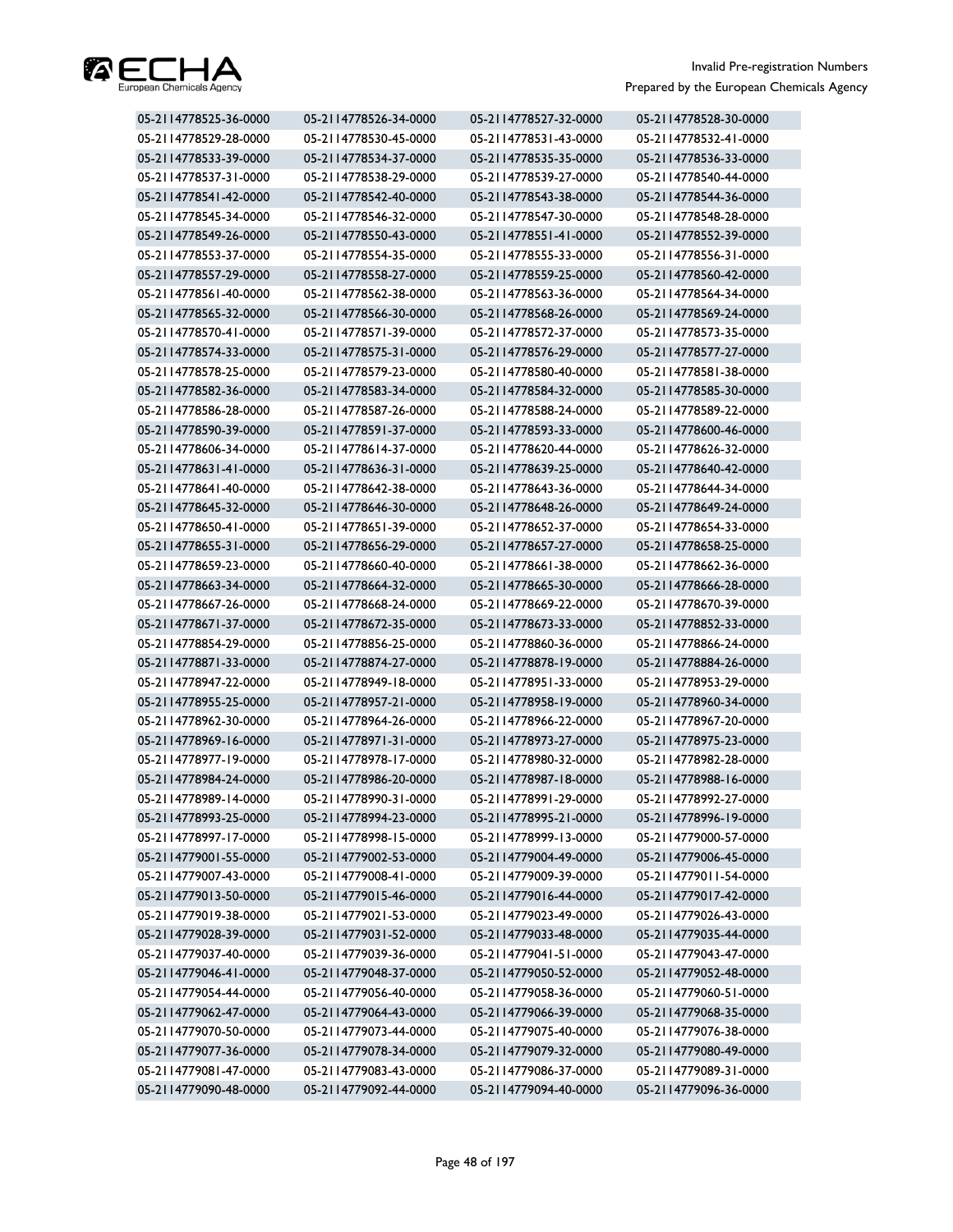

| 05-2114778525-36-0000 | 05-2114778526-34-0000 | 05-2114778527-32-0000 | 05-2114778528-30-0000 |
|-----------------------|-----------------------|-----------------------|-----------------------|
| 05-2114778529-28-0000 | 05-2114778530-45-0000 | 05-2114778531-43-0000 | 05-2114778532-41-0000 |
| 05-2114778533-39-0000 | 05-2114778534-37-0000 | 05-2114778535-35-0000 | 05-2114778536-33-0000 |
| 05-2114778537-31-0000 | 05-2114778538-29-0000 | 05-2114778539-27-0000 | 05-2114778540-44-0000 |
| 05-2114778541-42-0000 | 05-2114778542-40-0000 | 05-2114778543-38-0000 | 05-2114778544-36-0000 |
| 05-2114778545-34-0000 | 05-2114778546-32-0000 | 05-2114778547-30-0000 | 05-2114778548-28-0000 |
| 05-2114778549-26-0000 | 05-2114778550-43-0000 | 05-2114778551-41-0000 | 05-2114778552-39-0000 |
| 05-2114778553-37-0000 | 05-2114778554-35-0000 | 05-2114778555-33-0000 | 05-2114778556-31-0000 |
| 05-2114778557-29-0000 | 05-2114778558-27-0000 | 05-2114778559-25-0000 | 05-2114778560-42-0000 |
| 05-2114778561-40-0000 | 05-2114778562-38-0000 | 05-2114778563-36-0000 | 05-2114778564-34-0000 |
| 05-2114778565-32-0000 | 05-2114778566-30-0000 | 05-2114778568-26-0000 | 05-2114778569-24-0000 |
| 05-2114778570-41-0000 | 05-2114778571-39-0000 | 05-2114778572-37-0000 | 05-2114778573-35-0000 |
| 05-2114778574-33-0000 | 05-2114778575-31-0000 | 05-2114778576-29-0000 | 05-2114778577-27-0000 |
| 05-2114778578-25-0000 | 05-2114778579-23-0000 | 05-2114778580-40-0000 | 05-2114778581-38-0000 |
| 05-2114778582-36-0000 | 05-2114778583-34-0000 | 05-2114778584-32-0000 | 05-2114778585-30-0000 |
| 05-2114778586-28-0000 | 05-2114778587-26-0000 | 05-2114778588-24-0000 | 05-2114778589-22-0000 |
| 05-2114778590-39-0000 | 05-2114778591-37-0000 | 05-2114778593-33-0000 | 05-2114778600-46-0000 |
| 05-2114778606-34-0000 | 05-2114778614-37-0000 | 05-2114778620-44-0000 | 05-2114778626-32-0000 |
| 05-2114778631-41-0000 | 05-2114778636-31-0000 | 05-2114778639-25-0000 | 05-2114778640-42-0000 |
| 05-2114778641-40-0000 | 05-2114778642-38-0000 | 05-2114778643-36-0000 | 05-2114778644-34-0000 |
| 05-2114778645-32-0000 | 05-2114778646-30-0000 | 05-2114778648-26-0000 | 05-2114778649-24-0000 |
| 05-2114778650-41-0000 | 05-2114778651-39-0000 | 05-2114778652-37-0000 | 05-2114778654-33-0000 |
| 05-2114778655-31-0000 | 05-2114778656-29-0000 | 05-2114778657-27-0000 | 05-2114778658-25-0000 |
| 05-2114778659-23-0000 | 05-2114778660-40-0000 | 05-2114778661-38-0000 | 05-2114778662-36-0000 |
| 05-2114778663-34-0000 | 05-2114778664-32-0000 | 05-2114778665-30-0000 | 05-2114778666-28-0000 |
| 05-2114778667-26-0000 | 05-2114778668-24-0000 | 05-2114778669-22-0000 | 05-2114778670-39-0000 |
| 05-2114778671-37-0000 | 05-2114778672-35-0000 | 05-2114778673-33-0000 | 05-2114778852-33-0000 |
| 05-2114778854-29-0000 | 05-2114778856-25-0000 | 05-2114778860-36-0000 | 05-2114778866-24-0000 |
| 05-2114778871-33-0000 | 05-2114778874-27-0000 | 05-2114778878-19-0000 | 05-2114778884-26-0000 |
| 05-2114778947-22-0000 | 05-2114778949-18-0000 | 05-2114778951-33-0000 | 05-2114778953-29-0000 |
| 05-2114778955-25-0000 | 05-2114778957-21-0000 | 05-2114778958-19-0000 | 05-2114778960-34-0000 |
| 05-2114778962-30-0000 | 05-2114778964-26-0000 | 05-2114778966-22-0000 | 05-2114778967-20-0000 |
| 05-2114778969-16-0000 | 05-2114778971-31-0000 | 05-2114778973-27-0000 | 05-2114778975-23-0000 |
| 05-2114778977-19-0000 | 05-2114778978-17-0000 | 05-2114778980-32-0000 | 05-2114778982-28-0000 |
| 05-2114778984-24-0000 | 05-2114778986-20-0000 | 05-2114778987-18-0000 | 05-2114778988-16-0000 |
| 05-2114778989-14-0000 | 05-2114778990-31-0000 | 05-2114778991-29-0000 | 05-2114778992-27-0000 |
| 05-2114778993-25-0000 | 05-2114778994-23-0000 | 05-2114778995-21-0000 | 05-2114778996-19-0000 |
| 05-2114778997-17-0000 | 05-2114778998-15-0000 | 05-2114778999-13-0000 | 05-2114779000-57-0000 |
| 05-2114779001-55-0000 | 05-2114779002-53-0000 | 05-2114779004-49-0000 | 05-2114779006-45-0000 |
| 05-2114779007-43-0000 | 05-2114779008-41-0000 | 05-2114779009-39-0000 | 05-2114779011-54-0000 |
| 05-2114779013-50-0000 | 05-2114779015-46-0000 | 05-2114779016-44-0000 | 05-2114779017-42-0000 |
| 05-2114779019-38-0000 | 05-2114779021-53-0000 | 05-2114779023-49-0000 | 05-2114779026-43-0000 |
| 05-2114779028-39-0000 | 05-2114779031-52-0000 | 05-2114779033-48-0000 | 05-2114779035-44-0000 |
| 05-2114779037-40-0000 | 05-2114779039-36-0000 | 05-2114779041-51-0000 | 05-2114779043-47-0000 |
| 05-2114779046-41-0000 | 05-2114779048-37-0000 | 05-2114779050-52-0000 | 05-2114779052-48-0000 |
| 05-2114779054-44-0000 | 05-2114779056-40-0000 | 05-2114779058-36-0000 | 05-2114779060-51-0000 |
| 05-2114779062-47-0000 | 05-2114779064-43-0000 | 05-2114779066-39-0000 | 05-2114779068-35-0000 |
| 05-2114779070-50-0000 | 05-2114779073-44-0000 | 05-2114779075-40-0000 | 05-2114779076-38-0000 |
| 05-2114779077-36-0000 | 05-2114779078-34-0000 | 05-2114779079-32-0000 | 05-2114779080-49-0000 |
| 05-2114779081-47-0000 | 05-2114779083-43-0000 | 05-2114779086-37-0000 | 05-2114779089-31-0000 |
| 05-2114779090-48-0000 | 05-2114779092-44-0000 | 05-2114779094-40-0000 | 05-2114779096-36-0000 |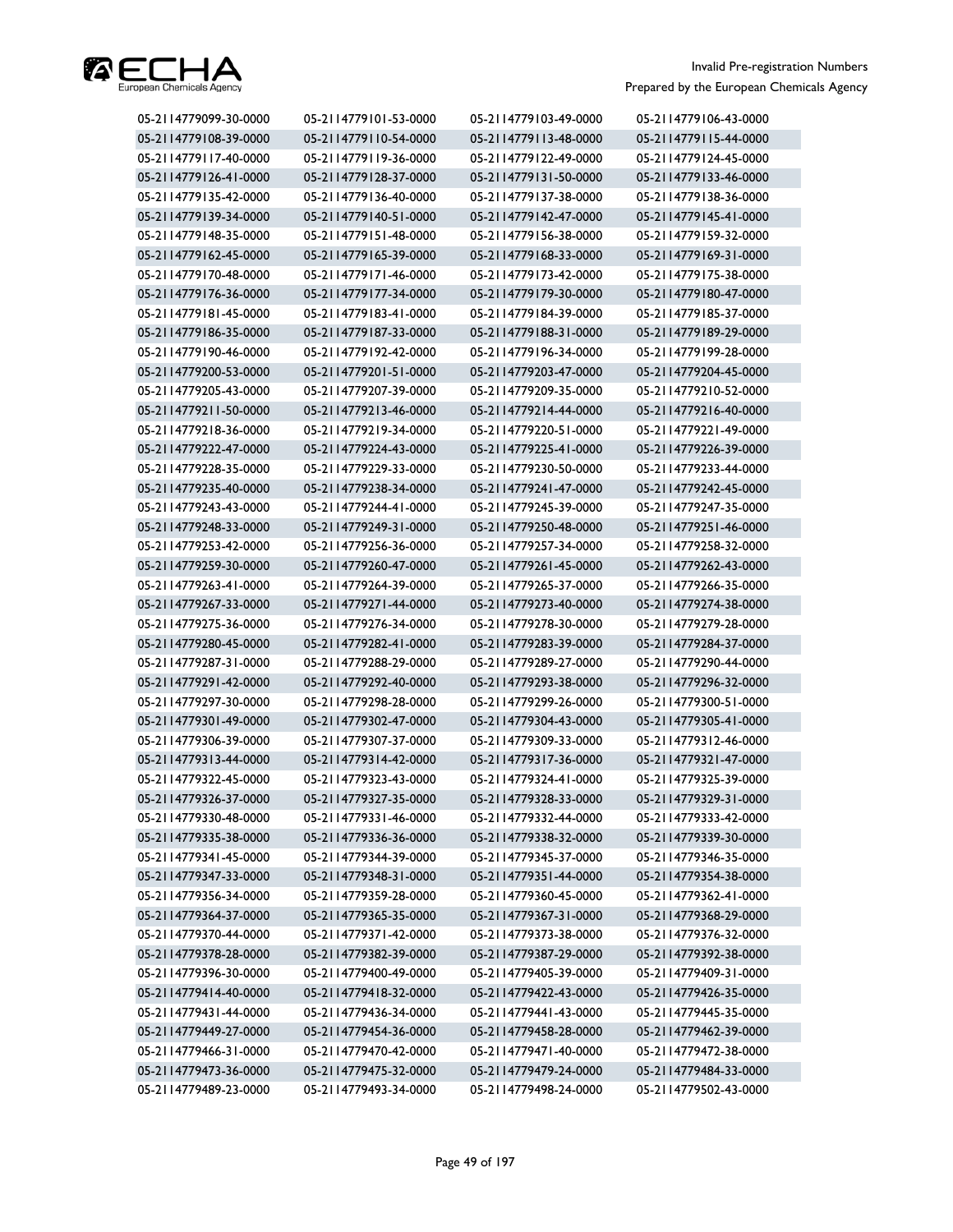

| 05-2114779099-30-0000 | 05-2114779101-53-0000 | 05-2114779103-49-0000 | 05-2114779106-43-0000 |
|-----------------------|-----------------------|-----------------------|-----------------------|
| 05-2114779108-39-0000 | 05-2114779110-54-0000 | 05-2114779113-48-0000 | 05-2114779115-44-0000 |
| 05-2114779117-40-0000 | 05-2114779119-36-0000 | 05-2114779122-49-0000 | 05-2114779124-45-0000 |
| 05-2114779126-41-0000 | 05-2114779128-37-0000 | 05-2114779131-50-0000 | 05-2114779133-46-0000 |
| 05-2114779135-42-0000 | 05-2114779136-40-0000 | 05-2114779137-38-0000 | 05-2114779138-36-0000 |
| 05-2114779139-34-0000 | 05-2114779140-51-0000 | 05-2114779142-47-0000 | 05-2114779145-41-0000 |
| 05-2114779148-35-0000 | 05-2114779151-48-0000 | 05-2114779156-38-0000 | 05-2114779159-32-0000 |
| 05-2114779162-45-0000 | 05-2114779165-39-0000 | 05-2114779168-33-0000 | 05-2114779169-31-0000 |
| 05-2114779170-48-0000 | 05-2114779171-46-0000 | 05-2114779173-42-0000 | 05-2114779175-38-0000 |
| 05-2114779176-36-0000 | 05-2114779177-34-0000 | 05-2114779179-30-0000 | 05-2114779180-47-0000 |
| 05-2114779181-45-0000 | 05-2114779183-41-0000 | 05-2114779184-39-0000 | 05-2114779185-37-0000 |
| 05-2114779186-35-0000 | 05-2114779187-33-0000 | 05-2114779188-31-0000 | 05-2114779189-29-0000 |
| 05-2114779190-46-0000 | 05-2114779192-42-0000 | 05-2114779196-34-0000 | 05-2114779199-28-0000 |
| 05-2114779200-53-0000 | 05-2114779201-51-0000 | 05-2114779203-47-0000 | 05-2114779204-45-0000 |
| 05-2114779205-43-0000 | 05-2114779207-39-0000 | 05-2114779209-35-0000 | 05-2114779210-52-0000 |
| 05-2114779211-50-0000 | 05-2114779213-46-0000 | 05-2114779214-44-0000 | 05-2114779216-40-0000 |
| 05-2114779218-36-0000 | 05-2114779219-34-0000 | 05-2114779220-51-0000 | 05-2114779221-49-0000 |
| 05-2114779222-47-0000 | 05-2114779224-43-0000 | 05-2114779225-41-0000 | 05-2114779226-39-0000 |
| 05-2114779228-35-0000 | 05-2114779229-33-0000 | 05-2114779230-50-0000 | 05-2114779233-44-0000 |
| 05-2114779235-40-0000 | 05-2114779238-34-0000 | 05-2114779241-47-0000 | 05-2114779242-45-0000 |
| 05-2114779243-43-0000 | 05-2114779244-41-0000 | 05-2114779245-39-0000 | 05-2114779247-35-0000 |
| 05-2114779248-33-0000 | 05-2114779249-31-0000 | 05-2114779250-48-0000 | 05-2114779251-46-0000 |
| 05-2114779253-42-0000 | 05-2114779256-36-0000 | 05-2114779257-34-0000 | 05-2114779258-32-0000 |
| 05-2114779259-30-0000 | 05-2114779260-47-0000 | 05-2114779261-45-0000 | 05-2114779262-43-0000 |
| 05-2114779263-41-0000 | 05-2114779264-39-0000 | 05-2114779265-37-0000 | 05-2114779266-35-0000 |
| 05-2114779267-33-0000 | 05-2114779271-44-0000 | 05-2114779273-40-0000 | 05-2114779274-38-0000 |
| 05-2114779275-36-0000 | 05-2114779276-34-0000 | 05-2114779278-30-0000 | 05-2114779279-28-0000 |
| 05-2114779280-45-0000 | 05-2114779282-41-0000 | 05-2114779283-39-0000 | 05-2114779284-37-0000 |
| 05-2114779287-31-0000 | 05-2114779288-29-0000 | 05-2114779289-27-0000 | 05-2114779290-44-0000 |
| 05-2114779291-42-0000 | 05-2114779292-40-0000 | 05-2114779293-38-0000 | 05-2114779296-32-0000 |
| 05-2114779297-30-0000 | 05-2114779298-28-0000 | 05-2114779299-26-0000 | 05-2114779300-51-0000 |
| 05-2114779301-49-0000 | 05-2114779302-47-0000 | 05-2114779304-43-0000 | 05-2114779305-41-0000 |
| 05-2114779306-39-0000 | 05-2114779307-37-0000 | 05-2114779309-33-0000 | 05-2114779312-46-0000 |
| 05-2114779313-44-0000 | 05-2114779314-42-0000 | 05-2114779317-36-0000 | 05-2114779321-47-0000 |
| 05-2114779322-45-0000 | 05-2114779323-43-0000 | 05-2114779324-41-0000 | 05-2114779325-39-0000 |
| 05-2114779326-37-0000 | 05-2114779327-35-0000 | 05-2114779328-33-0000 | 05-2114779329-31-0000 |
| 05-2114779330-48-0000 | 05-2114779331-46-0000 | 05-2114779332-44-0000 | 05-2114779333-42-0000 |
| 05-2114779335-38-0000 | 05-2114779336-36-0000 | 05-2114779338-32-0000 | 05-2114779339-30-0000 |
| 05-2114779341-45-0000 | 05-2114779344-39-0000 | 05-2114779345-37-0000 | 05-2114779346-35-0000 |
| 05-2114779347-33-0000 | 05-2114779348-31-0000 | 05-2114779351-44-0000 | 05-2114779354-38-0000 |
| 05-2114779356-34-0000 | 05-2114779359-28-0000 | 05-2114779360-45-0000 | 05-2114779362-41-0000 |
| 05-2114779364-37-0000 | 05-2114779365-35-0000 | 05-2114779367-31-0000 | 05-2114779368-29-0000 |
| 05-2114779370-44-0000 | 05-2114779371-42-0000 | 05-2114779373-38-0000 | 05-2114779376-32-0000 |
| 05-2114779378-28-0000 | 05-2114779382-39-0000 | 05-2114779387-29-0000 | 05-2114779392-38-0000 |
| 05-2114779396-30-0000 | 05-2114779400-49-0000 | 05-2114779405-39-0000 | 05-2114779409-31-0000 |
| 05-2114779414-40-0000 | 05-2114779418-32-0000 | 05-2114779422-43-0000 | 05-2114779426-35-0000 |
| 05-2114779431-44-0000 | 05-2114779436-34-0000 | 05-2114779441-43-0000 | 05-2114779445-35-0000 |
| 05-2114779449-27-0000 | 05-2114779454-36-0000 | 05-2114779458-28-0000 | 05-2114779462-39-0000 |
| 05-2114779466-31-0000 | 05-2114779470-42-0000 | 05-2114779471-40-0000 | 05-2114779472-38-0000 |
| 05-2114779473-36-0000 | 05-2114779475-32-0000 | 05-2114779479-24-0000 | 05-2114779484-33-0000 |
| 05-2114779489-23-0000 | 05-2114779493-34-0000 | 05-2114779498-24-0000 | 05-2114779502-43-0000 |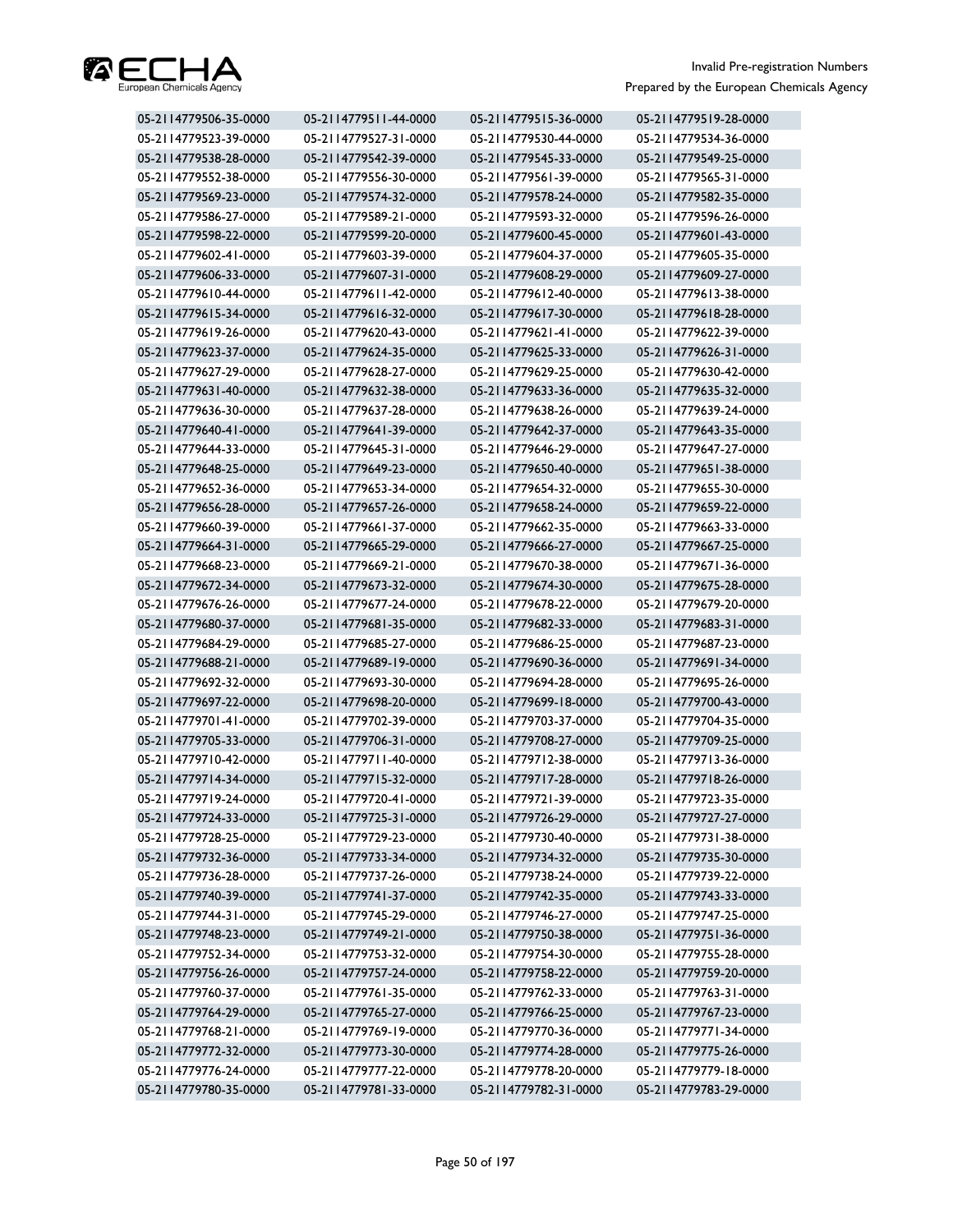

| 05-2114779506-35-0000 | 05-2114779511-44-0000 | 05-2114779515-36-0000 | 05-2114779519-28-0000 |
|-----------------------|-----------------------|-----------------------|-----------------------|
| 05-2114779523-39-0000 | 05-2114779527-31-0000 | 05-2114779530-44-0000 | 05-2114779534-36-0000 |
| 05-2114779538-28-0000 | 05-2114779542-39-0000 | 05-2114779545-33-0000 | 05-2114779549-25-0000 |
| 05-2114779552-38-0000 | 05-2114779556-30-0000 | 05-2114779561-39-0000 | 05-2114779565-31-0000 |
| 05-2114779569-23-0000 | 05-2114779574-32-0000 | 05-2114779578-24-0000 | 05-2114779582-35-0000 |
| 05-2114779586-27-0000 | 05-2114779589-21-0000 | 05-2114779593-32-0000 | 05-2114779596-26-0000 |
| 05-2114779598-22-0000 | 05-2114779599-20-0000 | 05-2114779600-45-0000 | 05-2114779601-43-0000 |
| 05-2114779602-41-0000 | 05-2114779603-39-0000 | 05-2114779604-37-0000 | 05-2114779605-35-0000 |
| 05-2114779606-33-0000 | 05-2114779607-31-0000 | 05-2114779608-29-0000 | 05-2114779609-27-0000 |
| 05-2114779610-44-0000 | 05-2114779611-42-0000 | 05-2114779612-40-0000 | 05-2114779613-38-0000 |
| 05-2114779615-34-0000 | 05-2114779616-32-0000 | 05-2114779617-30-0000 | 05-2114779618-28-0000 |
| 05-2114779619-26-0000 | 05-2114779620-43-0000 | 05-2114779621-41-0000 | 05-2114779622-39-0000 |
| 05-2114779623-37-0000 | 05-2114779624-35-0000 | 05-2114779625-33-0000 | 05-2114779626-31-0000 |
| 05-2114779627-29-0000 | 05-2114779628-27-0000 | 05-2114779629-25-0000 | 05-2114779630-42-0000 |
| 05-2114779631-40-0000 | 05-2114779632-38-0000 | 05-2114779633-36-0000 | 05-2114779635-32-0000 |
| 05-2114779636-30-0000 | 05-2114779637-28-0000 | 05-2114779638-26-0000 | 05-2114779639-24-0000 |
| 05-2114779640-41-0000 | 05-2114779641-39-0000 | 05-2114779642-37-0000 | 05-2114779643-35-0000 |
| 05-2114779644-33-0000 | 05-2114779645-31-0000 | 05-2114779646-29-0000 | 05-2114779647-27-0000 |
| 05-2114779648-25-0000 | 05-2114779649-23-0000 | 05-2114779650-40-0000 | 05-2114779651-38-0000 |
| 05-2114779652-36-0000 | 05-2114779653-34-0000 | 05-2114779654-32-0000 | 05-2114779655-30-0000 |
| 05-2114779656-28-0000 | 05-2114779657-26-0000 | 05-2114779658-24-0000 | 05-2114779659-22-0000 |
| 05-2114779660-39-0000 | 05-2114779661-37-0000 | 05-2114779662-35-0000 | 05-2114779663-33-0000 |
| 05-2114779664-31-0000 | 05-2114779665-29-0000 | 05-2114779666-27-0000 | 05-2114779667-25-0000 |
| 05-2114779668-23-0000 | 05-2114779669-21-0000 | 05-2114779670-38-0000 | 05-2114779671-36-0000 |
| 05-2114779672-34-0000 | 05-2114779673-32-0000 | 05-2114779674-30-0000 | 05-2114779675-28-0000 |
| 05-2114779676-26-0000 | 05-2114779677-24-0000 | 05-2114779678-22-0000 | 05-2114779679-20-0000 |
| 05-2114779680-37-0000 | 05-2114779681-35-0000 | 05-2114779682-33-0000 | 05-2114779683-31-0000 |
| 05-2114779684-29-0000 | 05-2114779685-27-0000 | 05-2114779686-25-0000 | 05-2114779687-23-0000 |
| 05-2114779688-21-0000 | 05-2114779689-19-0000 | 05-2114779690-36-0000 | 05-2114779691-34-0000 |
| 05-2114779692-32-0000 | 05-2114779693-30-0000 | 05-2114779694-28-0000 | 05-2114779695-26-0000 |
| 05-2114779697-22-0000 | 05-2114779698-20-0000 | 05-2114779699-18-0000 | 05-2114779700-43-0000 |
| 05-2114779701-41-0000 | 05-2114779702-39-0000 | 05-2114779703-37-0000 | 05-2114779704-35-0000 |
| 05-2114779705-33-0000 | 05-2114779706-31-0000 | 05-2114779708-27-0000 | 05-2114779709-25-0000 |
| 05-2114779710-42-0000 | 05-2114779711-40-0000 | 05-2114779712-38-0000 | 05-2114779713-36-0000 |
| 05-2114779714-34-0000 | 05-2114779715-32-0000 | 05-2114779717-28-0000 | 05-2114779718-26-0000 |
| 05-2114779719-24-0000 | 05-2114779720-41-0000 | 05-2114779721-39-0000 | 05-2114779723-35-0000 |
| 05-2114779724-33-0000 | 05-2114779725-31-0000 | 05-2114779726-29-0000 | 05-2114779727-27-0000 |
| 05-2114779728-25-0000 | 05-2114779729-23-0000 | 05-2114779730-40-0000 | 05-2114779731-38-0000 |
| 05-2114779732-36-0000 | 05-2114779733-34-0000 | 05-2114779734-32-0000 | 05-2114779735-30-0000 |
| 05-2114779736-28-0000 | 05-2114779737-26-0000 | 05-2114779738-24-0000 | 05-2114779739-22-0000 |
| 05-2114779740-39-0000 | 05-2114779741-37-0000 | 05-2114779742-35-0000 | 05-2114779743-33-0000 |
| 05-2114779744-31-0000 | 05-2114779745-29-0000 | 05-2114779746-27-0000 | 05-2114779747-25-0000 |
| 05-2114779748-23-0000 | 05-2114779749-21-0000 | 05-2114779750-38-0000 | 05-2114779751-36-0000 |
| 05-2114779752-34-0000 | 05-2114779753-32-0000 | 05-2114779754-30-0000 | 05-2114779755-28-0000 |
| 05-2114779756-26-0000 | 05-2114779757-24-0000 | 05-2114779758-22-0000 | 05-2114779759-20-0000 |
| 05-2114779760-37-0000 | 05-2114779761-35-0000 | 05-2114779762-33-0000 | 05-2114779763-31-0000 |
| 05-2114779764-29-0000 | 05-2114779765-27-0000 | 05-2114779766-25-0000 | 05-2114779767-23-0000 |
| 05-2114779768-21-0000 | 05-2114779769-19-0000 | 05-2114779770-36-0000 | 05-2114779771-34-0000 |
| 05-2114779772-32-0000 | 05-2114779773-30-0000 | 05-2114779774-28-0000 | 05-2114779775-26-0000 |
| 05-2114779776-24-0000 | 05-2114779777-22-0000 | 05-2114779778-20-0000 | 05-2114779779-18-0000 |
| 05-2114779780-35-0000 | 05-2114779781-33-0000 | 05-2114779782-31-0000 | 05-2114779783-29-0000 |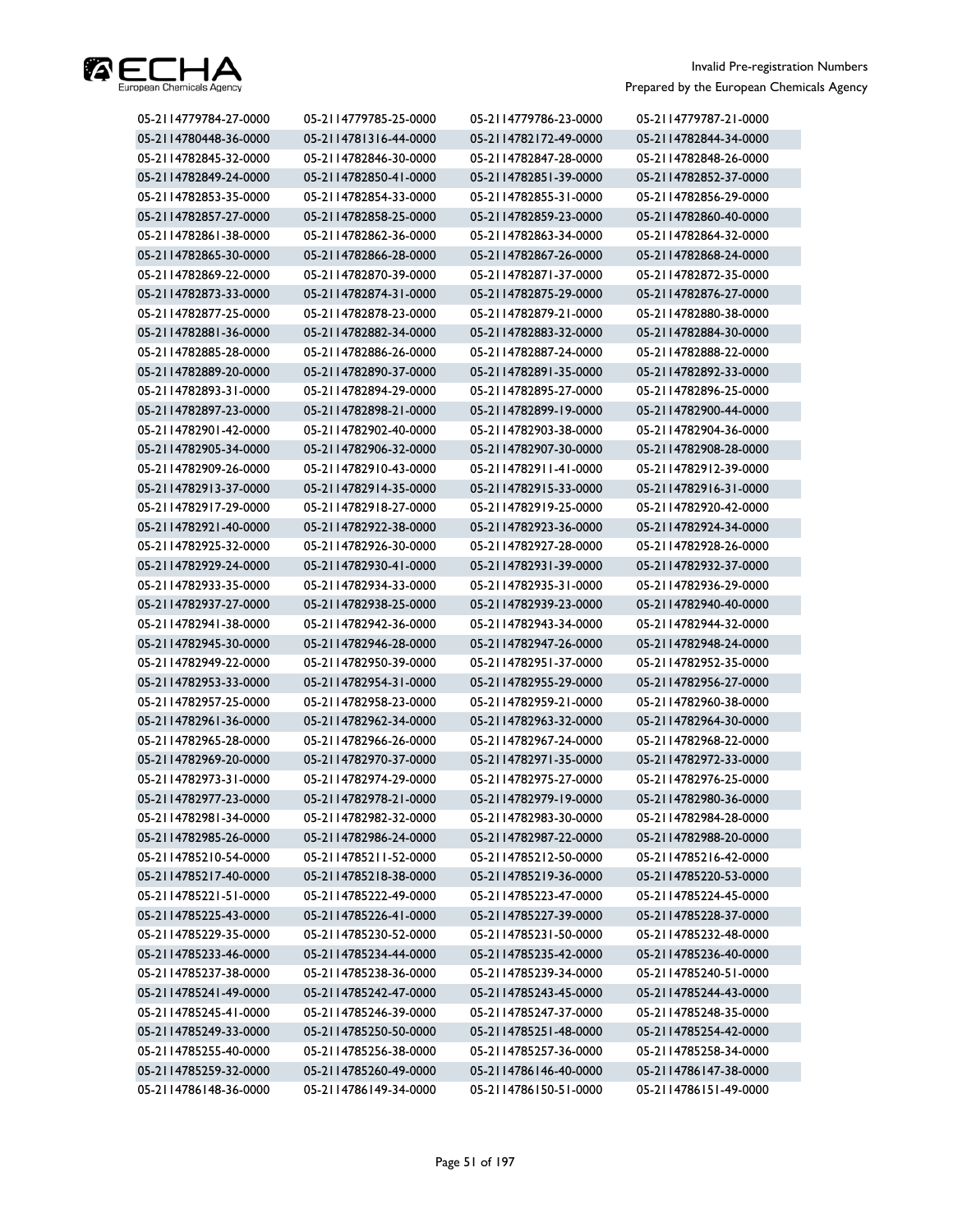

| 05-2114779784-27-0000 | 05-2114779785-25-0000 | 05-2114779786-23-0000 | 05-2114779787-21-0000 |
|-----------------------|-----------------------|-----------------------|-----------------------|
| 05-2114780448-36-0000 | 05-2114781316-44-0000 | 05-2114782172-49-0000 | 05-2114782844-34-0000 |
| 05-2114782845-32-0000 | 05-2114782846-30-0000 | 05-2114782847-28-0000 | 05-2114782848-26-0000 |
| 05-2114782849-24-0000 | 05-2114782850-41-0000 | 05-2114782851-39-0000 | 05-2114782852-37-0000 |
| 05-2114782853-35-0000 | 05-2114782854-33-0000 | 05-2114782855-31-0000 | 05-2114782856-29-0000 |
| 05-2114782857-27-0000 | 05-2114782858-25-0000 | 05-2114782859-23-0000 | 05-2114782860-40-0000 |
| 05-2114782861-38-0000 | 05-2114782862-36-0000 | 05-2114782863-34-0000 | 05-2114782864-32-0000 |
| 05-2114782865-30-0000 | 05-2114782866-28-0000 | 05-2114782867-26-0000 | 05-2114782868-24-0000 |
| 05-2114782869-22-0000 | 05-2114782870-39-0000 | 05-2114782871-37-0000 | 05-2114782872-35-0000 |
| 05-2114782873-33-0000 | 05-2114782874-31-0000 | 05-2114782875-29-0000 | 05-2114782876-27-0000 |
| 05-2114782877-25-0000 | 05-2114782878-23-0000 | 05-2114782879-21-0000 | 05-2114782880-38-0000 |
| 05-2114782881-36-0000 | 05-2114782882-34-0000 | 05-2114782883-32-0000 | 05-2114782884-30-0000 |
| 05-2114782885-28-0000 | 05-2114782886-26-0000 | 05-2114782887-24-0000 | 05-2114782888-22-0000 |
| 05-2114782889-20-0000 | 05-2114782890-37-0000 | 05-2114782891-35-0000 | 05-2114782892-33-0000 |
| 05-2114782893-31-0000 | 05-2114782894-29-0000 | 05-2114782895-27-0000 | 05-2114782896-25-0000 |
| 05-2114782897-23-0000 | 05-2114782898-21-0000 | 05-2114782899-19-0000 | 05-2114782900-44-0000 |
| 05-2114782901-42-0000 | 05-2114782902-40-0000 | 05-2114782903-38-0000 | 05-2114782904-36-0000 |
| 05-2114782905-34-0000 | 05-2114782906-32-0000 | 05-2114782907-30-0000 | 05-2114782908-28-0000 |
| 05-2114782909-26-0000 | 05-2114782910-43-0000 | 05-2114782911-41-0000 | 05-2114782912-39-0000 |
| 05-2114782913-37-0000 | 05-2114782914-35-0000 | 05-2114782915-33-0000 | 05-2114782916-31-0000 |
| 05-2114782917-29-0000 | 05-2114782918-27-0000 | 05-2114782919-25-0000 | 05-2114782920-42-0000 |
| 05-2114782921-40-0000 | 05-2114782922-38-0000 | 05-2114782923-36-0000 | 05-2114782924-34-0000 |
| 05-2114782925-32-0000 | 05-2114782926-30-0000 | 05-2114782927-28-0000 | 05-2114782928-26-0000 |
| 05-2114782929-24-0000 | 05-2114782930-41-0000 | 05-2114782931-39-0000 | 05-2114782932-37-0000 |
| 05-2114782933-35-0000 | 05-2114782934-33-0000 | 05-2114782935-31-0000 | 05-2114782936-29-0000 |
| 05-2114782937-27-0000 | 05-2114782938-25-0000 | 05-2114782939-23-0000 | 05-2114782940-40-0000 |
| 05-2114782941-38-0000 | 05-2114782942-36-0000 | 05-2114782943-34-0000 | 05-2114782944-32-0000 |
| 05-2114782945-30-0000 | 05-2114782946-28-0000 | 05-2114782947-26-0000 | 05-2114782948-24-0000 |
| 05-2114782949-22-0000 | 05-2114782950-39-0000 | 05-2114782951-37-0000 | 05-2114782952-35-0000 |
| 05-2114782953-33-0000 | 05-2114782954-31-0000 | 05-2114782955-29-0000 | 05-2114782956-27-0000 |
| 05-2114782957-25-0000 | 05-2114782958-23-0000 | 05-2114782959-21-0000 | 05-2114782960-38-0000 |
| 05-2114782961-36-0000 | 05-2114782962-34-0000 | 05-2114782963-32-0000 | 05-2114782964-30-0000 |
| 05-2114782965-28-0000 | 05-2114782966-26-0000 | 05-2114782967-24-0000 | 05-2114782968-22-0000 |
| 05-2114782969-20-0000 | 05-2114782970-37-0000 | 05-2114782971-35-0000 | 05-2114782972-33-0000 |
| 05-2114782973-31-0000 | 05-2114782974-29-0000 | 05-2114782975-27-0000 | 05-2114782976-25-0000 |
| 05-2114782977-23-0000 | 05-2114782978-21-0000 | 05-2114782979-19-0000 | 05-2114782980-36-0000 |
| 05-2114782981-34-0000 | 05-2114782982-32-0000 | 05-2114782983-30-0000 | 05-2114782984-28-0000 |
| 05-2114782985-26-0000 | 05-2114782986-24-0000 | 05-2114782987-22-0000 | 05-2114782988-20-0000 |
| 05-2114785210-54-0000 | 05-2114785211-52-0000 | 05-2114785212-50-0000 | 05-2114785216-42-0000 |
| 05-2114785217-40-0000 | 05-2114785218-38-0000 | 05-2114785219-36-0000 | 05-2114785220-53-0000 |
| 05-2114785221-51-0000 | 05-2114785222-49-0000 | 05-2114785223-47-0000 | 05-2114785224-45-0000 |
| 05-2114785225-43-0000 | 05-2114785226-41-0000 | 05-2114785227-39-0000 | 05-2114785228-37-0000 |
| 05-2114785229-35-0000 | 05-2114785230-52-0000 | 05-2114785231-50-0000 | 05-2114785232-48-0000 |
| 05-2114785233-46-0000 | 05-2114785234-44-0000 | 05-2114785235-42-0000 | 05-2114785236-40-0000 |
| 05-2114785237-38-0000 | 05-2114785238-36-0000 | 05-2114785239-34-0000 | 05-2114785240-51-0000 |
| 05-2114785241-49-0000 | 05-2114785242-47-0000 | 05-2114785243-45-0000 | 05-2114785244-43-0000 |
| 05-2114785245-41-0000 | 05-2114785246-39-0000 | 05-2114785247-37-0000 | 05-2114785248-35-0000 |
| 05-2114785249-33-0000 | 05-2114785250-50-0000 | 05-2114785251-48-0000 | 05-2114785254-42-0000 |
| 05-2114785255-40-0000 | 05-2114785256-38-0000 | 05-2114785257-36-0000 | 05-2114785258-34-0000 |
| 05-2114785259-32-0000 | 05-2114785260-49-0000 | 05-2114786146-40-0000 | 05-2114786147-38-0000 |
| 05-2114786148-36-0000 | 05-2114786149-34-0000 | 05-2114786150-51-0000 | 05-2114786151-49-0000 |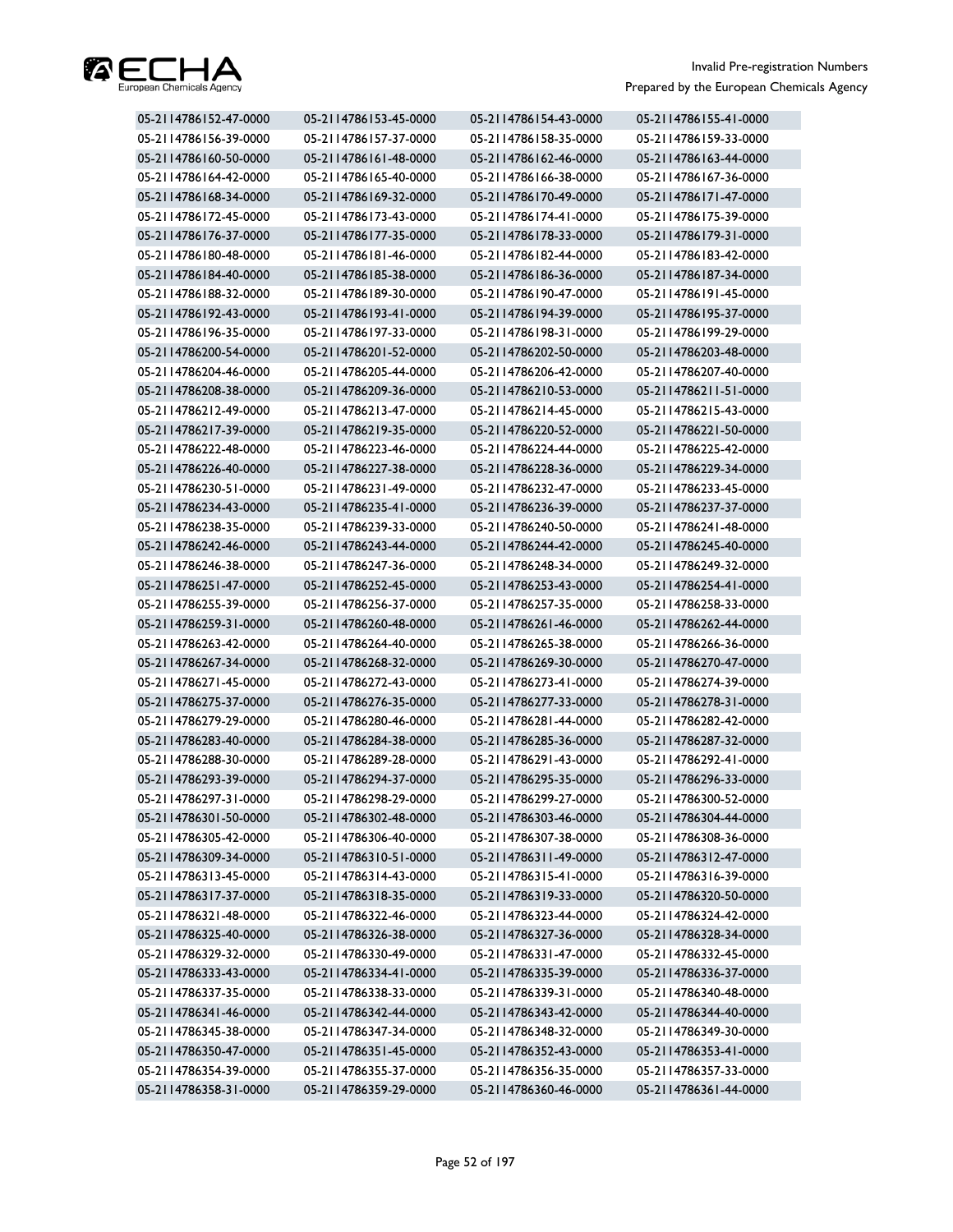

| 05-2114786152-47-0000 | 05-2114786153-45-0000 | 05-2114786154-43-0000 | 05-2114786155-41-0000 |
|-----------------------|-----------------------|-----------------------|-----------------------|
| 05-2114786156-39-0000 | 05-2114786157-37-0000 | 05-2114786158-35-0000 | 05-2114786159-33-0000 |
| 05-2114786160-50-0000 | 05-2114786161-48-0000 | 05-2114786162-46-0000 | 05-2114786163-44-0000 |
| 05-2114786164-42-0000 | 05-2114786165-40-0000 | 05-2114786166-38-0000 | 05-2114786167-36-0000 |
| 05-2114786168-34-0000 | 05-2114786169-32-0000 | 05-2114786170-49-0000 | 05-2114786171-47-0000 |
| 05-2114786172-45-0000 | 05-2114786173-43-0000 | 05-2114786174-41-0000 | 05-2114786175-39-0000 |
| 05-2114786176-37-0000 | 05-2114786177-35-0000 | 05-2114786178-33-0000 | 05-2114786179-31-0000 |
| 05-2114786180-48-0000 | 05-2114786181-46-0000 | 05-2114786182-44-0000 | 05-2114786183-42-0000 |
| 05-2114786184-40-0000 | 05-2114786185-38-0000 | 05-2114786186-36-0000 | 05-2114786187-34-0000 |
| 05-2114786188-32-0000 | 05-2114786189-30-0000 | 05-2114786190-47-0000 | 05-2114786191-45-0000 |
| 05-2114786192-43-0000 | 05-2114786193-41-0000 | 05-2114786194-39-0000 | 05-2114786195-37-0000 |
| 05-2114786196-35-0000 | 05-2114786197-33-0000 | 05-2114786198-31-0000 | 05-2114786199-29-0000 |
| 05-2114786200-54-0000 | 05-2114786201-52-0000 | 05-2114786202-50-0000 | 05-2114786203-48-0000 |
| 05-2114786204-46-0000 | 05-2114786205-44-0000 | 05-2114786206-42-0000 | 05-2114786207-40-0000 |
| 05-2114786208-38-0000 | 05-2114786209-36-0000 | 05-2114786210-53-0000 | 05-2114786211-51-0000 |
| 05-2114786212-49-0000 | 05-2114786213-47-0000 | 05-2114786214-45-0000 | 05-2114786215-43-0000 |
| 05-2114786217-39-0000 | 05-2114786219-35-0000 | 05-2114786220-52-0000 | 05-2114786221-50-0000 |
| 05-2114786222-48-0000 | 05-2114786223-46-0000 | 05-2114786224-44-0000 | 05-2114786225-42-0000 |
| 05-2114786226-40-0000 | 05-2114786227-38-0000 | 05-2114786228-36-0000 | 05-2114786229-34-0000 |
| 05-2114786230-51-0000 | 05-2114786231-49-0000 | 05-2114786232-47-0000 | 05-2114786233-45-0000 |
| 05-2114786234-43-0000 | 05-2114786235-41-0000 | 05-2114786236-39-0000 | 05-2114786237-37-0000 |
| 05-2114786238-35-0000 | 05-2114786239-33-0000 | 05-2114786240-50-0000 | 05-2114786241-48-0000 |
| 05-2114786242-46-0000 | 05-2114786243-44-0000 | 05-2114786244-42-0000 | 05-2114786245-40-0000 |
| 05-2114786246-38-0000 | 05-2114786247-36-0000 | 05-2114786248-34-0000 | 05-2114786249-32-0000 |
| 05-2114786251-47-0000 | 05-2114786252-45-0000 | 05-2114786253-43-0000 | 05-2114786254-41-0000 |
| 05-2114786255-39-0000 | 05-2114786256-37-0000 | 05-2114786257-35-0000 | 05-2114786258-33-0000 |
| 05-2114786259-31-0000 | 05-2114786260-48-0000 | 05-2114786261-46-0000 | 05-2114786262-44-0000 |
| 05-2114786263-42-0000 | 05-2114786264-40-0000 | 05-2114786265-38-0000 | 05-2114786266-36-0000 |
| 05-2114786267-34-0000 | 05-2114786268-32-0000 | 05-2114786269-30-0000 | 05-2114786270-47-0000 |
| 05-2114786271-45-0000 | 05-2114786272-43-0000 | 05-2114786273-41-0000 | 05-2114786274-39-0000 |
| 05-2114786275-37-0000 | 05-2114786276-35-0000 | 05-2114786277-33-0000 | 05-2114786278-31-0000 |
| 05-2114786279-29-0000 | 05-2114786280-46-0000 | 05-2114786281-44-0000 | 05-2114786282-42-0000 |
| 05-2114786283-40-0000 | 05-2114786284-38-0000 | 05-2114786285-36-0000 | 05-2114786287-32-0000 |
| 05-2114786288-30-0000 | 05-2114786289-28-0000 | 05-2114786291-43-0000 | 05-2114786292-41-0000 |
| 05-2114786293-39-0000 | 05-2114786294-37-0000 | 05-2114786295-35-0000 | 05-2114786296-33-0000 |
| 05-2114786297-31-0000 | 05-2114786298-29-0000 | 05-2114786299-27-0000 | 05-2114786300-52-0000 |
| 05-2114786301-50-0000 | 05-2114786302-48-0000 | 05-2114786303-46-0000 | 05-2114786304-44-0000 |
| 05-2114786305-42-0000 | 05-2114786306-40-0000 | 05-2114786307-38-0000 | 05-2114786308-36-0000 |
| 05-2114786309-34-0000 | 05-2114786310-51-0000 | 05-2114786311-49-0000 | 05-2114786312-47-0000 |
| 05-2114786313-45-0000 | 05-2114786314-43-0000 | 05-2114786315-41-0000 | 05-2114786316-39-0000 |
| 05-2114786317-37-0000 | 05-2114786318-35-0000 | 05-2114786319-33-0000 | 05-2114786320-50-0000 |
| 05-2114786321-48-0000 | 05-2114786322-46-0000 | 05-2114786323-44-0000 | 05-2114786324-42-0000 |
| 05-2114786325-40-0000 | 05-2114786326-38-0000 | 05-2114786327-36-0000 | 05-2114786328-34-0000 |
| 05-2114786329-32-0000 | 05-2114786330-49-0000 | 05-2114786331-47-0000 | 05-2114786332-45-0000 |
| 05-2114786333-43-0000 | 05-2114786334-41-0000 | 05-2114786335-39-0000 | 05-2114786336-37-0000 |
| 05-2114786337-35-0000 | 05-2114786338-33-0000 | 05-2114786339-31-0000 | 05-2114786340-48-0000 |
| 05-2114786341-46-0000 | 05-2114786342-44-0000 | 05-2114786343-42-0000 | 05-2114786344-40-0000 |
| 05-2114786345-38-0000 | 05-2114786347-34-0000 | 05-2114786348-32-0000 | 05-2114786349-30-0000 |
| 05-2114786350-47-0000 | 05-2114786351-45-0000 | 05-2114786352-43-0000 | 05-2114786353-41-0000 |
| 05-2114786354-39-0000 | 05-2114786355-37-0000 | 05-2114786356-35-0000 | 05-2114786357-33-0000 |
| 05-2114786358-31-0000 | 05-2114786359-29-0000 | 05-2114786360-46-0000 | 05-2114786361-44-0000 |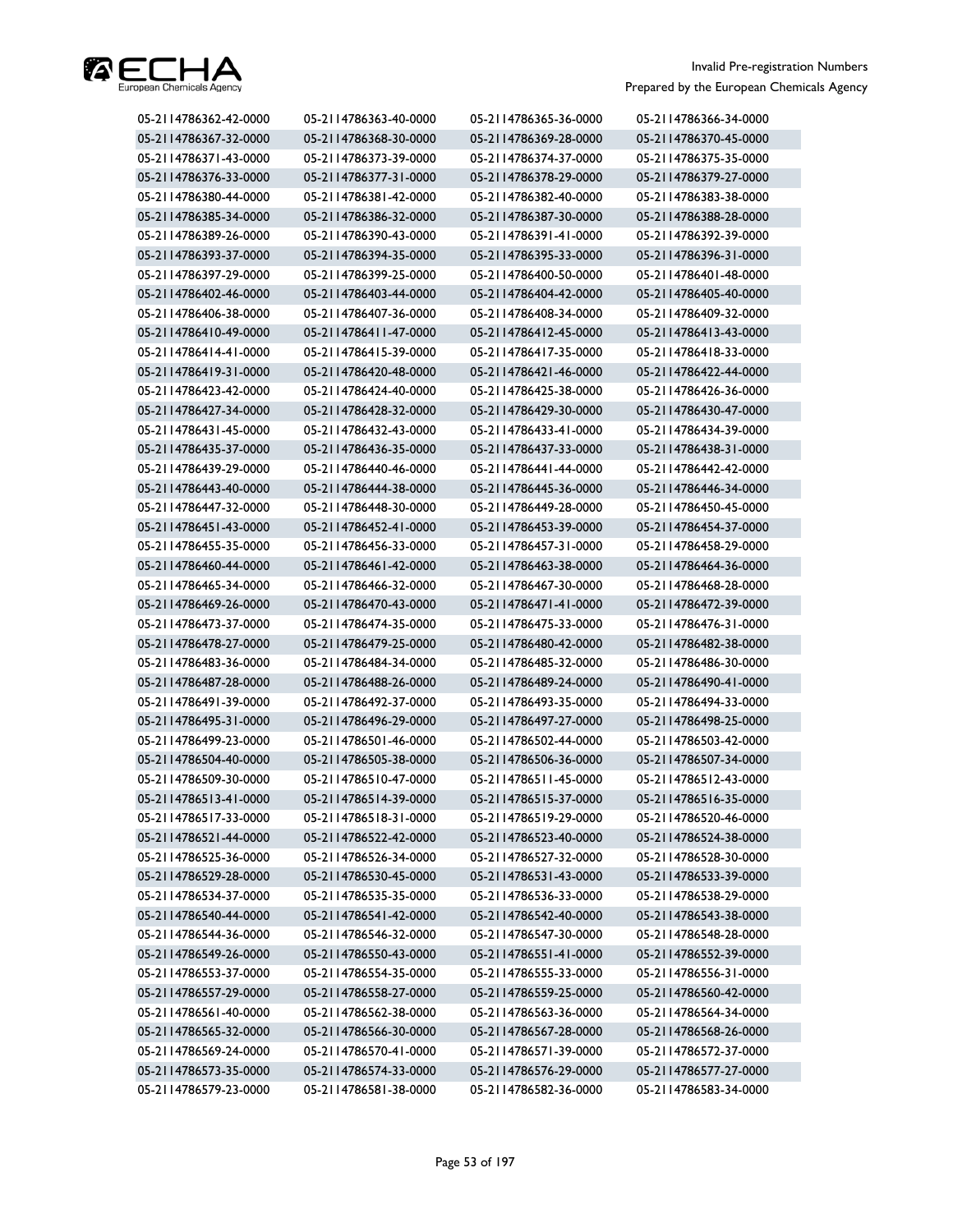

| 05-2114786362-42-0000 | 05-2114786363-40-0000 | 05-2114786365-36-0000 | 05-2114786366-34-0000 |
|-----------------------|-----------------------|-----------------------|-----------------------|
| 05-2114786367-32-0000 | 05-2114786368-30-0000 | 05-2114786369-28-0000 | 05-2114786370-45-0000 |
| 05-2114786371-43-0000 | 05-2114786373-39-0000 | 05-2114786374-37-0000 | 05-2114786375-35-0000 |
| 05-2114786376-33-0000 | 05-2114786377-31-0000 | 05-2114786378-29-0000 | 05-2114786379-27-0000 |
| 05-2114786380-44-0000 | 05-2114786381-42-0000 | 05-2114786382-40-0000 | 05-2114786383-38-0000 |
| 05-2114786385-34-0000 | 05-2114786386-32-0000 | 05-2114786387-30-0000 | 05-2114786388-28-0000 |
| 05-2114786389-26-0000 | 05-2114786390-43-0000 | 05-2114786391-41-0000 | 05-2114786392-39-0000 |
| 05-2114786393-37-0000 | 05-2114786394-35-0000 | 05-2114786395-33-0000 | 05-2114786396-31-0000 |
| 05-2114786397-29-0000 | 05-2114786399-25-0000 | 05-2114786400-50-0000 | 05-2114786401-48-0000 |
| 05-2114786402-46-0000 | 05-2114786403-44-0000 | 05-2114786404-42-0000 | 05-2114786405-40-0000 |
| 05-2114786406-38-0000 | 05-2114786407-36-0000 | 05-2114786408-34-0000 | 05-2114786409-32-0000 |
| 05-2114786410-49-0000 | 05-2114786411-47-0000 | 05-2114786412-45-0000 | 05-2114786413-43-0000 |
| 05-2114786414-41-0000 | 05-2114786415-39-0000 | 05-2114786417-35-0000 | 05-2114786418-33-0000 |
| 05-2114786419-31-0000 | 05-2114786420-48-0000 | 05-2114786421-46-0000 | 05-2114786422-44-0000 |
| 05-2114786423-42-0000 | 05-2114786424-40-0000 | 05-2114786425-38-0000 | 05-2114786426-36-0000 |
| 05-2114786427-34-0000 | 05-2114786428-32-0000 | 05-2114786429-30-0000 | 05-2114786430-47-0000 |
| 05-2114786431-45-0000 | 05-2114786432-43-0000 | 05-2114786433-41-0000 | 05-2114786434-39-0000 |
| 05-2114786435-37-0000 | 05-2114786436-35-0000 | 05-2114786437-33-0000 | 05-2114786438-31-0000 |
| 05-2114786439-29-0000 | 05-2114786440-46-0000 | 05-2114786441-44-0000 | 05-2114786442-42-0000 |
| 05-2114786443-40-0000 | 05-2114786444-38-0000 | 05-2114786445-36-0000 | 05-2114786446-34-0000 |
| 05-2114786447-32-0000 | 05-2114786448-30-0000 | 05-2114786449-28-0000 | 05-2114786450-45-0000 |
| 05-2114786451-43-0000 | 05-2114786452-41-0000 | 05-2114786453-39-0000 | 05-2114786454-37-0000 |
| 05-2114786455-35-0000 | 05-2114786456-33-0000 | 05-2114786457-31-0000 | 05-2114786458-29-0000 |
| 05-2114786460-44-0000 | 05-2114786461-42-0000 | 05-2114786463-38-0000 | 05-2114786464-36-0000 |
| 05-2114786465-34-0000 | 05-2114786466-32-0000 | 05-2114786467-30-0000 | 05-2114786468-28-0000 |
| 05-2114786469-26-0000 | 05-2114786470-43-0000 | 05-2114786471-41-0000 | 05-2114786472-39-0000 |
| 05-2114786473-37-0000 | 05-2114786474-35-0000 | 05-2114786475-33-0000 | 05-2114786476-31-0000 |
| 05-2114786478-27-0000 | 05-2114786479-25-0000 | 05-2114786480-42-0000 | 05-2114786482-38-0000 |
| 05-2114786483-36-0000 | 05-2114786484-34-0000 | 05-2114786485-32-0000 | 05-2114786486-30-0000 |
| 05-2114786487-28-0000 | 05-2114786488-26-0000 | 05-2114786489-24-0000 | 05-2114786490-41-0000 |
| 05-2114786491-39-0000 | 05-2114786492-37-0000 | 05-2114786493-35-0000 | 05-2114786494-33-0000 |
| 05-2114786495-31-0000 | 05-2114786496-29-0000 | 05-2114786497-27-0000 | 05-2114786498-25-0000 |
| 05-2114786499-23-0000 | 05-2114786501-46-0000 | 05-2114786502-44-0000 | 05-2114786503-42-0000 |
| 05-2114786504-40-0000 | 05-2114786505-38-0000 | 05-2114786506-36-0000 | 05-2114786507-34-0000 |
| 05-2114786509-30-0000 | 05-2114786510-47-0000 | 05-2114786511-45-0000 | 05-2114786512-43-0000 |
| 05-2114786513-41-0000 | 05-2114786514-39-0000 | 05-2114786515-37-0000 | 05-2114786516-35-0000 |
| 05-2114786517-33-0000 | 05-2114786518-31-0000 | 05-2114786519-29-0000 | 05-2114786520-46-0000 |
| 05-2114786521-44-0000 | 05-2114786522-42-0000 | 05-2114786523-40-0000 | 05-2114786524-38-0000 |
| 05-2114786525-36-0000 | 05-2114786526-34-0000 | 05-2114786527-32-0000 | 05-2114786528-30-0000 |
| 05-2114786529-28-0000 | 05-2114786530-45-0000 | 05-2114786531-43-0000 | 05-2114786533-39-0000 |
| 05-2114786534-37-0000 | 05-2114786535-35-0000 | 05-2114786536-33-0000 | 05-2114786538-29-0000 |
| 05-2114786540-44-0000 | 05-2114786541-42-0000 | 05-2114786542-40-0000 | 05-2114786543-38-0000 |
| 05-2114786544-36-0000 | 05-2114786546-32-0000 | 05-2114786547-30-0000 | 05-2114786548-28-0000 |
| 05-2114786549-26-0000 | 05-2114786550-43-0000 | 05-2114786551-41-0000 | 05-2114786552-39-0000 |
| 05-2114786553-37-0000 | 05-2114786554-35-0000 | 05-2114786555-33-0000 | 05-2114786556-31-0000 |
| 05-2114786557-29-0000 | 05-2114786558-27-0000 | 05-2114786559-25-0000 | 05-2114786560-42-0000 |
| 05-2114786561-40-0000 | 05-2114786562-38-0000 | 05-2114786563-36-0000 | 05-2114786564-34-0000 |
| 05-2114786565-32-0000 | 05-2114786566-30-0000 | 05-2114786567-28-0000 | 05-2114786568-26-0000 |
| 05-2114786569-24-0000 | 05-2114786570-41-0000 | 05-2114786571-39-0000 | 05-2114786572-37-0000 |
| 05-2114786573-35-0000 | 05-2114786574-33-0000 | 05-2114786576-29-0000 | 05-2114786577-27-0000 |
| 05-2114786579-23-0000 | 05-2114786581-38-0000 | 05-2114786582-36-0000 | 05-2114786583-34-0000 |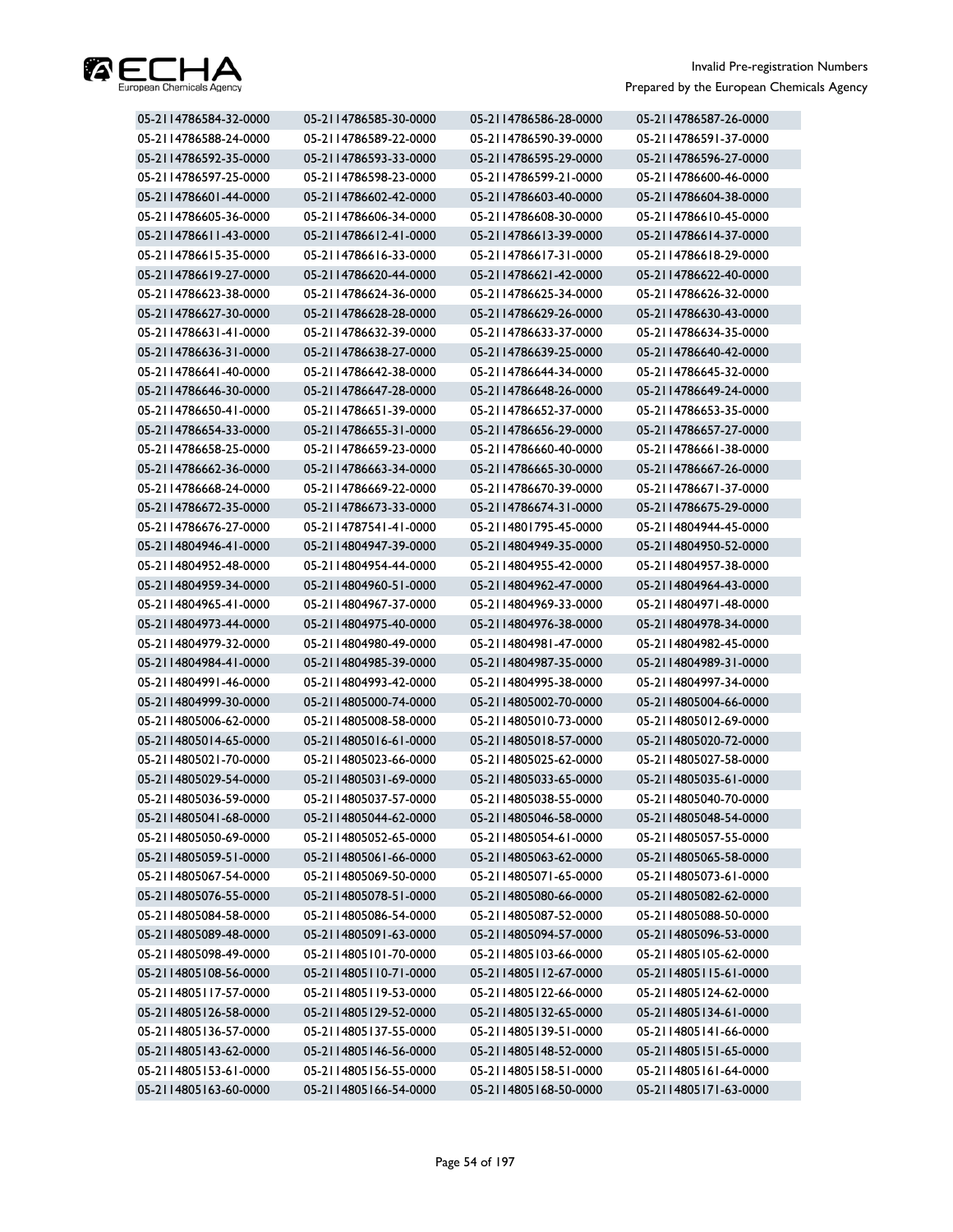

| 05-2114786584-32-0000 | 05-2114786585-30-0000 | 05-2114786586-28-0000 | 05-2114786587-26-0000 |
|-----------------------|-----------------------|-----------------------|-----------------------|
| 05-2114786588-24-0000 | 05-2114786589-22-0000 | 05-2114786590-39-0000 | 05-2114786591-37-0000 |
| 05-2114786592-35-0000 | 05-2114786593-33-0000 | 05-2114786595-29-0000 | 05-2114786596-27-0000 |
| 05-2114786597-25-0000 | 05-2114786598-23-0000 | 05-2114786599-21-0000 | 05-2114786600-46-0000 |
| 05-2114786601-44-0000 | 05-2114786602-42-0000 | 05-2114786603-40-0000 | 05-2114786604-38-0000 |
| 05-2114786605-36-0000 | 05-2114786606-34-0000 | 05-2114786608-30-0000 | 05-2114786610-45-0000 |
| 05-2114786611-43-0000 | 05-2114786612-41-0000 | 05-2114786613-39-0000 | 05-2114786614-37-0000 |
| 05-2114786615-35-0000 | 05-2114786616-33-0000 | 05-2114786617-31-0000 | 05-2114786618-29-0000 |
| 05-2114786619-27-0000 | 05-2114786620-44-0000 | 05-2114786621-42-0000 | 05-2114786622-40-0000 |
| 05-2114786623-38-0000 | 05-2114786624-36-0000 | 05-2114786625-34-0000 | 05-2114786626-32-0000 |
| 05-2114786627-30-0000 | 05-2114786628-28-0000 | 05-2114786629-26-0000 | 05-2114786630-43-0000 |
| 05-2114786631-41-0000 | 05-2114786632-39-0000 | 05-2114786633-37-0000 | 05-2114786634-35-0000 |
| 05-2114786636-31-0000 | 05-2114786638-27-0000 | 05-2114786639-25-0000 | 05-2114786640-42-0000 |
| 05-2114786641-40-0000 | 05-2114786642-38-0000 | 05-2114786644-34-0000 | 05-2114786645-32-0000 |
| 05-2114786646-30-0000 | 05-2114786647-28-0000 | 05-2114786648-26-0000 | 05-2114786649-24-0000 |
| 05-2114786650-41-0000 | 05-2114786651-39-0000 | 05-2114786652-37-0000 | 05-2114786653-35-0000 |
| 05-2114786654-33-0000 | 05-2114786655-31-0000 | 05-2114786656-29-0000 | 05-2114786657-27-0000 |
| 05-2114786658-25-0000 | 05-2114786659-23-0000 | 05-2114786660-40-0000 | 05-2114786661-38-0000 |
| 05-2114786662-36-0000 | 05-2114786663-34-0000 | 05-2114786665-30-0000 | 05-2114786667-26-0000 |
| 05-2114786668-24-0000 | 05-2114786669-22-0000 | 05-2114786670-39-0000 | 05-2114786671-37-0000 |
| 05-2114786672-35-0000 | 05-2114786673-33-0000 | 05-2114786674-31-0000 | 05-2114786675-29-0000 |
| 05-2114786676-27-0000 | 05-2114787541-41-0000 | 05-2114801795-45-0000 | 05-2114804944-45-0000 |
| 05-2114804946-41-0000 | 05-2114804947-39-0000 | 05-2114804949-35-0000 | 05-2114804950-52-0000 |
| 05-2114804952-48-0000 | 05-2114804954-44-0000 | 05-2114804955-42-0000 | 05-2114804957-38-0000 |
| 05-2114804959-34-0000 | 05-2114804960-51-0000 | 05-2114804962-47-0000 | 05-2114804964-43-0000 |
| 05-2114804965-41-0000 | 05-2114804967-37-0000 | 05-2114804969-33-0000 | 05-2114804971-48-0000 |
| 05-2114804973-44-0000 | 05-2114804975-40-0000 | 05-2114804976-38-0000 | 05-2114804978-34-0000 |
| 05-2114804979-32-0000 | 05-2114804980-49-0000 | 05-2114804981-47-0000 | 05-2114804982-45-0000 |
| 05-2114804984-41-0000 | 05-2114804985-39-0000 | 05-2114804987-35-0000 | 05-2114804989-31-0000 |
| 05-2114804991-46-0000 | 05-2114804993-42-0000 | 05-2114804995-38-0000 | 05-2114804997-34-0000 |
| 05-2114804999-30-0000 | 05-2114805000-74-0000 | 05-2114805002-70-0000 | 05-2114805004-66-0000 |
| 05-2114805006-62-0000 | 05-2114805008-58-0000 | 05-2114805010-73-0000 | 05-2114805012-69-0000 |
| 05-2114805014-65-0000 | 05-2114805016-61-0000 | 05-2114805018-57-0000 | 05-2114805020-72-0000 |
| 05-2114805021-70-0000 | 05-2114805023-66-0000 | 05-2114805025-62-0000 | 05-2114805027-58-0000 |
| 05-2114805029-54-0000 | 05-2114805031-69-0000 | 05-2114805033-65-0000 | 05-2114805035-61-0000 |
| 05-2114805036-59-0000 | 05-2114805037-57-0000 | 05-2114805038-55-0000 | 05-2114805040-70-0000 |
| 05-2114805041-68-0000 | 05-2114805044-62-0000 | 05-2114805046-58-0000 | 05-2114805048-54-0000 |
| 05-2114805050-69-0000 | 05-2114805052-65-0000 | 05-2114805054-61-0000 | 05-2114805057-55-0000 |
| 05-2114805059-51-0000 | 05-2114805061-66-0000 | 05-2114805063-62-0000 | 05-2114805065-58-0000 |
| 05-2114805067-54-0000 | 05-2114805069-50-0000 | 05-2114805071-65-0000 | 05-2114805073-61-0000 |
| 05-2114805076-55-0000 | 05-2114805078-51-0000 | 05-2114805080-66-0000 | 05-2114805082-62-0000 |
| 05-2114805084-58-0000 | 05-2114805086-54-0000 | 05-2114805087-52-0000 | 05-2114805088-50-0000 |
| 05-2114805089-48-0000 | 05-2114805091-63-0000 | 05-2114805094-57-0000 | 05-2114805096-53-0000 |
| 05-2114805098-49-0000 | 05-2114805101-70-0000 | 05-2114805103-66-0000 | 05-2114805105-62-0000 |
| 05-2114805108-56-0000 | 05-2114805110-71-0000 | 05-2114805112-67-0000 | 05-2114805115-61-0000 |
| 05-2114805117-57-0000 | 05-2114805119-53-0000 | 05-2114805122-66-0000 | 05-2114805124-62-0000 |
| 05-2114805126-58-0000 | 05-2114805129-52-0000 | 05-2114805132-65-0000 | 05-2114805134-61-0000 |
| 05-2114805136-57-0000 | 05-2114805137-55-0000 | 05-2114805139-51-0000 | 05-2114805141-66-0000 |
| 05-2114805143-62-0000 | 05-2114805146-56-0000 | 05-2114805148-52-0000 | 05-2114805151-65-0000 |
| 05-2114805153-61-0000 | 05-2114805156-55-0000 | 05-2114805158-51-0000 | 05-2114805161-64-0000 |
| 05-2114805163-60-0000 | 05-2114805166-54-0000 | 05-2114805168-50-0000 | 05-2114805171-63-0000 |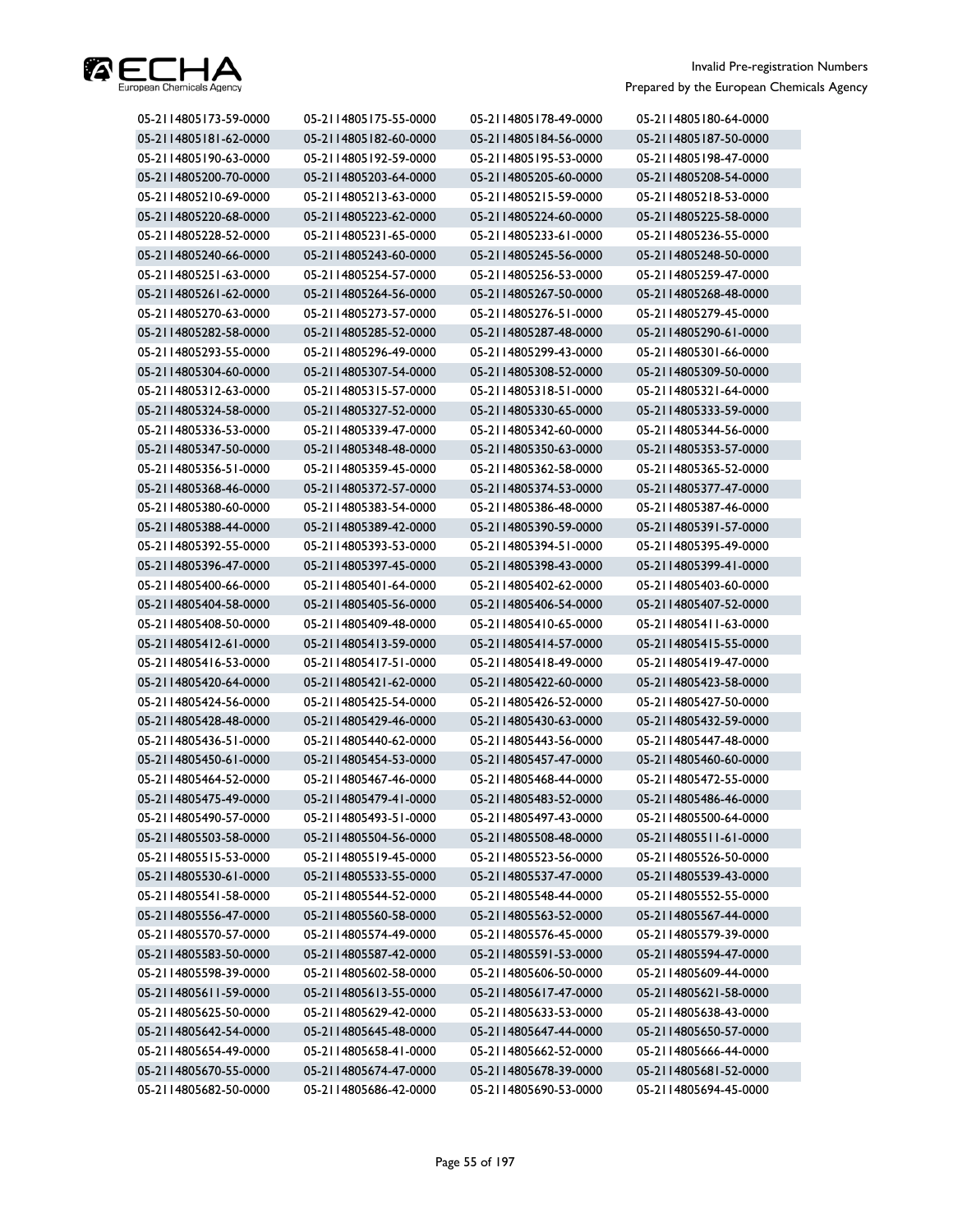

| 05-2114805173-59-0000 | 05-2114805175-55-0000 | 05-2114805178-49-0000 | 05-2114805180-64-0000 |
|-----------------------|-----------------------|-----------------------|-----------------------|
| 05-2114805181-62-0000 | 05-2114805182-60-0000 | 05-2114805184-56-0000 | 05-2114805187-50-0000 |
| 05-2114805190-63-0000 | 05-2114805192-59-0000 | 05-2114805195-53-0000 | 05-2114805198-47-0000 |
| 05-2114805200-70-0000 | 05-2114805203-64-0000 | 05-2114805205-60-0000 | 05-2114805208-54-0000 |
| 05-2114805210-69-0000 | 05-2114805213-63-0000 | 05-2114805215-59-0000 | 05-2114805218-53-0000 |
| 05-2114805220-68-0000 | 05-2114805223-62-0000 | 05-2114805224-60-0000 | 05-2114805225-58-0000 |
| 05-2114805228-52-0000 | 05-2114805231-65-0000 | 05-2114805233-61-0000 | 05-2114805236-55-0000 |
| 05-2114805240-66-0000 | 05-2114805243-60-0000 | 05-2114805245-56-0000 | 05-2114805248-50-0000 |
| 05-2114805251-63-0000 | 05-2114805254-57-0000 | 05-2114805256-53-0000 | 05-2114805259-47-0000 |
| 05-2114805261-62-0000 | 05-2114805264-56-0000 | 05-2114805267-50-0000 | 05-2114805268-48-0000 |
| 05-2114805270-63-0000 | 05-2114805273-57-0000 | 05-2114805276-51-0000 | 05-2114805279-45-0000 |
| 05-2114805282-58-0000 | 05-2114805285-52-0000 | 05-2114805287-48-0000 | 05-2114805290-61-0000 |
| 05-2114805293-55-0000 | 05-2114805296-49-0000 | 05-2114805299-43-0000 | 05-2114805301-66-0000 |
| 05-2114805304-60-0000 | 05-2114805307-54-0000 | 05-2114805308-52-0000 | 05-2114805309-50-0000 |
| 05-2114805312-63-0000 | 05-2114805315-57-0000 | 05-2114805318-51-0000 | 05-2114805321-64-0000 |
| 05-2114805324-58-0000 | 05-2114805327-52-0000 | 05-2114805330-65-0000 | 05-2114805333-59-0000 |
| 05-2114805336-53-0000 | 05-2114805339-47-0000 | 05-2114805342-60-0000 | 05-2114805344-56-0000 |
| 05-2114805347-50-0000 | 05-2114805348-48-0000 | 05-2114805350-63-0000 | 05-2114805353-57-0000 |
| 05-2114805356-51-0000 | 05-2114805359-45-0000 | 05-2114805362-58-0000 | 05-2114805365-52-0000 |
| 05-2114805368-46-0000 | 05-2114805372-57-0000 | 05-2114805374-53-0000 | 05-2114805377-47-0000 |
| 05-2114805380-60-0000 | 05-2114805383-54-0000 | 05-2114805386-48-0000 | 05-2114805387-46-0000 |
| 05-2114805388-44-0000 | 05-2114805389-42-0000 | 05-2114805390-59-0000 | 05-2114805391-57-0000 |
| 05-2114805392-55-0000 | 05-2114805393-53-0000 | 05-2114805394-51-0000 | 05-2114805395-49-0000 |
| 05-2114805396-47-0000 | 05-2114805397-45-0000 | 05-2114805398-43-0000 | 05-2114805399-41-0000 |
| 05-2114805400-66-0000 | 05-2114805401-64-0000 | 05-2114805402-62-0000 | 05-2114805403-60-0000 |
| 05-2114805404-58-0000 | 05-2114805405-56-0000 | 05-2114805406-54-0000 | 05-2114805407-52-0000 |
| 05-2114805408-50-0000 | 05-2114805409-48-0000 | 05-2114805410-65-0000 | 05-2114805411-63-0000 |
| 05-2114805412-61-0000 | 05-2114805413-59-0000 | 05-2114805414-57-0000 | 05-2114805415-55-0000 |
| 05-2114805416-53-0000 | 05-2114805417-51-0000 | 05-2114805418-49-0000 | 05-2114805419-47-0000 |
| 05-2114805420-64-0000 | 05-2114805421-62-0000 | 05-2114805422-60-0000 | 05-2114805423-58-0000 |
| 05-2114805424-56-0000 | 05-2114805425-54-0000 | 05-2114805426-52-0000 | 05-2114805427-50-0000 |
| 05-2114805428-48-0000 | 05-2114805429-46-0000 | 05-2114805430-63-0000 | 05-2114805432-59-0000 |
| 05-2114805436-51-0000 | 05-2114805440-62-0000 | 05-2114805443-56-0000 | 05-2114805447-48-0000 |
| 05-2114805450-61-0000 | 05-2114805454-53-0000 | 05-2114805457-47-0000 | 05-2114805460-60-0000 |
| 05-2114805464-52-0000 | 05-2114805467-46-0000 | 05-2114805468-44-0000 | 05-2114805472-55-0000 |
| 05-2114805475-49-0000 | 05-2114805479-41-0000 | 05-2114805483-52-0000 | 05-2114805486-46-0000 |
| 05-2114805490-57-0000 | 05-2114805493-51-0000 | 05-2114805497-43-0000 | 05-2114805500-64-0000 |
| 05-2114805503-58-0000 | 05-2114805504-56-0000 | 05-2114805508-48-0000 | 05-2114805511-61-0000 |
| 05-2114805515-53-0000 | 05-2114805519-45-0000 | 05-2114805523-56-0000 | 05-2114805526-50-0000 |
| 05-2114805530-61-0000 | 05-2114805533-55-0000 | 05-2114805537-47-0000 | 05-2114805539-43-0000 |
| 05-2114805541-58-0000 | 05-2114805544-52-0000 | 05-2114805548-44-0000 | 05-2114805552-55-0000 |
| 05-2114805556-47-0000 | 05-2114805560-58-0000 | 05-2114805563-52-0000 | 05-2114805567-44-0000 |
| 05-2114805570-57-0000 | 05-2114805574-49-0000 | 05-2114805576-45-0000 | 05-2114805579-39-0000 |
| 05-2114805583-50-0000 | 05-2114805587-42-0000 | 05-2114805591-53-0000 | 05-2114805594-47-0000 |
| 05-2114805598-39-0000 | 05-2114805602-58-0000 | 05-2114805606-50-0000 | 05-2114805609-44-0000 |
| 05-2114805611-59-0000 | 05-2114805613-55-0000 | 05-2114805617-47-0000 | 05-2114805621-58-0000 |
| 05-2114805625-50-0000 | 05-2114805629-42-0000 | 05-2114805633-53-0000 | 05-2114805638-43-0000 |
| 05-2114805642-54-0000 | 05-2114805645-48-0000 | 05-2114805647-44-0000 | 05-2114805650-57-0000 |
| 05-2114805654-49-0000 | 05-2114805658-41-0000 | 05-2114805662-52-0000 | 05-2114805666-44-0000 |
| 05-2114805670-55-0000 | 05-2114805674-47-0000 | 05-2114805678-39-0000 | 05-2114805681-52-0000 |
| 05-2114805682-50-0000 | 05-2114805686-42-0000 | 05-2114805690-53-0000 | 05-2114805694-45-0000 |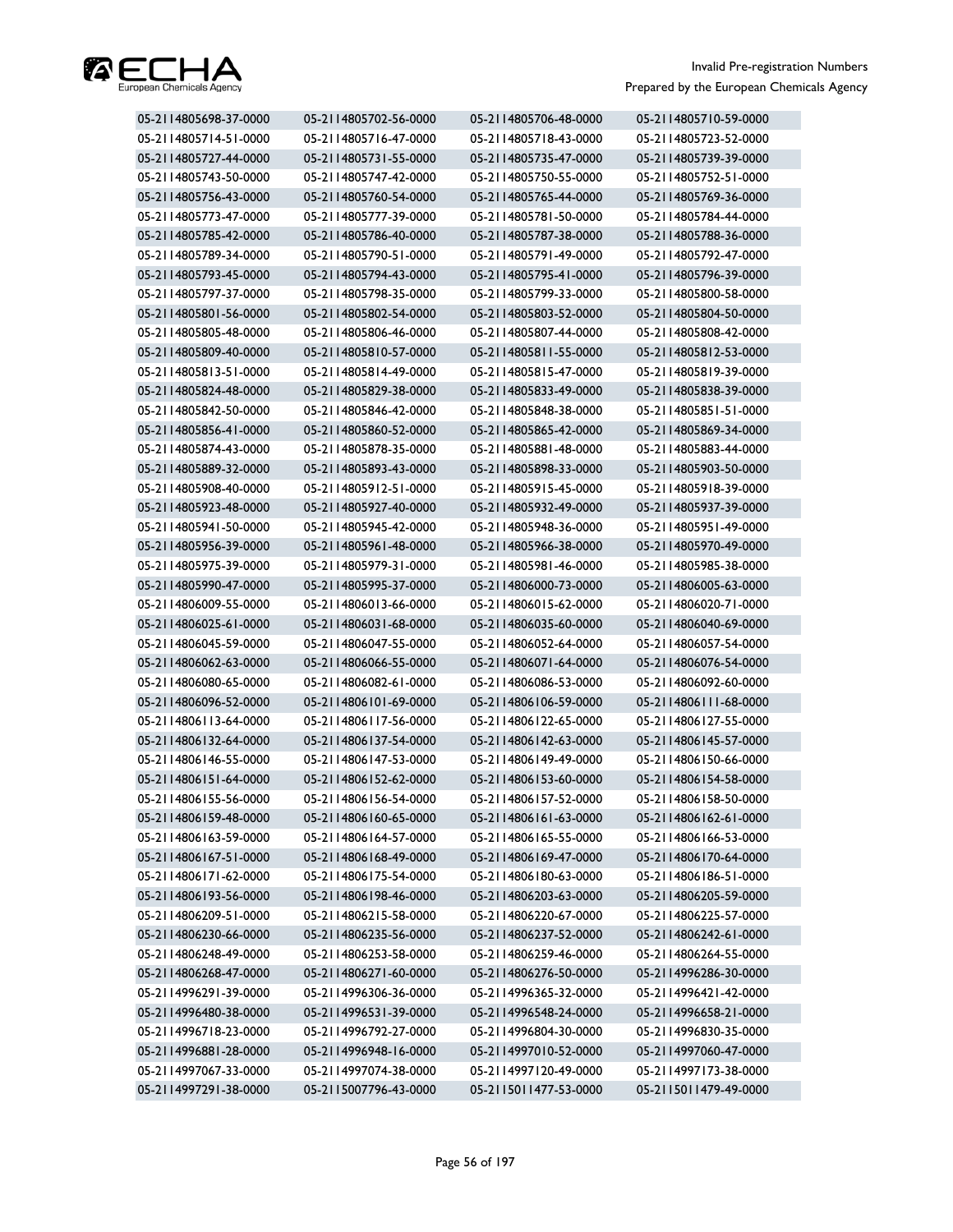

| 05-2114805698-37-0000 | 05-2114805702-56-0000 | 05-2114805706-48-0000 | 05-2114805710-59-0000 |
|-----------------------|-----------------------|-----------------------|-----------------------|
| 05-2114805714-51-0000 | 05-2114805716-47-0000 | 05-2114805718-43-0000 | 05-2114805723-52-0000 |
| 05-2114805727-44-0000 | 05-2114805731-55-0000 | 05-2114805735-47-0000 | 05-2114805739-39-0000 |
| 05-2114805743-50-0000 | 05-2114805747-42-0000 | 05-2114805750-55-0000 | 05-2114805752-51-0000 |
| 05-2114805756-43-0000 | 05-2114805760-54-0000 | 05-2114805765-44-0000 | 05-2114805769-36-0000 |
| 05-2114805773-47-0000 | 05-2114805777-39-0000 | 05-2114805781-50-0000 | 05-2114805784-44-0000 |
| 05-2114805785-42-0000 | 05-2114805786-40-0000 | 05-2114805787-38-0000 | 05-2114805788-36-0000 |
| 05-2114805789-34-0000 | 05-2114805790-51-0000 | 05-2114805791-49-0000 | 05-2114805792-47-0000 |
| 05-2114805793-45-0000 | 05-2114805794-43-0000 | 05-2114805795-41-0000 | 05-2114805796-39-0000 |
| 05-2114805797-37-0000 | 05-2114805798-35-0000 | 05-2114805799-33-0000 | 05-2114805800-58-0000 |
| 05-2114805801-56-0000 | 05-2114805802-54-0000 | 05-2114805803-52-0000 | 05-2114805804-50-0000 |
| 05-2114805805-48-0000 | 05-2114805806-46-0000 | 05-2114805807-44-0000 | 05-2114805808-42-0000 |
| 05-2114805809-40-0000 | 05-2114805810-57-0000 | 05-2114805811-55-0000 | 05-2114805812-53-0000 |
| 05-2114805813-51-0000 | 05-2114805814-49-0000 | 05-2114805815-47-0000 | 05-2114805819-39-0000 |
| 05-2114805824-48-0000 | 05-2114805829-38-0000 | 05-2114805833-49-0000 | 05-2114805838-39-0000 |
| 05-2114805842-50-0000 | 05-2114805846-42-0000 | 05-2114805848-38-0000 | 05-2114805851-51-0000 |
| 05-2114805856-41-0000 | 05-2114805860-52-0000 | 05-2114805865-42-0000 | 05-2114805869-34-0000 |
| 05-2114805874-43-0000 | 05-2114805878-35-0000 | 05-2114805881-48-0000 | 05-2114805883-44-0000 |
| 05-2114805889-32-0000 | 05-2114805893-43-0000 | 05-2114805898-33-0000 | 05-2114805903-50-0000 |
| 05-2114805908-40-0000 | 05-2114805912-51-0000 | 05-2114805915-45-0000 | 05-2114805918-39-0000 |
| 05-2114805923-48-0000 | 05-2114805927-40-0000 | 05-2114805932-49-0000 | 05-2114805937-39-0000 |
| 05-2114805941-50-0000 | 05-2114805945-42-0000 | 05-2114805948-36-0000 | 05-2114805951-49-0000 |
| 05-2114805956-39-0000 | 05-2114805961-48-0000 | 05-2114805966-38-0000 | 05-2114805970-49-0000 |
| 05-2114805975-39-0000 | 05-2114805979-31-0000 | 05-2114805981-46-0000 | 05-2114805985-38-0000 |
| 05-2114805990-47-0000 | 05-2114805995-37-0000 | 05-2114806000-73-0000 | 05-2114806005-63-0000 |
| 05-2114806009-55-0000 | 05-2114806013-66-0000 | 05-2114806015-62-0000 | 05-2114806020-71-0000 |
| 05-2114806025-61-0000 | 05-2114806031-68-0000 | 05-2114806035-60-0000 | 05-2114806040-69-0000 |
| 05-2114806045-59-0000 | 05-2114806047-55-0000 | 05-2114806052-64-0000 | 05-2114806057-54-0000 |
| 05-2114806062-63-0000 | 05-2114806066-55-0000 | 05-2114806071-64-0000 | 05-2114806076-54-0000 |
| 05-2114806080-65-0000 | 05-2114806082-61-0000 | 05-2114806086-53-0000 | 05-2114806092-60-0000 |
| 05-2114806096-52-0000 | 05-2114806101-69-0000 | 05-2114806106-59-0000 | 05-2114806111-68-0000 |
| 05-2114806113-64-0000 | 05-2114806117-56-0000 | 05-2114806122-65-0000 | 05-2114806127-55-0000 |
| 05-2114806132-64-0000 | 05-2114806137-54-0000 | 05-2114806142-63-0000 | 05-2114806145-57-0000 |
| 05-2114806146-55-0000 | 05-2114806147-53-0000 | 05-2114806149-49-0000 | 05-2114806150-66-0000 |
| 05-2114806151-64-0000 | 05-2114806152-62-0000 | 05-2114806153-60-0000 | 05-2114806154-58-0000 |
| 05-2114806155-56-0000 | 05-2114806156-54-0000 | 05-2114806157-52-0000 | 05-2114806158-50-0000 |
| 05-2114806159-48-0000 | 05-2114806160-65-0000 | 05-2114806161-63-0000 | 05-2114806162-61-0000 |
| 05-2114806163-59-0000 | 05-2114806164-57-0000 | 05-2114806165-55-0000 | 05-2114806166-53-0000 |
| 05-2114806167-51-0000 | 05-2114806168-49-0000 | 05-2114806169-47-0000 | 05-2114806170-64-0000 |
| 05-2114806171-62-0000 | 05-2114806175-54-0000 | 05-2114806180-63-0000 | 05-2114806186-51-0000 |
| 05-2114806193-56-0000 | 05-2114806198-46-0000 | 05-2114806203-63-0000 | 05-2114806205-59-0000 |
| 05-2114806209-51-0000 | 05-2114806215-58-0000 | 05-2114806220-67-0000 | 05-2114806225-57-0000 |
| 05-2114806230-66-0000 | 05-2114806235-56-0000 | 05-2114806237-52-0000 | 05-2114806242-61-0000 |
| 05-2114806248-49-0000 | 05-2114806253-58-0000 | 05-2114806259-46-0000 | 05-2114806264-55-0000 |
| 05-2114806268-47-0000 | 05-2114806271-60-0000 | 05-2114806276-50-0000 | 05-2114996286-30-0000 |
| 05-2114996291-39-0000 | 05-2114996306-36-0000 | 05-2114996365-32-0000 | 05-2114996421-42-0000 |
| 05-2114996480-38-0000 | 05-2114996531-39-0000 | 05-2114996548-24-0000 | 05-2114996658-21-0000 |
| 05-2114996718-23-0000 | 05-2114996792-27-0000 | 05-2114996804-30-0000 | 05-2114996830-35-0000 |
| 05-2114996881-28-0000 | 05-2114996948-16-0000 | 05-2114997010-52-0000 | 05-2114997060-47-0000 |
| 05-2114997067-33-0000 | 05-2114997074-38-0000 | 05-2114997120-49-0000 | 05-2114997173-38-0000 |
| 05-2114997291-38-0000 | 05-2115007796-43-0000 | 05-2115011477-53-0000 | 05-2115011479-49-0000 |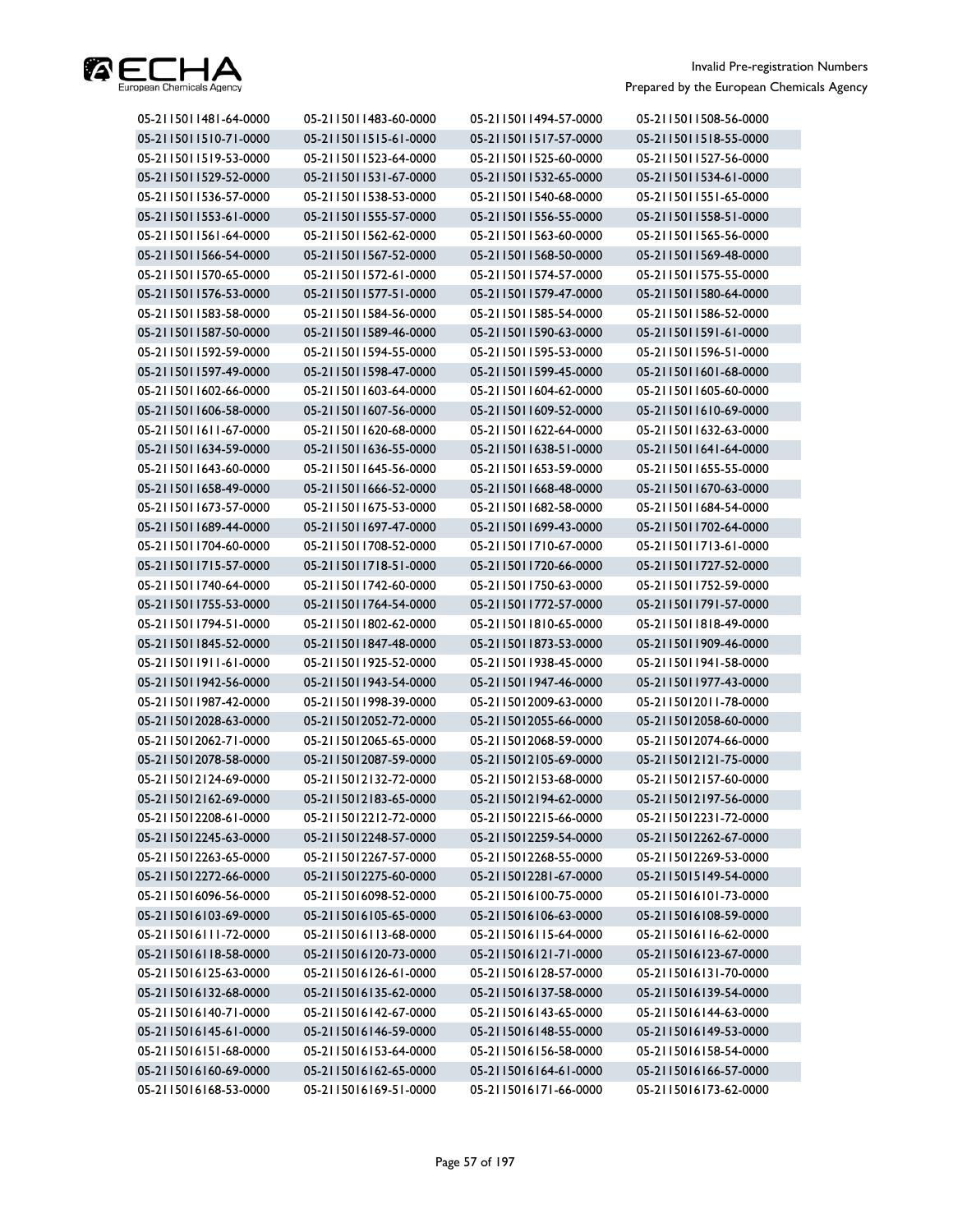

| 05-2115011510-71-0000<br>05-2115011515-61-0000<br>05-2115011517-57-0000<br>05-2115011518-55-0000<br>05-2115011519-53-0000<br>05-2115011523-64-0000<br>05-2115011525-60-0000<br>05-2115011527-56-0000<br>05-2115011529-52-0000<br>05-2115011531-67-0000<br>05-2115011532-65-0000<br>05-2115011534-61-0000<br>05-2115011536-57-0000<br>05-2115011538-53-0000<br>05-2115011540-68-0000<br>05-2115011551-65-0000<br>05-2115011553-61-0000<br>05-2115011555-57-0000<br>05-2115011556-55-0000<br>05-2115011558-51-0000<br>05-2115011562-62-0000<br>05-2115011563-60-0000<br>05-2115011565-56-0000<br>05-2115011561-64-0000<br>05-2115011566-54-0000<br>05-2115011567-52-0000<br>05-2115011568-50-0000<br>05-2115011569-48-0000<br>05-2115011570-65-0000<br>05-2115011572-61-0000<br>05-2115011574-57-0000<br>05-2115011575-55-0000<br>05-2115011576-53-0000<br>05-2115011577-51-0000<br>05-2115011579-47-0000<br>05-2115011580-64-0000<br>05-2115011586-52-0000<br>05-2115011583-58-0000<br>05-2115011584-56-0000<br>05-2115011585-54-0000<br>05-2115011587-50-0000<br>05-2115011589-46-0000<br>05-2115011590-63-0000<br>05-2115011591-61-0000<br>05-2115011592-59-0000<br>05-2115011595-53-0000<br>05-2115011596-51-0000<br>05-2115011594-55-0000<br>05-2115011597-49-0000<br>05-2115011599-45-0000<br>05-2115011598-47-0000<br>05-2115011601-68-0000<br>05-2115011602-66-0000<br>05-2115011604-62-0000<br>05-2115011603-64-0000<br>05-2115011605-60-0000<br>05-2115011606-58-0000<br>05-2115011607-56-0000<br>05-2115011609-52-0000<br>05-2115011610-69-0000<br>05-2115011611-67-0000<br>05-2115011620-68-0000<br>05-2115011622-64-0000<br>05-2115011632-63-0000<br>05-2115011634-59-0000<br>05-2115011638-51-0000<br>05-2115011641-64-0000<br>05-2115011636-55-0000<br>05-2115011643-60-0000<br>05-2115011645-56-0000<br>05-2115011653-59-0000<br>05-2115011655-55-0000<br>05-2115011658-49-0000<br>05-2115011666-52-0000<br>05-2115011668-48-0000<br>05-2115011670-63-0000<br>05-2115011682-58-0000<br>05-2115011684-54-0000<br>05-2115011673-57-0000<br>05-2115011675-53-0000<br>05-2115011689-44-0000<br>05-2115011697-47-0000<br>05-2115011699-43-0000<br>05-2115011702-64-0000<br>05-2115011704-60-0000<br>05-2115011708-52-0000<br>05-2115011710-67-0000<br>05-2115011713-61-0000<br>05-2115011715-57-0000<br>05-2115011718-51-0000<br>05-2115011720-66-0000<br>05-2115011727-52-0000<br>05-2115011740-64-0000<br>05-2115011742-60-0000<br>05-2115011750-63-0000<br>05-2115011752-59-0000<br>05-2115011755-53-0000<br>05-2115011791-57-0000<br>05-2115011764-54-0000<br>05-2115011772-57-0000<br>05-2115011794-51-0000<br>05-2115011802-62-0000<br>05-2115011810-65-0000<br>05-2115011818-49-0000 |
|------------------------------------------------------------------------------------------------------------------------------------------------------------------------------------------------------------------------------------------------------------------------------------------------------------------------------------------------------------------------------------------------------------------------------------------------------------------------------------------------------------------------------------------------------------------------------------------------------------------------------------------------------------------------------------------------------------------------------------------------------------------------------------------------------------------------------------------------------------------------------------------------------------------------------------------------------------------------------------------------------------------------------------------------------------------------------------------------------------------------------------------------------------------------------------------------------------------------------------------------------------------------------------------------------------------------------------------------------------------------------------------------------------------------------------------------------------------------------------------------------------------------------------------------------------------------------------------------------------------------------------------------------------------------------------------------------------------------------------------------------------------------------------------------------------------------------------------------------------------------------------------------------------------------------------------------------------------------------------------------------------------------------------------------------------------------------------------------------------------------------------------------------------------------------------------------------------------------------------------------------------------------------------------------------------------------------------------------------------------------------------------------------------------------------------------------------------------------------------------------------------------------------------------------------------------------------------------------------------------------------------------------------------------------------------------------------|
|                                                                                                                                                                                                                                                                                                                                                                                                                                                                                                                                                                                                                                                                                                                                                                                                                                                                                                                                                                                                                                                                                                                                                                                                                                                                                                                                                                                                                                                                                                                                                                                                                                                                                                                                                                                                                                                                                                                                                                                                                                                                                                                                                                                                                                                                                                                                                                                                                                                                                                                                                                                                                                                                                                      |
|                                                                                                                                                                                                                                                                                                                                                                                                                                                                                                                                                                                                                                                                                                                                                                                                                                                                                                                                                                                                                                                                                                                                                                                                                                                                                                                                                                                                                                                                                                                                                                                                                                                                                                                                                                                                                                                                                                                                                                                                                                                                                                                                                                                                                                                                                                                                                                                                                                                                                                                                                                                                                                                                                                      |
|                                                                                                                                                                                                                                                                                                                                                                                                                                                                                                                                                                                                                                                                                                                                                                                                                                                                                                                                                                                                                                                                                                                                                                                                                                                                                                                                                                                                                                                                                                                                                                                                                                                                                                                                                                                                                                                                                                                                                                                                                                                                                                                                                                                                                                                                                                                                                                                                                                                                                                                                                                                                                                                                                                      |
|                                                                                                                                                                                                                                                                                                                                                                                                                                                                                                                                                                                                                                                                                                                                                                                                                                                                                                                                                                                                                                                                                                                                                                                                                                                                                                                                                                                                                                                                                                                                                                                                                                                                                                                                                                                                                                                                                                                                                                                                                                                                                                                                                                                                                                                                                                                                                                                                                                                                                                                                                                                                                                                                                                      |
|                                                                                                                                                                                                                                                                                                                                                                                                                                                                                                                                                                                                                                                                                                                                                                                                                                                                                                                                                                                                                                                                                                                                                                                                                                                                                                                                                                                                                                                                                                                                                                                                                                                                                                                                                                                                                                                                                                                                                                                                                                                                                                                                                                                                                                                                                                                                                                                                                                                                                                                                                                                                                                                                                                      |
|                                                                                                                                                                                                                                                                                                                                                                                                                                                                                                                                                                                                                                                                                                                                                                                                                                                                                                                                                                                                                                                                                                                                                                                                                                                                                                                                                                                                                                                                                                                                                                                                                                                                                                                                                                                                                                                                                                                                                                                                                                                                                                                                                                                                                                                                                                                                                                                                                                                                                                                                                                                                                                                                                                      |
|                                                                                                                                                                                                                                                                                                                                                                                                                                                                                                                                                                                                                                                                                                                                                                                                                                                                                                                                                                                                                                                                                                                                                                                                                                                                                                                                                                                                                                                                                                                                                                                                                                                                                                                                                                                                                                                                                                                                                                                                                                                                                                                                                                                                                                                                                                                                                                                                                                                                                                                                                                                                                                                                                                      |
|                                                                                                                                                                                                                                                                                                                                                                                                                                                                                                                                                                                                                                                                                                                                                                                                                                                                                                                                                                                                                                                                                                                                                                                                                                                                                                                                                                                                                                                                                                                                                                                                                                                                                                                                                                                                                                                                                                                                                                                                                                                                                                                                                                                                                                                                                                                                                                                                                                                                                                                                                                                                                                                                                                      |
|                                                                                                                                                                                                                                                                                                                                                                                                                                                                                                                                                                                                                                                                                                                                                                                                                                                                                                                                                                                                                                                                                                                                                                                                                                                                                                                                                                                                                                                                                                                                                                                                                                                                                                                                                                                                                                                                                                                                                                                                                                                                                                                                                                                                                                                                                                                                                                                                                                                                                                                                                                                                                                                                                                      |
|                                                                                                                                                                                                                                                                                                                                                                                                                                                                                                                                                                                                                                                                                                                                                                                                                                                                                                                                                                                                                                                                                                                                                                                                                                                                                                                                                                                                                                                                                                                                                                                                                                                                                                                                                                                                                                                                                                                                                                                                                                                                                                                                                                                                                                                                                                                                                                                                                                                                                                                                                                                                                                                                                                      |
|                                                                                                                                                                                                                                                                                                                                                                                                                                                                                                                                                                                                                                                                                                                                                                                                                                                                                                                                                                                                                                                                                                                                                                                                                                                                                                                                                                                                                                                                                                                                                                                                                                                                                                                                                                                                                                                                                                                                                                                                                                                                                                                                                                                                                                                                                                                                                                                                                                                                                                                                                                                                                                                                                                      |
|                                                                                                                                                                                                                                                                                                                                                                                                                                                                                                                                                                                                                                                                                                                                                                                                                                                                                                                                                                                                                                                                                                                                                                                                                                                                                                                                                                                                                                                                                                                                                                                                                                                                                                                                                                                                                                                                                                                                                                                                                                                                                                                                                                                                                                                                                                                                                                                                                                                                                                                                                                                                                                                                                                      |
|                                                                                                                                                                                                                                                                                                                                                                                                                                                                                                                                                                                                                                                                                                                                                                                                                                                                                                                                                                                                                                                                                                                                                                                                                                                                                                                                                                                                                                                                                                                                                                                                                                                                                                                                                                                                                                                                                                                                                                                                                                                                                                                                                                                                                                                                                                                                                                                                                                                                                                                                                                                                                                                                                                      |
|                                                                                                                                                                                                                                                                                                                                                                                                                                                                                                                                                                                                                                                                                                                                                                                                                                                                                                                                                                                                                                                                                                                                                                                                                                                                                                                                                                                                                                                                                                                                                                                                                                                                                                                                                                                                                                                                                                                                                                                                                                                                                                                                                                                                                                                                                                                                                                                                                                                                                                                                                                                                                                                                                                      |
|                                                                                                                                                                                                                                                                                                                                                                                                                                                                                                                                                                                                                                                                                                                                                                                                                                                                                                                                                                                                                                                                                                                                                                                                                                                                                                                                                                                                                                                                                                                                                                                                                                                                                                                                                                                                                                                                                                                                                                                                                                                                                                                                                                                                                                                                                                                                                                                                                                                                                                                                                                                                                                                                                                      |
|                                                                                                                                                                                                                                                                                                                                                                                                                                                                                                                                                                                                                                                                                                                                                                                                                                                                                                                                                                                                                                                                                                                                                                                                                                                                                                                                                                                                                                                                                                                                                                                                                                                                                                                                                                                                                                                                                                                                                                                                                                                                                                                                                                                                                                                                                                                                                                                                                                                                                                                                                                                                                                                                                                      |
|                                                                                                                                                                                                                                                                                                                                                                                                                                                                                                                                                                                                                                                                                                                                                                                                                                                                                                                                                                                                                                                                                                                                                                                                                                                                                                                                                                                                                                                                                                                                                                                                                                                                                                                                                                                                                                                                                                                                                                                                                                                                                                                                                                                                                                                                                                                                                                                                                                                                                                                                                                                                                                                                                                      |
|                                                                                                                                                                                                                                                                                                                                                                                                                                                                                                                                                                                                                                                                                                                                                                                                                                                                                                                                                                                                                                                                                                                                                                                                                                                                                                                                                                                                                                                                                                                                                                                                                                                                                                                                                                                                                                                                                                                                                                                                                                                                                                                                                                                                                                                                                                                                                                                                                                                                                                                                                                                                                                                                                                      |
|                                                                                                                                                                                                                                                                                                                                                                                                                                                                                                                                                                                                                                                                                                                                                                                                                                                                                                                                                                                                                                                                                                                                                                                                                                                                                                                                                                                                                                                                                                                                                                                                                                                                                                                                                                                                                                                                                                                                                                                                                                                                                                                                                                                                                                                                                                                                                                                                                                                                                                                                                                                                                                                                                                      |
|                                                                                                                                                                                                                                                                                                                                                                                                                                                                                                                                                                                                                                                                                                                                                                                                                                                                                                                                                                                                                                                                                                                                                                                                                                                                                                                                                                                                                                                                                                                                                                                                                                                                                                                                                                                                                                                                                                                                                                                                                                                                                                                                                                                                                                                                                                                                                                                                                                                                                                                                                                                                                                                                                                      |
|                                                                                                                                                                                                                                                                                                                                                                                                                                                                                                                                                                                                                                                                                                                                                                                                                                                                                                                                                                                                                                                                                                                                                                                                                                                                                                                                                                                                                                                                                                                                                                                                                                                                                                                                                                                                                                                                                                                                                                                                                                                                                                                                                                                                                                                                                                                                                                                                                                                                                                                                                                                                                                                                                                      |
|                                                                                                                                                                                                                                                                                                                                                                                                                                                                                                                                                                                                                                                                                                                                                                                                                                                                                                                                                                                                                                                                                                                                                                                                                                                                                                                                                                                                                                                                                                                                                                                                                                                                                                                                                                                                                                                                                                                                                                                                                                                                                                                                                                                                                                                                                                                                                                                                                                                                                                                                                                                                                                                                                                      |
|                                                                                                                                                                                                                                                                                                                                                                                                                                                                                                                                                                                                                                                                                                                                                                                                                                                                                                                                                                                                                                                                                                                                                                                                                                                                                                                                                                                                                                                                                                                                                                                                                                                                                                                                                                                                                                                                                                                                                                                                                                                                                                                                                                                                                                                                                                                                                                                                                                                                                                                                                                                                                                                                                                      |
|                                                                                                                                                                                                                                                                                                                                                                                                                                                                                                                                                                                                                                                                                                                                                                                                                                                                                                                                                                                                                                                                                                                                                                                                                                                                                                                                                                                                                                                                                                                                                                                                                                                                                                                                                                                                                                                                                                                                                                                                                                                                                                                                                                                                                                                                                                                                                                                                                                                                                                                                                                                                                                                                                                      |
|                                                                                                                                                                                                                                                                                                                                                                                                                                                                                                                                                                                                                                                                                                                                                                                                                                                                                                                                                                                                                                                                                                                                                                                                                                                                                                                                                                                                                                                                                                                                                                                                                                                                                                                                                                                                                                                                                                                                                                                                                                                                                                                                                                                                                                                                                                                                                                                                                                                                                                                                                                                                                                                                                                      |
|                                                                                                                                                                                                                                                                                                                                                                                                                                                                                                                                                                                                                                                                                                                                                                                                                                                                                                                                                                                                                                                                                                                                                                                                                                                                                                                                                                                                                                                                                                                                                                                                                                                                                                                                                                                                                                                                                                                                                                                                                                                                                                                                                                                                                                                                                                                                                                                                                                                                                                                                                                                                                                                                                                      |
| 05-2115011845-52-0000<br>05-2115011847-48-0000<br>05-2115011873-53-0000<br>05-2115011909-46-0000                                                                                                                                                                                                                                                                                                                                                                                                                                                                                                                                                                                                                                                                                                                                                                                                                                                                                                                                                                                                                                                                                                                                                                                                                                                                                                                                                                                                                                                                                                                                                                                                                                                                                                                                                                                                                                                                                                                                                                                                                                                                                                                                                                                                                                                                                                                                                                                                                                                                                                                                                                                                     |
| 05-2115011911-61-0000<br>05-2115011925-52-0000<br>05-2115011938-45-0000<br>05-2115011941-58-0000                                                                                                                                                                                                                                                                                                                                                                                                                                                                                                                                                                                                                                                                                                                                                                                                                                                                                                                                                                                                                                                                                                                                                                                                                                                                                                                                                                                                                                                                                                                                                                                                                                                                                                                                                                                                                                                                                                                                                                                                                                                                                                                                                                                                                                                                                                                                                                                                                                                                                                                                                                                                     |
| 05-2115011942-56-0000<br>05-2115011943-54-0000<br>05-2115011947-46-0000<br>05-2115011977-43-0000                                                                                                                                                                                                                                                                                                                                                                                                                                                                                                                                                                                                                                                                                                                                                                                                                                                                                                                                                                                                                                                                                                                                                                                                                                                                                                                                                                                                                                                                                                                                                                                                                                                                                                                                                                                                                                                                                                                                                                                                                                                                                                                                                                                                                                                                                                                                                                                                                                                                                                                                                                                                     |
| 05-2115011987-42-0000<br>05-2115011998-39-0000<br>05-2115012009-63-0000<br>05-2115012011-78-0000                                                                                                                                                                                                                                                                                                                                                                                                                                                                                                                                                                                                                                                                                                                                                                                                                                                                                                                                                                                                                                                                                                                                                                                                                                                                                                                                                                                                                                                                                                                                                                                                                                                                                                                                                                                                                                                                                                                                                                                                                                                                                                                                                                                                                                                                                                                                                                                                                                                                                                                                                                                                     |
| 05-2115012028-63-0000<br>05-2115012052-72-0000<br>05-2115012055-66-0000<br>05-2115012058-60-0000                                                                                                                                                                                                                                                                                                                                                                                                                                                                                                                                                                                                                                                                                                                                                                                                                                                                                                                                                                                                                                                                                                                                                                                                                                                                                                                                                                                                                                                                                                                                                                                                                                                                                                                                                                                                                                                                                                                                                                                                                                                                                                                                                                                                                                                                                                                                                                                                                                                                                                                                                                                                     |
| 05-2115012062-71-0000<br>05-2115012065-65-0000<br>05-2115012068-59-0000<br>05-2115012074-66-0000                                                                                                                                                                                                                                                                                                                                                                                                                                                                                                                                                                                                                                                                                                                                                                                                                                                                                                                                                                                                                                                                                                                                                                                                                                                                                                                                                                                                                                                                                                                                                                                                                                                                                                                                                                                                                                                                                                                                                                                                                                                                                                                                                                                                                                                                                                                                                                                                                                                                                                                                                                                                     |
| 05-2115012078-58-0000<br>05-2115012087-59-0000<br>05-2115012105-69-0000<br>05-2115012121-75-0000                                                                                                                                                                                                                                                                                                                                                                                                                                                                                                                                                                                                                                                                                                                                                                                                                                                                                                                                                                                                                                                                                                                                                                                                                                                                                                                                                                                                                                                                                                                                                                                                                                                                                                                                                                                                                                                                                                                                                                                                                                                                                                                                                                                                                                                                                                                                                                                                                                                                                                                                                                                                     |
| 05-2115012124-69-0000<br>05-2115012157-60-0000<br>05-2115012132-72-0000<br>05-2115012153-68-0000                                                                                                                                                                                                                                                                                                                                                                                                                                                                                                                                                                                                                                                                                                                                                                                                                                                                                                                                                                                                                                                                                                                                                                                                                                                                                                                                                                                                                                                                                                                                                                                                                                                                                                                                                                                                                                                                                                                                                                                                                                                                                                                                                                                                                                                                                                                                                                                                                                                                                                                                                                                                     |
| 05-2115012183-65-0000<br>05-2115012194-62-0000<br>05-2115012197-56-0000<br>05-2115012162-69-0000                                                                                                                                                                                                                                                                                                                                                                                                                                                                                                                                                                                                                                                                                                                                                                                                                                                                                                                                                                                                                                                                                                                                                                                                                                                                                                                                                                                                                                                                                                                                                                                                                                                                                                                                                                                                                                                                                                                                                                                                                                                                                                                                                                                                                                                                                                                                                                                                                                                                                                                                                                                                     |
| 05-2115012208-61-0000<br>05-2115012212-72-0000<br>05-2115012215-66-0000<br>05-2115012231-72-0000                                                                                                                                                                                                                                                                                                                                                                                                                                                                                                                                                                                                                                                                                                                                                                                                                                                                                                                                                                                                                                                                                                                                                                                                                                                                                                                                                                                                                                                                                                                                                                                                                                                                                                                                                                                                                                                                                                                                                                                                                                                                                                                                                                                                                                                                                                                                                                                                                                                                                                                                                                                                     |
| 05-2115012245-63-0000<br>05-2115012248-57-0000<br>05-2115012259-54-0000<br>05-2115012262-67-0000                                                                                                                                                                                                                                                                                                                                                                                                                                                                                                                                                                                                                                                                                                                                                                                                                                                                                                                                                                                                                                                                                                                                                                                                                                                                                                                                                                                                                                                                                                                                                                                                                                                                                                                                                                                                                                                                                                                                                                                                                                                                                                                                                                                                                                                                                                                                                                                                                                                                                                                                                                                                     |
| 05-2115012263-65-0000<br>05-2115012267-57-0000<br>05-2115012268-55-0000<br>05-2115012269-53-0000                                                                                                                                                                                                                                                                                                                                                                                                                                                                                                                                                                                                                                                                                                                                                                                                                                                                                                                                                                                                                                                                                                                                                                                                                                                                                                                                                                                                                                                                                                                                                                                                                                                                                                                                                                                                                                                                                                                                                                                                                                                                                                                                                                                                                                                                                                                                                                                                                                                                                                                                                                                                     |
| 05-2115012272-66-0000<br>05-2115012281-67-0000<br>05-2115012275-60-0000<br>05-2115015149-54-0000                                                                                                                                                                                                                                                                                                                                                                                                                                                                                                                                                                                                                                                                                                                                                                                                                                                                                                                                                                                                                                                                                                                                                                                                                                                                                                                                                                                                                                                                                                                                                                                                                                                                                                                                                                                                                                                                                                                                                                                                                                                                                                                                                                                                                                                                                                                                                                                                                                                                                                                                                                                                     |
| 05-2115016096-56-0000<br>05-2115016098-52-0000<br>05-2115016100-75-0000<br>05-2115016101-73-0000                                                                                                                                                                                                                                                                                                                                                                                                                                                                                                                                                                                                                                                                                                                                                                                                                                                                                                                                                                                                                                                                                                                                                                                                                                                                                                                                                                                                                                                                                                                                                                                                                                                                                                                                                                                                                                                                                                                                                                                                                                                                                                                                                                                                                                                                                                                                                                                                                                                                                                                                                                                                     |
| 05-2115016103-69-0000<br>05-2115016105-65-0000<br>05-2115016106-63-0000<br>05-2115016108-59-0000                                                                                                                                                                                                                                                                                                                                                                                                                                                                                                                                                                                                                                                                                                                                                                                                                                                                                                                                                                                                                                                                                                                                                                                                                                                                                                                                                                                                                                                                                                                                                                                                                                                                                                                                                                                                                                                                                                                                                                                                                                                                                                                                                                                                                                                                                                                                                                                                                                                                                                                                                                                                     |
| 05-2115016111-72-0000<br>05-2115016113-68-0000<br>05-2115016115-64-0000<br>05-2115016116-62-0000                                                                                                                                                                                                                                                                                                                                                                                                                                                                                                                                                                                                                                                                                                                                                                                                                                                                                                                                                                                                                                                                                                                                                                                                                                                                                                                                                                                                                                                                                                                                                                                                                                                                                                                                                                                                                                                                                                                                                                                                                                                                                                                                                                                                                                                                                                                                                                                                                                                                                                                                                                                                     |
| 05-2115016118-58-0000<br>05-2115016120-73-0000<br>05-2115016121-71-0000<br>05-2115016123-67-0000                                                                                                                                                                                                                                                                                                                                                                                                                                                                                                                                                                                                                                                                                                                                                                                                                                                                                                                                                                                                                                                                                                                                                                                                                                                                                                                                                                                                                                                                                                                                                                                                                                                                                                                                                                                                                                                                                                                                                                                                                                                                                                                                                                                                                                                                                                                                                                                                                                                                                                                                                                                                     |
| 05-2115016125-63-0000<br>05-2115016126-61-0000<br>05-2115016128-57-0000<br>05-2115016131-70-0000                                                                                                                                                                                                                                                                                                                                                                                                                                                                                                                                                                                                                                                                                                                                                                                                                                                                                                                                                                                                                                                                                                                                                                                                                                                                                                                                                                                                                                                                                                                                                                                                                                                                                                                                                                                                                                                                                                                                                                                                                                                                                                                                                                                                                                                                                                                                                                                                                                                                                                                                                                                                     |
| 05-2115016132-68-0000<br>05-2115016135-62-0000<br>05-2115016137-58-0000<br>05-2115016139-54-0000                                                                                                                                                                                                                                                                                                                                                                                                                                                                                                                                                                                                                                                                                                                                                                                                                                                                                                                                                                                                                                                                                                                                                                                                                                                                                                                                                                                                                                                                                                                                                                                                                                                                                                                                                                                                                                                                                                                                                                                                                                                                                                                                                                                                                                                                                                                                                                                                                                                                                                                                                                                                     |
| 05-2115016140-71-0000<br>05-2115016142-67-0000<br>05-2115016143-65-0000<br>05-2115016144-63-0000                                                                                                                                                                                                                                                                                                                                                                                                                                                                                                                                                                                                                                                                                                                                                                                                                                                                                                                                                                                                                                                                                                                                                                                                                                                                                                                                                                                                                                                                                                                                                                                                                                                                                                                                                                                                                                                                                                                                                                                                                                                                                                                                                                                                                                                                                                                                                                                                                                                                                                                                                                                                     |
| 05-2115016145-61-0000<br>05-2115016146-59-0000<br>05-2115016148-55-0000<br>05-2115016149-53-0000                                                                                                                                                                                                                                                                                                                                                                                                                                                                                                                                                                                                                                                                                                                                                                                                                                                                                                                                                                                                                                                                                                                                                                                                                                                                                                                                                                                                                                                                                                                                                                                                                                                                                                                                                                                                                                                                                                                                                                                                                                                                                                                                                                                                                                                                                                                                                                                                                                                                                                                                                                                                     |
| 05-2115016151-68-0000<br>05-2115016153-64-0000<br>05-2115016156-58-0000<br>05-2115016158-54-0000                                                                                                                                                                                                                                                                                                                                                                                                                                                                                                                                                                                                                                                                                                                                                                                                                                                                                                                                                                                                                                                                                                                                                                                                                                                                                                                                                                                                                                                                                                                                                                                                                                                                                                                                                                                                                                                                                                                                                                                                                                                                                                                                                                                                                                                                                                                                                                                                                                                                                                                                                                                                     |
|                                                                                                                                                                                                                                                                                                                                                                                                                                                                                                                                                                                                                                                                                                                                                                                                                                                                                                                                                                                                                                                                                                                                                                                                                                                                                                                                                                                                                                                                                                                                                                                                                                                                                                                                                                                                                                                                                                                                                                                                                                                                                                                                                                                                                                                                                                                                                                                                                                                                                                                                                                                                                                                                                                      |
| 05-2115016160-69-0000<br>05-2115016162-65-0000<br>05-2115016164-61-0000<br>05-2115016166-57-0000                                                                                                                                                                                                                                                                                                                                                                                                                                                                                                                                                                                                                                                                                                                                                                                                                                                                                                                                                                                                                                                                                                                                                                                                                                                                                                                                                                                                                                                                                                                                                                                                                                                                                                                                                                                                                                                                                                                                                                                                                                                                                                                                                                                                                                                                                                                                                                                                                                                                                                                                                                                                     |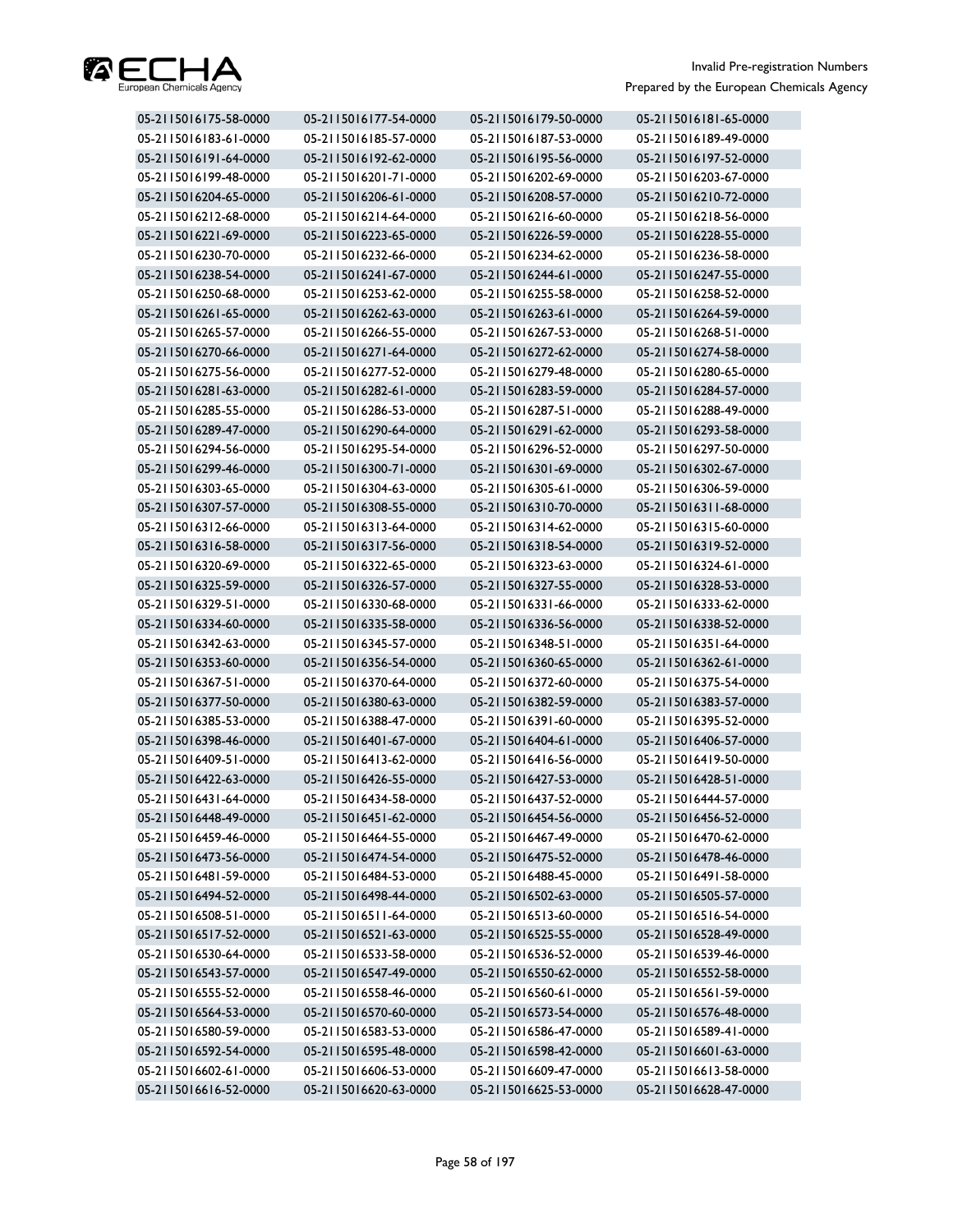

| 05-2115016175-58-0000 | 05-2115016177-54-0000 | 05-2115016179-50-0000 | 05-2115016181-65-0000 |
|-----------------------|-----------------------|-----------------------|-----------------------|
| 05-2115016183-61-0000 | 05-2115016185-57-0000 | 05-2115016187-53-0000 | 05-2115016189-49-0000 |
| 05-2115016191-64-0000 | 05-2115016192-62-0000 | 05-2115016195-56-0000 | 05-2115016197-52-0000 |
| 05-2115016199-48-0000 | 05-2115016201-71-0000 | 05-2115016202-69-0000 | 05-2115016203-67-0000 |
| 05-2115016204-65-0000 | 05-2115016206-61-0000 | 05-2115016208-57-0000 | 05-2115016210-72-0000 |
| 05-2115016212-68-0000 | 05-2115016214-64-0000 | 05-2115016216-60-0000 | 05-2115016218-56-0000 |
| 05-2115016221-69-0000 | 05-2115016223-65-0000 | 05-2115016226-59-0000 | 05-2115016228-55-0000 |
| 05-2115016230-70-0000 | 05-2115016232-66-0000 | 05-2115016234-62-0000 | 05-2115016236-58-0000 |
| 05-2115016238-54-0000 | 05-2115016241-67-0000 | 05-2115016244-61-0000 | 05-2115016247-55-0000 |
| 05-2115016250-68-0000 | 05-2115016253-62-0000 | 05-2115016255-58-0000 | 05-2115016258-52-0000 |
| 05-2115016261-65-0000 | 05-2115016262-63-0000 | 05-2115016263-61-0000 | 05-2115016264-59-0000 |
| 05-2115016265-57-0000 | 05-2115016266-55-0000 | 05-2115016267-53-0000 | 05-2115016268-51-0000 |
| 05-2115016270-66-0000 | 05-2115016271-64-0000 | 05-2115016272-62-0000 | 05-2115016274-58-0000 |
| 05-2115016275-56-0000 | 05-2115016277-52-0000 | 05-2115016279-48-0000 | 05-2115016280-65-0000 |
| 05-2115016281-63-0000 | 05-2115016282-61-0000 | 05-2115016283-59-0000 | 05-2115016284-57-0000 |
| 05-2115016285-55-0000 | 05-2115016286-53-0000 | 05-2115016287-51-0000 | 05-2115016288-49-0000 |
| 05-2115016289-47-0000 | 05-2115016290-64-0000 | 05-2115016291-62-0000 | 05-2115016293-58-0000 |
| 05-2115016294-56-0000 | 05-2115016295-54-0000 | 05-2115016296-52-0000 | 05-2115016297-50-0000 |
| 05-2115016299-46-0000 | 05-2115016300-71-0000 | 05-2115016301-69-0000 | 05-2115016302-67-0000 |
| 05-2115016303-65-0000 | 05-2115016304-63-0000 | 05-2115016305-61-0000 | 05-2115016306-59-0000 |
| 05-2115016307-57-0000 | 05-2115016308-55-0000 | 05-2115016310-70-0000 | 05-2115016311-68-0000 |
| 05-2115016312-66-0000 | 05-2115016313-64-0000 | 05-2115016314-62-0000 | 05-2115016315-60-0000 |
| 05-2115016316-58-0000 | 05-2115016317-56-0000 | 05-2115016318-54-0000 | 05-2115016319-52-0000 |
| 05-2115016320-69-0000 | 05-2115016322-65-0000 | 05-2115016323-63-0000 | 05-2115016324-61-0000 |
| 05-2115016325-59-0000 | 05-2115016326-57-0000 | 05-2115016327-55-0000 | 05-2115016328-53-0000 |
| 05-2115016329-51-0000 | 05-2115016330-68-0000 | 05-2115016331-66-0000 | 05-2115016333-62-0000 |
| 05-2115016334-60-0000 | 05-2115016335-58-0000 | 05-2115016336-56-0000 | 05-2115016338-52-0000 |
| 05-2115016342-63-0000 | 05-2115016345-57-0000 | 05-2115016348-51-0000 | 05-2115016351-64-0000 |
| 05-2115016353-60-0000 | 05-2115016356-54-0000 | 05-2115016360-65-0000 | 05-2115016362-61-0000 |
| 05-2115016367-51-0000 | 05-2115016370-64-0000 | 05-2115016372-60-0000 | 05-2115016375-54-0000 |
| 05-2115016377-50-0000 | 05-2115016380-63-0000 | 05-2115016382-59-0000 | 05-2115016383-57-0000 |
| 05-2115016385-53-0000 | 05-2115016388-47-0000 | 05-2115016391-60-0000 | 05-2115016395-52-0000 |
| 05-2115016398-46-0000 | 05-2115016401-67-0000 | 05-2115016404-61-0000 | 05-2115016406-57-0000 |
| 05-2115016409-51-0000 | 05-2115016413-62-0000 | 05-2115016416-56-0000 | 05-2115016419-50-0000 |
| 05-2115016422-63-0000 | 05-2115016426-55-0000 | 05-2115016427-53-0000 | 05-2115016428-51-0000 |
| 05-2115016431-64-0000 | 05-2115016434-58-0000 | 05-2115016437-52-0000 | 05-2115016444-57-0000 |
| 05-2115016448-49-0000 | 05-2115016451-62-0000 | 05-2115016454-56-0000 | 05-2115016456-52-0000 |
| 05-2115016459-46-0000 | 05-2115016464-55-0000 | 05-2115016467-49-0000 | 05-2115016470-62-0000 |
| 05-2115016473-56-0000 | 05-2115016474-54-0000 | 05-2115016475-52-0000 | 05-2115016478-46-0000 |
| 05-2115016481-59-0000 | 05-2115016484-53-0000 | 05-2115016488-45-0000 | 05-2115016491-58-0000 |
| 05-2115016494-52-0000 | 05-2115016498-44-0000 | 05-2115016502-63-0000 | 05-2115016505-57-0000 |
| 05-2115016508-51-0000 | 05-2115016511-64-0000 | 05-2115016513-60-0000 | 05-2115016516-54-0000 |
| 05-2115016517-52-0000 | 05-2115016521-63-0000 | 05-2115016525-55-0000 | 05-2115016528-49-0000 |
| 05-2115016530-64-0000 | 05-2115016533-58-0000 | 05-2115016536-52-0000 | 05-2115016539-46-0000 |
| 05-2115016543-57-0000 | 05-2115016547-49-0000 | 05-2115016550-62-0000 | 05-2115016552-58-0000 |
| 05-2115016555-52-0000 | 05-2115016558-46-0000 | 05-2115016560-61-0000 | 05-2115016561-59-0000 |
| 05-2115016564-53-0000 | 05-2115016570-60-0000 | 05-2115016573-54-0000 | 05-2115016576-48-0000 |
| 05-2115016580-59-0000 | 05-2115016583-53-0000 | 05-2115016586-47-0000 | 05-2115016589-41-0000 |
| 05-2115016592-54-0000 | 05-2115016595-48-0000 | 05-2115016598-42-0000 | 05-2115016601-63-0000 |
| 05-2115016602-61-0000 | 05-2115016606-53-0000 | 05-2115016609-47-0000 | 05-2115016613-58-0000 |
| 05-2115016616-52-0000 | 05-2115016620-63-0000 | 05-2115016625-53-0000 | 05-2115016628-47-0000 |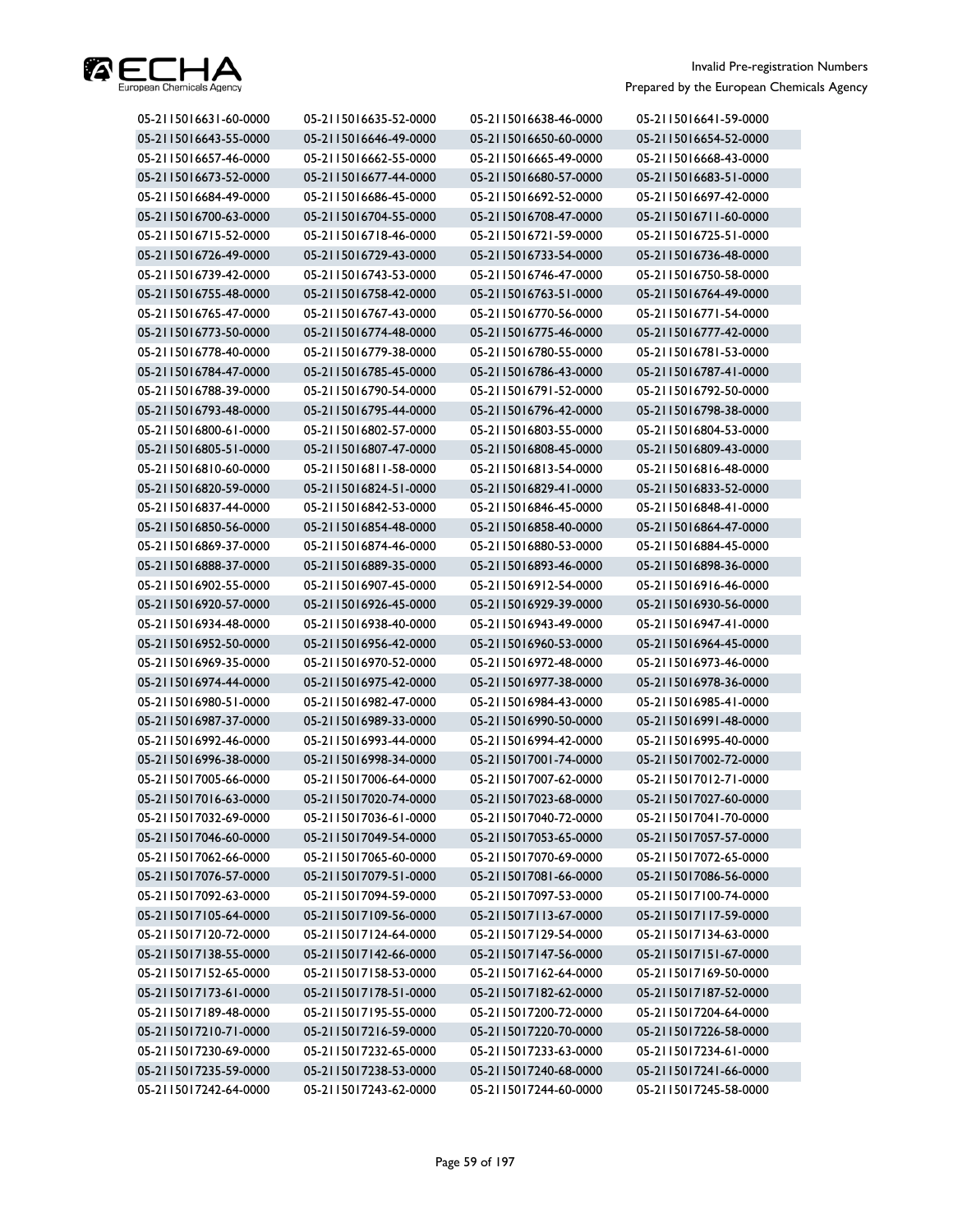

| 05-2115016631-60-0000 | 05-2115016635-52-0000 | 05-2115016638-46-0000 | 05-2115016641-59-0000 |
|-----------------------|-----------------------|-----------------------|-----------------------|
| 05-2115016643-55-0000 | 05-2115016646-49-0000 | 05-2115016650-60-0000 | 05-2115016654-52-0000 |
| 05-2115016657-46-0000 | 05-2115016662-55-0000 | 05-2115016665-49-0000 | 05-2115016668-43-0000 |
| 05-2115016673-52-0000 | 05-2115016677-44-0000 | 05-2115016680-57-0000 | 05-2115016683-51-0000 |
| 05-2115016684-49-0000 | 05-2115016686-45-0000 | 05-2115016692-52-0000 | 05-2115016697-42-0000 |
| 05-2115016700-63-0000 | 05-2115016704-55-0000 | 05-2115016708-47-0000 | 05-2115016711-60-0000 |
| 05-2115016715-52-0000 | 05-2115016718-46-0000 | 05-2115016721-59-0000 | 05-2115016725-51-0000 |
| 05-2115016726-49-0000 | 05-2115016729-43-0000 | 05-2115016733-54-0000 | 05-2115016736-48-0000 |
| 05-2115016739-42-0000 | 05-2115016743-53-0000 | 05-2115016746-47-0000 | 05-2115016750-58-0000 |
| 05-2115016755-48-0000 | 05-2115016758-42-0000 | 05-2115016763-51-0000 | 05-2115016764-49-0000 |
| 05-2115016765-47-0000 | 05-2115016767-43-0000 | 05-2115016770-56-0000 | 05-2115016771-54-0000 |
| 05-2115016773-50-0000 | 05-2115016774-48-0000 | 05-2115016775-46-0000 | 05-2115016777-42-0000 |
| 05-2115016778-40-0000 | 05-2115016779-38-0000 | 05-2115016780-55-0000 | 05-2115016781-53-0000 |
| 05-2115016784-47-0000 | 05-2115016785-45-0000 | 05-2115016786-43-0000 | 05-2115016787-41-0000 |
| 05-2115016788-39-0000 | 05-2115016790-54-0000 | 05-2115016791-52-0000 | 05-2115016792-50-0000 |
| 05-2115016793-48-0000 | 05-2115016795-44-0000 | 05-2115016796-42-0000 | 05-2115016798-38-0000 |
| 05-2115016800-61-0000 | 05-2115016802-57-0000 | 05-2115016803-55-0000 | 05-2115016804-53-0000 |
| 05-2115016805-51-0000 | 05-2115016807-47-0000 | 05-2115016808-45-0000 | 05-2115016809-43-0000 |
| 05-2115016810-60-0000 | 05-2115016811-58-0000 | 05-2115016813-54-0000 | 05-2115016816-48-0000 |
| 05-2115016820-59-0000 | 05-2115016824-51-0000 | 05-2115016829-41-0000 | 05-2115016833-52-0000 |
| 05-2115016837-44-0000 | 05-2115016842-53-0000 | 05-2115016846-45-0000 | 05-2115016848-41-0000 |
| 05-2115016850-56-0000 | 05-2115016854-48-0000 | 05-2115016858-40-0000 | 05-2115016864-47-0000 |
| 05-2115016869-37-0000 | 05-2115016874-46-0000 | 05-2115016880-53-0000 | 05-2115016884-45-0000 |
| 05-2115016888-37-0000 | 05-2115016889-35-0000 | 05-2115016893-46-0000 | 05-2115016898-36-0000 |
| 05-2115016902-55-0000 | 05-2115016907-45-0000 | 05-2115016912-54-0000 | 05-2115016916-46-0000 |
| 05-2115016920-57-0000 | 05-2115016926-45-0000 | 05-2115016929-39-0000 | 05-2115016930-56-0000 |
| 05-2115016934-48-0000 | 05-2115016938-40-0000 | 05-2115016943-49-0000 | 05-2115016947-41-0000 |
| 05-2115016952-50-0000 | 05-2115016956-42-0000 | 05-2115016960-53-0000 | 05-2115016964-45-0000 |
| 05-2115016969-35-0000 | 05-2115016970-52-0000 | 05-2115016972-48-0000 | 05-2115016973-46-0000 |
| 05-2115016974-44-0000 | 05-2115016975-42-0000 | 05-2115016977-38-0000 | 05-2115016978-36-0000 |
| 05-2115016980-51-0000 | 05-2115016982-47-0000 | 05-2115016984-43-0000 | 05-2115016985-41-0000 |
| 05-2115016987-37-0000 | 05-2115016989-33-0000 | 05-2115016990-50-0000 | 05-2115016991-48-0000 |
| 05-2115016992-46-0000 | 05-2115016993-44-0000 | 05-2115016994-42-0000 | 05-2115016995-40-0000 |
| 05-2115016996-38-0000 | 05-2115016998-34-0000 | 05-2115017001-74-0000 | 05-2115017002-72-0000 |
| 05-2115017005-66-0000 | 05-2115017006-64-0000 | 05-2115017007-62-0000 | 05-2115017012-71-0000 |
| 05-2115017016-63-0000 | 05-2115017020-74-0000 | 05-2115017023-68-0000 | 05-2115017027-60-0000 |
| 05-2115017032-69-0000 | 05-2115017036-61-0000 | 05-2115017040-72-0000 | 05-2115017041-70-0000 |
| 05-2115017046-60-0000 | 05-2115017049-54-0000 | 05-2115017053-65-0000 | 05-2115017057-57-0000 |
| 05-2115017062-66-0000 | 05-2115017065-60-0000 | 05-2115017070-69-0000 | 05-2115017072-65-0000 |
| 05-2115017076-57-0000 | 05-2115017079-51-0000 | 05-2115017081-66-0000 | 05-2115017086-56-0000 |
| 05-2115017092-63-0000 | 05-2115017094-59-0000 | 05-2115017097-53-0000 | 05-2115017100-74-0000 |
| 05-2115017105-64-0000 | 05-2115017109-56-0000 | 05-2115017113-67-0000 | 05-2115017117-59-0000 |
| 05-2115017120-72-0000 | 05-2115017124-64-0000 | 05-2115017129-54-0000 | 05-2115017134-63-0000 |
| 05-2115017138-55-0000 | 05-2115017142-66-0000 | 05-2115017147-56-0000 | 05-2115017151-67-0000 |
| 05-2115017152-65-0000 | 05-2115017158-53-0000 | 05-2115017162-64-0000 | 05-2115017169-50-0000 |
| 05-2115017173-61-0000 | 05-2115017178-51-0000 | 05-2115017182-62-0000 | 05-2115017187-52-0000 |
| 05-2115017189-48-0000 | 05-2115017195-55-0000 | 05-2115017200-72-0000 | 05-2115017204-64-0000 |
| 05-2115017210-71-0000 | 05-2115017216-59-0000 | 05-2115017220-70-0000 | 05-2115017226-58-0000 |
| 05-2115017230-69-0000 | 05-2115017232-65-0000 | 05-2115017233-63-0000 | 05-2115017234-61-0000 |
| 05-2115017235-59-0000 | 05-2115017238-53-0000 | 05-2115017240-68-0000 | 05-2115017241-66-0000 |
| 05-2115017242-64-0000 | 05-2115017243-62-0000 | 05-2115017244-60-0000 | 05-2115017245-58-0000 |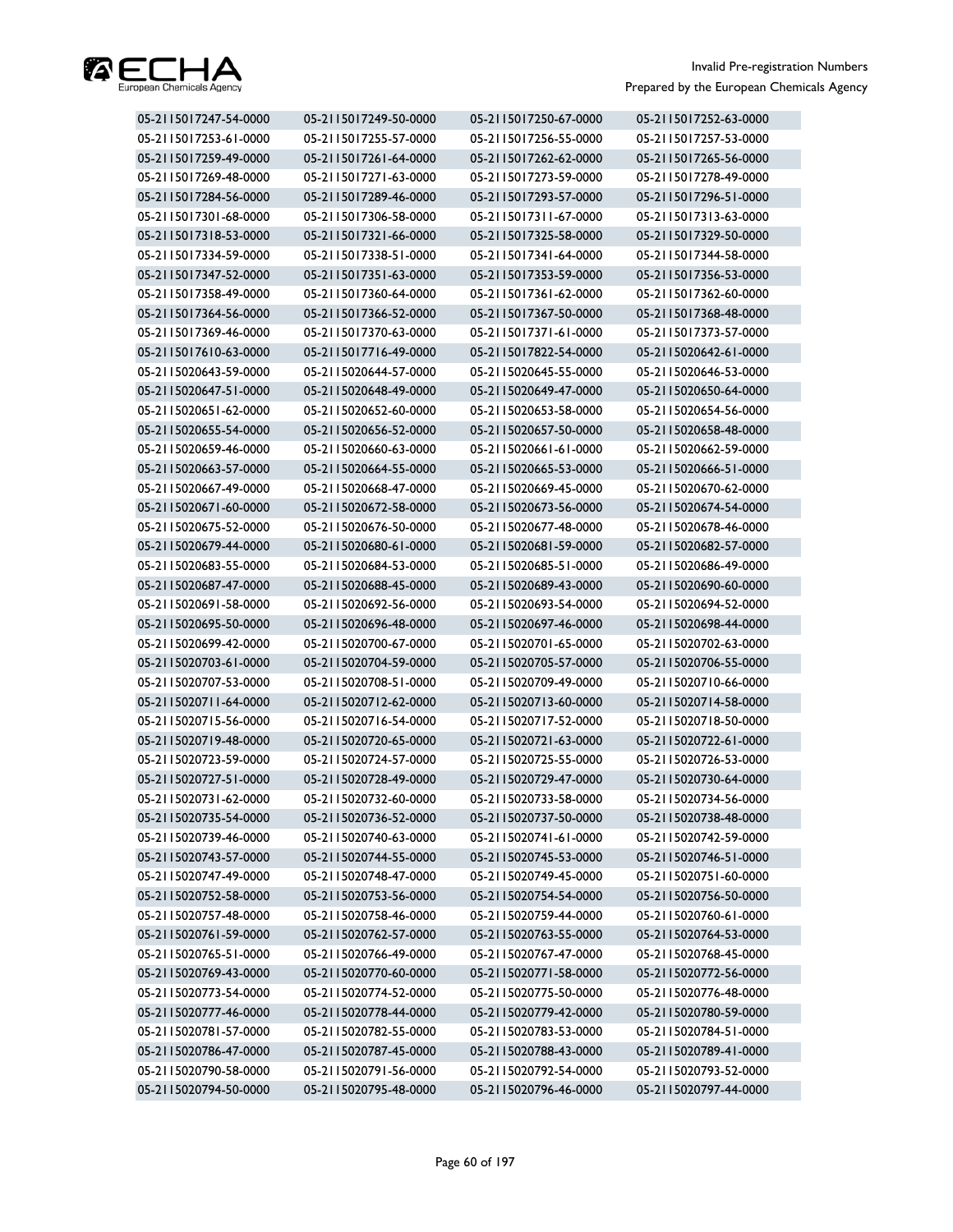

| 05-2115017247-54-0000 | 05-2115017249-50-0000 | 05-2115017250-67-0000 | 05-2115017252-63-0000 |
|-----------------------|-----------------------|-----------------------|-----------------------|
| 05-2115017253-61-0000 | 05-2115017255-57-0000 | 05-2115017256-55-0000 | 05-2115017257-53-0000 |
| 05-2115017259-49-0000 | 05-2115017261-64-0000 | 05-2115017262-62-0000 | 05-2115017265-56-0000 |
| 05-2115017269-48-0000 | 05-2115017271-63-0000 | 05-2115017273-59-0000 | 05-2115017278-49-0000 |
| 05-2115017284-56-0000 | 05-2115017289-46-0000 | 05-2115017293-57-0000 | 05-2115017296-51-0000 |
| 05-2115017301-68-0000 | 05-2115017306-58-0000 | 05-2115017311-67-0000 | 05-2115017313-63-0000 |
| 05-2115017318-53-0000 | 05-2115017321-66-0000 | 05-2115017325-58-0000 | 05-2115017329-50-0000 |
| 05-2115017334-59-0000 | 05-2115017338-51-0000 | 05-2115017341-64-0000 | 05-2115017344-58-0000 |
| 05-2115017347-52-0000 | 05-2115017351-63-0000 | 05-2115017353-59-0000 | 05-2115017356-53-0000 |
| 05-2115017358-49-0000 | 05-2115017360-64-0000 | 05-2115017361-62-0000 | 05-2115017362-60-0000 |
| 05-2115017364-56-0000 | 05-2115017366-52-0000 | 05-2115017367-50-0000 | 05-2115017368-48-0000 |
| 05-2115017369-46-0000 | 05-2115017370-63-0000 | 05-2115017371-61-0000 | 05-2115017373-57-0000 |
| 05-2115017610-63-0000 | 05-2115017716-49-0000 | 05-2115017822-54-0000 | 05-2115020642-61-0000 |
| 05-2115020643-59-0000 | 05-2115020644-57-0000 | 05-2115020645-55-0000 | 05-2115020646-53-0000 |
| 05-2115020647-51-0000 | 05-2115020648-49-0000 | 05-2115020649-47-0000 | 05-2115020650-64-0000 |
| 05-2115020651-62-0000 | 05-2115020652-60-0000 | 05-2115020653-58-0000 | 05-2115020654-56-0000 |
| 05-2115020655-54-0000 | 05-2115020656-52-0000 | 05-2115020657-50-0000 | 05-2115020658-48-0000 |
| 05-2115020659-46-0000 | 05-2115020660-63-0000 | 05-2115020661-61-0000 | 05-2115020662-59-0000 |
| 05-2115020663-57-0000 | 05-2115020664-55-0000 | 05-2115020665-53-0000 | 05-2115020666-51-0000 |
| 05-2115020667-49-0000 | 05-2115020668-47-0000 | 05-2115020669-45-0000 | 05-2115020670-62-0000 |
| 05-2115020671-60-0000 | 05-2115020672-58-0000 | 05-2115020673-56-0000 | 05-2115020674-54-0000 |
| 05-2115020675-52-0000 | 05-2115020676-50-0000 | 05-2115020677-48-0000 | 05-2115020678-46-0000 |
| 05-2115020679-44-0000 | 05-2115020680-61-0000 | 05-2115020681-59-0000 | 05-2115020682-57-0000 |
| 05-2115020683-55-0000 | 05-2115020684-53-0000 | 05-2115020685-51-0000 | 05-2115020686-49-0000 |
| 05-2115020687-47-0000 | 05-2115020688-45-0000 | 05-2115020689-43-0000 | 05-2115020690-60-0000 |
| 05-2115020691-58-0000 | 05-2115020692-56-0000 | 05-2115020693-54-0000 | 05-2115020694-52-0000 |
| 05-2115020695-50-0000 | 05-2115020696-48-0000 | 05-2115020697-46-0000 | 05-2115020698-44-0000 |
| 05-2115020699-42-0000 | 05-2115020700-67-0000 | 05-2115020701-65-0000 | 05-2115020702-63-0000 |
| 05-2115020703-61-0000 | 05-2115020704-59-0000 | 05-2115020705-57-0000 | 05-2115020706-55-0000 |
| 05-2115020707-53-0000 | 05-2115020708-51-0000 | 05-2115020709-49-0000 | 05-2115020710-66-0000 |
| 05-2115020711-64-0000 | 05-2115020712-62-0000 | 05-2115020713-60-0000 | 05-2115020714-58-0000 |
| 05-2115020715-56-0000 | 05-2115020716-54-0000 | 05-2115020717-52-0000 | 05-2115020718-50-0000 |
| 05-2115020719-48-0000 | 05-2115020720-65-0000 | 05-2115020721-63-0000 | 05-2115020722-61-0000 |
| 05-2115020723-59-0000 | 05-2115020724-57-0000 | 05-2115020725-55-0000 | 05-2115020726-53-0000 |
| 05-2115020727-51-0000 | 05-2115020728-49-0000 | 05-2115020729-47-0000 | 05-2115020730-64-0000 |
| 05-2115020731-62-0000 | 05-2115020732-60-0000 | 05-2115020733-58-0000 | 05-2115020734-56-0000 |
| 05-2115020735-54-0000 | 05-2115020736-52-0000 | 05-2115020737-50-0000 | 05-2115020738-48-0000 |
| 05-2115020739-46-0000 | 05-2115020740-63-0000 | 05-2115020741-61-0000 | 05-2115020742-59-0000 |
| 05-2115020743-57-0000 | 05-2115020744-55-0000 | 05-2115020745-53-0000 | 05-2115020746-51-0000 |
| 05-2115020747-49-0000 | 05-2115020748-47-0000 | 05-2115020749-45-0000 | 05-2115020751-60-0000 |
| 05-2115020752-58-0000 | 05-2115020753-56-0000 | 05-2115020754-54-0000 | 05-2115020756-50-0000 |
| 05-2115020757-48-0000 | 05-2115020758-46-0000 | 05-2115020759-44-0000 | 05-2115020760-61-0000 |
| 05-2115020761-59-0000 | 05-2115020762-57-0000 | 05-2115020763-55-0000 | 05-2115020764-53-0000 |
| 05-2115020765-51-0000 | 05-2115020766-49-0000 | 05-2115020767-47-0000 | 05-2115020768-45-0000 |
| 05-2115020769-43-0000 | 05-2115020770-60-0000 | 05-2115020771-58-0000 | 05-2115020772-56-0000 |
| 05-2115020773-54-0000 | 05-2115020774-52-0000 | 05-2115020775-50-0000 | 05-2115020776-48-0000 |
| 05-2115020777-46-0000 | 05-2115020778-44-0000 | 05-2115020779-42-0000 | 05-2115020780-59-0000 |
| 05-2115020781-57-0000 | 05-2115020782-55-0000 | 05-2115020783-53-0000 | 05-2115020784-51-0000 |
| 05-2115020786-47-0000 | 05-2115020787-45-0000 | 05-2115020788-43-0000 | 05-2115020789-41-0000 |
| 05-2115020790-58-0000 | 05-2115020791-56-0000 | 05-2115020792-54-0000 | 05-2115020793-52-0000 |
| 05-2115020794-50-0000 | 05-2115020795-48-0000 | 05-2115020796-46-0000 | 05-2115020797-44-0000 |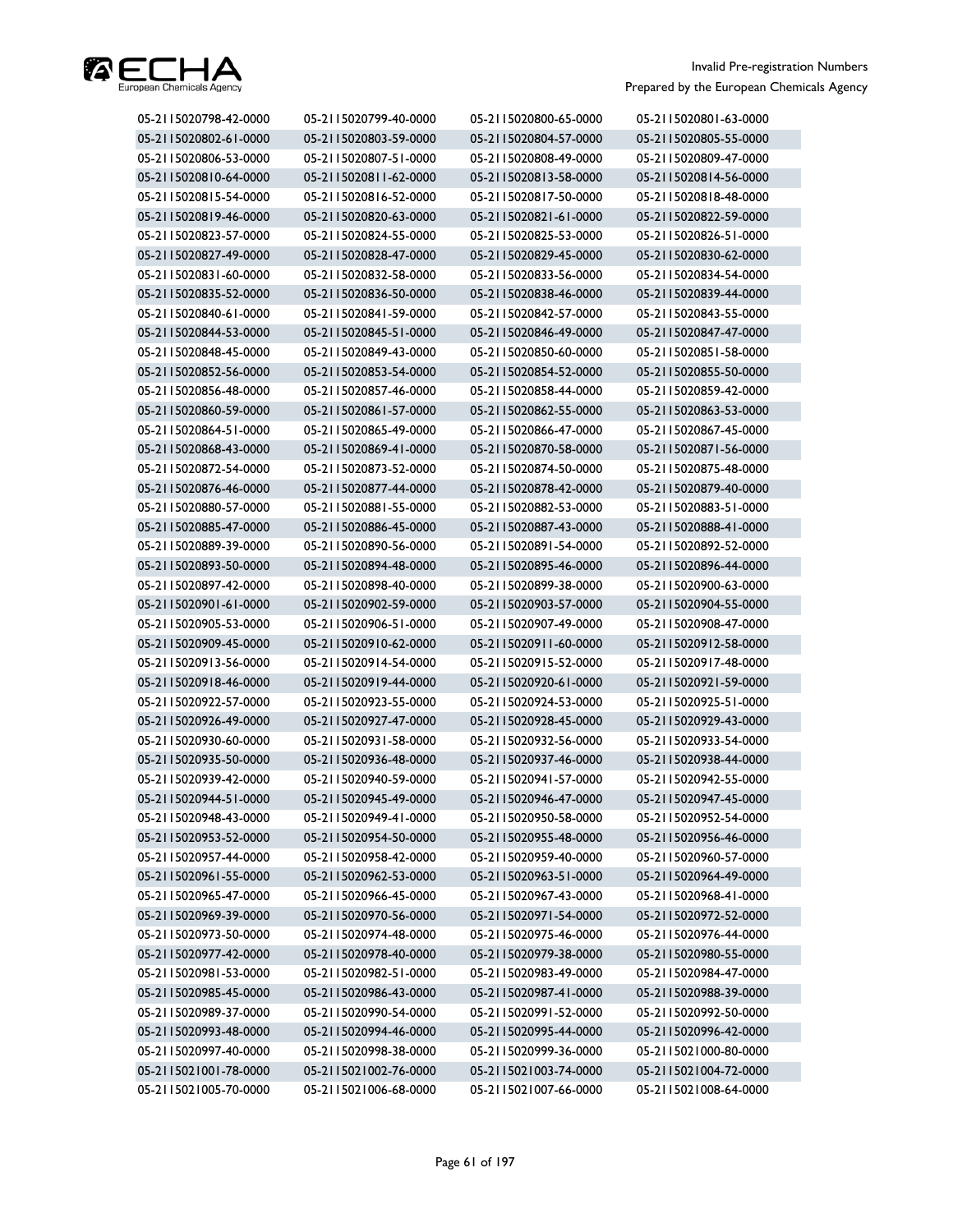

| 05-2115020798-42-0000 | 05-2115020799-40-0000 | 05-2115020800-65-0000 | 05-2115020801-63-0000 |
|-----------------------|-----------------------|-----------------------|-----------------------|
| 05-2115020802-61-0000 | 05-2115020803-59-0000 | 05-2115020804-57-0000 | 05-2115020805-55-0000 |
| 05-2115020806-53-0000 | 05-2115020807-51-0000 | 05-2115020808-49-0000 | 05-2115020809-47-0000 |
| 05-2115020810-64-0000 | 05-2115020811-62-0000 | 05-2115020813-58-0000 | 05-2115020814-56-0000 |
| 05-2115020815-54-0000 | 05-2115020816-52-0000 | 05-2115020817-50-0000 | 05-2115020818-48-0000 |
| 05-2115020819-46-0000 | 05-2115020820-63-0000 | 05-2115020821-61-0000 | 05-2115020822-59-0000 |
| 05-2115020823-57-0000 | 05-2115020824-55-0000 | 05-2115020825-53-0000 | 05-2115020826-51-0000 |
| 05-2115020827-49-0000 | 05-2115020828-47-0000 | 05-2115020829-45-0000 | 05-2115020830-62-0000 |
| 05-2115020831-60-0000 | 05-2115020832-58-0000 | 05-2115020833-56-0000 | 05-2115020834-54-0000 |
| 05-2115020835-52-0000 | 05-2115020836-50-0000 | 05-2115020838-46-0000 | 05-2115020839-44-0000 |
| 05-2115020840-61-0000 | 05-2115020841-59-0000 | 05-2115020842-57-0000 | 05-2115020843-55-0000 |
| 05-2115020844-53-0000 | 05-2115020845-51-0000 | 05-2115020846-49-0000 | 05-2115020847-47-0000 |
| 05-2115020848-45-0000 | 05-2115020849-43-0000 | 05-2115020850-60-0000 | 05-2115020851-58-0000 |
| 05-2115020852-56-0000 | 05-2115020853-54-0000 | 05-2115020854-52-0000 | 05-2115020855-50-0000 |
| 05-2115020856-48-0000 | 05-2115020857-46-0000 | 05-2115020858-44-0000 | 05-2115020859-42-0000 |
| 05-2115020860-59-0000 | 05-2115020861-57-0000 | 05-2115020862-55-0000 | 05-2115020863-53-0000 |
| 05-2115020864-51-0000 | 05-2115020865-49-0000 | 05-2115020866-47-0000 | 05-2115020867-45-0000 |
| 05-2115020868-43-0000 | 05-2115020869-41-0000 | 05-2115020870-58-0000 | 05-2115020871-56-0000 |
| 05-2115020872-54-0000 | 05-2115020873-52-0000 | 05-2115020874-50-0000 | 05-2115020875-48-0000 |
| 05-2115020876-46-0000 | 05-2115020877-44-0000 | 05-2115020878-42-0000 | 05-2115020879-40-0000 |
| 05-2115020880-57-0000 | 05-2115020881-55-0000 | 05-2115020882-53-0000 | 05-2115020883-51-0000 |
| 05-2115020885-47-0000 | 05-2115020886-45-0000 | 05-2115020887-43-0000 | 05-2115020888-41-0000 |
| 05-2115020889-39-0000 | 05-2115020890-56-0000 | 05-2115020891-54-0000 | 05-2115020892-52-0000 |
| 05-2115020893-50-0000 | 05-2115020894-48-0000 | 05-2115020895-46-0000 | 05-2115020896-44-0000 |
| 05-2115020897-42-0000 | 05-2115020898-40-0000 | 05-2115020899-38-0000 | 05-2115020900-63-0000 |
| 05-2115020901-61-0000 | 05-2115020902-59-0000 | 05-2115020903-57-0000 | 05-2115020904-55-0000 |
| 05-2115020905-53-0000 | 05-2115020906-51-0000 | 05-2115020907-49-0000 | 05-2115020908-47-0000 |
| 05-2115020909-45-0000 | 05-2115020910-62-0000 | 05-2115020911-60-0000 | 05-2115020912-58-0000 |
| 05-2115020913-56-0000 | 05-2115020914-54-0000 | 05-2115020915-52-0000 | 05-2115020917-48-0000 |
| 05-2115020918-46-0000 | 05-2115020919-44-0000 | 05-2115020920-61-0000 | 05-2115020921-59-0000 |
| 05-2115020922-57-0000 | 05-2115020923-55-0000 | 05-2115020924-53-0000 | 05-2115020925-51-0000 |
| 05-2115020926-49-0000 | 05-2115020927-47-0000 | 05-2115020928-45-0000 | 05-2115020929-43-0000 |
| 05-2115020930-60-0000 | 05-2115020931-58-0000 | 05-2115020932-56-0000 | 05-2115020933-54-0000 |
| 05-2115020935-50-0000 | 05-2115020936-48-0000 | 05-2115020937-46-0000 | 05-2115020938-44-0000 |
| 05-2115020939-42-0000 | 05-2115020940-59-0000 | 05-2115020941-57-0000 | 05-2115020942-55-0000 |
| 05-2115020944-51-0000 | 05-2115020945-49-0000 | 05-2115020946-47-0000 | 05-2115020947-45-0000 |
| 05-2115020948-43-0000 | 05-2115020949-41-0000 | 05-2115020950-58-0000 | 05-2115020952-54-0000 |
| 05-2115020953-52-0000 | 05-2115020954-50-0000 | 05-2115020955-48-0000 | 05-2115020956-46-0000 |
| 05-2115020957-44-0000 | 05-2115020958-42-0000 | 05-2115020959-40-0000 | 05-2115020960-57-0000 |
| 05-2115020961-55-0000 | 05-2115020962-53-0000 | 05-2115020963-51-0000 | 05-2115020964-49-0000 |
| 05-2115020965-47-0000 | 05-2115020966-45-0000 | 05-2115020967-43-0000 | 05-2115020968-41-0000 |
| 05-2115020969-39-0000 | 05-2115020970-56-0000 | 05-2115020971-54-0000 | 05-2115020972-52-0000 |
| 05-2115020973-50-0000 | 05-2115020974-48-0000 | 05-2115020975-46-0000 | 05-2115020976-44-0000 |
| 05-2115020977-42-0000 | 05-2115020978-40-0000 | 05-2115020979-38-0000 | 05-2115020980-55-0000 |
| 05-2115020981-53-0000 | 05-2115020982-51-0000 | 05-2115020983-49-0000 | 05-2115020984-47-0000 |
| 05-2115020985-45-0000 | 05-2115020986-43-0000 | 05-2115020987-41-0000 | 05-2115020988-39-0000 |
| 05-2115020989-37-0000 | 05-2115020990-54-0000 | 05-2115020991-52-0000 | 05-2115020992-50-0000 |
| 05-2115020993-48-0000 | 05-2115020994-46-0000 | 05-2115020995-44-0000 | 05-2115020996-42-0000 |
| 05-2115020997-40-0000 | 05-2115020998-38-0000 | 05-2115020999-36-0000 | 05-2115021000-80-0000 |
| 05-2115021001-78-0000 | 05-2115021002-76-0000 | 05-2115021003-74-0000 | 05-2115021004-72-0000 |
| 05-2115021005-70-0000 | 05-2115021006-68-0000 | 05-2115021007-66-0000 | 05-2115021008-64-0000 |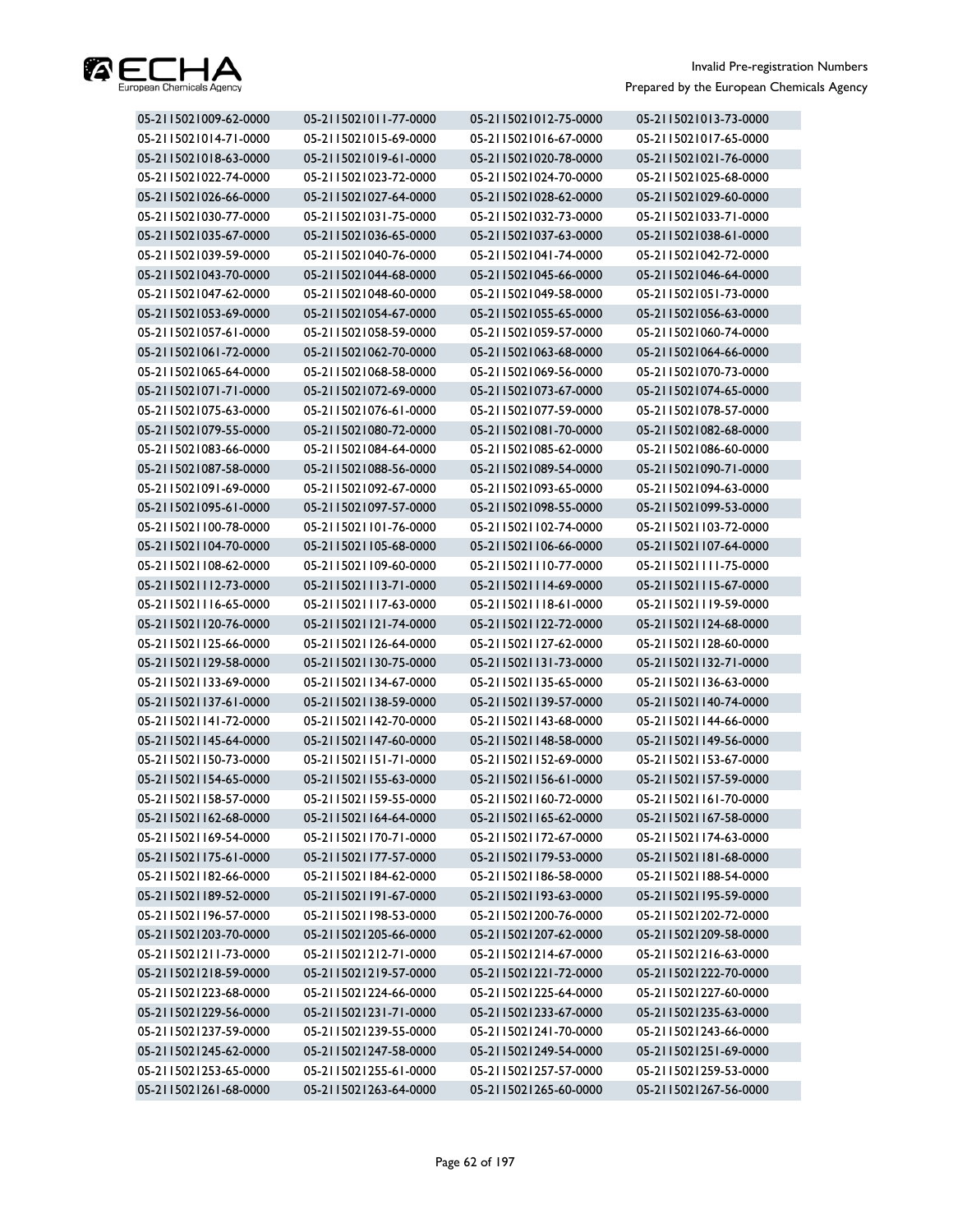

| 05-2115021009-62-0000 | 05-2115021011-77-0000 | 05-2115021012-75-0000 | 05-2115021013-73-0000 |
|-----------------------|-----------------------|-----------------------|-----------------------|
| 05-2115021014-71-0000 | 05-2115021015-69-0000 | 05-2115021016-67-0000 | 05-2115021017-65-0000 |
| 05-2115021018-63-0000 | 05-2115021019-61-0000 | 05-2115021020-78-0000 | 05-2115021021-76-0000 |
| 05-2115021022-74-0000 | 05-2115021023-72-0000 | 05-2115021024-70-0000 | 05-2115021025-68-0000 |
| 05-2115021026-66-0000 | 05-2115021027-64-0000 | 05-2115021028-62-0000 | 05-2115021029-60-0000 |
| 05-2115021030-77-0000 | 05-2115021031-75-0000 | 05-2115021032-73-0000 | 05-2115021033-71-0000 |
| 05-2115021035-67-0000 | 05-2115021036-65-0000 | 05-2115021037-63-0000 | 05-2115021038-61-0000 |
| 05-2115021039-59-0000 | 05-2115021040-76-0000 | 05-2115021041-74-0000 | 05-2115021042-72-0000 |
| 05-2115021043-70-0000 | 05-2115021044-68-0000 | 05-2115021045-66-0000 | 05-2115021046-64-0000 |
| 05-2115021047-62-0000 | 05-2115021048-60-0000 | 05-2115021049-58-0000 | 05-2115021051-73-0000 |
| 05-2115021053-69-0000 | 05-2115021054-67-0000 | 05-2115021055-65-0000 | 05-2115021056-63-0000 |
| 05-2115021057-61-0000 | 05-2115021058-59-0000 | 05-2115021059-57-0000 | 05-2115021060-74-0000 |
| 05-2115021061-72-0000 | 05-2115021062-70-0000 | 05-2115021063-68-0000 | 05-2115021064-66-0000 |
| 05-2115021065-64-0000 | 05-2115021068-58-0000 | 05-2115021069-56-0000 | 05-2115021070-73-0000 |
| 05-2115021071-71-0000 | 05-2115021072-69-0000 | 05-2115021073-67-0000 | 05-2115021074-65-0000 |
| 05-2115021075-63-0000 | 05-2115021076-61-0000 | 05-2115021077-59-0000 | 05-2115021078-57-0000 |
| 05-2115021079-55-0000 | 05-2115021080-72-0000 | 05-2115021081-70-0000 | 05-2115021082-68-0000 |
| 05-2115021083-66-0000 | 05-2115021084-64-0000 | 05-2115021085-62-0000 | 05-2115021086-60-0000 |
| 05-2115021087-58-0000 | 05-2115021088-56-0000 | 05-2115021089-54-0000 | 05-2115021090-71-0000 |
| 05-2115021091-69-0000 | 05-2115021092-67-0000 | 05-2115021093-65-0000 | 05-2115021094-63-0000 |
| 05-2115021095-61-0000 | 05-2115021097-57-0000 | 05-2115021098-55-0000 | 05-2115021099-53-0000 |
| 05-2115021100-78-0000 | 05-2115021101-76-0000 | 05-2115021102-74-0000 | 05-2115021103-72-0000 |
| 05-2115021104-70-0000 | 05-2115021105-68-0000 | 05-2115021106-66-0000 | 05-2115021107-64-0000 |
| 05-2115021108-62-0000 | 05-2115021109-60-0000 | 05-2115021110-77-0000 | 05-2115021111-75-0000 |
| 05-2115021112-73-0000 | 05-2115021113-71-0000 | 05-2115021114-69-0000 | 05-2115021115-67-0000 |
| 05-2115021116-65-0000 | 05-2115021117-63-0000 | 05-2115021118-61-0000 | 05-2115021119-59-0000 |
| 05-2115021120-76-0000 | 05-2115021121-74-0000 | 05-2115021122-72-0000 | 05-2115021124-68-0000 |
| 05-2115021125-66-0000 | 05-2115021126-64-0000 | 05-2115021127-62-0000 | 05-2115021128-60-0000 |
| 05-2115021129-58-0000 | 05-2115021130-75-0000 | 05-2115021131-73-0000 | 05-2115021132-71-0000 |
| 05-2115021133-69-0000 | 05-2115021134-67-0000 | 05-2115021135-65-0000 | 05-2115021136-63-0000 |
| 05-2115021137-61-0000 | 05-2115021138-59-0000 | 05-2115021139-57-0000 | 05-2115021140-74-0000 |
| 05-2115021141-72-0000 | 05-2115021142-70-0000 | 05-2115021143-68-0000 | 05-2115021144-66-0000 |
| 05-2115021145-64-0000 | 05-2115021147-60-0000 | 05-2115021148-58-0000 | 05-2115021149-56-0000 |
| 05-2115021150-73-0000 | 05-2115021151-71-0000 | 05-2115021152-69-0000 | 05-2115021153-67-0000 |
| 05-2115021154-65-0000 | 05-2115021155-63-0000 | 05-2115021156-61-0000 | 05-2115021157-59-0000 |
| 05-2115021158-57-0000 | 05-2115021159-55-0000 | 05-2115021160-72-0000 | 05-2115021161-70-0000 |
| 05-2115021162-68-0000 | 05-2115021164-64-0000 | 05-2115021165-62-0000 | 05-2115021167-58-0000 |
| 05-2115021169-54-0000 | 05-2115021170-71-0000 | 05-2115021172-67-0000 | 05-2115021174-63-0000 |
| 05-2115021175-61-0000 | 05-2115021177-57-0000 | 05-2115021179-53-0000 | 05-2115021181-68-0000 |
| 05-2115021182-66-0000 | 05-2115021184-62-0000 | 05-2115021186-58-0000 | 05-2115021188-54-0000 |
| 05-2115021189-52-0000 | 05-2115021191-67-0000 | 05-2115021193-63-0000 | 05-2115021195-59-0000 |
| 05-2115021196-57-0000 | 05-2115021198-53-0000 | 05-2115021200-76-0000 | 05-2115021202-72-0000 |
| 05-2115021203-70-0000 | 05-2115021205-66-0000 | 05-2115021207-62-0000 | 05-2115021209-58-0000 |
| 05-2115021211-73-0000 | 05-2115021212-71-0000 | 05-2115021214-67-0000 | 05-2115021216-63-0000 |
| 05-2115021218-59-0000 | 05-2115021219-57-0000 | 05-2115021221-72-0000 | 05-2115021222-70-0000 |
| 05-2115021223-68-0000 | 05-2115021224-66-0000 | 05-2115021225-64-0000 | 05-2115021227-60-0000 |
| 05-2115021229-56-0000 | 05-2115021231-71-0000 | 05-2115021233-67-0000 | 05-2115021235-63-0000 |
| 05-2115021237-59-0000 | 05-2115021239-55-0000 | 05-2115021241-70-0000 | 05-2115021243-66-0000 |
| 05-2115021245-62-0000 | 05-2115021247-58-0000 | 05-2115021249-54-0000 | 05-2115021251-69-0000 |
| 05-2115021253-65-0000 | 05-2115021255-61-0000 | 05-2115021257-57-0000 | 05-2115021259-53-0000 |
| 05-2115021261-68-0000 | 05-2115021263-64-0000 | 05-2115021265-60-0000 | 05-2115021267-56-0000 |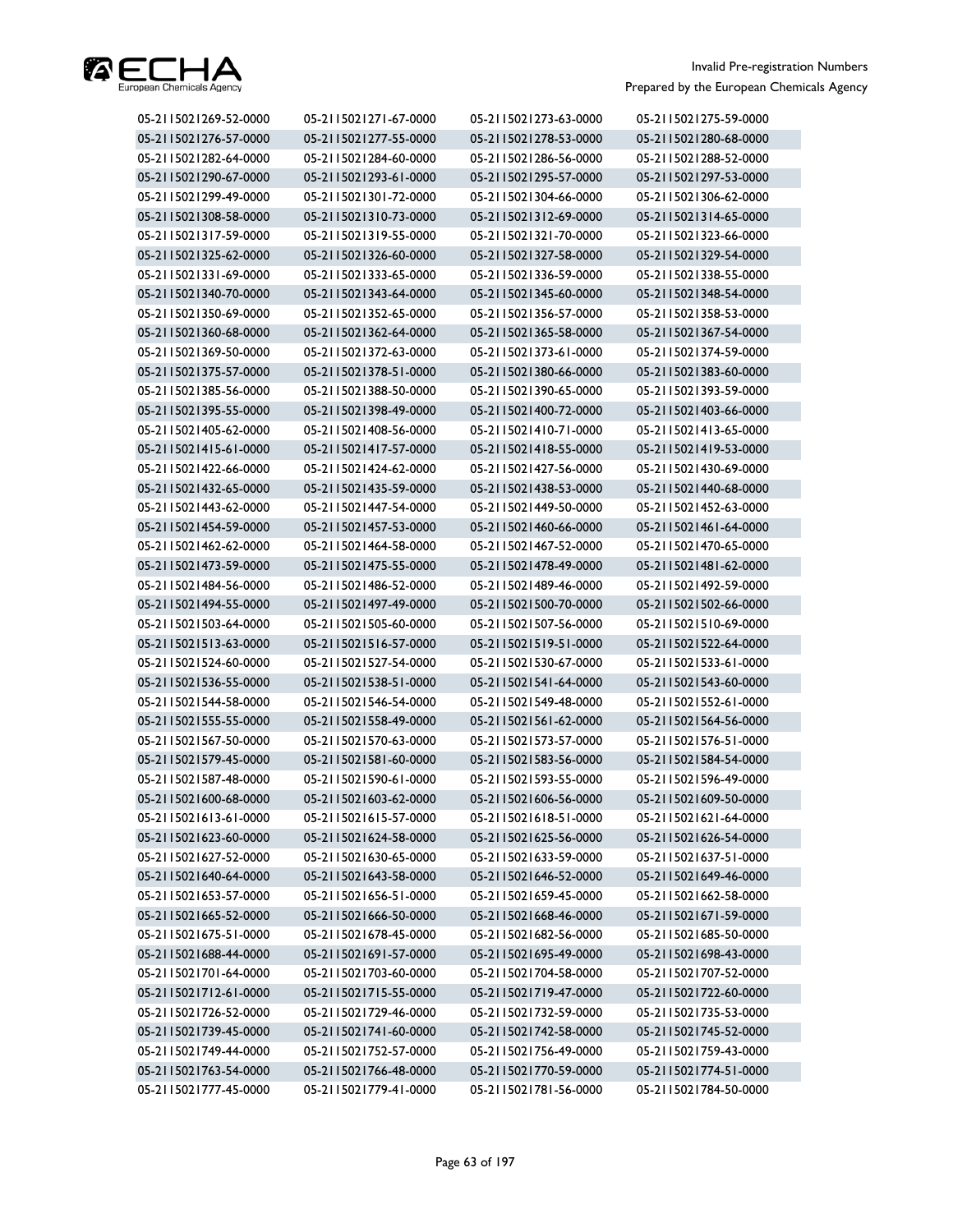

| 05-2115021269-52-0000 | 05-2115021271-67-0000 | 05-2115021273-63-0000 | 05-2115021275-59-0000 |
|-----------------------|-----------------------|-----------------------|-----------------------|
| 05-2115021276-57-0000 | 05-2115021277-55-0000 | 05-2115021278-53-0000 | 05-2115021280-68-0000 |
| 05-2115021282-64-0000 | 05-2115021284-60-0000 | 05-2115021286-56-0000 | 05-2115021288-52-0000 |
| 05-2115021290-67-0000 | 05-2115021293-61-0000 | 05-2115021295-57-0000 | 05-2115021297-53-0000 |
| 05-2115021299-49-0000 | 05-2115021301-72-0000 | 05-2115021304-66-0000 | 05-2115021306-62-0000 |
| 05-2115021308-58-0000 | 05-2115021310-73-0000 | 05-2115021312-69-0000 | 05-2115021314-65-0000 |
| 05-2115021317-59-0000 | 05-2115021319-55-0000 | 05-2115021321-70-0000 | 05-2115021323-66-0000 |
| 05-2115021325-62-0000 | 05-2115021326-60-0000 | 05-2115021327-58-0000 | 05-2115021329-54-0000 |
| 05-2115021331-69-0000 | 05-2115021333-65-0000 | 05-2115021336-59-0000 | 05-2115021338-55-0000 |
| 05-2115021340-70-0000 | 05-2115021343-64-0000 | 05-2115021345-60-0000 | 05-2115021348-54-0000 |
| 05-2115021350-69-0000 | 05-2115021352-65-0000 | 05-2115021356-57-0000 | 05-2115021358-53-0000 |
| 05-2115021360-68-0000 | 05-2115021362-64-0000 | 05-2115021365-58-0000 | 05-2115021367-54-0000 |
| 05-2115021369-50-0000 | 05-2115021372-63-0000 | 05-2115021373-61-0000 | 05-2115021374-59-0000 |
| 05-2115021375-57-0000 | 05-2115021378-51-0000 | 05-2115021380-66-0000 | 05-2115021383-60-0000 |
| 05-2115021385-56-0000 | 05-2115021388-50-0000 | 05-2115021390-65-0000 | 05-2115021393-59-0000 |
| 05-2115021395-55-0000 | 05-2115021398-49-0000 | 05-2115021400-72-0000 | 05-2115021403-66-0000 |
| 05-2115021405-62-0000 | 05-2115021408-56-0000 | 05-2115021410-71-0000 | 05-2115021413-65-0000 |
| 05-2115021415-61-0000 | 05-2115021417-57-0000 | 05-2115021418-55-0000 | 05-2115021419-53-0000 |
| 05-2115021422-66-0000 | 05-2115021424-62-0000 | 05-2115021427-56-0000 | 05-2115021430-69-0000 |
| 05-2115021432-65-0000 | 05-2115021435-59-0000 | 05-2115021438-53-0000 | 05-2115021440-68-0000 |
| 05-2115021443-62-0000 | 05-2115021447-54-0000 | 05-2115021449-50-0000 | 05-2115021452-63-0000 |
| 05-2115021454-59-0000 | 05-2115021457-53-0000 | 05-2115021460-66-0000 | 05-2115021461-64-0000 |
| 05-2115021462-62-0000 | 05-2115021464-58-0000 | 05-2115021467-52-0000 | 05-2115021470-65-0000 |
| 05-2115021473-59-0000 | 05-2115021475-55-0000 | 05-2115021478-49-0000 | 05-2115021481-62-0000 |
| 05-2115021484-56-0000 | 05-2115021486-52-0000 | 05-2115021489-46-0000 | 05-2115021492-59-0000 |
| 05-2115021494-55-0000 | 05-2115021497-49-0000 | 05-2115021500-70-0000 | 05-2115021502-66-0000 |
| 05-2115021503-64-0000 | 05-2115021505-60-0000 | 05-2115021507-56-0000 | 05-2115021510-69-0000 |
| 05-2115021513-63-0000 | 05-2115021516-57-0000 | 05-2115021519-51-0000 | 05-2115021522-64-0000 |
| 05-2115021524-60-0000 | 05-2115021527-54-0000 | 05-2115021530-67-0000 | 05-2115021533-61-0000 |
| 05-2115021536-55-0000 | 05-2115021538-51-0000 | 05-2115021541-64-0000 | 05-2115021543-60-0000 |
| 05-2115021544-58-0000 | 05-2115021546-54-0000 | 05-2115021549-48-0000 | 05-2115021552-61-0000 |
| 05-2115021555-55-0000 | 05-2115021558-49-0000 | 05-2115021561-62-0000 | 05-2115021564-56-0000 |
| 05-2115021567-50-0000 | 05-2115021570-63-0000 | 05-2115021573-57-0000 | 05-2115021576-51-0000 |
| 05-2115021579-45-0000 | 05-2115021581-60-0000 | 05-2115021583-56-0000 | 05-2115021584-54-0000 |
| 05-2115021587-48-0000 | 05-2115021590-61-0000 | 05-2115021593-55-0000 | 05-2115021596-49-0000 |
| 05-2115021600-68-0000 | 05-2115021603-62-0000 | 05-2115021606-56-0000 | 05-2115021609-50-0000 |
| 05-2115021613-61-0000 | 05-2115021615-57-0000 | 05-2115021618-51-0000 | 05-2115021621-64-0000 |
| 05-2115021623-60-0000 | 05-2115021624-58-0000 | 05-2115021625-56-0000 | 05-2115021626-54-0000 |
| 05-2115021627-52-0000 | 05-2115021630-65-0000 | 05-2115021633-59-0000 | 05-2115021637-51-0000 |
| 05-2115021640-64-0000 | 05-2115021643-58-0000 | 05-2115021646-52-0000 | 05-2115021649-46-0000 |
| 05-2115021653-57-0000 | 05-2115021656-51-0000 | 05-2115021659-45-0000 | 05-2115021662-58-0000 |
| 05-2115021665-52-0000 | 05-2115021666-50-0000 | 05-2115021668-46-0000 | 05-2115021671-59-0000 |
| 05-2115021675-51-0000 | 05-2115021678-45-0000 | 05-2115021682-56-0000 | 05-2115021685-50-0000 |
| 05-2115021688-44-0000 | 05-2115021691-57-0000 | 05-2115021695-49-0000 | 05-2115021698-43-0000 |
| 05-2115021701-64-0000 | 05-2115021703-60-0000 | 05-2115021704-58-0000 | 05-2115021707-52-0000 |
| 05-2115021712-61-0000 | 05-2115021715-55-0000 | 05-2115021719-47-0000 | 05-2115021722-60-0000 |
| 05-2115021726-52-0000 | 05-2115021729-46-0000 | 05-2115021732-59-0000 | 05-2115021735-53-0000 |
| 05-2115021739-45-0000 | 05-2115021741-60-0000 | 05-2115021742-58-0000 | 05-2115021745-52-0000 |
| 05-2115021749-44-0000 | 05-2115021752-57-0000 | 05-2115021756-49-0000 | 05-2115021759-43-0000 |
| 05-2115021763-54-0000 | 05-2115021766-48-0000 | 05-2115021770-59-0000 | 05-2115021774-51-0000 |
| 05-2115021777-45-0000 | 05-2115021779-41-0000 | 05-2115021781-56-0000 | 05-2115021784-50-0000 |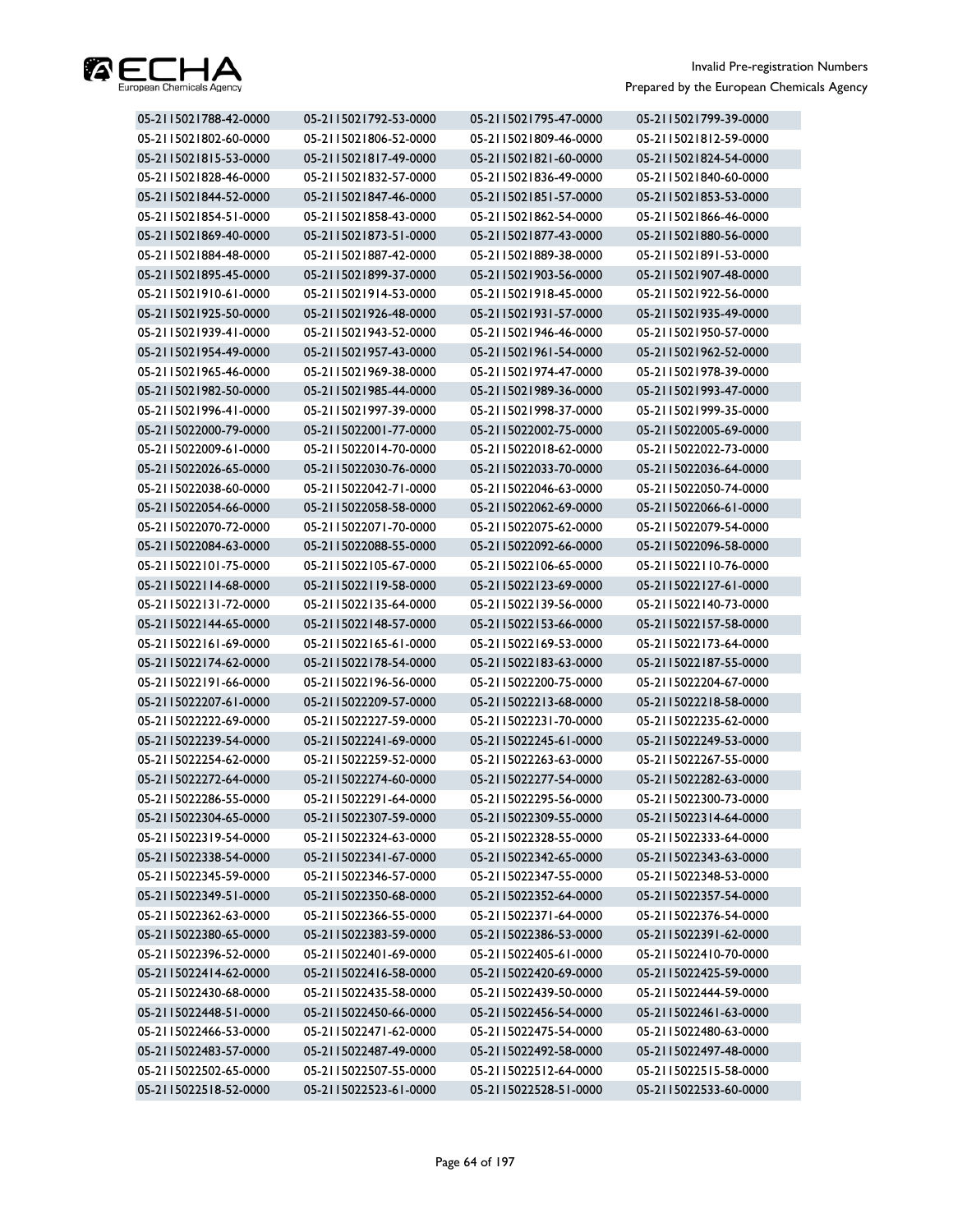

| 05-2115021788-42-0000 | 05-2115021792-53-0000 | 05-2115021795-47-0000 | 05-2115021799-39-0000 |
|-----------------------|-----------------------|-----------------------|-----------------------|
| 05-2115021802-60-0000 | 05-2115021806-52-0000 | 05-2115021809-46-0000 | 05-2115021812-59-0000 |
| 05-2115021815-53-0000 | 05-2115021817-49-0000 | 05-2115021821-60-0000 | 05-2115021824-54-0000 |
| 05-2115021828-46-0000 | 05-2115021832-57-0000 | 05-2115021836-49-0000 | 05-2115021840-60-0000 |
| 05-2115021844-52-0000 | 05-2115021847-46-0000 | 05-2115021851-57-0000 | 05-2115021853-53-0000 |
| 05-2115021854-51-0000 | 05-2115021858-43-0000 | 05-2115021862-54-0000 | 05-2115021866-46-0000 |
| 05-2115021869-40-0000 | 05-2115021873-51-0000 | 05-2115021877-43-0000 | 05-2115021880-56-0000 |
| 05-2115021884-48-0000 | 05-2115021887-42-0000 | 05-2115021889-38-0000 | 05-2115021891-53-0000 |
| 05-2115021895-45-0000 | 05-2115021899-37-0000 | 05-2115021903-56-0000 | 05-2115021907-48-0000 |
| 05-2115021910-61-0000 | 05-2115021914-53-0000 | 05-2115021918-45-0000 | 05-2115021922-56-0000 |
| 05-2115021925-50-0000 | 05-2115021926-48-0000 | 05-2115021931-57-0000 | 05-2115021935-49-0000 |
| 05-2115021939-41-0000 | 05-2115021943-52-0000 | 05-2115021946-46-0000 | 05-2115021950-57-0000 |
| 05-2115021954-49-0000 | 05-2115021957-43-0000 | 05-2115021961-54-0000 | 05-2115021962-52-0000 |
| 05-2115021965-46-0000 | 05-2115021969-38-0000 | 05-2115021974-47-0000 | 05-2115021978-39-0000 |
| 05-2115021982-50-0000 | 05-2115021985-44-0000 | 05-2115021989-36-0000 | 05-2115021993-47-0000 |
| 05-2115021996-41-0000 | 05-2115021997-39-0000 | 05-2115021998-37-0000 | 05-2115021999-35-0000 |
| 05-2115022000-79-0000 | 05-2115022001-77-0000 | 05-2115022002-75-0000 | 05-2115022005-69-0000 |
| 05-2115022009-61-0000 | 05-2115022014-70-0000 | 05-2115022018-62-0000 | 05-2115022022-73-0000 |
| 05-2115022026-65-0000 | 05-2115022030-76-0000 | 05-2115022033-70-0000 | 05-2115022036-64-0000 |
| 05-2115022038-60-0000 | 05-2115022042-71-0000 | 05-2115022046-63-0000 | 05-2115022050-74-0000 |
| 05-2115022054-66-0000 | 05-2115022058-58-0000 | 05-2115022062-69-0000 | 05-2115022066-61-0000 |
| 05-2115022070-72-0000 | 05-2115022071-70-0000 | 05-2115022075-62-0000 | 05-2115022079-54-0000 |
| 05-2115022084-63-0000 | 05-2115022088-55-0000 | 05-2115022092-66-0000 | 05-2115022096-58-0000 |
| 05-2115022101-75-0000 | 05-2115022105-67-0000 | 05-2115022106-65-0000 | 05-2115022110-76-0000 |
| 05-2115022114-68-0000 | 05-2115022119-58-0000 | 05-2115022123-69-0000 | 05-2115022127-61-0000 |
| 05-2115022131-72-0000 | 05-2115022135-64-0000 | 05-2115022139-56-0000 | 05-2115022140-73-0000 |
| 05-2115022144-65-0000 | 05-2115022148-57-0000 | 05-2115022153-66-0000 | 05-2115022157-58-0000 |
| 05-2115022161-69-0000 | 05-2115022165-61-0000 | 05-2115022169-53-0000 | 05-2115022173-64-0000 |
| 05-2115022174-62-0000 | 05-2115022178-54-0000 | 05-2115022183-63-0000 | 05-2115022187-55-0000 |
| 05-2115022191-66-0000 | 05-2115022196-56-0000 | 05-2115022200-75-0000 | 05-2115022204-67-0000 |
| 05-2115022207-61-0000 | 05-2115022209-57-0000 | 05-2115022213-68-0000 | 05-2115022218-58-0000 |
| 05-2115022222-69-0000 | 05-2115022227-59-0000 | 05-2115022231-70-0000 | 05-2115022235-62-0000 |
| 05-2115022239-54-0000 | 05-2115022241-69-0000 | 05-2115022245-61-0000 | 05-2115022249-53-0000 |
| 05-2115022254-62-0000 | 05-2115022259-52-0000 | 05-2115022263-63-0000 | 05-2115022267-55-0000 |
| 05-2115022272-64-0000 | 05-2115022274-60-0000 | 05-2115022277-54-0000 | 05-2115022282-63-0000 |
| 05-2115022286-55-0000 | 05-2115022291-64-0000 | 05-2115022295-56-0000 | 05-2115022300-73-0000 |
| 05-2115022304-65-0000 | 05-2115022307-59-0000 | 05-2115022309-55-0000 | 05-2115022314-64-0000 |
| 05-2115022319-54-0000 | 05-2115022324-63-0000 | 05-2115022328-55-0000 | 05-2115022333-64-0000 |
| 05-2115022338-54-0000 | 05-2115022341-67-0000 | 05-2115022342-65-0000 | 05-2115022343-63-0000 |
| 05-2115022345-59-0000 | 05-2115022346-57-0000 | 05-2115022347-55-0000 | 05-2115022348-53-0000 |
| 05-2115022349-51-0000 | 05-2115022350-68-0000 | 05-2115022352-64-0000 | 05-2115022357-54-0000 |
| 05-2115022362-63-0000 | 05-2115022366-55-0000 | 05-2115022371-64-0000 | 05-2115022376-54-0000 |
| 05-2115022380-65-0000 | 05-2115022383-59-0000 | 05-2115022386-53-0000 | 05-2115022391-62-0000 |
| 05-2115022396-52-0000 | 05-2115022401-69-0000 | 05-2115022405-61-0000 | 05-2115022410-70-0000 |
| 05-2115022414-62-0000 | 05-2115022416-58-0000 | 05-2115022420-69-0000 | 05-2115022425-59-0000 |
| 05-2115022430-68-0000 | 05-2115022435-58-0000 | 05-2115022439-50-0000 | 05-2115022444-59-0000 |
| 05-2115022448-51-0000 | 05-2115022450-66-0000 | 05-2115022456-54-0000 | 05-2115022461-63-0000 |
| 05-2115022466-53-0000 | 05-2115022471-62-0000 | 05-2115022475-54-0000 | 05-2115022480-63-0000 |
| 05-2115022483-57-0000 | 05-2115022487-49-0000 | 05-2115022492-58-0000 | 05-2115022497-48-0000 |
| 05-2115022502-65-0000 | 05-2115022507-55-0000 | 05-2115022512-64-0000 | 05-2115022515-58-0000 |
| 05-2115022518-52-0000 | 05-2115022523-61-0000 | 05-2115022528-51-0000 | 05-2115022533-60-0000 |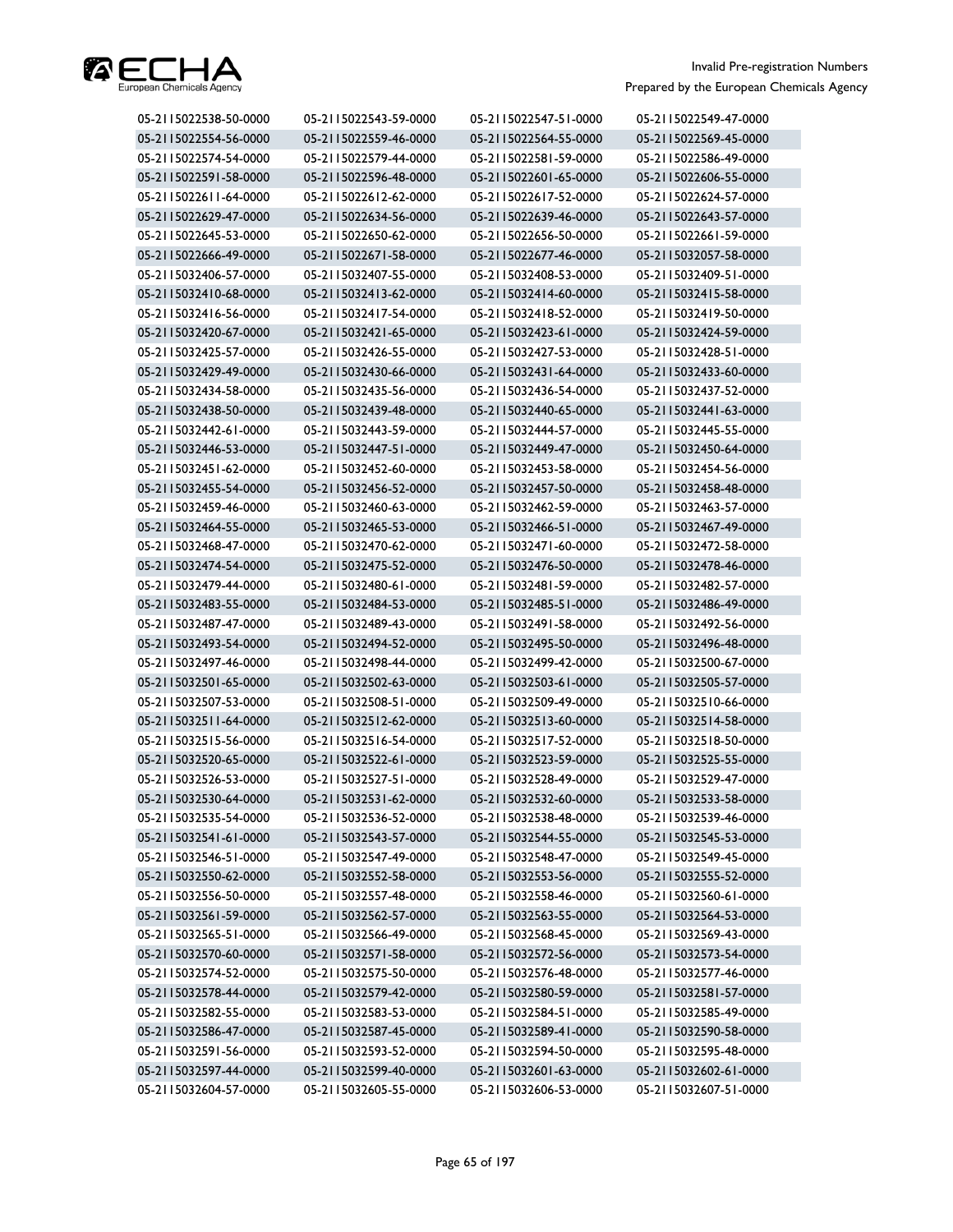

| 05-2115022538-50-0000 | 05-2115022543-59-0000 | 05-2115022547-51-0000 | 05-2115022549-47-0000 |
|-----------------------|-----------------------|-----------------------|-----------------------|
| 05-2115022554-56-0000 | 05-2115022559-46-0000 | 05-2115022564-55-0000 | 05-2115022569-45-0000 |
| 05-2115022574-54-0000 | 05-2115022579-44-0000 | 05-2115022581-59-0000 | 05-2115022586-49-0000 |
| 05-2115022591-58-0000 | 05-2115022596-48-0000 | 05-2115022601-65-0000 | 05-2115022606-55-0000 |
| 05-2115022611-64-0000 | 05-2115022612-62-0000 | 05-2115022617-52-0000 | 05-2115022624-57-0000 |
| 05-2115022629-47-0000 | 05-2115022634-56-0000 | 05-2115022639-46-0000 | 05-2115022643-57-0000 |
| 05-2115022645-53-0000 | 05-2115022650-62-0000 | 05-2115022656-50-0000 | 05-2115022661-59-0000 |
| 05-2115022666-49-0000 | 05-2115022671-58-0000 | 05-2115022677-46-0000 | 05-2115032057-58-0000 |
| 05-2115032406-57-0000 | 05-2115032407-55-0000 | 05-2115032408-53-0000 | 05-2115032409-51-0000 |
| 05-2115032410-68-0000 | 05-2115032413-62-0000 | 05-2115032414-60-0000 | 05-2115032415-58-0000 |
| 05-2115032416-56-0000 | 05-2115032417-54-0000 | 05-2115032418-52-0000 | 05-2115032419-50-0000 |
| 05-2115032420-67-0000 | 05-2115032421-65-0000 | 05-2115032423-61-0000 | 05-2115032424-59-0000 |
| 05-2115032425-57-0000 | 05-2115032426-55-0000 | 05-2115032427-53-0000 | 05-2115032428-51-0000 |
| 05-2115032429-49-0000 | 05-2115032430-66-0000 | 05-2115032431-64-0000 | 05-2115032433-60-0000 |
| 05-2115032434-58-0000 | 05-2115032435-56-0000 | 05-2115032436-54-0000 | 05-2115032437-52-0000 |
| 05-2115032438-50-0000 | 05-2115032439-48-0000 | 05-2115032440-65-0000 | 05-2115032441-63-0000 |
| 05-2115032442-61-0000 | 05-2115032443-59-0000 | 05-2115032444-57-0000 | 05-2115032445-55-0000 |
| 05-2115032446-53-0000 | 05-2115032447-51-0000 | 05-2115032449-47-0000 | 05-2115032450-64-0000 |
| 05-2115032451-62-0000 | 05-2115032452-60-0000 | 05-2115032453-58-0000 | 05-2115032454-56-0000 |
| 05-2115032455-54-0000 | 05-2115032456-52-0000 | 05-2115032457-50-0000 | 05-2115032458-48-0000 |
| 05-2115032459-46-0000 | 05-2115032460-63-0000 | 05-2115032462-59-0000 | 05-2115032463-57-0000 |
| 05-2115032464-55-0000 | 05-2115032465-53-0000 | 05-2115032466-51-0000 | 05-2115032467-49-0000 |
| 05-2115032468-47-0000 | 05-2115032470-62-0000 | 05-2115032471-60-0000 | 05-2115032472-58-0000 |
| 05-2115032474-54-0000 | 05-2115032475-52-0000 | 05-2115032476-50-0000 | 05-2115032478-46-0000 |
| 05-2115032479-44-0000 | 05-2115032480-61-0000 | 05-2115032481-59-0000 | 05-2115032482-57-0000 |
| 05-2115032483-55-0000 | 05-2115032484-53-0000 | 05-2115032485-51-0000 | 05-2115032486-49-0000 |
| 05-2115032487-47-0000 | 05-2115032489-43-0000 | 05-2115032491-58-0000 | 05-2115032492-56-0000 |
| 05-2115032493-54-0000 | 05-2115032494-52-0000 | 05-2115032495-50-0000 | 05-2115032496-48-0000 |
| 05-2115032497-46-0000 | 05-2115032498-44-0000 | 05-2115032499-42-0000 | 05-2115032500-67-0000 |
| 05-2115032501-65-0000 | 05-2115032502-63-0000 | 05-2115032503-61-0000 | 05-2115032505-57-0000 |
| 05-2115032507-53-0000 | 05-2115032508-51-0000 | 05-2115032509-49-0000 | 05-2115032510-66-0000 |
| 05-2115032511-64-0000 | 05-2115032512-62-0000 | 05-2115032513-60-0000 | 05-2115032514-58-0000 |
| 05-2115032515-56-0000 | 05-2115032516-54-0000 | 05-2115032517-52-0000 | 05-2115032518-50-0000 |
| 05-2115032520-65-0000 | 05-2115032522-61-0000 | 05-2115032523-59-0000 | 05-2115032525-55-0000 |
| 05-2115032526-53-0000 | 05-2115032527-51-0000 | 05-2115032528-49-0000 | 05-2115032529-47-0000 |
| 05-2115032530-64-0000 | 05-2115032531-62-0000 | 05-2115032532-60-0000 | 05-2115032533-58-0000 |
| 05-2115032535-54-0000 | 05-2115032536-52-0000 | 05-2115032538-48-0000 | 05-2115032539-46-0000 |
| 05-2115032541-61-0000 | 05-2115032543-57-0000 | 05-2115032544-55-0000 | 05-2115032545-53-0000 |
| 05-2115032546-51-0000 | 05-2115032547-49-0000 | 05-2115032548-47-0000 | 05-2115032549-45-0000 |
| 05-2115032550-62-0000 | 05-2115032552-58-0000 | 05-2115032553-56-0000 | 05-2115032555-52-0000 |
| 05-2115032556-50-0000 | 05-2115032557-48-0000 | 05-2115032558-46-0000 | 05-2115032560-61-0000 |
| 05-2115032561-59-0000 | 05-2115032562-57-0000 | 05-2115032563-55-0000 | 05-2115032564-53-0000 |
| 05-2115032565-51-0000 | 05-2115032566-49-0000 | 05-2115032568-45-0000 | 05-2115032569-43-0000 |
| 05-2115032570-60-0000 | 05-2115032571-58-0000 | 05-2115032572-56-0000 | 05-2115032573-54-0000 |
| 05-2115032574-52-0000 | 05-2115032575-50-0000 | 05-2115032576-48-0000 | 05-2115032577-46-0000 |
| 05-2115032578-44-0000 | 05-2115032579-42-0000 | 05-2115032580-59-0000 | 05-2115032581-57-0000 |
| 05-2115032582-55-0000 | 05-2115032583-53-0000 | 05-2115032584-51-0000 | 05-2115032585-49-0000 |
| 05-2115032586-47-0000 | 05-2115032587-45-0000 | 05-2115032589-41-0000 | 05-2115032590-58-0000 |
| 05-2115032591-56-0000 | 05-2115032593-52-0000 | 05-2115032594-50-0000 | 05-2115032595-48-0000 |
| 05-2115032597-44-0000 | 05-2115032599-40-0000 | 05-2115032601-63-0000 | 05-2115032602-61-0000 |
| 05-2115032604-57-0000 | 05-2115032605-55-0000 | 05-2115032606-53-0000 | 05-2115032607-51-0000 |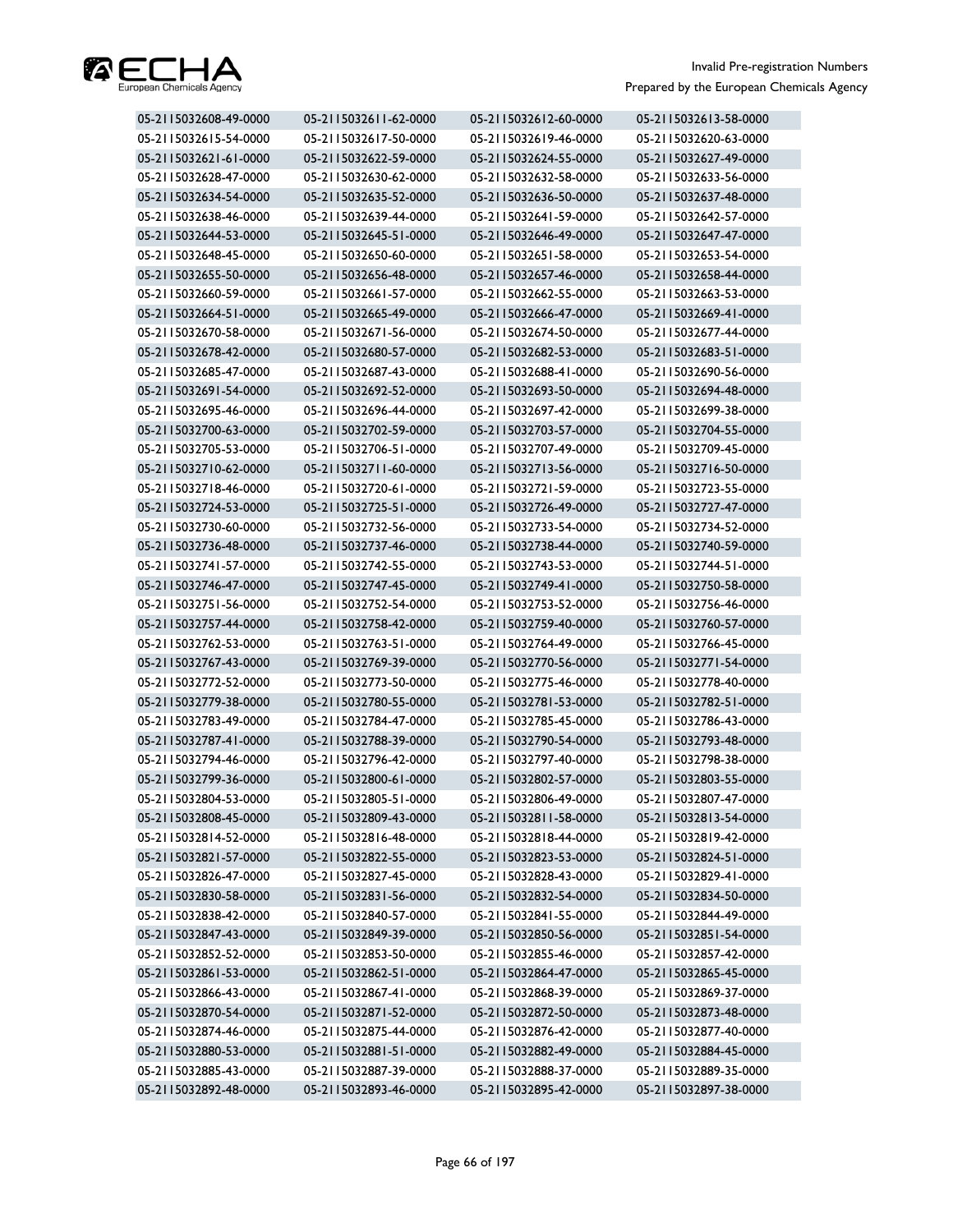

| 05-2115032608-49-0000 | 05-2115032611-62-0000 | 05-2115032612-60-0000 | 05-2115032613-58-0000 |
|-----------------------|-----------------------|-----------------------|-----------------------|
| 05-2115032615-54-0000 | 05-2115032617-50-0000 | 05-2115032619-46-0000 | 05-2115032620-63-0000 |
| 05-2115032621-61-0000 | 05-2115032622-59-0000 | 05-2115032624-55-0000 | 05-2115032627-49-0000 |
| 05-2115032628-47-0000 | 05-2115032630-62-0000 | 05-2115032632-58-0000 | 05-2115032633-56-0000 |
| 05-2115032634-54-0000 | 05-2115032635-52-0000 | 05-2115032636-50-0000 | 05-2115032637-48-0000 |
| 05-2115032638-46-0000 | 05-2115032639-44-0000 | 05-2115032641-59-0000 | 05-2115032642-57-0000 |
| 05-2115032644-53-0000 | 05-2115032645-51-0000 | 05-2115032646-49-0000 | 05-2115032647-47-0000 |
| 05-2115032648-45-0000 | 05-2115032650-60-0000 | 05-2115032651-58-0000 | 05-2115032653-54-0000 |
| 05-2115032655-50-0000 | 05-2115032656-48-0000 | 05-2115032657-46-0000 | 05-2115032658-44-0000 |
| 05-2115032660-59-0000 | 05-2115032661-57-0000 | 05-2115032662-55-0000 | 05-2115032663-53-0000 |
| 05-2115032664-51-0000 | 05-2115032665-49-0000 | 05-2115032666-47-0000 | 05-2115032669-41-0000 |
| 05-2115032670-58-0000 | 05-2115032671-56-0000 | 05-2115032674-50-0000 | 05-2115032677-44-0000 |
| 05-2115032678-42-0000 | 05-2115032680-57-0000 | 05-2115032682-53-0000 | 05-2115032683-51-0000 |
| 05-2115032685-47-0000 | 05-2115032687-43-0000 | 05-2115032688-41-0000 | 05-2115032690-56-0000 |
| 05-2115032691-54-0000 | 05-2115032692-52-0000 | 05-2115032693-50-0000 | 05-2115032694-48-0000 |
| 05-2115032695-46-0000 | 05-2115032696-44-0000 | 05-2115032697-42-0000 | 05-2115032699-38-0000 |
| 05-2115032700-63-0000 | 05-2115032702-59-0000 | 05-2115032703-57-0000 | 05-2115032704-55-0000 |
| 05-2115032705-53-0000 | 05-2115032706-51-0000 | 05-2115032707-49-0000 | 05-2115032709-45-0000 |
| 05-2115032710-62-0000 | 05-2115032711-60-0000 | 05-2115032713-56-0000 | 05-2115032716-50-0000 |
| 05-2115032718-46-0000 | 05-2115032720-61-0000 | 05-2115032721-59-0000 | 05-2115032723-55-0000 |
| 05-2115032724-53-0000 | 05-2115032725-51-0000 | 05-2115032726-49-0000 | 05-2115032727-47-0000 |
| 05-2115032730-60-0000 | 05-2115032732-56-0000 | 05-2115032733-54-0000 | 05-2115032734-52-0000 |
| 05-2115032736-48-0000 | 05-2115032737-46-0000 | 05-2115032738-44-0000 | 05-2115032740-59-0000 |
| 05-2115032741-57-0000 | 05-2115032742-55-0000 | 05-2115032743-53-0000 | 05-2115032744-51-0000 |
| 05-2115032746-47-0000 | 05-2115032747-45-0000 | 05-2115032749-41-0000 | 05-2115032750-58-0000 |
| 05-2115032751-56-0000 | 05-2115032752-54-0000 | 05-2115032753-52-0000 | 05-2115032756-46-0000 |
| 05-2115032757-44-0000 | 05-2115032758-42-0000 | 05-2115032759-40-0000 | 05-2115032760-57-0000 |
| 05-2115032762-53-0000 | 05-2115032763-51-0000 | 05-2115032764-49-0000 | 05-2115032766-45-0000 |
| 05-2115032767-43-0000 | 05-2115032769-39-0000 | 05-2115032770-56-0000 | 05-2115032771-54-0000 |
| 05-2115032772-52-0000 | 05-2115032773-50-0000 | 05-2115032775-46-0000 | 05-2115032778-40-0000 |
| 05-2115032779-38-0000 | 05-2115032780-55-0000 | 05-2115032781-53-0000 | 05-2115032782-51-0000 |
| 05-2115032783-49-0000 | 05-2115032784-47-0000 | 05-2115032785-45-0000 | 05-2115032786-43-0000 |
| 05-2115032787-41-0000 | 05-2115032788-39-0000 | 05-2115032790-54-0000 | 05-2115032793-48-0000 |
| 05-2115032794-46-0000 | 05-2115032796-42-0000 | 05-2115032797-40-0000 | 05-2115032798-38-0000 |
| 05-2115032799-36-0000 | 05-2115032800-61-0000 | 05-2115032802-57-0000 | 05-2115032803-55-0000 |
| 05-2115032804-53-0000 | 05-2115032805-51-0000 | 05-2115032806-49-0000 | 05-2115032807-47-0000 |
| 05-2115032808-45-0000 | 05-2115032809-43-0000 | 05-2115032811-58-0000 | 05-2115032813-54-0000 |
| 05-2115032814-52-0000 | 05-2115032816-48-0000 | 05-2115032818-44-0000 | 05-2115032819-42-0000 |
| 05-2115032821-57-0000 | 05-2115032822-55-0000 | 05-2115032823-53-0000 | 05-2115032824-51-0000 |
| 05-2115032826-47-0000 | 05-2115032827-45-0000 | 05-2115032828-43-0000 | 05-2115032829-41-0000 |
| 05-2115032830-58-0000 | 05-2115032831-56-0000 | 05-2115032832-54-0000 | 05-2115032834-50-0000 |
| 05-2115032838-42-0000 | 05-2115032840-57-0000 | 05-2115032841-55-0000 | 05-2115032844-49-0000 |
| 05-2115032847-43-0000 | 05-2115032849-39-0000 | 05-2115032850-56-0000 | 05-2115032851-54-0000 |
| 05-2115032852-52-0000 | 05-2115032853-50-0000 | 05-2115032855-46-0000 | 05-2115032857-42-0000 |
| 05-2115032861-53-0000 | 05-2115032862-51-0000 | 05-2115032864-47-0000 | 05-2115032865-45-0000 |
| 05-2115032866-43-0000 | 05-2115032867-41-0000 | 05-2115032868-39-0000 | 05-2115032869-37-0000 |
| 05-2115032870-54-0000 | 05-2115032871-52-0000 | 05-2115032872-50-0000 | 05-2115032873-48-0000 |
| 05-2115032874-46-0000 | 05-2115032875-44-0000 | 05-2115032876-42-0000 | 05-2115032877-40-0000 |
| 05-2115032880-53-0000 | 05-2115032881-51-0000 | 05-2115032882-49-0000 | 05-2115032884-45-0000 |
| 05-2115032885-43-0000 | 05-2115032887-39-0000 | 05-2115032888-37-0000 | 05-2115032889-35-0000 |
| 05-2115032892-48-0000 | 05-2115032893-46-0000 | 05-2115032895-42-0000 | 05-2115032897-38-0000 |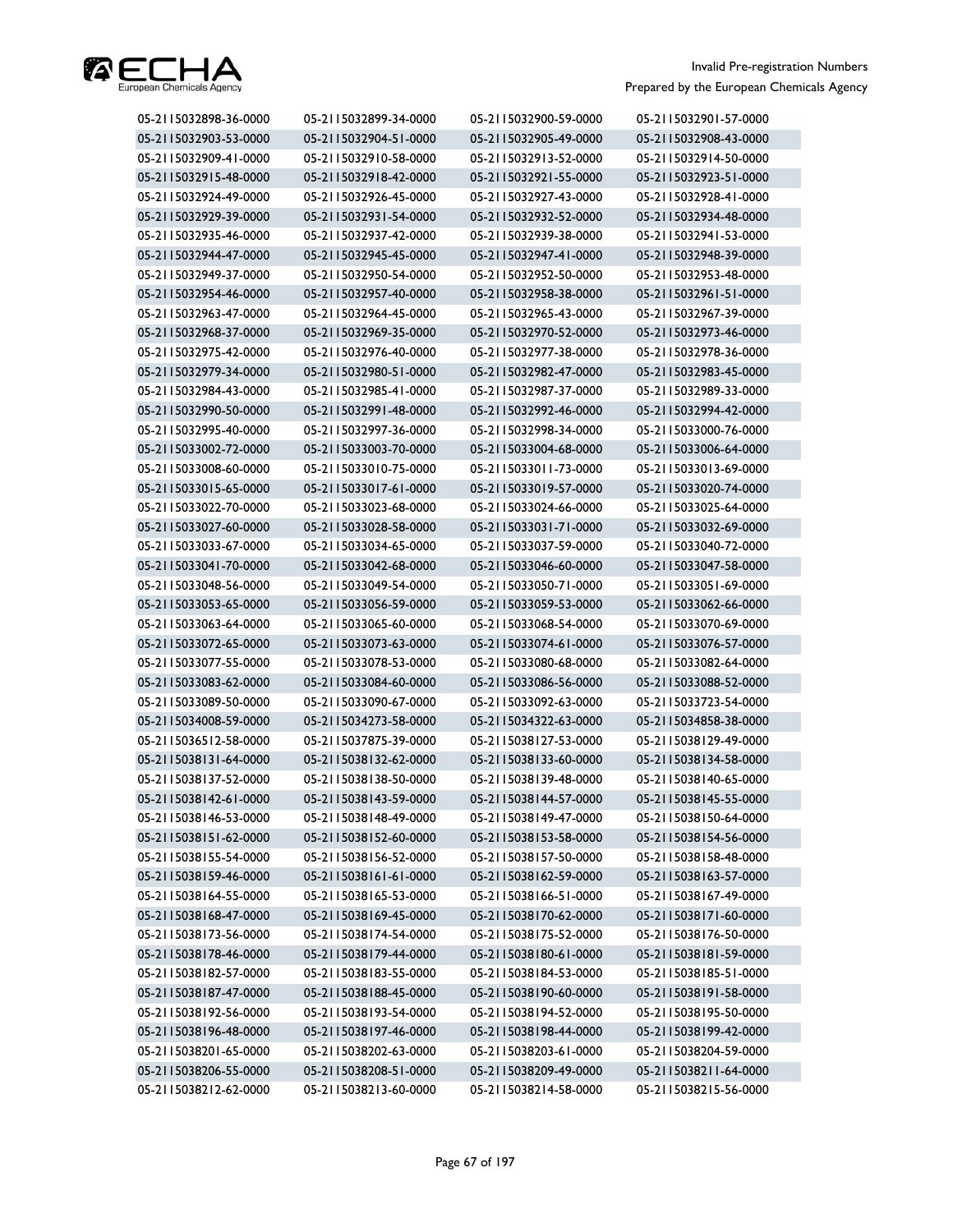

| 05-2115032898-36-0000 | 05-2115032899-34-0000 | 05-2115032900-59-0000 | 05-2115032901-57-0000 |
|-----------------------|-----------------------|-----------------------|-----------------------|
| 05-2115032903-53-0000 | 05-2115032904-51-0000 | 05-2115032905-49-0000 | 05-2115032908-43-0000 |
| 05-2115032909-41-0000 | 05-2115032910-58-0000 | 05-2115032913-52-0000 | 05-2115032914-50-0000 |
| 05-2115032915-48-0000 | 05-2115032918-42-0000 | 05-2115032921-55-0000 | 05-2115032923-51-0000 |
| 05-2115032924-49-0000 | 05-2115032926-45-0000 | 05-2115032927-43-0000 | 05-2115032928-41-0000 |
| 05-2115032929-39-0000 | 05-2115032931-54-0000 | 05-2115032932-52-0000 | 05-2115032934-48-0000 |
| 05-2115032935-46-0000 | 05-2115032937-42-0000 | 05-2115032939-38-0000 | 05-2115032941-53-0000 |
| 05-2115032944-47-0000 | 05-2115032945-45-0000 | 05-2115032947-41-0000 | 05-2115032948-39-0000 |
| 05-2115032949-37-0000 | 05-2115032950-54-0000 | 05-2115032952-50-0000 | 05-2115032953-48-0000 |
| 05-2115032954-46-0000 | 05-2115032957-40-0000 | 05-2115032958-38-0000 | 05-2115032961-51-0000 |
| 05-2115032963-47-0000 | 05-2115032964-45-0000 | 05-2115032965-43-0000 | 05-2115032967-39-0000 |
| 05-2115032968-37-0000 | 05-2115032969-35-0000 | 05-2115032970-52-0000 | 05-2115032973-46-0000 |
| 05-2115032975-42-0000 | 05-2115032976-40-0000 | 05-2115032977-38-0000 | 05-2115032978-36-0000 |
| 05-2115032979-34-0000 | 05-2115032980-51-0000 | 05-2115032982-47-0000 | 05-2115032983-45-0000 |
| 05-2115032984-43-0000 | 05-2115032985-41-0000 | 05-2115032987-37-0000 | 05-2115032989-33-0000 |
| 05-2115032990-50-0000 | 05-2115032991-48-0000 | 05-2115032992-46-0000 | 05-2115032994-42-0000 |
| 05-2115032995-40-0000 | 05-2115032997-36-0000 | 05-2115032998-34-0000 | 05-2115033000-76-0000 |
| 05-2115033002-72-0000 | 05-2115033003-70-0000 | 05-2115033004-68-0000 | 05-2115033006-64-0000 |
| 05-2115033008-60-0000 | 05-2115033010-75-0000 | 05-2115033011-73-0000 | 05-2115033013-69-0000 |
| 05-2115033015-65-0000 | 05-2115033017-61-0000 | 05-2115033019-57-0000 | 05-2115033020-74-0000 |
| 05-2115033022-70-0000 | 05-2115033023-68-0000 | 05-2115033024-66-0000 | 05-2115033025-64-0000 |
| 05-2115033027-60-0000 | 05-2115033028-58-0000 | 05-2115033031-71-0000 | 05-2115033032-69-0000 |
| 05-2115033033-67-0000 | 05-2115033034-65-0000 | 05-2115033037-59-0000 | 05-2115033040-72-0000 |
| 05-2115033041-70-0000 | 05-2115033042-68-0000 | 05-2115033046-60-0000 | 05-2115033047-58-0000 |
| 05-2115033048-56-0000 | 05-2115033049-54-0000 | 05-2115033050-71-0000 | 05-2115033051-69-0000 |
| 05-2115033053-65-0000 | 05-2115033056-59-0000 | 05-2115033059-53-0000 | 05-2115033062-66-0000 |
| 05-2115033063-64-0000 | 05-2115033065-60-0000 | 05-2115033068-54-0000 | 05-2115033070-69-0000 |
| 05-2115033072-65-0000 | 05-2115033073-63-0000 | 05-2115033074-61-0000 | 05-2115033076-57-0000 |
| 05-2115033077-55-0000 | 05-2115033078-53-0000 | 05-2115033080-68-0000 | 05-2115033082-64-0000 |
| 05-2115033083-62-0000 | 05-2115033084-60-0000 | 05-2115033086-56-0000 | 05-2115033088-52-0000 |
| 05-2115033089-50-0000 | 05-2115033090-67-0000 | 05-2115033092-63-0000 | 05-2115033723-54-0000 |
| 05-2115034008-59-0000 | 05-2115034273-58-0000 | 05-2115034322-63-0000 | 05-2115034858-38-0000 |
| 05-2115036512-58-0000 | 05-2115037875-39-0000 | 05-2115038127-53-0000 | 05-2115038129-49-0000 |
| 05-2115038131-64-0000 | 05-2115038132-62-0000 | 05-2115038133-60-0000 | 05-2115038134-58-0000 |
| 05-2115038137-52-0000 | 05-2115038138-50-0000 | 05-2115038139-48-0000 | 05-2115038140-65-0000 |
| 05-2115038142-61-0000 | 05-2115038143-59-0000 | 05-2115038144-57-0000 | 05-2115038145-55-0000 |
| 05-2115038146-53-0000 | 05-2115038148-49-0000 | 05-2115038149-47-0000 | 05-2115038150-64-0000 |
| 05-2115038151-62-0000 | 05-2115038152-60-0000 | 05-2115038153-58-0000 | 05-2115038154-56-0000 |
| 05-2115038155-54-0000 | 05-2115038156-52-0000 | 05-2115038157-50-0000 | 05-2115038158-48-0000 |
| 05-2115038159-46-0000 | 05-2115038161-61-0000 | 05-2115038162-59-0000 | 05-2115038163-57-0000 |
| 05-2115038164-55-0000 | 05-2115038165-53-0000 | 05-2115038166-51-0000 | 05-2115038167-49-0000 |
| 05-2115038168-47-0000 | 05-2115038169-45-0000 | 05-2115038170-62-0000 | 05-2115038171-60-0000 |
| 05-2115038173-56-0000 | 05-2115038174-54-0000 | 05-2115038175-52-0000 | 05-2115038176-50-0000 |
| 05-2115038178-46-0000 | 05-2115038179-44-0000 | 05-2115038180-61-0000 | 05-2115038181-59-0000 |
| 05-2115038182-57-0000 | 05-2115038183-55-0000 | 05-2115038184-53-0000 | 05-2115038185-51-0000 |
| 05-2115038187-47-0000 | 05-2115038188-45-0000 | 05-2115038190-60-0000 | 05-2115038191-58-0000 |
| 05-2115038192-56-0000 | 05-2115038193-54-0000 | 05-2115038194-52-0000 | 05-2115038195-50-0000 |
| 05-2115038196-48-0000 | 05-2115038197-46-0000 | 05-2115038198-44-0000 | 05-2115038199-42-0000 |
| 05-2115038201-65-0000 | 05-2115038202-63-0000 | 05-2115038203-61-0000 | 05-2115038204-59-0000 |
| 05-2115038206-55-0000 | 05-2115038208-51-0000 | 05-2115038209-49-0000 | 05-2115038211-64-0000 |
| 05-2115038212-62-0000 | 05-2115038213-60-0000 | 05-2115038214-58-0000 | 05-2115038215-56-0000 |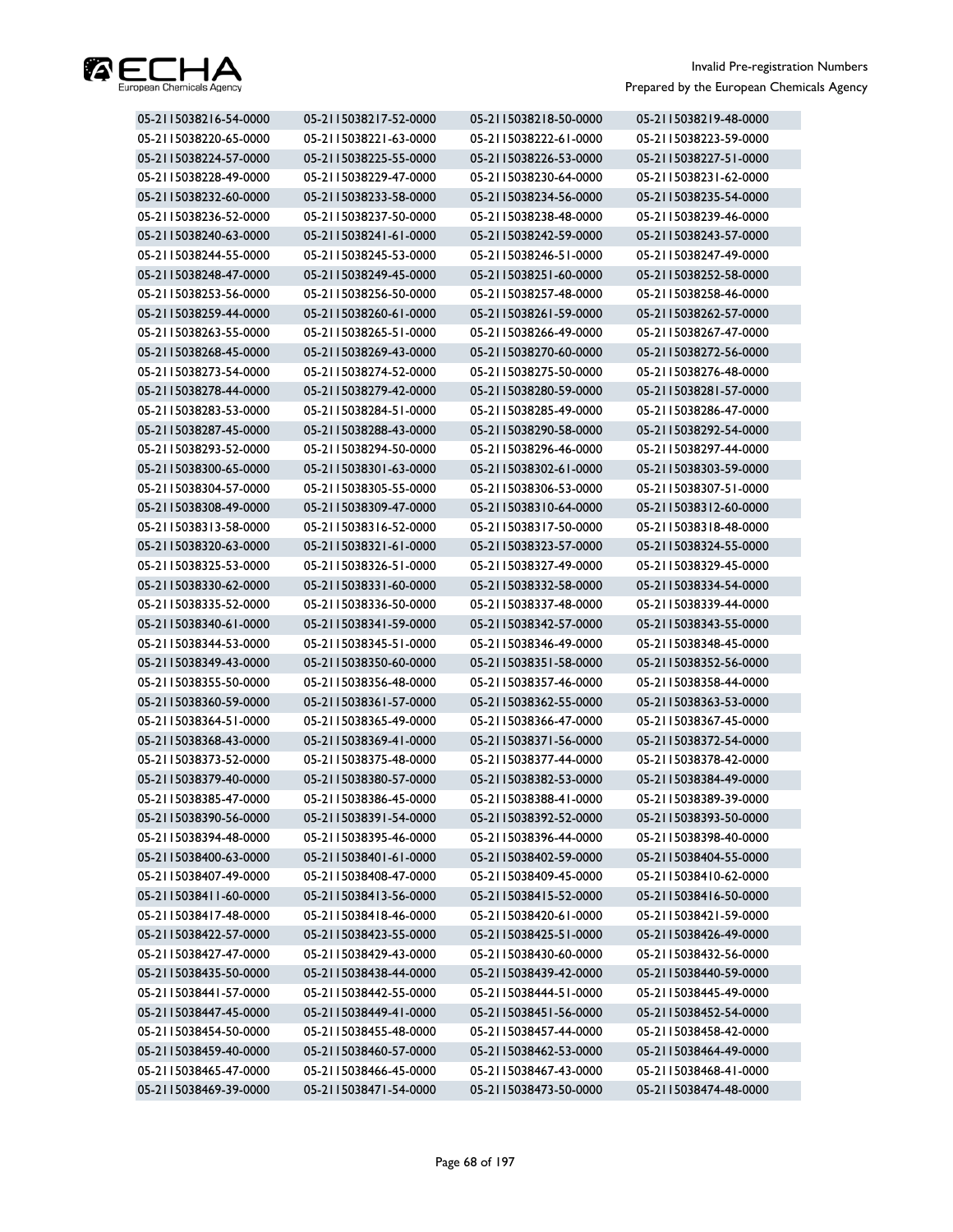

| 05-2115038216-54-0000 | 05-2115038217-52-0000 | 05-2115038218-50-0000 | 05-2115038219-48-0000 |
|-----------------------|-----------------------|-----------------------|-----------------------|
| 05-2115038220-65-0000 | 05-2115038221-63-0000 | 05-2115038222-61-0000 | 05-2115038223-59-0000 |
| 05-2115038224-57-0000 | 05-2115038225-55-0000 | 05-2115038226-53-0000 | 05-2115038227-51-0000 |
| 05-2115038228-49-0000 | 05-2115038229-47-0000 | 05-2115038230-64-0000 | 05-2115038231-62-0000 |
| 05-2115038232-60-0000 | 05-2115038233-58-0000 | 05-2115038234-56-0000 | 05-2115038235-54-0000 |
| 05-2115038236-52-0000 | 05-2115038237-50-0000 | 05-2115038238-48-0000 | 05-2115038239-46-0000 |
| 05-2115038240-63-0000 | 05-2115038241-61-0000 | 05-2115038242-59-0000 | 05-2115038243-57-0000 |
| 05-2115038244-55-0000 | 05-2115038245-53-0000 | 05-2115038246-51-0000 | 05-2115038247-49-0000 |
| 05-2115038248-47-0000 | 05-2115038249-45-0000 | 05-2115038251-60-0000 | 05-2115038252-58-0000 |
| 05-2115038253-56-0000 | 05-2115038256-50-0000 | 05-2115038257-48-0000 | 05-2115038258-46-0000 |
| 05-2115038259-44-0000 | 05-2115038260-61-0000 | 05-2115038261-59-0000 | 05-2115038262-57-0000 |
| 05-2115038263-55-0000 | 05-2115038265-51-0000 | 05-2115038266-49-0000 | 05-2115038267-47-0000 |
| 05-2115038268-45-0000 | 05-2115038269-43-0000 | 05-2115038270-60-0000 | 05-2115038272-56-0000 |
| 05-2115038273-54-0000 | 05-2115038274-52-0000 | 05-2115038275-50-0000 | 05-2115038276-48-0000 |
| 05-2115038278-44-0000 | 05-2115038279-42-0000 | 05-2115038280-59-0000 | 05-2115038281-57-0000 |
| 05-2115038283-53-0000 | 05-2115038284-51-0000 | 05-2115038285-49-0000 | 05-2115038286-47-0000 |
| 05-2115038287-45-0000 | 05-2115038288-43-0000 | 05-2115038290-58-0000 | 05-2115038292-54-0000 |
| 05-2115038293-52-0000 | 05-2115038294-50-0000 | 05-2115038296-46-0000 | 05-2115038297-44-0000 |
| 05-2115038300-65-0000 | 05-2115038301-63-0000 | 05-2115038302-61-0000 | 05-2115038303-59-0000 |
| 05-2115038304-57-0000 | 05-2115038305-55-0000 | 05-2115038306-53-0000 | 05-2115038307-51-0000 |
| 05-2115038308-49-0000 | 05-2115038309-47-0000 | 05-2115038310-64-0000 | 05-2115038312-60-0000 |
| 05-2115038313-58-0000 | 05-2115038316-52-0000 | 05-2115038317-50-0000 | 05-2115038318-48-0000 |
| 05-2115038320-63-0000 | 05-2115038321-61-0000 | 05-2115038323-57-0000 | 05-2115038324-55-0000 |
| 05-2115038325-53-0000 | 05-2115038326-51-0000 | 05-2115038327-49-0000 | 05-2115038329-45-0000 |
| 05-2115038330-62-0000 | 05-2115038331-60-0000 | 05-2115038332-58-0000 | 05-2115038334-54-0000 |
| 05-2115038335-52-0000 | 05-2115038336-50-0000 | 05-2115038337-48-0000 | 05-2115038339-44-0000 |
| 05-2115038340-61-0000 | 05-2115038341-59-0000 | 05-2115038342-57-0000 | 05-2115038343-55-0000 |
| 05-2115038344-53-0000 | 05-2115038345-51-0000 | 05-2115038346-49-0000 | 05-2115038348-45-0000 |
| 05-2115038349-43-0000 | 05-2115038350-60-0000 | 05-2115038351-58-0000 | 05-2115038352-56-0000 |
| 05-2115038355-50-0000 | 05-2115038356-48-0000 | 05-2115038357-46-0000 | 05-2115038358-44-0000 |
| 05-2115038360-59-0000 | 05-2115038361-57-0000 | 05-2115038362-55-0000 | 05-2115038363-53-0000 |
| 05-2115038364-51-0000 | 05-2115038365-49-0000 | 05-2115038366-47-0000 | 05-2115038367-45-0000 |
| 05-2115038368-43-0000 | 05-2115038369-41-0000 | 05-2115038371-56-0000 | 05-2115038372-54-0000 |
| 05-2115038373-52-0000 | 05-2115038375-48-0000 | 05-2115038377-44-0000 | 05-2115038378-42-0000 |
| 05-2115038379-40-0000 | 05-2115038380-57-0000 | 05-2115038382-53-0000 | 05-2115038384-49-0000 |
| 05-2115038385-47-0000 | 05-2115038386-45-0000 | 05-2115038388-41-0000 | 05-2115038389-39-0000 |
| 05-2115038390-56-0000 | 05-2115038391-54-0000 | 05-2115038392-52-0000 | 05-2115038393-50-0000 |
| 05-2115038394-48-0000 | 05-2115038395-46-0000 | 05-2115038396-44-0000 | 05-2115038398-40-0000 |
| 05-2115038400-63-0000 | 05-2115038401-61-0000 | 05-2115038402-59-0000 | 05-2115038404-55-0000 |
| 05-2115038407-49-0000 | 05-2115038408-47-0000 | 05-2115038409-45-0000 | 05-2115038410-62-0000 |
| 05-2115038411-60-0000 | 05-2115038413-56-0000 | 05-2115038415-52-0000 | 05-2115038416-50-0000 |
| 05-2115038417-48-0000 | 05-2115038418-46-0000 | 05-2115038420-61-0000 | 05-2115038421-59-0000 |
| 05-2115038422-57-0000 | 05-2115038423-55-0000 | 05-2115038425-51-0000 | 05-2115038426-49-0000 |
| 05-2115038427-47-0000 | 05-2115038429-43-0000 | 05-2115038430-60-0000 | 05-2115038432-56-0000 |
| 05-2115038435-50-0000 | 05-2115038438-44-0000 | 05-2115038439-42-0000 | 05-2115038440-59-0000 |
| 05-2115038441-57-0000 | 05-2115038442-55-0000 | 05-2115038444-51-0000 | 05-2115038445-49-0000 |
| 05-2115038447-45-0000 | 05-2115038449-41-0000 | 05-2115038451-56-0000 | 05-2115038452-54-0000 |
| 05-2115038454-50-0000 | 05-2115038455-48-0000 | 05-2115038457-44-0000 | 05-2115038458-42-0000 |
| 05-2115038459-40-0000 | 05-2115038460-57-0000 | 05-2115038462-53-0000 | 05-2115038464-49-0000 |
| 05-2115038465-47-0000 | 05-2115038466-45-0000 | 05-2115038467-43-0000 | 05-2115038468-41-0000 |
| 05-2115038469-39-0000 | 05-2115038471-54-0000 | 05-2115038473-50-0000 | 05-2115038474-48-0000 |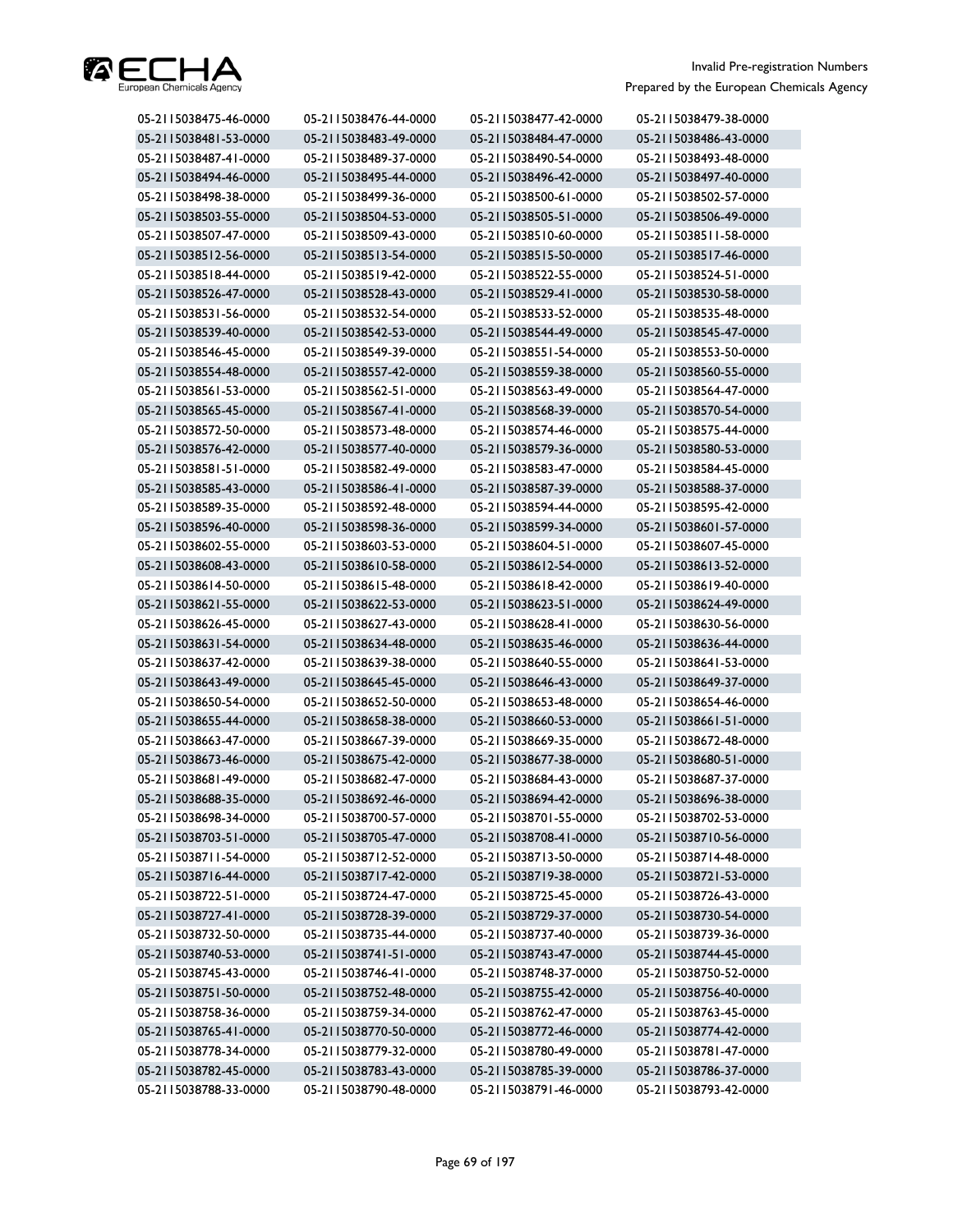

| 05-2115038475-46-0000 | 05-2115038476-44-0000 | 05-2115038477-42-0000 | 05-2115038479-38-0000 |
|-----------------------|-----------------------|-----------------------|-----------------------|
| 05-2115038481-53-0000 | 05-2115038483-49-0000 | 05-2115038484-47-0000 | 05-2115038486-43-0000 |
| 05-2115038487-41-0000 | 05-2115038489-37-0000 | 05-2115038490-54-0000 | 05-2115038493-48-0000 |
| 05-2115038494-46-0000 | 05-2115038495-44-0000 | 05-2115038496-42-0000 | 05-2115038497-40-0000 |
| 05-2115038498-38-0000 | 05-2115038499-36-0000 | 05-2115038500-61-0000 | 05-2115038502-57-0000 |
| 05-2115038503-55-0000 | 05-2115038504-53-0000 | 05-2115038505-51-0000 | 05-2115038506-49-0000 |
| 05-2115038507-47-0000 | 05-2115038509-43-0000 | 05-2115038510-60-0000 | 05-2115038511-58-0000 |
| 05-2115038512-56-0000 | 05-2115038513-54-0000 | 05-2115038515-50-0000 | 05-2115038517-46-0000 |
| 05-2115038518-44-0000 | 05-2115038519-42-0000 | 05-2115038522-55-0000 | 05-2115038524-51-0000 |
| 05-2115038526-47-0000 | 05-2115038528-43-0000 | 05-2115038529-41-0000 | 05-2115038530-58-0000 |
| 05-2115038531-56-0000 | 05-2115038532-54-0000 | 05-2115038533-52-0000 | 05-2115038535-48-0000 |
| 05-2115038539-40-0000 | 05-2115038542-53-0000 | 05-2115038544-49-0000 | 05-2115038545-47-0000 |
| 05-2115038546-45-0000 | 05-2115038549-39-0000 | 05-2115038551-54-0000 | 05-2115038553-50-0000 |
| 05-2115038554-48-0000 | 05-2115038557-42-0000 | 05-2115038559-38-0000 | 05-2115038560-55-0000 |
| 05-2115038561-53-0000 | 05-2115038562-51-0000 | 05-2115038563-49-0000 | 05-2115038564-47-0000 |
| 05-2115038565-45-0000 | 05-2115038567-41-0000 | 05-2115038568-39-0000 | 05-2115038570-54-0000 |
| 05-2115038572-50-0000 | 05-2115038573-48-0000 | 05-2115038574-46-0000 | 05-2115038575-44-0000 |
| 05-2115038576-42-0000 | 05-2115038577-40-0000 | 05-2115038579-36-0000 | 05-2115038580-53-0000 |
| 05-2115038581-51-0000 | 05-2115038582-49-0000 | 05-2115038583-47-0000 | 05-2115038584-45-0000 |
| 05-2115038585-43-0000 | 05-2115038586-41-0000 | 05-2115038587-39-0000 | 05-2115038588-37-0000 |
| 05-2115038589-35-0000 | 05-2115038592-48-0000 | 05-2115038594-44-0000 | 05-2115038595-42-0000 |
| 05-2115038596-40-0000 | 05-2115038598-36-0000 | 05-2115038599-34-0000 | 05-2115038601-57-0000 |
| 05-2115038602-55-0000 | 05-2115038603-53-0000 | 05-2115038604-51-0000 | 05-2115038607-45-0000 |
| 05-2115038608-43-0000 | 05-2115038610-58-0000 | 05-2115038612-54-0000 | 05-2115038613-52-0000 |
| 05-2115038614-50-0000 | 05-2115038615-48-0000 | 05-2115038618-42-0000 | 05-2115038619-40-0000 |
| 05-2115038621-55-0000 | 05-2115038622-53-0000 | 05-2115038623-51-0000 | 05-2115038624-49-0000 |
| 05-2115038626-45-0000 | 05-2115038627-43-0000 | 05-2115038628-41-0000 | 05-2115038630-56-0000 |
| 05-2115038631-54-0000 | 05-2115038634-48-0000 | 05-2115038635-46-0000 | 05-2115038636-44-0000 |
| 05-2115038637-42-0000 | 05-2115038639-38-0000 | 05-2115038640-55-0000 | 05-2115038641-53-0000 |
| 05-2115038643-49-0000 | 05-2115038645-45-0000 | 05-2115038646-43-0000 | 05-2115038649-37-0000 |
| 05-2115038650-54-0000 | 05-2115038652-50-0000 | 05-2115038653-48-0000 | 05-2115038654-46-0000 |
| 05-2115038655-44-0000 | 05-2115038658-38-0000 | 05-2115038660-53-0000 | 05-2115038661-51-0000 |
| 05-2115038663-47-0000 | 05-2115038667-39-0000 | 05-2115038669-35-0000 | 05-2115038672-48-0000 |
| 05-2115038673-46-0000 | 05-2115038675-42-0000 | 05-2115038677-38-0000 | 05-2115038680-51-0000 |
| 05-2115038681-49-0000 | 05-2115038682-47-0000 | 05-2115038684-43-0000 | 05-2115038687-37-0000 |
| 05-2115038688-35-0000 | 05-2115038692-46-0000 | 05-2115038694-42-0000 | 05-2115038696-38-0000 |
| 05-2115038698-34-0000 | 05-2115038700-57-0000 | 05-2115038701-55-0000 | 05-2115038702-53-0000 |
| 05-2115038703-51-0000 | 05-2115038705-47-0000 | 05-2115038708-41-0000 | 05-2115038710-56-0000 |
| 05-2115038711-54-0000 | 05-2115038712-52-0000 | 05-2115038713-50-0000 | 05-2115038714-48-0000 |
| 05-2115038716-44-0000 | 05-2115038717-42-0000 | 05-2115038719-38-0000 | 05-2115038721-53-0000 |
| 05-2115038722-51-0000 | 05-2115038724-47-0000 | 05-2115038725-45-0000 | 05-2115038726-43-0000 |
| 05-2115038727-41-0000 | 05-2115038728-39-0000 | 05-2115038729-37-0000 | 05-2115038730-54-0000 |
| 05-2115038732-50-0000 | 05-2115038735-44-0000 | 05-2115038737-40-0000 | 05-2115038739-36-0000 |
| 05-2115038740-53-0000 | 05-2115038741-51-0000 | 05-2115038743-47-0000 | 05-2115038744-45-0000 |
| 05-2115038745-43-0000 | 05-2115038746-41-0000 | 05-2115038748-37-0000 | 05-2115038750-52-0000 |
| 05-2115038751-50-0000 | 05-2115038752-48-0000 | 05-2115038755-42-0000 | 05-2115038756-40-0000 |
| 05-2115038758-36-0000 | 05-2115038759-34-0000 | 05-2115038762-47-0000 | 05-2115038763-45-0000 |
| 05-2115038765-41-0000 | 05-2115038770-50-0000 | 05-2115038772-46-0000 | 05-2115038774-42-0000 |
| 05-2115038778-34-0000 | 05-2115038779-32-0000 | 05-2115038780-49-0000 | 05-2115038781-47-0000 |
| 05-2115038782-45-0000 | 05-2115038783-43-0000 | 05-2115038785-39-0000 | 05-2115038786-37-0000 |
| 05-2115038788-33-0000 | 05-2115038790-48-0000 | 05-2115038791-46-0000 | 05-2115038793-42-0000 |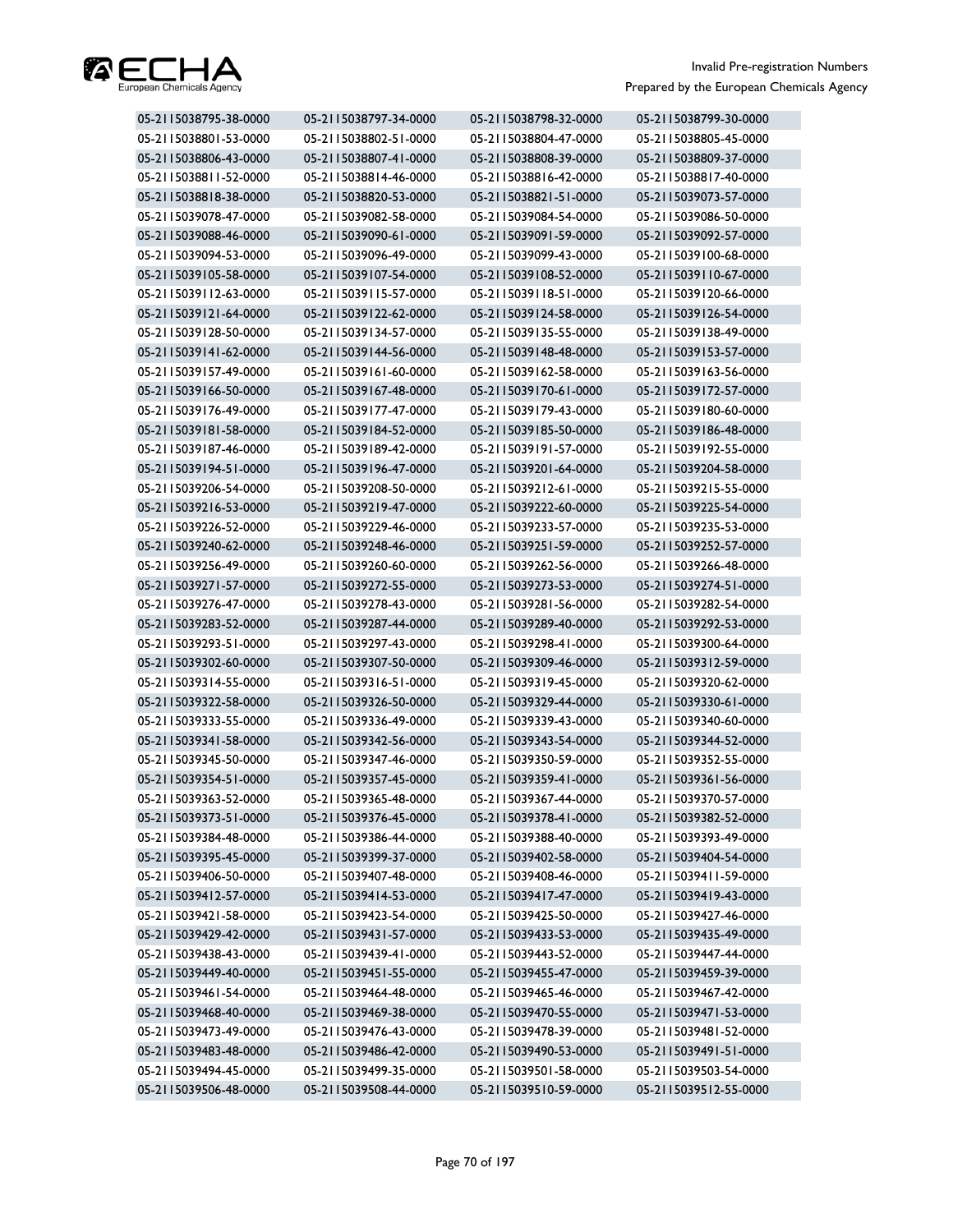

| 05-2115038795-38-0000 | 05-2115038797-34-0000 | 05-2115038798-32-0000 | 05-2115038799-30-0000 |
|-----------------------|-----------------------|-----------------------|-----------------------|
| 05-2115038801-53-0000 | 05-2115038802-51-0000 | 05-2115038804-47-0000 | 05-2115038805-45-0000 |
| 05-2115038806-43-0000 | 05-2115038807-41-0000 | 05-2115038808-39-0000 | 05-2115038809-37-0000 |
| 05-2115038811-52-0000 | 05-2115038814-46-0000 | 05-2115038816-42-0000 | 05-2115038817-40-0000 |
| 05-2115038818-38-0000 | 05-2115038820-53-0000 | 05-2115038821-51-0000 | 05-2115039073-57-0000 |
| 05-2115039078-47-0000 | 05-2115039082-58-0000 | 05-2115039084-54-0000 | 05-2115039086-50-0000 |
| 05-2115039088-46-0000 | 05-2115039090-61-0000 | 05-2115039091-59-0000 | 05-2115039092-57-0000 |
| 05-2115039094-53-0000 | 05-2115039096-49-0000 | 05-2115039099-43-0000 | 05-2115039100-68-0000 |
| 05-2115039105-58-0000 | 05-2115039107-54-0000 | 05-2115039108-52-0000 | 05-2115039110-67-0000 |
| 05-2115039112-63-0000 | 05-2115039115-57-0000 | 05-2115039118-51-0000 | 05-2115039120-66-0000 |
| 05-2115039121-64-0000 | 05-2115039122-62-0000 | 05-2115039124-58-0000 | 05-2115039126-54-0000 |
| 05-2115039128-50-0000 | 05-2115039134-57-0000 | 05-2115039135-55-0000 | 05-2115039138-49-0000 |
| 05-2115039141-62-0000 | 05-2115039144-56-0000 | 05-2115039148-48-0000 | 05-2115039153-57-0000 |
| 05-2115039157-49-0000 | 05-2115039161-60-0000 | 05-2115039162-58-0000 | 05-2115039163-56-0000 |
| 05-2115039166-50-0000 | 05-2115039167-48-0000 | 05-2115039170-61-0000 | 05-2115039172-57-0000 |
| 05-2115039176-49-0000 | 05-2115039177-47-0000 | 05-2115039179-43-0000 | 05-2115039180-60-0000 |
| 05-2115039181-58-0000 | 05-2115039184-52-0000 | 05-2115039185-50-0000 | 05-2115039186-48-0000 |
| 05-2115039187-46-0000 | 05-2115039189-42-0000 | 05-2115039191-57-0000 | 05-2115039192-55-0000 |
| 05-2115039194-51-0000 | 05-2115039196-47-0000 | 05-2115039201-64-0000 | 05-2115039204-58-0000 |
| 05-2115039206-54-0000 | 05-2115039208-50-0000 | 05-2115039212-61-0000 | 05-2115039215-55-0000 |
| 05-2115039216-53-0000 | 05-2115039219-47-0000 | 05-2115039222-60-0000 | 05-2115039225-54-0000 |
| 05-2115039226-52-0000 | 05-2115039229-46-0000 | 05-2115039233-57-0000 | 05-2115039235-53-0000 |
| 05-2115039240-62-0000 | 05-2115039248-46-0000 | 05-2115039251-59-0000 | 05-2115039252-57-0000 |
| 05-2115039256-49-0000 | 05-2115039260-60-0000 | 05-2115039262-56-0000 | 05-2115039266-48-0000 |
| 05-2115039271-57-0000 | 05-2115039272-55-0000 | 05-2115039273-53-0000 | 05-2115039274-51-0000 |
| 05-2115039276-47-0000 | 05-2115039278-43-0000 | 05-2115039281-56-0000 | 05-2115039282-54-0000 |
| 05-2115039283-52-0000 | 05-2115039287-44-0000 | 05-2115039289-40-0000 | 05-2115039292-53-0000 |
| 05-2115039293-51-0000 | 05-2115039297-43-0000 | 05-2115039298-41-0000 | 05-2115039300-64-0000 |
| 05-2115039302-60-0000 | 05-2115039307-50-0000 | 05-2115039309-46-0000 | 05-2115039312-59-0000 |
| 05-2115039314-55-0000 | 05-2115039316-51-0000 | 05-2115039319-45-0000 | 05-2115039320-62-0000 |
| 05-2115039322-58-0000 | 05-2115039326-50-0000 | 05-2115039329-44-0000 | 05-2115039330-61-0000 |
| 05-2115039333-55-0000 | 05-2115039336-49-0000 | 05-2115039339-43-0000 | 05-2115039340-60-0000 |
| 05-2115039341-58-0000 | 05-2115039342-56-0000 | 05-2115039343-54-0000 | 05-2115039344-52-0000 |
| 05-2115039345-50-0000 | 05-2115039347-46-0000 | 05-2115039350-59-0000 | 05-2115039352-55-0000 |
| 05-2115039354-51-0000 | 05-2115039357-45-0000 | 05-2115039359-41-0000 | 05-2115039361-56-0000 |
| 05-2115039363-52-0000 | 05-2115039365-48-0000 | 05-2115039367-44-0000 | 05-2115039370-57-0000 |
| 05-2115039373-51-0000 | 05-2115039376-45-0000 | 05-2115039378-41-0000 | 05-2115039382-52-0000 |
| 05-2115039384-48-0000 | 05-2115039386-44-0000 | 05-2115039388-40-0000 | 05-2115039393-49-0000 |
| 05-2115039395-45-0000 | 05-2115039399-37-0000 | 05-2115039402-58-0000 | 05-2115039404-54-0000 |
| 05-2115039406-50-0000 | 05-2115039407-48-0000 | 05-2115039408-46-0000 | 05-2115039411-59-0000 |
| 05-2115039412-57-0000 | 05-2115039414-53-0000 | 05-2115039417-47-0000 | 05-2115039419-43-0000 |
| 05-2115039421-58-0000 | 05-2115039423-54-0000 | 05-2115039425-50-0000 | 05-2115039427-46-0000 |
| 05-2115039429-42-0000 | 05-2115039431-57-0000 | 05-2115039433-53-0000 | 05-2115039435-49-0000 |
| 05-2115039438-43-0000 | 05-2115039439-41-0000 | 05-2115039443-52-0000 | 05-2115039447-44-0000 |
| 05-2115039449-40-0000 | 05-2115039451-55-0000 | 05-2115039455-47-0000 | 05-2115039459-39-0000 |
| 05-2115039461-54-0000 | 05-2115039464-48-0000 | 05-2115039465-46-0000 | 05-2115039467-42-0000 |
| 05-2115039468-40-0000 | 05-2115039469-38-0000 | 05-2115039470-55-0000 | 05-2115039471-53-0000 |
| 05-2115039473-49-0000 | 05-2115039476-43-0000 | 05-2115039478-39-0000 | 05-2115039481-52-0000 |
| 05-2115039483-48-0000 | 05-2115039486-42-0000 | 05-2115039490-53-0000 | 05-2115039491-51-0000 |
| 05-2115039494-45-0000 | 05-2115039499-35-0000 | 05-2115039501-58-0000 | 05-2115039503-54-0000 |
| 05-2115039506-48-0000 | 05-2115039508-44-0000 | 05-2115039510-59-0000 | 05-2115039512-55-0000 |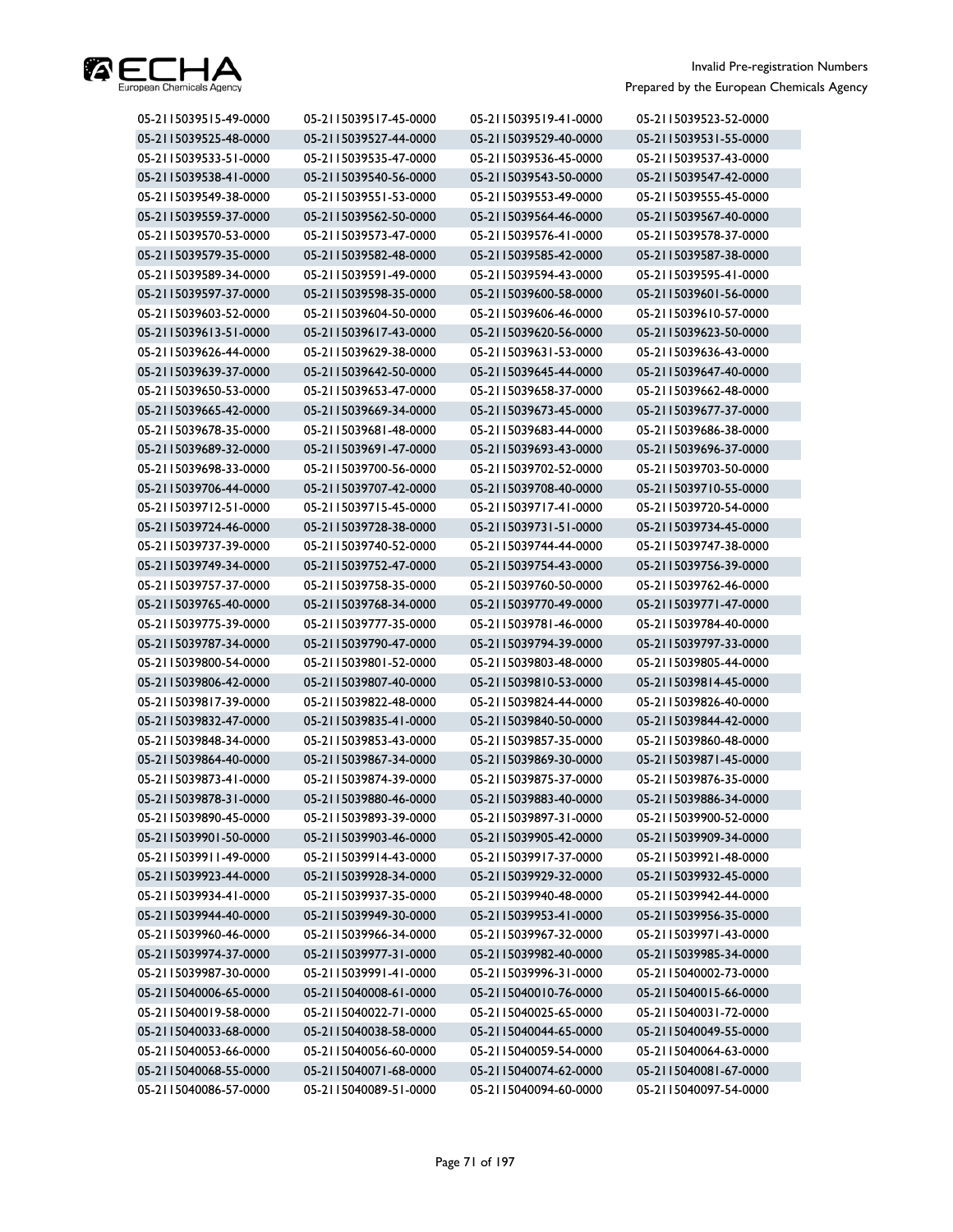

| 05-2115039515-49-0000 | 05-2115039517-45-0000 | 05-2115039519-41-0000 | 05-2115039523-52-0000 |
|-----------------------|-----------------------|-----------------------|-----------------------|
| 05-2115039525-48-0000 | 05-2115039527-44-0000 | 05-2115039529-40-0000 | 05-2115039531-55-0000 |
| 05-2115039533-51-0000 | 05-2115039535-47-0000 | 05-2115039536-45-0000 | 05-2115039537-43-0000 |
| 05-2115039538-41-0000 | 05-2115039540-56-0000 | 05-2115039543-50-0000 | 05-2115039547-42-0000 |
| 05-2115039549-38-0000 | 05-2115039551-53-0000 | 05-2115039553-49-0000 | 05-2115039555-45-0000 |
| 05-2115039559-37-0000 | 05-2115039562-50-0000 | 05-2115039564-46-0000 | 05-2115039567-40-0000 |
| 05-2115039570-53-0000 | 05-2115039573-47-0000 | 05-2115039576-41-0000 | 05-2115039578-37-0000 |
| 05-2115039579-35-0000 | 05-2115039582-48-0000 | 05-2115039585-42-0000 | 05-2115039587-38-0000 |
| 05-2115039589-34-0000 | 05-2115039591-49-0000 | 05-2115039594-43-0000 | 05-2115039595-41-0000 |
| 05-2115039597-37-0000 | 05-2115039598-35-0000 | 05-2115039600-58-0000 | 05-2115039601-56-0000 |
| 05-2115039603-52-0000 | 05-2115039604-50-0000 | 05-2115039606-46-0000 | 05-2115039610-57-0000 |
| 05-2115039613-51-0000 | 05-2115039617-43-0000 | 05-2115039620-56-0000 | 05-2115039623-50-0000 |
| 05-2115039626-44-0000 | 05-2115039629-38-0000 | 05-2115039631-53-0000 | 05-2115039636-43-0000 |
| 05-2115039639-37-0000 | 05-2115039642-50-0000 | 05-2115039645-44-0000 | 05-2115039647-40-0000 |
| 05-2115039650-53-0000 | 05-2115039653-47-0000 | 05-2115039658-37-0000 | 05-2115039662-48-0000 |
| 05-2115039665-42-0000 | 05-2115039669-34-0000 | 05-2115039673-45-0000 | 05-2115039677-37-0000 |
| 05-2115039678-35-0000 | 05-2115039681-48-0000 | 05-2115039683-44-0000 | 05-2115039686-38-0000 |
| 05-2115039689-32-0000 | 05-2115039691-47-0000 | 05-2115039693-43-0000 | 05-2115039696-37-0000 |
| 05-2115039698-33-0000 | 05-2115039700-56-0000 | 05-2115039702-52-0000 | 05-2115039703-50-0000 |
| 05-2115039706-44-0000 | 05-2115039707-42-0000 | 05-2115039708-40-0000 | 05-2115039710-55-0000 |
| 05-2115039712-51-0000 | 05-2115039715-45-0000 | 05-2115039717-41-0000 | 05-2115039720-54-0000 |
| 05-2115039724-46-0000 | 05-2115039728-38-0000 | 05-2115039731-51-0000 | 05-2115039734-45-0000 |
| 05-2115039737-39-0000 | 05-2115039740-52-0000 | 05-2115039744-44-0000 | 05-2115039747-38-0000 |
| 05-2115039749-34-0000 | 05-2115039752-47-0000 | 05-2115039754-43-0000 | 05-2115039756-39-0000 |
| 05-2115039757-37-0000 | 05-2115039758-35-0000 | 05-2115039760-50-0000 | 05-2115039762-46-0000 |
| 05-2115039765-40-0000 | 05-2115039768-34-0000 | 05-2115039770-49-0000 | 05-2115039771-47-0000 |
| 05-2115039775-39-0000 | 05-2115039777-35-0000 | 05-2115039781-46-0000 | 05-2115039784-40-0000 |
| 05-2115039787-34-0000 | 05-2115039790-47-0000 | 05-2115039794-39-0000 | 05-2115039797-33-0000 |
| 05-2115039800-54-0000 | 05-2115039801-52-0000 | 05-2115039803-48-0000 | 05-2115039805-44-0000 |
| 05-2115039806-42-0000 | 05-2115039807-40-0000 | 05-2115039810-53-0000 | 05-2115039814-45-0000 |
| 05-2115039817-39-0000 | 05-2115039822-48-0000 | 05-2115039824-44-0000 | 05-2115039826-40-0000 |
| 05-2115039832-47-0000 | 05-2115039835-41-0000 | 05-2115039840-50-0000 | 05-2115039844-42-0000 |
| 05-2115039848-34-0000 | 05-2115039853-43-0000 | 05-2115039857-35-0000 | 05-2115039860-48-0000 |
| 05-2115039864-40-0000 | 05-2115039867-34-0000 | 05-2115039869-30-0000 | 05-2115039871-45-0000 |
| 05-2115039873-41-0000 | 05-2115039874-39-0000 | 05-2115039875-37-0000 | 05-2115039876-35-0000 |
| 05-2115039878-31-0000 | 05-2115039880-46-0000 | 05-2115039883-40-0000 | 05-2115039886-34-0000 |
| 05-2115039890-45-0000 | 05-2115039893-39-0000 | 05-2115039897-31-0000 | 05-2115039900-52-0000 |
| 05-2115039901-50-0000 | 05-2115039903-46-0000 | 05-2115039905-42-0000 | 05-2115039909-34-0000 |
| 05-2115039911-49-0000 | 05-2115039914-43-0000 | 05-2115039917-37-0000 | 05-2115039921-48-0000 |
| 05-2115039923-44-0000 | 05-2115039928-34-0000 | 05-2115039929-32-0000 | 05-2115039932-45-0000 |
| 05-2115039934-41-0000 | 05-2115039937-35-0000 | 05-2115039940-48-0000 | 05-2115039942-44-0000 |
| 05-2115039944-40-0000 | 05-2115039949-30-0000 | 05-2115039953-41-0000 | 05-2115039956-35-0000 |
| 05-2115039960-46-0000 | 05-2115039966-34-0000 | 05-2115039967-32-0000 | 05-2115039971-43-0000 |
| 05-2115039974-37-0000 | 05-2115039977-31-0000 | 05-2115039982-40-0000 | 05-2115039985-34-0000 |
| 05-2115039987-30-0000 | 05-2115039991-41-0000 | 05-2115039996-31-0000 | 05-2115040002-73-0000 |
| 05-2115040006-65-0000 | 05-2115040008-61-0000 | 05-2115040010-76-0000 | 05-2115040015-66-0000 |
| 05-2115040019-58-0000 | 05-2115040022-71-0000 | 05-2115040025-65-0000 | 05-2115040031-72-0000 |
| 05-2115040033-68-0000 | 05-2115040038-58-0000 | 05-2115040044-65-0000 | 05-2115040049-55-0000 |
| 05-2115040053-66-0000 | 05-2115040056-60-0000 | 05-2115040059-54-0000 | 05-2115040064-63-0000 |
| 05-2115040068-55-0000 | 05-2115040071-68-0000 | 05-2115040074-62-0000 | 05-2115040081-67-0000 |
| 05-2115040086-57-0000 | 05-2115040089-51-0000 | 05-2115040094-60-0000 | 05-2115040097-54-0000 |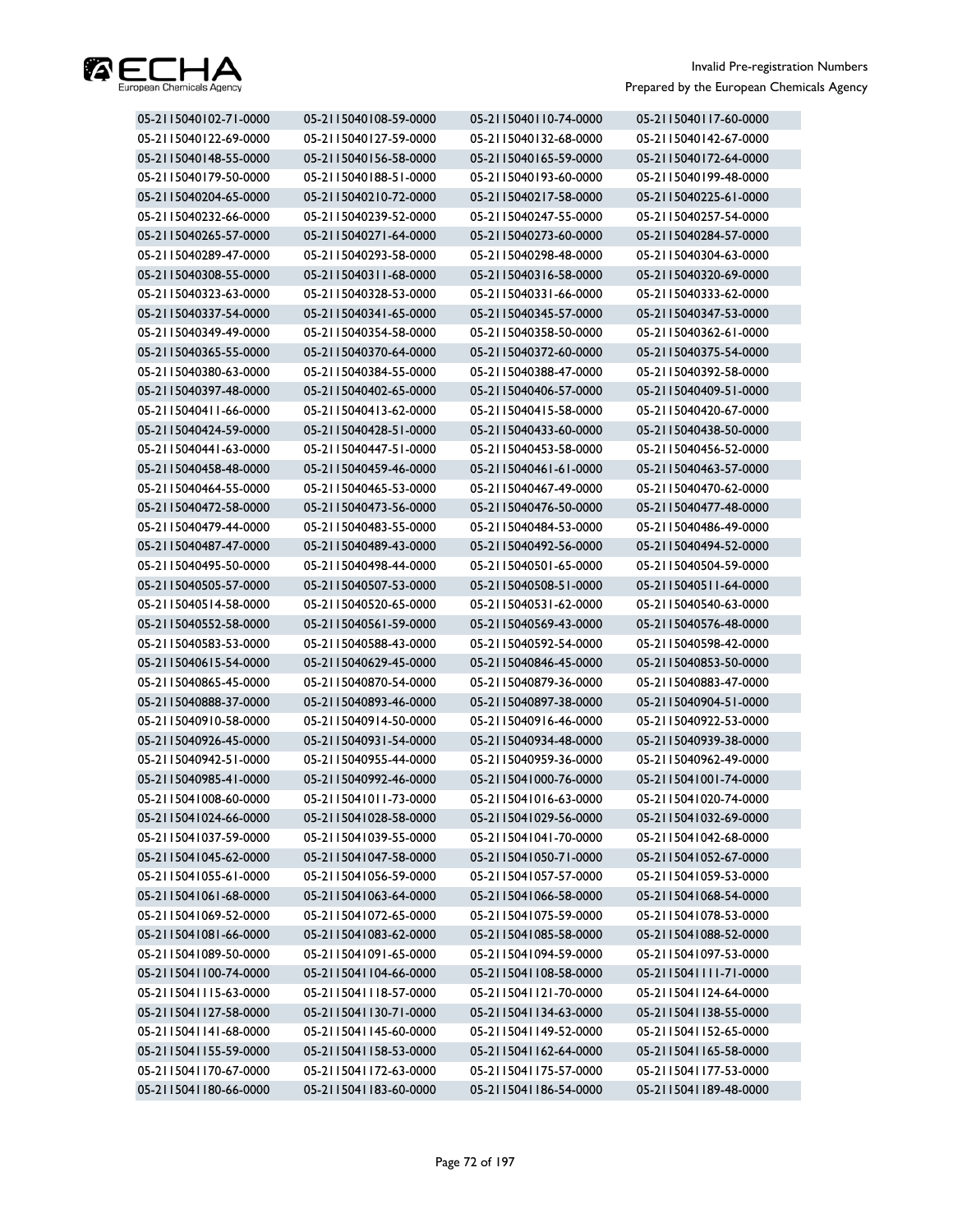

| 05-2115040102-71-0000 | 05-2115040108-59-0000 | 05-2115040110-74-0000 | 05-2115040117-60-0000 |
|-----------------------|-----------------------|-----------------------|-----------------------|
| 05-2115040122-69-0000 | 05-2115040127-59-0000 | 05-2115040132-68-0000 | 05-2115040142-67-0000 |
| 05-2115040148-55-0000 | 05-2115040156-58-0000 | 05-2115040165-59-0000 | 05-2115040172-64-0000 |
| 05-2115040179-50-0000 | 05-2115040188-51-0000 | 05-2115040193-60-0000 | 05-2115040199-48-0000 |
| 05-2115040204-65-0000 | 05-2115040210-72-0000 | 05-2115040217-58-0000 | 05-2115040225-61-0000 |
| 05-2115040232-66-0000 | 05-2115040239-52-0000 | 05-2115040247-55-0000 | 05-2115040257-54-0000 |
| 05-2115040265-57-0000 | 05-2115040271-64-0000 | 05-2115040273-60-0000 | 05-2115040284-57-0000 |
| 05-2115040289-47-0000 | 05-2115040293-58-0000 | 05-2115040298-48-0000 | 05-2115040304-63-0000 |
| 05-2115040308-55-0000 | 05-2115040311-68-0000 | 05-2115040316-58-0000 | 05-2115040320-69-0000 |
| 05-2115040323-63-0000 | 05-2115040328-53-0000 | 05-2115040331-66-0000 | 05-2115040333-62-0000 |
| 05-2115040337-54-0000 | 05-2115040341-65-0000 | 05-2115040345-57-0000 | 05-2115040347-53-0000 |
| 05-2115040349-49-0000 | 05-2115040354-58-0000 | 05-2115040358-50-0000 | 05-2115040362-61-0000 |
| 05-2115040365-55-0000 | 05-2115040370-64-0000 | 05-2115040372-60-0000 | 05-2115040375-54-0000 |
| 05-2115040380-63-0000 | 05-2115040384-55-0000 | 05-2115040388-47-0000 | 05-2115040392-58-0000 |
| 05-2115040397-48-0000 | 05-2115040402-65-0000 | 05-2115040406-57-0000 | 05-2115040409-51-0000 |
| 05-2115040411-66-0000 | 05-2115040413-62-0000 | 05-2115040415-58-0000 | 05-2115040420-67-0000 |
| 05-2115040424-59-0000 | 05-2115040428-51-0000 | 05-2115040433-60-0000 | 05-2115040438-50-0000 |
| 05-2115040441-63-0000 | 05-2115040447-51-0000 | 05-2115040453-58-0000 | 05-2115040456-52-0000 |
| 05-2115040458-48-0000 | 05-2115040459-46-0000 | 05-2115040461-61-0000 | 05-2115040463-57-0000 |
| 05-2115040464-55-0000 | 05-2115040465-53-0000 | 05-2115040467-49-0000 | 05-2115040470-62-0000 |
| 05-2115040472-58-0000 | 05-2115040473-56-0000 | 05-2115040476-50-0000 | 05-2115040477-48-0000 |
| 05-2115040479-44-0000 | 05-2115040483-55-0000 | 05-2115040484-53-0000 | 05-2115040486-49-0000 |
| 05-2115040487-47-0000 | 05-2115040489-43-0000 | 05-2115040492-56-0000 | 05-2115040494-52-0000 |
| 05-2115040495-50-0000 | 05-2115040498-44-0000 | 05-2115040501-65-0000 | 05-2115040504-59-0000 |
| 05-2115040505-57-0000 | 05-2115040507-53-0000 | 05-2115040508-51-0000 | 05-2115040511-64-0000 |
| 05-2115040514-58-0000 | 05-2115040520-65-0000 | 05-2115040531-62-0000 | 05-2115040540-63-0000 |
| 05-2115040552-58-0000 | 05-2115040561-59-0000 | 05-2115040569-43-0000 | 05-2115040576-48-0000 |
| 05-2115040583-53-0000 | 05-2115040588-43-0000 | 05-2115040592-54-0000 | 05-2115040598-42-0000 |
| 05-2115040615-54-0000 | 05-2115040629-45-0000 | 05-2115040846-45-0000 | 05-2115040853-50-0000 |
| 05-2115040865-45-0000 | 05-2115040870-54-0000 | 05-2115040879-36-0000 | 05-2115040883-47-0000 |
| 05-2115040888-37-0000 | 05-2115040893-46-0000 | 05-2115040897-38-0000 | 05-2115040904-51-0000 |
| 05-2115040910-58-0000 | 05-2115040914-50-0000 | 05-2115040916-46-0000 | 05-2115040922-53-0000 |
| 05-2115040926-45-0000 | 05-2115040931-54-0000 | 05-2115040934-48-0000 | 05-2115040939-38-0000 |
| 05-2115040942-51-0000 | 05-2115040955-44-0000 | 05-2115040959-36-0000 | 05-2115040962-49-0000 |
| 05-2115040985-41-0000 | 05-2115040992-46-0000 | 05-2115041000-76-0000 | 05-2115041001-74-0000 |
| 05-2115041008-60-0000 | 05-2115041011-73-0000 | 05-2115041016-63-0000 | 05-2115041020-74-0000 |
| 05-2115041024-66-0000 | 05-2115041028-58-0000 | 05-2115041029-56-0000 | 05-2115041032-69-0000 |
| 05-2115041037-59-0000 | 05-2115041039-55-0000 | 05-2115041041-70-0000 | 05-2115041042-68-0000 |
| 05-2115041045-62-0000 | 05-2115041047-58-0000 | 05-2115041050-71-0000 | 05-2115041052-67-0000 |
| 05-2115041055-61-0000 | 05-2115041056-59-0000 | 05-2115041057-57-0000 | 05-2115041059-53-0000 |
| 05-2115041061-68-0000 | 05-2115041063-64-0000 | 05-2115041066-58-0000 | 05-2115041068-54-0000 |
| 05-2115041069-52-0000 | 05-2115041072-65-0000 | 05-2115041075-59-0000 | 05-2115041078-53-0000 |
| 05-2115041081-66-0000 | 05-2115041083-62-0000 | 05-2115041085-58-0000 | 05-2115041088-52-0000 |
| 05-2115041089-50-0000 | 05-2115041091-65-0000 | 05-2115041094-59-0000 | 05-2115041097-53-0000 |
| 05-2115041100-74-0000 | 05-2115041104-66-0000 | 05-2115041108-58-0000 | 05-2115041111-71-0000 |
| 05-2115041115-63-0000 | 05-2115041118-57-0000 | 05-2115041121-70-0000 | 05-2115041124-64-0000 |
| 05-2115041127-58-0000 | 05-2115041130-71-0000 | 05-2115041134-63-0000 | 05-2115041138-55-0000 |
| 05-2115041141-68-0000 | 05-2115041145-60-0000 | 05-2115041149-52-0000 | 05-2115041152-65-0000 |
| 05-2115041155-59-0000 | 05-2115041158-53-0000 | 05-2115041162-64-0000 | 05-2115041165-58-0000 |
| 05-2115041170-67-0000 | 05-2115041172-63-0000 | 05-2115041175-57-0000 | 05-2115041177-53-0000 |
| 05-2115041180-66-0000 | 05-2115041183-60-0000 | 05-2115041186-54-0000 | 05-2115041189-48-0000 |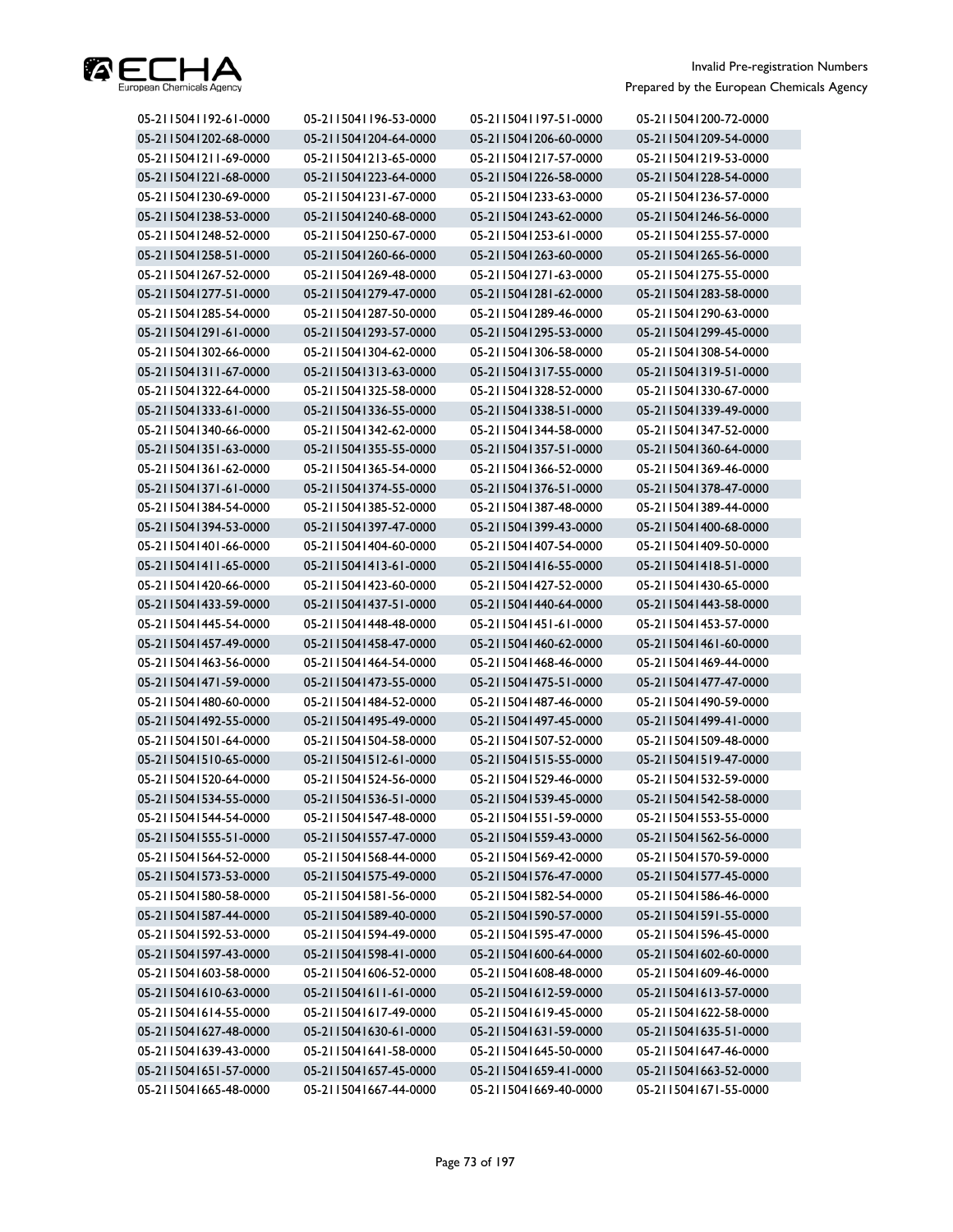

| 05-2115041192-61-0000 | 05-2115041196-53-0000 | 05-2115041197-51-0000 | 05-2115041200-72-0000 |
|-----------------------|-----------------------|-----------------------|-----------------------|
| 05-2115041202-68-0000 | 05-2115041204-64-0000 | 05-2115041206-60-0000 | 05-2115041209-54-0000 |
| 05-2115041211-69-0000 | 05-2115041213-65-0000 | 05-2115041217-57-0000 | 05-2115041219-53-0000 |
| 05-2115041221-68-0000 | 05-2115041223-64-0000 | 05-2115041226-58-0000 | 05-2115041228-54-0000 |
| 05-2115041230-69-0000 | 05-2115041231-67-0000 | 05-2115041233-63-0000 | 05-2115041236-57-0000 |
| 05-2115041238-53-0000 | 05-2115041240-68-0000 | 05-2115041243-62-0000 | 05-2115041246-56-0000 |
| 05-2115041248-52-0000 | 05-2115041250-67-0000 | 05-2115041253-61-0000 | 05-2115041255-57-0000 |
| 05-2115041258-51-0000 | 05-2115041260-66-0000 | 05-2115041263-60-0000 | 05-2115041265-56-0000 |
| 05-2115041267-52-0000 | 05-2115041269-48-0000 | 05-2115041271-63-0000 | 05-2115041275-55-0000 |
| 05-2115041277-51-0000 | 05-2115041279-47-0000 | 05-2115041281-62-0000 | 05-2115041283-58-0000 |
| 05-2115041285-54-0000 | 05-2115041287-50-0000 | 05-2115041289-46-0000 | 05-2115041290-63-0000 |
| 05-2115041291-61-0000 | 05-2115041293-57-0000 | 05-2115041295-53-0000 | 05-2115041299-45-0000 |
| 05-2115041302-66-0000 | 05-2115041304-62-0000 | 05-2115041306-58-0000 | 05-2115041308-54-0000 |
| 05-2115041311-67-0000 | 05-2115041313-63-0000 | 05-2115041317-55-0000 | 05-2115041319-51-0000 |
| 05-2115041322-64-0000 | 05-2115041325-58-0000 | 05-2115041328-52-0000 | 05-2115041330-67-0000 |
| 05-2115041333-61-0000 | 05-2115041336-55-0000 | 05-2115041338-51-0000 | 05-2115041339-49-0000 |
| 05-2115041340-66-0000 | 05-2115041342-62-0000 | 05-2115041344-58-0000 | 05-2115041347-52-0000 |
| 05-2115041351-63-0000 | 05-2115041355-55-0000 | 05-2115041357-51-0000 | 05-2115041360-64-0000 |
| 05-2115041361-62-0000 | 05-2115041365-54-0000 | 05-2115041366-52-0000 | 05-2115041369-46-0000 |
| 05-2115041371-61-0000 | 05-2115041374-55-0000 | 05-2115041376-51-0000 | 05-2115041378-47-0000 |
| 05-2115041384-54-0000 | 05-2115041385-52-0000 | 05-2115041387-48-0000 | 05-2115041389-44-0000 |
| 05-2115041394-53-0000 | 05-2115041397-47-0000 | 05-2115041399-43-0000 | 05-2115041400-68-0000 |
| 05-2115041401-66-0000 | 05-2115041404-60-0000 | 05-2115041407-54-0000 | 05-2115041409-50-0000 |
| 05-2115041411-65-0000 | 05-2115041413-61-0000 | 05-2115041416-55-0000 | 05-2115041418-51-0000 |
| 05-2115041420-66-0000 | 05-2115041423-60-0000 | 05-2115041427-52-0000 | 05-2115041430-65-0000 |
| 05-2115041433-59-0000 | 05-2115041437-51-0000 | 05-2115041440-64-0000 | 05-2115041443-58-0000 |
| 05-2115041445-54-0000 | 05-2115041448-48-0000 | 05-2115041451-61-0000 | 05-2115041453-57-0000 |
| 05-2115041457-49-0000 | 05-2115041458-47-0000 | 05-2115041460-62-0000 | 05-2115041461-60-0000 |
| 05-2115041463-56-0000 | 05-2115041464-54-0000 | 05-2115041468-46-0000 | 05-2115041469-44-0000 |
| 05-2115041471-59-0000 | 05-2115041473-55-0000 | 05-2115041475-51-0000 | 05-2115041477-47-0000 |
| 05-2115041480-60-0000 | 05-2115041484-52-0000 | 05-2115041487-46-0000 | 05-2115041490-59-0000 |
| 05-2115041492-55-0000 | 05-2115041495-49-0000 | 05-2115041497-45-0000 | 05-2115041499-41-0000 |
| 05-2115041501-64-0000 | 05-2115041504-58-0000 | 05-2115041507-52-0000 | 05-2115041509-48-0000 |
| 05-2115041510-65-0000 | 05-2115041512-61-0000 | 05-2115041515-55-0000 | 05-2115041519-47-0000 |
| 05-2115041520-64-0000 | 05-2115041524-56-0000 | 05-2115041529-46-0000 | 05-2115041532-59-0000 |
| 05-2115041534-55-0000 | 05-2115041536-51-0000 | 05-2115041539-45-0000 | 05-2115041542-58-0000 |
| 05-2115041544-54-0000 | 05-2115041547-48-0000 | 05-2115041551-59-0000 | 05-2115041553-55-0000 |
| 05-2115041555-51-0000 | 05-2115041557-47-0000 | 05-2115041559-43-0000 | 05-2115041562-56-0000 |
| 05-2115041564-52-0000 | 05-2115041568-44-0000 | 05-2115041569-42-0000 | 05-2115041570-59-0000 |
| 05-2115041573-53-0000 | 05-2115041575-49-0000 | 05-2115041576-47-0000 | 05-2115041577-45-0000 |
| 05-2115041580-58-0000 | 05-2115041581-56-0000 | 05-2115041582-54-0000 | 05-2115041586-46-0000 |
| 05-2115041587-44-0000 | 05-2115041589-40-0000 | 05-2115041590-57-0000 | 05-2115041591-55-0000 |
| 05-2115041592-53-0000 | 05-2115041594-49-0000 | 05-2115041595-47-0000 | 05-2115041596-45-0000 |
| 05-2115041597-43-0000 | 05-2115041598-41-0000 | 05-2115041600-64-0000 | 05-2115041602-60-0000 |
| 05-2115041603-58-0000 | 05-2115041606-52-0000 | 05-2115041608-48-0000 | 05-2115041609-46-0000 |
| 05-2115041610-63-0000 | 05-2115041611-61-0000 | 05-2115041612-59-0000 | 05-2115041613-57-0000 |
| 05-2115041614-55-0000 | 05-2115041617-49-0000 | 05-2115041619-45-0000 | 05-2115041622-58-0000 |
| 05-2115041627-48-0000 | 05-2115041630-61-0000 | 05-2115041631-59-0000 | 05-2115041635-51-0000 |
| 05-2115041639-43-0000 | 05-2115041641-58-0000 | 05-2115041645-50-0000 | 05-2115041647-46-0000 |
| 05-2115041651-57-0000 | 05-2115041657-45-0000 | 05-2115041659-41-0000 | 05-2115041663-52-0000 |
| 05-2115041665-48-0000 | 05-2115041667-44-0000 | 05-2115041669-40-0000 | 05-2115041671-55-0000 |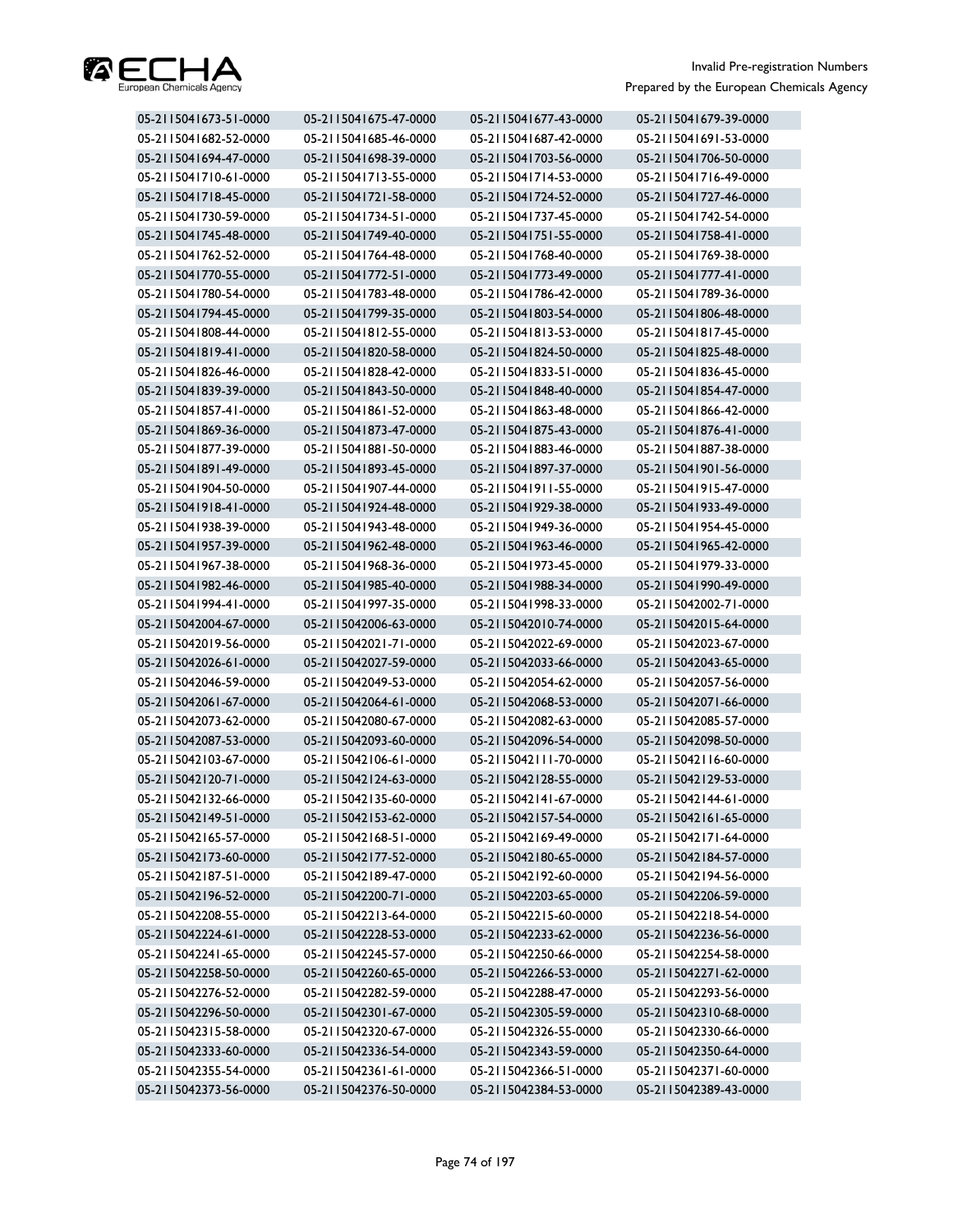

| 05-2115041673-51-0000 | 05-2115041675-47-0000 | 05-2115041677-43-0000 | 05-2115041679-39-0000 |
|-----------------------|-----------------------|-----------------------|-----------------------|
| 05-2115041682-52-0000 | 05-2115041685-46-0000 | 05-2115041687-42-0000 | 05-2115041691-53-0000 |
| 05-2115041694-47-0000 | 05-2115041698-39-0000 | 05-2115041703-56-0000 | 05-2115041706-50-0000 |
| 05-2115041710-61-0000 | 05-2115041713-55-0000 | 05-2115041714-53-0000 | 05-2115041716-49-0000 |
| 05-2115041718-45-0000 | 05-2115041721-58-0000 | 05-2115041724-52-0000 | 05-2115041727-46-0000 |
| 05-2115041730-59-0000 | 05-2115041734-51-0000 | 05-2115041737-45-0000 | 05-2115041742-54-0000 |
| 05-2115041745-48-0000 | 05-2115041749-40-0000 | 05-2115041751-55-0000 | 05-2115041758-41-0000 |
| 05-2115041762-52-0000 | 05-2115041764-48-0000 | 05-2115041768-40-0000 | 05-2115041769-38-0000 |
| 05-2115041770-55-0000 | 05-2115041772-51-0000 | 05-2115041773-49-0000 | 05-2115041777-41-0000 |
| 05-2115041780-54-0000 | 05-2115041783-48-0000 | 05-2115041786-42-0000 | 05-2115041789-36-0000 |
| 05-2115041794-45-0000 | 05-2115041799-35-0000 | 05-2115041803-54-0000 | 05-2115041806-48-0000 |
| 05-2115041808-44-0000 | 05-2115041812-55-0000 | 05-2115041813-53-0000 | 05-2115041817-45-0000 |
| 05-2115041819-41-0000 | 05-2115041820-58-0000 | 05-2115041824-50-0000 | 05-2115041825-48-0000 |
| 05-2115041826-46-0000 | 05-2115041828-42-0000 | 05-2115041833-51-0000 | 05-2115041836-45-0000 |
| 05-2115041839-39-0000 | 05-2115041843-50-0000 | 05-2115041848-40-0000 | 05-2115041854-47-0000 |
| 05-2115041857-41-0000 | 05-2115041861-52-0000 | 05-2115041863-48-0000 | 05-2115041866-42-0000 |
| 05-2115041869-36-0000 | 05-2115041873-47-0000 | 05-2115041875-43-0000 | 05-2115041876-41-0000 |
| 05-2115041877-39-0000 | 05-2115041881-50-0000 | 05-2115041883-46-0000 | 05-2115041887-38-0000 |
| 05-2115041891-49-0000 | 05-2115041893-45-0000 | 05-2115041897-37-0000 | 05-2115041901-56-0000 |
| 05-2115041904-50-0000 | 05-2115041907-44-0000 | 05-2115041911-55-0000 | 05-2115041915-47-0000 |
| 05-2115041918-41-0000 | 05-2115041924-48-0000 | 05-2115041929-38-0000 | 05-2115041933-49-0000 |
| 05-2115041938-39-0000 | 05-2115041943-48-0000 | 05-2115041949-36-0000 | 05-2115041954-45-0000 |
| 05-2115041957-39-0000 | 05-2115041962-48-0000 | 05-2115041963-46-0000 | 05-2115041965-42-0000 |
| 05-2115041967-38-0000 | 05-2115041968-36-0000 | 05-2115041973-45-0000 | 05-2115041979-33-0000 |
| 05-2115041982-46-0000 | 05-2115041985-40-0000 | 05-2115041988-34-0000 | 05-2115041990-49-0000 |
| 05-2115041994-41-0000 | 05-2115041997-35-0000 | 05-2115041998-33-0000 | 05-2115042002-71-0000 |
| 05-2115042004-67-0000 | 05-2115042006-63-0000 | 05-2115042010-74-0000 | 05-2115042015-64-0000 |
| 05-2115042019-56-0000 | 05-2115042021-71-0000 | 05-2115042022-69-0000 | 05-2115042023-67-0000 |
| 05-2115042026-61-0000 | 05-2115042027-59-0000 | 05-2115042033-66-0000 | 05-2115042043-65-0000 |
| 05-2115042046-59-0000 | 05-2115042049-53-0000 | 05-2115042054-62-0000 | 05-2115042057-56-0000 |
| 05-2115042061-67-0000 | 05-2115042064-61-0000 | 05-2115042068-53-0000 | 05-2115042071-66-0000 |
| 05-2115042073-62-0000 | 05-2115042080-67-0000 | 05-2115042082-63-0000 | 05-2115042085-57-0000 |
| 05-2115042087-53-0000 | 05-2115042093-60-0000 | 05-2115042096-54-0000 | 05-2115042098-50-0000 |
| 05-2115042103-67-0000 | 05-2115042106-61-0000 | 05-2115042111-70-0000 | 05-2115042116-60-0000 |
| 05-2115042120-71-0000 | 05-2115042124-63-0000 | 05-2115042128-55-0000 | 05-2115042129-53-0000 |
| 05-2115042132-66-0000 | 05-2115042135-60-0000 | 05-2115042141-67-0000 | 05-2115042144-61-0000 |
| 05-2115042149-51-0000 | 05-2115042153-62-0000 | 05-2115042157-54-0000 | 05-2115042161-65-0000 |
| 05-2115042165-57-0000 | 05-2115042168-51-0000 | 05-2115042169-49-0000 | 05-2115042171-64-0000 |
| 05-2115042173-60-0000 | 05-2115042177-52-0000 | 05-2115042180-65-0000 | 05-2115042184-57-0000 |
| 05-2115042187-51-0000 | 05-2115042189-47-0000 | 05-2115042192-60-0000 | 05-2115042194-56-0000 |
| 05-2115042196-52-0000 | 05-2115042200-71-0000 | 05-2115042203-65-0000 | 05-2115042206-59-0000 |
| 05-2115042208-55-0000 | 05-2115042213-64-0000 | 05-2115042215-60-0000 | 05-2115042218-54-0000 |
| 05-2115042224-61-0000 | 05-2115042228-53-0000 | 05-2115042233-62-0000 | 05-2115042236-56-0000 |
| 05-2115042241-65-0000 | 05-2115042245-57-0000 | 05-2115042250-66-0000 | 05-2115042254-58-0000 |
| 05-2115042258-50-0000 | 05-2115042260-65-0000 | 05-2115042266-53-0000 | 05-2115042271-62-0000 |
| 05-2115042276-52-0000 | 05-2115042282-59-0000 | 05-2115042288-47-0000 | 05-2115042293-56-0000 |
| 05-2115042296-50-0000 | 05-2115042301-67-0000 | 05-2115042305-59-0000 | 05-2115042310-68-0000 |
| 05-2115042315-58-0000 | 05-2115042320-67-0000 | 05-2115042326-55-0000 | 05-2115042330-66-0000 |
| 05-2115042333-60-0000 | 05-2115042336-54-0000 | 05-2115042343-59-0000 | 05-2115042350-64-0000 |
| 05-2115042355-54-0000 | 05-2115042361-61-0000 | 05-2115042366-51-0000 | 05-2115042371-60-0000 |
| 05-2115042373-56-0000 | 05-2115042376-50-0000 | 05-2115042384-53-0000 | 05-2115042389-43-0000 |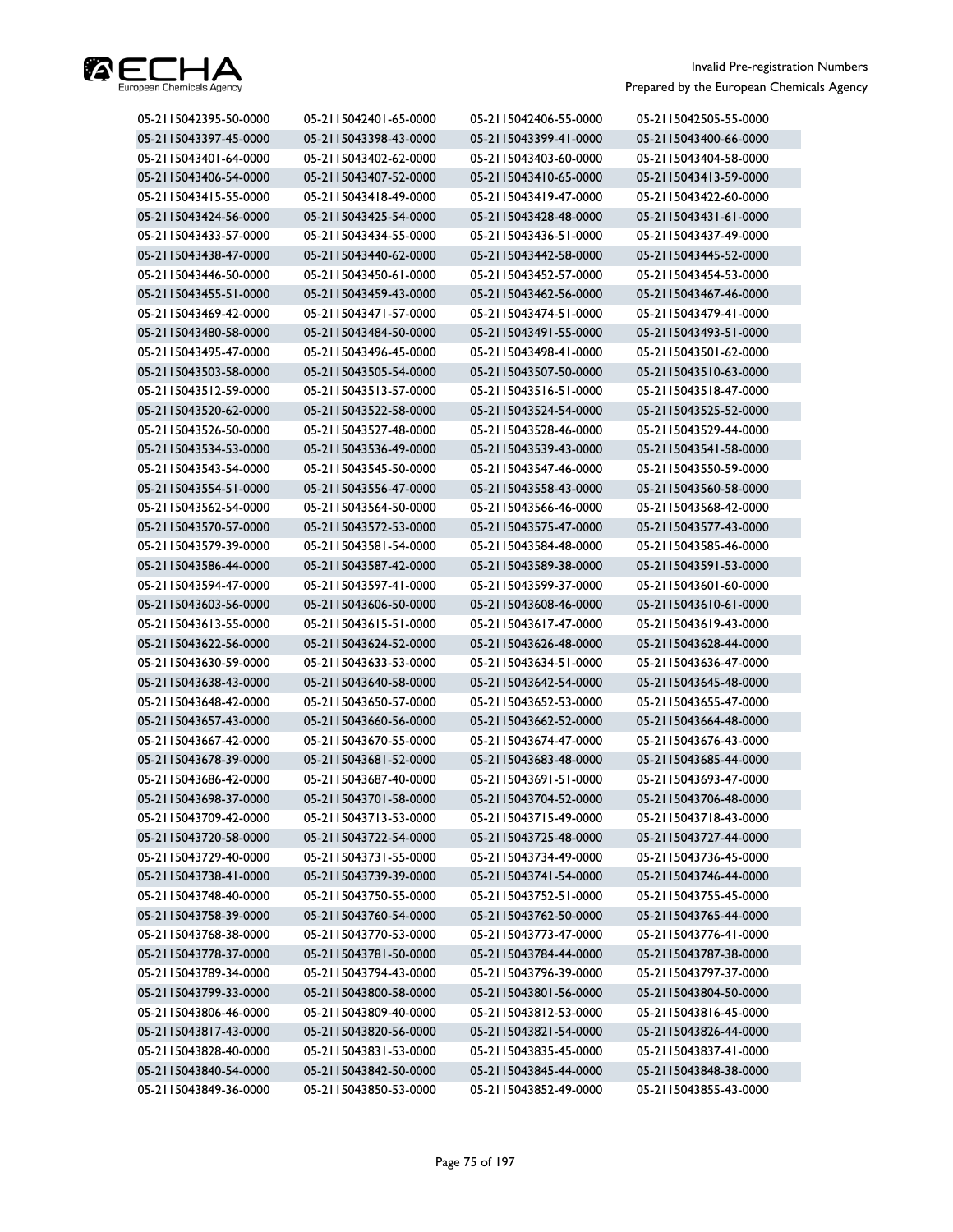

| 05-2115042395-50-0000 | 05-2115042401-65-0000 | 05-2115042406-55-0000 | 05-2115042505-55-0000 |
|-----------------------|-----------------------|-----------------------|-----------------------|
| 05-2115043397-45-0000 | 05-2115043398-43-0000 | 05-2115043399-41-0000 | 05-2115043400-66-0000 |
| 05-2115043401-64-0000 | 05-2115043402-62-0000 | 05-2115043403-60-0000 | 05-2115043404-58-0000 |
| 05-2115043406-54-0000 | 05-2115043407-52-0000 | 05-2115043410-65-0000 | 05-2115043413-59-0000 |
| 05-2115043415-55-0000 | 05-2115043418-49-0000 | 05-2115043419-47-0000 | 05-2115043422-60-0000 |
| 05-2115043424-56-0000 | 05-2115043425-54-0000 | 05-2115043428-48-0000 | 05-2115043431-61-0000 |
| 05-2115043433-57-0000 | 05-2115043434-55-0000 | 05-2115043436-51-0000 | 05-2115043437-49-0000 |
| 05-2115043438-47-0000 | 05-2115043440-62-0000 | 05-2115043442-58-0000 | 05-2115043445-52-0000 |
| 05-2115043446-50-0000 | 05-2115043450-61-0000 | 05-2115043452-57-0000 | 05-2115043454-53-0000 |
| 05-2115043455-51-0000 | 05-2115043459-43-0000 | 05-2115043462-56-0000 | 05-2115043467-46-0000 |
| 05-2115043469-42-0000 | 05-2115043471-57-0000 | 05-2115043474-51-0000 | 05-2115043479-41-0000 |
| 05-2115043480-58-0000 | 05-2115043484-50-0000 | 05-2115043491-55-0000 | 05-2115043493-51-0000 |
| 05-2115043495-47-0000 | 05-2115043496-45-0000 | 05-2115043498-41-0000 | 05-2115043501-62-0000 |
| 05-2115043503-58-0000 | 05-2115043505-54-0000 | 05-2115043507-50-0000 | 05-2115043510-63-0000 |
| 05-2115043512-59-0000 | 05-2115043513-57-0000 | 05-2115043516-51-0000 | 05-2115043518-47-0000 |
| 05-2115043520-62-0000 | 05-2115043522-58-0000 | 05-2115043524-54-0000 | 05-2115043525-52-0000 |
| 05-2115043526-50-0000 | 05-2115043527-48-0000 | 05-2115043528-46-0000 | 05-2115043529-44-0000 |
| 05-2115043534-53-0000 | 05-2115043536-49-0000 | 05-2115043539-43-0000 | 05-2115043541-58-0000 |
| 05-2115043543-54-0000 | 05-2115043545-50-0000 | 05-2115043547-46-0000 | 05-2115043550-59-0000 |
| 05-2115043554-51-0000 | 05-2115043556-47-0000 | 05-2115043558-43-0000 | 05-2115043560-58-0000 |
| 05-2115043562-54-0000 | 05-2115043564-50-0000 | 05-2115043566-46-0000 | 05-2115043568-42-0000 |
| 05-2115043570-57-0000 | 05-2115043572-53-0000 | 05-2115043575-47-0000 | 05-2115043577-43-0000 |
| 05-2115043579-39-0000 | 05-2115043581-54-0000 | 05-2115043584-48-0000 | 05-2115043585-46-0000 |
| 05-2115043586-44-0000 | 05-2115043587-42-0000 | 05-2115043589-38-0000 | 05-2115043591-53-0000 |
| 05-2115043594-47-0000 | 05-2115043597-41-0000 | 05-2115043599-37-0000 | 05-2115043601-60-0000 |
| 05-2115043603-56-0000 | 05-2115043606-50-0000 | 05-2115043608-46-0000 | 05-2115043610-61-0000 |
| 05-2115043613-55-0000 | 05-2115043615-51-0000 | 05-2115043617-47-0000 | 05-2115043619-43-0000 |
| 05-2115043622-56-0000 | 05-2115043624-52-0000 | 05-2115043626-48-0000 | 05-2115043628-44-0000 |
| 05-2115043630-59-0000 | 05-2115043633-53-0000 | 05-2115043634-51-0000 | 05-2115043636-47-0000 |
| 05-2115043638-43-0000 | 05-2115043640-58-0000 | 05-2115043642-54-0000 | 05-2115043645-48-0000 |
| 05-2115043648-42-0000 | 05-2115043650-57-0000 | 05-2115043652-53-0000 | 05-2115043655-47-0000 |
| 05-2115043657-43-0000 | 05-2115043660-56-0000 | 05-2115043662-52-0000 | 05-2115043664-48-0000 |
| 05-2115043667-42-0000 | 05-2115043670-55-0000 | 05-2115043674-47-0000 | 05-2115043676-43-0000 |
| 05-2115043678-39-0000 | 05-2115043681-52-0000 | 05-2115043683-48-0000 | 05-2115043685-44-0000 |
| 05-2115043686-42-0000 | 05-2115043687-40-0000 | 05-2115043691-51-0000 | 05-2115043693-47-0000 |
| 05-2115043698-37-0000 | 05-2115043701-58-0000 | 05-2115043704-52-0000 | 05-2115043706-48-0000 |
| 05-2115043709-42-0000 | 05-2115043713-53-0000 | 05-2115043715-49-0000 | 05-2115043718-43-0000 |
| 05-2115043720-58-0000 | 05-2115043722-54-0000 | 05-2115043725-48-0000 | 05-2115043727-44-0000 |
| 05-2115043729-40-0000 | 05-2115043731-55-0000 | 05-2115043734-49-0000 | 05-2115043736-45-0000 |
| 05-2115043738-41-0000 | 05-2115043739-39-0000 | 05-2115043741-54-0000 | 05-2115043746-44-0000 |
| 05-2115043748-40-0000 | 05-2115043750-55-0000 | 05-2115043752-51-0000 | 05-2115043755-45-0000 |
| 05-2115043758-39-0000 | 05-2115043760-54-0000 | 05-2115043762-50-0000 | 05-2115043765-44-0000 |
| 05-2115043768-38-0000 | 05-2115043770-53-0000 | 05-2115043773-47-0000 | 05-2115043776-41-0000 |
| 05-2115043778-37-0000 | 05-2115043781-50-0000 | 05-2115043784-44-0000 | 05-2115043787-38-0000 |
| 05-2115043789-34-0000 | 05-2115043794-43-0000 | 05-2115043796-39-0000 | 05-2115043797-37-0000 |
| 05-2115043799-33-0000 | 05-2115043800-58-0000 | 05-2115043801-56-0000 | 05-2115043804-50-0000 |
| 05-2115043806-46-0000 | 05-2115043809-40-0000 | 05-2115043812-53-0000 | 05-2115043816-45-0000 |
| 05-2115043817-43-0000 | 05-2115043820-56-0000 | 05-2115043821-54-0000 | 05-2115043826-44-0000 |
| 05-2115043828-40-0000 | 05-2115043831-53-0000 | 05-2115043835-45-0000 | 05-2115043837-41-0000 |
| 05-2115043840-54-0000 | 05-2115043842-50-0000 | 05-2115043845-44-0000 | 05-2115043848-38-0000 |
| 05-2115043849-36-0000 | 05-2115043850-53-0000 | 05-2115043852-49-0000 | 05-2115043855-43-0000 |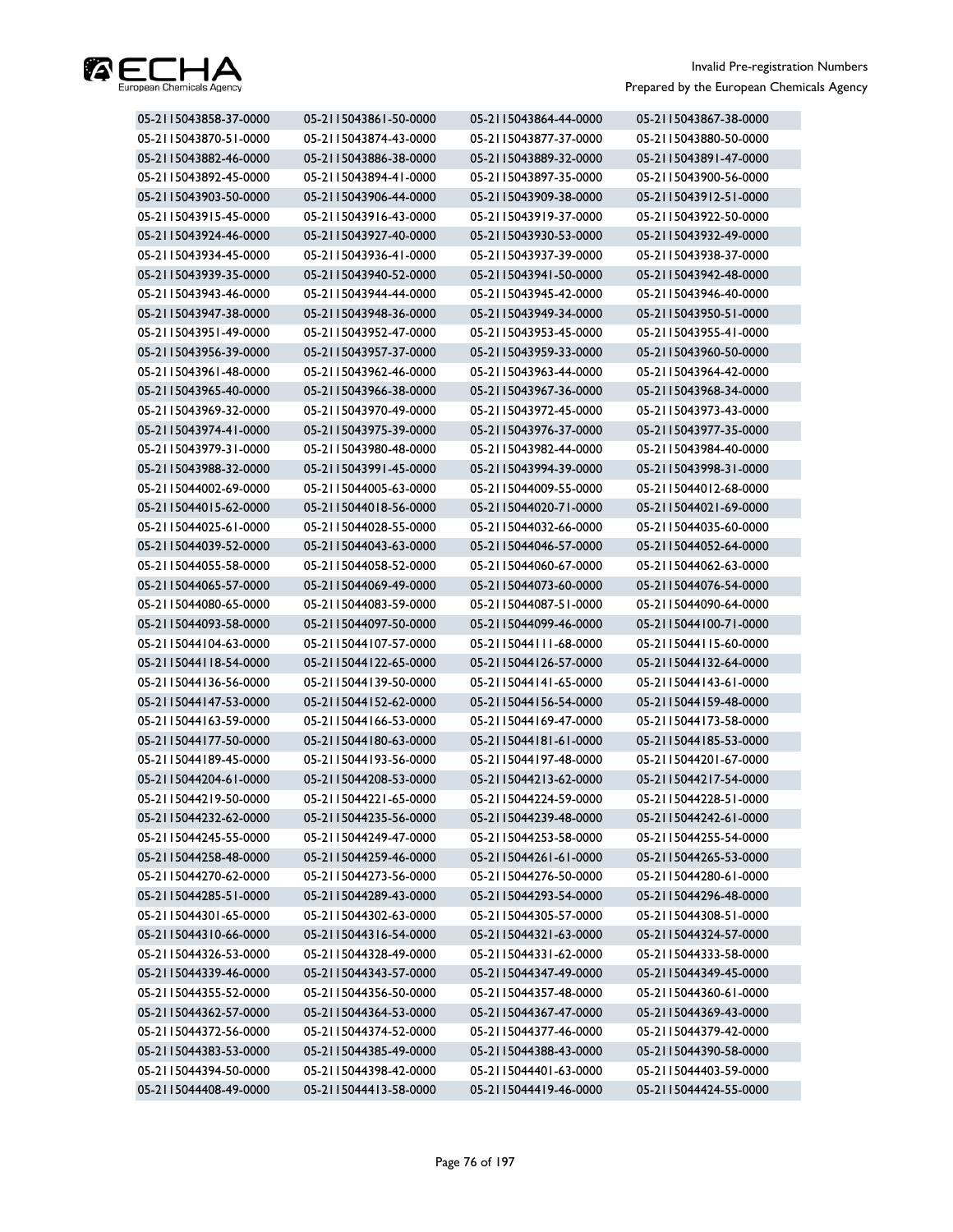

| 05-2115043858-37-0000 | 05-2115043861-50-0000 | 05-2115043864-44-0000 | 05-2115043867-38-0000 |
|-----------------------|-----------------------|-----------------------|-----------------------|
| 05-2115043870-51-0000 | 05-2115043874-43-0000 | 05-2115043877-37-0000 | 05-2115043880-50-0000 |
| 05-2115043882-46-0000 | 05-2115043886-38-0000 | 05-2115043889-32-0000 | 05-2115043891-47-0000 |
| 05-2115043892-45-0000 | 05-2115043894-41-0000 | 05-2115043897-35-0000 | 05-2115043900-56-0000 |
| 05-2115043903-50-0000 | 05-2115043906-44-0000 | 05-2115043909-38-0000 | 05-2115043912-51-0000 |
| 05-2115043915-45-0000 | 05-2115043916-43-0000 | 05-2115043919-37-0000 | 05-2115043922-50-0000 |
| 05-2115043924-46-0000 | 05-2115043927-40-0000 | 05-2115043930-53-0000 | 05-2115043932-49-0000 |
| 05-2115043934-45-0000 | 05-2115043936-41-0000 | 05-2115043937-39-0000 | 05-2115043938-37-0000 |
| 05-2115043939-35-0000 | 05-2115043940-52-0000 | 05-2115043941-50-0000 | 05-2115043942-48-0000 |
| 05-2115043943-46-0000 | 05-2115043944-44-0000 | 05-2115043945-42-0000 | 05-2115043946-40-0000 |
| 05-2115043947-38-0000 | 05-2115043948-36-0000 | 05-2115043949-34-0000 | 05-2115043950-51-0000 |
| 05-2115043951-49-0000 | 05-2115043952-47-0000 | 05-2115043953-45-0000 | 05-2115043955-41-0000 |
| 05-2115043956-39-0000 | 05-2115043957-37-0000 | 05-2115043959-33-0000 | 05-2115043960-50-0000 |
| 05-2115043961-48-0000 | 05-2115043962-46-0000 | 05-2115043963-44-0000 | 05-2115043964-42-0000 |
| 05-2115043965-40-0000 | 05-2115043966-38-0000 | 05-2115043967-36-0000 | 05-2115043968-34-0000 |
| 05-2115043969-32-0000 | 05-2115043970-49-0000 | 05-2115043972-45-0000 | 05-2115043973-43-0000 |
| 05-2115043974-41-0000 | 05-2115043975-39-0000 | 05-2115043976-37-0000 | 05-2115043977-35-0000 |
| 05-2115043979-31-0000 | 05-2115043980-48-0000 | 05-2115043982-44-0000 | 05-2115043984-40-0000 |
| 05-2115043988-32-0000 | 05-2115043991-45-0000 | 05-2115043994-39-0000 | 05-2115043998-31-0000 |
| 05-2115044002-69-0000 | 05-2115044005-63-0000 | 05-2115044009-55-0000 | 05-2115044012-68-0000 |
| 05-2115044015-62-0000 | 05-2115044018-56-0000 | 05-2115044020-71-0000 | 05-2115044021-69-0000 |
| 05-2115044025-61-0000 | 05-2115044028-55-0000 | 05-2115044032-66-0000 | 05-2115044035-60-0000 |
| 05-2115044039-52-0000 | 05-2115044043-63-0000 | 05-2115044046-57-0000 | 05-2115044052-64-0000 |
| 05-2115044055-58-0000 | 05-2115044058-52-0000 | 05-2115044060-67-0000 | 05-2115044062-63-0000 |
| 05-2115044065-57-0000 | 05-2115044069-49-0000 | 05-2115044073-60-0000 | 05-2115044076-54-0000 |
| 05-2115044080-65-0000 | 05-2115044083-59-0000 | 05-2115044087-51-0000 | 05-2115044090-64-0000 |
| 05-2115044093-58-0000 | 05-2115044097-50-0000 | 05-2115044099-46-0000 | 05-2115044100-71-0000 |
| 05-2115044104-63-0000 | 05-2115044107-57-0000 | 05-2115044111-68-0000 | 05-2115044115-60-0000 |
| 05-2115044118-54-0000 | 05-2115044122-65-0000 | 05-2115044126-57-0000 | 05-2115044132-64-0000 |
| 05-2115044136-56-0000 | 05-2115044139-50-0000 | 05-2115044141-65-0000 | 05-2115044143-61-0000 |
| 05-2115044147-53-0000 | 05-2115044152-62-0000 | 05-2115044156-54-0000 | 05-2115044159-48-0000 |
| 05-2115044163-59-0000 | 05-2115044166-53-0000 | 05-2115044169-47-0000 | 05-2115044173-58-0000 |
| 05-2115044177-50-0000 | 05-2115044180-63-0000 | 05-2115044181-61-0000 | 05-2115044185-53-0000 |
| 05-2115044189-45-0000 | 05-2115044193-56-0000 | 05-2115044197-48-0000 | 05-2115044201-67-0000 |
| 05-2115044204-61-0000 | 05-2115044208-53-0000 | 05-2115044213-62-0000 | 05-2115044217-54-0000 |
| 05-2115044219-50-0000 | 05-2115044221-65-0000 | 05-2115044224-59-0000 | 05-2115044228-51-0000 |
| 05-2115044232-62-0000 | 05-2115044235-56-0000 | 05-2115044239-48-0000 | 05-2115044242-61-0000 |
| 05-2115044245-55-0000 | 05-2115044249-47-0000 | 05-2115044253-58-0000 | 05-2115044255-54-0000 |
| 05-2115044258-48-0000 | 05-2115044259-46-0000 | 05-2115044261-61-0000 | 05-2115044265-53-0000 |
| 05-2115044270-62-0000 | 05-2115044273-56-0000 | 05-2115044276-50-0000 | 05-2115044280-61-0000 |
| 05-2115044285-51-0000 | 05-2115044289-43-0000 | 05-2115044293-54-0000 | 05-2115044296-48-0000 |
| 05-2115044301-65-0000 | 05-2115044302-63-0000 | 05-2115044305-57-0000 | 05-2115044308-51-0000 |
| 05-2115044310-66-0000 | 05-2115044316-54-0000 | 05-2115044321-63-0000 | 05-2115044324-57-0000 |
| 05-2115044326-53-0000 | 05-2115044328-49-0000 | 05-2115044331-62-0000 | 05-2115044333-58-0000 |
| 05-2115044339-46-0000 | 05-2115044343-57-0000 | 05-2115044347-49-0000 | 05-2115044349-45-0000 |
| 05-2115044355-52-0000 | 05-2115044356-50-0000 | 05-2115044357-48-0000 | 05-2115044360-61-0000 |
| 05-2115044362-57-0000 | 05-2115044364-53-0000 | 05-2115044367-47-0000 | 05-2115044369-43-0000 |
| 05-2115044372-56-0000 | 05-2115044374-52-0000 | 05-2115044377-46-0000 | 05-2115044379-42-0000 |
| 05-2115044383-53-0000 | 05-2115044385-49-0000 | 05-2115044388-43-0000 | 05-2115044390-58-0000 |
| 05-2115044394-50-0000 | 05-2115044398-42-0000 | 05-2115044401-63-0000 | 05-2115044403-59-0000 |
| 05-2115044408-49-0000 | 05-2115044413-58-0000 | 05-2115044419-46-0000 | 05-2115044424-55-0000 |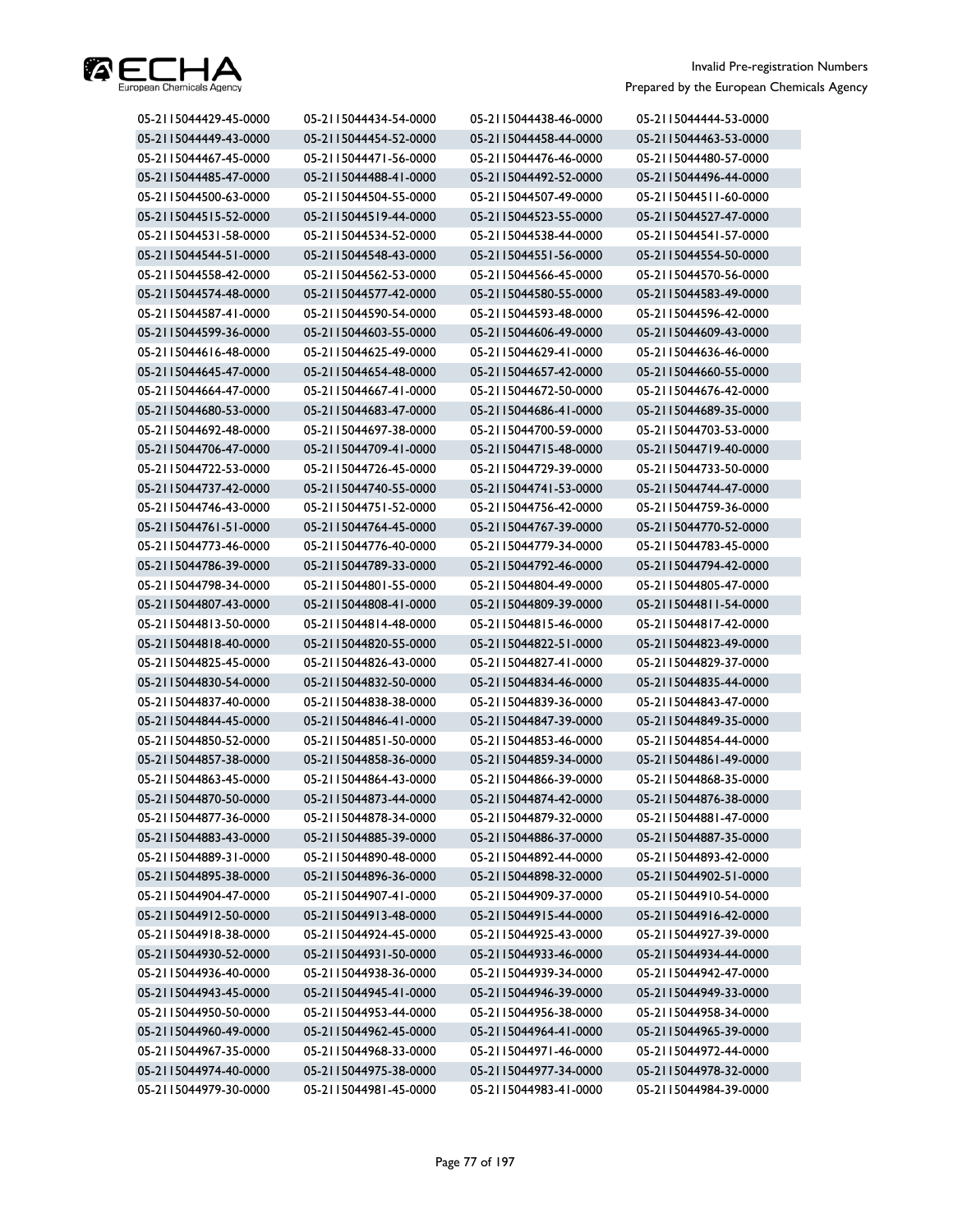

| 05-2115044429-45-0000 | 05-2115044434-54-0000 | 05-2115044438-46-0000 | 05-2115044444-53-0000 |
|-----------------------|-----------------------|-----------------------|-----------------------|
| 05-2115044449-43-0000 | 05-2115044454-52-0000 | 05-2115044458-44-0000 | 05-2115044463-53-0000 |
| 05-2115044467-45-0000 | 05-2115044471-56-0000 | 05-2115044476-46-0000 | 05-2115044480-57-0000 |
| 05-2115044485-47-0000 | 05-2115044488-41-0000 | 05-2115044492-52-0000 | 05-2115044496-44-0000 |
| 05-2115044500-63-0000 | 05-2115044504-55-0000 | 05-2115044507-49-0000 | 05-2115044511-60-0000 |
| 05-2115044515-52-0000 | 05-2115044519-44-0000 | 05-2115044523-55-0000 | 05-2115044527-47-0000 |
| 05-2115044531-58-0000 | 05-2115044534-52-0000 | 05-2115044538-44-0000 | 05-2115044541-57-0000 |
| 05-2115044544-51-0000 | 05-2115044548-43-0000 | 05-2115044551-56-0000 | 05-2115044554-50-0000 |
| 05-2115044558-42-0000 | 05-2115044562-53-0000 | 05-2115044566-45-0000 | 05-2115044570-56-0000 |
| 05-2115044574-48-0000 | 05-2115044577-42-0000 | 05-2115044580-55-0000 | 05-2115044583-49-0000 |
| 05-2115044587-41-0000 | 05-2115044590-54-0000 | 05-2115044593-48-0000 | 05-2115044596-42-0000 |
| 05-2115044599-36-0000 | 05-2115044603-55-0000 | 05-2115044606-49-0000 | 05-2115044609-43-0000 |
| 05-2115044616-48-0000 | 05-2115044625-49-0000 | 05-2115044629-41-0000 | 05-2115044636-46-0000 |
| 05-2115044645-47-0000 | 05-2115044654-48-0000 | 05-2115044657-42-0000 | 05-2115044660-55-0000 |
| 05-2115044664-47-0000 | 05-2115044667-41-0000 | 05-2115044672-50-0000 | 05-2115044676-42-0000 |
| 05-2115044680-53-0000 | 05-2115044683-47-0000 | 05-2115044686-41-0000 | 05-2115044689-35-0000 |
| 05-2115044692-48-0000 | 05-2115044697-38-0000 | 05-2115044700-59-0000 | 05-2115044703-53-0000 |
| 05-2115044706-47-0000 | 05-2115044709-41-0000 | 05-2115044715-48-0000 | 05-2115044719-40-0000 |
| 05-2115044722-53-0000 | 05-2115044726-45-0000 | 05-2115044729-39-0000 | 05-2115044733-50-0000 |
| 05-2115044737-42-0000 | 05-2115044740-55-0000 | 05-2115044741-53-0000 | 05-2115044744-47-0000 |
| 05-2115044746-43-0000 | 05-2115044751-52-0000 | 05-2115044756-42-0000 | 05-2115044759-36-0000 |
| 05-2115044761-51-0000 | 05-2115044764-45-0000 | 05-2115044767-39-0000 | 05-2115044770-52-0000 |
| 05-2115044773-46-0000 | 05-2115044776-40-0000 | 05-2115044779-34-0000 | 05-2115044783-45-0000 |
| 05-2115044786-39-0000 | 05-2115044789-33-0000 | 05-2115044792-46-0000 | 05-2115044794-42-0000 |
| 05-2115044798-34-0000 | 05-2115044801-55-0000 | 05-2115044804-49-0000 | 05-2115044805-47-0000 |
| 05-2115044807-43-0000 | 05-2115044808-41-0000 | 05-2115044809-39-0000 | 05-2115044811-54-0000 |
| 05-2115044813-50-0000 | 05-2115044814-48-0000 | 05-2115044815-46-0000 | 05-2115044817-42-0000 |
| 05-2115044818-40-0000 | 05-2115044820-55-0000 | 05-2115044822-51-0000 | 05-2115044823-49-0000 |
| 05-2115044825-45-0000 | 05-2115044826-43-0000 | 05-2115044827-41-0000 | 05-2115044829-37-0000 |
| 05-2115044830-54-0000 | 05-2115044832-50-0000 | 05-2115044834-46-0000 | 05-2115044835-44-0000 |
| 05-2115044837-40-0000 | 05-2115044838-38-0000 | 05-2115044839-36-0000 | 05-2115044843-47-0000 |
| 05-2115044844-45-0000 | 05-2115044846-41-0000 | 05-2115044847-39-0000 | 05-2115044849-35-0000 |
| 05-2115044850-52-0000 | 05-2115044851-50-0000 | 05-2115044853-46-0000 | 05-2115044854-44-0000 |
| 05-2115044857-38-0000 | 05-2115044858-36-0000 | 05-2115044859-34-0000 | 05-2115044861-49-0000 |
| 05-2115044863-45-0000 | 05-2115044864-43-0000 | 05-2115044866-39-0000 | 05-2115044868-35-0000 |
| 05-2115044870-50-0000 | 05-2115044873-44-0000 | 05-2115044874-42-0000 | 05-2115044876-38-0000 |
| 05-2115044877-36-0000 | 05-2115044878-34-0000 | 05-2115044879-32-0000 | 05-2115044881-47-0000 |
| 05-2115044883-43-0000 | 05-2115044885-39-0000 | 05-2115044886-37-0000 | 05-2115044887-35-0000 |
| 05-2115044889-31-0000 | 05-2115044890-48-0000 | 05-2115044892-44-0000 | 05-2115044893-42-0000 |
| 05-2115044895-38-0000 | 05-2115044896-36-0000 | 05-2115044898-32-0000 | 05-2115044902-51-0000 |
| 05-2115044904-47-0000 | 05-2115044907-41-0000 | 05-2115044909-37-0000 | 05-2115044910-54-0000 |
| 05-2115044912-50-0000 | 05-2115044913-48-0000 | 05-2115044915-44-0000 | 05-2115044916-42-0000 |
| 05-2115044918-38-0000 | 05-2115044924-45-0000 | 05-2115044925-43-0000 | 05-2115044927-39-0000 |
| 05-2115044930-52-0000 | 05-2115044931-50-0000 | 05-2115044933-46-0000 | 05-2115044934-44-0000 |
| 05-2115044936-40-0000 | 05-2115044938-36-0000 | 05-2115044939-34-0000 | 05-2115044942-47-0000 |
| 05-2115044943-45-0000 | 05-2115044945-41-0000 | 05-2115044946-39-0000 | 05-2115044949-33-0000 |
| 05-2115044950-50-0000 | 05-2115044953-44-0000 | 05-2115044956-38-0000 | 05-2115044958-34-0000 |
| 05-2115044960-49-0000 | 05-2115044962-45-0000 | 05-2115044964-41-0000 | 05-2115044965-39-0000 |
| 05-2115044967-35-0000 | 05-2115044968-33-0000 | 05-2115044971-46-0000 | 05-2115044972-44-0000 |
| 05-2115044974-40-0000 | 05-2115044975-38-0000 | 05-2115044977-34-0000 | 05-2115044978-32-0000 |
| 05-2115044979-30-0000 | 05-2115044981-45-0000 | 05-2115044983-41-0000 | 05-2115044984-39-0000 |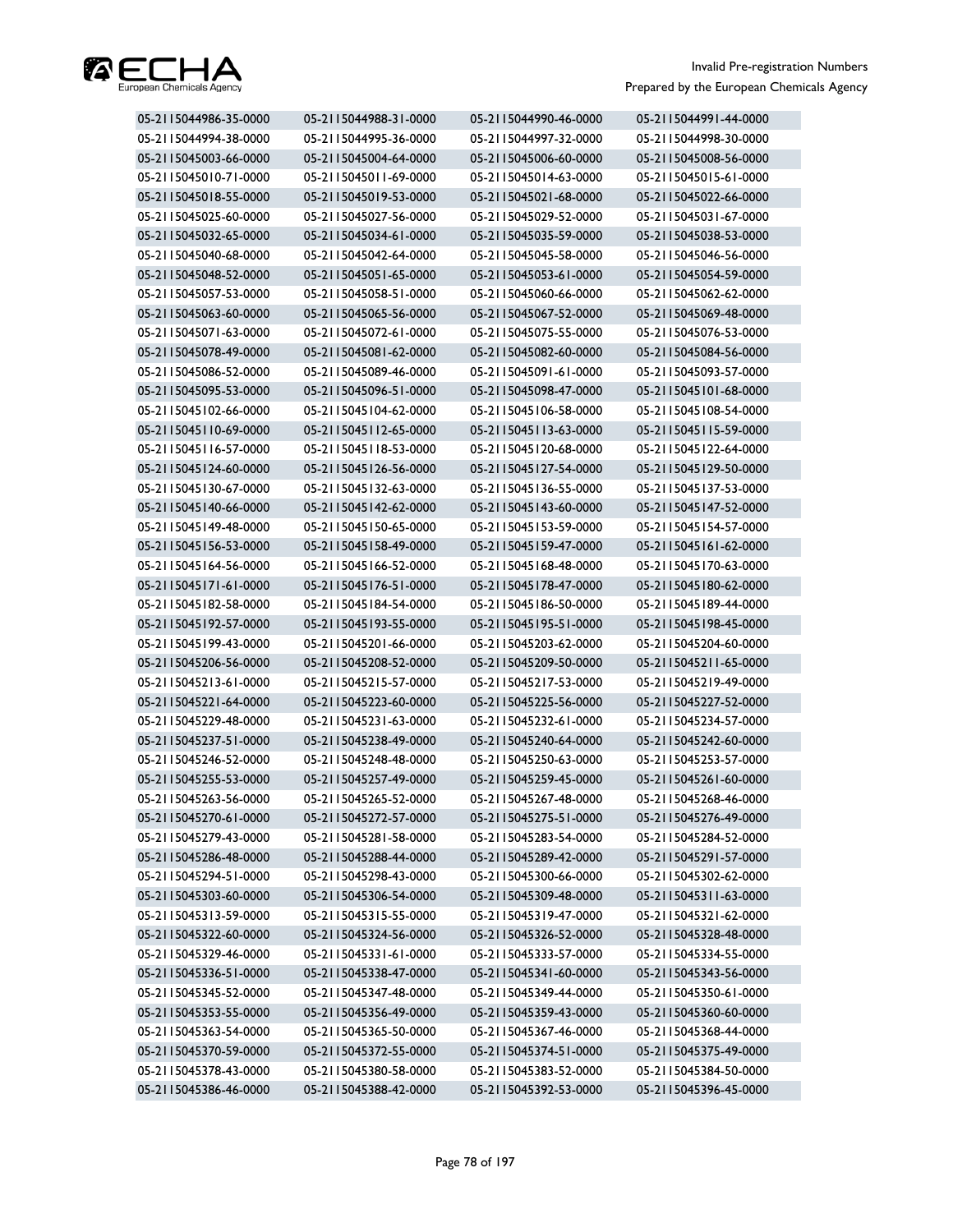

| 05-2115044986-35-0000 | 05-2115044988-31-0000 | 05-2115044990-46-0000 | 05-2115044991-44-0000 |
|-----------------------|-----------------------|-----------------------|-----------------------|
| 05-2115044994-38-0000 | 05-2115044995-36-0000 | 05-2115044997-32-0000 | 05-2115044998-30-0000 |
| 05-2115045003-66-0000 | 05-2115045004-64-0000 | 05-2115045006-60-0000 | 05-2115045008-56-0000 |
| 05-2115045010-71-0000 | 05-2115045011-69-0000 | 05-2115045014-63-0000 | 05-2115045015-61-0000 |
| 05-2115045018-55-0000 | 05-2115045019-53-0000 | 05-2115045021-68-0000 | 05-2115045022-66-0000 |
| 05-2115045025-60-0000 | 05-2115045027-56-0000 | 05-2115045029-52-0000 | 05-2115045031-67-0000 |
| 05-2115045032-65-0000 | 05-2115045034-61-0000 | 05-2115045035-59-0000 | 05-2115045038-53-0000 |
| 05-2115045040-68-0000 | 05-2115045042-64-0000 | 05-2115045045-58-0000 | 05-2115045046-56-0000 |
| 05-2115045048-52-0000 | 05-2115045051-65-0000 | 05-2115045053-61-0000 | 05-2115045054-59-0000 |
| 05-2115045057-53-0000 | 05-2115045058-51-0000 | 05-2115045060-66-0000 | 05-2115045062-62-0000 |
| 05-2115045063-60-0000 | 05-2115045065-56-0000 | 05-2115045067-52-0000 | 05-2115045069-48-0000 |
| 05-2115045071-63-0000 | 05-2115045072-61-0000 | 05-2115045075-55-0000 | 05-2115045076-53-0000 |
| 05-2115045078-49-0000 | 05-2115045081-62-0000 | 05-2115045082-60-0000 | 05-2115045084-56-0000 |
| 05-2115045086-52-0000 | 05-2115045089-46-0000 | 05-2115045091-61-0000 | 05-2115045093-57-0000 |
| 05-2115045095-53-0000 | 05-2115045096-51-0000 | 05-2115045098-47-0000 | 05-2115045101-68-0000 |
| 05-2115045102-66-0000 | 05-2115045104-62-0000 | 05-2115045106-58-0000 | 05-2115045108-54-0000 |
| 05-2115045110-69-0000 | 05-2115045112-65-0000 | 05-2115045113-63-0000 | 05-2115045115-59-0000 |
| 05-2115045116-57-0000 | 05-2115045118-53-0000 | 05-2115045120-68-0000 | 05-2115045122-64-0000 |
| 05-2115045124-60-0000 | 05-2115045126-56-0000 | 05-2115045127-54-0000 | 05-2115045129-50-0000 |
| 05-2115045130-67-0000 | 05-2115045132-63-0000 | 05-2115045136-55-0000 | 05-2115045137-53-0000 |
| 05-2115045140-66-0000 | 05-2115045142-62-0000 | 05-2115045143-60-0000 | 05-2115045147-52-0000 |
| 05-2115045149-48-0000 | 05-2115045150-65-0000 | 05-2115045153-59-0000 | 05-2115045154-57-0000 |
| 05-2115045156-53-0000 | 05-2115045158-49-0000 | 05-2115045159-47-0000 | 05-2115045161-62-0000 |
| 05-2115045164-56-0000 | 05-2115045166-52-0000 | 05-2115045168-48-0000 | 05-2115045170-63-0000 |
| 05-2115045171-61-0000 | 05-2115045176-51-0000 | 05-2115045178-47-0000 | 05-2115045180-62-0000 |
| 05-2115045182-58-0000 | 05-2115045184-54-0000 | 05-2115045186-50-0000 | 05-2115045189-44-0000 |
| 05-2115045192-57-0000 | 05-2115045193-55-0000 | 05-2115045195-51-0000 | 05-2115045198-45-0000 |
| 05-2115045199-43-0000 | 05-2115045201-66-0000 | 05-2115045203-62-0000 | 05-2115045204-60-0000 |
| 05-2115045206-56-0000 | 05-2115045208-52-0000 | 05-2115045209-50-0000 | 05-2115045211-65-0000 |
| 05-2115045213-61-0000 | 05-2115045215-57-0000 | 05-2115045217-53-0000 | 05-2115045219-49-0000 |
| 05-2115045221-64-0000 | 05-2115045223-60-0000 | 05-2115045225-56-0000 | 05-2115045227-52-0000 |
| 05-2115045229-48-0000 | 05-2115045231-63-0000 | 05-2115045232-61-0000 | 05-2115045234-57-0000 |
| 05-2115045237-51-0000 | 05-2115045238-49-0000 | 05-2115045240-64-0000 | 05-2115045242-60-0000 |
| 05-2115045246-52-0000 | 05-2115045248-48-0000 | 05-2115045250-63-0000 | 05-2115045253-57-0000 |
| 05-2115045255-53-0000 | 05-2115045257-49-0000 | 05-2115045259-45-0000 | 05-2115045261-60-0000 |
| 05-2115045263-56-0000 | 05-2115045265-52-0000 | 05-2115045267-48-0000 | 05-2115045268-46-0000 |
| 05-2115045270-61-0000 | 05-2115045272-57-0000 | 05-2115045275-51-0000 | 05-2115045276-49-0000 |
| 05-2115045279-43-0000 | 05-2115045281-58-0000 | 05-2115045283-54-0000 | 05-2115045284-52-0000 |
| 05-2115045286-48-0000 | 05-2115045288-44-0000 | 05-2115045289-42-0000 | 05-2115045291-57-0000 |
| 05-2115045294-51-0000 | 05-2115045298-43-0000 | 05-2115045300-66-0000 | 05-2115045302-62-0000 |
| 05-2115045303-60-0000 | 05-2115045306-54-0000 | 05-2115045309-48-0000 | 05-2115045311-63-0000 |
| 05-2115045313-59-0000 | 05-2115045315-55-0000 | 05-2115045319-47-0000 | 05-2115045321-62-0000 |
| 05-2115045322-60-0000 | 05-2115045324-56-0000 | 05-2115045326-52-0000 | 05-2115045328-48-0000 |
| 05-2115045329-46-0000 | 05-2115045331-61-0000 | 05-2115045333-57-0000 | 05-2115045334-55-0000 |
| 05-2115045336-51-0000 | 05-2115045338-47-0000 | 05-2115045341-60-0000 | 05-2115045343-56-0000 |
| 05-2115045345-52-0000 | 05-2115045347-48-0000 | 05-2115045349-44-0000 | 05-2115045350-61-0000 |
| 05-2115045353-55-0000 | 05-2115045356-49-0000 | 05-2115045359-43-0000 | 05-2115045360-60-0000 |
| 05-2115045363-54-0000 | 05-2115045365-50-0000 | 05-2115045367-46-0000 | 05-2115045368-44-0000 |
| 05-2115045370-59-0000 | 05-2115045372-55-0000 | 05-2115045374-51-0000 | 05-2115045375-49-0000 |
| 05-2115045378-43-0000 | 05-2115045380-58-0000 | 05-2115045383-52-0000 | 05-2115045384-50-0000 |
| 05-2115045386-46-0000 | 05-2115045388-42-0000 | 05-2115045392-53-0000 | 05-2115045396-45-0000 |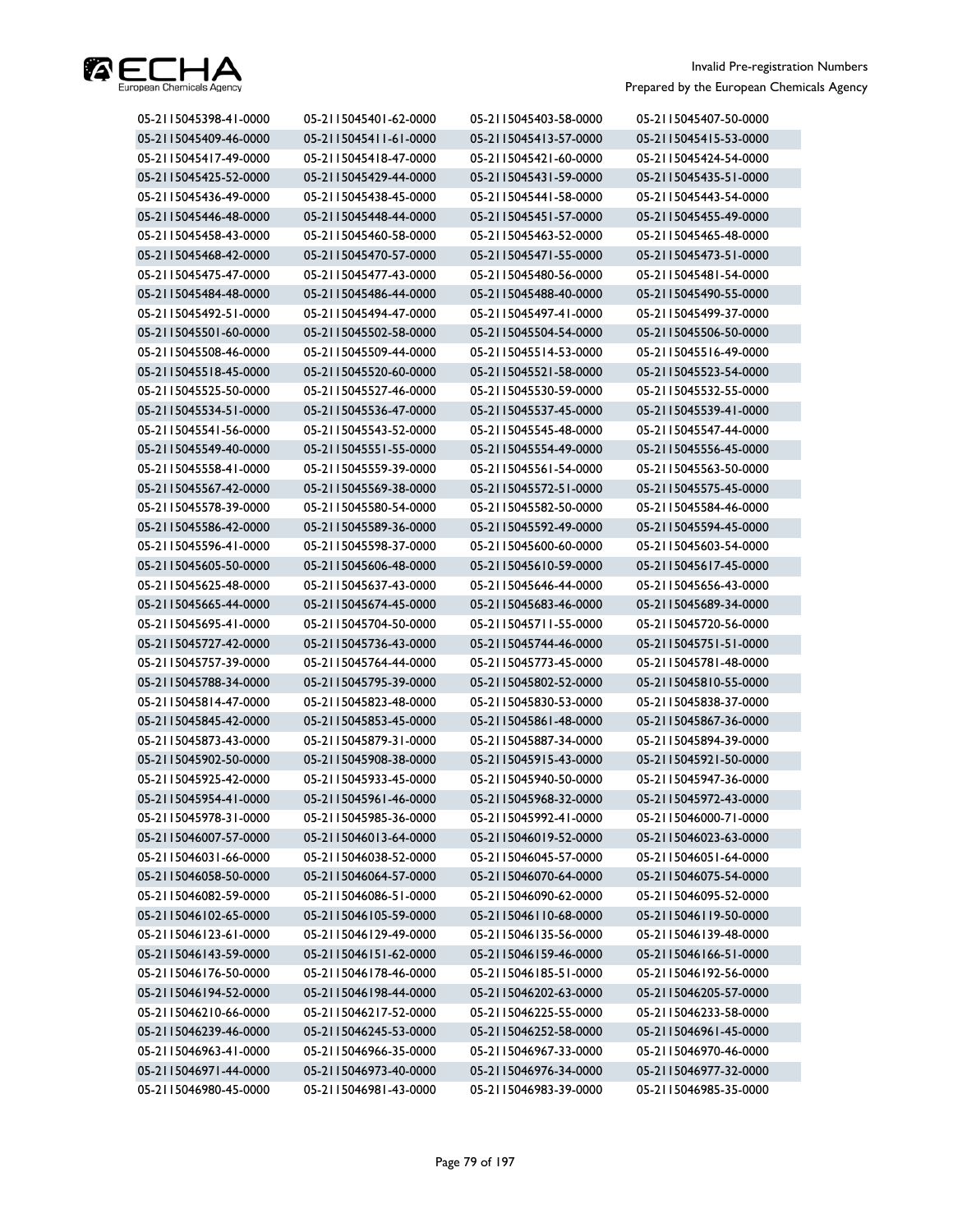

| 05-2115045398-41-0000 | 05-2115045401-62-0000 | 05-2115045403-58-0000 | 05-2115045407-50-0000 |
|-----------------------|-----------------------|-----------------------|-----------------------|
| 05-2115045409-46-0000 | 05-2115045411-61-0000 | 05-2115045413-57-0000 | 05-2115045415-53-0000 |
| 05-2115045417-49-0000 | 05-2115045418-47-0000 | 05-2115045421-60-0000 | 05-2115045424-54-0000 |
| 05-2115045425-52-0000 | 05-2115045429-44-0000 | 05-2115045431-59-0000 | 05-2115045435-51-0000 |
| 05-2115045436-49-0000 | 05-2115045438-45-0000 | 05-2115045441-58-0000 | 05-2115045443-54-0000 |
| 05-2115045446-48-0000 | 05-2115045448-44-0000 | 05-2115045451-57-0000 | 05-2115045455-49-0000 |
| 05-2115045458-43-0000 | 05-2115045460-58-0000 | 05-2115045463-52-0000 | 05-2115045465-48-0000 |
| 05-2115045468-42-0000 | 05-2115045470-57-0000 | 05-2115045471-55-0000 | 05-2115045473-51-0000 |
| 05-2115045475-47-0000 | 05-2115045477-43-0000 | 05-2115045480-56-0000 | 05-2115045481-54-0000 |
| 05-2115045484-48-0000 | 05-2115045486-44-0000 | 05-2115045488-40-0000 | 05-2115045490-55-0000 |
| 05-2115045492-51-0000 | 05-2115045494-47-0000 | 05-2115045497-41-0000 | 05-2115045499-37-0000 |
| 05-2115045501-60-0000 | 05-2115045502-58-0000 | 05-2115045504-54-0000 | 05-2115045506-50-0000 |
| 05-2115045508-46-0000 | 05-2115045509-44-0000 | 05-2115045514-53-0000 | 05-2115045516-49-0000 |
| 05-2115045518-45-0000 | 05-2115045520-60-0000 | 05-2115045521-58-0000 | 05-2115045523-54-0000 |
| 05-2115045525-50-0000 | 05-2115045527-46-0000 | 05-2115045530-59-0000 | 05-2115045532-55-0000 |
| 05-2115045534-51-0000 | 05-2115045536-47-0000 | 05-2115045537-45-0000 | 05-2115045539-41-0000 |
| 05-2115045541-56-0000 | 05-2115045543-52-0000 | 05-2115045545-48-0000 | 05-2115045547-44-0000 |
| 05-2115045549-40-0000 | 05-2115045551-55-0000 | 05-2115045554-49-0000 | 05-2115045556-45-0000 |
| 05-2115045558-41-0000 | 05-2115045559-39-0000 | 05-2115045561-54-0000 | 05-2115045563-50-0000 |
| 05-2115045567-42-0000 | 05-2115045569-38-0000 | 05-2115045572-51-0000 | 05-2115045575-45-0000 |
| 05-2115045578-39-0000 | 05-2115045580-54-0000 | 05-2115045582-50-0000 | 05-2115045584-46-0000 |
| 05-2115045586-42-0000 | 05-2115045589-36-0000 | 05-2115045592-49-0000 | 05-2115045594-45-0000 |
| 05-2115045596-41-0000 | 05-2115045598-37-0000 | 05-2115045600-60-0000 | 05-2115045603-54-0000 |
| 05-2115045605-50-0000 | 05-2115045606-48-0000 | 05-2115045610-59-0000 | 05-2115045617-45-0000 |
| 05-2115045625-48-0000 | 05-2115045637-43-0000 | 05-2115045646-44-0000 | 05-2115045656-43-0000 |
| 05-2115045665-44-0000 | 05-2115045674-45-0000 | 05-2115045683-46-0000 | 05-2115045689-34-0000 |
| 05-2115045695-41-0000 | 05-2115045704-50-0000 | 05-2115045711-55-0000 | 05-2115045720-56-0000 |
| 05-2115045727-42-0000 | 05-2115045736-43-0000 | 05-2115045744-46-0000 | 05-2115045751-51-0000 |
| 05-2115045757-39-0000 | 05-2115045764-44-0000 | 05-2115045773-45-0000 | 05-2115045781-48-0000 |
| 05-2115045788-34-0000 | 05-2115045795-39-0000 | 05-2115045802-52-0000 | 05-2115045810-55-0000 |
| 05-2115045814-47-0000 | 05-2115045823-48-0000 | 05-2115045830-53-0000 | 05-2115045838-37-0000 |
| 05-2115045845-42-0000 | 05-2115045853-45-0000 | 05-2115045861-48-0000 | 05-2115045867-36-0000 |
| 05-2115045873-43-0000 | 05-2115045879-31-0000 | 05-2115045887-34-0000 | 05-2115045894-39-0000 |
| 05-2115045902-50-0000 | 05-2115045908-38-0000 | 05-2115045915-43-0000 | 05-2115045921-50-0000 |
| 05-2115045925-42-0000 | 05-2115045933-45-0000 | 05-2115045940-50-0000 | 05-2115045947-36-0000 |
| 05-2115045954-41-0000 | 05-2115045961-46-0000 | 05-2115045968-32-0000 | 05-2115045972-43-0000 |
| 05-2115045978-31-0000 | 05-2115045985-36-0000 | 05-2115045992-41-0000 | 05-2115046000-71-0000 |
| 05-2115046007-57-0000 | 05-2115046013-64-0000 | 05-2115046019-52-0000 | 05-2115046023-63-0000 |
| 05-2115046031-66-0000 | 05-2115046038-52-0000 | 05-2115046045-57-0000 | 05-2115046051-64-0000 |
| 05-2115046058-50-0000 | 05-2115046064-57-0000 | 05-2115046070-64-0000 | 05-2115046075-54-0000 |
| 05-2115046082-59-0000 | 05-2115046086-51-0000 | 05-2115046090-62-0000 | 05-2115046095-52-0000 |
| 05-2115046102-65-0000 | 05-2115046105-59-0000 | 05-2115046110-68-0000 | 05-2115046119-50-0000 |
| 05-2115046123-61-0000 | 05-2115046129-49-0000 | 05-2115046135-56-0000 | 05-2115046139-48-0000 |
| 05-2115046143-59-0000 | 05-2115046151-62-0000 | 05-2115046159-46-0000 | 05-2115046166-51-0000 |
| 05-2115046176-50-0000 | 05-2115046178-46-0000 | 05-2115046185-51-0000 | 05-2115046192-56-0000 |
| 05-2115046194-52-0000 | 05-2115046198-44-0000 | 05-2115046202-63-0000 | 05-2115046205-57-0000 |
| 05-2115046210-66-0000 | 05-2115046217-52-0000 | 05-2115046225-55-0000 | 05-2115046233-58-0000 |
| 05-2115046239-46-0000 | 05-2115046245-53-0000 | 05-2115046252-58-0000 | 05-2115046961-45-0000 |
| 05-2115046963-41-0000 | 05-2115046966-35-0000 | 05-2115046967-33-0000 | 05-2115046970-46-0000 |
| 05-2115046971-44-0000 | 05-2115046973-40-0000 | 05-2115046976-34-0000 | 05-2115046977-32-0000 |
| 05-2115046980-45-0000 | 05-2115046981-43-0000 | 05-2115046983-39-0000 | 05-2115046985-35-0000 |
|                       |                       |                       |                       |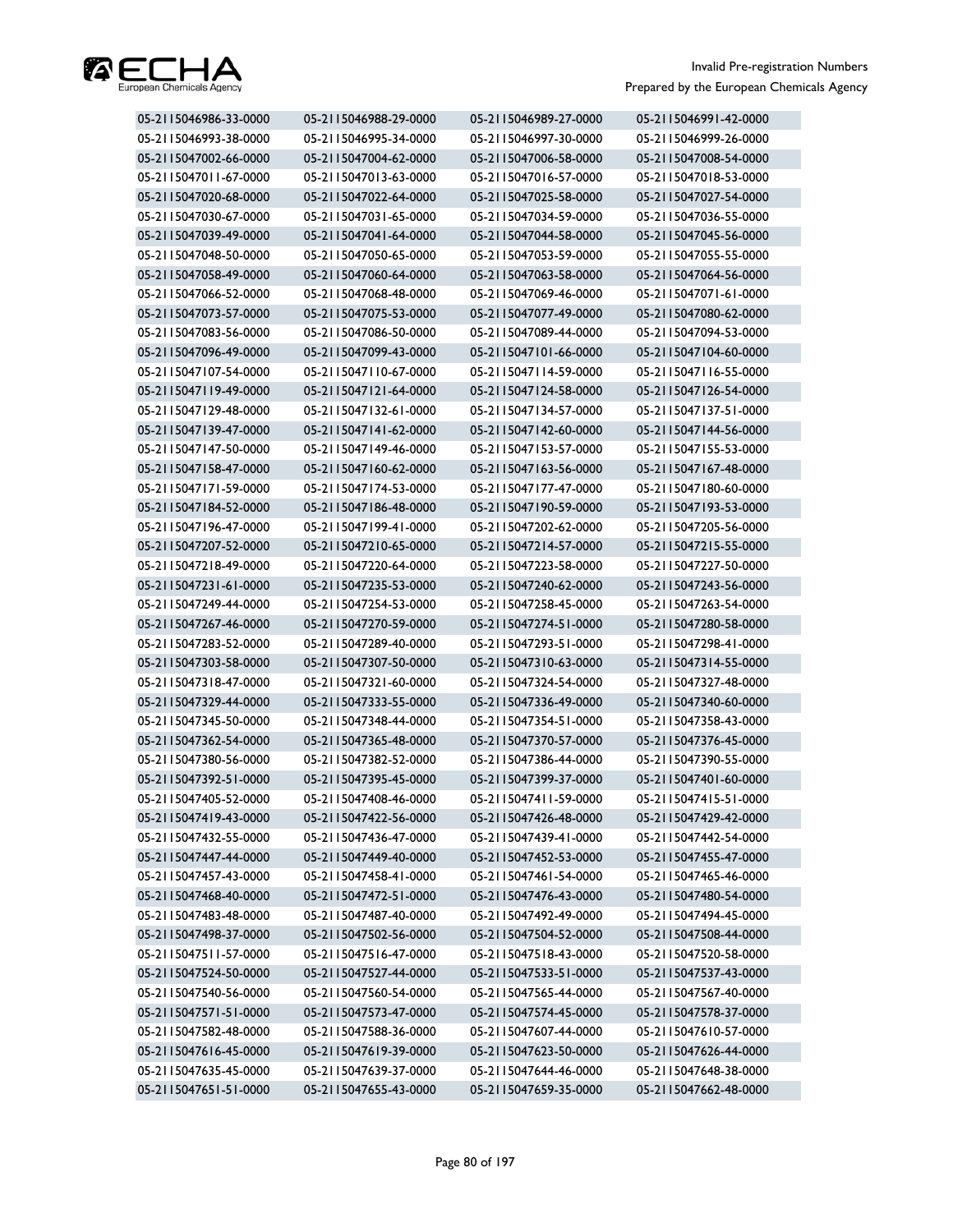

| 05-2115046986-33-0000 | 05-2115046988-29-0000 | 05-2115046989-27-0000 | 05-2115046991-42-0000 |
|-----------------------|-----------------------|-----------------------|-----------------------|
| 05-2115046993-38-0000 | 05-2115046995-34-0000 | 05-2115046997-30-0000 | 05-2115046999-26-0000 |
| 05-2115047002-66-0000 | 05-2115047004-62-0000 | 05-2115047006-58-0000 | 05-2115047008-54-0000 |
| 05-2115047011-67-0000 | 05-2115047013-63-0000 | 05-2115047016-57-0000 | 05-2115047018-53-0000 |
| 05-2115047020-68-0000 | 05-2115047022-64-0000 | 05-2115047025-58-0000 | 05-2115047027-54-0000 |
| 05-2115047030-67-0000 | 05-2115047031-65-0000 | 05-2115047034-59-0000 | 05-2115047036-55-0000 |
| 05-2115047039-49-0000 | 05-2115047041-64-0000 | 05-2115047044-58-0000 | 05-2115047045-56-0000 |
| 05-2115047048-50-0000 | 05-2115047050-65-0000 | 05-2115047053-59-0000 | 05-2115047055-55-0000 |
| 05-2115047058-49-0000 | 05-2115047060-64-0000 | 05-2115047063-58-0000 | 05-2115047064-56-0000 |
| 05-2115047066-52-0000 | 05-2115047068-48-0000 | 05-2115047069-46-0000 | 05-2115047071-61-0000 |
| 05-2115047073-57-0000 | 05-2115047075-53-0000 | 05-2115047077-49-0000 | 05-2115047080-62-0000 |
| 05-2115047083-56-0000 | 05-2115047086-50-0000 | 05-2115047089-44-0000 | 05-2115047094-53-0000 |
| 05-2115047096-49-0000 | 05-2115047099-43-0000 | 05-2115047101-66-0000 | 05-2115047104-60-0000 |
| 05-2115047107-54-0000 | 05-2115047110-67-0000 | 05-2115047114-59-0000 | 05-2115047116-55-0000 |
| 05-2115047119-49-0000 | 05-2115047121-64-0000 | 05-2115047124-58-0000 | 05-2115047126-54-0000 |
| 05-2115047129-48-0000 | 05-2115047132-61-0000 | 05-2115047134-57-0000 | 05-2115047137-51-0000 |
| 05-2115047139-47-0000 | 05-2115047141-62-0000 | 05-2115047142-60-0000 | 05-2115047144-56-0000 |
| 05-2115047147-50-0000 | 05-2115047149-46-0000 | 05-2115047153-57-0000 | 05-2115047155-53-0000 |
| 05-2115047158-47-0000 | 05-2115047160-62-0000 | 05-2115047163-56-0000 | 05-2115047167-48-0000 |
| 05-2115047171-59-0000 | 05-2115047174-53-0000 | 05-2115047177-47-0000 | 05-2115047180-60-0000 |
| 05-2115047184-52-0000 | 05-2115047186-48-0000 | 05-2115047190-59-0000 | 05-2115047193-53-0000 |
| 05-2115047196-47-0000 | 05-2115047199-41-0000 | 05-2115047202-62-0000 | 05-2115047205-56-0000 |
| 05-2115047207-52-0000 | 05-2115047210-65-0000 | 05-2115047214-57-0000 | 05-2115047215-55-0000 |
| 05-2115047218-49-0000 | 05-2115047220-64-0000 | 05-2115047223-58-0000 | 05-2115047227-50-0000 |
| 05-2115047231-61-0000 | 05-2115047235-53-0000 | 05-2115047240-62-0000 | 05-2115047243-56-0000 |
| 05-2115047249-44-0000 | 05-2115047254-53-0000 | 05-2115047258-45-0000 | 05-2115047263-54-0000 |
| 05-2115047267-46-0000 | 05-2115047270-59-0000 | 05-2115047274-51-0000 | 05-2115047280-58-0000 |
| 05-2115047283-52-0000 | 05-2115047289-40-0000 | 05-2115047293-51-0000 | 05-2115047298-41-0000 |
| 05-2115047303-58-0000 | 05-2115047307-50-0000 | 05-2115047310-63-0000 | 05-2115047314-55-0000 |
| 05-2115047318-47-0000 | 05-2115047321-60-0000 | 05-2115047324-54-0000 | 05-2115047327-48-0000 |
| 05-2115047329-44-0000 | 05-2115047333-55-0000 | 05-2115047336-49-0000 | 05-2115047340-60-0000 |
| 05-2115047345-50-0000 | 05-2115047348-44-0000 | 05-2115047354-51-0000 | 05-2115047358-43-0000 |
| 05-2115047362-54-0000 | 05-2115047365-48-0000 | 05-2115047370-57-0000 | 05-2115047376-45-0000 |
| 05-2115047380-56-0000 | 05-2115047382-52-0000 | 05-2115047386-44-0000 | 05-2115047390-55-0000 |
| 05-2115047392-51-0000 | 05-2115047395-45-0000 | 05-2115047399-37-0000 | 05-2115047401-60-0000 |
| 05-2115047405-52-0000 | 05-2115047408-46-0000 | 05-2115047411-59-0000 | 05-2115047415-51-0000 |
| 05-2115047419-43-0000 | 05-2115047422-56-0000 | 05-2115047426-48-0000 | 05-2115047429-42-0000 |
| 05-2115047432-55-0000 | 05-2115047436-47-0000 | 05-2115047439-41-0000 | 05-2115047442-54-0000 |
| 05-2115047447-44-0000 | 05-2115047449-40-0000 | 05-2115047452-53-0000 | 05-2115047455-47-0000 |
| 05-2115047457-43-0000 | 05-2115047458-41-0000 | 05-2115047461-54-0000 | 05-2115047465-46-0000 |
| 05-2115047468-40-0000 | 05-2115047472-51-0000 | 05-2115047476-43-0000 | 05-2115047480-54-0000 |
| 05-2115047483-48-0000 | 05-2115047487-40-0000 | 05-2115047492-49-0000 | 05-2115047494-45-0000 |
| 05-2115047498-37-0000 | 05-2115047502-56-0000 | 05-2115047504-52-0000 | 05-2115047508-44-0000 |
| 05-2115047511-57-0000 | 05-2115047516-47-0000 | 05-2115047518-43-0000 | 05-2115047520-58-0000 |
| 05-2115047524-50-0000 | 05-2115047527-44-0000 | 05-2115047533-51-0000 | 05-2115047537-43-0000 |
| 05-2115047540-56-0000 | 05-2115047560-54-0000 | 05-2115047565-44-0000 | 05-2115047567-40-0000 |
| 05-2115047571-51-0000 | 05-2115047573-47-0000 | 05-2115047574-45-0000 | 05-2115047578-37-0000 |
| 05-2115047582-48-0000 | 05-2115047588-36-0000 | 05-2115047607-44-0000 | 05-2115047610-57-0000 |
| 05-2115047616-45-0000 | 05-2115047619-39-0000 | 05-2115047623-50-0000 | 05-2115047626-44-0000 |
| 05-2115047635-45-0000 | 05-2115047639-37-0000 | 05-2115047644-46-0000 | 05-2115047648-38-0000 |
| 05-2115047651-51-0000 | 05-2115047655-43-0000 | 05-2115047659-35-0000 | 05-2115047662-48-0000 |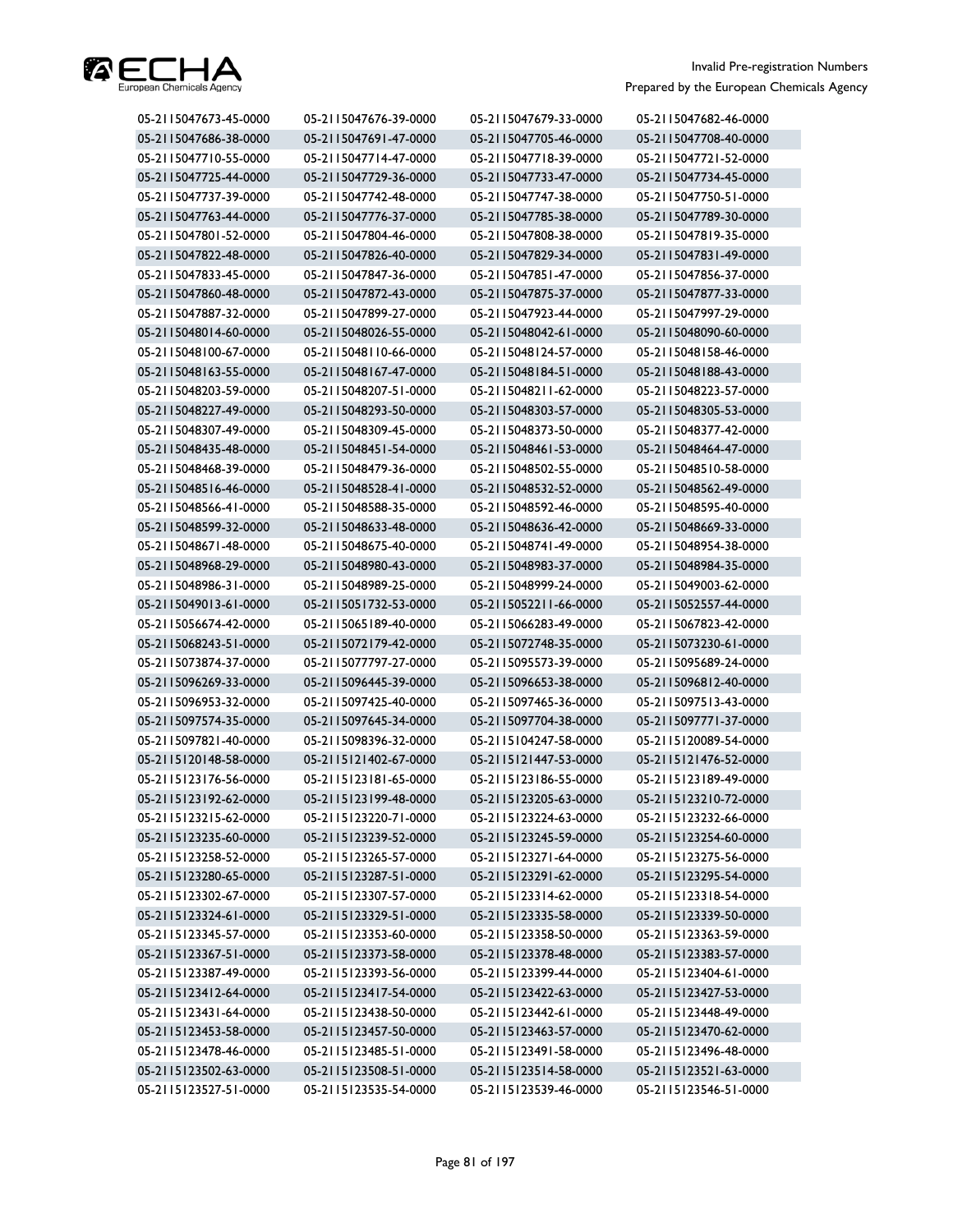

| 05-2115047673-45-0000 | 05-2115047676-39-0000 | 05-2115047679-33-0000 | 05-2115047682-46-0000 |
|-----------------------|-----------------------|-----------------------|-----------------------|
| 05-2115047686-38-0000 | 05-2115047691-47-0000 | 05-2115047705-46-0000 | 05-2115047708-40-0000 |
| 05-2115047710-55-0000 | 05-2115047714-47-0000 | 05-2115047718-39-0000 | 05-2115047721-52-0000 |
| 05-2115047725-44-0000 | 05-2115047729-36-0000 | 05-2115047733-47-0000 | 05-2115047734-45-0000 |
| 05-2115047737-39-0000 | 05-2115047742-48-0000 | 05-2115047747-38-0000 | 05-2115047750-51-0000 |
| 05-2115047763-44-0000 | 05-2115047776-37-0000 | 05-2115047785-38-0000 | 05-2115047789-30-0000 |
| 05-2115047801-52-0000 | 05-2115047804-46-0000 | 05-2115047808-38-0000 | 05-2115047819-35-0000 |
| 05-2115047822-48-0000 | 05-2115047826-40-0000 | 05-2115047829-34-0000 | 05-2115047831-49-0000 |
| 05-2115047833-45-0000 | 05-2115047847-36-0000 | 05-2115047851-47-0000 | 05-2115047856-37-0000 |
| 05-2115047860-48-0000 | 05-2115047872-43-0000 | 05-2115047875-37-0000 | 05-2115047877-33-0000 |
| 05-2115047887-32-0000 | 05-2115047899-27-0000 | 05-2115047923-44-0000 | 05-2115047997-29-0000 |
| 05-2115048014-60-0000 | 05-2115048026-55-0000 | 05-2115048042-61-0000 | 05-2115048090-60-0000 |
| 05-2115048100-67-0000 | 05-2115048110-66-0000 | 05-2115048124-57-0000 | 05-2115048158-46-0000 |
| 05-2115048163-55-0000 | 05-2115048167-47-0000 | 05-2115048184-51-0000 | 05-2115048188-43-0000 |
| 05-2115048203-59-0000 | 05-2115048207-51-0000 | 05-2115048211-62-0000 | 05-2115048223-57-0000 |
| 05-2115048227-49-0000 | 05-2115048293-50-0000 | 05-2115048303-57-0000 | 05-2115048305-53-0000 |
| 05-2115048307-49-0000 | 05-2115048309-45-0000 | 05-2115048373-50-0000 | 05-2115048377-42-0000 |
| 05-2115048435-48-0000 | 05-2115048451-54-0000 | 05-2115048461-53-0000 | 05-2115048464-47-0000 |
| 05-2115048468-39-0000 | 05-2115048479-36-0000 | 05-2115048502-55-0000 | 05-2115048510-58-0000 |
| 05-2115048516-46-0000 | 05-2115048528-41-0000 | 05-2115048532-52-0000 | 05-2115048562-49-0000 |
| 05-2115048566-41-0000 | 05-2115048588-35-0000 | 05-2115048592-46-0000 | 05-2115048595-40-0000 |
| 05-2115048599-32-0000 | 05-2115048633-48-0000 | 05-2115048636-42-0000 | 05-2115048669-33-0000 |
| 05-2115048671-48-0000 | 05-2115048675-40-0000 | 05-2115048741-49-0000 | 05-2115048954-38-0000 |
| 05-2115048968-29-0000 | 05-2115048980-43-0000 | 05-2115048983-37-0000 | 05-2115048984-35-0000 |
| 05-2115048986-31-0000 | 05-2115048989-25-0000 | 05-2115048999-24-0000 | 05-2115049003-62-0000 |
| 05-2115049013-61-0000 | 05-2115051732-53-0000 | 05-2115052211-66-0000 | 05-2115052557-44-0000 |
| 05-2115056674-42-0000 | 05-2115065189-40-0000 | 05-2115066283-49-0000 | 05-2115067823-42-0000 |
| 05-2115068243-51-0000 | 05-2115072179-42-0000 | 05-2115072748-35-0000 | 05-2115073230-61-0000 |
| 05-2115073874-37-0000 | 05-2115077797-27-0000 | 05-2115095573-39-0000 | 05-2115095689-24-0000 |
| 05-2115096269-33-0000 | 05-2115096445-39-0000 | 05-2115096653-38-0000 | 05-2115096812-40-0000 |
| 05-2115096953-32-0000 | 05-2115097425-40-0000 | 05-2115097465-36-0000 | 05-2115097513-43-0000 |
| 05-2115097574-35-0000 | 05-2115097645-34-0000 | 05-2115097704-38-0000 | 05-2115097771-37-0000 |
| 05-2115097821-40-0000 | 05-2115098396-32-0000 | 05-2115104247-58-0000 | 05-2115120089-54-0000 |
| 05-2115120148-58-0000 | 05-2115121402-67-0000 | 05-2115121447-53-0000 | 05-2115121476-52-0000 |
| 05-2115123176-56-0000 | 05-2115123181-65-0000 | 05-2115123186-55-0000 | 05-2115123189-49-0000 |
| 05-2115123192-62-0000 | 05-2115123199-48-0000 | 05-2115123205-63-0000 | 05-2115123210-72-0000 |
| 05-2115123215-62-0000 | 05-2115123220-71-0000 | 05-2115123224-63-0000 | 05-2115123232-66-0000 |
| 05-2115123235-60-0000 | 05-2115123239-52-0000 | 05-2115123245-59-0000 | 05-2115123254-60-0000 |
| 05-2115123258-52-0000 | 05-2115123265-57-0000 | 05-2115123271-64-0000 | 05-2115123275-56-0000 |
| 05-2115123280-65-0000 | 05-2115123287-51-0000 | 05-2115123291-62-0000 | 05-2115123295-54-0000 |
| 05-2115123302-67-0000 | 05-2115123307-57-0000 | 05-2115123314-62-0000 | 05-2115123318-54-0000 |
| 05-2115123324-61-0000 | 05-2115123329-51-0000 | 05-2115123335-58-0000 | 05-2115123339-50-0000 |
| 05-2115123345-57-0000 | 05-2115123353-60-0000 | 05-2115123358-50-0000 | 05-2115123363-59-0000 |
| 05-2115123367-51-0000 | 05-2115123373-58-0000 | 05-2115123378-48-0000 | 05-2115123383-57-0000 |
| 05-2115123387-49-0000 | 05-2115123393-56-0000 | 05-2115123399-44-0000 | 05-2115123404-61-0000 |
| 05-2115123412-64-0000 | 05-2115123417-54-0000 | 05-2115123422-63-0000 | 05-2115123427-53-0000 |
| 05-2115123431-64-0000 | 05-2115123438-50-0000 | 05-2115123442-61-0000 | 05-2115123448-49-0000 |
| 05-2115123453-58-0000 | 05-2115123457-50-0000 | 05-2115123463-57-0000 | 05-2115123470-62-0000 |
| 05-2115123478-46-0000 | 05-2115123485-51-0000 | 05-2115123491-58-0000 | 05-2115123496-48-0000 |
| 05-2115123502-63-0000 | 05-2115123508-51-0000 | 05-2115123514-58-0000 | 05-2115123521-63-0000 |
| 05-2115123527-51-0000 | 05-2115123535-54-0000 | 05-2115123539-46-0000 | 05-2115123546-51-0000 |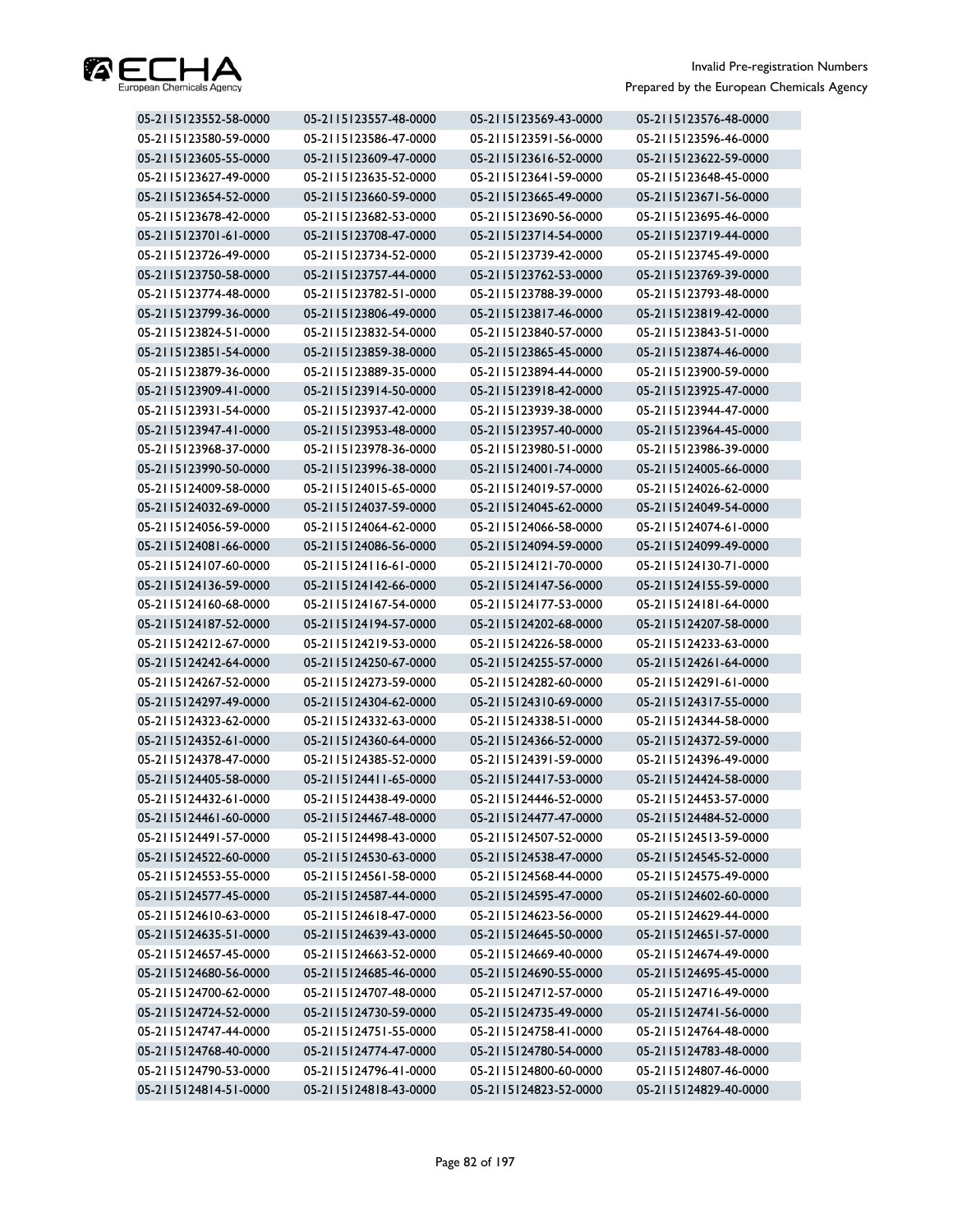

| 05-2115123552-58-0000 | 05-2115123557-48-0000 | 05-2115123569-43-0000 | 05-2115123576-48-0000 |
|-----------------------|-----------------------|-----------------------|-----------------------|
| 05-2115123580-59-0000 | 05-2115123586-47-0000 | 05-2115123591-56-0000 | 05-2115123596-46-0000 |
| 05-2115123605-55-0000 | 05-2115123609-47-0000 | 05-2115123616-52-0000 | 05-2115123622-59-0000 |
| 05-2115123627-49-0000 | 05-2115123635-52-0000 | 05-2115123641-59-0000 | 05-2115123648-45-0000 |
| 05-2115123654-52-0000 | 05-2115123660-59-0000 | 05-2115123665-49-0000 | 05-2115123671-56-0000 |
| 05-2115123678-42-0000 | 05-2115123682-53-0000 | 05-2115123690-56-0000 | 05-2115123695-46-0000 |
| 05-2115123701-61-0000 | 05-2115123708-47-0000 | 05-2115123714-54-0000 | 05-2115123719-44-0000 |
| 05-2115123726-49-0000 | 05-2115123734-52-0000 | 05-2115123739-42-0000 | 05-2115123745-49-0000 |
| 05-2115123750-58-0000 | 05-2115123757-44-0000 | 05-2115123762-53-0000 | 05-2115123769-39-0000 |
| 05-2115123774-48-0000 | 05-2115123782-51-0000 | 05-2115123788-39-0000 | 05-2115123793-48-0000 |
| 05-2115123799-36-0000 | 05-2115123806-49-0000 | 05-2115123817-46-0000 | 05-2115123819-42-0000 |
| 05-2115123824-51-0000 | 05-2115123832-54-0000 | 05-2115123840-57-0000 | 05-2115123843-51-0000 |
| 05-2115123851-54-0000 | 05-2115123859-38-0000 | 05-2115123865-45-0000 | 05-2115123874-46-0000 |
| 05-2115123879-36-0000 | 05-2115123889-35-0000 | 05-2115123894-44-0000 | 05-2115123900-59-0000 |
| 05-2115123909-41-0000 | 05-2115123914-50-0000 | 05-2115123918-42-0000 | 05-2115123925-47-0000 |
| 05-2115123931-54-0000 | 05-2115123937-42-0000 | 05-2115123939-38-0000 | 05-2115123944-47-0000 |
| 05-2115123947-41-0000 | 05-2115123953-48-0000 | 05-2115123957-40-0000 | 05-2115123964-45-0000 |
| 05-2115123968-37-0000 | 05-2115123978-36-0000 | 05-2115123980-51-0000 | 05-2115123986-39-0000 |
| 05-2115123990-50-0000 | 05-2115123996-38-0000 | 05-2115124001-74-0000 | 05-2115124005-66-0000 |
| 05-2115124009-58-0000 | 05-2115124015-65-0000 | 05-2115124019-57-0000 | 05-2115124026-62-0000 |
| 05-2115124032-69-0000 | 05-2115124037-59-0000 | 05-2115124045-62-0000 | 05-2115124049-54-0000 |
| 05-2115124056-59-0000 | 05-2115124064-62-0000 | 05-2115124066-58-0000 | 05-2115124074-61-0000 |
| 05-2115124081-66-0000 | 05-2115124086-56-0000 | 05-2115124094-59-0000 | 05-2115124099-49-0000 |
| 05-2115124107-60-0000 | 05-2115124116-61-0000 | 05-2115124121-70-0000 | 05-2115124130-71-0000 |
| 05-2115124136-59-0000 | 05-2115124142-66-0000 | 05-2115124147-56-0000 | 05-2115124155-59-0000 |
| 05-2115124160-68-0000 | 05-2115124167-54-0000 | 05-2115124177-53-0000 | 05-2115124181-64-0000 |
| 05-2115124187-52-0000 | 05-2115124194-57-0000 | 05-2115124202-68-0000 | 05-2115124207-58-0000 |
| 05-2115124212-67-0000 | 05-2115124219-53-0000 | 05-2115124226-58-0000 | 05-2115124233-63-0000 |
| 05-2115124242-64-0000 | 05-2115124250-67-0000 | 05-2115124255-57-0000 | 05-2115124261-64-0000 |
| 05-2115124267-52-0000 | 05-2115124273-59-0000 | 05-2115124282-60-0000 | 05-2115124291-61-0000 |
| 05-2115124297-49-0000 | 05-2115124304-62-0000 | 05-2115124310-69-0000 | 05-2115124317-55-0000 |
| 05-2115124323-62-0000 | 05-2115124332-63-0000 | 05-2115124338-51-0000 | 05-2115124344-58-0000 |
| 05-2115124352-61-0000 | 05-2115124360-64-0000 | 05-2115124366-52-0000 | 05-2115124372-59-0000 |
| 05-2115124378-47-0000 | 05-2115124385-52-0000 | 05-2115124391-59-0000 | 05-2115124396-49-0000 |
| 05-2115124405-58-0000 | 05-2115124411-65-0000 | 05-2115124417-53-0000 | 05-2115124424-58-0000 |
| 05-2115124432-61-0000 | 05-2115124438-49-0000 | 05-2115124446-52-0000 | 05-2115124453-57-0000 |
| 05-2115124461-60-0000 | 05-2115124467-48-0000 | 05-2115124477-47-0000 | 05-2115124484-52-0000 |
| 05-2115124491-57-0000 | 05-2115124498-43-0000 | 05-2115124507-52-0000 | 05-2115124513-59-0000 |
| 05-2115124522-60-0000 | 05-2115124530-63-0000 | 05-2115124538-47-0000 | 05-2115124545-52-0000 |
| 05-2115124553-55-0000 | 05-2115124561-58-0000 | 05-2115124568-44-0000 | 05-2115124575-49-0000 |
| 05-2115124577-45-0000 | 05-2115124587-44-0000 | 05-2115124595-47-0000 | 05-2115124602-60-0000 |
| 05-2115124610-63-0000 | 05-2115124618-47-0000 | 05-2115124623-56-0000 | 05-2115124629-44-0000 |
| 05-2115124635-51-0000 | 05-2115124639-43-0000 | 05-2115124645-50-0000 | 05-2115124651-57-0000 |
| 05-2115124657-45-0000 | 05-2115124663-52-0000 | 05-2115124669-40-0000 | 05-2115124674-49-0000 |
| 05-2115124680-56-0000 | 05-2115124685-46-0000 | 05-2115124690-55-0000 | 05-2115124695-45-0000 |
| 05-2115124700-62-0000 | 05-2115124707-48-0000 | 05-2115124712-57-0000 | 05-2115124716-49-0000 |
| 05-2115124724-52-0000 | 05-2115124730-59-0000 | 05-2115124735-49-0000 | 05-2115124741-56-0000 |
| 05-2115124747-44-0000 | 05-2115124751-55-0000 | 05-2115124758-41-0000 | 05-2115124764-48-0000 |
| 05-2115124768-40-0000 | 05-2115124774-47-0000 | 05-2115124780-54-0000 | 05-2115124783-48-0000 |
| 05-2115124790-53-0000 | 05-2115124796-41-0000 | 05-2115124800-60-0000 | 05-2115124807-46-0000 |
| 05-2115124814-51-0000 | 05-2115124818-43-0000 | 05-2115124823-52-0000 | 05-2115124829-40-0000 |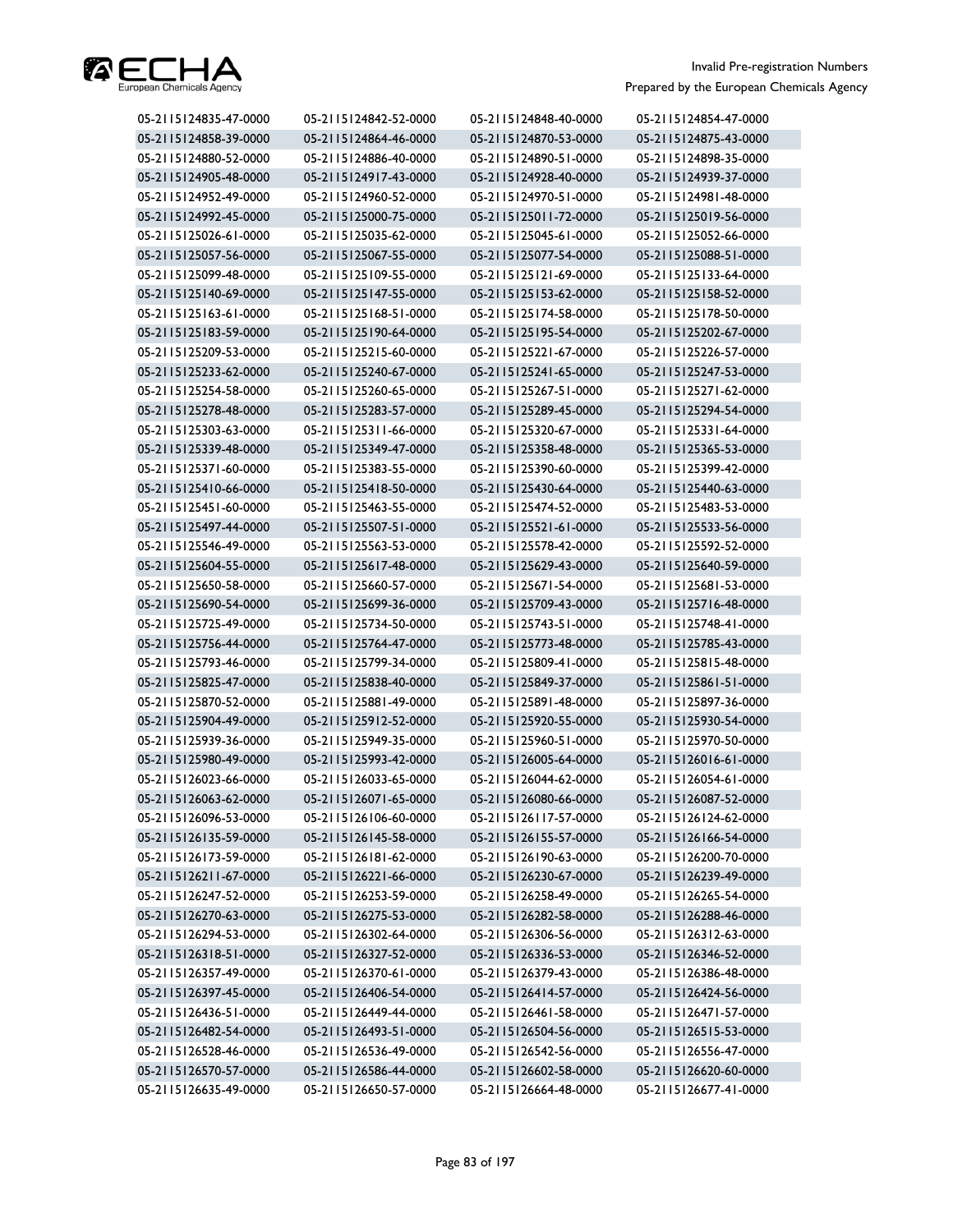

| 05-2115124835-47-0000 | 05-2115124842-52-0000 | 05-2115124848-40-0000 | 05-2115124854-47-0000 |
|-----------------------|-----------------------|-----------------------|-----------------------|
| 05-2115124858-39-0000 | 05-2115124864-46-0000 | 05-2115124870-53-0000 | 05-2115124875-43-0000 |
| 05-2115124880-52-0000 | 05-2115124886-40-0000 | 05-2115124890-51-0000 | 05-2115124898-35-0000 |
| 05-2115124905-48-0000 | 05-2115124917-43-0000 | 05-2115124928-40-0000 | 05-2115124939-37-0000 |
| 05-2115124952-49-0000 | 05-2115124960-52-0000 | 05-2115124970-51-0000 | 05-2115124981-48-0000 |
| 05-2115124992-45-0000 | 05-2115125000-75-0000 | 05-2115125011-72-0000 | 05-2115125019-56-0000 |
| 05-2115125026-61-0000 | 05-2115125035-62-0000 | 05-2115125045-61-0000 | 05-2115125052-66-0000 |
| 05-2115125057-56-0000 | 05-2115125067-55-0000 | 05-2115125077-54-0000 | 05-2115125088-51-0000 |
| 05-2115125099-48-0000 | 05-2115125109-55-0000 | 05-2115125121-69-0000 | 05-2115125133-64-0000 |
| 05-2115125140-69-0000 | 05-2115125147-55-0000 | 05-2115125153-62-0000 | 05-2115125158-52-0000 |
| 05-2115125163-61-0000 | 05-2115125168-51-0000 | 05-2115125174-58-0000 | 05-2115125178-50-0000 |
| 05-2115125183-59-0000 | 05-2115125190-64-0000 | 05-2115125195-54-0000 | 05-2115125202-67-0000 |
| 05-2115125209-53-0000 | 05-2115125215-60-0000 | 05-2115125221-67-0000 | 05-2115125226-57-0000 |
| 05-2115125233-62-0000 | 05-2115125240-67-0000 | 05-2115125241-65-0000 | 05-2115125247-53-0000 |
| 05-2115125254-58-0000 | 05-2115125260-65-0000 | 05-2115125267-51-0000 | 05-2115125271-62-0000 |
| 05-2115125278-48-0000 | 05-2115125283-57-0000 | 05-2115125289-45-0000 | 05-2115125294-54-0000 |
| 05-2115125303-63-0000 | 05-2115125311-66-0000 | 05-2115125320-67-0000 | 05-2115125331-64-0000 |
| 05-2115125339-48-0000 | 05-2115125349-47-0000 | 05-2115125358-48-0000 | 05-2115125365-53-0000 |
| 05-2115125371-60-0000 | 05-2115125383-55-0000 | 05-2115125390-60-0000 | 05-2115125399-42-0000 |
| 05-2115125410-66-0000 | 05-2115125418-50-0000 | 05-2115125430-64-0000 | 05-2115125440-63-0000 |
| 05-2115125451-60-0000 | 05-2115125463-55-0000 | 05-2115125474-52-0000 | 05-2115125483-53-0000 |
| 05-2115125497-44-0000 | 05-2115125507-51-0000 | 05-2115125521-61-0000 | 05-2115125533-56-0000 |
| 05-2115125546-49-0000 | 05-2115125563-53-0000 | 05-2115125578-42-0000 | 05-2115125592-52-0000 |
| 05-2115125604-55-0000 | 05-2115125617-48-0000 | 05-2115125629-43-0000 | 05-2115125640-59-0000 |
| 05-2115125650-58-0000 | 05-2115125660-57-0000 | 05-2115125671-54-0000 | 05-2115125681-53-0000 |
| 05-2115125690-54-0000 | 05-2115125699-36-0000 | 05-2115125709-43-0000 | 05-2115125716-48-0000 |
| 05-2115125725-49-0000 | 05-2115125734-50-0000 | 05-2115125743-51-0000 | 05-2115125748-41-0000 |
| 05-2115125756-44-0000 | 05-2115125764-47-0000 | 05-2115125773-48-0000 | 05-2115125785-43-0000 |
| 05-2115125793-46-0000 | 05-2115125799-34-0000 | 05-2115125809-41-0000 | 05-2115125815-48-0000 |
| 05-2115125825-47-0000 | 05-2115125838-40-0000 | 05-2115125849-37-0000 | 05-2115125861-51-0000 |
| 05-2115125870-52-0000 | 05-2115125881-49-0000 | 05-2115125891-48-0000 | 05-2115125897-36-0000 |
| 05-2115125904-49-0000 | 05-2115125912-52-0000 | 05-2115125920-55-0000 | 05-2115125930-54-0000 |
| 05-2115125939-36-0000 | 05-2115125949-35-0000 | 05-2115125960-51-0000 | 05-2115125970-50-0000 |
| 05-2115125980-49-0000 | 05-2115125993-42-0000 | 05-2115126005-64-0000 | 05-2115126016-61-0000 |
| 05-2115126023-66-0000 | 05-2115126033-65-0000 | 05-2115126044-62-0000 | 05-2115126054-61-0000 |
| 05-2115126063-62-0000 | 05-2115126071-65-0000 | 05-2115126080-66-0000 | 05-2115126087-52-0000 |
| 05-2115126096-53-0000 | 05-2115126106-60-0000 | 05-2115126117-57-0000 | 05-2115126124-62-0000 |
| 05-2115126135-59-0000 | 05-2115126145-58-0000 | 05-2115126155-57-0000 | 05-2115126166-54-0000 |
| 05-2115126173-59-0000 | 05-2115126181-62-0000 | 05-2115126190-63-0000 | 05-2115126200-70-0000 |
| 05-2115126211-67-0000 | 05-2115126221-66-0000 | 05-2115126230-67-0000 | 05-2115126239-49-0000 |
| 05-2115126247-52-0000 | 05-2115126253-59-0000 | 05-2115126258-49-0000 | 05-2115126265-54-0000 |
| 05-2115126270-63-0000 | 05-2115126275-53-0000 | 05-2115126282-58-0000 | 05-2115126288-46-0000 |
| 05-2115126294-53-0000 | 05-2115126302-64-0000 | 05-2115126306-56-0000 | 05-2115126312-63-0000 |
| 05-2115126318-51-0000 | 05-2115126327-52-0000 | 05-2115126336-53-0000 | 05-2115126346-52-0000 |
| 05-2115126357-49-0000 | 05-2115126370-61-0000 | 05-2115126379-43-0000 | 05-2115126386-48-0000 |
| 05-2115126397-45-0000 | 05-2115126406-54-0000 | 05-2115126414-57-0000 | 05-2115126424-56-0000 |
| 05-2115126436-51-0000 | 05-2115126449-44-0000 | 05-2115126461-58-0000 | 05-2115126471-57-0000 |
| 05-2115126482-54-0000 | 05-2115126493-51-0000 | 05-2115126504-56-0000 | 05-2115126515-53-0000 |
| 05-2115126528-46-0000 | 05-2115126536-49-0000 | 05-2115126542-56-0000 | 05-2115126556-47-0000 |
| 05-2115126570-57-0000 | 05-2115126586-44-0000 | 05-2115126602-58-0000 | 05-2115126620-60-0000 |
| 05-2115126635-49-0000 | 05-2115126650-57-0000 | 05-2115126664-48-0000 | 05-2115126677-41-0000 |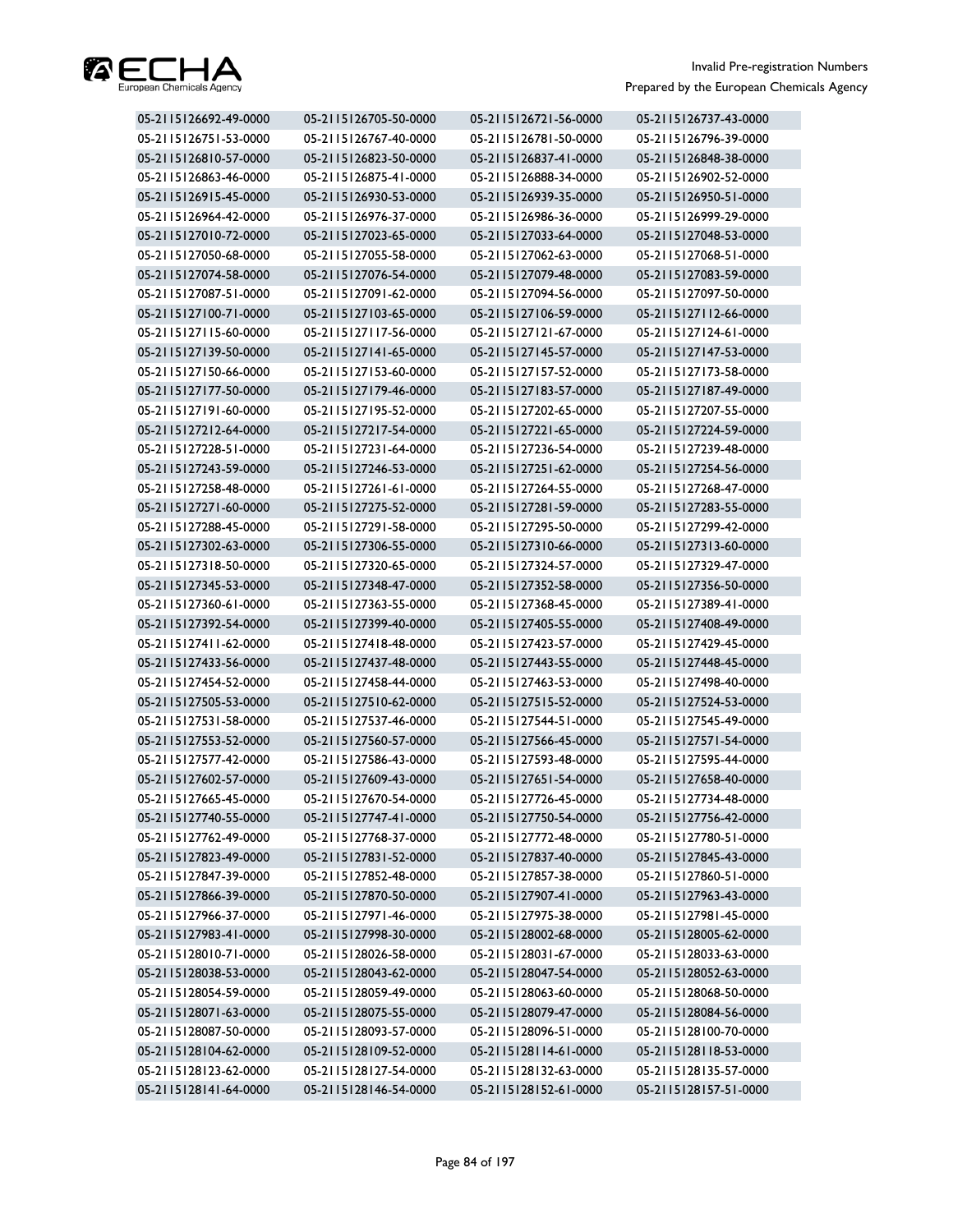

| 05-2115126692-49-0000 | 05-2115126705-50-0000 | 05-2115126721-56-0000 | 05-2115126737-43-0000 |
|-----------------------|-----------------------|-----------------------|-----------------------|
| 05-2115126751-53-0000 | 05-2115126767-40-0000 | 05-2115126781-50-0000 | 05-2115126796-39-0000 |
| 05-2115126810-57-0000 | 05-2115126823-50-0000 | 05-2115126837-41-0000 | 05-2115126848-38-0000 |
| 05-2115126863-46-0000 | 05-2115126875-41-0000 | 05-2115126888-34-0000 | 05-2115126902-52-0000 |
| 05-2115126915-45-0000 | 05-2115126930-53-0000 | 05-2115126939-35-0000 | 05-2115126950-51-0000 |
| 05-2115126964-42-0000 | 05-2115126976-37-0000 | 05-2115126986-36-0000 | 05-2115126999-29-0000 |
| 05-2115127010-72-0000 | 05-2115127023-65-0000 | 05-2115127033-64-0000 | 05-2115127048-53-0000 |
| 05-2115127050-68-0000 | 05-2115127055-58-0000 | 05-2115127062-63-0000 | 05-2115127068-51-0000 |
| 05-2115127074-58-0000 | 05-2115127076-54-0000 | 05-2115127079-48-0000 | 05-2115127083-59-0000 |
| 05-2115127087-51-0000 | 05-2115127091-62-0000 | 05-2115127094-56-0000 | 05-2115127097-50-0000 |
| 05-2115127100-71-0000 | 05-2115127103-65-0000 | 05-2115127106-59-0000 | 05-2115127112-66-0000 |
| 05-2115127115-60-0000 | 05-2115127117-56-0000 | 05-2115127121-67-0000 | 05-2115127124-61-0000 |
| 05-2115127139-50-0000 | 05-2115127141-65-0000 | 05-2115127145-57-0000 | 05-2115127147-53-0000 |
| 05-2115127150-66-0000 | 05-2115127153-60-0000 | 05-2115127157-52-0000 | 05-2115127173-58-0000 |
| 05-2115127177-50-0000 | 05-2115127179-46-0000 | 05-2115127183-57-0000 | 05-2115127187-49-0000 |
| 05-2115127191-60-0000 | 05-2115127195-52-0000 | 05-2115127202-65-0000 | 05-2115127207-55-0000 |
| 05-2115127212-64-0000 | 05-2115127217-54-0000 | 05-2115127221-65-0000 | 05-2115127224-59-0000 |
| 05-2115127228-51-0000 | 05-2115127231-64-0000 | 05-2115127236-54-0000 | 05-2115127239-48-0000 |
| 05-2115127243-59-0000 | 05-2115127246-53-0000 | 05-2115127251-62-0000 | 05-2115127254-56-0000 |
| 05-2115127258-48-0000 | 05-2115127261-61-0000 | 05-2115127264-55-0000 | 05-2115127268-47-0000 |
| 05-2115127271-60-0000 | 05-2115127275-52-0000 | 05-2115127281-59-0000 | 05-2115127283-55-0000 |
| 05-2115127288-45-0000 | 05-2115127291-58-0000 | 05-2115127295-50-0000 | 05-2115127299-42-0000 |
| 05-2115127302-63-0000 | 05-2115127306-55-0000 | 05-2115127310-66-0000 | 05-2115127313-60-0000 |
| 05-2115127318-50-0000 | 05-2115127320-65-0000 | 05-2115127324-57-0000 | 05-2115127329-47-0000 |
| 05-2115127345-53-0000 | 05-2115127348-47-0000 | 05-2115127352-58-0000 | 05-2115127356-50-0000 |
| 05-2115127360-61-0000 | 05-2115127363-55-0000 | 05-2115127368-45-0000 | 05-2115127389-41-0000 |
| 05-2115127392-54-0000 | 05-2115127399-40-0000 | 05-2115127405-55-0000 | 05-2115127408-49-0000 |
| 05-2115127411-62-0000 | 05-2115127418-48-0000 | 05-2115127423-57-0000 | 05-2115127429-45-0000 |
| 05-2115127433-56-0000 | 05-2115127437-48-0000 | 05-2115127443-55-0000 | 05-2115127448-45-0000 |
| 05-2115127454-52-0000 | 05-2115127458-44-0000 | 05-2115127463-53-0000 | 05-2115127498-40-0000 |
| 05-2115127505-53-0000 | 05-2115127510-62-0000 | 05-2115127515-52-0000 | 05-2115127524-53-0000 |
| 05-2115127531-58-0000 | 05-2115127537-46-0000 | 05-2115127544-51-0000 | 05-2115127545-49-0000 |
| 05-2115127553-52-0000 | 05-2115127560-57-0000 | 05-2115127566-45-0000 | 05-2115127571-54-0000 |
| 05-2115127577-42-0000 | 05-2115127586-43-0000 | 05-2115127593-48-0000 | 05-2115127595-44-0000 |
| 05-2115127602-57-0000 | 05-2115127609-43-0000 | 05-2115127651-54-0000 | 05-2115127658-40-0000 |
| 05-2115127665-45-0000 | 05-2115127670-54-0000 | 05-2115127726-45-0000 | 05-2115127734-48-0000 |
| 05-2115127740-55-0000 | 05-2115127747-41-0000 | 05-2115127750-54-0000 | 05-2115127756-42-0000 |
| 05-2115127762-49-0000 | 05-2115127768-37-0000 | 05-2115127772-48-0000 | 05-2115127780-51-0000 |
| 05-2115127823-49-0000 | 05-2115127831-52-0000 | 05-2115127837-40-0000 | 05-2115127845-43-0000 |
| 05-2115127847-39-0000 | 05-2115127852-48-0000 | 05-2115127857-38-0000 | 05-2115127860-51-0000 |
| 05-2115127866-39-0000 | 05-2115127870-50-0000 | 05-2115127907-41-0000 | 05-2115127963-43-0000 |
| 05-2115127966-37-0000 | 05-2115127971-46-0000 | 05-2115127975-38-0000 | 05-2115127981-45-0000 |
| 05-2115127983-41-0000 | 05-2115127998-30-0000 | 05-2115128002-68-0000 | 05-2115128005-62-0000 |
| 05-2115128010-71-0000 | 05-2115128026-58-0000 | 05-2115128031-67-0000 | 05-2115128033-63-0000 |
| 05-2115128038-53-0000 | 05-2115128043-62-0000 | 05-2115128047-54-0000 | 05-2115128052-63-0000 |
| 05-2115128054-59-0000 | 05-2115128059-49-0000 | 05-2115128063-60-0000 | 05-2115128068-50-0000 |
| 05-2115128071-63-0000 | 05-2115128075-55-0000 | 05-2115128079-47-0000 | 05-2115128084-56-0000 |
| 05-2115128087-50-0000 | 05-2115128093-57-0000 | 05-2115128096-51-0000 | 05-2115128100-70-0000 |
| 05-2115128104-62-0000 | 05-2115128109-52-0000 | 05-2115128114-61-0000 | 05-2115128118-53-0000 |
| 05-2115128123-62-0000 | 05-2115128127-54-0000 | 05-2115128132-63-0000 | 05-2115128135-57-0000 |
| 05-2115128141-64-0000 | 05-2115128146-54-0000 | 05-2115128152-61-0000 | 05-2115128157-51-0000 |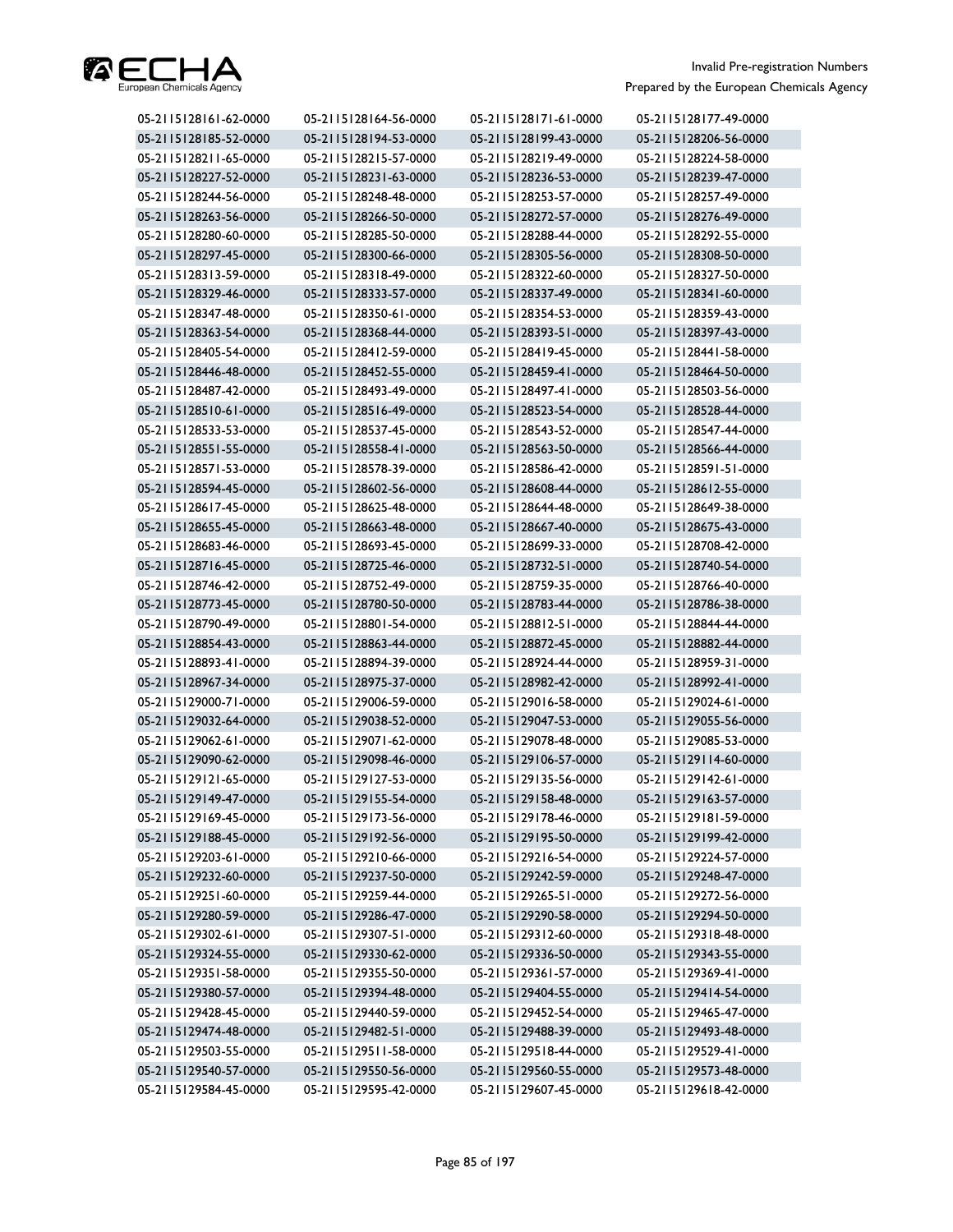

| 05-2115128161-62-0000 | 05-2115128164-56-0000 | 05-2115128171-61-0000 | 05-2115128177-49-0000 |
|-----------------------|-----------------------|-----------------------|-----------------------|
| 05-2115128185-52-0000 | 05-2115128194-53-0000 | 05-2115128199-43-0000 | 05-2115128206-56-0000 |
| 05-2115128211-65-0000 | 05-2115128215-57-0000 | 05-2115128219-49-0000 | 05-2115128224-58-0000 |
| 05-2115128227-52-0000 | 05-2115128231-63-0000 | 05-2115128236-53-0000 | 05-2115128239-47-0000 |
| 05-2115128244-56-0000 | 05-2115128248-48-0000 | 05-2115128253-57-0000 | 05-2115128257-49-0000 |
| 05-2115128263-56-0000 | 05-2115128266-50-0000 | 05-2115128272-57-0000 | 05-2115128276-49-0000 |
| 05-2115128280-60-0000 | 05-2115128285-50-0000 | 05-2115128288-44-0000 | 05-2115128292-55-0000 |
| 05-2115128297-45-0000 | 05-2115128300-66-0000 | 05-2115128305-56-0000 | 05-2115128308-50-0000 |
| 05-2115128313-59-0000 | 05-2115128318-49-0000 | 05-2115128322-60-0000 | 05-2115128327-50-0000 |
| 05-2115128329-46-0000 | 05-2115128333-57-0000 | 05-2115128337-49-0000 | 05-2115128341-60-0000 |
| 05-2115128347-48-0000 | 05-2115128350-61-0000 | 05-2115128354-53-0000 | 05-2115128359-43-0000 |
| 05-2115128363-54-0000 | 05-2115128368-44-0000 | 05-2115128393-51-0000 | 05-2115128397-43-0000 |
| 05-2115128405-54-0000 | 05-2115128412-59-0000 | 05-2115128419-45-0000 | 05-2115128441-58-0000 |
| 05-2115128446-48-0000 | 05-2115128452-55-0000 | 05-2115128459-41-0000 | 05-2115128464-50-0000 |
| 05-2115128487-42-0000 | 05-2115128493-49-0000 | 05-2115128497-41-0000 | 05-2115128503-56-0000 |
| 05-2115128510-61-0000 | 05-2115128516-49-0000 | 05-2115128523-54-0000 | 05-2115128528-44-0000 |
| 05-2115128533-53-0000 | 05-2115128537-45-0000 | 05-2115128543-52-0000 | 05-2115128547-44-0000 |
| 05-2115128551-55-0000 | 05-2115128558-41-0000 | 05-2115128563-50-0000 | 05-2115128566-44-0000 |
| 05-2115128571-53-0000 | 05-2115128578-39-0000 | 05-2115128586-42-0000 | 05-2115128591-51-0000 |
| 05-2115128594-45-0000 | 05-2115128602-56-0000 | 05-2115128608-44-0000 | 05-2115128612-55-0000 |
| 05-2115128617-45-0000 | 05-2115128625-48-0000 | 05-2115128644-48-0000 | 05-2115128649-38-0000 |
| 05-2115128655-45-0000 | 05-2115128663-48-0000 | 05-2115128667-40-0000 | 05-2115128675-43-0000 |
| 05-2115128683-46-0000 | 05-2115128693-45-0000 | 05-2115128699-33-0000 | 05-2115128708-42-0000 |
| 05-2115128716-45-0000 | 05-2115128725-46-0000 | 05-2115128732-51-0000 | 05-2115128740-54-0000 |
| 05-2115128746-42-0000 | 05-2115128752-49-0000 | 05-2115128759-35-0000 | 05-2115128766-40-0000 |
| 05-2115128773-45-0000 | 05-2115128780-50-0000 | 05-2115128783-44-0000 | 05-2115128786-38-0000 |
| 05-2115128790-49-0000 | 05-2115128801-54-0000 | 05-2115128812-51-0000 | 05-2115128844-44-0000 |
| 05-2115128854-43-0000 | 05-2115128863-44-0000 | 05-2115128872-45-0000 | 05-2115128882-44-0000 |
| 05-2115128893-41-0000 | 05-2115128894-39-0000 | 05-2115128924-44-0000 | 05-2115128959-31-0000 |
| 05-2115128967-34-0000 | 05-2115128975-37-0000 | 05-2115128982-42-0000 | 05-2115128992-41-0000 |
| 05-2115129000-71-0000 | 05-2115129006-59-0000 | 05-2115129016-58-0000 | 05-2115129024-61-0000 |
| 05-2115129032-64-0000 | 05-2115129038-52-0000 | 05-2115129047-53-0000 | 05-2115129055-56-0000 |
| 05-2115129062-61-0000 | 05-2115129071-62-0000 | 05-2115129078-48-0000 | 05-2115129085-53-0000 |
| 05-2115129090-62-0000 | 05-2115129098-46-0000 | 05-2115129106-57-0000 | 05-2115129114-60-0000 |
| 05-2115129121-65-0000 | 05-2115129127-53-0000 | 05-2115129135-56-0000 | 05-2115129142-61-0000 |
| 05-2115129149-47-0000 | 05-2115129155-54-0000 | 05-2115129158-48-0000 | 05-2115129163-57-0000 |
| 05-2115129169-45-0000 | 05-2115129173-56-0000 | 05-2115129178-46-0000 | 05-2115129181-59-0000 |
| 05-2115129188-45-0000 | 05-2115129192-56-0000 | 05-2115129195-50-0000 | 05-2115129199-42-0000 |
| 05-2115129203-61-0000 | 05-2115129210-66-0000 | 05-2115129216-54-0000 | 05-2115129224-57-0000 |
| 05-2115129232-60-0000 | 05-2115129237-50-0000 | 05-2115129242-59-0000 | 05-2115129248-47-0000 |
| 05-2115129251-60-0000 | 05-2115129259-44-0000 | 05-2115129265-51-0000 | 05-2115129272-56-0000 |
| 05-2115129280-59-0000 | 05-2115129286-47-0000 | 05-2115129290-58-0000 | 05-2115129294-50-0000 |
| 05-2115129302-61-0000 | 05-2115129307-51-0000 | 05-2115129312-60-0000 | 05-2115129318-48-0000 |
| 05-2115129324-55-0000 | 05-2115129330-62-0000 | 05-2115129336-50-0000 | 05-2115129343-55-0000 |
| 05-2115129351-58-0000 | 05-2115129355-50-0000 | 05-2115129361-57-0000 | 05-2115129369-41-0000 |
| 05-2115129380-57-0000 | 05-2115129394-48-0000 | 05-2115129404-55-0000 | 05-2115129414-54-0000 |
| 05-2115129428-45-0000 | 05-2115129440-59-0000 | 05-2115129452-54-0000 | 05-2115129465-47-0000 |
| 05-2115129474-48-0000 | 05-2115129482-51-0000 | 05-2115129488-39-0000 | 05-2115129493-48-0000 |
| 05-2115129503-55-0000 | 05-2115129511-58-0000 | 05-2115129518-44-0000 | 05-2115129529-41-0000 |
| 05-2115129540-57-0000 | 05-2115129550-56-0000 | 05-2115129560-55-0000 | 05-2115129573-48-0000 |
| 05-2115129584-45-0000 | 05-2115129595-42-0000 | 05-2115129607-45-0000 | 05-2115129618-42-0000 |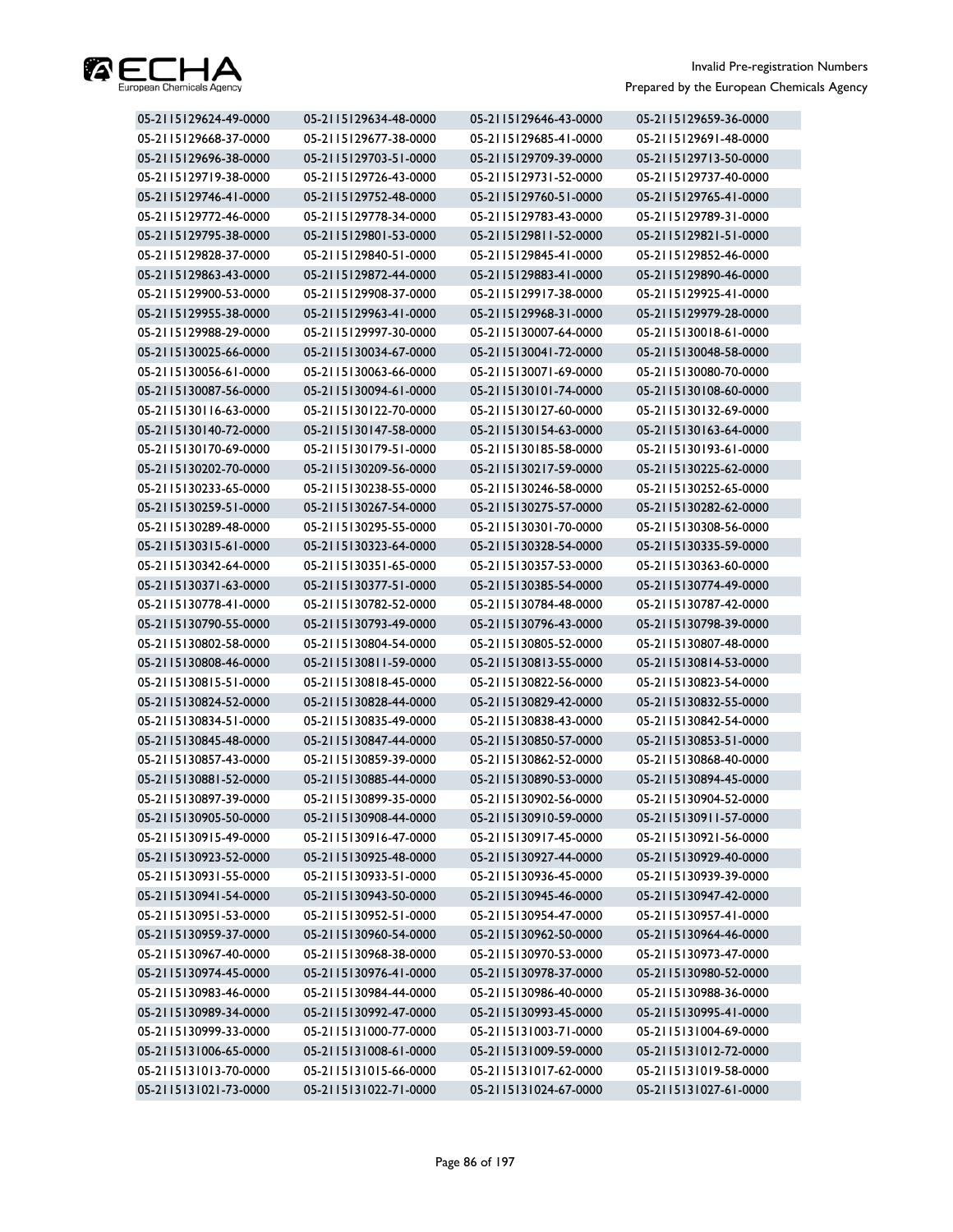

| 05-2115129624-49-0000 | 05-2115129634-48-0000 | 05-2115129646-43-0000 | 05-2115129659-36-0000 |
|-----------------------|-----------------------|-----------------------|-----------------------|
| 05-2115129668-37-0000 | 05-2115129677-38-0000 | 05-2115129685-41-0000 | 05-2115129691-48-0000 |
| 05-2115129696-38-0000 | 05-2115129703-51-0000 | 05-2115129709-39-0000 | 05-2115129713-50-0000 |
| 05-2115129719-38-0000 | 05-2115129726-43-0000 | 05-2115129731-52-0000 | 05-2115129737-40-0000 |
| 05-2115129746-41-0000 | 05-2115129752-48-0000 | 05-2115129760-51-0000 | 05-2115129765-41-0000 |
| 05-2115129772-46-0000 | 05-2115129778-34-0000 | 05-2115129783-43-0000 | 05-2115129789-31-0000 |
| 05-2115129795-38-0000 | 05-2115129801-53-0000 | 05-2115129811-52-0000 | 05-2115129821-51-0000 |
| 05-2115129828-37-0000 | 05-2115129840-51-0000 | 05-2115129845-41-0000 | 05-2115129852-46-0000 |
| 05-2115129863-43-0000 | 05-2115129872-44-0000 | 05-2115129883-41-0000 | 05-2115129890-46-0000 |
| 05-2115129900-53-0000 | 05-2115129908-37-0000 | 05-2115129917-38-0000 | 05-2115129925-41-0000 |
| 05-2115129955-38-0000 | 05-2115129963-41-0000 | 05-2115129968-31-0000 | 05-2115129979-28-0000 |
| 05-2115129988-29-0000 | 05-2115129997-30-0000 | 05-2115130007-64-0000 | 05-2115130018-61-0000 |
| 05-2115130025-66-0000 | 05-2115130034-67-0000 | 05-2115130041-72-0000 | 05-2115130048-58-0000 |
| 05-2115130056-61-0000 | 05-2115130063-66-0000 | 05-2115130071-69-0000 | 05-2115130080-70-0000 |
| 05-2115130087-56-0000 | 05-2115130094-61-0000 | 05-2115130101-74-0000 | 05-2115130108-60-0000 |
| 05-2115130116-63-0000 | 05-2115130122-70-0000 | 05-2115130127-60-0000 | 05-2115130132-69-0000 |
| 05-2115130140-72-0000 | 05-2115130147-58-0000 | 05-2115130154-63-0000 | 05-2115130163-64-0000 |
| 05-2115130170-69-0000 | 05-2115130179-51-0000 | 05-2115130185-58-0000 | 05-2115130193-61-0000 |
| 05-2115130202-70-0000 | 05-2115130209-56-0000 | 05-2115130217-59-0000 | 05-2115130225-62-0000 |
| 05-2115130233-65-0000 | 05-2115130238-55-0000 | 05-2115130246-58-0000 | 05-2115130252-65-0000 |
| 05-2115130259-51-0000 | 05-2115130267-54-0000 | 05-2115130275-57-0000 | 05-2115130282-62-0000 |
| 05-2115130289-48-0000 | 05-2115130295-55-0000 | 05-2115130301-70-0000 | 05-2115130308-56-0000 |
| 05-2115130315-61-0000 | 05-2115130323-64-0000 | 05-2115130328-54-0000 | 05-2115130335-59-0000 |
| 05-2115130342-64-0000 | 05-2115130351-65-0000 | 05-2115130357-53-0000 | 05-2115130363-60-0000 |
| 05-2115130371-63-0000 | 05-2115130377-51-0000 | 05-2115130385-54-0000 | 05-2115130774-49-0000 |
| 05-2115130778-41-0000 | 05-2115130782-52-0000 | 05-2115130784-48-0000 | 05-2115130787-42-0000 |
| 05-2115130790-55-0000 | 05-2115130793-49-0000 | 05-2115130796-43-0000 | 05-2115130798-39-0000 |
| 05-2115130802-58-0000 | 05-2115130804-54-0000 | 05-2115130805-52-0000 | 05-2115130807-48-0000 |
| 05-2115130808-46-0000 | 05-2115130811-59-0000 | 05-2115130813-55-0000 | 05-2115130814-53-0000 |
| 05-2115130815-51-0000 | 05-2115130818-45-0000 | 05-2115130822-56-0000 | 05-2115130823-54-0000 |
| 05-2115130824-52-0000 | 05-2115130828-44-0000 | 05-2115130829-42-0000 | 05-2115130832-55-0000 |
| 05-2115130834-51-0000 | 05-2115130835-49-0000 | 05-2115130838-43-0000 | 05-2115130842-54-0000 |
| 05-2115130845-48-0000 | 05-2115130847-44-0000 | 05-2115130850-57-0000 | 05-2115130853-51-0000 |
| 05-2115130857-43-0000 | 05-2115130859-39-0000 | 05-2115130862-52-0000 | 05-2115130868-40-0000 |
| 05-2115130881-52-0000 | 05-2115130885-44-0000 | 05-2115130890-53-0000 | 05-2115130894-45-0000 |
| 05-2115130897-39-0000 | 05-2115130899-35-0000 | 05-2115130902-56-0000 | 05-2115130904-52-0000 |
| 05-2115130905-50-0000 | 05-2115130908-44-0000 | 05-2115130910-59-0000 | 05-2115130911-57-0000 |
| 05-2115130915-49-0000 | 05-2115130916-47-0000 | 05-2115130917-45-0000 | 05-2115130921-56-0000 |
| 05-2115130923-52-0000 | 05-2115130925-48-0000 | 05-2115130927-44-0000 | 05-2115130929-40-0000 |
| 05-2115130931-55-0000 | 05-2115130933-51-0000 | 05-2115130936-45-0000 | 05-2115130939-39-0000 |
| 05-2115130941-54-0000 | 05-2115130943-50-0000 | 05-2115130945-46-0000 | 05-2115130947-42-0000 |
| 05-2115130951-53-0000 | 05-2115130952-51-0000 | 05-2115130954-47-0000 | 05-2115130957-41-0000 |
| 05-2115130959-37-0000 | 05-2115130960-54-0000 | 05-2115130962-50-0000 | 05-2115130964-46-0000 |
| 05-2115130967-40-0000 | 05-2115130968-38-0000 | 05-2115130970-53-0000 | 05-2115130973-47-0000 |
| 05-2115130974-45-0000 | 05-2115130976-41-0000 | 05-2115130978-37-0000 | 05-2115130980-52-0000 |
| 05-2115130983-46-0000 | 05-2115130984-44-0000 | 05-2115130986-40-0000 | 05-2115130988-36-0000 |
| 05-2115130989-34-0000 | 05-2115130992-47-0000 | 05-2115130993-45-0000 | 05-2115130995-41-0000 |
| 05-2115130999-33-0000 | 05-2115131000-77-0000 | 05-2115131003-71-0000 | 05-2115131004-69-0000 |
| 05-2115131006-65-0000 | 05-2115131008-61-0000 | 05-2115131009-59-0000 | 05-2115131012-72-0000 |
| 05-2115131013-70-0000 | 05-2115131015-66-0000 | 05-2115131017-62-0000 | 05-2115131019-58-0000 |
| 05-2115131021-73-0000 | 05-2115131022-71-0000 | 05-2115131024-67-0000 | 05-2115131027-61-0000 |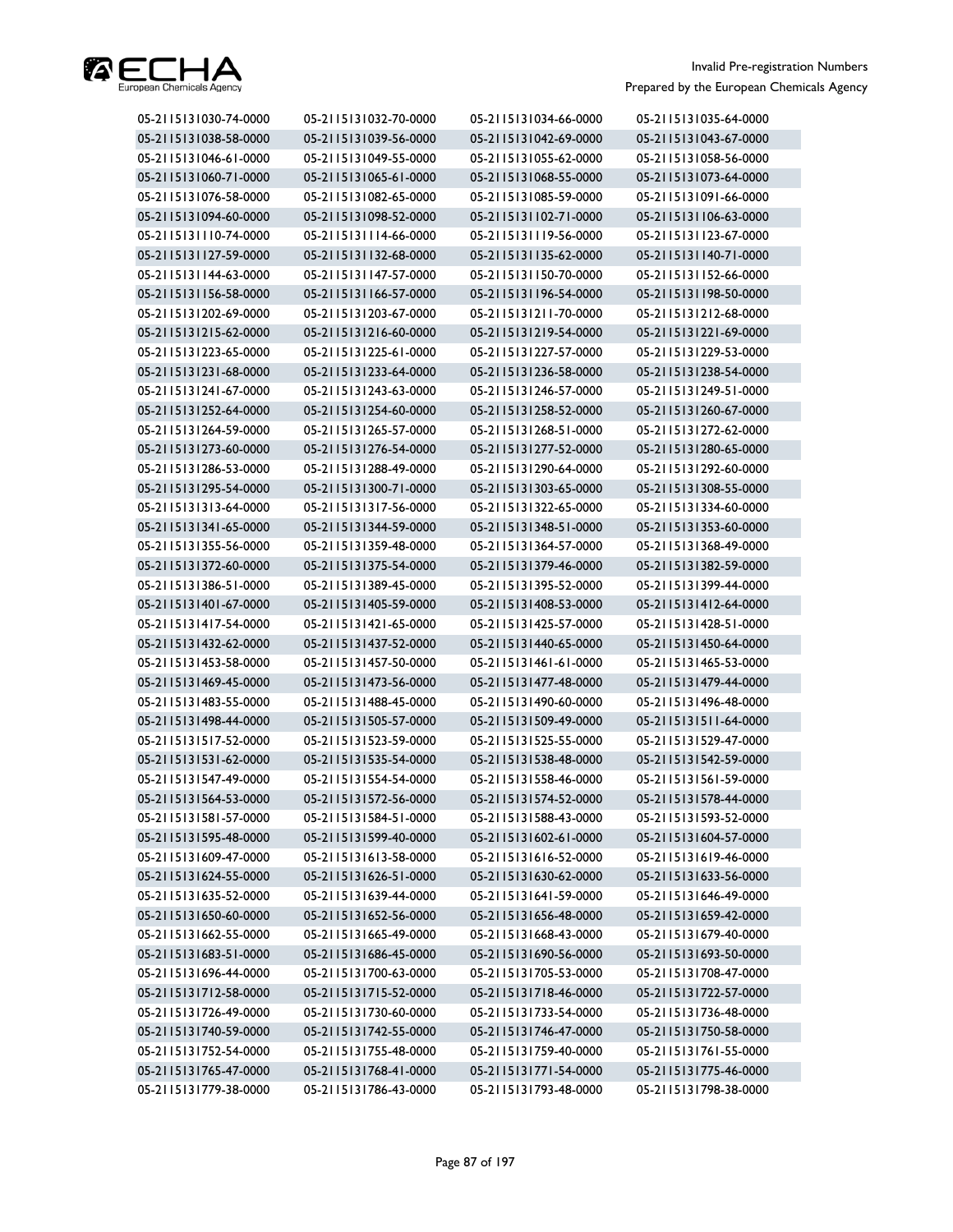

| 05-2115131030-74-0000 | 05-2115131032-70-0000 | 05-2115131034-66-0000 | 05-2115131035-64-0000 |
|-----------------------|-----------------------|-----------------------|-----------------------|
| 05-2115131038-58-0000 | 05-2115131039-56-0000 | 05-2115131042-69-0000 | 05-2115131043-67-0000 |
| 05-2115131046-61-0000 | 05-2115131049-55-0000 | 05-2115131055-62-0000 | 05-2115131058-56-0000 |
| 05-2115131060-71-0000 | 05-2115131065-61-0000 | 05-2115131068-55-0000 | 05-2115131073-64-0000 |
| 05-2115131076-58-0000 | 05-2115131082-65-0000 | 05-2115131085-59-0000 | 05-2115131091-66-0000 |
| 05-2115131094-60-0000 | 05-2115131098-52-0000 | 05-2115131102-71-0000 | 05-2115131106-63-0000 |
| 05-2115131110-74-0000 | 05-2115131114-66-0000 | 05-2115131119-56-0000 | 05-2115131123-67-0000 |
| 05-2115131127-59-0000 | 05-2115131132-68-0000 | 05-2115131135-62-0000 | 05-2115131140-71-0000 |
| 05-2115131144-63-0000 | 05-2115131147-57-0000 | 05-2115131150-70-0000 | 05-2115131152-66-0000 |
| 05-2115131156-58-0000 | 05-2115131166-57-0000 | 05-2115131196-54-0000 | 05-2115131198-50-0000 |
| 05-2115131202-69-0000 | 05-2115131203-67-0000 | 05-2115131211-70-0000 | 05-2115131212-68-0000 |
| 05-2115131215-62-0000 | 05-2115131216-60-0000 | 05-2115131219-54-0000 | 05-2115131221-69-0000 |
| 05-2115131223-65-0000 | 05-2115131225-61-0000 | 05-2115131227-57-0000 | 05-2115131229-53-0000 |
| 05-2115131231-68-0000 | 05-2115131233-64-0000 | 05-2115131236-58-0000 | 05-2115131238-54-0000 |
| 05-2115131241-67-0000 | 05-2115131243-63-0000 | 05-2115131246-57-0000 | 05-2115131249-51-0000 |
| 05-2115131252-64-0000 | 05-2115131254-60-0000 | 05-2115131258-52-0000 | 05-2115131260-67-0000 |
| 05-2115131264-59-0000 | 05-2115131265-57-0000 | 05-2115131268-51-0000 | 05-2115131272-62-0000 |
| 05-2115131273-60-0000 | 05-2115131276-54-0000 | 05-2115131277-52-0000 | 05-2115131280-65-0000 |
| 05-2115131286-53-0000 | 05-2115131288-49-0000 | 05-2115131290-64-0000 | 05-2115131292-60-0000 |
| 05-2115131295-54-0000 | 05-2115131300-71-0000 | 05-2115131303-65-0000 | 05-2115131308-55-0000 |
| 05-2115131313-64-0000 | 05-2115131317-56-0000 | 05-2115131322-65-0000 | 05-2115131334-60-0000 |
| 05-2115131341-65-0000 | 05-2115131344-59-0000 | 05-2115131348-51-0000 | 05-2115131353-60-0000 |
| 05-2115131355-56-0000 | 05-2115131359-48-0000 | 05-2115131364-57-0000 | 05-2115131368-49-0000 |
| 05-2115131372-60-0000 | 05-2115131375-54-0000 | 05-2115131379-46-0000 | 05-2115131382-59-0000 |
| 05-2115131386-51-0000 | 05-2115131389-45-0000 | 05-2115131395-52-0000 | 05-2115131399-44-0000 |
| 05-2115131401-67-0000 | 05-2115131405-59-0000 | 05-2115131408-53-0000 | 05-2115131412-64-0000 |
| 05-2115131417-54-0000 | 05-2115131421-65-0000 | 05-2115131425-57-0000 | 05-2115131428-51-0000 |
| 05-2115131432-62-0000 | 05-2115131437-52-0000 | 05-2115131440-65-0000 | 05-2115131450-64-0000 |
| 05-2115131453-58-0000 | 05-2115131457-50-0000 | 05-2115131461-61-0000 | 05-2115131465-53-0000 |
| 05-2115131469-45-0000 | 05-2115131473-56-0000 | 05-2115131477-48-0000 | 05-2115131479-44-0000 |
| 05-2115131483-55-0000 | 05-2115131488-45-0000 | 05-2115131490-60-0000 | 05-2115131496-48-0000 |
| 05-2115131498-44-0000 | 05-2115131505-57-0000 | 05-2115131509-49-0000 | 05-2115131511-64-0000 |
| 05-2115131517-52-0000 | 05-2115131523-59-0000 | 05-2115131525-55-0000 | 05-2115131529-47-0000 |
| 05-2115131531-62-0000 | 05-2115131535-54-0000 | 05-2115131538-48-0000 | 05-2115131542-59-0000 |
| 05-2115131547-49-0000 | 05-2115131554-54-0000 | 05-2115131558-46-0000 | 05-2115131561-59-0000 |
| 05-2115131564-53-0000 | 05-2115131572-56-0000 | 05-2115131574-52-0000 | 05-2115131578-44-0000 |
| 05-2115131581-57-0000 | 05-2115131584-51-0000 | 05-2115131588-43-0000 | 05-2115131593-52-0000 |
| 05-2115131595-48-0000 | 05-2115131599-40-0000 | 05-2115131602-61-0000 | 05-2115131604-57-0000 |
| 05-2115131609-47-0000 | 05-2115131613-58-0000 | 05-2115131616-52-0000 | 05-2115131619-46-0000 |
| 05-2115131624-55-0000 | 05-2115131626-51-0000 | 05-2115131630-62-0000 | 05-2115131633-56-0000 |
| 05-2115131635-52-0000 | 05-2115131639-44-0000 | 05-2115131641-59-0000 | 05-2115131646-49-0000 |
| 05-2115131650-60-0000 | 05-2115131652-56-0000 | 05-2115131656-48-0000 | 05-2115131659-42-0000 |
| 05-2115131662-55-0000 | 05-2115131665-49-0000 | 05-2115131668-43-0000 | 05-2115131679-40-0000 |
| 05-2115131683-51-0000 | 05-2115131686-45-0000 | 05-2115131690-56-0000 | 05-2115131693-50-0000 |
| 05-2115131696-44-0000 | 05-2115131700-63-0000 | 05-2115131705-53-0000 | 05-2115131708-47-0000 |
| 05-2115131712-58-0000 | 05-2115131715-52-0000 | 05-2115131718-46-0000 | 05-2115131722-57-0000 |
| 05-2115131726-49-0000 | 05-2115131730-60-0000 | 05-2115131733-54-0000 | 05-2115131736-48-0000 |
| 05-2115131740-59-0000 | 05-2115131742-55-0000 | 05-2115131746-47-0000 | 05-2115131750-58-0000 |
| 05-2115131752-54-0000 | 05-2115131755-48-0000 | 05-2115131759-40-0000 | 05-2115131761-55-0000 |
| 05-2115131765-47-0000 | 05-2115131768-41-0000 | 05-2115131771-54-0000 | 05-2115131775-46-0000 |
| 05-2115131779-38-0000 | 05-2115131786-43-0000 | 05-2115131793-48-0000 | 05-2115131798-38-0000 |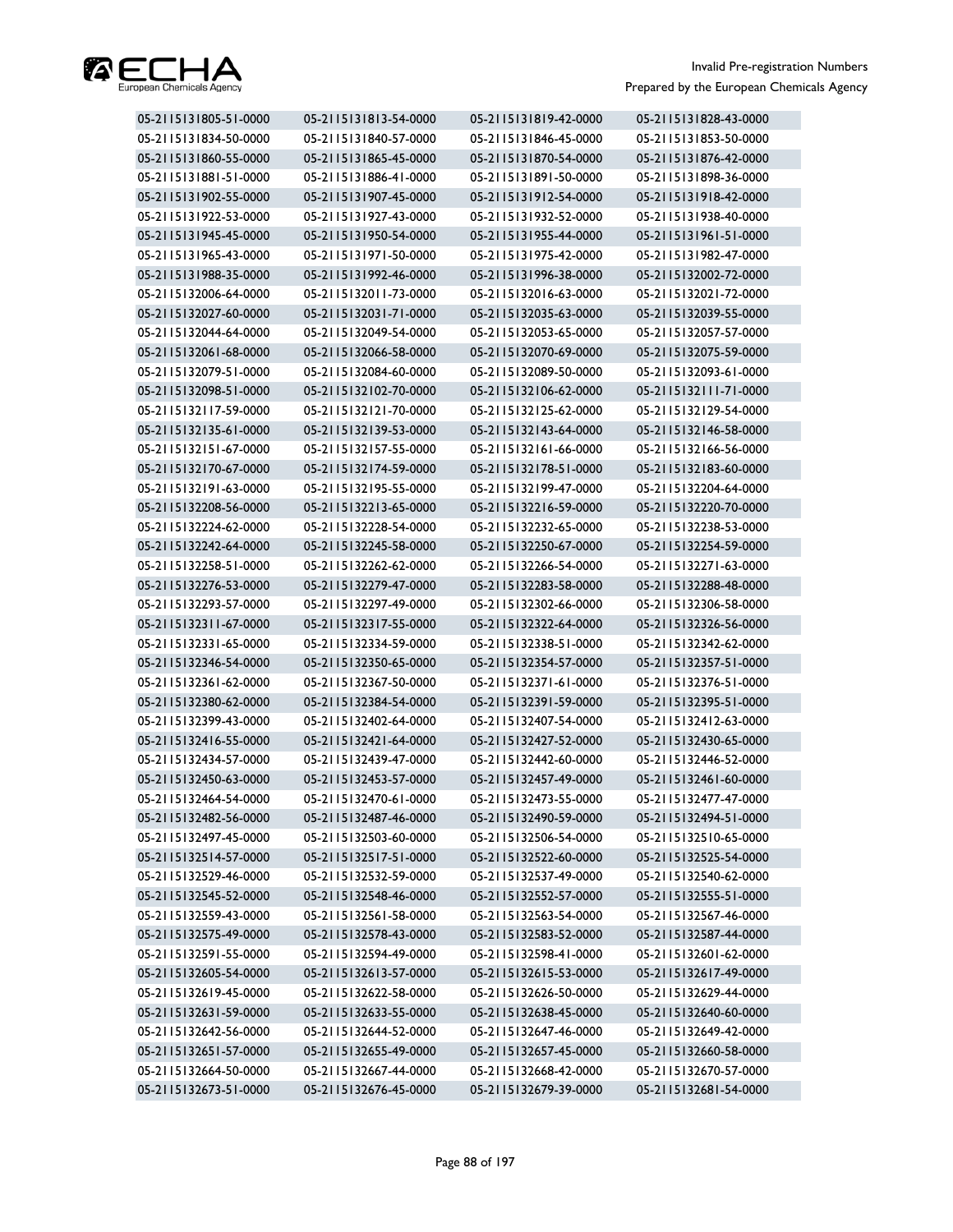

| 05-2115131805-51-0000 | 05-2115131813-54-0000 | 05-2115131819-42-0000 | 05-2115131828-43-0000 |
|-----------------------|-----------------------|-----------------------|-----------------------|
| 05-2115131834-50-0000 | 05-2115131840-57-0000 | 05-2115131846-45-0000 | 05-2115131853-50-0000 |
| 05-2115131860-55-0000 | 05-2115131865-45-0000 | 05-2115131870-54-0000 | 05-2115131876-42-0000 |
| 05-2115131881-51-0000 | 05-2115131886-41-0000 | 05-2115131891-50-0000 | 05-2115131898-36-0000 |
| 05-2115131902-55-0000 | 05-2115131907-45-0000 | 05-2115131912-54-0000 | 05-2115131918-42-0000 |
| 05-2115131922-53-0000 | 05-2115131927-43-0000 | 05-2115131932-52-0000 | 05-2115131938-40-0000 |
| 05-2115131945-45-0000 | 05-2115131950-54-0000 | 05-2115131955-44-0000 | 05-2115131961-51-0000 |
| 05-2115131965-43-0000 | 05-2115131971-50-0000 | 05-2115131975-42-0000 | 05-2115131982-47-0000 |
| 05-2115131988-35-0000 | 05-2115131992-46-0000 | 05-2115131996-38-0000 | 05-2115132002-72-0000 |
| 05-2115132006-64-0000 | 05-2115132011-73-0000 | 05-2115132016-63-0000 | 05-2115132021-72-0000 |
| 05-2115132027-60-0000 | 05-2115132031-71-0000 | 05-2115132035-63-0000 | 05-2115132039-55-0000 |
| 05-2115132044-64-0000 | 05-2115132049-54-0000 | 05-2115132053-65-0000 | 05-2115132057-57-0000 |
| 05-2115132061-68-0000 | 05-2115132066-58-0000 | 05-2115132070-69-0000 | 05-2115132075-59-0000 |
| 05-2115132079-51-0000 | 05-2115132084-60-0000 | 05-2115132089-50-0000 | 05-2115132093-61-0000 |
| 05-2115132098-51-0000 | 05-2115132102-70-0000 | 05-2115132106-62-0000 | 05-2115132111-71-0000 |
| 05-2115132117-59-0000 | 05-2115132121-70-0000 | 05-2115132125-62-0000 | 05-2115132129-54-0000 |
| 05-2115132135-61-0000 | 05-2115132139-53-0000 | 05-2115132143-64-0000 | 05-2115132146-58-0000 |
| 05-2115132151-67-0000 | 05-2115132157-55-0000 | 05-2115132161-66-0000 | 05-2115132166-56-0000 |
| 05-2115132170-67-0000 | 05-2115132174-59-0000 | 05-2115132178-51-0000 | 05-2115132183-60-0000 |
| 05-2115132191-63-0000 | 05-2115132195-55-0000 | 05-2115132199-47-0000 | 05-2115132204-64-0000 |
| 05-2115132208-56-0000 | 05-2115132213-65-0000 | 05-2115132216-59-0000 | 05-2115132220-70-0000 |
| 05-2115132224-62-0000 | 05-2115132228-54-0000 | 05-2115132232-65-0000 | 05-2115132238-53-0000 |
| 05-2115132242-64-0000 | 05-2115132245-58-0000 | 05-2115132250-67-0000 | 05-2115132254-59-0000 |
| 05-2115132258-51-0000 | 05-2115132262-62-0000 | 05-2115132266-54-0000 | 05-2115132271-63-0000 |
| 05-2115132276-53-0000 | 05-2115132279-47-0000 | 05-2115132283-58-0000 | 05-2115132288-48-0000 |
| 05-2115132293-57-0000 | 05-2115132297-49-0000 | 05-2115132302-66-0000 | 05-2115132306-58-0000 |
| 05-2115132311-67-0000 | 05-2115132317-55-0000 | 05-2115132322-64-0000 | 05-2115132326-56-0000 |
| 05-2115132331-65-0000 | 05-2115132334-59-0000 | 05-2115132338-51-0000 | 05-2115132342-62-0000 |
| 05-2115132346-54-0000 | 05-2115132350-65-0000 | 05-2115132354-57-0000 | 05-2115132357-51-0000 |
| 05-2115132361-62-0000 | 05-2115132367-50-0000 | 05-2115132371-61-0000 | 05-2115132376-51-0000 |
| 05-2115132380-62-0000 | 05-2115132384-54-0000 | 05-2115132391-59-0000 | 05-2115132395-51-0000 |
| 05-2115132399-43-0000 | 05-2115132402-64-0000 | 05-2115132407-54-0000 | 05-2115132412-63-0000 |
| 05-2115132416-55-0000 | 05-2115132421-64-0000 | 05-2115132427-52-0000 | 05-2115132430-65-0000 |
| 05-2115132434-57-0000 | 05-2115132439-47-0000 | 05-2115132442-60-0000 | 05-2115132446-52-0000 |
| 05-2115132450-63-0000 | 05-2115132453-57-0000 | 05-2115132457-49-0000 | 05-2115132461-60-0000 |
| 05-2115132464-54-0000 | 05-2115132470-61-0000 | 05-2115132473-55-0000 | 05-2115132477-47-0000 |
| 05-2115132482-56-0000 | 05-2115132487-46-0000 | 05-2115132490-59-0000 | 05-2115132494-51-0000 |
| 05-2115132497-45-0000 | 05-2115132503-60-0000 | 05-2115132506-54-0000 | 05-2115132510-65-0000 |
| 05-2115132514-57-0000 | 05-2115132517-51-0000 | 05-2115132522-60-0000 | 05-2115132525-54-0000 |
| 05-2115132529-46-0000 | 05-2115132532-59-0000 | 05-2115132537-49-0000 | 05-2115132540-62-0000 |
| 05-2115132545-52-0000 | 05-2115132548-46-0000 | 05-2115132552-57-0000 | 05-2115132555-51-0000 |
| 05-2115132559-43-0000 | 05-2115132561-58-0000 | 05-2115132563-54-0000 | 05-2115132567-46-0000 |
| 05-2115132575-49-0000 | 05-2115132578-43-0000 | 05-2115132583-52-0000 | 05-2115132587-44-0000 |
| 05-2115132591-55-0000 | 05-2115132594-49-0000 | 05-2115132598-41-0000 | 05-2115132601-62-0000 |
| 05-2115132605-54-0000 | 05-2115132613-57-0000 | 05-2115132615-53-0000 | 05-2115132617-49-0000 |
| 05-2115132619-45-0000 | 05-2115132622-58-0000 | 05-2115132626-50-0000 | 05-2115132629-44-0000 |
| 05-2115132631-59-0000 | 05-2115132633-55-0000 | 05-2115132638-45-0000 | 05-2115132640-60-0000 |
| 05-2115132642-56-0000 | 05-2115132644-52-0000 | 05-2115132647-46-0000 | 05-2115132649-42-0000 |
| 05-2115132651-57-0000 | 05-2115132655-49-0000 | 05-2115132657-45-0000 | 05-2115132660-58-0000 |
| 05-2115132664-50-0000 | 05-2115132667-44-0000 | 05-2115132668-42-0000 | 05-2115132670-57-0000 |
| 05-2115132673-51-0000 | 05-2115132676-45-0000 | 05-2115132679-39-0000 | 05-2115132681-54-0000 |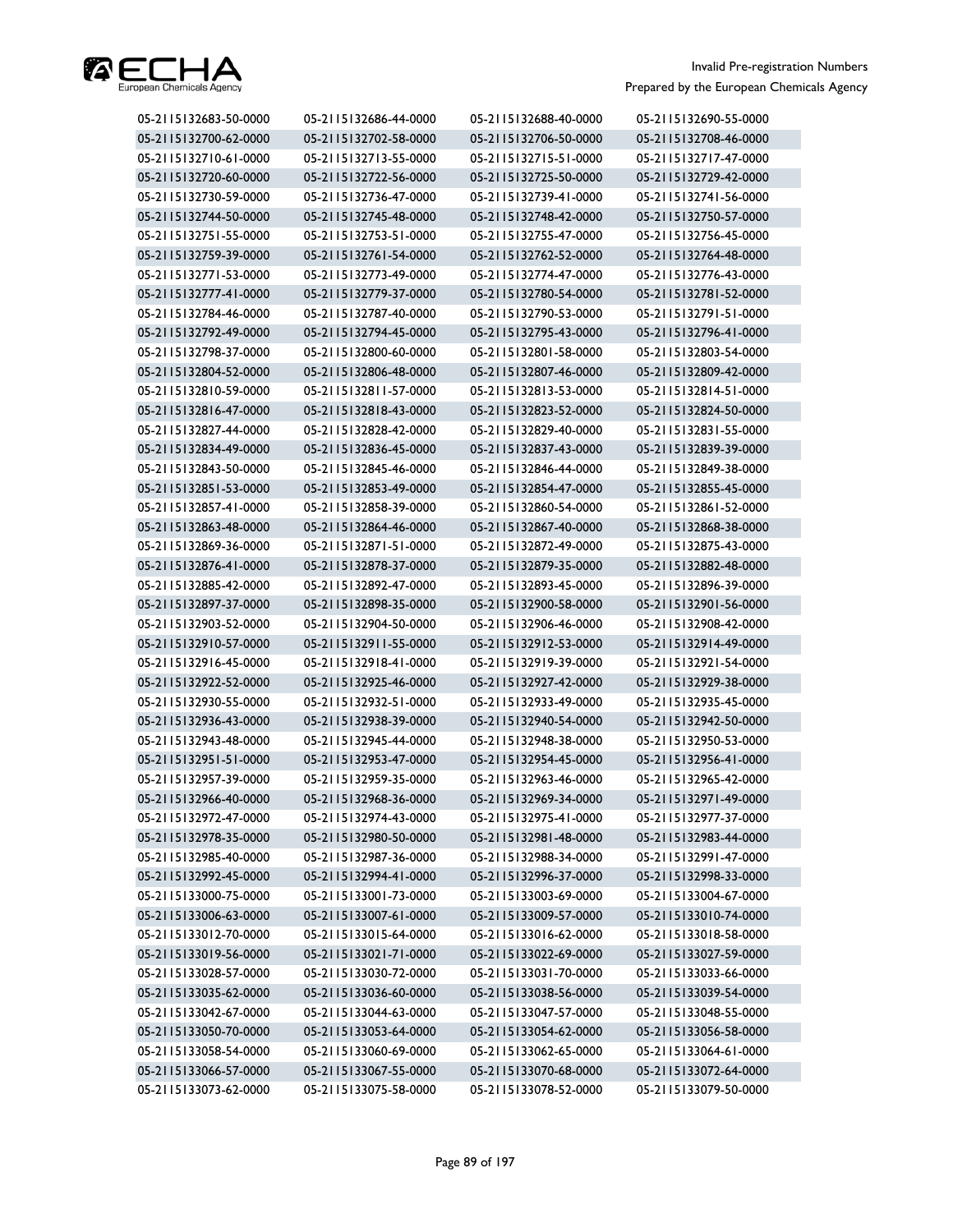

| 05-2115132683-50-0000 | 05-2115132686-44-0000 | 05-2115132688-40-0000 | 05-2115132690-55-0000 |
|-----------------------|-----------------------|-----------------------|-----------------------|
| 05-2115132700-62-0000 | 05-2115132702-58-0000 | 05-2115132706-50-0000 | 05-2115132708-46-0000 |
| 05-2115132710-61-0000 | 05-2115132713-55-0000 | 05-2115132715-51-0000 | 05-2115132717-47-0000 |
| 05-2115132720-60-0000 | 05-2115132722-56-0000 | 05-2115132725-50-0000 | 05-2115132729-42-0000 |
| 05-2115132730-59-0000 | 05-2115132736-47-0000 | 05-2115132739-41-0000 | 05-2115132741-56-0000 |
| 05-2115132744-50-0000 | 05-2115132745-48-0000 | 05-2115132748-42-0000 | 05-2115132750-57-0000 |
| 05-2115132751-55-0000 | 05-2115132753-51-0000 | 05-2115132755-47-0000 | 05-2115132756-45-0000 |
| 05-2115132759-39-0000 | 05-2115132761-54-0000 | 05-2115132762-52-0000 | 05-2115132764-48-0000 |
| 05-2115132771-53-0000 | 05-2115132773-49-0000 | 05-2115132774-47-0000 | 05-2115132776-43-0000 |
| 05-2115132777-41-0000 | 05-2115132779-37-0000 | 05-2115132780-54-0000 | 05-2115132781-52-0000 |
| 05-2115132784-46-0000 | 05-2115132787-40-0000 | 05-2115132790-53-0000 | 05-2115132791-51-0000 |
| 05-2115132792-49-0000 | 05-2115132794-45-0000 | 05-2115132795-43-0000 | 05-2115132796-41-0000 |
| 05-2115132798-37-0000 | 05-2115132800-60-0000 | 05-2115132801-58-0000 | 05-2115132803-54-0000 |
| 05-2115132804-52-0000 | 05-2115132806-48-0000 | 05-2115132807-46-0000 | 05-2115132809-42-0000 |
| 05-2115132810-59-0000 | 05-2115132811-57-0000 | 05-2115132813-53-0000 | 05-2115132814-51-0000 |
| 05-2115132816-47-0000 | 05-2115132818-43-0000 | 05-2115132823-52-0000 | 05-2115132824-50-0000 |
| 05-2115132827-44-0000 | 05-2115132828-42-0000 | 05-2115132829-40-0000 | 05-2115132831-55-0000 |
| 05-2115132834-49-0000 | 05-2115132836-45-0000 | 05-2115132837-43-0000 | 05-2115132839-39-0000 |
| 05-2115132843-50-0000 | 05-2115132845-46-0000 | 05-2115132846-44-0000 | 05-2115132849-38-0000 |
| 05-2115132851-53-0000 | 05-2115132853-49-0000 | 05-2115132854-47-0000 | 05-2115132855-45-0000 |
| 05-2115132857-41-0000 | 05-2115132858-39-0000 | 05-2115132860-54-0000 | 05-2115132861-52-0000 |
| 05-2115132863-48-0000 | 05-2115132864-46-0000 | 05-2115132867-40-0000 | 05-2115132868-38-0000 |
| 05-2115132869-36-0000 | 05-2115132871-51-0000 | 05-2115132872-49-0000 | 05-2115132875-43-0000 |
| 05-2115132876-41-0000 | 05-2115132878-37-0000 | 05-2115132879-35-0000 | 05-2115132882-48-0000 |
| 05-2115132885-42-0000 | 05-2115132892-47-0000 | 05-2115132893-45-0000 | 05-2115132896-39-0000 |
| 05-2115132897-37-0000 | 05-2115132898-35-0000 | 05-2115132900-58-0000 | 05-2115132901-56-0000 |
| 05-2115132903-52-0000 | 05-2115132904-50-0000 | 05-2115132906-46-0000 | 05-2115132908-42-0000 |
| 05-2115132910-57-0000 | 05-2115132911-55-0000 | 05-2115132912-53-0000 | 05-2115132914-49-0000 |
| 05-2115132916-45-0000 | 05-2115132918-41-0000 | 05-2115132919-39-0000 | 05-2115132921-54-0000 |
| 05-2115132922-52-0000 | 05-2115132925-46-0000 | 05-2115132927-42-0000 | 05-2115132929-38-0000 |
| 05-2115132930-55-0000 | 05-2115132932-51-0000 | 05-2115132933-49-0000 | 05-2115132935-45-0000 |
| 05-2115132936-43-0000 | 05-2115132938-39-0000 | 05-2115132940-54-0000 | 05-2115132942-50-0000 |
| 05-2115132943-48-0000 | 05-2115132945-44-0000 | 05-2115132948-38-0000 | 05-2115132950-53-0000 |
| 05-2115132951-51-0000 | 05-2115132953-47-0000 | 05-2115132954-45-0000 | 05-2115132956-41-0000 |
| 05-2115132957-39-0000 | 05-2115132959-35-0000 | 05-2115132963-46-0000 | 05-2115132965-42-0000 |
| 05-2115132966-40-0000 | 05-2115132968-36-0000 | 05-2115132969-34-0000 | 05-2115132971-49-0000 |
| 05-2115132972-47-0000 | 05-2115132974-43-0000 | 05-2115132975-41-0000 | 05-2115132977-37-0000 |
| 05-2115132978-35-0000 | 05-2115132980-50-0000 | 05-2115132981-48-0000 | 05-2115132983-44-0000 |
| 05-2115132985-40-0000 | 05-2115132987-36-0000 | 05-2115132988-34-0000 | 05-2115132991-47-0000 |
| 05-2115132992-45-0000 | 05-2115132994-41-0000 | 05-2115132996-37-0000 | 05-2115132998-33-0000 |
| 05-2115133000-75-0000 | 05-2115133001-73-0000 | 05-2115133003-69-0000 | 05-2115133004-67-0000 |
| 05-2115133006-63-0000 | 05-2115133007-61-0000 | 05-2115133009-57-0000 | 05-2115133010-74-0000 |
| 05-2115133012-70-0000 | 05-2115133015-64-0000 | 05-2115133016-62-0000 | 05-2115133018-58-0000 |
| 05-2115133019-56-0000 | 05-2115133021-71-0000 | 05-2115133022-69-0000 | 05-2115133027-59-0000 |
| 05-2115133028-57-0000 | 05-2115133030-72-0000 | 05-2115133031-70-0000 | 05-2115133033-66-0000 |
| 05-2115133035-62-0000 | 05-2115133036-60-0000 | 05-2115133038-56-0000 | 05-2115133039-54-0000 |
| 05-2115133042-67-0000 | 05-2115133044-63-0000 | 05-2115133047-57-0000 | 05-2115133048-55-0000 |
| 05-2115133050-70-0000 | 05-2115133053-64-0000 | 05-2115133054-62-0000 | 05-2115133056-58-0000 |
| 05-2115133058-54-0000 | 05-2115133060-69-0000 | 05-2115133062-65-0000 | 05-2115133064-61-0000 |
| 05-2115133066-57-0000 | 05-2115133067-55-0000 | 05-2115133070-68-0000 | 05-2115133072-64-0000 |
| 05-2115133073-62-0000 | 05-2115133075-58-0000 | 05-2115133078-52-0000 | 05-2115133079-50-0000 |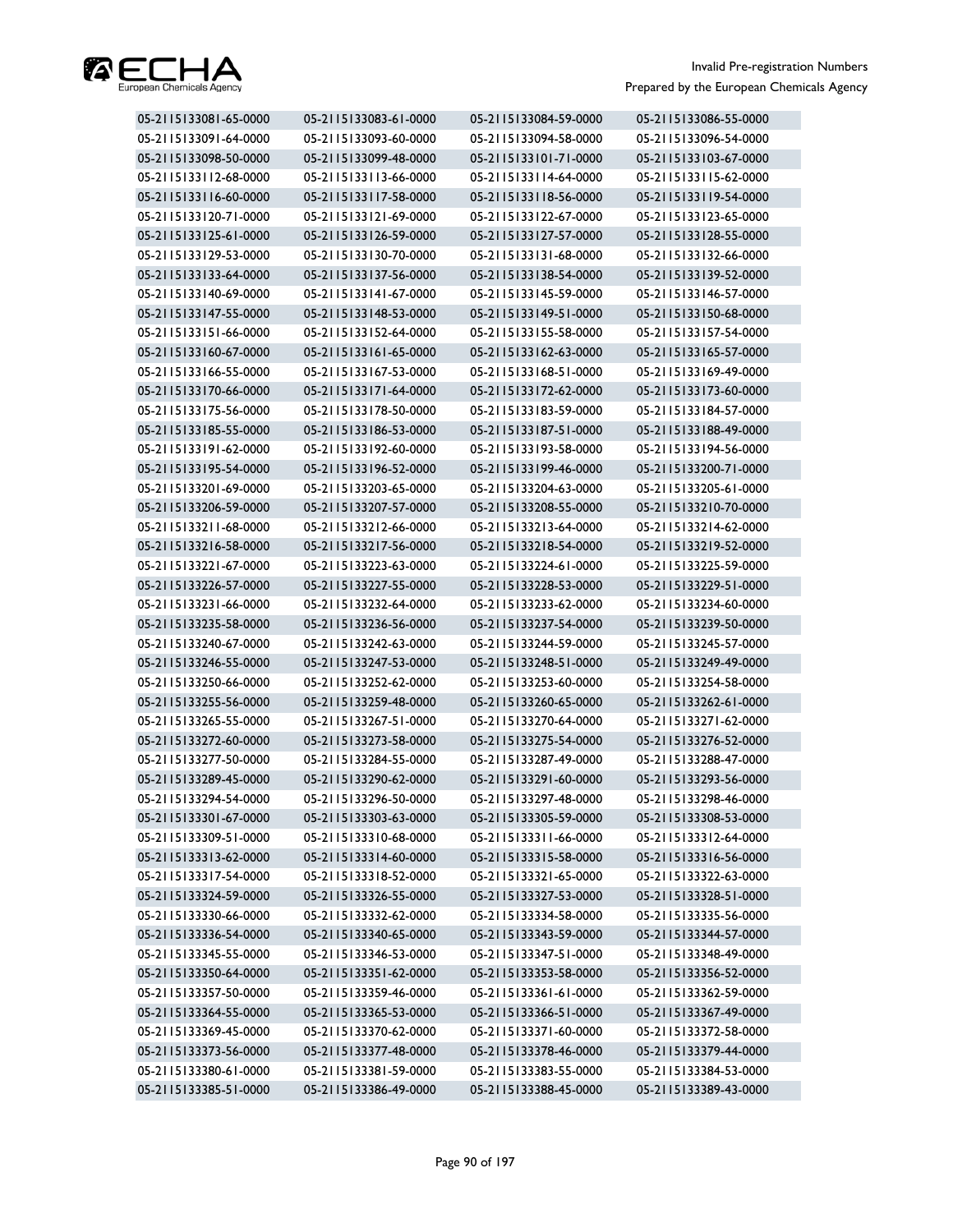

| 05-2115133081-65-0000 | 05-2115133083-61-0000 | 05-2115133084-59-0000 | 05-2115133086-55-0000 |
|-----------------------|-----------------------|-----------------------|-----------------------|
| 05-2115133091-64-0000 | 05-2115133093-60-0000 | 05-2115133094-58-0000 | 05-2115133096-54-0000 |
| 05-2115133098-50-0000 | 05-2115133099-48-0000 | 05-2115133101-71-0000 | 05-2115133103-67-0000 |
| 05-2115133112-68-0000 | 05-2115133113-66-0000 | 05-2115133114-64-0000 | 05-2115133115-62-0000 |
| 05-2115133116-60-0000 | 05-2115133117-58-0000 | 05-2115133118-56-0000 | 05-2115133119-54-0000 |
| 05-2115133120-71-0000 | 05-2115133121-69-0000 | 05-2115133122-67-0000 | 05-2115133123-65-0000 |
| 05-2115133125-61-0000 | 05-2115133126-59-0000 | 05-2115133127-57-0000 | 05-2115133128-55-0000 |
| 05-2115133129-53-0000 | 05-2115133130-70-0000 | 05-2115133131-68-0000 | 05-2115133132-66-0000 |
| 05-2115133133-64-0000 | 05-2115133137-56-0000 | 05-2115133138-54-0000 | 05-2115133139-52-0000 |
| 05-2115133140-69-0000 | 05-2115133141-67-0000 | 05-2115133145-59-0000 | 05-2115133146-57-0000 |
| 05-2115133147-55-0000 | 05-2115133148-53-0000 | 05-2115133149-51-0000 | 05-2115133150-68-0000 |
| 05-2115133151-66-0000 | 05-2115133152-64-0000 | 05-2115133155-58-0000 | 05-2115133157-54-0000 |
| 05-2115133160-67-0000 | 05-2115133161-65-0000 | 05-2115133162-63-0000 | 05-2115133165-57-0000 |
| 05-2115133166-55-0000 | 05-2115133167-53-0000 | 05-2115133168-51-0000 | 05-2115133169-49-0000 |
| 05-2115133170-66-0000 | 05-2115133171-64-0000 | 05-2115133172-62-0000 | 05-2115133173-60-0000 |
| 05-2115133175-56-0000 | 05-2115133178-50-0000 | 05-2115133183-59-0000 | 05-2115133184-57-0000 |
| 05-2115133185-55-0000 | 05-2115133186-53-0000 | 05-2115133187-51-0000 | 05-2115133188-49-0000 |
| 05-2115133191-62-0000 | 05-2115133192-60-0000 | 05-2115133193-58-0000 | 05-2115133194-56-0000 |
| 05-2115133195-54-0000 | 05-2115133196-52-0000 | 05-2115133199-46-0000 | 05-2115133200-71-0000 |
| 05-2115133201-69-0000 | 05-2115133203-65-0000 | 05-2115133204-63-0000 | 05-2115133205-61-0000 |
| 05-2115133206-59-0000 | 05-2115133207-57-0000 | 05-2115133208-55-0000 | 05-2115133210-70-0000 |
| 05-2115133211-68-0000 | 05-2115133212-66-0000 | 05-2115133213-64-0000 | 05-2115133214-62-0000 |
| 05-2115133216-58-0000 | 05-2115133217-56-0000 | 05-2115133218-54-0000 | 05-2115133219-52-0000 |
| 05-2115133221-67-0000 | 05-2115133223-63-0000 | 05-2115133224-61-0000 | 05-2115133225-59-0000 |
| 05-2115133226-57-0000 | 05-2115133227-55-0000 | 05-2115133228-53-0000 | 05-2115133229-51-0000 |
| 05-2115133231-66-0000 | 05-2115133232-64-0000 | 05-2115133233-62-0000 | 05-2115133234-60-0000 |
| 05-2115133235-58-0000 | 05-2115133236-56-0000 | 05-2115133237-54-0000 | 05-2115133239-50-0000 |
| 05-2115133240-67-0000 | 05-2115133242-63-0000 | 05-2115133244-59-0000 | 05-2115133245-57-0000 |
| 05-2115133246-55-0000 | 05-2115133247-53-0000 | 05-2115133248-51-0000 | 05-2115133249-49-0000 |
| 05-2115133250-66-0000 | 05-2115133252-62-0000 | 05-2115133253-60-0000 | 05-2115133254-58-0000 |
| 05-2115133255-56-0000 | 05-2115133259-48-0000 | 05-2115133260-65-0000 | 05-2115133262-61-0000 |
| 05-2115133265-55-0000 | 05-2115133267-51-0000 | 05-2115133270-64-0000 | 05-2115133271-62-0000 |
| 05-2115133272-60-0000 | 05-2115133273-58-0000 | 05-2115133275-54-0000 | 05-2115133276-52-0000 |
| 05-2115133277-50-0000 | 05-2115133284-55-0000 | 05-2115133287-49-0000 | 05-2115133288-47-0000 |
| 05-2115133289-45-0000 | 05-2115133290-62-0000 | 05-2115133291-60-0000 | 05-2115133293-56-0000 |
| 05-2115133294-54-0000 | 05-2115133296-50-0000 | 05-2115133297-48-0000 | 05-2115133298-46-0000 |
| 05-2115133301-67-0000 | 05-2115133303-63-0000 | 05-2115133305-59-0000 | 05-2115133308-53-0000 |
| 05-2115133309-51-0000 | 05-2115133310-68-0000 | 05-2115133311-66-0000 | 05-2115133312-64-0000 |
| 05-2115133313-62-0000 | 05-2115133314-60-0000 | 05-2115133315-58-0000 | 05-2115133316-56-0000 |
| 05-2115133317-54-0000 | 05-2115133318-52-0000 | 05-2115133321-65-0000 | 05-2115133322-63-0000 |
| 05-2115133324-59-0000 | 05-2115133326-55-0000 | 05-2115133327-53-0000 | 05-2115133328-51-0000 |
| 05-2115133330-66-0000 | 05-2115133332-62-0000 | 05-2115133334-58-0000 | 05-2115133335-56-0000 |
| 05-2115133336-54-0000 | 05-2115133340-65-0000 | 05-2115133343-59-0000 | 05-2115133344-57-0000 |
| 05-2115133345-55-0000 | 05-2115133346-53-0000 | 05-2115133347-51-0000 | 05-2115133348-49-0000 |
| 05-2115133350-64-0000 | 05-2115133351-62-0000 | 05-2115133353-58-0000 | 05-2115133356-52-0000 |
| 05-2115133357-50-0000 | 05-2115133359-46-0000 | 05-2115133361-61-0000 | 05-2115133362-59-0000 |
| 05-2115133364-55-0000 | 05-2115133365-53-0000 | 05-2115133366-51-0000 | 05-2115133367-49-0000 |
| 05-2115133369-45-0000 | 05-2115133370-62-0000 | 05-2115133371-60-0000 | 05-2115133372-58-0000 |
| 05-2115133373-56-0000 | 05-2115133377-48-0000 | 05-2115133378-46-0000 | 05-2115133379-44-0000 |
| 05-2115133380-61-0000 | 05-2115133381-59-0000 | 05-2115133383-55-0000 | 05-2115133384-53-0000 |
| 05-2115133385-51-0000 | 05-2115133386-49-0000 | 05-2115133388-45-0000 | 05-2115133389-43-0000 |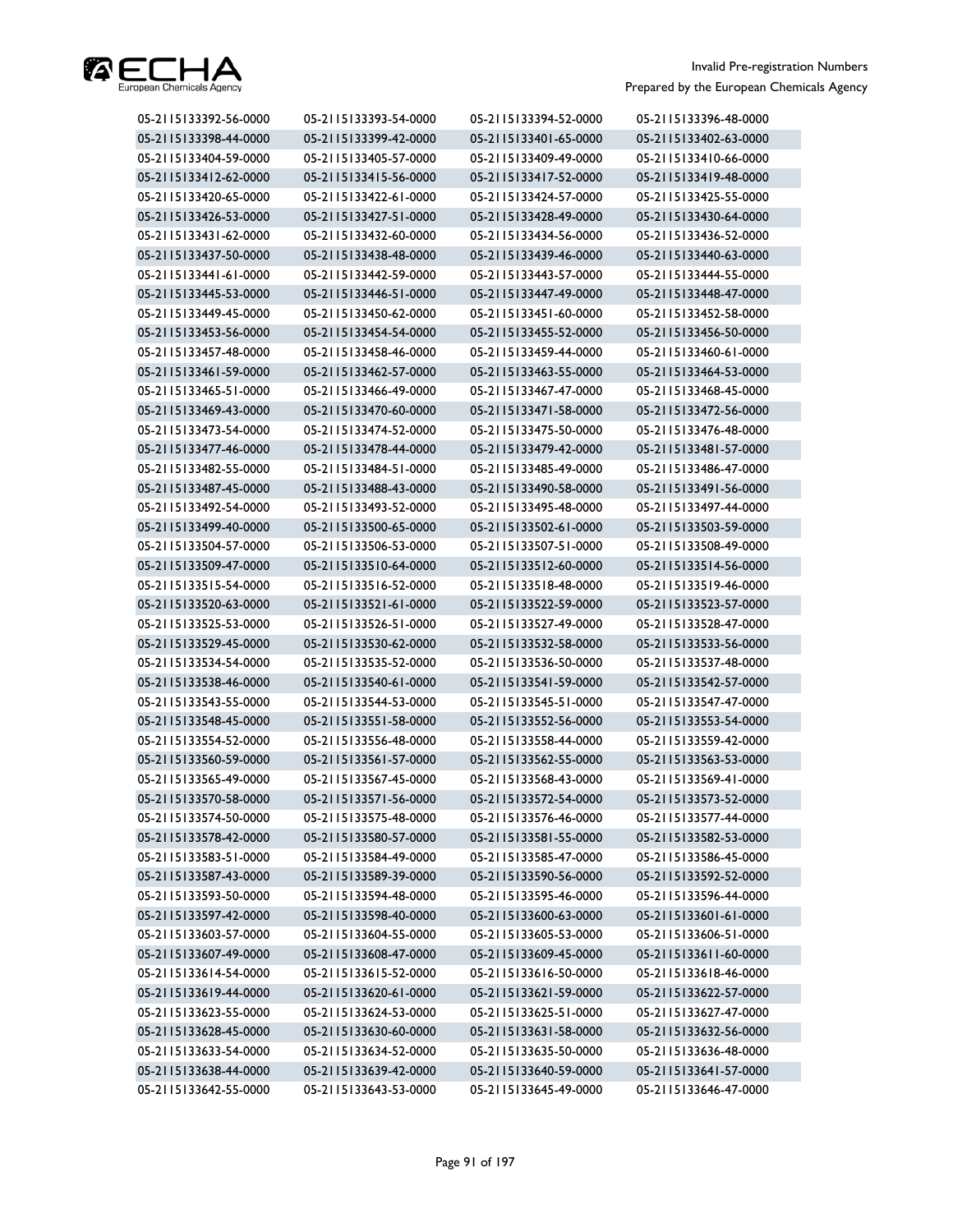

| 05-2115133392-56-0000 | 05-2115133393-54-0000 | 05-2115133394-52-0000 | 05-2115133396-48-0000 |
|-----------------------|-----------------------|-----------------------|-----------------------|
| 05-2115133398-44-0000 | 05-2115133399-42-0000 | 05-2115133401-65-0000 | 05-2115133402-63-0000 |
| 05-2115133404-59-0000 | 05-2115133405-57-0000 | 05-2115133409-49-0000 | 05-2115133410-66-0000 |
| 05-2115133412-62-0000 | 05-2115133415-56-0000 | 05-2115133417-52-0000 | 05-2115133419-48-0000 |
| 05-2115133420-65-0000 | 05-2115133422-61-0000 | 05-2115133424-57-0000 | 05-2115133425-55-0000 |
| 05-2115133426-53-0000 | 05-2115133427-51-0000 | 05-2115133428-49-0000 | 05-2115133430-64-0000 |
| 05-2115133431-62-0000 | 05-2115133432-60-0000 | 05-2115133434-56-0000 | 05-2115133436-52-0000 |
| 05-2115133437-50-0000 | 05-2115133438-48-0000 | 05-2115133439-46-0000 | 05-2115133440-63-0000 |
| 05-2115133441-61-0000 | 05-2115133442-59-0000 | 05-2115133443-57-0000 | 05-2115133444-55-0000 |
| 05-2115133445-53-0000 | 05-2115133446-51-0000 | 05-2115133447-49-0000 | 05-2115133448-47-0000 |
| 05-2115133449-45-0000 | 05-2115133450-62-0000 | 05-2115133451-60-0000 | 05-2115133452-58-0000 |
| 05-2115133453-56-0000 | 05-2115133454-54-0000 | 05-2115133455-52-0000 | 05-2115133456-50-0000 |
| 05-2115133457-48-0000 | 05-2115133458-46-0000 | 05-2115133459-44-0000 | 05-2115133460-61-0000 |
| 05-2115133461-59-0000 | 05-2115133462-57-0000 | 05-2115133463-55-0000 | 05-2115133464-53-0000 |
| 05-2115133465-51-0000 | 05-2115133466-49-0000 | 05-2115133467-47-0000 | 05-2115133468-45-0000 |
| 05-2115133469-43-0000 | 05-2115133470-60-0000 | 05-2115133471-58-0000 | 05-2115133472-56-0000 |
| 05-2115133473-54-0000 | 05-2115133474-52-0000 | 05-2115133475-50-0000 | 05-2115133476-48-0000 |
| 05-2115133477-46-0000 | 05-2115133478-44-0000 | 05-2115133479-42-0000 | 05-2115133481-57-0000 |
| 05-2115133482-55-0000 | 05-2115133484-51-0000 | 05-2115133485-49-0000 | 05-2115133486-47-0000 |
| 05-2115133487-45-0000 | 05-2115133488-43-0000 | 05-2115133490-58-0000 | 05-2115133491-56-0000 |
| 05-2115133492-54-0000 | 05-2115133493-52-0000 | 05-2115133495-48-0000 | 05-2115133497-44-0000 |
| 05-2115133499-40-0000 | 05-2115133500-65-0000 | 05-2115133502-61-0000 | 05-2115133503-59-0000 |
| 05-2115133504-57-0000 | 05-2115133506-53-0000 | 05-2115133507-51-0000 | 05-2115133508-49-0000 |
| 05-2115133509-47-0000 | 05-2115133510-64-0000 | 05-2115133512-60-0000 | 05-2115133514-56-0000 |
| 05-2115133515-54-0000 | 05-2115133516-52-0000 | 05-2115133518-48-0000 | 05-2115133519-46-0000 |
| 05-2115133520-63-0000 | 05-2115133521-61-0000 | 05-2115133522-59-0000 | 05-2115133523-57-0000 |
| 05-2115133525-53-0000 | 05-2115133526-51-0000 | 05-2115133527-49-0000 | 05-2115133528-47-0000 |
| 05-2115133529-45-0000 | 05-2115133530-62-0000 | 05-2115133532-58-0000 | 05-2115133533-56-0000 |
| 05-2115133534-54-0000 | 05-2115133535-52-0000 | 05-2115133536-50-0000 | 05-2115133537-48-0000 |
| 05-2115133538-46-0000 | 05-2115133540-61-0000 | 05-2115133541-59-0000 | 05-2115133542-57-0000 |
| 05-2115133543-55-0000 | 05-2115133544-53-0000 | 05-2115133545-51-0000 | 05-2115133547-47-0000 |
| 05-2115133548-45-0000 | 05-2115133551-58-0000 | 05-2115133552-56-0000 | 05-2115133553-54-0000 |
| 05-2115133554-52-0000 | 05-2115133556-48-0000 | 05-2115133558-44-0000 | 05-2115133559-42-0000 |
| 05-2115133560-59-0000 | 05-2115133561-57-0000 | 05-2115133562-55-0000 | 05-2115133563-53-0000 |
| 05-2115133565-49-0000 | 05-2115133567-45-0000 | 05-2115133568-43-0000 | 05-2115133569-41-0000 |
| 05-2115133570-58-0000 | 05-2115133571-56-0000 | 05-2115133572-54-0000 | 05-2115133573-52-0000 |
| 05-2115133574-50-0000 | 05-2115133575-48-0000 | 05-2115133576-46-0000 | 05-2115133577-44-0000 |
| 05-2115133578-42-0000 | 05-2115133580-57-0000 | 05-2115133581-55-0000 | 05-2115133582-53-0000 |
| 05-2115133583-51-0000 | 05-2115133584-49-0000 | 05-2115133585-47-0000 | 05-2115133586-45-0000 |
| 05-2115133587-43-0000 | 05-2115133589-39-0000 | 05-2115133590-56-0000 | 05-2115133592-52-0000 |
| 05-2115133593-50-0000 | 05-2115133594-48-0000 | 05-2115133595-46-0000 | 05-2115133596-44-0000 |
| 05-2115133597-42-0000 | 05-2115133598-40-0000 | 05-2115133600-63-0000 | 05-2115133601-61-0000 |
| 05-2115133603-57-0000 | 05-2115133604-55-0000 | 05-2115133605-53-0000 | 05-2115133606-51-0000 |
| 05-2115133607-49-0000 | 05-2115133608-47-0000 | 05-2115133609-45-0000 | 05-2115133611-60-0000 |
| 05-2115133614-54-0000 | 05-2115133615-52-0000 | 05-2115133616-50-0000 | 05-2115133618-46-0000 |
| 05-2115133619-44-0000 | 05-2115133620-61-0000 | 05-2115133621-59-0000 | 05-2115133622-57-0000 |
| 05-2115133623-55-0000 | 05-2115133624-53-0000 | 05-2115133625-51-0000 | 05-2115133627-47-0000 |
| 05-2115133628-45-0000 | 05-2115133630-60-0000 | 05-2115133631-58-0000 | 05-2115133632-56-0000 |
| 05-2115133633-54-0000 | 05-2115133634-52-0000 | 05-2115133635-50-0000 | 05-2115133636-48-0000 |
| 05-2115133638-44-0000 | 05-2115133639-42-0000 | 05-2115133640-59-0000 | 05-2115133641-57-0000 |
| 05-2115133642-55-0000 | 05-2115133643-53-0000 | 05-2115133645-49-0000 | 05-2115133646-47-0000 |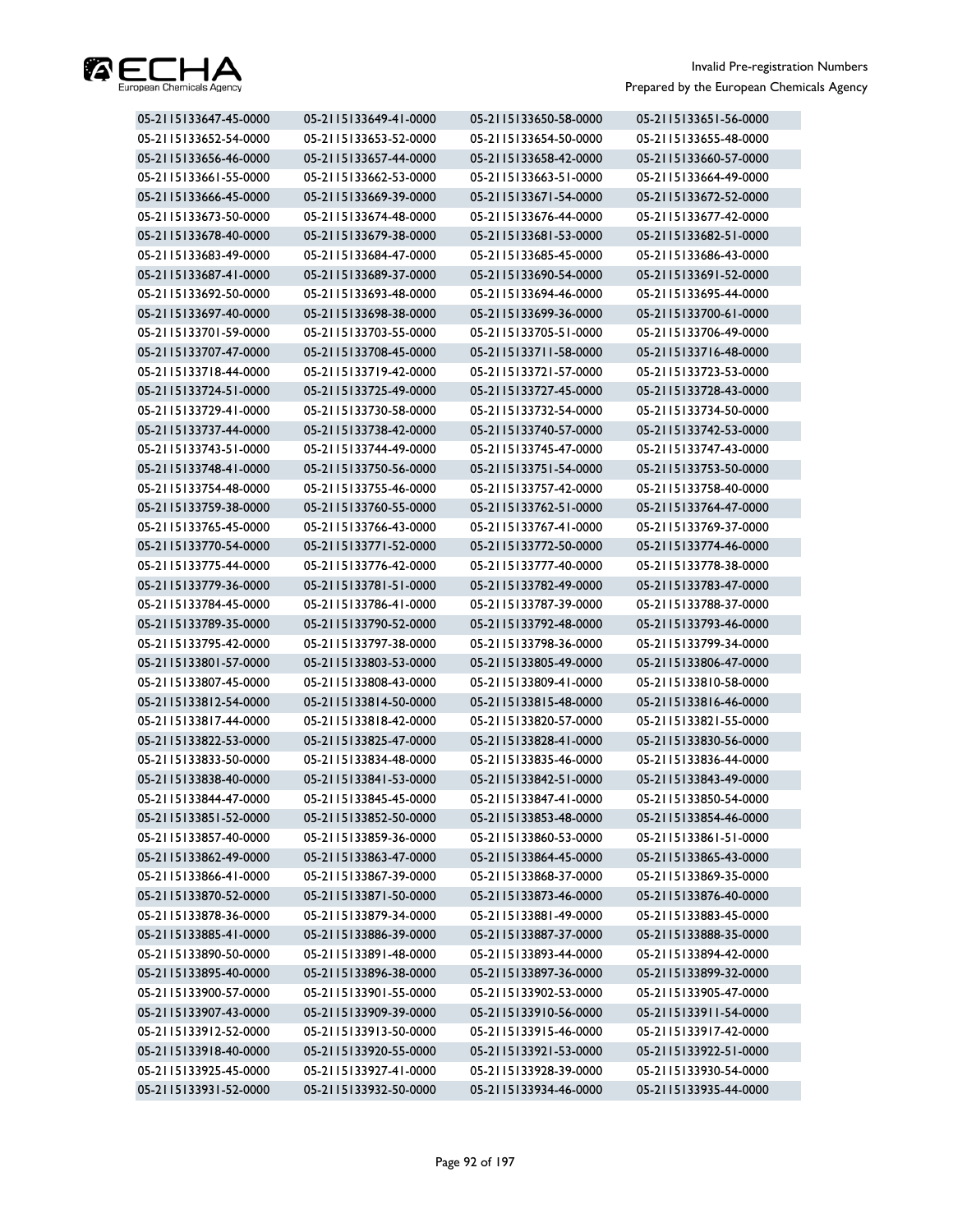

| 05-2115133647-45-0000 | 05-2115133649-41-0000 | 05-2115133650-58-0000 | 05-2115133651-56-0000 |
|-----------------------|-----------------------|-----------------------|-----------------------|
| 05-2115133652-54-0000 | 05-2115133653-52-0000 | 05-2115133654-50-0000 | 05-2115133655-48-0000 |
| 05-2115133656-46-0000 | 05-2115133657-44-0000 | 05-2115133658-42-0000 | 05-2115133660-57-0000 |
| 05-2115133661-55-0000 | 05-2115133662-53-0000 | 05-2115133663-51-0000 | 05-2115133664-49-0000 |
| 05-2115133666-45-0000 | 05-2115133669-39-0000 | 05-2115133671-54-0000 | 05-2115133672-52-0000 |
| 05-2115133673-50-0000 | 05-2115133674-48-0000 | 05-2115133676-44-0000 | 05-2115133677-42-0000 |
| 05-2115133678-40-0000 | 05-2115133679-38-0000 | 05-2115133681-53-0000 | 05-2115133682-51-0000 |
| 05-2115133683-49-0000 | 05-2115133684-47-0000 | 05-2115133685-45-0000 | 05-2115133686-43-0000 |
| 05-2115133687-41-0000 | 05-2115133689-37-0000 | 05-2115133690-54-0000 | 05-2115133691-52-0000 |
| 05-2115133692-50-0000 | 05-2115133693-48-0000 | 05-2115133694-46-0000 | 05-2115133695-44-0000 |
| 05-2115133697-40-0000 | 05-2115133698-38-0000 | 05-2115133699-36-0000 | 05-2115133700-61-0000 |
| 05-2115133701-59-0000 | 05-2115133703-55-0000 | 05-2115133705-51-0000 | 05-2115133706-49-0000 |
| 05-2115133707-47-0000 | 05-2115133708-45-0000 | 05-2115133711-58-0000 | 05-2115133716-48-0000 |
| 05-2115133718-44-0000 | 05-2115133719-42-0000 | 05-2115133721-57-0000 | 05-2115133723-53-0000 |
| 05-2115133724-51-0000 | 05-2115133725-49-0000 | 05-2115133727-45-0000 | 05-2115133728-43-0000 |
| 05-2115133729-41-0000 | 05-2115133730-58-0000 | 05-2115133732-54-0000 | 05-2115133734-50-0000 |
| 05-2115133737-44-0000 | 05-2115133738-42-0000 | 05-2115133740-57-0000 | 05-2115133742-53-0000 |
| 05-2115133743-51-0000 | 05-2115133744-49-0000 | 05-2115133745-47-0000 | 05-2115133747-43-0000 |
| 05-2115133748-41-0000 | 05-2115133750-56-0000 | 05-2115133751-54-0000 | 05-2115133753-50-0000 |
| 05-2115133754-48-0000 | 05-2115133755-46-0000 | 05-2115133757-42-0000 | 05-2115133758-40-0000 |
| 05-2115133759-38-0000 | 05-2115133760-55-0000 | 05-2115133762-51-0000 | 05-2115133764-47-0000 |
| 05-2115133765-45-0000 | 05-2115133766-43-0000 | 05-2115133767-41-0000 | 05-2115133769-37-0000 |
| 05-2115133770-54-0000 | 05-2115133771-52-0000 | 05-2115133772-50-0000 | 05-2115133774-46-0000 |
| 05-2115133775-44-0000 | 05-2115133776-42-0000 | 05-2115133777-40-0000 | 05-2115133778-38-0000 |
| 05-2115133779-36-0000 | 05-2115133781-51-0000 | 05-2115133782-49-0000 | 05-2115133783-47-0000 |
| 05-2115133784-45-0000 | 05-2115133786-41-0000 | 05-2115133787-39-0000 | 05-2115133788-37-0000 |
| 05-2115133789-35-0000 | 05-2115133790-52-0000 | 05-2115133792-48-0000 | 05-2115133793-46-0000 |
| 05-2115133795-42-0000 | 05-2115133797-38-0000 | 05-2115133798-36-0000 | 05-2115133799-34-0000 |
| 05-2115133801-57-0000 | 05-2115133803-53-0000 | 05-2115133805-49-0000 | 05-2115133806-47-0000 |
| 05-2115133807-45-0000 | 05-2115133808-43-0000 | 05-2115133809-41-0000 | 05-2115133810-58-0000 |
| 05-2115133812-54-0000 | 05-2115133814-50-0000 | 05-2115133815-48-0000 | 05-2115133816-46-0000 |
| 05-2115133817-44-0000 | 05-2115133818-42-0000 | 05-2115133820-57-0000 | 05-2115133821-55-0000 |
| 05-2115133822-53-0000 | 05-2115133825-47-0000 | 05-2115133828-41-0000 | 05-2115133830-56-0000 |
| 05-2115133833-50-0000 | 05-2115133834-48-0000 | 05-2115133835-46-0000 | 05-2115133836-44-0000 |
| 05-2115133838-40-0000 | 05-2115133841-53-0000 | 05-2115133842-51-0000 | 05-2115133843-49-0000 |
| 05-2115133844-47-0000 | 05-2115133845-45-0000 | 05-2115133847-41-0000 | 05-2115133850-54-0000 |
| 05-2115133851-52-0000 | 05-2115133852-50-0000 | 05-2115133853-48-0000 | 05-2115133854-46-0000 |
| 05-2115133857-40-0000 | 05-2115133859-36-0000 | 05-2115133860-53-0000 | 05-2115133861-51-0000 |
| 05-2115133862-49-0000 | 05-2115133863-47-0000 | 05-2115133864-45-0000 | 05-2115133865-43-0000 |
| 05-2115133866-41-0000 | 05-2115133867-39-0000 | 05-2115133868-37-0000 | 05-2115133869-35-0000 |
| 05-2115133870-52-0000 | 05-2115133871-50-0000 | 05-2115133873-46-0000 | 05-2115133876-40-0000 |
| 05-2115133878-36-0000 | 05-2115133879-34-0000 | 05-2115133881-49-0000 | 05-2115133883-45-0000 |
| 05-2115133885-41-0000 | 05-2115133886-39-0000 | 05-2115133887-37-0000 | 05-2115133888-35-0000 |
| 05-2115133890-50-0000 | 05-2115133891-48-0000 | 05-2115133893-44-0000 | 05-2115133894-42-0000 |
| 05-2115133895-40-0000 | 05-2115133896-38-0000 | 05-2115133897-36-0000 | 05-2115133899-32-0000 |
| 05-2115133900-57-0000 | 05-2115133901-55-0000 | 05-2115133902-53-0000 | 05-2115133905-47-0000 |
| 05-2115133907-43-0000 | 05-2115133909-39-0000 | 05-2115133910-56-0000 | 05-2115133911-54-0000 |
| 05-2115133912-52-0000 | 05-2115133913-50-0000 | 05-2115133915-46-0000 | 05-2115133917-42-0000 |
| 05-2115133918-40-0000 | 05-2115133920-55-0000 | 05-2115133921-53-0000 | 05-2115133922-51-0000 |
| 05-2115133925-45-0000 | 05-2115133927-41-0000 | 05-2115133928-39-0000 | 05-2115133930-54-0000 |
| 05-2115133931-52-0000 | 05-2115133932-50-0000 | 05-2115133934-46-0000 | 05-2115133935-44-0000 |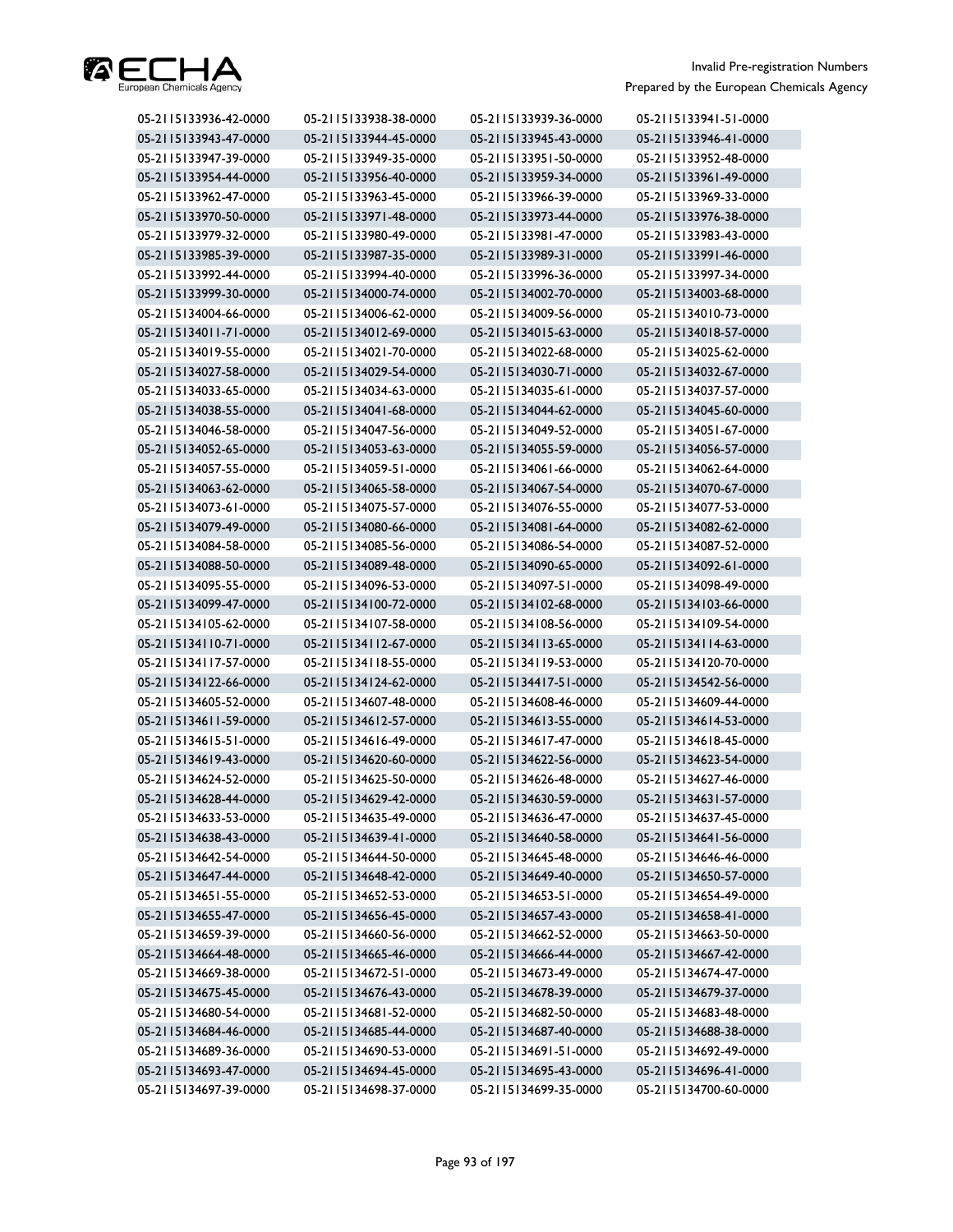

| 05-2115133936-42-0000 | 05-2115133938-38-0000 | 05-2115133939-36-0000 | 05-2115133941-51-0000 |
|-----------------------|-----------------------|-----------------------|-----------------------|
| 05-2115133943-47-0000 | 05-2115133944-45-0000 | 05-2115133945-43-0000 | 05-2115133946-41-0000 |
| 05-2115133947-39-0000 | 05-2115133949-35-0000 | 05-2115133951-50-0000 | 05-2115133952-48-0000 |
| 05-2115133954-44-0000 | 05-2115133956-40-0000 | 05-2115133959-34-0000 | 05-2115133961-49-0000 |
| 05-2115133962-47-0000 | 05-2115133963-45-0000 | 05-2115133966-39-0000 | 05-2115133969-33-0000 |
| 05-2115133970-50-0000 | 05-2115133971-48-0000 | 05-2115133973-44-0000 | 05-2115133976-38-0000 |
| 05-2115133979-32-0000 | 05-2115133980-49-0000 | 05-2115133981-47-0000 | 05-2115133983-43-0000 |
| 05-2115133985-39-0000 | 05-2115133987-35-0000 | 05-2115133989-31-0000 | 05-2115133991-46-0000 |
| 05-2115133992-44-0000 | 05-2115133994-40-0000 | 05-2115133996-36-0000 | 05-2115133997-34-0000 |
| 05-2115133999-30-0000 | 05-2115134000-74-0000 | 05-2115134002-70-0000 | 05-2115134003-68-0000 |
| 05-2115134004-66-0000 | 05-2115134006-62-0000 | 05-2115134009-56-0000 | 05-2115134010-73-0000 |
| 05-2115134011-71-0000 | 05-2115134012-69-0000 | 05-2115134015-63-0000 | 05-2115134018-57-0000 |
| 05-2115134019-55-0000 | 05-2115134021-70-0000 | 05-2115134022-68-0000 | 05-2115134025-62-0000 |
| 05-2115134027-58-0000 | 05-2115134029-54-0000 | 05-2115134030-71-0000 | 05-2115134032-67-0000 |
| 05-2115134033-65-0000 | 05-2115134034-63-0000 | 05-2115134035-61-0000 | 05-2115134037-57-0000 |
| 05-2115134038-55-0000 | 05-2115134041-68-0000 | 05-2115134044-62-0000 | 05-2115134045-60-0000 |
| 05-2115134046-58-0000 | 05-2115134047-56-0000 | 05-2115134049-52-0000 | 05-2115134051-67-0000 |
| 05-2115134052-65-0000 | 05-2115134053-63-0000 | 05-2115134055-59-0000 | 05-2115134056-57-0000 |
| 05-2115134057-55-0000 | 05-2115134059-51-0000 | 05-2115134061-66-0000 | 05-2115134062-64-0000 |
| 05-2115134063-62-0000 | 05-2115134065-58-0000 | 05-2115134067-54-0000 | 05-2115134070-67-0000 |
| 05-2115134073-61-0000 | 05-2115134075-57-0000 | 05-2115134076-55-0000 | 05-2115134077-53-0000 |
| 05-2115134079-49-0000 | 05-2115134080-66-0000 | 05-2115134081-64-0000 | 05-2115134082-62-0000 |
| 05-2115134084-58-0000 | 05-2115134085-56-0000 | 05-2115134086-54-0000 | 05-2115134087-52-0000 |
| 05-2115134088-50-0000 | 05-2115134089-48-0000 | 05-2115134090-65-0000 | 05-2115134092-61-0000 |
| 05-2115134095-55-0000 | 05-2115134096-53-0000 | 05-2115134097-51-0000 | 05-2115134098-49-0000 |
| 05-2115134099-47-0000 | 05-2115134100-72-0000 | 05-2115134102-68-0000 | 05-2115134103-66-0000 |
| 05-2115134105-62-0000 | 05-2115134107-58-0000 | 05-2115134108-56-0000 | 05-2115134109-54-0000 |
| 05-2115134110-71-0000 | 05-2115134112-67-0000 | 05-2115134113-65-0000 | 05-2115134114-63-0000 |
| 05-2115134117-57-0000 | 05-2115134118-55-0000 | 05-2115134119-53-0000 | 05-2115134120-70-0000 |
| 05-2115134122-66-0000 | 05-2115134124-62-0000 | 05-2115134417-51-0000 | 05-2115134542-56-0000 |
| 05-2115134605-52-0000 | 05-2115134607-48-0000 | 05-2115134608-46-0000 | 05-2115134609-44-0000 |
| 05-2115134611-59-0000 | 05-2115134612-57-0000 | 05-2115134613-55-0000 | 05-2115134614-53-0000 |
| 05-2115134615-51-0000 | 05-2115134616-49-0000 | 05-2115134617-47-0000 | 05-2115134618-45-0000 |
| 05-2115134619-43-0000 | 05-2115134620-60-0000 | 05-2115134622-56-0000 | 05-2115134623-54-0000 |
| 05-2115134624-52-0000 | 05-2115134625-50-0000 | 05-2115134626-48-0000 | 05-2115134627-46-0000 |
| 05-2115134628-44-0000 | 05-2115134629-42-0000 | 05-2115134630-59-0000 | 05-2115134631-57-0000 |
| 05-2115134633-53-0000 | 05-2115134635-49-0000 | 05-2115134636-47-0000 | 05-2115134637-45-0000 |
| 05-2115134638-43-0000 | 05-2115134639-41-0000 | 05-2115134640-58-0000 | 05-2115134641-56-0000 |
| 05-2115134642-54-0000 | 05-2115134644-50-0000 | 05-2115134645-48-0000 | 05-2115134646-46-0000 |
| 05-2115134647-44-0000 | 05-2115134648-42-0000 | 05-2115134649-40-0000 | 05-2115134650-57-0000 |
| 05-2115134651-55-0000 | 05-2115134652-53-0000 | 05-2115134653-51-0000 | 05-2115134654-49-0000 |
| 05-2115134655-47-0000 | 05-2115134656-45-0000 | 05-2115134657-43-0000 | 05-2115134658-41-0000 |
| 05-2115134659-39-0000 | 05-2115134660-56-0000 | 05-2115134662-52-0000 | 05-2115134663-50-0000 |
| 05-2115134664-48-0000 | 05-2115134665-46-0000 | 05-2115134666-44-0000 | 05-2115134667-42-0000 |
| 05-2115134669-38-0000 | 05-2115134672-51-0000 | 05-2115134673-49-0000 | 05-2115134674-47-0000 |
| 05-2115134675-45-0000 | 05-2115134676-43-0000 | 05-2115134678-39-0000 | 05-2115134679-37-0000 |
| 05-2115134680-54-0000 | 05-2115134681-52-0000 | 05-2115134682-50-0000 | 05-2115134683-48-0000 |
| 05-2115134684-46-0000 | 05-2115134685-44-0000 | 05-2115134687-40-0000 | 05-2115134688-38-0000 |
| 05-2115134689-36-0000 | 05-2115134690-53-0000 | 05-2115134691-51-0000 | 05-2115134692-49-0000 |
| 05-2115134693-47-0000 | 05-2115134694-45-0000 | 05-2115134695-43-0000 | 05-2115134696-41-0000 |
| 05-2115134697-39-0000 | 05-2115134698-37-0000 | 05-2115134699-35-0000 | 05-2115134700-60-0000 |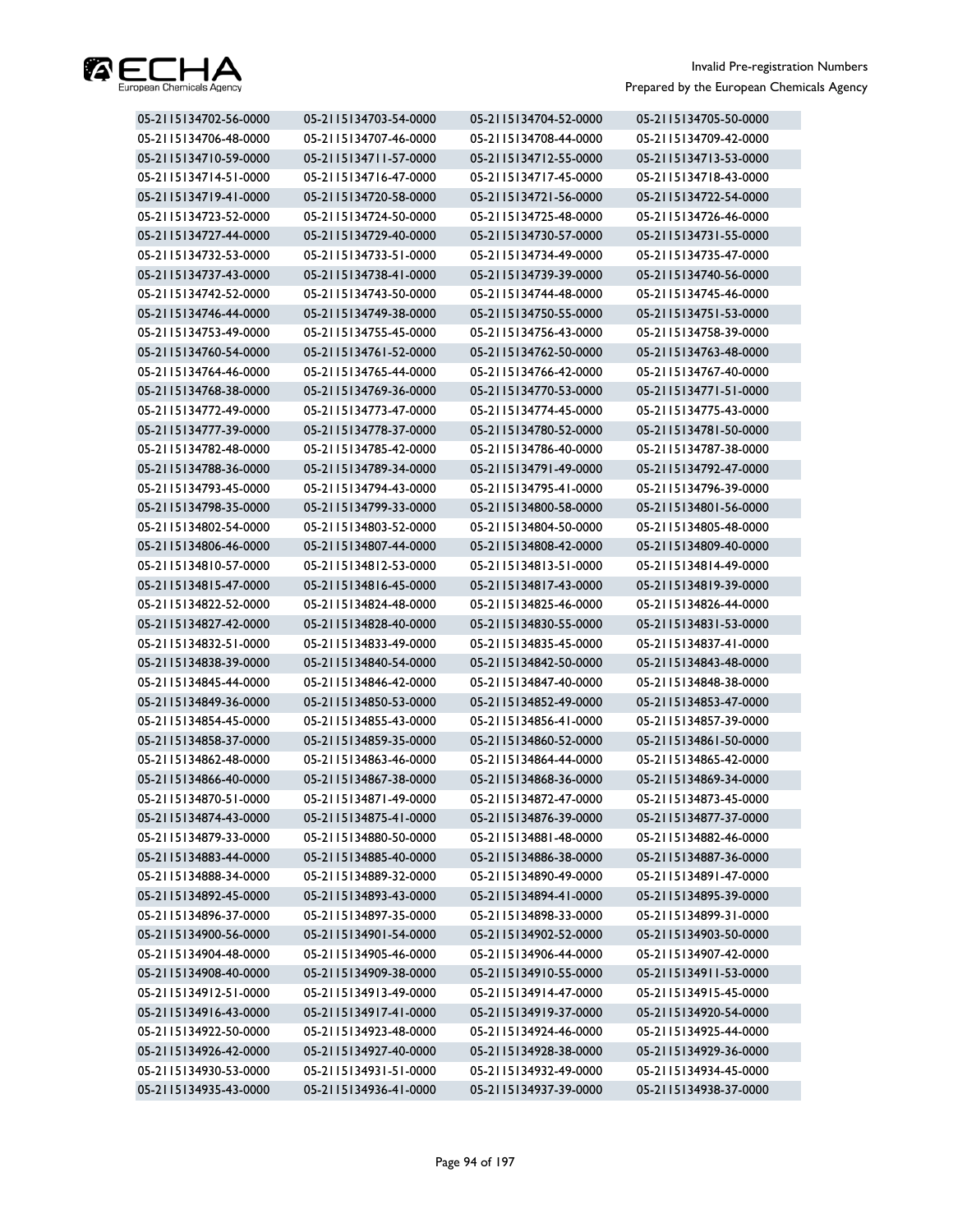

| 05-2115134702-56-0000 | 05-2115134703-54-0000 | 05-2115134704-52-0000 | 05-2115134705-50-0000 |
|-----------------------|-----------------------|-----------------------|-----------------------|
| 05-2115134706-48-0000 | 05-2115134707-46-0000 | 05-2115134708-44-0000 | 05-2115134709-42-0000 |
| 05-2115134710-59-0000 | 05-2115134711-57-0000 | 05-2115134712-55-0000 | 05-2115134713-53-0000 |
| 05-2115134714-51-0000 | 05-2115134716-47-0000 | 05-2115134717-45-0000 | 05-2115134718-43-0000 |
| 05-2115134719-41-0000 | 05-2115134720-58-0000 | 05-2115134721-56-0000 | 05-2115134722-54-0000 |
| 05-2115134723-52-0000 | 05-2115134724-50-0000 | 05-2115134725-48-0000 | 05-2115134726-46-0000 |
| 05-2115134727-44-0000 | 05-2115134729-40-0000 | 05-2115134730-57-0000 | 05-2115134731-55-0000 |
| 05-2115134732-53-0000 | 05-2115134733-51-0000 | 05-2115134734-49-0000 | 05-2115134735-47-0000 |
| 05-2115134737-43-0000 | 05-2115134738-41-0000 | 05-2115134739-39-0000 | 05-2115134740-56-0000 |
| 05-2115134742-52-0000 | 05-2115134743-50-0000 | 05-2115134744-48-0000 | 05-2115134745-46-0000 |
| 05-2115134746-44-0000 | 05-2115134749-38-0000 | 05-2115134750-55-0000 | 05-2115134751-53-0000 |
| 05-2115134753-49-0000 | 05-2115134755-45-0000 | 05-2115134756-43-0000 | 05-2115134758-39-0000 |
| 05-2115134760-54-0000 | 05-2115134761-52-0000 | 05-2115134762-50-0000 | 05-2115134763-48-0000 |
| 05-2115134764-46-0000 | 05-2115134765-44-0000 | 05-2115134766-42-0000 | 05-2115134767-40-0000 |
| 05-2115134768-38-0000 | 05-2115134769-36-0000 | 05-2115134770-53-0000 | 05-2115134771-51-0000 |
| 05-2115134772-49-0000 | 05-2115134773-47-0000 | 05-2115134774-45-0000 | 05-2115134775-43-0000 |
| 05-2115134777-39-0000 | 05-2115134778-37-0000 | 05-2115134780-52-0000 | 05-2115134781-50-0000 |
| 05-2115134782-48-0000 | 05-2115134785-42-0000 | 05-2115134786-40-0000 | 05-2115134787-38-0000 |
| 05-2115134788-36-0000 | 05-2115134789-34-0000 | 05-2115134791-49-0000 | 05-2115134792-47-0000 |
| 05-2115134793-45-0000 | 05-2115134794-43-0000 | 05-2115134795-41-0000 | 05-2115134796-39-0000 |
| 05-2115134798-35-0000 | 05-2115134799-33-0000 | 05-2115134800-58-0000 | 05-2115134801-56-0000 |
| 05-2115134802-54-0000 | 05-2115134803-52-0000 | 05-2115134804-50-0000 | 05-2115134805-48-0000 |
| 05-2115134806-46-0000 | 05-2115134807-44-0000 | 05-2115134808-42-0000 | 05-2115134809-40-0000 |
| 05-2115134810-57-0000 | 05-2115134812-53-0000 | 05-2115134813-51-0000 | 05-2115134814-49-0000 |
| 05-2115134815-47-0000 | 05-2115134816-45-0000 | 05-2115134817-43-0000 | 05-2115134819-39-0000 |
| 05-2115134822-52-0000 | 05-2115134824-48-0000 | 05-2115134825-46-0000 | 05-2115134826-44-0000 |
| 05-2115134827-42-0000 | 05-2115134828-40-0000 | 05-2115134830-55-0000 | 05-2115134831-53-0000 |
| 05-2115134832-51-0000 | 05-2115134833-49-0000 | 05-2115134835-45-0000 | 05-2115134837-41-0000 |
| 05-2115134838-39-0000 | 05-2115134840-54-0000 | 05-2115134842-50-0000 | 05-2115134843-48-0000 |
| 05-2115134845-44-0000 | 05-2115134846-42-0000 | 05-2115134847-40-0000 | 05-2115134848-38-0000 |
| 05-2115134849-36-0000 | 05-2115134850-53-0000 | 05-2115134852-49-0000 | 05-2115134853-47-0000 |
| 05-2115134854-45-0000 | 05-2115134855-43-0000 | 05-2115134856-41-0000 | 05-2115134857-39-0000 |
| 05-2115134858-37-0000 | 05-2115134859-35-0000 | 05-2115134860-52-0000 | 05-2115134861-50-0000 |
| 05-2115134862-48-0000 | 05-2115134863-46-0000 | 05-2115134864-44-0000 | 05-2115134865-42-0000 |
| 05-2115134866-40-0000 | 05-2115134867-38-0000 | 05-2115134868-36-0000 | 05-2115134869-34-0000 |
| 05-2115134870-51-0000 | 05-2115134871-49-0000 | 05-2115134872-47-0000 | 05-2115134873-45-0000 |
| 05-2115134874-43-0000 | 05-2115134875-41-0000 | 05-2115134876-39-0000 | 05-2115134877-37-0000 |
| 05-2115134879-33-0000 | 05-2115134880-50-0000 | 05-2115134881-48-0000 | 05-2115134882-46-0000 |
| 05-2115134883-44-0000 | 05-2115134885-40-0000 | 05-2115134886-38-0000 | 05-2115134887-36-0000 |
| 05-2115134888-34-0000 | 05-2115134889-32-0000 | 05-2115134890-49-0000 | 05-2115134891-47-0000 |
| 05-2115134892-45-0000 | 05-2115134893-43-0000 | 05-2115134894-41-0000 | 05-2115134895-39-0000 |
| 05-2115134896-37-0000 | 05-2115134897-35-0000 | 05-2115134898-33-0000 | 05-2115134899-31-0000 |
| 05-2115134900-56-0000 | 05-2115134901-54-0000 | 05-2115134902-52-0000 | 05-2115134903-50-0000 |
| 05-2115134904-48-0000 | 05-2115134905-46-0000 | 05-2115134906-44-0000 | 05-2115134907-42-0000 |
| 05-2115134908-40-0000 | 05-2115134909-38-0000 | 05-2115134910-55-0000 | 05-2115134911-53-0000 |
| 05-2115134912-51-0000 | 05-2115134913-49-0000 | 05-2115134914-47-0000 | 05-2115134915-45-0000 |
| 05-2115134916-43-0000 | 05-2115134917-41-0000 | 05-2115134919-37-0000 | 05-2115134920-54-0000 |
| 05-2115134922-50-0000 | 05-2115134923-48-0000 | 05-2115134924-46-0000 | 05-2115134925-44-0000 |
| 05-2115134926-42-0000 | 05-2115134927-40-0000 | 05-2115134928-38-0000 | 05-2115134929-36-0000 |
| 05-2115134930-53-0000 | 05-2115134931-51-0000 | 05-2115134932-49-0000 | 05-2115134934-45-0000 |
| 05-2115134935-43-0000 | 05-2115134936-41-0000 | 05-2115134937-39-0000 | 05-2115134938-37-0000 |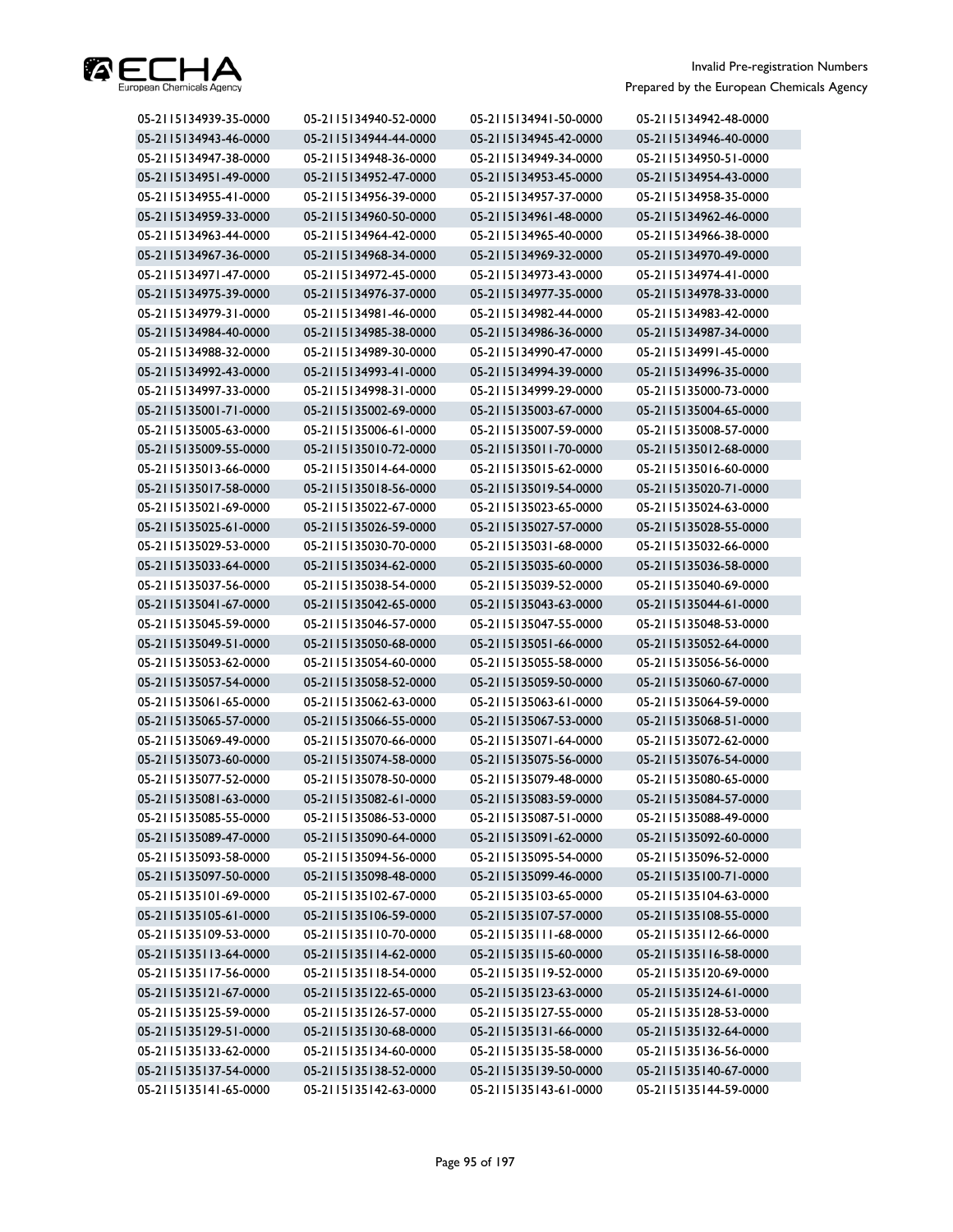

| 05-2115134939-35-0000 | 05-2115134940-52-0000 | 05-2115134941-50-0000 | 05-2115134942-48-0000 |
|-----------------------|-----------------------|-----------------------|-----------------------|
| 05-2115134943-46-0000 | 05-2115134944-44-0000 | 05-2115134945-42-0000 | 05-2115134946-40-0000 |
| 05-2115134947-38-0000 | 05-2115134948-36-0000 | 05-2115134949-34-0000 | 05-2115134950-51-0000 |
| 05-2115134951-49-0000 | 05-2115134952-47-0000 | 05-2115134953-45-0000 | 05-2115134954-43-0000 |
| 05-2115134955-41-0000 | 05-2115134956-39-0000 | 05-2115134957-37-0000 | 05-2115134958-35-0000 |
| 05-2115134959-33-0000 | 05-2115134960-50-0000 | 05-2115134961-48-0000 | 05-2115134962-46-0000 |
| 05-2115134963-44-0000 | 05-2115134964-42-0000 | 05-2115134965-40-0000 | 05-2115134966-38-0000 |
| 05-2115134967-36-0000 | 05-2115134968-34-0000 | 05-2115134969-32-0000 | 05-2115134970-49-0000 |
| 05-2115134971-47-0000 | 05-2115134972-45-0000 | 05-2115134973-43-0000 | 05-2115134974-41-0000 |
| 05-2115134975-39-0000 | 05-2115134976-37-0000 | 05-2115134977-35-0000 | 05-2115134978-33-0000 |
| 05-2115134979-31-0000 | 05-2115134981-46-0000 | 05-2115134982-44-0000 | 05-2115134983-42-0000 |
| 05-2115134984-40-0000 | 05-2115134985-38-0000 | 05-2115134986-36-0000 | 05-2115134987-34-0000 |
| 05-2115134988-32-0000 | 05-2115134989-30-0000 | 05-2115134990-47-0000 | 05-2115134991-45-0000 |
| 05-2115134992-43-0000 | 05-2115134993-41-0000 | 05-2115134994-39-0000 | 05-2115134996-35-0000 |
| 05-2115134997-33-0000 | 05-2115134998-31-0000 | 05-2115134999-29-0000 | 05-2115135000-73-0000 |
| 05-2115135001-71-0000 | 05-2115135002-69-0000 | 05-2115135003-67-0000 | 05-2115135004-65-0000 |
| 05-2115135005-63-0000 | 05-2115135006-61-0000 | 05-2115135007-59-0000 | 05-2115135008-57-0000 |
| 05-2115135009-55-0000 | 05-2115135010-72-0000 | 05-2115135011-70-0000 | 05-2115135012-68-0000 |
| 05-2115135013-66-0000 | 05-2115135014-64-0000 | 05-2115135015-62-0000 | 05-2115135016-60-0000 |
| 05-2115135017-58-0000 | 05-2115135018-56-0000 | 05-2115135019-54-0000 | 05-2115135020-71-0000 |
| 05-2115135021-69-0000 | 05-2115135022-67-0000 | 05-2115135023-65-0000 | 05-2115135024-63-0000 |
| 05-2115135025-61-0000 | 05-2115135026-59-0000 | 05-2115135027-57-0000 | 05-2115135028-55-0000 |
| 05-2115135029-53-0000 | 05-2115135030-70-0000 | 05-2115135031-68-0000 | 05-2115135032-66-0000 |
| 05-2115135033-64-0000 | 05-2115135034-62-0000 | 05-2115135035-60-0000 | 05-2115135036-58-0000 |
| 05-2115135037-56-0000 | 05-2115135038-54-0000 | 05-2115135039-52-0000 | 05-2115135040-69-0000 |
| 05-2115135041-67-0000 | 05-2115135042-65-0000 | 05-2115135043-63-0000 | 05-2115135044-61-0000 |
| 05-2115135045-59-0000 | 05-2115135046-57-0000 | 05-2115135047-55-0000 | 05-2115135048-53-0000 |
| 05-2115135049-51-0000 | 05-2115135050-68-0000 | 05-2115135051-66-0000 | 05-2115135052-64-0000 |
| 05-2115135053-62-0000 | 05-2115135054-60-0000 | 05-2115135055-58-0000 | 05-2115135056-56-0000 |
| 05-2115135057-54-0000 | 05-2115135058-52-0000 | 05-2115135059-50-0000 | 05-2115135060-67-0000 |
| 05-2115135061-65-0000 | 05-2115135062-63-0000 | 05-2115135063-61-0000 | 05-2115135064-59-0000 |
| 05-2115135065-57-0000 | 05-2115135066-55-0000 | 05-2115135067-53-0000 | 05-2115135068-51-0000 |
| 05-2115135069-49-0000 | 05-2115135070-66-0000 | 05-2115135071-64-0000 | 05-2115135072-62-0000 |
| 05-2115135073-60-0000 | 05-2115135074-58-0000 | 05-2115135075-56-0000 | 05-2115135076-54-0000 |
| 05-2115135077-52-0000 | 05-2115135078-50-0000 | 05-2115135079-48-0000 | 05-2115135080-65-0000 |
| 05-2115135081-63-0000 | 05-2115135082-61-0000 | 05-2115135083-59-0000 | 05-2115135084-57-0000 |
| 05-2115135085-55-0000 | 05-2115135086-53-0000 | 05-2115135087-51-0000 | 05-2115135088-49-0000 |
| 05-2115135089-47-0000 | 05-2115135090-64-0000 | 05-2115135091-62-0000 | 05-2115135092-60-0000 |
| 05-2115135093-58-0000 | 05-2115135094-56-0000 | 05-2115135095-54-0000 | 05-2115135096-52-0000 |
| 05-2115135097-50-0000 | 05-2115135098-48-0000 | 05-2115135099-46-0000 | 05-2115135100-71-0000 |
| 05-2115135101-69-0000 | 05-2115135102-67-0000 | 05-2115135103-65-0000 | 05-2115135104-63-0000 |
| 05-2115135105-61-0000 | 05-2115135106-59-0000 | 05-2115135107-57-0000 | 05-2115135108-55-0000 |
| 05-2115135109-53-0000 | 05-2115135110-70-0000 | 05-2115135111-68-0000 | 05-2115135112-66-0000 |
| 05-2115135113-64-0000 | 05-2115135114-62-0000 | 05-2115135115-60-0000 | 05-2115135116-58-0000 |
| 05-2115135117-56-0000 | 05-2115135118-54-0000 | 05-2115135119-52-0000 | 05-2115135120-69-0000 |
| 05-2115135121-67-0000 | 05-2115135122-65-0000 | 05-2115135123-63-0000 | 05-2115135124-61-0000 |
| 05-2115135125-59-0000 | 05-2115135126-57-0000 | 05-2115135127-55-0000 | 05-2115135128-53-0000 |
| 05-2115135129-51-0000 | 05-2115135130-68-0000 | 05-2115135131-66-0000 | 05-2115135132-64-0000 |
| 05-2115135133-62-0000 | 05-2115135134-60-0000 | 05-2115135135-58-0000 | 05-2115135136-56-0000 |
| 05-2115135137-54-0000 | 05-2115135138-52-0000 | 05-2115135139-50-0000 | 05-2115135140-67-0000 |
| 05-2115135141-65-0000 | 05-2115135142-63-0000 | 05-2115135143-61-0000 | 05-2115135144-59-0000 |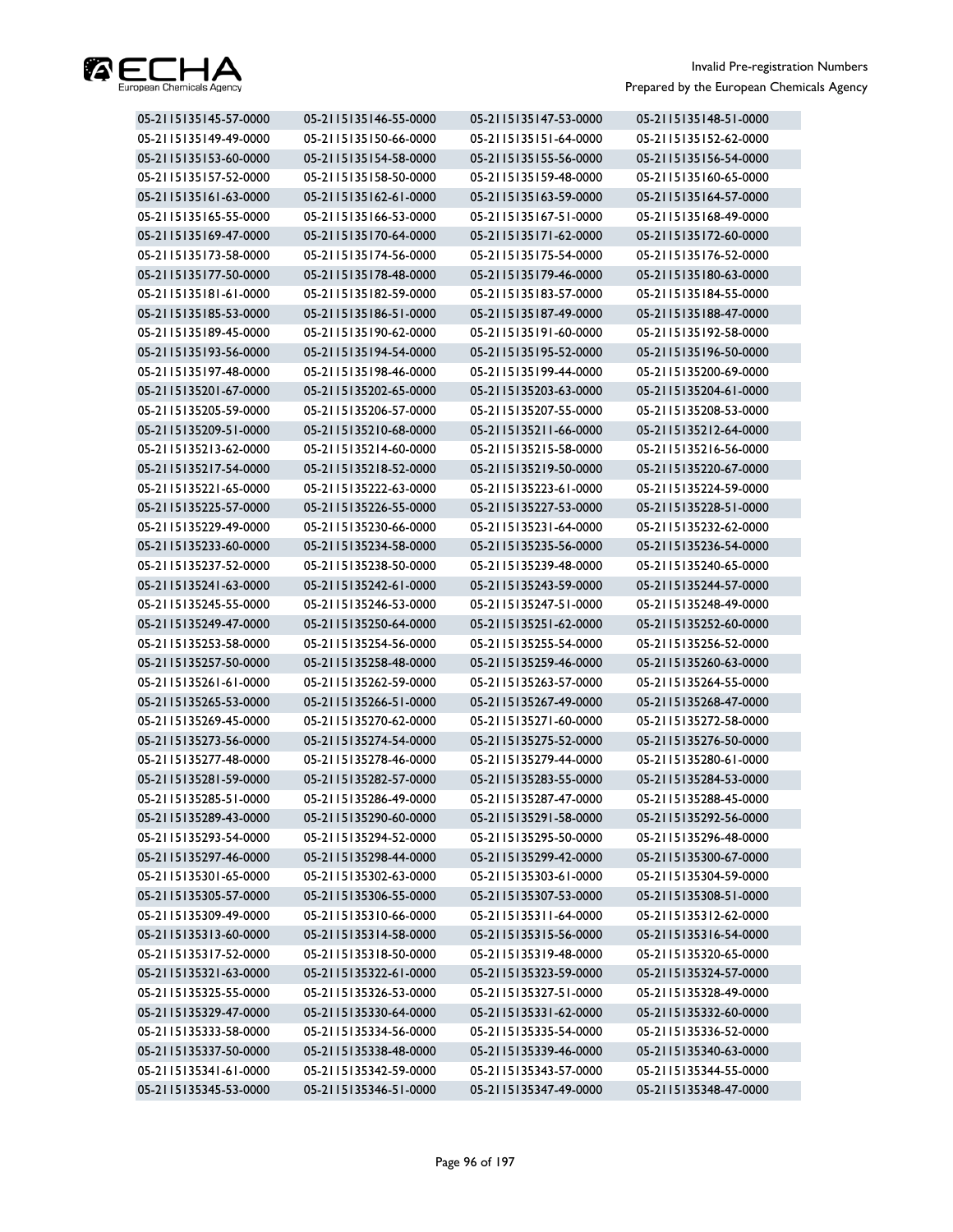

| 05-2115135145-57-0000 | 05-2115135146-55-0000 | 05-2115135147-53-0000 | 05-2115135148-51-0000 |
|-----------------------|-----------------------|-----------------------|-----------------------|
| 05-2115135149-49-0000 | 05-2115135150-66-0000 | 05-2115135151-64-0000 | 05-2115135152-62-0000 |
| 05-2115135153-60-0000 | 05-2115135154-58-0000 | 05-2115135155-56-0000 | 05-2115135156-54-0000 |
| 05-2115135157-52-0000 | 05-2115135158-50-0000 | 05-2115135159-48-0000 | 05-2115135160-65-0000 |
| 05-2115135161-63-0000 | 05-2115135162-61-0000 | 05-2115135163-59-0000 | 05-2115135164-57-0000 |
| 05-2115135165-55-0000 | 05-2115135166-53-0000 | 05-2115135167-51-0000 | 05-2115135168-49-0000 |
| 05-2115135169-47-0000 | 05-2115135170-64-0000 | 05-2115135171-62-0000 | 05-2115135172-60-0000 |
| 05-2115135173-58-0000 | 05-2115135174-56-0000 | 05-2115135175-54-0000 | 05-2115135176-52-0000 |
| 05-2115135177-50-0000 | 05-2115135178-48-0000 | 05-2115135179-46-0000 | 05-2115135180-63-0000 |
| 05-2115135181-61-0000 | 05-2115135182-59-0000 | 05-2115135183-57-0000 | 05-2115135184-55-0000 |
| 05-2115135185-53-0000 | 05-2115135186-51-0000 | 05-2115135187-49-0000 | 05-2115135188-47-0000 |
| 05-2115135189-45-0000 | 05-2115135190-62-0000 | 05-2115135191-60-0000 | 05-2115135192-58-0000 |
| 05-2115135193-56-0000 | 05-2115135194-54-0000 | 05-2115135195-52-0000 | 05-2115135196-50-0000 |
| 05-2115135197-48-0000 | 05-2115135198-46-0000 | 05-2115135199-44-0000 | 05-2115135200-69-0000 |
| 05-2115135201-67-0000 | 05-2115135202-65-0000 | 05-2115135203-63-0000 | 05-2115135204-61-0000 |
| 05-2115135205-59-0000 | 05-2115135206-57-0000 | 05-2115135207-55-0000 | 05-2115135208-53-0000 |
| 05-2115135209-51-0000 | 05-2115135210-68-0000 | 05-2115135211-66-0000 | 05-2115135212-64-0000 |
| 05-2115135213-62-0000 | 05-2115135214-60-0000 | 05-2115135215-58-0000 | 05-2115135216-56-0000 |
| 05-2115135217-54-0000 | 05-2115135218-52-0000 | 05-2115135219-50-0000 | 05-2115135220-67-0000 |
| 05-2115135221-65-0000 | 05-2115135222-63-0000 | 05-2115135223-61-0000 | 05-2115135224-59-0000 |
| 05-2115135225-57-0000 | 05-2115135226-55-0000 | 05-2115135227-53-0000 | 05-2115135228-51-0000 |
| 05-2115135229-49-0000 | 05-2115135230-66-0000 | 05-2115135231-64-0000 | 05-2115135232-62-0000 |
| 05-2115135233-60-0000 | 05-2115135234-58-0000 | 05-2115135235-56-0000 | 05-2115135236-54-0000 |
| 05-2115135237-52-0000 | 05-2115135238-50-0000 | 05-2115135239-48-0000 | 05-2115135240-65-0000 |
| 05-2115135241-63-0000 | 05-2115135242-61-0000 | 05-2115135243-59-0000 | 05-2115135244-57-0000 |
| 05-2115135245-55-0000 | 05-2115135246-53-0000 | 05-2115135247-51-0000 | 05-2115135248-49-0000 |
| 05-2115135249-47-0000 | 05-2115135250-64-0000 | 05-2115135251-62-0000 | 05-2115135252-60-0000 |
| 05-2115135253-58-0000 | 05-2115135254-56-0000 | 05-2115135255-54-0000 | 05-2115135256-52-0000 |
| 05-2115135257-50-0000 | 05-2115135258-48-0000 | 05-2115135259-46-0000 | 05-2115135260-63-0000 |
| 05-2115135261-61-0000 | 05-2115135262-59-0000 | 05-2115135263-57-0000 | 05-2115135264-55-0000 |
| 05-2115135265-53-0000 | 05-2115135266-51-0000 | 05-2115135267-49-0000 | 05-2115135268-47-0000 |
| 05-2115135269-45-0000 | 05-2115135270-62-0000 | 05-2115135271-60-0000 | 05-2115135272-58-0000 |
| 05-2115135273-56-0000 | 05-2115135274-54-0000 | 05-2115135275-52-0000 | 05-2115135276-50-0000 |
| 05-2115135277-48-0000 | 05-2115135278-46-0000 | 05-2115135279-44-0000 | 05-2115135280-61-0000 |
| 05-2115135281-59-0000 | 05-2115135282-57-0000 | 05-2115135283-55-0000 | 05-2115135284-53-0000 |
| 05-2115135285-51-0000 | 05-2115135286-49-0000 | 05-2115135287-47-0000 | 05-2115135288-45-0000 |
| 05-2115135289-43-0000 | 05-2115135290-60-0000 | 05-2115135291-58-0000 | 05-2115135292-56-0000 |
| 05-2115135293-54-0000 | 05-2115135294-52-0000 | 05-2115135295-50-0000 | 05-2115135296-48-0000 |
| 05-2115135297-46-0000 | 05-2115135298-44-0000 | 05-2115135299-42-0000 | 05-2115135300-67-0000 |
| 05-2115135301-65-0000 | 05-2115135302-63-0000 | 05-2115135303-61-0000 | 05-2115135304-59-0000 |
| 05-2115135305-57-0000 | 05-2115135306-55-0000 | 05-2115135307-53-0000 | 05-2115135308-51-0000 |
| 05-2115135309-49-0000 | 05-2115135310-66-0000 | 05-2115135311-64-0000 | 05-2115135312-62-0000 |
| 05-2115135313-60-0000 | 05-2115135314-58-0000 | 05-2115135315-56-0000 | 05-2115135316-54-0000 |
| 05-2115135317-52-0000 | 05-2115135318-50-0000 | 05-2115135319-48-0000 | 05-2115135320-65-0000 |
| 05-2115135321-63-0000 | 05-2115135322-61-0000 | 05-2115135323-59-0000 | 05-2115135324-57-0000 |
| 05-2115135325-55-0000 | 05-2115135326-53-0000 | 05-2115135327-51-0000 | 05-2115135328-49-0000 |
| 05-2115135329-47-0000 | 05-2115135330-64-0000 | 05-2115135331-62-0000 | 05-2115135332-60-0000 |
| 05-2115135333-58-0000 | 05-2115135334-56-0000 | 05-2115135335-54-0000 | 05-2115135336-52-0000 |
| 05-2115135337-50-0000 | 05-2115135338-48-0000 | 05-2115135339-46-0000 | 05-2115135340-63-0000 |
| 05-2115135341-61-0000 | 05-2115135342-59-0000 | 05-2115135343-57-0000 | 05-2115135344-55-0000 |
| 05-2115135345-53-0000 | 05-2115135346-51-0000 | 05-2115135347-49-0000 | 05-2115135348-47-0000 |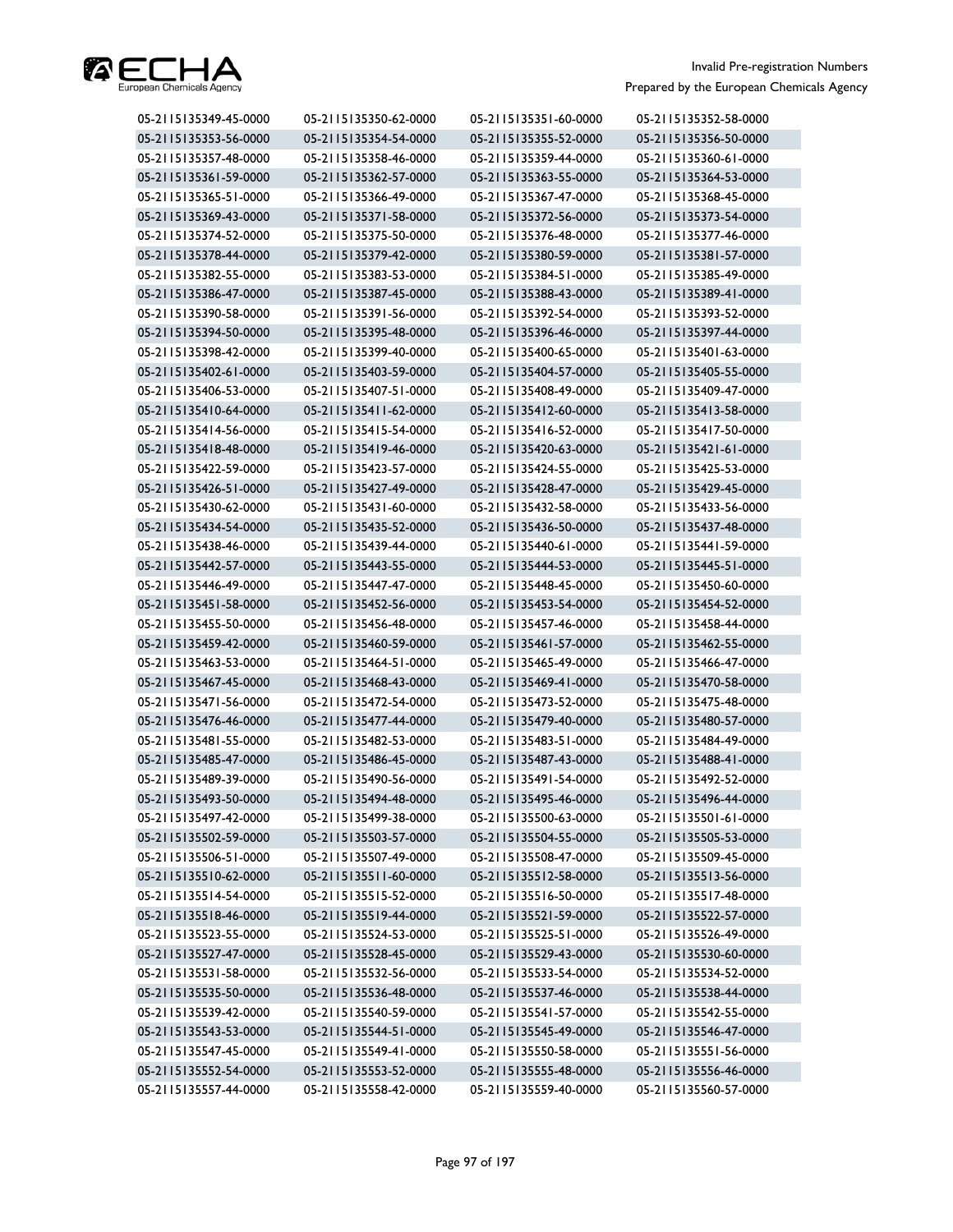

| 05-2115135349-45-0000 | 05-2115135350-62-0000 | 05-2115135351-60-0000 | 05-2115135352-58-0000 |
|-----------------------|-----------------------|-----------------------|-----------------------|
| 05-2115135353-56-0000 | 05-2115135354-54-0000 | 05-2115135355-52-0000 | 05-2115135356-50-0000 |
| 05-2115135357-48-0000 | 05-2115135358-46-0000 | 05-2115135359-44-0000 | 05-2115135360-61-0000 |
| 05-2115135361-59-0000 | 05-2115135362-57-0000 | 05-2115135363-55-0000 | 05-2115135364-53-0000 |
| 05-2115135365-51-0000 | 05-2115135366-49-0000 | 05-2115135367-47-0000 | 05-2115135368-45-0000 |
| 05-2115135369-43-0000 | 05-2115135371-58-0000 | 05-2115135372-56-0000 | 05-2115135373-54-0000 |
| 05-2115135374-52-0000 | 05-2115135375-50-0000 | 05-2115135376-48-0000 | 05-2115135377-46-0000 |
| 05-2115135378-44-0000 | 05-2115135379-42-0000 | 05-2115135380-59-0000 | 05-2115135381-57-0000 |
| 05-2115135382-55-0000 | 05-2115135383-53-0000 | 05-2115135384-51-0000 | 05-2115135385-49-0000 |
| 05-2115135386-47-0000 | 05-2115135387-45-0000 | 05-2115135388-43-0000 | 05-2115135389-41-0000 |
| 05-2115135390-58-0000 | 05-2115135391-56-0000 | 05-2115135392-54-0000 | 05-2115135393-52-0000 |
| 05-2115135394-50-0000 | 05-2115135395-48-0000 | 05-2115135396-46-0000 | 05-2115135397-44-0000 |
| 05-2115135398-42-0000 | 05-2115135399-40-0000 | 05-2115135400-65-0000 | 05-2115135401-63-0000 |
| 05-2115135402-61-0000 | 05-2115135403-59-0000 | 05-2115135404-57-0000 | 05-2115135405-55-0000 |
| 05-2115135406-53-0000 | 05-2115135407-51-0000 | 05-2115135408-49-0000 | 05-2115135409-47-0000 |
| 05-2115135410-64-0000 | 05-2115135411-62-0000 | 05-2115135412-60-0000 | 05-2115135413-58-0000 |
| 05-2115135414-56-0000 | 05-2115135415-54-0000 | 05-2115135416-52-0000 | 05-2115135417-50-0000 |
| 05-2115135418-48-0000 | 05-2115135419-46-0000 | 05-2115135420-63-0000 | 05-2115135421-61-0000 |
| 05-2115135422-59-0000 | 05-2115135423-57-0000 | 05-2115135424-55-0000 | 05-2115135425-53-0000 |
| 05-2115135426-51-0000 | 05-2115135427-49-0000 | 05-2115135428-47-0000 | 05-2115135429-45-0000 |
| 05-2115135430-62-0000 | 05-2115135431-60-0000 | 05-2115135432-58-0000 | 05-2115135433-56-0000 |
| 05-2115135434-54-0000 | 05-2115135435-52-0000 | 05-2115135436-50-0000 | 05-2115135437-48-0000 |
| 05-2115135438-46-0000 | 05-2115135439-44-0000 | 05-2115135440-61-0000 | 05-2115135441-59-0000 |
| 05-2115135442-57-0000 | 05-2115135443-55-0000 | 05-2115135444-53-0000 | 05-2115135445-51-0000 |
| 05-2115135446-49-0000 | 05-2115135447-47-0000 | 05-2115135448-45-0000 | 05-2115135450-60-0000 |
| 05-2115135451-58-0000 | 05-2115135452-56-0000 | 05-2115135453-54-0000 | 05-2115135454-52-0000 |
| 05-2115135455-50-0000 | 05-2115135456-48-0000 | 05-2115135457-46-0000 | 05-2115135458-44-0000 |
| 05-2115135459-42-0000 | 05-2115135460-59-0000 | 05-2115135461-57-0000 | 05-2115135462-55-0000 |
| 05-2115135463-53-0000 | 05-2115135464-51-0000 | 05-2115135465-49-0000 | 05-2115135466-47-0000 |
| 05-2115135467-45-0000 | 05-2115135468-43-0000 | 05-2115135469-41-0000 | 05-2115135470-58-0000 |
| 05-2115135471-56-0000 | 05-2115135472-54-0000 | 05-2115135473-52-0000 | 05-2115135475-48-0000 |
| 05-2115135476-46-0000 | 05-2115135477-44-0000 | 05-2115135479-40-0000 | 05-2115135480-57-0000 |
| 05-2115135481-55-0000 | 05-2115135482-53-0000 | 05-2115135483-51-0000 | 05-2115135484-49-0000 |
| 05-2115135485-47-0000 | 05-2115135486-45-0000 | 05-2115135487-43-0000 | 05-2115135488-41-0000 |
| 05-2115135489-39-0000 | 05-2115135490-56-0000 | 05-2115135491-54-0000 | 05-2115135492-52-0000 |
| 05-2115135493-50-0000 | 05-2115135494-48-0000 | 05-2115135495-46-0000 | 05-2115135496-44-0000 |
| 05-2115135497-42-0000 | 05-2115135499-38-0000 | 05-2115135500-63-0000 | 05-2115135501-61-0000 |
| 05-2115135502-59-0000 | 05-2115135503-57-0000 | 05-2115135504-55-0000 | 05-2115135505-53-0000 |
| 05-2115135506-51-0000 | 05-2115135507-49-0000 | 05-2115135508-47-0000 | 05-2115135509-45-0000 |
| 05-2115135510-62-0000 | 05-2115135511-60-0000 | 05-2115135512-58-0000 | 05-2115135513-56-0000 |
| 05-2115135514-54-0000 | 05-2115135515-52-0000 | 05-2115135516-50-0000 | 05-2115135517-48-0000 |
| 05-2115135518-46-0000 | 05-2115135519-44-0000 | 05-2115135521-59-0000 | 05-2115135522-57-0000 |
| 05-2115135523-55-0000 | 05-2115135524-53-0000 | 05-2115135525-51-0000 | 05-2115135526-49-0000 |
| 05-2115135527-47-0000 | 05-2115135528-45-0000 | 05-2115135529-43-0000 | 05-2115135530-60-0000 |
| 05-2115135531-58-0000 | 05-2115135532-56-0000 | 05-2115135533-54-0000 | 05-2115135534-52-0000 |
| 05-2115135535-50-0000 | 05-2115135536-48-0000 | 05-2115135537-46-0000 | 05-2115135538-44-0000 |
| 05-2115135539-42-0000 | 05-2115135540-59-0000 | 05-2115135541-57-0000 | 05-2115135542-55-0000 |
| 05-2115135543-53-0000 | 05-2115135544-51-0000 | 05-2115135545-49-0000 | 05-2115135546-47-0000 |
| 05-2115135547-45-0000 | 05-2115135549-41-0000 | 05-2115135550-58-0000 | 05-2115135551-56-0000 |
| 05-2115135552-54-0000 | 05-2115135553-52-0000 | 05-2115135555-48-0000 | 05-2115135556-46-0000 |
| 05-2115135557-44-0000 | 05-2115135558-42-0000 | 05-2115135559-40-0000 | 05-2115135560-57-0000 |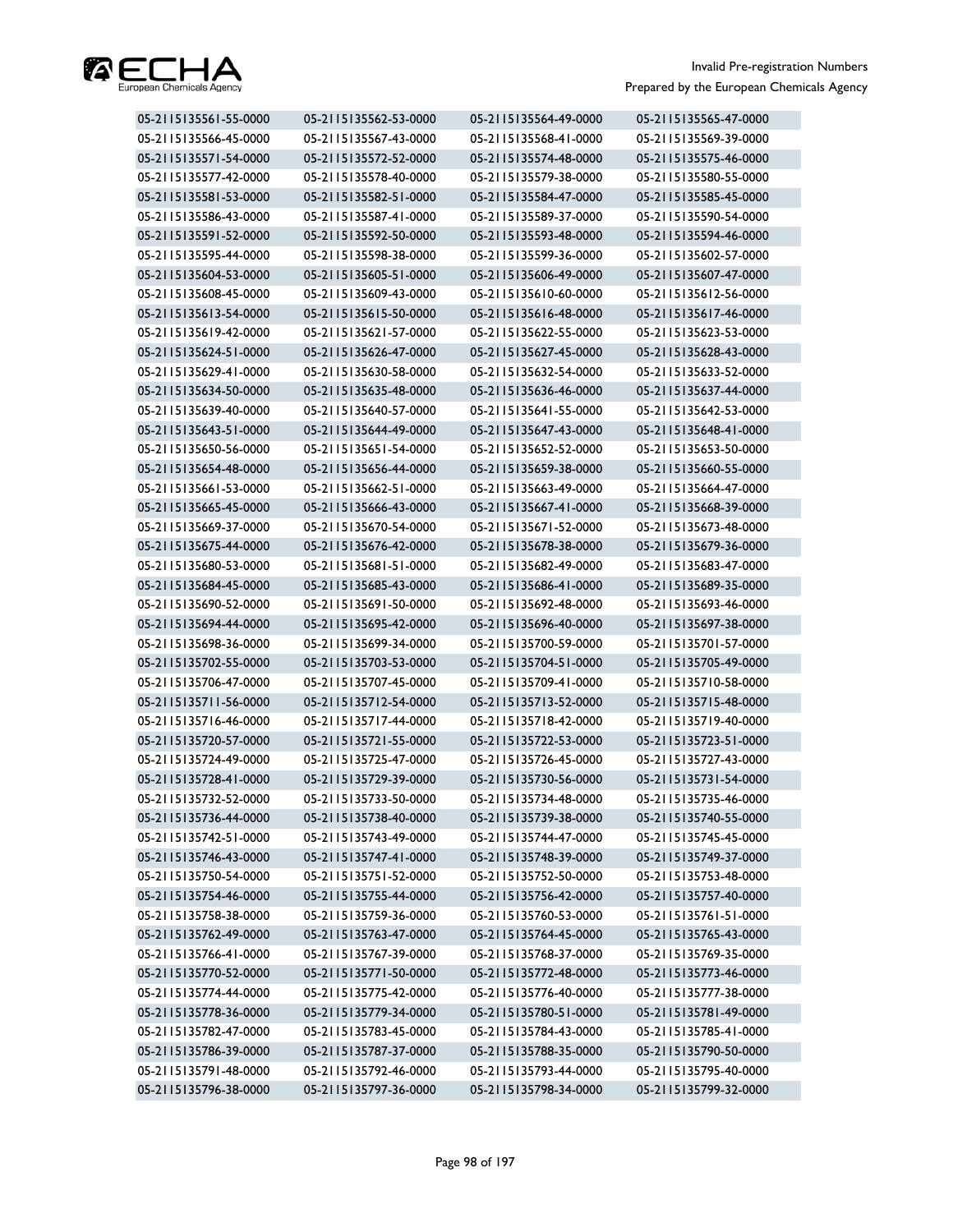

| 05-2115135561-55-0000 | 05-2115135562-53-0000 | 05-2115135564-49-0000 | 05-2115135565-47-0000 |
|-----------------------|-----------------------|-----------------------|-----------------------|
| 05-2115135566-45-0000 | 05-2115135567-43-0000 | 05-2115135568-41-0000 | 05-2115135569-39-0000 |
| 05-2115135571-54-0000 | 05-2115135572-52-0000 | 05-2115135574-48-0000 | 05-2115135575-46-0000 |
| 05-2115135577-42-0000 | 05-2115135578-40-0000 | 05-2115135579-38-0000 | 05-2115135580-55-0000 |
| 05-2115135581-53-0000 | 05-2115135582-51-0000 | 05-2115135584-47-0000 | 05-2115135585-45-0000 |
| 05-2115135586-43-0000 | 05-2115135587-41-0000 | 05-2115135589-37-0000 | 05-2115135590-54-0000 |
| 05-2115135591-52-0000 | 05-2115135592-50-0000 | 05-2115135593-48-0000 | 05-2115135594-46-0000 |
| 05-2115135595-44-0000 | 05-2115135598-38-0000 | 05-2115135599-36-0000 | 05-2115135602-57-0000 |
| 05-2115135604-53-0000 | 05-2115135605-51-0000 | 05-2115135606-49-0000 | 05-2115135607-47-0000 |
| 05-2115135608-45-0000 | 05-2115135609-43-0000 | 05-2115135610-60-0000 | 05-2115135612-56-0000 |
| 05-2115135613-54-0000 | 05-2115135615-50-0000 | 05-2115135616-48-0000 | 05-2115135617-46-0000 |
| 05-2115135619-42-0000 | 05-2115135621-57-0000 | 05-2115135622-55-0000 | 05-2115135623-53-0000 |
| 05-2115135624-51-0000 | 05-2115135626-47-0000 | 05-2115135627-45-0000 | 05-2115135628-43-0000 |
| 05-2115135629-41-0000 | 05-2115135630-58-0000 | 05-2115135632-54-0000 | 05-2115135633-52-0000 |
| 05-2115135634-50-0000 | 05-2115135635-48-0000 | 05-2115135636-46-0000 | 05-2115135637-44-0000 |
| 05-2115135639-40-0000 | 05-2115135640-57-0000 | 05-2115135641-55-0000 | 05-2115135642-53-0000 |
| 05-2115135643-51-0000 | 05-2115135644-49-0000 | 05-2115135647-43-0000 | 05-2115135648-41-0000 |
| 05-2115135650-56-0000 | 05-2115135651-54-0000 | 05-2115135652-52-0000 | 05-2115135653-50-0000 |
| 05-2115135654-48-0000 | 05-2115135656-44-0000 | 05-2115135659-38-0000 | 05-2115135660-55-0000 |
| 05-2115135661-53-0000 | 05-2115135662-51-0000 | 05-2115135663-49-0000 | 05-2115135664-47-0000 |
| 05-2115135665-45-0000 | 05-2115135666-43-0000 | 05-2115135667-41-0000 | 05-2115135668-39-0000 |
| 05-2115135669-37-0000 | 05-2115135670-54-0000 | 05-2115135671-52-0000 | 05-2115135673-48-0000 |
| 05-2115135675-44-0000 | 05-2115135676-42-0000 | 05-2115135678-38-0000 | 05-2115135679-36-0000 |
| 05-2115135680-53-0000 | 05-2115135681-51-0000 | 05-2115135682-49-0000 | 05-2115135683-47-0000 |
| 05-2115135684-45-0000 | 05-2115135685-43-0000 | 05-2115135686-41-0000 | 05-2115135689-35-0000 |
| 05-2115135690-52-0000 | 05-2115135691-50-0000 | 05-2115135692-48-0000 | 05-2115135693-46-0000 |
| 05-2115135694-44-0000 | 05-2115135695-42-0000 | 05-2115135696-40-0000 | 05-2115135697-38-0000 |
| 05-2115135698-36-0000 | 05-2115135699-34-0000 | 05-2115135700-59-0000 | 05-2115135701-57-0000 |
| 05-2115135702-55-0000 | 05-2115135703-53-0000 | 05-2115135704-51-0000 | 05-2115135705-49-0000 |
| 05-2115135706-47-0000 | 05-2115135707-45-0000 | 05-2115135709-41-0000 | 05-2115135710-58-0000 |
| 05-2115135711-56-0000 | 05-2115135712-54-0000 | 05-2115135713-52-0000 | 05-2115135715-48-0000 |
| 05-2115135716-46-0000 | 05-2115135717-44-0000 | 05-2115135718-42-0000 | 05-2115135719-40-0000 |
| 05-2115135720-57-0000 | 05-2115135721-55-0000 | 05-2115135722-53-0000 | 05-2115135723-51-0000 |
| 05-2115135724-49-0000 | 05-2115135725-47-0000 | 05-2115135726-45-0000 | 05-2115135727-43-0000 |
| 05-2115135728-41-0000 | 05-2115135729-39-0000 | 05-2115135730-56-0000 | 05-2115135731-54-0000 |
| 05-2115135732-52-0000 | 05-2115135733-50-0000 | 05-2115135734-48-0000 | 05-2115135735-46-0000 |
| 05-2115135736-44-0000 | 05-2115135738-40-0000 | 05-2115135739-38-0000 | 05-2115135740-55-0000 |
| 05-2115135742-51-0000 | 05-2115135743-49-0000 | 05-2115135744-47-0000 | 05-2115135745-45-0000 |
| 05-2115135746-43-0000 | 05-2115135747-41-0000 | 05-2115135748-39-0000 | 05-2115135749-37-0000 |
| 05-2115135750-54-0000 | 05-2115135751-52-0000 | 05-2115135752-50-0000 | 05-2115135753-48-0000 |
| 05-2115135754-46-0000 | 05-2115135755-44-0000 | 05-2115135756-42-0000 | 05-2115135757-40-0000 |
| 05-2115135758-38-0000 | 05-2115135759-36-0000 | 05-2115135760-53-0000 | 05-2115135761-51-0000 |
| 05-2115135762-49-0000 | 05-2115135763-47-0000 | 05-2115135764-45-0000 | 05-2115135765-43-0000 |
| 05-2115135766-41-0000 | 05-2115135767-39-0000 | 05-2115135768-37-0000 | 05-2115135769-35-0000 |
| 05-2115135770-52-0000 | 05-2115135771-50-0000 | 05-2115135772-48-0000 | 05-2115135773-46-0000 |
| 05-2115135774-44-0000 | 05-2115135775-42-0000 | 05-2115135776-40-0000 | 05-2115135777-38-0000 |
| 05-2115135778-36-0000 | 05-2115135779-34-0000 | 05-2115135780-51-0000 | 05-2115135781-49-0000 |
| 05-2115135782-47-0000 | 05-2115135783-45-0000 | 05-2115135784-43-0000 | 05-2115135785-41-0000 |
| 05-2115135786-39-0000 | 05-2115135787-37-0000 | 05-2115135788-35-0000 | 05-2115135790-50-0000 |
| 05-2115135791-48-0000 | 05-2115135792-46-0000 | 05-2115135793-44-0000 | 05-2115135795-40-0000 |
| 05-2115135796-38-0000 | 05-2115135797-36-0000 | 05-2115135798-34-0000 | 05-2115135799-32-0000 |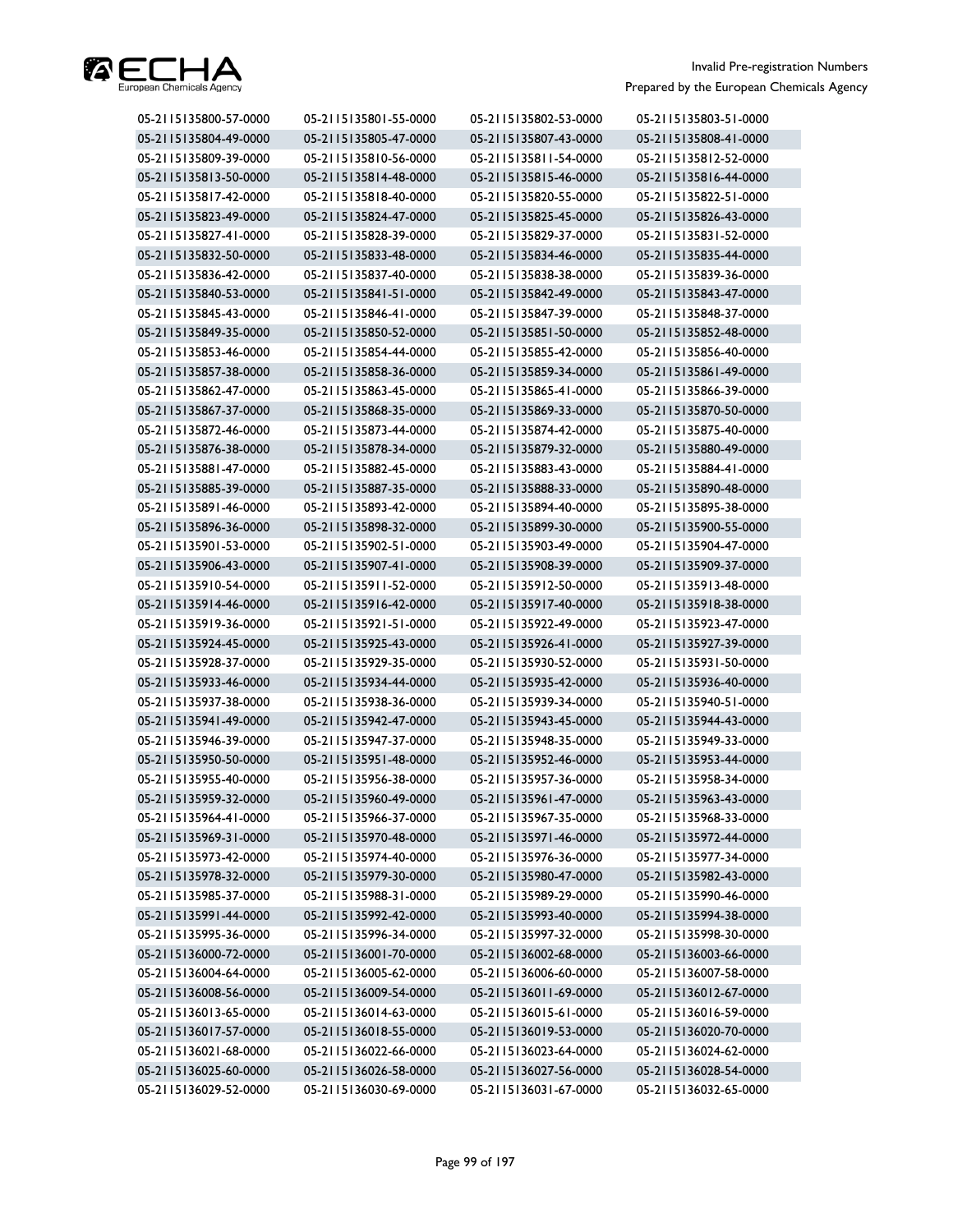

| 05-2115135800-57-0000 | 05-2115135801-55-0000 | 05-2115135802-53-0000 | 05-2115135803-51-0000 |
|-----------------------|-----------------------|-----------------------|-----------------------|
| 05-2115135804-49-0000 | 05-2115135805-47-0000 | 05-2115135807-43-0000 | 05-2115135808-41-0000 |
| 05-2115135809-39-0000 | 05-2115135810-56-0000 | 05-2115135811-54-0000 | 05-2115135812-52-0000 |
| 05-2115135813-50-0000 | 05-2115135814-48-0000 | 05-2115135815-46-0000 | 05-2115135816-44-0000 |
| 05-2115135817-42-0000 | 05-2115135818-40-0000 | 05-2115135820-55-0000 | 05-2115135822-51-0000 |
| 05-2115135823-49-0000 | 05-2115135824-47-0000 | 05-2115135825-45-0000 | 05-2115135826-43-0000 |
| 05-2115135827-41-0000 | 05-2115135828-39-0000 | 05-2115135829-37-0000 | 05-2115135831-52-0000 |
| 05-2115135832-50-0000 | 05-2115135833-48-0000 | 05-2115135834-46-0000 | 05-2115135835-44-0000 |
| 05-2115135836-42-0000 | 05-2115135837-40-0000 | 05-2115135838-38-0000 | 05-2115135839-36-0000 |
| 05-2115135840-53-0000 | 05-2115135841-51-0000 | 05-2115135842-49-0000 | 05-2115135843-47-0000 |
| 05-2115135845-43-0000 | 05-2115135846-41-0000 | 05-2115135847-39-0000 | 05-2115135848-37-0000 |
| 05-2115135849-35-0000 | 05-2115135850-52-0000 | 05-2115135851-50-0000 | 05-2115135852-48-0000 |
| 05-2115135853-46-0000 | 05-2115135854-44-0000 | 05-2115135855-42-0000 | 05-2115135856-40-0000 |
| 05-2115135857-38-0000 | 05-2115135858-36-0000 | 05-2115135859-34-0000 | 05-2115135861-49-0000 |
| 05-2115135862-47-0000 | 05-2115135863-45-0000 | 05-2115135865-41-0000 | 05-2115135866-39-0000 |
| 05-2115135867-37-0000 | 05-2115135868-35-0000 | 05-2115135869-33-0000 | 05-2115135870-50-0000 |
| 05-2115135872-46-0000 | 05-2115135873-44-0000 | 05-2115135874-42-0000 | 05-2115135875-40-0000 |
| 05-2115135876-38-0000 | 05-2115135878-34-0000 | 05-2115135879-32-0000 | 05-2115135880-49-0000 |
| 05-2115135881-47-0000 | 05-2115135882-45-0000 | 05-2115135883-43-0000 | 05-2115135884-41-0000 |
| 05-2115135885-39-0000 | 05-2115135887-35-0000 | 05-2115135888-33-0000 | 05-2115135890-48-0000 |
| 05-2115135891-46-0000 | 05-2115135893-42-0000 | 05-2115135894-40-0000 | 05-2115135895-38-0000 |
| 05-2115135896-36-0000 | 05-2115135898-32-0000 | 05-2115135899-30-0000 | 05-2115135900-55-0000 |
| 05-2115135901-53-0000 | 05-2115135902-51-0000 | 05-2115135903-49-0000 | 05-2115135904-47-0000 |
| 05-2115135906-43-0000 | 05-2115135907-41-0000 | 05-2115135908-39-0000 | 05-2115135909-37-0000 |
| 05-2115135910-54-0000 | 05-2115135911-52-0000 | 05-2115135912-50-0000 | 05-2115135913-48-0000 |
| 05-2115135914-46-0000 | 05-2115135916-42-0000 | 05-2115135917-40-0000 | 05-2115135918-38-0000 |
| 05-2115135919-36-0000 | 05-2115135921-51-0000 | 05-2115135922-49-0000 | 05-2115135923-47-0000 |
| 05-2115135924-45-0000 | 05-2115135925-43-0000 | 05-2115135926-41-0000 | 05-2115135927-39-0000 |
| 05-2115135928-37-0000 | 05-2115135929-35-0000 | 05-2115135930-52-0000 | 05-2115135931-50-0000 |
| 05-2115135933-46-0000 | 05-2115135934-44-0000 | 05-2115135935-42-0000 | 05-2115135936-40-0000 |
| 05-2115135937-38-0000 | 05-2115135938-36-0000 | 05-2115135939-34-0000 | 05-2115135940-51-0000 |
| 05-2115135941-49-0000 | 05-2115135942-47-0000 | 05-2115135943-45-0000 | 05-2115135944-43-0000 |
| 05-2115135946-39-0000 | 05-2115135947-37-0000 | 05-2115135948-35-0000 | 05-2115135949-33-0000 |
| 05-2115135950-50-0000 | 05-2115135951-48-0000 | 05-2115135952-46-0000 | 05-2115135953-44-0000 |
| 05-2115135955-40-0000 | 05-2115135956-38-0000 | 05-2115135957-36-0000 | 05-2115135958-34-0000 |
| 05-2115135959-32-0000 | 05-2115135960-49-0000 | 05-2115135961-47-0000 | 05-2115135963-43-0000 |
| 05-2115135964-41-0000 | 05-2115135966-37-0000 | 05-2115135967-35-0000 | 05-2115135968-33-0000 |
| 05-2115135969-31-0000 | 05-2115135970-48-0000 | 05-2115135971-46-0000 | 05-2115135972-44-0000 |
| 05-2115135973-42-0000 | 05-2115135974-40-0000 | 05-2115135976-36-0000 | 05-2115135977-34-0000 |
| 05-2115135978-32-0000 | 05-2115135979-30-0000 | 05-2115135980-47-0000 | 05-2115135982-43-0000 |
| 05-2115135985-37-0000 | 05-2115135988-31-0000 | 05-2115135989-29-0000 | 05-2115135990-46-0000 |
| 05-2115135991-44-0000 | 05-2115135992-42-0000 | 05-2115135993-40-0000 | 05-2115135994-38-0000 |
| 05-2115135995-36-0000 | 05-2115135996-34-0000 | 05-2115135997-32-0000 | 05-2115135998-30-0000 |
| 05-2115136000-72-0000 | 05-2115136001-70-0000 | 05-2115136002-68-0000 | 05-2115136003-66-0000 |
| 05-2115136004-64-0000 | 05-2115136005-62-0000 | 05-2115136006-60-0000 | 05-2115136007-58-0000 |
| 05-2115136008-56-0000 | 05-2115136009-54-0000 | 05-2115136011-69-0000 | 05-2115136012-67-0000 |
| 05-2115136013-65-0000 | 05-2115136014-63-0000 | 05-2115136015-61-0000 | 05-2115136016-59-0000 |
| 05-2115136017-57-0000 | 05-2115136018-55-0000 | 05-2115136019-53-0000 | 05-2115136020-70-0000 |
| 05-2115136021-68-0000 | 05-2115136022-66-0000 | 05-2115136023-64-0000 | 05-2115136024-62-0000 |
| 05-2115136025-60-0000 | 05-2115136026-58-0000 | 05-2115136027-56-0000 | 05-2115136028-54-0000 |
| 05-2115136029-52-0000 | 05-2115136030-69-0000 | 05-2115136031-67-0000 | 05-2115136032-65-0000 |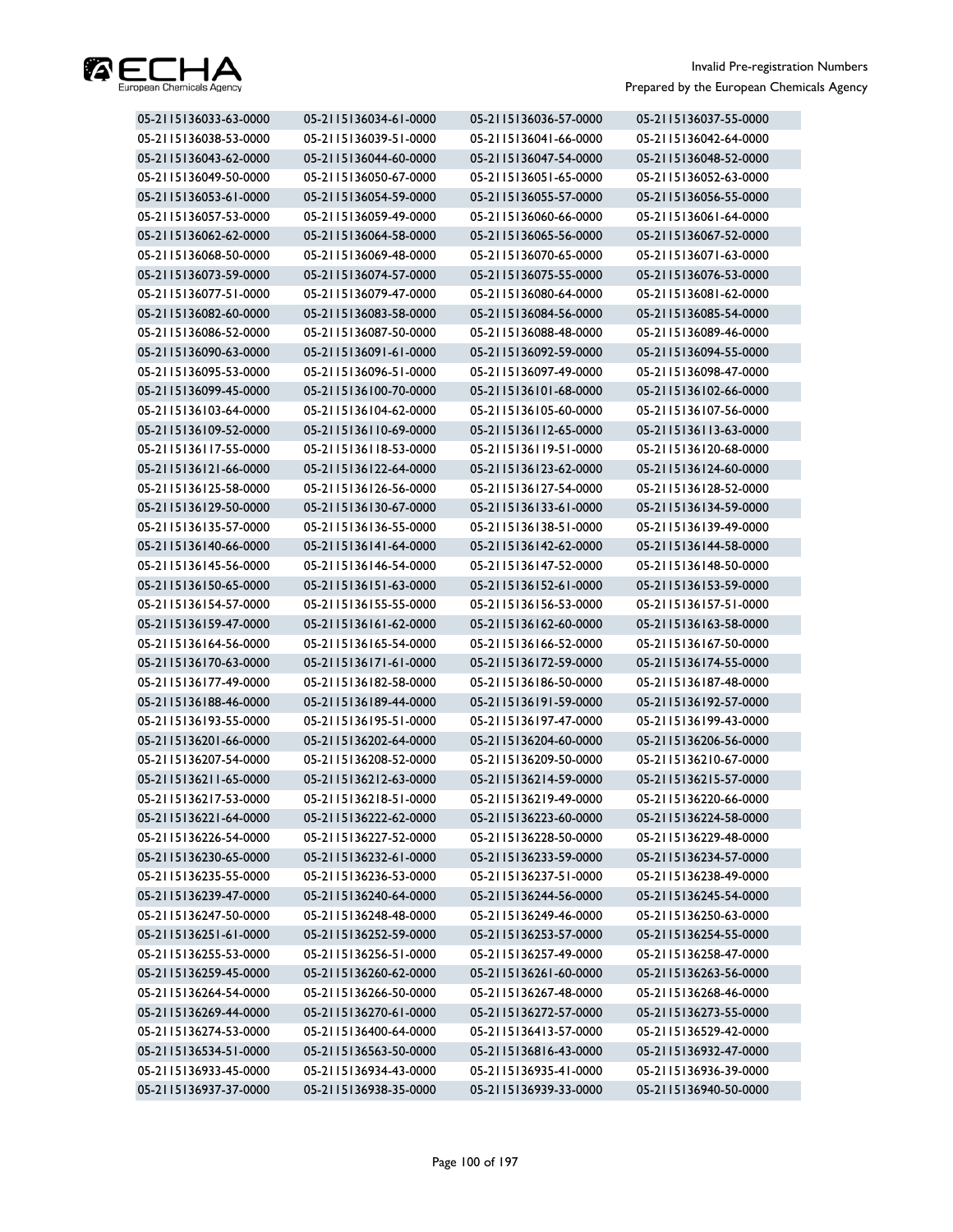

| 05-2115136033-63-0000 | 05-2115136034-61-0000 | 05-2115136036-57-0000 | 05-2115136037-55-0000 |
|-----------------------|-----------------------|-----------------------|-----------------------|
| 05-2115136038-53-0000 | 05-2115136039-51-0000 | 05-2115136041-66-0000 | 05-2115136042-64-0000 |
| 05-2115136043-62-0000 | 05-2115136044-60-0000 | 05-2115136047-54-0000 | 05-2115136048-52-0000 |
| 05-2115136049-50-0000 | 05-2115136050-67-0000 | 05-2115136051-65-0000 | 05-2115136052-63-0000 |
| 05-2115136053-61-0000 | 05-2115136054-59-0000 | 05-2115136055-57-0000 | 05-2115136056-55-0000 |
| 05-2115136057-53-0000 | 05-2115136059-49-0000 | 05-2115136060-66-0000 | 05-2115136061-64-0000 |
| 05-2115136062-62-0000 | 05-2115136064-58-0000 | 05-2115136065-56-0000 | 05-2115136067-52-0000 |
| 05-2115136068-50-0000 | 05-2115136069-48-0000 | 05-2115136070-65-0000 | 05-2115136071-63-0000 |
| 05-2115136073-59-0000 | 05-2115136074-57-0000 | 05-2115136075-55-0000 | 05-2115136076-53-0000 |
| 05-2115136077-51-0000 | 05-2115136079-47-0000 | 05-2115136080-64-0000 | 05-2115136081-62-0000 |
| 05-2115136082-60-0000 | 05-2115136083-58-0000 | 05-2115136084-56-0000 | 05-2115136085-54-0000 |
| 05-2115136086-52-0000 | 05-2115136087-50-0000 | 05-2115136088-48-0000 | 05-2115136089-46-0000 |
| 05-2115136090-63-0000 | 05-2115136091-61-0000 | 05-2115136092-59-0000 | 05-2115136094-55-0000 |
| 05-2115136095-53-0000 | 05-2115136096-51-0000 | 05-2115136097-49-0000 | 05-2115136098-47-0000 |
| 05-2115136099-45-0000 | 05-2115136100-70-0000 | 05-2115136101-68-0000 | 05-2115136102-66-0000 |
| 05-2115136103-64-0000 | 05-2115136104-62-0000 | 05-2115136105-60-0000 | 05-2115136107-56-0000 |
| 05-2115136109-52-0000 | 05-2115136110-69-0000 | 05-2115136112-65-0000 | 05-2115136113-63-0000 |
| 05-2115136117-55-0000 | 05-2115136118-53-0000 | 05-2115136119-51-0000 | 05-2115136120-68-0000 |
| 05-2115136121-66-0000 | 05-2115136122-64-0000 | 05-2115136123-62-0000 | 05-2115136124-60-0000 |
| 05-2115136125-58-0000 | 05-2115136126-56-0000 | 05-2115136127-54-0000 | 05-2115136128-52-0000 |
| 05-2115136129-50-0000 | 05-2115136130-67-0000 | 05-2115136133-61-0000 | 05-2115136134-59-0000 |
| 05-2115136135-57-0000 | 05-2115136136-55-0000 | 05-2115136138-51-0000 | 05-2115136139-49-0000 |
| 05-2115136140-66-0000 | 05-2115136141-64-0000 | 05-2115136142-62-0000 | 05-2115136144-58-0000 |
| 05-2115136145-56-0000 | 05-2115136146-54-0000 | 05-2115136147-52-0000 | 05-2115136148-50-0000 |
| 05-2115136150-65-0000 | 05-2115136151-63-0000 | 05-2115136152-61-0000 | 05-2115136153-59-0000 |
| 05-2115136154-57-0000 | 05-2115136155-55-0000 | 05-2115136156-53-0000 | 05-2115136157-51-0000 |
| 05-2115136159-47-0000 | 05-2115136161-62-0000 | 05-2115136162-60-0000 | 05-2115136163-58-0000 |
| 05-2115136164-56-0000 | 05-2115136165-54-0000 | 05-2115136166-52-0000 | 05-2115136167-50-0000 |
| 05-2115136170-63-0000 | 05-2115136171-61-0000 | 05-2115136172-59-0000 | 05-2115136174-55-0000 |
| 05-2115136177-49-0000 | 05-2115136182-58-0000 | 05-2115136186-50-0000 | 05-2115136187-48-0000 |
| 05-2115136188-46-0000 | 05-2115136189-44-0000 | 05-2115136191-59-0000 | 05-2115136192-57-0000 |
| 05-2115136193-55-0000 | 05-2115136195-51-0000 | 05-2115136197-47-0000 | 05-2115136199-43-0000 |
| 05-2115136201-66-0000 | 05-2115136202-64-0000 | 05-2115136204-60-0000 | 05-2115136206-56-0000 |
| 05-2115136207-54-0000 | 05-2115136208-52-0000 | 05-2115136209-50-0000 | 05-2115136210-67-0000 |
| 05-2115136211-65-0000 | 05-2115136212-63-0000 | 05-2115136214-59-0000 | 05-2115136215-57-0000 |
| 05-2115136217-53-0000 | 05-2115136218-51-0000 | 05-2115136219-49-0000 | 05-2115136220-66-0000 |
| 05-2115136221-64-0000 | 05-2115136222-62-0000 | 05-2115136223-60-0000 | 05-2115136224-58-0000 |
| 05-2115136226-54-0000 | 05-2115136227-52-0000 | 05-2115136228-50-0000 | 05-2115136229-48-0000 |
| 05-2115136230-65-0000 | 05-2115136232-61-0000 | 05-2115136233-59-0000 | 05-2115136234-57-0000 |
| 05-2115136235-55-0000 | 05-2115136236-53-0000 | 05-2115136237-51-0000 | 05-2115136238-49-0000 |
| 05-2115136239-47-0000 | 05-2115136240-64-0000 | 05-2115136244-56-0000 | 05-2115136245-54-0000 |
| 05-2115136247-50-0000 | 05-2115136248-48-0000 | 05-2115136249-46-0000 | 05-2115136250-63-0000 |
| 05-2115136251-61-0000 | 05-2115136252-59-0000 | 05-2115136253-57-0000 | 05-2115136254-55-0000 |
| 05-2115136255-53-0000 | 05-2115136256-51-0000 | 05-2115136257-49-0000 | 05-2115136258-47-0000 |
| 05-2115136259-45-0000 | 05-2115136260-62-0000 | 05-2115136261-60-0000 | 05-2115136263-56-0000 |
| 05-2115136264-54-0000 | 05-2115136266-50-0000 | 05-2115136267-48-0000 | 05-2115136268-46-0000 |
| 05-2115136269-44-0000 | 05-2115136270-61-0000 | 05-2115136272-57-0000 | 05-2115136273-55-0000 |
| 05-2115136274-53-0000 | 05-2115136400-64-0000 | 05-2115136413-57-0000 | 05-2115136529-42-0000 |
| 05-2115136534-51-0000 | 05-2115136563-50-0000 | 05-2115136816-43-0000 | 05-2115136932-47-0000 |
| 05-2115136933-45-0000 | 05-2115136934-43-0000 | 05-2115136935-41-0000 | 05-2115136936-39-0000 |
| 05-2115136937-37-0000 | 05-2115136938-35-0000 | 05-2115136939-33-0000 | 05-2115136940-50-0000 |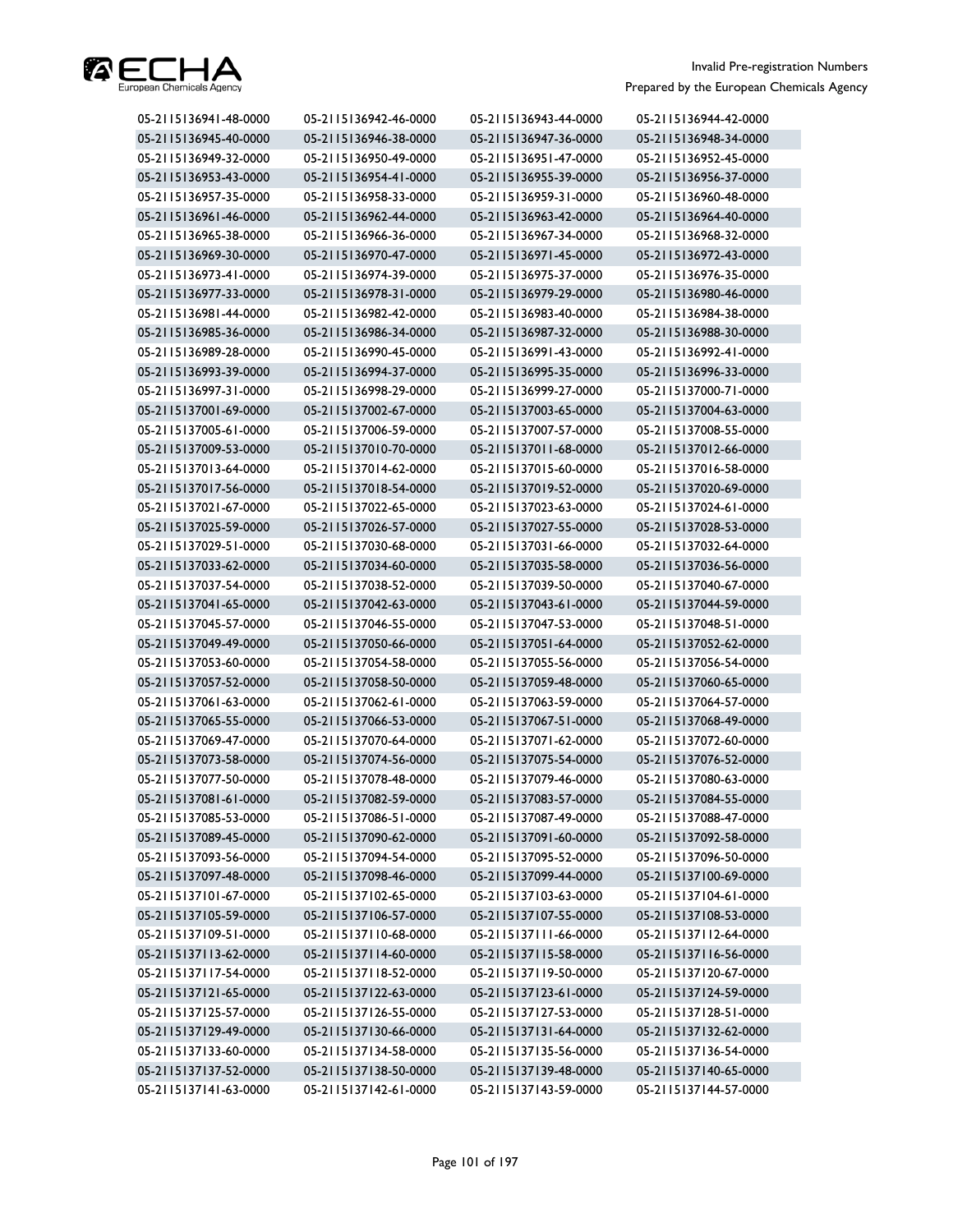

| 05-2115136941-48-0000 | 05-2115136942-46-0000 | 05-2115136943-44-0000 | 05-2115136944-42-0000 |
|-----------------------|-----------------------|-----------------------|-----------------------|
| 05-2115136945-40-0000 | 05-2115136946-38-0000 | 05-2115136947-36-0000 | 05-2115136948-34-0000 |
| 05-2115136949-32-0000 | 05-2115136950-49-0000 | 05-2115136951-47-0000 | 05-2115136952-45-0000 |
| 05-2115136953-43-0000 | 05-2115136954-41-0000 | 05-2115136955-39-0000 | 05-2115136956-37-0000 |
| 05-2115136957-35-0000 | 05-2115136958-33-0000 | 05-2115136959-31-0000 | 05-2115136960-48-0000 |
| 05-2115136961-46-0000 | 05-2115136962-44-0000 | 05-2115136963-42-0000 | 05-2115136964-40-0000 |
| 05-2115136965-38-0000 | 05-2115136966-36-0000 | 05-2115136967-34-0000 | 05-2115136968-32-0000 |
| 05-2115136969-30-0000 | 05-2115136970-47-0000 | 05-2115136971-45-0000 | 05-2115136972-43-0000 |
| 05-2115136973-41-0000 | 05-2115136974-39-0000 | 05-2115136975-37-0000 | 05-2115136976-35-0000 |
| 05-2115136977-33-0000 | 05-2115136978-31-0000 | 05-2115136979-29-0000 | 05-2115136980-46-0000 |
| 05-2115136981-44-0000 | 05-2115136982-42-0000 | 05-2115136983-40-0000 | 05-2115136984-38-0000 |
| 05-2115136985-36-0000 | 05-2115136986-34-0000 | 05-2115136987-32-0000 | 05-2115136988-30-0000 |
| 05-2115136989-28-0000 | 05-2115136990-45-0000 | 05-2115136991-43-0000 | 05-2115136992-41-0000 |
| 05-2115136993-39-0000 | 05-2115136994-37-0000 | 05-2115136995-35-0000 | 05-2115136996-33-0000 |
| 05-2115136997-31-0000 | 05-2115136998-29-0000 | 05-2115136999-27-0000 | 05-2115137000-71-0000 |
| 05-2115137001-69-0000 | 05-2115137002-67-0000 | 05-2115137003-65-0000 | 05-2115137004-63-0000 |
| 05-2115137005-61-0000 | 05-2115137006-59-0000 | 05-2115137007-57-0000 | 05-2115137008-55-0000 |
| 05-2115137009-53-0000 | 05-2115137010-70-0000 | 05-2115137011-68-0000 | 05-2115137012-66-0000 |
| 05-2115137013-64-0000 | 05-2115137014-62-0000 | 05-2115137015-60-0000 | 05-2115137016-58-0000 |
| 05-2115137017-56-0000 | 05-2115137018-54-0000 | 05-2115137019-52-0000 | 05-2115137020-69-0000 |
| 05-2115137021-67-0000 | 05-2115137022-65-0000 | 05-2115137023-63-0000 | 05-2115137024-61-0000 |
| 05-2115137025-59-0000 | 05-2115137026-57-0000 | 05-2115137027-55-0000 | 05-2115137028-53-0000 |
| 05-2115137029-51-0000 | 05-2115137030-68-0000 | 05-2115137031-66-0000 | 05-2115137032-64-0000 |
| 05-2115137033-62-0000 | 05-2115137034-60-0000 | 05-2115137035-58-0000 | 05-2115137036-56-0000 |
| 05-2115137037-54-0000 | 05-2115137038-52-0000 | 05-2115137039-50-0000 | 05-2115137040-67-0000 |
| 05-2115137041-65-0000 | 05-2115137042-63-0000 | 05-2115137043-61-0000 | 05-2115137044-59-0000 |
| 05-2115137045-57-0000 | 05-2115137046-55-0000 | 05-2115137047-53-0000 | 05-2115137048-51-0000 |
| 05-2115137049-49-0000 | 05-2115137050-66-0000 | 05-2115137051-64-0000 | 05-2115137052-62-0000 |
| 05-2115137053-60-0000 | 05-2115137054-58-0000 | 05-2115137055-56-0000 | 05-2115137056-54-0000 |
| 05-2115137057-52-0000 | 05-2115137058-50-0000 | 05-2115137059-48-0000 | 05-2115137060-65-0000 |
| 05-2115137061-63-0000 | 05-2115137062-61-0000 | 05-2115137063-59-0000 | 05-2115137064-57-0000 |
| 05-2115137065-55-0000 | 05-2115137066-53-0000 | 05-2115137067-51-0000 | 05-2115137068-49-0000 |
| 05-2115137069-47-0000 | 05-2115137070-64-0000 | 05-2115137071-62-0000 | 05-2115137072-60-0000 |
| 05-2115137073-58-0000 | 05-2115137074-56-0000 | 05-2115137075-54-0000 | 05-2115137076-52-0000 |
| 05-2115137077-50-0000 | 05-2115137078-48-0000 | 05-2115137079-46-0000 | 05-2115137080-63-0000 |
| 05-2115137081-61-0000 | 05-2115137082-59-0000 | 05-2115137083-57-0000 | 05-2115137084-55-0000 |
| 05-2115137085-53-0000 | 05-2115137086-51-0000 | 05-2115137087-49-0000 | 05-2115137088-47-0000 |
| 05-2115137089-45-0000 | 05-2115137090-62-0000 | 05-2115137091-60-0000 | 05-2115137092-58-0000 |
| 05-2115137093-56-0000 | 05-2115137094-54-0000 | 05-2115137095-52-0000 | 05-2115137096-50-0000 |
| 05-2115137097-48-0000 | 05-2115137098-46-0000 | 05-2115137099-44-0000 | 05-2115137100-69-0000 |
| 05-2115137101-67-0000 | 05-2115137102-65-0000 | 05-2115137103-63-0000 | 05-2115137104-61-0000 |
| 05-2115137105-59-0000 | 05-2115137106-57-0000 | 05-2115137107-55-0000 | 05-2115137108-53-0000 |
| 05-2115137109-51-0000 | 05-2115137110-68-0000 | 05-2115137111-66-0000 | 05-2115137112-64-0000 |
| 05-2115137113-62-0000 | 05-2115137114-60-0000 | 05-2115137115-58-0000 | 05-2115137116-56-0000 |
| 05-2115137117-54-0000 | 05-2115137118-52-0000 | 05-2115137119-50-0000 | 05-2115137120-67-0000 |
| 05-2115137121-65-0000 | 05-2115137122-63-0000 | 05-2115137123-61-0000 | 05-2115137124-59-0000 |
| 05-2115137125-57-0000 | 05-2115137126-55-0000 | 05-2115137127-53-0000 | 05-2115137128-51-0000 |
| 05-2115137129-49-0000 | 05-2115137130-66-0000 | 05-2115137131-64-0000 | 05-2115137132-62-0000 |
| 05-2115137133-60-0000 | 05-2115137134-58-0000 | 05-2115137135-56-0000 | 05-2115137136-54-0000 |
| 05-2115137137-52-0000 | 05-2115137138-50-0000 | 05-2115137139-48-0000 | 05-2115137140-65-0000 |
| 05-2115137141-63-0000 | 05-2115137142-61-0000 | 05-2115137143-59-0000 | 05-2115137144-57-0000 |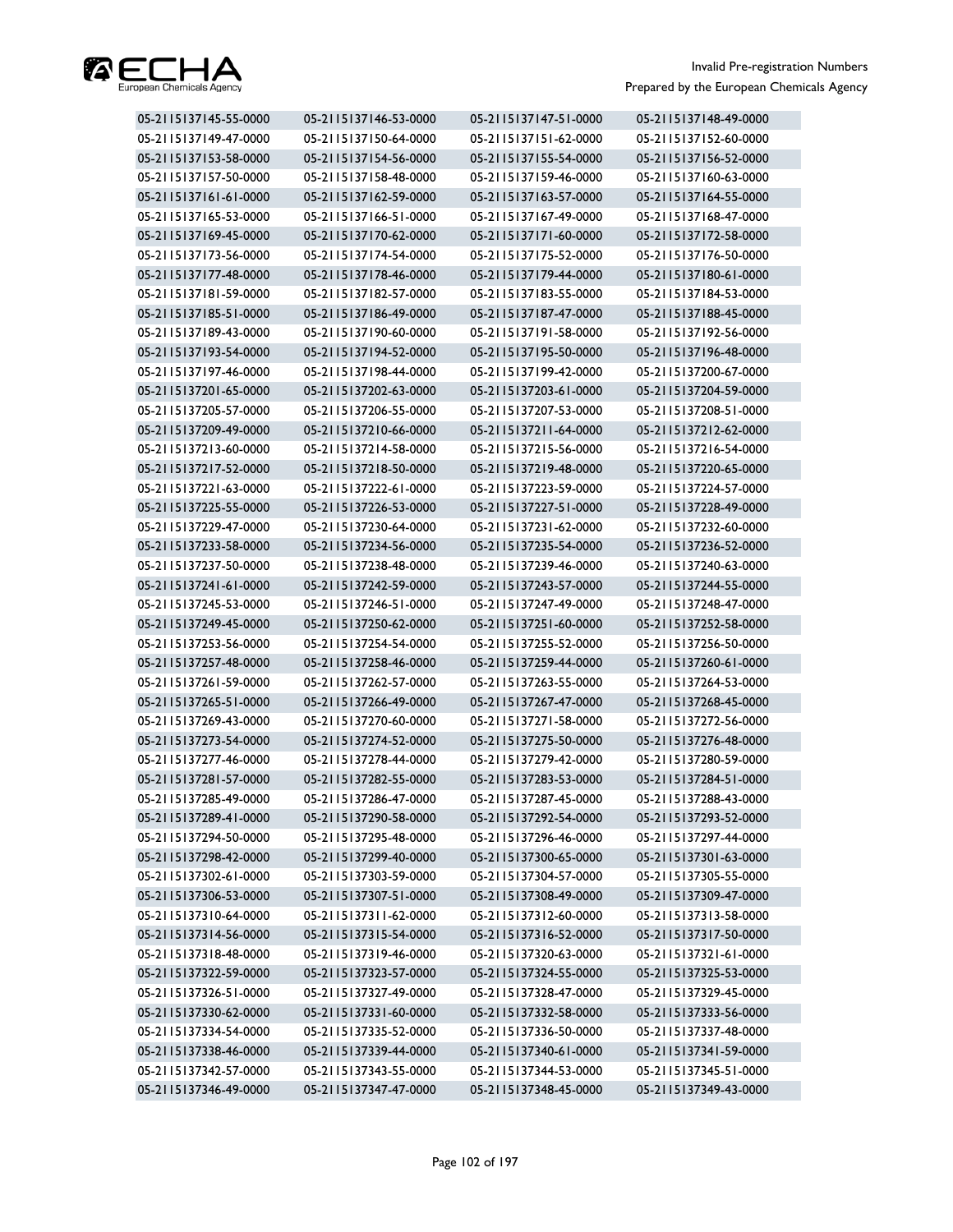

| 05-2115137145-55-0000 | 05-2115137146-53-0000 | 05-2115137147-51-0000 | 05-2115137148-49-0000 |
|-----------------------|-----------------------|-----------------------|-----------------------|
| 05-2115137149-47-0000 | 05-2115137150-64-0000 | 05-2115137151-62-0000 | 05-2115137152-60-0000 |
| 05-2115137153-58-0000 | 05-2115137154-56-0000 | 05-2115137155-54-0000 | 05-2115137156-52-0000 |
| 05-2115137157-50-0000 | 05-2115137158-48-0000 | 05-2115137159-46-0000 | 05-2115137160-63-0000 |
| 05-2115137161-61-0000 | 05-2115137162-59-0000 | 05-2115137163-57-0000 | 05-2115137164-55-0000 |
| 05-2115137165-53-0000 | 05-2115137166-51-0000 | 05-2115137167-49-0000 | 05-2115137168-47-0000 |
| 05-2115137169-45-0000 | 05-2115137170-62-0000 | 05-2115137171-60-0000 | 05-2115137172-58-0000 |
| 05-2115137173-56-0000 | 05-2115137174-54-0000 | 05-2115137175-52-0000 | 05-2115137176-50-0000 |
| 05-2115137177-48-0000 | 05-2115137178-46-0000 | 05-2115137179-44-0000 | 05-2115137180-61-0000 |
| 05-2115137181-59-0000 | 05-2115137182-57-0000 | 05-2115137183-55-0000 | 05-2115137184-53-0000 |
| 05-2115137185-51-0000 | 05-2115137186-49-0000 | 05-2115137187-47-0000 | 05-2115137188-45-0000 |
| 05-2115137189-43-0000 | 05-2115137190-60-0000 | 05-2115137191-58-0000 | 05-2115137192-56-0000 |
| 05-2115137193-54-0000 | 05-2115137194-52-0000 | 05-2115137195-50-0000 | 05-2115137196-48-0000 |
| 05-2115137197-46-0000 | 05-2115137198-44-0000 | 05-2115137199-42-0000 | 05-2115137200-67-0000 |
| 05-2115137201-65-0000 | 05-2115137202-63-0000 | 05-2115137203-61-0000 | 05-2115137204-59-0000 |
| 05-2115137205-57-0000 | 05-2115137206-55-0000 | 05-2115137207-53-0000 | 05-2115137208-51-0000 |
| 05-2115137209-49-0000 | 05-2115137210-66-0000 | 05-2115137211-64-0000 | 05-2115137212-62-0000 |
| 05-2115137213-60-0000 | 05-2115137214-58-0000 | 05-2115137215-56-0000 | 05-2115137216-54-0000 |
| 05-2115137217-52-0000 | 05-2115137218-50-0000 | 05-2115137219-48-0000 | 05-2115137220-65-0000 |
| 05-2115137221-63-0000 | 05-2115137222-61-0000 | 05-2115137223-59-0000 | 05-2115137224-57-0000 |
| 05-2115137225-55-0000 | 05-2115137226-53-0000 | 05-2115137227-51-0000 | 05-2115137228-49-0000 |
| 05-2115137229-47-0000 | 05-2115137230-64-0000 | 05-2115137231-62-0000 | 05-2115137232-60-0000 |
| 05-2115137233-58-0000 | 05-2115137234-56-0000 | 05-2115137235-54-0000 | 05-2115137236-52-0000 |
| 05-2115137237-50-0000 | 05-2115137238-48-0000 | 05-2115137239-46-0000 | 05-2115137240-63-0000 |
| 05-2115137241-61-0000 | 05-2115137242-59-0000 | 05-2115137243-57-0000 | 05-2115137244-55-0000 |
| 05-2115137245-53-0000 | 05-2115137246-51-0000 | 05-2115137247-49-0000 | 05-2115137248-47-0000 |
| 05-2115137249-45-0000 | 05-2115137250-62-0000 | 05-2115137251-60-0000 | 05-2115137252-58-0000 |
| 05-2115137253-56-0000 | 05-2115137254-54-0000 | 05-2115137255-52-0000 | 05-2115137256-50-0000 |
| 05-2115137257-48-0000 | 05-2115137258-46-0000 | 05-2115137259-44-0000 | 05-2115137260-61-0000 |
| 05-2115137261-59-0000 | 05-2115137262-57-0000 | 05-2115137263-55-0000 | 05-2115137264-53-0000 |
| 05-2115137265-51-0000 | 05-2115137266-49-0000 | 05-2115137267-47-0000 | 05-2115137268-45-0000 |
| 05-2115137269-43-0000 | 05-2115137270-60-0000 | 05-2115137271-58-0000 | 05-2115137272-56-0000 |
| 05-2115137273-54-0000 | 05-2115137274-52-0000 | 05-2115137275-50-0000 | 05-2115137276-48-0000 |
| 05-2115137277-46-0000 | 05-2115137278-44-0000 | 05-2115137279-42-0000 | 05-2115137280-59-0000 |
| 05-2115137281-57-0000 | 05-2115137282-55-0000 | 05-2115137283-53-0000 | 05-2115137284-51-0000 |
| 05-2115137285-49-0000 | 05-2115137286-47-0000 | 05-2115137287-45-0000 | 05-2115137288-43-0000 |
| 05-2115137289-41-0000 | 05-2115137290-58-0000 | 05-2115137292-54-0000 | 05-2115137293-52-0000 |
| 05-2115137294-50-0000 | 05-2115137295-48-0000 | 05-2115137296-46-0000 | 05-2115137297-44-0000 |
| 05-2115137298-42-0000 | 05-2115137299-40-0000 | 05-2115137300-65-0000 | 05-2115137301-63-0000 |
| 05-2115137302-61-0000 | 05-2115137303-59-0000 | 05-2115137304-57-0000 | 05-2115137305-55-0000 |
| 05-2115137306-53-0000 | 05-2115137307-51-0000 | 05-2115137308-49-0000 | 05-2115137309-47-0000 |
| 05-2115137310-64-0000 | 05-2115137311-62-0000 | 05-2115137312-60-0000 | 05-2115137313-58-0000 |
| 05-2115137314-56-0000 | 05-2115137315-54-0000 | 05-2115137316-52-0000 | 05-2115137317-50-0000 |
| 05-2115137318-48-0000 | 05-2115137319-46-0000 | 05-2115137320-63-0000 | 05-2115137321-61-0000 |
| 05-2115137322-59-0000 | 05-2115137323-57-0000 | 05-2115137324-55-0000 | 05-2115137325-53-0000 |
| 05-2115137326-51-0000 | 05-2115137327-49-0000 | 05-2115137328-47-0000 | 05-2115137329-45-0000 |
| 05-2115137330-62-0000 | 05-2115137331-60-0000 | 05-2115137332-58-0000 | 05-2115137333-56-0000 |
| 05-2115137334-54-0000 | 05-2115137335-52-0000 | 05-2115137336-50-0000 | 05-2115137337-48-0000 |
| 05-2115137338-46-0000 | 05-2115137339-44-0000 | 05-2115137340-61-0000 | 05-2115137341-59-0000 |
| 05-2115137342-57-0000 | 05-2115137343-55-0000 | 05-2115137344-53-0000 | 05-2115137345-51-0000 |
| 05-2115137346-49-0000 | 05-2115137347-47-0000 | 05-2115137348-45-0000 | 05-2115137349-43-0000 |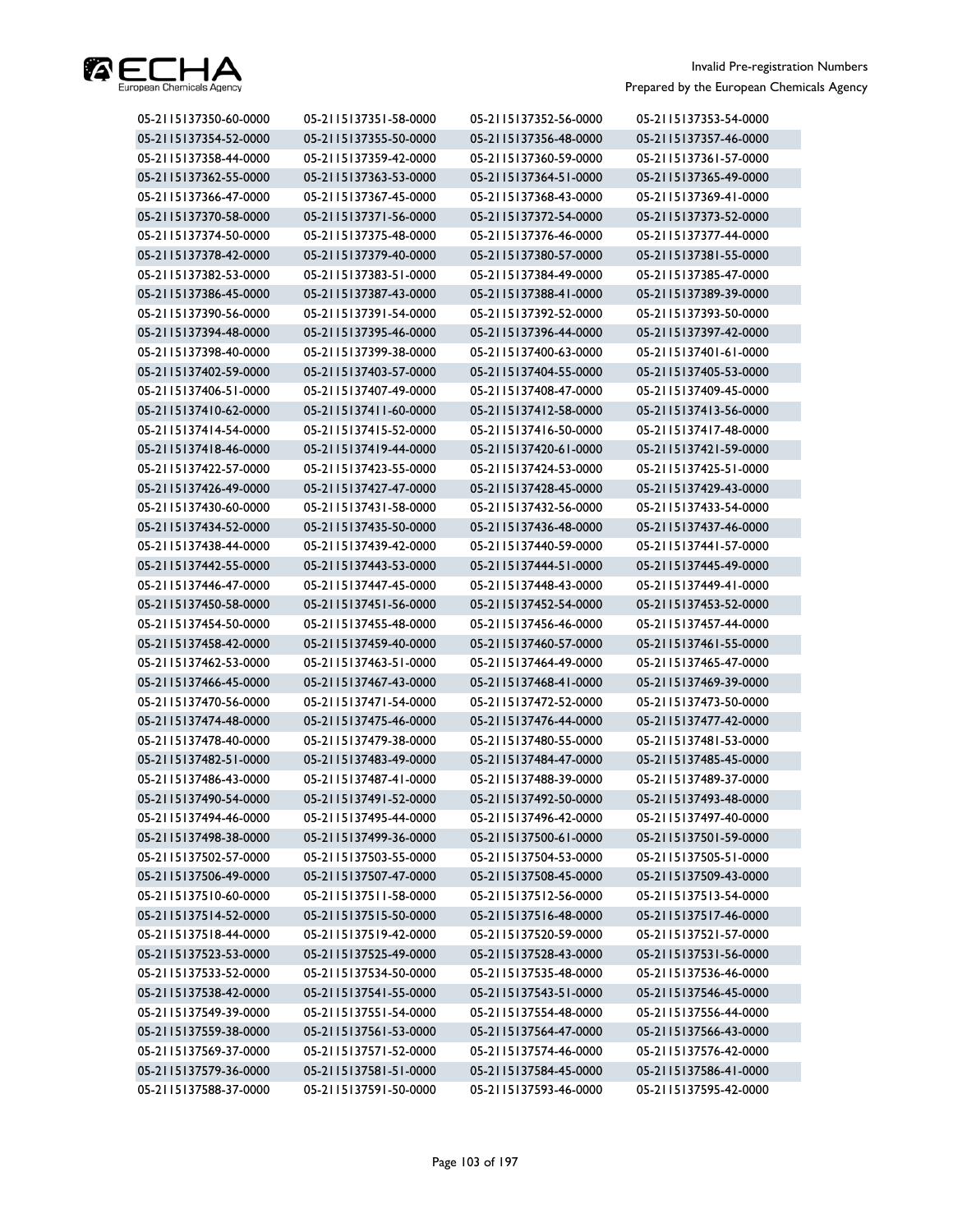

| 05-2115137350-60-0000 | 05-2115137351-58-0000 | 05-2115137352-56-0000 | 05-2115137353-54-0000 |
|-----------------------|-----------------------|-----------------------|-----------------------|
| 05-2115137354-52-0000 | 05-2115137355-50-0000 | 05-2115137356-48-0000 | 05-2115137357-46-0000 |
| 05-2115137358-44-0000 | 05-2115137359-42-0000 | 05-2115137360-59-0000 | 05-2115137361-57-0000 |
| 05-2115137362-55-0000 | 05-2115137363-53-0000 | 05-2115137364-51-0000 | 05-2115137365-49-0000 |
| 05-2115137366-47-0000 | 05-2115137367-45-0000 | 05-2115137368-43-0000 | 05-2115137369-41-0000 |
| 05-2115137370-58-0000 | 05-2115137371-56-0000 | 05-2115137372-54-0000 | 05-2115137373-52-0000 |
| 05-2115137374-50-0000 | 05-2115137375-48-0000 | 05-2115137376-46-0000 | 05-2115137377-44-0000 |
| 05-2115137378-42-0000 | 05-2115137379-40-0000 | 05-2115137380-57-0000 | 05-2115137381-55-0000 |
| 05-2115137382-53-0000 | 05-2115137383-51-0000 | 05-2115137384-49-0000 | 05-2115137385-47-0000 |
| 05-2115137386-45-0000 | 05-2115137387-43-0000 | 05-2115137388-41-0000 | 05-2115137389-39-0000 |
| 05-2115137390-56-0000 | 05-2115137391-54-0000 | 05-2115137392-52-0000 | 05-2115137393-50-0000 |
| 05-2115137394-48-0000 | 05-2115137395-46-0000 | 05-2115137396-44-0000 | 05-2115137397-42-0000 |
| 05-2115137398-40-0000 | 05-2115137399-38-0000 | 05-2115137400-63-0000 | 05-2115137401-61-0000 |
| 05-2115137402-59-0000 | 05-2115137403-57-0000 | 05-2115137404-55-0000 | 05-2115137405-53-0000 |
| 05-2115137406-51-0000 | 05-2115137407-49-0000 | 05-2115137408-47-0000 | 05-2115137409-45-0000 |
| 05-2115137410-62-0000 | 05-2115137411-60-0000 | 05-2115137412-58-0000 | 05-2115137413-56-0000 |
| 05-2115137414-54-0000 | 05-2115137415-52-0000 | 05-2115137416-50-0000 | 05-2115137417-48-0000 |
| 05-2115137418-46-0000 | 05-2115137419-44-0000 | 05-2115137420-61-0000 | 05-2115137421-59-0000 |
| 05-2115137422-57-0000 | 05-2115137423-55-0000 | 05-2115137424-53-0000 | 05-2115137425-51-0000 |
| 05-2115137426-49-0000 | 05-2115137427-47-0000 | 05-2115137428-45-0000 | 05-2115137429-43-0000 |
| 05-2115137430-60-0000 | 05-2115137431-58-0000 | 05-2115137432-56-0000 | 05-2115137433-54-0000 |
| 05-2115137434-52-0000 | 05-2115137435-50-0000 | 05-2115137436-48-0000 | 05-2115137437-46-0000 |
| 05-2115137438-44-0000 | 05-2115137439-42-0000 | 05-2115137440-59-0000 | 05-2115137441-57-0000 |
| 05-2115137442-55-0000 | 05-2115137443-53-0000 | 05-2115137444-51-0000 | 05-2115137445-49-0000 |
| 05-2115137446-47-0000 | 05-2115137447-45-0000 | 05-2115137448-43-0000 | 05-2115137449-41-0000 |
| 05-2115137450-58-0000 | 05-2115137451-56-0000 | 05-2115137452-54-0000 | 05-2115137453-52-0000 |
| 05-2115137454-50-0000 | 05-2115137455-48-0000 | 05-2115137456-46-0000 | 05-2115137457-44-0000 |
| 05-2115137458-42-0000 | 05-2115137459-40-0000 | 05-2115137460-57-0000 | 05-2115137461-55-0000 |
| 05-2115137462-53-0000 | 05-2115137463-51-0000 | 05-2115137464-49-0000 | 05-2115137465-47-0000 |
| 05-2115137466-45-0000 | 05-2115137467-43-0000 | 05-2115137468-41-0000 | 05-2115137469-39-0000 |
| 05-2115137470-56-0000 | 05-2115137471-54-0000 | 05-2115137472-52-0000 | 05-2115137473-50-0000 |
| 05-2115137474-48-0000 | 05-2115137475-46-0000 | 05-2115137476-44-0000 | 05-2115137477-42-0000 |
| 05-2115137478-40-0000 | 05-2115137479-38-0000 | 05-2115137480-55-0000 | 05-2115137481-53-0000 |
| 05-2115137482-51-0000 | 05-2115137483-49-0000 | 05-2115137484-47-0000 | 05-2115137485-45-0000 |
| 05-2115137486-43-0000 | 05-2115137487-41-0000 | 05-2115137488-39-0000 | 05-2115137489-37-0000 |
| 05-2115137490-54-0000 | 05-2115137491-52-0000 | 05-2115137492-50-0000 | 05-2115137493-48-0000 |
| 05-2115137494-46-0000 | 05-2115137495-44-0000 | 05-2115137496-42-0000 | 05-2115137497-40-0000 |
| 05-2115137498-38-0000 | 05-2115137499-36-0000 | 05-2115137500-61-0000 | 05-2115137501-59-0000 |
| 05-2115137502-57-0000 | 05-2115137503-55-0000 | 05-2115137504-53-0000 | 05-2115137505-51-0000 |
| 05-2115137506-49-0000 | 05-2115137507-47-0000 | 05-2115137508-45-0000 | 05-2115137509-43-0000 |
| 05-2115137510-60-0000 | 05-2115137511-58-0000 | 05-2115137512-56-0000 | 05-2115137513-54-0000 |
| 05-2115137514-52-0000 | 05-2115137515-50-0000 | 05-2115137516-48-0000 | 05-2115137517-46-0000 |
| 05-2115137518-44-0000 | 05-2115137519-42-0000 | 05-2115137520-59-0000 | 05-2115137521-57-0000 |
| 05-2115137523-53-0000 | 05-2115137525-49-0000 | 05-2115137528-43-0000 | 05-2115137531-56-0000 |
| 05-2115137533-52-0000 | 05-2115137534-50-0000 | 05-2115137535-48-0000 | 05-2115137536-46-0000 |
| 05-2115137538-42-0000 | 05-2115137541-55-0000 | 05-2115137543-51-0000 | 05-2115137546-45-0000 |
| 05-2115137549-39-0000 | 05-2115137551-54-0000 | 05-2115137554-48-0000 | 05-2115137556-44-0000 |
| 05-2115137559-38-0000 | 05-2115137561-53-0000 | 05-2115137564-47-0000 | 05-2115137566-43-0000 |
| 05-2115137569-37-0000 | 05-2115137571-52-0000 | 05-2115137574-46-0000 | 05-2115137576-42-0000 |
| 05-2115137579-36-0000 | 05-2115137581-51-0000 | 05-2115137584-45-0000 | 05-2115137586-41-0000 |
| 05-2115137588-37-0000 | 05-2115137591-50-0000 | 05-2115137593-46-0000 | 05-2115137595-42-0000 |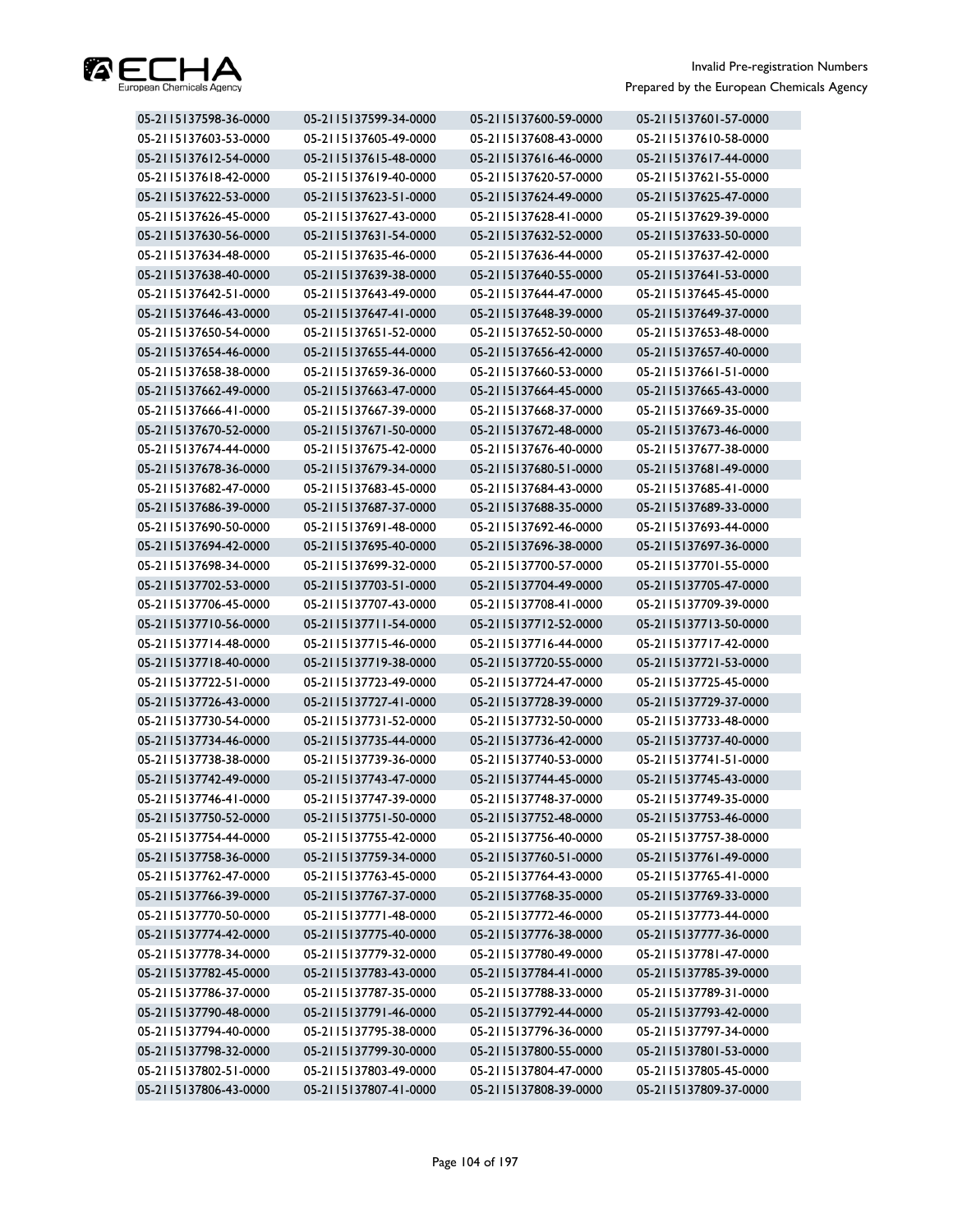

| 05-2115137598-36-0000 | 05-2115137599-34-0000 | 05-2115137600-59-0000 | 05-2115137601-57-0000 |
|-----------------------|-----------------------|-----------------------|-----------------------|
| 05-2115137603-53-0000 | 05-2115137605-49-0000 | 05-2115137608-43-0000 | 05-2115137610-58-0000 |
| 05-2115137612-54-0000 | 05-2115137615-48-0000 | 05-2115137616-46-0000 | 05-2115137617-44-0000 |
| 05-2115137618-42-0000 | 05-2115137619-40-0000 | 05-2115137620-57-0000 | 05-2115137621-55-0000 |
| 05-2115137622-53-0000 | 05-2115137623-51-0000 | 05-2115137624-49-0000 | 05-2115137625-47-0000 |
| 05-2115137626-45-0000 | 05-2115137627-43-0000 | 05-2115137628-41-0000 | 05-2115137629-39-0000 |
| 05-2115137630-56-0000 | 05-2115137631-54-0000 | 05-2115137632-52-0000 | 05-2115137633-50-0000 |
| 05-2115137634-48-0000 | 05-2115137635-46-0000 | 05-2115137636-44-0000 | 05-2115137637-42-0000 |
| 05-2115137638-40-0000 | 05-2115137639-38-0000 | 05-2115137640-55-0000 | 05-2115137641-53-0000 |
| 05-2115137642-51-0000 | 05-2115137643-49-0000 | 05-2115137644-47-0000 | 05-2115137645-45-0000 |
| 05-2115137646-43-0000 | 05-2115137647-41-0000 | 05-2115137648-39-0000 | 05-2115137649-37-0000 |
| 05-2115137650-54-0000 | 05-2115137651-52-0000 | 05-2115137652-50-0000 | 05-2115137653-48-0000 |
| 05-2115137654-46-0000 | 05-2115137655-44-0000 | 05-2115137656-42-0000 | 05-2115137657-40-0000 |
| 05-2115137658-38-0000 | 05-2115137659-36-0000 | 05-2115137660-53-0000 | 05-2115137661-51-0000 |
| 05-2115137662-49-0000 | 05-2115137663-47-0000 | 05-2115137664-45-0000 | 05-2115137665-43-0000 |
| 05-2115137666-41-0000 | 05-2115137667-39-0000 | 05-2115137668-37-0000 | 05-2115137669-35-0000 |
| 05-2115137670-52-0000 | 05-2115137671-50-0000 | 05-2115137672-48-0000 | 05-2115137673-46-0000 |
| 05-2115137674-44-0000 | 05-2115137675-42-0000 | 05-2115137676-40-0000 | 05-2115137677-38-0000 |
| 05-2115137678-36-0000 | 05-2115137679-34-0000 | 05-2115137680-51-0000 | 05-2115137681-49-0000 |
| 05-2115137682-47-0000 | 05-2115137683-45-0000 | 05-2115137684-43-0000 | 05-2115137685-41-0000 |
| 05-2115137686-39-0000 | 05-2115137687-37-0000 | 05-2115137688-35-0000 | 05-2115137689-33-0000 |
| 05-2115137690-50-0000 | 05-2115137691-48-0000 | 05-2115137692-46-0000 | 05-2115137693-44-0000 |
| 05-2115137694-42-0000 | 05-2115137695-40-0000 | 05-2115137696-38-0000 | 05-2115137697-36-0000 |
| 05-2115137698-34-0000 | 05-2115137699-32-0000 | 05-2115137700-57-0000 | 05-2115137701-55-0000 |
| 05-2115137702-53-0000 | 05-2115137703-51-0000 | 05-2115137704-49-0000 | 05-2115137705-47-0000 |
| 05-2115137706-45-0000 | 05-2115137707-43-0000 | 05-2115137708-41-0000 | 05-2115137709-39-0000 |
| 05-2115137710-56-0000 | 05-2115137711-54-0000 | 05-2115137712-52-0000 | 05-2115137713-50-0000 |
| 05-2115137714-48-0000 | 05-2115137715-46-0000 | 05-2115137716-44-0000 | 05-2115137717-42-0000 |
| 05-2115137718-40-0000 | 05-2115137719-38-0000 | 05-2115137720-55-0000 | 05-2115137721-53-0000 |
| 05-2115137722-51-0000 | 05-2115137723-49-0000 | 05-2115137724-47-0000 | 05-2115137725-45-0000 |
| 05-2115137726-43-0000 | 05-2115137727-41-0000 | 05-2115137728-39-0000 | 05-2115137729-37-0000 |
| 05-2115137730-54-0000 | 05-2115137731-52-0000 | 05-2115137732-50-0000 | 05-2115137733-48-0000 |
| 05-2115137734-46-0000 | 05-2115137735-44-0000 | 05-2115137736-42-0000 | 05-2115137737-40-0000 |
| 05-2115137738-38-0000 | 05-2115137739-36-0000 | 05-2115137740-53-0000 | 05-2115137741-51-0000 |
| 05-2115137742-49-0000 | 05-2115137743-47-0000 | 05-2115137744-45-0000 | 05-2115137745-43-0000 |
| 05-2115137746-41-0000 | 05-2115137747-39-0000 | 05-2115137748-37-0000 | 05-2115137749-35-0000 |
| 05-2115137750-52-0000 | 05-2115137751-50-0000 | 05-2115137752-48-0000 | 05-2115137753-46-0000 |
| 05-2115137754-44-0000 | 05-2115137755-42-0000 | 05-2115137756-40-0000 | 05-2115137757-38-0000 |
| 05-2115137758-36-0000 | 05-2115137759-34-0000 | 05-2115137760-51-0000 | 05-2115137761-49-0000 |
| 05-2115137762-47-0000 | 05-2115137763-45-0000 | 05-2115137764-43-0000 | 05-2115137765-41-0000 |
| 05-2115137766-39-0000 | 05-2115137767-37-0000 | 05-2115137768-35-0000 | 05-2115137769-33-0000 |
| 05-2115137770-50-0000 | 05-2115137771-48-0000 | 05-2115137772-46-0000 | 05-2115137773-44-0000 |
| 05-2115137774-42-0000 | 05-2115137775-40-0000 | 05-2115137776-38-0000 | 05-2115137777-36-0000 |
| 05-2115137778-34-0000 | 05-2115137779-32-0000 | 05-2115137780-49-0000 | 05-2115137781-47-0000 |
| 05-2115137782-45-0000 | 05-2115137783-43-0000 | 05-2115137784-41-0000 | 05-2115137785-39-0000 |
| 05-2115137786-37-0000 | 05-2115137787-35-0000 | 05-2115137788-33-0000 | 05-2115137789-31-0000 |
| 05-2115137790-48-0000 | 05-2115137791-46-0000 | 05-2115137792-44-0000 | 05-2115137793-42-0000 |
| 05-2115137794-40-0000 | 05-2115137795-38-0000 | 05-2115137796-36-0000 | 05-2115137797-34-0000 |
| 05-2115137798-32-0000 | 05-2115137799-30-0000 | 05-2115137800-55-0000 | 05-2115137801-53-0000 |
| 05-2115137802-51-0000 | 05-2115137803-49-0000 | 05-2115137804-47-0000 | 05-2115137805-45-0000 |
| 05-2115137806-43-0000 | 05-2115137807-41-0000 | 05-2115137808-39-0000 | 05-2115137809-37-0000 |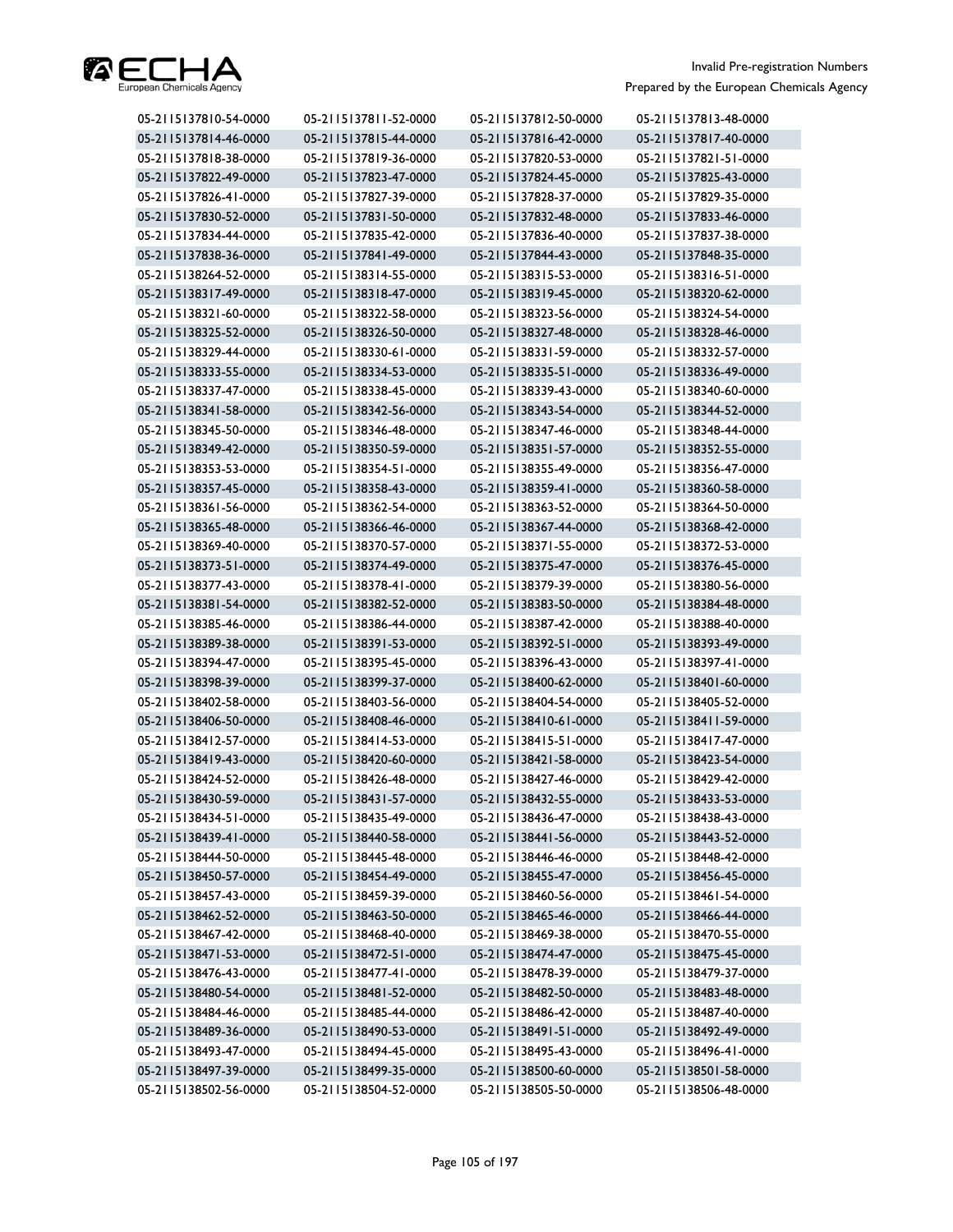

| 05-2115137810-54-0000 | 05-2115137811-52-0000 | 05-2115137812-50-0000 | 05-2115137813-48-0000 |
|-----------------------|-----------------------|-----------------------|-----------------------|
| 05-2115137814-46-0000 | 05-2115137815-44-0000 | 05-2115137816-42-0000 | 05-2115137817-40-0000 |
| 05-2115137818-38-0000 | 05-2115137819-36-0000 | 05-2115137820-53-0000 | 05-2115137821-51-0000 |
| 05-2115137822-49-0000 | 05-2115137823-47-0000 | 05-2115137824-45-0000 | 05-2115137825-43-0000 |
| 05-2115137826-41-0000 | 05-2115137827-39-0000 | 05-2115137828-37-0000 | 05-2115137829-35-0000 |
| 05-2115137830-52-0000 | 05-2115137831-50-0000 | 05-2115137832-48-0000 | 05-2115137833-46-0000 |
| 05-2115137834-44-0000 | 05-2115137835-42-0000 | 05-2115137836-40-0000 | 05-2115137837-38-0000 |
| 05-2115137838-36-0000 | 05-2115137841-49-0000 | 05-2115137844-43-0000 | 05-2115137848-35-0000 |
| 05-2115138264-52-0000 | 05-2115138314-55-0000 | 05-2115138315-53-0000 | 05-2115138316-51-0000 |
| 05-2115138317-49-0000 | 05-2115138318-47-0000 | 05-2115138319-45-0000 | 05-2115138320-62-0000 |
| 05-2115138321-60-0000 | 05-2115138322-58-0000 | 05-2115138323-56-0000 | 05-2115138324-54-0000 |
| 05-2115138325-52-0000 | 05-2115138326-50-0000 | 05-2115138327-48-0000 | 05-2115138328-46-0000 |
| 05-2115138329-44-0000 | 05-2115138330-61-0000 | 05-2115138331-59-0000 | 05-2115138332-57-0000 |
| 05-2115138333-55-0000 | 05-2115138334-53-0000 | 05-2115138335-51-0000 | 05-2115138336-49-0000 |
| 05-2115138337-47-0000 | 05-2115138338-45-0000 | 05-2115138339-43-0000 | 05-2115138340-60-0000 |
| 05-2115138341-58-0000 | 05-2115138342-56-0000 | 05-2115138343-54-0000 | 05-2115138344-52-0000 |
| 05-2115138345-50-0000 | 05-2115138346-48-0000 | 05-2115138347-46-0000 | 05-2115138348-44-0000 |
| 05-2115138349-42-0000 | 05-2115138350-59-0000 | 05-2115138351-57-0000 | 05-2115138352-55-0000 |
| 05-2115138353-53-0000 | 05-2115138354-51-0000 | 05-2115138355-49-0000 | 05-2115138356-47-0000 |
| 05-2115138357-45-0000 | 05-2115138358-43-0000 | 05-2115138359-41-0000 | 05-2115138360-58-0000 |
| 05-2115138361-56-0000 | 05-2115138362-54-0000 | 05-2115138363-52-0000 | 05-2115138364-50-0000 |
| 05-2115138365-48-0000 | 05-2115138366-46-0000 | 05-2115138367-44-0000 | 05-2115138368-42-0000 |
| 05-2115138369-40-0000 | 05-2115138370-57-0000 | 05-2115138371-55-0000 | 05-2115138372-53-0000 |
| 05-2115138373-51-0000 | 05-2115138374-49-0000 | 05-2115138375-47-0000 | 05-2115138376-45-0000 |
| 05-2115138377-43-0000 | 05-2115138378-41-0000 | 05-2115138379-39-0000 | 05-2115138380-56-0000 |
| 05-2115138381-54-0000 | 05-2115138382-52-0000 | 05-2115138383-50-0000 | 05-2115138384-48-0000 |
| 05-2115138385-46-0000 | 05-2115138386-44-0000 | 05-2115138387-42-0000 | 05-2115138388-40-0000 |
| 05-2115138389-38-0000 | 05-2115138391-53-0000 | 05-2115138392-51-0000 | 05-2115138393-49-0000 |
| 05-2115138394-47-0000 | 05-2115138395-45-0000 | 05-2115138396-43-0000 | 05-2115138397-41-0000 |
| 05-2115138398-39-0000 | 05-2115138399-37-0000 | 05-2115138400-62-0000 | 05-2115138401-60-0000 |
| 05-2115138402-58-0000 | 05-2115138403-56-0000 | 05-2115138404-54-0000 | 05-2115138405-52-0000 |
| 05-2115138406-50-0000 | 05-2115138408-46-0000 | 05-2115138410-61-0000 | 05-2115138411-59-0000 |
| 05-2115138412-57-0000 | 05-2115138414-53-0000 | 05-2115138415-51-0000 | 05-2115138417-47-0000 |
| 05-2115138419-43-0000 | 05-2115138420-60-0000 | 05-2115138421-58-0000 | 05-2115138423-54-0000 |
| 05-2115138424-52-0000 | 05-2115138426-48-0000 | 05-2115138427-46-0000 | 05-2115138429-42-0000 |
| 05-2115138430-59-0000 | 05-2115138431-57-0000 | 05-2115138432-55-0000 | 05-2115138433-53-0000 |
| 05-2115138434-51-0000 | 05-2115138435-49-0000 | 05-2115138436-47-0000 | 05-2115138438-43-0000 |
| 05-2115138439-41-0000 | 05-2115138440-58-0000 | 05-2115138441-56-0000 | 05-2115138443-52-0000 |
| 05-2115138444-50-0000 | 05-2115138445-48-0000 | 05-2115138446-46-0000 | 05-2115138448-42-0000 |
| 05-2115138450-57-0000 | 05-2115138454-49-0000 | 05-2115138455-47-0000 | 05-2115138456-45-0000 |
| 05-2115138457-43-0000 | 05-2115138459-39-0000 | 05-2115138460-56-0000 | 05-2115138461-54-0000 |
| 05-2115138462-52-0000 | 05-2115138463-50-0000 | 05-2115138465-46-0000 | 05-2115138466-44-0000 |
| 05-2115138467-42-0000 | 05-2115138468-40-0000 | 05-2115138469-38-0000 | 05-2115138470-55-0000 |
| 05-2115138471-53-0000 | 05-2115138472-51-0000 | 05-2115138474-47-0000 | 05-2115138475-45-0000 |
| 05-2115138476-43-0000 | 05-2115138477-41-0000 | 05-2115138478-39-0000 | 05-2115138479-37-0000 |
| 05-2115138480-54-0000 | 05-2115138481-52-0000 | 05-2115138482-50-0000 | 05-2115138483-48-0000 |
| 05-2115138484-46-0000 | 05-2115138485-44-0000 | 05-2115138486-42-0000 | 05-2115138487-40-0000 |
| 05-2115138489-36-0000 | 05-2115138490-53-0000 | 05-2115138491-51-0000 | 05-2115138492-49-0000 |
| 05-2115138493-47-0000 | 05-2115138494-45-0000 | 05-2115138495-43-0000 | 05-2115138496-41-0000 |
| 05-2115138497-39-0000 | 05-2115138499-35-0000 | 05-2115138500-60-0000 | 05-2115138501-58-0000 |
| 05-2115138502-56-0000 | 05-2115138504-52-0000 | 05-2115138505-50-0000 | 05-2115138506-48-0000 |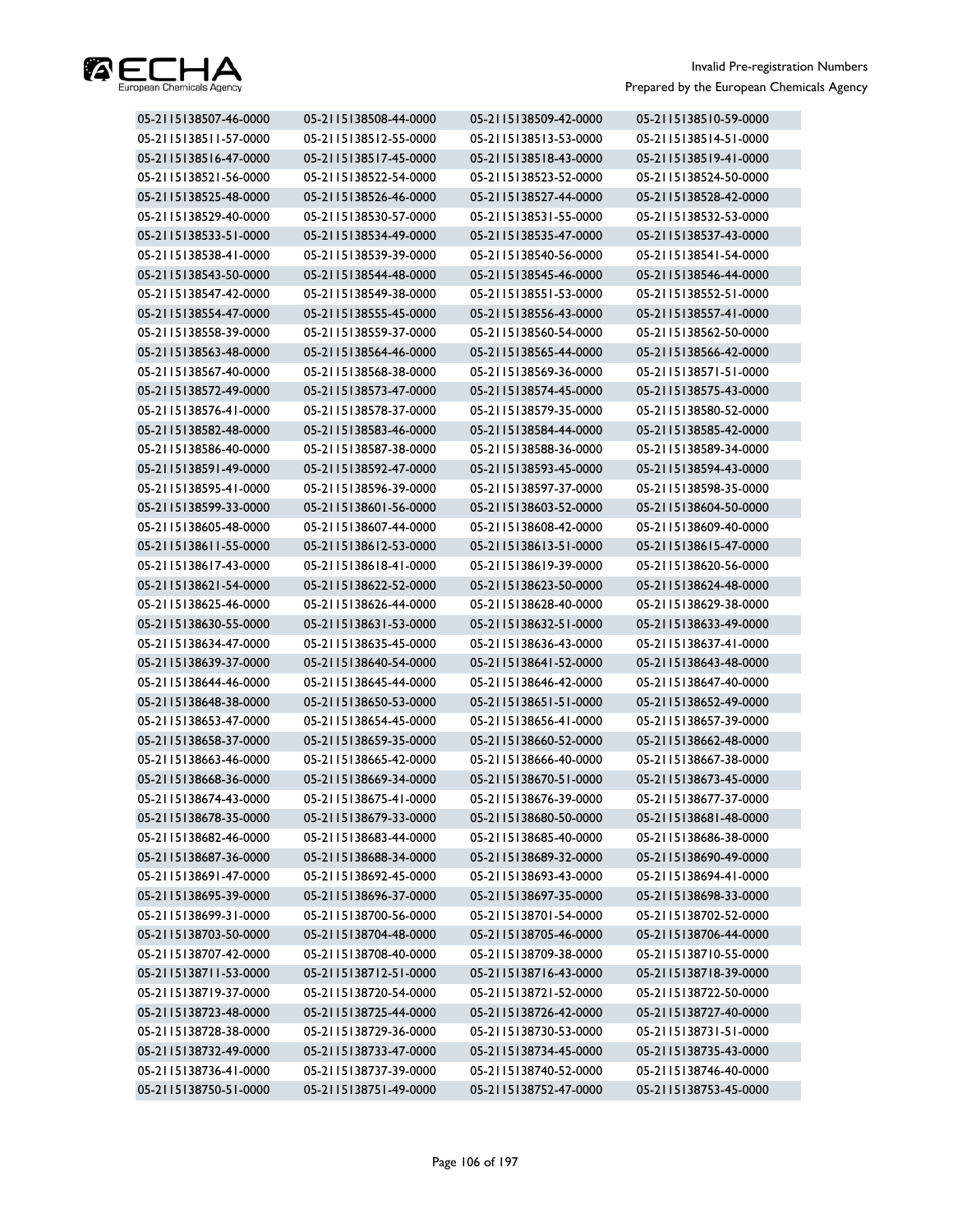

| 05-2115138507-46-0000 | 05-2115138508-44-0000 | 05-2115138509-42-0000 | 05-2115138510-59-0000 |
|-----------------------|-----------------------|-----------------------|-----------------------|
| 05-2115138511-57-0000 | 05-2115138512-55-0000 | 05-2115138513-53-0000 | 05-2115138514-51-0000 |
| 05-2115138516-47-0000 | 05-2115138517-45-0000 | 05-2115138518-43-0000 | 05-2115138519-41-0000 |
| 05-2115138521-56-0000 | 05-2115138522-54-0000 | 05-2115138523-52-0000 | 05-2115138524-50-0000 |
| 05-2115138525-48-0000 | 05-2115138526-46-0000 | 05-2115138527-44-0000 | 05-2115138528-42-0000 |
| 05-2115138529-40-0000 | 05-2115138530-57-0000 | 05-2115138531-55-0000 | 05-2115138532-53-0000 |
| 05-2115138533-51-0000 | 05-2115138534-49-0000 | 05-2115138535-47-0000 | 05-2115138537-43-0000 |
| 05-2115138538-41-0000 | 05-2115138539-39-0000 | 05-2115138540-56-0000 | 05-2115138541-54-0000 |
| 05-2115138543-50-0000 | 05-2115138544-48-0000 | 05-2115138545-46-0000 | 05-2115138546-44-0000 |
| 05-2115138547-42-0000 | 05-2115138549-38-0000 | 05-2115138551-53-0000 | 05-2115138552-51-0000 |
| 05-2115138554-47-0000 | 05-2115138555-45-0000 | 05-2115138556-43-0000 | 05-2115138557-41-0000 |
| 05-2115138558-39-0000 | 05-2115138559-37-0000 | 05-2115138560-54-0000 | 05-2115138562-50-0000 |
| 05-2115138563-48-0000 | 05-2115138564-46-0000 | 05-2115138565-44-0000 | 05-2115138566-42-0000 |
| 05-2115138567-40-0000 | 05-2115138568-38-0000 | 05-2115138569-36-0000 | 05-2115138571-51-0000 |
| 05-2115138572-49-0000 | 05-2115138573-47-0000 | 05-2115138574-45-0000 | 05-2115138575-43-0000 |
| 05-2115138576-41-0000 | 05-2115138578-37-0000 | 05-2115138579-35-0000 | 05-2115138580-52-0000 |
| 05-2115138582-48-0000 | 05-2115138583-46-0000 | 05-2115138584-44-0000 | 05-2115138585-42-0000 |
| 05-2115138586-40-0000 | 05-2115138587-38-0000 | 05-2115138588-36-0000 | 05-2115138589-34-0000 |
| 05-2115138591-49-0000 | 05-2115138592-47-0000 | 05-2115138593-45-0000 | 05-2115138594-43-0000 |
| 05-2115138595-41-0000 | 05-2115138596-39-0000 | 05-2115138597-37-0000 | 05-2115138598-35-0000 |
| 05-2115138599-33-0000 | 05-2115138601-56-0000 | 05-2115138603-52-0000 | 05-2115138604-50-0000 |
| 05-2115138605-48-0000 | 05-2115138607-44-0000 | 05-2115138608-42-0000 | 05-2115138609-40-0000 |
| 05-2115138611-55-0000 | 05-2115138612-53-0000 | 05-2115138613-51-0000 | 05-2115138615-47-0000 |
| 05-2115138617-43-0000 | 05-2115138618-41-0000 | 05-2115138619-39-0000 | 05-2115138620-56-0000 |
| 05-2115138621-54-0000 | 05-2115138622-52-0000 | 05-2115138623-50-0000 | 05-2115138624-48-0000 |
| 05-2115138625-46-0000 | 05-2115138626-44-0000 | 05-2115138628-40-0000 | 05-2115138629-38-0000 |
| 05-2115138630-55-0000 | 05-2115138631-53-0000 | 05-2115138632-51-0000 | 05-2115138633-49-0000 |
| 05-2115138634-47-0000 | 05-2115138635-45-0000 | 05-2115138636-43-0000 | 05-2115138637-41-0000 |
| 05-2115138639-37-0000 | 05-2115138640-54-0000 | 05-2115138641-52-0000 | 05-2115138643-48-0000 |
| 05-2115138644-46-0000 | 05-2115138645-44-0000 | 05-2115138646-42-0000 | 05-2115138647-40-0000 |
| 05-2115138648-38-0000 | 05-2115138650-53-0000 | 05-2115138651-51-0000 | 05-2115138652-49-0000 |
| 05-2115138653-47-0000 | 05-2115138654-45-0000 | 05-2115138656-41-0000 | 05-2115138657-39-0000 |
| 05-2115138658-37-0000 | 05-2115138659-35-0000 | 05-2115138660-52-0000 | 05-2115138662-48-0000 |
| 05-2115138663-46-0000 | 05-2115138665-42-0000 | 05-2115138666-40-0000 | 05-2115138667-38-0000 |
| 05-2115138668-36-0000 | 05-2115138669-34-0000 | 05-2115138670-51-0000 | 05-2115138673-45-0000 |
| 05-2115138674-43-0000 | 05-2115138675-41-0000 | 05-2115138676-39-0000 | 05-2115138677-37-0000 |
| 05-2115138678-35-0000 | 05-2115138679-33-0000 | 05-2115138680-50-0000 | 05-2115138681-48-0000 |
| 05-2115138682-46-0000 | 05-2115138683-44-0000 | 05-2115138685-40-0000 | 05-2115138686-38-0000 |
| 05-2115138687-36-0000 | 05-2115138688-34-0000 | 05-2115138689-32-0000 | 05-2115138690-49-0000 |
| 05-2115138691-47-0000 | 05-2115138692-45-0000 | 05-2115138693-43-0000 | 05-2115138694-41-0000 |
| 05-2115138695-39-0000 | 05-2115138696-37-0000 | 05-2115138697-35-0000 | 05-2115138698-33-0000 |
| 05-2115138699-31-0000 | 05-2115138700-56-0000 | 05-2115138701-54-0000 | 05-2115138702-52-0000 |
| 05-2115138703-50-0000 | 05-2115138704-48-0000 | 05-2115138705-46-0000 | 05-2115138706-44-0000 |
| 05-2115138707-42-0000 | 05-2115138708-40-0000 | 05-2115138709-38-0000 | 05-2115138710-55-0000 |
| 05-2115138711-53-0000 | 05-2115138712-51-0000 | 05-2115138716-43-0000 | 05-2115138718-39-0000 |
| 05-2115138719-37-0000 | 05-2115138720-54-0000 | 05-2115138721-52-0000 | 05-2115138722-50-0000 |
| 05-2115138723-48-0000 | 05-2115138725-44-0000 | 05-2115138726-42-0000 | 05-2115138727-40-0000 |
| 05-2115138728-38-0000 | 05-2115138729-36-0000 | 05-2115138730-53-0000 | 05-2115138731-51-0000 |
| 05-2115138732-49-0000 | 05-2115138733-47-0000 | 05-2115138734-45-0000 | 05-2115138735-43-0000 |
| 05-2115138736-41-0000 | 05-2115138737-39-0000 | 05-2115138740-52-0000 | 05-2115138746-40-0000 |
| 05-2115138750-51-0000 | 05-2115138751-49-0000 | 05-2115138752-47-0000 | 05-2115138753-45-0000 |
|                       |                       |                       |                       |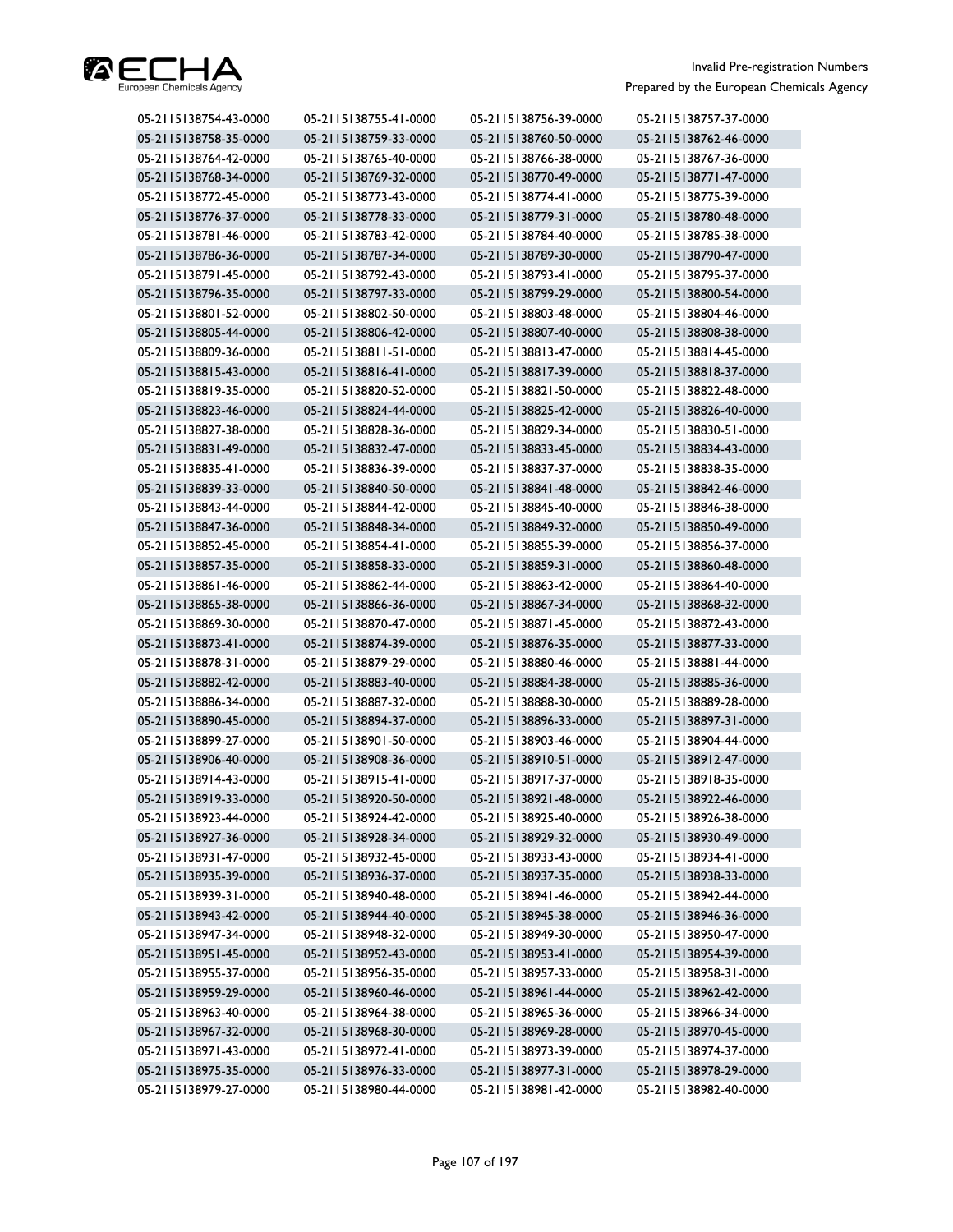

| 05-2115138754-43-0000 | 05-2115138755-41-0000 | 05-2115138756-39-0000 | 05-2115138757-37-0000 |
|-----------------------|-----------------------|-----------------------|-----------------------|
| 05-2115138758-35-0000 | 05-2115138759-33-0000 | 05-2115138760-50-0000 | 05-2115138762-46-0000 |
| 05-2115138764-42-0000 | 05-2115138765-40-0000 | 05-2115138766-38-0000 | 05-2115138767-36-0000 |
| 05-2115138768-34-0000 | 05-2115138769-32-0000 | 05-2115138770-49-0000 | 05-2115138771-47-0000 |
| 05-2115138772-45-0000 | 05-2115138773-43-0000 | 05-2115138774-41-0000 | 05-2115138775-39-0000 |
| 05-2115138776-37-0000 | 05-2115138778-33-0000 | 05-2115138779-31-0000 | 05-2115138780-48-0000 |
| 05-2115138781-46-0000 | 05-2115138783-42-0000 | 05-2115138784-40-0000 | 05-2115138785-38-0000 |
| 05-2115138786-36-0000 | 05-2115138787-34-0000 | 05-2115138789-30-0000 | 05-2115138790-47-0000 |
| 05-2115138791-45-0000 | 05-2115138792-43-0000 | 05-2115138793-41-0000 | 05-2115138795-37-0000 |
| 05-2115138796-35-0000 | 05-2115138797-33-0000 | 05-2115138799-29-0000 | 05-2115138800-54-0000 |
| 05-2115138801-52-0000 | 05-2115138802-50-0000 | 05-2115138803-48-0000 | 05-2115138804-46-0000 |
| 05-2115138805-44-0000 | 05-2115138806-42-0000 | 05-2115138807-40-0000 | 05-2115138808-38-0000 |
| 05-2115138809-36-0000 | 05-2115138811-51-0000 | 05-2115138813-47-0000 | 05-2115138814-45-0000 |
| 05-2115138815-43-0000 | 05-2115138816-41-0000 | 05-2115138817-39-0000 | 05-2115138818-37-0000 |
| 05-2115138819-35-0000 | 05-2115138820-52-0000 | 05-2115138821-50-0000 | 05-2115138822-48-0000 |
| 05-2115138823-46-0000 | 05-2115138824-44-0000 | 05-2115138825-42-0000 | 05-2115138826-40-0000 |
| 05-2115138827-38-0000 | 05-2115138828-36-0000 | 05-2115138829-34-0000 | 05-2115138830-51-0000 |
| 05-2115138831-49-0000 | 05-2115138832-47-0000 | 05-2115138833-45-0000 | 05-2115138834-43-0000 |
| 05-2115138835-41-0000 | 05-2115138836-39-0000 | 05-2115138837-37-0000 | 05-2115138838-35-0000 |
| 05-2115138839-33-0000 | 05-2115138840-50-0000 | 05-2115138841-48-0000 | 05-2115138842-46-0000 |
| 05-2115138843-44-0000 | 05-2115138844-42-0000 | 05-2115138845-40-0000 | 05-2115138846-38-0000 |
| 05-2115138847-36-0000 | 05-2115138848-34-0000 | 05-2115138849-32-0000 | 05-2115138850-49-0000 |
| 05-2115138852-45-0000 | 05-2115138854-41-0000 | 05-2115138855-39-0000 | 05-2115138856-37-0000 |
| 05-2115138857-35-0000 | 05-2115138858-33-0000 | 05-2115138859-31-0000 | 05-2115138860-48-0000 |
| 05-2115138861-46-0000 | 05-2115138862-44-0000 | 05-2115138863-42-0000 | 05-2115138864-40-0000 |
| 05-2115138865-38-0000 | 05-2115138866-36-0000 | 05-2115138867-34-0000 | 05-2115138868-32-0000 |
| 05-2115138869-30-0000 | 05-2115138870-47-0000 | 05-2115138871-45-0000 | 05-2115138872-43-0000 |
| 05-2115138873-41-0000 | 05-2115138874-39-0000 | 05-2115138876-35-0000 | 05-2115138877-33-0000 |
| 05-2115138878-31-0000 | 05-2115138879-29-0000 | 05-2115138880-46-0000 | 05-2115138881-44-0000 |
| 05-2115138882-42-0000 | 05-2115138883-40-0000 | 05-2115138884-38-0000 | 05-2115138885-36-0000 |
| 05-2115138886-34-0000 | 05-2115138887-32-0000 | 05-2115138888-30-0000 | 05-2115138889-28-0000 |
| 05-2115138890-45-0000 | 05-2115138894-37-0000 | 05-2115138896-33-0000 | 05-2115138897-31-0000 |
| 05-2115138899-27-0000 | 05-2115138901-50-0000 | 05-2115138903-46-0000 | 05-2115138904-44-0000 |
| 05-2115138906-40-0000 | 05-2115138908-36-0000 | 05-2115138910-51-0000 | 05-2115138912-47-0000 |
| 05-2115138914-43-0000 | 05-2115138915-41-0000 | 05-2115138917-37-0000 | 05-2115138918-35-0000 |
| 05-2115138919-33-0000 | 05-2115138920-50-0000 | 05-2115138921-48-0000 | 05-2115138922-46-0000 |
| 05-2115138923-44-0000 | 05-2115138924-42-0000 | 05-2115138925-40-0000 | 05-2115138926-38-0000 |
| 05-2115138927-36-0000 | 05-2115138928-34-0000 | 05-2115138929-32-0000 | 05-2115138930-49-0000 |
| 05-2115138931-47-0000 | 05-2115138932-45-0000 | 05-2115138933-43-0000 | 05-2115138934-41-0000 |
| 05-2115138935-39-0000 | 05-2115138936-37-0000 | 05-2115138937-35-0000 | 05-2115138938-33-0000 |
| 05-2115138939-31-0000 | 05-2115138940-48-0000 | 05-2115138941-46-0000 | 05-2115138942-44-0000 |
| 05-2115138943-42-0000 | 05-2115138944-40-0000 | 05-2115138945-38-0000 | 05-2115138946-36-0000 |
| 05-2115138947-34-0000 | 05-2115138948-32-0000 | 05-2115138949-30-0000 | 05-2115138950-47-0000 |
| 05-2115138951-45-0000 | 05-2115138952-43-0000 | 05-2115138953-41-0000 | 05-2115138954-39-0000 |
| 05-2115138955-37-0000 | 05-2115138956-35-0000 | 05-2115138957-33-0000 | 05-2115138958-31-0000 |
| 05-2115138959-29-0000 | 05-2115138960-46-0000 | 05-2115138961-44-0000 | 05-2115138962-42-0000 |
| 05-2115138963-40-0000 | 05-2115138964-38-0000 | 05-2115138965-36-0000 | 05-2115138966-34-0000 |
| 05-2115138967-32-0000 | 05-2115138968-30-0000 | 05-2115138969-28-0000 | 05-2115138970-45-0000 |
| 05-2115138971-43-0000 | 05-2115138972-41-0000 | 05-2115138973-39-0000 | 05-2115138974-37-0000 |
| 05-2115138975-35-0000 | 05-2115138976-33-0000 | 05-2115138977-31-0000 | 05-2115138978-29-0000 |
| 05-2115138979-27-0000 | 05-2115138980-44-0000 | 05-2115138981-42-0000 | 05-2115138982-40-0000 |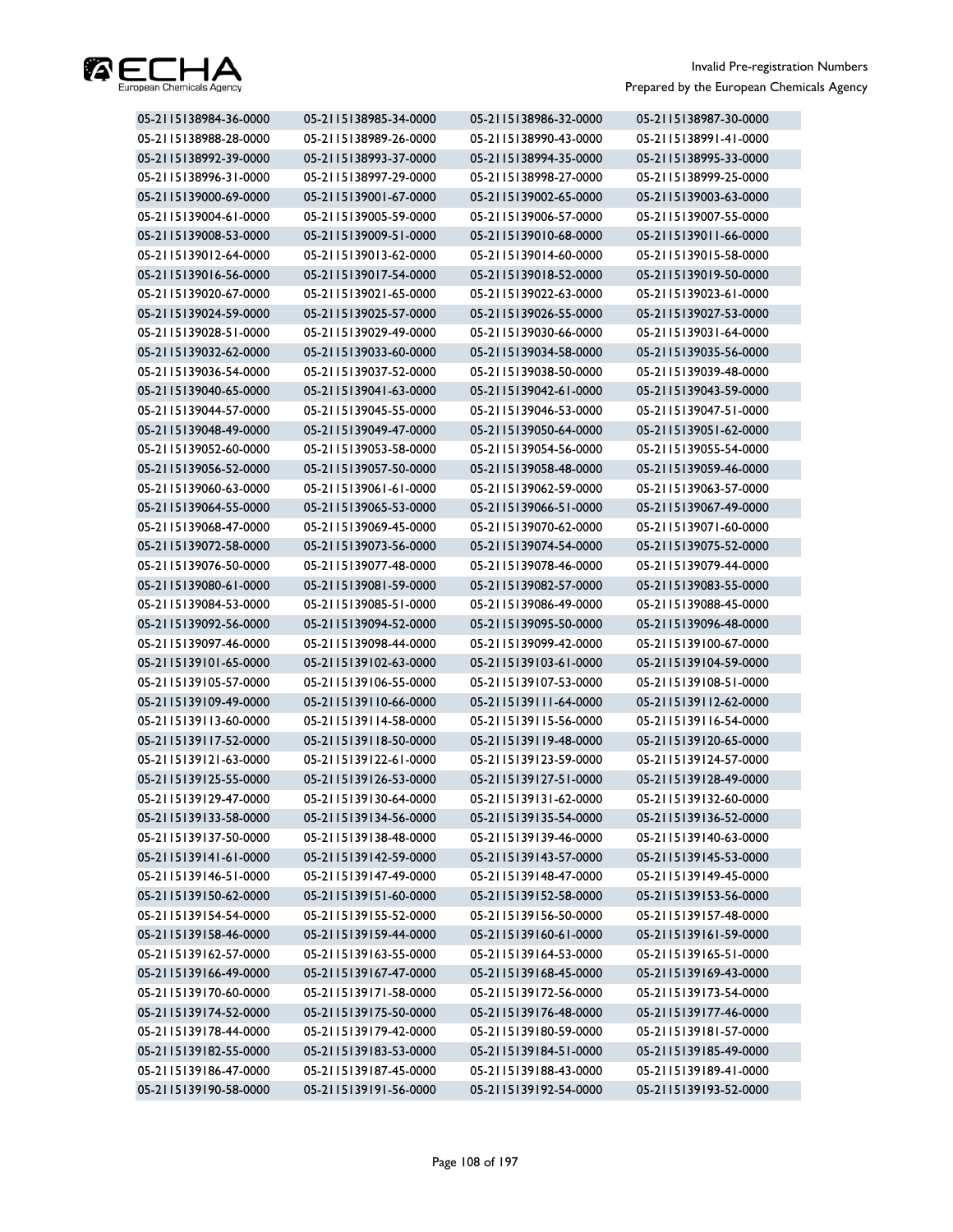

| 05-2115138984-36-0000 | 05-2115138985-34-0000 | 05-2115138986-32-0000 | 05-2115138987-30-0000 |
|-----------------------|-----------------------|-----------------------|-----------------------|
| 05-2115138988-28-0000 | 05-2115138989-26-0000 | 05-2115138990-43-0000 | 05-2115138991-41-0000 |
| 05-2115138992-39-0000 | 05-2115138993-37-0000 | 05-2115138994-35-0000 | 05-2115138995-33-0000 |
| 05-2115138996-31-0000 | 05-2115138997-29-0000 | 05-2115138998-27-0000 | 05-2115138999-25-0000 |
| 05-2115139000-69-0000 | 05-2115139001-67-0000 | 05-2115139002-65-0000 | 05-2115139003-63-0000 |
| 05-2115139004-61-0000 | 05-2115139005-59-0000 | 05-2115139006-57-0000 | 05-2115139007-55-0000 |
| 05-2115139008-53-0000 | 05-2115139009-51-0000 | 05-2115139010-68-0000 | 05-2115139011-66-0000 |
| 05-2115139012-64-0000 | 05-2115139013-62-0000 | 05-2115139014-60-0000 | 05-2115139015-58-0000 |
| 05-2115139016-56-0000 | 05-2115139017-54-0000 | 05-2115139018-52-0000 | 05-2115139019-50-0000 |
| 05-2115139020-67-0000 | 05-2115139021-65-0000 | 05-2115139022-63-0000 | 05-2115139023-61-0000 |
| 05-2115139024-59-0000 | 05-2115139025-57-0000 | 05-2115139026-55-0000 | 05-2115139027-53-0000 |
| 05-2115139028-51-0000 | 05-2115139029-49-0000 | 05-2115139030-66-0000 | 05-2115139031-64-0000 |
| 05-2115139032-62-0000 | 05-2115139033-60-0000 | 05-2115139034-58-0000 | 05-2115139035-56-0000 |
| 05-2115139036-54-0000 | 05-2115139037-52-0000 | 05-2115139038-50-0000 | 05-2115139039-48-0000 |
| 05-2115139040-65-0000 | 05-2115139041-63-0000 | 05-2115139042-61-0000 | 05-2115139043-59-0000 |
| 05-2115139044-57-0000 | 05-2115139045-55-0000 | 05-2115139046-53-0000 | 05-2115139047-51-0000 |
| 05-2115139048-49-0000 | 05-2115139049-47-0000 | 05-2115139050-64-0000 | 05-2115139051-62-0000 |
| 05-2115139052-60-0000 | 05-2115139053-58-0000 | 05-2115139054-56-0000 | 05-2115139055-54-0000 |
| 05-2115139056-52-0000 | 05-2115139057-50-0000 | 05-2115139058-48-0000 | 05-2115139059-46-0000 |
| 05-2115139060-63-0000 | 05-2115139061-61-0000 | 05-2115139062-59-0000 | 05-2115139063-57-0000 |
| 05-2115139064-55-0000 | 05-2115139065-53-0000 | 05-2115139066-51-0000 | 05-2115139067-49-0000 |
| 05-2115139068-47-0000 | 05-2115139069-45-0000 | 05-2115139070-62-0000 | 05-2115139071-60-0000 |
| 05-2115139072-58-0000 | 05-2115139073-56-0000 | 05-2115139074-54-0000 | 05-2115139075-52-0000 |
| 05-2115139076-50-0000 | 05-2115139077-48-0000 | 05-2115139078-46-0000 | 05-2115139079-44-0000 |
| 05-2115139080-61-0000 | 05-2115139081-59-0000 | 05-2115139082-57-0000 | 05-2115139083-55-0000 |
| 05-2115139084-53-0000 | 05-2115139085-51-0000 | 05-2115139086-49-0000 | 05-2115139088-45-0000 |
| 05-2115139092-56-0000 | 05-2115139094-52-0000 | 05-2115139095-50-0000 | 05-2115139096-48-0000 |
| 05-2115139097-46-0000 | 05-2115139098-44-0000 | 05-2115139099-42-0000 | 05-2115139100-67-0000 |
| 05-2115139101-65-0000 | 05-2115139102-63-0000 | 05-2115139103-61-0000 | 05-2115139104-59-0000 |
| 05-2115139105-57-0000 | 05-2115139106-55-0000 | 05-2115139107-53-0000 | 05-2115139108-51-0000 |
| 05-2115139109-49-0000 | 05-2115139110-66-0000 | 05-2115139111-64-0000 | 05-2115139112-62-0000 |
| 05-2115139113-60-0000 | 05-2115139114-58-0000 | 05-2115139115-56-0000 | 05-2115139116-54-0000 |
| 05-2115139117-52-0000 | 05-2115139118-50-0000 | 05-2115139119-48-0000 | 05-2115139120-65-0000 |
| 05-2115139121-63-0000 | 05-2115139122-61-0000 | 05-2115139123-59-0000 | 05-2115139124-57-0000 |
| 05-2115139125-55-0000 | 05-2115139126-53-0000 | 05-2115139127-51-0000 | 05-2115139128-49-0000 |
| 05-2115139129-47-0000 | 05-2115139130-64-0000 | 05-2115139131-62-0000 | 05-2115139132-60-0000 |
| 05-2115139133-58-0000 | 05-2115139134-56-0000 | 05-2115139135-54-0000 | 05-2115139136-52-0000 |
| 05-2115139137-50-0000 | 05-2115139138-48-0000 | 05-2115139139-46-0000 | 05-2115139140-63-0000 |
| 05-2115139141-61-0000 | 05-2115139142-59-0000 | 05-2115139143-57-0000 | 05-2115139145-53-0000 |
| 05-2115139146-51-0000 | 05-2115139147-49-0000 | 05-2115139148-47-0000 | 05-2115139149-45-0000 |
| 05-2115139150-62-0000 | 05-2115139151-60-0000 | 05-2115139152-58-0000 | 05-2115139153-56-0000 |
| 05-2115139154-54-0000 | 05-2115139155-52-0000 | 05-2115139156-50-0000 | 05-2115139157-48-0000 |
| 05-2115139158-46-0000 | 05-2115139159-44-0000 | 05-2115139160-61-0000 | 05-2115139161-59-0000 |
| 05-2115139162-57-0000 | 05-2115139163-55-0000 | 05-2115139164-53-0000 | 05-2115139165-51-0000 |
| 05-2115139166-49-0000 | 05-2115139167-47-0000 | 05-2115139168-45-0000 | 05-2115139169-43-0000 |
| 05-2115139170-60-0000 | 05-2115139171-58-0000 | 05-2115139172-56-0000 | 05-2115139173-54-0000 |
| 05-2115139174-52-0000 | 05-2115139175-50-0000 | 05-2115139176-48-0000 | 05-2115139177-46-0000 |
| 05-2115139178-44-0000 | 05-2115139179-42-0000 | 05-2115139180-59-0000 | 05-2115139181-57-0000 |
| 05-2115139182-55-0000 | 05-2115139183-53-0000 | 05-2115139184-51-0000 | 05-2115139185-49-0000 |
| 05-2115139186-47-0000 | 05-2115139187-45-0000 | 05-2115139188-43-0000 | 05-2115139189-41-0000 |
| 05-2115139190-58-0000 | 05-2115139191-56-0000 | 05-2115139192-54-0000 | 05-2115139193-52-0000 |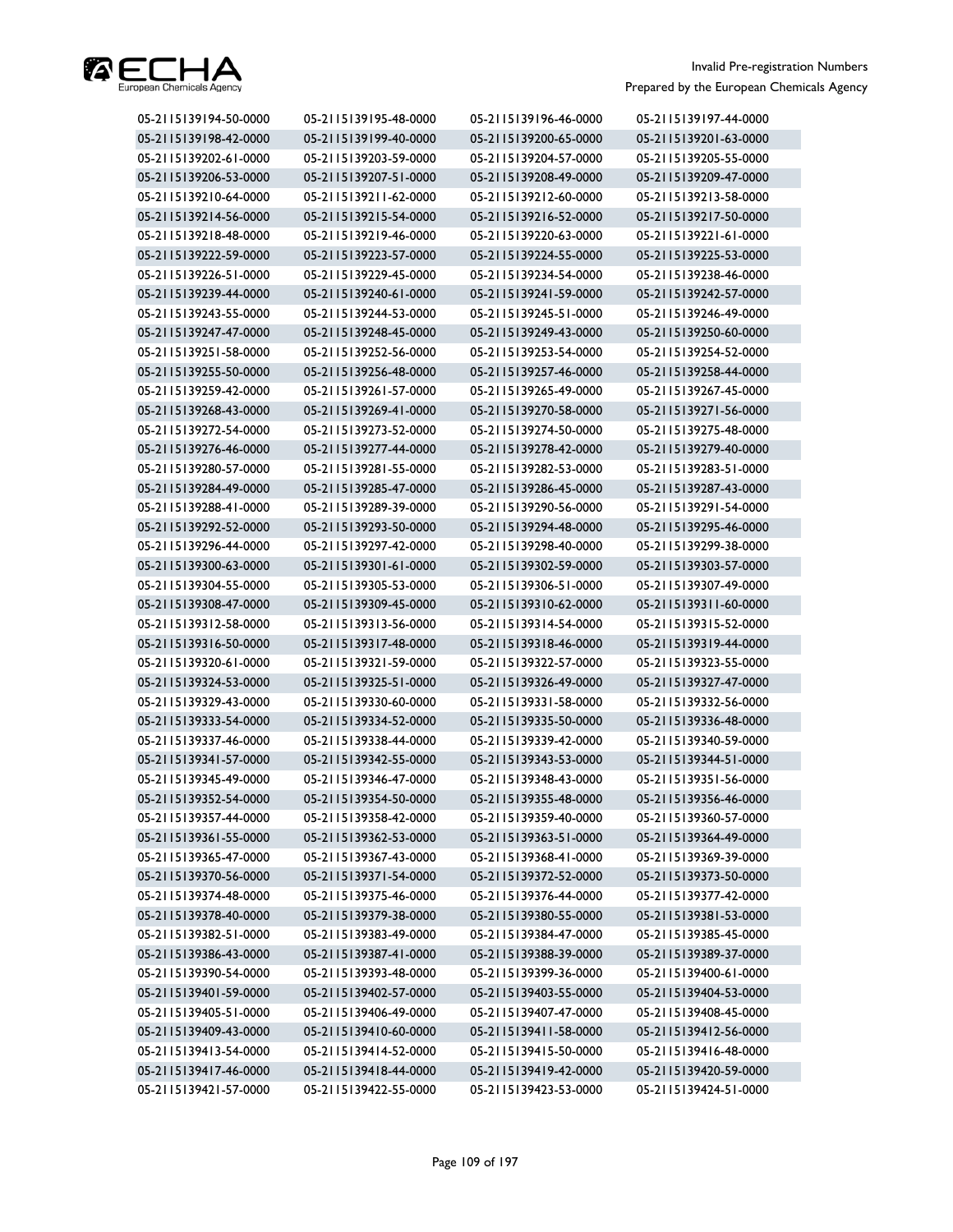

| 05-2115139194-50-0000 | 05-2115139195-48-0000 | 05-2115139196-46-0000 | 05-2115139197-44-0000 |
|-----------------------|-----------------------|-----------------------|-----------------------|
| 05-2115139198-42-0000 | 05-2115139199-40-0000 | 05-2115139200-65-0000 | 05-2115139201-63-0000 |
| 05-2115139202-61-0000 | 05-2115139203-59-0000 | 05-2115139204-57-0000 | 05-2115139205-55-0000 |
| 05-2115139206-53-0000 | 05-2115139207-51-0000 | 05-2115139208-49-0000 | 05-2115139209-47-0000 |
| 05-2115139210-64-0000 | 05-2115139211-62-0000 | 05-2115139212-60-0000 | 05-2115139213-58-0000 |
| 05-2115139214-56-0000 | 05-2115139215-54-0000 | 05-2115139216-52-0000 | 05-2115139217-50-0000 |
| 05-2115139218-48-0000 | 05-2115139219-46-0000 | 05-2115139220-63-0000 | 05-2115139221-61-0000 |
| 05-2115139222-59-0000 | 05-2115139223-57-0000 | 05-2115139224-55-0000 | 05-2115139225-53-0000 |
| 05-2115139226-51-0000 | 05-2115139229-45-0000 | 05-2115139234-54-0000 | 05-2115139238-46-0000 |
| 05-2115139239-44-0000 | 05-2115139240-61-0000 | 05-2115139241-59-0000 | 05-2115139242-57-0000 |
| 05-2115139243-55-0000 | 05-2115139244-53-0000 | 05-2115139245-51-0000 | 05-2115139246-49-0000 |
| 05-2115139247-47-0000 | 05-2115139248-45-0000 | 05-2115139249-43-0000 | 05-2115139250-60-0000 |
| 05-2115139251-58-0000 | 05-2115139252-56-0000 | 05-2115139253-54-0000 | 05-2115139254-52-0000 |
| 05-2115139255-50-0000 | 05-2115139256-48-0000 | 05-2115139257-46-0000 | 05-2115139258-44-0000 |
| 05-2115139259-42-0000 | 05-2115139261-57-0000 | 05-2115139265-49-0000 | 05-2115139267-45-0000 |
| 05-2115139268-43-0000 | 05-2115139269-41-0000 | 05-2115139270-58-0000 | 05-2115139271-56-0000 |
| 05-2115139272-54-0000 | 05-2115139273-52-0000 | 05-2115139274-50-0000 | 05-2115139275-48-0000 |
| 05-2115139276-46-0000 | 05-2115139277-44-0000 | 05-2115139278-42-0000 | 05-2115139279-40-0000 |
| 05-2115139280-57-0000 | 05-2115139281-55-0000 | 05-2115139282-53-0000 | 05-2115139283-51-0000 |
| 05-2115139284-49-0000 | 05-2115139285-47-0000 | 05-2115139286-45-0000 | 05-2115139287-43-0000 |
| 05-2115139288-41-0000 | 05-2115139289-39-0000 | 05-2115139290-56-0000 | 05-2115139291-54-0000 |
| 05-2115139292-52-0000 | 05-2115139293-50-0000 | 05-2115139294-48-0000 | 05-2115139295-46-0000 |
| 05-2115139296-44-0000 | 05-2115139297-42-0000 | 05-2115139298-40-0000 | 05-2115139299-38-0000 |
| 05-2115139300-63-0000 | 05-2115139301-61-0000 | 05-2115139302-59-0000 | 05-2115139303-57-0000 |
| 05-2115139304-55-0000 | 05-2115139305-53-0000 | 05-2115139306-51-0000 | 05-2115139307-49-0000 |
| 05-2115139308-47-0000 | 05-2115139309-45-0000 | 05-2115139310-62-0000 | 05-2115139311-60-0000 |
| 05-2115139312-58-0000 | 05-2115139313-56-0000 | 05-2115139314-54-0000 | 05-2115139315-52-0000 |
| 05-2115139316-50-0000 | 05-2115139317-48-0000 | 05-2115139318-46-0000 | 05-2115139319-44-0000 |
| 05-2115139320-61-0000 | 05-2115139321-59-0000 | 05-2115139322-57-0000 | 05-2115139323-55-0000 |
| 05-2115139324-53-0000 | 05-2115139325-51-0000 | 05-2115139326-49-0000 | 05-2115139327-47-0000 |
| 05-2115139329-43-0000 | 05-2115139330-60-0000 | 05-2115139331-58-0000 | 05-2115139332-56-0000 |
| 05-2115139333-54-0000 | 05-2115139334-52-0000 | 05-2115139335-50-0000 | 05-2115139336-48-0000 |
| 05-2115139337-46-0000 | 05-2115139338-44-0000 | 05-2115139339-42-0000 | 05-2115139340-59-0000 |
| 05-2115139341-57-0000 | 05-2115139342-55-0000 | 05-2115139343-53-0000 | 05-2115139344-51-0000 |
| 05-2115139345-49-0000 | 05-2115139346-47-0000 | 05-2115139348-43-0000 | 05-2115139351-56-0000 |
| 05-2115139352-54-0000 | 05-2115139354-50-0000 | 05-2115139355-48-0000 | 05-2115139356-46-0000 |
| 05-2115139357-44-0000 | 05-2115139358-42-0000 | 05-2115139359-40-0000 | 05-2115139360-57-0000 |
| 05-2115139361-55-0000 | 05-2115139362-53-0000 | 05-2115139363-51-0000 | 05-2115139364-49-0000 |
| 05-2115139365-47-0000 | 05-2115139367-43-0000 | 05-2115139368-41-0000 | 05-2115139369-39-0000 |
| 05-2115139370-56-0000 | 05-2115139371-54-0000 | 05-2115139372-52-0000 | 05-2115139373-50-0000 |
| 05-2115139374-48-0000 | 05-2115139375-46-0000 | 05-2115139376-44-0000 | 05-2115139377-42-0000 |
| 05-2115139378-40-0000 | 05-2115139379-38-0000 | 05-2115139380-55-0000 | 05-2115139381-53-0000 |
| 05-2115139382-51-0000 | 05-2115139383-49-0000 | 05-2115139384-47-0000 | 05-2115139385-45-0000 |
| 05-2115139386-43-0000 | 05-2115139387-41-0000 | 05-2115139388-39-0000 | 05-2115139389-37-0000 |
| 05-2115139390-54-0000 | 05-2115139393-48-0000 | 05-2115139399-36-0000 | 05-2115139400-61-0000 |
| 05-2115139401-59-0000 | 05-2115139402-57-0000 | 05-2115139403-55-0000 | 05-2115139404-53-0000 |
| 05-2115139405-51-0000 | 05-2115139406-49-0000 | 05-2115139407-47-0000 | 05-2115139408-45-0000 |
| 05-2115139409-43-0000 | 05-2115139410-60-0000 | 05-2115139411-58-0000 | 05-2115139412-56-0000 |
| 05-2115139413-54-0000 | 05-2115139414-52-0000 | 05-2115139415-50-0000 | 05-2115139416-48-0000 |
| 05-2115139417-46-0000 | 05-2115139418-44-0000 | 05-2115139419-42-0000 | 05-2115139420-59-0000 |
| 05-2115139421-57-0000 | 05-2115139422-55-0000 | 05-2115139423-53-0000 | 05-2115139424-51-0000 |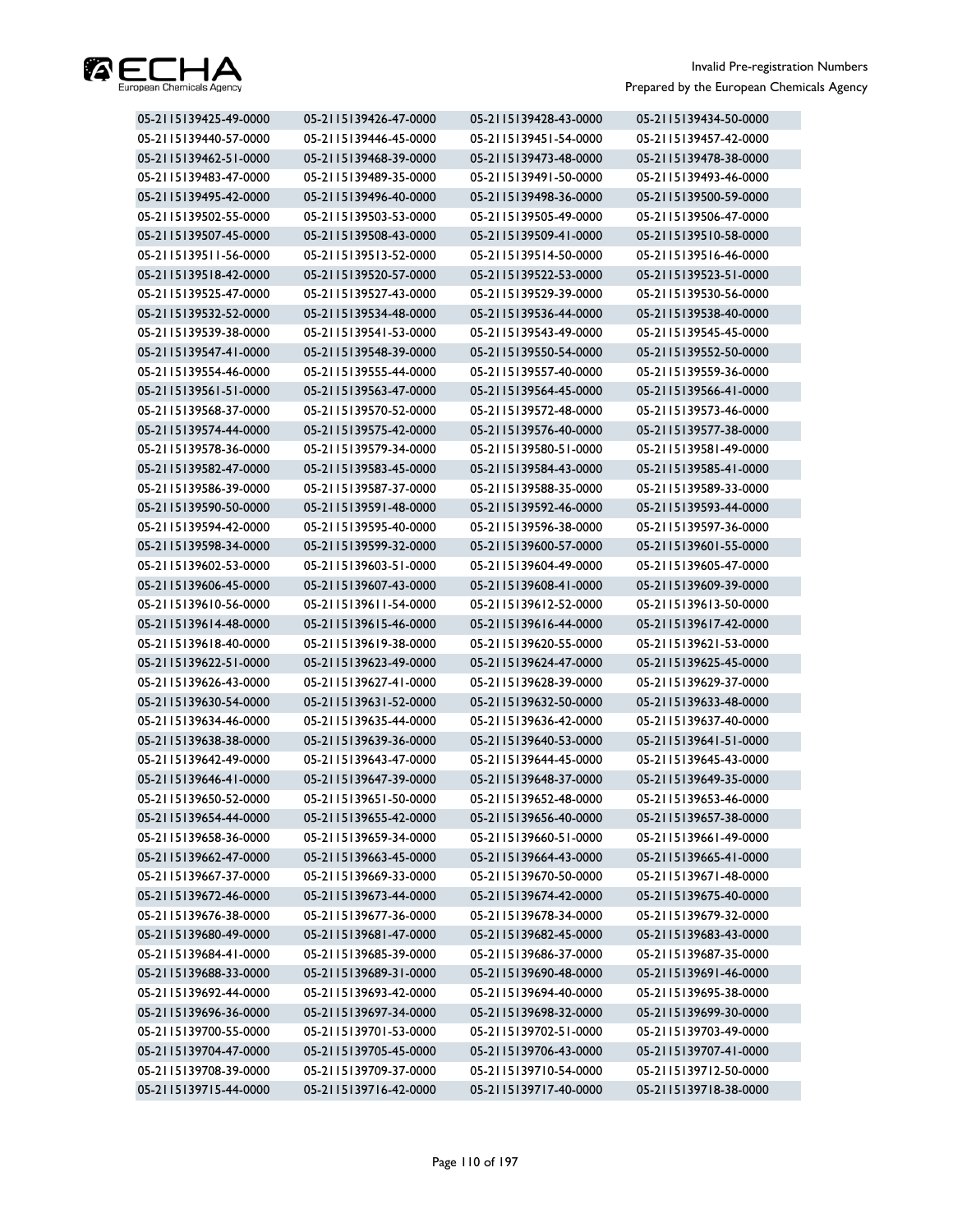

| 05-2115139425-49-0000 | 05-2115139426-47-0000 | 05-2115139428-43-0000 | 05-2115139434-50-0000 |
|-----------------------|-----------------------|-----------------------|-----------------------|
| 05-2115139440-57-0000 | 05-2115139446-45-0000 | 05-2115139451-54-0000 | 05-2115139457-42-0000 |
| 05-2115139462-51-0000 | 05-2115139468-39-0000 | 05-2115139473-48-0000 | 05-2115139478-38-0000 |
| 05-2115139483-47-0000 | 05-2115139489-35-0000 | 05-2115139491-50-0000 | 05-2115139493-46-0000 |
| 05-2115139495-42-0000 | 05-2115139496-40-0000 | 05-2115139498-36-0000 | 05-2115139500-59-0000 |
| 05-2115139502-55-0000 | 05-2115139503-53-0000 | 05-2115139505-49-0000 | 05-2115139506-47-0000 |
| 05-2115139507-45-0000 | 05-2115139508-43-0000 | 05-2115139509-41-0000 | 05-2115139510-58-0000 |
| 05-2115139511-56-0000 | 05-2115139513-52-0000 | 05-2115139514-50-0000 | 05-2115139516-46-0000 |
| 05-2115139518-42-0000 | 05-2115139520-57-0000 | 05-2115139522-53-0000 | 05-2115139523-51-0000 |
| 05-2115139525-47-0000 | 05-2115139527-43-0000 | 05-2115139529-39-0000 | 05-2115139530-56-0000 |
| 05-2115139532-52-0000 | 05-2115139534-48-0000 | 05-2115139536-44-0000 | 05-2115139538-40-0000 |
| 05-2115139539-38-0000 | 05-2115139541-53-0000 | 05-2115139543-49-0000 | 05-2115139545-45-0000 |
| 05-2115139547-41-0000 | 05-2115139548-39-0000 | 05-2115139550-54-0000 | 05-2115139552-50-0000 |
| 05-2115139554-46-0000 | 05-2115139555-44-0000 | 05-2115139557-40-0000 | 05-2115139559-36-0000 |
| 05-2115139561-51-0000 | 05-2115139563-47-0000 | 05-2115139564-45-0000 | 05-2115139566-41-0000 |
| 05-2115139568-37-0000 | 05-2115139570-52-0000 | 05-2115139572-48-0000 | 05-2115139573-46-0000 |
| 05-2115139574-44-0000 | 05-2115139575-42-0000 | 05-2115139576-40-0000 | 05-2115139577-38-0000 |
| 05-2115139578-36-0000 | 05-2115139579-34-0000 | 05-2115139580-51-0000 | 05-2115139581-49-0000 |
| 05-2115139582-47-0000 | 05-2115139583-45-0000 | 05-2115139584-43-0000 | 05-2115139585-41-0000 |
| 05-2115139586-39-0000 | 05-2115139587-37-0000 | 05-2115139588-35-0000 | 05-2115139589-33-0000 |
| 05-2115139590-50-0000 | 05-2115139591-48-0000 | 05-2115139592-46-0000 | 05-2115139593-44-0000 |
| 05-2115139594-42-0000 | 05-2115139595-40-0000 | 05-2115139596-38-0000 | 05-2115139597-36-0000 |
| 05-2115139598-34-0000 | 05-2115139599-32-0000 | 05-2115139600-57-0000 | 05-2115139601-55-0000 |
| 05-2115139602-53-0000 | 05-2115139603-51-0000 | 05-2115139604-49-0000 | 05-2115139605-47-0000 |
| 05-2115139606-45-0000 | 05-2115139607-43-0000 | 05-2115139608-41-0000 | 05-2115139609-39-0000 |
| 05-2115139610-56-0000 | 05-2115139611-54-0000 | 05-2115139612-52-0000 | 05-2115139613-50-0000 |
| 05-2115139614-48-0000 | 05-2115139615-46-0000 | 05-2115139616-44-0000 | 05-2115139617-42-0000 |
| 05-2115139618-40-0000 | 05-2115139619-38-0000 | 05-2115139620-55-0000 | 05-2115139621-53-0000 |
| 05-2115139622-51-0000 | 05-2115139623-49-0000 | 05-2115139624-47-0000 | 05-2115139625-45-0000 |
| 05-2115139626-43-0000 | 05-2115139627-41-0000 | 05-2115139628-39-0000 | 05-2115139629-37-0000 |
| 05-2115139630-54-0000 | 05-2115139631-52-0000 | 05-2115139632-50-0000 | 05-2115139633-48-0000 |
| 05-2115139634-46-0000 | 05-2115139635-44-0000 | 05-2115139636-42-0000 | 05-2115139637-40-0000 |
| 05-2115139638-38-0000 | 05-2115139639-36-0000 | 05-2115139640-53-0000 | 05-2115139641-51-0000 |
| 05-2115139642-49-0000 | 05-2115139643-47-0000 | 05-2115139644-45-0000 | 05-2115139645-43-0000 |
| 05-2115139646-41-0000 | 05-2115139647-39-0000 | 05-2115139648-37-0000 | 05-2115139649-35-0000 |
| 05-2115139650-52-0000 | 05-2115139651-50-0000 | 05-2115139652-48-0000 | 05-2115139653-46-0000 |
| 05-2115139654-44-0000 | 05-2115139655-42-0000 | 05-2115139656-40-0000 | 05-2115139657-38-0000 |
| 05-2115139658-36-0000 | 05-2115139659-34-0000 | 05-2115139660-51-0000 | 05-2115139661-49-0000 |
| 05-2115139662-47-0000 | 05-2115139663-45-0000 | 05-2115139664-43-0000 | 05-2115139665-41-0000 |
| 05-2115139667-37-0000 | 05-2115139669-33-0000 | 05-2115139670-50-0000 | 05-2115139671-48-0000 |
| 05-2115139672-46-0000 | 05-2115139673-44-0000 | 05-2115139674-42-0000 | 05-2115139675-40-0000 |
| 05-2115139676-38-0000 | 05-2115139677-36-0000 | 05-2115139678-34-0000 | 05-2115139679-32-0000 |
| 05-2115139680-49-0000 | 05-2115139681-47-0000 | 05-2115139682-45-0000 | 05-2115139683-43-0000 |
| 05-2115139684-41-0000 | 05-2115139685-39-0000 | 05-2115139686-37-0000 | 05-2115139687-35-0000 |
| 05-2115139688-33-0000 | 05-2115139689-31-0000 | 05-2115139690-48-0000 | 05-2115139691-46-0000 |
| 05-2115139692-44-0000 | 05-2115139693-42-0000 | 05-2115139694-40-0000 | 05-2115139695-38-0000 |
| 05-2115139696-36-0000 | 05-2115139697-34-0000 | 05-2115139698-32-0000 | 05-2115139699-30-0000 |
| 05-2115139700-55-0000 | 05-2115139701-53-0000 | 05-2115139702-51-0000 | 05-2115139703-49-0000 |
| 05-2115139704-47-0000 | 05-2115139705-45-0000 | 05-2115139706-43-0000 | 05-2115139707-41-0000 |
| 05-2115139708-39-0000 | 05-2115139709-37-0000 | 05-2115139710-54-0000 | 05-2115139712-50-0000 |
| 05-2115139715-44-0000 | 05-2115139716-42-0000 | 05-2115139717-40-0000 | 05-2115139718-38-0000 |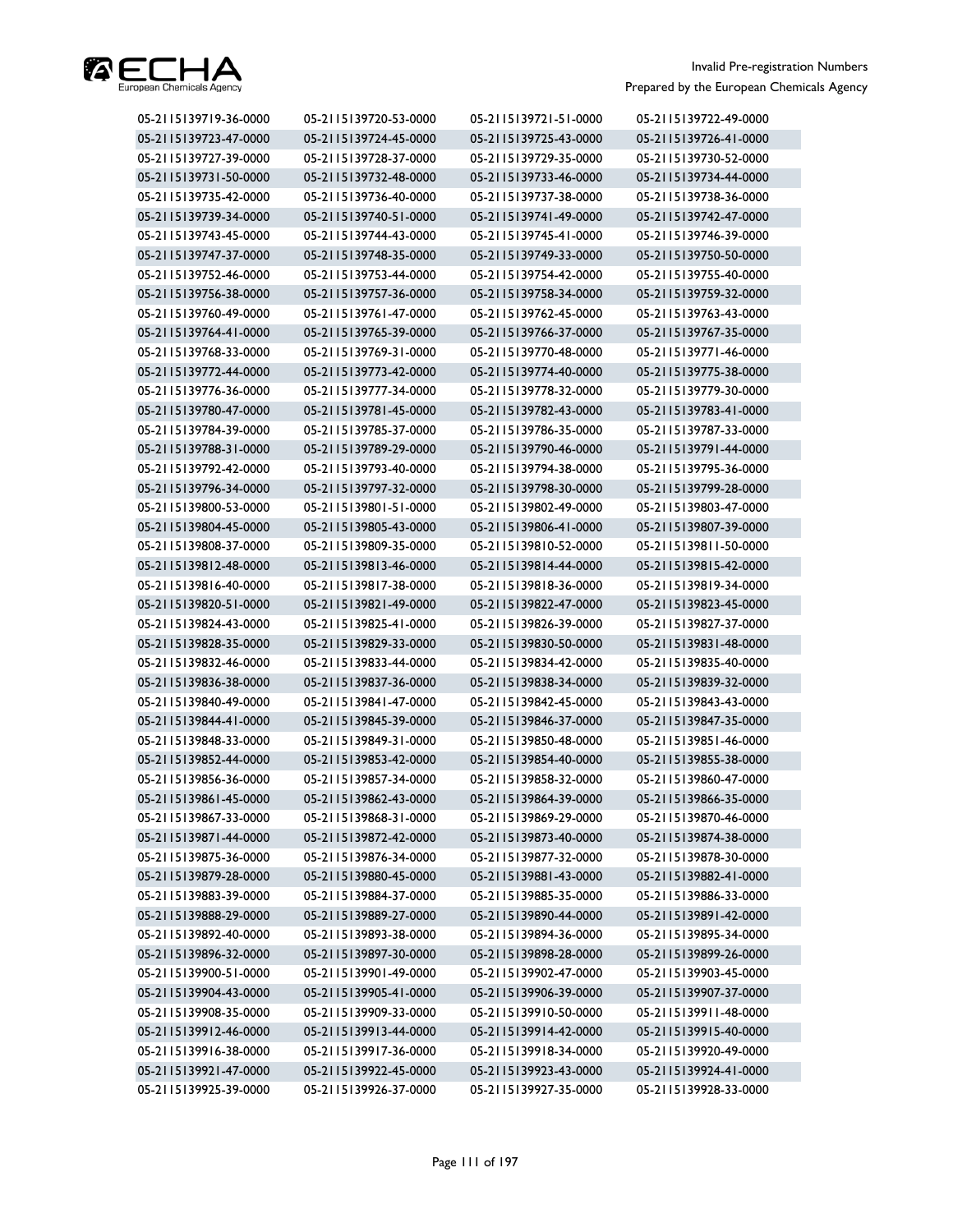

| 05-2115139719-36-0000 | 05-2115139720-53-0000 | 05-2115139721-51-0000 | 05-2115139722-49-0000 |
|-----------------------|-----------------------|-----------------------|-----------------------|
| 05-2115139723-47-0000 | 05-2115139724-45-0000 | 05-2115139725-43-0000 | 05-2115139726-41-0000 |
| 05-2115139727-39-0000 | 05-2115139728-37-0000 | 05-2115139729-35-0000 | 05-2115139730-52-0000 |
| 05-2115139731-50-0000 | 05-2115139732-48-0000 | 05-2115139733-46-0000 | 05-2115139734-44-0000 |
| 05-2115139735-42-0000 | 05-2115139736-40-0000 | 05-2115139737-38-0000 | 05-2115139738-36-0000 |
| 05-2115139739-34-0000 | 05-2115139740-51-0000 | 05-2115139741-49-0000 | 05-2115139742-47-0000 |
| 05-2115139743-45-0000 | 05-2115139744-43-0000 | 05-2115139745-41-0000 | 05-2115139746-39-0000 |
| 05-2115139747-37-0000 | 05-2115139748-35-0000 | 05-2115139749-33-0000 | 05-2115139750-50-0000 |
| 05-2115139752-46-0000 | 05-2115139753-44-0000 | 05-2115139754-42-0000 | 05-2115139755-40-0000 |
| 05-2115139756-38-0000 | 05-2115139757-36-0000 | 05-2115139758-34-0000 | 05-2115139759-32-0000 |
| 05-2115139760-49-0000 | 05-2115139761-47-0000 | 05-2115139762-45-0000 | 05-2115139763-43-0000 |
| 05-2115139764-41-0000 | 05-2115139765-39-0000 | 05-2115139766-37-0000 | 05-2115139767-35-0000 |
| 05-2115139768-33-0000 | 05-2115139769-31-0000 | 05-2115139770-48-0000 | 05-2115139771-46-0000 |
| 05-2115139772-44-0000 | 05-2115139773-42-0000 | 05-2115139774-40-0000 | 05-2115139775-38-0000 |
| 05-2115139776-36-0000 | 05-2115139777-34-0000 | 05-2115139778-32-0000 | 05-2115139779-30-0000 |
| 05-2115139780-47-0000 | 05-2115139781-45-0000 | 05-2115139782-43-0000 | 05-2115139783-41-0000 |
| 05-2115139784-39-0000 | 05-2115139785-37-0000 | 05-2115139786-35-0000 | 05-2115139787-33-0000 |
| 05-2115139788-31-0000 | 05-2115139789-29-0000 | 05-2115139790-46-0000 | 05-2115139791-44-0000 |
| 05-2115139792-42-0000 | 05-2115139793-40-0000 | 05-2115139794-38-0000 | 05-2115139795-36-0000 |
| 05-2115139796-34-0000 | 05-2115139797-32-0000 | 05-2115139798-30-0000 | 05-2115139799-28-0000 |
| 05-2115139800-53-0000 | 05-2115139801-51-0000 | 05-2115139802-49-0000 | 05-2115139803-47-0000 |
| 05-2115139804-45-0000 | 05-2115139805-43-0000 | 05-2115139806-41-0000 | 05-2115139807-39-0000 |
| 05-2115139808-37-0000 | 05-2115139809-35-0000 | 05-2115139810-52-0000 | 05-2115139811-50-0000 |
| 05-2115139812-48-0000 | 05-2115139813-46-0000 | 05-2115139814-44-0000 | 05-2115139815-42-0000 |
| 05-2115139816-40-0000 | 05-2115139817-38-0000 | 05-2115139818-36-0000 | 05-2115139819-34-0000 |
| 05-2115139820-51-0000 | 05-2115139821-49-0000 | 05-2115139822-47-0000 | 05-2115139823-45-0000 |
| 05-2115139824-43-0000 | 05-2115139825-41-0000 | 05-2115139826-39-0000 | 05-2115139827-37-0000 |
| 05-2115139828-35-0000 | 05-2115139829-33-0000 | 05-2115139830-50-0000 | 05-2115139831-48-0000 |
| 05-2115139832-46-0000 | 05-2115139833-44-0000 | 05-2115139834-42-0000 | 05-2115139835-40-0000 |
| 05-2115139836-38-0000 | 05-2115139837-36-0000 | 05-2115139838-34-0000 | 05-2115139839-32-0000 |
| 05-2115139840-49-0000 | 05-2115139841-47-0000 | 05-2115139842-45-0000 | 05-2115139843-43-0000 |
| 05-2115139844-41-0000 | 05-2115139845-39-0000 | 05-2115139846-37-0000 | 05-2115139847-35-0000 |
| 05-2115139848-33-0000 | 05-2115139849-31-0000 | 05-2115139850-48-0000 | 05-2115139851-46-0000 |
| 05-2115139852-44-0000 | 05-2115139853-42-0000 | 05-2115139854-40-0000 | 05-2115139855-38-0000 |
| 05-2115139856-36-0000 | 05-2115139857-34-0000 | 05-2115139858-32-0000 | 05-2115139860-47-0000 |
| 05-2115139861-45-0000 | 05-2115139862-43-0000 | 05-2115139864-39-0000 | 05-2115139866-35-0000 |
| 05-2115139867-33-0000 | 05-2115139868-31-0000 | 05-2115139869-29-0000 | 05-2115139870-46-0000 |
| 05-2115139871-44-0000 | 05-2115139872-42-0000 | 05-2115139873-40-0000 | 05-2115139874-38-0000 |
| 05-2115139875-36-0000 | 05-2115139876-34-0000 | 05-2115139877-32-0000 | 05-2115139878-30-0000 |
| 05-2115139879-28-0000 | 05-2115139880-45-0000 | 05-2115139881-43-0000 | 05-2115139882-41-0000 |
| 05-2115139883-39-0000 | 05-2115139884-37-0000 | 05-2115139885-35-0000 | 05-2115139886-33-0000 |
| 05-2115139888-29-0000 | 05-2115139889-27-0000 | 05-2115139890-44-0000 | 05-2115139891-42-0000 |
| 05-2115139892-40-0000 | 05-2115139893-38-0000 | 05-2115139894-36-0000 | 05-2115139895-34-0000 |
| 05-2115139896-32-0000 | 05-2115139897-30-0000 | 05-2115139898-28-0000 | 05-2115139899-26-0000 |
| 05-2115139900-51-0000 | 05-2115139901-49-0000 | 05-2115139902-47-0000 | 05-2115139903-45-0000 |
| 05-2115139904-43-0000 | 05-2115139905-41-0000 | 05-2115139906-39-0000 | 05-2115139907-37-0000 |
| 05-2115139908-35-0000 | 05-2115139909-33-0000 | 05-2115139910-50-0000 | 05-2115139911-48-0000 |
| 05-2115139912-46-0000 | 05-2115139913-44-0000 | 05-2115139914-42-0000 | 05-2115139915-40-0000 |
| 05-2115139916-38-0000 | 05-2115139917-36-0000 | 05-2115139918-34-0000 | 05-2115139920-49-0000 |
| 05-2115139921-47-0000 | 05-2115139922-45-0000 | 05-2115139923-43-0000 | 05-2115139924-41-0000 |
| 05-2115139925-39-0000 | 05-2115139926-37-0000 | 05-2115139927-35-0000 | 05-2115139928-33-0000 |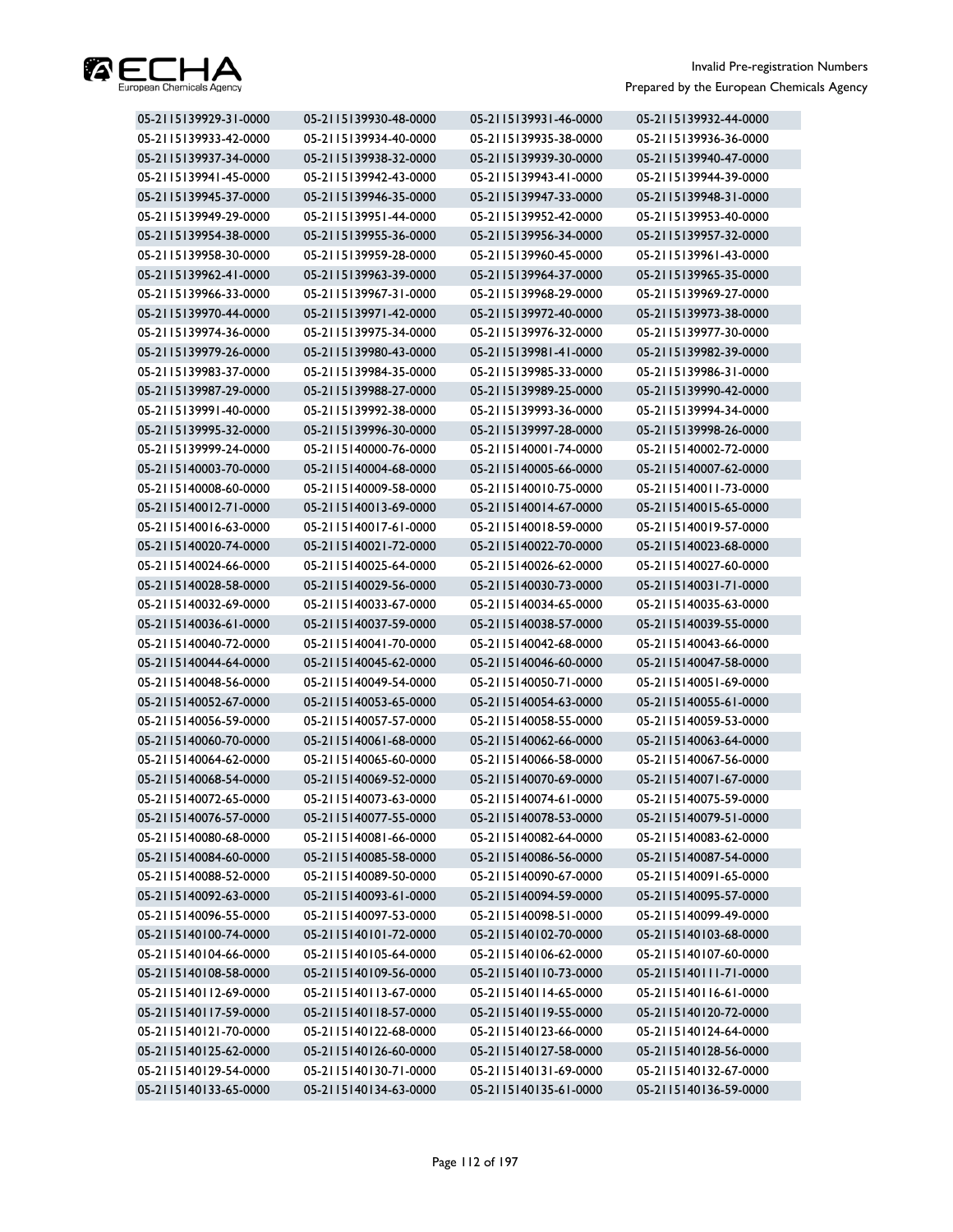

| 05-2115139929-31-0000 | 05-2115139930-48-0000 | 05-2115139931-46-0000 | 05-2115139932-44-0000 |
|-----------------------|-----------------------|-----------------------|-----------------------|
| 05-2115139933-42-0000 | 05-2115139934-40-0000 | 05-2115139935-38-0000 | 05-2115139936-36-0000 |
| 05-2115139937-34-0000 | 05-2115139938-32-0000 | 05-2115139939-30-0000 | 05-2115139940-47-0000 |
| 05-2115139941-45-0000 | 05-2115139942-43-0000 | 05-2115139943-41-0000 | 05-2115139944-39-0000 |
| 05-2115139945-37-0000 | 05-2115139946-35-0000 | 05-2115139947-33-0000 | 05-2115139948-31-0000 |
| 05-2115139949-29-0000 | 05-2115139951-44-0000 | 05-2115139952-42-0000 | 05-2115139953-40-0000 |
| 05-2115139954-38-0000 | 05-2115139955-36-0000 | 05-2115139956-34-0000 | 05-2115139957-32-0000 |
| 05-2115139958-30-0000 | 05-2115139959-28-0000 | 05-2115139960-45-0000 | 05-2115139961-43-0000 |
| 05-2115139962-41-0000 | 05-2115139963-39-0000 | 05-2115139964-37-0000 | 05-2115139965-35-0000 |
| 05-2115139966-33-0000 | 05-2115139967-31-0000 | 05-2115139968-29-0000 | 05-2115139969-27-0000 |
| 05-2115139970-44-0000 | 05-2115139971-42-0000 | 05-2115139972-40-0000 | 05-2115139973-38-0000 |
| 05-2115139974-36-0000 | 05-2115139975-34-0000 | 05-2115139976-32-0000 | 05-2115139977-30-0000 |
| 05-2115139979-26-0000 | 05-2115139980-43-0000 | 05-2115139981-41-0000 | 05-2115139982-39-0000 |
| 05-2115139983-37-0000 | 05-2115139984-35-0000 | 05-2115139985-33-0000 | 05-2115139986-31-0000 |
| 05-2115139987-29-0000 | 05-2115139988-27-0000 | 05-2115139989-25-0000 | 05-2115139990-42-0000 |
| 05-2115139991-40-0000 | 05-2115139992-38-0000 | 05-2115139993-36-0000 | 05-2115139994-34-0000 |
| 05-2115139995-32-0000 | 05-2115139996-30-0000 | 05-2115139997-28-0000 | 05-2115139998-26-0000 |
| 05-2115139999-24-0000 | 05-2115140000-76-0000 | 05-2115140001-74-0000 | 05-2115140002-72-0000 |
| 05-2115140003-70-0000 | 05-2115140004-68-0000 | 05-2115140005-66-0000 | 05-2115140007-62-0000 |
| 05-2115140008-60-0000 | 05-2115140009-58-0000 | 05-2115140010-75-0000 | 05-2115140011-73-0000 |
| 05-2115140012-71-0000 | 05-2115140013-69-0000 | 05-2115140014-67-0000 | 05-2115140015-65-0000 |
| 05-2115140016-63-0000 | 05-2115140017-61-0000 | 05-2115140018-59-0000 | 05-2115140019-57-0000 |
| 05-2115140020-74-0000 | 05-2115140021-72-0000 | 05-2115140022-70-0000 | 05-2115140023-68-0000 |
| 05-2115140024-66-0000 | 05-2115140025-64-0000 | 05-2115140026-62-0000 | 05-2115140027-60-0000 |
| 05-2115140028-58-0000 | 05-2115140029-56-0000 | 05-2115140030-73-0000 | 05-2115140031-71-0000 |
| 05-2115140032-69-0000 | 05-2115140033-67-0000 | 05-2115140034-65-0000 | 05-2115140035-63-0000 |
| 05-2115140036-61-0000 | 05-2115140037-59-0000 | 05-2115140038-57-0000 | 05-2115140039-55-0000 |
| 05-2115140040-72-0000 | 05-2115140041-70-0000 | 05-2115140042-68-0000 | 05-2115140043-66-0000 |
| 05-2115140044-64-0000 | 05-2115140045-62-0000 | 05-2115140046-60-0000 | 05-2115140047-58-0000 |
| 05-2115140048-56-0000 | 05-2115140049-54-0000 | 05-2115140050-71-0000 | 05-2115140051-69-0000 |
| 05-2115140052-67-0000 | 05-2115140053-65-0000 | 05-2115140054-63-0000 | 05-2115140055-61-0000 |
| 05-2115140056-59-0000 | 05-2115140057-57-0000 | 05-2115140058-55-0000 | 05-2115140059-53-0000 |
| 05-2115140060-70-0000 | 05-2115140061-68-0000 | 05-2115140062-66-0000 | 05-2115140063-64-0000 |
| 05-2115140064-62-0000 | 05-2115140065-60-0000 | 05-2115140066-58-0000 | 05-2115140067-56-0000 |
| 05-2115140068-54-0000 | 05-2115140069-52-0000 | 05-2115140070-69-0000 | 05-2115140071-67-0000 |
| 05-2115140072-65-0000 | 05-2115140073-63-0000 | 05-2115140074-61-0000 | 05-2115140075-59-0000 |
| 05-2115140076-57-0000 | 05-2115140077-55-0000 | 05-2115140078-53-0000 | 05-2115140079-51-0000 |
| 05-2115140080-68-0000 | 05-2115140081-66-0000 | 05-2115140082-64-0000 | 05-2115140083-62-0000 |
| 05-2115140084-60-0000 | 05-2115140085-58-0000 | 05-2115140086-56-0000 | 05-2115140087-54-0000 |
| 05-2115140088-52-0000 | 05-2115140089-50-0000 | 05-2115140090-67-0000 | 05-2115140091-65-0000 |
| 05-2115140092-63-0000 | 05-2115140093-61-0000 | 05-2115140094-59-0000 | 05-2115140095-57-0000 |
| 05-2115140096-55-0000 | 05-2115140097-53-0000 | 05-2115140098-51-0000 | 05-2115140099-49-0000 |
| 05-2115140100-74-0000 | 05-2115140101-72-0000 | 05-2115140102-70-0000 | 05-2115140103-68-0000 |
| 05-2115140104-66-0000 | 05-2115140105-64-0000 | 05-2115140106-62-0000 | 05-2115140107-60-0000 |
| 05-2115140108-58-0000 | 05-2115140109-56-0000 | 05-2115140110-73-0000 | 05-2115140111-71-0000 |
| 05-2115140112-69-0000 | 05-2115140113-67-0000 | 05-2115140114-65-0000 | 05-2115140116-61-0000 |
| 05-2115140117-59-0000 | 05-2115140118-57-0000 | 05-2115140119-55-0000 | 05-2115140120-72-0000 |
| 05-2115140121-70-0000 | 05-2115140122-68-0000 | 05-2115140123-66-0000 | 05-2115140124-64-0000 |
| 05-2115140125-62-0000 | 05-2115140126-60-0000 | 05-2115140127-58-0000 | 05-2115140128-56-0000 |
| 05-2115140129-54-0000 | 05-2115140130-71-0000 | 05-2115140131-69-0000 | 05-2115140132-67-0000 |
| 05-2115140133-65-0000 | 05-2115140134-63-0000 | 05-2115140135-61-0000 | 05-2115140136-59-0000 |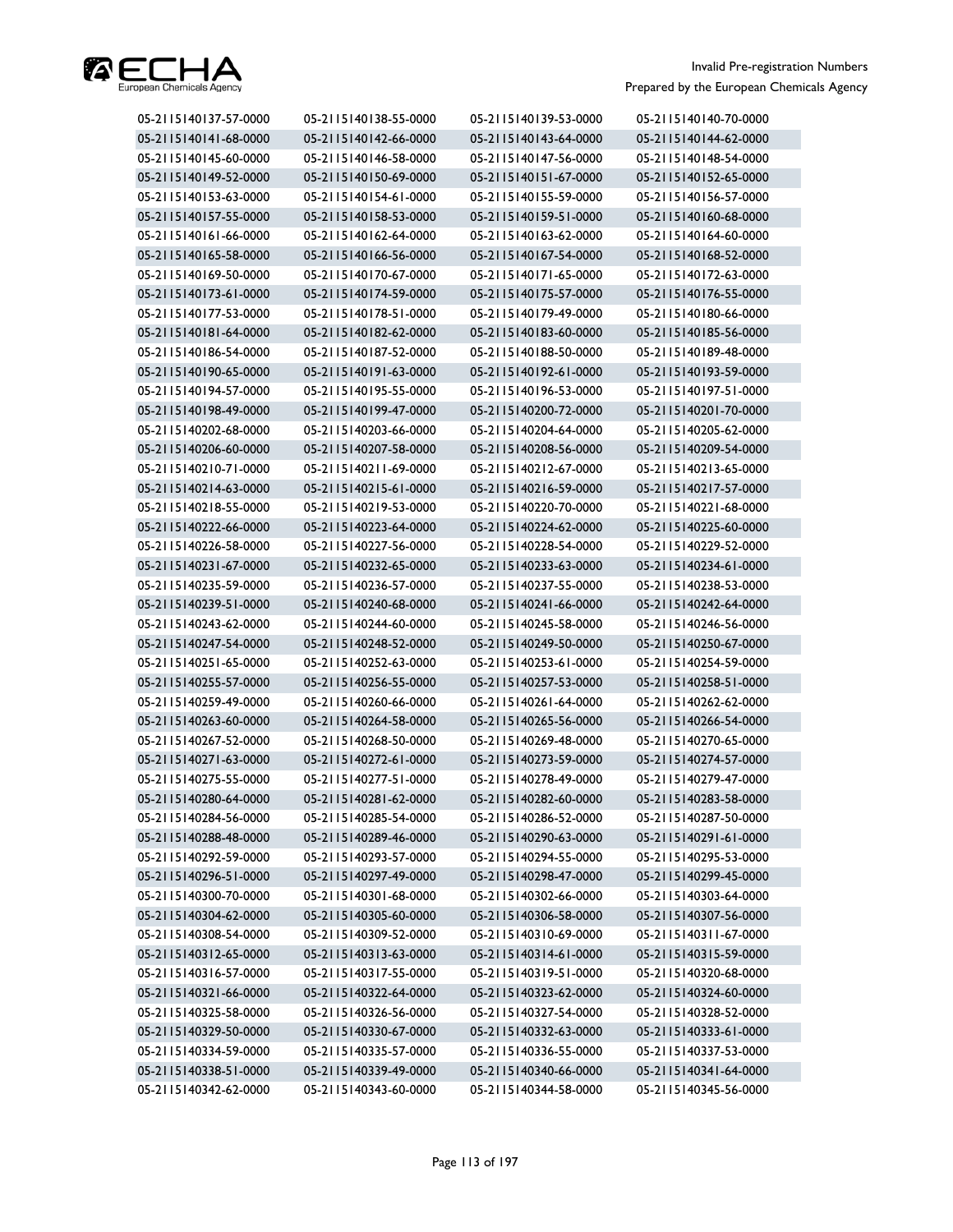

| 05-2115140137-57-0000 | 05-2115140138-55-0000 | 05-2115140139-53-0000 | 05-2115140140-70-0000 |
|-----------------------|-----------------------|-----------------------|-----------------------|
| 05-2115140141-68-0000 | 05-2115140142-66-0000 | 05-2115140143-64-0000 | 05-2115140144-62-0000 |
| 05-2115140145-60-0000 | 05-2115140146-58-0000 | 05-2115140147-56-0000 | 05-2115140148-54-0000 |
| 05-2115140149-52-0000 | 05-2115140150-69-0000 | 05-2115140151-67-0000 | 05-2115140152-65-0000 |
| 05-2115140153-63-0000 | 05-2115140154-61-0000 | 05-2115140155-59-0000 | 05-2115140156-57-0000 |
| 05-2115140157-55-0000 | 05-2115140158-53-0000 | 05-2115140159-51-0000 | 05-2115140160-68-0000 |
| 05-2115140161-66-0000 | 05-2115140162-64-0000 | 05-2115140163-62-0000 | 05-2115140164-60-0000 |
| 05-2115140165-58-0000 | 05-2115140166-56-0000 | 05-2115140167-54-0000 | 05-2115140168-52-0000 |
| 05-2115140169-50-0000 | 05-2115140170-67-0000 | 05-2115140171-65-0000 | 05-2115140172-63-0000 |
| 05-2115140173-61-0000 | 05-2115140174-59-0000 | 05-2115140175-57-0000 | 05-2115140176-55-0000 |
| 05-2115140177-53-0000 | 05-2115140178-51-0000 | 05-2115140179-49-0000 | 05-2115140180-66-0000 |
| 05-2115140181-64-0000 | 05-2115140182-62-0000 | 05-2115140183-60-0000 | 05-2115140185-56-0000 |
| 05-2115140186-54-0000 | 05-2115140187-52-0000 | 05-2115140188-50-0000 | 05-2115140189-48-0000 |
| 05-2115140190-65-0000 | 05-2115140191-63-0000 | 05-2115140192-61-0000 | 05-2115140193-59-0000 |
| 05-2115140194-57-0000 | 05-2115140195-55-0000 | 05-2115140196-53-0000 | 05-2115140197-51-0000 |
| 05-2115140198-49-0000 | 05-2115140199-47-0000 | 05-2115140200-72-0000 | 05-2115140201-70-0000 |
| 05-2115140202-68-0000 | 05-2115140203-66-0000 | 05-2115140204-64-0000 | 05-2115140205-62-0000 |
| 05-2115140206-60-0000 | 05-2115140207-58-0000 | 05-2115140208-56-0000 | 05-2115140209-54-0000 |
| 05-2115140210-71-0000 | 05-2115140211-69-0000 | 05-2115140212-67-0000 | 05-2115140213-65-0000 |
| 05-2115140214-63-0000 | 05-2115140215-61-0000 | 05-2115140216-59-0000 | 05-2115140217-57-0000 |
| 05-2115140218-55-0000 | 05-2115140219-53-0000 | 05-2115140220-70-0000 | 05-2115140221-68-0000 |
| 05-2115140222-66-0000 | 05-2115140223-64-0000 | 05-2115140224-62-0000 | 05-2115140225-60-0000 |
| 05-2115140226-58-0000 | 05-2115140227-56-0000 | 05-2115140228-54-0000 | 05-2115140229-52-0000 |
| 05-2115140231-67-0000 | 05-2115140232-65-0000 | 05-2115140233-63-0000 | 05-2115140234-61-0000 |
| 05-2115140235-59-0000 | 05-2115140236-57-0000 | 05-2115140237-55-0000 | 05-2115140238-53-0000 |
| 05-2115140239-51-0000 | 05-2115140240-68-0000 | 05-2115140241-66-0000 | 05-2115140242-64-0000 |
| 05-2115140243-62-0000 | 05-2115140244-60-0000 | 05-2115140245-58-0000 | 05-2115140246-56-0000 |
| 05-2115140247-54-0000 | 05-2115140248-52-0000 | 05-2115140249-50-0000 | 05-2115140250-67-0000 |
| 05-2115140251-65-0000 | 05-2115140252-63-0000 | 05-2115140253-61-0000 | 05-2115140254-59-0000 |
| 05-2115140255-57-0000 | 05-2115140256-55-0000 | 05-2115140257-53-0000 | 05-2115140258-51-0000 |
| 05-2115140259-49-0000 | 05-2115140260-66-0000 | 05-2115140261-64-0000 | 05-2115140262-62-0000 |
| 05-2115140263-60-0000 | 05-2115140264-58-0000 | 05-2115140265-56-0000 | 05-2115140266-54-0000 |
| 05-2115140267-52-0000 | 05-2115140268-50-0000 | 05-2115140269-48-0000 | 05-2115140270-65-0000 |
| 05-2115140271-63-0000 | 05-2115140272-61-0000 | 05-2115140273-59-0000 | 05-2115140274-57-0000 |
| 05-2115140275-55-0000 | 05-2115140277-51-0000 | 05-2115140278-49-0000 | 05-2115140279-47-0000 |
| 05-2115140280-64-0000 | 05-2115140281-62-0000 | 05-2115140282-60-0000 | 05-2115140283-58-0000 |
| 05-2115140284-56-0000 | 05-2115140285-54-0000 | 05-2115140286-52-0000 | 05-2115140287-50-0000 |
| 05-2115140288-48-0000 | 05-2115140289-46-0000 | 05-2115140290-63-0000 | 05-2115140291-61-0000 |
| 05-2115140292-59-0000 | 05-2115140293-57-0000 | 05-2115140294-55-0000 | 05-2115140295-53-0000 |
| 05-2115140296-51-0000 | 05-2115140297-49-0000 | 05-2115140298-47-0000 | 05-2115140299-45-0000 |
| 05-2115140300-70-0000 | 05-2115140301-68-0000 | 05-2115140302-66-0000 | 05-2115140303-64-0000 |
| 05-2115140304-62-0000 | 05-2115140305-60-0000 | 05-2115140306-58-0000 | 05-2115140307-56-0000 |
| 05-2115140308-54-0000 | 05-2115140309-52-0000 | 05-2115140310-69-0000 | 05-2115140311-67-0000 |
| 05-2115140312-65-0000 | 05-2115140313-63-0000 | 05-2115140314-61-0000 | 05-2115140315-59-0000 |
| 05-2115140316-57-0000 | 05-2115140317-55-0000 | 05-2115140319-51-0000 | 05-2115140320-68-0000 |
| 05-2115140321-66-0000 | 05-2115140322-64-0000 | 05-2115140323-62-0000 | 05-2115140324-60-0000 |
| 05-2115140325-58-0000 | 05-2115140326-56-0000 | 05-2115140327-54-0000 | 05-2115140328-52-0000 |
| 05-2115140329-50-0000 | 05-2115140330-67-0000 | 05-2115140332-63-0000 | 05-2115140333-61-0000 |
| 05-2115140334-59-0000 | 05-2115140335-57-0000 | 05-2115140336-55-0000 | 05-2115140337-53-0000 |
| 05-2115140338-51-0000 | 05-2115140339-49-0000 | 05-2115140340-66-0000 | 05-2115140341-64-0000 |
| 05-2115140342-62-0000 | 05-2115140343-60-0000 | 05-2115140344-58-0000 | 05-2115140345-56-0000 |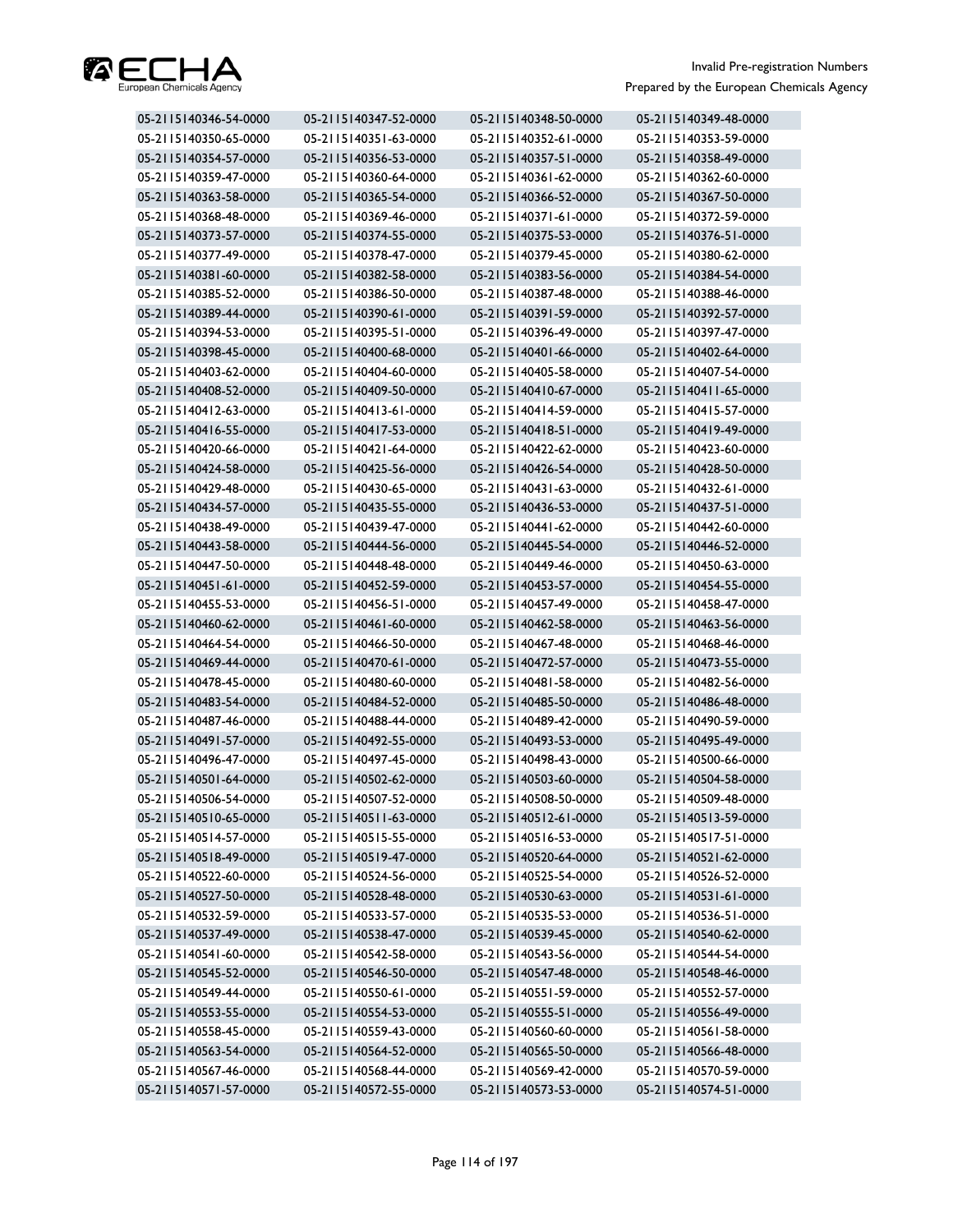

| 05-2115140346-54-0000 | 05-2115140347-52-0000 | 05-2115140348-50-0000 | 05-2115140349-48-0000 |
|-----------------------|-----------------------|-----------------------|-----------------------|
| 05-2115140350-65-0000 | 05-2115140351-63-0000 | 05-2115140352-61-0000 | 05-2115140353-59-0000 |
| 05-2115140354-57-0000 | 05-2115140356-53-0000 | 05-2115140357-51-0000 | 05-2115140358-49-0000 |
| 05-2115140359-47-0000 | 05-2115140360-64-0000 | 05-2115140361-62-0000 | 05-2115140362-60-0000 |
| 05-2115140363-58-0000 | 05-2115140365-54-0000 | 05-2115140366-52-0000 | 05-2115140367-50-0000 |
| 05-2115140368-48-0000 | 05-2115140369-46-0000 | 05-2115140371-61-0000 | 05-2115140372-59-0000 |
| 05-2115140373-57-0000 | 05-2115140374-55-0000 | 05-2115140375-53-0000 | 05-2115140376-51-0000 |
| 05-2115140377-49-0000 | 05-2115140378-47-0000 | 05-2115140379-45-0000 | 05-2115140380-62-0000 |
| 05-2115140381-60-0000 | 05-2115140382-58-0000 | 05-2115140383-56-0000 | 05-2115140384-54-0000 |
| 05-2115140385-52-0000 | 05-2115140386-50-0000 | 05-2115140387-48-0000 | 05-2115140388-46-0000 |
| 05-2115140389-44-0000 | 05-2115140390-61-0000 | 05-2115140391-59-0000 | 05-2115140392-57-0000 |
| 05-2115140394-53-0000 | 05-2115140395-51-0000 | 05-2115140396-49-0000 | 05-2115140397-47-0000 |
| 05-2115140398-45-0000 | 05-2115140400-68-0000 | 05-2115140401-66-0000 | 05-2115140402-64-0000 |
| 05-2115140403-62-0000 | 05-2115140404-60-0000 | 05-2115140405-58-0000 | 05-2115140407-54-0000 |
| 05-2115140408-52-0000 | 05-2115140409-50-0000 | 05-2115140410-67-0000 | 05-2115140411-65-0000 |
| 05-2115140412-63-0000 | 05-2115140413-61-0000 | 05-2115140414-59-0000 | 05-2115140415-57-0000 |
| 05-2115140416-55-0000 | 05-2115140417-53-0000 | 05-2115140418-51-0000 | 05-2115140419-49-0000 |
| 05-2115140420-66-0000 | 05-2115140421-64-0000 | 05-2115140422-62-0000 | 05-2115140423-60-0000 |
| 05-2115140424-58-0000 | 05-2115140425-56-0000 | 05-2115140426-54-0000 | 05-2115140428-50-0000 |
| 05-2115140429-48-0000 | 05-2115140430-65-0000 | 05-2115140431-63-0000 | 05-2115140432-61-0000 |
| 05-2115140434-57-0000 | 05-2115140435-55-0000 | 05-2115140436-53-0000 | 05-2115140437-51-0000 |
| 05-2115140438-49-0000 | 05-2115140439-47-0000 | 05-2115140441-62-0000 | 05-2115140442-60-0000 |
| 05-2115140443-58-0000 | 05-2115140444-56-0000 | 05-2115140445-54-0000 | 05-2115140446-52-0000 |
| 05-2115140447-50-0000 | 05-2115140448-48-0000 | 05-2115140449-46-0000 | 05-2115140450-63-0000 |
| 05-2115140451-61-0000 | 05-2115140452-59-0000 | 05-2115140453-57-0000 | 05-2115140454-55-0000 |
| 05-2115140455-53-0000 | 05-2115140456-51-0000 | 05-2115140457-49-0000 | 05-2115140458-47-0000 |
| 05-2115140460-62-0000 | 05-2115140461-60-0000 | 05-2115140462-58-0000 | 05-2115140463-56-0000 |
| 05-2115140464-54-0000 | 05-2115140466-50-0000 | 05-2115140467-48-0000 | 05-2115140468-46-0000 |
| 05-2115140469-44-0000 | 05-2115140470-61-0000 | 05-2115140472-57-0000 | 05-2115140473-55-0000 |
| 05-2115140478-45-0000 | 05-2115140480-60-0000 | 05-2115140481-58-0000 | 05-2115140482-56-0000 |
| 05-2115140483-54-0000 | 05-2115140484-52-0000 | 05-2115140485-50-0000 | 05-2115140486-48-0000 |
| 05-2115140487-46-0000 | 05-2115140488-44-0000 | 05-2115140489-42-0000 | 05-2115140490-59-0000 |
| 05-2115140491-57-0000 | 05-2115140492-55-0000 | 05-2115140493-53-0000 | 05-2115140495-49-0000 |
| 05-2115140496-47-0000 | 05-2115140497-45-0000 | 05-2115140498-43-0000 | 05-2115140500-66-0000 |
| 05-2115140501-64-0000 | 05-2115140502-62-0000 | 05-2115140503-60-0000 | 05-2115140504-58-0000 |
| 05-2115140506-54-0000 | 05-2115140507-52-0000 | 05-2115140508-50-0000 | 05-2115140509-48-0000 |
| 05-2115140510-65-0000 | 05-2115140511-63-0000 | 05-2115140512-61-0000 | 05-2115140513-59-0000 |
| 05-2115140514-57-0000 | 05-2115140515-55-0000 | 05-2115140516-53-0000 | 05-2115140517-51-0000 |
| 05-2115140518-49-0000 | 05-2115140519-47-0000 | 05-2115140520-64-0000 | 05-2115140521-62-0000 |
| 05-2115140522-60-0000 | 05-2115140524-56-0000 | 05-2115140525-54-0000 | 05-2115140526-52-0000 |
| 05-2115140527-50-0000 | 05-2115140528-48-0000 | 05-2115140530-63-0000 | 05-2115140531-61-0000 |
| 05-2115140532-59-0000 | 05-2115140533-57-0000 | 05-2115140535-53-0000 | 05-2115140536-51-0000 |
| 05-2115140537-49-0000 | 05-2115140538-47-0000 | 05-2115140539-45-0000 | 05-2115140540-62-0000 |
| 05-2115140541-60-0000 | 05-2115140542-58-0000 | 05-2115140543-56-0000 | 05-2115140544-54-0000 |
| 05-2115140545-52-0000 | 05-2115140546-50-0000 | 05-2115140547-48-0000 | 05-2115140548-46-0000 |
| 05-2115140549-44-0000 | 05-2115140550-61-0000 | 05-2115140551-59-0000 | 05-2115140552-57-0000 |
| 05-2115140553-55-0000 | 05-2115140554-53-0000 | 05-2115140555-51-0000 | 05-2115140556-49-0000 |
| 05-2115140558-45-0000 | 05-2115140559-43-0000 | 05-2115140560-60-0000 | 05-2115140561-58-0000 |
| 05-2115140563-54-0000 | 05-2115140564-52-0000 | 05-2115140565-50-0000 | 05-2115140566-48-0000 |
| 05-2115140567-46-0000 | 05-2115140568-44-0000 | 05-2115140569-42-0000 | 05-2115140570-59-0000 |
| 05-2115140571-57-0000 | 05-2115140572-55-0000 | 05-2115140573-53-0000 | 05-2115140574-51-0000 |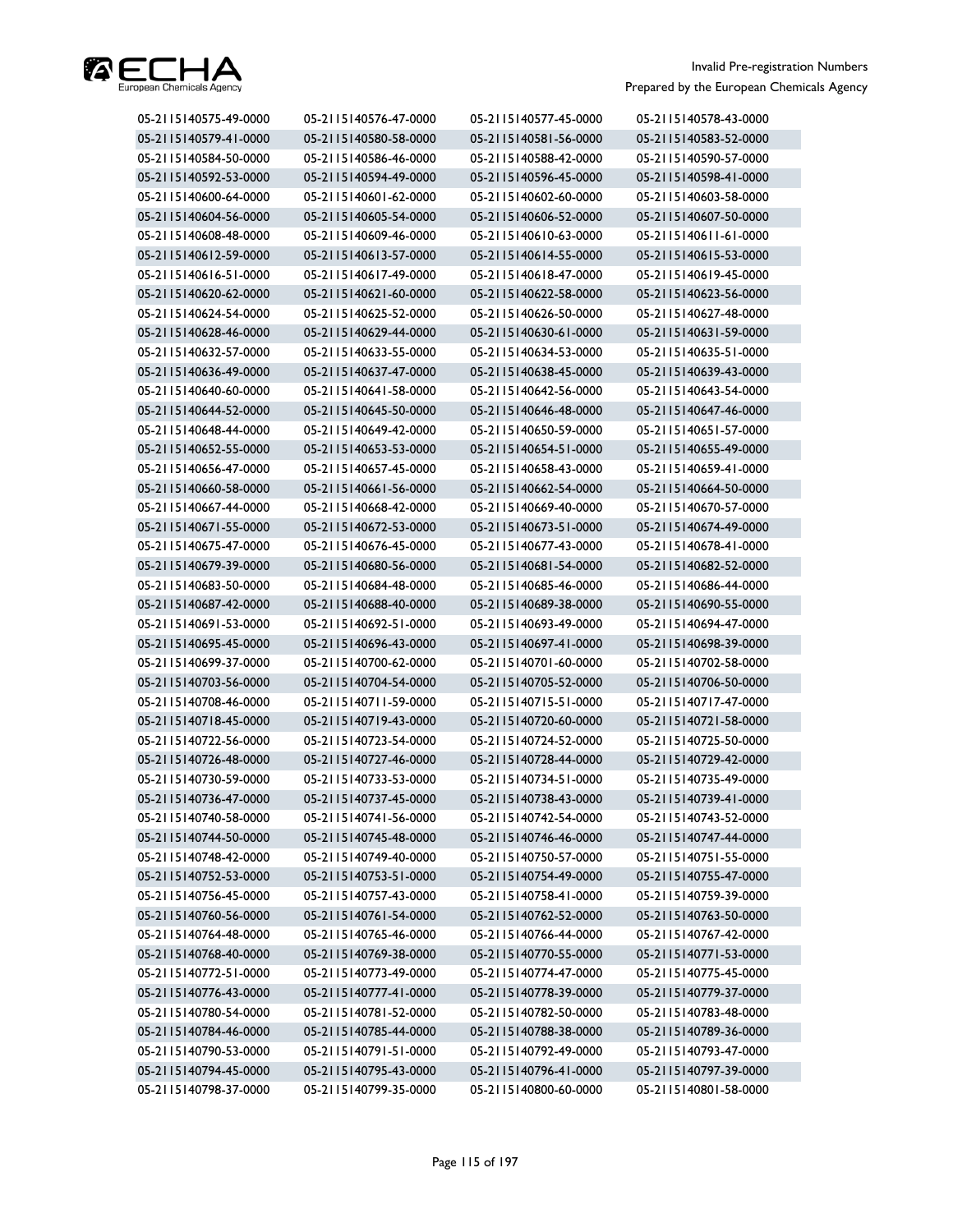

| 05-2115140575-49-0000 | 05-2115140576-47-0000 | 05-2115140577-45-0000 | 05-2115140578-43-0000 |
|-----------------------|-----------------------|-----------------------|-----------------------|
| 05-2115140579-41-0000 | 05-2115140580-58-0000 | 05-2115140581-56-0000 | 05-2115140583-52-0000 |
| 05-2115140584-50-0000 | 05-2115140586-46-0000 | 05-2115140588-42-0000 | 05-2115140590-57-0000 |
| 05-2115140592-53-0000 | 05-2115140594-49-0000 | 05-2115140596-45-0000 | 05-2115140598-41-0000 |
| 05-2115140600-64-0000 | 05-2115140601-62-0000 | 05-2115140602-60-0000 | 05-2115140603-58-0000 |
| 05-2115140604-56-0000 | 05-2115140605-54-0000 | 05-2115140606-52-0000 | 05-2115140607-50-0000 |
| 05-2115140608-48-0000 | 05-2115140609-46-0000 | 05-2115140610-63-0000 | 05-2115140611-61-0000 |
| 05-2115140612-59-0000 | 05-2115140613-57-0000 | 05-2115140614-55-0000 | 05-2115140615-53-0000 |
| 05-2115140616-51-0000 | 05-2115140617-49-0000 | 05-2115140618-47-0000 | 05-2115140619-45-0000 |
| 05-2115140620-62-0000 | 05-2115140621-60-0000 | 05-2115140622-58-0000 | 05-2115140623-56-0000 |
| 05-2115140624-54-0000 | 05-2115140625-52-0000 | 05-2115140626-50-0000 | 05-2115140627-48-0000 |
| 05-2115140628-46-0000 | 05-2115140629-44-0000 | 05-2115140630-61-0000 | 05-2115140631-59-0000 |
| 05-2115140632-57-0000 | 05-2115140633-55-0000 | 05-2115140634-53-0000 | 05-2115140635-51-0000 |
| 05-2115140636-49-0000 | 05-2115140637-47-0000 | 05-2115140638-45-0000 | 05-2115140639-43-0000 |
| 05-2115140640-60-0000 | 05-2115140641-58-0000 | 05-2115140642-56-0000 | 05-2115140643-54-0000 |
| 05-2115140644-52-0000 | 05-2115140645-50-0000 | 05-2115140646-48-0000 | 05-2115140647-46-0000 |
| 05-2115140648-44-0000 | 05-2115140649-42-0000 | 05-2115140650-59-0000 | 05-2115140651-57-0000 |
| 05-2115140652-55-0000 | 05-2115140653-53-0000 | 05-2115140654-51-0000 | 05-2115140655-49-0000 |
| 05-2115140656-47-0000 | 05-2115140657-45-0000 | 05-2115140658-43-0000 | 05-2115140659-41-0000 |
| 05-2115140660-58-0000 | 05-2115140661-56-0000 | 05-2115140662-54-0000 | 05-2115140664-50-0000 |
| 05-2115140667-44-0000 | 05-2115140668-42-0000 | 05-2115140669-40-0000 | 05-2115140670-57-0000 |
| 05-2115140671-55-0000 | 05-2115140672-53-0000 | 05-2115140673-51-0000 | 05-2115140674-49-0000 |
| 05-2115140675-47-0000 | 05-2115140676-45-0000 | 05-2115140677-43-0000 | 05-2115140678-41-0000 |
| 05-2115140679-39-0000 | 05-2115140680-56-0000 | 05-2115140681-54-0000 | 05-2115140682-52-0000 |
| 05-2115140683-50-0000 | 05-2115140684-48-0000 | 05-2115140685-46-0000 | 05-2115140686-44-0000 |
| 05-2115140687-42-0000 | 05-2115140688-40-0000 | 05-2115140689-38-0000 | 05-2115140690-55-0000 |
| 05-2115140691-53-0000 | 05-2115140692-51-0000 | 05-2115140693-49-0000 | 05-2115140694-47-0000 |
| 05-2115140695-45-0000 | 05-2115140696-43-0000 | 05-2115140697-41-0000 | 05-2115140698-39-0000 |
| 05-2115140699-37-0000 | 05-2115140700-62-0000 | 05-2115140701-60-0000 | 05-2115140702-58-0000 |
| 05-2115140703-56-0000 | 05-2115140704-54-0000 | 05-2115140705-52-0000 | 05-2115140706-50-0000 |
| 05-2115140708-46-0000 | 05-2115140711-59-0000 | 05-2115140715-51-0000 | 05-2115140717-47-0000 |
| 05-2115140718-45-0000 | 05-2115140719-43-0000 | 05-2115140720-60-0000 | 05-2115140721-58-0000 |
| 05-2115140722-56-0000 | 05-2115140723-54-0000 | 05-2115140724-52-0000 | 05-2115140725-50-0000 |
| 05-2115140726-48-0000 | 05-2115140727-46-0000 | 05-2115140728-44-0000 | 05-2115140729-42-0000 |
| 05-2115140730-59-0000 | 05-2115140733-53-0000 | 05-2115140734-51-0000 | 05-2115140735-49-0000 |
| 05-2115140736-47-0000 | 05-2115140737-45-0000 | 05-2115140738-43-0000 | 05-2115140739-41-0000 |
| 05-2115140740-58-0000 | 05-2115140741-56-0000 | 05-2115140742-54-0000 | 05-2115140743-52-0000 |
| 05-2115140744-50-0000 | 05-2115140745-48-0000 | 05-2115140746-46-0000 | 05-2115140747-44-0000 |
| 05-2115140748-42-0000 | 05-2115140749-40-0000 | 05-2115140750-57-0000 | 05-2115140751-55-0000 |
| 05-2115140752-53-0000 | 05-2115140753-51-0000 | 05-2115140754-49-0000 | 05-2115140755-47-0000 |
| 05-2115140756-45-0000 | 05-2115140757-43-0000 | 05-2115140758-41-0000 | 05-2115140759-39-0000 |
| 05-2115140760-56-0000 | 05-2115140761-54-0000 | 05-2115140762-52-0000 | 05-2115140763-50-0000 |
| 05-2115140764-48-0000 | 05-2115140765-46-0000 | 05-2115140766-44-0000 | 05-2115140767-42-0000 |
| 05-2115140768-40-0000 | 05-2115140769-38-0000 | 05-2115140770-55-0000 | 05-2115140771-53-0000 |
| 05-2115140772-51-0000 | 05-2115140773-49-0000 | 05-2115140774-47-0000 | 05-2115140775-45-0000 |
| 05-2115140776-43-0000 | 05-2115140777-41-0000 | 05-2115140778-39-0000 | 05-2115140779-37-0000 |
| 05-2115140780-54-0000 | 05-2115140781-52-0000 | 05-2115140782-50-0000 | 05-2115140783-48-0000 |
| 05-2115140784-46-0000 | 05-2115140785-44-0000 | 05-2115140788-38-0000 | 05-2115140789-36-0000 |
| 05-2115140790-53-0000 | 05-2115140791-51-0000 | 05-2115140792-49-0000 | 05-2115140793-47-0000 |
| 05-2115140794-45-0000 | 05-2115140795-43-0000 | 05-2115140796-41-0000 | 05-2115140797-39-0000 |
| 05-2115140798-37-0000 | 05-2115140799-35-0000 | 05-2115140800-60-0000 | 05-2115140801-58-0000 |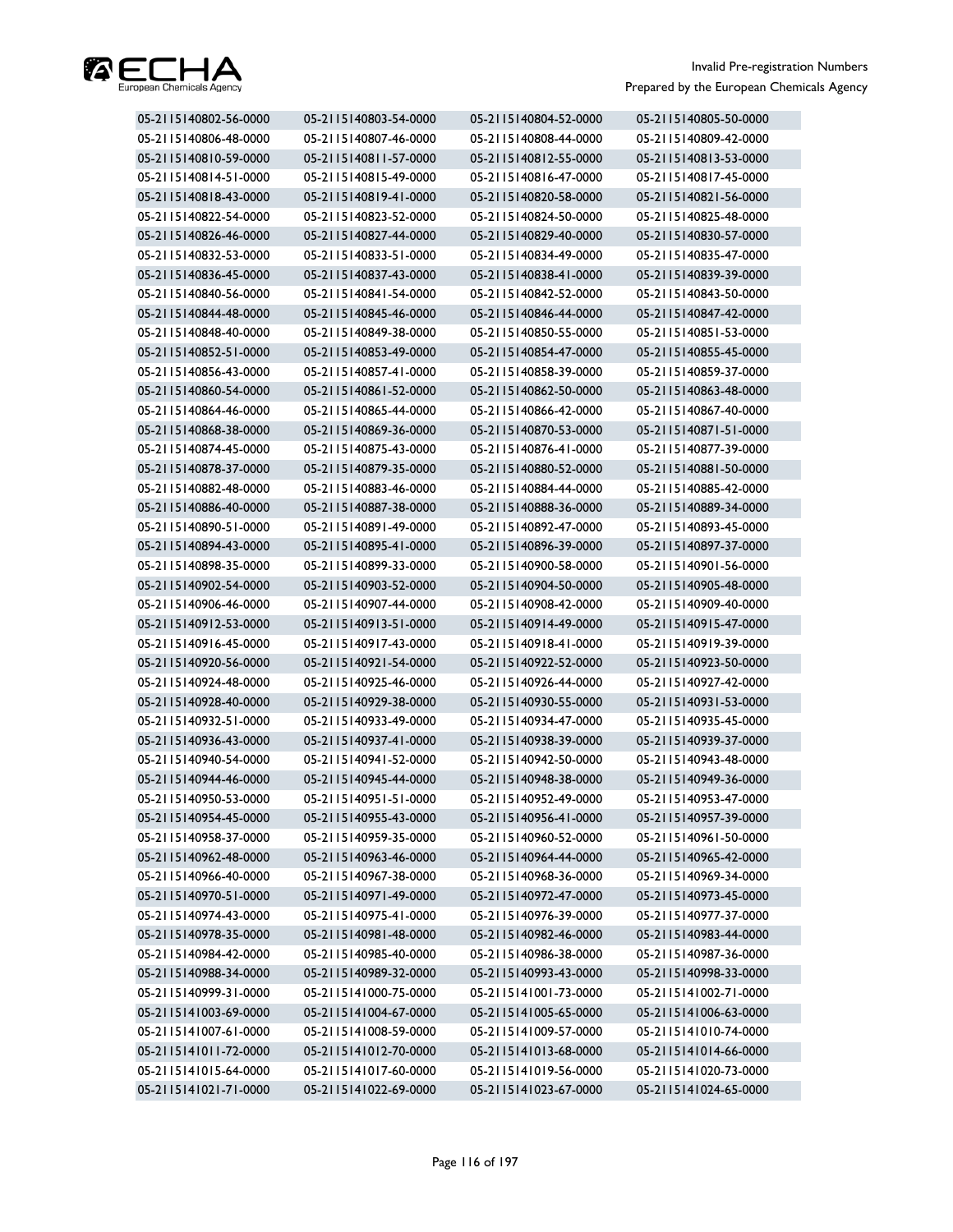

| 05-2115140802-56-0000 | 05-2115140803-54-0000 | 05-2115140804-52-0000 | 05-2115140805-50-0000 |
|-----------------------|-----------------------|-----------------------|-----------------------|
| 05-2115140806-48-0000 | 05-2115140807-46-0000 | 05-2115140808-44-0000 | 05-2115140809-42-0000 |
| 05-2115140810-59-0000 | 05-2115140811-57-0000 | 05-2115140812-55-0000 | 05-2115140813-53-0000 |
| 05-2115140814-51-0000 | 05-2115140815-49-0000 | 05-2115140816-47-0000 | 05-2115140817-45-0000 |
| 05-2115140818-43-0000 | 05-2115140819-41-0000 | 05-2115140820-58-0000 | 05-2115140821-56-0000 |
| 05-2115140822-54-0000 | 05-2115140823-52-0000 | 05-2115140824-50-0000 | 05-2115140825-48-0000 |
| 05-2115140826-46-0000 | 05-2115140827-44-0000 | 05-2115140829-40-0000 | 05-2115140830-57-0000 |
| 05-2115140832-53-0000 | 05-2115140833-51-0000 | 05-2115140834-49-0000 | 05-2115140835-47-0000 |
| 05-2115140836-45-0000 | 05-2115140837-43-0000 | 05-2115140838-41-0000 | 05-2115140839-39-0000 |
| 05-2115140840-56-0000 | 05-2115140841-54-0000 | 05-2115140842-52-0000 | 05-2115140843-50-0000 |
| 05-2115140844-48-0000 | 05-2115140845-46-0000 | 05-2115140846-44-0000 | 05-2115140847-42-0000 |
| 05-2115140848-40-0000 | 05-2115140849-38-0000 | 05-2115140850-55-0000 | 05-2115140851-53-0000 |
| 05-2115140852-51-0000 | 05-2115140853-49-0000 | 05-2115140854-47-0000 | 05-2115140855-45-0000 |
| 05-2115140856-43-0000 | 05-2115140857-41-0000 | 05-2115140858-39-0000 | 05-2115140859-37-0000 |
| 05-2115140860-54-0000 | 05-2115140861-52-0000 | 05-2115140862-50-0000 | 05-2115140863-48-0000 |
| 05-2115140864-46-0000 | 05-2115140865-44-0000 | 05-2115140866-42-0000 | 05-2115140867-40-0000 |
| 05-2115140868-38-0000 | 05-2115140869-36-0000 | 05-2115140870-53-0000 | 05-2115140871-51-0000 |
| 05-2115140874-45-0000 | 05-2115140875-43-0000 | 05-2115140876-41-0000 | 05-2115140877-39-0000 |
| 05-2115140878-37-0000 | 05-2115140879-35-0000 | 05-2115140880-52-0000 | 05-2115140881-50-0000 |
| 05-2115140882-48-0000 | 05-2115140883-46-0000 | 05-2115140884-44-0000 | 05-2115140885-42-0000 |
| 05-2115140886-40-0000 | 05-2115140887-38-0000 | 05-2115140888-36-0000 | 05-2115140889-34-0000 |
| 05-2115140890-51-0000 | 05-2115140891-49-0000 | 05-2115140892-47-0000 | 05-2115140893-45-0000 |
| 05-2115140894-43-0000 | 05-2115140895-41-0000 | 05-2115140896-39-0000 | 05-2115140897-37-0000 |
| 05-2115140898-35-0000 | 05-2115140899-33-0000 | 05-2115140900-58-0000 | 05-2115140901-56-0000 |
| 05-2115140902-54-0000 | 05-2115140903-52-0000 | 05-2115140904-50-0000 | 05-2115140905-48-0000 |
| 05-2115140906-46-0000 | 05-2115140907-44-0000 | 05-2115140908-42-0000 | 05-2115140909-40-0000 |
| 05-2115140912-53-0000 | 05-2115140913-51-0000 | 05-2115140914-49-0000 | 05-2115140915-47-0000 |
| 05-2115140916-45-0000 | 05-2115140917-43-0000 | 05-2115140918-41-0000 | 05-2115140919-39-0000 |
| 05-2115140920-56-0000 | 05-2115140921-54-0000 | 05-2115140922-52-0000 | 05-2115140923-50-0000 |
| 05-2115140924-48-0000 | 05-2115140925-46-0000 | 05-2115140926-44-0000 | 05-2115140927-42-0000 |
| 05-2115140928-40-0000 | 05-2115140929-38-0000 | 05-2115140930-55-0000 | 05-2115140931-53-0000 |
| 05-2115140932-51-0000 | 05-2115140933-49-0000 | 05-2115140934-47-0000 | 05-2115140935-45-0000 |
| 05-2115140936-43-0000 | 05-2115140937-41-0000 | 05-2115140938-39-0000 | 05-2115140939-37-0000 |
| 05-2115140940-54-0000 | 05-2115140941-52-0000 | 05-2115140942-50-0000 | 05-2115140943-48-0000 |
| 05-2115140944-46-0000 | 05-2115140945-44-0000 | 05-2115140948-38-0000 | 05-2115140949-36-0000 |
| 05-2115140950-53-0000 | 05-2115140951-51-0000 | 05-2115140952-49-0000 | 05-2115140953-47-0000 |
| 05-2115140954-45-0000 | 05-2115140955-43-0000 | 05-2115140956-41-0000 | 05-2115140957-39-0000 |
| 05-2115140958-37-0000 | 05-2115140959-35-0000 | 05-2115140960-52-0000 | 05-2115140961-50-0000 |
| 05-2115140962-48-0000 | 05-2115140963-46-0000 | 05-2115140964-44-0000 | 05-2115140965-42-0000 |
| 05-2115140966-40-0000 | 05-2115140967-38-0000 | 05-2115140968-36-0000 | 05-2115140969-34-0000 |
| 05-2115140970-51-0000 | 05-2115140971-49-0000 | 05-2115140972-47-0000 | 05-2115140973-45-0000 |
| 05-2115140974-43-0000 | 05-2115140975-41-0000 | 05-2115140976-39-0000 | 05-2115140977-37-0000 |
| 05-2115140978-35-0000 | 05-2115140981-48-0000 | 05-2115140982-46-0000 | 05-2115140983-44-0000 |
| 05-2115140984-42-0000 | 05-2115140985-40-0000 | 05-2115140986-38-0000 | 05-2115140987-36-0000 |
| 05-2115140988-34-0000 | 05-2115140989-32-0000 | 05-2115140993-43-0000 | 05-2115140998-33-0000 |
| 05-2115140999-31-0000 | 05-2115141000-75-0000 | 05-2115141001-73-0000 | 05-2115141002-71-0000 |
| 05-2115141003-69-0000 | 05-2115141004-67-0000 | 05-2115141005-65-0000 | 05-2115141006-63-0000 |
| 05-2115141007-61-0000 | 05-2115141008-59-0000 | 05-2115141009-57-0000 | 05-2115141010-74-0000 |
| 05-2115141011-72-0000 | 05-2115141012-70-0000 | 05-2115141013-68-0000 | 05-2115141014-66-0000 |
| 05-2115141015-64-0000 | 05-2115141017-60-0000 | 05-2115141019-56-0000 | 05-2115141020-73-0000 |
| 05-2115141021-71-0000 | 05-2115141022-69-0000 | 05-2115141023-67-0000 | 05-2115141024-65-0000 |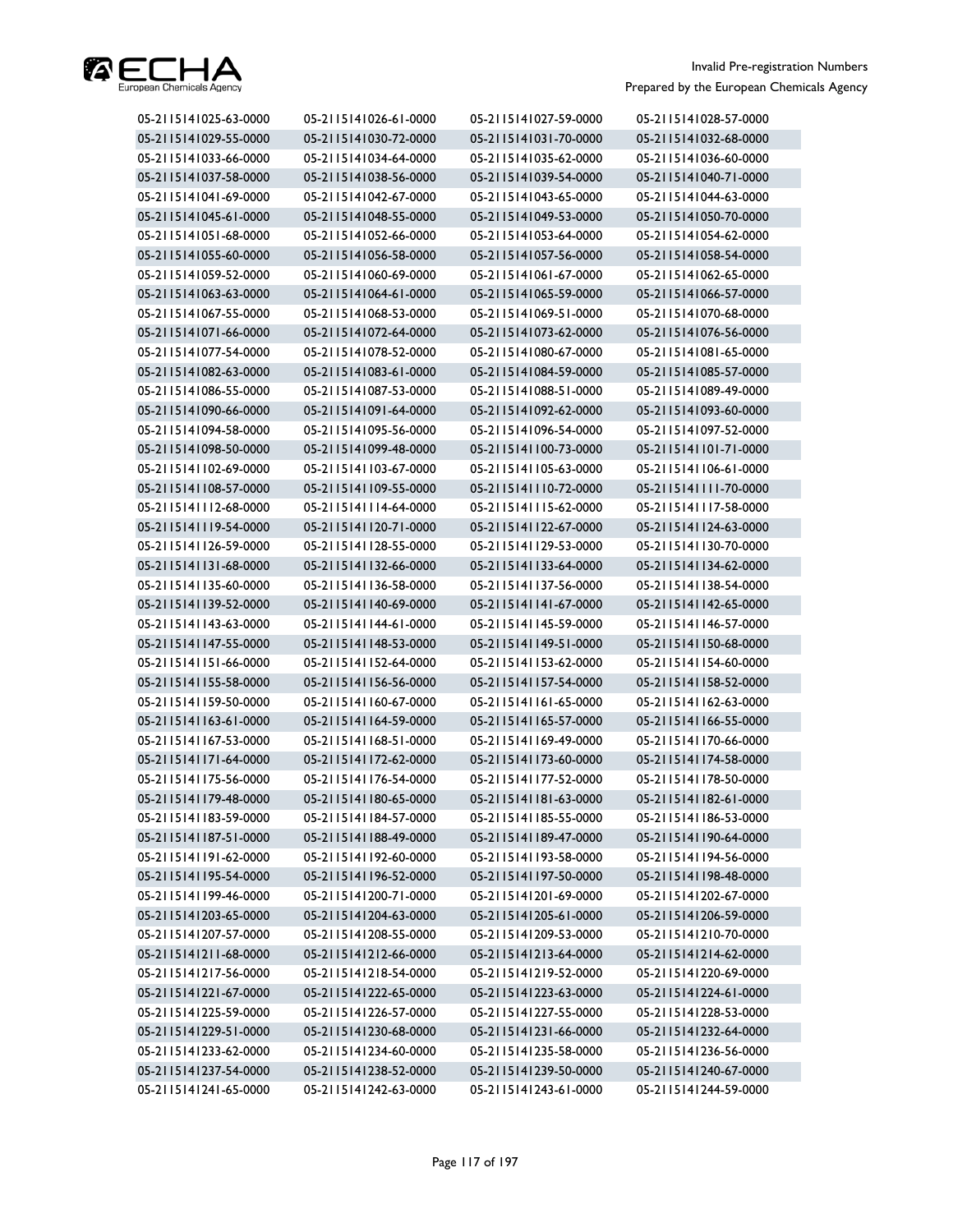

| 05-2115141025-63-0000 | 05-2115141026-61-0000 | 05-2115141027-59-0000 | 05-2115141028-57-0000 |
|-----------------------|-----------------------|-----------------------|-----------------------|
| 05-2115141029-55-0000 | 05-2115141030-72-0000 | 05-2115141031-70-0000 | 05-2115141032-68-0000 |
| 05-2115141033-66-0000 | 05-2115141034-64-0000 | 05-2115141035-62-0000 | 05-2115141036-60-0000 |
| 05-2115141037-58-0000 | 05-2115141038-56-0000 | 05-2115141039-54-0000 | 05-2115141040-71-0000 |
| 05-2115141041-69-0000 | 05-2115141042-67-0000 | 05-2115141043-65-0000 | 05-2115141044-63-0000 |
| 05-2115141045-61-0000 | 05-2115141048-55-0000 | 05-2115141049-53-0000 | 05-2115141050-70-0000 |
| 05-2115141051-68-0000 | 05-2115141052-66-0000 | 05-2115141053-64-0000 | 05-2115141054-62-0000 |
| 05-2115141055-60-0000 | 05-2115141056-58-0000 | 05-2115141057-56-0000 | 05-2115141058-54-0000 |
| 05-2115141059-52-0000 | 05-2115141060-69-0000 | 05-2115141061-67-0000 | 05-2115141062-65-0000 |
| 05-2115141063-63-0000 | 05-2115141064-61-0000 | 05-2115141065-59-0000 | 05-2115141066-57-0000 |
| 05-2115141067-55-0000 | 05-2115141068-53-0000 | 05-2115141069-51-0000 | 05-2115141070-68-0000 |
| 05-2115141071-66-0000 | 05-2115141072-64-0000 | 05-2115141073-62-0000 | 05-2115141076-56-0000 |
| 05-2115141077-54-0000 | 05-2115141078-52-0000 | 05-2115141080-67-0000 | 05-2115141081-65-0000 |
| 05-2115141082-63-0000 | 05-2115141083-61-0000 | 05-2115141084-59-0000 | 05-2115141085-57-0000 |
| 05-2115141086-55-0000 | 05-2115141087-53-0000 | 05-2115141088-51-0000 | 05-2115141089-49-0000 |
| 05-2115141090-66-0000 | 05-2115141091-64-0000 | 05-2115141092-62-0000 | 05-2115141093-60-0000 |
| 05-2115141094-58-0000 | 05-2115141095-56-0000 | 05-2115141096-54-0000 | 05-2115141097-52-0000 |
| 05-2115141098-50-0000 | 05-2115141099-48-0000 | 05-2115141100-73-0000 | 05-2115141101-71-0000 |
| 05-2115141102-69-0000 | 05-2115141103-67-0000 | 05-2115141105-63-0000 | 05-2115141106-61-0000 |
| 05-2115141108-57-0000 | 05-2115141109-55-0000 | 05-2115141110-72-0000 | 05-2115141111-70-0000 |
| 05-2115141112-68-0000 | 05-2115141114-64-0000 | 05-2115141115-62-0000 | 05-2115141117-58-0000 |
| 05-2115141119-54-0000 | 05-2115141120-71-0000 | 05-2115141122-67-0000 | 05-2115141124-63-0000 |
| 05-2115141126-59-0000 | 05-2115141128-55-0000 | 05-2115141129-53-0000 | 05-2115141130-70-0000 |
| 05-2115141131-68-0000 | 05-2115141132-66-0000 | 05-2115141133-64-0000 | 05-2115141134-62-0000 |
| 05-2115141135-60-0000 | 05-2115141136-58-0000 | 05-2115141137-56-0000 | 05-2115141138-54-0000 |
| 05-2115141139-52-0000 | 05-2115141140-69-0000 | 05-2115141141-67-0000 | 05-2115141142-65-0000 |
| 05-2115141143-63-0000 | 05-2115141144-61-0000 | 05-2115141145-59-0000 | 05-2115141146-57-0000 |
| 05-2115141147-55-0000 | 05-2115141148-53-0000 | 05-2115141149-51-0000 | 05-2115141150-68-0000 |
| 05-2115141151-66-0000 | 05-2115141152-64-0000 | 05-2115141153-62-0000 | 05-2115141154-60-0000 |
| 05-2115141155-58-0000 | 05-2115141156-56-0000 | 05-2115141157-54-0000 | 05-2115141158-52-0000 |
| 05-2115141159-50-0000 | 05-2115141160-67-0000 | 05-2115141161-65-0000 | 05-2115141162-63-0000 |
| 05-2115141163-61-0000 | 05-2115141164-59-0000 | 05-2115141165-57-0000 | 05-2115141166-55-0000 |
| 05-2115141167-53-0000 | 05-2115141168-51-0000 | 05-2115141169-49-0000 | 05-2115141170-66-0000 |
| 05-2115141171-64-0000 | 05-2115141172-62-0000 | 05-2115141173-60-0000 | 05-2115141174-58-0000 |
| 05-2115141175-56-0000 | 05-2115141176-54-0000 | 05-2115141177-52-0000 | 05-2115141178-50-0000 |
| 05-2115141179-48-0000 | 05-2115141180-65-0000 | 05-2115141181-63-0000 | 05-2115141182-61-0000 |
| 05-2115141183-59-0000 | 05-2115141184-57-0000 | 05-2115141185-55-0000 | 05-2115141186-53-0000 |
| 05-2115141187-51-0000 | 05-2115141188-49-0000 | 05-2115141189-47-0000 | 05-2115141190-64-0000 |
| 05-2115141191-62-0000 | 05-2115141192-60-0000 | 05-2115141193-58-0000 | 05-2115141194-56-0000 |
| 05-2115141195-54-0000 | 05-2115141196-52-0000 | 05-2115141197-50-0000 | 05-2115141198-48-0000 |
| 05-2115141199-46-0000 | 05-2115141200-71-0000 | 05-2115141201-69-0000 | 05-2115141202-67-0000 |
| 05-2115141203-65-0000 | 05-2115141204-63-0000 | 05-2115141205-61-0000 | 05-2115141206-59-0000 |
| 05-2115141207-57-0000 | 05-2115141208-55-0000 | 05-2115141209-53-0000 | 05-2115141210-70-0000 |
| 05-2115141211-68-0000 | 05-2115141212-66-0000 | 05-2115141213-64-0000 | 05-2115141214-62-0000 |
| 05-2115141217-56-0000 | 05-2115141218-54-0000 | 05-2115141219-52-0000 | 05-2115141220-69-0000 |
| 05-2115141221-67-0000 | 05-2115141222-65-0000 | 05-2115141223-63-0000 | 05-2115141224-61-0000 |
| 05-2115141225-59-0000 | 05-2115141226-57-0000 | 05-2115141227-55-0000 | 05-2115141228-53-0000 |
| 05-2115141229-51-0000 | 05-2115141230-68-0000 | 05-2115141231-66-0000 | 05-2115141232-64-0000 |
| 05-2115141233-62-0000 | 05-2115141234-60-0000 | 05-2115141235-58-0000 | 05-2115141236-56-0000 |
| 05-2115141237-54-0000 | 05-2115141238-52-0000 | 05-2115141239-50-0000 | 05-2115141240-67-0000 |
| 05-2115141241-65-0000 | 05-2115141242-63-0000 | 05-2115141243-61-0000 | 05-2115141244-59-0000 |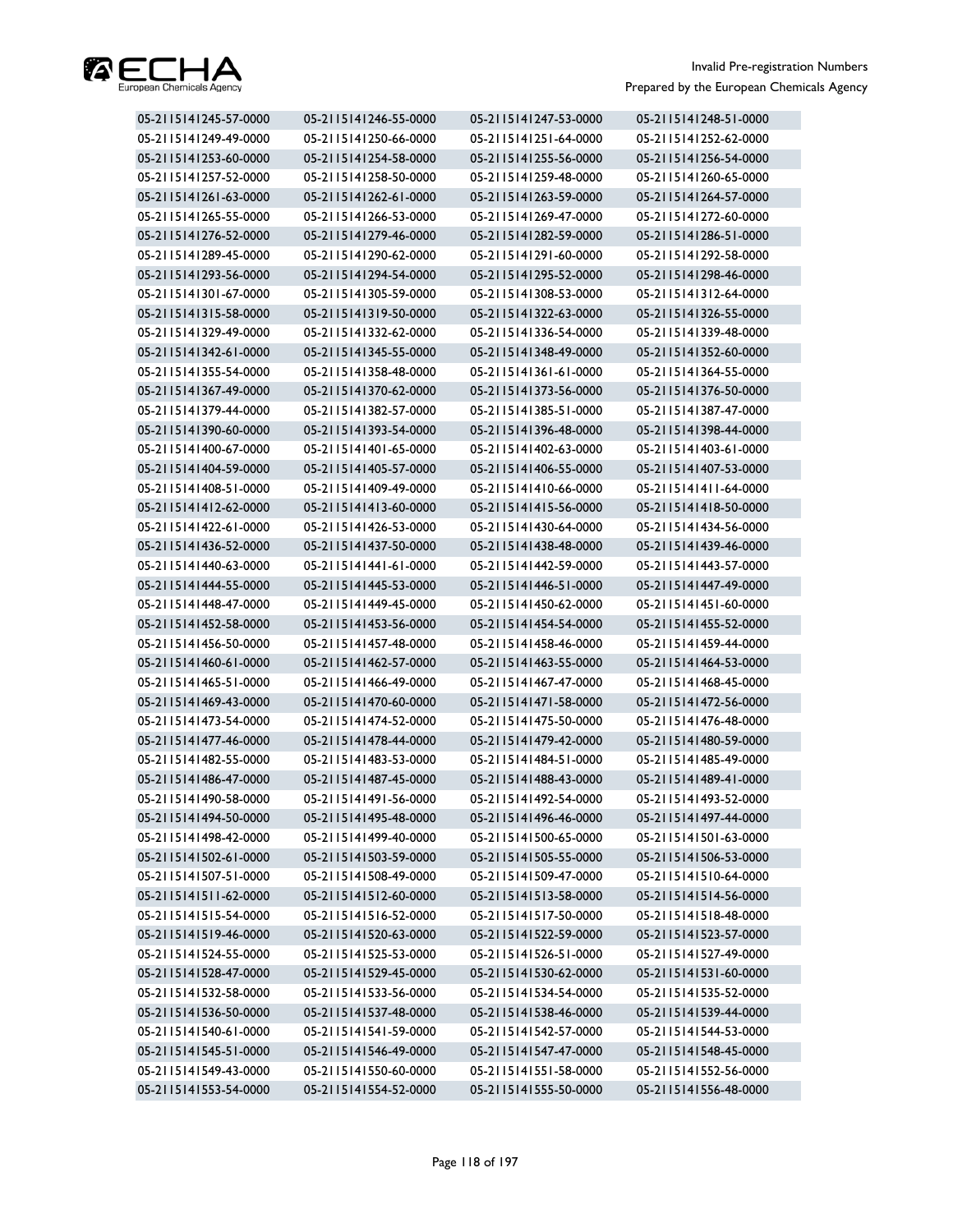

| 05-2115141245-57-0000 | 05-2115141246-55-0000 | 05-2115141247-53-0000 | 05-2115141248-51-0000 |
|-----------------------|-----------------------|-----------------------|-----------------------|
| 05-2115141249-49-0000 | 05-2115141250-66-0000 | 05-2115141251-64-0000 | 05-2115141252-62-0000 |
| 05-2115141253-60-0000 | 05-2115141254-58-0000 | 05-2115141255-56-0000 | 05-2115141256-54-0000 |
| 05-2115141257-52-0000 | 05-2115141258-50-0000 | 05-2115141259-48-0000 | 05-2115141260-65-0000 |
| 05-2115141261-63-0000 | 05-2115141262-61-0000 | 05-2115141263-59-0000 | 05-2115141264-57-0000 |
| 05-2115141265-55-0000 | 05-2115141266-53-0000 | 05-2115141269-47-0000 | 05-2115141272-60-0000 |
| 05-2115141276-52-0000 | 05-2115141279-46-0000 | 05-2115141282-59-0000 | 05-2115141286-51-0000 |
| 05-2115141289-45-0000 | 05-2115141290-62-0000 | 05-2115141291-60-0000 | 05-2115141292-58-0000 |
| 05-2115141293-56-0000 | 05-2115141294-54-0000 | 05-2115141295-52-0000 | 05-2115141298-46-0000 |
| 05-2115141301-67-0000 | 05-2115141305-59-0000 | 05-2115141308-53-0000 | 05-2115141312-64-0000 |
| 05-2115141315-58-0000 | 05-2115141319-50-0000 | 05-2115141322-63-0000 | 05-2115141326-55-0000 |
| 05-2115141329-49-0000 | 05-2115141332-62-0000 | 05-2115141336-54-0000 | 05-2115141339-48-0000 |
| 05-2115141342-61-0000 | 05-2115141345-55-0000 | 05-2115141348-49-0000 | 05-2115141352-60-0000 |
| 05-2115141355-54-0000 | 05-2115141358-48-0000 | 05-2115141361-61-0000 | 05-2115141364-55-0000 |
| 05-2115141367-49-0000 | 05-2115141370-62-0000 | 05-2115141373-56-0000 | 05-2115141376-50-0000 |
| 05-2115141379-44-0000 | 05-2115141382-57-0000 | 05-2115141385-51-0000 | 05-2115141387-47-0000 |
| 05-2115141390-60-0000 | 05-2115141393-54-0000 | 05-2115141396-48-0000 | 05-2115141398-44-0000 |
| 05-2115141400-67-0000 | 05-2115141401-65-0000 | 05-2115141402-63-0000 | 05-2115141403-61-0000 |
| 05-2115141404-59-0000 | 05-2115141405-57-0000 | 05-2115141406-55-0000 | 05-2115141407-53-0000 |
| 05-2115141408-51-0000 | 05-2115141409-49-0000 | 05-2115141410-66-0000 | 05-2115141411-64-0000 |
| 05-2115141412-62-0000 | 05-2115141413-60-0000 | 05-2115141415-56-0000 | 05-2115141418-50-0000 |
| 05-2115141422-61-0000 | 05-2115141426-53-0000 | 05-2115141430-64-0000 | 05-2115141434-56-0000 |
| 05-2115141436-52-0000 | 05-2115141437-50-0000 | 05-2115141438-48-0000 | 05-2115141439-46-0000 |
| 05-2115141440-63-0000 | 05-2115141441-61-0000 | 05-2115141442-59-0000 | 05-2115141443-57-0000 |
| 05-2115141444-55-0000 | 05-2115141445-53-0000 | 05-2115141446-51-0000 | 05-2115141447-49-0000 |
| 05-2115141448-47-0000 | 05-2115141449-45-0000 | 05-2115141450-62-0000 | 05-2115141451-60-0000 |
| 05-2115141452-58-0000 | 05-2115141453-56-0000 | 05-2115141454-54-0000 | 05-2115141455-52-0000 |
| 05-2115141456-50-0000 | 05-2115141457-48-0000 | 05-2115141458-46-0000 | 05-2115141459-44-0000 |
| 05-2115141460-61-0000 | 05-2115141462-57-0000 | 05-2115141463-55-0000 | 05-2115141464-53-0000 |
| 05-2115141465-51-0000 | 05-2115141466-49-0000 | 05-2115141467-47-0000 | 05-2115141468-45-0000 |
| 05-2115141469-43-0000 | 05-2115141470-60-0000 | 05-2115141471-58-0000 | 05-2115141472-56-0000 |
| 05-2115141473-54-0000 | 05-2115141474-52-0000 | 05-2115141475-50-0000 | 05-2115141476-48-0000 |
| 05-2115141477-46-0000 | 05-2115141478-44-0000 | 05-2115141479-42-0000 | 05-2115141480-59-0000 |
| 05-2115141482-55-0000 | 05-2115141483-53-0000 | 05-2115141484-51-0000 | 05-2115141485-49-0000 |
| 05-2115141486-47-0000 | 05-2115141487-45-0000 | 05-2115141488-43-0000 | 05-2115141489-41-0000 |
| 05-2115141490-58-0000 | 05-2115141491-56-0000 | 05-2115141492-54-0000 | 05-2115141493-52-0000 |
| 05-2115141494-50-0000 | 05-2115141495-48-0000 | 05-2115141496-46-0000 | 05-2115141497-44-0000 |
| 05-2115141498-42-0000 | 05-2115141499-40-0000 | 05-2115141500-65-0000 | 05-2115141501-63-0000 |
| 05-2115141502-61-0000 | 05-2115141503-59-0000 | 05-2115141505-55-0000 | 05-2115141506-53-0000 |
| 05-2115141507-51-0000 | 05-2115141508-49-0000 | 05-2115141509-47-0000 | 05-2115141510-64-0000 |
| 05-2115141511-62-0000 | 05-2115141512-60-0000 | 05-2115141513-58-0000 | 05-2115141514-56-0000 |
| 05-2115141515-54-0000 | 05-2115141516-52-0000 | 05-2115141517-50-0000 | 05-2115141518-48-0000 |
| 05-2115141519-46-0000 | 05-2115141520-63-0000 | 05-2115141522-59-0000 | 05-2115141523-57-0000 |
| 05-2115141524-55-0000 | 05-2115141525-53-0000 | 05-2115141526-51-0000 | 05-2115141527-49-0000 |
| 05-2115141528-47-0000 | 05-2115141529-45-0000 | 05-2115141530-62-0000 | 05-2115141531-60-0000 |
| 05-2115141532-58-0000 | 05-2115141533-56-0000 | 05-2115141534-54-0000 | 05-2115141535-52-0000 |
| 05-2115141536-50-0000 | 05-2115141537-48-0000 | 05-2115141538-46-0000 | 05-2115141539-44-0000 |
| 05-2115141540-61-0000 | 05-2115141541-59-0000 | 05-2115141542-57-0000 | 05-2115141544-53-0000 |
| 05-2115141545-51-0000 | 05-2115141546-49-0000 | 05-2115141547-47-0000 | 05-2115141548-45-0000 |
| 05-2115141549-43-0000 | 05-2115141550-60-0000 | 05-2115141551-58-0000 | 05-2115141552-56-0000 |
| 05-2115141553-54-0000 | 05-2115141554-52-0000 | 05-2115141555-50-0000 | 05-2115141556-48-0000 |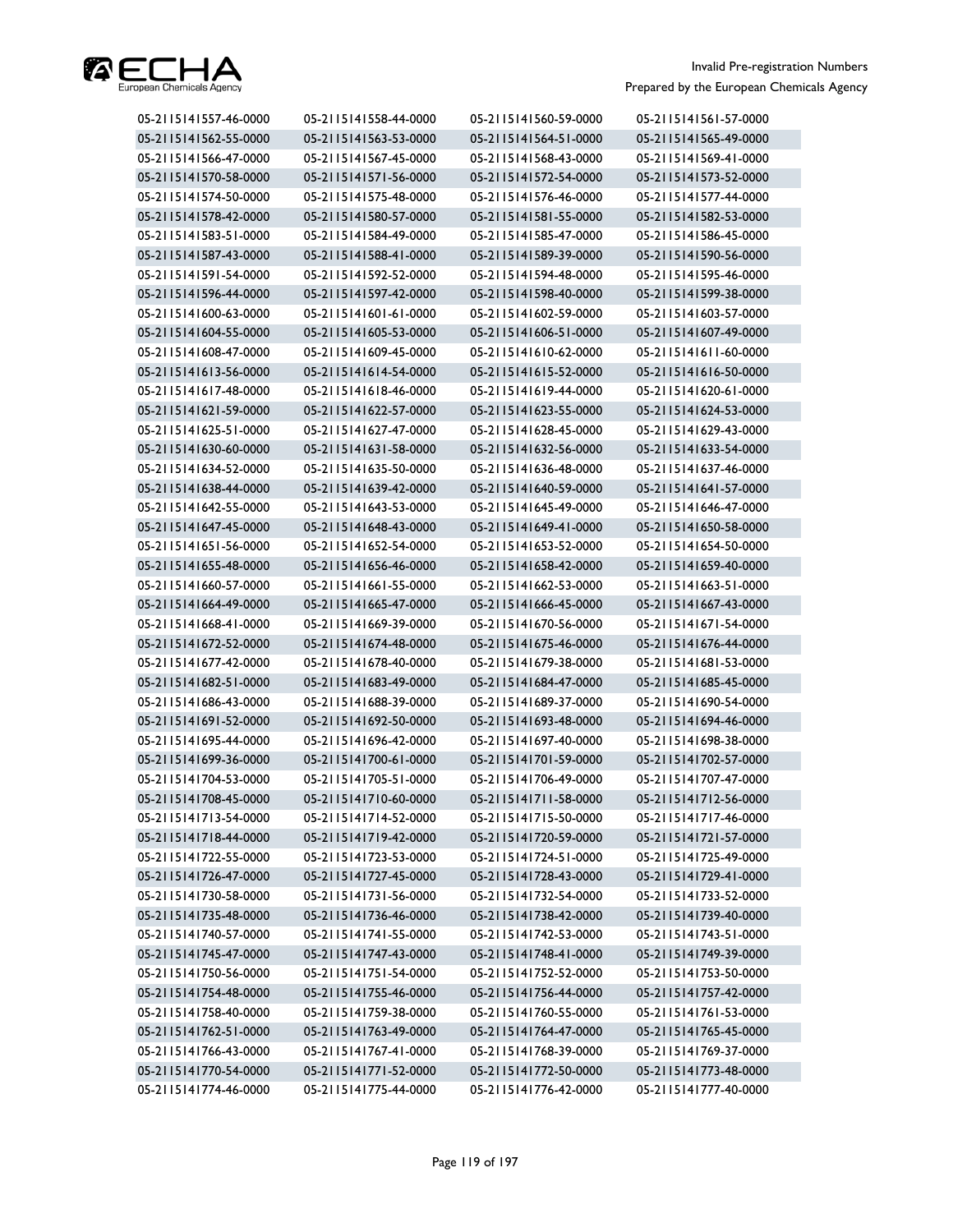

| 05-2115141557-46-0000 | 05-2115141558-44-0000 | 05-2115141560-59-0000 | 05-2115141561-57-0000 |
|-----------------------|-----------------------|-----------------------|-----------------------|
| 05-2115141562-55-0000 | 05-2115141563-53-0000 | 05-2115141564-51-0000 | 05-2115141565-49-0000 |
| 05-2115141566-47-0000 | 05-2115141567-45-0000 | 05-2115141568-43-0000 | 05-2115141569-41-0000 |
| 05-2115141570-58-0000 | 05-2115141571-56-0000 | 05-2115141572-54-0000 | 05-2115141573-52-0000 |
| 05-2115141574-50-0000 | 05-2115141575-48-0000 | 05-2115141576-46-0000 | 05-2115141577-44-0000 |
| 05-2115141578-42-0000 | 05-2115141580-57-0000 | 05-2115141581-55-0000 | 05-2115141582-53-0000 |
| 05-2115141583-51-0000 | 05-2115141584-49-0000 | 05-2115141585-47-0000 | 05-2115141586-45-0000 |
| 05-2115141587-43-0000 | 05-2115141588-41-0000 | 05-2115141589-39-0000 | 05-2115141590-56-0000 |
| 05-2115141591-54-0000 | 05-2115141592-52-0000 | 05-2115141594-48-0000 | 05-2115141595-46-0000 |
| 05-2115141596-44-0000 | 05-2115141597-42-0000 | 05-2115141598-40-0000 | 05-2115141599-38-0000 |
| 05-2115141600-63-0000 | 05-2115141601-61-0000 | 05-2115141602-59-0000 | 05-2115141603-57-0000 |
| 05-2115141604-55-0000 | 05-2115141605-53-0000 | 05-2115141606-51-0000 | 05-2115141607-49-0000 |
| 05-2115141608-47-0000 | 05-2115141609-45-0000 | 05-2115141610-62-0000 | 05-2115141611-60-0000 |
| 05-2115141613-56-0000 | 05-2115141614-54-0000 | 05-2115141615-52-0000 | 05-2115141616-50-0000 |
| 05-2115141617-48-0000 | 05-2115141618-46-0000 | 05-2115141619-44-0000 | 05-2115141620-61-0000 |
| 05-2115141621-59-0000 | 05-2115141622-57-0000 | 05-2115141623-55-0000 | 05-2115141624-53-0000 |
| 05-2115141625-51-0000 | 05-2115141627-47-0000 | 05-2115141628-45-0000 | 05-2115141629-43-0000 |
| 05-2115141630-60-0000 | 05-2115141631-58-0000 | 05-2115141632-56-0000 | 05-2115141633-54-0000 |
| 05-2115141634-52-0000 | 05-2115141635-50-0000 | 05-2115141636-48-0000 | 05-2115141637-46-0000 |
| 05-2115141638-44-0000 | 05-2115141639-42-0000 | 05-2115141640-59-0000 | 05-2115141641-57-0000 |
| 05-2115141642-55-0000 | 05-2115141643-53-0000 | 05-2115141645-49-0000 | 05-2115141646-47-0000 |
| 05-2115141647-45-0000 | 05-2115141648-43-0000 | 05-2115141649-41-0000 | 05-2115141650-58-0000 |
| 05-2115141651-56-0000 | 05-2115141652-54-0000 | 05-2115141653-52-0000 | 05-2115141654-50-0000 |
| 05-2115141655-48-0000 | 05-2115141656-46-0000 | 05-2115141658-42-0000 | 05-2115141659-40-0000 |
| 05-2115141660-57-0000 | 05-2115141661-55-0000 | 05-2115141662-53-0000 | 05-2115141663-51-0000 |
| 05-2115141664-49-0000 | 05-2115141665-47-0000 | 05-2115141666-45-0000 | 05-2115141667-43-0000 |
| 05-2115141668-41-0000 | 05-2115141669-39-0000 | 05-2115141670-56-0000 | 05-2115141671-54-0000 |
| 05-2115141672-52-0000 | 05-2115141674-48-0000 | 05-2115141675-46-0000 | 05-2115141676-44-0000 |
| 05-2115141677-42-0000 | 05-2115141678-40-0000 | 05-2115141679-38-0000 | 05-2115141681-53-0000 |
| 05-2115141682-51-0000 | 05-2115141683-49-0000 | 05-2115141684-47-0000 | 05-2115141685-45-0000 |
| 05-2115141686-43-0000 | 05-2115141688-39-0000 | 05-2115141689-37-0000 | 05-2115141690-54-0000 |
| 05-2115141691-52-0000 | 05-2115141692-50-0000 | 05-2115141693-48-0000 | 05-2115141694-46-0000 |
| 05-2115141695-44-0000 | 05-2115141696-42-0000 | 05-2115141697-40-0000 | 05-2115141698-38-0000 |
| 05-2115141699-36-0000 | 05-2115141700-61-0000 | 05-2115141701-59-0000 | 05-2115141702-57-0000 |
| 05-2115141704-53-0000 | 05-2115141705-51-0000 | 05-2115141706-49-0000 | 05-2115141707-47-0000 |
| 05-2115141708-45-0000 | 05-2115141710-60-0000 | 05-2115141711-58-0000 | 05-2115141712-56-0000 |
| 05-2115141713-54-0000 | 05-2115141714-52-0000 | 05-2115141715-50-0000 | 05-2115141717-46-0000 |
| 05-2115141718-44-0000 | 05-2115141719-42-0000 | 05-2115141720-59-0000 | 05-2115141721-57-0000 |
| 05-2115141722-55-0000 | 05-2115141723-53-0000 | 05-2115141724-51-0000 | 05-2115141725-49-0000 |
| 05-2115141726-47-0000 | 05-2115141727-45-0000 | 05-2115141728-43-0000 | 05-2115141729-41-0000 |
| 05-2115141730-58-0000 | 05-2115141731-56-0000 | 05-2115141732-54-0000 | 05-2115141733-52-0000 |
| 05-2115141735-48-0000 | 05-2115141736-46-0000 | 05-2115141738-42-0000 | 05-2115141739-40-0000 |
| 05-2115141740-57-0000 | 05-2115141741-55-0000 | 05-2115141742-53-0000 | 05-2115141743-51-0000 |
| 05-2115141745-47-0000 | 05-2115141747-43-0000 | 05-2115141748-41-0000 | 05-2115141749-39-0000 |
| 05-2115141750-56-0000 | 05-2115141751-54-0000 | 05-2115141752-52-0000 | 05-2115141753-50-0000 |
| 05-2115141754-48-0000 | 05-2115141755-46-0000 | 05-2115141756-44-0000 | 05-2115141757-42-0000 |
| 05-2115141758-40-0000 | 05-2115141759-38-0000 | 05-2115141760-55-0000 | 05-2115141761-53-0000 |
| 05-2115141762-51-0000 | 05-2115141763-49-0000 | 05-2115141764-47-0000 | 05-2115141765-45-0000 |
| 05-2115141766-43-0000 | 05-2115141767-41-0000 | 05-2115141768-39-0000 | 05-2115141769-37-0000 |
| 05-2115141770-54-0000 | 05-2115141771-52-0000 | 05-2115141772-50-0000 | 05-2115141773-48-0000 |
| 05-2115141774-46-0000 | 05-2115141775-44-0000 | 05-2115141776-42-0000 | 05-2115141777-40-0000 |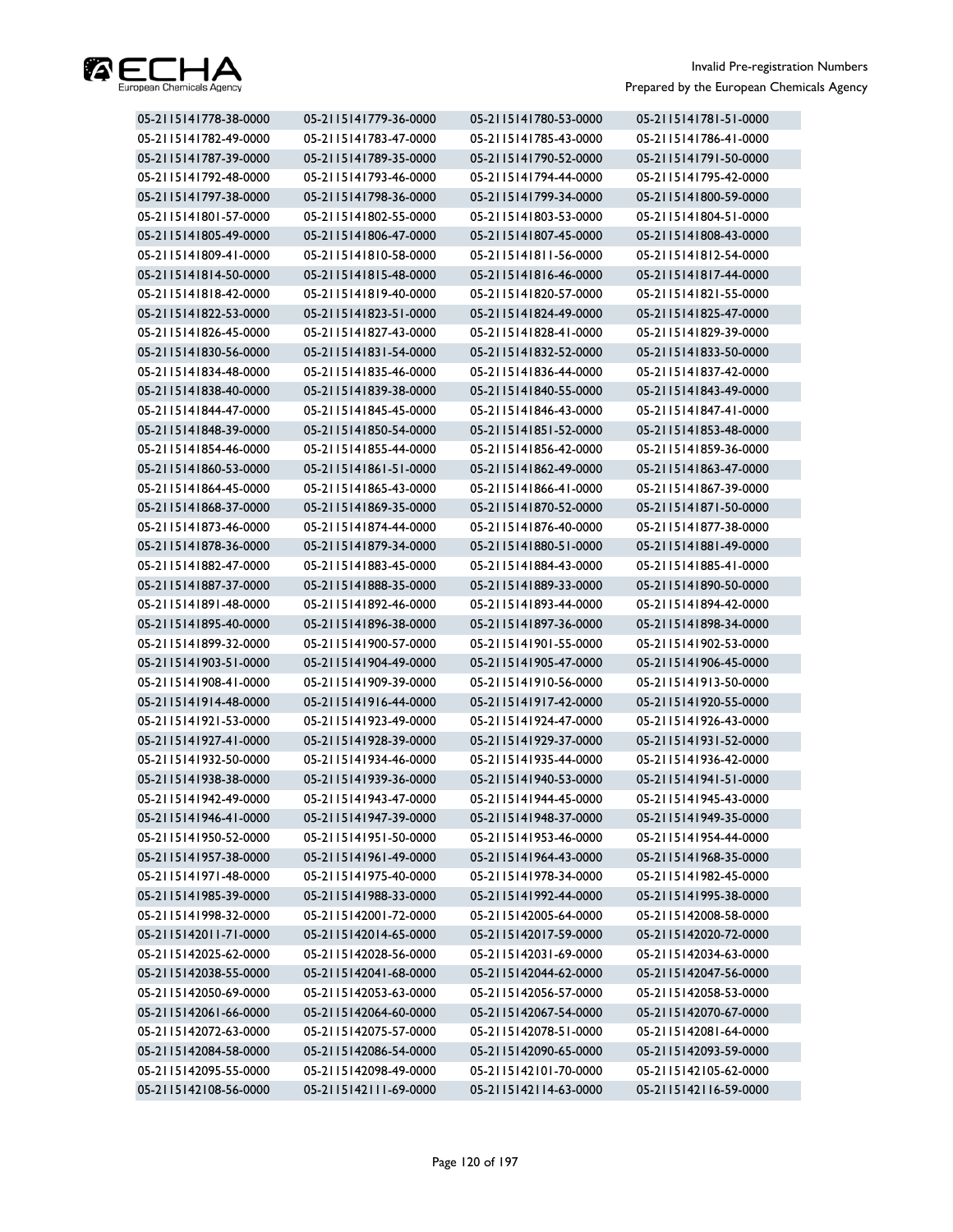

| 05-2115141778-38-0000 | 05-2115141779-36-0000 | 05-2115141780-53-0000 | 05-2115141781-51-0000 |
|-----------------------|-----------------------|-----------------------|-----------------------|
| 05-2115141782-49-0000 | 05-2115141783-47-0000 | 05-2115141785-43-0000 | 05-2115141786-41-0000 |
| 05-2115141787-39-0000 | 05-2115141789-35-0000 | 05-2115141790-52-0000 | 05-2115141791-50-0000 |
| 05-2115141792-48-0000 | 05-2115141793-46-0000 | 05-2115141794-44-0000 | 05-2115141795-42-0000 |
| 05-2115141797-38-0000 | 05-2115141798-36-0000 | 05-2115141799-34-0000 | 05-2115141800-59-0000 |
| 05-2115141801-57-0000 | 05-2115141802-55-0000 | 05-2115141803-53-0000 | 05-2115141804-51-0000 |
| 05-2115141805-49-0000 | 05-2115141806-47-0000 | 05-2115141807-45-0000 | 05-2115141808-43-0000 |
| 05-2115141809-41-0000 | 05-2115141810-58-0000 | 05-2115141811-56-0000 | 05-2115141812-54-0000 |
| 05-2115141814-50-0000 | 05-2115141815-48-0000 | 05-2115141816-46-0000 | 05-2115141817-44-0000 |
| 05-2115141818-42-0000 | 05-2115141819-40-0000 | 05-2115141820-57-0000 | 05-2115141821-55-0000 |
| 05-2115141822-53-0000 | 05-2115141823-51-0000 | 05-2115141824-49-0000 | 05-2115141825-47-0000 |
| 05-2115141826-45-0000 | 05-2115141827-43-0000 | 05-2115141828-41-0000 | 05-2115141829-39-0000 |
| 05-2115141830-56-0000 | 05-2115141831-54-0000 | 05-2115141832-52-0000 | 05-2115141833-50-0000 |
| 05-2115141834-48-0000 | 05-2115141835-46-0000 | 05-2115141836-44-0000 | 05-2115141837-42-0000 |
| 05-2115141838-40-0000 | 05-2115141839-38-0000 | 05-2115141840-55-0000 | 05-2115141843-49-0000 |
| 05-2115141844-47-0000 | 05-2115141845-45-0000 | 05-2115141846-43-0000 | 05-2115141847-41-0000 |
| 05-2115141848-39-0000 | 05-2115141850-54-0000 | 05-2115141851-52-0000 | 05-2115141853-48-0000 |
| 05-2115141854-46-0000 | 05-2115141855-44-0000 | 05-2115141856-42-0000 | 05-2115141859-36-0000 |
| 05-2115141860-53-0000 | 05-2115141861-51-0000 | 05-2115141862-49-0000 | 05-2115141863-47-0000 |
| 05-2115141864-45-0000 | 05-2115141865-43-0000 | 05-2115141866-41-0000 | 05-2115141867-39-0000 |
| 05-2115141868-37-0000 | 05-2115141869-35-0000 | 05-2115141870-52-0000 | 05-2115141871-50-0000 |
| 05-2115141873-46-0000 | 05-2115141874-44-0000 | 05-2115141876-40-0000 | 05-2115141877-38-0000 |
| 05-2115141878-36-0000 | 05-2115141879-34-0000 | 05-2115141880-51-0000 | 05-2115141881-49-0000 |
| 05-2115141882-47-0000 | 05-2115141883-45-0000 | 05-2115141884-43-0000 | 05-2115141885-41-0000 |
| 05-2115141887-37-0000 | 05-2115141888-35-0000 | 05-2115141889-33-0000 | 05-2115141890-50-0000 |
| 05-2115141891-48-0000 | 05-2115141892-46-0000 | 05-2115141893-44-0000 | 05-2115141894-42-0000 |
| 05-2115141895-40-0000 | 05-2115141896-38-0000 | 05-2115141897-36-0000 | 05-2115141898-34-0000 |
| 05-2115141899-32-0000 | 05-2115141900-57-0000 | 05-2115141901-55-0000 | 05-2115141902-53-0000 |
| 05-2115141903-51-0000 | 05-2115141904-49-0000 | 05-2115141905-47-0000 | 05-2115141906-45-0000 |
| 05-2115141908-41-0000 | 05-2115141909-39-0000 | 05-2115141910-56-0000 | 05-2115141913-50-0000 |
| 05-2115141914-48-0000 | 05-2115141916-44-0000 | 05-2115141917-42-0000 | 05-2115141920-55-0000 |
| 05-2115141921-53-0000 | 05-2115141923-49-0000 | 05-2115141924-47-0000 | 05-2115141926-43-0000 |
| 05-2115141927-41-0000 | 05-2115141928-39-0000 | 05-2115141929-37-0000 | 05-2115141931-52-0000 |
| 05-2115141932-50-0000 | 05-2115141934-46-0000 | 05-2115141935-44-0000 | 05-2115141936-42-0000 |
| 05-2115141938-38-0000 | 05-2115141939-36-0000 | 05-2115141940-53-0000 | 05-2115141941-51-0000 |
| 05-2115141942-49-0000 | 05-2115141943-47-0000 | 05-2115141944-45-0000 | 05-2115141945-43-0000 |
| 05-2115141946-41-0000 | 05-2115141947-39-0000 | 05-2115141948-37-0000 | 05-2115141949-35-0000 |
| 05-2115141950-52-0000 | 05-2115141951-50-0000 | 05-2115141953-46-0000 | 05-2115141954-44-0000 |
| 05-2115141957-38-0000 | 05-2115141961-49-0000 | 05-2115141964-43-0000 | 05-2115141968-35-0000 |
| 05-2115141971-48-0000 | 05-2115141975-40-0000 | 05-2115141978-34-0000 | 05-2115141982-45-0000 |
| 05-2115141985-39-0000 | 05-2115141988-33-0000 | 05-2115141992-44-0000 | 05-2115141995-38-0000 |
| 05-2115141998-32-0000 | 05-2115142001-72-0000 | 05-2115142005-64-0000 | 05-2115142008-58-0000 |
| 05-2115142011-71-0000 | 05-2115142014-65-0000 | 05-2115142017-59-0000 | 05-2115142020-72-0000 |
| 05-2115142025-62-0000 | 05-2115142028-56-0000 | 05-2115142031-69-0000 | 05-2115142034-63-0000 |
| 05-2115142038-55-0000 | 05-2115142041-68-0000 | 05-2115142044-62-0000 | 05-2115142047-56-0000 |
| 05-2115142050-69-0000 | 05-2115142053-63-0000 | 05-2115142056-57-0000 | 05-2115142058-53-0000 |
| 05-2115142061-66-0000 | 05-2115142064-60-0000 | 05-2115142067-54-0000 | 05-2115142070-67-0000 |
| 05-2115142072-63-0000 | 05-2115142075-57-0000 | 05-2115142078-51-0000 | 05-2115142081-64-0000 |
| 05-2115142084-58-0000 | 05-2115142086-54-0000 | 05-2115142090-65-0000 | 05-2115142093-59-0000 |
| 05-2115142095-55-0000 | 05-2115142098-49-0000 | 05-2115142101-70-0000 | 05-2115142105-62-0000 |
| 05-2115142108-56-0000 | 05-2115142111-69-0000 | 05-2115142114-63-0000 | 05-2115142116-59-0000 |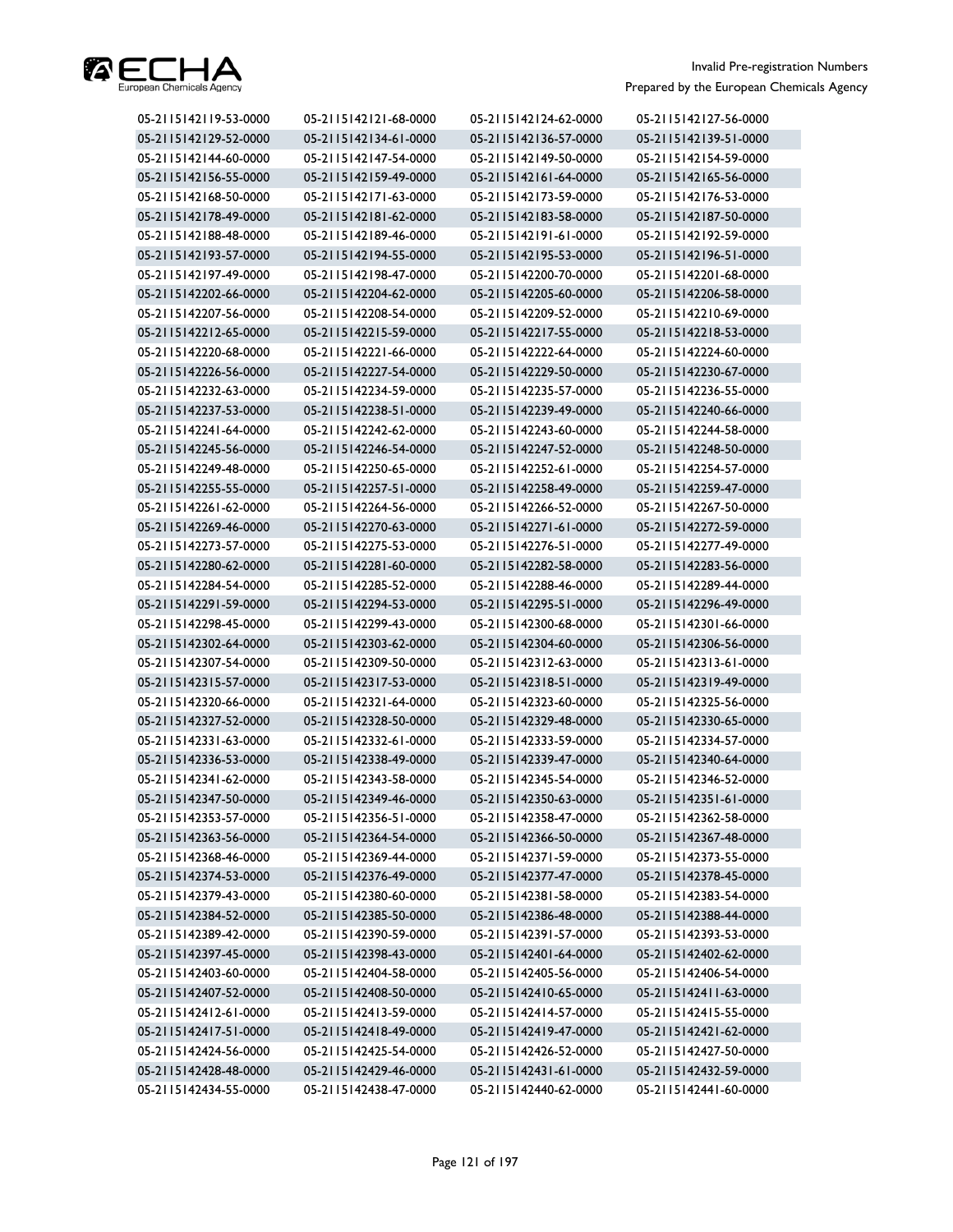

| 05-2115142119-53-0000 | 05-2115142121-68-0000 | 05-2115142124-62-0000 | 05-2115142127-56-0000 |
|-----------------------|-----------------------|-----------------------|-----------------------|
| 05-2115142129-52-0000 | 05-2115142134-61-0000 | 05-2115142136-57-0000 | 05-2115142139-51-0000 |
| 05-2115142144-60-0000 | 05-2115142147-54-0000 | 05-2115142149-50-0000 | 05-2115142154-59-0000 |
| 05-2115142156-55-0000 | 05-2115142159-49-0000 | 05-2115142161-64-0000 | 05-2115142165-56-0000 |
| 05-2115142168-50-0000 | 05-2115142171-63-0000 | 05-2115142173-59-0000 | 05-2115142176-53-0000 |
| 05-2115142178-49-0000 | 05-2115142181-62-0000 | 05-2115142183-58-0000 | 05-2115142187-50-0000 |
| 05-2115142188-48-0000 | 05-2115142189-46-0000 | 05-2115142191-61-0000 | 05-2115142192-59-0000 |
| 05-2115142193-57-0000 | 05-2115142194-55-0000 | 05-2115142195-53-0000 | 05-2115142196-51-0000 |
| 05-2115142197-49-0000 | 05-2115142198-47-0000 | 05-2115142200-70-0000 | 05-2115142201-68-0000 |
| 05-2115142202-66-0000 | 05-2115142204-62-0000 | 05-2115142205-60-0000 | 05-2115142206-58-0000 |
| 05-2115142207-56-0000 | 05-2115142208-54-0000 | 05-2115142209-52-0000 | 05-2115142210-69-0000 |
| 05-2115142212-65-0000 | 05-2115142215-59-0000 | 05-2115142217-55-0000 | 05-2115142218-53-0000 |
| 05-2115142220-68-0000 | 05-2115142221-66-0000 | 05-2115142222-64-0000 | 05-2115142224-60-0000 |
| 05-2115142226-56-0000 | 05-2115142227-54-0000 | 05-2115142229-50-0000 | 05-2115142230-67-0000 |
| 05-2115142232-63-0000 | 05-2115142234-59-0000 | 05-2115142235-57-0000 | 05-2115142236-55-0000 |
| 05-2115142237-53-0000 | 05-2115142238-51-0000 | 05-2115142239-49-0000 | 05-2115142240-66-0000 |
| 05-2115142241-64-0000 | 05-2115142242-62-0000 | 05-2115142243-60-0000 | 05-2115142244-58-0000 |
| 05-2115142245-56-0000 | 05-2115142246-54-0000 | 05-2115142247-52-0000 | 05-2115142248-50-0000 |
| 05-2115142249-48-0000 | 05-2115142250-65-0000 | 05-2115142252-61-0000 | 05-2115142254-57-0000 |
| 05-2115142255-55-0000 | 05-2115142257-51-0000 | 05-2115142258-49-0000 | 05-2115142259-47-0000 |
| 05-2115142261-62-0000 | 05-2115142264-56-0000 | 05-2115142266-52-0000 | 05-2115142267-50-0000 |
| 05-2115142269-46-0000 | 05-2115142270-63-0000 | 05-2115142271-61-0000 | 05-2115142272-59-0000 |
| 05-2115142273-57-0000 | 05-2115142275-53-0000 | 05-2115142276-51-0000 | 05-2115142277-49-0000 |
| 05-2115142280-62-0000 | 05-2115142281-60-0000 | 05-2115142282-58-0000 | 05-2115142283-56-0000 |
| 05-2115142284-54-0000 | 05-2115142285-52-0000 | 05-2115142288-46-0000 | 05-2115142289-44-0000 |
| 05-2115142291-59-0000 | 05-2115142294-53-0000 | 05-2115142295-51-0000 | 05-2115142296-49-0000 |
| 05-2115142298-45-0000 | 05-2115142299-43-0000 | 05-2115142300-68-0000 | 05-2115142301-66-0000 |
| 05-2115142302-64-0000 | 05-2115142303-62-0000 | 05-2115142304-60-0000 | 05-2115142306-56-0000 |
| 05-2115142307-54-0000 | 05-2115142309-50-0000 | 05-2115142312-63-0000 | 05-2115142313-61-0000 |
| 05-2115142315-57-0000 | 05-2115142317-53-0000 | 05-2115142318-51-0000 | 05-2115142319-49-0000 |
| 05-2115142320-66-0000 | 05-2115142321-64-0000 | 05-2115142323-60-0000 | 05-2115142325-56-0000 |
| 05-2115142327-52-0000 | 05-2115142328-50-0000 | 05-2115142329-48-0000 | 05-2115142330-65-0000 |
| 05-2115142331-63-0000 | 05-2115142332-61-0000 | 05-2115142333-59-0000 | 05-2115142334-57-0000 |
| 05-2115142336-53-0000 | 05-2115142338-49-0000 | 05-2115142339-47-0000 | 05-2115142340-64-0000 |
| 05-2115142341-62-0000 | 05-2115142343-58-0000 | 05-2115142345-54-0000 | 05-2115142346-52-0000 |
| 05-2115142347-50-0000 | 05-2115142349-46-0000 | 05-2115142350-63-0000 | 05-2115142351-61-0000 |
| 05-2115142353-57-0000 | 05-2115142356-51-0000 | 05-2115142358-47-0000 | 05-2115142362-58-0000 |
| 05-2115142363-56-0000 | 05-2115142364-54-0000 | 05-2115142366-50-0000 | 05-2115142367-48-0000 |
| 05-2115142368-46-0000 | 05-2115142369-44-0000 | 05-2115142371-59-0000 | 05-2115142373-55-0000 |
| 05-2115142374-53-0000 | 05-2115142376-49-0000 | 05-2115142377-47-0000 | 05-2115142378-45-0000 |
| 05-2115142379-43-0000 | 05-2115142380-60-0000 | 05-2115142381-58-0000 | 05-2115142383-54-0000 |
| 05-2115142384-52-0000 | 05-2115142385-50-0000 | 05-2115142386-48-0000 | 05-2115142388-44-0000 |
| 05-2115142389-42-0000 | 05-2115142390-59-0000 | 05-2115142391-57-0000 | 05-2115142393-53-0000 |
| 05-2115142397-45-0000 | 05-2115142398-43-0000 | 05-2115142401-64-0000 | 05-2115142402-62-0000 |
| 05-2115142403-60-0000 | 05-2115142404-58-0000 | 05-2115142405-56-0000 | 05-2115142406-54-0000 |
| 05-2115142407-52-0000 | 05-2115142408-50-0000 | 05-2115142410-65-0000 | 05-2115142411-63-0000 |
| 05-2115142412-61-0000 | 05-2115142413-59-0000 | 05-2115142414-57-0000 | 05-2115142415-55-0000 |
| 05-2115142417-51-0000 | 05-2115142418-49-0000 | 05-2115142419-47-0000 | 05-2115142421-62-0000 |
| 05-2115142424-56-0000 | 05-2115142425-54-0000 | 05-2115142426-52-0000 | 05-2115142427-50-0000 |
| 05-2115142428-48-0000 | 05-2115142429-46-0000 | 05-2115142431-61-0000 | 05-2115142432-59-0000 |
| 05-2115142434-55-0000 | 05-2115142438-47-0000 | 05-2115142440-62-0000 | 05-2115142441-60-0000 |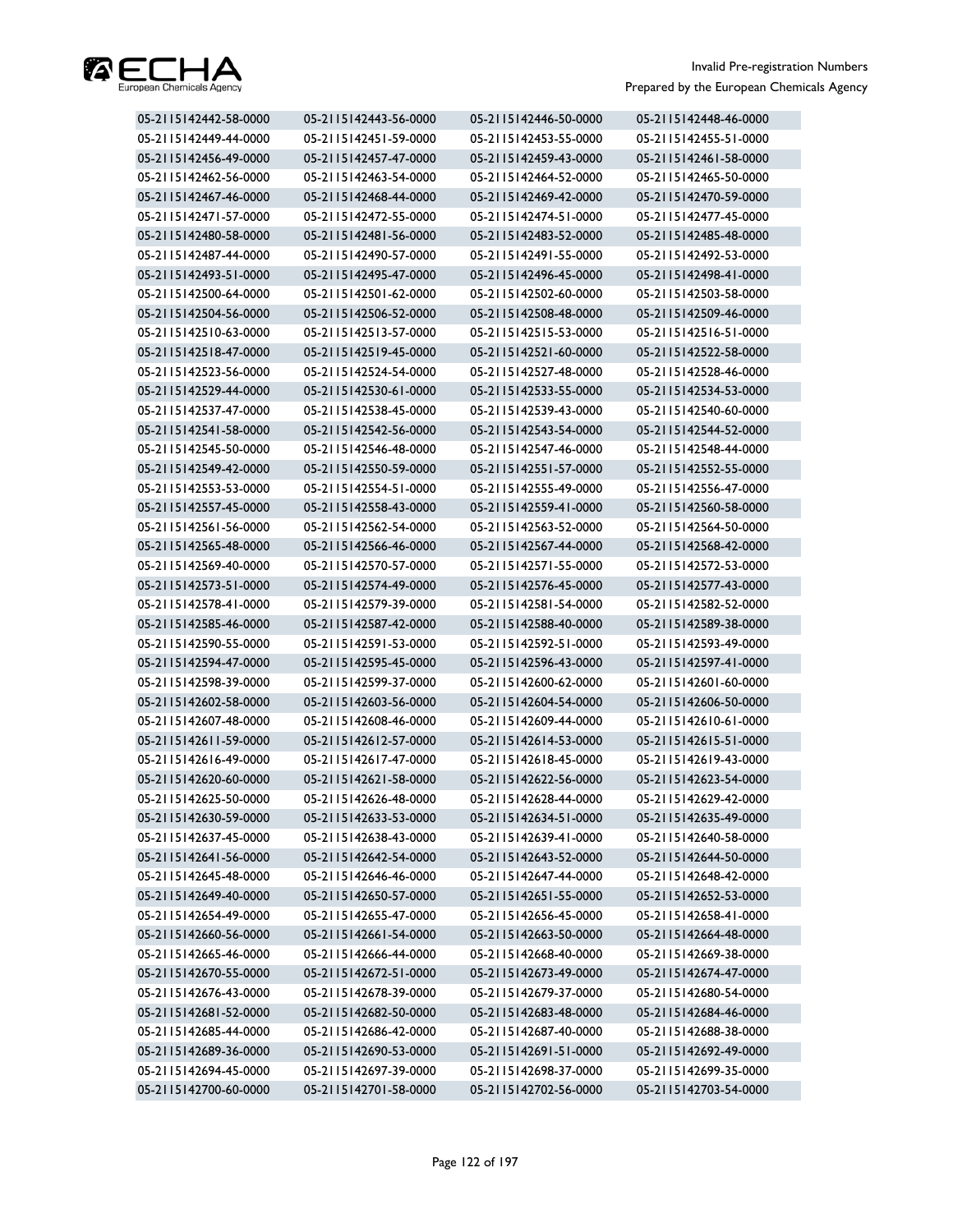

| 05-2115142442-58-0000 | 05-2115142443-56-0000 | 05-2115142446-50-0000 | 05-2115142448-46-0000 |
|-----------------------|-----------------------|-----------------------|-----------------------|
| 05-2115142449-44-0000 | 05-2115142451-59-0000 | 05-2115142453-55-0000 | 05-2115142455-51-0000 |
| 05-2115142456-49-0000 | 05-2115142457-47-0000 | 05-2115142459-43-0000 | 05-2115142461-58-0000 |
| 05-2115142462-56-0000 | 05-2115142463-54-0000 | 05-2115142464-52-0000 | 05-2115142465-50-0000 |
| 05-2115142467-46-0000 | 05-2115142468-44-0000 | 05-2115142469-42-0000 | 05-2115142470-59-0000 |
| 05-2115142471-57-0000 | 05-2115142472-55-0000 | 05-2115142474-51-0000 | 05-2115142477-45-0000 |
| 05-2115142480-58-0000 | 05-2115142481-56-0000 | 05-2115142483-52-0000 | 05-2115142485-48-0000 |
| 05-2115142487-44-0000 | 05-2115142490-57-0000 | 05-2115142491-55-0000 | 05-2115142492-53-0000 |
| 05-2115142493-51-0000 | 05-2115142495-47-0000 | 05-2115142496-45-0000 | 05-2115142498-41-0000 |
| 05-2115142500-64-0000 | 05-2115142501-62-0000 | 05-2115142502-60-0000 | 05-2115142503-58-0000 |
| 05-2115142504-56-0000 | 05-2115142506-52-0000 | 05-2115142508-48-0000 | 05-2115142509-46-0000 |
| 05-2115142510-63-0000 | 05-2115142513-57-0000 | 05-2115142515-53-0000 | 05-2115142516-51-0000 |
| 05-2115142518-47-0000 | 05-2115142519-45-0000 | 05-2115142521-60-0000 | 05-2115142522-58-0000 |
| 05-2115142523-56-0000 | 05-2115142524-54-0000 | 05-2115142527-48-0000 | 05-2115142528-46-0000 |
| 05-2115142529-44-0000 | 05-2115142530-61-0000 | 05-2115142533-55-0000 | 05-2115142534-53-0000 |
| 05-2115142537-47-0000 | 05-2115142538-45-0000 | 05-2115142539-43-0000 | 05-2115142540-60-0000 |
| 05-2115142541-58-0000 | 05-2115142542-56-0000 | 05-2115142543-54-0000 | 05-2115142544-52-0000 |
| 05-2115142545-50-0000 | 05-2115142546-48-0000 | 05-2115142547-46-0000 | 05-2115142548-44-0000 |
| 05-2115142549-42-0000 | 05-2115142550-59-0000 | 05-2115142551-57-0000 | 05-2115142552-55-0000 |
| 05-2115142553-53-0000 | 05-2115142554-51-0000 | 05-2115142555-49-0000 | 05-2115142556-47-0000 |
| 05-2115142557-45-0000 | 05-2115142558-43-0000 | 05-2115142559-41-0000 | 05-2115142560-58-0000 |
| 05-2115142561-56-0000 | 05-2115142562-54-0000 | 05-2115142563-52-0000 | 05-2115142564-50-0000 |
| 05-2115142565-48-0000 | 05-2115142566-46-0000 | 05-2115142567-44-0000 | 05-2115142568-42-0000 |
| 05-2115142569-40-0000 | 05-2115142570-57-0000 | 05-2115142571-55-0000 | 05-2115142572-53-0000 |
| 05-2115142573-51-0000 | 05-2115142574-49-0000 | 05-2115142576-45-0000 | 05-2115142577-43-0000 |
| 05-2115142578-41-0000 | 05-2115142579-39-0000 | 05-2115142581-54-0000 | 05-2115142582-52-0000 |
| 05-2115142585-46-0000 | 05-2115142587-42-0000 | 05-2115142588-40-0000 | 05-2115142589-38-0000 |
| 05-2115142590-55-0000 | 05-2115142591-53-0000 | 05-2115142592-51-0000 | 05-2115142593-49-0000 |
| 05-2115142594-47-0000 | 05-2115142595-45-0000 | 05-2115142596-43-0000 | 05-2115142597-41-0000 |
| 05-2115142598-39-0000 | 05-2115142599-37-0000 | 05-2115142600-62-0000 | 05-2115142601-60-0000 |
| 05-2115142602-58-0000 | 05-2115142603-56-0000 | 05-2115142604-54-0000 | 05-2115142606-50-0000 |
| 05-2115142607-48-0000 | 05-2115142608-46-0000 | 05-2115142609-44-0000 | 05-2115142610-61-0000 |
| 05-2115142611-59-0000 | 05-2115142612-57-0000 | 05-2115142614-53-0000 | 05-2115142615-51-0000 |
| 05-2115142616-49-0000 | 05-2115142617-47-0000 | 05-2115142618-45-0000 | 05-2115142619-43-0000 |
| 05-2115142620-60-0000 | 05-2115142621-58-0000 | 05-2115142622-56-0000 | 05-2115142623-54-0000 |
| 05-2115142625-50-0000 | 05-2115142626-48-0000 | 05-2115142628-44-0000 | 05-2115142629-42-0000 |
| 05-2115142630-59-0000 | 05-2115142633-53-0000 | 05-2115142634-51-0000 | 05-2115142635-49-0000 |
| 05-2115142637-45-0000 | 05-2115142638-43-0000 | 05-2115142639-41-0000 | 05-2115142640-58-0000 |
| 05-2115142641-56-0000 | 05-2115142642-54-0000 | 05-2115142643-52-0000 | 05-2115142644-50-0000 |
| 05-2115142645-48-0000 | 05-2115142646-46-0000 | 05-2115142647-44-0000 | 05-2115142648-42-0000 |
| 05-2115142649-40-0000 | 05-2115142650-57-0000 | 05-2115142651-55-0000 | 05-2115142652-53-0000 |
| 05-2115142654-49-0000 | 05-2115142655-47-0000 | 05-2115142656-45-0000 | 05-2115142658-41-0000 |
| 05-2115142660-56-0000 | 05-2115142661-54-0000 | 05-2115142663-50-0000 | 05-2115142664-48-0000 |
| 05-2115142665-46-0000 | 05-2115142666-44-0000 | 05-2115142668-40-0000 | 05-2115142669-38-0000 |
| 05-2115142670-55-0000 | 05-2115142672-51-0000 | 05-2115142673-49-0000 | 05-2115142674-47-0000 |
| 05-2115142676-43-0000 | 05-2115142678-39-0000 | 05-2115142679-37-0000 | 05-2115142680-54-0000 |
| 05-2115142681-52-0000 | 05-2115142682-50-0000 | 05-2115142683-48-0000 | 05-2115142684-46-0000 |
| 05-2115142685-44-0000 | 05-2115142686-42-0000 | 05-2115142687-40-0000 | 05-2115142688-38-0000 |
| 05-2115142689-36-0000 | 05-2115142690-53-0000 | 05-2115142691-51-0000 | 05-2115142692-49-0000 |
| 05-2115142694-45-0000 | 05-2115142697-39-0000 | 05-2115142698-37-0000 | 05-2115142699-35-0000 |
| 05-2115142700-60-0000 | 05-2115142701-58-0000 | 05-2115142702-56-0000 | 05-2115142703-54-0000 |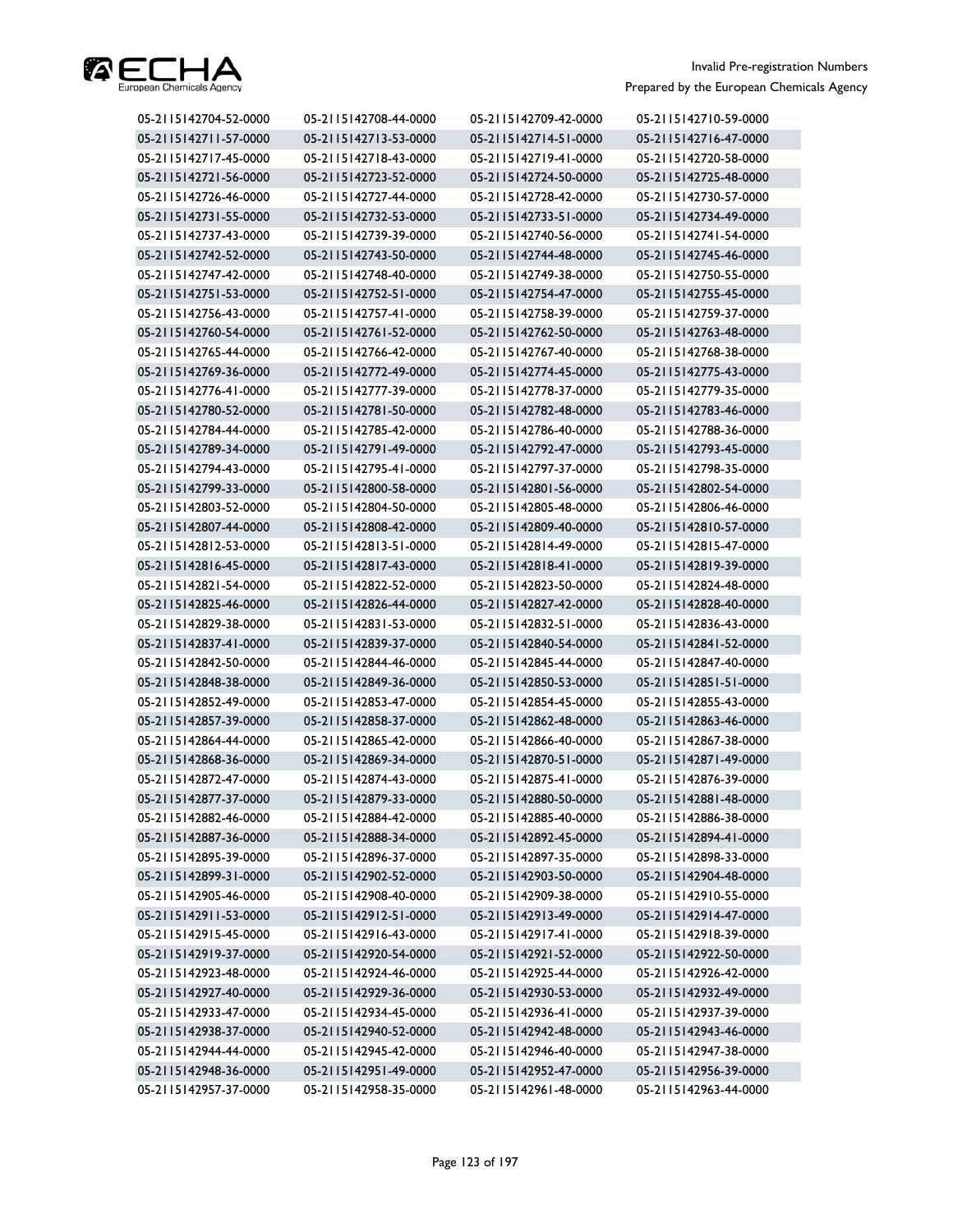

| 05-2115142704-52-0000 | 05-2115142708-44-0000 | 05-2115142709-42-0000 | 05-2115142710-59-0000 |
|-----------------------|-----------------------|-----------------------|-----------------------|
| 05-2115142711-57-0000 | 05-2115142713-53-0000 | 05-2115142714-51-0000 | 05-2115142716-47-0000 |
| 05-2115142717-45-0000 | 05-2115142718-43-0000 | 05-2115142719-41-0000 | 05-2115142720-58-0000 |
| 05-2115142721-56-0000 | 05-2115142723-52-0000 | 05-2115142724-50-0000 | 05-2115142725-48-0000 |
| 05-2115142726-46-0000 | 05-2115142727-44-0000 | 05-2115142728-42-0000 | 05-2115142730-57-0000 |
| 05-2115142731-55-0000 | 05-2115142732-53-0000 | 05-2115142733-51-0000 | 05-2115142734-49-0000 |
| 05-2115142737-43-0000 | 05-2115142739-39-0000 | 05-2115142740-56-0000 | 05-2115142741-54-0000 |
| 05-2115142742-52-0000 | 05-2115142743-50-0000 | 05-2115142744-48-0000 | 05-2115142745-46-0000 |
| 05-2115142747-42-0000 | 05-2115142748-40-0000 | 05-2115142749-38-0000 | 05-2115142750-55-0000 |
| 05-2115142751-53-0000 | 05-2115142752-51-0000 | 05-2115142754-47-0000 | 05-2115142755-45-0000 |
| 05-2115142756-43-0000 | 05-2115142757-41-0000 | 05-2115142758-39-0000 | 05-2115142759-37-0000 |
| 05-2115142760-54-0000 | 05-2115142761-52-0000 | 05-2115142762-50-0000 | 05-2115142763-48-0000 |
| 05-2115142765-44-0000 | 05-2115142766-42-0000 | 05-2115142767-40-0000 | 05-2115142768-38-0000 |
| 05-2115142769-36-0000 | 05-2115142772-49-0000 | 05-2115142774-45-0000 | 05-2115142775-43-0000 |
| 05-2115142776-41-0000 | 05-2115142777-39-0000 | 05-2115142778-37-0000 | 05-2115142779-35-0000 |
| 05-2115142780-52-0000 | 05-2115142781-50-0000 | 05-2115142782-48-0000 | 05-2115142783-46-0000 |
| 05-2115142784-44-0000 | 05-2115142785-42-0000 | 05-2115142786-40-0000 | 05-2115142788-36-0000 |
| 05-2115142789-34-0000 | 05-2115142791-49-0000 | 05-2115142792-47-0000 | 05-2115142793-45-0000 |
| 05-2115142794-43-0000 | 05-2115142795-41-0000 | 05-2115142797-37-0000 | 05-2115142798-35-0000 |
| 05-2115142799-33-0000 | 05-2115142800-58-0000 | 05-2115142801-56-0000 | 05-2115142802-54-0000 |
| 05-2115142803-52-0000 | 05-2115142804-50-0000 | 05-2115142805-48-0000 | 05-2115142806-46-0000 |
| 05-2115142807-44-0000 | 05-2115142808-42-0000 | 05-2115142809-40-0000 | 05-2115142810-57-0000 |
| 05-2115142812-53-0000 | 05-2115142813-51-0000 | 05-2115142814-49-0000 | 05-2115142815-47-0000 |
| 05-2115142816-45-0000 | 05-2115142817-43-0000 | 05-2115142818-41-0000 | 05-2115142819-39-0000 |
| 05-2115142821-54-0000 | 05-2115142822-52-0000 | 05-2115142823-50-0000 | 05-2115142824-48-0000 |
| 05-2115142825-46-0000 | 05-2115142826-44-0000 | 05-2115142827-42-0000 | 05-2115142828-40-0000 |
| 05-2115142829-38-0000 | 05-2115142831-53-0000 | 05-2115142832-51-0000 | 05-2115142836-43-0000 |
| 05-2115142837-41-0000 | 05-2115142839-37-0000 | 05-2115142840-54-0000 | 05-2115142841-52-0000 |
| 05-2115142842-50-0000 | 05-2115142844-46-0000 | 05-2115142845-44-0000 | 05-2115142847-40-0000 |
| 05-2115142848-38-0000 | 05-2115142849-36-0000 | 05-2115142850-53-0000 | 05-2115142851-51-0000 |
| 05-2115142852-49-0000 | 05-2115142853-47-0000 | 05-2115142854-45-0000 | 05-2115142855-43-0000 |
| 05-2115142857-39-0000 | 05-2115142858-37-0000 | 05-2115142862-48-0000 | 05-2115142863-46-0000 |
| 05-2115142864-44-0000 | 05-2115142865-42-0000 | 05-2115142866-40-0000 | 05-2115142867-38-0000 |
| 05-2115142868-36-0000 | 05-2115142869-34-0000 | 05-2115142870-51-0000 | 05-2115142871-49-0000 |
| 05-2115142872-47-0000 | 05-2115142874-43-0000 | 05-2115142875-41-0000 | 05-2115142876-39-0000 |
| 05-2115142877-37-0000 | 05-2115142879-33-0000 | 05-2115142880-50-0000 | 05-2115142881-48-0000 |
| 05-2115142882-46-0000 | 05-2115142884-42-0000 | 05-2115142885-40-0000 | 05-2115142886-38-0000 |
| 05-2115142887-36-0000 | 05-2115142888-34-0000 | 05-2115142892-45-0000 | 05-2115142894-41-0000 |
| 05-2115142895-39-0000 | 05-2115142896-37-0000 | 05-2115142897-35-0000 | 05-2115142898-33-0000 |
| 05-2115142899-31-0000 | 05-2115142902-52-0000 | 05-2115142903-50-0000 | 05-2115142904-48-0000 |
| 05-2115142905-46-0000 | 05-2115142908-40-0000 | 05-2115142909-38-0000 | 05-2115142910-55-0000 |
| 05-2115142911-53-0000 | 05-2115142912-51-0000 | 05-2115142913-49-0000 | 05-2115142914-47-0000 |
| 05-2115142915-45-0000 | 05-2115142916-43-0000 | 05-2115142917-41-0000 | 05-2115142918-39-0000 |
| 05-2115142919-37-0000 | 05-2115142920-54-0000 | 05-2115142921-52-0000 | 05-2115142922-50-0000 |
| 05-2115142923-48-0000 | 05-2115142924-46-0000 | 05-2115142925-44-0000 | 05-2115142926-42-0000 |
| 05-2115142927-40-0000 | 05-2115142929-36-0000 | 05-2115142930-53-0000 | 05-2115142932-49-0000 |
| 05-2115142933-47-0000 | 05-2115142934-45-0000 | 05-2115142936-41-0000 | 05-2115142937-39-0000 |
| 05-2115142938-37-0000 | 05-2115142940-52-0000 | 05-2115142942-48-0000 | 05-2115142943-46-0000 |
| 05-2115142944-44-0000 | 05-2115142945-42-0000 | 05-2115142946-40-0000 | 05-2115142947-38-0000 |
| 05-2115142948-36-0000 | 05-2115142951-49-0000 | 05-2115142952-47-0000 | 05-2115142956-39-0000 |
| 05-2115142957-37-0000 | 05-2115142958-35-0000 | 05-2115142961-48-0000 | 05-2115142963-44-0000 |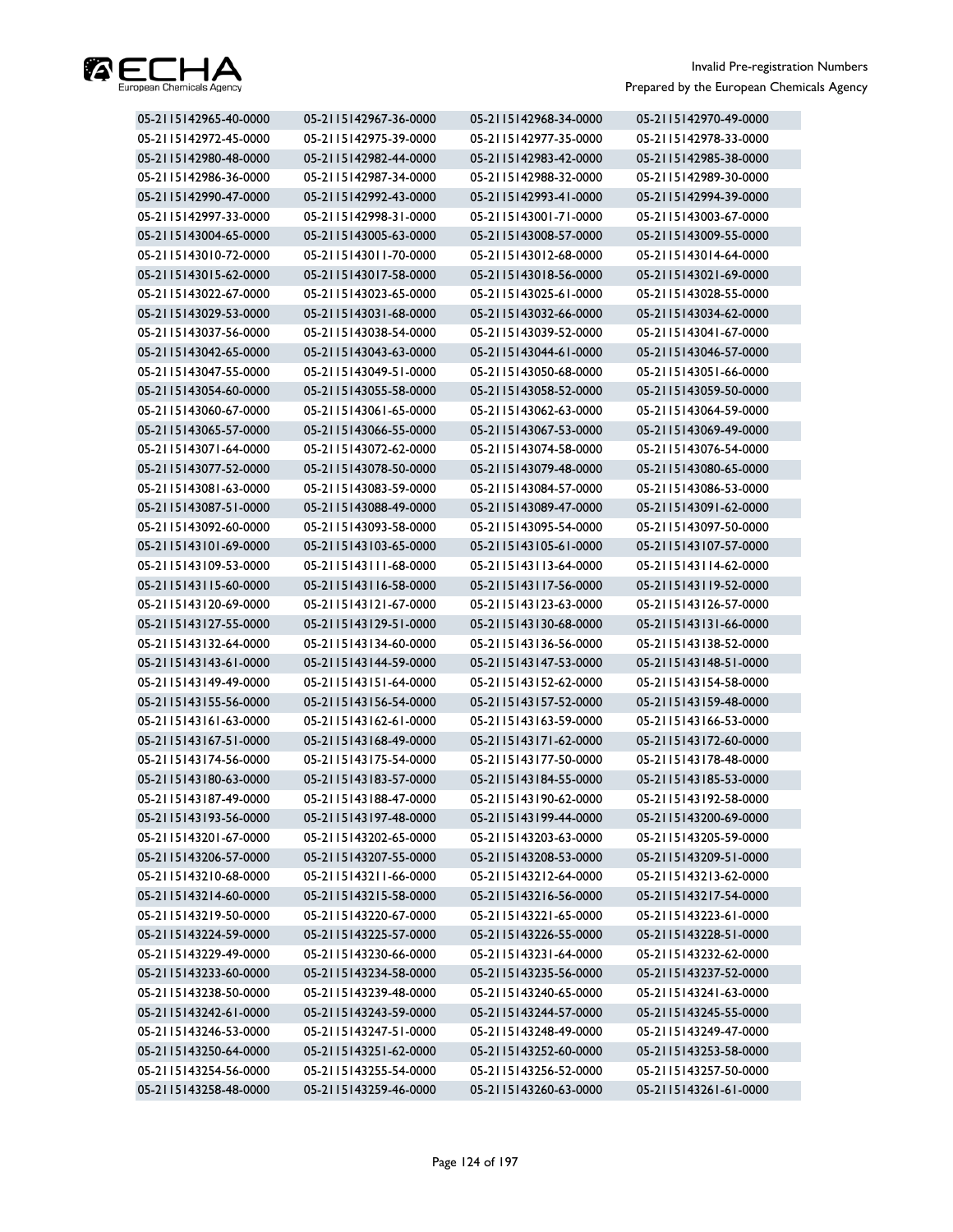

| 05-2115142965-40-0000 | 05-2115142967-36-0000 | 05-2115142968-34-0000 | 05-2115142970-49-0000 |
|-----------------------|-----------------------|-----------------------|-----------------------|
| 05-2115142972-45-0000 | 05-2115142975-39-0000 | 05-2115142977-35-0000 | 05-2115142978-33-0000 |
| 05-2115142980-48-0000 | 05-2115142982-44-0000 | 05-2115142983-42-0000 | 05-2115142985-38-0000 |
| 05-2115142986-36-0000 | 05-2115142987-34-0000 | 05-2115142988-32-0000 | 05-2115142989-30-0000 |
| 05-2115142990-47-0000 | 05-2115142992-43-0000 | 05-2115142993-41-0000 | 05-2115142994-39-0000 |
| 05-2115142997-33-0000 | 05-2115142998-31-0000 | 05-2115143001-71-0000 | 05-2115143003-67-0000 |
| 05-2115143004-65-0000 | 05-2115143005-63-0000 | 05-2115143008-57-0000 | 05-2115143009-55-0000 |
| 05-2115143010-72-0000 | 05-2115143011-70-0000 | 05-2115143012-68-0000 | 05-2115143014-64-0000 |
| 05-2115143015-62-0000 | 05-2115143017-58-0000 | 05-2115143018-56-0000 | 05-2115143021-69-0000 |
| 05-2115143022-67-0000 | 05-2115143023-65-0000 | 05-2115143025-61-0000 | 05-2115143028-55-0000 |
| 05-2115143029-53-0000 | 05-2115143031-68-0000 | 05-2115143032-66-0000 | 05-2115143034-62-0000 |
| 05-2115143037-56-0000 | 05-2115143038-54-0000 | 05-2115143039-52-0000 | 05-2115143041-67-0000 |
| 05-2115143042-65-0000 | 05-2115143043-63-0000 | 05-2115143044-61-0000 | 05-2115143046-57-0000 |
| 05-2115143047-55-0000 | 05-2115143049-51-0000 | 05-2115143050-68-0000 | 05-2115143051-66-0000 |
| 05-2115143054-60-0000 | 05-2115143055-58-0000 | 05-2115143058-52-0000 | 05-2115143059-50-0000 |
| 05-2115143060-67-0000 | 05-2115143061-65-0000 | 05-2115143062-63-0000 | 05-2115143064-59-0000 |
| 05-2115143065-57-0000 | 05-2115143066-55-0000 | 05-2115143067-53-0000 | 05-2115143069-49-0000 |
| 05-2115143071-64-0000 | 05-2115143072-62-0000 | 05-2115143074-58-0000 | 05-2115143076-54-0000 |
| 05-2115143077-52-0000 | 05-2115143078-50-0000 | 05-2115143079-48-0000 | 05-2115143080-65-0000 |
| 05-2115143081-63-0000 | 05-2115143083-59-0000 | 05-2115143084-57-0000 | 05-2115143086-53-0000 |
| 05-2115143087-51-0000 | 05-2115143088-49-0000 | 05-2115143089-47-0000 | 05-2115143091-62-0000 |
| 05-2115143092-60-0000 | 05-2115143093-58-0000 | 05-2115143095-54-0000 | 05-2115143097-50-0000 |
| 05-2115143101-69-0000 | 05-2115143103-65-0000 | 05-2115143105-61-0000 | 05-2115143107-57-0000 |
| 05-2115143109-53-0000 | 05-2115143111-68-0000 | 05-2115143113-64-0000 | 05-2115143114-62-0000 |
| 05-2115143115-60-0000 | 05-2115143116-58-0000 | 05-2115143117-56-0000 | 05-2115143119-52-0000 |
| 05-2115143120-69-0000 | 05-2115143121-67-0000 | 05-2115143123-63-0000 | 05-2115143126-57-0000 |
| 05-2115143127-55-0000 | 05-2115143129-51-0000 | 05-2115143130-68-0000 | 05-2115143131-66-0000 |
| 05-2115143132-64-0000 | 05-2115143134-60-0000 | 05-2115143136-56-0000 | 05-2115143138-52-0000 |
| 05-2115143143-61-0000 | 05-2115143144-59-0000 | 05-2115143147-53-0000 | 05-2115143148-51-0000 |
| 05-2115143149-49-0000 | 05-2115143151-64-0000 | 05-2115143152-62-0000 | 05-2115143154-58-0000 |
| 05-2115143155-56-0000 | 05-2115143156-54-0000 | 05-2115143157-52-0000 | 05-2115143159-48-0000 |
| 05-2115143161-63-0000 | 05-2115143162-61-0000 | 05-2115143163-59-0000 | 05-2115143166-53-0000 |
| 05-2115143167-51-0000 | 05-2115143168-49-0000 | 05-2115143171-62-0000 | 05-2115143172-60-0000 |
| 05-2115143174-56-0000 | 05-2115143175-54-0000 | 05-2115143177-50-0000 | 05-2115143178-48-0000 |
| 05-2115143180-63-0000 | 05-2115143183-57-0000 | 05-2115143184-55-0000 | 05-2115143185-53-0000 |
| 05-2115143187-49-0000 | 05-2115143188-47-0000 | 05-2115143190-62-0000 | 05-2115143192-58-0000 |
| 05-2115143193-56-0000 | 05-2115143197-48-0000 | 05-2115143199-44-0000 | 05-2115143200-69-0000 |
| 05-2115143201-67-0000 | 05-2115143202-65-0000 | 05-2115143203-63-0000 | 05-2115143205-59-0000 |
| 05-2115143206-57-0000 | 05-2115143207-55-0000 | 05-2115143208-53-0000 | 05-2115143209-51-0000 |
| 05-2115143210-68-0000 | 05-2115143211-66-0000 | 05-2115143212-64-0000 | 05-2115143213-62-0000 |
| 05-2115143214-60-0000 | 05-2115143215-58-0000 | 05-2115143216-56-0000 | 05-2115143217-54-0000 |
| 05-2115143219-50-0000 | 05-2115143220-67-0000 | 05-2115143221-65-0000 | 05-2115143223-61-0000 |
| 05-2115143224-59-0000 | 05-2115143225-57-0000 | 05-2115143226-55-0000 | 05-2115143228-51-0000 |
| 05-2115143229-49-0000 | 05-2115143230-66-0000 | 05-2115143231-64-0000 | 05-2115143232-62-0000 |
| 05-2115143233-60-0000 | 05-2115143234-58-0000 | 05-2115143235-56-0000 | 05-2115143237-52-0000 |
| 05-2115143238-50-0000 | 05-2115143239-48-0000 | 05-2115143240-65-0000 | 05-2115143241-63-0000 |
| 05-2115143242-61-0000 | 05-2115143243-59-0000 | 05-2115143244-57-0000 | 05-2115143245-55-0000 |
| 05-2115143246-53-0000 | 05-2115143247-51-0000 | 05-2115143248-49-0000 | 05-2115143249-47-0000 |
| 05-2115143250-64-0000 | 05-2115143251-62-0000 | 05-2115143252-60-0000 | 05-2115143253-58-0000 |
| 05-2115143254-56-0000 | 05-2115143255-54-0000 | 05-2115143256-52-0000 | 05-2115143257-50-0000 |
| 05-2115143258-48-0000 | 05-2115143259-46-0000 | 05-2115143260-63-0000 | 05-2115143261-61-0000 |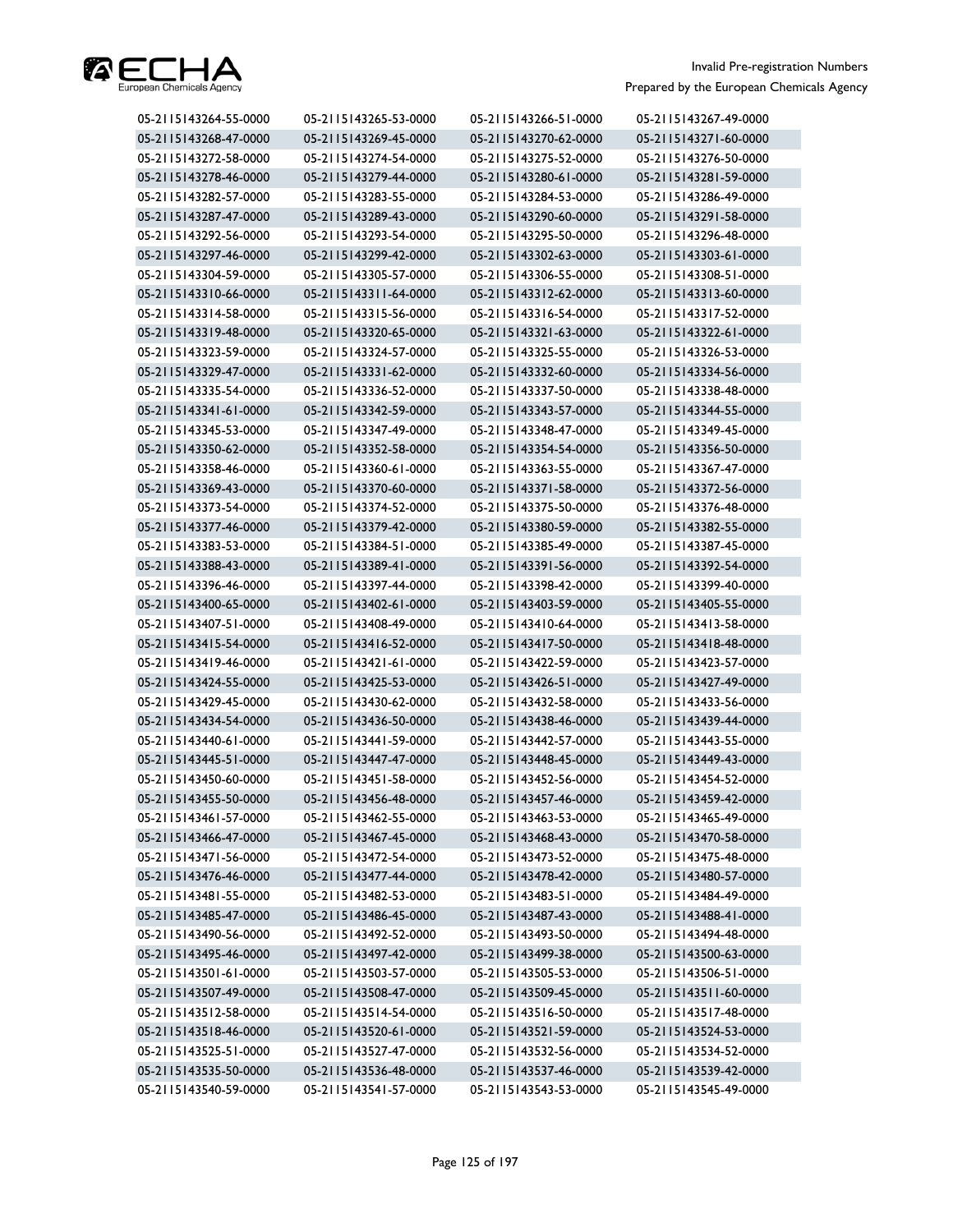

| 05-2115143264-55-0000 | 05-2115143265-53-0000 | 05-2115143266-51-0000 | 05-2115143267-49-0000 |
|-----------------------|-----------------------|-----------------------|-----------------------|
| 05-2115143268-47-0000 | 05-2115143269-45-0000 | 05-2115143270-62-0000 | 05-2115143271-60-0000 |
| 05-2115143272-58-0000 | 05-2115143274-54-0000 | 05-2115143275-52-0000 | 05-2115143276-50-0000 |
| 05-2115143278-46-0000 | 05-2115143279-44-0000 | 05-2115143280-61-0000 | 05-2115143281-59-0000 |
| 05-2115143282-57-0000 | 05-2115143283-55-0000 | 05-2115143284-53-0000 | 05-2115143286-49-0000 |
| 05-2115143287-47-0000 | 05-2115143289-43-0000 | 05-2115143290-60-0000 | 05-2115143291-58-0000 |
| 05-2115143292-56-0000 | 05-2115143293-54-0000 | 05-2115143295-50-0000 | 05-2115143296-48-0000 |
| 05-2115143297-46-0000 | 05-2115143299-42-0000 | 05-2115143302-63-0000 | 05-2115143303-61-0000 |
| 05-2115143304-59-0000 | 05-2115143305-57-0000 | 05-2115143306-55-0000 | 05-2115143308-51-0000 |
| 05-2115143310-66-0000 | 05-2115143311-64-0000 | 05-2115143312-62-0000 | 05-2115143313-60-0000 |
| 05-2115143314-58-0000 | 05-2115143315-56-0000 | 05-2115143316-54-0000 | 05-2115143317-52-0000 |
| 05-2115143319-48-0000 | 05-2115143320-65-0000 | 05-2115143321-63-0000 | 05-2115143322-61-0000 |
| 05-2115143323-59-0000 | 05-2115143324-57-0000 | 05-2115143325-55-0000 | 05-2115143326-53-0000 |
| 05-2115143329-47-0000 | 05-2115143331-62-0000 | 05-2115143332-60-0000 | 05-2115143334-56-0000 |
| 05-2115143335-54-0000 | 05-2115143336-52-0000 | 05-2115143337-50-0000 | 05-2115143338-48-0000 |
| 05-2115143341-61-0000 | 05-2115143342-59-0000 | 05-2115143343-57-0000 | 05-2115143344-55-0000 |
| 05-2115143345-53-0000 | 05-2115143347-49-0000 | 05-2115143348-47-0000 | 05-2115143349-45-0000 |
| 05-2115143350-62-0000 | 05-2115143352-58-0000 | 05-2115143354-54-0000 | 05-2115143356-50-0000 |
| 05-2115143358-46-0000 | 05-2115143360-61-0000 | 05-2115143363-55-0000 | 05-2115143367-47-0000 |
| 05-2115143369-43-0000 | 05-2115143370-60-0000 | 05-2115143371-58-0000 | 05-2115143372-56-0000 |
| 05-2115143373-54-0000 | 05-2115143374-52-0000 | 05-2115143375-50-0000 | 05-2115143376-48-0000 |
| 05-2115143377-46-0000 | 05-2115143379-42-0000 | 05-2115143380-59-0000 | 05-2115143382-55-0000 |
| 05-2115143383-53-0000 | 05-2115143384-51-0000 | 05-2115143385-49-0000 | 05-2115143387-45-0000 |
| 05-2115143388-43-0000 | 05-2115143389-41-0000 | 05-2115143391-56-0000 | 05-2115143392-54-0000 |
| 05-2115143396-46-0000 | 05-2115143397-44-0000 | 05-2115143398-42-0000 | 05-2115143399-40-0000 |
| 05-2115143400-65-0000 | 05-2115143402-61-0000 | 05-2115143403-59-0000 | 05-2115143405-55-0000 |
| 05-2115143407-51-0000 | 05-2115143408-49-0000 | 05-2115143410-64-0000 | 05-2115143413-58-0000 |
| 05-2115143415-54-0000 | 05-2115143416-52-0000 | 05-2115143417-50-0000 | 05-2115143418-48-0000 |
| 05-2115143419-46-0000 | 05-2115143421-61-0000 | 05-2115143422-59-0000 | 05-2115143423-57-0000 |
| 05-2115143424-55-0000 | 05-2115143425-53-0000 | 05-2115143426-51-0000 | 05-2115143427-49-0000 |
| 05-2115143429-45-0000 | 05-2115143430-62-0000 | 05-2115143432-58-0000 | 05-2115143433-56-0000 |
| 05-2115143434-54-0000 | 05-2115143436-50-0000 | 05-2115143438-46-0000 | 05-2115143439-44-0000 |
| 05-2115143440-61-0000 | 05-2115143441-59-0000 | 05-2115143442-57-0000 | 05-2115143443-55-0000 |
| 05-2115143445-51-0000 | 05-2115143447-47-0000 | 05-2115143448-45-0000 | 05-2115143449-43-0000 |
| 05-2115143450-60-0000 | 05-2115143451-58-0000 | 05-2115143452-56-0000 | 05-2115143454-52-0000 |
| 05-2115143455-50-0000 | 05-2115143456-48-0000 | 05-2115143457-46-0000 | 05-2115143459-42-0000 |
| 05-2115143461-57-0000 | 05-2115143462-55-0000 | 05-2115143463-53-0000 | 05-2115143465-49-0000 |
| 05-2115143466-47-0000 | 05-2115143467-45-0000 | 05-2115143468-43-0000 | 05-2115143470-58-0000 |
| 05-2115143471-56-0000 | 05-2115143472-54-0000 | 05-2115143473-52-0000 | 05-2115143475-48-0000 |
| 05-2115143476-46-0000 | 05-2115143477-44-0000 | 05-2115143478-42-0000 | 05-2115143480-57-0000 |
| 05-2115143481-55-0000 | 05-2115143482-53-0000 | 05-2115143483-51-0000 | 05-2115143484-49-0000 |
| 05-2115143485-47-0000 | 05-2115143486-45-0000 | 05-2115143487-43-0000 | 05-2115143488-41-0000 |
| 05-2115143490-56-0000 | 05-2115143492-52-0000 | 05-2115143493-50-0000 | 05-2115143494-48-0000 |
| 05-2115143495-46-0000 | 05-2115143497-42-0000 | 05-2115143499-38-0000 | 05-2115143500-63-0000 |
| 05-2115143501-61-0000 | 05-2115143503-57-0000 | 05-2115143505-53-0000 | 05-2115143506-51-0000 |
| 05-2115143507-49-0000 | 05-2115143508-47-0000 | 05-2115143509-45-0000 | 05-2115143511-60-0000 |
| 05-2115143512-58-0000 | 05-2115143514-54-0000 | 05-2115143516-50-0000 | 05-2115143517-48-0000 |
| 05-2115143518-46-0000 | 05-2115143520-61-0000 | 05-2115143521-59-0000 | 05-2115143524-53-0000 |
| 05-2115143525-51-0000 | 05-2115143527-47-0000 | 05-2115143532-56-0000 | 05-2115143534-52-0000 |
| 05-2115143535-50-0000 | 05-2115143536-48-0000 | 05-2115143537-46-0000 | 05-2115143539-42-0000 |
| 05-2115143540-59-0000 | 05-2115143541-57-0000 | 05-2115143543-53-0000 | 05-2115143545-49-0000 |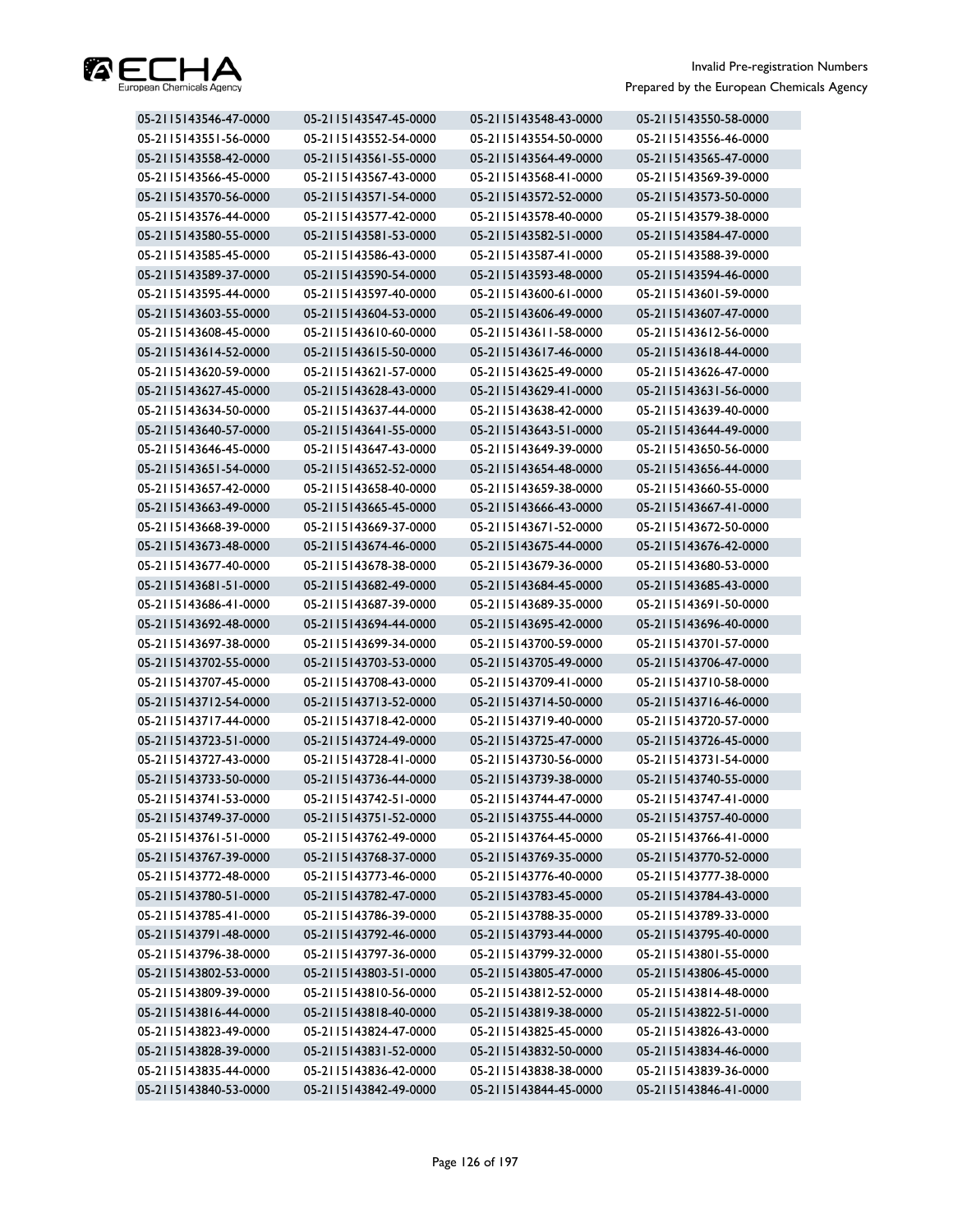

| 05-2115143546-47-0000 | 05-2115143547-45-0000 | 05-2115143548-43-0000 | 05-2115143550-58-0000 |
|-----------------------|-----------------------|-----------------------|-----------------------|
| 05-2115143551-56-0000 | 05-2115143552-54-0000 | 05-2115143554-50-0000 | 05-2115143556-46-0000 |
| 05-2115143558-42-0000 | 05-2115143561-55-0000 | 05-2115143564-49-0000 | 05-2115143565-47-0000 |
| 05-2115143566-45-0000 | 05-2115143567-43-0000 | 05-2115143568-41-0000 | 05-2115143569-39-0000 |
| 05-2115143570-56-0000 | 05-2115143571-54-0000 | 05-2115143572-52-0000 | 05-2115143573-50-0000 |
| 05-2115143576-44-0000 | 05-2115143577-42-0000 | 05-2115143578-40-0000 | 05-2115143579-38-0000 |
| 05-2115143580-55-0000 | 05-2115143581-53-0000 | 05-2115143582-51-0000 | 05-2115143584-47-0000 |
| 05-2115143585-45-0000 | 05-2115143586-43-0000 | 05-2115143587-41-0000 | 05-2115143588-39-0000 |
| 05-2115143589-37-0000 | 05-2115143590-54-0000 | 05-2115143593-48-0000 | 05-2115143594-46-0000 |
| 05-2115143595-44-0000 | 05-2115143597-40-0000 | 05-2115143600-61-0000 | 05-2115143601-59-0000 |
| 05-2115143603-55-0000 | 05-2115143604-53-0000 | 05-2115143606-49-0000 | 05-2115143607-47-0000 |
| 05-2115143608-45-0000 | 05-2115143610-60-0000 | 05-2115143611-58-0000 | 05-2115143612-56-0000 |
| 05-2115143614-52-0000 | 05-2115143615-50-0000 | 05-2115143617-46-0000 | 05-2115143618-44-0000 |
| 05-2115143620-59-0000 | 05-2115143621-57-0000 | 05-2115143625-49-0000 | 05-2115143626-47-0000 |
| 05-2115143627-45-0000 | 05-2115143628-43-0000 | 05-2115143629-41-0000 | 05-2115143631-56-0000 |
| 05-2115143634-50-0000 | 05-2115143637-44-0000 | 05-2115143638-42-0000 | 05-2115143639-40-0000 |
| 05-2115143640-57-0000 | 05-2115143641-55-0000 | 05-2115143643-51-0000 | 05-2115143644-49-0000 |
| 05-2115143646-45-0000 | 05-2115143647-43-0000 | 05-2115143649-39-0000 | 05-2115143650-56-0000 |
| 05-2115143651-54-0000 | 05-2115143652-52-0000 | 05-2115143654-48-0000 | 05-2115143656-44-0000 |
| 05-2115143657-42-0000 | 05-2115143658-40-0000 | 05-2115143659-38-0000 | 05-2115143660-55-0000 |
| 05-2115143663-49-0000 | 05-2115143665-45-0000 | 05-2115143666-43-0000 | 05-2115143667-41-0000 |
| 05-2115143668-39-0000 | 05-2115143669-37-0000 | 05-2115143671-52-0000 | 05-2115143672-50-0000 |
| 05-2115143673-48-0000 | 05-2115143674-46-0000 | 05-2115143675-44-0000 | 05-2115143676-42-0000 |
| 05-2115143677-40-0000 | 05-2115143678-38-0000 | 05-2115143679-36-0000 | 05-2115143680-53-0000 |
| 05-2115143681-51-0000 | 05-2115143682-49-0000 | 05-2115143684-45-0000 | 05-2115143685-43-0000 |
| 05-2115143686-41-0000 | 05-2115143687-39-0000 | 05-2115143689-35-0000 | 05-2115143691-50-0000 |
| 05-2115143692-48-0000 | 05-2115143694-44-0000 | 05-2115143695-42-0000 | 05-2115143696-40-0000 |
| 05-2115143697-38-0000 | 05-2115143699-34-0000 | 05-2115143700-59-0000 | 05-2115143701-57-0000 |
| 05-2115143702-55-0000 | 05-2115143703-53-0000 | 05-2115143705-49-0000 | 05-2115143706-47-0000 |
| 05-2115143707-45-0000 | 05-2115143708-43-0000 | 05-2115143709-41-0000 | 05-2115143710-58-0000 |
| 05-2115143712-54-0000 | 05-2115143713-52-0000 | 05-2115143714-50-0000 | 05-2115143716-46-0000 |
| 05-2115143717-44-0000 | 05-2115143718-42-0000 | 05-2115143719-40-0000 | 05-2115143720-57-0000 |
| 05-2115143723-51-0000 | 05-2115143724-49-0000 | 05-2115143725-47-0000 | 05-2115143726-45-0000 |
| 05-2115143727-43-0000 | 05-2115143728-41-0000 | 05-2115143730-56-0000 | 05-2115143731-54-0000 |
| 05-2115143733-50-0000 | 05-2115143736-44-0000 | 05-2115143739-38-0000 | 05-2115143740-55-0000 |
| 05-2115143741-53-0000 | 05-2115143742-51-0000 | 05-2115143744-47-0000 | 05-2115143747-41-0000 |
| 05-2115143749-37-0000 | 05-2115143751-52-0000 | 05-2115143755-44-0000 | 05-2115143757-40-0000 |
| 05-2115143761-51-0000 | 05-2115143762-49-0000 | 05-2115143764-45-0000 | 05-2115143766-41-0000 |
| 05-2115143767-39-0000 | 05-2115143768-37-0000 | 05-2115143769-35-0000 | 05-2115143770-52-0000 |
| 05-2115143772-48-0000 | 05-2115143773-46-0000 | 05-2115143776-40-0000 | 05-2115143777-38-0000 |
| 05-2115143780-51-0000 | 05-2115143782-47-0000 | 05-2115143783-45-0000 | 05-2115143784-43-0000 |
| 05-2115143785-41-0000 | 05-2115143786-39-0000 | 05-2115143788-35-0000 | 05-2115143789-33-0000 |
| 05-2115143791-48-0000 | 05-2115143792-46-0000 | 05-2115143793-44-0000 | 05-2115143795-40-0000 |
| 05-2115143796-38-0000 | 05-2115143797-36-0000 | 05-2115143799-32-0000 | 05-2115143801-55-0000 |
| 05-2115143802-53-0000 | 05-2115143803-51-0000 | 05-2115143805-47-0000 | 05-2115143806-45-0000 |
| 05-2115143809-39-0000 | 05-2115143810-56-0000 | 05-2115143812-52-0000 | 05-2115143814-48-0000 |
| 05-2115143816-44-0000 | 05-2115143818-40-0000 | 05-2115143819-38-0000 | 05-2115143822-51-0000 |
| 05-2115143823-49-0000 | 05-2115143824-47-0000 | 05-2115143825-45-0000 | 05-2115143826-43-0000 |
| 05-2115143828-39-0000 | 05-2115143831-52-0000 | 05-2115143832-50-0000 | 05-2115143834-46-0000 |
| 05-2115143835-44-0000 | 05-2115143836-42-0000 | 05-2115143838-38-0000 | 05-2115143839-36-0000 |
| 05-2115143840-53-0000 | 05-2115143842-49-0000 | 05-2115143844-45-0000 | 05-2115143846-41-0000 |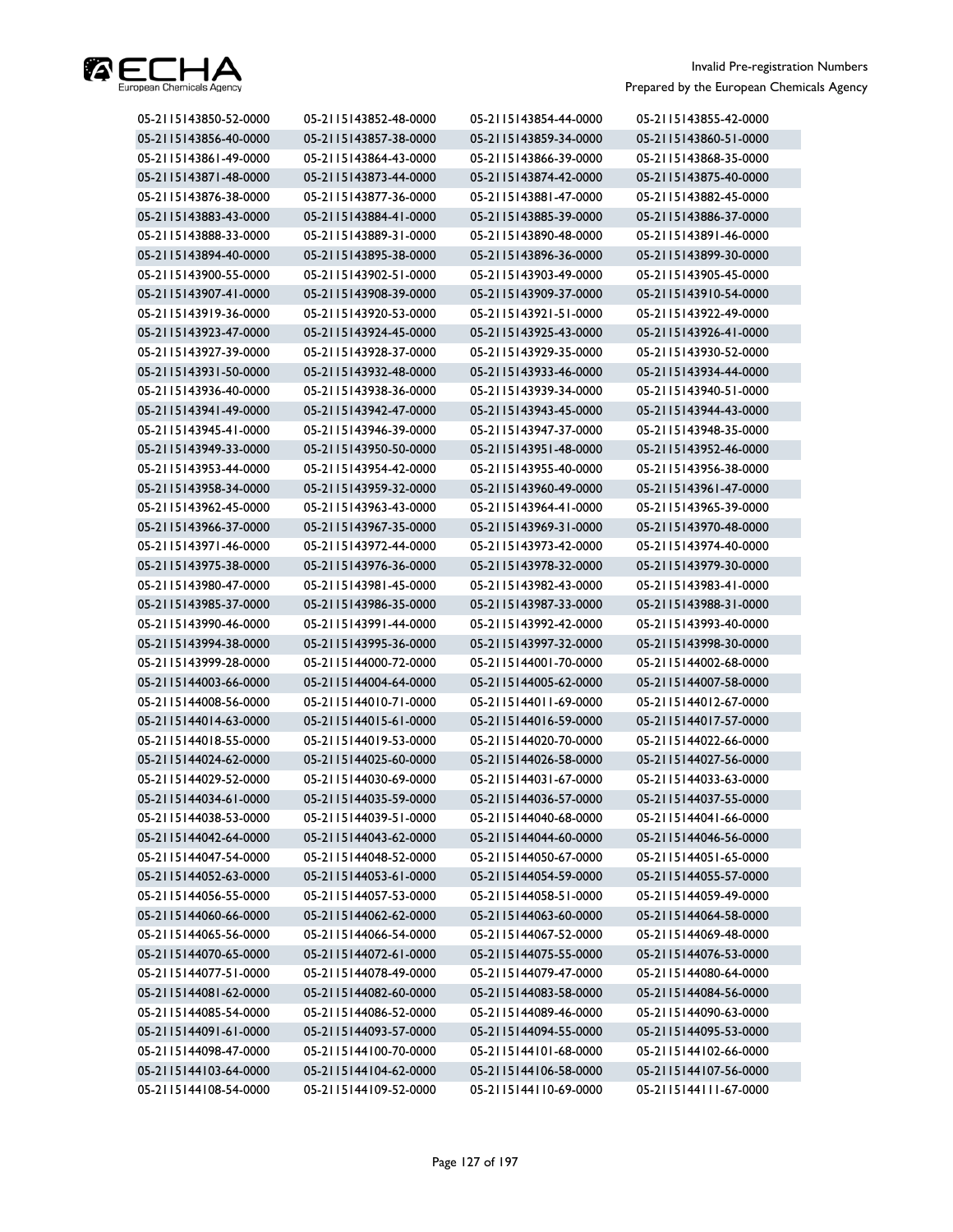

| 05-2115143850-52-0000 | 05-2115143852-48-0000 | 05-2115143854-44-0000 | 05-2115143855-42-0000 |
|-----------------------|-----------------------|-----------------------|-----------------------|
| 05-2115143856-40-0000 | 05-2115143857-38-0000 | 05-2115143859-34-0000 | 05-2115143860-51-0000 |
| 05-2115143861-49-0000 | 05-2115143864-43-0000 | 05-2115143866-39-0000 | 05-2115143868-35-0000 |
| 05-2115143871-48-0000 | 05-2115143873-44-0000 | 05-2115143874-42-0000 | 05-2115143875-40-0000 |
| 05-2115143876-38-0000 | 05-2115143877-36-0000 | 05-2115143881-47-0000 | 05-2115143882-45-0000 |
| 05-2115143883-43-0000 | 05-2115143884-41-0000 | 05-2115143885-39-0000 | 05-2115143886-37-0000 |
| 05-2115143888-33-0000 | 05-2115143889-31-0000 | 05-2115143890-48-0000 | 05-2115143891-46-0000 |
| 05-2115143894-40-0000 | 05-2115143895-38-0000 | 05-2115143896-36-0000 | 05-2115143899-30-0000 |
| 05-2115143900-55-0000 | 05-2115143902-51-0000 | 05-2115143903-49-0000 | 05-2115143905-45-0000 |
| 05-2115143907-41-0000 | 05-2115143908-39-0000 | 05-2115143909-37-0000 | 05-2115143910-54-0000 |
| 05-2115143919-36-0000 | 05-2115143920-53-0000 | 05-2115143921-51-0000 | 05-2115143922-49-0000 |
| 05-2115143923-47-0000 | 05-2115143924-45-0000 | 05-2115143925-43-0000 | 05-2115143926-41-0000 |
| 05-2115143927-39-0000 | 05-2115143928-37-0000 | 05-2115143929-35-0000 | 05-2115143930-52-0000 |
| 05-2115143931-50-0000 | 05-2115143932-48-0000 | 05-2115143933-46-0000 | 05-2115143934-44-0000 |
| 05-2115143936-40-0000 | 05-2115143938-36-0000 | 05-2115143939-34-0000 | 05-2115143940-51-0000 |
| 05-2115143941-49-0000 | 05-2115143942-47-0000 | 05-2115143943-45-0000 | 05-2115143944-43-0000 |
| 05-2115143945-41-0000 | 05-2115143946-39-0000 | 05-2115143947-37-0000 | 05-2115143948-35-0000 |
| 05-2115143949-33-0000 | 05-2115143950-50-0000 | 05-2115143951-48-0000 | 05-2115143952-46-0000 |
| 05-2115143953-44-0000 | 05-2115143954-42-0000 | 05-2115143955-40-0000 | 05-2115143956-38-0000 |
| 05-2115143958-34-0000 | 05-2115143959-32-0000 | 05-2115143960-49-0000 | 05-2115143961-47-0000 |
| 05-2115143962-45-0000 | 05-2115143963-43-0000 | 05-2115143964-41-0000 | 05-2115143965-39-0000 |
| 05-2115143966-37-0000 | 05-2115143967-35-0000 | 05-2115143969-31-0000 | 05-2115143970-48-0000 |
| 05-2115143971-46-0000 | 05-2115143972-44-0000 | 05-2115143973-42-0000 | 05-2115143974-40-0000 |
| 05-2115143975-38-0000 | 05-2115143976-36-0000 | 05-2115143978-32-0000 | 05-2115143979-30-0000 |
| 05-2115143980-47-0000 | 05-2115143981-45-0000 | 05-2115143982-43-0000 | 05-2115143983-41-0000 |
| 05-2115143985-37-0000 | 05-2115143986-35-0000 | 05-2115143987-33-0000 | 05-2115143988-31-0000 |
| 05-2115143990-46-0000 | 05-2115143991-44-0000 | 05-2115143992-42-0000 | 05-2115143993-40-0000 |
| 05-2115143994-38-0000 | 05-2115143995-36-0000 | 05-2115143997-32-0000 | 05-2115143998-30-0000 |
| 05-2115143999-28-0000 | 05-2115144000-72-0000 | 05-2115144001-70-0000 | 05-2115144002-68-0000 |
| 05-2115144003-66-0000 | 05-2115144004-64-0000 | 05-2115144005-62-0000 | 05-2115144007-58-0000 |
| 05-2115144008-56-0000 | 05-2115144010-71-0000 | 05-2115144011-69-0000 | 05-2115144012-67-0000 |
| 05-2115144014-63-0000 | 05-2115144015-61-0000 | 05-2115144016-59-0000 | 05-2115144017-57-0000 |
| 05-2115144018-55-0000 | 05-2115144019-53-0000 | 05-2115144020-70-0000 | 05-2115144022-66-0000 |
| 05-2115144024-62-0000 | 05-2115144025-60-0000 | 05-2115144026-58-0000 | 05-2115144027-56-0000 |
| 05-2115144029-52-0000 | 05-2115144030-69-0000 | 05-2115144031-67-0000 | 05-2115144033-63-0000 |
| 05-2115144034-61-0000 | 05-2115144035-59-0000 | 05-2115144036-57-0000 | 05-2115144037-55-0000 |
| 05-2115144038-53-0000 | 05-2115144039-51-0000 | 05-2115144040-68-0000 | 05-2115144041-66-0000 |
| 05-2115144042-64-0000 | 05-2115144043-62-0000 | 05-2115144044-60-0000 | 05-2115144046-56-0000 |
| 05-2115144047-54-0000 | 05-2115144048-52-0000 | 05-2115144050-67-0000 | 05-2115144051-65-0000 |
| 05-2115144052-63-0000 | 05-2115144053-61-0000 | 05-2115144054-59-0000 | 05-2115144055-57-0000 |
| 05-2115144056-55-0000 | 05-2115144057-53-0000 | 05-2115144058-51-0000 | 05-2115144059-49-0000 |
| 05-2115144060-66-0000 | 05-2115144062-62-0000 | 05-2115144063-60-0000 | 05-2115144064-58-0000 |
| 05-2115144065-56-0000 | 05-2115144066-54-0000 | 05-2115144067-52-0000 | 05-2115144069-48-0000 |
| 05-2115144070-65-0000 | 05-2115144072-61-0000 | 05-2115144075-55-0000 | 05-2115144076-53-0000 |
| 05-2115144077-51-0000 | 05-2115144078-49-0000 | 05-2115144079-47-0000 | 05-2115144080-64-0000 |
| 05-2115144081-62-0000 | 05-2115144082-60-0000 | 05-2115144083-58-0000 | 05-2115144084-56-0000 |
| 05-2115144085-54-0000 | 05-2115144086-52-0000 | 05-2115144089-46-0000 | 05-2115144090-63-0000 |
| 05-2115144091-61-0000 | 05-2115144093-57-0000 | 05-2115144094-55-0000 | 05-2115144095-53-0000 |
| 05-2115144098-47-0000 | 05-2115144100-70-0000 | 05-2115144101-68-0000 | 05-2115144102-66-0000 |
| 05-2115144103-64-0000 | 05-2115144104-62-0000 | 05-2115144106-58-0000 | 05-2115144107-56-0000 |
| 05-2115144108-54-0000 | 05-2115144109-52-0000 | 05-2115144110-69-0000 | 05-2115144111-67-0000 |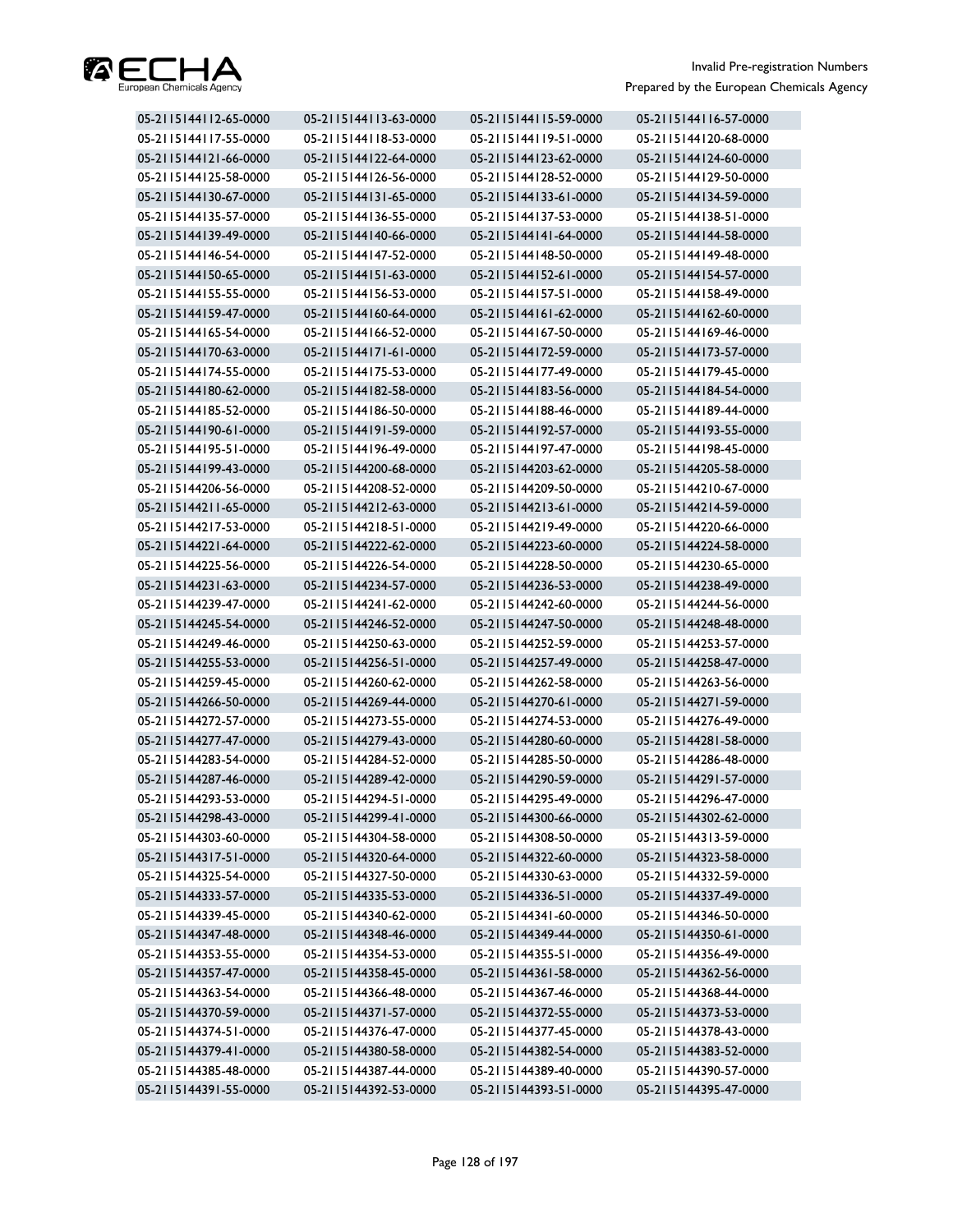

| 05-2115144112-65-0000 | 05-2115144113-63-0000 | 05-2115144115-59-0000 | 05-2115144116-57-0000 |
|-----------------------|-----------------------|-----------------------|-----------------------|
| 05-2115144117-55-0000 | 05-2115144118-53-0000 | 05-2115144119-51-0000 | 05-2115144120-68-0000 |
| 05-2115144121-66-0000 | 05-2115144122-64-0000 | 05-2115144123-62-0000 | 05-2115144124-60-0000 |
| 05-2115144125-58-0000 | 05-2115144126-56-0000 | 05-2115144128-52-0000 | 05-2115144129-50-0000 |
| 05-2115144130-67-0000 | 05-2115144131-65-0000 | 05-2115144133-61-0000 | 05-2115144134-59-0000 |
| 05-2115144135-57-0000 | 05-2115144136-55-0000 | 05-2115144137-53-0000 | 05-2115144138-51-0000 |
| 05-2115144139-49-0000 | 05-2115144140-66-0000 | 05-2115144141-64-0000 | 05-2115144144-58-0000 |
| 05-2115144146-54-0000 | 05-2115144147-52-0000 | 05-2115144148-50-0000 | 05-2115144149-48-0000 |
| 05-2115144150-65-0000 | 05-2115144151-63-0000 | 05-2115144152-61-0000 | 05-2115144154-57-0000 |
| 05-2115144155-55-0000 | 05-2115144156-53-0000 | 05-2115144157-51-0000 | 05-2115144158-49-0000 |
| 05-2115144159-47-0000 | 05-2115144160-64-0000 | 05-2115144161-62-0000 | 05-2115144162-60-0000 |
| 05-2115144165-54-0000 | 05-2115144166-52-0000 | 05-2115144167-50-0000 | 05-2115144169-46-0000 |
| 05-2115144170-63-0000 | 05-2115144171-61-0000 | 05-2115144172-59-0000 | 05-2115144173-57-0000 |
| 05-2115144174-55-0000 | 05-2115144175-53-0000 | 05-2115144177-49-0000 | 05-2115144179-45-0000 |
| 05-2115144180-62-0000 | 05-2115144182-58-0000 | 05-2115144183-56-0000 | 05-2115144184-54-0000 |
| 05-2115144185-52-0000 | 05-2115144186-50-0000 | 05-2115144188-46-0000 | 05-2115144189-44-0000 |
| 05-2115144190-61-0000 | 05-2115144191-59-0000 | 05-2115144192-57-0000 | 05-2115144193-55-0000 |
| 05-2115144195-51-0000 | 05-2115144196-49-0000 | 05-2115144197-47-0000 | 05-2115144198-45-0000 |
| 05-2115144199-43-0000 | 05-2115144200-68-0000 | 05-2115144203-62-0000 | 05-2115144205-58-0000 |
| 05-2115144206-56-0000 | 05-2115144208-52-0000 | 05-2115144209-50-0000 | 05-2115144210-67-0000 |
| 05-2115144211-65-0000 | 05-2115144212-63-0000 | 05-2115144213-61-0000 | 05-2115144214-59-0000 |
| 05-2115144217-53-0000 | 05-2115144218-51-0000 | 05-2115144219-49-0000 | 05-2115144220-66-0000 |
| 05-2115144221-64-0000 | 05-2115144222-62-0000 | 05-2115144223-60-0000 | 05-2115144224-58-0000 |
| 05-2115144225-56-0000 | 05-2115144226-54-0000 | 05-2115144228-50-0000 | 05-2115144230-65-0000 |
| 05-2115144231-63-0000 | 05-2115144234-57-0000 | 05-2115144236-53-0000 | 05-2115144238-49-0000 |
| 05-2115144239-47-0000 | 05-2115144241-62-0000 | 05-2115144242-60-0000 | 05-2115144244-56-0000 |
| 05-2115144245-54-0000 | 05-2115144246-52-0000 | 05-2115144247-50-0000 | 05-2115144248-48-0000 |
| 05-2115144249-46-0000 | 05-2115144250-63-0000 | 05-2115144252-59-0000 | 05-2115144253-57-0000 |
| 05-2115144255-53-0000 | 05-2115144256-51-0000 | 05-2115144257-49-0000 | 05-2115144258-47-0000 |
| 05-2115144259-45-0000 | 05-2115144260-62-0000 | 05-2115144262-58-0000 | 05-2115144263-56-0000 |
| 05-2115144266-50-0000 | 05-2115144269-44-0000 | 05-2115144270-61-0000 | 05-2115144271-59-0000 |
| 05-2115144272-57-0000 | 05-2115144273-55-0000 | 05-2115144274-53-0000 | 05-2115144276-49-0000 |
| 05-2115144277-47-0000 | 05-2115144279-43-0000 | 05-2115144280-60-0000 | 05-2115144281-58-0000 |
| 05-2115144283-54-0000 | 05-2115144284-52-0000 | 05-2115144285-50-0000 | 05-2115144286-48-0000 |
| 05-2115144287-46-0000 | 05-2115144289-42-0000 | 05-2115144290-59-0000 | 05-2115144291-57-0000 |
| 05-2115144293-53-0000 | 05-2115144294-51-0000 | 05-2115144295-49-0000 | 05-2115144296-47-0000 |
| 05-2115144298-43-0000 | 05-2115144299-41-0000 | 05-2115144300-66-0000 | 05-2115144302-62-0000 |
| 05-2115144303-60-0000 | 05-2115144304-58-0000 | 05-2115144308-50-0000 | 05-2115144313-59-0000 |
| 05-2115144317-51-0000 | 05-2115144320-64-0000 | 05-2115144322-60-0000 | 05-2115144323-58-0000 |
| 05-2115144325-54-0000 | 05-2115144327-50-0000 | 05-2115144330-63-0000 | 05-2115144332-59-0000 |
| 05-2115144333-57-0000 | 05-2115144335-53-0000 | 05-2115144336-51-0000 | 05-2115144337-49-0000 |
| 05-2115144339-45-0000 | 05-2115144340-62-0000 | 05-2115144341-60-0000 | 05-2115144346-50-0000 |
| 05-2115144347-48-0000 | 05-2115144348-46-0000 | 05-2115144349-44-0000 | 05-2115144350-61-0000 |
| 05-2115144353-55-0000 | 05-2115144354-53-0000 | 05-2115144355-51-0000 | 05-2115144356-49-0000 |
| 05-2115144357-47-0000 | 05-2115144358-45-0000 | 05-2115144361-58-0000 | 05-2115144362-56-0000 |
| 05-2115144363-54-0000 | 05-2115144366-48-0000 | 05-2115144367-46-0000 | 05-2115144368-44-0000 |
| 05-2115144370-59-0000 | 05-2115144371-57-0000 | 05-2115144372-55-0000 | 05-2115144373-53-0000 |
| 05-2115144374-51-0000 | 05-2115144376-47-0000 | 05-2115144377-45-0000 | 05-2115144378-43-0000 |
| 05-2115144379-41-0000 | 05-2115144380-58-0000 | 05-2115144382-54-0000 | 05-2115144383-52-0000 |
| 05-2115144385-48-0000 | 05-2115144387-44-0000 | 05-2115144389-40-0000 | 05-2115144390-57-0000 |
| 05-2115144391-55-0000 | 05-2115144392-53-0000 | 05-2115144393-51-0000 | 05-2115144395-47-0000 |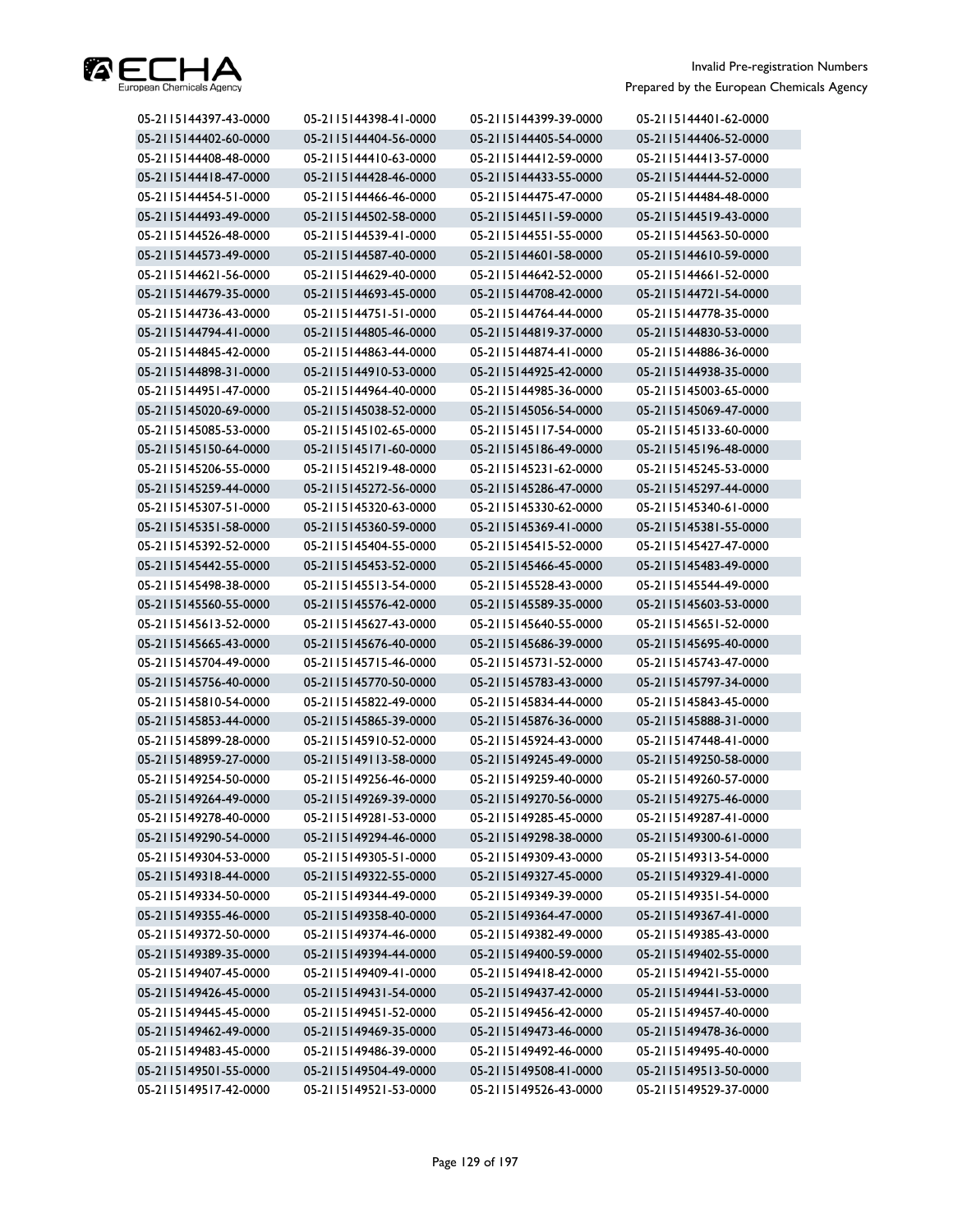

| 05-2115144397-43-0000 | 05-2115144398-41-0000 | 05-2115144399-39-0000 | 05-2115144401-62-0000 |
|-----------------------|-----------------------|-----------------------|-----------------------|
| 05-2115144402-60-0000 | 05-2115144404-56-0000 | 05-2115144405-54-0000 | 05-2115144406-52-0000 |
| 05-2115144408-48-0000 | 05-2115144410-63-0000 | 05-2115144412-59-0000 | 05-2115144413-57-0000 |
| 05-2115144418-47-0000 | 05-2115144428-46-0000 | 05-2115144433-55-0000 | 05-2115144444-52-0000 |
| 05-2115144454-51-0000 | 05-2115144466-46-0000 | 05-2115144475-47-0000 | 05-2115144484-48-0000 |
| 05-2115144493-49-0000 | 05-2115144502-58-0000 | 05-2115144511-59-0000 | 05-2115144519-43-0000 |
| 05-2115144526-48-0000 | 05-2115144539-41-0000 | 05-2115144551-55-0000 | 05-2115144563-50-0000 |
| 05-2115144573-49-0000 | 05-2115144587-40-0000 | 05-2115144601-58-0000 | 05-2115144610-59-0000 |
| 05-2115144621-56-0000 | 05-2115144629-40-0000 | 05-2115144642-52-0000 | 05-2115144661-52-0000 |
| 05-2115144679-35-0000 | 05-2115144693-45-0000 | 05-2115144708-42-0000 | 05-2115144721-54-0000 |
| 05-2115144736-43-0000 | 05-2115144751-51-0000 | 05-2115144764-44-0000 | 05-2115144778-35-0000 |
| 05-2115144794-41-0000 | 05-2115144805-46-0000 | 05-2115144819-37-0000 | 05-2115144830-53-0000 |
| 05-2115144845-42-0000 | 05-2115144863-44-0000 | 05-2115144874-41-0000 | 05-2115144886-36-0000 |
| 05-2115144898-31-0000 | 05-2115144910-53-0000 | 05-2115144925-42-0000 | 05-2115144938-35-0000 |
| 05-2115144951-47-0000 | 05-2115144964-40-0000 | 05-2115144985-36-0000 | 05-2115145003-65-0000 |
| 05-2115145020-69-0000 | 05-2115145038-52-0000 | 05-2115145056-54-0000 | 05-2115145069-47-0000 |
| 05-2115145085-53-0000 | 05-2115145102-65-0000 | 05-2115145117-54-0000 | 05-2115145133-60-0000 |
| 05-2115145150-64-0000 | 05-2115145171-60-0000 | 05-2115145186-49-0000 | 05-2115145196-48-0000 |
| 05-2115145206-55-0000 | 05-2115145219-48-0000 | 05-2115145231-62-0000 | 05-2115145245-53-0000 |
| 05-2115145259-44-0000 | 05-2115145272-56-0000 | 05-2115145286-47-0000 | 05-2115145297-44-0000 |
| 05-2115145307-51-0000 | 05-2115145320-63-0000 | 05-2115145330-62-0000 | 05-2115145340-61-0000 |
| 05-2115145351-58-0000 | 05-2115145360-59-0000 | 05-2115145369-41-0000 | 05-2115145381-55-0000 |
| 05-2115145392-52-0000 | 05-2115145404-55-0000 | 05-2115145415-52-0000 | 05-2115145427-47-0000 |
| 05-2115145442-55-0000 | 05-2115145453-52-0000 | 05-2115145466-45-0000 | 05-2115145483-49-0000 |
| 05-2115145498-38-0000 | 05-2115145513-54-0000 | 05-2115145528-43-0000 | 05-2115145544-49-0000 |
| 05-2115145560-55-0000 | 05-2115145576-42-0000 | 05-2115145589-35-0000 | 05-2115145603-53-0000 |
| 05-2115145613-52-0000 | 05-2115145627-43-0000 | 05-2115145640-55-0000 | 05-2115145651-52-0000 |
| 05-2115145665-43-0000 | 05-2115145676-40-0000 | 05-2115145686-39-0000 | 05-2115145695-40-0000 |
| 05-2115145704-49-0000 | 05-2115145715-46-0000 | 05-2115145731-52-0000 | 05-2115145743-47-0000 |
| 05-2115145756-40-0000 | 05-2115145770-50-0000 | 05-2115145783-43-0000 | 05-2115145797-34-0000 |
| 05-2115145810-54-0000 | 05-2115145822-49-0000 | 05-2115145834-44-0000 | 05-2115145843-45-0000 |
| 05-2115145853-44-0000 | 05-2115145865-39-0000 | 05-2115145876-36-0000 | 05-2115145888-31-0000 |
| 05-2115145899-28-0000 | 05-2115145910-52-0000 | 05-2115145924-43-0000 | 05-2115147448-41-0000 |
| 05-2115148959-27-0000 | 05-2115149113-58-0000 | 05-2115149245-49-0000 | 05-2115149250-58-0000 |
| 05-2115149254-50-0000 | 05-2115149256-46-0000 | 05-2115149259-40-0000 | 05-2115149260-57-0000 |
| 05-2115149264-49-0000 | 05-2115149269-39-0000 | 05-2115149270-56-0000 | 05-2115149275-46-0000 |
| 05-2115149278-40-0000 | 05-2115149281-53-0000 | 05-2115149285-45-0000 | 05-2115149287-41-0000 |
| 05-2115149290-54-0000 | 05-2115149294-46-0000 | 05-2115149298-38-0000 | 05-2115149300-61-0000 |
| 05-2115149304-53-0000 | 05-2115149305-51-0000 | 05-2115149309-43-0000 | 05-2115149313-54-0000 |
| 05-2115149318-44-0000 | 05-2115149322-55-0000 | 05-2115149327-45-0000 | 05-2115149329-41-0000 |
| 05-2115149334-50-0000 | 05-2115149344-49-0000 | 05-2115149349-39-0000 | 05-2115149351-54-0000 |
| 05-2115149355-46-0000 | 05-2115149358-40-0000 | 05-2115149364-47-0000 | 05-2115149367-41-0000 |
| 05-2115149372-50-0000 | 05-2115149374-46-0000 | 05-2115149382-49-0000 | 05-2115149385-43-0000 |
| 05-2115149389-35-0000 | 05-2115149394-44-0000 | 05-2115149400-59-0000 | 05-2115149402-55-0000 |
| 05-2115149407-45-0000 | 05-2115149409-41-0000 | 05-2115149418-42-0000 | 05-2115149421-55-0000 |
| 05-2115149426-45-0000 | 05-2115149431-54-0000 | 05-2115149437-42-0000 | 05-2115149441-53-0000 |
| 05-2115149445-45-0000 | 05-2115149451-52-0000 | 05-2115149456-42-0000 | 05-2115149457-40-0000 |
| 05-2115149462-49-0000 | 05-2115149469-35-0000 | 05-2115149473-46-0000 | 05-2115149478-36-0000 |
| 05-2115149483-45-0000 | 05-2115149486-39-0000 | 05-2115149492-46-0000 | 05-2115149495-40-0000 |
| 05-2115149501-55-0000 | 05-2115149504-49-0000 | 05-2115149508-41-0000 | 05-2115149513-50-0000 |
| 05-2115149517-42-0000 | 05-2115149521-53-0000 | 05-2115149526-43-0000 | 05-2115149529-37-0000 |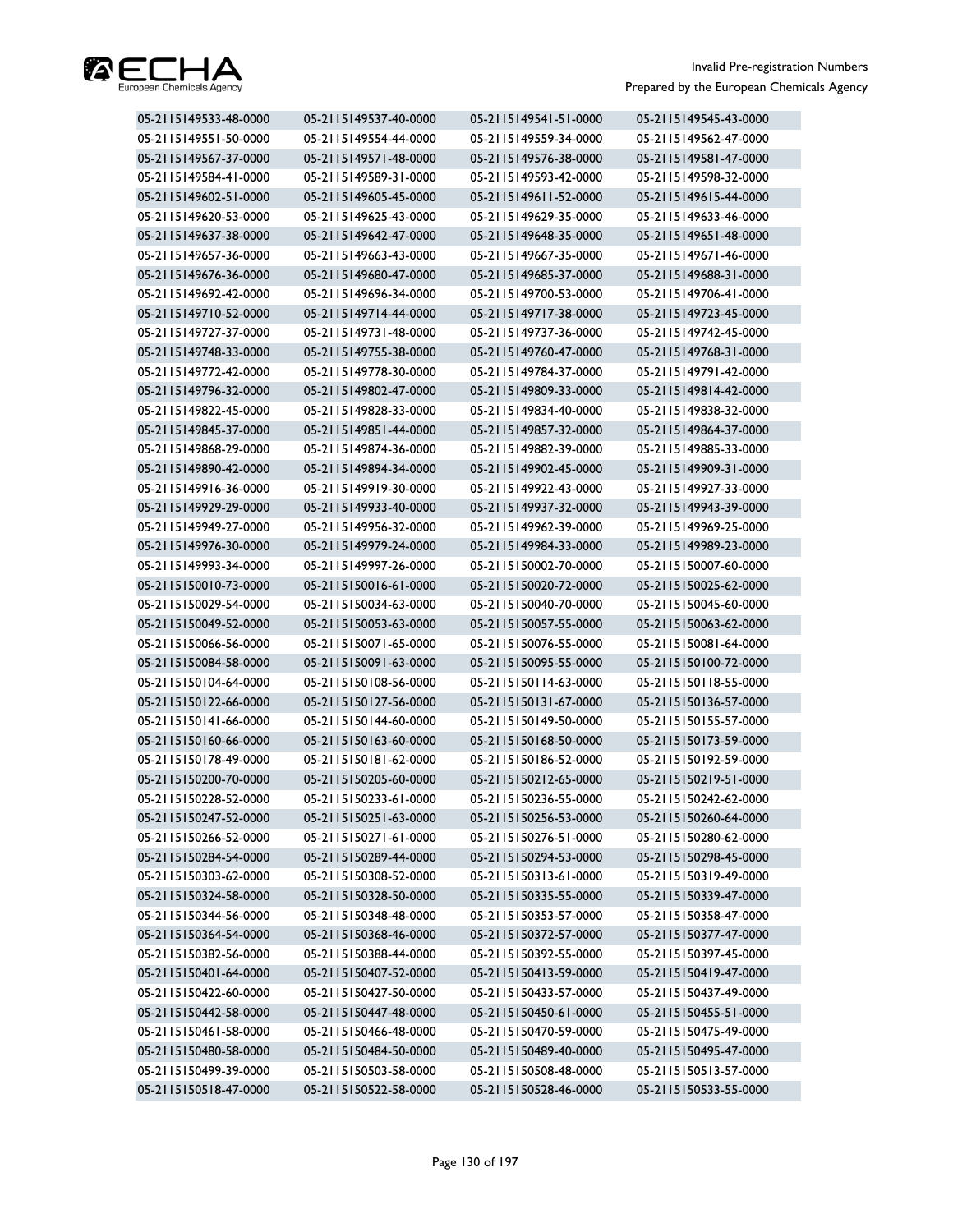

| 05-2115149533-48-0000 | 05-2115149537-40-0000 | 05-2115149541-51-0000 | 05-2115149545-43-0000 |
|-----------------------|-----------------------|-----------------------|-----------------------|
| 05-2115149551-50-0000 | 05-2115149554-44-0000 | 05-2115149559-34-0000 | 05-2115149562-47-0000 |
| 05-2115149567-37-0000 | 05-2115149571-48-0000 | 05-2115149576-38-0000 | 05-2115149581-47-0000 |
| 05-2115149584-41-0000 | 05-2115149589-31-0000 | 05-2115149593-42-0000 | 05-2115149598-32-0000 |
| 05-2115149602-51-0000 | 05-2115149605-45-0000 | 05-2115149611-52-0000 | 05-2115149615-44-0000 |
| 05-2115149620-53-0000 | 05-2115149625-43-0000 | 05-2115149629-35-0000 | 05-2115149633-46-0000 |
| 05-2115149637-38-0000 | 05-2115149642-47-0000 | 05-2115149648-35-0000 | 05-2115149651-48-0000 |
| 05-2115149657-36-0000 | 05-2115149663-43-0000 | 05-2115149667-35-0000 | 05-2115149671-46-0000 |
| 05-2115149676-36-0000 | 05-2115149680-47-0000 | 05-2115149685-37-0000 | 05-2115149688-31-0000 |
| 05-2115149692-42-0000 | 05-2115149696-34-0000 | 05-2115149700-53-0000 | 05-2115149706-41-0000 |
| 05-2115149710-52-0000 | 05-2115149714-44-0000 | 05-2115149717-38-0000 | 05-2115149723-45-0000 |
| 05-2115149727-37-0000 | 05-2115149731-48-0000 | 05-2115149737-36-0000 | 05-2115149742-45-0000 |
| 05-2115149748-33-0000 | 05-2115149755-38-0000 | 05-2115149760-47-0000 | 05-2115149768-31-0000 |
| 05-2115149772-42-0000 | 05-2115149778-30-0000 | 05-2115149784-37-0000 | 05-2115149791-42-0000 |
| 05-2115149796-32-0000 | 05-2115149802-47-0000 | 05-2115149809-33-0000 | 05-2115149814-42-0000 |
| 05-2115149822-45-0000 | 05-2115149828-33-0000 | 05-2115149834-40-0000 | 05-2115149838-32-0000 |
| 05-2115149845-37-0000 | 05-2115149851-44-0000 | 05-2115149857-32-0000 | 05-2115149864-37-0000 |
| 05-2115149868-29-0000 | 05-2115149874-36-0000 | 05-2115149882-39-0000 | 05-2115149885-33-0000 |
| 05-2115149890-42-0000 | 05-2115149894-34-0000 | 05-2115149902-45-0000 | 05-2115149909-31-0000 |
| 05-2115149916-36-0000 | 05-2115149919-30-0000 | 05-2115149922-43-0000 | 05-2115149927-33-0000 |
| 05-2115149929-29-0000 | 05-2115149933-40-0000 | 05-2115149937-32-0000 | 05-2115149943-39-0000 |
| 05-2115149949-27-0000 | 05-2115149956-32-0000 | 05-2115149962-39-0000 | 05-2115149969-25-0000 |
| 05-2115149976-30-0000 | 05-2115149979-24-0000 | 05-2115149984-33-0000 | 05-2115149989-23-0000 |
| 05-2115149993-34-0000 | 05-2115149997-26-0000 | 05-2115150002-70-0000 | 05-2115150007-60-0000 |
| 05-2115150010-73-0000 | 05-2115150016-61-0000 | 05-2115150020-72-0000 | 05-2115150025-62-0000 |
| 05-2115150029-54-0000 | 05-2115150034-63-0000 | 05-2115150040-70-0000 | 05-2115150045-60-0000 |
| 05-2115150049-52-0000 | 05-2115150053-63-0000 | 05-2115150057-55-0000 | 05-2115150063-62-0000 |
| 05-2115150066-56-0000 | 05-2115150071-65-0000 | 05-2115150076-55-0000 | 05-2115150081-64-0000 |
| 05-2115150084-58-0000 | 05-2115150091-63-0000 | 05-2115150095-55-0000 | 05-2115150100-72-0000 |
| 05-2115150104-64-0000 | 05-2115150108-56-0000 | 05-2115150114-63-0000 | 05-2115150118-55-0000 |
| 05-2115150122-66-0000 | 05-2115150127-56-0000 | 05-2115150131-67-0000 | 05-2115150136-57-0000 |
| 05-2115150141-66-0000 | 05-2115150144-60-0000 | 05-2115150149-50-0000 | 05-2115150155-57-0000 |
| 05-2115150160-66-0000 | 05-2115150163-60-0000 | 05-2115150168-50-0000 | 05-2115150173-59-0000 |
| 05-2115150178-49-0000 | 05-2115150181-62-0000 | 05-2115150186-52-0000 | 05-2115150192-59-0000 |
| 05-2115150200-70-0000 | 05-2115150205-60-0000 | 05-2115150212-65-0000 | 05-2115150219-51-0000 |
| 05-2115150228-52-0000 | 05-2115150233-61-0000 | 05-2115150236-55-0000 | 05-2115150242-62-0000 |
| 05-2115150247-52-0000 | 05-2115150251-63-0000 | 05-2115150256-53-0000 | 05-2115150260-64-0000 |
| 05-2115150266-52-0000 | 05-2115150271-61-0000 | 05-2115150276-51-0000 | 05-2115150280-62-0000 |
| 05-2115150284-54-0000 | 05-2115150289-44-0000 | 05-2115150294-53-0000 | 05-2115150298-45-0000 |
| 05-2115150303-62-0000 | 05-2115150308-52-0000 | 05-2115150313-61-0000 | 05-2115150319-49-0000 |
| 05-2115150324-58-0000 | 05-2115150328-50-0000 | 05-2115150335-55-0000 | 05-2115150339-47-0000 |
| 05-2115150344-56-0000 | 05-2115150348-48-0000 | 05-2115150353-57-0000 | 05-2115150358-47-0000 |
| 05-2115150364-54-0000 | 05-2115150368-46-0000 | 05-2115150372-57-0000 | 05-2115150377-47-0000 |
| 05-2115150382-56-0000 | 05-2115150388-44-0000 | 05-2115150392-55-0000 | 05-2115150397-45-0000 |
| 05-2115150401-64-0000 | 05-2115150407-52-0000 | 05-2115150413-59-0000 | 05-2115150419-47-0000 |
| 05-2115150422-60-0000 | 05-2115150427-50-0000 | 05-2115150433-57-0000 | 05-2115150437-49-0000 |
| 05-2115150442-58-0000 | 05-2115150447-48-0000 | 05-2115150450-61-0000 | 05-2115150455-51-0000 |
| 05-2115150461-58-0000 | 05-2115150466-48-0000 | 05-2115150470-59-0000 | 05-2115150475-49-0000 |
| 05-2115150480-58-0000 | 05-2115150484-50-0000 | 05-2115150489-40-0000 | 05-2115150495-47-0000 |
| 05-2115150499-39-0000 | 05-2115150503-58-0000 | 05-2115150508-48-0000 | 05-2115150513-57-0000 |
| 05-2115150518-47-0000 | 05-2115150522-58-0000 | 05-2115150528-46-0000 | 05-2115150533-55-0000 |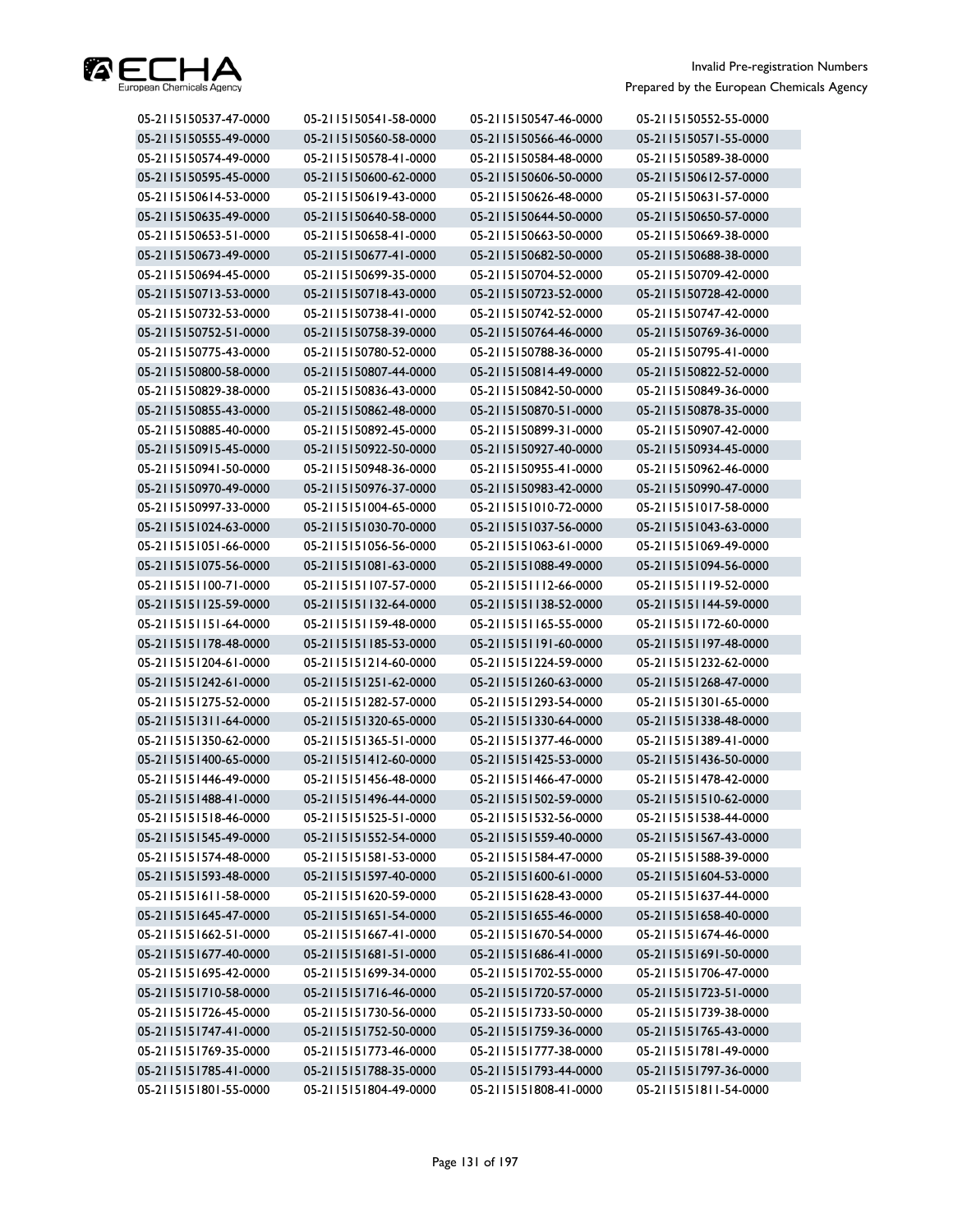

| 05-2115150537-47-0000 | 05-2115150541-58-0000 | 05-2115150547-46-0000 | 05-2115150552-55-0000 |
|-----------------------|-----------------------|-----------------------|-----------------------|
| 05-2115150555-49-0000 | 05-2115150560-58-0000 | 05-2115150566-46-0000 | 05-2115150571-55-0000 |
| 05-2115150574-49-0000 | 05-2115150578-41-0000 | 05-2115150584-48-0000 | 05-2115150589-38-0000 |
| 05-2115150595-45-0000 | 05-2115150600-62-0000 | 05-2115150606-50-0000 | 05-2115150612-57-0000 |
| 05-2115150614-53-0000 | 05-2115150619-43-0000 | 05-2115150626-48-0000 | 05-2115150631-57-0000 |
| 05-2115150635-49-0000 | 05-2115150640-58-0000 | 05-2115150644-50-0000 | 05-2115150650-57-0000 |
| 05-2115150653-51-0000 | 05-2115150658-41-0000 | 05-2115150663-50-0000 | 05-2115150669-38-0000 |
| 05-2115150673-49-0000 | 05-2115150677-41-0000 | 05-2115150682-50-0000 | 05-2115150688-38-0000 |
| 05-2115150694-45-0000 | 05-2115150699-35-0000 | 05-2115150704-52-0000 | 05-2115150709-42-0000 |
| 05-2115150713-53-0000 | 05-2115150718-43-0000 | 05-2115150723-52-0000 | 05-2115150728-42-0000 |
| 05-2115150732-53-0000 | 05-2115150738-41-0000 | 05-2115150742-52-0000 | 05-2115150747-42-0000 |
| 05-2115150752-51-0000 | 05-2115150758-39-0000 | 05-2115150764-46-0000 | 05-2115150769-36-0000 |
| 05-2115150775-43-0000 | 05-2115150780-52-0000 | 05-2115150788-36-0000 | 05-2115150795-41-0000 |
| 05-2115150800-58-0000 | 05-2115150807-44-0000 | 05-2115150814-49-0000 | 05-2115150822-52-0000 |
| 05-2115150829-38-0000 | 05-2115150836-43-0000 | 05-2115150842-50-0000 | 05-2115150849-36-0000 |
| 05-2115150855-43-0000 | 05-2115150862-48-0000 | 05-2115150870-51-0000 | 05-2115150878-35-0000 |
| 05-2115150885-40-0000 | 05-2115150892-45-0000 | 05-2115150899-31-0000 | 05-2115150907-42-0000 |
| 05-2115150915-45-0000 | 05-2115150922-50-0000 | 05-2115150927-40-0000 | 05-2115150934-45-0000 |
| 05-2115150941-50-0000 | 05-2115150948-36-0000 | 05-2115150955-41-0000 | 05-2115150962-46-0000 |
| 05-2115150970-49-0000 | 05-2115150976-37-0000 | 05-2115150983-42-0000 | 05-2115150990-47-0000 |
| 05-2115150997-33-0000 | 05-2115151004-65-0000 | 05-2115151010-72-0000 | 05-2115151017-58-0000 |
| 05-2115151024-63-0000 | 05-2115151030-70-0000 | 05-2115151037-56-0000 | 05-2115151043-63-0000 |
| 05-2115151051-66-0000 | 05-2115151056-56-0000 | 05-2115151063-61-0000 | 05-2115151069-49-0000 |
| 05-2115151075-56-0000 | 05-2115151081-63-0000 | 05-2115151088-49-0000 | 05-2115151094-56-0000 |
| 05-2115151100-71-0000 | 05-2115151107-57-0000 | 05-2115151112-66-0000 | 05-2115151119-52-0000 |
| 05-2115151125-59-0000 | 05-2115151132-64-0000 | 05-2115151138-52-0000 | 05-2115151144-59-0000 |
| 05-2115151151-64-0000 | 05-2115151159-48-0000 | 05-2115151165-55-0000 | 05-2115151172-60-0000 |
| 05-2115151178-48-0000 | 05-2115151185-53-0000 | 05-2115151191-60-0000 | 05-2115151197-48-0000 |
| 05-2115151204-61-0000 | 05-2115151214-60-0000 | 05-2115151224-59-0000 | 05-2115151232-62-0000 |
| 05-2115151242-61-0000 | 05-2115151251-62-0000 | 05-2115151260-63-0000 | 05-2115151268-47-0000 |
| 05-2115151275-52-0000 | 05-2115151282-57-0000 | 05-2115151293-54-0000 | 05-2115151301-65-0000 |
| 05-2115151311-64-0000 | 05-2115151320-65-0000 | 05-2115151330-64-0000 | 05-2115151338-48-0000 |
| 05-2115151350-62-0000 | 05-2115151365-51-0000 | 05-2115151377-46-0000 | 05-2115151389-41-0000 |
| 05-2115151400-65-0000 | 05-2115151412-60-0000 | 05-2115151425-53-0000 | 05-2115151436-50-0000 |
| 05-2115151446-49-0000 | 05-2115151456-48-0000 | 05-2115151466-47-0000 | 05-2115151478-42-0000 |
| 05-2115151488-41-0000 | 05-2115151496-44-0000 | 05-2115151502-59-0000 | 05-2115151510-62-0000 |
| 05-2115151518-46-0000 | 05-2115151525-51-0000 | 05-2115151532-56-0000 | 05-2115151538-44-0000 |
| 05-2115151545-49-0000 | 05-2115151552-54-0000 | 05-2115151559-40-0000 | 05-2115151567-43-0000 |
| 05-2115151574-48-0000 | 05-2115151581-53-0000 | 05-2115151584-47-0000 | 05-2115151588-39-0000 |
| 05-2115151593-48-0000 | 05-2115151597-40-0000 | 05-2115151600-61-0000 | 05-2115151604-53-0000 |
| 05-2115151611-58-0000 | 05-2115151620-59-0000 | 05-2115151628-43-0000 | 05-2115151637-44-0000 |
| 05-2115151645-47-0000 | 05-2115151651-54-0000 | 05-2115151655-46-0000 | 05-2115151658-40-0000 |
| 05-2115151662-51-0000 | 05-2115151667-41-0000 | 05-2115151670-54-0000 | 05-2115151674-46-0000 |
| 05-2115151677-40-0000 | 05-2115151681-51-0000 | 05-2115151686-41-0000 | 05-2115151691-50-0000 |
| 05-2115151695-42-0000 | 05-2115151699-34-0000 | 05-2115151702-55-0000 | 05-2115151706-47-0000 |
| 05-2115151710-58-0000 | 05-2115151716-46-0000 | 05-2115151720-57-0000 | 05-2115151723-51-0000 |
| 05-2115151726-45-0000 | 05-2115151730-56-0000 | 05-2115151733-50-0000 | 05-2115151739-38-0000 |
| 05-2115151747-41-0000 | 05-2115151752-50-0000 | 05-2115151759-36-0000 | 05-2115151765-43-0000 |
| 05-2115151769-35-0000 | 05-2115151773-46-0000 | 05-2115151777-38-0000 | 05-2115151781-49-0000 |
| 05-2115151785-41-0000 | 05-2115151788-35-0000 | 05-2115151793-44-0000 | 05-2115151797-36-0000 |
| 05-2115151801-55-0000 | 05-2115151804-49-0000 | 05-2115151808-41-0000 | 05-2115151811-54-0000 |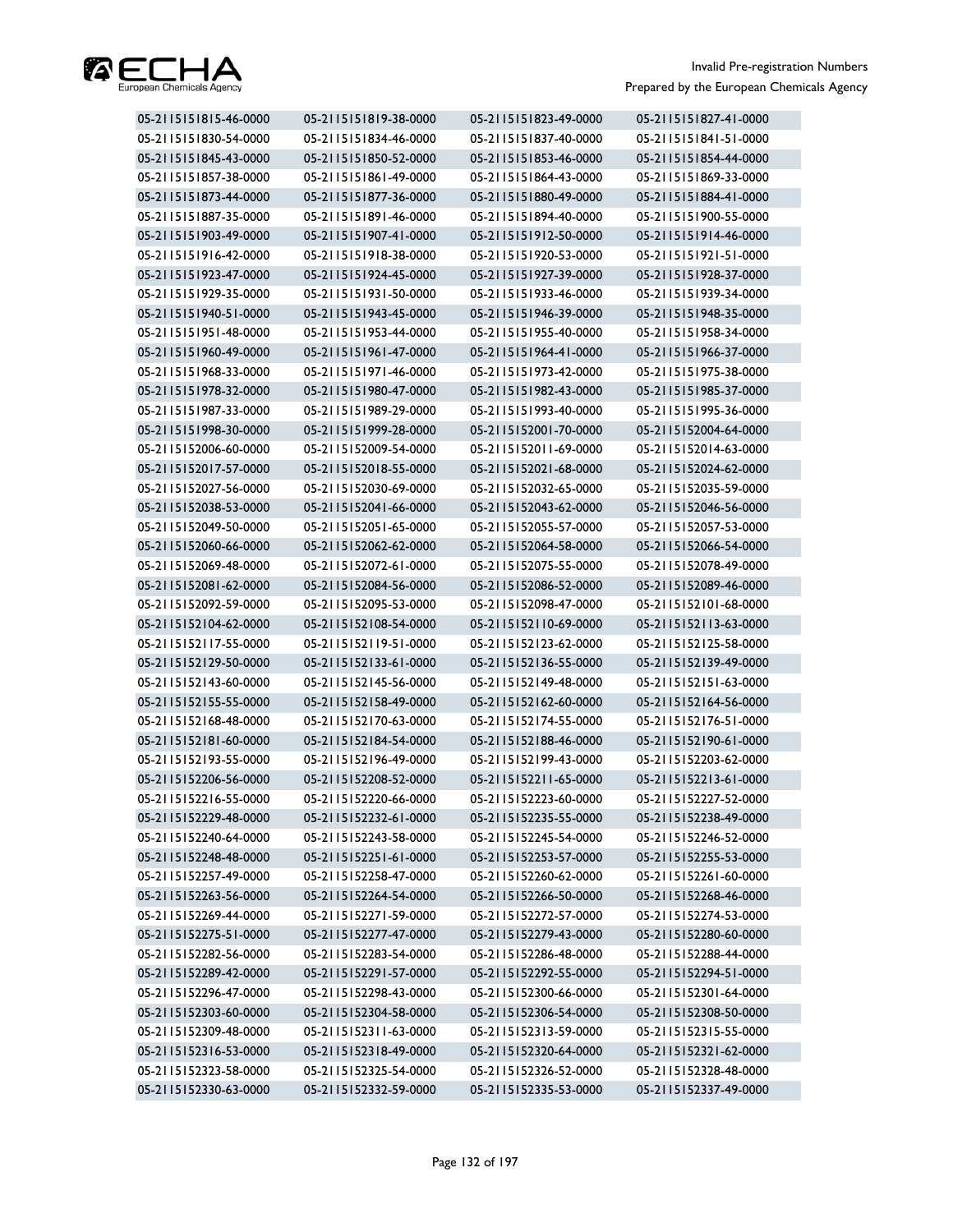

| 05-2115151815-46-0000 | 05-2115151819-38-0000 | 05-2115151823-49-0000 | 05-2115151827-41-0000 |
|-----------------------|-----------------------|-----------------------|-----------------------|
| 05-2115151830-54-0000 | 05-2115151834-46-0000 | 05-2115151837-40-0000 | 05-2115151841-51-0000 |
| 05-2115151845-43-0000 | 05-2115151850-52-0000 | 05-2115151853-46-0000 | 05-2115151854-44-0000 |
| 05-2115151857-38-0000 | 05-2115151861-49-0000 | 05-2115151864-43-0000 | 05-2115151869-33-0000 |
| 05-2115151873-44-0000 | 05-2115151877-36-0000 | 05-2115151880-49-0000 | 05-2115151884-41-0000 |
| 05-2115151887-35-0000 | 05-2115151891-46-0000 | 05-2115151894-40-0000 | 05-2115151900-55-0000 |
| 05-2115151903-49-0000 | 05-2115151907-41-0000 | 05-2115151912-50-0000 | 05-2115151914-46-0000 |
| 05-2115151916-42-0000 | 05-2115151918-38-0000 | 05-2115151920-53-0000 | 05-2115151921-51-0000 |
| 05-2115151923-47-0000 | 05-2115151924-45-0000 | 05-2115151927-39-0000 | 05-2115151928-37-0000 |
| 05-2115151929-35-0000 | 05-2115151931-50-0000 | 05-2115151933-46-0000 | 05-2115151939-34-0000 |
| 05-2115151940-51-0000 | 05-2115151943-45-0000 | 05-2115151946-39-0000 | 05-2115151948-35-0000 |
| 05-2115151951-48-0000 | 05-2115151953-44-0000 | 05-2115151955-40-0000 | 05-2115151958-34-0000 |
| 05-2115151960-49-0000 | 05-2115151961-47-0000 | 05-2115151964-41-0000 | 05-2115151966-37-0000 |
| 05-2115151968-33-0000 | 05-2115151971-46-0000 | 05-2115151973-42-0000 | 05-2115151975-38-0000 |
| 05-2115151978-32-0000 | 05-2115151980-47-0000 | 05-2115151982-43-0000 | 05-2115151985-37-0000 |
| 05-2115151987-33-0000 | 05-2115151989-29-0000 | 05-2115151993-40-0000 | 05-2115151995-36-0000 |
| 05-2115151998-30-0000 | 05-2115151999-28-0000 | 05-2115152001-70-0000 | 05-2115152004-64-0000 |
| 05-2115152006-60-0000 | 05-2115152009-54-0000 | 05-2115152011-69-0000 | 05-2115152014-63-0000 |
| 05-2115152017-57-0000 | 05-2115152018-55-0000 | 05-2115152021-68-0000 | 05-2115152024-62-0000 |
| 05-2115152027-56-0000 | 05-2115152030-69-0000 | 05-2115152032-65-0000 | 05-2115152035-59-0000 |
| 05-2115152038-53-0000 | 05-2115152041-66-0000 | 05-2115152043-62-0000 | 05-2115152046-56-0000 |
| 05-2115152049-50-0000 | 05-2115152051-65-0000 | 05-2115152055-57-0000 | 05-2115152057-53-0000 |
| 05-2115152060-66-0000 | 05-2115152062-62-0000 | 05-2115152064-58-0000 | 05-2115152066-54-0000 |
| 05-2115152069-48-0000 | 05-2115152072-61-0000 | 05-2115152075-55-0000 | 05-2115152078-49-0000 |
| 05-2115152081-62-0000 | 05-2115152084-56-0000 | 05-2115152086-52-0000 | 05-2115152089-46-0000 |
| 05-2115152092-59-0000 | 05-2115152095-53-0000 | 05-2115152098-47-0000 | 05-2115152101-68-0000 |
| 05-2115152104-62-0000 | 05-2115152108-54-0000 | 05-2115152110-69-0000 | 05-2115152113-63-0000 |
| 05-2115152117-55-0000 | 05-2115152119-51-0000 | 05-2115152123-62-0000 | 05-2115152125-58-0000 |
| 05-2115152129-50-0000 | 05-2115152133-61-0000 | 05-2115152136-55-0000 | 05-2115152139-49-0000 |
| 05-2115152143-60-0000 | 05-2115152145-56-0000 | 05-2115152149-48-0000 | 05-2115152151-63-0000 |
| 05-2115152155-55-0000 | 05-2115152158-49-0000 | 05-2115152162-60-0000 | 05-2115152164-56-0000 |
| 05-2115152168-48-0000 | 05-2115152170-63-0000 | 05-2115152174-55-0000 | 05-2115152176-51-0000 |
| 05-2115152181-60-0000 | 05-2115152184-54-0000 | 05-2115152188-46-0000 | 05-2115152190-61-0000 |
| 05-2115152193-55-0000 | 05-2115152196-49-0000 | 05-2115152199-43-0000 | 05-2115152203-62-0000 |
| 05-2115152206-56-0000 | 05-2115152208-52-0000 | 05-2115152211-65-0000 | 05-2115152213-61-0000 |
| 05-2115152216-55-0000 | 05-2115152220-66-0000 | 05-2115152223-60-0000 | 05-2115152227-52-0000 |
| 05-2115152229-48-0000 | 05-2115152232-61-0000 | 05-2115152235-55-0000 | 05-2115152238-49-0000 |
| 05-2115152240-64-0000 | 05-2115152243-58-0000 | 05-2115152245-54-0000 | 05-2115152246-52-0000 |
| 05-2115152248-48-0000 | 05-2115152251-61-0000 | 05-2115152253-57-0000 | 05-2115152255-53-0000 |
| 05-2115152257-49-0000 | 05-2115152258-47-0000 | 05-2115152260-62-0000 | 05-2115152261-60-0000 |
| 05-2115152263-56-0000 | 05-2115152264-54-0000 | 05-2115152266-50-0000 | 05-2115152268-46-0000 |
| 05-2115152269-44-0000 | 05-2115152271-59-0000 | 05-2115152272-57-0000 | 05-2115152274-53-0000 |
| 05-2115152275-51-0000 | 05-2115152277-47-0000 | 05-2115152279-43-0000 | 05-2115152280-60-0000 |
| 05-2115152282-56-0000 | 05-2115152283-54-0000 | 05-2115152286-48-0000 | 05-2115152288-44-0000 |
| 05-2115152289-42-0000 | 05-2115152291-57-0000 | 05-2115152292-55-0000 | 05-2115152294-51-0000 |
| 05-2115152296-47-0000 | 05-2115152298-43-0000 | 05-2115152300-66-0000 | 05-2115152301-64-0000 |
| 05-2115152303-60-0000 | 05-2115152304-58-0000 | 05-2115152306-54-0000 | 05-2115152308-50-0000 |
| 05-2115152309-48-0000 | 05-2115152311-63-0000 | 05-2115152313-59-0000 | 05-2115152315-55-0000 |
| 05-2115152316-53-0000 | 05-2115152318-49-0000 | 05-2115152320-64-0000 | 05-2115152321-62-0000 |
| 05-2115152323-58-0000 | 05-2115152325-54-0000 | 05-2115152326-52-0000 | 05-2115152328-48-0000 |
| 05-2115152330-63-0000 | 05-2115152332-59-0000 | 05-2115152335-53-0000 | 05-2115152337-49-0000 |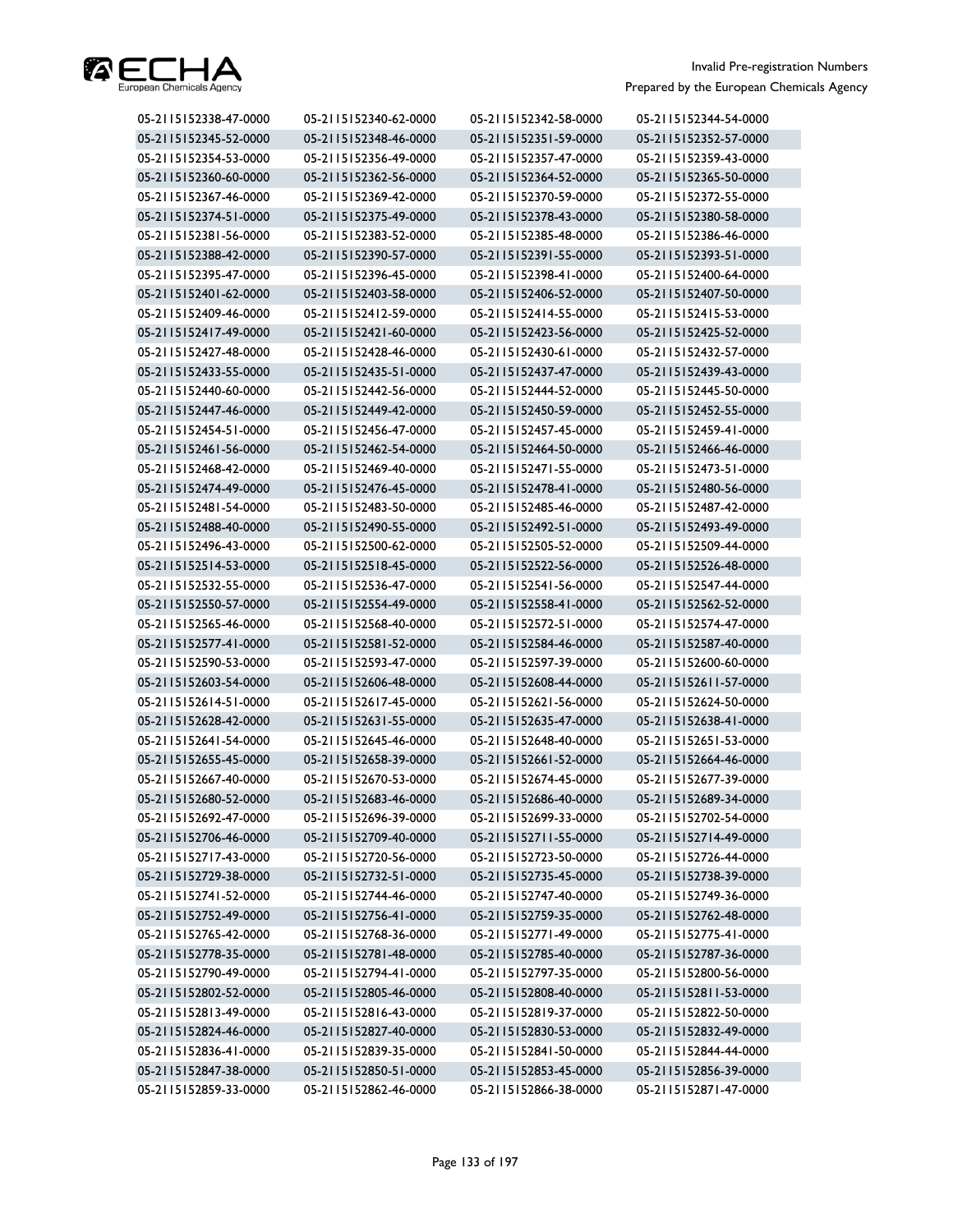

| 05-2115152338-47-0000 | 05-2115152340-62-0000 | 05-2115152342-58-0000 | 05-2115152344-54-0000 |
|-----------------------|-----------------------|-----------------------|-----------------------|
| 05-2115152345-52-0000 | 05-2115152348-46-0000 | 05-2115152351-59-0000 | 05-2115152352-57-0000 |
| 05-2115152354-53-0000 | 05-2115152356-49-0000 | 05-2115152357-47-0000 | 05-2115152359-43-0000 |
| 05-2115152360-60-0000 | 05-2115152362-56-0000 | 05-2115152364-52-0000 | 05-2115152365-50-0000 |
| 05-2115152367-46-0000 | 05-2115152369-42-0000 | 05-2115152370-59-0000 | 05-2115152372-55-0000 |
| 05-2115152374-51-0000 | 05-2115152375-49-0000 | 05-2115152378-43-0000 | 05-2115152380-58-0000 |
| 05-2115152381-56-0000 | 05-2115152383-52-0000 | 05-2115152385-48-0000 | 05-2115152386-46-0000 |
| 05-2115152388-42-0000 | 05-2115152390-57-0000 | 05-2115152391-55-0000 | 05-2115152393-51-0000 |
| 05-2115152395-47-0000 | 05-2115152396-45-0000 | 05-2115152398-41-0000 | 05-2115152400-64-0000 |
| 05-2115152401-62-0000 | 05-2115152403-58-0000 | 05-2115152406-52-0000 | 05-2115152407-50-0000 |
| 05-2115152409-46-0000 | 05-2115152412-59-0000 | 05-2115152414-55-0000 | 05-2115152415-53-0000 |
| 05-2115152417-49-0000 | 05-2115152421-60-0000 | 05-2115152423-56-0000 | 05-2115152425-52-0000 |
| 05-2115152427-48-0000 | 05-2115152428-46-0000 | 05-2115152430-61-0000 | 05-2115152432-57-0000 |
| 05-2115152433-55-0000 | 05-2115152435-51-0000 | 05-2115152437-47-0000 | 05-2115152439-43-0000 |
| 05-2115152440-60-0000 | 05-2115152442-56-0000 | 05-2115152444-52-0000 | 05-2115152445-50-0000 |
| 05-2115152447-46-0000 | 05-2115152449-42-0000 | 05-2115152450-59-0000 | 05-2115152452-55-0000 |
| 05-2115152454-51-0000 | 05-2115152456-47-0000 | 05-2115152457-45-0000 | 05-2115152459-41-0000 |
| 05-2115152461-56-0000 | 05-2115152462-54-0000 | 05-2115152464-50-0000 | 05-2115152466-46-0000 |
| 05-2115152468-42-0000 | 05-2115152469-40-0000 | 05-2115152471-55-0000 | 05-2115152473-51-0000 |
| 05-2115152474-49-0000 | 05-2115152476-45-0000 | 05-2115152478-41-0000 | 05-2115152480-56-0000 |
| 05-2115152481-54-0000 | 05-2115152483-50-0000 | 05-2115152485-46-0000 | 05-2115152487-42-0000 |
| 05-2115152488-40-0000 | 05-2115152490-55-0000 | 05-2115152492-51-0000 | 05-2115152493-49-0000 |
| 05-2115152496-43-0000 | 05-2115152500-62-0000 | 05-2115152505-52-0000 | 05-2115152509-44-0000 |
| 05-2115152514-53-0000 | 05-2115152518-45-0000 | 05-2115152522-56-0000 | 05-2115152526-48-0000 |
| 05-2115152532-55-0000 | 05-2115152536-47-0000 | 05-2115152541-56-0000 | 05-2115152547-44-0000 |
| 05-2115152550-57-0000 | 05-2115152554-49-0000 | 05-2115152558-41-0000 | 05-2115152562-52-0000 |
| 05-2115152565-46-0000 | 05-2115152568-40-0000 | 05-2115152572-51-0000 | 05-2115152574-47-0000 |
| 05-2115152577-41-0000 | 05-2115152581-52-0000 | 05-2115152584-46-0000 | 05-2115152587-40-0000 |
| 05-2115152590-53-0000 | 05-2115152593-47-0000 | 05-2115152597-39-0000 | 05-2115152600-60-0000 |
| 05-2115152603-54-0000 | 05-2115152606-48-0000 | 05-2115152608-44-0000 | 05-2115152611-57-0000 |
| 05-2115152614-51-0000 | 05-2115152617-45-0000 | 05-2115152621-56-0000 | 05-2115152624-50-0000 |
| 05-2115152628-42-0000 | 05-2115152631-55-0000 | 05-2115152635-47-0000 | 05-2115152638-41-0000 |
| 05-2115152641-54-0000 | 05-2115152645-46-0000 | 05-2115152648-40-0000 | 05-2115152651-53-0000 |
| 05-2115152655-45-0000 | 05-2115152658-39-0000 | 05-2115152661-52-0000 | 05-2115152664-46-0000 |
| 05-2115152667-40-0000 | 05-2115152670-53-0000 | 05-2115152674-45-0000 | 05-2115152677-39-0000 |
| 05-2115152680-52-0000 | 05-2115152683-46-0000 | 05-2115152686-40-0000 | 05-2115152689-34-0000 |
| 05-2115152692-47-0000 | 05-2115152696-39-0000 | 05-2115152699-33-0000 | 05-2115152702-54-0000 |
| 05-2115152706-46-0000 | 05-2115152709-40-0000 | 05-2115152711-55-0000 | 05-2115152714-49-0000 |
| 05-2115152717-43-0000 | 05-2115152720-56-0000 | 05-2115152723-50-0000 | 05-2115152726-44-0000 |
| 05-2115152729-38-0000 | 05-2115152732-51-0000 | 05-2115152735-45-0000 | 05-2115152738-39-0000 |
| 05-2115152741-52-0000 | 05-2115152744-46-0000 | 05-2115152747-40-0000 | 05-2115152749-36-0000 |
| 05-2115152752-49-0000 | 05-2115152756-41-0000 | 05-2115152759-35-0000 | 05-2115152762-48-0000 |
| 05-2115152765-42-0000 | 05-2115152768-36-0000 | 05-2115152771-49-0000 | 05-2115152775-41-0000 |
| 05-2115152778-35-0000 | 05-2115152781-48-0000 | 05-2115152785-40-0000 | 05-2115152787-36-0000 |
| 05-2115152790-49-0000 | 05-2115152794-41-0000 | 05-2115152797-35-0000 | 05-2115152800-56-0000 |
| 05-2115152802-52-0000 | 05-2115152805-46-0000 | 05-2115152808-40-0000 | 05-2115152811-53-0000 |
| 05-2115152813-49-0000 | 05-2115152816-43-0000 | 05-2115152819-37-0000 | 05-2115152822-50-0000 |
| 05-2115152824-46-0000 | 05-2115152827-40-0000 | 05-2115152830-53-0000 | 05-2115152832-49-0000 |
| 05-2115152836-41-0000 | 05-2115152839-35-0000 | 05-2115152841-50-0000 | 05-2115152844-44-0000 |
| 05-2115152847-38-0000 | 05-2115152850-51-0000 | 05-2115152853-45-0000 | 05-2115152856-39-0000 |
| 05-2115152859-33-0000 | 05-2115152862-46-0000 | 05-2115152866-38-0000 | 05-2115152871-47-0000 |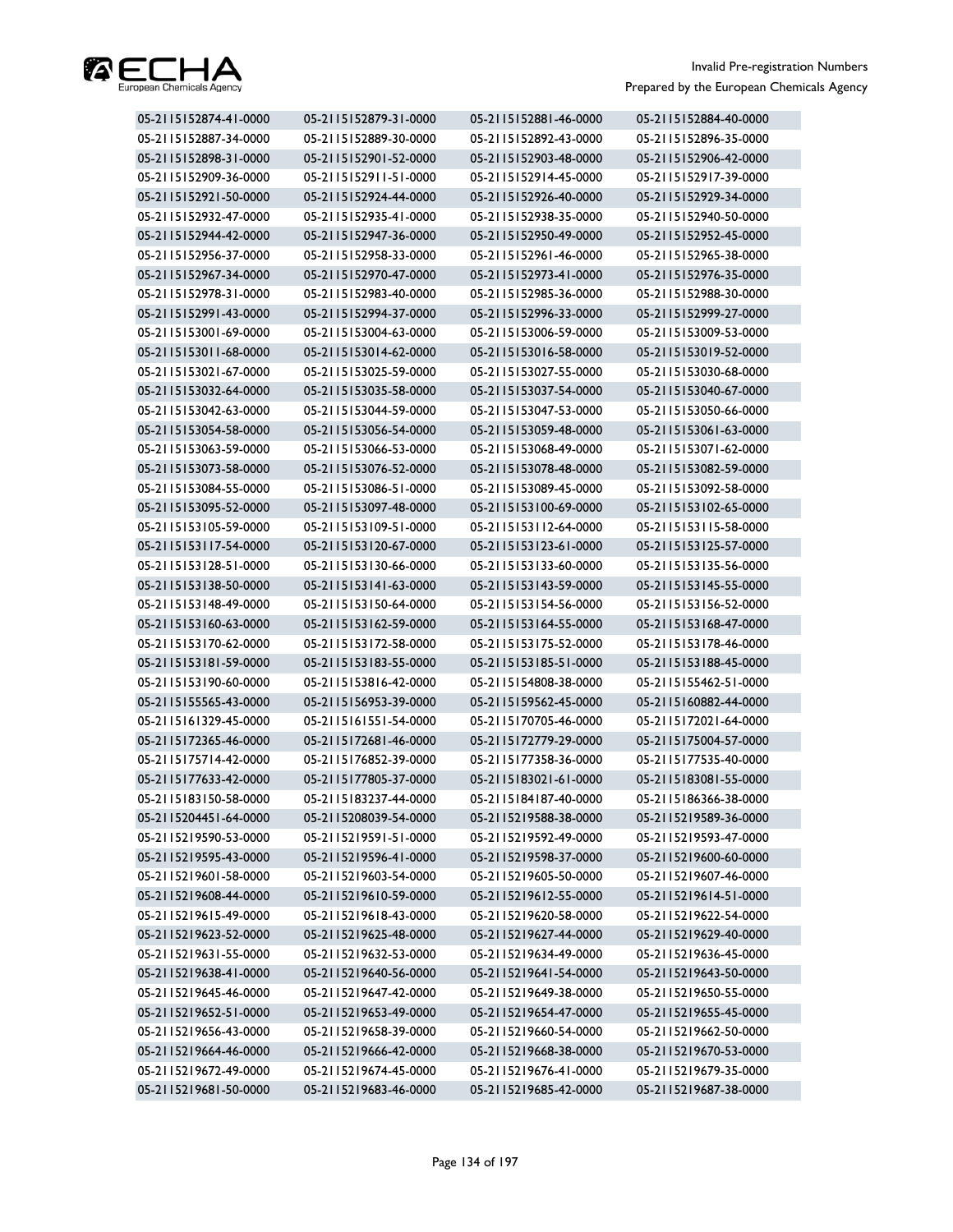

| 05-2115152874-41-0000 | 05-2115152879-31-0000 | 05-2115152881-46-0000 | 05-2115152884-40-0000 |
|-----------------------|-----------------------|-----------------------|-----------------------|
| 05-2115152887-34-0000 | 05-2115152889-30-0000 | 05-2115152892-43-0000 | 05-2115152896-35-0000 |
| 05-2115152898-31-0000 | 05-2115152901-52-0000 | 05-2115152903-48-0000 | 05-2115152906-42-0000 |
| 05-2115152909-36-0000 | 05-2115152911-51-0000 | 05-2115152914-45-0000 | 05-2115152917-39-0000 |
| 05-2115152921-50-0000 | 05-2115152924-44-0000 | 05-2115152926-40-0000 | 05-2115152929-34-0000 |
| 05-2115152932-47-0000 | 05-2115152935-41-0000 | 05-2115152938-35-0000 | 05-2115152940-50-0000 |
| 05-2115152944-42-0000 | 05-2115152947-36-0000 | 05-2115152950-49-0000 | 05-2115152952-45-0000 |
| 05-2115152956-37-0000 | 05-2115152958-33-0000 | 05-2115152961-46-0000 | 05-2115152965-38-0000 |
| 05-2115152967-34-0000 | 05-2115152970-47-0000 | 05-2115152973-41-0000 | 05-2115152976-35-0000 |
| 05-2115152978-31-0000 | 05-2115152983-40-0000 | 05-2115152985-36-0000 | 05-2115152988-30-0000 |
| 05-2115152991-43-0000 | 05-2115152994-37-0000 | 05-2115152996-33-0000 | 05-2115152999-27-0000 |
| 05-2115153001-69-0000 | 05-2115153004-63-0000 | 05-2115153006-59-0000 | 05-2115153009-53-0000 |
| 05-2115153011-68-0000 | 05-2115153014-62-0000 | 05-2115153016-58-0000 | 05-2115153019-52-0000 |
| 05-2115153021-67-0000 | 05-2115153025-59-0000 | 05-2115153027-55-0000 | 05-2115153030-68-0000 |
| 05-2115153032-64-0000 | 05-2115153035-58-0000 | 05-2115153037-54-0000 | 05-2115153040-67-0000 |
| 05-2115153042-63-0000 | 05-2115153044-59-0000 | 05-2115153047-53-0000 | 05-2115153050-66-0000 |
| 05-2115153054-58-0000 | 05-2115153056-54-0000 | 05-2115153059-48-0000 | 05-2115153061-63-0000 |
| 05-2115153063-59-0000 | 05-2115153066-53-0000 | 05-2115153068-49-0000 | 05-2115153071-62-0000 |
| 05-2115153073-58-0000 | 05-2115153076-52-0000 | 05-2115153078-48-0000 | 05-2115153082-59-0000 |
| 05-2115153084-55-0000 | 05-2115153086-51-0000 | 05-2115153089-45-0000 | 05-2115153092-58-0000 |
| 05-2115153095-52-0000 | 05-2115153097-48-0000 | 05-2115153100-69-0000 | 05-2115153102-65-0000 |
| 05-2115153105-59-0000 | 05-2115153109-51-0000 | 05-2115153112-64-0000 | 05-2115153115-58-0000 |
| 05-2115153117-54-0000 | 05-2115153120-67-0000 | 05-2115153123-61-0000 | 05-2115153125-57-0000 |
| 05-2115153128-51-0000 | 05-2115153130-66-0000 | 05-2115153133-60-0000 | 05-2115153135-56-0000 |
| 05-2115153138-50-0000 | 05-2115153141-63-0000 | 05-2115153143-59-0000 | 05-2115153145-55-0000 |
| 05-2115153148-49-0000 | 05-2115153150-64-0000 | 05-2115153154-56-0000 | 05-2115153156-52-0000 |
| 05-2115153160-63-0000 | 05-2115153162-59-0000 | 05-2115153164-55-0000 | 05-2115153168-47-0000 |
| 05-2115153170-62-0000 | 05-2115153172-58-0000 | 05-2115153175-52-0000 | 05-2115153178-46-0000 |
| 05-2115153181-59-0000 | 05-2115153183-55-0000 | 05-2115153185-51-0000 | 05-2115153188-45-0000 |
| 05-2115153190-60-0000 | 05-2115153816-42-0000 | 05-2115154808-38-0000 | 05-2115155462-51-0000 |
| 05-2115155565-43-0000 | 05-2115156953-39-0000 | 05-2115159562-45-0000 | 05-2115160882-44-0000 |
| 05-2115161329-45-0000 | 05-2115161551-54-0000 | 05-2115170705-46-0000 | 05-2115172021-64-0000 |
| 05-2115172365-46-0000 | 05-2115172681-46-0000 | 05-2115172779-29-0000 | 05-2115175004-57-0000 |
| 05-2115175714-42-0000 | 05-2115176852-39-0000 | 05-2115177358-36-0000 | 05-2115177535-40-0000 |
| 05-2115177633-42-0000 | 05-2115177805-37-0000 | 05-2115183021-61-0000 | 05-2115183081-55-0000 |
| 05-2115183150-58-0000 | 05-2115183237-44-0000 | 05-2115184187-40-0000 | 05-2115186366-38-0000 |
| 05-2115204451-64-0000 | 05-2115208039-54-0000 | 05-2115219588-38-0000 | 05-2115219589-36-0000 |
| 05-2115219590-53-0000 | 05-2115219591-51-0000 | 05-2115219592-49-0000 | 05-2115219593-47-0000 |
| 05-2115219595-43-0000 | 05-2115219596-41-0000 | 05-2115219598-37-0000 | 05-2115219600-60-0000 |
| 05-2115219601-58-0000 | 05-2115219603-54-0000 | 05-2115219605-50-0000 | 05-2115219607-46-0000 |
| 05-2115219608-44-0000 | 05-2115219610-59-0000 | 05-2115219612-55-0000 | 05-2115219614-51-0000 |
| 05-2115219615-49-0000 | 05-2115219618-43-0000 | 05-2115219620-58-0000 | 05-2115219622-54-0000 |
| 05-2115219623-52-0000 | 05-2115219625-48-0000 | 05-2115219627-44-0000 | 05-2115219629-40-0000 |
| 05-2115219631-55-0000 | 05-2115219632-53-0000 | 05-2115219634-49-0000 | 05-2115219636-45-0000 |
| 05-2115219638-41-0000 | 05-2115219640-56-0000 | 05-2115219641-54-0000 | 05-2115219643-50-0000 |
| 05-2115219645-46-0000 | 05-2115219647-42-0000 | 05-2115219649-38-0000 | 05-2115219650-55-0000 |
| 05-2115219652-51-0000 | 05-2115219653-49-0000 | 05-2115219654-47-0000 | 05-2115219655-45-0000 |
| 05-2115219656-43-0000 | 05-2115219658-39-0000 | 05-2115219660-54-0000 | 05-2115219662-50-0000 |
| 05-2115219664-46-0000 | 05-2115219666-42-0000 | 05-2115219668-38-0000 | 05-2115219670-53-0000 |
| 05-2115219672-49-0000 | 05-2115219674-45-0000 | 05-2115219676-41-0000 | 05-2115219679-35-0000 |
| 05-2115219681-50-0000 | 05-2115219683-46-0000 | 05-2115219685-42-0000 | 05-2115219687-38-0000 |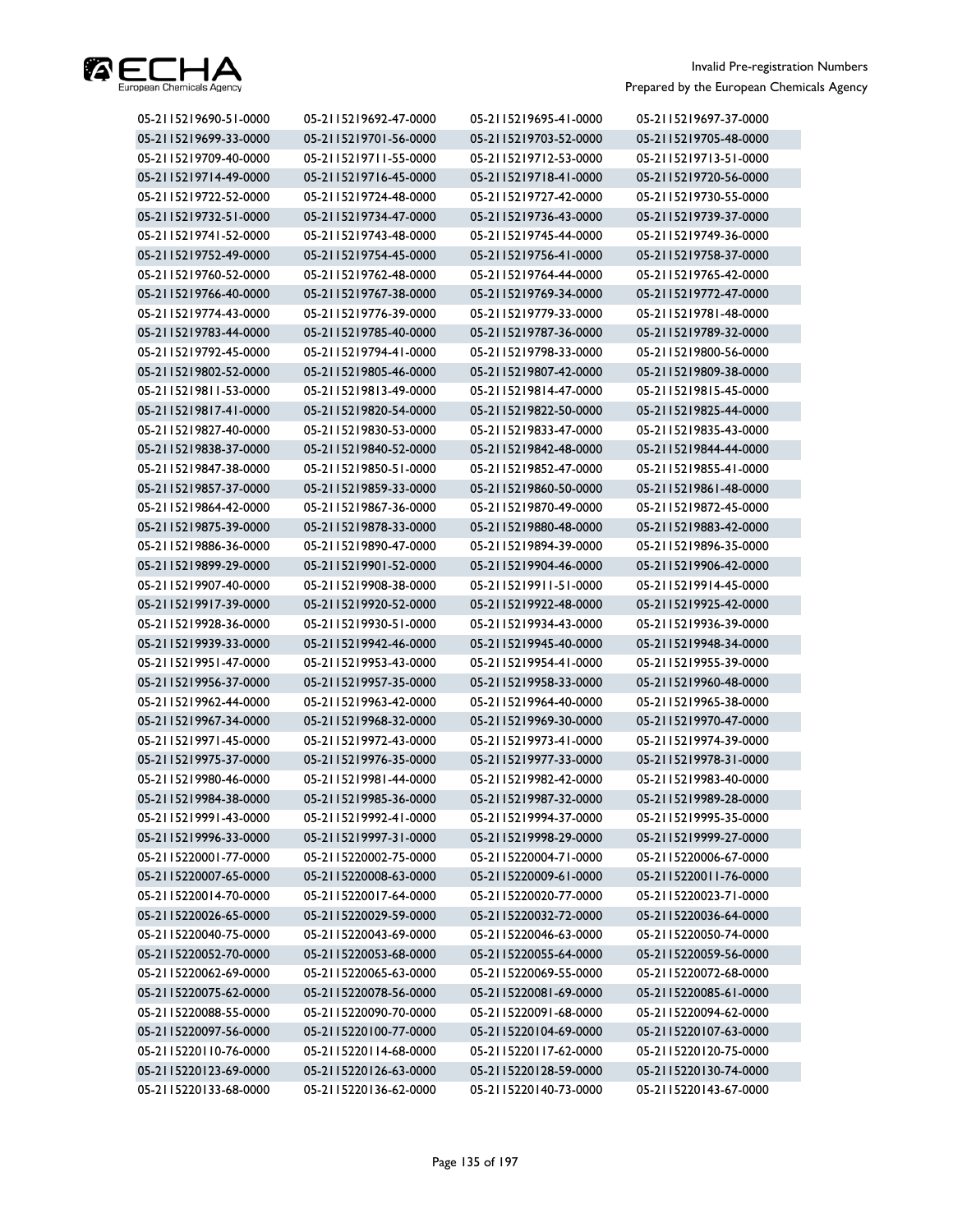

| 05-2115219690-51-0000 | 05-2115219692-47-0000 | 05-2115219695-41-0000 | 05-2115219697-37-0000 |
|-----------------------|-----------------------|-----------------------|-----------------------|
| 05-2115219699-33-0000 | 05-2115219701-56-0000 | 05-2115219703-52-0000 | 05-2115219705-48-0000 |
| 05-2115219709-40-0000 | 05-2115219711-55-0000 | 05-2115219712-53-0000 | 05-2115219713-51-0000 |
| 05-2115219714-49-0000 | 05-2115219716-45-0000 | 05-2115219718-41-0000 | 05-2115219720-56-0000 |
| 05-2115219722-52-0000 | 05-2115219724-48-0000 | 05-2115219727-42-0000 | 05-2115219730-55-0000 |
| 05-2115219732-51-0000 | 05-2115219734-47-0000 | 05-2115219736-43-0000 | 05-2115219739-37-0000 |
| 05-2115219741-52-0000 | 05-2115219743-48-0000 | 05-2115219745-44-0000 | 05-2115219749-36-0000 |
| 05-2115219752-49-0000 | 05-2115219754-45-0000 | 05-2115219756-41-0000 | 05-2115219758-37-0000 |
| 05-2115219760-52-0000 | 05-2115219762-48-0000 | 05-2115219764-44-0000 | 05-2115219765-42-0000 |
| 05-2115219766-40-0000 | 05-2115219767-38-0000 | 05-2115219769-34-0000 | 05-2115219772-47-0000 |
| 05-2115219774-43-0000 | 05-2115219776-39-0000 | 05-2115219779-33-0000 | 05-2115219781-48-0000 |
| 05-2115219783-44-0000 | 05-2115219785-40-0000 | 05-2115219787-36-0000 | 05-2115219789-32-0000 |
| 05-2115219792-45-0000 | 05-2115219794-41-0000 | 05-2115219798-33-0000 | 05-2115219800-56-0000 |
| 05-2115219802-52-0000 | 05-2115219805-46-0000 | 05-2115219807-42-0000 | 05-2115219809-38-0000 |
| 05-2115219811-53-0000 | 05-2115219813-49-0000 | 05-2115219814-47-0000 | 05-2115219815-45-0000 |
| 05-2115219817-41-0000 | 05-2115219820-54-0000 | 05-2115219822-50-0000 | 05-2115219825-44-0000 |
| 05-2115219827-40-0000 | 05-2115219830-53-0000 | 05-2115219833-47-0000 | 05-2115219835-43-0000 |
| 05-2115219838-37-0000 | 05-2115219840-52-0000 | 05-2115219842-48-0000 | 05-2115219844-44-0000 |
| 05-2115219847-38-0000 | 05-2115219850-51-0000 | 05-2115219852-47-0000 | 05-2115219855-41-0000 |
| 05-2115219857-37-0000 | 05-2115219859-33-0000 | 05-2115219860-50-0000 | 05-2115219861-48-0000 |
| 05-2115219864-42-0000 | 05-2115219867-36-0000 | 05-2115219870-49-0000 | 05-2115219872-45-0000 |
| 05-2115219875-39-0000 | 05-2115219878-33-0000 | 05-2115219880-48-0000 | 05-2115219883-42-0000 |
| 05-2115219886-36-0000 | 05-2115219890-47-0000 | 05-2115219894-39-0000 | 05-2115219896-35-0000 |
| 05-2115219899-29-0000 | 05-2115219901-52-0000 | 05-2115219904-46-0000 | 05-2115219906-42-0000 |
| 05-2115219907-40-0000 | 05-2115219908-38-0000 | 05-2115219911-51-0000 | 05-2115219914-45-0000 |
| 05-2115219917-39-0000 | 05-2115219920-52-0000 | 05-2115219922-48-0000 | 05-2115219925-42-0000 |
| 05-2115219928-36-0000 | 05-2115219930-51-0000 | 05-2115219934-43-0000 | 05-2115219936-39-0000 |
| 05-2115219939-33-0000 | 05-2115219942-46-0000 | 05-2115219945-40-0000 | 05-2115219948-34-0000 |
| 05-2115219951-47-0000 | 05-2115219953-43-0000 | 05-2115219954-41-0000 | 05-2115219955-39-0000 |
| 05-2115219956-37-0000 | 05-2115219957-35-0000 | 05-2115219958-33-0000 | 05-2115219960-48-0000 |
| 05-2115219962-44-0000 | 05-2115219963-42-0000 | 05-2115219964-40-0000 | 05-2115219965-38-0000 |
| 05-2115219967-34-0000 | 05-2115219968-32-0000 | 05-2115219969-30-0000 | 05-2115219970-47-0000 |
| 05-2115219971-45-0000 | 05-2115219972-43-0000 | 05-2115219973-41-0000 | 05-2115219974-39-0000 |
| 05-2115219975-37-0000 | 05-2115219976-35-0000 | 05-2115219977-33-0000 | 05-2115219978-31-0000 |
| 05-2115219980-46-0000 | 05-2115219981-44-0000 | 05-2115219982-42-0000 | 05-2115219983-40-0000 |
| 05-2115219984-38-0000 | 05-2115219985-36-0000 | 05-2115219987-32-0000 | 05-2115219989-28-0000 |
| 05-2115219991-43-0000 | 05-2115219992-41-0000 | 05-2115219994-37-0000 | 05-2115219995-35-0000 |
| 05-2115219996-33-0000 | 05-2115219997-31-0000 | 05-2115219998-29-0000 | 05-2115219999-27-0000 |
| 05-2115220001-77-0000 | 05-2115220002-75-0000 | 05-2115220004-71-0000 | 05-2115220006-67-0000 |
| 05-2115220007-65-0000 | 05-2115220008-63-0000 | 05-2115220009-61-0000 | 05-2115220011-76-0000 |
| 05-2115220014-70-0000 | 05-2115220017-64-0000 | 05-2115220020-77-0000 | 05-2115220023-71-0000 |
| 05-2115220026-65-0000 | 05-2115220029-59-0000 | 05-2115220032-72-0000 | 05-2115220036-64-0000 |
| 05-2115220040-75-0000 | 05-2115220043-69-0000 | 05-2115220046-63-0000 | 05-2115220050-74-0000 |
| 05-2115220052-70-0000 | 05-2115220053-68-0000 | 05-2115220055-64-0000 | 05-2115220059-56-0000 |
| 05-2115220062-69-0000 | 05-2115220065-63-0000 | 05-2115220069-55-0000 | 05-2115220072-68-0000 |
| 05-2115220075-62-0000 | 05-2115220078-56-0000 | 05-2115220081-69-0000 | 05-2115220085-61-0000 |
| 05-2115220088-55-0000 | 05-2115220090-70-0000 | 05-2115220091-68-0000 | 05-2115220094-62-0000 |
| 05-2115220097-56-0000 | 05-2115220100-77-0000 | 05-2115220104-69-0000 | 05-2115220107-63-0000 |
| 05-2115220110-76-0000 | 05-2115220114-68-0000 | 05-2115220117-62-0000 | 05-2115220120-75-0000 |
| 05-2115220123-69-0000 | 05-2115220126-63-0000 | 05-2115220128-59-0000 | 05-2115220130-74-0000 |
| 05-2115220133-68-0000 | 05-2115220136-62-0000 | 05-2115220140-73-0000 | 05-2115220143-67-0000 |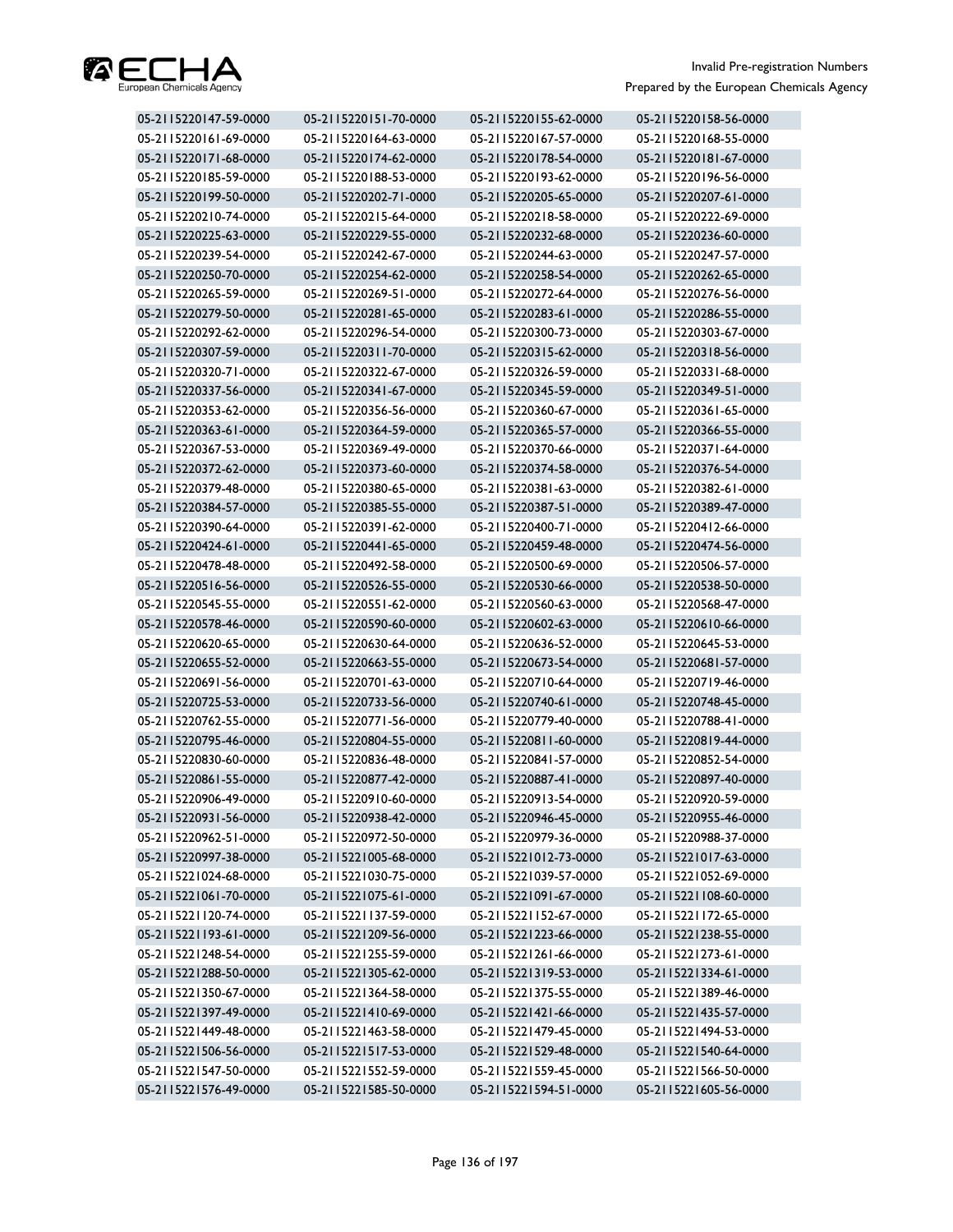

| 05-2115220147-59-0000 | 05-2115220151-70-0000 | 05-2115220155-62-0000 | 05-2115220158-56-0000 |
|-----------------------|-----------------------|-----------------------|-----------------------|
| 05-2115220161-69-0000 | 05-2115220164-63-0000 | 05-2115220167-57-0000 | 05-2115220168-55-0000 |
| 05-2115220171-68-0000 | 05-2115220174-62-0000 | 05-2115220178-54-0000 | 05-2115220181-67-0000 |
| 05-2115220185-59-0000 | 05-2115220188-53-0000 | 05-2115220193-62-0000 | 05-2115220196-56-0000 |
| 05-2115220199-50-0000 | 05-2115220202-71-0000 | 05-2115220205-65-0000 | 05-2115220207-61-0000 |
| 05-2115220210-74-0000 | 05-2115220215-64-0000 | 05-2115220218-58-0000 | 05-2115220222-69-0000 |
| 05-2115220225-63-0000 | 05-2115220229-55-0000 | 05-2115220232-68-0000 | 05-2115220236-60-0000 |
| 05-2115220239-54-0000 | 05-2115220242-67-0000 | 05-2115220244-63-0000 | 05-2115220247-57-0000 |
| 05-2115220250-70-0000 | 05-2115220254-62-0000 | 05-2115220258-54-0000 | 05-2115220262-65-0000 |
| 05-2115220265-59-0000 | 05-2115220269-51-0000 | 05-2115220272-64-0000 | 05-2115220276-56-0000 |
| 05-2115220279-50-0000 | 05-2115220281-65-0000 | 05-2115220283-61-0000 | 05-2115220286-55-0000 |
| 05-2115220292-62-0000 | 05-2115220296-54-0000 | 05-2115220300-73-0000 | 05-2115220303-67-0000 |
| 05-2115220307-59-0000 | 05-2115220311-70-0000 | 05-2115220315-62-0000 | 05-2115220318-56-0000 |
| 05-2115220320-71-0000 | 05-2115220322-67-0000 | 05-2115220326-59-0000 | 05-2115220331-68-0000 |
| 05-2115220337-56-0000 | 05-2115220341-67-0000 | 05-2115220345-59-0000 | 05-2115220349-51-0000 |
| 05-2115220353-62-0000 | 05-2115220356-56-0000 | 05-2115220360-67-0000 | 05-2115220361-65-0000 |
| 05-2115220363-61-0000 | 05-2115220364-59-0000 | 05-2115220365-57-0000 | 05-2115220366-55-0000 |
| 05-2115220367-53-0000 | 05-2115220369-49-0000 | 05-2115220370-66-0000 | 05-2115220371-64-0000 |
| 05-2115220372-62-0000 | 05-2115220373-60-0000 | 05-2115220374-58-0000 | 05-2115220376-54-0000 |
| 05-2115220379-48-0000 | 05-2115220380-65-0000 | 05-2115220381-63-0000 | 05-2115220382-61-0000 |
| 05-2115220384-57-0000 | 05-2115220385-55-0000 | 05-2115220387-51-0000 | 05-2115220389-47-0000 |
| 05-2115220390-64-0000 | 05-2115220391-62-0000 | 05-2115220400-71-0000 | 05-2115220412-66-0000 |
| 05-2115220424-61-0000 | 05-2115220441-65-0000 | 05-2115220459-48-0000 | 05-2115220474-56-0000 |
| 05-2115220478-48-0000 | 05-2115220492-58-0000 | 05-2115220500-69-0000 | 05-2115220506-57-0000 |
| 05-2115220516-56-0000 | 05-2115220526-55-0000 | 05-2115220530-66-0000 | 05-2115220538-50-0000 |
| 05-2115220545-55-0000 | 05-2115220551-62-0000 | 05-2115220560-63-0000 | 05-2115220568-47-0000 |
| 05-2115220578-46-0000 | 05-2115220590-60-0000 | 05-2115220602-63-0000 | 05-2115220610-66-0000 |
| 05-2115220620-65-0000 | 05-2115220630-64-0000 | 05-2115220636-52-0000 | 05-2115220645-53-0000 |
| 05-2115220655-52-0000 | 05-2115220663-55-0000 | 05-2115220673-54-0000 | 05-2115220681-57-0000 |
| 05-2115220691-56-0000 | 05-2115220701-63-0000 | 05-2115220710-64-0000 | 05-2115220719-46-0000 |
| 05-2115220725-53-0000 | 05-2115220733-56-0000 | 05-2115220740-61-0000 | 05-2115220748-45-0000 |
| 05-2115220762-55-0000 | 05-2115220771-56-0000 | 05-2115220779-40-0000 | 05-2115220788-41-0000 |
| 05-2115220795-46-0000 | 05-2115220804-55-0000 | 05-2115220811-60-0000 | 05-2115220819-44-0000 |
| 05-2115220830-60-0000 | 05-2115220836-48-0000 | 05-2115220841-57-0000 | 05-2115220852-54-0000 |
| 05-2115220861-55-0000 | 05-2115220877-42-0000 | 05-2115220887-41-0000 | 05-2115220897-40-0000 |
| 05-2115220906-49-0000 | 05-2115220910-60-0000 | 05-2115220913-54-0000 | 05-2115220920-59-0000 |
| 05-2115220931-56-0000 | 05-2115220938-42-0000 | 05-2115220946-45-0000 | 05-2115220955-46-0000 |
| 05-2115220962-51-0000 | 05-2115220972-50-0000 | 05-2115220979-36-0000 | 05-2115220988-37-0000 |
| 05-2115220997-38-0000 | 05-2115221005-68-0000 | 05-2115221012-73-0000 | 05-2115221017-63-0000 |
| 05-2115221024-68-0000 | 05-2115221030-75-0000 | 05-2115221039-57-0000 | 05-2115221052-69-0000 |
| 05-2115221061-70-0000 | 05-2115221075-61-0000 | 05-2115221091-67-0000 | 05-2115221108-60-0000 |
| 05-2115221120-74-0000 | 05-2115221137-59-0000 | 05-2115221152-67-0000 | 05-2115221172-65-0000 |
| 05-2115221193-61-0000 | 05-2115221209-56-0000 | 05-2115221223-66-0000 | 05-2115221238-55-0000 |
| 05-2115221248-54-0000 | 05-2115221255-59-0000 | 05-2115221261-66-0000 | 05-2115221273-61-0000 |
| 05-2115221288-50-0000 | 05-2115221305-62-0000 | 05-2115221319-53-0000 | 05-2115221334-61-0000 |
| 05-2115221350-67-0000 | 05-2115221364-58-0000 | 05-2115221375-55-0000 | 05-2115221389-46-0000 |
| 05-2115221397-49-0000 | 05-2115221410-69-0000 | 05-2115221421-66-0000 | 05-2115221435-57-0000 |
| 05-2115221449-48-0000 | 05-2115221463-58-0000 | 05-2115221479-45-0000 | 05-2115221494-53-0000 |
| 05-2115221506-56-0000 | 05-2115221517-53-0000 | 05-2115221529-48-0000 | 05-2115221540-64-0000 |
| 05-2115221547-50-0000 | 05-2115221552-59-0000 | 05-2115221559-45-0000 | 05-2115221566-50-0000 |
| 05-2115221576-49-0000 | 05-2115221585-50-0000 | 05-2115221594-51-0000 | 05-2115221605-56-0000 |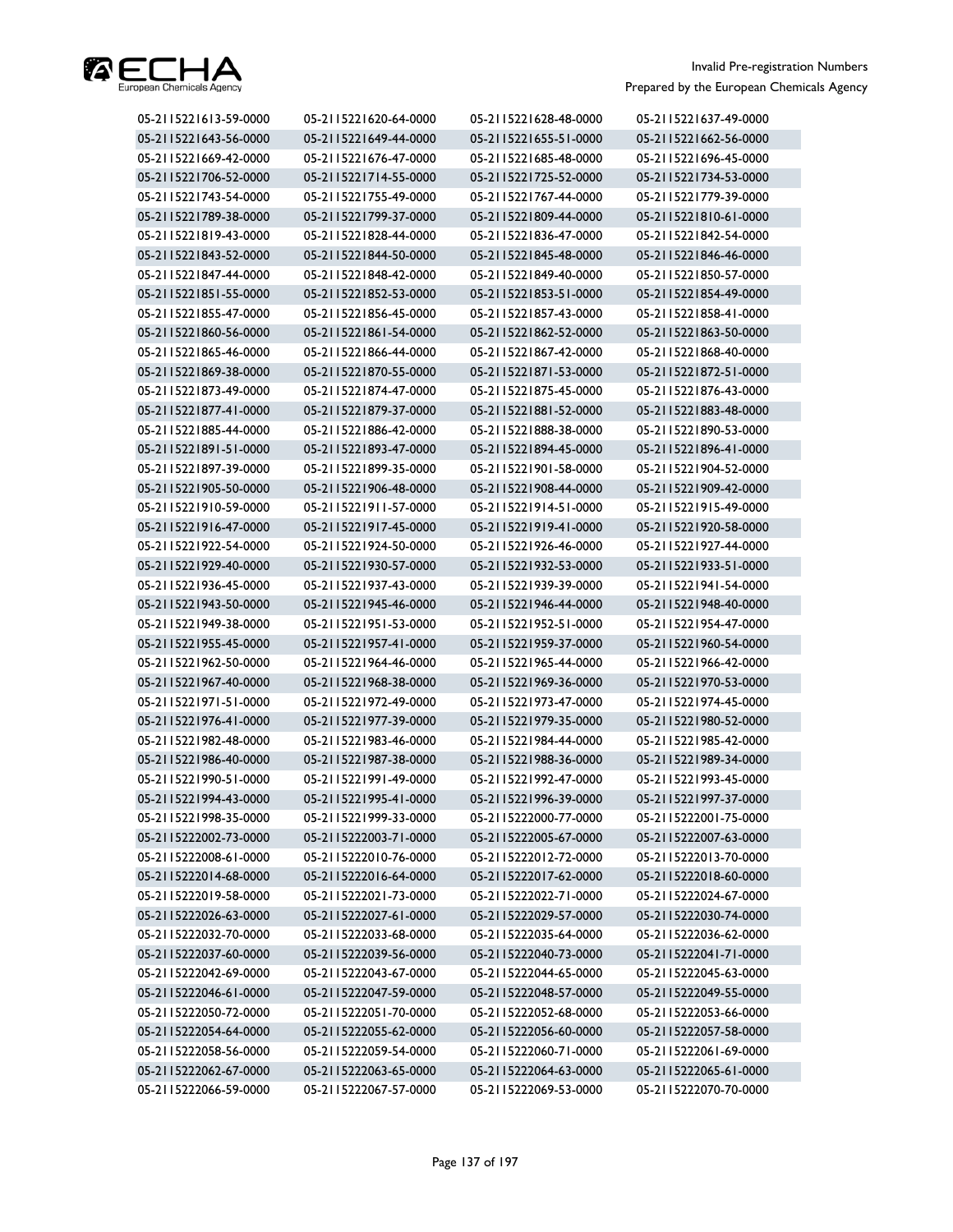

| 05-2115221613-59-0000 | 05-2115221620-64-0000 | 05-2115221628-48-0000 | 05-2115221637-49-0000 |
|-----------------------|-----------------------|-----------------------|-----------------------|
| 05-2115221643-56-0000 | 05-2115221649-44-0000 | 05-2115221655-51-0000 | 05-2115221662-56-0000 |
| 05-2115221669-42-0000 | 05-2115221676-47-0000 | 05-2115221685-48-0000 | 05-2115221696-45-0000 |
| 05-2115221706-52-0000 | 05-2115221714-55-0000 | 05-2115221725-52-0000 | 05-2115221734-53-0000 |
| 05-2115221743-54-0000 | 05-2115221755-49-0000 | 05-2115221767-44-0000 | 05-2115221779-39-0000 |
| 05-2115221789-38-0000 | 05-2115221799-37-0000 | 05-2115221809-44-0000 | 05-2115221810-61-0000 |
| 05-2115221819-43-0000 | 05-2115221828-44-0000 | 05-2115221836-47-0000 | 05-2115221842-54-0000 |
| 05-2115221843-52-0000 | 05-2115221844-50-0000 | 05-2115221845-48-0000 | 05-2115221846-46-0000 |
| 05-2115221847-44-0000 | 05-2115221848-42-0000 | 05-2115221849-40-0000 | 05-2115221850-57-0000 |
| 05-2115221851-55-0000 | 05-2115221852-53-0000 | 05-2115221853-51-0000 | 05-2115221854-49-0000 |
| 05-2115221855-47-0000 | 05-2115221856-45-0000 | 05-2115221857-43-0000 | 05-2115221858-41-0000 |
| 05-2115221860-56-0000 | 05-2115221861-54-0000 | 05-2115221862-52-0000 | 05-2115221863-50-0000 |
| 05-2115221865-46-0000 | 05-2115221866-44-0000 | 05-2115221867-42-0000 | 05-2115221868-40-0000 |
| 05-2115221869-38-0000 | 05-2115221870-55-0000 | 05-2115221871-53-0000 | 05-2115221872-51-0000 |
| 05-2115221873-49-0000 | 05-2115221874-47-0000 | 05-2115221875-45-0000 | 05-2115221876-43-0000 |
| 05-2115221877-41-0000 | 05-2115221879-37-0000 | 05-2115221881-52-0000 | 05-2115221883-48-0000 |
| 05-2115221885-44-0000 | 05-2115221886-42-0000 | 05-2115221888-38-0000 | 05-2115221890-53-0000 |
| 05-2115221891-51-0000 | 05-2115221893-47-0000 | 05-2115221894-45-0000 | 05-2115221896-41-0000 |
| 05-2115221897-39-0000 | 05-2115221899-35-0000 | 05-2115221901-58-0000 | 05-2115221904-52-0000 |
| 05-2115221905-50-0000 | 05-2115221906-48-0000 | 05-2115221908-44-0000 | 05-2115221909-42-0000 |
| 05-2115221910-59-0000 | 05-2115221911-57-0000 | 05-2115221914-51-0000 | 05-2115221915-49-0000 |
| 05-2115221916-47-0000 | 05-2115221917-45-0000 | 05-2115221919-41-0000 | 05-2115221920-58-0000 |
| 05-2115221922-54-0000 | 05-2115221924-50-0000 | 05-2115221926-46-0000 | 05-2115221927-44-0000 |
| 05-2115221929-40-0000 | 05-2115221930-57-0000 | 05-2115221932-53-0000 | 05-2115221933-51-0000 |
| 05-2115221936-45-0000 | 05-2115221937-43-0000 | 05-2115221939-39-0000 | 05-2115221941-54-0000 |
| 05-2115221943-50-0000 | 05-2115221945-46-0000 | 05-2115221946-44-0000 | 05-2115221948-40-0000 |
| 05-2115221949-38-0000 | 05-2115221951-53-0000 | 05-2115221952-51-0000 | 05-2115221954-47-0000 |
| 05-2115221955-45-0000 | 05-2115221957-41-0000 | 05-2115221959-37-0000 | 05-2115221960-54-0000 |
| 05-2115221962-50-0000 | 05-2115221964-46-0000 | 05-2115221965-44-0000 | 05-2115221966-42-0000 |
| 05-2115221967-40-0000 | 05-2115221968-38-0000 | 05-2115221969-36-0000 | 05-2115221970-53-0000 |
| 05-2115221971-51-0000 | 05-2115221972-49-0000 | 05-2115221973-47-0000 | 05-2115221974-45-0000 |
| 05-2115221976-41-0000 | 05-2115221977-39-0000 | 05-2115221979-35-0000 | 05-2115221980-52-0000 |
| 05-2115221982-48-0000 | 05-2115221983-46-0000 | 05-2115221984-44-0000 | 05-2115221985-42-0000 |
| 05-2115221986-40-0000 | 05-2115221987-38-0000 | 05-2115221988-36-0000 | 05-2115221989-34-0000 |
| 05-2115221990-51-0000 | 05-2115221991-49-0000 | 05-2115221992-47-0000 | 05-2115221993-45-0000 |
| 05-2115221994-43-0000 | 05-2115221995-41-0000 | 05-2115221996-39-0000 | 05-2115221997-37-0000 |
| 05-2115221998-35-0000 | 05-2115221999-33-0000 | 05-2115222000-77-0000 | 05-2115222001-75-0000 |
| 05-2115222002-73-0000 | 05-2115222003-71-0000 | 05-2115222005-67-0000 | 05-2115222007-63-0000 |
| 05-2115222008-61-0000 | 05-2115222010-76-0000 | 05-2115222012-72-0000 | 05-2115222013-70-0000 |
| 05-2115222014-68-0000 | 05-2115222016-64-0000 | 05-2115222017-62-0000 | 05-2115222018-60-0000 |
| 05-2115222019-58-0000 | 05-2115222021-73-0000 | 05-2115222022-71-0000 | 05-2115222024-67-0000 |
| 05-2115222026-63-0000 | 05-2115222027-61-0000 | 05-2115222029-57-0000 | 05-2115222030-74-0000 |
| 05-2115222032-70-0000 | 05-2115222033-68-0000 | 05-2115222035-64-0000 | 05-2115222036-62-0000 |
| 05-2115222037-60-0000 | 05-2115222039-56-0000 | 05-2115222040-73-0000 | 05-2115222041-71-0000 |
| 05-2115222042-69-0000 | 05-2115222043-67-0000 | 05-2115222044-65-0000 | 05-2115222045-63-0000 |
| 05-2115222046-61-0000 | 05-2115222047-59-0000 | 05-2115222048-57-0000 | 05-2115222049-55-0000 |
| 05-2115222050-72-0000 | 05-2115222051-70-0000 | 05-2115222052-68-0000 | 05-2115222053-66-0000 |
| 05-2115222054-64-0000 | 05-2115222055-62-0000 | 05-2115222056-60-0000 | 05-2115222057-58-0000 |
| 05-2115222058-56-0000 | 05-2115222059-54-0000 | 05-2115222060-71-0000 | 05-2115222061-69-0000 |
| 05-2115222062-67-0000 | 05-2115222063-65-0000 | 05-2115222064-63-0000 | 05-2115222065-61-0000 |
| 05-2115222066-59-0000 | 05-2115222067-57-0000 | 05-2115222069-53-0000 | 05-2115222070-70-0000 |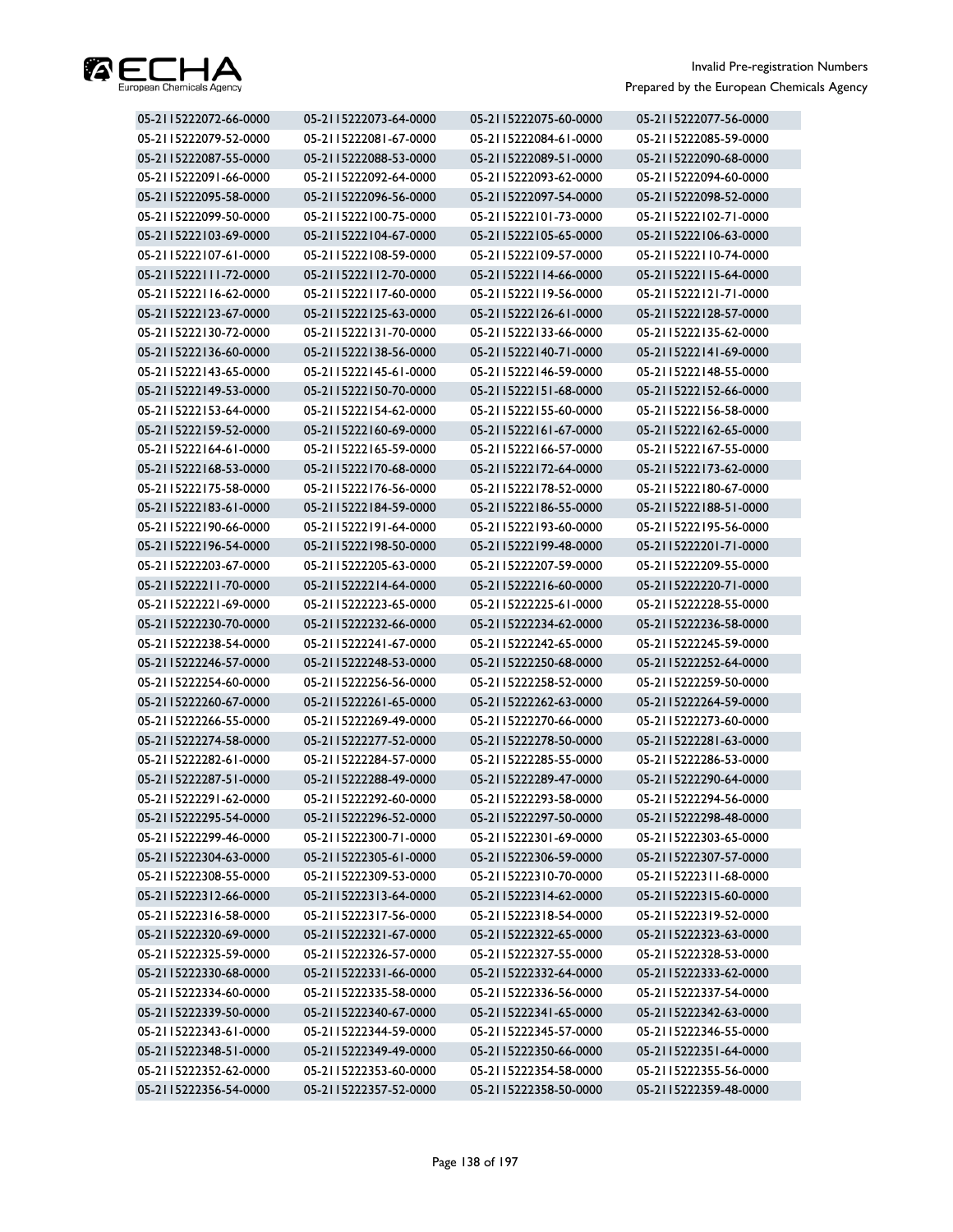

| 05-2115222072-66-0000 | 05-2115222073-64-0000 | 05-2115222075-60-0000 | 05-2115222077-56-0000 |
|-----------------------|-----------------------|-----------------------|-----------------------|
| 05-2115222079-52-0000 | 05-2115222081-67-0000 | 05-2115222084-61-0000 | 05-2115222085-59-0000 |
| 05-2115222087-55-0000 | 05-2115222088-53-0000 | 05-2115222089-51-0000 | 05-2115222090-68-0000 |
| 05-2115222091-66-0000 | 05-2115222092-64-0000 | 05-2115222093-62-0000 | 05-2115222094-60-0000 |
| 05-2115222095-58-0000 | 05-2115222096-56-0000 | 05-2115222097-54-0000 | 05-2115222098-52-0000 |
| 05-2115222099-50-0000 | 05-2115222100-75-0000 | 05-2115222101-73-0000 | 05-2115222102-71-0000 |
| 05-2115222103-69-0000 | 05-2115222104-67-0000 | 05-2115222105-65-0000 | 05-2115222106-63-0000 |
| 05-2115222107-61-0000 | 05-2115222108-59-0000 | 05-2115222109-57-0000 | 05-2115222110-74-0000 |
| 05-2115222111-72-0000 | 05-2115222112-70-0000 | 05-2115222114-66-0000 | 05-2115222115-64-0000 |
| 05-2115222116-62-0000 | 05-2115222117-60-0000 | 05-2115222119-56-0000 | 05-2115222121-71-0000 |
| 05-2115222123-67-0000 | 05-2115222125-63-0000 | 05-2115222126-61-0000 | 05-2115222128-57-0000 |
| 05-2115222130-72-0000 | 05-2115222131-70-0000 | 05-2115222133-66-0000 | 05-2115222135-62-0000 |
| 05-2115222136-60-0000 | 05-2115222138-56-0000 | 05-2115222140-71-0000 | 05-2115222141-69-0000 |
| 05-2115222143-65-0000 | 05-2115222145-61-0000 | 05-2115222146-59-0000 | 05-2115222148-55-0000 |
| 05-2115222149-53-0000 | 05-2115222150-70-0000 | 05-2115222151-68-0000 | 05-2115222152-66-0000 |
| 05-2115222153-64-0000 | 05-2115222154-62-0000 | 05-2115222155-60-0000 | 05-2115222156-58-0000 |
| 05-2115222159-52-0000 | 05-2115222160-69-0000 | 05-2115222161-67-0000 | 05-2115222162-65-0000 |
| 05-2115222164-61-0000 | 05-2115222165-59-0000 | 05-2115222166-57-0000 | 05-2115222167-55-0000 |
| 05-2115222168-53-0000 | 05-2115222170-68-0000 | 05-2115222172-64-0000 | 05-2115222173-62-0000 |
| 05-2115222175-58-0000 | 05-2115222176-56-0000 | 05-2115222178-52-0000 | 05-2115222180-67-0000 |
| 05-2115222183-61-0000 | 05-2115222184-59-0000 | 05-2115222186-55-0000 | 05-2115222188-51-0000 |
| 05-2115222190-66-0000 | 05-2115222191-64-0000 | 05-2115222193-60-0000 | 05-2115222195-56-0000 |
| 05-2115222196-54-0000 | 05-2115222198-50-0000 | 05-2115222199-48-0000 | 05-2115222201-71-0000 |
| 05-2115222203-67-0000 | 05-2115222205-63-0000 | 05-2115222207-59-0000 | 05-2115222209-55-0000 |
| 05-2115222211-70-0000 | 05-2115222214-64-0000 | 05-2115222216-60-0000 | 05-2115222220-71-0000 |
| 05-2115222221-69-0000 | 05-2115222223-65-0000 | 05-2115222225-61-0000 | 05-2115222228-55-0000 |
| 05-2115222230-70-0000 | 05-2115222232-66-0000 | 05-2115222234-62-0000 | 05-2115222236-58-0000 |
| 05-2115222238-54-0000 | 05-2115222241-67-0000 | 05-2115222242-65-0000 | 05-2115222245-59-0000 |
| 05-2115222246-57-0000 | 05-2115222248-53-0000 | 05-2115222250-68-0000 | 05-2115222252-64-0000 |
| 05-2115222254-60-0000 | 05-2115222256-56-0000 | 05-2115222258-52-0000 | 05-2115222259-50-0000 |
| 05-2115222260-67-0000 | 05-2115222261-65-0000 | 05-2115222262-63-0000 | 05-2115222264-59-0000 |
| 05-2115222266-55-0000 | 05-2115222269-49-0000 | 05-2115222270-66-0000 | 05-2115222273-60-0000 |
| 05-2115222274-58-0000 | 05-2115222277-52-0000 | 05-2115222278-50-0000 | 05-2115222281-63-0000 |
| 05-2115222282-61-0000 | 05-2115222284-57-0000 | 05-2115222285-55-0000 | 05-2115222286-53-0000 |
| 05-2115222287-51-0000 | 05-2115222288-49-0000 | 05-2115222289-47-0000 | 05-2115222290-64-0000 |
| 05-2115222291-62-0000 | 05-2115222292-60-0000 | 05-2115222293-58-0000 | 05-2115222294-56-0000 |
| 05-2115222295-54-0000 | 05-2115222296-52-0000 | 05-2115222297-50-0000 | 05-2115222298-48-0000 |
| 05-2115222299-46-0000 | 05-2115222300-71-0000 | 05-2115222301-69-0000 | 05-2115222303-65-0000 |
| 05-2115222304-63-0000 | 05-2115222305-61-0000 | 05-2115222306-59-0000 | 05-2115222307-57-0000 |
| 05-2115222308-55-0000 | 05-2115222309-53-0000 | 05-2115222310-70-0000 | 05-2115222311-68-0000 |
| 05-2115222312-66-0000 | 05-2115222313-64-0000 | 05-2115222314-62-0000 | 05-2115222315-60-0000 |
| 05-2115222316-58-0000 | 05-2115222317-56-0000 | 05-2115222318-54-0000 | 05-2115222319-52-0000 |
| 05-2115222320-69-0000 | 05-2115222321-67-0000 | 05-2115222322-65-0000 | 05-2115222323-63-0000 |
| 05-2115222325-59-0000 | 05-2115222326-57-0000 | 05-2115222327-55-0000 | 05-2115222328-53-0000 |
| 05-2115222330-68-0000 | 05-2115222331-66-0000 | 05-2115222332-64-0000 | 05-2115222333-62-0000 |
| 05-2115222334-60-0000 | 05-2115222335-58-0000 | 05-2115222336-56-0000 | 05-2115222337-54-0000 |
| 05-2115222339-50-0000 | 05-2115222340-67-0000 | 05-2115222341-65-0000 | 05-2115222342-63-0000 |
| 05-2115222343-61-0000 | 05-2115222344-59-0000 | 05-2115222345-57-0000 | 05-2115222346-55-0000 |
| 05-2115222348-51-0000 | 05-2115222349-49-0000 | 05-2115222350-66-0000 | 05-2115222351-64-0000 |
| 05-2115222352-62-0000 | 05-2115222353-60-0000 | 05-2115222354-58-0000 | 05-2115222355-56-0000 |
| 05-2115222356-54-0000 | 05-2115222357-52-0000 | 05-2115222358-50-0000 | 05-2115222359-48-0000 |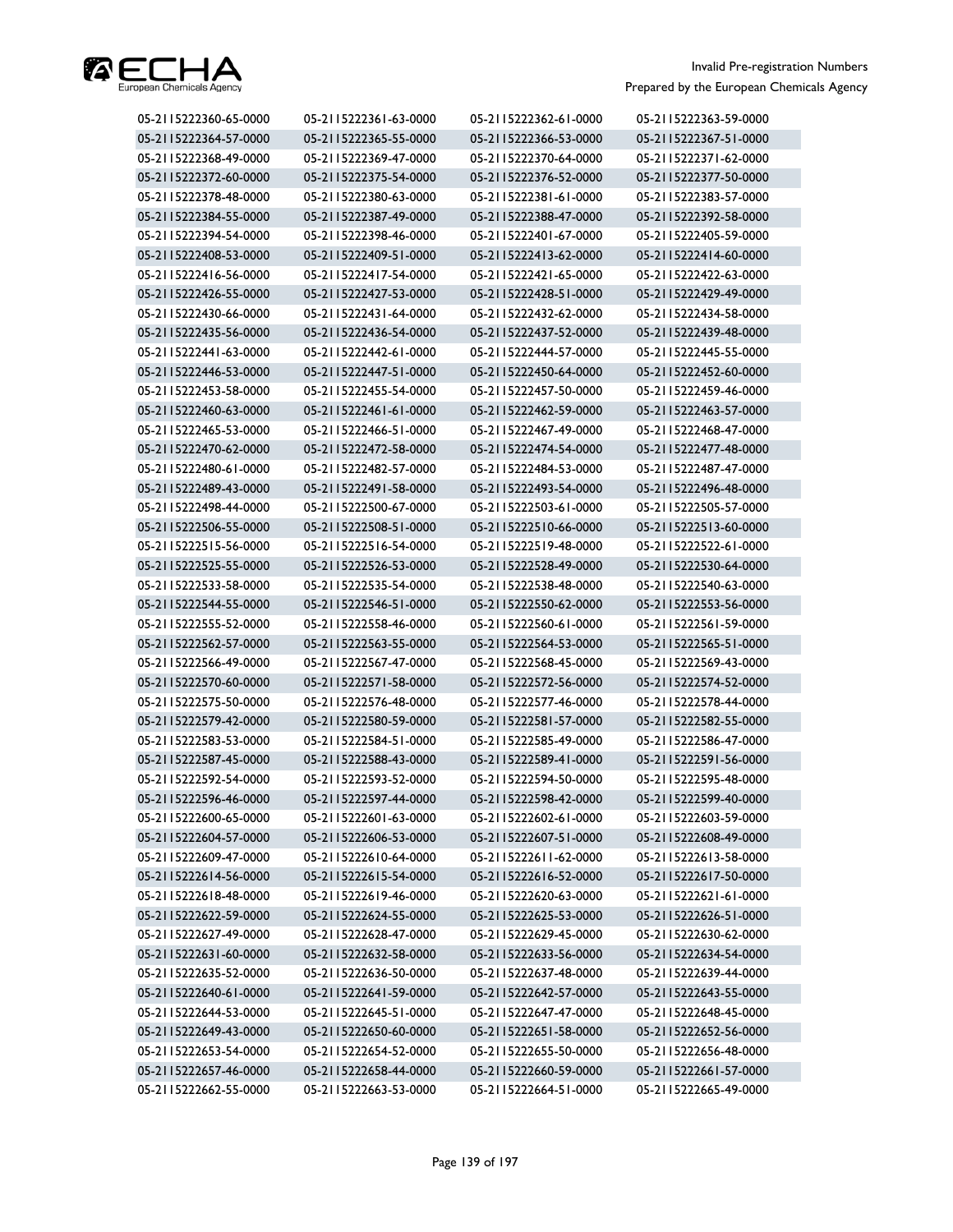

| 05-2115222360-65-0000 | 05-2115222361-63-0000 | 05-2115222362-61-0000 | 05-2115222363-59-0000 |
|-----------------------|-----------------------|-----------------------|-----------------------|
| 05-2115222364-57-0000 | 05-2115222365-55-0000 | 05-2115222366-53-0000 | 05-2115222367-51-0000 |
| 05-2115222368-49-0000 | 05-2115222369-47-0000 | 05-2115222370-64-0000 | 05-2115222371-62-0000 |
| 05-2115222372-60-0000 | 05-2115222375-54-0000 | 05-2115222376-52-0000 | 05-2115222377-50-0000 |
| 05-2115222378-48-0000 | 05-2115222380-63-0000 | 05-2115222381-61-0000 | 05-2115222383-57-0000 |
| 05-2115222384-55-0000 | 05-2115222387-49-0000 | 05-2115222388-47-0000 | 05-2115222392-58-0000 |
| 05-2115222394-54-0000 | 05-2115222398-46-0000 | 05-2115222401-67-0000 | 05-2115222405-59-0000 |
| 05-2115222408-53-0000 | 05-2115222409-51-0000 | 05-2115222413-62-0000 | 05-2115222414-60-0000 |
| 05-2115222416-56-0000 | 05-2115222417-54-0000 | 05-2115222421-65-0000 | 05-2115222422-63-0000 |
| 05-2115222426-55-0000 | 05-2115222427-53-0000 | 05-2115222428-51-0000 | 05-2115222429-49-0000 |
| 05-2115222430-66-0000 | 05-2115222431-64-0000 | 05-2115222432-62-0000 | 05-2115222434-58-0000 |
| 05-2115222435-56-0000 | 05-2115222436-54-0000 | 05-2115222437-52-0000 | 05-2115222439-48-0000 |
| 05-2115222441-63-0000 | 05-2115222442-61-0000 | 05-2115222444-57-0000 | 05-2115222445-55-0000 |
| 05-2115222446-53-0000 | 05-2115222447-51-0000 | 05-2115222450-64-0000 | 05-2115222452-60-0000 |
| 05-2115222453-58-0000 | 05-2115222455-54-0000 | 05-2115222457-50-0000 | 05-2115222459-46-0000 |
| 05-2115222460-63-0000 | 05-2115222461-61-0000 | 05-2115222462-59-0000 | 05-2115222463-57-0000 |
| 05-2115222465-53-0000 | 05-2115222466-51-0000 | 05-2115222467-49-0000 | 05-2115222468-47-0000 |
| 05-2115222470-62-0000 | 05-2115222472-58-0000 | 05-2115222474-54-0000 | 05-2115222477-48-0000 |
| 05-2115222480-61-0000 | 05-2115222482-57-0000 | 05-2115222484-53-0000 | 05-2115222487-47-0000 |
| 05-2115222489-43-0000 | 05-2115222491-58-0000 | 05-2115222493-54-0000 | 05-2115222496-48-0000 |
| 05-2115222498-44-0000 | 05-2115222500-67-0000 | 05-2115222503-61-0000 | 05-2115222505-57-0000 |
| 05-2115222506-55-0000 | 05-2115222508-51-0000 | 05-2115222510-66-0000 | 05-2115222513-60-0000 |
| 05-2115222515-56-0000 | 05-2115222516-54-0000 | 05-2115222519-48-0000 | 05-2115222522-61-0000 |
| 05-2115222525-55-0000 | 05-2115222526-53-0000 | 05-2115222528-49-0000 | 05-2115222530-64-0000 |
| 05-2115222533-58-0000 | 05-2115222535-54-0000 | 05-2115222538-48-0000 | 05-2115222540-63-0000 |
| 05-2115222544-55-0000 | 05-2115222546-51-0000 | 05-2115222550-62-0000 | 05-2115222553-56-0000 |
| 05-2115222555-52-0000 | 05-2115222558-46-0000 | 05-2115222560-61-0000 | 05-2115222561-59-0000 |
| 05-2115222562-57-0000 | 05-2115222563-55-0000 | 05-2115222564-53-0000 | 05-2115222565-51-0000 |
| 05-2115222566-49-0000 | 05-2115222567-47-0000 | 05-2115222568-45-0000 | 05-2115222569-43-0000 |
| 05-2115222570-60-0000 | 05-2115222571-58-0000 | 05-2115222572-56-0000 | 05-2115222574-52-0000 |
| 05-2115222575-50-0000 | 05-2115222576-48-0000 | 05-2115222577-46-0000 | 05-2115222578-44-0000 |
| 05-2115222579-42-0000 | 05-2115222580-59-0000 | 05-2115222581-57-0000 | 05-2115222582-55-0000 |
| 05-2115222583-53-0000 | 05-2115222584-51-0000 | 05-2115222585-49-0000 | 05-2115222586-47-0000 |
| 05-2115222587-45-0000 | 05-2115222588-43-0000 | 05-2115222589-41-0000 | 05-2115222591-56-0000 |
| 05-2115222592-54-0000 | 05-2115222593-52-0000 | 05-2115222594-50-0000 | 05-2115222595-48-0000 |
| 05-2115222596-46-0000 | 05-2115222597-44-0000 | 05-2115222598-42-0000 | 05-2115222599-40-0000 |
| 05-2115222600-65-0000 | 05-2115222601-63-0000 | 05-2115222602-61-0000 | 05-2115222603-59-0000 |
| 05-2115222604-57-0000 | 05-2115222606-53-0000 | 05-2115222607-51-0000 | 05-2115222608-49-0000 |
| 05-2115222609-47-0000 | 05-2115222610-64-0000 | 05-2115222611-62-0000 | 05-2115222613-58-0000 |
| 05-2115222614-56-0000 | 05-2115222615-54-0000 | 05-2115222616-52-0000 | 05-2115222617-50-0000 |
| 05-2115222618-48-0000 | 05-2115222619-46-0000 | 05-2115222620-63-0000 | 05-2115222621-61-0000 |
| 05-2115222622-59-0000 | 05-2115222624-55-0000 | 05-2115222625-53-0000 | 05-2115222626-51-0000 |
| 05-2115222627-49-0000 | 05-2115222628-47-0000 | 05-2115222629-45-0000 | 05-2115222630-62-0000 |
| 05-2115222631-60-0000 | 05-2115222632-58-0000 | 05-2115222633-56-0000 | 05-2115222634-54-0000 |
| 05-2115222635-52-0000 | 05-2115222636-50-0000 | 05-2115222637-48-0000 | 05-2115222639-44-0000 |
| 05-2115222640-61-0000 | 05-2115222641-59-0000 | 05-2115222642-57-0000 | 05-2115222643-55-0000 |
| 05-2115222644-53-0000 | 05-2115222645-51-0000 | 05-2115222647-47-0000 | 05-2115222648-45-0000 |
| 05-2115222649-43-0000 | 05-2115222650-60-0000 | 05-2115222651-58-0000 | 05-2115222652-56-0000 |
| 05-2115222653-54-0000 | 05-2115222654-52-0000 | 05-2115222655-50-0000 | 05-2115222656-48-0000 |
| 05-2115222657-46-0000 | 05-2115222658-44-0000 | 05-2115222660-59-0000 | 05-2115222661-57-0000 |
| 05-2115222662-55-0000 | 05-2115222663-53-0000 | 05-2115222664-51-0000 | 05-2115222665-49-0000 |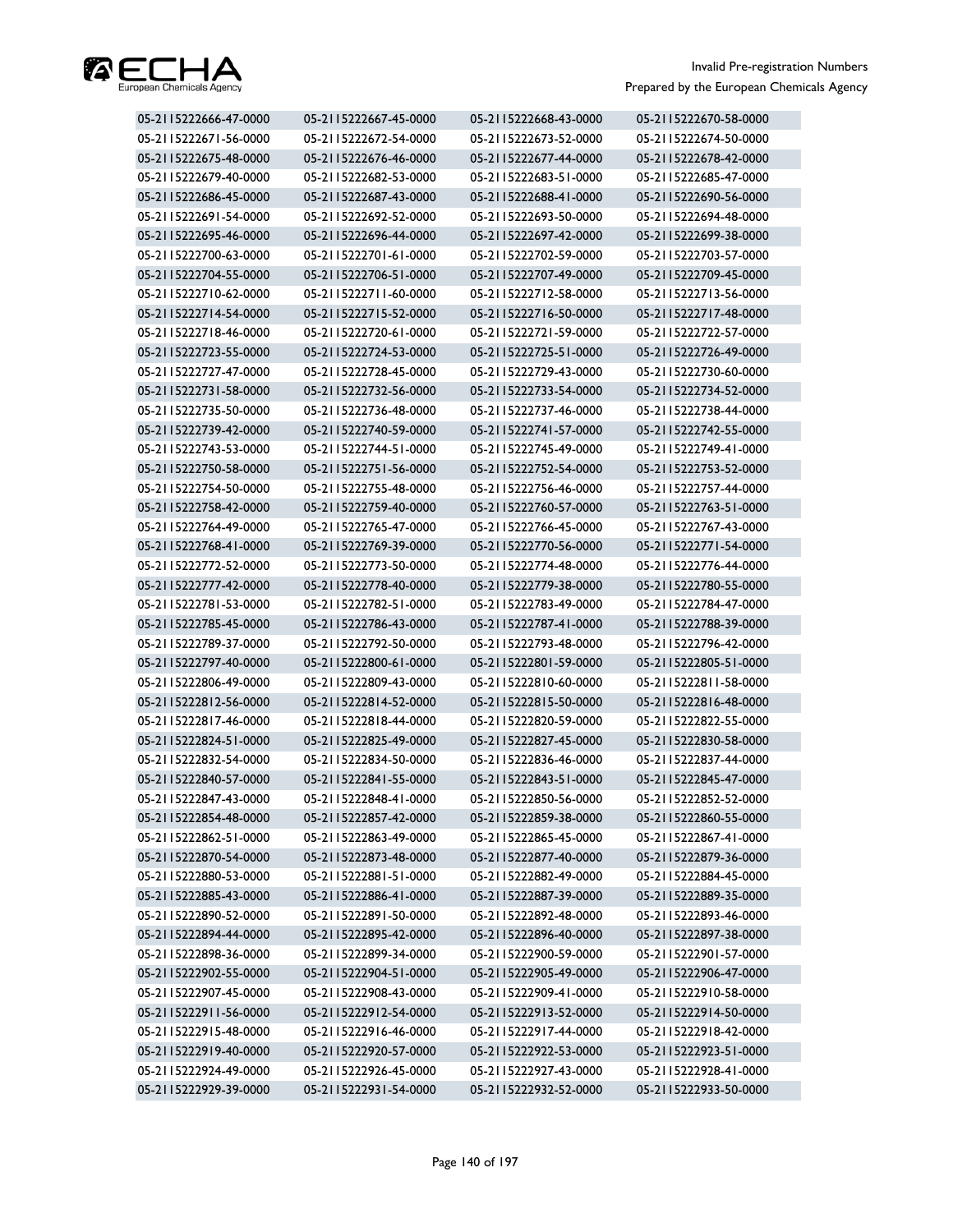

| 05-2115222666-47-0000 | 05-2115222667-45-0000 | 05-2115222668-43-0000 | 05-2115222670-58-0000 |
|-----------------------|-----------------------|-----------------------|-----------------------|
| 05-2115222671-56-0000 | 05-2115222672-54-0000 | 05-2115222673-52-0000 | 05-2115222674-50-0000 |
| 05-2115222675-48-0000 | 05-2115222676-46-0000 | 05-2115222677-44-0000 | 05-2115222678-42-0000 |
| 05-2115222679-40-0000 | 05-2115222682-53-0000 | 05-2115222683-51-0000 | 05-2115222685-47-0000 |
| 05-2115222686-45-0000 | 05-2115222687-43-0000 | 05-2115222688-41-0000 | 05-2115222690-56-0000 |
| 05-2115222691-54-0000 | 05-2115222692-52-0000 | 05-2115222693-50-0000 | 05-2115222694-48-0000 |
| 05-2115222695-46-0000 | 05-2115222696-44-0000 | 05-2115222697-42-0000 | 05-2115222699-38-0000 |
| 05-2115222700-63-0000 | 05-2115222701-61-0000 | 05-2115222702-59-0000 | 05-2115222703-57-0000 |
| 05-2115222704-55-0000 | 05-2115222706-51-0000 | 05-2115222707-49-0000 | 05-2115222709-45-0000 |
| 05-2115222710-62-0000 | 05-2115222711-60-0000 | 05-2115222712-58-0000 | 05-2115222713-56-0000 |
| 05-2115222714-54-0000 | 05-2115222715-52-0000 | 05-2115222716-50-0000 | 05-2115222717-48-0000 |
| 05-2115222718-46-0000 | 05-2115222720-61-0000 | 05-2115222721-59-0000 | 05-2115222722-57-0000 |
| 05-2115222723-55-0000 | 05-2115222724-53-0000 | 05-2115222725-51-0000 | 05-2115222726-49-0000 |
| 05-2115222727-47-0000 | 05-2115222728-45-0000 | 05-2115222729-43-0000 | 05-2115222730-60-0000 |
| 05-2115222731-58-0000 | 05-2115222732-56-0000 | 05-2115222733-54-0000 | 05-2115222734-52-0000 |
| 05-2115222735-50-0000 | 05-2115222736-48-0000 | 05-2115222737-46-0000 | 05-2115222738-44-0000 |
| 05-2115222739-42-0000 | 05-2115222740-59-0000 | 05-2115222741-57-0000 | 05-2115222742-55-0000 |
| 05-2115222743-53-0000 | 05-2115222744-51-0000 | 05-2115222745-49-0000 | 05-2115222749-41-0000 |
| 05-2115222750-58-0000 | 05-2115222751-56-0000 | 05-2115222752-54-0000 | 05-2115222753-52-0000 |
| 05-2115222754-50-0000 | 05-2115222755-48-0000 | 05-2115222756-46-0000 | 05-2115222757-44-0000 |
| 05-2115222758-42-0000 | 05-2115222759-40-0000 | 05-2115222760-57-0000 | 05-2115222763-51-0000 |
| 05-2115222764-49-0000 | 05-2115222765-47-0000 | 05-2115222766-45-0000 | 05-2115222767-43-0000 |
| 05-2115222768-41-0000 | 05-2115222769-39-0000 | 05-2115222770-56-0000 | 05-2115222771-54-0000 |
| 05-2115222772-52-0000 | 05-2115222773-50-0000 | 05-2115222774-48-0000 | 05-2115222776-44-0000 |
| 05-2115222777-42-0000 | 05-2115222778-40-0000 | 05-2115222779-38-0000 | 05-2115222780-55-0000 |
| 05-2115222781-53-0000 | 05-2115222782-51-0000 | 05-2115222783-49-0000 | 05-2115222784-47-0000 |
| 05-2115222785-45-0000 | 05-2115222786-43-0000 | 05-2115222787-41-0000 | 05-2115222788-39-0000 |
| 05-2115222789-37-0000 | 05-2115222792-50-0000 | 05-2115222793-48-0000 | 05-2115222796-42-0000 |
| 05-2115222797-40-0000 | 05-2115222800-61-0000 | 05-2115222801-59-0000 | 05-2115222805-51-0000 |
| 05-2115222806-49-0000 | 05-2115222809-43-0000 | 05-2115222810-60-0000 | 05-2115222811-58-0000 |
| 05-2115222812-56-0000 | 05-2115222814-52-0000 | 05-2115222815-50-0000 | 05-2115222816-48-0000 |
| 05-2115222817-46-0000 | 05-2115222818-44-0000 | 05-2115222820-59-0000 | 05-2115222822-55-0000 |
| 05-2115222824-51-0000 | 05-2115222825-49-0000 | 05-2115222827-45-0000 | 05-2115222830-58-0000 |
| 05-2115222832-54-0000 | 05-2115222834-50-0000 | 05-2115222836-46-0000 | 05-2115222837-44-0000 |
| 05-2115222840-57-0000 | 05-2115222841-55-0000 | 05-2115222843-51-0000 | 05-2115222845-47-0000 |
| 05-2115222847-43-0000 | 05-2115222848-41-0000 | 05-2115222850-56-0000 | 05-2115222852-52-0000 |
| 05-2115222854-48-0000 | 05-2115222857-42-0000 | 05-2115222859-38-0000 | 05-2115222860-55-0000 |
| 05-2115222862-51-0000 | 05-2115222863-49-0000 | 05-2115222865-45-0000 | 05-2115222867-41-0000 |
| 05-2115222870-54-0000 | 05-2115222873-48-0000 | 05-2115222877-40-0000 | 05-2115222879-36-0000 |
| 05-2115222880-53-0000 | 05-2115222881-51-0000 | 05-2115222882-49-0000 | 05-2115222884-45-0000 |
| 05-2115222885-43-0000 | 05-2115222886-41-0000 | 05-2115222887-39-0000 | 05-2115222889-35-0000 |
| 05-2115222890-52-0000 | 05-2115222891-50-0000 | 05-2115222892-48-0000 | 05-2115222893-46-0000 |
| 05-2115222894-44-0000 | 05-2115222895-42-0000 | 05-2115222896-40-0000 | 05-2115222897-38-0000 |
| 05-2115222898-36-0000 | 05-2115222899-34-0000 | 05-2115222900-59-0000 | 05-2115222901-57-0000 |
| 05-2115222902-55-0000 | 05-2115222904-51-0000 | 05-2115222905-49-0000 | 05-2115222906-47-0000 |
| 05-2115222907-45-0000 | 05-2115222908-43-0000 | 05-2115222909-41-0000 | 05-2115222910-58-0000 |
| 05-2115222911-56-0000 | 05-2115222912-54-0000 | 05-2115222913-52-0000 | 05-2115222914-50-0000 |
| 05-2115222915-48-0000 | 05-2115222916-46-0000 | 05-2115222917-44-0000 | 05-2115222918-42-0000 |
| 05-2115222919-40-0000 | 05-2115222920-57-0000 | 05-2115222922-53-0000 | 05-2115222923-51-0000 |
| 05-2115222924-49-0000 | 05-2115222926-45-0000 | 05-2115222927-43-0000 | 05-2115222928-41-0000 |
| 05-2115222929-39-0000 | 05-2115222931-54-0000 | 05-2115222932-52-0000 | 05-2115222933-50-0000 |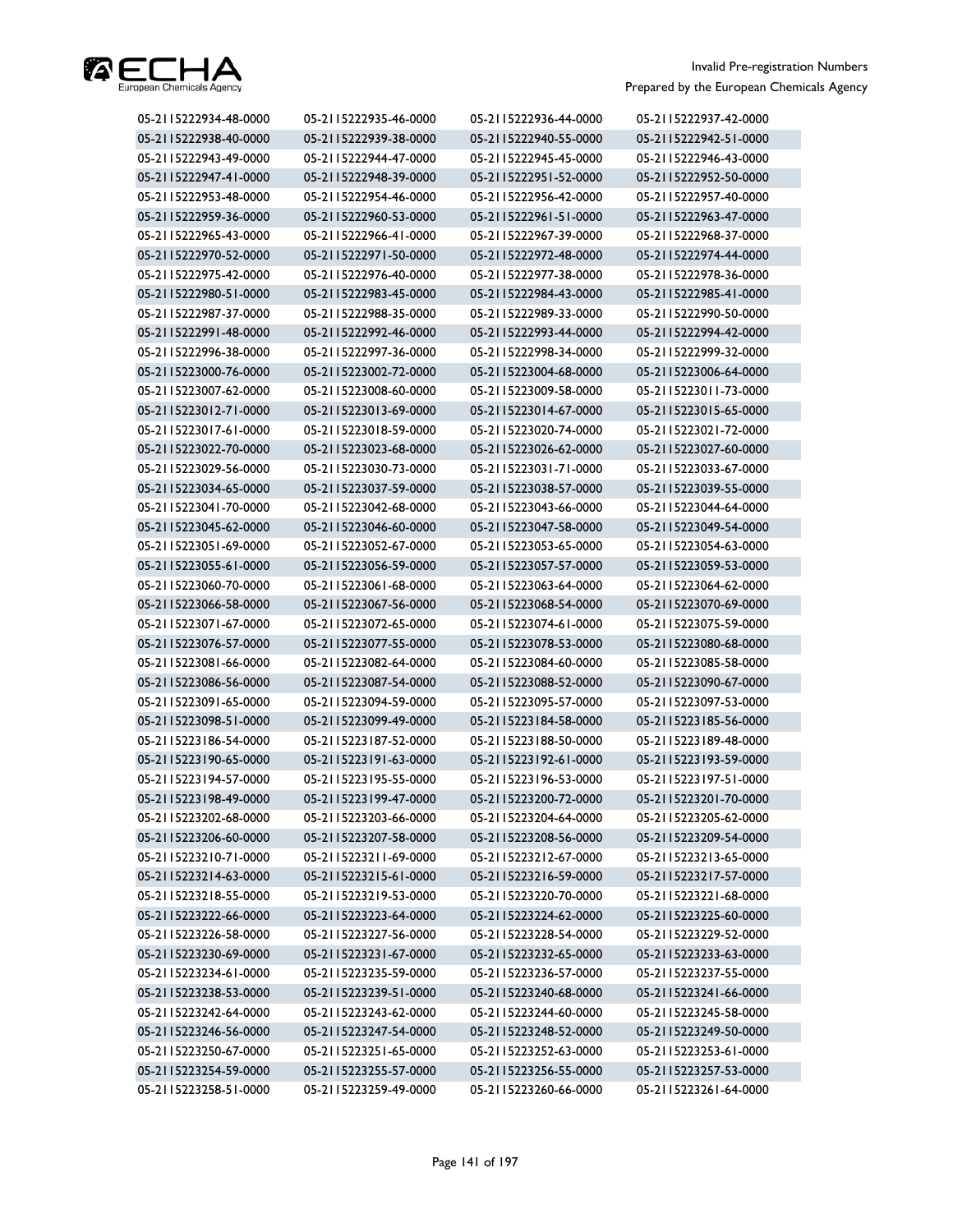

| 05-2115222934-48-0000 | 05-2115222935-46-0000 | 05-2115222936-44-0000 | 05-2115222937-42-0000 |
|-----------------------|-----------------------|-----------------------|-----------------------|
| 05-2115222938-40-0000 | 05-2115222939-38-0000 | 05-2115222940-55-0000 | 05-2115222942-51-0000 |
| 05-2115222943-49-0000 | 05-2115222944-47-0000 | 05-2115222945-45-0000 | 05-2115222946-43-0000 |
| 05-2115222947-41-0000 | 05-2115222948-39-0000 | 05-2115222951-52-0000 | 05-2115222952-50-0000 |
| 05-2115222953-48-0000 | 05-2115222954-46-0000 | 05-2115222956-42-0000 | 05-2115222957-40-0000 |
| 05-2115222959-36-0000 | 05-2115222960-53-0000 | 05-2115222961-51-0000 | 05-2115222963-47-0000 |
| 05-2115222965-43-0000 | 05-2115222966-41-0000 | 05-2115222967-39-0000 | 05-2115222968-37-0000 |
| 05-2115222970-52-0000 | 05-2115222971-50-0000 | 05-2115222972-48-0000 | 05-2115222974-44-0000 |
| 05-2115222975-42-0000 | 05-2115222976-40-0000 | 05-2115222977-38-0000 | 05-2115222978-36-0000 |
| 05-2115222980-51-0000 | 05-2115222983-45-0000 | 05-2115222984-43-0000 | 05-2115222985-41-0000 |
| 05-2115222987-37-0000 | 05-2115222988-35-0000 | 05-2115222989-33-0000 | 05-2115222990-50-0000 |
| 05-2115222991-48-0000 | 05-2115222992-46-0000 | 05-2115222993-44-0000 | 05-2115222994-42-0000 |
| 05-2115222996-38-0000 | 05-2115222997-36-0000 | 05-2115222998-34-0000 | 05-2115222999-32-0000 |
| 05-2115223000-76-0000 | 05-2115223002-72-0000 | 05-2115223004-68-0000 | 05-2115223006-64-0000 |
| 05-2115223007-62-0000 | 05-2115223008-60-0000 | 05-2115223009-58-0000 | 05-2115223011-73-0000 |
| 05-2115223012-71-0000 | 05-2115223013-69-0000 | 05-2115223014-67-0000 | 05-2115223015-65-0000 |
| 05-2115223017-61-0000 | 05-2115223018-59-0000 | 05-2115223020-74-0000 | 05-2115223021-72-0000 |
| 05-2115223022-70-0000 | 05-2115223023-68-0000 | 05-2115223026-62-0000 | 05-2115223027-60-0000 |
| 05-2115223029-56-0000 | 05-2115223030-73-0000 | 05-2115223031-71-0000 | 05-2115223033-67-0000 |
| 05-2115223034-65-0000 | 05-2115223037-59-0000 | 05-2115223038-57-0000 | 05-2115223039-55-0000 |
| 05-2115223041-70-0000 | 05-2115223042-68-0000 | 05-2115223043-66-0000 | 05-2115223044-64-0000 |
| 05-2115223045-62-0000 | 05-2115223046-60-0000 | 05-2115223047-58-0000 | 05-2115223049-54-0000 |
| 05-2115223051-69-0000 | 05-2115223052-67-0000 | 05-2115223053-65-0000 | 05-2115223054-63-0000 |
| 05-2115223055-61-0000 | 05-2115223056-59-0000 | 05-2115223057-57-0000 | 05-2115223059-53-0000 |
| 05-2115223060-70-0000 | 05-2115223061-68-0000 | 05-2115223063-64-0000 | 05-2115223064-62-0000 |
| 05-2115223066-58-0000 | 05-2115223067-56-0000 | 05-2115223068-54-0000 | 05-2115223070-69-0000 |
| 05-2115223071-67-0000 | 05-2115223072-65-0000 | 05-2115223074-61-0000 | 05-2115223075-59-0000 |
| 05-2115223076-57-0000 | 05-2115223077-55-0000 | 05-2115223078-53-0000 | 05-2115223080-68-0000 |
| 05-2115223081-66-0000 | 05-2115223082-64-0000 | 05-2115223084-60-0000 | 05-2115223085-58-0000 |
| 05-2115223086-56-0000 | 05-2115223087-54-0000 | 05-2115223088-52-0000 | 05-2115223090-67-0000 |
| 05-2115223091-65-0000 | 05-2115223094-59-0000 | 05-2115223095-57-0000 | 05-2115223097-53-0000 |
| 05-2115223098-51-0000 | 05-2115223099-49-0000 | 05-2115223184-58-0000 | 05-2115223185-56-0000 |
| 05-2115223186-54-0000 | 05-2115223187-52-0000 | 05-2115223188-50-0000 | 05-2115223189-48-0000 |
| 05-2115223190-65-0000 | 05-2115223191-63-0000 | 05-2115223192-61-0000 | 05-2115223193-59-0000 |
| 05-2115223194-57-0000 | 05-2115223195-55-0000 | 05-2115223196-53-0000 | 05-2115223197-51-0000 |
| 05-2115223198-49-0000 | 05-2115223199-47-0000 | 05-2115223200-72-0000 | 05-2115223201-70-0000 |
| 05-2115223202-68-0000 | 05-2115223203-66-0000 | 05-2115223204-64-0000 | 05-2115223205-62-0000 |
| 05-2115223206-60-0000 | 05-2115223207-58-0000 | 05-2115223208-56-0000 | 05-2115223209-54-0000 |
| 05-2115223210-71-0000 | 05-2115223211-69-0000 | 05-2115223212-67-0000 | 05-2115223213-65-0000 |
| 05-2115223214-63-0000 | 05-2115223215-61-0000 | 05-2115223216-59-0000 | 05-2115223217-57-0000 |
| 05-2115223218-55-0000 | 05-2115223219-53-0000 | 05-2115223220-70-0000 | 05-2115223221-68-0000 |
| 05-2115223222-66-0000 | 05-2115223223-64-0000 | 05-2115223224-62-0000 | 05-2115223225-60-0000 |
| 05-2115223226-58-0000 | 05-2115223227-56-0000 | 05-2115223228-54-0000 | 05-2115223229-52-0000 |
| 05-2115223230-69-0000 | 05-2115223231-67-0000 | 05-2115223232-65-0000 | 05-2115223233-63-0000 |
| 05-2115223234-61-0000 | 05-2115223235-59-0000 | 05-2115223236-57-0000 | 05-2115223237-55-0000 |
| 05-2115223238-53-0000 | 05-2115223239-51-0000 | 05-2115223240-68-0000 | 05-2115223241-66-0000 |
| 05-2115223242-64-0000 | 05-2115223243-62-0000 | 05-2115223244-60-0000 | 05-2115223245-58-0000 |
| 05-2115223246-56-0000 | 05-2115223247-54-0000 | 05-2115223248-52-0000 | 05-2115223249-50-0000 |
| 05-2115223250-67-0000 | 05-2115223251-65-0000 | 05-2115223252-63-0000 | 05-2115223253-61-0000 |
| 05-2115223254-59-0000 | 05-2115223255-57-0000 | 05-2115223256-55-0000 | 05-2115223257-53-0000 |
| 05-2115223258-51-0000 | 05-2115223259-49-0000 | 05-2115223260-66-0000 | 05-2115223261-64-0000 |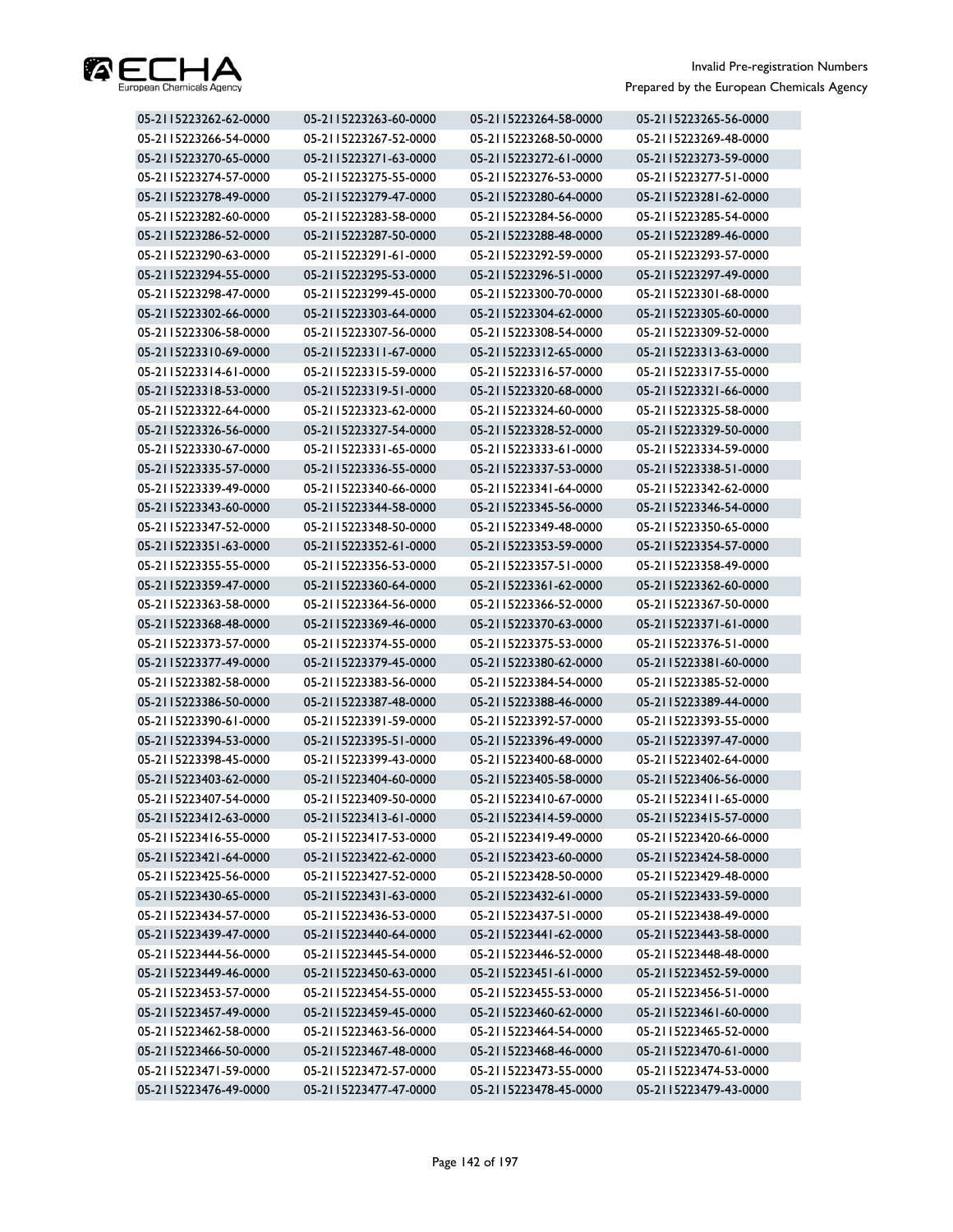

| 05-2115223262-62-0000 | 05-2115223263-60-0000 | 05-2115223264-58-0000 | 05-2115223265-56-0000 |
|-----------------------|-----------------------|-----------------------|-----------------------|
| 05-2115223266-54-0000 | 05-2115223267-52-0000 | 05-2115223268-50-0000 | 05-2115223269-48-0000 |
| 05-2115223270-65-0000 | 05-2115223271-63-0000 | 05-2115223272-61-0000 | 05-2115223273-59-0000 |
| 05-2115223274-57-0000 | 05-2115223275-55-0000 | 05-2115223276-53-0000 | 05-2115223277-51-0000 |
| 05-2115223278-49-0000 | 05-2115223279-47-0000 | 05-2115223280-64-0000 | 05-2115223281-62-0000 |
| 05-2115223282-60-0000 | 05-2115223283-58-0000 | 05-2115223284-56-0000 | 05-2115223285-54-0000 |
| 05-2115223286-52-0000 | 05-2115223287-50-0000 | 05-2115223288-48-0000 | 05-2115223289-46-0000 |
| 05-2115223290-63-0000 | 05-2115223291-61-0000 | 05-2115223292-59-0000 | 05-2115223293-57-0000 |
| 05-2115223294-55-0000 | 05-2115223295-53-0000 | 05-2115223296-51-0000 | 05-2115223297-49-0000 |
| 05-2115223298-47-0000 | 05-2115223299-45-0000 | 05-2115223300-70-0000 | 05-2115223301-68-0000 |
| 05-2115223302-66-0000 | 05-2115223303-64-0000 | 05-2115223304-62-0000 | 05-2115223305-60-0000 |
| 05-2115223306-58-0000 | 05-2115223307-56-0000 | 05-2115223308-54-0000 | 05-2115223309-52-0000 |
| 05-2115223310-69-0000 | 05-2115223311-67-0000 | 05-2115223312-65-0000 | 05-2115223313-63-0000 |
| 05-2115223314-61-0000 | 05-2115223315-59-0000 | 05-2115223316-57-0000 | 05-2115223317-55-0000 |
| 05-2115223318-53-0000 | 05-2115223319-51-0000 | 05-2115223320-68-0000 | 05-2115223321-66-0000 |
| 05-2115223322-64-0000 | 05-2115223323-62-0000 | 05-2115223324-60-0000 | 05-2115223325-58-0000 |
| 05-2115223326-56-0000 | 05-2115223327-54-0000 | 05-2115223328-52-0000 | 05-2115223329-50-0000 |
| 05-2115223330-67-0000 | 05-2115223331-65-0000 | 05-2115223333-61-0000 | 05-2115223334-59-0000 |
| 05-2115223335-57-0000 | 05-2115223336-55-0000 | 05-2115223337-53-0000 | 05-2115223338-51-0000 |
| 05-2115223339-49-0000 | 05-2115223340-66-0000 | 05-2115223341-64-0000 | 05-2115223342-62-0000 |
| 05-2115223343-60-0000 | 05-2115223344-58-0000 | 05-2115223345-56-0000 | 05-2115223346-54-0000 |
| 05-2115223347-52-0000 | 05-2115223348-50-0000 | 05-2115223349-48-0000 | 05-2115223350-65-0000 |
| 05-2115223351-63-0000 | 05-2115223352-61-0000 | 05-2115223353-59-0000 | 05-2115223354-57-0000 |
| 05-2115223355-55-0000 | 05-2115223356-53-0000 | 05-2115223357-51-0000 | 05-2115223358-49-0000 |
| 05-2115223359-47-0000 | 05-2115223360-64-0000 | 05-2115223361-62-0000 | 05-2115223362-60-0000 |
| 05-2115223363-58-0000 | 05-2115223364-56-0000 | 05-2115223366-52-0000 | 05-2115223367-50-0000 |
| 05-2115223368-48-0000 | 05-2115223369-46-0000 | 05-2115223370-63-0000 | 05-2115223371-61-0000 |
| 05-2115223373-57-0000 | 05-2115223374-55-0000 | 05-2115223375-53-0000 | 05-2115223376-51-0000 |
| 05-2115223377-49-0000 | 05-2115223379-45-0000 | 05-2115223380-62-0000 | 05-2115223381-60-0000 |
| 05-2115223382-58-0000 | 05-2115223383-56-0000 | 05-2115223384-54-0000 | 05-2115223385-52-0000 |
| 05-2115223386-50-0000 | 05-2115223387-48-0000 | 05-2115223388-46-0000 | 05-2115223389-44-0000 |
| 05-2115223390-61-0000 | 05-2115223391-59-0000 | 05-2115223392-57-0000 | 05-2115223393-55-0000 |
| 05-2115223394-53-0000 | 05-2115223395-51-0000 | 05-2115223396-49-0000 | 05-2115223397-47-0000 |
| 05-2115223398-45-0000 | 05-2115223399-43-0000 | 05-2115223400-68-0000 | 05-2115223402-64-0000 |
| 05-2115223403-62-0000 | 05-2115223404-60-0000 | 05-2115223405-58-0000 | 05-2115223406-56-0000 |
| 05-2115223407-54-0000 | 05-2115223409-50-0000 | 05-2115223410-67-0000 | 05-2115223411-65-0000 |
| 05-2115223412-63-0000 | 05-2115223413-61-0000 | 05-2115223414-59-0000 | 05-2115223415-57-0000 |
| 05-2115223416-55-0000 | 05-2115223417-53-0000 | 05-2115223419-49-0000 | 05-2115223420-66-0000 |
| 05-2115223421-64-0000 | 05-2115223422-62-0000 | 05-2115223423-60-0000 | 05-2115223424-58-0000 |
| 05-2115223425-56-0000 | 05-2115223427-52-0000 | 05-2115223428-50-0000 | 05-2115223429-48-0000 |
| 05-2115223430-65-0000 | 05-2115223431-63-0000 | 05-2115223432-61-0000 | 05-2115223433-59-0000 |
| 05-2115223434-57-0000 | 05-2115223436-53-0000 | 05-2115223437-51-0000 | 05-2115223438-49-0000 |
| 05-2115223439-47-0000 | 05-2115223440-64-0000 | 05-2115223441-62-0000 | 05-2115223443-58-0000 |
| 05-2115223444-56-0000 | 05-2115223445-54-0000 | 05-2115223446-52-0000 | 05-2115223448-48-0000 |
| 05-2115223449-46-0000 | 05-2115223450-63-0000 | 05-2115223451-61-0000 | 05-2115223452-59-0000 |
| 05-2115223453-57-0000 | 05-2115223454-55-0000 | 05-2115223455-53-0000 | 05-2115223456-51-0000 |
| 05-2115223457-49-0000 | 05-2115223459-45-0000 | 05-2115223460-62-0000 | 05-2115223461-60-0000 |
| 05-2115223462-58-0000 | 05-2115223463-56-0000 | 05-2115223464-54-0000 | 05-2115223465-52-0000 |
| 05-2115223466-50-0000 | 05-2115223467-48-0000 | 05-2115223468-46-0000 | 05-2115223470-61-0000 |
| 05-2115223471-59-0000 | 05-2115223472-57-0000 | 05-2115223473-55-0000 | 05-2115223474-53-0000 |
| 05-2115223476-49-0000 | 05-2115223477-47-0000 | 05-2115223478-45-0000 | 05-2115223479-43-0000 |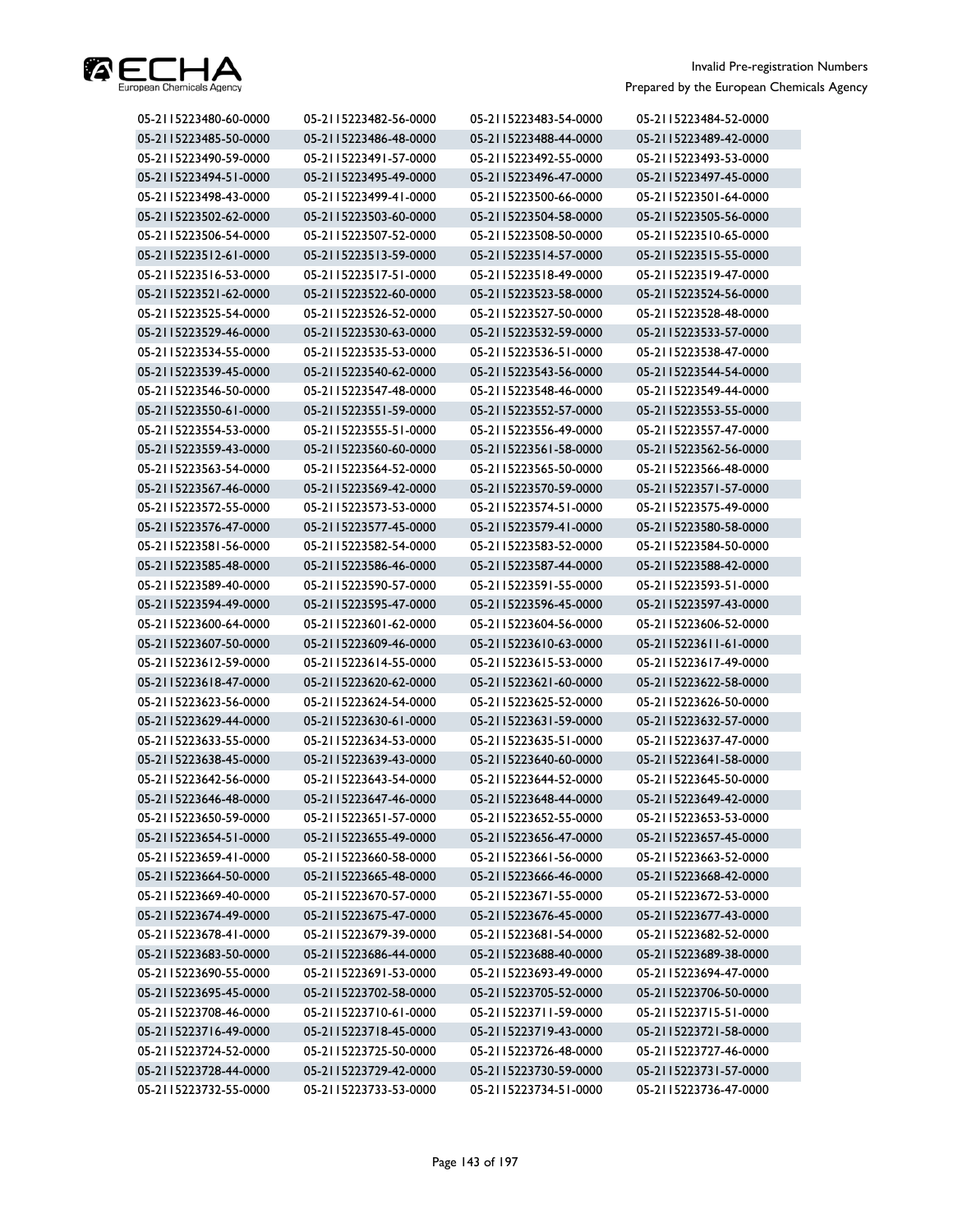

| 05-2115223480-60-0000 | 05-2115223482-56-0000 | 05-2115223483-54-0000 | 05-2115223484-52-0000 |
|-----------------------|-----------------------|-----------------------|-----------------------|
| 05-2115223485-50-0000 | 05-2115223486-48-0000 | 05-2115223488-44-0000 | 05-2115223489-42-0000 |
| 05-2115223490-59-0000 | 05-2115223491-57-0000 | 05-2115223492-55-0000 | 05-2115223493-53-0000 |
| 05-2115223494-51-0000 | 05-2115223495-49-0000 | 05-2115223496-47-0000 | 05-2115223497-45-0000 |
| 05-2115223498-43-0000 | 05-2115223499-41-0000 | 05-2115223500-66-0000 | 05-2115223501-64-0000 |
| 05-2115223502-62-0000 | 05-2115223503-60-0000 | 05-2115223504-58-0000 | 05-2115223505-56-0000 |
| 05-2115223506-54-0000 | 05-2115223507-52-0000 | 05-2115223508-50-0000 | 05-2115223510-65-0000 |
| 05-2115223512-61-0000 | 05-2115223513-59-0000 | 05-2115223514-57-0000 | 05-2115223515-55-0000 |
| 05-2115223516-53-0000 | 05-2115223517-51-0000 | 05-2115223518-49-0000 | 05-2115223519-47-0000 |
| 05-2115223521-62-0000 | 05-2115223522-60-0000 | 05-2115223523-58-0000 | 05-2115223524-56-0000 |
| 05-2115223525-54-0000 | 05-2115223526-52-0000 | 05-2115223527-50-0000 | 05-2115223528-48-0000 |
| 05-2115223529-46-0000 | 05-2115223530-63-0000 | 05-2115223532-59-0000 | 05-2115223533-57-0000 |
| 05-2115223534-55-0000 | 05-2115223535-53-0000 | 05-2115223536-51-0000 | 05-2115223538-47-0000 |
| 05-2115223539-45-0000 | 05-2115223540-62-0000 | 05-2115223543-56-0000 | 05-2115223544-54-0000 |
| 05-2115223546-50-0000 | 05-2115223547-48-0000 | 05-2115223548-46-0000 | 05-2115223549-44-0000 |
| 05-2115223550-61-0000 | 05-2115223551-59-0000 | 05-2115223552-57-0000 | 05-2115223553-55-0000 |
| 05-2115223554-53-0000 | 05-2115223555-51-0000 | 05-2115223556-49-0000 | 05-2115223557-47-0000 |
| 05-2115223559-43-0000 | 05-2115223560-60-0000 | 05-2115223561-58-0000 | 05-2115223562-56-0000 |
| 05-2115223563-54-0000 | 05-2115223564-52-0000 | 05-2115223565-50-0000 | 05-2115223566-48-0000 |
| 05-2115223567-46-0000 | 05-2115223569-42-0000 | 05-2115223570-59-0000 | 05-2115223571-57-0000 |
| 05-2115223572-55-0000 | 05-2115223573-53-0000 | 05-2115223574-51-0000 | 05-2115223575-49-0000 |
| 05-2115223576-47-0000 | 05-2115223577-45-0000 | 05-2115223579-41-0000 | 05-2115223580-58-0000 |
| 05-2115223581-56-0000 | 05-2115223582-54-0000 | 05-2115223583-52-0000 | 05-2115223584-50-0000 |
| 05-2115223585-48-0000 | 05-2115223586-46-0000 | 05-2115223587-44-0000 | 05-2115223588-42-0000 |
| 05-2115223589-40-0000 | 05-2115223590-57-0000 | 05-2115223591-55-0000 | 05-2115223593-51-0000 |
| 05-2115223594-49-0000 | 05-2115223595-47-0000 | 05-2115223596-45-0000 | 05-2115223597-43-0000 |
| 05-2115223600-64-0000 | 05-2115223601-62-0000 | 05-2115223604-56-0000 | 05-2115223606-52-0000 |
| 05-2115223607-50-0000 | 05-2115223609-46-0000 | 05-2115223610-63-0000 | 05-2115223611-61-0000 |
| 05-2115223612-59-0000 | 05-2115223614-55-0000 | 05-2115223615-53-0000 | 05-2115223617-49-0000 |
| 05-2115223618-47-0000 | 05-2115223620-62-0000 | 05-2115223621-60-0000 | 05-2115223622-58-0000 |
| 05-2115223623-56-0000 | 05-2115223624-54-0000 | 05-2115223625-52-0000 | 05-2115223626-50-0000 |
| 05-2115223629-44-0000 | 05-2115223630-61-0000 | 05-2115223631-59-0000 | 05-2115223632-57-0000 |
| 05-2115223633-55-0000 | 05-2115223634-53-0000 | 05-2115223635-51-0000 | 05-2115223637-47-0000 |
| 05-2115223638-45-0000 | 05-2115223639-43-0000 | 05-2115223640-60-0000 | 05-2115223641-58-0000 |
| 05-2115223642-56-0000 | 05-2115223643-54-0000 | 05-2115223644-52-0000 | 05-2115223645-50-0000 |
| 05-2115223646-48-0000 | 05-2115223647-46-0000 | 05-2115223648-44-0000 | 05-2115223649-42-0000 |
| 05-2115223650-59-0000 | 05-2115223651-57-0000 | 05-2115223652-55-0000 | 05-2115223653-53-0000 |
| 05-2115223654-51-0000 | 05-2115223655-49-0000 | 05-2115223656-47-0000 | 05-2115223657-45-0000 |
| 05-2115223659-41-0000 | 05-2115223660-58-0000 | 05-2115223661-56-0000 | 05-2115223663-52-0000 |
| 05-2115223664-50-0000 | 05-2115223665-48-0000 | 05-2115223666-46-0000 | 05-2115223668-42-0000 |
| 05-2115223669-40-0000 | 05-2115223670-57-0000 | 05-2115223671-55-0000 | 05-2115223672-53-0000 |
| 05-2115223674-49-0000 | 05-2115223675-47-0000 | 05-2115223676-45-0000 | 05-2115223677-43-0000 |
| 05-2115223678-41-0000 | 05-2115223679-39-0000 | 05-2115223681-54-0000 | 05-2115223682-52-0000 |
| 05-2115223683-50-0000 | 05-2115223686-44-0000 | 05-2115223688-40-0000 | 05-2115223689-38-0000 |
| 05-2115223690-55-0000 | 05-2115223691-53-0000 | 05-2115223693-49-0000 | 05-2115223694-47-0000 |
| 05-2115223695-45-0000 | 05-2115223702-58-0000 | 05-2115223705-52-0000 | 05-2115223706-50-0000 |
| 05-2115223708-46-0000 | 05-2115223710-61-0000 | 05-2115223711-59-0000 | 05-2115223715-51-0000 |
| 05-2115223716-49-0000 | 05-2115223718-45-0000 | 05-2115223719-43-0000 | 05-2115223721-58-0000 |
| 05-2115223724-52-0000 | 05-2115223725-50-0000 | 05-2115223726-48-0000 | 05-2115223727-46-0000 |
| 05-2115223728-44-0000 | 05-2115223729-42-0000 | 05-2115223730-59-0000 | 05-2115223731-57-0000 |
| 05-2115223732-55-0000 | 05-2115223733-53-0000 | 05-2115223734-51-0000 | 05-2115223736-47-0000 |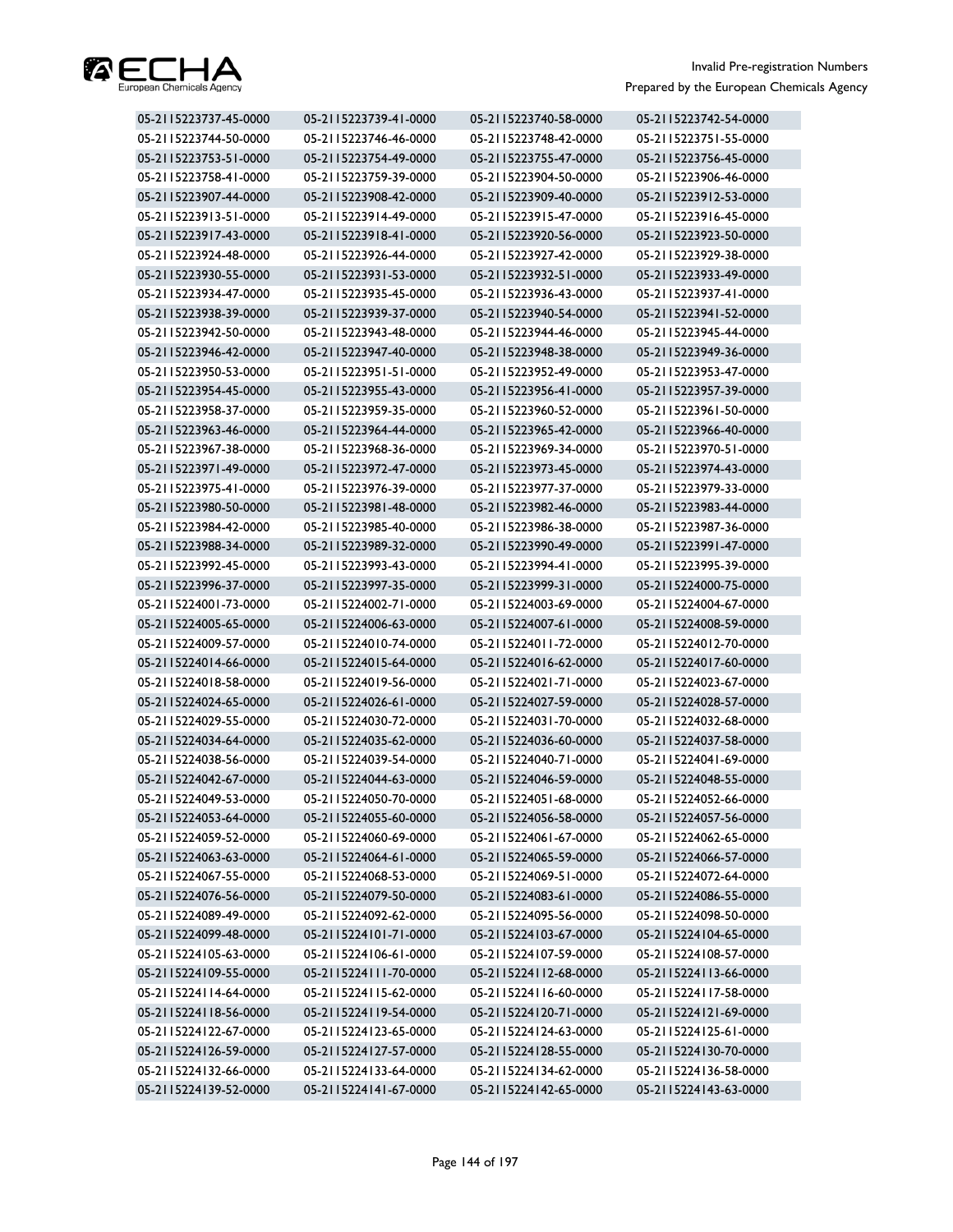

| 05-2115223737-45-0000 | 05-2115223739-41-0000 | 05-2115223740-58-0000 | 05-2115223742-54-0000 |
|-----------------------|-----------------------|-----------------------|-----------------------|
| 05-2115223744-50-0000 | 05-2115223746-46-0000 | 05-2115223748-42-0000 | 05-2115223751-55-0000 |
| 05-2115223753-51-0000 | 05-2115223754-49-0000 | 05-2115223755-47-0000 | 05-2115223756-45-0000 |
| 05-2115223758-41-0000 | 05-2115223759-39-0000 | 05-2115223904-50-0000 | 05-2115223906-46-0000 |
| 05-2115223907-44-0000 | 05-2115223908-42-0000 | 05-2115223909-40-0000 | 05-2115223912-53-0000 |
| 05-2115223913-51-0000 | 05-2115223914-49-0000 | 05-2115223915-47-0000 | 05-2115223916-45-0000 |
| 05-2115223917-43-0000 | 05-2115223918-41-0000 | 05-2115223920-56-0000 | 05-2115223923-50-0000 |
| 05-2115223924-48-0000 | 05-2115223926-44-0000 | 05-2115223927-42-0000 | 05-2115223929-38-0000 |
| 05-2115223930-55-0000 | 05-2115223931-53-0000 | 05-2115223932-51-0000 | 05-2115223933-49-0000 |
| 05-2115223934-47-0000 | 05-2115223935-45-0000 | 05-2115223936-43-0000 | 05-2115223937-41-0000 |
| 05-2115223938-39-0000 | 05-2115223939-37-0000 | 05-2115223940-54-0000 | 05-2115223941-52-0000 |
| 05-2115223942-50-0000 | 05-2115223943-48-0000 | 05-2115223944-46-0000 | 05-2115223945-44-0000 |
| 05-2115223946-42-0000 | 05-2115223947-40-0000 | 05-2115223948-38-0000 | 05-2115223949-36-0000 |
| 05-2115223950-53-0000 | 05-2115223951-51-0000 | 05-2115223952-49-0000 | 05-2115223953-47-0000 |
| 05-2115223954-45-0000 | 05-2115223955-43-0000 | 05-2115223956-41-0000 | 05-2115223957-39-0000 |
| 05-2115223958-37-0000 | 05-2115223959-35-0000 | 05-2115223960-52-0000 | 05-2115223961-50-0000 |
| 05-2115223963-46-0000 | 05-2115223964-44-0000 | 05-2115223965-42-0000 | 05-2115223966-40-0000 |
| 05-2115223967-38-0000 | 05-2115223968-36-0000 | 05-2115223969-34-0000 | 05-2115223970-51-0000 |
| 05-2115223971-49-0000 | 05-2115223972-47-0000 | 05-2115223973-45-0000 | 05-2115223974-43-0000 |
| 05-2115223975-41-0000 | 05-2115223976-39-0000 | 05-2115223977-37-0000 | 05-2115223979-33-0000 |
| 05-2115223980-50-0000 | 05-2115223981-48-0000 | 05-2115223982-46-0000 | 05-2115223983-44-0000 |
| 05-2115223984-42-0000 | 05-2115223985-40-0000 | 05-2115223986-38-0000 | 05-2115223987-36-0000 |
| 05-2115223988-34-0000 | 05-2115223989-32-0000 | 05-2115223990-49-0000 | 05-2115223991-47-0000 |
| 05-2115223992-45-0000 | 05-2115223993-43-0000 | 05-2115223994-41-0000 | 05-2115223995-39-0000 |
| 05-2115223996-37-0000 | 05-2115223997-35-0000 | 05-2115223999-31-0000 | 05-2115224000-75-0000 |
| 05-2115224001-73-0000 | 05-2115224002-71-0000 | 05-2115224003-69-0000 | 05-2115224004-67-0000 |
| 05-2115224005-65-0000 | 05-2115224006-63-0000 | 05-2115224007-61-0000 | 05-2115224008-59-0000 |
| 05-2115224009-57-0000 | 05-2115224010-74-0000 | 05-2115224011-72-0000 | 05-2115224012-70-0000 |
| 05-2115224014-66-0000 | 05-2115224015-64-0000 | 05-2115224016-62-0000 | 05-2115224017-60-0000 |
| 05-2115224018-58-0000 | 05-2115224019-56-0000 | 05-2115224021-71-0000 | 05-2115224023-67-0000 |
| 05-2115224024-65-0000 | 05-2115224026-61-0000 | 05-2115224027-59-0000 | 05-2115224028-57-0000 |
| 05-2115224029-55-0000 | 05-2115224030-72-0000 | 05-2115224031-70-0000 | 05-2115224032-68-0000 |
| 05-2115224034-64-0000 | 05-2115224035-62-0000 | 05-2115224036-60-0000 | 05-2115224037-58-0000 |
| 05-2115224038-56-0000 | 05-2115224039-54-0000 | 05-2115224040-71-0000 | 05-2115224041-69-0000 |
| 05-2115224042-67-0000 | 05-2115224044-63-0000 | 05-2115224046-59-0000 | 05-2115224048-55-0000 |
| 05-2115224049-53-0000 | 05-2115224050-70-0000 | 05-2115224051-68-0000 | 05-2115224052-66-0000 |
| 05-2115224053-64-0000 | 05-2115224055-60-0000 | 05-2115224056-58-0000 | 05-2115224057-56-0000 |
| 05-2115224059-52-0000 | 05-2115224060-69-0000 | 05-2115224061-67-0000 | 05-2115224062-65-0000 |
| 05-2115224063-63-0000 | 05-2115224064-61-0000 | 05-2115224065-59-0000 | 05-2115224066-57-0000 |
| 05-2115224067-55-0000 | 05-2115224068-53-0000 | 05-2115224069-51-0000 | 05-2115224072-64-0000 |
| 05-2115224076-56-0000 | 05-2115224079-50-0000 | 05-2115224083-61-0000 | 05-2115224086-55-0000 |
| 05-2115224089-49-0000 | 05-2115224092-62-0000 | 05-2115224095-56-0000 | 05-2115224098-50-0000 |
| 05-2115224099-48-0000 | 05-2115224101-71-0000 | 05-2115224103-67-0000 | 05-2115224104-65-0000 |
| 05-2115224105-63-0000 | 05-2115224106-61-0000 | 05-2115224107-59-0000 | 05-2115224108-57-0000 |
| 05-2115224109-55-0000 | 05-2115224111-70-0000 | 05-2115224112-68-0000 | 05-2115224113-66-0000 |
| 05-2115224114-64-0000 | 05-2115224115-62-0000 | 05-2115224116-60-0000 | 05-2115224117-58-0000 |
| 05-2115224118-56-0000 | 05-2115224119-54-0000 | 05-2115224120-71-0000 | 05-2115224121-69-0000 |
| 05-2115224122-67-0000 | 05-2115224123-65-0000 | 05-2115224124-63-0000 | 05-2115224125-61-0000 |
| 05-2115224126-59-0000 | 05-2115224127-57-0000 | 05-2115224128-55-0000 | 05-2115224130-70-0000 |
| 05-2115224132-66-0000 | 05-2115224133-64-0000 | 05-2115224134-62-0000 | 05-2115224136-58-0000 |
| 05-2115224139-52-0000 | 05-2115224141-67-0000 | 05-2115224142-65-0000 | 05-2115224143-63-0000 |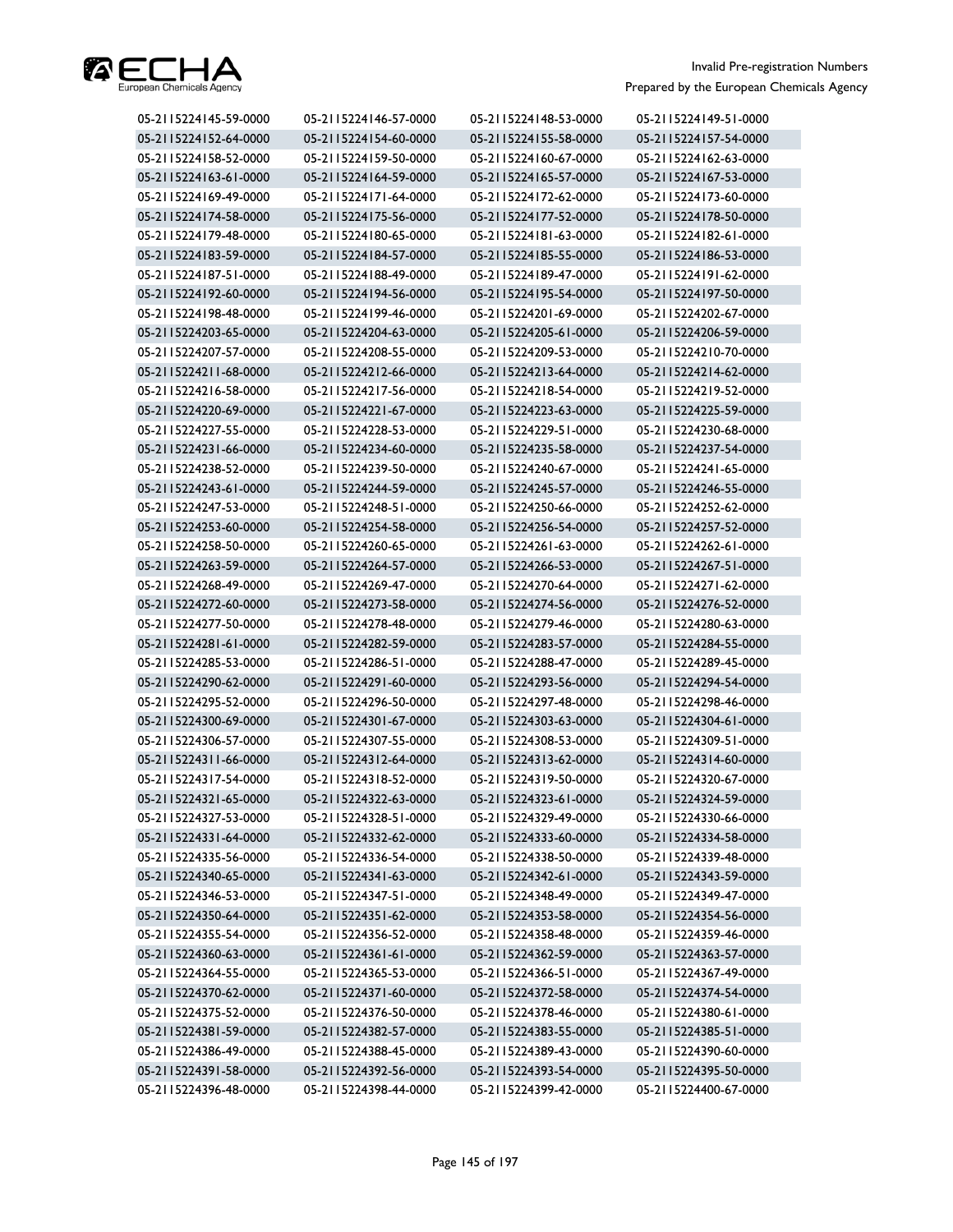

| 05-2115224145-59-0000 | 05-2115224146-57-0000 | 05-2115224148-53-0000 | 05-2115224149-51-0000 |
|-----------------------|-----------------------|-----------------------|-----------------------|
| 05-2115224152-64-0000 | 05-2115224154-60-0000 | 05-2115224155-58-0000 | 05-2115224157-54-0000 |
| 05-2115224158-52-0000 | 05-2115224159-50-0000 | 05-2115224160-67-0000 | 05-2115224162-63-0000 |
| 05-2115224163-61-0000 | 05-2115224164-59-0000 | 05-2115224165-57-0000 | 05-2115224167-53-0000 |
| 05-2115224169-49-0000 | 05-2115224171-64-0000 | 05-2115224172-62-0000 | 05-2115224173-60-0000 |
| 05-2115224174-58-0000 | 05-2115224175-56-0000 | 05-2115224177-52-0000 | 05-2115224178-50-0000 |
| 05-2115224179-48-0000 | 05-2115224180-65-0000 | 05-2115224181-63-0000 | 05-2115224182-61-0000 |
| 05-2115224183-59-0000 | 05-2115224184-57-0000 | 05-2115224185-55-0000 | 05-2115224186-53-0000 |
| 05-2115224187-51-0000 | 05-2115224188-49-0000 | 05-2115224189-47-0000 | 05-2115224191-62-0000 |
| 05-2115224192-60-0000 | 05-2115224194-56-0000 | 05-2115224195-54-0000 | 05-2115224197-50-0000 |
| 05-2115224198-48-0000 | 05-2115224199-46-0000 | 05-2115224201-69-0000 | 05-2115224202-67-0000 |
| 05-2115224203-65-0000 | 05-2115224204-63-0000 | 05-2115224205-61-0000 | 05-2115224206-59-0000 |
| 05-2115224207-57-0000 | 05-2115224208-55-0000 | 05-2115224209-53-0000 | 05-2115224210-70-0000 |
| 05-2115224211-68-0000 | 05-2115224212-66-0000 | 05-2115224213-64-0000 | 05-2115224214-62-0000 |
| 05-2115224216-58-0000 | 05-2115224217-56-0000 | 05-2115224218-54-0000 | 05-2115224219-52-0000 |
| 05-2115224220-69-0000 | 05-2115224221-67-0000 | 05-2115224223-63-0000 | 05-2115224225-59-0000 |
| 05-2115224227-55-0000 | 05-2115224228-53-0000 | 05-2115224229-51-0000 | 05-2115224230-68-0000 |
| 05-2115224231-66-0000 | 05-2115224234-60-0000 | 05-2115224235-58-0000 | 05-2115224237-54-0000 |
| 05-2115224238-52-0000 | 05-2115224239-50-0000 | 05-2115224240-67-0000 | 05-2115224241-65-0000 |
| 05-2115224243-61-0000 | 05-2115224244-59-0000 | 05-2115224245-57-0000 | 05-2115224246-55-0000 |
| 05-2115224247-53-0000 | 05-2115224248-51-0000 | 05-2115224250-66-0000 | 05-2115224252-62-0000 |
| 05-2115224253-60-0000 | 05-2115224254-58-0000 | 05-2115224256-54-0000 | 05-2115224257-52-0000 |
| 05-2115224258-50-0000 | 05-2115224260-65-0000 | 05-2115224261-63-0000 | 05-2115224262-61-0000 |
| 05-2115224263-59-0000 | 05-2115224264-57-0000 | 05-2115224266-53-0000 | 05-2115224267-51-0000 |
| 05-2115224268-49-0000 | 05-2115224269-47-0000 | 05-2115224270-64-0000 | 05-2115224271-62-0000 |
| 05-2115224272-60-0000 | 05-2115224273-58-0000 | 05-2115224274-56-0000 | 05-2115224276-52-0000 |
| 05-2115224277-50-0000 | 05-2115224278-48-0000 | 05-2115224279-46-0000 | 05-2115224280-63-0000 |
| 05-2115224281-61-0000 | 05-2115224282-59-0000 | 05-2115224283-57-0000 | 05-2115224284-55-0000 |
| 05-2115224285-53-0000 | 05-2115224286-51-0000 | 05-2115224288-47-0000 | 05-2115224289-45-0000 |
| 05-2115224290-62-0000 | 05-2115224291-60-0000 | 05-2115224293-56-0000 | 05-2115224294-54-0000 |
| 05-2115224295-52-0000 | 05-2115224296-50-0000 | 05-2115224297-48-0000 | 05-2115224298-46-0000 |
| 05-2115224300-69-0000 | 05-2115224301-67-0000 | 05-2115224303-63-0000 | 05-2115224304-61-0000 |
| 05-2115224306-57-0000 | 05-2115224307-55-0000 | 05-2115224308-53-0000 | 05-2115224309-51-0000 |
| 05-2115224311-66-0000 | 05-2115224312-64-0000 | 05-2115224313-62-0000 | 05-2115224314-60-0000 |
| 05-2115224317-54-0000 | 05-2115224318-52-0000 | 05-2115224319-50-0000 | 05-2115224320-67-0000 |
| 05-2115224321-65-0000 | 05-2115224322-63-0000 | 05-2115224323-61-0000 | 05-2115224324-59-0000 |
| 05-2115224327-53-0000 | 05-2115224328-51-0000 | 05-2115224329-49-0000 | 05-2115224330-66-0000 |
| 05-2115224331-64-0000 | 05-2115224332-62-0000 | 05-2115224333-60-0000 | 05-2115224334-58-0000 |
| 05-2115224335-56-0000 | 05-2115224336-54-0000 | 05-2115224338-50-0000 | 05-2115224339-48-0000 |
| 05-2115224340-65-0000 | 05-2115224341-63-0000 | 05-2115224342-61-0000 | 05-2115224343-59-0000 |
| 05-2115224346-53-0000 | 05-2115224347-51-0000 | 05-2115224348-49-0000 | 05-2115224349-47-0000 |
| 05-2115224350-64-0000 | 05-2115224351-62-0000 | 05-2115224353-58-0000 | 05-2115224354-56-0000 |
| 05-2115224355-54-0000 | 05-2115224356-52-0000 | 05-2115224358-48-0000 | 05-2115224359-46-0000 |
| 05-2115224360-63-0000 | 05-2115224361-61-0000 | 05-2115224362-59-0000 | 05-2115224363-57-0000 |
| 05-2115224364-55-0000 | 05-2115224365-53-0000 | 05-2115224366-51-0000 | 05-2115224367-49-0000 |
| 05-2115224370-62-0000 | 05-2115224371-60-0000 | 05-2115224372-58-0000 | 05-2115224374-54-0000 |
| 05-2115224375-52-0000 | 05-2115224376-50-0000 | 05-2115224378-46-0000 | 05-2115224380-61-0000 |
| 05-2115224381-59-0000 | 05-2115224382-57-0000 | 05-2115224383-55-0000 | 05-2115224385-51-0000 |
| 05-2115224386-49-0000 | 05-2115224388-45-0000 | 05-2115224389-43-0000 | 05-2115224390-60-0000 |
| 05-2115224391-58-0000 | 05-2115224392-56-0000 | 05-2115224393-54-0000 | 05-2115224395-50-0000 |
| 05-2115224396-48-0000 | 05-2115224398-44-0000 | 05-2115224399-42-0000 | 05-2115224400-67-0000 |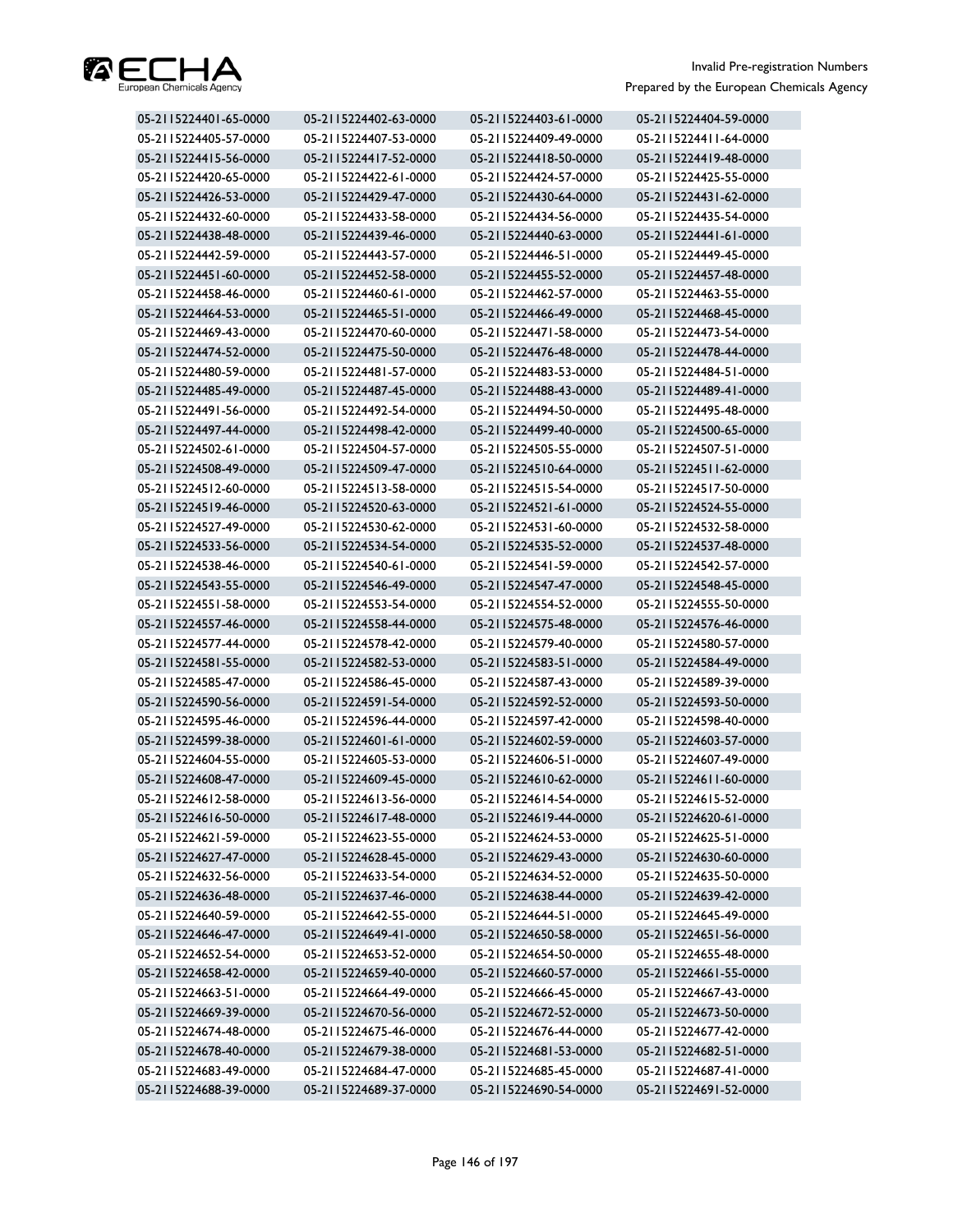

| 05-2115224401-65-0000 | 05-2115224402-63-0000 | 05-2115224403-61-0000 | 05-2115224404-59-0000 |
|-----------------------|-----------------------|-----------------------|-----------------------|
| 05-2115224405-57-0000 | 05-2115224407-53-0000 | 05-2115224409-49-0000 | 05-2115224411-64-0000 |
| 05-2115224415-56-0000 | 05-2115224417-52-0000 | 05-2115224418-50-0000 | 05-2115224419-48-0000 |
| 05-2115224420-65-0000 | 05-2115224422-61-0000 | 05-2115224424-57-0000 | 05-2115224425-55-0000 |
| 05-2115224426-53-0000 | 05-2115224429-47-0000 | 05-2115224430-64-0000 | 05-2115224431-62-0000 |
| 05-2115224432-60-0000 | 05-2115224433-58-0000 | 05-2115224434-56-0000 | 05-2115224435-54-0000 |
| 05-2115224438-48-0000 | 05-2115224439-46-0000 | 05-2115224440-63-0000 | 05-2115224441-61-0000 |
| 05-2115224442-59-0000 | 05-2115224443-57-0000 | 05-2115224446-51-0000 | 05-2115224449-45-0000 |
| 05-2115224451-60-0000 | 05-2115224452-58-0000 | 05-2115224455-52-0000 | 05-2115224457-48-0000 |
| 05-2115224458-46-0000 | 05-2115224460-61-0000 | 05-2115224462-57-0000 | 05-2115224463-55-0000 |
| 05-2115224464-53-0000 | 05-2115224465-51-0000 | 05-2115224466-49-0000 | 05-2115224468-45-0000 |
| 05-2115224469-43-0000 | 05-2115224470-60-0000 | 05-2115224471-58-0000 | 05-2115224473-54-0000 |
| 05-2115224474-52-0000 | 05-2115224475-50-0000 | 05-2115224476-48-0000 | 05-2115224478-44-0000 |
| 05-2115224480-59-0000 | 05-2115224481-57-0000 | 05-2115224483-53-0000 | 05-2115224484-51-0000 |
| 05-2115224485-49-0000 | 05-2115224487-45-0000 | 05-2115224488-43-0000 | 05-2115224489-41-0000 |
| 05-2115224491-56-0000 | 05-2115224492-54-0000 | 05-2115224494-50-0000 | 05-2115224495-48-0000 |
| 05-2115224497-44-0000 | 05-2115224498-42-0000 | 05-2115224499-40-0000 | 05-2115224500-65-0000 |
| 05-2115224502-61-0000 | 05-2115224504-57-0000 | 05-2115224505-55-0000 | 05-2115224507-51-0000 |
| 05-2115224508-49-0000 | 05-2115224509-47-0000 | 05-2115224510-64-0000 | 05-2115224511-62-0000 |
| 05-2115224512-60-0000 | 05-2115224513-58-0000 | 05-2115224515-54-0000 | 05-2115224517-50-0000 |
| 05-2115224519-46-0000 | 05-2115224520-63-0000 | 05-2115224521-61-0000 | 05-2115224524-55-0000 |
| 05-2115224527-49-0000 | 05-2115224530-62-0000 | 05-2115224531-60-0000 | 05-2115224532-58-0000 |
| 05-2115224533-56-0000 | 05-2115224534-54-0000 | 05-2115224535-52-0000 | 05-2115224537-48-0000 |
| 05-2115224538-46-0000 | 05-2115224540-61-0000 | 05-2115224541-59-0000 | 05-2115224542-57-0000 |
| 05-2115224543-55-0000 | 05-2115224546-49-0000 | 05-2115224547-47-0000 | 05-2115224548-45-0000 |
| 05-2115224551-58-0000 | 05-2115224553-54-0000 | 05-2115224554-52-0000 | 05-2115224555-50-0000 |
| 05-2115224557-46-0000 | 05-2115224558-44-0000 | 05-2115224575-48-0000 | 05-2115224576-46-0000 |
| 05-2115224577-44-0000 | 05-2115224578-42-0000 | 05-2115224579-40-0000 | 05-2115224580-57-0000 |
| 05-2115224581-55-0000 | 05-2115224582-53-0000 | 05-2115224583-51-0000 | 05-2115224584-49-0000 |
| 05-2115224585-47-0000 | 05-2115224586-45-0000 | 05-2115224587-43-0000 | 05-2115224589-39-0000 |
| 05-2115224590-56-0000 | 05-2115224591-54-0000 | 05-2115224592-52-0000 | 05-2115224593-50-0000 |
| 05-2115224595-46-0000 | 05-2115224596-44-0000 | 05-2115224597-42-0000 | 05-2115224598-40-0000 |
| 05-2115224599-38-0000 | 05-2115224601-61-0000 | 05-2115224602-59-0000 | 05-2115224603-57-0000 |
| 05-2115224604-55-0000 | 05-2115224605-53-0000 | 05-2115224606-51-0000 | 05-2115224607-49-0000 |
| 05-2115224608-47-0000 | 05-2115224609-45-0000 | 05-2115224610-62-0000 | 05-2115224611-60-0000 |
| 05-2115224612-58-0000 | 05-2115224613-56-0000 | 05-2115224614-54-0000 | 05-2115224615-52-0000 |
| 05-2115224616-50-0000 | 05-2115224617-48-0000 | 05-2115224619-44-0000 | 05-2115224620-61-0000 |
| 05-2115224621-59-0000 | 05-2115224623-55-0000 | 05-2115224624-53-0000 | 05-2115224625-51-0000 |
| 05-2115224627-47-0000 | 05-2115224628-45-0000 | 05-2115224629-43-0000 | 05-2115224630-60-0000 |
| 05-2115224632-56-0000 | 05-2115224633-54-0000 | 05-2115224634-52-0000 | 05-2115224635-50-0000 |
| 05-2115224636-48-0000 | 05-2115224637-46-0000 | 05-2115224638-44-0000 | 05-2115224639-42-0000 |
| 05-2115224640-59-0000 | 05-2115224642-55-0000 | 05-2115224644-51-0000 | 05-2115224645-49-0000 |
| 05-2115224646-47-0000 | 05-2115224649-41-0000 | 05-2115224650-58-0000 | 05-2115224651-56-0000 |
| 05-2115224652-54-0000 | 05-2115224653-52-0000 | 05-2115224654-50-0000 | 05-2115224655-48-0000 |
| 05-2115224658-42-0000 | 05-2115224659-40-0000 | 05-2115224660-57-0000 | 05-2115224661-55-0000 |
| 05-2115224663-51-0000 | 05-2115224664-49-0000 | 05-2115224666-45-0000 | 05-2115224667-43-0000 |
| 05-2115224669-39-0000 | 05-2115224670-56-0000 | 05-2115224672-52-0000 | 05-2115224673-50-0000 |
| 05-2115224674-48-0000 | 05-2115224675-46-0000 | 05-2115224676-44-0000 | 05-2115224677-42-0000 |
| 05-2115224678-40-0000 | 05-2115224679-38-0000 | 05-2115224681-53-0000 | 05-2115224682-51-0000 |
| 05-2115224683-49-0000 | 05-2115224684-47-0000 | 05-2115224685-45-0000 | 05-2115224687-41-0000 |
| 05-2115224688-39-0000 | 05-2115224689-37-0000 | 05-2115224690-54-0000 | 05-2115224691-52-0000 |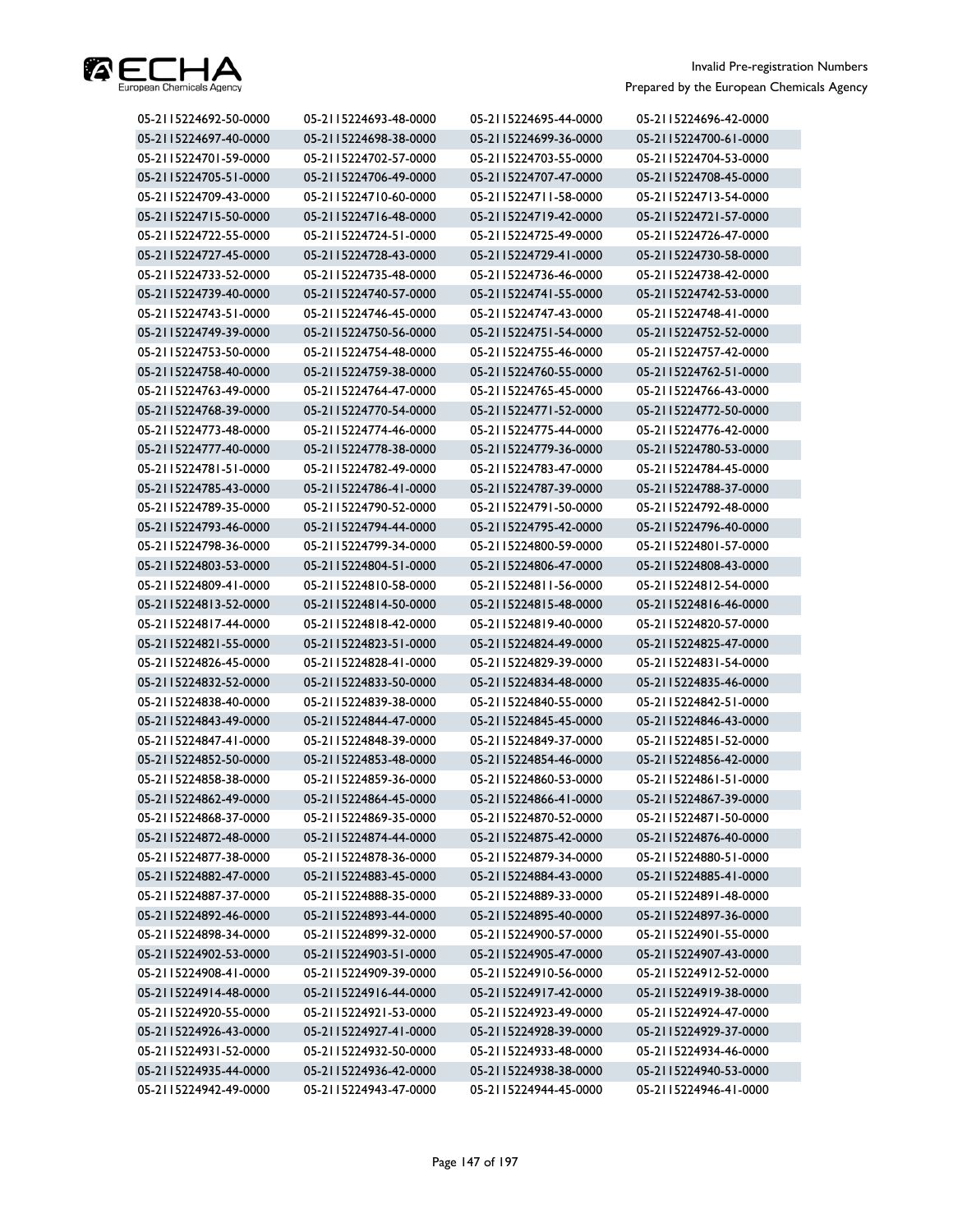

| 05-2115224692-50-0000 | 05-2115224693-48-0000 | 05-2115224695-44-0000 | 05-2115224696-42-0000 |
|-----------------------|-----------------------|-----------------------|-----------------------|
| 05-2115224697-40-0000 | 05-2115224698-38-0000 | 05-2115224699-36-0000 | 05-2115224700-61-0000 |
| 05-2115224701-59-0000 | 05-2115224702-57-0000 | 05-2115224703-55-0000 | 05-2115224704-53-0000 |
| 05-2115224705-51-0000 | 05-2115224706-49-0000 | 05-2115224707-47-0000 | 05-2115224708-45-0000 |
| 05-2115224709-43-0000 | 05-2115224710-60-0000 | 05-2115224711-58-0000 | 05-2115224713-54-0000 |
| 05-2115224715-50-0000 | 05-2115224716-48-0000 | 05-2115224719-42-0000 | 05-2115224721-57-0000 |
| 05-2115224722-55-0000 | 05-2115224724-51-0000 | 05-2115224725-49-0000 | 05-2115224726-47-0000 |
| 05-2115224727-45-0000 | 05-2115224728-43-0000 | 05-2115224729-41-0000 | 05-2115224730-58-0000 |
| 05-2115224733-52-0000 | 05-2115224735-48-0000 | 05-2115224736-46-0000 | 05-2115224738-42-0000 |
| 05-2115224739-40-0000 | 05-2115224740-57-0000 | 05-2115224741-55-0000 | 05-2115224742-53-0000 |
| 05-2115224743-51-0000 | 05-2115224746-45-0000 | 05-2115224747-43-0000 | 05-2115224748-41-0000 |
| 05-2115224749-39-0000 | 05-2115224750-56-0000 | 05-2115224751-54-0000 | 05-2115224752-52-0000 |
| 05-2115224753-50-0000 | 05-2115224754-48-0000 | 05-2115224755-46-0000 | 05-2115224757-42-0000 |
| 05-2115224758-40-0000 | 05-2115224759-38-0000 | 05-2115224760-55-0000 | 05-2115224762-51-0000 |
| 05-2115224763-49-0000 | 05-2115224764-47-0000 | 05-2115224765-45-0000 | 05-2115224766-43-0000 |
| 05-2115224768-39-0000 | 05-2115224770-54-0000 | 05-2115224771-52-0000 | 05-2115224772-50-0000 |
| 05-2115224773-48-0000 | 05-2115224774-46-0000 | 05-2115224775-44-0000 | 05-2115224776-42-0000 |
| 05-2115224777-40-0000 | 05-2115224778-38-0000 | 05-2115224779-36-0000 | 05-2115224780-53-0000 |
| 05-2115224781-51-0000 | 05-2115224782-49-0000 | 05-2115224783-47-0000 | 05-2115224784-45-0000 |
| 05-2115224785-43-0000 | 05-2115224786-41-0000 | 05-2115224787-39-0000 | 05-2115224788-37-0000 |
| 05-2115224789-35-0000 | 05-2115224790-52-0000 | 05-2115224791-50-0000 | 05-2115224792-48-0000 |
| 05-2115224793-46-0000 | 05-2115224794-44-0000 | 05-2115224795-42-0000 | 05-2115224796-40-0000 |
| 05-2115224798-36-0000 | 05-2115224799-34-0000 | 05-2115224800-59-0000 | 05-2115224801-57-0000 |
| 05-2115224803-53-0000 | 05-2115224804-51-0000 | 05-2115224806-47-0000 | 05-2115224808-43-0000 |
| 05-2115224809-41-0000 | 05-2115224810-58-0000 | 05-2115224811-56-0000 | 05-2115224812-54-0000 |
| 05-2115224813-52-0000 | 05-2115224814-50-0000 | 05-2115224815-48-0000 | 05-2115224816-46-0000 |
| 05-2115224817-44-0000 | 05-2115224818-42-0000 | 05-2115224819-40-0000 | 05-2115224820-57-0000 |
| 05-2115224821-55-0000 | 05-2115224823-51-0000 | 05-2115224824-49-0000 | 05-2115224825-47-0000 |
| 05-2115224826-45-0000 | 05-2115224828-41-0000 | 05-2115224829-39-0000 | 05-2115224831-54-0000 |
| 05-2115224832-52-0000 | 05-2115224833-50-0000 | 05-2115224834-48-0000 | 05-2115224835-46-0000 |
| 05-2115224838-40-0000 | 05-2115224839-38-0000 | 05-2115224840-55-0000 | 05-2115224842-51-0000 |
| 05-2115224843-49-0000 | 05-2115224844-47-0000 | 05-2115224845-45-0000 | 05-2115224846-43-0000 |
| 05-2115224847-41-0000 | 05-2115224848-39-0000 | 05-2115224849-37-0000 | 05-2115224851-52-0000 |
| 05-2115224852-50-0000 | 05-2115224853-48-0000 | 05-2115224854-46-0000 | 05-2115224856-42-0000 |
| 05-2115224858-38-0000 | 05-2115224859-36-0000 | 05-2115224860-53-0000 | 05-2115224861-51-0000 |
| 05-2115224862-49-0000 | 05-2115224864-45-0000 | 05-2115224866-41-0000 | 05-2115224867-39-0000 |
| 05-2115224868-37-0000 | 05-2115224869-35-0000 | 05-2115224870-52-0000 | 05-2115224871-50-0000 |
| 05-2115224872-48-0000 | 05-2115224874-44-0000 | 05-2115224875-42-0000 | 05-2115224876-40-0000 |
| 05-2115224877-38-0000 | 05-2115224878-36-0000 | 05-2115224879-34-0000 | 05-2115224880-51-0000 |
| 05-2115224882-47-0000 | 05-2115224883-45-0000 | 05-2115224884-43-0000 | 05-2115224885-41-0000 |
| 05-2115224887-37-0000 | 05-2115224888-35-0000 | 05-2115224889-33-0000 | 05-2115224891-48-0000 |
| 05-2115224892-46-0000 | 05-2115224893-44-0000 | 05-2115224895-40-0000 | 05-2115224897-36-0000 |
| 05-2115224898-34-0000 | 05-2115224899-32-0000 | 05-2115224900-57-0000 | 05-2115224901-55-0000 |
| 05-2115224902-53-0000 | 05-2115224903-51-0000 | 05-2115224905-47-0000 | 05-2115224907-43-0000 |
| 05-2115224908-41-0000 | 05-2115224909-39-0000 | 05-2115224910-56-0000 | 05-2115224912-52-0000 |
| 05-2115224914-48-0000 | 05-2115224916-44-0000 | 05-2115224917-42-0000 | 05-2115224919-38-0000 |
| 05-2115224920-55-0000 | 05-2115224921-53-0000 | 05-2115224923-49-0000 | 05-2115224924-47-0000 |
| 05-2115224926-43-0000 | 05-2115224927-41-0000 | 05-2115224928-39-0000 | 05-2115224929-37-0000 |
| 05-2115224931-52-0000 | 05-2115224932-50-0000 | 05-2115224933-48-0000 | 05-2115224934-46-0000 |
| 05-2115224935-44-0000 | 05-2115224936-42-0000 | 05-2115224938-38-0000 | 05-2115224940-53-0000 |
| 05-2115224942-49-0000 | 05-2115224943-47-0000 | 05-2115224944-45-0000 | 05-2115224946-41-0000 |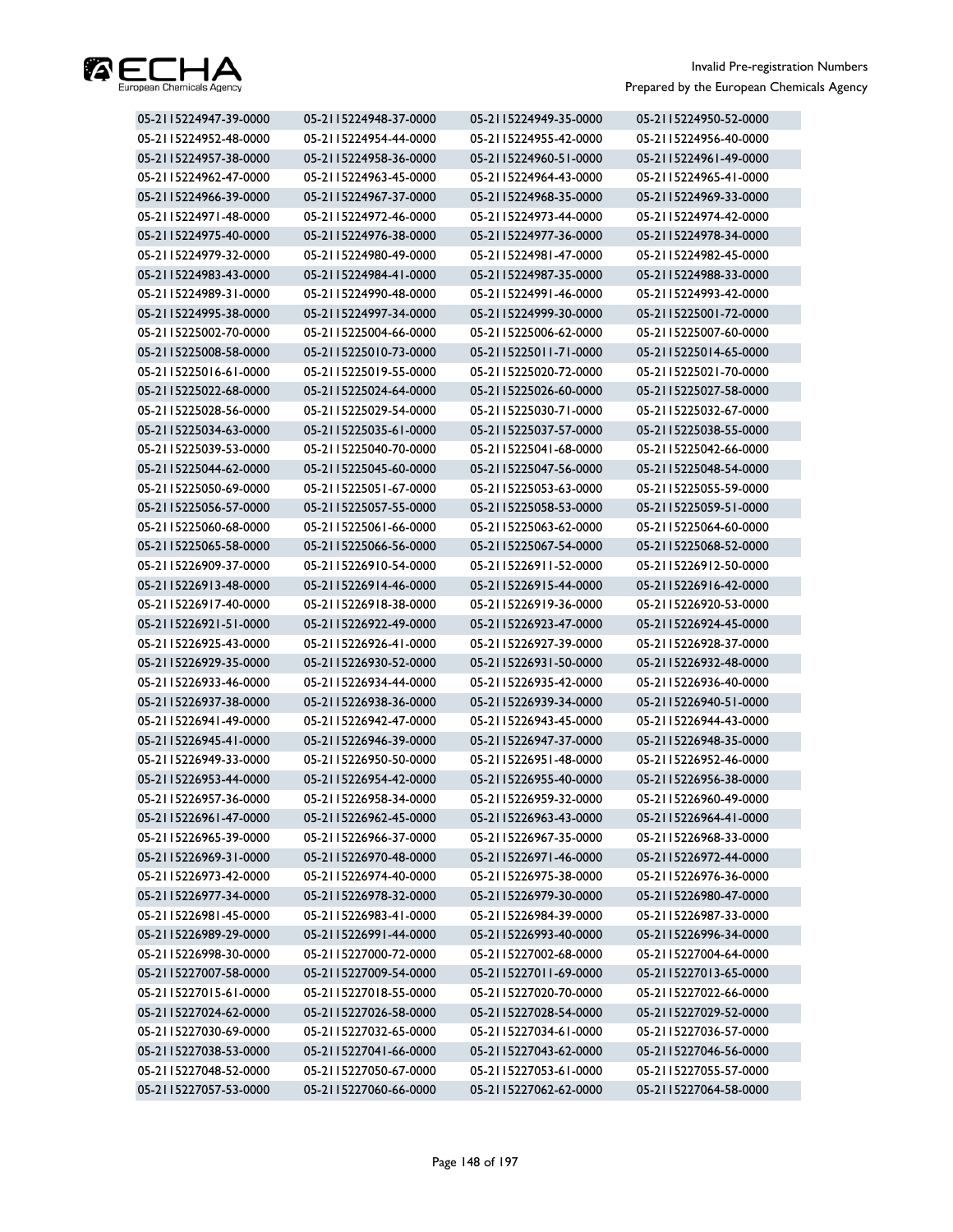

| 05-2115224947-39-0000 | 05-2115224948-37-0000 | 05-2115224949-35-0000 | 05-2115224950-52-0000 |
|-----------------------|-----------------------|-----------------------|-----------------------|
| 05-2115224952-48-0000 | 05-2115224954-44-0000 | 05-2115224955-42-0000 | 05-2115224956-40-0000 |
| 05-2115224957-38-0000 | 05-2115224958-36-0000 | 05-2115224960-51-0000 | 05-2115224961-49-0000 |
| 05-2115224962-47-0000 | 05-2115224963-45-0000 | 05-2115224964-43-0000 | 05-2115224965-41-0000 |
| 05-2115224966-39-0000 | 05-2115224967-37-0000 | 05-2115224968-35-0000 | 05-2115224969-33-0000 |
| 05-2115224971-48-0000 | 05-2115224972-46-0000 | 05-2115224973-44-0000 | 05-2115224974-42-0000 |
| 05-2115224975-40-0000 | 05-2115224976-38-0000 | 05-2115224977-36-0000 | 05-2115224978-34-0000 |
| 05-2115224979-32-0000 | 05-2115224980-49-0000 | 05-2115224981-47-0000 | 05-2115224982-45-0000 |
| 05-2115224983-43-0000 | 05-2115224984-41-0000 | 05-2115224987-35-0000 | 05-2115224988-33-0000 |
| 05-2115224989-31-0000 | 05-2115224990-48-0000 | 05-2115224991-46-0000 | 05-2115224993-42-0000 |
| 05-2115224995-38-0000 | 05-2115224997-34-0000 | 05-2115224999-30-0000 | 05-2115225001-72-0000 |
| 05-2115225002-70-0000 | 05-2115225004-66-0000 | 05-2115225006-62-0000 | 05-2115225007-60-0000 |
| 05-2115225008-58-0000 | 05-2115225010-73-0000 | 05-2115225011-71-0000 | 05-2115225014-65-0000 |
| 05-2115225016-61-0000 | 05-2115225019-55-0000 | 05-2115225020-72-0000 | 05-2115225021-70-0000 |
| 05-2115225022-68-0000 | 05-2115225024-64-0000 | 05-2115225026-60-0000 | 05-2115225027-58-0000 |
| 05-2115225028-56-0000 | 05-2115225029-54-0000 | 05-2115225030-71-0000 | 05-2115225032-67-0000 |
| 05-2115225034-63-0000 | 05-2115225035-61-0000 | 05-2115225037-57-0000 | 05-2115225038-55-0000 |
| 05-2115225039-53-0000 | 05-2115225040-70-0000 | 05-2115225041-68-0000 | 05-2115225042-66-0000 |
| 05-2115225044-62-0000 | 05-2115225045-60-0000 | 05-2115225047-56-0000 | 05-2115225048-54-0000 |
| 05-2115225050-69-0000 | 05-2115225051-67-0000 | 05-2115225053-63-0000 | 05-2115225055-59-0000 |
| 05-2115225056-57-0000 | 05-2115225057-55-0000 | 05-2115225058-53-0000 | 05-2115225059-51-0000 |
| 05-2115225060-68-0000 | 05-2115225061-66-0000 | 05-2115225063-62-0000 | 05-2115225064-60-0000 |
| 05-2115225065-58-0000 | 05-2115225066-56-0000 | 05-2115225067-54-0000 | 05-2115225068-52-0000 |
| 05-2115226909-37-0000 | 05-2115226910-54-0000 | 05-2115226911-52-0000 | 05-2115226912-50-0000 |
| 05-2115226913-48-0000 | 05-2115226914-46-0000 | 05-2115226915-44-0000 | 05-2115226916-42-0000 |
| 05-2115226917-40-0000 | 05-2115226918-38-0000 | 05-2115226919-36-0000 | 05-2115226920-53-0000 |
| 05-2115226921-51-0000 | 05-2115226922-49-0000 | 05-2115226923-47-0000 | 05-2115226924-45-0000 |
| 05-2115226925-43-0000 | 05-2115226926-41-0000 | 05-2115226927-39-0000 | 05-2115226928-37-0000 |
| 05-2115226929-35-0000 | 05-2115226930-52-0000 | 05-2115226931-50-0000 | 05-2115226932-48-0000 |
| 05-2115226933-46-0000 | 05-2115226934-44-0000 | 05-2115226935-42-0000 | 05-2115226936-40-0000 |
| 05-2115226937-38-0000 | 05-2115226938-36-0000 | 05-2115226939-34-0000 | 05-2115226940-51-0000 |
| 05-2115226941-49-0000 | 05-2115226942-47-0000 | 05-2115226943-45-0000 | 05-2115226944-43-0000 |
| 05-2115226945-41-0000 | 05-2115226946-39-0000 | 05-2115226947-37-0000 | 05-2115226948-35-0000 |
| 05-2115226949-33-0000 | 05-2115226950-50-0000 | 05-2115226951-48-0000 | 05-2115226952-46-0000 |
| 05-2115226953-44-0000 | 05-2115226954-42-0000 | 05-2115226955-40-0000 | 05-2115226956-38-0000 |
| 05-2115226957-36-0000 | 05-2115226958-34-0000 | 05-2115226959-32-0000 | 05-2115226960-49-0000 |
| 05-2115226961-47-0000 | 05-2115226962-45-0000 | 05-2115226963-43-0000 | 05-2115226964-41-0000 |
| 05-2115226965-39-0000 | 05-2115226966-37-0000 | 05-2115226967-35-0000 | 05-2115226968-33-0000 |
| 05-2115226969-31-0000 | 05-2115226970-48-0000 | 05-2115226971-46-0000 | 05-2115226972-44-0000 |
| 05-2115226973-42-0000 | 05-2115226974-40-0000 | 05-2115226975-38-0000 | 05-2115226976-36-0000 |
| 05-2115226977-34-0000 | 05-2115226978-32-0000 | 05-2115226979-30-0000 | 05-2115226980-47-0000 |
| 05-2115226981-45-0000 | 05-2115226983-41-0000 | 05-2115226984-39-0000 | 05-2115226987-33-0000 |
| 05-2115226989-29-0000 | 05-2115226991-44-0000 | 05-2115226993-40-0000 | 05-2115226996-34-0000 |
| 05-2115226998-30-0000 | 05-2115227000-72-0000 | 05-2115227002-68-0000 | 05-2115227004-64-0000 |
| 05-2115227007-58-0000 | 05-2115227009-54-0000 | 05-2115227011-69-0000 | 05-2115227013-65-0000 |
| 05-2115227015-61-0000 | 05-2115227018-55-0000 | 05-2115227020-70-0000 | 05-2115227022-66-0000 |
| 05-2115227024-62-0000 | 05-2115227026-58-0000 | 05-2115227028-54-0000 | 05-2115227029-52-0000 |
| 05-2115227030-69-0000 | 05-2115227032-65-0000 | 05-2115227034-61-0000 | 05-2115227036-57-0000 |
| 05-2115227038-53-0000 | 05-2115227041-66-0000 | 05-2115227043-62-0000 | 05-2115227046-56-0000 |
| 05-2115227048-52-0000 | 05-2115227050-67-0000 | 05-2115227053-61-0000 | 05-2115227055-57-0000 |
| 05-2115227057-53-0000 | 05-2115227060-66-0000 | 05-2115227062-62-0000 | 05-2115227064-58-0000 |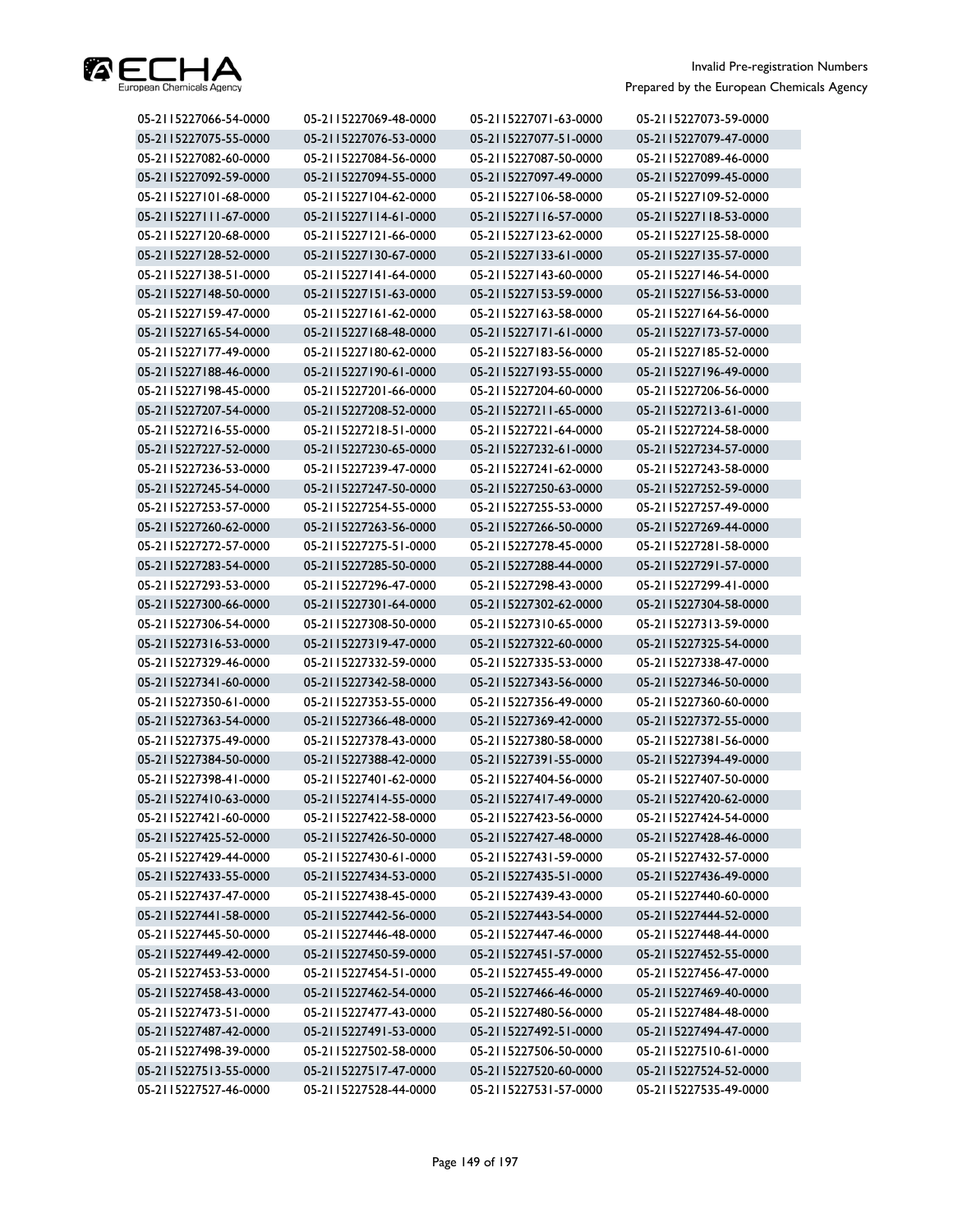

| 05-2115227066-54-0000 | 05-2115227069-48-0000 | 05-2115227071-63-0000 | 05-2115227073-59-0000 |
|-----------------------|-----------------------|-----------------------|-----------------------|
| 05-2115227075-55-0000 | 05-2115227076-53-0000 | 05-2115227077-51-0000 | 05-2115227079-47-0000 |
| 05-2115227082-60-0000 | 05-2115227084-56-0000 | 05-2115227087-50-0000 | 05-2115227089-46-0000 |
| 05-2115227092-59-0000 | 05-2115227094-55-0000 | 05-2115227097-49-0000 | 05-2115227099-45-0000 |
| 05-2115227101-68-0000 | 05-2115227104-62-0000 | 05-2115227106-58-0000 | 05-2115227109-52-0000 |
| 05-2115227111-67-0000 | 05-2115227114-61-0000 | 05-2115227116-57-0000 | 05-2115227118-53-0000 |
| 05-2115227120-68-0000 | 05-2115227121-66-0000 | 05-2115227123-62-0000 | 05-2115227125-58-0000 |
| 05-2115227128-52-0000 | 05-2115227130-67-0000 | 05-2115227133-61-0000 | 05-2115227135-57-0000 |
| 05-2115227138-51-0000 | 05-2115227141-64-0000 | 05-2115227143-60-0000 | 05-2115227146-54-0000 |
| 05-2115227148-50-0000 | 05-2115227151-63-0000 | 05-2115227153-59-0000 | 05-2115227156-53-0000 |
| 05-2115227159-47-0000 | 05-2115227161-62-0000 | 05-2115227163-58-0000 | 05-2115227164-56-0000 |
| 05-2115227165-54-0000 | 05-2115227168-48-0000 | 05-2115227171-61-0000 | 05-2115227173-57-0000 |
| 05-2115227177-49-0000 | 05-2115227180-62-0000 | 05-2115227183-56-0000 | 05-2115227185-52-0000 |
| 05-2115227188-46-0000 | 05-2115227190-61-0000 | 05-2115227193-55-0000 | 05-2115227196-49-0000 |
| 05-2115227198-45-0000 | 05-2115227201-66-0000 | 05-2115227204-60-0000 | 05-2115227206-56-0000 |
| 05-2115227207-54-0000 | 05-2115227208-52-0000 | 05-2115227211-65-0000 | 05-2115227213-61-0000 |
| 05-2115227216-55-0000 | 05-2115227218-51-0000 | 05-2115227221-64-0000 | 05-2115227224-58-0000 |
| 05-2115227227-52-0000 | 05-2115227230-65-0000 | 05-2115227232-61-0000 | 05-2115227234-57-0000 |
| 05-2115227236-53-0000 | 05-2115227239-47-0000 | 05-2115227241-62-0000 | 05-2115227243-58-0000 |
| 05-2115227245-54-0000 | 05-2115227247-50-0000 | 05-2115227250-63-0000 | 05-2115227252-59-0000 |
| 05-2115227253-57-0000 | 05-2115227254-55-0000 | 05-2115227255-53-0000 | 05-2115227257-49-0000 |
| 05-2115227260-62-0000 | 05-2115227263-56-0000 | 05-2115227266-50-0000 | 05-2115227269-44-0000 |
| 05-2115227272-57-0000 | 05-2115227275-51-0000 | 05-2115227278-45-0000 | 05-2115227281-58-0000 |
| 05-2115227283-54-0000 | 05-2115227285-50-0000 | 05-2115227288-44-0000 | 05-2115227291-57-0000 |
| 05-2115227293-53-0000 | 05-2115227296-47-0000 | 05-2115227298-43-0000 | 05-2115227299-41-0000 |
| 05-2115227300-66-0000 | 05-2115227301-64-0000 | 05-2115227302-62-0000 | 05-2115227304-58-0000 |
| 05-2115227306-54-0000 | 05-2115227308-50-0000 | 05-2115227310-65-0000 | 05-2115227313-59-0000 |
| 05-2115227316-53-0000 | 05-2115227319-47-0000 | 05-2115227322-60-0000 | 05-2115227325-54-0000 |
| 05-2115227329-46-0000 | 05-2115227332-59-0000 | 05-2115227335-53-0000 | 05-2115227338-47-0000 |
| 05-2115227341-60-0000 | 05-2115227342-58-0000 | 05-2115227343-56-0000 | 05-2115227346-50-0000 |
| 05-2115227350-61-0000 | 05-2115227353-55-0000 | 05-2115227356-49-0000 | 05-2115227360-60-0000 |
| 05-2115227363-54-0000 | 05-2115227366-48-0000 | 05-2115227369-42-0000 | 05-2115227372-55-0000 |
| 05-2115227375-49-0000 | 05-2115227378-43-0000 | 05-2115227380-58-0000 | 05-2115227381-56-0000 |
| 05-2115227384-50-0000 | 05-2115227388-42-0000 | 05-2115227391-55-0000 | 05-2115227394-49-0000 |
| 05-2115227398-41-0000 | 05-2115227401-62-0000 | 05-2115227404-56-0000 | 05-2115227407-50-0000 |
| 05-2115227410-63-0000 | 05-2115227414-55-0000 | 05-2115227417-49-0000 | 05-2115227420-62-0000 |
| 05-2115227421-60-0000 | 05-2115227422-58-0000 | 05-2115227423-56-0000 | 05-2115227424-54-0000 |
| 05-2115227425-52-0000 | 05-2115227426-50-0000 | 05-2115227427-48-0000 | 05-2115227428-46-0000 |
| 05-2115227429-44-0000 | 05-2115227430-61-0000 | 05-2115227431-59-0000 | 05-2115227432-57-0000 |
| 05-2115227433-55-0000 | 05-2115227434-53-0000 | 05-2115227435-51-0000 | 05-2115227436-49-0000 |
| 05-2115227437-47-0000 | 05-2115227438-45-0000 | 05-2115227439-43-0000 | 05-2115227440-60-0000 |
| 05-2115227441-58-0000 | 05-2115227442-56-0000 | 05-2115227443-54-0000 | 05-2115227444-52-0000 |
| 05-2115227445-50-0000 | 05-2115227446-48-0000 | 05-2115227447-46-0000 | 05-2115227448-44-0000 |
| 05-2115227449-42-0000 | 05-2115227450-59-0000 | 05-2115227451-57-0000 | 05-2115227452-55-0000 |
| 05-2115227453-53-0000 | 05-2115227454-51-0000 | 05-2115227455-49-0000 | 05-2115227456-47-0000 |
| 05-2115227458-43-0000 | 05-2115227462-54-0000 | 05-2115227466-46-0000 | 05-2115227469-40-0000 |
| 05-2115227473-51-0000 | 05-2115227477-43-0000 | 05-2115227480-56-0000 | 05-2115227484-48-0000 |
| 05-2115227487-42-0000 | 05-2115227491-53-0000 | 05-2115227492-51-0000 | 05-2115227494-47-0000 |
| 05-2115227498-39-0000 | 05-2115227502-58-0000 | 05-2115227506-50-0000 | 05-2115227510-61-0000 |
| 05-2115227513-55-0000 | 05-2115227517-47-0000 | 05-2115227520-60-0000 | 05-2115227524-52-0000 |
| 05-2115227527-46-0000 | 05-2115227528-44-0000 | 05-2115227531-57-0000 | 05-2115227535-49-0000 |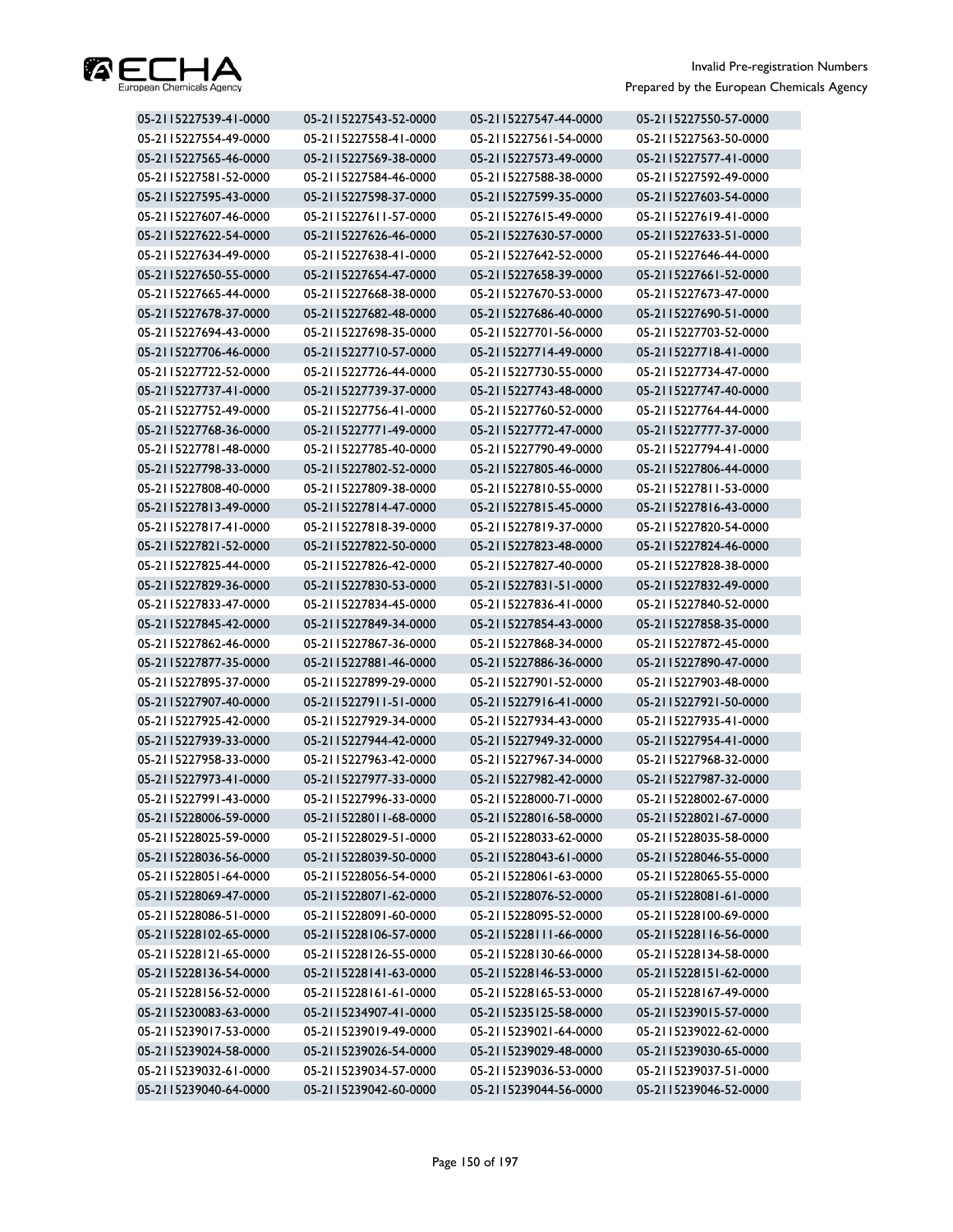

| 05-2115227539-41-0000 | 05-2115227543-52-0000 | 05-2115227547-44-0000 | 05-2115227550-57-0000 |
|-----------------------|-----------------------|-----------------------|-----------------------|
| 05-2115227554-49-0000 | 05-2115227558-41-0000 | 05-2115227561-54-0000 | 05-2115227563-50-0000 |
| 05-2115227565-46-0000 | 05-2115227569-38-0000 | 05-2115227573-49-0000 | 05-2115227577-41-0000 |
| 05-2115227581-52-0000 | 05-2115227584-46-0000 | 05-2115227588-38-0000 | 05-2115227592-49-0000 |
| 05-2115227595-43-0000 | 05-2115227598-37-0000 | 05-2115227599-35-0000 | 05-2115227603-54-0000 |
| 05-2115227607-46-0000 | 05-2115227611-57-0000 | 05-2115227615-49-0000 | 05-2115227619-41-0000 |
| 05-2115227622-54-0000 | 05-2115227626-46-0000 | 05-2115227630-57-0000 | 05-2115227633-51-0000 |
| 05-2115227634-49-0000 | 05-2115227638-41-0000 | 05-2115227642-52-0000 | 05-2115227646-44-0000 |
| 05-2115227650-55-0000 | 05-2115227654-47-0000 | 05-2115227658-39-0000 | 05-2115227661-52-0000 |
| 05-2115227665-44-0000 | 05-2115227668-38-0000 | 05-2115227670-53-0000 | 05-2115227673-47-0000 |
| 05-2115227678-37-0000 | 05-2115227682-48-0000 | 05-2115227686-40-0000 | 05-2115227690-51-0000 |
| 05-2115227694-43-0000 | 05-2115227698-35-0000 | 05-2115227701-56-0000 | 05-2115227703-52-0000 |
| 05-2115227706-46-0000 | 05-2115227710-57-0000 | 05-2115227714-49-0000 | 05-2115227718-41-0000 |
| 05-2115227722-52-0000 | 05-2115227726-44-0000 | 05-2115227730-55-0000 | 05-2115227734-47-0000 |
| 05-2115227737-41-0000 | 05-2115227739-37-0000 | 05-2115227743-48-0000 | 05-2115227747-40-0000 |
| 05-2115227752-49-0000 | 05-2115227756-41-0000 | 05-2115227760-52-0000 | 05-2115227764-44-0000 |
| 05-2115227768-36-0000 | 05-2115227771-49-0000 | 05-2115227772-47-0000 | 05-2115227777-37-0000 |
| 05-2115227781-48-0000 | 05-2115227785-40-0000 | 05-2115227790-49-0000 | 05-2115227794-41-0000 |
| 05-2115227798-33-0000 | 05-2115227802-52-0000 | 05-2115227805-46-0000 | 05-2115227806-44-0000 |
| 05-2115227808-40-0000 | 05-2115227809-38-0000 | 05-2115227810-55-0000 | 05-2115227811-53-0000 |
| 05-2115227813-49-0000 | 05-2115227814-47-0000 | 05-2115227815-45-0000 | 05-2115227816-43-0000 |
| 05-2115227817-41-0000 | 05-2115227818-39-0000 | 05-2115227819-37-0000 | 05-2115227820-54-0000 |
| 05-2115227821-52-0000 | 05-2115227822-50-0000 | 05-2115227823-48-0000 | 05-2115227824-46-0000 |
| 05-2115227825-44-0000 | 05-2115227826-42-0000 | 05-2115227827-40-0000 | 05-2115227828-38-0000 |
| 05-2115227829-36-0000 | 05-2115227830-53-0000 | 05-2115227831-51-0000 | 05-2115227832-49-0000 |
| 05-2115227833-47-0000 | 05-2115227834-45-0000 | 05-2115227836-41-0000 | 05-2115227840-52-0000 |
| 05-2115227845-42-0000 | 05-2115227849-34-0000 | 05-2115227854-43-0000 | 05-2115227858-35-0000 |
| 05-2115227862-46-0000 | 05-2115227867-36-0000 | 05-2115227868-34-0000 | 05-2115227872-45-0000 |
| 05-2115227877-35-0000 | 05-2115227881-46-0000 | 05-2115227886-36-0000 | 05-2115227890-47-0000 |
| 05-2115227895-37-0000 | 05-2115227899-29-0000 | 05-2115227901-52-0000 | 05-2115227903-48-0000 |
| 05-2115227907-40-0000 | 05-2115227911-51-0000 | 05-2115227916-41-0000 | 05-2115227921-50-0000 |
| 05-2115227925-42-0000 | 05-2115227929-34-0000 | 05-2115227934-43-0000 | 05-2115227935-41-0000 |
| 05-2115227939-33-0000 | 05-2115227944-42-0000 | 05-2115227949-32-0000 | 05-2115227954-41-0000 |
| 05-2115227958-33-0000 | 05-2115227963-42-0000 | 05-2115227967-34-0000 | 05-2115227968-32-0000 |
| 05-2115227973-41-0000 | 05-2115227977-33-0000 | 05-2115227982-42-0000 | 05-2115227987-32-0000 |
| 05-2115227991-43-0000 | 05-2115227996-33-0000 | 05-2115228000-71-0000 | 05-2115228002-67-0000 |
| 05-2115228006-59-0000 | 05-2115228011-68-0000 | 05-2115228016-58-0000 | 05-2115228021-67-0000 |
| 05-2115228025-59-0000 | 05-2115228029-51-0000 | 05-2115228033-62-0000 | 05-2115228035-58-0000 |
| 05-2115228036-56-0000 | 05-2115228039-50-0000 | 05-2115228043-61-0000 | 05-2115228046-55-0000 |
| 05-2115228051-64-0000 | 05-2115228056-54-0000 | 05-2115228061-63-0000 | 05-2115228065-55-0000 |
| 05-2115228069-47-0000 | 05-2115228071-62-0000 | 05-2115228076-52-0000 | 05-2115228081-61-0000 |
| 05-2115228086-51-0000 | 05-2115228091-60-0000 | 05-2115228095-52-0000 | 05-2115228100-69-0000 |
| 05-2115228102-65-0000 | 05-2115228106-57-0000 | 05-2115228111-66-0000 | 05-2115228116-56-0000 |
| 05-2115228121-65-0000 | 05-2115228126-55-0000 | 05-2115228130-66-0000 | 05-2115228134-58-0000 |
| 05-2115228136-54-0000 | 05-2115228141-63-0000 | 05-2115228146-53-0000 | 05-2115228151-62-0000 |
| 05-2115228156-52-0000 | 05-2115228161-61-0000 | 05-2115228165-53-0000 | 05-2115228167-49-0000 |
| 05-2115230083-63-0000 | 05-2115234907-41-0000 | 05-2115235125-58-0000 | 05-2115239015-57-0000 |
| 05-2115239017-53-0000 | 05-2115239019-49-0000 | 05-2115239021-64-0000 | 05-2115239022-62-0000 |
| 05-2115239024-58-0000 | 05-2115239026-54-0000 | 05-2115239029-48-0000 | 05-2115239030-65-0000 |
| 05-2115239032-61-0000 | 05-2115239034-57-0000 | 05-2115239036-53-0000 | 05-2115239037-51-0000 |
| 05-2115239040-64-0000 | 05-2115239042-60-0000 | 05-2115239044-56-0000 | 05-2115239046-52-0000 |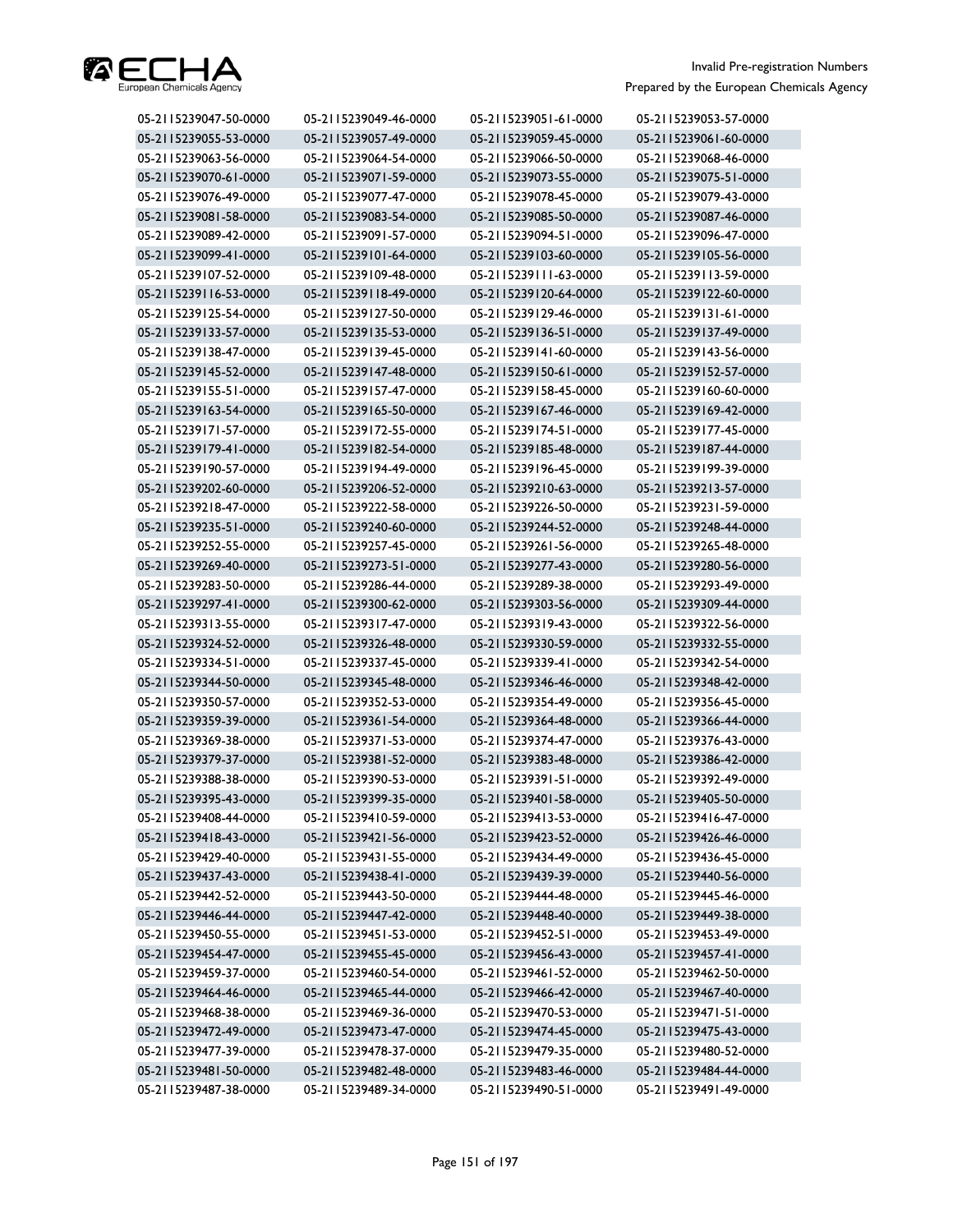

| 05-2115239047-50-0000 | 05-2115239049-46-0000 | 05-2115239051-61-0000 | 05-2115239053-57-0000 |
|-----------------------|-----------------------|-----------------------|-----------------------|
| 05-2115239055-53-0000 | 05-2115239057-49-0000 | 05-2115239059-45-0000 | 05-2115239061-60-0000 |
| 05-2115239063-56-0000 | 05-2115239064-54-0000 | 05-2115239066-50-0000 | 05-2115239068-46-0000 |
| 05-2115239070-61-0000 | 05-2115239071-59-0000 | 05-2115239073-55-0000 | 05-2115239075-51-0000 |
| 05-2115239076-49-0000 | 05-2115239077-47-0000 | 05-2115239078-45-0000 | 05-2115239079-43-0000 |
| 05-2115239081-58-0000 | 05-2115239083-54-0000 | 05-2115239085-50-0000 | 05-2115239087-46-0000 |
| 05-2115239089-42-0000 | 05-2115239091-57-0000 | 05-2115239094-51-0000 | 05-2115239096-47-0000 |
| 05-2115239099-41-0000 | 05-2115239101-64-0000 | 05-2115239103-60-0000 | 05-2115239105-56-0000 |
| 05-2115239107-52-0000 | 05-2115239109-48-0000 | 05-2115239111-63-0000 | 05-2115239113-59-0000 |
| 05-2115239116-53-0000 | 05-2115239118-49-0000 | 05-2115239120-64-0000 | 05-2115239122-60-0000 |
| 05-2115239125-54-0000 | 05-2115239127-50-0000 | 05-2115239129-46-0000 | 05-2115239131-61-0000 |
| 05-2115239133-57-0000 | 05-2115239135-53-0000 | 05-2115239136-51-0000 | 05-2115239137-49-0000 |
| 05-2115239138-47-0000 | 05-2115239139-45-0000 | 05-2115239141-60-0000 | 05-2115239143-56-0000 |
| 05-2115239145-52-0000 | 05-2115239147-48-0000 | 05-2115239150-61-0000 | 05-2115239152-57-0000 |
| 05-2115239155-51-0000 | 05-2115239157-47-0000 | 05-2115239158-45-0000 | 05-2115239160-60-0000 |
| 05-2115239163-54-0000 | 05-2115239165-50-0000 | 05-2115239167-46-0000 | 05-2115239169-42-0000 |
| 05-2115239171-57-0000 | 05-2115239172-55-0000 | 05-2115239174-51-0000 | 05-2115239177-45-0000 |
| 05-2115239179-41-0000 | 05-2115239182-54-0000 | 05-2115239185-48-0000 | 05-2115239187-44-0000 |
| 05-2115239190-57-0000 | 05-2115239194-49-0000 | 05-2115239196-45-0000 | 05-2115239199-39-0000 |
| 05-2115239202-60-0000 | 05-2115239206-52-0000 | 05-2115239210-63-0000 | 05-2115239213-57-0000 |
| 05-2115239218-47-0000 | 05-2115239222-58-0000 | 05-2115239226-50-0000 | 05-2115239231-59-0000 |
| 05-2115239235-51-0000 | 05-2115239240-60-0000 | 05-2115239244-52-0000 | 05-2115239248-44-0000 |
| 05-2115239252-55-0000 | 05-2115239257-45-0000 | 05-2115239261-56-0000 | 05-2115239265-48-0000 |
| 05-2115239269-40-0000 | 05-2115239273-51-0000 | 05-2115239277-43-0000 | 05-2115239280-56-0000 |
| 05-2115239283-50-0000 | 05-2115239286-44-0000 | 05-2115239289-38-0000 | 05-2115239293-49-0000 |
| 05-2115239297-41-0000 | 05-2115239300-62-0000 | 05-2115239303-56-0000 | 05-2115239309-44-0000 |
| 05-2115239313-55-0000 | 05-2115239317-47-0000 | 05-2115239319-43-0000 | 05-2115239322-56-0000 |
| 05-2115239324-52-0000 | 05-2115239326-48-0000 | 05-2115239330-59-0000 | 05-2115239332-55-0000 |
| 05-2115239334-51-0000 | 05-2115239337-45-0000 | 05-2115239339-41-0000 | 05-2115239342-54-0000 |
| 05-2115239344-50-0000 | 05-2115239345-48-0000 | 05-2115239346-46-0000 | 05-2115239348-42-0000 |
| 05-2115239350-57-0000 | 05-2115239352-53-0000 | 05-2115239354-49-0000 | 05-2115239356-45-0000 |
| 05-2115239359-39-0000 | 05-2115239361-54-0000 | 05-2115239364-48-0000 | 05-2115239366-44-0000 |
| 05-2115239369-38-0000 | 05-2115239371-53-0000 | 05-2115239374-47-0000 | 05-2115239376-43-0000 |
| 05-2115239379-37-0000 | 05-2115239381-52-0000 | 05-2115239383-48-0000 | 05-2115239386-42-0000 |
| 05-2115239388-38-0000 | 05-2115239390-53-0000 | 05-2115239391-51-0000 | 05-2115239392-49-0000 |
| 05-2115239395-43-0000 | 05-2115239399-35-0000 | 05-2115239401-58-0000 | 05-2115239405-50-0000 |
| 05-2115239408-44-0000 | 05-2115239410-59-0000 | 05-2115239413-53-0000 | 05-2115239416-47-0000 |
| 05-2115239418-43-0000 | 05-2115239421-56-0000 | 05-2115239423-52-0000 | 05-2115239426-46-0000 |
| 05-2115239429-40-0000 | 05-2115239431-55-0000 | 05-2115239434-49-0000 | 05-2115239436-45-0000 |
| 05-2115239437-43-0000 | 05-2115239438-41-0000 | 05-2115239439-39-0000 | 05-2115239440-56-0000 |
| 05-2115239442-52-0000 | 05-2115239443-50-0000 | 05-2115239444-48-0000 | 05-2115239445-46-0000 |
| 05-2115239446-44-0000 | 05-2115239447-42-0000 | 05-2115239448-40-0000 | 05-2115239449-38-0000 |
| 05-2115239450-55-0000 | 05-2115239451-53-0000 | 05-2115239452-51-0000 | 05-2115239453-49-0000 |
| 05-2115239454-47-0000 | 05-2115239455-45-0000 | 05-2115239456-43-0000 | 05-2115239457-41-0000 |
| 05-2115239459-37-0000 | 05-2115239460-54-0000 | 05-2115239461-52-0000 | 05-2115239462-50-0000 |
| 05-2115239464-46-0000 | 05-2115239465-44-0000 | 05-2115239466-42-0000 | 05-2115239467-40-0000 |
| 05-2115239468-38-0000 | 05-2115239469-36-0000 | 05-2115239470-53-0000 | 05-2115239471-51-0000 |
| 05-2115239472-49-0000 | 05-2115239473-47-0000 | 05-2115239474-45-0000 | 05-2115239475-43-0000 |
| 05-2115239477-39-0000 | 05-2115239478-37-0000 | 05-2115239479-35-0000 | 05-2115239480-52-0000 |
| 05-2115239481-50-0000 | 05-2115239482-48-0000 | 05-2115239483-46-0000 | 05-2115239484-44-0000 |
| 05-2115239487-38-0000 | 05-2115239489-34-0000 | 05-2115239490-51-0000 | 05-2115239491-49-0000 |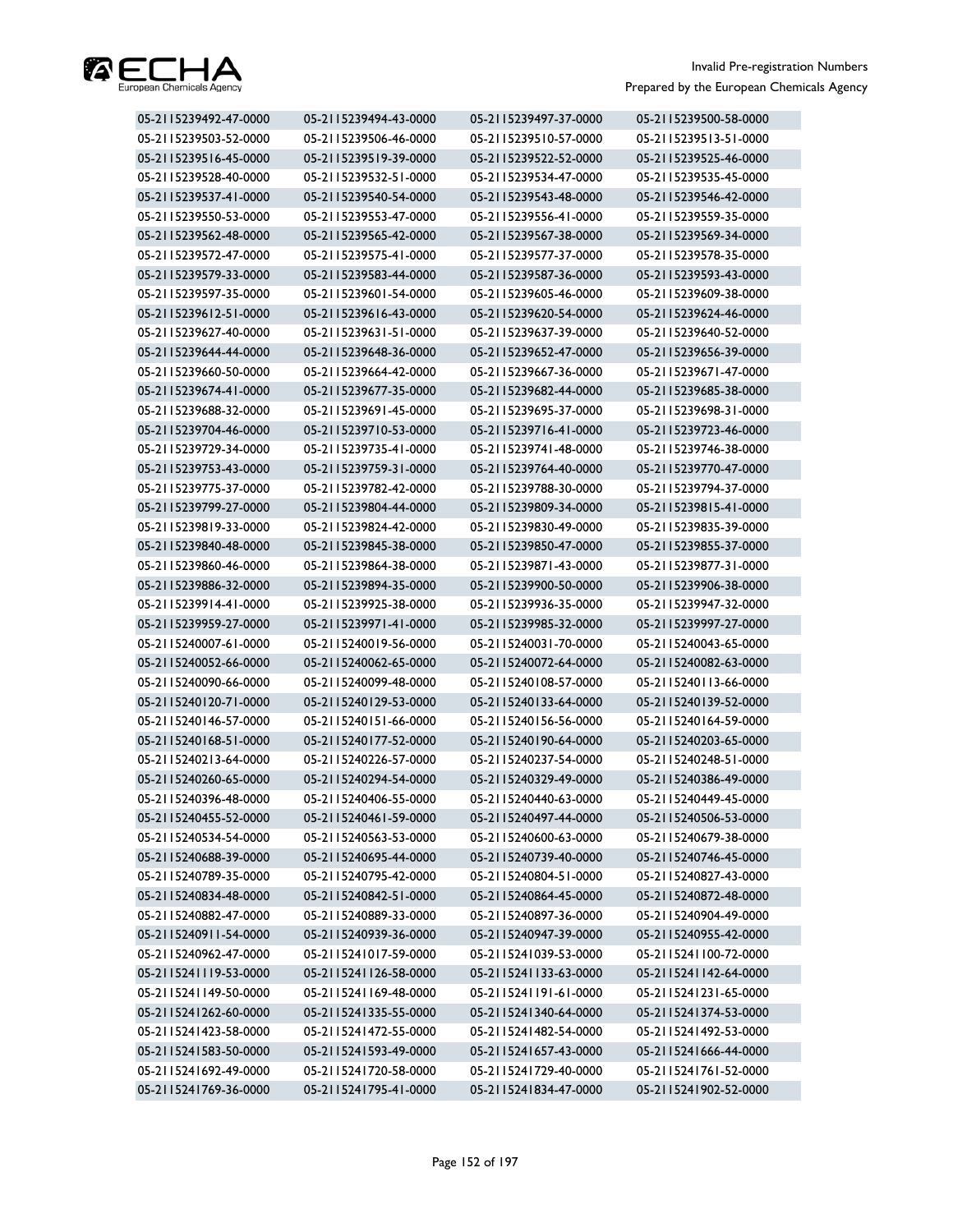

| 05-2115239492-47-0000 | 05-2115239494-43-0000 | 05-2115239497-37-0000 | 05-2115239500-58-0000 |
|-----------------------|-----------------------|-----------------------|-----------------------|
| 05-2115239503-52-0000 | 05-2115239506-46-0000 | 05-2115239510-57-0000 | 05-2115239513-51-0000 |
| 05-2115239516-45-0000 | 05-2115239519-39-0000 | 05-2115239522-52-0000 | 05-2115239525-46-0000 |
| 05-2115239528-40-0000 | 05-2115239532-51-0000 | 05-2115239534-47-0000 | 05-2115239535-45-0000 |
| 05-2115239537-41-0000 | 05-2115239540-54-0000 | 05-2115239543-48-0000 | 05-2115239546-42-0000 |
| 05-2115239550-53-0000 | 05-2115239553-47-0000 | 05-2115239556-41-0000 | 05-2115239559-35-0000 |
| 05-2115239562-48-0000 | 05-2115239565-42-0000 | 05-2115239567-38-0000 | 05-2115239569-34-0000 |
| 05-2115239572-47-0000 | 05-2115239575-41-0000 | 05-2115239577-37-0000 | 05-2115239578-35-0000 |
| 05-2115239579-33-0000 | 05-2115239583-44-0000 | 05-2115239587-36-0000 | 05-2115239593-43-0000 |
| 05-2115239597-35-0000 | 05-2115239601-54-0000 | 05-2115239605-46-0000 | 05-2115239609-38-0000 |
| 05-2115239612-51-0000 | 05-2115239616-43-0000 | 05-2115239620-54-0000 | 05-2115239624-46-0000 |
| 05-2115239627-40-0000 | 05-2115239631-51-0000 | 05-2115239637-39-0000 | 05-2115239640-52-0000 |
| 05-2115239644-44-0000 | 05-2115239648-36-0000 | 05-2115239652-47-0000 | 05-2115239656-39-0000 |
| 05-2115239660-50-0000 | 05-2115239664-42-0000 | 05-2115239667-36-0000 | 05-2115239671-47-0000 |
| 05-2115239674-41-0000 | 05-2115239677-35-0000 | 05-2115239682-44-0000 | 05-2115239685-38-0000 |
| 05-2115239688-32-0000 | 05-2115239691-45-0000 | 05-2115239695-37-0000 | 05-2115239698-31-0000 |
| 05-2115239704-46-0000 | 05-2115239710-53-0000 | 05-2115239716-41-0000 | 05-2115239723-46-0000 |
| 05-2115239729-34-0000 | 05-2115239735-41-0000 | 05-2115239741-48-0000 | 05-2115239746-38-0000 |
| 05-2115239753-43-0000 | 05-2115239759-31-0000 | 05-2115239764-40-0000 | 05-2115239770-47-0000 |
| 05-2115239775-37-0000 | 05-2115239782-42-0000 | 05-2115239788-30-0000 | 05-2115239794-37-0000 |
| 05-2115239799-27-0000 | 05-2115239804-44-0000 | 05-2115239809-34-0000 | 05-2115239815-41-0000 |
| 05-2115239819-33-0000 | 05-2115239824-42-0000 | 05-2115239830-49-0000 | 05-2115239835-39-0000 |
| 05-2115239840-48-0000 | 05-2115239845-38-0000 | 05-2115239850-47-0000 | 05-2115239855-37-0000 |
| 05-2115239860-46-0000 | 05-2115239864-38-0000 | 05-2115239871-43-0000 | 05-2115239877-31-0000 |
| 05-2115239886-32-0000 | 05-2115239894-35-0000 | 05-2115239900-50-0000 | 05-2115239906-38-0000 |
| 05-2115239914-41-0000 | 05-2115239925-38-0000 | 05-2115239936-35-0000 | 05-2115239947-32-0000 |
| 05-2115239959-27-0000 | 05-2115239971-41-0000 | 05-2115239985-32-0000 | 05-2115239997-27-0000 |
| 05-2115240007-61-0000 | 05-2115240019-56-0000 | 05-2115240031-70-0000 | 05-2115240043-65-0000 |
| 05-2115240052-66-0000 | 05-2115240062-65-0000 | 05-2115240072-64-0000 | 05-2115240082-63-0000 |
| 05-2115240090-66-0000 | 05-2115240099-48-0000 | 05-2115240108-57-0000 | 05-2115240113-66-0000 |
| 05-2115240120-71-0000 | 05-2115240129-53-0000 | 05-2115240133-64-0000 | 05-2115240139-52-0000 |
| 05-2115240146-57-0000 | 05-2115240151-66-0000 | 05-2115240156-56-0000 | 05-2115240164-59-0000 |
| 05-2115240168-51-0000 | 05-2115240177-52-0000 | 05-2115240190-64-0000 | 05-2115240203-65-0000 |
| 05-2115240213-64-0000 | 05-2115240226-57-0000 | 05-2115240237-54-0000 | 05-2115240248-51-0000 |
| 05-2115240260-65-0000 | 05-2115240294-54-0000 | 05-2115240329-49-0000 | 05-2115240386-49-0000 |
| 05-2115240396-48-0000 | 05-2115240406-55-0000 | 05-2115240440-63-0000 | 05-2115240449-45-0000 |
| 05-2115240455-52-0000 | 05-2115240461-59-0000 | 05-2115240497-44-0000 | 05-2115240506-53-0000 |
| 05-2115240534-54-0000 | 05-2115240563-53-0000 | 05-2115240600-63-0000 | 05-2115240679-38-0000 |
| 05-2115240688-39-0000 | 05-2115240695-44-0000 | 05-2115240739-40-0000 | 05-2115240746-45-0000 |
| 05-2115240789-35-0000 | 05-2115240795-42-0000 | 05-2115240804-51-0000 | 05-2115240827-43-0000 |
| 05-2115240834-48-0000 | 05-2115240842-51-0000 | 05-2115240864-45-0000 | 05-2115240872-48-0000 |
| 05-2115240882-47-0000 | 05-2115240889-33-0000 | 05-2115240897-36-0000 | 05-2115240904-49-0000 |
| 05-2115240911-54-0000 | 05-2115240939-36-0000 | 05-2115240947-39-0000 | 05-2115240955-42-0000 |
| 05-2115240962-47-0000 | 05-2115241017-59-0000 | 05-2115241039-53-0000 | 05-2115241100-72-0000 |
| 05-2115241119-53-0000 | 05-2115241126-58-0000 | 05-2115241133-63-0000 | 05-2115241142-64-0000 |
| 05-2115241149-50-0000 | 05-2115241169-48-0000 | 05-2115241191-61-0000 | 05-2115241231-65-0000 |
| 05-2115241262-60-0000 | 05-2115241335-55-0000 | 05-2115241340-64-0000 | 05-2115241374-53-0000 |
| 05-2115241423-58-0000 | 05-2115241472-55-0000 | 05-2115241482-54-0000 | 05-2115241492-53-0000 |
| 05-2115241583-50-0000 | 05-2115241593-49-0000 | 05-2115241657-43-0000 | 05-2115241666-44-0000 |
| 05-2115241692-49-0000 | 05-2115241720-58-0000 | 05-2115241729-40-0000 | 05-2115241761-52-0000 |
| 05-2115241769-36-0000 | 05-2115241795-41-0000 | 05-2115241834-47-0000 | 05-2115241902-52-0000 |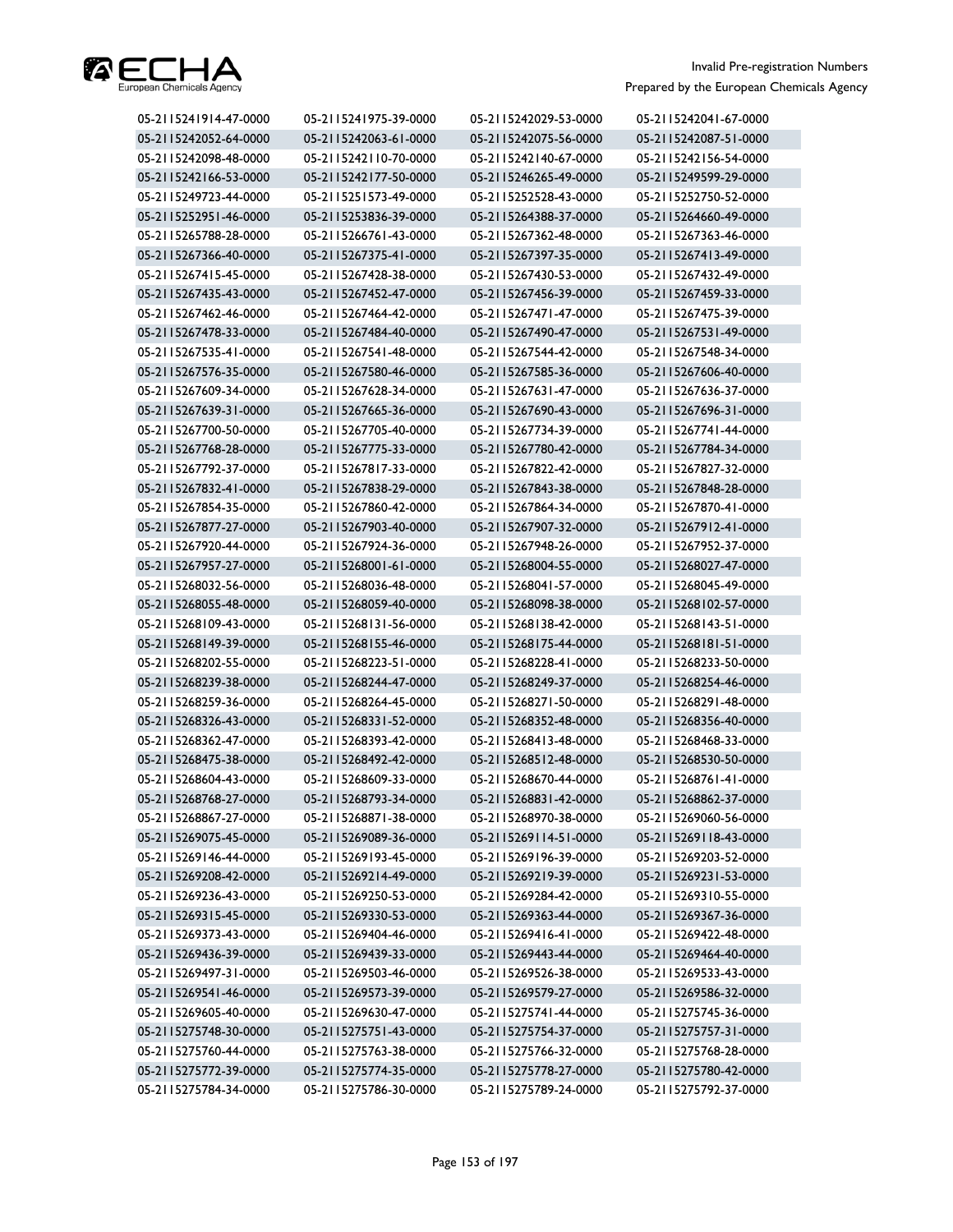

| 05-2115241914-47-0000 | 05-2115241975-39-0000 | 05-2115242029-53-0000 | 05-2115242041-67-0000 |
|-----------------------|-----------------------|-----------------------|-----------------------|
| 05-2115242052-64-0000 | 05-2115242063-61-0000 | 05-2115242075-56-0000 | 05-2115242087-51-0000 |
| 05-2115242098-48-0000 | 05-2115242110-70-0000 | 05-2115242140-67-0000 | 05-2115242156-54-0000 |
| 05-2115242166-53-0000 | 05-2115242177-50-0000 | 05-2115246265-49-0000 | 05-2115249599-29-0000 |
| 05-2115249723-44-0000 | 05-2115251573-49-0000 | 05-2115252528-43-0000 | 05-2115252750-52-0000 |
| 05-2115252951-46-0000 | 05-2115253836-39-0000 | 05-2115264388-37-0000 | 05-2115264660-49-0000 |
| 05-2115265788-28-0000 | 05-2115266761-43-0000 | 05-2115267362-48-0000 | 05-2115267363-46-0000 |
| 05-2115267366-40-0000 | 05-2115267375-41-0000 | 05-2115267397-35-0000 | 05-2115267413-49-0000 |
| 05-2115267415-45-0000 | 05-2115267428-38-0000 | 05-2115267430-53-0000 | 05-2115267432-49-0000 |
| 05-2115267435-43-0000 | 05-2115267452-47-0000 | 05-2115267456-39-0000 | 05-2115267459-33-0000 |
| 05-2115267462-46-0000 | 05-2115267464-42-0000 | 05-2115267471-47-0000 | 05-2115267475-39-0000 |
| 05-2115267478-33-0000 | 05-2115267484-40-0000 | 05-2115267490-47-0000 | 05-2115267531-49-0000 |
| 05-2115267535-41-0000 | 05-2115267541-48-0000 | 05-2115267544-42-0000 | 05-2115267548-34-0000 |
| 05-2115267576-35-0000 | 05-2115267580-46-0000 | 05-2115267585-36-0000 | 05-2115267606-40-0000 |
| 05-2115267609-34-0000 | 05-2115267628-34-0000 | 05-2115267631-47-0000 | 05-2115267636-37-0000 |
| 05-2115267639-31-0000 | 05-2115267665-36-0000 | 05-2115267690-43-0000 | 05-2115267696-31-0000 |
| 05-2115267700-50-0000 | 05-2115267705-40-0000 | 05-2115267734-39-0000 | 05-2115267741-44-0000 |
| 05-2115267768-28-0000 | 05-2115267775-33-0000 | 05-2115267780-42-0000 | 05-2115267784-34-0000 |
| 05-2115267792-37-0000 | 05-2115267817-33-0000 | 05-2115267822-42-0000 | 05-2115267827-32-0000 |
| 05-2115267832-41-0000 | 05-2115267838-29-0000 | 05-2115267843-38-0000 | 05-2115267848-28-0000 |
| 05-2115267854-35-0000 | 05-2115267860-42-0000 | 05-2115267864-34-0000 | 05-2115267870-41-0000 |
| 05-2115267877-27-0000 | 05-2115267903-40-0000 | 05-2115267907-32-0000 | 05-2115267912-41-0000 |
| 05-2115267920-44-0000 | 05-2115267924-36-0000 | 05-2115267948-26-0000 | 05-2115267952-37-0000 |
| 05-2115267957-27-0000 | 05-2115268001-61-0000 | 05-2115268004-55-0000 | 05-2115268027-47-0000 |
| 05-2115268032-56-0000 | 05-2115268036-48-0000 | 05-2115268041-57-0000 | 05-2115268045-49-0000 |
| 05-2115268055-48-0000 | 05-2115268059-40-0000 | 05-2115268098-38-0000 | 05-2115268102-57-0000 |
| 05-2115268109-43-0000 | 05-2115268131-56-0000 | 05-2115268138-42-0000 | 05-2115268143-51-0000 |
| 05-2115268149-39-0000 | 05-2115268155-46-0000 | 05-2115268175-44-0000 | 05-2115268181-51-0000 |
| 05-2115268202-55-0000 | 05-2115268223-51-0000 | 05-2115268228-41-0000 | 05-2115268233-50-0000 |
| 05-2115268239-38-0000 | 05-2115268244-47-0000 | 05-2115268249-37-0000 | 05-2115268254-46-0000 |
| 05-2115268259-36-0000 | 05-2115268264-45-0000 | 05-2115268271-50-0000 | 05-2115268291-48-0000 |
| 05-2115268326-43-0000 | 05-2115268331-52-0000 | 05-2115268352-48-0000 | 05-2115268356-40-0000 |
| 05-2115268362-47-0000 | 05-2115268393-42-0000 | 05-2115268413-48-0000 | 05-2115268468-33-0000 |
| 05-2115268475-38-0000 | 05-2115268492-42-0000 | 05-2115268512-48-0000 | 05-2115268530-50-0000 |
| 05-2115268604-43-0000 | 05-2115268609-33-0000 | 05-2115268670-44-0000 | 05-2115268761-41-0000 |
| 05-2115268768-27-0000 | 05-2115268793-34-0000 | 05-2115268831-42-0000 | 05-2115268862-37-0000 |
| 05-2115268867-27-0000 | 05-2115268871-38-0000 | 05-2115268970-38-0000 | 05-2115269060-56-0000 |
| 05-2115269075-45-0000 | 05-2115269089-36-0000 | 05-2115269114-51-0000 | 05-2115269118-43-0000 |
| 05-2115269146-44-0000 | 05-2115269193-45-0000 | 05-2115269196-39-0000 | 05-2115269203-52-0000 |
| 05-2115269208-42-0000 | 05-2115269214-49-0000 | 05-2115269219-39-0000 | 05-2115269231-53-0000 |
| 05-2115269236-43-0000 | 05-2115269250-53-0000 | 05-2115269284-42-0000 | 05-2115269310-55-0000 |
| 05-2115269315-45-0000 | 05-2115269330-53-0000 | 05-2115269363-44-0000 | 05-2115269367-36-0000 |
| 05-2115269373-43-0000 | 05-2115269404-46-0000 | 05-2115269416-41-0000 | 05-2115269422-48-0000 |
| 05-2115269436-39-0000 | 05-2115269439-33-0000 | 05-2115269443-44-0000 | 05-2115269464-40-0000 |
| 05-2115269497-31-0000 | 05-2115269503-46-0000 | 05-2115269526-38-0000 | 05-2115269533-43-0000 |
| 05-2115269541-46-0000 | 05-2115269573-39-0000 | 05-2115269579-27-0000 | 05-2115269586-32-0000 |
| 05-2115269605-40-0000 | 05-2115269630-47-0000 | 05-2115275741-44-0000 | 05-2115275745-36-0000 |
| 05-2115275748-30-0000 | 05-2115275751-43-0000 | 05-2115275754-37-0000 | 05-2115275757-31-0000 |
| 05-2115275760-44-0000 | 05-2115275763-38-0000 | 05-2115275766-32-0000 | 05-2115275768-28-0000 |
| 05-2115275772-39-0000 | 05-2115275774-35-0000 | 05-2115275778-27-0000 | 05-2115275780-42-0000 |
| 05-2115275784-34-0000 | 05-2115275786-30-0000 | 05-2115275789-24-0000 | 05-2115275792-37-0000 |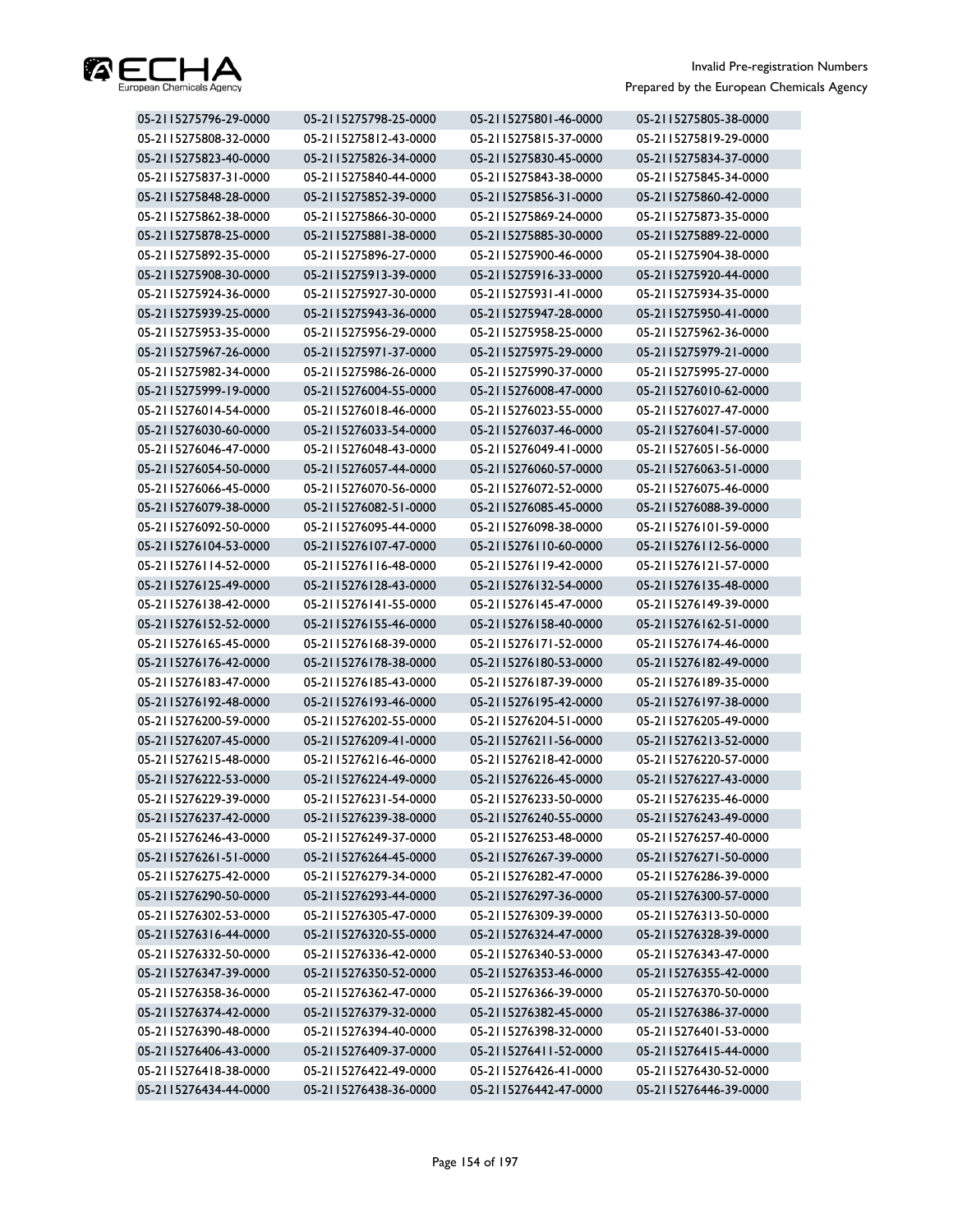

| 05-2115275796-29-0000 | 05-2115275798-25-0000 | 05-2115275801-46-0000 | 05-2115275805-38-0000 |
|-----------------------|-----------------------|-----------------------|-----------------------|
| 05-2115275808-32-0000 | 05-2115275812-43-0000 | 05-2115275815-37-0000 | 05-2115275819-29-0000 |
| 05-2115275823-40-0000 | 05-2115275826-34-0000 | 05-2115275830-45-0000 | 05-2115275834-37-0000 |
| 05-2115275837-31-0000 | 05-2115275840-44-0000 | 05-2115275843-38-0000 | 05-2115275845-34-0000 |
| 05-2115275848-28-0000 | 05-2115275852-39-0000 | 05-2115275856-31-0000 | 05-2115275860-42-0000 |
| 05-2115275862-38-0000 | 05-2115275866-30-0000 | 05-2115275869-24-0000 | 05-2115275873-35-0000 |
| 05-2115275878-25-0000 | 05-2115275881-38-0000 | 05-2115275885-30-0000 | 05-2115275889-22-0000 |
| 05-2115275892-35-0000 | 05-2115275896-27-0000 | 05-2115275900-46-0000 | 05-2115275904-38-0000 |
| 05-2115275908-30-0000 | 05-2115275913-39-0000 | 05-2115275916-33-0000 | 05-2115275920-44-0000 |
| 05-2115275924-36-0000 | 05-2115275927-30-0000 | 05-2115275931-41-0000 | 05-2115275934-35-0000 |
| 05-2115275939-25-0000 | 05-2115275943-36-0000 | 05-2115275947-28-0000 | 05-2115275950-41-0000 |
| 05-2115275953-35-0000 | 05-2115275956-29-0000 | 05-2115275958-25-0000 | 05-2115275962-36-0000 |
| 05-2115275967-26-0000 | 05-2115275971-37-0000 | 05-2115275975-29-0000 | 05-2115275979-21-0000 |
| 05-2115275982-34-0000 | 05-2115275986-26-0000 | 05-2115275990-37-0000 | 05-2115275995-27-0000 |
| 05-2115275999-19-0000 | 05-2115276004-55-0000 | 05-2115276008-47-0000 | 05-2115276010-62-0000 |
| 05-2115276014-54-0000 | 05-2115276018-46-0000 | 05-2115276023-55-0000 | 05-2115276027-47-0000 |
| 05-2115276030-60-0000 | 05-2115276033-54-0000 | 05-2115276037-46-0000 | 05-2115276041-57-0000 |
| 05-2115276046-47-0000 | 05-2115276048-43-0000 | 05-2115276049-41-0000 | 05-2115276051-56-0000 |
| 05-2115276054-50-0000 | 05-2115276057-44-0000 | 05-2115276060-57-0000 | 05-2115276063-51-0000 |
| 05-2115276066-45-0000 | 05-2115276070-56-0000 | 05-2115276072-52-0000 | 05-2115276075-46-0000 |
| 05-2115276079-38-0000 | 05-2115276082-51-0000 | 05-2115276085-45-0000 | 05-2115276088-39-0000 |
| 05-2115276092-50-0000 | 05-2115276095-44-0000 | 05-2115276098-38-0000 | 05-2115276101-59-0000 |
| 05-2115276104-53-0000 | 05-2115276107-47-0000 | 05-2115276110-60-0000 | 05-2115276112-56-0000 |
| 05-2115276114-52-0000 | 05-2115276116-48-0000 | 05-2115276119-42-0000 | 05-2115276121-57-0000 |
| 05-2115276125-49-0000 | 05-2115276128-43-0000 | 05-2115276132-54-0000 | 05-2115276135-48-0000 |
| 05-2115276138-42-0000 | 05-2115276141-55-0000 | 05-2115276145-47-0000 | 05-2115276149-39-0000 |
| 05-2115276152-52-0000 | 05-2115276155-46-0000 | 05-2115276158-40-0000 | 05-2115276162-51-0000 |
| 05-2115276165-45-0000 | 05-2115276168-39-0000 | 05-2115276171-52-0000 | 05-2115276174-46-0000 |
| 05-2115276176-42-0000 | 05-2115276178-38-0000 | 05-2115276180-53-0000 | 05-2115276182-49-0000 |
| 05-2115276183-47-0000 | 05-2115276185-43-0000 | 05-2115276187-39-0000 | 05-2115276189-35-0000 |
| 05-2115276192-48-0000 | 05-2115276193-46-0000 | 05-2115276195-42-0000 | 05-2115276197-38-0000 |
| 05-2115276200-59-0000 | 05-2115276202-55-0000 | 05-2115276204-51-0000 | 05-2115276205-49-0000 |
| 05-2115276207-45-0000 | 05-2115276209-41-0000 | 05-2115276211-56-0000 | 05-2115276213-52-0000 |
| 05-2115276215-48-0000 | 05-2115276216-46-0000 | 05-2115276218-42-0000 | 05-2115276220-57-0000 |
| 05-2115276222-53-0000 | 05-2115276224-49-0000 | 05-2115276226-45-0000 | 05-2115276227-43-0000 |
| 05-2115276229-39-0000 | 05-2115276231-54-0000 | 05-2115276233-50-0000 | 05-2115276235-46-0000 |
| 05-2115276237-42-0000 | 05-2115276239-38-0000 | 05-2115276240-55-0000 | 05-2115276243-49-0000 |
| 05-2115276246-43-0000 | 05-2115276249-37-0000 | 05-2115276253-48-0000 | 05-2115276257-40-0000 |
| 05-2115276261-51-0000 | 05-2115276264-45-0000 | 05-2115276267-39-0000 | 05-2115276271-50-0000 |
| 05-2115276275-42-0000 | 05-2115276279-34-0000 | 05-2115276282-47-0000 | 05-2115276286-39-0000 |
| 05-2115276290-50-0000 | 05-2115276293-44-0000 | 05-2115276297-36-0000 | 05-2115276300-57-0000 |
| 05-2115276302-53-0000 | 05-2115276305-47-0000 | 05-2115276309-39-0000 | 05-2115276313-50-0000 |
| 05-2115276316-44-0000 | 05-2115276320-55-0000 | 05-2115276324-47-0000 | 05-2115276328-39-0000 |
| 05-2115276332-50-0000 | 05-2115276336-42-0000 | 05-2115276340-53-0000 | 05-2115276343-47-0000 |
| 05-2115276347-39-0000 | 05-2115276350-52-0000 | 05-2115276353-46-0000 | 05-2115276355-42-0000 |
| 05-2115276358-36-0000 | 05-2115276362-47-0000 | 05-2115276366-39-0000 | 05-2115276370-50-0000 |
| 05-2115276374-42-0000 | 05-2115276379-32-0000 | 05-2115276382-45-0000 | 05-2115276386-37-0000 |
| 05-2115276390-48-0000 | 05-2115276394-40-0000 | 05-2115276398-32-0000 | 05-2115276401-53-0000 |
| 05-2115276406-43-0000 | 05-2115276409-37-0000 | 05-2115276411-52-0000 | 05-2115276415-44-0000 |
| 05-2115276418-38-0000 | 05-2115276422-49-0000 | 05-2115276426-41-0000 | 05-2115276430-52-0000 |
| 05-2115276434-44-0000 | 05-2115276438-36-0000 | 05-2115276442-47-0000 | 05-2115276446-39-0000 |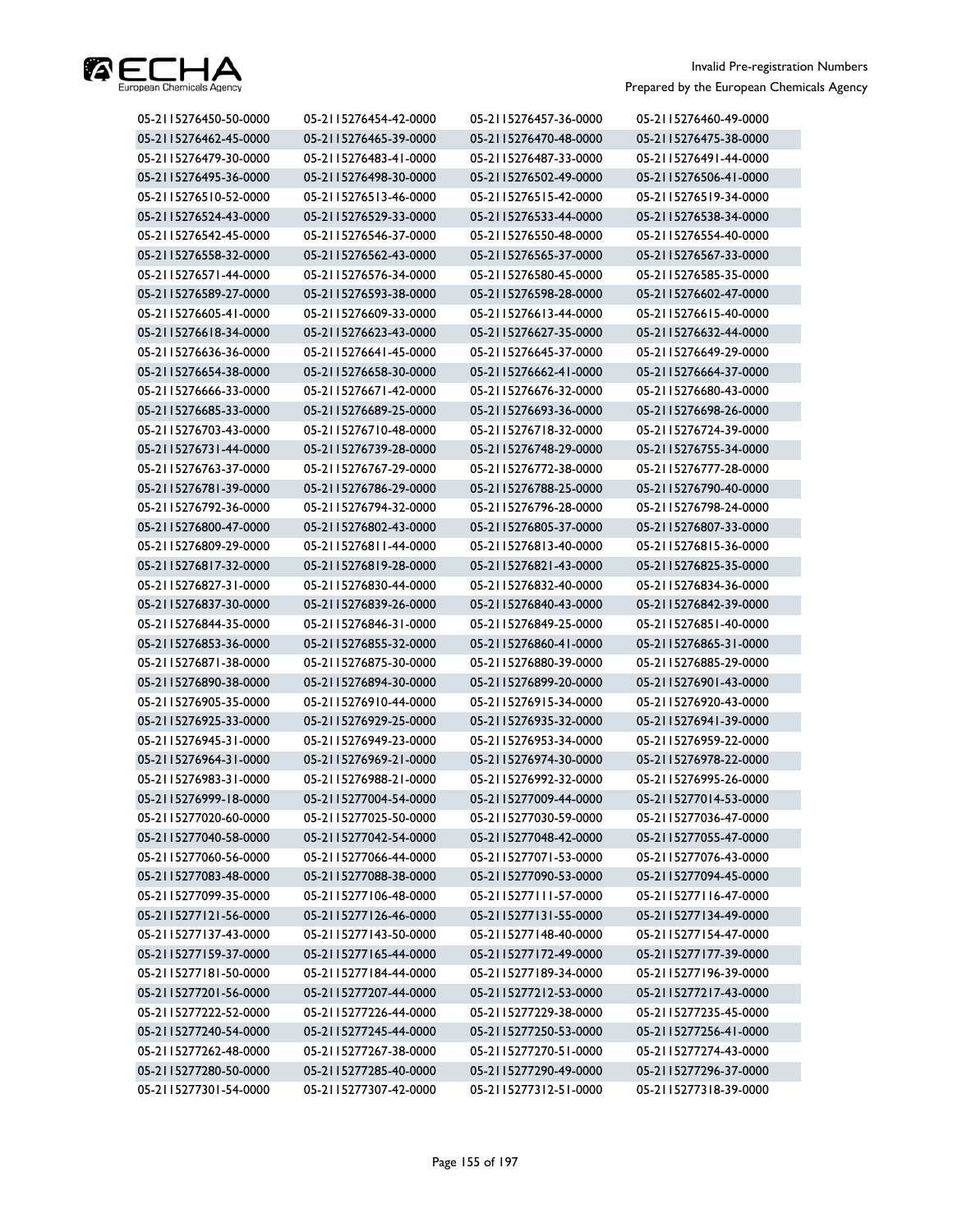

| 05-2115276450-50-0000 | 05-2115276454-42-0000 | 05-2115276457-36-0000 | 05-2115276460-49-0000 |
|-----------------------|-----------------------|-----------------------|-----------------------|
| 05-2115276462-45-0000 | 05-2115276465-39-0000 | 05-2115276470-48-0000 | 05-2115276475-38-0000 |
| 05-2115276479-30-0000 | 05-2115276483-41-0000 | 05-2115276487-33-0000 | 05-2115276491-44-0000 |
| 05-2115276495-36-0000 | 05-2115276498-30-0000 | 05-2115276502-49-0000 | 05-2115276506-41-0000 |
| 05-2115276510-52-0000 | 05-2115276513-46-0000 | 05-2115276515-42-0000 | 05-2115276519-34-0000 |
| 05-2115276524-43-0000 | 05-2115276529-33-0000 | 05-2115276533-44-0000 | 05-2115276538-34-0000 |
| 05-2115276542-45-0000 | 05-2115276546-37-0000 | 05-2115276550-48-0000 | 05-2115276554-40-0000 |
| 05-2115276558-32-0000 | 05-2115276562-43-0000 | 05-2115276565-37-0000 | 05-2115276567-33-0000 |
| 05-2115276571-44-0000 | 05-2115276576-34-0000 | 05-2115276580-45-0000 | 05-2115276585-35-0000 |
| 05-2115276589-27-0000 | 05-2115276593-38-0000 | 05-2115276598-28-0000 | 05-2115276602-47-0000 |
| 05-2115276605-41-0000 | 05-2115276609-33-0000 | 05-2115276613-44-0000 | 05-2115276615-40-0000 |
| 05-2115276618-34-0000 | 05-2115276623-43-0000 | 05-2115276627-35-0000 | 05-2115276632-44-0000 |
| 05-2115276636-36-0000 | 05-2115276641-45-0000 | 05-2115276645-37-0000 | 05-2115276649-29-0000 |
| 05-2115276654-38-0000 | 05-2115276658-30-0000 | 05-2115276662-41-0000 | 05-2115276664-37-0000 |
| 05-2115276666-33-0000 | 05-2115276671-42-0000 | 05-2115276676-32-0000 | 05-2115276680-43-0000 |
| 05-2115276685-33-0000 | 05-2115276689-25-0000 | 05-2115276693-36-0000 | 05-2115276698-26-0000 |
| 05-2115276703-43-0000 | 05-2115276710-48-0000 | 05-2115276718-32-0000 | 05-2115276724-39-0000 |
| 05-2115276731-44-0000 | 05-2115276739-28-0000 | 05-2115276748-29-0000 | 05-2115276755-34-0000 |
| 05-2115276763-37-0000 | 05-2115276767-29-0000 | 05-2115276772-38-0000 | 05-2115276777-28-0000 |
| 05-2115276781-39-0000 | 05-2115276786-29-0000 | 05-2115276788-25-0000 | 05-2115276790-40-0000 |
| 05-2115276792-36-0000 | 05-2115276794-32-0000 | 05-2115276796-28-0000 | 05-2115276798-24-0000 |
| 05-2115276800-47-0000 | 05-2115276802-43-0000 | 05-2115276805-37-0000 | 05-2115276807-33-0000 |
| 05-2115276809-29-0000 | 05-2115276811-44-0000 | 05-2115276813-40-0000 | 05-2115276815-36-0000 |
| 05-2115276817-32-0000 | 05-2115276819-28-0000 | 05-2115276821-43-0000 | 05-2115276825-35-0000 |
| 05-2115276827-31-0000 | 05-2115276830-44-0000 | 05-2115276832-40-0000 | 05-2115276834-36-0000 |
| 05-2115276837-30-0000 | 05-2115276839-26-0000 | 05-2115276840-43-0000 | 05-2115276842-39-0000 |
| 05-2115276844-35-0000 | 05-2115276846-31-0000 | 05-2115276849-25-0000 | 05-2115276851-40-0000 |
| 05-2115276853-36-0000 | 05-2115276855-32-0000 | 05-2115276860-41-0000 | 05-2115276865-31-0000 |
| 05-2115276871-38-0000 | 05-2115276875-30-0000 | 05-2115276880-39-0000 | 05-2115276885-29-0000 |
| 05-2115276890-38-0000 | 05-2115276894-30-0000 | 05-2115276899-20-0000 | 05-2115276901-43-0000 |
| 05-2115276905-35-0000 | 05-2115276910-44-0000 | 05-2115276915-34-0000 | 05-2115276920-43-0000 |
| 05-2115276925-33-0000 | 05-2115276929-25-0000 | 05-2115276935-32-0000 | 05-2115276941-39-0000 |
| 05-2115276945-31-0000 | 05-2115276949-23-0000 | 05-2115276953-34-0000 | 05-2115276959-22-0000 |
| 05-2115276964-31-0000 | 05-2115276969-21-0000 | 05-2115276974-30-0000 | 05-2115276978-22-0000 |
| 05-2115276983-31-0000 | 05-2115276988-21-0000 | 05-2115276992-32-0000 | 05-2115276995-26-0000 |
| 05-2115276999-18-0000 | 05-2115277004-54-0000 | 05-2115277009-44-0000 | 05-2115277014-53-0000 |
| 05-2115277020-60-0000 | 05-2115277025-50-0000 | 05-2115277030-59-0000 | 05-2115277036-47-0000 |
| 05-2115277040-58-0000 | 05-2115277042-54-0000 | 05-2115277048-42-0000 | 05-2115277055-47-0000 |
| 05-2115277060-56-0000 | 05-2115277066-44-0000 | 05-2115277071-53-0000 | 05-2115277076-43-0000 |
| 05-2115277083-48-0000 | 05-2115277088-38-0000 | 05-2115277090-53-0000 | 05-2115277094-45-0000 |
| 05-2115277099-35-0000 | 05-2115277106-48-0000 | 05-2115277111-57-0000 | 05-2115277116-47-0000 |
| 05-2115277121-56-0000 | 05-2115277126-46-0000 | 05-2115277131-55-0000 | 05-2115277134-49-0000 |
| 05-2115277137-43-0000 | 05-2115277143-50-0000 | 05-2115277148-40-0000 | 05-2115277154-47-0000 |
| 05-2115277159-37-0000 | 05-2115277165-44-0000 | 05-2115277172-49-0000 | 05-2115277177-39-0000 |
| 05-2115277181-50-0000 | 05-2115277184-44-0000 | 05-2115277189-34-0000 | 05-2115277196-39-0000 |
| 05-2115277201-56-0000 | 05-2115277207-44-0000 | 05-2115277212-53-0000 | 05-2115277217-43-0000 |
| 05-2115277222-52-0000 | 05-2115277226-44-0000 | 05-2115277229-38-0000 | 05-2115277235-45-0000 |
| 05-2115277240-54-0000 | 05-2115277245-44-0000 | 05-2115277250-53-0000 | 05-2115277256-41-0000 |
| 05-2115277262-48-0000 | 05-2115277267-38-0000 | 05-2115277270-51-0000 | 05-2115277274-43-0000 |
| 05-2115277280-50-0000 | 05-2115277285-40-0000 | 05-2115277290-49-0000 | 05-2115277296-37-0000 |
| 05-2115277301-54-0000 | 05-2115277307-42-0000 | 05-2115277312-51-0000 | 05-2115277318-39-0000 |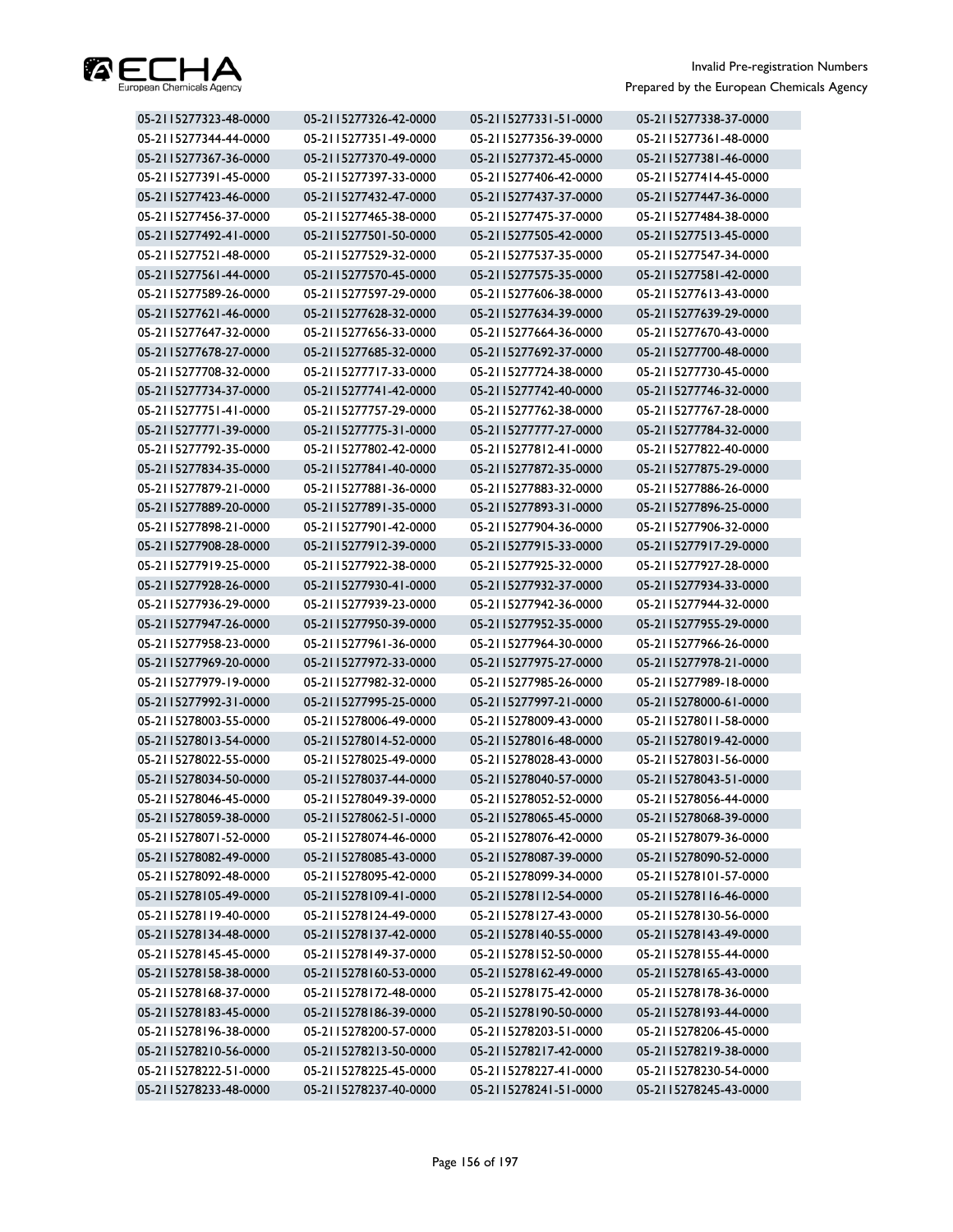

| 05-2115277323-48-0000 | 05-2115277326-42-0000 | 05-2115277331-51-0000 | 05-2115277338-37-0000 |
|-----------------------|-----------------------|-----------------------|-----------------------|
| 05-2115277344-44-0000 | 05-2115277351-49-0000 | 05-2115277356-39-0000 | 05-2115277361-48-0000 |
| 05-2115277367-36-0000 | 05-2115277370-49-0000 | 05-2115277372-45-0000 | 05-2115277381-46-0000 |
| 05-2115277391-45-0000 | 05-2115277397-33-0000 | 05-2115277406-42-0000 | 05-2115277414-45-0000 |
| 05-2115277423-46-0000 | 05-2115277432-47-0000 | 05-2115277437-37-0000 | 05-2115277447-36-0000 |
| 05-2115277456-37-0000 | 05-2115277465-38-0000 | 05-2115277475-37-0000 | 05-2115277484-38-0000 |
| 05-2115277492-41-0000 | 05-2115277501-50-0000 | 05-2115277505-42-0000 | 05-2115277513-45-0000 |
| 05-2115277521-48-0000 | 05-2115277529-32-0000 | 05-2115277537-35-0000 | 05-2115277547-34-0000 |
| 05-2115277561-44-0000 | 05-2115277570-45-0000 | 05-2115277575-35-0000 | 05-2115277581-42-0000 |
| 05-2115277589-26-0000 | 05-2115277597-29-0000 | 05-2115277606-38-0000 | 05-2115277613-43-0000 |
| 05-2115277621-46-0000 | 05-2115277628-32-0000 | 05-2115277634-39-0000 | 05-2115277639-29-0000 |
| 05-2115277647-32-0000 | 05-2115277656-33-0000 | 05-2115277664-36-0000 | 05-2115277670-43-0000 |
| 05-2115277678-27-0000 | 05-2115277685-32-0000 | 05-2115277692-37-0000 | 05-2115277700-48-0000 |
| 05-2115277708-32-0000 | 05-2115277717-33-0000 | 05-2115277724-38-0000 | 05-2115277730-45-0000 |
| 05-2115277734-37-0000 | 05-2115277741-42-0000 | 05-2115277742-40-0000 | 05-2115277746-32-0000 |
| 05-2115277751-41-0000 | 05-2115277757-29-0000 | 05-2115277762-38-0000 | 05-2115277767-28-0000 |
| 05-2115277771-39-0000 | 05-2115277775-31-0000 | 05-2115277777-27-0000 | 05-2115277784-32-0000 |
| 05-2115277792-35-0000 | 05-2115277802-42-0000 | 05-2115277812-41-0000 | 05-2115277822-40-0000 |
| 05-2115277834-35-0000 | 05-2115277841-40-0000 | 05-2115277872-35-0000 | 05-2115277875-29-0000 |
| 05-2115277879-21-0000 | 05-2115277881-36-0000 | 05-2115277883-32-0000 | 05-2115277886-26-0000 |
| 05-2115277889-20-0000 | 05-2115277891-35-0000 | 05-2115277893-31-0000 | 05-2115277896-25-0000 |
| 05-2115277898-21-0000 | 05-2115277901-42-0000 | 05-2115277904-36-0000 | 05-2115277906-32-0000 |
| 05-2115277908-28-0000 | 05-2115277912-39-0000 | 05-2115277915-33-0000 | 05-2115277917-29-0000 |
| 05-2115277919-25-0000 | 05-2115277922-38-0000 | 05-2115277925-32-0000 | 05-2115277927-28-0000 |
| 05-2115277928-26-0000 | 05-2115277930-41-0000 | 05-2115277932-37-0000 | 05-2115277934-33-0000 |
| 05-2115277936-29-0000 | 05-2115277939-23-0000 | 05-2115277942-36-0000 | 05-2115277944-32-0000 |
| 05-2115277947-26-0000 | 05-2115277950-39-0000 | 05-2115277952-35-0000 | 05-2115277955-29-0000 |
| 05-2115277958-23-0000 | 05-2115277961-36-0000 | 05-2115277964-30-0000 | 05-2115277966-26-0000 |
| 05-2115277969-20-0000 | 05-2115277972-33-0000 | 05-2115277975-27-0000 | 05-2115277978-21-0000 |
| 05-2115277979-19-0000 | 05-2115277982-32-0000 | 05-2115277985-26-0000 | 05-2115277989-18-0000 |
| 05-2115277992-31-0000 | 05-2115277995-25-0000 | 05-2115277997-21-0000 | 05-2115278000-61-0000 |
| 05-2115278003-55-0000 | 05-2115278006-49-0000 | 05-2115278009-43-0000 | 05-2115278011-58-0000 |
| 05-2115278013-54-0000 | 05-2115278014-52-0000 | 05-2115278016-48-0000 | 05-2115278019-42-0000 |
| 05-2115278022-55-0000 | 05-2115278025-49-0000 | 05-2115278028-43-0000 | 05-2115278031-56-0000 |
| 05-2115278034-50-0000 | 05-2115278037-44-0000 | 05-2115278040-57-0000 | 05-2115278043-51-0000 |
| 05-2115278046-45-0000 | 05-2115278049-39-0000 | 05-2115278052-52-0000 | 05-2115278056-44-0000 |
| 05-2115278059-38-0000 | 05-2115278062-51-0000 | 05-2115278065-45-0000 | 05-2115278068-39-0000 |
| 05-2115278071-52-0000 | 05-2115278074-46-0000 | 05-2115278076-42-0000 | 05-2115278079-36-0000 |
| 05-2115278082-49-0000 | 05-2115278085-43-0000 | 05-2115278087-39-0000 | 05-2115278090-52-0000 |
| 05-2115278092-48-0000 | 05-2115278095-42-0000 | 05-2115278099-34-0000 | 05-2115278101-57-0000 |
| 05-2115278105-49-0000 | 05-2115278109-41-0000 | 05-2115278112-54-0000 | 05-2115278116-46-0000 |
| 05-2115278119-40-0000 | 05-2115278124-49-0000 | 05-2115278127-43-0000 | 05-2115278130-56-0000 |
| 05-2115278134-48-0000 | 05-2115278137-42-0000 | 05-2115278140-55-0000 | 05-2115278143-49-0000 |
| 05-2115278145-45-0000 | 05-2115278149-37-0000 | 05-2115278152-50-0000 | 05-2115278155-44-0000 |
| 05-2115278158-38-0000 | 05-2115278160-53-0000 | 05-2115278162-49-0000 | 05-2115278165-43-0000 |
| 05-2115278168-37-0000 | 05-2115278172-48-0000 | 05-2115278175-42-0000 | 05-2115278178-36-0000 |
| 05-2115278183-45-0000 | 05-2115278186-39-0000 | 05-2115278190-50-0000 | 05-2115278193-44-0000 |
| 05-2115278196-38-0000 | 05-2115278200-57-0000 | 05-2115278203-51-0000 | 05-2115278206-45-0000 |
| 05-2115278210-56-0000 | 05-2115278213-50-0000 | 05-2115278217-42-0000 | 05-2115278219-38-0000 |
| 05-2115278222-51-0000 | 05-2115278225-45-0000 | 05-2115278227-41-0000 | 05-2115278230-54-0000 |
| 05-2115278233-48-0000 | 05-2115278237-40-0000 | 05-2115278241-51-0000 | 05-2115278245-43-0000 |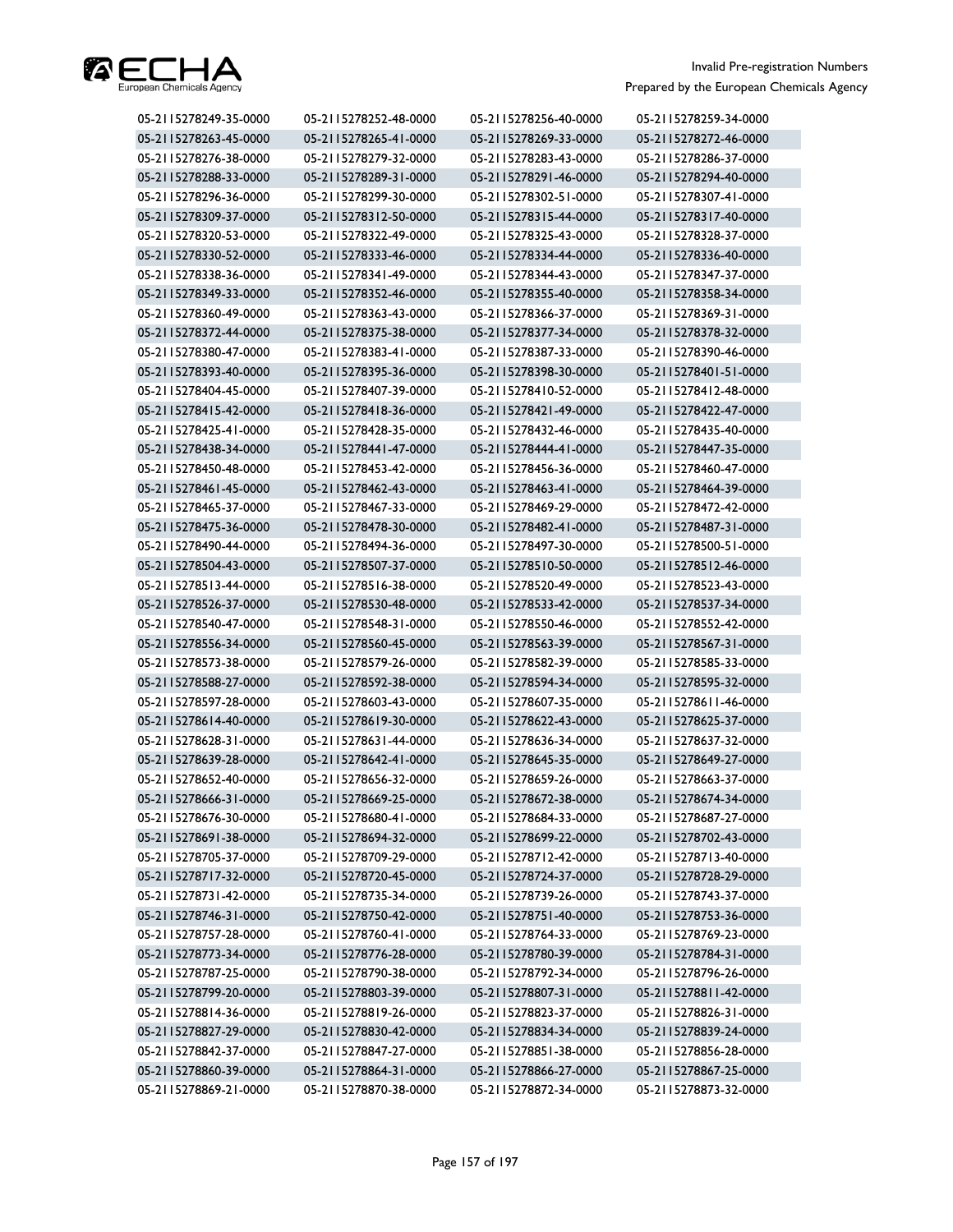

| 05-2115278249-35-0000 | 05-2115278252-48-0000 | 05-2115278256-40-0000 | 05-2115278259-34-0000 |
|-----------------------|-----------------------|-----------------------|-----------------------|
| 05-2115278263-45-0000 | 05-2115278265-41-0000 | 05-2115278269-33-0000 | 05-2115278272-46-0000 |
| 05-2115278276-38-0000 | 05-2115278279-32-0000 | 05-2115278283-43-0000 | 05-2115278286-37-0000 |
| 05-2115278288-33-0000 | 05-2115278289-31-0000 | 05-2115278291-46-0000 | 05-2115278294-40-0000 |
| 05-2115278296-36-0000 | 05-2115278299-30-0000 | 05-2115278302-51-0000 | 05-2115278307-41-0000 |
| 05-2115278309-37-0000 | 05-2115278312-50-0000 | 05-2115278315-44-0000 | 05-2115278317-40-0000 |
| 05-2115278320-53-0000 | 05-2115278322-49-0000 | 05-2115278325-43-0000 | 05-2115278328-37-0000 |
| 05-2115278330-52-0000 | 05-2115278333-46-0000 | 05-2115278334-44-0000 | 05-2115278336-40-0000 |
| 05-2115278338-36-0000 | 05-2115278341-49-0000 | 05-2115278344-43-0000 | 05-2115278347-37-0000 |
| 05-2115278349-33-0000 | 05-2115278352-46-0000 | 05-2115278355-40-0000 | 05-2115278358-34-0000 |
| 05-2115278360-49-0000 | 05-2115278363-43-0000 | 05-2115278366-37-0000 | 05-2115278369-31-0000 |
| 05-2115278372-44-0000 | 05-2115278375-38-0000 | 05-2115278377-34-0000 | 05-2115278378-32-0000 |
| 05-2115278380-47-0000 | 05-2115278383-41-0000 | 05-2115278387-33-0000 | 05-2115278390-46-0000 |
| 05-2115278393-40-0000 | 05-2115278395-36-0000 | 05-2115278398-30-0000 | 05-2115278401-51-0000 |
| 05-2115278404-45-0000 | 05-2115278407-39-0000 | 05-2115278410-52-0000 | 05-2115278412-48-0000 |
| 05-2115278415-42-0000 | 05-2115278418-36-0000 | 05-2115278421-49-0000 | 05-2115278422-47-0000 |
| 05-2115278425-41-0000 | 05-2115278428-35-0000 | 05-2115278432-46-0000 | 05-2115278435-40-0000 |
| 05-2115278438-34-0000 | 05-2115278441-47-0000 | 05-2115278444-41-0000 | 05-2115278447-35-0000 |
| 05-2115278450-48-0000 | 05-2115278453-42-0000 | 05-2115278456-36-0000 | 05-2115278460-47-0000 |
| 05-2115278461-45-0000 | 05-2115278462-43-0000 | 05-2115278463-41-0000 | 05-2115278464-39-0000 |
| 05-2115278465-37-0000 | 05-2115278467-33-0000 | 05-2115278469-29-0000 | 05-2115278472-42-0000 |
| 05-2115278475-36-0000 | 05-2115278478-30-0000 | 05-2115278482-41-0000 | 05-2115278487-31-0000 |
| 05-2115278490-44-0000 | 05-2115278494-36-0000 | 05-2115278497-30-0000 | 05-2115278500-51-0000 |
| 05-2115278504-43-0000 | 05-2115278507-37-0000 | 05-2115278510-50-0000 | 05-2115278512-46-0000 |
| 05-2115278513-44-0000 | 05-2115278516-38-0000 | 05-2115278520-49-0000 | 05-2115278523-43-0000 |
| 05-2115278526-37-0000 | 05-2115278530-48-0000 | 05-2115278533-42-0000 | 05-2115278537-34-0000 |
| 05-2115278540-47-0000 | 05-2115278548-31-0000 | 05-2115278550-46-0000 | 05-2115278552-42-0000 |
| 05-2115278556-34-0000 | 05-2115278560-45-0000 | 05-2115278563-39-0000 | 05-2115278567-31-0000 |
| 05-2115278573-38-0000 | 05-2115278579-26-0000 | 05-2115278582-39-0000 | 05-2115278585-33-0000 |
| 05-2115278588-27-0000 | 05-2115278592-38-0000 | 05-2115278594-34-0000 | 05-2115278595-32-0000 |
| 05-2115278597-28-0000 | 05-2115278603-43-0000 | 05-2115278607-35-0000 | 05-2115278611-46-0000 |
| 05-2115278614-40-0000 | 05-2115278619-30-0000 | 05-2115278622-43-0000 | 05-2115278625-37-0000 |
| 05-2115278628-31-0000 | 05-2115278631-44-0000 | 05-2115278636-34-0000 | 05-2115278637-32-0000 |
| 05-2115278639-28-0000 | 05-2115278642-41-0000 | 05-2115278645-35-0000 | 05-2115278649-27-0000 |
| 05-2115278652-40-0000 | 05-2115278656-32-0000 | 05-2115278659-26-0000 | 05-2115278663-37-0000 |
| 05-2115278666-31-0000 | 05-2115278669-25-0000 | 05-2115278672-38-0000 | 05-2115278674-34-0000 |
| 05-2115278676-30-0000 | 05-2115278680-41-0000 | 05-2115278684-33-0000 | 05-2115278687-27-0000 |
| 05-2115278691-38-0000 | 05-2115278694-32-0000 | 05-2115278699-22-0000 | 05-2115278702-43-0000 |
| 05-2115278705-37-0000 | 05-2115278709-29-0000 | 05-2115278712-42-0000 | 05-2115278713-40-0000 |
| 05-2115278717-32-0000 | 05-2115278720-45-0000 | 05-2115278724-37-0000 | 05-2115278728-29-0000 |
| 05-2115278731-42-0000 | 05-2115278735-34-0000 | 05-2115278739-26-0000 | 05-2115278743-37-0000 |
| 05-2115278746-31-0000 | 05-2115278750-42-0000 | 05-2115278751-40-0000 | 05-2115278753-36-0000 |
| 05-2115278757-28-0000 | 05-2115278760-41-0000 | 05-2115278764-33-0000 | 05-2115278769-23-0000 |
| 05-2115278773-34-0000 | 05-2115278776-28-0000 | 05-2115278780-39-0000 | 05-2115278784-31-0000 |
| 05-2115278787-25-0000 | 05-2115278790-38-0000 | 05-2115278792-34-0000 | 05-2115278796-26-0000 |
| 05-2115278799-20-0000 | 05-2115278803-39-0000 | 05-2115278807-31-0000 | 05-2115278811-42-0000 |
| 05-2115278814-36-0000 | 05-2115278819-26-0000 | 05-2115278823-37-0000 | 05-2115278826-31-0000 |
| 05-2115278827-29-0000 | 05-2115278830-42-0000 | 05-2115278834-34-0000 | 05-2115278839-24-0000 |
| 05-2115278842-37-0000 | 05-2115278847-27-0000 | 05-2115278851-38-0000 | 05-2115278856-28-0000 |
| 05-2115278860-39-0000 | 05-2115278864-31-0000 | 05-2115278866-27-0000 | 05-2115278867-25-0000 |
| 05-2115278869-21-0000 | 05-2115278870-38-0000 | 05-2115278872-34-0000 | 05-2115278873-32-0000 |
|                       |                       |                       |                       |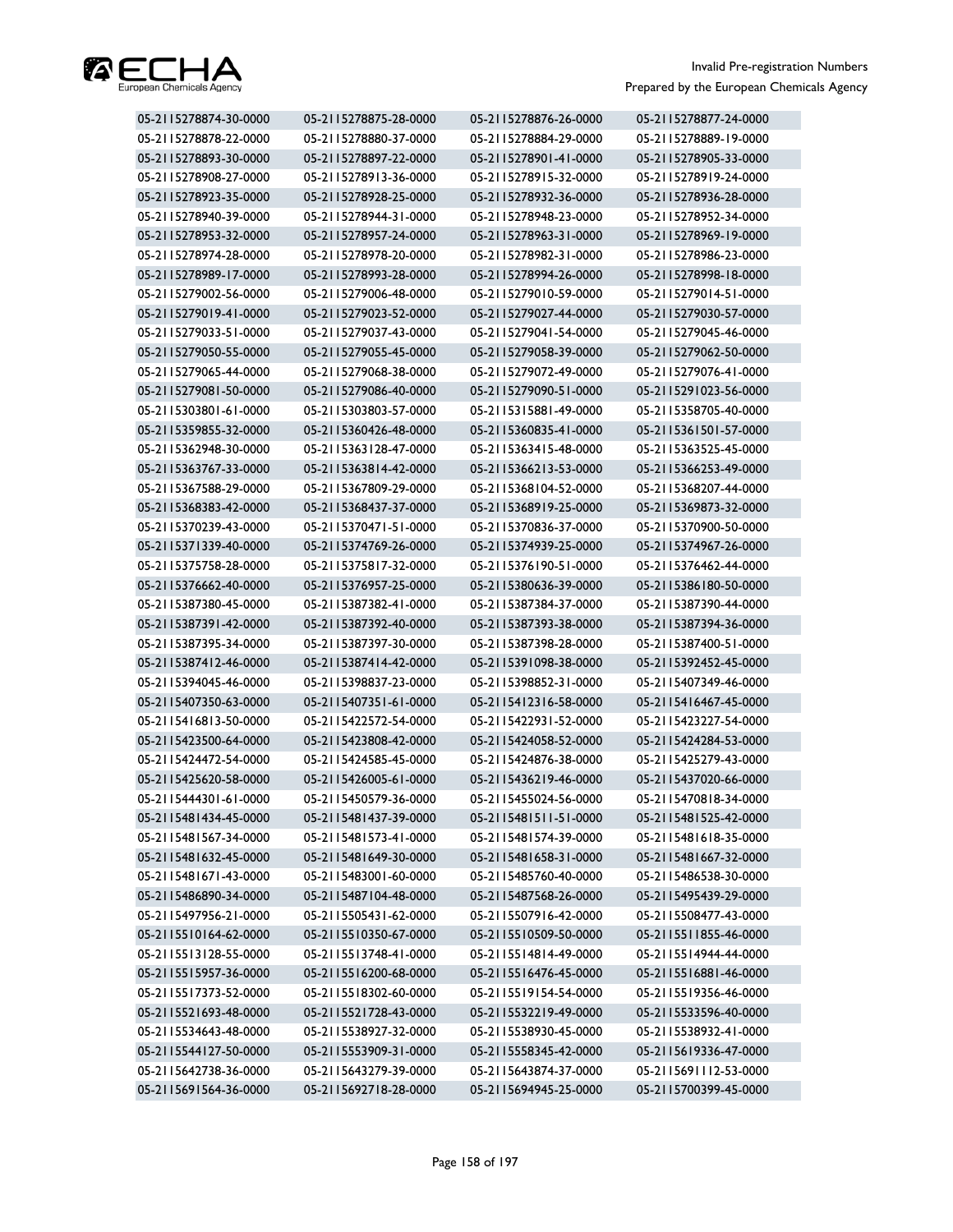

| 05-2115278874-30-0000 | 05-2115278875-28-0000 | 05-2115278876-26-0000 | 05-2115278877-24-0000 |
|-----------------------|-----------------------|-----------------------|-----------------------|
| 05-2115278878-22-0000 | 05-2115278880-37-0000 | 05-2115278884-29-0000 | 05-2115278889-19-0000 |
| 05-2115278893-30-0000 | 05-2115278897-22-0000 | 05-2115278901-41-0000 | 05-2115278905-33-0000 |
| 05-2115278908-27-0000 | 05-2115278913-36-0000 | 05-2115278915-32-0000 | 05-2115278919-24-0000 |
| 05-2115278923-35-0000 | 05-2115278928-25-0000 | 05-2115278932-36-0000 | 05-2115278936-28-0000 |
| 05-2115278940-39-0000 | 05-2115278944-31-0000 | 05-2115278948-23-0000 | 05-2115278952-34-0000 |
| 05-2115278953-32-0000 | 05-2115278957-24-0000 | 05-2115278963-31-0000 | 05-2115278969-19-0000 |
| 05-2115278974-28-0000 | 05-2115278978-20-0000 | 05-2115278982-31-0000 | 05-2115278986-23-0000 |
| 05-2115278989-17-0000 | 05-2115278993-28-0000 | 05-2115278994-26-0000 | 05-2115278998-18-0000 |
| 05-2115279002-56-0000 | 05-2115279006-48-0000 | 05-2115279010-59-0000 | 05-2115279014-51-0000 |
| 05-2115279019-41-0000 | 05-2115279023-52-0000 | 05-2115279027-44-0000 | 05-2115279030-57-0000 |
| 05-2115279033-51-0000 | 05-2115279037-43-0000 | 05-2115279041-54-0000 | 05-2115279045-46-0000 |
| 05-2115279050-55-0000 | 05-2115279055-45-0000 | 05-2115279058-39-0000 | 05-2115279062-50-0000 |
| 05-2115279065-44-0000 | 05-2115279068-38-0000 | 05-2115279072-49-0000 | 05-2115279076-41-0000 |
| 05-2115279081-50-0000 | 05-2115279086-40-0000 | 05-2115279090-51-0000 | 05-2115291023-56-0000 |
| 05-2115303801-61-0000 | 05-2115303803-57-0000 | 05-2115315881-49-0000 | 05-2115358705-40-0000 |
| 05-2115359855-32-0000 | 05-2115360426-48-0000 | 05-2115360835-41-0000 | 05-2115361501-57-0000 |
| 05-2115362948-30-0000 | 05-2115363128-47-0000 | 05-2115363415-48-0000 | 05-2115363525-45-0000 |
| 05-2115363767-33-0000 | 05-2115363814-42-0000 | 05-2115366213-53-0000 | 05-2115366253-49-0000 |
| 05-2115367588-29-0000 | 05-2115367809-29-0000 | 05-2115368104-52-0000 | 05-2115368207-44-0000 |
| 05-2115368383-42-0000 | 05-2115368437-37-0000 | 05-2115368919-25-0000 | 05-2115369873-32-0000 |
| 05-2115370239-43-0000 | 05-2115370471-51-0000 | 05-2115370836-37-0000 | 05-2115370900-50-0000 |
| 05-2115371339-40-0000 | 05-2115374769-26-0000 | 05-2115374939-25-0000 | 05-2115374967-26-0000 |
| 05-2115375758-28-0000 | 05-2115375817-32-0000 | 05-2115376190-51-0000 | 05-2115376462-44-0000 |
| 05-2115376662-40-0000 | 05-2115376957-25-0000 | 05-2115380636-39-0000 | 05-2115386180-50-0000 |
| 05-2115387380-45-0000 | 05-2115387382-41-0000 | 05-2115387384-37-0000 | 05-2115387390-44-0000 |
| 05-2115387391-42-0000 | 05-2115387392-40-0000 | 05-2115387393-38-0000 | 05-2115387394-36-0000 |
| 05-2115387395-34-0000 | 05-2115387397-30-0000 | 05-2115387398-28-0000 | 05-2115387400-51-0000 |
| 05-2115387412-46-0000 | 05-2115387414-42-0000 | 05-2115391098-38-0000 | 05-2115392452-45-0000 |
| 05-2115394045-46-0000 | 05-2115398837-23-0000 | 05-2115398852-31-0000 | 05-2115407349-46-0000 |
| 05-2115407350-63-0000 | 05-2115407351-61-0000 | 05-2115412316-58-0000 | 05-2115416467-45-0000 |
| 05-2115416813-50-0000 | 05-2115422572-54-0000 | 05-2115422931-52-0000 | 05-2115423227-54-0000 |
| 05-2115423500-64-0000 | 05-2115423808-42-0000 | 05-2115424058-52-0000 | 05-2115424284-53-0000 |
| 05-2115424472-54-0000 | 05-2115424585-45-0000 | 05-2115424876-38-0000 | 05-2115425279-43-0000 |
| 05-2115425620-58-0000 | 05-2115426005-61-0000 | 05-2115436219-46-0000 | 05-2115437020-66-0000 |
| 05-2115444301-61-0000 | 05-2115450579-36-0000 | 05-2115455024-56-0000 | 05-2115470818-34-0000 |
| 05-2115481434-45-0000 | 05-2115481437-39-0000 | 05-2115481511-51-0000 | 05-2115481525-42-0000 |
| 05-2115481567-34-0000 | 05-2115481573-41-0000 | 05-2115481574-39-0000 | 05-2115481618-35-0000 |
| 05-2115481632-45-0000 | 05-2115481649-30-0000 | 05-2115481658-31-0000 | 05-2115481667-32-0000 |
| 05-2115481671-43-0000 | 05-2115483001-60-0000 | 05-2115485760-40-0000 | 05-2115486538-30-0000 |
| 05-2115486890-34-0000 | 05-2115487104-48-0000 | 05-2115487568-26-0000 | 05-2115495439-29-0000 |
| 05-2115497956-21-0000 | 05-2115505431-62-0000 | 05-2115507916-42-0000 | 05-2115508477-43-0000 |
| 05-2115510164-62-0000 | 05-2115510350-67-0000 | 05-2115510509-50-0000 | 05-2115511855-46-0000 |
| 05-2115513128-55-0000 | 05-2115513748-41-0000 | 05-2115514814-49-0000 | 05-2115514944-44-0000 |
| 05-2115515957-36-0000 | 05-2115516200-68-0000 | 05-2115516476-45-0000 | 05-2115516881-46-0000 |
| 05-2115517373-52-0000 | 05-2115518302-60-0000 | 05-2115519154-54-0000 | 05-2115519356-46-0000 |
| 05-2115521693-48-0000 | 05-2115521728-43-0000 | 05-2115532219-49-0000 | 05-2115533596-40-0000 |
| 05-2115534643-48-0000 | 05-2115538927-32-0000 | 05-2115538930-45-0000 | 05-2115538932-41-0000 |
| 05-2115544127-50-0000 | 05-2115553909-31-0000 | 05-2115558345-42-0000 | 05-2115619336-47-0000 |
| 05-2115642738-36-0000 | 05-2115643279-39-0000 | 05-2115643874-37-0000 | 05-2115691112-53-0000 |
| 05-2115691564-36-0000 | 05-2115692718-28-0000 | 05-2115694945-25-0000 | 05-2115700399-45-0000 |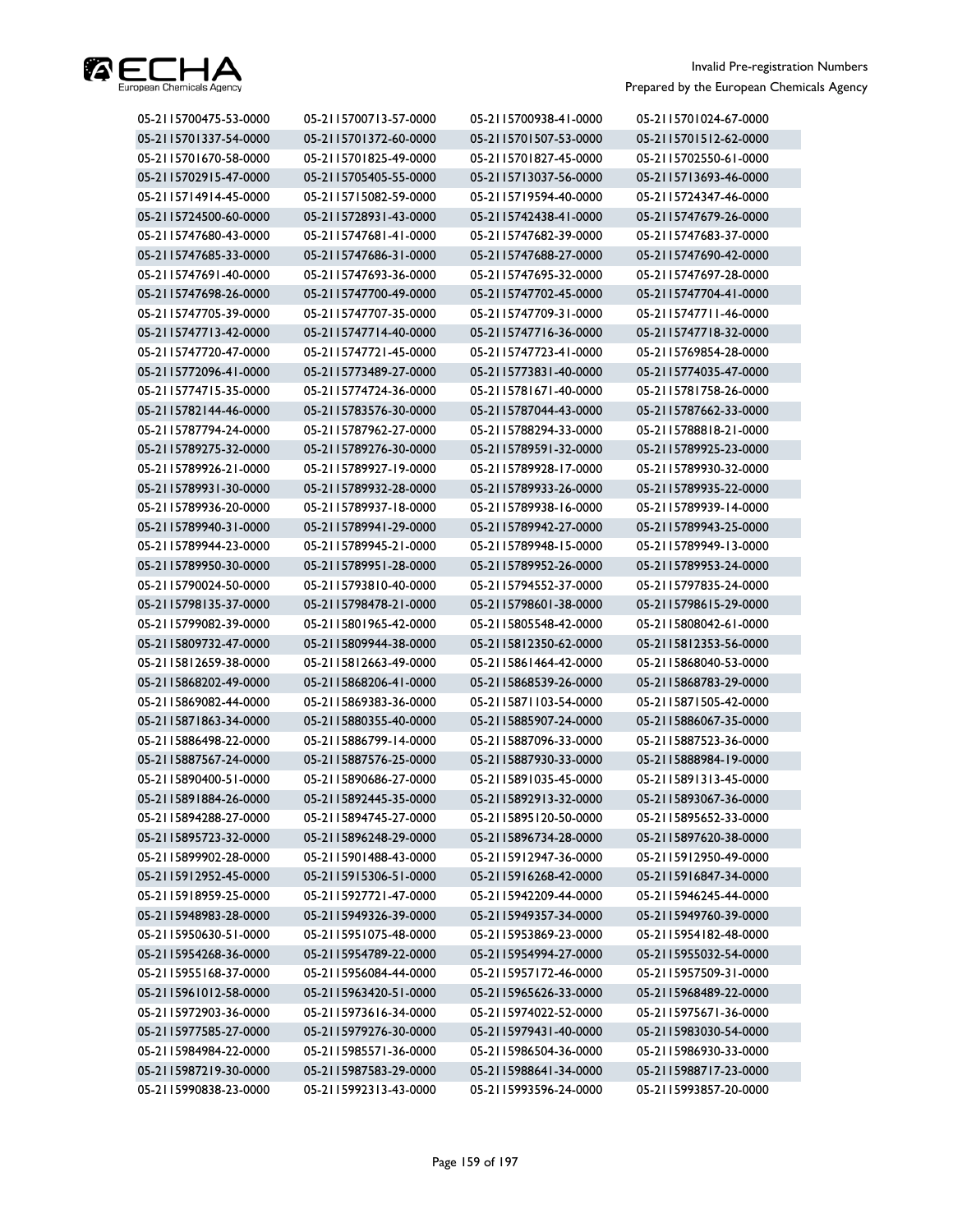

| 05-2115700475-53-0000 | 05-2115700713-57-0000 | 05-2115700938-41-0000 | 05-2115701024-67-0000 |
|-----------------------|-----------------------|-----------------------|-----------------------|
| 05-2115701337-54-0000 | 05-2115701372-60-0000 | 05-2115701507-53-0000 | 05-2115701512-62-0000 |
| 05-2115701670-58-0000 | 05-2115701825-49-0000 | 05-2115701827-45-0000 | 05-2115702550-61-0000 |
| 05-2115702915-47-0000 | 05-2115705405-55-0000 | 05-2115713037-56-0000 | 05-2115713693-46-0000 |
| 05-2115714914-45-0000 | 05-2115715082-59-0000 | 05-2115719594-40-0000 | 05-2115724347-46-0000 |
| 05-2115724500-60-0000 | 05-2115728931-43-0000 | 05-2115742438-41-0000 | 05-2115747679-26-0000 |
| 05-2115747680-43-0000 | 05-2115747681-41-0000 | 05-2115747682-39-0000 | 05-2115747683-37-0000 |
| 05-2115747685-33-0000 | 05-2115747686-31-0000 | 05-2115747688-27-0000 | 05-2115747690-42-0000 |
| 05-2115747691-40-0000 | 05-2115747693-36-0000 | 05-2115747695-32-0000 | 05-2115747697-28-0000 |
| 05-2115747698-26-0000 | 05-2115747700-49-0000 | 05-2115747702-45-0000 | 05-2115747704-41-0000 |
| 05-2115747705-39-0000 | 05-2115747707-35-0000 | 05-2115747709-31-0000 | 05-2115747711-46-0000 |
| 05-2115747713-42-0000 | 05-2115747714-40-0000 | 05-2115747716-36-0000 | 05-2115747718-32-0000 |
| 05-2115747720-47-0000 | 05-2115747721-45-0000 | 05-2115747723-41-0000 | 05-2115769854-28-0000 |
| 05-2115772096-41-0000 | 05-2115773489-27-0000 | 05-2115773831-40-0000 | 05-2115774035-47-0000 |
| 05-2115774715-35-0000 | 05-2115774724-36-0000 | 05-2115781671-40-0000 | 05-2115781758-26-0000 |
| 05-2115782144-46-0000 | 05-2115783576-30-0000 | 05-2115787044-43-0000 | 05-2115787662-33-0000 |
| 05-2115787794-24-0000 | 05-2115787962-27-0000 | 05-2115788294-33-0000 | 05-2115788818-21-0000 |
| 05-2115789275-32-0000 | 05-2115789276-30-0000 | 05-2115789591-32-0000 | 05-2115789925-23-0000 |
| 05-2115789926-21-0000 | 05-2115789927-19-0000 | 05-2115789928-17-0000 | 05-2115789930-32-0000 |
| 05-2115789931-30-0000 | 05-2115789932-28-0000 | 05-2115789933-26-0000 | 05-2115789935-22-0000 |
| 05-2115789936-20-0000 | 05-2115789937-18-0000 | 05-2115789938-16-0000 | 05-2115789939-14-0000 |
| 05-2115789940-31-0000 | 05-2115789941-29-0000 | 05-2115789942-27-0000 | 05-2115789943-25-0000 |
| 05-2115789944-23-0000 | 05-2115789945-21-0000 | 05-2115789948-15-0000 | 05-2115789949-13-0000 |
| 05-2115789950-30-0000 | 05-2115789951-28-0000 | 05-2115789952-26-0000 | 05-2115789953-24-0000 |
| 05-2115790024-50-0000 | 05-2115793810-40-0000 | 05-2115794552-37-0000 | 05-2115797835-24-0000 |
| 05-2115798135-37-0000 | 05-2115798478-21-0000 | 05-2115798601-38-0000 | 05-2115798615-29-0000 |
| 05-2115799082-39-0000 | 05-2115801965-42-0000 | 05-2115805548-42-0000 | 05-2115808042-61-0000 |
| 05-2115809732-47-0000 | 05-2115809944-38-0000 | 05-2115812350-62-0000 | 05-2115812353-56-0000 |
| 05-2115812659-38-0000 | 05-2115812663-49-0000 | 05-2115861464-42-0000 | 05-2115868040-53-0000 |
| 05-2115868202-49-0000 | 05-2115868206-41-0000 | 05-2115868539-26-0000 | 05-2115868783-29-0000 |
| 05-2115869082-44-0000 | 05-2115869383-36-0000 | 05-2115871103-54-0000 | 05-2115871505-42-0000 |
| 05-2115871863-34-0000 | 05-2115880355-40-0000 | 05-2115885907-24-0000 | 05-2115886067-35-0000 |
| 05-2115886498-22-0000 | 05-2115886799-14-0000 | 05-2115887096-33-0000 | 05-2115887523-36-0000 |
| 05-2115887567-24-0000 | 05-2115887576-25-0000 | 05-2115887930-33-0000 | 05-2115888984-19-0000 |
| 05-2115890400-51-0000 | 05-2115890686-27-0000 | 05-2115891035-45-0000 | 05-2115891313-45-0000 |
| 05-2115891884-26-0000 | 05-2115892445-35-0000 | 05-2115892913-32-0000 | 05-2115893067-36-0000 |
| 05-2115894288-27-0000 | 05-2115894745-27-0000 | 05-2115895120-50-0000 | 05-2115895652-33-0000 |
| 05-2115895723-32-0000 | 05-2115896248-29-0000 | 05-2115896734-28-0000 | 05-2115897620-38-0000 |
| 05-2115899902-28-0000 | 05-2115901488-43-0000 | 05-2115912947-36-0000 | 05-2115912950-49-0000 |
| 05-2115912952-45-0000 | 05-2115915306-51-0000 | 05-2115916268-42-0000 | 05-2115916847-34-0000 |
| 05-2115918959-25-0000 | 05-2115927721-47-0000 | 05-2115942209-44-0000 | 05-2115946245-44-0000 |
| 05-2115948983-28-0000 | 05-2115949326-39-0000 | 05-2115949357-34-0000 | 05-2115949760-39-0000 |
| 05-2115950630-51-0000 | 05-2115951075-48-0000 | 05-2115953869-23-0000 | 05-2115954182-48-0000 |
| 05-2115954268-36-0000 | 05-2115954789-22-0000 | 05-2115954994-27-0000 | 05-2115955032-54-0000 |
| 05-2115955168-37-0000 | 05-2115956084-44-0000 | 05-2115957172-46-0000 | 05-2115957509-31-0000 |
| 05-2115961012-58-0000 | 05-2115963420-51-0000 | 05-2115965626-33-0000 | 05-2115968489-22-0000 |
| 05-2115972903-36-0000 | 05-2115973616-34-0000 | 05-2115974022-52-0000 | 05-2115975671-36-0000 |
| 05-2115977585-27-0000 | 05-2115979276-30-0000 | 05-2115979431-40-0000 | 05-2115983030-54-0000 |
| 05-2115984984-22-0000 | 05-2115985571-36-0000 | 05-2115986504-36-0000 | 05-2115986930-33-0000 |
| 05-2115987219-30-0000 | 05-2115987583-29-0000 | 05-2115988641-34-0000 | 05-2115988717-23-0000 |
| 05-2115990838-23-0000 | 05-2115992313-43-0000 | 05-2115993596-24-0000 | 05-2115993857-20-0000 |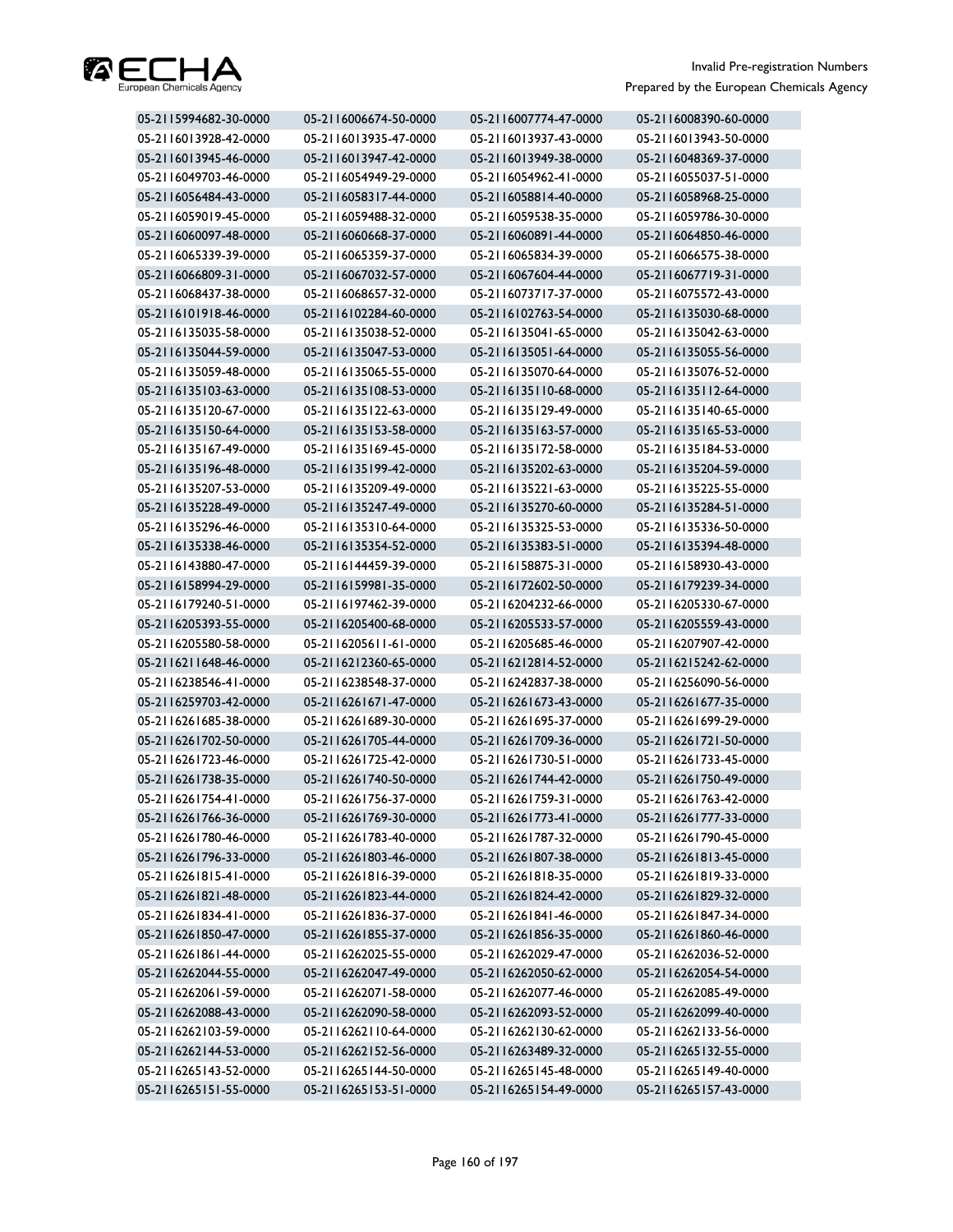

| 05-2115994682-30-0000 | 05-2116006674-50-0000 | 05-2116007774-47-0000 | 05-2116008390-60-0000 |
|-----------------------|-----------------------|-----------------------|-----------------------|
| 05-2116013928-42-0000 | 05-2116013935-47-0000 | 05-2116013937-43-0000 | 05-2116013943-50-0000 |
| 05-2116013945-46-0000 | 05-2116013947-42-0000 | 05-2116013949-38-0000 | 05-2116048369-37-0000 |
| 05-2116049703-46-0000 | 05-2116054949-29-0000 | 05-2116054962-41-0000 | 05-2116055037-51-0000 |
| 05-2116056484-43-0000 | 05-2116058317-44-0000 | 05-2116058814-40-0000 | 05-2116058968-25-0000 |
| 05-2116059019-45-0000 | 05-2116059488-32-0000 | 05-2116059538-35-0000 | 05-2116059786-30-0000 |
| 05-2116060097-48-0000 | 05-2116060668-37-0000 | 05-2116060891-44-0000 | 05-2116064850-46-0000 |
| 05-2116065339-39-0000 | 05-2116065359-37-0000 | 05-2116065834-39-0000 | 05-2116066575-38-0000 |
| 05-2116066809-31-0000 | 05-2116067032-57-0000 | 05-2116067604-44-0000 | 05-2116067719-31-0000 |
| 05-2116068437-38-0000 | 05-2116068657-32-0000 | 05-2116073717-37-0000 | 05-2116075572-43-0000 |
| 05-2116101918-46-0000 | 05-2116102284-60-0000 | 05-2116102763-54-0000 | 05-2116135030-68-0000 |
| 05-2116135035-58-0000 | 05-2116135038-52-0000 | 05-2116135041-65-0000 | 05-2116135042-63-0000 |
| 05-2116135044-59-0000 | 05-2116135047-53-0000 | 05-2116135051-64-0000 | 05-2116135055-56-0000 |
| 05-2116135059-48-0000 | 05-2116135065-55-0000 | 05-2116135070-64-0000 | 05-2116135076-52-0000 |
| 05-2116135103-63-0000 | 05-2116135108-53-0000 | 05-2116135110-68-0000 | 05-2116135112-64-0000 |
| 05-2116135120-67-0000 | 05-2116135122-63-0000 | 05-2116135129-49-0000 | 05-2116135140-65-0000 |
| 05-2116135150-64-0000 | 05-2116135153-58-0000 | 05-2116135163-57-0000 | 05-2116135165-53-0000 |
| 05-2116135167-49-0000 | 05-2116135169-45-0000 | 05-2116135172-58-0000 | 05-2116135184-53-0000 |
| 05-2116135196-48-0000 | 05-2116135199-42-0000 | 05-2116135202-63-0000 | 05-2116135204-59-0000 |
| 05-2116135207-53-0000 | 05-2116135209-49-0000 | 05-2116135221-63-0000 | 05-2116135225-55-0000 |
| 05-2116135228-49-0000 | 05-2116135247-49-0000 | 05-2116135270-60-0000 | 05-2116135284-51-0000 |
| 05-2116135296-46-0000 | 05-2116135310-64-0000 | 05-2116135325-53-0000 | 05-2116135336-50-0000 |
| 05-2116135338-46-0000 | 05-2116135354-52-0000 | 05-2116135383-51-0000 | 05-2116135394-48-0000 |
| 05-2116143880-47-0000 | 05-2116144459-39-0000 | 05-2116158875-31-0000 | 05-2116158930-43-0000 |
| 05-2116158994-29-0000 | 05-2116159981-35-0000 | 05-2116172602-50-0000 | 05-2116179239-34-0000 |
| 05-2116179240-51-0000 | 05-2116197462-39-0000 | 05-2116204232-66-0000 | 05-2116205330-67-0000 |
| 05-2116205393-55-0000 | 05-2116205400-68-0000 | 05-2116205533-57-0000 | 05-2116205559-43-0000 |
| 05-2116205580-58-0000 | 05-2116205611-61-0000 | 05-2116205685-46-0000 | 05-2116207907-42-0000 |
| 05-2116211648-46-0000 | 05-2116212360-65-0000 | 05-2116212814-52-0000 | 05-2116215242-62-0000 |
| 05-2116238546-41-0000 | 05-2116238548-37-0000 | 05-2116242837-38-0000 | 05-2116256090-56-0000 |
| 05-2116259703-42-0000 | 05-2116261671-47-0000 | 05-2116261673-43-0000 | 05-2116261677-35-0000 |
| 05-2116261685-38-0000 | 05-2116261689-30-0000 | 05-2116261695-37-0000 | 05-2116261699-29-0000 |
| 05-2116261702-50-0000 | 05-2116261705-44-0000 | 05-2116261709-36-0000 | 05-2116261721-50-0000 |
| 05-2116261723-46-0000 | 05-2116261725-42-0000 | 05-2116261730-51-0000 | 05-2116261733-45-0000 |
| 05-2116261738-35-0000 | 05-2116261740-50-0000 | 05-2116261744-42-0000 | 05-2116261750-49-0000 |
| 05-2116261754-41-0000 | 05-2116261756-37-0000 | 05-2116261759-31-0000 | 05-2116261763-42-0000 |
| 05-2116261766-36-0000 | 05-2116261769-30-0000 | 05-2116261773-41-0000 | 05-2116261777-33-0000 |
| 05-2116261780-46-0000 | 05-2116261783-40-0000 | 05-2116261787-32-0000 | 05-2116261790-45-0000 |
| 05-2116261796-33-0000 | 05-2116261803-46-0000 | 05-2116261807-38-0000 | 05-2116261813-45-0000 |
| 05-2116261815-41-0000 | 05-2116261816-39-0000 | 05-2116261818-35-0000 | 05-2116261819-33-0000 |
| 05-2116261821-48-0000 | 05-2116261823-44-0000 | 05-2116261824-42-0000 | 05-2116261829-32-0000 |
| 05-2116261834-41-0000 | 05-2116261836-37-0000 | 05-2116261841-46-0000 | 05-2116261847-34-0000 |
| 05-2116261850-47-0000 | 05-2116261855-37-0000 | 05-2116261856-35-0000 | 05-2116261860-46-0000 |
| 05-2116261861-44-0000 | 05-2116262025-55-0000 | 05-2116262029-47-0000 | 05-2116262036-52-0000 |
| 05-2116262044-55-0000 | 05-2116262047-49-0000 | 05-2116262050-62-0000 | 05-2116262054-54-0000 |
| 05-2116262061-59-0000 | 05-2116262071-58-0000 | 05-2116262077-46-0000 | 05-2116262085-49-0000 |
| 05-2116262088-43-0000 | 05-2116262090-58-0000 | 05-2116262093-52-0000 | 05-2116262099-40-0000 |
| 05-2116262103-59-0000 | 05-2116262110-64-0000 | 05-2116262130-62-0000 | 05-2116262133-56-0000 |
| 05-2116262144-53-0000 | 05-2116262152-56-0000 | 05-2116263489-32-0000 | 05-2116265132-55-0000 |
| 05-2116265143-52-0000 | 05-2116265144-50-0000 | 05-2116265145-48-0000 | 05-2116265149-40-0000 |
| 05-2116265151-55-0000 | 05-2116265153-51-0000 | 05-2116265154-49-0000 | 05-2116265157-43-0000 |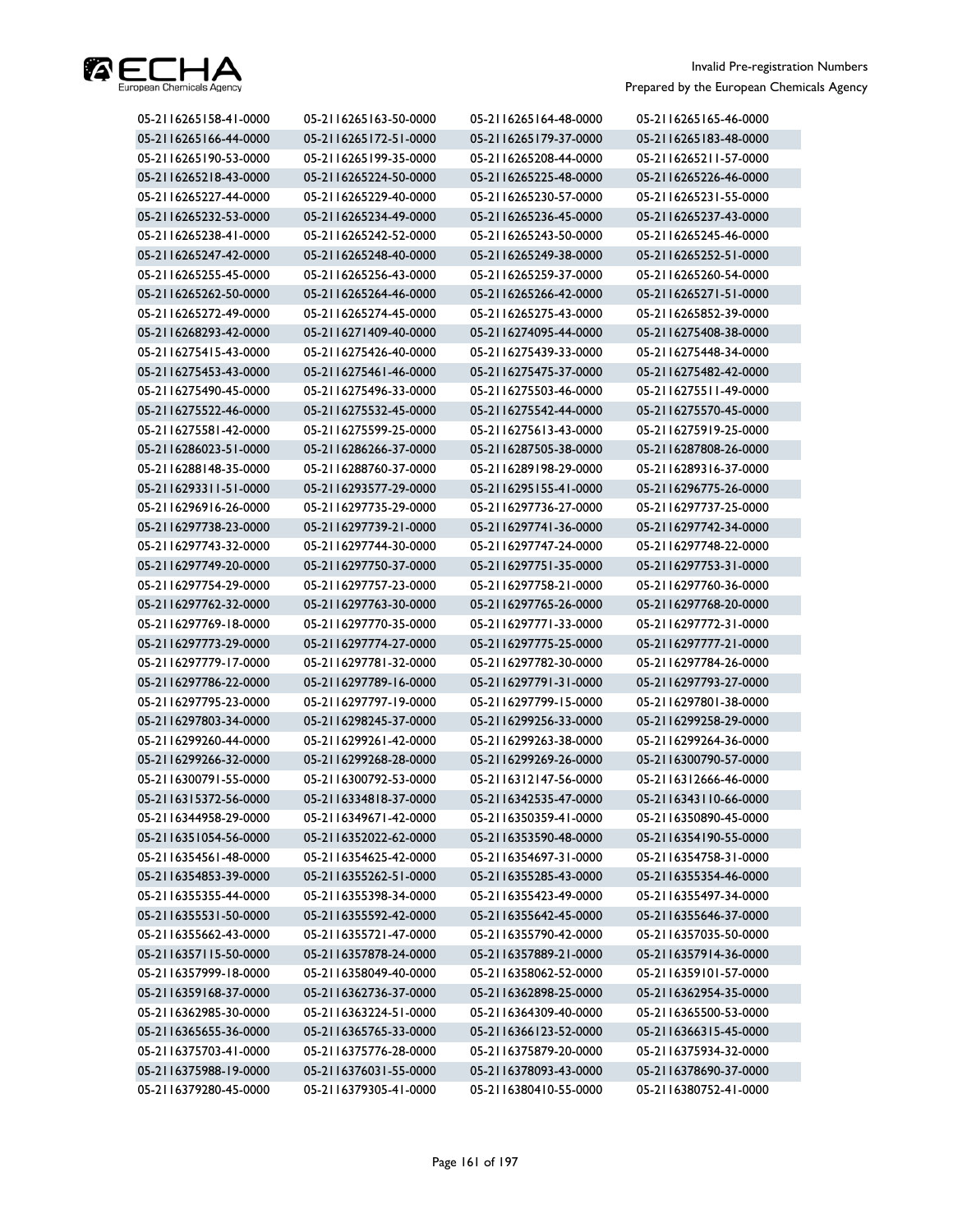

| 05-2116265158-41-0000 | 05-2116265163-50-0000 | 05-2116265164-48-0000 | 05-2116265165-46-0000 |
|-----------------------|-----------------------|-----------------------|-----------------------|
| 05-2116265166-44-0000 | 05-2116265172-51-0000 | 05-2116265179-37-0000 | 05-2116265183-48-0000 |
| 05-2116265190-53-0000 | 05-2116265199-35-0000 | 05-2116265208-44-0000 | 05-2116265211-57-0000 |
| 05-2116265218-43-0000 | 05-2116265224-50-0000 | 05-2116265225-48-0000 | 05-2116265226-46-0000 |
| 05-2116265227-44-0000 | 05-2116265229-40-0000 | 05-2116265230-57-0000 | 05-2116265231-55-0000 |
| 05-2116265232-53-0000 | 05-2116265234-49-0000 | 05-2116265236-45-0000 | 05-2116265237-43-0000 |
| 05-2116265238-41-0000 | 05-2116265242-52-0000 | 05-2116265243-50-0000 | 05-2116265245-46-0000 |
| 05-2116265247-42-0000 | 05-2116265248-40-0000 | 05-2116265249-38-0000 | 05-2116265252-51-0000 |
| 05-2116265255-45-0000 | 05-2116265256-43-0000 | 05-2116265259-37-0000 | 05-2116265260-54-0000 |
| 05-2116265262-50-0000 | 05-2116265264-46-0000 | 05-2116265266-42-0000 | 05-2116265271-51-0000 |
| 05-2116265272-49-0000 | 05-2116265274-45-0000 | 05-2116265275-43-0000 | 05-2116265852-39-0000 |
| 05-2116268293-42-0000 | 05-2116271409-40-0000 | 05-2116274095-44-0000 | 05-2116275408-38-0000 |
| 05-2116275415-43-0000 | 05-2116275426-40-0000 | 05-2116275439-33-0000 | 05-2116275448-34-0000 |
| 05-2116275453-43-0000 | 05-2116275461-46-0000 | 05-2116275475-37-0000 | 05-2116275482-42-0000 |
| 05-2116275490-45-0000 | 05-2116275496-33-0000 | 05-2116275503-46-0000 | 05-2116275511-49-0000 |
| 05-2116275522-46-0000 | 05-2116275532-45-0000 | 05-2116275542-44-0000 | 05-2116275570-45-0000 |
| 05-2116275581-42-0000 | 05-2116275599-25-0000 | 05-2116275613-43-0000 | 05-2116275919-25-0000 |
| 05-2116286023-51-0000 | 05-2116286266-37-0000 | 05-2116287505-38-0000 | 05-2116287808-26-0000 |
| 05-2116288148-35-0000 | 05-2116288760-37-0000 | 05-2116289198-29-0000 | 05-2116289316-37-0000 |
| 05-2116293311-51-0000 | 05-2116293577-29-0000 | 05-2116295155-41-0000 | 05-2116296775-26-0000 |
| 05-2116296916-26-0000 | 05-2116297735-29-0000 | 05-2116297736-27-0000 | 05-2116297737-25-0000 |
| 05-2116297738-23-0000 | 05-2116297739-21-0000 | 05-2116297741-36-0000 | 05-2116297742-34-0000 |
| 05-2116297743-32-0000 | 05-2116297744-30-0000 | 05-2116297747-24-0000 | 05-2116297748-22-0000 |
| 05-2116297749-20-0000 | 05-2116297750-37-0000 | 05-2116297751-35-0000 | 05-2116297753-31-0000 |
| 05-2116297754-29-0000 | 05-2116297757-23-0000 | 05-2116297758-21-0000 | 05-2116297760-36-0000 |
| 05-2116297762-32-0000 | 05-2116297763-30-0000 | 05-2116297765-26-0000 | 05-2116297768-20-0000 |
| 05-2116297769-18-0000 | 05-2116297770-35-0000 | 05-2116297771-33-0000 | 05-2116297772-31-0000 |
| 05-2116297773-29-0000 | 05-2116297774-27-0000 | 05-2116297775-25-0000 | 05-2116297777-21-0000 |
| 05-2116297779-17-0000 | 05-2116297781-32-0000 | 05-2116297782-30-0000 | 05-2116297784-26-0000 |
| 05-2116297786-22-0000 | 05-2116297789-16-0000 | 05-2116297791-31-0000 | 05-2116297793-27-0000 |
| 05-2116297795-23-0000 | 05-2116297797-19-0000 | 05-2116297799-15-0000 | 05-2116297801-38-0000 |
| 05-2116297803-34-0000 | 05-2116298245-37-0000 | 05-2116299256-33-0000 | 05-2116299258-29-0000 |
| 05-2116299260-44-0000 | 05-2116299261-42-0000 | 05-2116299263-38-0000 | 05-2116299264-36-0000 |
| 05-2116299266-32-0000 | 05-2116299268-28-0000 | 05-2116299269-26-0000 | 05-2116300790-57-0000 |
| 05-2116300791-55-0000 | 05-2116300792-53-0000 | 05-2116312147-56-0000 | 05-2116312666-46-0000 |
| 05-2116315372-56-0000 | 05-2116334818-37-0000 | 05-2116342535-47-0000 | 05-2116343110-66-0000 |
| 05-2116344958-29-0000 | 05-2116349671-42-0000 | 05-2116350359-41-0000 | 05-2116350890-45-0000 |
| 05-2116351054-56-0000 | 05-2116352022-62-0000 | 05-2116353590-48-0000 | 05-2116354190-55-0000 |
| 05-2116354561-48-0000 | 05-2116354625-42-0000 | 05-2116354697-31-0000 | 05-2116354758-31-0000 |
| 05-2116354853-39-0000 | 05-2116355262-51-0000 | 05-2116355285-43-0000 | 05-2116355354-46-0000 |
| 05-2116355355-44-0000 | 05-2116355398-34-0000 | 05-2116355423-49-0000 | 05-2116355497-34-0000 |
| 05-2116355531-50-0000 | 05-2116355592-42-0000 | 05-2116355642-45-0000 | 05-2116355646-37-0000 |
| 05-2116355662-43-0000 | 05-2116355721-47-0000 | 05-2116355790-42-0000 | 05-2116357035-50-0000 |
| 05-2116357115-50-0000 | 05-2116357878-24-0000 | 05-2116357889-21-0000 | 05-2116357914-36-0000 |
| 05-2116357999-18-0000 | 05-2116358049-40-0000 | 05-2116358062-52-0000 | 05-2116359101-57-0000 |
| 05-2116359168-37-0000 | 05-2116362736-37-0000 | 05-2116362898-25-0000 | 05-2116362954-35-0000 |
| 05-2116362985-30-0000 | 05-2116363224-51-0000 | 05-2116364309-40-0000 | 05-2116365500-53-0000 |
| 05-2116365655-36-0000 | 05-2116365765-33-0000 | 05-2116366123-52-0000 | 05-2116366315-45-0000 |
| 05-2116375703-41-0000 | 05-2116375776-28-0000 | 05-2116375879-20-0000 | 05-2116375934-32-0000 |
| 05-2116375988-19-0000 | 05-2116376031-55-0000 | 05-2116378093-43-0000 | 05-2116378690-37-0000 |
| 05-2116379280-45-0000 | 05-2116379305-41-0000 | 05-2116380410-55-0000 | 05-2116380752-41-0000 |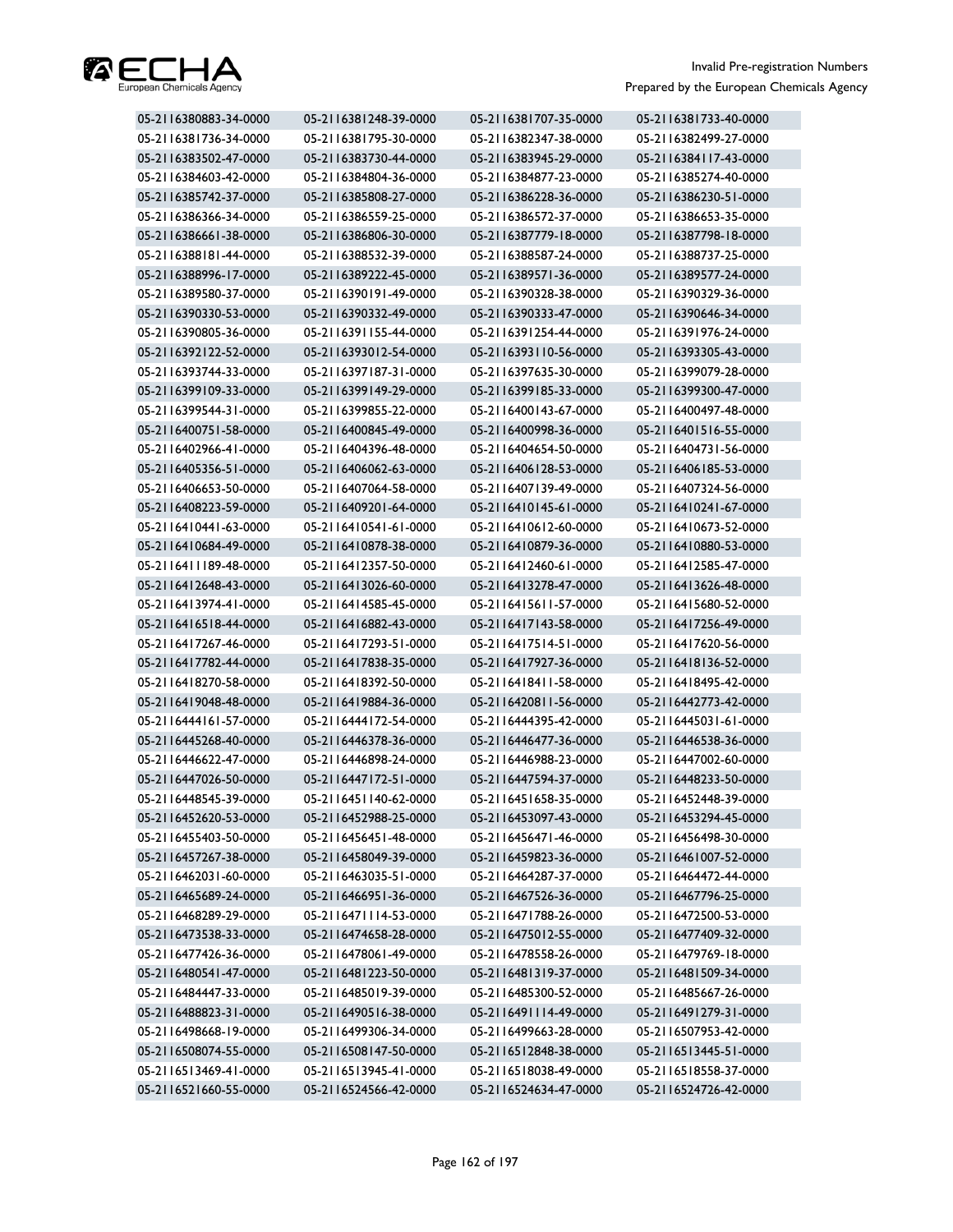

| 05-2116380883-34-0000 | 05-2116381248-39-0000 | 05-2116381707-35-0000 | 05-2116381733-40-0000 |
|-----------------------|-----------------------|-----------------------|-----------------------|
| 05-2116381736-34-0000 | 05-2116381795-30-0000 | 05-2116382347-38-0000 | 05-2116382499-27-0000 |
| 05-2116383502-47-0000 | 05-2116383730-44-0000 | 05-2116383945-29-0000 | 05-2116384117-43-0000 |
| 05-2116384603-42-0000 | 05-2116384804-36-0000 | 05-2116384877-23-0000 | 05-2116385274-40-0000 |
| 05-2116385742-37-0000 | 05-2116385808-27-0000 | 05-2116386228-36-0000 | 05-2116386230-51-0000 |
| 05-2116386366-34-0000 | 05-2116386559-25-0000 | 05-2116386572-37-0000 | 05-2116386653-35-0000 |
| 05-2116386661-38-0000 | 05-2116386806-30-0000 | 05-2116387779-18-0000 | 05-2116387798-18-0000 |
| 05-2116388181-44-0000 | 05-2116388532-39-0000 | 05-2116388587-24-0000 | 05-2116388737-25-0000 |
| 05-2116388996-17-0000 | 05-2116389222-45-0000 | 05-2116389571-36-0000 | 05-2116389577-24-0000 |
| 05-2116389580-37-0000 | 05-2116390191-49-0000 | 05-2116390328-38-0000 | 05-2116390329-36-0000 |
| 05-2116390330-53-0000 | 05-2116390332-49-0000 | 05-2116390333-47-0000 | 05-2116390646-34-0000 |
| 05-2116390805-36-0000 | 05-2116391155-44-0000 | 05-2116391254-44-0000 | 05-2116391976-24-0000 |
| 05-2116392122-52-0000 | 05-2116393012-54-0000 | 05-2116393110-56-0000 | 05-2116393305-43-0000 |
| 05-2116393744-33-0000 | 05-2116397187-31-0000 | 05-2116397635-30-0000 | 05-2116399079-28-0000 |
| 05-2116399109-33-0000 | 05-2116399149-29-0000 | 05-2116399185-33-0000 | 05-2116399300-47-0000 |
| 05-2116399544-31-0000 | 05-2116399855-22-0000 | 05-2116400143-67-0000 | 05-2116400497-48-0000 |
| 05-2116400751-58-0000 | 05-2116400845-49-0000 | 05-2116400998-36-0000 | 05-2116401516-55-0000 |
| 05-2116402966-41-0000 | 05-2116404396-48-0000 | 05-2116404654-50-0000 | 05-2116404731-56-0000 |
| 05-2116405356-51-0000 | 05-2116406062-63-0000 | 05-2116406128-53-0000 | 05-2116406185-53-0000 |
| 05-2116406653-50-0000 | 05-2116407064-58-0000 | 05-2116407139-49-0000 | 05-2116407324-56-0000 |
| 05-2116408223-59-0000 | 05-2116409201-64-0000 | 05-2116410145-61-0000 | 05-2116410241-67-0000 |
| 05-2116410441-63-0000 | 05-2116410541-61-0000 | 05-2116410612-60-0000 | 05-2116410673-52-0000 |
| 05-2116410684-49-0000 | 05-2116410878-38-0000 | 05-2116410879-36-0000 | 05-2116410880-53-0000 |
| 05-2116411189-48-0000 | 05-2116412357-50-0000 | 05-2116412460-61-0000 | 05-2116412585-47-0000 |
| 05-2116412648-43-0000 | 05-2116413026-60-0000 | 05-2116413278-47-0000 | 05-2116413626-48-0000 |
| 05-2116413974-41-0000 | 05-2116414585-45-0000 | 05-2116415611-57-0000 | 05-2116415680-52-0000 |
| 05-2116416518-44-0000 | 05-2116416882-43-0000 | 05-2116417143-58-0000 | 05-2116417256-49-0000 |
| 05-2116417267-46-0000 | 05-2116417293-51-0000 | 05-2116417514-51-0000 | 05-2116417620-56-0000 |
| 05-2116417782-44-0000 | 05-2116417838-35-0000 | 05-2116417927-36-0000 | 05-2116418136-52-0000 |
| 05-2116418270-58-0000 | 05-2116418392-50-0000 | 05-2116418411-58-0000 | 05-2116418495-42-0000 |
| 05-2116419048-48-0000 | 05-2116419884-36-0000 | 05-2116420811-56-0000 | 05-2116442773-42-0000 |
| 05-2116444161-57-0000 | 05-2116444172-54-0000 | 05-2116444395-42-0000 | 05-2116445031-61-0000 |
| 05-2116445268-40-0000 | 05-2116446378-36-0000 | 05-2116446477-36-0000 | 05-2116446538-36-0000 |
| 05-2116446622-47-0000 | 05-2116446898-24-0000 | 05-2116446988-23-0000 | 05-2116447002-60-0000 |
| 05-2116447026-50-0000 | 05-2116447172-51-0000 | 05-2116447594-37-0000 | 05-2116448233-50-0000 |
| 05-2116448545-39-0000 | 05-2116451140-62-0000 | 05-2116451658-35-0000 | 05-2116452448-39-0000 |
| 05-2116452620-53-0000 | 05-2116452988-25-0000 | 05-2116453097-43-0000 | 05-2116453294-45-0000 |
| 05-2116455403-50-0000 | 05-2116456451-48-0000 | 05-2116456471-46-0000 | 05-2116456498-30-0000 |
| 05-2116457267-38-0000 | 05-2116458049-39-0000 | 05-2116459823-36-0000 | 05-2116461007-52-0000 |
| 05-2116462031-60-0000 | 05-2116463035-51-0000 | 05-2116464287-37-0000 | 05-2116464472-44-0000 |
| 05-2116465689-24-0000 | 05-2116466951-36-0000 | 05-2116467526-36-0000 | 05-2116467796-25-0000 |
| 05-2116468289-29-0000 | 05-2116471114-53-0000 | 05-2116471788-26-0000 | 05-2116472500-53-0000 |
| 05-2116473538-33-0000 | 05-2116474658-28-0000 | 05-2116475012-55-0000 | 05-2116477409-32-0000 |
| 05-2116477426-36-0000 | 05-2116478061-49-0000 | 05-2116478558-26-0000 | 05-2116479769-18-0000 |
| 05-2116480541-47-0000 | 05-2116481223-50-0000 | 05-2116481319-37-0000 | 05-2116481509-34-0000 |
| 05-2116484447-33-0000 | 05-2116485019-39-0000 | 05-2116485300-52-0000 | 05-2116485667-26-0000 |
| 05-2116488823-31-0000 | 05-2116490516-38-0000 | 05-2116491114-49-0000 | 05-2116491279-31-0000 |
| 05-2116498668-19-0000 | 05-2116499306-34-0000 | 05-2116499663-28-0000 | 05-2116507953-42-0000 |
| 05-2116508074-55-0000 | 05-2116508147-50-0000 | 05-2116512848-38-0000 | 05-2116513445-51-0000 |
| 05-2116513469-41-0000 | 05-2116513945-41-0000 | 05-2116518038-49-0000 | 05-2116518558-37-0000 |
| 05-2116521660-55-0000 | 05-2116524566-42-0000 | 05-2116524634-47-0000 | 05-2116524726-42-0000 |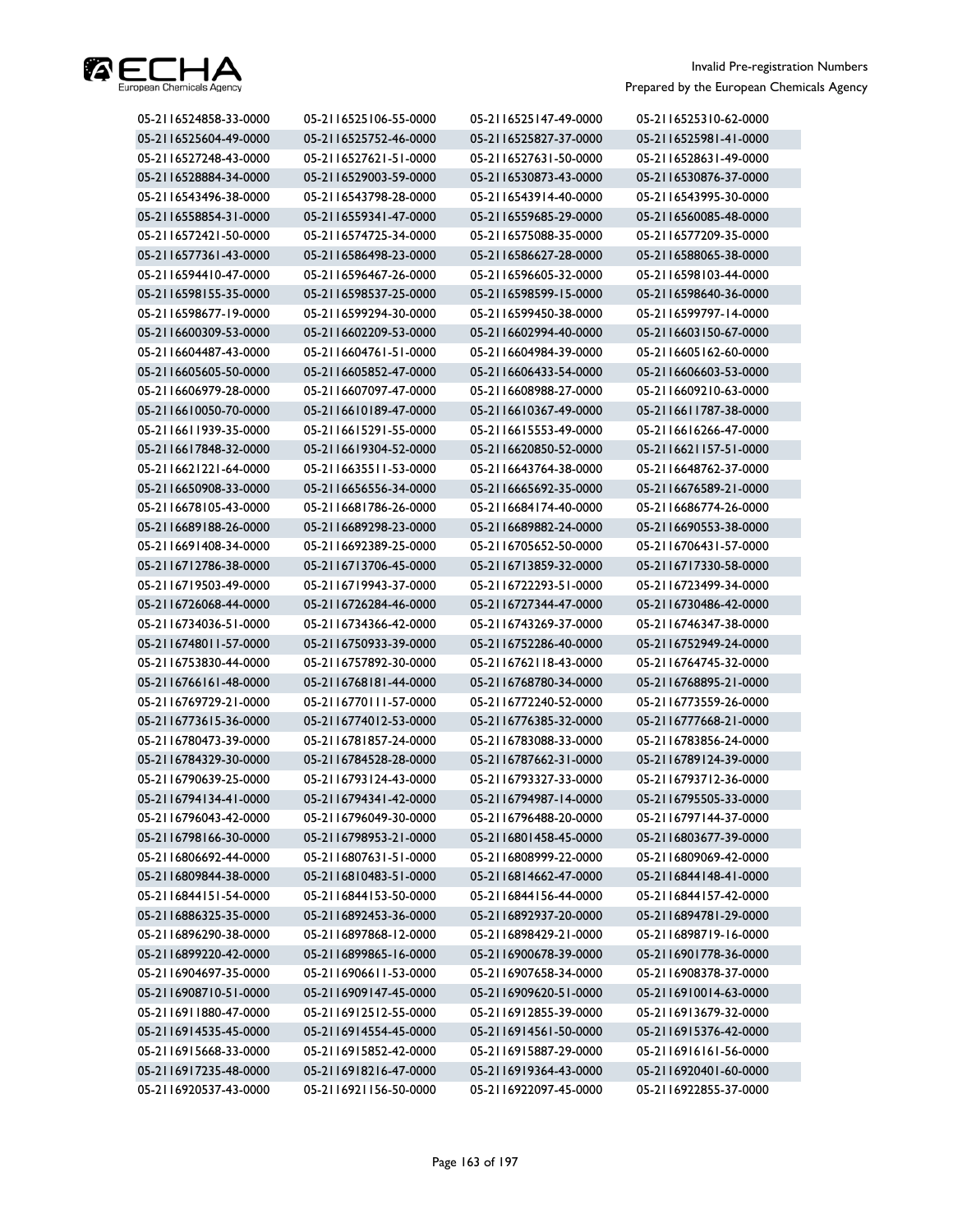

| 05-2116524858-33-0000 | 05-2116525106-55-0000 | 05-2116525147-49-0000 | 05-2116525310-62-0000 |
|-----------------------|-----------------------|-----------------------|-----------------------|
| 05-2116525604-49-0000 | 05-2116525752-46-0000 | 05-2116525827-37-0000 | 05-2116525981-41-0000 |
| 05-2116527248-43-0000 | 05-2116527621-51-0000 | 05-2116527631-50-0000 | 05-2116528631-49-0000 |
| 05-2116528884-34-0000 | 05-2116529003-59-0000 | 05-2116530873-43-0000 | 05-2116530876-37-0000 |
| 05-2116543496-38-0000 | 05-2116543798-28-0000 | 05-2116543914-40-0000 | 05-2116543995-30-0000 |
| 05-2116558854-31-0000 | 05-2116559341-47-0000 | 05-2116559685-29-0000 | 05-2116560085-48-0000 |
| 05-2116572421-50-0000 | 05-2116574725-34-0000 | 05-2116575088-35-0000 | 05-2116577209-35-0000 |
| 05-2116577361-43-0000 | 05-2116586498-23-0000 | 05-2116586627-28-0000 | 05-2116588065-38-0000 |
| 05-2116594410-47-0000 | 05-2116596467-26-0000 | 05-2116596605-32-0000 | 05-2116598103-44-0000 |
| 05-2116598155-35-0000 | 05-2116598537-25-0000 | 05-2116598599-15-0000 | 05-2116598640-36-0000 |
| 05-2116598677-19-0000 | 05-2116599294-30-0000 | 05-2116599450-38-0000 | 05-2116599797-14-0000 |
| 05-2116600309-53-0000 | 05-2116602209-53-0000 | 05-2116602994-40-0000 | 05-2116603150-67-0000 |
| 05-2116604487-43-0000 | 05-2116604761-51-0000 | 05-2116604984-39-0000 | 05-2116605162-60-0000 |
| 05-2116605605-50-0000 | 05-2116605852-47-0000 | 05-2116606433-54-0000 | 05-2116606603-53-0000 |
| 05-2116606979-28-0000 | 05-2116607097-47-0000 | 05-2116608988-27-0000 | 05-2116609210-63-0000 |
| 05-2116610050-70-0000 | 05-2116610189-47-0000 | 05-2116610367-49-0000 | 05-2116611787-38-0000 |
| 05-2116611939-35-0000 | 05-2116615291-55-0000 | 05-2116615553-49-0000 | 05-2116616266-47-0000 |
| 05-2116617848-32-0000 | 05-2116619304-52-0000 | 05-2116620850-52-0000 | 05-2116621157-51-0000 |
| 05-2116621221-64-0000 | 05-2116635511-53-0000 | 05-2116643764-38-0000 | 05-2116648762-37-0000 |
| 05-2116650908-33-0000 | 05-2116656556-34-0000 | 05-2116665692-35-0000 | 05-2116676589-21-0000 |
| 05-2116678105-43-0000 | 05-2116681786-26-0000 | 05-2116684174-40-0000 | 05-2116686774-26-0000 |
| 05-2116689188-26-0000 | 05-2116689298-23-0000 | 05-2116689882-24-0000 | 05-2116690553-38-0000 |
| 05-2116691408-34-0000 | 05-2116692389-25-0000 | 05-2116705652-50-0000 | 05-2116706431-57-0000 |
| 05-2116712786-38-0000 | 05-2116713706-45-0000 | 05-2116713859-32-0000 | 05-2116717330-58-0000 |
| 05-2116719503-49-0000 | 05-2116719943-37-0000 | 05-2116722293-51-0000 | 05-2116723499-34-0000 |
| 05-2116726068-44-0000 | 05-2116726284-46-0000 | 05-2116727344-47-0000 | 05-2116730486-42-0000 |
| 05-2116734036-51-0000 | 05-2116734366-42-0000 | 05-2116743269-37-0000 | 05-2116746347-38-0000 |
| 05-2116748011-57-0000 | 05-2116750933-39-0000 | 05-2116752286-40-0000 | 05-2116752949-24-0000 |
| 05-2116753830-44-0000 | 05-2116757892-30-0000 | 05-2116762118-43-0000 | 05-2116764745-32-0000 |
| 05-2116766161-48-0000 | 05-2116768181-44-0000 | 05-2116768780-34-0000 | 05-2116768895-21-0000 |
| 05-2116769729-21-0000 | 05-2116770111-57-0000 | 05-2116772240-52-0000 | 05-2116773559-26-0000 |
| 05-2116773615-36-0000 | 05-2116774012-53-0000 | 05-2116776385-32-0000 | 05-2116777668-21-0000 |
| 05-2116780473-39-0000 | 05-2116781857-24-0000 | 05-2116783088-33-0000 | 05-2116783856-24-0000 |
| 05-2116784329-30-0000 | 05-2116784528-28-0000 | 05-2116787662-31-0000 | 05-2116789124-39-0000 |
| 05-2116790639-25-0000 | 05-2116793124-43-0000 | 05-2116793327-33-0000 | 05-2116793712-36-0000 |
| 05-2116794134-41-0000 | 05-2116794341-42-0000 | 05-2116794987-14-0000 | 05-2116795505-33-0000 |
| 05-2116796043-42-0000 | 05-2116796049-30-0000 | 05-2116796488-20-0000 | 05-2116797144-37-0000 |
| 05-2116798166-30-0000 | 05-2116798953-21-0000 | 05-2116801458-45-0000 | 05-2116803677-39-0000 |
| 05-2116806692-44-0000 | 05-2116807631-51-0000 | 05-2116808999-22-0000 | 05-2116809069-42-0000 |
| 05-2116809844-38-0000 | 05-2116810483-51-0000 | 05-2116814662-47-0000 | 05-2116844148-41-0000 |
| 05-2116844151-54-0000 | 05-2116844153-50-0000 | 05-2116844156-44-0000 | 05-2116844157-42-0000 |
| 05-2116886325-35-0000 | 05-2116892453-36-0000 | 05-2116892937-20-0000 | 05-2116894781-29-0000 |
| 05-2116896290-38-0000 | 05-2116897868-12-0000 | 05-2116898429-21-0000 | 05-2116898719-16-0000 |
| 05-2116899220-42-0000 | 05-2116899865-16-0000 | 05-2116900678-39-0000 | 05-2116901778-36-0000 |
| 05-2116904697-35-0000 | 05-2116906611-53-0000 | 05-2116907658-34-0000 | 05-2116908378-37-0000 |
| 05-2116908710-51-0000 | 05-2116909147-45-0000 | 05-2116909620-51-0000 | 05-2116910014-63-0000 |
| 05-2116911880-47-0000 | 05-2116912512-55-0000 | 05-2116912855-39-0000 | 05-2116913679-32-0000 |
| 05-2116914535-45-0000 | 05-2116914554-45-0000 | 05-2116914561-50-0000 | 05-2116915376-42-0000 |
| 05-2116915668-33-0000 | 05-2116915852-42-0000 | 05-2116915887-29-0000 | 05-2116916161-56-0000 |
| 05-2116917235-48-0000 | 05-2116918216-47-0000 | 05-2116919364-43-0000 | 05-2116920401-60-0000 |
| 05-2116920537-43-0000 | 05-2116921156-50-0000 | 05-2116922097-45-0000 | 05-2116922855-37-0000 |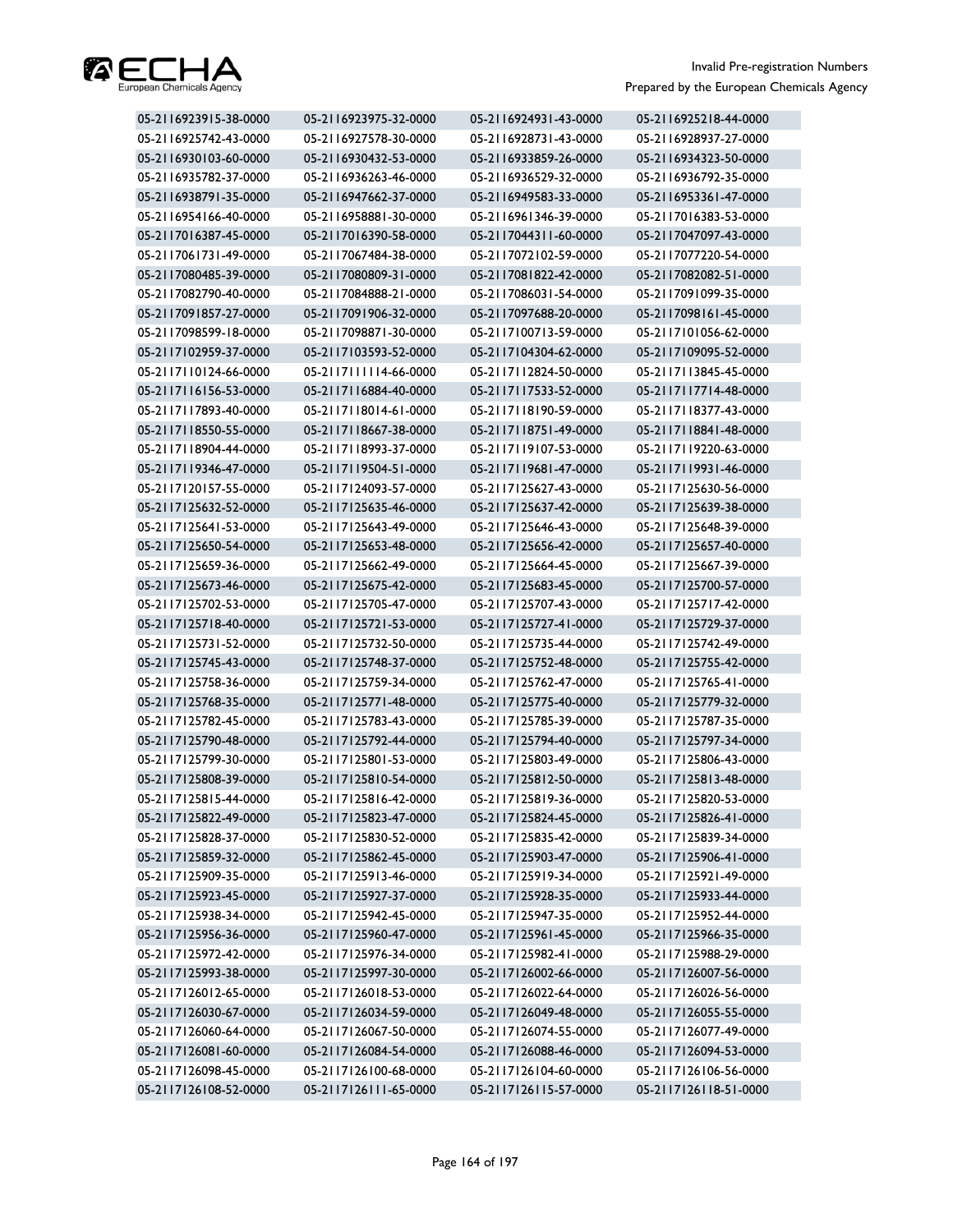

| 05-2116923915-38-0000 | 05-2116923975-32-0000 | 05-2116924931-43-0000 | 05-2116925218-44-0000 |
|-----------------------|-----------------------|-----------------------|-----------------------|
| 05-2116925742-43-0000 | 05-2116927578-30-0000 | 05-2116928731-43-0000 | 05-2116928937-27-0000 |
| 05-2116930103-60-0000 | 05-2116930432-53-0000 | 05-2116933859-26-0000 | 05-2116934323-50-0000 |
| 05-2116935782-37-0000 | 05-2116936263-46-0000 | 05-2116936529-32-0000 | 05-2116936792-35-0000 |
| 05-2116938791-35-0000 | 05-2116947662-37-0000 | 05-2116949583-33-0000 | 05-2116953361-47-0000 |
| 05-2116954166-40-0000 | 05-2116958881-30-0000 | 05-2116961346-39-0000 | 05-2117016383-53-0000 |
| 05-2117016387-45-0000 | 05-2117016390-58-0000 | 05-2117044311-60-0000 | 05-2117047097-43-0000 |
| 05-2117061731-49-0000 | 05-2117067484-38-0000 | 05-2117072102-59-0000 | 05-2117077220-54-0000 |
| 05-2117080485-39-0000 | 05-2117080809-31-0000 | 05-2117081822-42-0000 | 05-2117082082-51-0000 |
| 05-2117082790-40-0000 | 05-2117084888-21-0000 | 05-2117086031-54-0000 | 05-2117091099-35-0000 |
| 05-2117091857-27-0000 | 05-2117091906-32-0000 | 05-2117097688-20-0000 | 05-2117098161-45-0000 |
| 05-2117098599-18-0000 | 05-2117098871-30-0000 | 05-2117100713-59-0000 | 05-2117101056-62-0000 |
| 05-2117102959-37-0000 | 05-2117103593-52-0000 | 05-2117104304-62-0000 | 05-2117109095-52-0000 |
| 05-2117110124-66-0000 | 05-2117111114-66-0000 | 05-2117112824-50-0000 | 05-2117113845-45-0000 |
| 05-2117116156-53-0000 | 05-2117116884-40-0000 | 05-2117117533-52-0000 | 05-2117117714-48-0000 |
| 05-2117117893-40-0000 | 05-2117118014-61-0000 | 05-2117118190-59-0000 | 05-2117118377-43-0000 |
| 05-2117118550-55-0000 | 05-2117118667-38-0000 | 05-2117118751-49-0000 | 05-2117118841-48-0000 |
| 05-2117118904-44-0000 | 05-2117118993-37-0000 | 05-2117119107-53-0000 | 05-2117119220-63-0000 |
| 05-2117119346-47-0000 | 05-2117119504-51-0000 | 05-2117119681-47-0000 | 05-2117119931-46-0000 |
| 05-2117120157-55-0000 | 05-2117124093-57-0000 | 05-2117125627-43-0000 | 05-2117125630-56-0000 |
| 05-2117125632-52-0000 | 05-2117125635-46-0000 | 05-2117125637-42-0000 | 05-2117125639-38-0000 |
| 05-2117125641-53-0000 | 05-2117125643-49-0000 | 05-2117125646-43-0000 | 05-2117125648-39-0000 |
| 05-2117125650-54-0000 | 05-2117125653-48-0000 | 05-2117125656-42-0000 | 05-2117125657-40-0000 |
| 05-2117125659-36-0000 | 05-2117125662-49-0000 | 05-2117125664-45-0000 | 05-2117125667-39-0000 |
| 05-2117125673-46-0000 | 05-2117125675-42-0000 | 05-2117125683-45-0000 | 05-2117125700-57-0000 |
| 05-2117125702-53-0000 | 05-2117125705-47-0000 | 05-2117125707-43-0000 | 05-2117125717-42-0000 |
| 05-2117125718-40-0000 | 05-2117125721-53-0000 | 05-2117125727-41-0000 | 05-2117125729-37-0000 |
| 05-2117125731-52-0000 | 05-2117125732-50-0000 | 05-2117125735-44-0000 | 05-2117125742-49-0000 |
| 05-2117125745-43-0000 | 05-2117125748-37-0000 | 05-2117125752-48-0000 | 05-2117125755-42-0000 |
| 05-2117125758-36-0000 | 05-2117125759-34-0000 | 05-2117125762-47-0000 | 05-2117125765-41-0000 |
| 05-2117125768-35-0000 | 05-2117125771-48-0000 | 05-2117125775-40-0000 | 05-2117125779-32-0000 |
| 05-2117125782-45-0000 | 05-2117125783-43-0000 | 05-2117125785-39-0000 | 05-2117125787-35-0000 |
| 05-2117125790-48-0000 | 05-2117125792-44-0000 | 05-2117125794-40-0000 | 05-2117125797-34-0000 |
| 05-2117125799-30-0000 | 05-2117125801-53-0000 | 05-2117125803-49-0000 | 05-2117125806-43-0000 |
| 05-2117125808-39-0000 | 05-2117125810-54-0000 | 05-2117125812-50-0000 | 05-2117125813-48-0000 |
| 05-2117125815-44-0000 | 05-2117125816-42-0000 | 05-2117125819-36-0000 | 05-2117125820-53-0000 |
| 05-2117125822-49-0000 | 05-2117125823-47-0000 | 05-2117125824-45-0000 | 05-2117125826-41-0000 |
| 05-2117125828-37-0000 | 05-2117125830-52-0000 | 05-2117125835-42-0000 | 05-2117125839-34-0000 |
| 05-2117125859-32-0000 | 05-2117125862-45-0000 | 05-2117125903-47-0000 | 05-2117125906-41-0000 |
| 05-2117125909-35-0000 | 05-2117125913-46-0000 | 05-2117125919-34-0000 | 05-2117125921-49-0000 |
| 05-2117125923-45-0000 | 05-2117125927-37-0000 | 05-2117125928-35-0000 | 05-2117125933-44-0000 |
| 05-2117125938-34-0000 | 05-2117125942-45-0000 | 05-2117125947-35-0000 | 05-2117125952-44-0000 |
| 05-2117125956-36-0000 | 05-2117125960-47-0000 | 05-2117125961-45-0000 | 05-2117125966-35-0000 |
| 05-2117125972-42-0000 | 05-2117125976-34-0000 | 05-2117125982-41-0000 | 05-2117125988-29-0000 |
| 05-2117125993-38-0000 | 05-2117125997-30-0000 | 05-2117126002-66-0000 | 05-2117126007-56-0000 |
| 05-2117126012-65-0000 | 05-2117126018-53-0000 | 05-2117126022-64-0000 | 05-2117126026-56-0000 |
| 05-2117126030-67-0000 | 05-2117126034-59-0000 | 05-2117126049-48-0000 | 05-2117126055-55-0000 |
| 05-2117126060-64-0000 | 05-2117126067-50-0000 | 05-2117126074-55-0000 | 05-2117126077-49-0000 |
| 05-2117126081-60-0000 | 05-2117126084-54-0000 | 05-2117126088-46-0000 | 05-2117126094-53-0000 |
| 05-2117126098-45-0000 | 05-2117126100-68-0000 | 05-2117126104-60-0000 | 05-2117126106-56-0000 |
| 05-2117126108-52-0000 | 05-2117126111-65-0000 | 05-2117126115-57-0000 | 05-2117126118-51-0000 |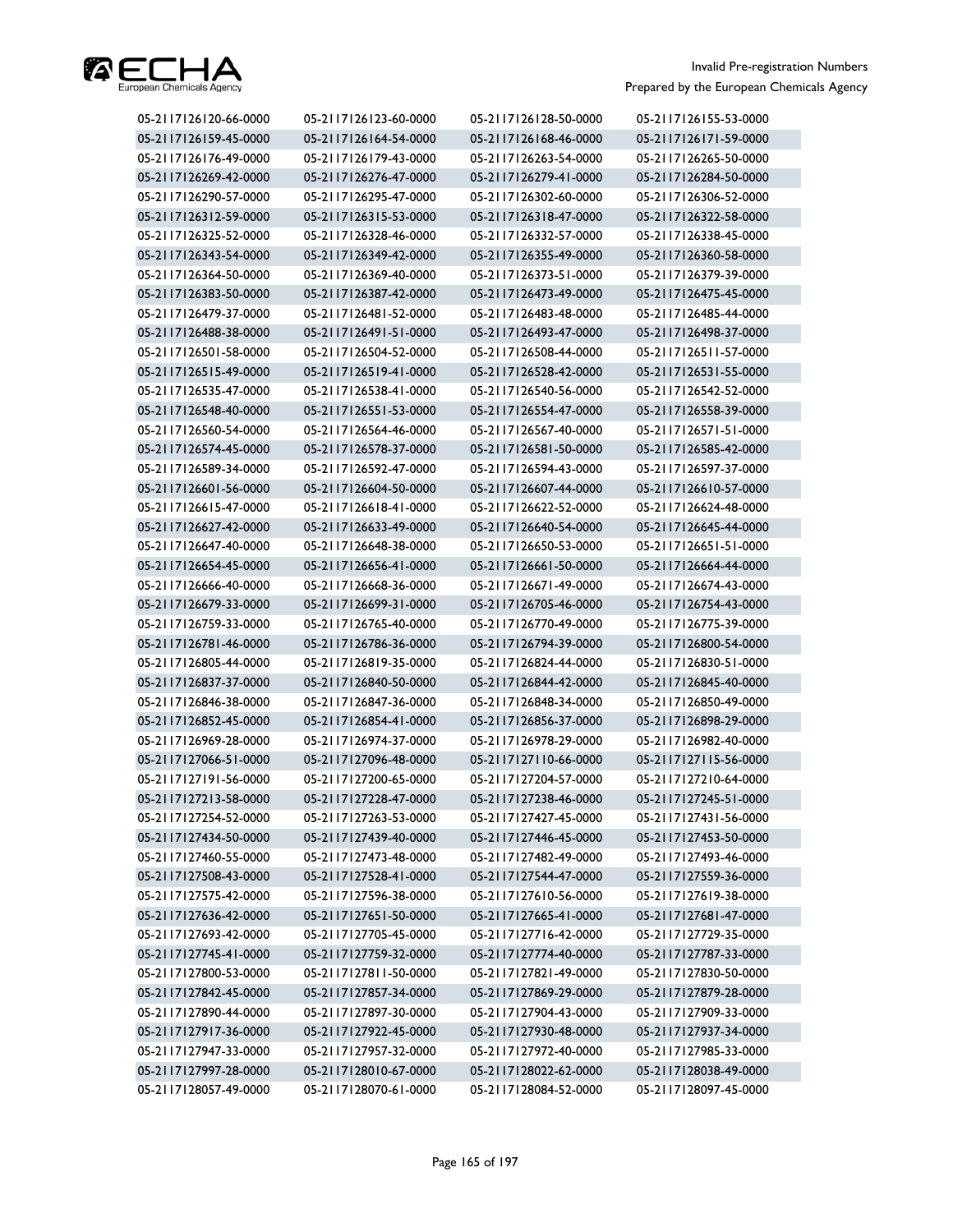

| 05-2117126120-66-0000 | 05-2117126123-60-0000 | 05-2117126128-50-0000 | 05-2117126155-53-0000 |
|-----------------------|-----------------------|-----------------------|-----------------------|
| 05-2117126159-45-0000 | 05-2117126164-54-0000 | 05-2117126168-46-0000 | 05-2117126171-59-0000 |
| 05-2117126176-49-0000 | 05-2117126179-43-0000 | 05-2117126263-54-0000 | 05-2117126265-50-0000 |
| 05-2117126269-42-0000 | 05-2117126276-47-0000 | 05-2117126279-41-0000 | 05-2117126284-50-0000 |
| 05-2117126290-57-0000 | 05-2117126295-47-0000 | 05-2117126302-60-0000 | 05-2117126306-52-0000 |
| 05-2117126312-59-0000 | 05-2117126315-53-0000 | 05-2117126318-47-0000 | 05-2117126322-58-0000 |
| 05-2117126325-52-0000 | 05-2117126328-46-0000 | 05-2117126332-57-0000 | 05-2117126338-45-0000 |
| 05-2117126343-54-0000 | 05-2117126349-42-0000 | 05-2117126355-49-0000 | 05-2117126360-58-0000 |
| 05-2117126364-50-0000 | 05-2117126369-40-0000 | 05-2117126373-51-0000 | 05-2117126379-39-0000 |
| 05-2117126383-50-0000 | 05-2117126387-42-0000 | 05-2117126473-49-0000 | 05-2117126475-45-0000 |
| 05-2117126479-37-0000 | 05-2117126481-52-0000 | 05-2117126483-48-0000 | 05-2117126485-44-0000 |
| 05-2117126488-38-0000 | 05-2117126491-51-0000 | 05-2117126493-47-0000 | 05-2117126498-37-0000 |
| 05-2117126501-58-0000 | 05-2117126504-52-0000 | 05-2117126508-44-0000 | 05-2117126511-57-0000 |
| 05-2117126515-49-0000 | 05-2117126519-41-0000 | 05-2117126528-42-0000 | 05-2117126531-55-0000 |
| 05-2117126535-47-0000 | 05-2117126538-41-0000 | 05-2117126540-56-0000 | 05-2117126542-52-0000 |
| 05-2117126548-40-0000 | 05-2117126551-53-0000 | 05-2117126554-47-0000 | 05-2117126558-39-0000 |
| 05-2117126560-54-0000 | 05-2117126564-46-0000 | 05-2117126567-40-0000 | 05-2117126571-51-0000 |
| 05-2117126574-45-0000 | 05-2117126578-37-0000 | 05-2117126581-50-0000 | 05-2117126585-42-0000 |
| 05-2117126589-34-0000 | 05-2117126592-47-0000 | 05-2117126594-43-0000 | 05-2117126597-37-0000 |
| 05-2117126601-56-0000 | 05-2117126604-50-0000 | 05-2117126607-44-0000 | 05-2117126610-57-0000 |
| 05-2117126615-47-0000 | 05-2117126618-41-0000 | 05-2117126622-52-0000 | 05-2117126624-48-0000 |
| 05-2117126627-42-0000 | 05-2117126633-49-0000 | 05-2117126640-54-0000 | 05-2117126645-44-0000 |
| 05-2117126647-40-0000 | 05-2117126648-38-0000 | 05-2117126650-53-0000 | 05-2117126651-51-0000 |
| 05-2117126654-45-0000 | 05-2117126656-41-0000 | 05-2117126661-50-0000 | 05-2117126664-44-0000 |
| 05-2117126666-40-0000 | 05-2117126668-36-0000 | 05-2117126671-49-0000 | 05-2117126674-43-0000 |
| 05-2117126679-33-0000 | 05-2117126699-31-0000 | 05-2117126705-46-0000 | 05-2117126754-43-0000 |
| 05-2117126759-33-0000 | 05-2117126765-40-0000 | 05-2117126770-49-0000 | 05-2117126775-39-0000 |
| 05-2117126781-46-0000 | 05-2117126786-36-0000 | 05-2117126794-39-0000 | 05-2117126800-54-0000 |
| 05-2117126805-44-0000 | 05-2117126819-35-0000 | 05-2117126824-44-0000 | 05-2117126830-51-0000 |
| 05-2117126837-37-0000 | 05-2117126840-50-0000 | 05-2117126844-42-0000 | 05-2117126845-40-0000 |
| 05-2117126846-38-0000 | 05-2117126847-36-0000 | 05-2117126848-34-0000 | 05-2117126850-49-0000 |
| 05-2117126852-45-0000 | 05-2117126854-41-0000 | 05-2117126856-37-0000 | 05-2117126898-29-0000 |
| 05-2117126969-28-0000 | 05-2117126974-37-0000 | 05-2117126978-29-0000 | 05-2117126982-40-0000 |
| 05-2117127066-51-0000 | 05-2117127096-48-0000 | 05-2117127110-66-0000 | 05-2117127115-56-0000 |
| 05-2117127191-56-0000 | 05-2117127200-65-0000 | 05-2117127204-57-0000 | 05-2117127210-64-0000 |
| 05-2117127213-58-0000 | 05-2117127228-47-0000 | 05-2117127238-46-0000 | 05-2117127245-51-0000 |
| 05-2117127254-52-0000 | 05-2117127263-53-0000 | 05-2117127427-45-0000 | 05-2117127431-56-0000 |
| 05-2117127434-50-0000 | 05-2117127439-40-0000 | 05-2117127446-45-0000 | 05-2117127453-50-0000 |
| 05-2117127460-55-0000 | 05-2117127473-48-0000 | 05-2117127482-49-0000 | 05-2117127493-46-0000 |
| 05-2117127508-43-0000 | 05-2117127528-41-0000 | 05-2117127544-47-0000 | 05-2117127559-36-0000 |
| 05-2117127575-42-0000 | 05-2117127596-38-0000 | 05-2117127610-56-0000 | 05-2117127619-38-0000 |
| 05-2117127636-42-0000 | 05-2117127651-50-0000 | 05-2117127665-41-0000 | 05-2117127681-47-0000 |
| 05-2117127693-42-0000 | 05-2117127705-45-0000 | 05-2117127716-42-0000 | 05-2117127729-35-0000 |
| 05-2117127745-41-0000 | 05-2117127759-32-0000 | 05-2117127774-40-0000 | 05-2117127787-33-0000 |
| 05-2117127800-53-0000 | 05-2117127811-50-0000 | 05-2117127821-49-0000 | 05-2117127830-50-0000 |
| 05-2117127842-45-0000 | 05-2117127857-34-0000 | 05-2117127869-29-0000 | 05-2117127879-28-0000 |
| 05-2117127890-44-0000 | 05-2117127897-30-0000 | 05-2117127904-43-0000 | 05-2117127909-33-0000 |
| 05-2117127917-36-0000 | 05-2117127922-45-0000 | 05-2117127930-48-0000 | 05-2117127937-34-0000 |
| 05-2117127947-33-0000 | 05-2117127957-32-0000 | 05-2117127972-40-0000 | 05-2117127985-33-0000 |
| 05-2117127997-28-0000 | 05-2117128010-67-0000 | 05-2117128022-62-0000 | 05-2117128038-49-0000 |
| 05-2117128057-49-0000 | 05-2117128070-61-0000 | 05-2117128084-52-0000 | 05-2117128097-45-0000 |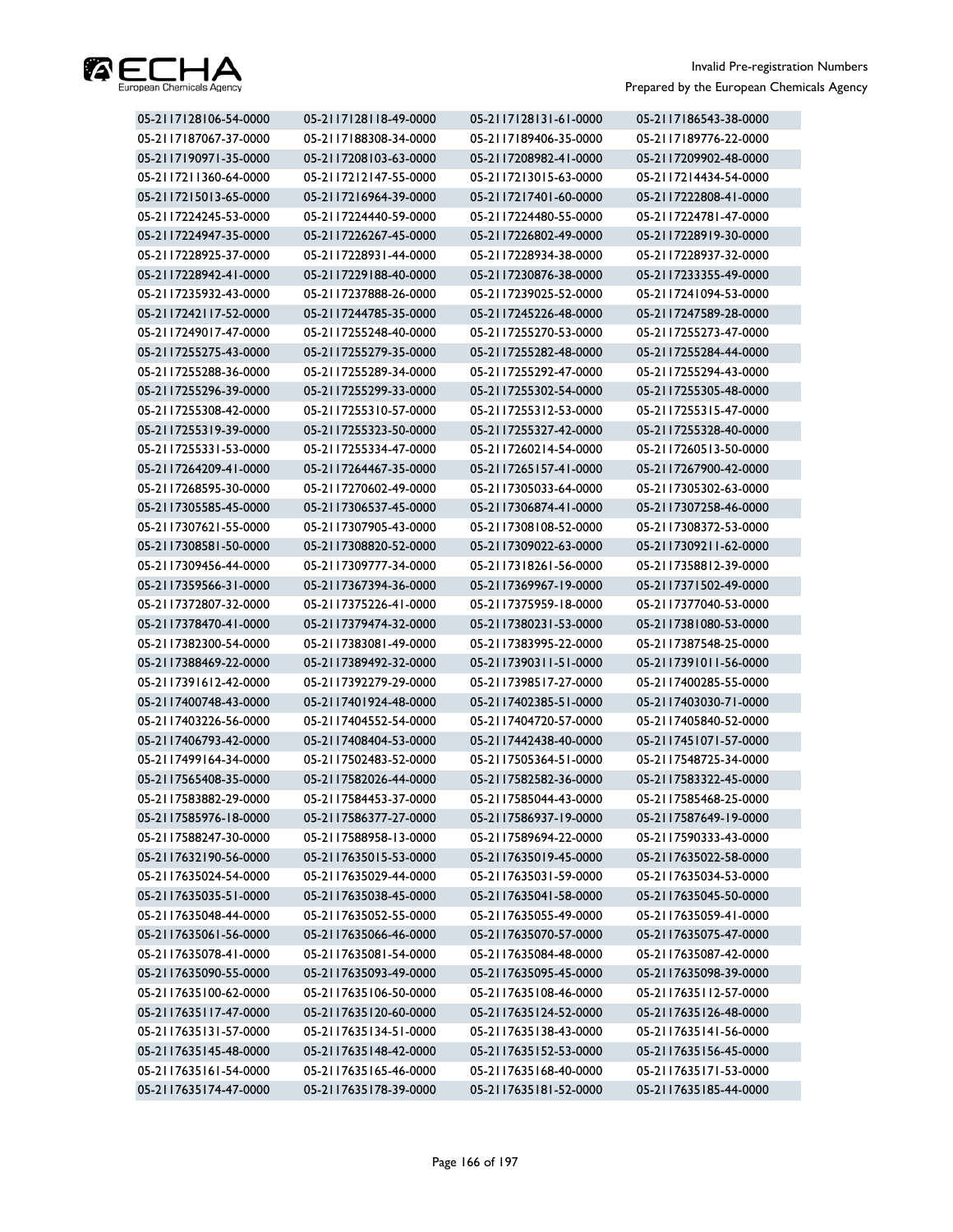

| 05-2117128106-54-0000 | 05-2117128118-49-0000 | 05-2117128131-61-0000 | 05-2117186543-38-0000 |
|-----------------------|-----------------------|-----------------------|-----------------------|
| 05-2117187067-37-0000 | 05-2117188308-34-0000 | 05-2117189406-35-0000 | 05-2117189776-22-0000 |
| 05-2117190971-35-0000 | 05-2117208103-63-0000 | 05-2117208982-41-0000 | 05-2117209902-48-0000 |
| 05-2117211360-64-0000 | 05-2117212147-55-0000 | 05-2117213015-63-0000 | 05-2117214434-54-0000 |
| 05-2117215013-65-0000 | 05-2117216964-39-0000 | 05-2117217401-60-0000 | 05-2117222808-41-0000 |
| 05-2117224245-53-0000 | 05-2117224440-59-0000 | 05-2117224480-55-0000 | 05-2117224781-47-0000 |
| 05-2117224947-35-0000 | 05-2117226267-45-0000 | 05-2117226802-49-0000 | 05-2117228919-30-0000 |
| 05-2117228925-37-0000 | 05-2117228931-44-0000 | 05-2117228934-38-0000 | 05-2117228937-32-0000 |
| 05-2117228942-41-0000 | 05-2117229188-40-0000 | 05-2117230876-38-0000 | 05-2117233355-49-0000 |
| 05-2117235932-43-0000 | 05-2117237888-26-0000 | 05-2117239025-52-0000 | 05-2117241094-53-0000 |
| 05-2117242117-52-0000 | 05-2117244785-35-0000 | 05-2117245226-48-0000 | 05-2117247589-28-0000 |
| 05-2117249017-47-0000 | 05-2117255248-40-0000 | 05-2117255270-53-0000 | 05-2117255273-47-0000 |
| 05-2117255275-43-0000 | 05-2117255279-35-0000 | 05-2117255282-48-0000 | 05-2117255284-44-0000 |
| 05-2117255288-36-0000 | 05-2117255289-34-0000 | 05-2117255292-47-0000 | 05-2117255294-43-0000 |
| 05-2117255296-39-0000 | 05-2117255299-33-0000 | 05-2117255302-54-0000 | 05-2117255305-48-0000 |
| 05-2117255308-42-0000 | 05-2117255310-57-0000 | 05-2117255312-53-0000 | 05-2117255315-47-0000 |
| 05-2117255319-39-0000 | 05-2117255323-50-0000 | 05-2117255327-42-0000 | 05-2117255328-40-0000 |
| 05-2117255331-53-0000 | 05-2117255334-47-0000 | 05-2117260214-54-0000 | 05-2117260513-50-0000 |
| 05-2117264209-41-0000 | 05-2117264467-35-0000 | 05-2117265157-41-0000 | 05-2117267900-42-0000 |
| 05-2117268595-30-0000 | 05-2117270602-49-0000 | 05-2117305033-64-0000 | 05-2117305302-63-0000 |
| 05-2117305585-45-0000 | 05-2117306537-45-0000 | 05-2117306874-41-0000 | 05-2117307258-46-0000 |
| 05-2117307621-55-0000 | 05-2117307905-43-0000 | 05-2117308108-52-0000 | 05-2117308372-53-0000 |
| 05-2117308581-50-0000 | 05-2117308820-52-0000 | 05-2117309022-63-0000 | 05-2117309211-62-0000 |
| 05-2117309456-44-0000 | 05-2117309777-34-0000 | 05-2117318261-56-0000 | 05-2117358812-39-0000 |
| 05-2117359566-31-0000 | 05-2117367394-36-0000 | 05-2117369967-19-0000 | 05-2117371502-49-0000 |
| 05-2117372807-32-0000 | 05-2117375226-41-0000 | 05-2117375959-18-0000 | 05-2117377040-53-0000 |
| 05-2117378470-41-0000 | 05-2117379474-32-0000 | 05-2117380231-53-0000 | 05-2117381080-53-0000 |
| 05-2117382300-54-0000 | 05-2117383081-49-0000 | 05-2117383995-22-0000 | 05-2117387548-25-0000 |
| 05-2117388469-22-0000 | 05-2117389492-32-0000 | 05-2117390311-51-0000 | 05-2117391011-56-0000 |
| 05-2117391612-42-0000 | 05-2117392279-29-0000 | 05-2117398517-27-0000 | 05-2117400285-55-0000 |
| 05-2117400748-43-0000 | 05-2117401924-48-0000 | 05-2117402385-51-0000 | 05-2117403030-71-0000 |
| 05-2117403226-56-0000 | 05-2117404552-54-0000 | 05-2117404720-57-0000 | 05-2117405840-52-0000 |
| 05-2117406793-42-0000 | 05-2117408404-53-0000 | 05-2117442438-40-0000 | 05-2117451071-57-0000 |
| 05-2117499164-34-0000 | 05-2117502483-52-0000 | 05-2117505364-51-0000 | 05-2117548725-34-0000 |
| 05-2117565408-35-0000 | 05-2117582026-44-0000 | 05-2117582582-36-0000 | 05-2117583322-45-0000 |
| 05-2117583882-29-0000 | 05-2117584453-37-0000 | 05-2117585044-43-0000 | 05-2117585468-25-0000 |
| 05-2117585976-18-0000 | 05-2117586377-27-0000 | 05-2117586937-19-0000 | 05-2117587649-19-0000 |
| 05-2117588247-30-0000 | 05-2117588958-13-0000 | 05-2117589694-22-0000 | 05-2117590333-43-0000 |
| 05-2117632190-56-0000 | 05-2117635015-53-0000 | 05-2117635019-45-0000 | 05-2117635022-58-0000 |
| 05-2117635024-54-0000 | 05-2117635029-44-0000 | 05-2117635031-59-0000 | 05-2117635034-53-0000 |
| 05-2117635035-51-0000 | 05-2117635038-45-0000 | 05-2117635041-58-0000 | 05-2117635045-50-0000 |
| 05-2117635048-44-0000 | 05-2117635052-55-0000 | 05-2117635055-49-0000 | 05-2117635059-41-0000 |
| 05-2117635061-56-0000 | 05-2117635066-46-0000 | 05-2117635070-57-0000 | 05-2117635075-47-0000 |
| 05-2117635078-41-0000 | 05-2117635081-54-0000 | 05-2117635084-48-0000 | 05-2117635087-42-0000 |
| 05-2117635090-55-0000 | 05-2117635093-49-0000 | 05-2117635095-45-0000 | 05-2117635098-39-0000 |
| 05-2117635100-62-0000 | 05-2117635106-50-0000 | 05-2117635108-46-0000 | 05-2117635112-57-0000 |
| 05-2117635117-47-0000 | 05-2117635120-60-0000 | 05-2117635124-52-0000 | 05-2117635126-48-0000 |
| 05-2117635131-57-0000 | 05-2117635134-51-0000 | 05-2117635138-43-0000 | 05-2117635141-56-0000 |
| 05-2117635145-48-0000 | 05-2117635148-42-0000 | 05-2117635152-53-0000 | 05-2117635156-45-0000 |
| 05-2117635161-54-0000 | 05-2117635165-46-0000 | 05-2117635168-40-0000 | 05-2117635171-53-0000 |
| 05-2117635174-47-0000 | 05-2117635178-39-0000 | 05-2117635181-52-0000 | 05-2117635185-44-0000 |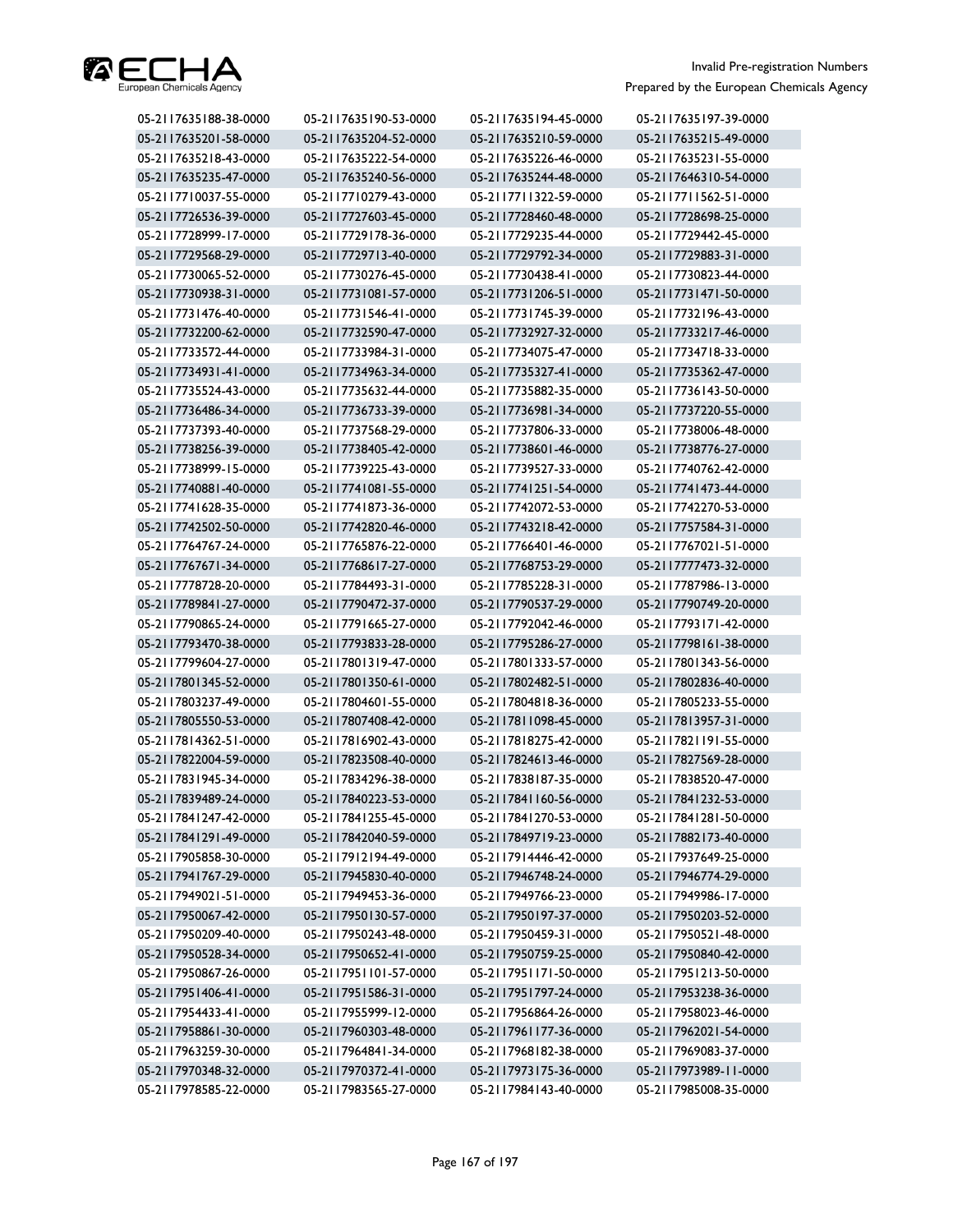

| 05-2117635188-38-0000 | 05-2117635190-53-0000 | 05-2117635194-45-0000 | 05-2117635197-39-0000 |
|-----------------------|-----------------------|-----------------------|-----------------------|
| 05-2117635201-58-0000 | 05-2117635204-52-0000 | 05-2117635210-59-0000 | 05-2117635215-49-0000 |
| 05-2117635218-43-0000 | 05-2117635222-54-0000 | 05-2117635226-46-0000 | 05-2117635231-55-0000 |
| 05-2117635235-47-0000 | 05-2117635240-56-0000 | 05-2117635244-48-0000 | 05-2117646310-54-0000 |
| 05-2117710037-55-0000 | 05-2117710279-43-0000 | 05-2117711322-59-0000 | 05-2117711562-51-0000 |
| 05-2117726536-39-0000 | 05-2117727603-45-0000 | 05-2117728460-48-0000 | 05-2117728698-25-0000 |
| 05-2117728999-17-0000 | 05-2117729178-36-0000 | 05-2117729235-44-0000 | 05-2117729442-45-0000 |
| 05-2117729568-29-0000 | 05-2117729713-40-0000 | 05-2117729792-34-0000 | 05-2117729883-31-0000 |
| 05-2117730065-52-0000 | 05-2117730276-45-0000 | 05-2117730438-41-0000 | 05-2117730823-44-0000 |
| 05-2117730938-31-0000 | 05-2117731081-57-0000 | 05-2117731206-51-0000 | 05-2117731471-50-0000 |
| 05-2117731476-40-0000 | 05-2117731546-41-0000 | 05-2117731745-39-0000 | 05-2117732196-43-0000 |
| 05-2117732200-62-0000 | 05-2117732590-47-0000 | 05-2117732927-32-0000 | 05-2117733217-46-0000 |
| 05-2117733572-44-0000 | 05-2117733984-31-0000 | 05-2117734075-47-0000 | 05-2117734718-33-0000 |
| 05-2117734931-41-0000 | 05-2117734963-34-0000 | 05-2117735327-41-0000 | 05-2117735362-47-0000 |
| 05-2117735524-43-0000 | 05-2117735632-44-0000 | 05-2117735882-35-0000 | 05-2117736143-50-0000 |
| 05-2117736486-34-0000 | 05-2117736733-39-0000 | 05-2117736981-34-0000 | 05-2117737220-55-0000 |
| 05-2117737393-40-0000 | 05-2117737568-29-0000 | 05-2117737806-33-0000 | 05-2117738006-48-0000 |
| 05-2117738256-39-0000 | 05-2117738405-42-0000 | 05-2117738601-46-0000 | 05-2117738776-27-0000 |
| 05-2117738999-15-0000 | 05-2117739225-43-0000 | 05-2117739527-33-0000 | 05-2117740762-42-0000 |
| 05-2117740881-40-0000 | 05-2117741081-55-0000 | 05-2117741251-54-0000 | 05-2117741473-44-0000 |
| 05-2117741628-35-0000 | 05-2117741873-36-0000 | 05-2117742072-53-0000 | 05-2117742270-53-0000 |
| 05-2117742502-50-0000 | 05-2117742820-46-0000 | 05-2117743218-42-0000 | 05-2117757584-31-0000 |
| 05-2117764767-24-0000 | 05-2117765876-22-0000 | 05-2117766401-46-0000 | 05-2117767021-51-0000 |
| 05-2117767671-34-0000 | 05-2117768617-27-0000 | 05-2117768753-29-0000 | 05-2117777473-32-0000 |
| 05-2117778728-20-0000 | 05-2117784493-31-0000 | 05-2117785228-31-0000 | 05-2117787986-13-0000 |
| 05-2117789841-27-0000 | 05-2117790472-37-0000 | 05-2117790537-29-0000 | 05-2117790749-20-0000 |
| 05-2117790865-24-0000 | 05-2117791665-27-0000 | 05-2117792042-46-0000 | 05-2117793171-42-0000 |
| 05-2117793470-38-0000 | 05-2117793833-28-0000 | 05-2117795286-27-0000 | 05-2117798161-38-0000 |
| 05-2117799604-27-0000 | 05-2117801319-47-0000 | 05-2117801333-57-0000 | 05-2117801343-56-0000 |
| 05-2117801345-52-0000 | 05-2117801350-61-0000 | 05-2117802482-51-0000 | 05-2117802836-40-0000 |
| 05-2117803237-49-0000 | 05-2117804601-55-0000 | 05-2117804818-36-0000 | 05-2117805233-55-0000 |
| 05-2117805550-53-0000 | 05-2117807408-42-0000 | 05-2117811098-45-0000 | 05-2117813957-31-0000 |
| 05-2117814362-51-0000 | 05-2117816902-43-0000 | 05-2117818275-42-0000 | 05-2117821191-55-0000 |
| 05-2117822004-59-0000 | 05-2117823508-40-0000 | 05-2117824613-46-0000 | 05-2117827569-28-0000 |
| 05-2117831945-34-0000 | 05-2117834296-38-0000 | 05-2117838187-35-0000 | 05-2117838520-47-0000 |
| 05-2117839489-24-0000 | 05-2117840223-53-0000 | 05-2117841160-56-0000 | 05-2117841232-53-0000 |
| 05-2117841247-42-0000 | 05-2117841255-45-0000 | 05-2117841270-53-0000 | 05-2117841281-50-0000 |
| 05-2117841291-49-0000 | 05-2117842040-59-0000 | 05-2117849719-23-0000 | 05-2117882173-40-0000 |
| 05-2117905858-30-0000 | 05-2117912194-49-0000 | 05-2117914446-42-0000 | 05-2117937649-25-0000 |
| 05-2117941767-29-0000 | 05-2117945830-40-0000 | 05-2117946748-24-0000 | 05-2117946774-29-0000 |
| 05-2117949021-51-0000 | 05-2117949453-36-0000 | 05-2117949766-23-0000 | 05-2117949986-17-0000 |
| 05-2117950067-42-0000 | 05-2117950130-57-0000 | 05-2117950197-37-0000 | 05-2117950203-52-0000 |
| 05-2117950209-40-0000 | 05-2117950243-48-0000 | 05-2117950459-31-0000 | 05-2117950521-48-0000 |
| 05-2117950528-34-0000 | 05-2117950652-41-0000 | 05-2117950759-25-0000 | 05-2117950840-42-0000 |
| 05-2117950867-26-0000 | 05-2117951101-57-0000 | 05-2117951171-50-0000 | 05-2117951213-50-0000 |
| 05-2117951406-41-0000 | 05-2117951586-31-0000 | 05-2117951797-24-0000 | 05-2117953238-36-0000 |
| 05-2117954433-41-0000 | 05-2117955999-12-0000 | 05-2117956864-26-0000 | 05-2117958023-46-0000 |
| 05-2117958861-30-0000 | 05-2117960303-48-0000 | 05-2117961177-36-0000 | 05-2117962021-54-0000 |
| 05-2117963259-30-0000 | 05-2117964841-34-0000 | 05-2117968182-38-0000 | 05-2117969083-37-0000 |
| 05-2117970348-32-0000 | 05-2117970372-41-0000 | 05-2117973175-36-0000 | 05-2117973989-11-0000 |
| 05-2117978585-22-0000 | 05-2117983565-27-0000 | 05-2117984143-40-0000 | 05-2117985008-35-0000 |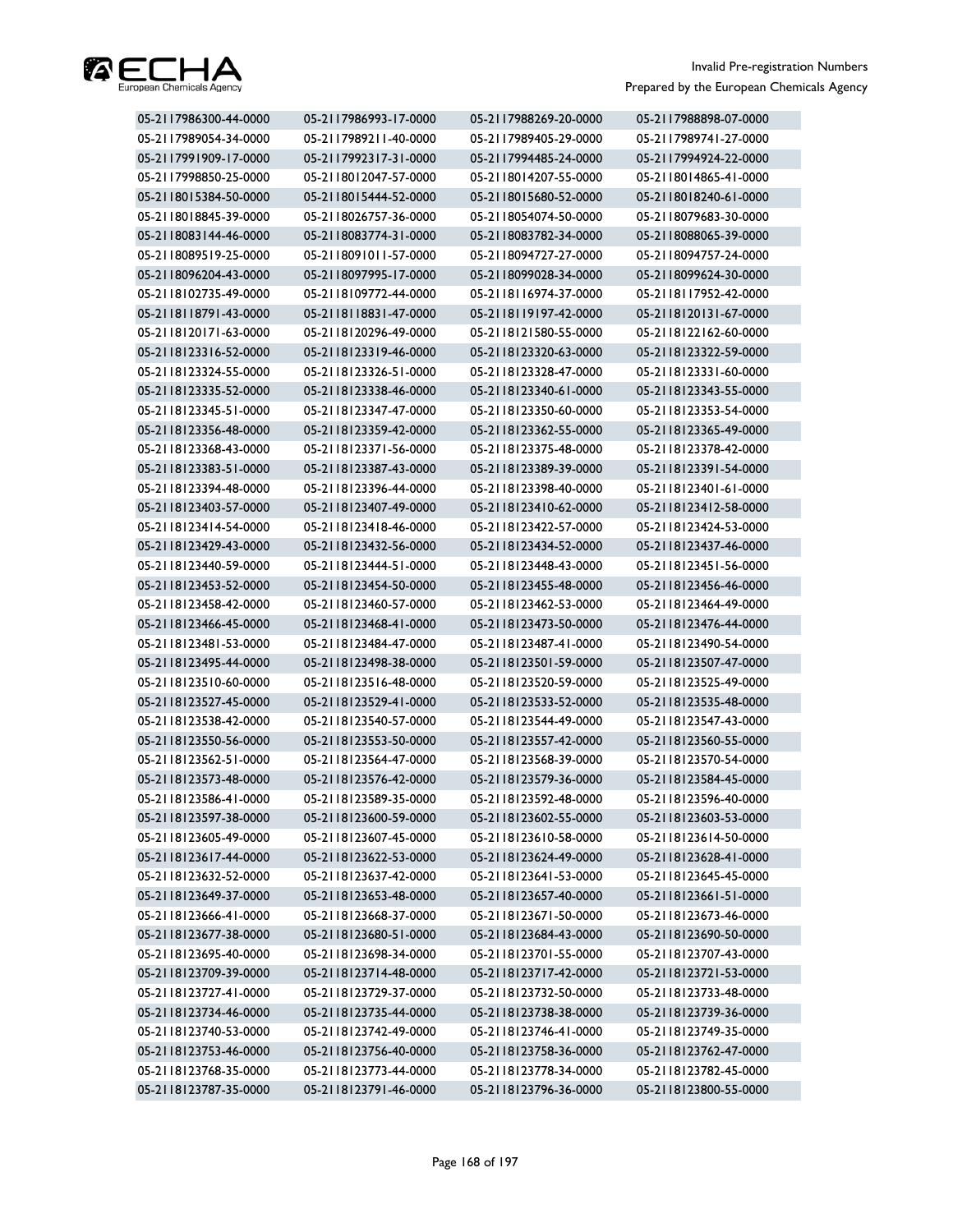

| 05-2117986300-44-0000 | 05-2117986993-17-0000 | 05-2117988269-20-0000 | 05-2117988898-07-0000 |
|-----------------------|-----------------------|-----------------------|-----------------------|
| 05-2117989054-34-0000 | 05-2117989211-40-0000 | 05-2117989405-29-0000 | 05-2117989741-27-0000 |
| 05-2117991909-17-0000 | 05-2117992317-31-0000 | 05-2117994485-24-0000 | 05-2117994924-22-0000 |
| 05-2117998850-25-0000 | 05-2118012047-57-0000 | 05-2118014207-55-0000 | 05-2118014865-41-0000 |
| 05-2118015384-50-0000 | 05-2118015444-52-0000 | 05-2118015680-52-0000 | 05-2118018240-61-0000 |
| 05-2118018845-39-0000 | 05-2118026757-36-0000 | 05-2118054074-50-0000 | 05-2118079683-30-0000 |
| 05-2118083144-46-0000 | 05-2118083774-31-0000 | 05-2118083782-34-0000 | 05-2118088065-39-0000 |
| 05-2118089519-25-0000 | 05-2118091011-57-0000 | 05-2118094727-27-0000 | 05-2118094757-24-0000 |
| 05-2118096204-43-0000 | 05-2118097995-17-0000 | 05-2118099028-34-0000 | 05-2118099624-30-0000 |
| 05-2118102735-49-0000 | 05-2118109772-44-0000 | 05-2118116974-37-0000 | 05-2118117952-42-0000 |
| 05-2118118791-43-0000 | 05-2118118831-47-0000 | 05-2118119197-42-0000 | 05-2118120131-67-0000 |
| 05-2118120171-63-0000 | 05-2118120296-49-0000 | 05-2118121580-55-0000 | 05-2118122162-60-0000 |
| 05-2118123316-52-0000 | 05-2118123319-46-0000 | 05-2118123320-63-0000 | 05-2118123322-59-0000 |
| 05-2118123324-55-0000 | 05-2118123326-51-0000 | 05-2118123328-47-0000 | 05-2118123331-60-0000 |
| 05-2118123335-52-0000 | 05-2118123338-46-0000 | 05-2118123340-61-0000 | 05-2118123343-55-0000 |
| 05-2118123345-51-0000 | 05-2118123347-47-0000 | 05-2118123350-60-0000 | 05-2118123353-54-0000 |
| 05-2118123356-48-0000 | 05-2118123359-42-0000 | 05-2118123362-55-0000 | 05-2118123365-49-0000 |
| 05-2118123368-43-0000 | 05-2118123371-56-0000 | 05-2118123375-48-0000 | 05-2118123378-42-0000 |
| 05-2118123383-51-0000 | 05-2118123387-43-0000 | 05-2118123389-39-0000 | 05-2118123391-54-0000 |
| 05-2118123394-48-0000 | 05-2118123396-44-0000 | 05-2118123398-40-0000 | 05-2118123401-61-0000 |
| 05-2118123403-57-0000 | 05-2118123407-49-0000 | 05-2118123410-62-0000 | 05-2118123412-58-0000 |
| 05-2118123414-54-0000 | 05-2118123418-46-0000 | 05-2118123422-57-0000 | 05-2118123424-53-0000 |
| 05-2118123429-43-0000 | 05-2118123432-56-0000 | 05-2118123434-52-0000 | 05-2118123437-46-0000 |
| 05-2118123440-59-0000 | 05-2118123444-51-0000 | 05-2118123448-43-0000 | 05-2118123451-56-0000 |
| 05-2118123453-52-0000 | 05-2118123454-50-0000 | 05-2118123455-48-0000 | 05-2118123456-46-0000 |
| 05-2118123458-42-0000 | 05-2118123460-57-0000 | 05-2118123462-53-0000 | 05-2118123464-49-0000 |
| 05-2118123466-45-0000 | 05-2118123468-41-0000 | 05-2118123473-50-0000 | 05-2118123476-44-0000 |
| 05-2118123481-53-0000 | 05-2118123484-47-0000 | 05-2118123487-41-0000 | 05-2118123490-54-0000 |
| 05-2118123495-44-0000 | 05-2118123498-38-0000 | 05-2118123501-59-0000 | 05-2118123507-47-0000 |
| 05-2118123510-60-0000 | 05-2118123516-48-0000 | 05-2118123520-59-0000 | 05-2118123525-49-0000 |
| 05-2118123527-45-0000 | 05-2118123529-41-0000 | 05-2118123533-52-0000 | 05-2118123535-48-0000 |
| 05-2118123538-42-0000 | 05-2118123540-57-0000 | 05-2118123544-49-0000 | 05-2118123547-43-0000 |
| 05-2118123550-56-0000 | 05-2118123553-50-0000 | 05-2118123557-42-0000 | 05-2118123560-55-0000 |
| 05-2118123562-51-0000 | 05-2118123564-47-0000 | 05-2118123568-39-0000 | 05-2118123570-54-0000 |
| 05-2118123573-48-0000 | 05-2118123576-42-0000 | 05-2118123579-36-0000 | 05-2118123584-45-0000 |
| 05-2118123586-41-0000 | 05-2118123589-35-0000 | 05-2118123592-48-0000 | 05-2118123596-40-0000 |
| 05-2118123597-38-0000 | 05-2118123600-59-0000 | 05-2118123602-55-0000 | 05-2118123603-53-0000 |
| 05-2118123605-49-0000 | 05-2118123607-45-0000 | 05-2118123610-58-0000 | 05-2118123614-50-0000 |
| 05-2118123617-44-0000 | 05-2118123622-53-0000 | 05-2118123624-49-0000 | 05-2118123628-41-0000 |
| 05-2118123632-52-0000 | 05-2118123637-42-0000 | 05-2118123641-53-0000 | 05-2118123645-45-0000 |
| 05-2118123649-37-0000 | 05-2118123653-48-0000 | 05-2118123657-40-0000 | 05-2118123661-51-0000 |
| 05-2118123666-41-0000 | 05-2118123668-37-0000 | 05-2118123671-50-0000 | 05-2118123673-46-0000 |
| 05-2118123677-38-0000 | 05-2118123680-51-0000 | 05-2118123684-43-0000 | 05-2118123690-50-0000 |
| 05-2118123695-40-0000 | 05-2118123698-34-0000 | 05-2118123701-55-0000 | 05-2118123707-43-0000 |
| 05-2118123709-39-0000 | 05-2118123714-48-0000 | 05-2118123717-42-0000 | 05-2118123721-53-0000 |
| 05-2118123727-41-0000 | 05-2118123729-37-0000 | 05-2118123732-50-0000 | 05-2118123733-48-0000 |
| 05-2118123734-46-0000 | 05-2118123735-44-0000 | 05-2118123738-38-0000 | 05-2118123739-36-0000 |
| 05-2118123740-53-0000 | 05-2118123742-49-0000 | 05-2118123746-41-0000 | 05-2118123749-35-0000 |
| 05-2118123753-46-0000 | 05-2118123756-40-0000 | 05-2118123758-36-0000 | 05-2118123762-47-0000 |
| 05-2118123768-35-0000 | 05-2118123773-44-0000 | 05-2118123778-34-0000 | 05-2118123782-45-0000 |
| 05-2118123787-35-0000 | 05-2118123791-46-0000 | 05-2118123796-36-0000 | 05-2118123800-55-0000 |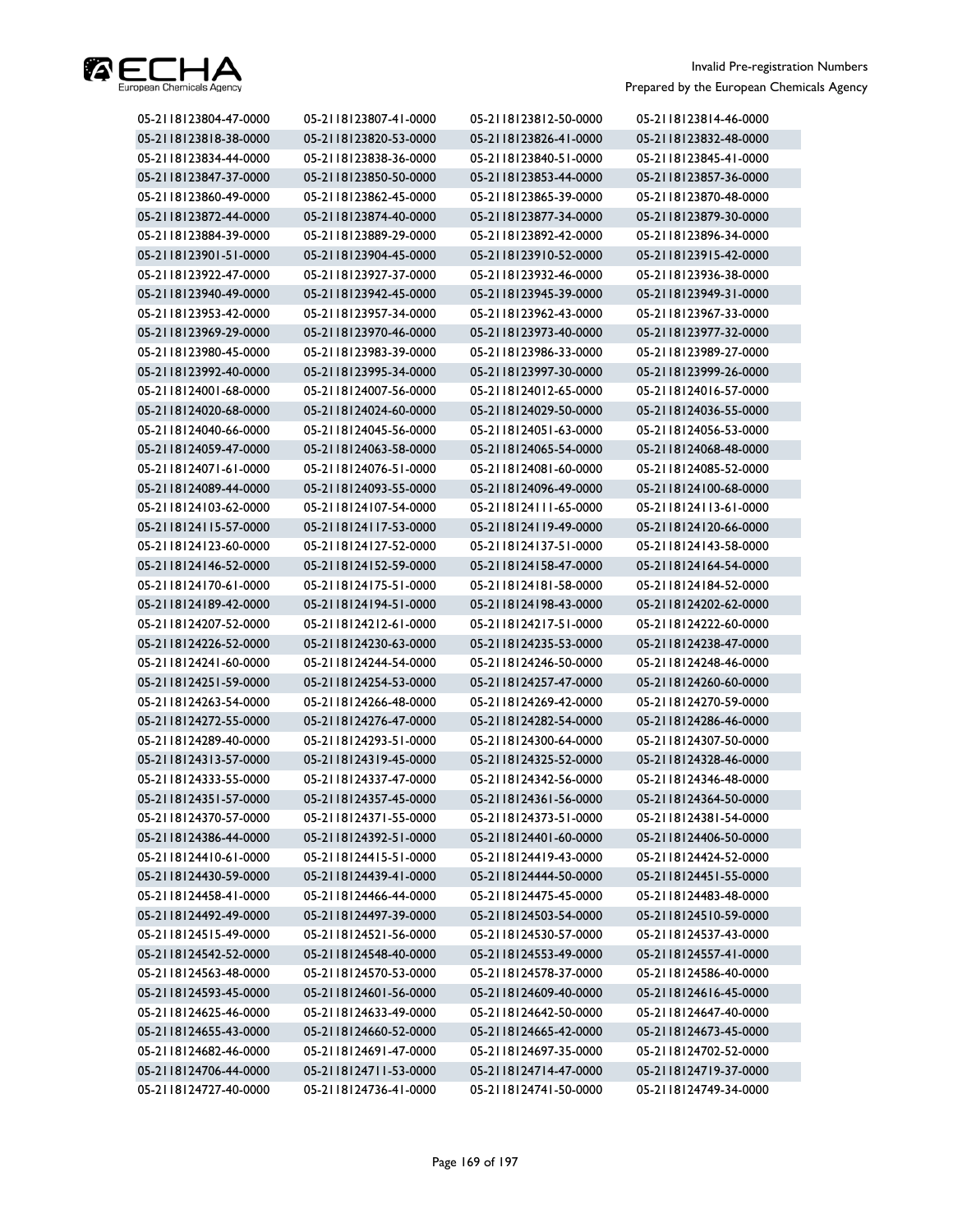

| 05-2118123804-47-0000 | 05-2118123807-41-0000 | 05-2118123812-50-0000 | 05-2118123814-46-0000 |
|-----------------------|-----------------------|-----------------------|-----------------------|
| 05-2118123818-38-0000 | 05-2118123820-53-0000 | 05-2118123826-41-0000 | 05-2118123832-48-0000 |
| 05-2118123834-44-0000 | 05-2118123838-36-0000 | 05-2118123840-51-0000 | 05-2118123845-41-0000 |
| 05-2118123847-37-0000 | 05-2118123850-50-0000 | 05-2118123853-44-0000 | 05-2118123857-36-0000 |
| 05-2118123860-49-0000 | 05-2118123862-45-0000 | 05-2118123865-39-0000 | 05-2118123870-48-0000 |
| 05-2118123872-44-0000 | 05-2118123874-40-0000 | 05-2118123877-34-0000 | 05-2118123879-30-0000 |
| 05-2118123884-39-0000 | 05-2118123889-29-0000 | 05-2118123892-42-0000 | 05-2118123896-34-0000 |
| 05-2118123901-51-0000 | 05-2118123904-45-0000 | 05-2118123910-52-0000 | 05-2118123915-42-0000 |
| 05-2118123922-47-0000 | 05-2118123927-37-0000 | 05-2118123932-46-0000 | 05-2118123936-38-0000 |
| 05-2118123940-49-0000 | 05-2118123942-45-0000 | 05-2118123945-39-0000 | 05-2118123949-31-0000 |
| 05-2118123953-42-0000 | 05-2118123957-34-0000 | 05-2118123962-43-0000 | 05-2118123967-33-0000 |
| 05-2118123969-29-0000 | 05-2118123970-46-0000 | 05-2118123973-40-0000 | 05-2118123977-32-0000 |
| 05-2118123980-45-0000 | 05-2118123983-39-0000 | 05-2118123986-33-0000 | 05-2118123989-27-0000 |
| 05-2118123992-40-0000 | 05-2118123995-34-0000 | 05-2118123997-30-0000 | 05-2118123999-26-0000 |
| 05-2118124001-68-0000 | 05-2118124007-56-0000 | 05-2118124012-65-0000 | 05-2118124016-57-0000 |
| 05-2118124020-68-0000 | 05-2118124024-60-0000 | 05-2118124029-50-0000 | 05-2118124036-55-0000 |
| 05-2118124040-66-0000 | 05-2118124045-56-0000 | 05-2118124051-63-0000 | 05-2118124056-53-0000 |
| 05-2118124059-47-0000 | 05-2118124063-58-0000 | 05-2118124065-54-0000 | 05-2118124068-48-0000 |
| 05-2118124071-61-0000 | 05-2118124076-51-0000 | 05-2118124081-60-0000 | 05-2118124085-52-0000 |
| 05-2118124089-44-0000 | 05-2118124093-55-0000 | 05-2118124096-49-0000 | 05-2118124100-68-0000 |
| 05-2118124103-62-0000 | 05-2118124107-54-0000 | 05-2118124111-65-0000 | 05-2118124113-61-0000 |
| 05-2118124115-57-0000 | 05-2118124117-53-0000 | 05-2118124119-49-0000 | 05-2118124120-66-0000 |
| 05-2118124123-60-0000 | 05-2118124127-52-0000 | 05-2118124137-51-0000 | 05-2118124143-58-0000 |
| 05-2118124146-52-0000 | 05-2118124152-59-0000 | 05-2118124158-47-0000 | 05-2118124164-54-0000 |
| 05-2118124170-61-0000 | 05-2118124175-51-0000 | 05-2118124181-58-0000 | 05-2118124184-52-0000 |
| 05-2118124189-42-0000 | 05-2118124194-51-0000 | 05-2118124198-43-0000 | 05-2118124202-62-0000 |
| 05-2118124207-52-0000 | 05-2118124212-61-0000 | 05-2118124217-51-0000 | 05-2118124222-60-0000 |
| 05-2118124226-52-0000 | 05-2118124230-63-0000 | 05-2118124235-53-0000 | 05-2118124238-47-0000 |
| 05-2118124241-60-0000 | 05-2118124244-54-0000 | 05-2118124246-50-0000 | 05-2118124248-46-0000 |
| 05-2118124251-59-0000 | 05-2118124254-53-0000 | 05-2118124257-47-0000 | 05-2118124260-60-0000 |
| 05-2118124263-54-0000 | 05-2118124266-48-0000 | 05-2118124269-42-0000 | 05-2118124270-59-0000 |
| 05-2118124272-55-0000 | 05-2118124276-47-0000 | 05-2118124282-54-0000 | 05-2118124286-46-0000 |
| 05-2118124289-40-0000 | 05-2118124293-51-0000 | 05-2118124300-64-0000 | 05-2118124307-50-0000 |
| 05-2118124313-57-0000 | 05-2118124319-45-0000 | 05-2118124325-52-0000 | 05-2118124328-46-0000 |
| 05-2118124333-55-0000 | 05-2118124337-47-0000 | 05-2118124342-56-0000 | 05-2118124346-48-0000 |
| 05-2118124351-57-0000 | 05-2118124357-45-0000 | 05-2118124361-56-0000 | 05-2118124364-50-0000 |
| 05-2118124370-57-0000 | 05-2118124371-55-0000 | 05-2118124373-51-0000 | 05-2118124381-54-0000 |
| 05-2118124386-44-0000 | 05-2118124392-51-0000 | 05-2118124401-60-0000 | 05-2118124406-50-0000 |
| 05-2118124410-61-0000 | 05-2118124415-51-0000 | 05-2118124419-43-0000 | 05-2118124424-52-0000 |
| 05-2118124430-59-0000 | 05-2118124439-41-0000 | 05-2118124444-50-0000 | 05-2118124451-55-0000 |
| 05-2118124458-41-0000 | 05-2118124466-44-0000 | 05-2118124475-45-0000 | 05-2118124483-48-0000 |
| 05-2118124492-49-0000 | 05-2118124497-39-0000 | 05-2118124503-54-0000 | 05-2118124510-59-0000 |
| 05-2118124515-49-0000 | 05-2118124521-56-0000 | 05-2118124530-57-0000 | 05-2118124537-43-0000 |
| 05-2118124542-52-0000 | 05-2118124548-40-0000 | 05-2118124553-49-0000 | 05-2118124557-41-0000 |
| 05-2118124563-48-0000 | 05-2118124570-53-0000 | 05-2118124578-37-0000 | 05-2118124586-40-0000 |
| 05-2118124593-45-0000 | 05-2118124601-56-0000 | 05-2118124609-40-0000 | 05-2118124616-45-0000 |
| 05-2118124625-46-0000 | 05-2118124633-49-0000 | 05-2118124642-50-0000 | 05-2118124647-40-0000 |
| 05-2118124655-43-0000 | 05-2118124660-52-0000 | 05-2118124665-42-0000 | 05-2118124673-45-0000 |
| 05-2118124682-46-0000 | 05-2118124691-47-0000 | 05-2118124697-35-0000 | 05-2118124702-52-0000 |
| 05-2118124706-44-0000 | 05-2118124711-53-0000 | 05-2118124714-47-0000 | 05-2118124719-37-0000 |
| 05-2118124727-40-0000 | 05-2118124736-41-0000 | 05-2118124741-50-0000 | 05-2118124749-34-0000 |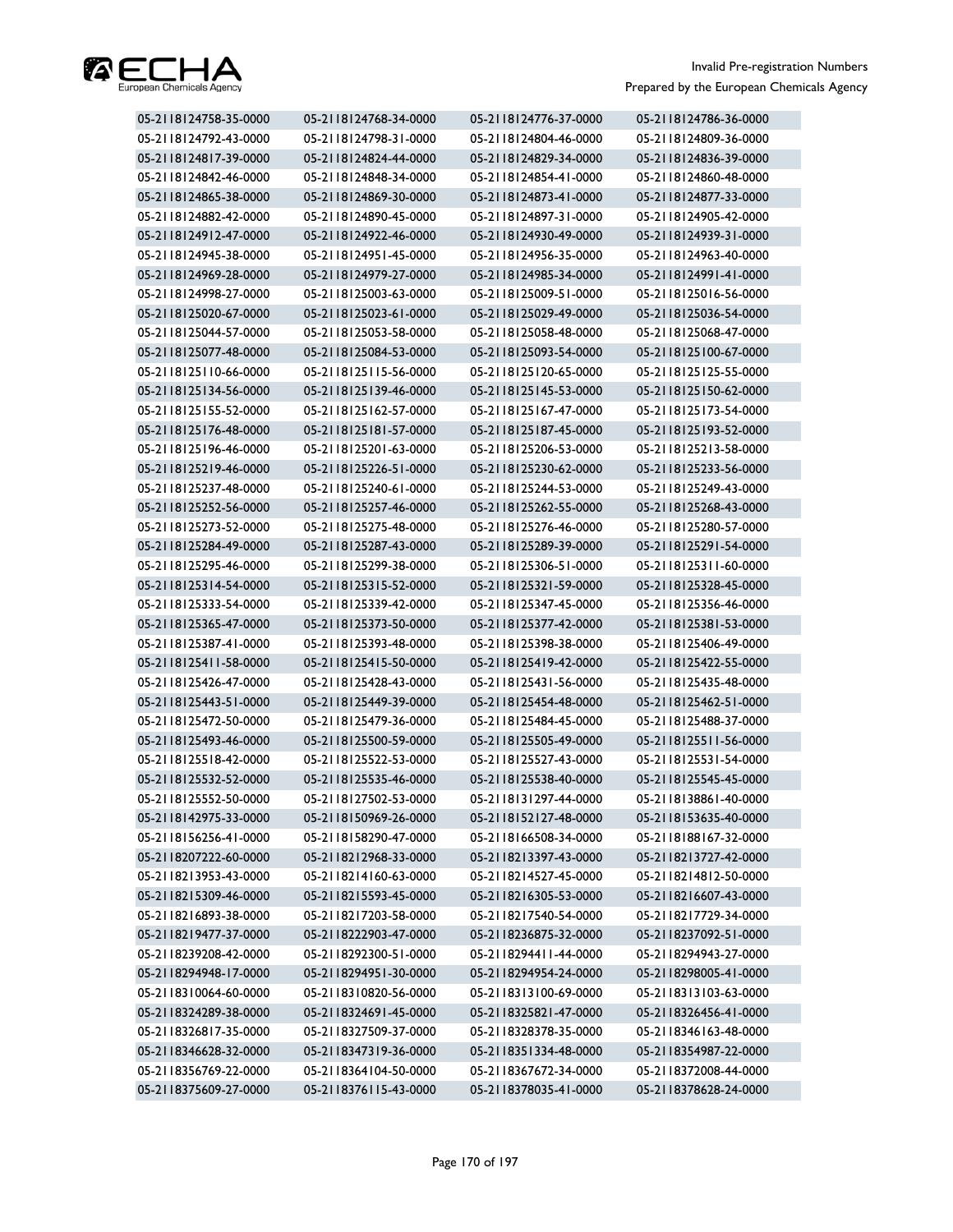

| 05-2118124758-35-0000 | 05-2118124768-34-0000 | 05-2118124776-37-0000 | 05-2118124786-36-0000 |
|-----------------------|-----------------------|-----------------------|-----------------------|
| 05-2118124792-43-0000 | 05-2118124798-31-0000 | 05-2118124804-46-0000 | 05-2118124809-36-0000 |
| 05-2118124817-39-0000 | 05-2118124824-44-0000 | 05-2118124829-34-0000 | 05-2118124836-39-0000 |
| 05-2118124842-46-0000 | 05-2118124848-34-0000 | 05-2118124854-41-0000 | 05-2118124860-48-0000 |
| 05-2118124865-38-0000 | 05-2118124869-30-0000 | 05-2118124873-41-0000 | 05-2118124877-33-0000 |
| 05-2118124882-42-0000 | 05-2118124890-45-0000 | 05-2118124897-31-0000 | 05-2118124905-42-0000 |
| 05-2118124912-47-0000 | 05-2118124922-46-0000 | 05-2118124930-49-0000 | 05-2118124939-31-0000 |
| 05-2118124945-38-0000 | 05-2118124951-45-0000 | 05-2118124956-35-0000 | 05-2118124963-40-0000 |
| 05-2118124969-28-0000 | 05-2118124979-27-0000 | 05-2118124985-34-0000 | 05-2118124991-41-0000 |
| 05-2118124998-27-0000 | 05-2118125003-63-0000 | 05-2118125009-51-0000 | 05-2118125016-56-0000 |
| 05-2118125020-67-0000 | 05-2118125023-61-0000 | 05-2118125029-49-0000 | 05-2118125036-54-0000 |
| 05-2118125044-57-0000 | 05-2118125053-58-0000 | 05-2118125058-48-0000 | 05-2118125068-47-0000 |
| 05-2118125077-48-0000 | 05-2118125084-53-0000 | 05-2118125093-54-0000 | 05-2118125100-67-0000 |
| 05-2118125110-66-0000 | 05-2118125115-56-0000 | 05-2118125120-65-0000 | 05-2118125125-55-0000 |
| 05-2118125134-56-0000 | 05-2118125139-46-0000 | 05-2118125145-53-0000 | 05-2118125150-62-0000 |
| 05-2118125155-52-0000 | 05-2118125162-57-0000 | 05-2118125167-47-0000 | 05-2118125173-54-0000 |
| 05-2118125176-48-0000 | 05-2118125181-57-0000 | 05-2118125187-45-0000 | 05-2118125193-52-0000 |
| 05-2118125196-46-0000 | 05-2118125201-63-0000 | 05-2118125206-53-0000 | 05-2118125213-58-0000 |
| 05-2118125219-46-0000 | 05-2118125226-51-0000 | 05-2118125230-62-0000 | 05-2118125233-56-0000 |
| 05-2118125237-48-0000 | 05-2118125240-61-0000 | 05-2118125244-53-0000 | 05-2118125249-43-0000 |
| 05-2118125252-56-0000 | 05-2118125257-46-0000 | 05-2118125262-55-0000 | 05-2118125268-43-0000 |
| 05-2118125273-52-0000 | 05-2118125275-48-0000 | 05-2118125276-46-0000 | 05-2118125280-57-0000 |
| 05-2118125284-49-0000 | 05-2118125287-43-0000 | 05-2118125289-39-0000 | 05-2118125291-54-0000 |
| 05-2118125295-46-0000 | 05-2118125299-38-0000 | 05-2118125306-51-0000 | 05-2118125311-60-0000 |
| 05-2118125314-54-0000 | 05-2118125315-52-0000 | 05-2118125321-59-0000 | 05-2118125328-45-0000 |
| 05-2118125333-54-0000 | 05-2118125339-42-0000 | 05-2118125347-45-0000 | 05-2118125356-46-0000 |
| 05-2118125365-47-0000 | 05-2118125373-50-0000 | 05-2118125377-42-0000 | 05-2118125381-53-0000 |
| 05-2118125387-41-0000 | 05-2118125393-48-0000 | 05-2118125398-38-0000 | 05-2118125406-49-0000 |
| 05-2118125411-58-0000 | 05-2118125415-50-0000 | 05-2118125419-42-0000 | 05-2118125422-55-0000 |
| 05-2118125426-47-0000 | 05-2118125428-43-0000 | 05-2118125431-56-0000 | 05-2118125435-48-0000 |
| 05-2118125443-51-0000 | 05-2118125449-39-0000 | 05-2118125454-48-0000 | 05-2118125462-51-0000 |
| 05-2118125472-50-0000 | 05-2118125479-36-0000 | 05-2118125484-45-0000 | 05-2118125488-37-0000 |
| 05-2118125493-46-0000 | 05-2118125500-59-0000 | 05-2118125505-49-0000 | 05-2118125511-56-0000 |
| 05-2118125518-42-0000 | 05-2118125522-53-0000 | 05-2118125527-43-0000 | 05-2118125531-54-0000 |
| 05-2118125532-52-0000 | 05-2118125535-46-0000 | 05-2118125538-40-0000 | 05-2118125545-45-0000 |
| 05-2118125552-50-0000 | 05-2118127502-53-0000 | 05-2118131297-44-0000 | 05-2118138861-40-0000 |
| 05-2118142975-33-0000 | 05-2118150969-26-0000 | 05-2118152127-48-0000 | 05-2118153635-40-0000 |
| 05-2118156256-41-0000 | 05-2118158290-47-0000 | 05-2118166508-34-0000 | 05-2118188167-32-0000 |
| 05-2118207222-60-0000 | 05-2118212968-33-0000 | 05-2118213397-43-0000 | 05-2118213727-42-0000 |
| 05-2118213953-43-0000 | 05-2118214160-63-0000 | 05-2118214527-45-0000 | 05-2118214812-50-0000 |
| 05-2118215309-46-0000 | 05-2118215593-45-0000 | 05-2118216305-53-0000 | 05-2118216607-43-0000 |
| 05-2118216893-38-0000 | 05-2118217203-58-0000 | 05-2118217540-54-0000 | 05-2118217729-34-0000 |
| 05-2118219477-37-0000 | 05-2118222903-47-0000 | 05-2118236875-32-0000 | 05-2118237092-51-0000 |
| 05-2118239208-42-0000 | 05-2118292300-51-0000 | 05-2118294411-44-0000 | 05-2118294943-27-0000 |
| 05-2118294948-17-0000 | 05-2118294951-30-0000 | 05-2118294954-24-0000 | 05-2118298005-41-0000 |
| 05-2118310064-60-0000 | 05-2118310820-56-0000 | 05-2118313100-69-0000 | 05-2118313103-63-0000 |
| 05-2118324289-38-0000 | 05-2118324691-45-0000 | 05-2118325821-47-0000 | 05-2118326456-41-0000 |
| 05-2118326817-35-0000 | 05-2118327509-37-0000 | 05-2118328378-35-0000 | 05-2118346163-48-0000 |
| 05-2118346628-32-0000 | 05-2118347319-36-0000 | 05-2118351334-48-0000 | 05-2118354987-22-0000 |
| 05-2118356769-22-0000 | 05-2118364104-50-0000 | 05-2118367672-34-0000 | 05-2118372008-44-0000 |
| 05-2118375609-27-0000 | 05-2118376115-43-0000 | 05-2118378035-41-0000 | 05-2118378628-24-0000 |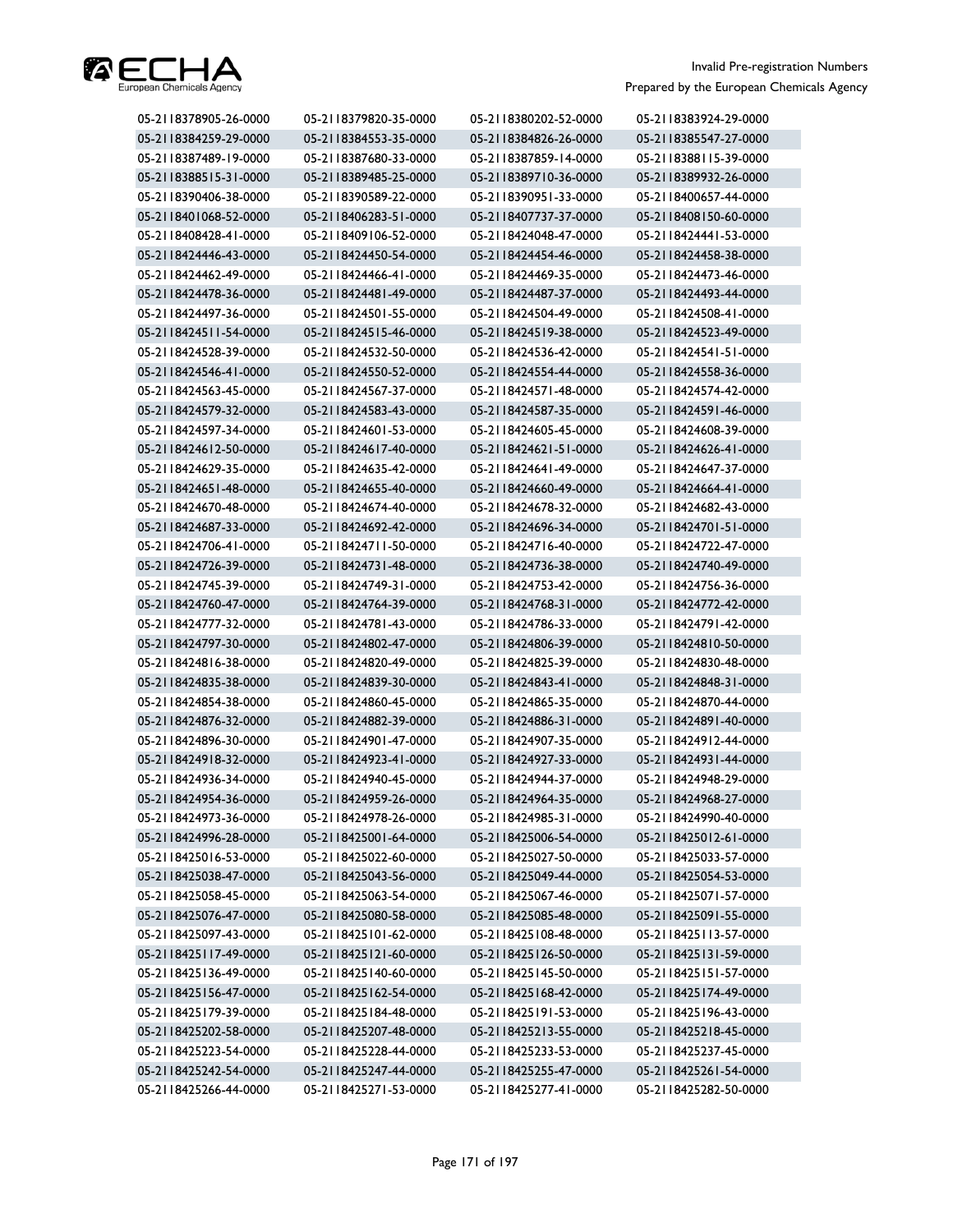

| 05-2118378905-26-0000 | 05-2118379820-35-0000 | 05-2118380202-52-0000 | 05-2118383924-29-0000 |
|-----------------------|-----------------------|-----------------------|-----------------------|
| 05-2118384259-29-0000 | 05-2118384553-35-0000 | 05-2118384826-26-0000 | 05-2118385547-27-0000 |
| 05-2118387489-19-0000 | 05-2118387680-33-0000 | 05-2118387859-14-0000 | 05-2118388115-39-0000 |
| 05-2118388515-31-0000 | 05-2118389485-25-0000 | 05-2118389710-36-0000 | 05-2118389932-26-0000 |
| 05-2118390406-38-0000 | 05-2118390589-22-0000 | 05-2118390951-33-0000 | 05-2118400657-44-0000 |
| 05-2118401068-52-0000 | 05-2118406283-51-0000 | 05-2118407737-37-0000 | 05-2118408150-60-0000 |
| 05-2118408428-41-0000 | 05-2118409106-52-0000 | 05-2118424048-47-0000 | 05-2118424441-53-0000 |
| 05-2118424446-43-0000 | 05-2118424450-54-0000 | 05-2118424454-46-0000 | 05-2118424458-38-0000 |
| 05-2118424462-49-0000 | 05-2118424466-41-0000 | 05-2118424469-35-0000 | 05-2118424473-46-0000 |
| 05-2118424478-36-0000 | 05-2118424481-49-0000 | 05-2118424487-37-0000 | 05-2118424493-44-0000 |
| 05-2118424497-36-0000 | 05-2118424501-55-0000 | 05-2118424504-49-0000 | 05-2118424508-41-0000 |
| 05-2118424511-54-0000 | 05-2118424515-46-0000 | 05-2118424519-38-0000 | 05-2118424523-49-0000 |
| 05-2118424528-39-0000 | 05-2118424532-50-0000 | 05-2118424536-42-0000 | 05-2118424541-51-0000 |
| 05-2118424546-41-0000 | 05-2118424550-52-0000 | 05-2118424554-44-0000 | 05-2118424558-36-0000 |
| 05-2118424563-45-0000 | 05-2118424567-37-0000 | 05-2118424571-48-0000 | 05-2118424574-42-0000 |
| 05-2118424579-32-0000 | 05-2118424583-43-0000 | 05-2118424587-35-0000 | 05-2118424591-46-0000 |
| 05-2118424597-34-0000 | 05-2118424601-53-0000 | 05-2118424605-45-0000 | 05-2118424608-39-0000 |
| 05-2118424612-50-0000 | 05-2118424617-40-0000 | 05-2118424621-51-0000 | 05-2118424626-41-0000 |
| 05-2118424629-35-0000 | 05-2118424635-42-0000 | 05-2118424641-49-0000 | 05-2118424647-37-0000 |
| 05-2118424651-48-0000 | 05-2118424655-40-0000 | 05-2118424660-49-0000 | 05-2118424664-41-0000 |
| 05-2118424670-48-0000 | 05-2118424674-40-0000 | 05-2118424678-32-0000 | 05-2118424682-43-0000 |
| 05-2118424687-33-0000 | 05-2118424692-42-0000 | 05-2118424696-34-0000 | 05-2118424701-51-0000 |
| 05-2118424706-41-0000 | 05-2118424711-50-0000 | 05-2118424716-40-0000 | 05-2118424722-47-0000 |
| 05-2118424726-39-0000 | 05-2118424731-48-0000 | 05-2118424736-38-0000 | 05-2118424740-49-0000 |
| 05-2118424745-39-0000 | 05-2118424749-31-0000 | 05-2118424753-42-0000 | 05-2118424756-36-0000 |
| 05-2118424760-47-0000 | 05-2118424764-39-0000 | 05-2118424768-31-0000 | 05-2118424772-42-0000 |
| 05-2118424777-32-0000 | 05-2118424781-43-0000 | 05-2118424786-33-0000 | 05-2118424791-42-0000 |
| 05-2118424797-30-0000 | 05-2118424802-47-0000 | 05-2118424806-39-0000 | 05-2118424810-50-0000 |
| 05-2118424816-38-0000 | 05-2118424820-49-0000 | 05-2118424825-39-0000 | 05-2118424830-48-0000 |
| 05-2118424835-38-0000 | 05-2118424839-30-0000 | 05-2118424843-41-0000 | 05-2118424848-31-0000 |
| 05-2118424854-38-0000 | 05-2118424860-45-0000 | 05-2118424865-35-0000 | 05-2118424870-44-0000 |
| 05-2118424876-32-0000 | 05-2118424882-39-0000 | 05-2118424886-31-0000 | 05-2118424891-40-0000 |
| 05-2118424896-30-0000 | 05-2118424901-47-0000 | 05-2118424907-35-0000 | 05-2118424912-44-0000 |
| 05-2118424918-32-0000 | 05-2118424923-41-0000 | 05-2118424927-33-0000 | 05-2118424931-44-0000 |
| 05-2118424936-34-0000 | 05-2118424940-45-0000 | 05-2118424944-37-0000 | 05-2118424948-29-0000 |
| 05-2118424954-36-0000 | 05-2118424959-26-0000 | 05-2118424964-35-0000 | 05-2118424968-27-0000 |
| 05-2118424973-36-0000 | 05-2118424978-26-0000 | 05-2118424985-31-0000 | 05-2118424990-40-0000 |
| 05-2118424996-28-0000 | 05-2118425001-64-0000 | 05-2118425006-54-0000 | 05-2118425012-61-0000 |
| 05-2118425016-53-0000 | 05-2118425022-60-0000 | 05-2118425027-50-0000 | 05-2118425033-57-0000 |
| 05-2118425038-47-0000 | 05-2118425043-56-0000 | 05-2118425049-44-0000 | 05-2118425054-53-0000 |
| 05-2118425058-45-0000 | 05-2118425063-54-0000 | 05-2118425067-46-0000 | 05-2118425071-57-0000 |
| 05-2118425076-47-0000 | 05-2118425080-58-0000 | 05-2118425085-48-0000 | 05-2118425091-55-0000 |
| 05-2118425097-43-0000 | 05-2118425101-62-0000 | 05-2118425108-48-0000 | 05-2118425113-57-0000 |
| 05-2118425117-49-0000 | 05-2118425121-60-0000 | 05-2118425126-50-0000 | 05-2118425131-59-0000 |
| 05-2118425136-49-0000 | 05-2118425140-60-0000 | 05-2118425145-50-0000 | 05-2118425151-57-0000 |
| 05-2118425156-47-0000 | 05-2118425162-54-0000 | 05-2118425168-42-0000 | 05-2118425174-49-0000 |
| 05-2118425179-39-0000 | 05-2118425184-48-0000 | 05-2118425191-53-0000 | 05-2118425196-43-0000 |
| 05-2118425202-58-0000 | 05-2118425207-48-0000 | 05-2118425213-55-0000 | 05-2118425218-45-0000 |
| 05-2118425223-54-0000 | 05-2118425228-44-0000 | 05-2118425233-53-0000 | 05-2118425237-45-0000 |
| 05-2118425242-54-0000 | 05-2118425247-44-0000 | 05-2118425255-47-0000 | 05-2118425261-54-0000 |
| 05-2118425266-44-0000 | 05-2118425271-53-0000 | 05-2118425277-41-0000 | 05-2118425282-50-0000 |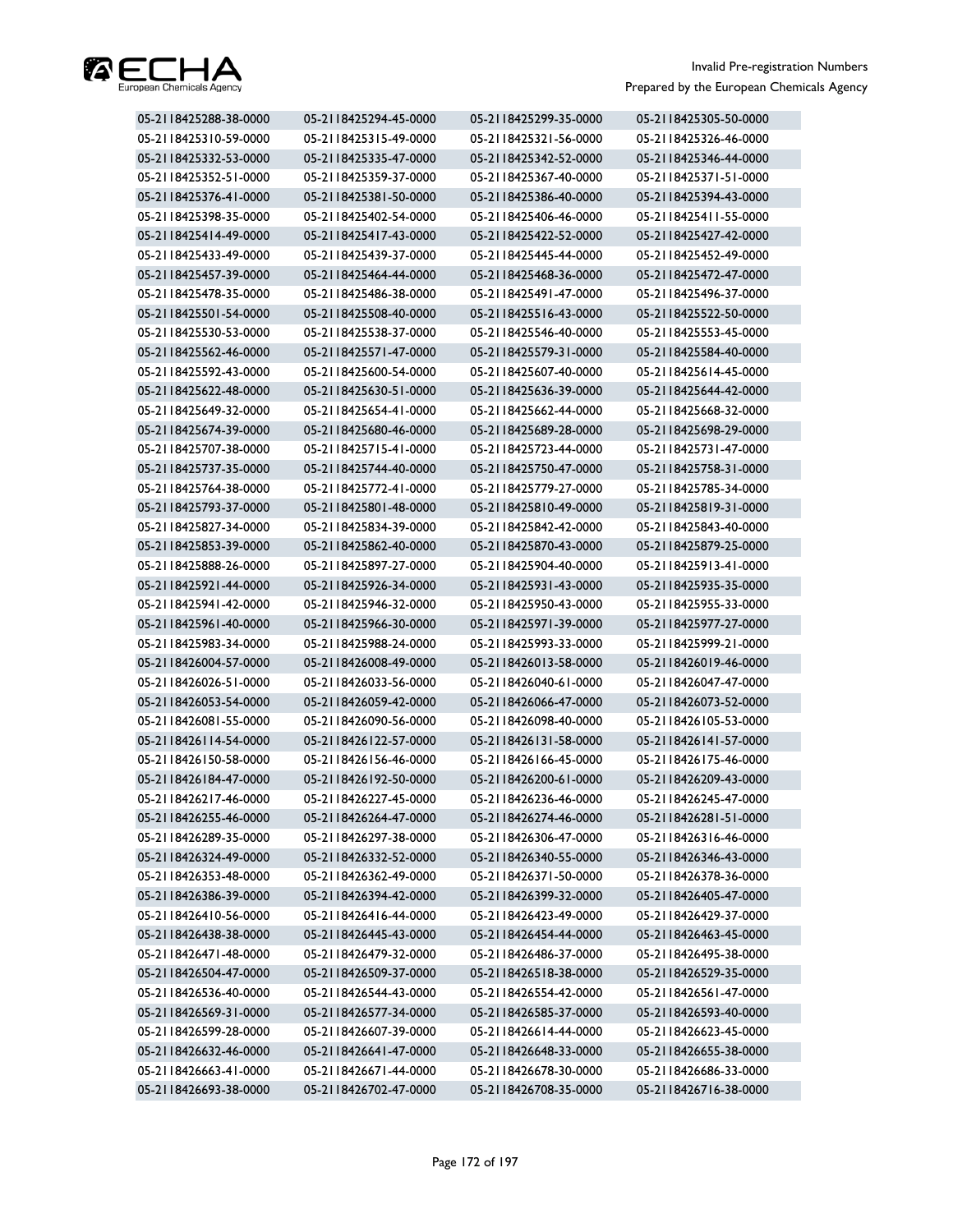

| 05-2118425288-38-0000 | 05-2118425294-45-0000 | 05-2118425299-35-0000 | 05-2118425305-50-0000 |
|-----------------------|-----------------------|-----------------------|-----------------------|
| 05-2118425310-59-0000 | 05-2118425315-49-0000 | 05-2118425321-56-0000 | 05-2118425326-46-0000 |
| 05-2118425332-53-0000 | 05-2118425335-47-0000 | 05-2118425342-52-0000 | 05-2118425346-44-0000 |
| 05-2118425352-51-0000 | 05-2118425359-37-0000 | 05-2118425367-40-0000 | 05-2118425371-51-0000 |
| 05-2118425376-41-0000 | 05-2118425381-50-0000 | 05-2118425386-40-0000 | 05-2118425394-43-0000 |
| 05-2118425398-35-0000 | 05-2118425402-54-0000 | 05-2118425406-46-0000 | 05-2118425411-55-0000 |
| 05-2118425414-49-0000 | 05-2118425417-43-0000 | 05-2118425422-52-0000 | 05-2118425427-42-0000 |
| 05-2118425433-49-0000 | 05-2118425439-37-0000 | 05-2118425445-44-0000 | 05-2118425452-49-0000 |
| 05-2118425457-39-0000 | 05-2118425464-44-0000 | 05-2118425468-36-0000 | 05-2118425472-47-0000 |
| 05-2118425478-35-0000 | 05-2118425486-38-0000 | 05-2118425491-47-0000 | 05-2118425496-37-0000 |
| 05-2118425501-54-0000 | 05-2118425508-40-0000 | 05-2118425516-43-0000 | 05-2118425522-50-0000 |
| 05-2118425530-53-0000 | 05-2118425538-37-0000 | 05-2118425546-40-0000 | 05-2118425553-45-0000 |
| 05-2118425562-46-0000 | 05-2118425571-47-0000 | 05-2118425579-31-0000 | 05-2118425584-40-0000 |
| 05-2118425592-43-0000 | 05-2118425600-54-0000 | 05-2118425607-40-0000 | 05-2118425614-45-0000 |
| 05-2118425622-48-0000 | 05-2118425630-51-0000 | 05-2118425636-39-0000 | 05-2118425644-42-0000 |
| 05-2118425649-32-0000 | 05-2118425654-41-0000 | 05-2118425662-44-0000 | 05-2118425668-32-0000 |
| 05-2118425674-39-0000 | 05-2118425680-46-0000 | 05-2118425689-28-0000 | 05-2118425698-29-0000 |
| 05-2118425707-38-0000 | 05-2118425715-41-0000 | 05-2118425723-44-0000 | 05-2118425731-47-0000 |
| 05-2118425737-35-0000 | 05-2118425744-40-0000 | 05-2118425750-47-0000 | 05-2118425758-31-0000 |
| 05-2118425764-38-0000 | 05-2118425772-41-0000 | 05-2118425779-27-0000 | 05-2118425785-34-0000 |
| 05-2118425793-37-0000 | 05-2118425801-48-0000 | 05-2118425810-49-0000 | 05-2118425819-31-0000 |
| 05-2118425827-34-0000 | 05-2118425834-39-0000 | 05-2118425842-42-0000 | 05-2118425843-40-0000 |
| 05-2118425853-39-0000 | 05-2118425862-40-0000 | 05-2118425870-43-0000 | 05-2118425879-25-0000 |
| 05-2118425888-26-0000 | 05-2118425897-27-0000 | 05-2118425904-40-0000 | 05-2118425913-41-0000 |
| 05-2118425921-44-0000 | 05-2118425926-34-0000 | 05-2118425931-43-0000 | 05-2118425935-35-0000 |
| 05-2118425941-42-0000 | 05-2118425946-32-0000 | 05-2118425950-43-0000 | 05-2118425955-33-0000 |
| 05-2118425961-40-0000 | 05-2118425966-30-0000 | 05-2118425971-39-0000 | 05-2118425977-27-0000 |
| 05-2118425983-34-0000 | 05-2118425988-24-0000 | 05-2118425993-33-0000 | 05-2118425999-21-0000 |
| 05-2118426004-57-0000 | 05-2118426008-49-0000 | 05-2118426013-58-0000 | 05-2118426019-46-0000 |
| 05-2118426026-51-0000 | 05-2118426033-56-0000 | 05-2118426040-61-0000 | 05-2118426047-47-0000 |
| 05-2118426053-54-0000 | 05-2118426059-42-0000 | 05-2118426066-47-0000 | 05-2118426073-52-0000 |
| 05-2118426081-55-0000 | 05-2118426090-56-0000 | 05-2118426098-40-0000 | 05-2118426105-53-0000 |
| 05-2118426114-54-0000 | 05-2118426122-57-0000 | 05-2118426131-58-0000 | 05-2118426141-57-0000 |
| 05-2118426150-58-0000 | 05-2118426156-46-0000 | 05-2118426166-45-0000 | 05-2118426175-46-0000 |
| 05-2118426184-47-0000 | 05-2118426192-50-0000 | 05-2118426200-61-0000 | 05-2118426209-43-0000 |
| 05-2118426217-46-0000 | 05-2118426227-45-0000 | 05-2118426236-46-0000 | 05-2118426245-47-0000 |
| 05-2118426255-46-0000 | 05-2118426264-47-0000 | 05-2118426274-46-0000 | 05-2118426281-51-0000 |
| 05-2118426289-35-0000 | 05-2118426297-38-0000 | 05-2118426306-47-0000 | 05-2118426316-46-0000 |
| 05-2118426324-49-0000 | 05-2118426332-52-0000 | 05-2118426340-55-0000 | 05-2118426346-43-0000 |
| 05-2118426353-48-0000 | 05-2118426362-49-0000 | 05-2118426371-50-0000 | 05-2118426378-36-0000 |
| 05-2118426386-39-0000 | 05-2118426394-42-0000 | 05-2118426399-32-0000 | 05-2118426405-47-0000 |
| 05-2118426410-56-0000 | 05-2118426416-44-0000 | 05-2118426423-49-0000 | 05-2118426429-37-0000 |
| 05-2118426438-38-0000 | 05-2118426445-43-0000 | 05-2118426454-44-0000 | 05-2118426463-45-0000 |
| 05-2118426471-48-0000 | 05-2118426479-32-0000 | 05-2118426486-37-0000 | 05-2118426495-38-0000 |
| 05-2118426504-47-0000 | 05-2118426509-37-0000 | 05-2118426518-38-0000 | 05-2118426529-35-0000 |
| 05-2118426536-40-0000 | 05-2118426544-43-0000 | 05-2118426554-42-0000 | 05-2118426561-47-0000 |
| 05-2118426569-31-0000 | 05-2118426577-34-0000 | 05-2118426585-37-0000 | 05-2118426593-40-0000 |
| 05-2118426599-28-0000 | 05-2118426607-39-0000 | 05-2118426614-44-0000 | 05-2118426623-45-0000 |
| 05-2118426632-46-0000 | 05-2118426641-47-0000 | 05-2118426648-33-0000 | 05-2118426655-38-0000 |
| 05-2118426663-41-0000 | 05-2118426671-44-0000 | 05-2118426678-30-0000 | 05-2118426686-33-0000 |
| 05-2118426693-38-0000 | 05-2118426702-47-0000 | 05-2118426708-35-0000 | 05-2118426716-38-0000 |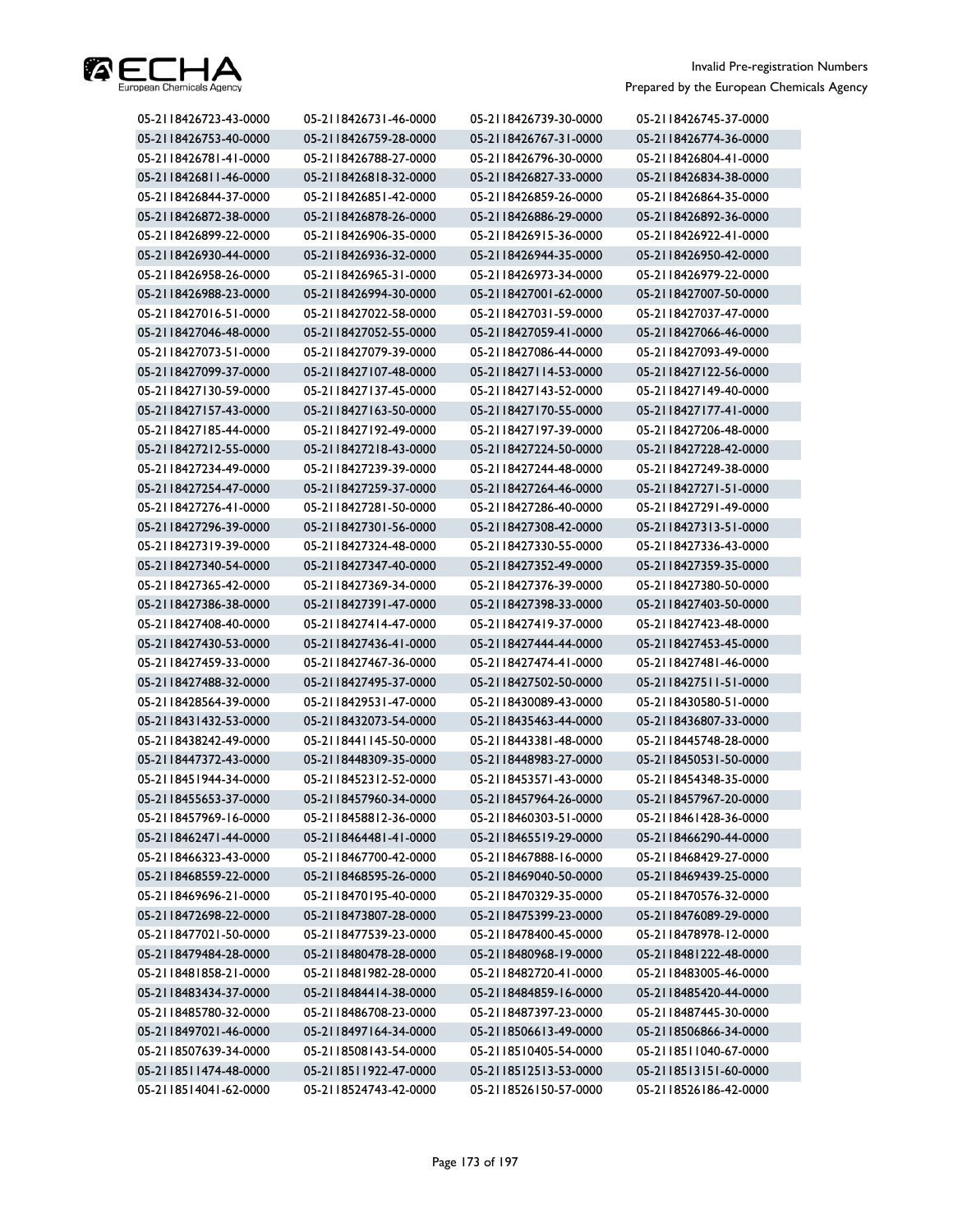

| 05-2118426723-43-0000 | 05-2118426731-46-0000 | 05-2118426739-30-0000 | 05-2118426745-37-0000 |
|-----------------------|-----------------------|-----------------------|-----------------------|
| 05-2118426753-40-0000 | 05-2118426759-28-0000 | 05-2118426767-31-0000 | 05-2118426774-36-0000 |
| 05-2118426781-41-0000 | 05-2118426788-27-0000 | 05-2118426796-30-0000 | 05-2118426804-41-0000 |
| 05-2118426811-46-0000 | 05-2118426818-32-0000 | 05-2118426827-33-0000 | 05-2118426834-38-0000 |
| 05-2118426844-37-0000 | 05-2118426851-42-0000 | 05-2118426859-26-0000 | 05-2118426864-35-0000 |
| 05-2118426872-38-0000 | 05-2118426878-26-0000 | 05-2118426886-29-0000 | 05-2118426892-36-0000 |
| 05-2118426899-22-0000 | 05-2118426906-35-0000 | 05-2118426915-36-0000 | 05-2118426922-41-0000 |
| 05-2118426930-44-0000 | 05-2118426936-32-0000 | 05-2118426944-35-0000 | 05-2118426950-42-0000 |
| 05-2118426958-26-0000 | 05-2118426965-31-0000 | 05-2118426973-34-0000 | 05-2118426979-22-0000 |
| 05-2118426988-23-0000 | 05-2118426994-30-0000 | 05-2118427001-62-0000 | 05-2118427007-50-0000 |
| 05-2118427016-51-0000 | 05-2118427022-58-0000 | 05-2118427031-59-0000 | 05-2118427037-47-0000 |
| 05-2118427046-48-0000 | 05-2118427052-55-0000 | 05-2118427059-41-0000 | 05-2118427066-46-0000 |
| 05-2118427073-51-0000 | 05-2118427079-39-0000 | 05-2118427086-44-0000 | 05-2118427093-49-0000 |
| 05-2118427099-37-0000 | 05-2118427107-48-0000 | 05-2118427114-53-0000 | 05-2118427122-56-0000 |
| 05-2118427130-59-0000 | 05-2118427137-45-0000 | 05-2118427143-52-0000 | 05-2118427149-40-0000 |
| 05-2118427157-43-0000 | 05-2118427163-50-0000 | 05-2118427170-55-0000 | 05-2118427177-41-0000 |
| 05-2118427185-44-0000 | 05-2118427192-49-0000 | 05-2118427197-39-0000 | 05-2118427206-48-0000 |
| 05-2118427212-55-0000 | 05-2118427218-43-0000 | 05-2118427224-50-0000 | 05-2118427228-42-0000 |
| 05-2118427234-49-0000 | 05-2118427239-39-0000 | 05-2118427244-48-0000 | 05-2118427249-38-0000 |
| 05-2118427254-47-0000 | 05-2118427259-37-0000 | 05-2118427264-46-0000 | 05-2118427271-51-0000 |
| 05-2118427276-41-0000 | 05-2118427281-50-0000 | 05-2118427286-40-0000 | 05-2118427291-49-0000 |
| 05-2118427296-39-0000 | 05-2118427301-56-0000 | 05-2118427308-42-0000 | 05-2118427313-51-0000 |
| 05-2118427319-39-0000 | 05-2118427324-48-0000 | 05-2118427330-55-0000 | 05-2118427336-43-0000 |
| 05-2118427340-54-0000 | 05-2118427347-40-0000 | 05-2118427352-49-0000 | 05-2118427359-35-0000 |
| 05-2118427365-42-0000 | 05-2118427369-34-0000 | 05-2118427376-39-0000 | 05-2118427380-50-0000 |
| 05-2118427386-38-0000 | 05-2118427391-47-0000 | 05-2118427398-33-0000 | 05-2118427403-50-0000 |
| 05-2118427408-40-0000 | 05-2118427414-47-0000 | 05-2118427419-37-0000 | 05-2118427423-48-0000 |
| 05-2118427430-53-0000 | 05-2118427436-41-0000 | 05-2118427444-44-0000 | 05-2118427453-45-0000 |
| 05-2118427459-33-0000 | 05-2118427467-36-0000 | 05-2118427474-41-0000 | 05-2118427481-46-0000 |
| 05-2118427488-32-0000 | 05-2118427495-37-0000 | 05-2118427502-50-0000 | 05-2118427511-51-0000 |
| 05-2118428564-39-0000 | 05-2118429531-47-0000 | 05-2118430089-43-0000 | 05-2118430580-51-0000 |
| 05-2118431432-53-0000 | 05-2118432073-54-0000 | 05-2118435463-44-0000 | 05-2118436807-33-0000 |
| 05-2118438242-49-0000 | 05-2118441145-50-0000 | 05-2118443381-48-0000 | 05-2118445748-28-0000 |
| 05-2118447372-43-0000 | 05-2118448309-35-0000 | 05-2118448983-27-0000 | 05-2118450531-50-0000 |
| 05-2118451944-34-0000 | 05-2118452312-52-0000 | 05-2118453571-43-0000 | 05-2118454348-35-0000 |
| 05-2118455653-37-0000 | 05-2118457960-34-0000 | 05-2118457964-26-0000 | 05-2118457967-20-0000 |
| 05-2118457969-16-0000 | 05-2118458812-36-0000 | 05-2118460303-51-0000 | 05-2118461428-36-0000 |
| 05-2118462471-44-0000 | 05-2118464481-41-0000 | 05-2118465519-29-0000 | 05-2118466290-44-0000 |
| 05-2118466323-43-0000 | 05-2118467700-42-0000 | 05-2118467888-16-0000 | 05-2118468429-27-0000 |
| 05-2118468559-22-0000 | 05-2118468595-26-0000 | 05-2118469040-50-0000 | 05-2118469439-25-0000 |
| 05-2118469696-21-0000 | 05-2118470195-40-0000 | 05-2118470329-35-0000 | 05-2118470576-32-0000 |
| 05-2118472698-22-0000 | 05-2118473807-28-0000 | 05-2118475399-23-0000 | 05-2118476089-29-0000 |
| 05-2118477021-50-0000 | 05-2118477539-23-0000 | 05-2118478400-45-0000 | 05-2118478978-12-0000 |
| 05-2118479484-28-0000 | 05-2118480478-28-0000 | 05-2118480968-19-0000 | 05-2118481222-48-0000 |
| 05-2118481858-21-0000 | 05-2118481982-28-0000 | 05-2118482720-41-0000 | 05-2118483005-46-0000 |
| 05-2118483434-37-0000 | 05-2118484414-38-0000 | 05-2118484859-16-0000 | 05-2118485420-44-0000 |
| 05-2118485780-32-0000 | 05-2118486708-23-0000 | 05-2118487397-23-0000 | 05-2118487445-30-0000 |
| 05-2118497021-46-0000 | 05-2118497164-34-0000 | 05-2118506613-49-0000 | 05-2118506866-34-0000 |
| 05-2118507639-34-0000 | 05-2118508143-54-0000 | 05-2118510405-54-0000 | 05-2118511040-67-0000 |
| 05-2118511474-48-0000 | 05-2118511922-47-0000 | 05-2118512513-53-0000 | 05-2118513151-60-0000 |
| 05-2118514041-62-0000 | 05-2118524743-42-0000 | 05-2118526150-57-0000 | 05-2118526186-42-0000 |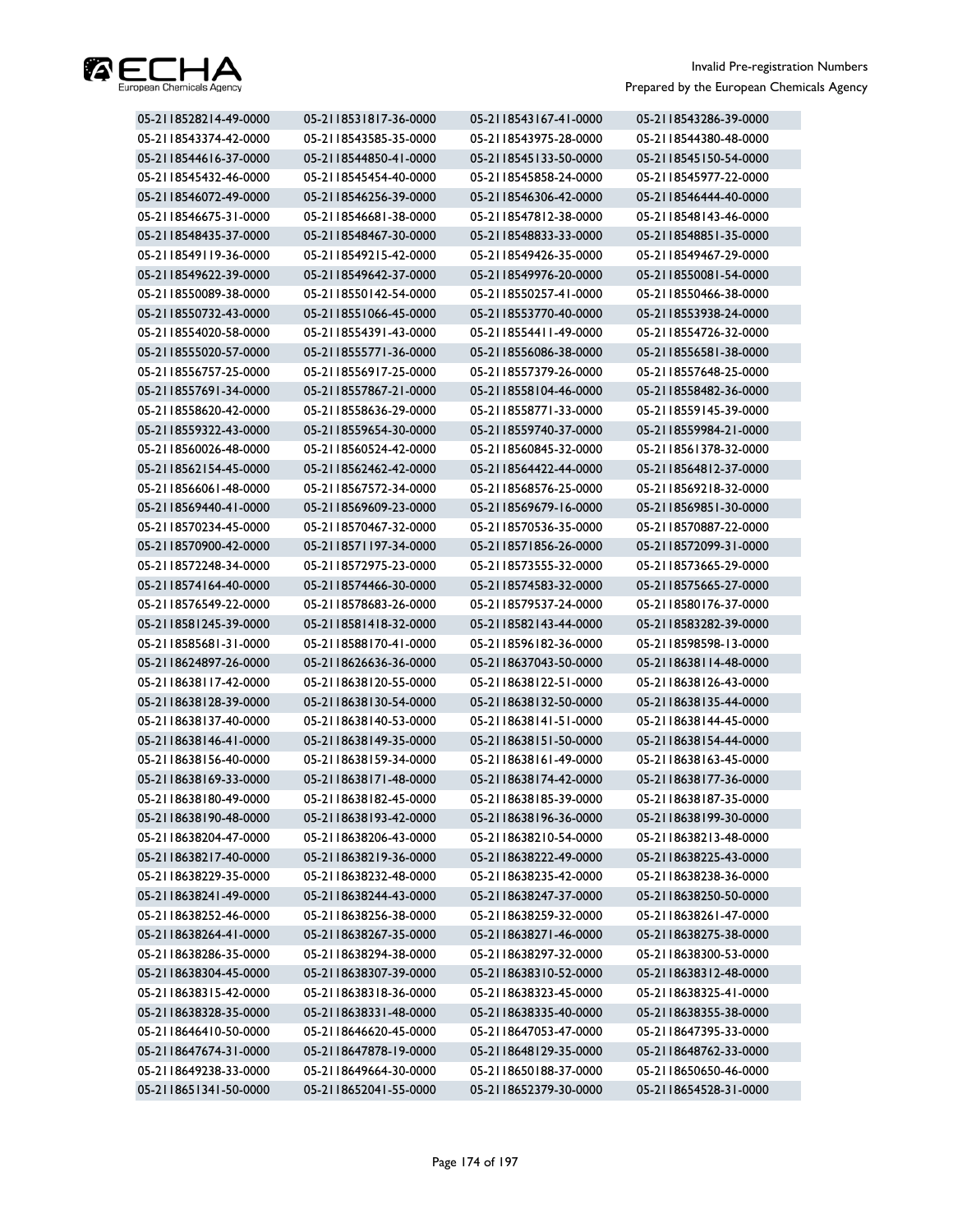

| 05-2118528214-49-0000 | 05-2118531817-36-0000 | 05-2118543167-41-0000 | 05-2118543286-39-0000 |
|-----------------------|-----------------------|-----------------------|-----------------------|
| 05-2118543374-42-0000 | 05-2118543585-35-0000 | 05-2118543975-28-0000 | 05-2118544380-48-0000 |
| 05-2118544616-37-0000 | 05-2118544850-41-0000 | 05-2118545133-50-0000 | 05-2118545150-54-0000 |
| 05-2118545432-46-0000 | 05-2118545454-40-0000 | 05-2118545858-24-0000 | 05-2118545977-22-0000 |
| 05-2118546072-49-0000 | 05-2118546256-39-0000 | 05-2118546306-42-0000 | 05-2118546444-40-0000 |
| 05-2118546675-31-0000 | 05-2118546681-38-0000 | 05-2118547812-38-0000 | 05-2118548143-46-0000 |
| 05-2118548435-37-0000 | 05-2118548467-30-0000 | 05-2118548833-33-0000 | 05-2118548851-35-0000 |
| 05-2118549119-36-0000 | 05-2118549215-42-0000 | 05-2118549426-35-0000 | 05-2118549467-29-0000 |
| 05-2118549622-39-0000 | 05-2118549642-37-0000 | 05-2118549976-20-0000 | 05-2118550081-54-0000 |
| 05-2118550089-38-0000 | 05-2118550142-54-0000 | 05-2118550257-41-0000 | 05-2118550466-38-0000 |
| 05-2118550732-43-0000 | 05-2118551066-45-0000 | 05-2118553770-40-0000 | 05-2118553938-24-0000 |
| 05-2118554020-58-0000 | 05-2118554391-43-0000 | 05-2118554411-49-0000 | 05-2118554726-32-0000 |
| 05-2118555020-57-0000 | 05-2118555771-36-0000 | 05-2118556086-38-0000 | 05-2118556581-38-0000 |
| 05-2118556757-25-0000 | 05-2118556917-25-0000 | 05-2118557379-26-0000 | 05-2118557648-25-0000 |
| 05-2118557691-34-0000 | 05-2118557867-21-0000 | 05-2118558104-46-0000 | 05-2118558482-36-0000 |
| 05-2118558620-42-0000 | 05-2118558636-29-0000 | 05-2118558771-33-0000 | 05-2118559145-39-0000 |
| 05-2118559322-43-0000 | 05-2118559654-30-0000 | 05-2118559740-37-0000 | 05-2118559984-21-0000 |
| 05-2118560026-48-0000 | 05-2118560524-42-0000 | 05-2118560845-32-0000 | 05-2118561378-32-0000 |
| 05-2118562154-45-0000 | 05-2118562462-42-0000 | 05-2118564422-44-0000 | 05-2118564812-37-0000 |
| 05-2118566061-48-0000 | 05-2118567572-34-0000 | 05-2118568576-25-0000 | 05-2118569218-32-0000 |
| 05-2118569440-41-0000 | 05-2118569609-23-0000 | 05-2118569679-16-0000 | 05-2118569851-30-0000 |
| 05-2118570234-45-0000 | 05-2118570467-32-0000 | 05-2118570536-35-0000 | 05-2118570887-22-0000 |
| 05-2118570900-42-0000 | 05-2118571197-34-0000 | 05-2118571856-26-0000 | 05-2118572099-31-0000 |
| 05-2118572248-34-0000 | 05-2118572975-23-0000 | 05-2118573555-32-0000 | 05-2118573665-29-0000 |
| 05-2118574164-40-0000 | 05-2118574466-30-0000 | 05-2118574583-32-0000 | 05-2118575665-27-0000 |
| 05-2118576549-22-0000 | 05-2118578683-26-0000 | 05-2118579537-24-0000 | 05-2118580176-37-0000 |
| 05-2118581245-39-0000 | 05-2118581418-32-0000 | 05-2118582143-44-0000 | 05-2118583282-39-0000 |
| 05-2118585681-31-0000 | 05-2118588170-41-0000 | 05-2118596182-36-0000 | 05-2118598598-13-0000 |
| 05-2118624897-26-0000 | 05-2118626636-36-0000 | 05-2118637043-50-0000 | 05-2118638114-48-0000 |
| 05-2118638117-42-0000 | 05-2118638120-55-0000 | 05-2118638122-51-0000 | 05-2118638126-43-0000 |
| 05-2118638128-39-0000 | 05-2118638130-54-0000 | 05-2118638132-50-0000 | 05-2118638135-44-0000 |
| 05-2118638137-40-0000 | 05-2118638140-53-0000 | 05-2118638141-51-0000 | 05-2118638144-45-0000 |
| 05-2118638146-41-0000 | 05-2118638149-35-0000 | 05-2118638151-50-0000 | 05-2118638154-44-0000 |
| 05-2118638156-40-0000 | 05-2118638159-34-0000 | 05-2118638161-49-0000 | 05-2118638163-45-0000 |
| 05-2118638169-33-0000 | 05-2118638171-48-0000 | 05-2118638174-42-0000 | 05-2118638177-36-0000 |
| 05-2118638180-49-0000 | 05-2118638182-45-0000 | 05-2118638185-39-0000 | 05-2118638187-35-0000 |
| 05-2118638190-48-0000 | 05-2118638193-42-0000 | 05-2118638196-36-0000 | 05-2118638199-30-0000 |
| 05-2118638204-47-0000 | 05-2118638206-43-0000 | 05-2118638210-54-0000 | 05-2118638213-48-0000 |
| 05-2118638217-40-0000 | 05-2118638219-36-0000 | 05-2118638222-49-0000 | 05-2118638225-43-0000 |
| 05-2118638229-35-0000 | 05-2118638232-48-0000 | 05-2118638235-42-0000 | 05-2118638238-36-0000 |
| 05-2118638241-49-0000 | 05-2118638244-43-0000 | 05-2118638247-37-0000 | 05-2118638250-50-0000 |
| 05-2118638252-46-0000 | 05-2118638256-38-0000 | 05-2118638259-32-0000 | 05-2118638261-47-0000 |
| 05-2118638264-41-0000 | 05-2118638267-35-0000 | 05-2118638271-46-0000 | 05-2118638275-38-0000 |
| 05-2118638286-35-0000 | 05-2118638294-38-0000 | 05-2118638297-32-0000 | 05-2118638300-53-0000 |
| 05-2118638304-45-0000 | 05-2118638307-39-0000 | 05-2118638310-52-0000 | 05-2118638312-48-0000 |
| 05-2118638315-42-0000 | 05-2118638318-36-0000 | 05-2118638323-45-0000 | 05-2118638325-41-0000 |
| 05-2118638328-35-0000 | 05-2118638331-48-0000 | 05-2118638335-40-0000 | 05-2118638355-38-0000 |
| 05-2118646410-50-0000 | 05-2118646620-45-0000 | 05-2118647053-47-0000 | 05-2118647395-33-0000 |
| 05-2118647674-31-0000 | 05-2118647878-19-0000 | 05-2118648129-35-0000 | 05-2118648762-33-0000 |
| 05-2118649238-33-0000 | 05-2118649664-30-0000 | 05-2118650188-37-0000 | 05-2118650650-46-0000 |
| 05-2118651341-50-0000 | 05-2118652041-55-0000 | 05-2118652379-30-0000 | 05-2118654528-31-0000 |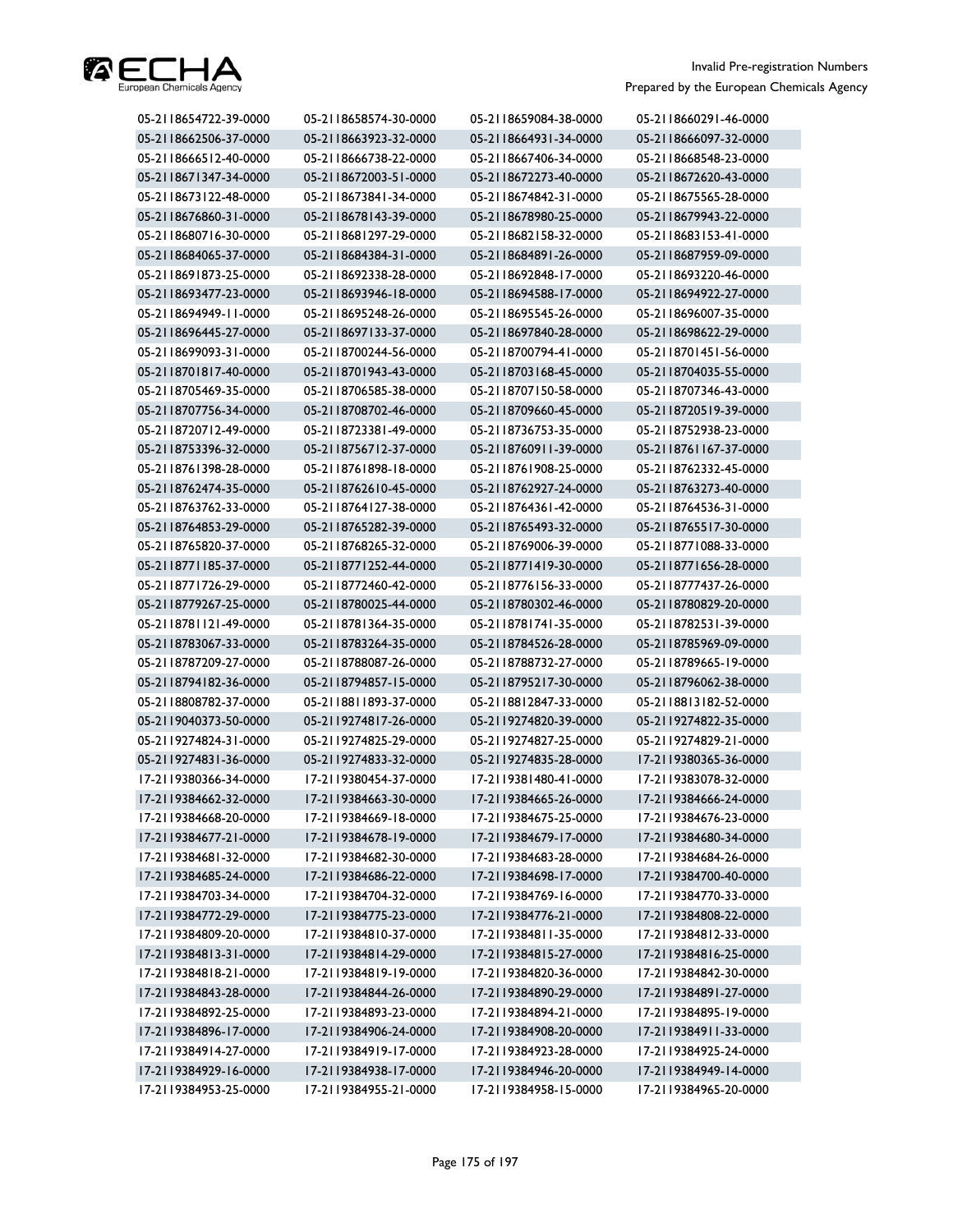

| 05-2118654722-39-0000 | 05-2118658574-30-0000 | 05-2118659084-38-0000 | 05-2118660291-46-0000 |
|-----------------------|-----------------------|-----------------------|-----------------------|
| 05-2118662506-37-0000 | 05-2118663923-32-0000 | 05-2118664931-34-0000 | 05-2118666097-32-0000 |
| 05-2118666512-40-0000 | 05-2118666738-22-0000 | 05-2118667406-34-0000 | 05-2118668548-23-0000 |
| 05-2118671347-34-0000 | 05-2118672003-51-0000 | 05-2118672273-40-0000 | 05-2118672620-43-0000 |
| 05-2118673122-48-0000 | 05-2118673841-34-0000 | 05-2118674842-31-0000 | 05-2118675565-28-0000 |
| 05-2118676860-31-0000 | 05-2118678143-39-0000 | 05-2118678980-25-0000 | 05-2118679943-22-0000 |
| 05-2118680716-30-0000 | 05-2118681297-29-0000 | 05-2118682158-32-0000 | 05-2118683153-41-0000 |
| 05-2118684065-37-0000 | 05-2118684384-31-0000 | 05-2118684891-26-0000 | 05-2118687959-09-0000 |
| 05-2118691873-25-0000 | 05-2118692338-28-0000 | 05-2118692848-17-0000 | 05-2118693220-46-0000 |
| 05-2118693477-23-0000 | 05-2118693946-18-0000 | 05-2118694588-17-0000 | 05-2118694922-27-0000 |
| 05-2118694949-11-0000 | 05-2118695248-26-0000 | 05-2118695545-26-0000 | 05-2118696007-35-0000 |
| 05-2118696445-27-0000 | 05-2118697133-37-0000 | 05-2118697840-28-0000 | 05-2118698622-29-0000 |
| 05-2118699093-31-0000 | 05-2118700244-56-0000 | 05-2118700794-41-0000 | 05-2118701451-56-0000 |
| 05-2118701817-40-0000 | 05-2118701943-43-0000 | 05-2118703168-45-0000 | 05-2118704035-55-0000 |
| 05-2118705469-35-0000 | 05-2118706585-38-0000 | 05-2118707150-58-0000 | 05-2118707346-43-0000 |
| 05-2118707756-34-0000 | 05-2118708702-46-0000 | 05-2118709660-45-0000 | 05-2118720519-39-0000 |
| 05-2118720712-49-0000 | 05-2118723381-49-0000 | 05-2118736753-35-0000 | 05-2118752938-23-0000 |
| 05-2118753396-32-0000 | 05-2118756712-37-0000 | 05-2118760911-39-0000 | 05-2118761167-37-0000 |
| 05-2118761398-28-0000 | 05-2118761898-18-0000 | 05-2118761908-25-0000 | 05-2118762332-45-0000 |
| 05-2118762474-35-0000 | 05-2118762610-45-0000 | 05-2118762927-24-0000 | 05-2118763273-40-0000 |
| 05-2118763762-33-0000 | 05-2118764127-38-0000 | 05-2118764361-42-0000 | 05-2118764536-31-0000 |
| 05-2118764853-29-0000 | 05-2118765282-39-0000 | 05-2118765493-32-0000 | 05-2118765517-30-0000 |
| 05-2118765820-37-0000 | 05-2118768265-32-0000 | 05-2118769006-39-0000 | 05-2118771088-33-0000 |
| 05-2118771185-37-0000 | 05-2118771252-44-0000 | 05-2118771419-30-0000 | 05-2118771656-28-0000 |
| 05-2118771726-29-0000 | 05-2118772460-42-0000 | 05-2118776156-33-0000 | 05-2118777437-26-0000 |
| 05-2118779267-25-0000 | 05-2118780025-44-0000 | 05-2118780302-46-0000 | 05-2118780829-20-0000 |
| 05-2118781121-49-0000 | 05-2118781364-35-0000 | 05-2118781741-35-0000 | 05-2118782531-39-0000 |
| 05-2118783067-33-0000 | 05-2118783264-35-0000 | 05-2118784526-28-0000 | 05-2118785969-09-0000 |
| 05-2118787209-27-0000 | 05-2118788087-26-0000 | 05-2118788732-27-0000 | 05-2118789665-19-0000 |
| 05-2118794182-36-0000 | 05-2118794857-15-0000 | 05-2118795217-30-0000 | 05-2118796062-38-0000 |
| 05-2118808782-37-0000 | 05-2118811893-37-0000 | 05-2118812847-33-0000 | 05-2118813182-52-0000 |
| 05-2119040373-50-0000 | 05-2119274817-26-0000 | 05-2119274820-39-0000 | 05-2119274822-35-0000 |
| 05-2119274824-31-0000 | 05-2119274825-29-0000 | 05-2119274827-25-0000 | 05-2119274829-21-0000 |
| 05-2119274831-36-0000 | 05-2119274833-32-0000 | 05-2119274835-28-0000 | 17-2119380365-36-0000 |
| 17-2119380366-34-0000 | 17-2119380454-37-0000 | 17-2119381480-41-0000 | 17-2119383078-32-0000 |
| 17-2119384662-32-0000 | 17-2119384663-30-0000 | 17-2119384665-26-0000 | 17-2119384666-24-0000 |
| 17-2119384668-20-0000 | 17-2119384669-18-0000 | 17-2119384675-25-0000 | 17-2119384676-23-0000 |
| 17-2119384677-21-0000 | 17-2119384678-19-0000 | 17-2119384679-17-0000 | 17-2119384680-34-0000 |
| 17-2119384681-32-0000 | 17-2119384682-30-0000 | 17-2119384683-28-0000 | 17-2119384684-26-0000 |
| 17-2119384685-24-0000 | 17-2119384686-22-0000 | 17-2119384698-17-0000 | 17-2119384700-40-0000 |
| 17-2119384703-34-0000 | 17-2119384704-32-0000 | 17-2119384769-16-0000 | 17-2119384770-33-0000 |
| 17-2119384772-29-0000 | 17-2119384775-23-0000 | 17-2119384776-21-0000 | 17-2119384808-22-0000 |
| 17-2119384809-20-0000 | 17-2119384810-37-0000 | 17-2119384811-35-0000 | 17-2119384812-33-0000 |
| 17-2119384813-31-0000 | 17-2119384814-29-0000 | 17-2119384815-27-0000 | 17-2119384816-25-0000 |
| 17-2119384818-21-0000 | 17-2119384819-19-0000 | 17-2119384820-36-0000 | 17-2119384842-30-0000 |
| 17-2119384843-28-0000 | 17-2119384844-26-0000 | 17-2119384890-29-0000 | 17-2119384891-27-0000 |
| 17-2119384892-25-0000 | 17-2119384893-23-0000 | 17-2119384894-21-0000 | 17-2119384895-19-0000 |
| 17-2119384896-17-0000 | 17-2119384906-24-0000 | 17-2119384908-20-0000 | 17-2119384911-33-0000 |
| 17-2119384914-27-0000 | 17-2119384919-17-0000 | 17-2119384923-28-0000 | 17-2119384925-24-0000 |
| 17-2119384929-16-0000 | 17-2119384938-17-0000 | 17-2119384946-20-0000 | 17-2119384949-14-0000 |
| 17-2119384953-25-0000 | 17-2119384955-21-0000 | 17-2119384958-15-0000 | 17-2119384965-20-0000 |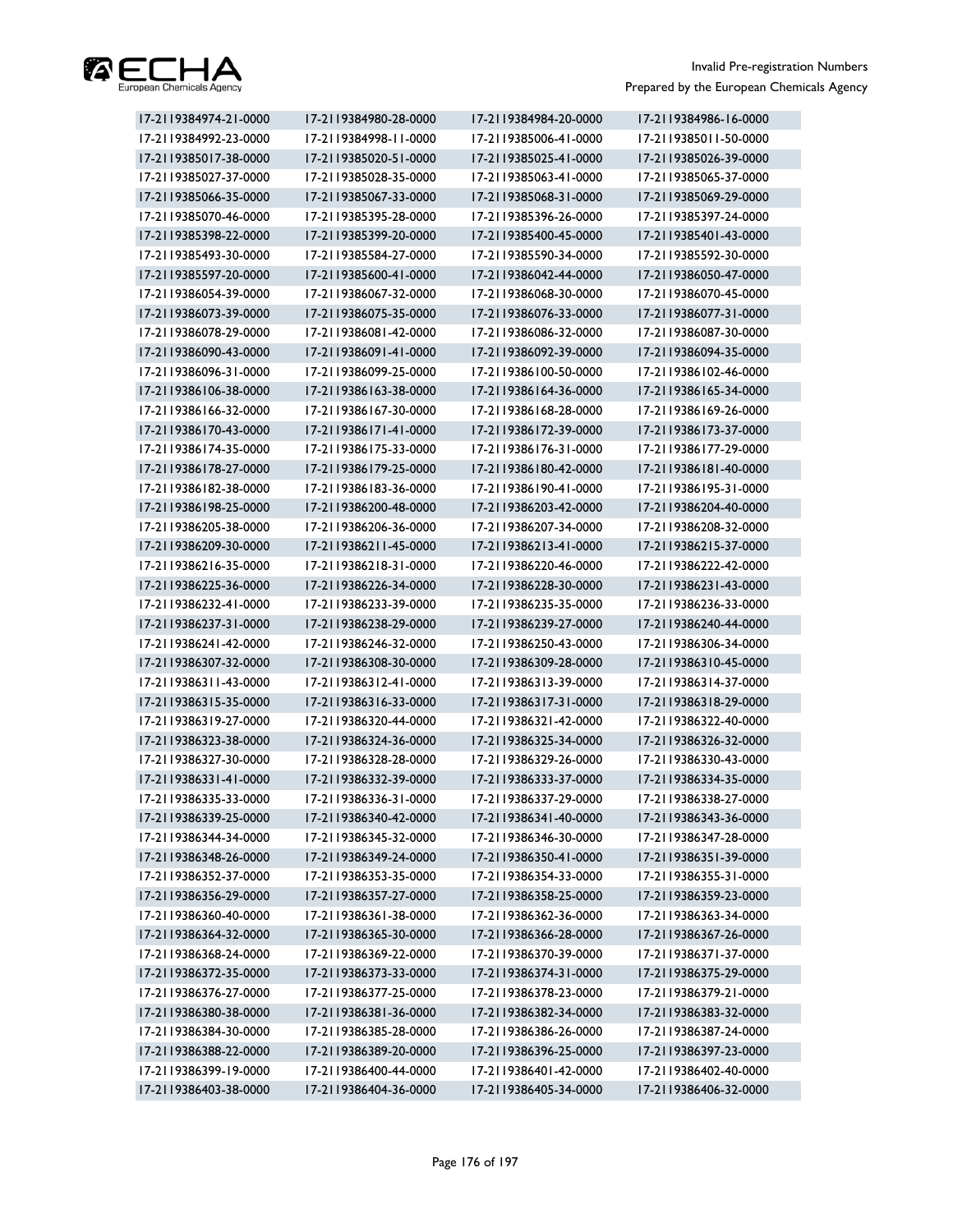

| 17-2119384974-21-0000 | 17-2119384980-28-0000 | 17-2119384984-20-0000 | 17-2119384986-16-0000 |
|-----------------------|-----------------------|-----------------------|-----------------------|
| 17-2119384992-23-0000 | 17-2119384998-11-0000 | 17-2119385006-41-0000 | 17-2119385011-50-0000 |
| 17-2119385017-38-0000 | 17-2119385020-51-0000 | 17-2119385025-41-0000 | 17-2119385026-39-0000 |
| 17-2119385027-37-0000 | 17-2119385028-35-0000 | 17-2119385063-41-0000 | 17-2119385065-37-0000 |
| 17-2119385066-35-0000 | 17-2119385067-33-0000 | 17-2119385068-31-0000 | 17-2119385069-29-0000 |
| 17-2119385070-46-0000 | 17-2119385395-28-0000 | 17-2119385396-26-0000 | 17-2119385397-24-0000 |
| 17-2119385398-22-0000 | 17-2119385399-20-0000 | 17-2119385400-45-0000 | 17-2119385401-43-0000 |
| 17-2119385493-30-0000 | 17-2119385584-27-0000 | 17-2119385590-34-0000 | 17-2119385592-30-0000 |
| 17-2119385597-20-0000 | 17-2119385600-41-0000 | 17-2119386042-44-0000 | 17-2119386050-47-0000 |
| 17-2119386054-39-0000 | 17-2119386067-32-0000 | 17-2119386068-30-0000 | 17-2119386070-45-0000 |
| 17-2119386073-39-0000 | 17-2119386075-35-0000 | 17-2119386076-33-0000 | 17-2119386077-31-0000 |
| 17-2119386078-29-0000 | 17-2119386081-42-0000 | 17-2119386086-32-0000 | 17-2119386087-30-0000 |
| 17-2119386090-43-0000 | 17-2119386091-41-0000 | 17-2119386092-39-0000 | 17-2119386094-35-0000 |
| 17-2119386096-31-0000 | 17-2119386099-25-0000 | 17-2119386100-50-0000 | 17-2119386102-46-0000 |
| 17-2119386106-38-0000 | 17-2119386163-38-0000 | 17-2119386164-36-0000 | 17-2119386165-34-0000 |
| 17-2119386166-32-0000 | 17-2119386167-30-0000 | 17-2119386168-28-0000 | 17-2119386169-26-0000 |
| 17-2119386170-43-0000 | 17-2119386171-41-0000 | 17-2119386172-39-0000 | 17-2119386173-37-0000 |
| 17-2119386174-35-0000 | 17-2119386175-33-0000 | 17-2119386176-31-0000 | 17-2119386177-29-0000 |
| 17-2119386178-27-0000 | 17-2119386179-25-0000 | 17-2119386180-42-0000 | 17-2119386181-40-0000 |
| 17-2119386182-38-0000 | 17-2119386183-36-0000 | 17-2119386190-41-0000 | 17-2119386195-31-0000 |
| 17-2119386198-25-0000 | 17-2119386200-48-0000 | 17-2119386203-42-0000 | 17-2119386204-40-0000 |
| 17-2119386205-38-0000 | 17-2119386206-36-0000 | 17-2119386207-34-0000 | 17-2119386208-32-0000 |
| 17-2119386209-30-0000 | 17-2119386211-45-0000 | 17-2119386213-41-0000 | 17-2119386215-37-0000 |
| 17-2119386216-35-0000 | 17-2119386218-31-0000 | 17-2119386220-46-0000 | 17-2119386222-42-0000 |
| 17-2119386225-36-0000 | 17-2119386226-34-0000 | 17-2119386228-30-0000 | 17-2119386231-43-0000 |
| 17-2119386232-41-0000 | 17-2119386233-39-0000 | 17-2119386235-35-0000 | 17-2119386236-33-0000 |
| 17-2119386237-31-0000 | 17-2119386238-29-0000 | 17-2119386239-27-0000 | 17-2119386240-44-0000 |
| 17-2119386241-42-0000 | 17-2119386246-32-0000 | 17-2119386250-43-0000 | 17-2119386306-34-0000 |
| 17-2119386307-32-0000 | 17-2119386308-30-0000 | 17-2119386309-28-0000 | 17-2119386310-45-0000 |
| 17-2119386311-43-0000 | 17-2119386312-41-0000 | 17-2119386313-39-0000 | 17-2119386314-37-0000 |
| 17-2119386315-35-0000 | 17-2119386316-33-0000 | 17-2119386317-31-0000 | 17-2119386318-29-0000 |
| 17-2119386319-27-0000 | 17-2119386320-44-0000 | 17-2119386321-42-0000 | 17-2119386322-40-0000 |
| 17-2119386323-38-0000 | 17-2119386324-36-0000 | 17-2119386325-34-0000 | 17-2119386326-32-0000 |
| 17-2119386327-30-0000 | 17-2119386328-28-0000 | 17-2119386329-26-0000 | 17-2119386330-43-0000 |
| 17-2119386331-41-0000 | 17-2119386332-39-0000 | 17-2119386333-37-0000 | 17-2119386334-35-0000 |
| 17-2119386335-33-0000 | 17-2119386336-31-0000 | 17-2119386337-29-0000 | 17-2119386338-27-0000 |
| 17-2119386339-25-0000 | 17-2119386340-42-0000 | 17-2119386341-40-0000 | 17-2119386343-36-0000 |
| 17-2119386344-34-0000 | 17-2119386345-32-0000 | 17-2119386346-30-0000 | 17-2119386347-28-0000 |
| 17-2119386348-26-0000 | 17-2119386349-24-0000 | 17-2119386350-41-0000 | 17-2119386351-39-0000 |
| 17-2119386352-37-0000 | 17-2119386353-35-0000 | 17-2119386354-33-0000 | 17-2119386355-31-0000 |
| 17-2119386356-29-0000 | 17-2119386357-27-0000 | 17-2119386358-25-0000 | 17-2119386359-23-0000 |
| 17-2119386360-40-0000 | 17-2119386361-38-0000 | 17-2119386362-36-0000 | 17-2119386363-34-0000 |
| 17-2119386364-32-0000 | 17-2119386365-30-0000 | 17-2119386366-28-0000 | 17-2119386367-26-0000 |
| 17-2119386368-24-0000 | 17-2119386369-22-0000 | 17-2119386370-39-0000 | 17-2119386371-37-0000 |
| 17-2119386372-35-0000 | 17-2119386373-33-0000 | 17-2119386374-31-0000 | 17-2119386375-29-0000 |
| 17-2119386376-27-0000 | 17-2119386377-25-0000 | 17-2119386378-23-0000 | 17-2119386379-21-0000 |
| 17-2119386380-38-0000 | 17-2119386381-36-0000 | 17-2119386382-34-0000 | 17-2119386383-32-0000 |
| 17-2119386384-30-0000 | 17-2119386385-28-0000 | 17-2119386386-26-0000 | 17-2119386387-24-0000 |
| 17-2119386388-22-0000 | 17-2119386389-20-0000 | 17-2119386396-25-0000 | 17-2119386397-23-0000 |
| 17-2119386399-19-0000 | 17-2119386400-44-0000 | 17-2119386401-42-0000 | 17-2119386402-40-0000 |
| 17-2119386403-38-0000 | 17-2119386404-36-0000 | 17-2119386405-34-0000 | 17-2119386406-32-0000 |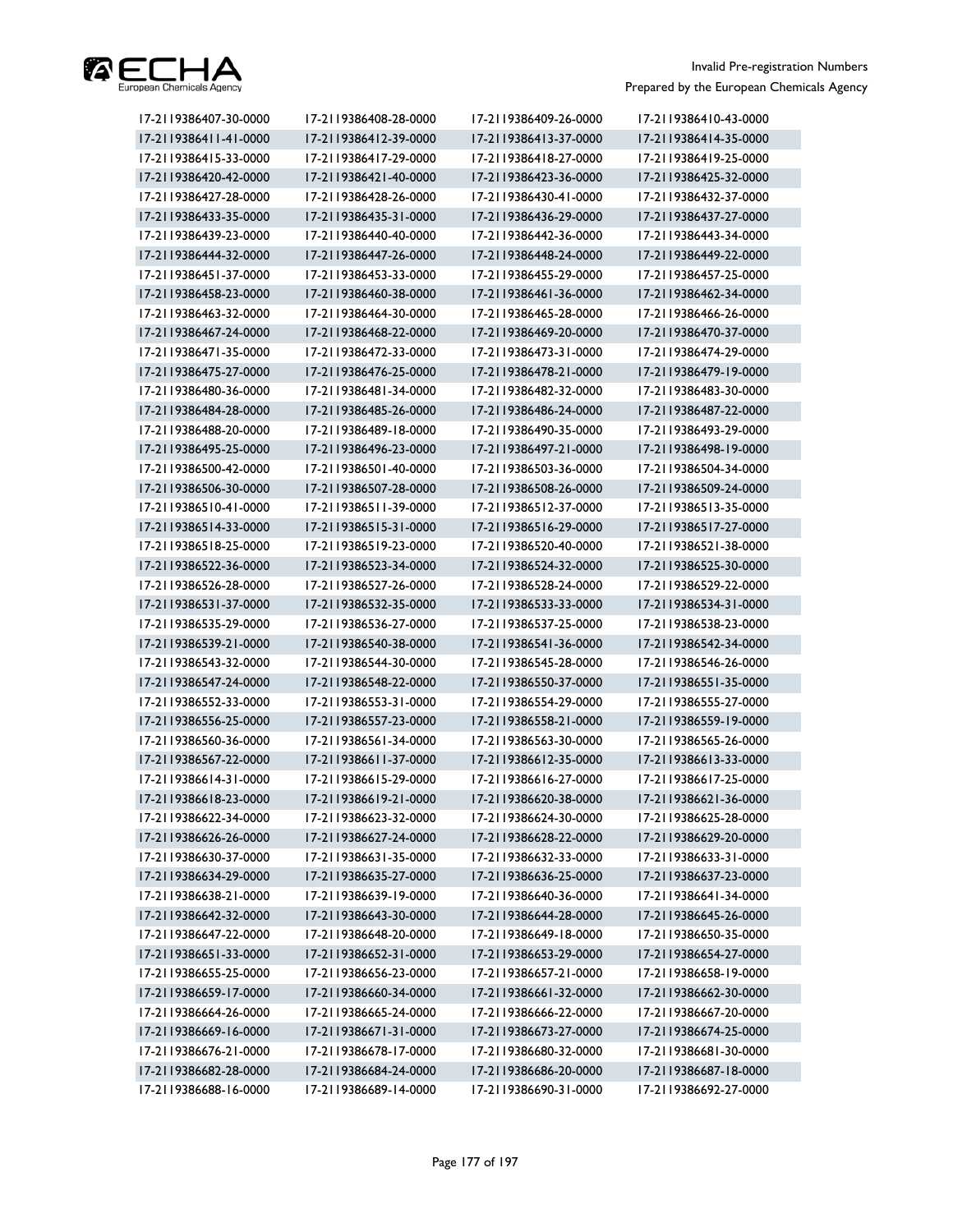

| 17-2119386407-30-0000 | 17-2119386408-28-0000 | 17-2119386409-26-0000 | 17-2119386410-43-0000 |
|-----------------------|-----------------------|-----------------------|-----------------------|
| 17-2119386411-41-0000 | 17-2119386412-39-0000 | 17-2119386413-37-0000 | 17-2119386414-35-0000 |
| 17-2119386415-33-0000 | 17-2119386417-29-0000 | 17-2119386418-27-0000 | 17-2119386419-25-0000 |
| 17-2119386420-42-0000 | 17-2119386421-40-0000 | 17-2119386423-36-0000 | 17-2119386425-32-0000 |
| 17-2119386427-28-0000 | 17-2119386428-26-0000 | 17-2119386430-41-0000 | 17-2119386432-37-0000 |
| 17-2119386433-35-0000 | 17-2119386435-31-0000 | 17-2119386436-29-0000 | 17-2119386437-27-0000 |
| 17-2119386439-23-0000 | 17-2119386440-40-0000 | 17-2119386442-36-0000 | 17-2119386443-34-0000 |
| 17-2119386444-32-0000 | 17-2119386447-26-0000 | 17-2119386448-24-0000 | 17-2119386449-22-0000 |
| 17-2119386451-37-0000 | 17-2119386453-33-0000 | 17-2119386455-29-0000 | 17-2119386457-25-0000 |
| 17-2119386458-23-0000 | 17-2119386460-38-0000 | 17-2119386461-36-0000 | 17-2119386462-34-0000 |
| 17-2119386463-32-0000 | 17-2119386464-30-0000 | 17-2119386465-28-0000 | 17-2119386466-26-0000 |
| 17-2119386467-24-0000 | 17-2119386468-22-0000 | 17-2119386469-20-0000 | 17-2119386470-37-0000 |
| 17-2119386471-35-0000 | 17-2119386472-33-0000 | 17-2119386473-31-0000 | 17-2119386474-29-0000 |
| 17-2119386475-27-0000 | 17-2119386476-25-0000 | 17-2119386478-21-0000 | 17-2119386479-19-0000 |
| 17-2119386480-36-0000 | 17-2119386481-34-0000 | 17-2119386482-32-0000 | 17-2119386483-30-0000 |
| 17-2119386484-28-0000 | 17-2119386485-26-0000 | 17-2119386486-24-0000 | 17-2119386487-22-0000 |
| 17-2119386488-20-0000 | 17-2119386489-18-0000 | 17-2119386490-35-0000 | 17-2119386493-29-0000 |
| 17-2119386495-25-0000 | 17-2119386496-23-0000 | 17-2119386497-21-0000 | 17-2119386498-19-0000 |
| 17-2119386500-42-0000 | 17-2119386501-40-0000 | 17-2119386503-36-0000 | 17-2119386504-34-0000 |
| 17-2119386506-30-0000 | 17-2119386507-28-0000 | 17-2119386508-26-0000 | 17-2119386509-24-0000 |
| 17-2119386510-41-0000 | 17-2119386511-39-0000 | 17-2119386512-37-0000 | 17-2119386513-35-0000 |
| 17-2119386514-33-0000 | 17-2119386515-31-0000 | 17-2119386516-29-0000 | 17-2119386517-27-0000 |
| 17-2119386518-25-0000 | 17-2119386519-23-0000 | 17-2119386520-40-0000 | 17-2119386521-38-0000 |
| 17-2119386522-36-0000 | 17-2119386523-34-0000 | 17-2119386524-32-0000 | 17-2119386525-30-0000 |
| 17-2119386526-28-0000 | 17-2119386527-26-0000 | 17-2119386528-24-0000 | 17-2119386529-22-0000 |
| 17-2119386531-37-0000 | 17-2119386532-35-0000 | 17-2119386533-33-0000 | 17-2119386534-31-0000 |
| 17-2119386535-29-0000 | 17-2119386536-27-0000 | 17-2119386537-25-0000 | 17-2119386538-23-0000 |
| 17-2119386539-21-0000 | 17-2119386540-38-0000 | 17-2119386541-36-0000 | 17-2119386542-34-0000 |
| 17-2119386543-32-0000 | 17-2119386544-30-0000 | 17-2119386545-28-0000 | 17-2119386546-26-0000 |
| 17-2119386547-24-0000 | 17-2119386548-22-0000 | 17-2119386550-37-0000 | 17-2119386551-35-0000 |
| 17-2119386552-33-0000 | 17-2119386553-31-0000 | 17-2119386554-29-0000 | 17-2119386555-27-0000 |
| 17-2119386556-25-0000 | 17-2119386557-23-0000 | 17-2119386558-21-0000 | 17-2119386559-19-0000 |
| 17-2119386560-36-0000 | 17-2119386561-34-0000 | 17-2119386563-30-0000 | 17-2119386565-26-0000 |
| 17-2119386567-22-0000 | 17-2119386611-37-0000 | 17-2119386612-35-0000 | 17-2119386613-33-0000 |
| 17-2119386614-31-0000 | 17-2119386615-29-0000 | 17-2119386616-27-0000 | 17-2119386617-25-0000 |
| 17-2119386618-23-0000 | 17-2119386619-21-0000 | 17-2119386620-38-0000 | 17-2119386621-36-0000 |
| 17-2119386622-34-0000 | 17-2119386623-32-0000 | 17-2119386624-30-0000 | 17-2119386625-28-0000 |
| 17-2119386626-26-0000 | 17-2119386627-24-0000 | 17-2119386628-22-0000 | 17-2119386629-20-0000 |
| 17-2119386630-37-0000 | 17-2119386631-35-0000 | 17-2119386632-33-0000 | 17-2119386633-31-0000 |
| 17-2119386634-29-0000 | 17-2119386635-27-0000 | 17-2119386636-25-0000 | 17-2119386637-23-0000 |
| 17-2119386638-21-0000 | 17-2119386639-19-0000 | 17-2119386640-36-0000 | 17-2119386641-34-0000 |
| 17-2119386642-32-0000 | 17-2119386643-30-0000 | 17-2119386644-28-0000 | 17-2119386645-26-0000 |
| 17-2119386647-22-0000 | 17-2119386648-20-0000 | 17-2119386649-18-0000 | 17-2119386650-35-0000 |
| 17-2119386651-33-0000 | 17-2119386652-31-0000 | 17-2119386653-29-0000 | 17-2119386654-27-0000 |
| 17-2119386655-25-0000 | 17-2119386656-23-0000 | 17-2119386657-21-0000 | 17-2119386658-19-0000 |
| 17-2119386659-17-0000 | 17-2119386660-34-0000 | 17-2119386661-32-0000 | 17-2119386662-30-0000 |
| 17-2119386664-26-0000 | 17-2119386665-24-0000 | 17-2119386666-22-0000 | 17-2119386667-20-0000 |
| 17-2119386669-16-0000 | 17-2119386671-31-0000 | 17-2119386673-27-0000 | 17-2119386674-25-0000 |
| 17-2119386676-21-0000 | 17-2119386678-17-0000 | 17-2119386680-32-0000 | 17-2119386681-30-0000 |
| 17-2119386682-28-0000 | 17-2119386684-24-0000 | 17-2119386686-20-0000 | 17-2119386687-18-0000 |
| 17-2119386688-16-0000 | 17-2119386689-14-0000 | 17-2119386690-31-0000 | 17-2119386692-27-0000 |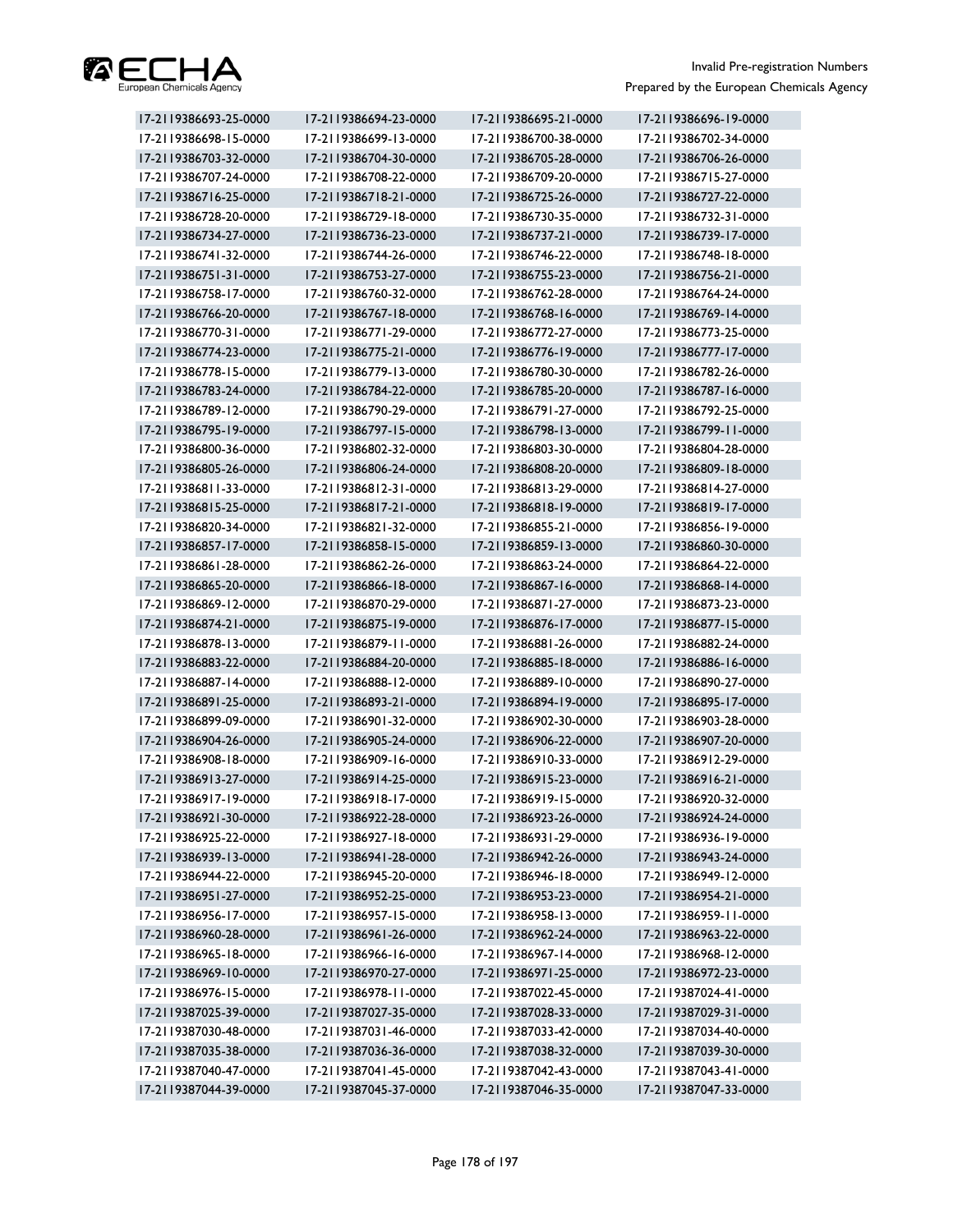

| 17-2119386693-25-0000 | 17-2119386694-23-0000 | 17-2119386695-21-0000 | 17-2119386696-19-0000 |
|-----------------------|-----------------------|-----------------------|-----------------------|
| 17-2119386698-15-0000 | 17-2119386699-13-0000 | 17-2119386700-38-0000 | 17-2119386702-34-0000 |
| 17-2119386703-32-0000 | 17-2119386704-30-0000 | 17-2119386705-28-0000 | 17-2119386706-26-0000 |
| 17-2119386707-24-0000 | 17-2119386708-22-0000 | 17-2119386709-20-0000 | 17-2119386715-27-0000 |
| 17-2119386716-25-0000 | 17-2119386718-21-0000 | 17-2119386725-26-0000 | 17-2119386727-22-0000 |
| 17-2119386728-20-0000 | 17-2119386729-18-0000 | 17-2119386730-35-0000 | 17-2119386732-31-0000 |
| 17-2119386734-27-0000 | 17-2119386736-23-0000 | 17-2119386737-21-0000 | 17-2119386739-17-0000 |
| 17-2119386741-32-0000 | 17-2119386744-26-0000 | 17-2119386746-22-0000 | 17-2119386748-18-0000 |
| 17-2119386751-31-0000 | 17-2119386753-27-0000 | 17-2119386755-23-0000 | 17-2119386756-21-0000 |
| 17-2119386758-17-0000 | 17-2119386760-32-0000 | 17-2119386762-28-0000 | 17-2119386764-24-0000 |
| 17-2119386766-20-0000 | 17-2119386767-18-0000 | 17-2119386768-16-0000 | 17-2119386769-14-0000 |
| 17-2119386770-31-0000 | 17-2119386771-29-0000 | 17-2119386772-27-0000 | 17-2119386773-25-0000 |
| 17-2119386774-23-0000 | 17-2119386775-21-0000 | 17-2119386776-19-0000 | 17-2119386777-17-0000 |
| 17-2119386778-15-0000 | 17-2119386779-13-0000 | 17-2119386780-30-0000 | 17-2119386782-26-0000 |
| 17-2119386783-24-0000 | 17-2119386784-22-0000 | 17-2119386785-20-0000 | 17-2119386787-16-0000 |
| 17-2119386789-12-0000 | 17-2119386790-29-0000 | 17-2119386791-27-0000 | 17-2119386792-25-0000 |
| 17-2119386795-19-0000 | 17-2119386797-15-0000 | 17-2119386798-13-0000 | 17-2119386799-11-0000 |
| 17-2119386800-36-0000 | 17-2119386802-32-0000 | 17-2119386803-30-0000 | 17-2119386804-28-0000 |
| 17-2119386805-26-0000 | 17-2119386806-24-0000 | 17-2119386808-20-0000 | 17-2119386809-18-0000 |
| 17-2119386811-33-0000 | 17-2119386812-31-0000 | 17-2119386813-29-0000 | 17-2119386814-27-0000 |
| 17-2119386815-25-0000 | 17-2119386817-21-0000 | 17-2119386818-19-0000 | 17-2119386819-17-0000 |
| 17-2119386820-34-0000 | 17-2119386821-32-0000 | 17-2119386855-21-0000 | 17-2119386856-19-0000 |
| 17-2119386857-17-0000 | 17-2119386858-15-0000 | 17-2119386859-13-0000 | 17-2119386860-30-0000 |
| 17-2119386861-28-0000 | 17-2119386862-26-0000 | 17-2119386863-24-0000 | 17-2119386864-22-0000 |
| 17-2119386865-20-0000 | 17-2119386866-18-0000 | 17-2119386867-16-0000 | 17-2119386868-14-0000 |
| 17-2119386869-12-0000 | 17-2119386870-29-0000 | 17-2119386871-27-0000 | 17-2119386873-23-0000 |
| 17-2119386874-21-0000 | 17-2119386875-19-0000 | 17-2119386876-17-0000 | 17-2119386877-15-0000 |
| 17-2119386878-13-0000 | 17-2119386879-11-0000 | 17-2119386881-26-0000 | 17-2119386882-24-0000 |
| 17-2119386883-22-0000 | 17-2119386884-20-0000 | 17-2119386885-18-0000 | 17-2119386886-16-0000 |
| 17-2119386887-14-0000 | 17-2119386888-12-0000 | 17-2119386889-10-0000 | 17-2119386890-27-0000 |
| 17-2119386891-25-0000 | 17-2119386893-21-0000 | 17-2119386894-19-0000 | 17-2119386895-17-0000 |
| 17-2119386899-09-0000 | 17-2119386901-32-0000 | 17-2119386902-30-0000 | 17-2119386903-28-0000 |
| 17-2119386904-26-0000 | 17-2119386905-24-0000 | 17-2119386906-22-0000 | 17-2119386907-20-0000 |
| 17-2119386908-18-0000 | 17-2119386909-16-0000 | 17-2119386910-33-0000 | 17-2119386912-29-0000 |
| 17-2119386913-27-0000 | 17-2119386914-25-0000 | 17-2119386915-23-0000 | 17-2119386916-21-0000 |
| 17-2119386917-19-0000 | 17-2119386918-17-0000 | 17-2119386919-15-0000 | 17-2119386920-32-0000 |
| 17-2119386921-30-0000 | 17-2119386922-28-0000 | 17-2119386923-26-0000 | 17-2119386924-24-0000 |
| 17-2119386925-22-0000 | 17-2119386927-18-0000 | 17-2119386931-29-0000 | 17-2119386936-19-0000 |
| 17-2119386939-13-0000 | 17-2119386941-28-0000 | 17-2119386942-26-0000 | 17-2119386943-24-0000 |
| 17-2119386944-22-0000 | 17-2119386945-20-0000 | 17-2119386946-18-0000 | 17-2119386949-12-0000 |
| 17-2119386951-27-0000 | 17-2119386952-25-0000 | 17-2119386953-23-0000 | 17-2119386954-21-0000 |
| 17-2119386956-17-0000 | 17-2119386957-15-0000 | 17-2119386958-13-0000 | 17-2119386959-11-0000 |
| 17-2119386960-28-0000 | 17-2119386961-26-0000 | 17-2119386962-24-0000 | 17-2119386963-22-0000 |
| 17-2119386965-18-0000 | 17-2119386966-16-0000 | 17-2119386967-14-0000 | 17-2119386968-12-0000 |
| 17-2119386969-10-0000 | 17-2119386970-27-0000 | 17-2119386971-25-0000 | 17-2119386972-23-0000 |
| 17-2119386976-15-0000 | 17-2119386978-11-0000 | 17-2119387022-45-0000 | 17-2119387024-41-0000 |
| 17-2119387025-39-0000 | 17-2119387027-35-0000 | 17-2119387028-33-0000 | 17-2119387029-31-0000 |
| 17-2119387030-48-0000 | 17-2119387031-46-0000 | 17-2119387033-42-0000 | 17-2119387034-40-0000 |
| 17-2119387035-38-0000 | 17-2119387036-36-0000 | 17-2119387038-32-0000 | 17-2119387039-30-0000 |
| 17-2119387040-47-0000 | 17-2119387041-45-0000 | 17-2119387042-43-0000 | 17-2119387043-41-0000 |
| 17-2119387044-39-0000 | 17-2119387045-37-0000 | 17-2119387046-35-0000 | 17-2119387047-33-0000 |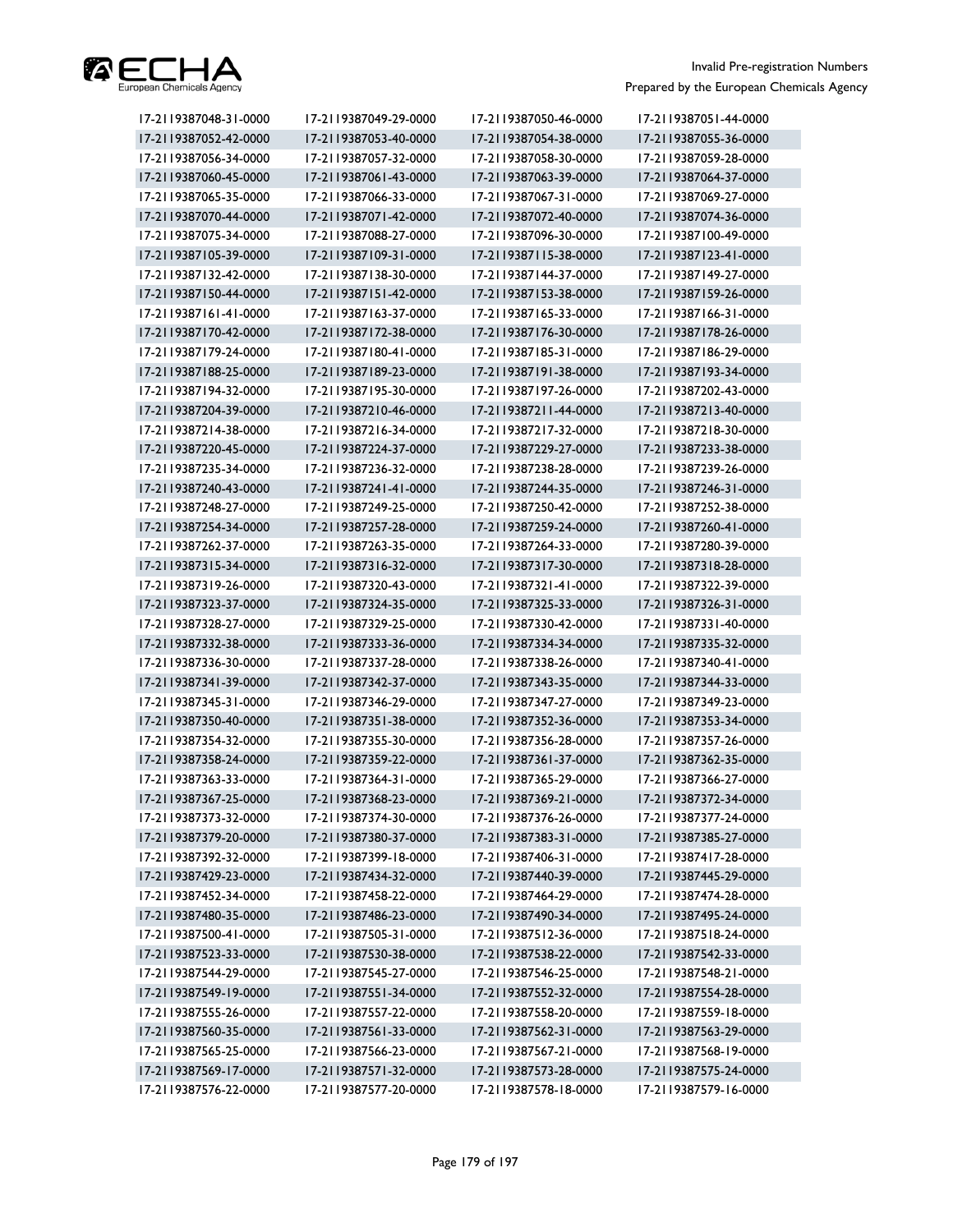

| 17-2119387048-31-0000 | 17-2119387049-29-0000 | 17-2119387050-46-0000 | 17-2119387051-44-0000 |
|-----------------------|-----------------------|-----------------------|-----------------------|
| 17-2119387052-42-0000 | 17-2119387053-40-0000 | 17-2119387054-38-0000 | 17-2119387055-36-0000 |
| 17-2119387056-34-0000 | 17-2119387057-32-0000 | 17-2119387058-30-0000 | 17-2119387059-28-0000 |
| 17-2119387060-45-0000 | 17-2119387061-43-0000 | 17-2119387063-39-0000 | 17-2119387064-37-0000 |
| 17-2119387065-35-0000 | 17-2119387066-33-0000 | 17-2119387067-31-0000 | 17-2119387069-27-0000 |
| 17-2119387070-44-0000 | 17-2119387071-42-0000 | 17-2119387072-40-0000 | 17-2119387074-36-0000 |
| 17-2119387075-34-0000 | 17-2119387088-27-0000 | 17-2119387096-30-0000 | 17-2119387100-49-0000 |
| 17-2119387105-39-0000 | 17-2119387109-31-0000 | 17-2119387115-38-0000 | 17-2119387123-41-0000 |
| 17-2119387132-42-0000 | 17-2119387138-30-0000 | 17-2119387144-37-0000 | 17-2119387149-27-0000 |
| 17-2119387150-44-0000 | 17-2119387151-42-0000 | 17-2119387153-38-0000 | 17-2119387159-26-0000 |
| 17-2119387161-41-0000 | 17-2119387163-37-0000 | 17-2119387165-33-0000 | 17-2119387166-31-0000 |
| 17-2119387170-42-0000 | 17-2119387172-38-0000 | 17-2119387176-30-0000 | 17-2119387178-26-0000 |
| 17-2119387179-24-0000 | 17-2119387180-41-0000 | 17-2119387185-31-0000 | 17-2119387186-29-0000 |
| 17-2119387188-25-0000 | 17-2119387189-23-0000 | 17-2119387191-38-0000 | 17-2119387193-34-0000 |
| 17-2119387194-32-0000 | 17-2119387195-30-0000 | 17-2119387197-26-0000 | 17-2119387202-43-0000 |
| 17-2119387204-39-0000 | 17-2119387210-46-0000 | 17-2119387211-44-0000 | 17-2119387213-40-0000 |
| 17-2119387214-38-0000 | 17-2119387216-34-0000 | 17-2119387217-32-0000 | 17-2119387218-30-0000 |
| 17-2119387220-45-0000 | 17-2119387224-37-0000 | 17-2119387229-27-0000 | 17-2119387233-38-0000 |
| 17-2119387235-34-0000 | 17-2119387236-32-0000 | 17-2119387238-28-0000 | 17-2119387239-26-0000 |
| 17-2119387240-43-0000 | 17-2119387241-41-0000 | 17-2119387244-35-0000 | 17-2119387246-31-0000 |
| 17-2119387248-27-0000 | 17-2119387249-25-0000 | 17-2119387250-42-0000 | 17-2119387252-38-0000 |
| 17-2119387254-34-0000 | 17-2119387257-28-0000 | 17-2119387259-24-0000 | 17-2119387260-41-0000 |
| 17-2119387262-37-0000 | 17-2119387263-35-0000 | 17-2119387264-33-0000 | 17-2119387280-39-0000 |
| 17-2119387315-34-0000 | 17-2119387316-32-0000 | 17-2119387317-30-0000 | 17-2119387318-28-0000 |
| 17-2119387319-26-0000 | 17-2119387320-43-0000 | 17-2119387321-41-0000 | 17-2119387322-39-0000 |
| 17-2119387323-37-0000 | 17-2119387324-35-0000 | 17-2119387325-33-0000 | 17-2119387326-31-0000 |
| 17-2119387328-27-0000 | 17-2119387329-25-0000 | 17-2119387330-42-0000 | 17-2119387331-40-0000 |
| 17-2119387332-38-0000 | 17-2119387333-36-0000 | 17-2119387334-34-0000 | 17-2119387335-32-0000 |
| 17-2119387336-30-0000 | 17-2119387337-28-0000 | 17-2119387338-26-0000 | 17-2119387340-41-0000 |
| 17-2119387341-39-0000 | 17-2119387342-37-0000 | 17-2119387343-35-0000 | 17-2119387344-33-0000 |
| 17-2119387345-31-0000 | 17-2119387346-29-0000 | 17-2119387347-27-0000 | 17-2119387349-23-0000 |
| 17-2119387350-40-0000 | 17-2119387351-38-0000 | 17-2119387352-36-0000 | 17-2119387353-34-0000 |
| 17-2119387354-32-0000 | 17-2119387355-30-0000 | 17-2119387356-28-0000 | 17-2119387357-26-0000 |
| 17-2119387358-24-0000 | 17-2119387359-22-0000 | 17-2119387361-37-0000 | 17-2119387362-35-0000 |
| 17-2119387363-33-0000 | 17-2119387364-31-0000 | 17-2119387365-29-0000 | 17-2119387366-27-0000 |
| 17-2119387367-25-0000 | 17-2119387368-23-0000 | 17-2119387369-21-0000 | 17-2119387372-34-0000 |
| 17-2119387373-32-0000 | 17-2119387374-30-0000 | 17-2119387376-26-0000 | 17-2119387377-24-0000 |
| 17-2119387379-20-0000 | 17-2119387380-37-0000 | 17-2119387383-31-0000 | 17-2119387385-27-0000 |
| 17-2119387392-32-0000 | 17-2119387399-18-0000 | 17-2119387406-31-0000 | 17-2119387417-28-0000 |
| 17-2119387429-23-0000 | 17-2119387434-32-0000 | 17-2119387440-39-0000 | 17-2119387445-29-0000 |
| 17-2119387452-34-0000 | 17-2119387458-22-0000 | 17-2119387464-29-0000 | 17-2119387474-28-0000 |
| 17-2119387480-35-0000 | 17-2119387486-23-0000 | 17-2119387490-34-0000 | 17-2119387495-24-0000 |
| 17-2119387500-41-0000 | 17-2119387505-31-0000 | 17-2119387512-36-0000 | 17-2119387518-24-0000 |
| 17-2119387523-33-0000 | 17-2119387530-38-0000 | 17-2119387538-22-0000 | 17-2119387542-33-0000 |
| 17-2119387544-29-0000 | 17-2119387545-27-0000 | 17-2119387546-25-0000 | 17-2119387548-21-0000 |
| 17-2119387549-19-0000 | 17-2119387551-34-0000 | 17-2119387552-32-0000 | 17-2119387554-28-0000 |
| 17-2119387555-26-0000 | 17-2119387557-22-0000 | 17-2119387558-20-0000 | 17-2119387559-18-0000 |
| 17-2119387560-35-0000 | 17-2119387561-33-0000 | 17-2119387562-31-0000 | 17-2119387563-29-0000 |
| 17-2119387565-25-0000 | 17-2119387566-23-0000 | 17-2119387567-21-0000 | 17-2119387568-19-0000 |
| 17-2119387569-17-0000 | 17-2119387571-32-0000 | 17-2119387573-28-0000 | 17-2119387575-24-0000 |
| 17-2119387576-22-0000 | 17-2119387577-20-0000 | 17-2119387578-18-0000 | 17-2119387579-16-0000 |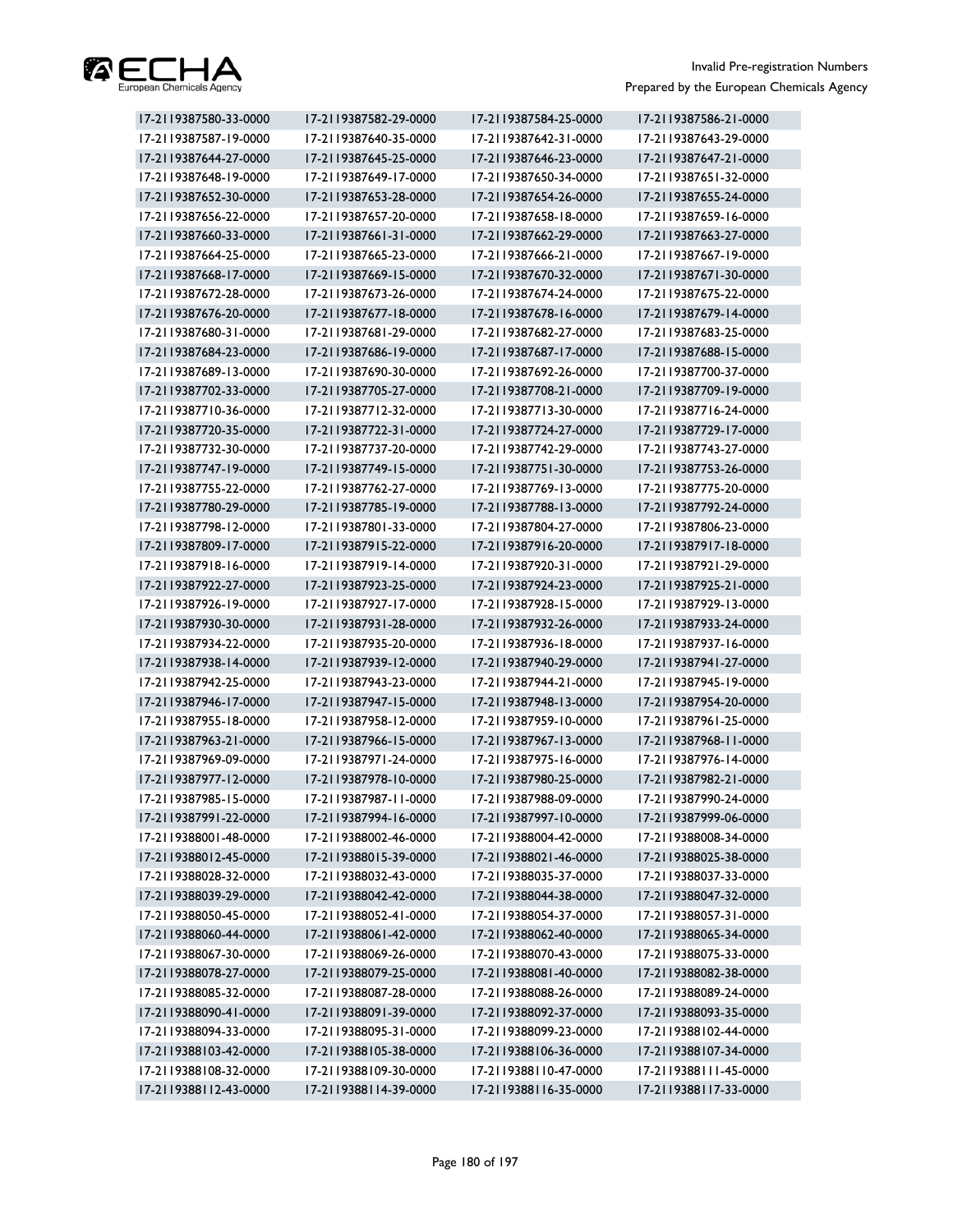

| 17-2119387580-33-0000 | 17-2119387582-29-0000 | 17-2119387584-25-0000 | 17-2119387586-21-0000 |
|-----------------------|-----------------------|-----------------------|-----------------------|
| 17-2119387587-19-0000 | 17-2119387640-35-0000 | 17-2119387642-31-0000 | 17-2119387643-29-0000 |
| 17-2119387644-27-0000 | 17-2119387645-25-0000 | 17-2119387646-23-0000 | 17-2119387647-21-0000 |
| 17-2119387648-19-0000 | 17-2119387649-17-0000 | 17-2119387650-34-0000 | 17-2119387651-32-0000 |
| 17-2119387652-30-0000 | 17-2119387653-28-0000 | 17-2119387654-26-0000 | 17-2119387655-24-0000 |
| 17-2119387656-22-0000 | 17-2119387657-20-0000 | 17-2119387658-18-0000 | 17-2119387659-16-0000 |
| 17-2119387660-33-0000 | 17-2119387661-31-0000 | 17-2119387662-29-0000 | 17-2119387663-27-0000 |
| 17-2119387664-25-0000 | 17-2119387665-23-0000 | 17-2119387666-21-0000 | 17-2119387667-19-0000 |
| 17-2119387668-17-0000 | 17-2119387669-15-0000 | 17-2119387670-32-0000 | 17-2119387671-30-0000 |
| 17-2119387672-28-0000 | 17-2119387673-26-0000 | 17-2119387674-24-0000 | 17-2119387675-22-0000 |
| 17-2119387676-20-0000 | 17-2119387677-18-0000 | 17-2119387678-16-0000 | 17-2119387679-14-0000 |
| 17-2119387680-31-0000 | 17-2119387681-29-0000 | 17-2119387682-27-0000 | 17-2119387683-25-0000 |
| 17-2119387684-23-0000 | 17-2119387686-19-0000 | 17-2119387687-17-0000 | 17-2119387688-15-0000 |
| 17-2119387689-13-0000 | 17-2119387690-30-0000 | 17-2119387692-26-0000 | 17-2119387700-37-0000 |
| 17-2119387702-33-0000 | 17-2119387705-27-0000 | 17-2119387708-21-0000 | 17-2119387709-19-0000 |
| 17-2119387710-36-0000 | 17-2119387712-32-0000 | 17-2119387713-30-0000 | 17-2119387716-24-0000 |
| 17-2119387720-35-0000 | 17-2119387722-31-0000 | 17-2119387724-27-0000 | 17-2119387729-17-0000 |
| 17-2119387732-30-0000 | 17-2119387737-20-0000 | 17-2119387742-29-0000 | 17-2119387743-27-0000 |
| 17-2119387747-19-0000 | 17-2119387749-15-0000 | 17-2119387751-30-0000 | 17-2119387753-26-0000 |
| 17-2119387755-22-0000 | 17-2119387762-27-0000 | 17-2119387769-13-0000 | 17-2119387775-20-0000 |
| 17-2119387780-29-0000 | 17-2119387785-19-0000 | 17-2119387788-13-0000 | 17-2119387792-24-0000 |
| 17-2119387798-12-0000 | 17-2119387801-33-0000 | 17-2119387804-27-0000 | 17-2119387806-23-0000 |
| 17-2119387809-17-0000 | 17-2119387915-22-0000 | 17-2119387916-20-0000 | 17-2119387917-18-0000 |
| 17-2119387918-16-0000 | 17-2119387919-14-0000 | 17-2119387920-31-0000 | 17-2119387921-29-0000 |
| 17-2119387922-27-0000 | 17-2119387923-25-0000 | 17-2119387924-23-0000 | 17-2119387925-21-0000 |
| 17-2119387926-19-0000 | 17-2119387927-17-0000 | 17-2119387928-15-0000 | 17-2119387929-13-0000 |
| 17-2119387930-30-0000 | 17-2119387931-28-0000 | 17-2119387932-26-0000 | 17-2119387933-24-0000 |
| 17-2119387934-22-0000 | 17-2119387935-20-0000 | 17-2119387936-18-0000 | 17-2119387937-16-0000 |
| 17-2119387938-14-0000 | 17-2119387939-12-0000 | 17-2119387940-29-0000 | 17-2119387941-27-0000 |
| 17-2119387942-25-0000 | 17-2119387943-23-0000 | 17-2119387944-21-0000 | 17-2119387945-19-0000 |
| 17-2119387946-17-0000 | 17-2119387947-15-0000 | 17-2119387948-13-0000 | 17-2119387954-20-0000 |
| 17-2119387955-18-0000 | 17-2119387958-12-0000 | 17-2119387959-10-0000 | 17-2119387961-25-0000 |
| 17-2119387963-21-0000 | 17-2119387966-15-0000 | 17-2119387967-13-0000 | 17-2119387968-11-0000 |
| 17-2119387969-09-0000 | 17-2119387971-24-0000 | 17-2119387975-16-0000 | 17-2119387976-14-0000 |
| 17-2119387977-12-0000 | 17-2119387978-10-0000 | 17-2119387980-25-0000 | 17-2119387982-21-0000 |
| 17-2119387985-15-0000 | 17-2119387987-11-0000 | 17-2119387988-09-0000 | 17-2119387990-24-0000 |
| 17-2119387991-22-0000 | 17-2119387994-16-0000 | 17-2119387997-10-0000 | 17-2119387999-06-0000 |
| 17-2119388001-48-0000 | 17-2119388002-46-0000 | 17-2119388004-42-0000 | 17-2119388008-34-0000 |
| 17-2119388012-45-0000 | 17-2119388015-39-0000 | 17-2119388021-46-0000 | 17-2119388025-38-0000 |
| 17-2119388028-32-0000 | 17-2119388032-43-0000 | 17-2119388035-37-0000 | 17-2119388037-33-0000 |
| 17-2119388039-29-0000 | 17-2119388042-42-0000 | 17-2119388044-38-0000 | 17-2119388047-32-0000 |
| 17-2119388050-45-0000 | 17-2119388052-41-0000 | 17-2119388054-37-0000 | 17-2119388057-31-0000 |
| 17-2119388060-44-0000 | 17-2119388061-42-0000 | 17-2119388062-40-0000 | 17-2119388065-34-0000 |
| 17-2119388067-30-0000 | 17-2119388069-26-0000 | 17-2119388070-43-0000 | 17-2119388075-33-0000 |
| 17-2119388078-27-0000 | 17-2119388079-25-0000 | 17-2119388081-40-0000 | 17-2119388082-38-0000 |
| 17-2119388085-32-0000 | 17-2119388087-28-0000 | 17-2119388088-26-0000 | 17-2119388089-24-0000 |
| 17-2119388090-41-0000 | 17-2119388091-39-0000 | 17-2119388092-37-0000 | 17-2119388093-35-0000 |
| 17-2119388094-33-0000 | 17-2119388095-31-0000 | 17-2119388099-23-0000 | 17-2119388102-44-0000 |
| 17-2119388103-42-0000 | 17-2119388105-38-0000 | 17-2119388106-36-0000 | 17-2119388107-34-0000 |
| 17-2119388108-32-0000 | 17-2119388109-30-0000 | 17-2119388110-47-0000 | 17-2119388111-45-0000 |
| 17-2119388112-43-0000 | 17-2119388114-39-0000 | 17-2119388116-35-0000 | 17-2119388117-33-0000 |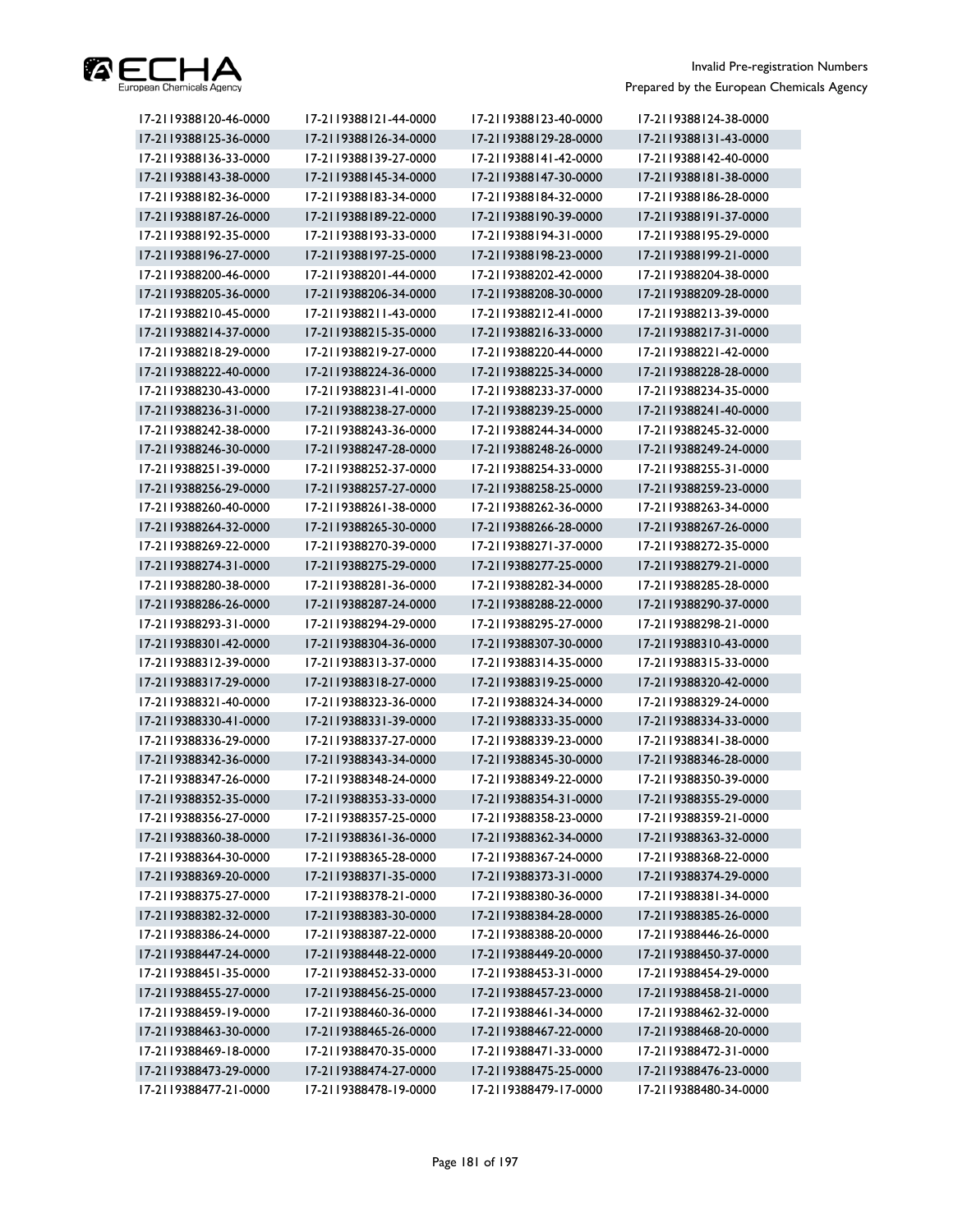

| 17-2119388120-46-0000 | 17-2119388121-44-0000 | 17-2119388123-40-0000 | 17-2119388124-38-0000 |
|-----------------------|-----------------------|-----------------------|-----------------------|
| 17-2119388125-36-0000 | 17-2119388126-34-0000 | 17-2119388129-28-0000 | 17-2119388131-43-0000 |
| 17-2119388136-33-0000 | 17-2119388139-27-0000 | 17-2119388141-42-0000 | 17-2119388142-40-0000 |
| 17-2119388143-38-0000 | 17-2119388145-34-0000 | 17-2119388147-30-0000 | 17-2119388181-38-0000 |
| 17-2119388182-36-0000 | 17-2119388183-34-0000 | 17-2119388184-32-0000 | 17-2119388186-28-0000 |
| 17-2119388187-26-0000 | 17-2119388189-22-0000 | 17-2119388190-39-0000 | 17-2119388191-37-0000 |
| 17-2119388192-35-0000 | 17-2119388193-33-0000 | 17-2119388194-31-0000 | 17-2119388195-29-0000 |
| 17-2119388196-27-0000 | 17-2119388197-25-0000 | 17-2119388198-23-0000 | 17-2119388199-21-0000 |
| 17-2119388200-46-0000 | 17-2119388201-44-0000 | 17-2119388202-42-0000 | 17-2119388204-38-0000 |
| 17-2119388205-36-0000 | 17-2119388206-34-0000 | 17-2119388208-30-0000 | 17-2119388209-28-0000 |
| 17-2119388210-45-0000 | 17-2119388211-43-0000 | 17-2119388212-41-0000 | 17-2119388213-39-0000 |
| 17-2119388214-37-0000 | 17-2119388215-35-0000 | 17-2119388216-33-0000 | 17-2119388217-31-0000 |
| 17-2119388218-29-0000 | 17-2119388219-27-0000 | 17-2119388220-44-0000 | 17-2119388221-42-0000 |
| 17-2119388222-40-0000 | 17-2119388224-36-0000 | 17-2119388225-34-0000 | 17-2119388228-28-0000 |
| 17-2119388230-43-0000 | 17-2119388231-41-0000 | 17-2119388233-37-0000 | 17-2119388234-35-0000 |
| 17-2119388236-31-0000 | 17-2119388238-27-0000 | 17-2119388239-25-0000 | 17-2119388241-40-0000 |
| 17-2119388242-38-0000 | 17-2119388243-36-0000 | 17-2119388244-34-0000 | 17-2119388245-32-0000 |
| 17-2119388246-30-0000 | 17-2119388247-28-0000 | 17-2119388248-26-0000 | 17-2119388249-24-0000 |
| 17-2119388251-39-0000 | 17-2119388252-37-0000 | 17-2119388254-33-0000 | 17-2119388255-31-0000 |
| 17-2119388256-29-0000 | 17-2119388257-27-0000 | 17-2119388258-25-0000 | 17-2119388259-23-0000 |
| 17-2119388260-40-0000 | 17-2119388261-38-0000 | 17-2119388262-36-0000 | 17-2119388263-34-0000 |
| 17-2119388264-32-0000 | 17-2119388265-30-0000 | 17-2119388266-28-0000 | 17-2119388267-26-0000 |
| 17-2119388269-22-0000 | 17-2119388270-39-0000 | 17-2119388271-37-0000 | 17-2119388272-35-0000 |
| 17-2119388274-31-0000 | 17-2119388275-29-0000 | 17-2119388277-25-0000 | 17-2119388279-21-0000 |
| 17-2119388280-38-0000 | 17-2119388281-36-0000 | 17-2119388282-34-0000 | 17-2119388285-28-0000 |
| 17-2119388286-26-0000 | 17-2119388287-24-0000 | 17-2119388288-22-0000 | 17-2119388290-37-0000 |
| 17-2119388293-31-0000 | 17-2119388294-29-0000 | 17-2119388295-27-0000 | 17-2119388298-21-0000 |
| 17-2119388301-42-0000 | 17-2119388304-36-0000 | 17-2119388307-30-0000 | 17-2119388310-43-0000 |
| 17-2119388312-39-0000 | 17-2119388313-37-0000 | 17-2119388314-35-0000 | 17-2119388315-33-0000 |
| 17-2119388317-29-0000 | 17-2119388318-27-0000 | 17-2119388319-25-0000 | 17-2119388320-42-0000 |
| 17-2119388321-40-0000 | 17-2119388323-36-0000 | 17-2119388324-34-0000 | 17-2119388329-24-0000 |
| 17-2119388330-41-0000 | 17-2119388331-39-0000 | 17-2119388333-35-0000 | 17-2119388334-33-0000 |
| 17-2119388336-29-0000 | 17-2119388337-27-0000 | 17-2119388339-23-0000 | 17-2119388341-38-0000 |
| 17-2119388342-36-0000 | 17-2119388343-34-0000 | 17-2119388345-30-0000 | 17-2119388346-28-0000 |
| 17-2119388347-26-0000 | 17-2119388348-24-0000 | 17-2119388349-22-0000 | 17-2119388350-39-0000 |
| 17-2119388352-35-0000 | 17-2119388353-33-0000 | 17-2119388354-31-0000 | 17-2119388355-29-0000 |
| 17-2119388356-27-0000 | 17-2119388357-25-0000 | 17-2119388358-23-0000 | 17-2119388359-21-0000 |
| 17-2119388360-38-0000 | 17-2119388361-36-0000 | 17-2119388362-34-0000 | 17-2119388363-32-0000 |
| 17-2119388364-30-0000 | 17-2119388365-28-0000 | 17-2119388367-24-0000 | 17-2119388368-22-0000 |
| 17-2119388369-20-0000 | 17-2119388371-35-0000 | 17-2119388373-31-0000 | 17-2119388374-29-0000 |
| 17-2119388375-27-0000 | 17-2119388378-21-0000 | 17-2119388380-36-0000 | 17-2119388381-34-0000 |
| 17-2119388382-32-0000 | 17-2119388383-30-0000 | 17-2119388384-28-0000 | 17-2119388385-26-0000 |
| 17-2119388386-24-0000 | 17-2119388387-22-0000 | 17-2119388388-20-0000 | 17-2119388446-26-0000 |
| 17-2119388447-24-0000 | 17-2119388448-22-0000 | 17-2119388449-20-0000 | 17-2119388450-37-0000 |
| 17-2119388451-35-0000 | 17-2119388452-33-0000 | 17-2119388453-31-0000 | 17-2119388454-29-0000 |
| 17-2119388455-27-0000 | 17-2119388456-25-0000 | 17-2119388457-23-0000 | 17-2119388458-21-0000 |
| 17-2119388459-19-0000 | 17-2119388460-36-0000 | 17-2119388461-34-0000 | 17-2119388462-32-0000 |
| 17-2119388463-30-0000 | 17-2119388465-26-0000 | 17-2119388467-22-0000 | 17-2119388468-20-0000 |
| 17-2119388469-18-0000 | 17-2119388470-35-0000 | 17-2119388471-33-0000 | 17-2119388472-31-0000 |
| 17-2119388473-29-0000 | 17-2119388474-27-0000 | 17-2119388475-25-0000 | 17-2119388476-23-0000 |
| 17-2119388477-21-0000 | 17-2119388478-19-0000 | 17-2119388479-17-0000 | 17-2119388480-34-0000 |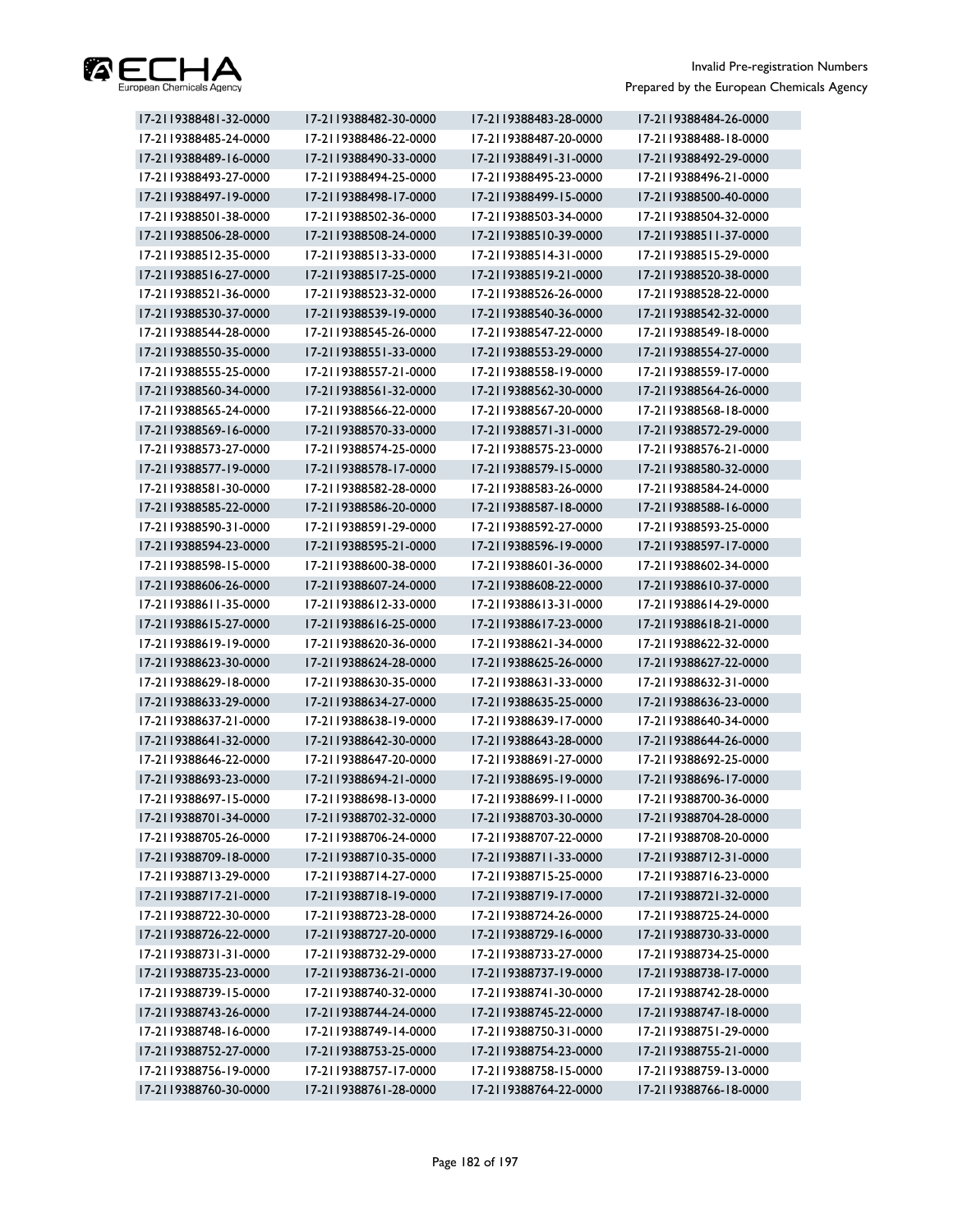

| 17-2119388481-32-0000 | 17-2119388482-30-0000 | 17-2119388483-28-0000 | 17-2119388484-26-0000 |
|-----------------------|-----------------------|-----------------------|-----------------------|
| 17-2119388485-24-0000 | 17-2119388486-22-0000 | 17-2119388487-20-0000 | 17-2119388488-18-0000 |
| 17-2119388489-16-0000 | 17-2119388490-33-0000 | 17-2119388491-31-0000 | 17-2119388492-29-0000 |
| 17-2119388493-27-0000 | 17-2119388494-25-0000 | 17-2119388495-23-0000 | 17-2119388496-21-0000 |
| 17-2119388497-19-0000 | 17-2119388498-17-0000 | 17-2119388499-15-0000 | 17-2119388500-40-0000 |
| 17-2119388501-38-0000 | 17-2119388502-36-0000 | 17-2119388503-34-0000 | 17-2119388504-32-0000 |
| 17-2119388506-28-0000 | 17-2119388508-24-0000 | 17-2119388510-39-0000 | 17-2119388511-37-0000 |
| 17-2119388512-35-0000 | 17-2119388513-33-0000 | 17-2119388514-31-0000 | 17-2119388515-29-0000 |
| 17-2119388516-27-0000 | 17-2119388517-25-0000 | 17-2119388519-21-0000 | 17-2119388520-38-0000 |
| 17-2119388521-36-0000 | 17-2119388523-32-0000 | 17-2119388526-26-0000 | 17-2119388528-22-0000 |
| 17-2119388530-37-0000 | 17-2119388539-19-0000 | 17-2119388540-36-0000 | 17-2119388542-32-0000 |
| 17-2119388544-28-0000 | 17-2119388545-26-0000 | 17-2119388547-22-0000 | 17-2119388549-18-0000 |
| 17-2119388550-35-0000 | 17-2119388551-33-0000 | 17-2119388553-29-0000 | 17-2119388554-27-0000 |
| 17-2119388555-25-0000 | 17-2119388557-21-0000 | 17-2119388558-19-0000 | 17-2119388559-17-0000 |
| 17-2119388560-34-0000 | 17-2119388561-32-0000 | 17-2119388562-30-0000 | 17-2119388564-26-0000 |
| 17-2119388565-24-0000 | 17-2119388566-22-0000 | 17-2119388567-20-0000 | 17-2119388568-18-0000 |
| 17-2119388569-16-0000 | 17-2119388570-33-0000 | 17-2119388571-31-0000 | 17-2119388572-29-0000 |
| 17-2119388573-27-0000 | 17-2119388574-25-0000 | 17-2119388575-23-0000 | 17-2119388576-21-0000 |
| 17-2119388577-19-0000 | 17-2119388578-17-0000 | 17-2119388579-15-0000 | 17-2119388580-32-0000 |
| 17-2119388581-30-0000 | 17-2119388582-28-0000 | 17-2119388583-26-0000 | 17-2119388584-24-0000 |
| 17-2119388585-22-0000 | 17-2119388586-20-0000 | 17-2119388587-18-0000 | 17-2119388588-16-0000 |
| 17-2119388590-31-0000 | 17-2119388591-29-0000 | 17-2119388592-27-0000 | 17-2119388593-25-0000 |
| 17-2119388594-23-0000 | 17-2119388595-21-0000 | 17-2119388596-19-0000 | 17-2119388597-17-0000 |
| 17-2119388598-15-0000 | 17-2119388600-38-0000 | 17-2119388601-36-0000 | 17-2119388602-34-0000 |
| 17-2119388606-26-0000 | 17-2119388607-24-0000 | 17-2119388608-22-0000 | 17-2119388610-37-0000 |
| 17-2119388611-35-0000 | 17-2119388612-33-0000 | 17-2119388613-31-0000 | 17-2119388614-29-0000 |
| 17-2119388615-27-0000 | 17-2119388616-25-0000 | 17-2119388617-23-0000 | 17-2119388618-21-0000 |
| 17-2119388619-19-0000 | 17-2119388620-36-0000 | 17-2119388621-34-0000 | 17-2119388622-32-0000 |
| 17-2119388623-30-0000 | 17-2119388624-28-0000 | 17-2119388625-26-0000 | 17-2119388627-22-0000 |
| 17-2119388629-18-0000 | 17-2119388630-35-0000 | 17-2119388631-33-0000 | 17-2119388632-31-0000 |
| 17-2119388633-29-0000 | 17-2119388634-27-0000 | 17-2119388635-25-0000 | 17-2119388636-23-0000 |
| 17-2119388637-21-0000 | 17-2119388638-19-0000 | 17-2119388639-17-0000 | 17-2119388640-34-0000 |
| 17-2119388641-32-0000 | 17-2119388642-30-0000 | 17-2119388643-28-0000 | 17-2119388644-26-0000 |
| 17-2119388646-22-0000 | 17-2119388647-20-0000 | 17-2119388691-27-0000 | 17-2119388692-25-0000 |
| 17-2119388693-23-0000 | 17-2119388694-21-0000 | 17-2119388695-19-0000 | 17-2119388696-17-0000 |
| 17-2119388697-15-0000 | 17-2119388698-13-0000 | 17-2119388699-11-0000 | 17-2119388700-36-0000 |
| 17-2119388701-34-0000 | 17-2119388702-32-0000 | 17-2119388703-30-0000 | 17-2119388704-28-0000 |
| 17-2119388705-26-0000 | 17-2119388706-24-0000 | 17-2119388707-22-0000 | 17-2119388708-20-0000 |
| 17-2119388709-18-0000 | 17-2119388710-35-0000 | 17-2119388711-33-0000 | 17-2119388712-31-0000 |
| 17-2119388713-29-0000 | 17-2119388714-27-0000 | 17-2119388715-25-0000 | 17-2119388716-23-0000 |
| 17-2119388717-21-0000 | 17-2119388718-19-0000 | 17-2119388719-17-0000 | 17-2119388721-32-0000 |
| 17-2119388722-30-0000 | 17-2119388723-28-0000 | 17-2119388724-26-0000 | 17-2119388725-24-0000 |
| 17-2119388726-22-0000 | 17-2119388727-20-0000 | 17-2119388729-16-0000 | 17-2119388730-33-0000 |
| 17-2119388731-31-0000 | 17-2119388732-29-0000 | 17-2119388733-27-0000 | 17-2119388734-25-0000 |
| 17-2119388735-23-0000 | 17-2119388736-21-0000 | 17-2119388737-19-0000 | 17-2119388738-17-0000 |
| 17-2119388739-15-0000 | 17-2119388740-32-0000 | 17-2119388741-30-0000 | 17-2119388742-28-0000 |
| 17-2119388743-26-0000 | 17-2119388744-24-0000 | 17-2119388745-22-0000 | 17-2119388747-18-0000 |
| 17-2119388748-16-0000 | 17-2119388749-14-0000 | 17-2119388750-31-0000 | 17-2119388751-29-0000 |
| 17-2119388752-27-0000 | 17-2119388753-25-0000 | 17-2119388754-23-0000 | 17-2119388755-21-0000 |
| 17-2119388756-19-0000 | 17-2119388757-17-0000 | 17-2119388758-15-0000 | 17-2119388759-13-0000 |
| 17-2119388760-30-0000 | 17-2119388761-28-0000 | 17-2119388764-22-0000 | 17-2119388766-18-0000 |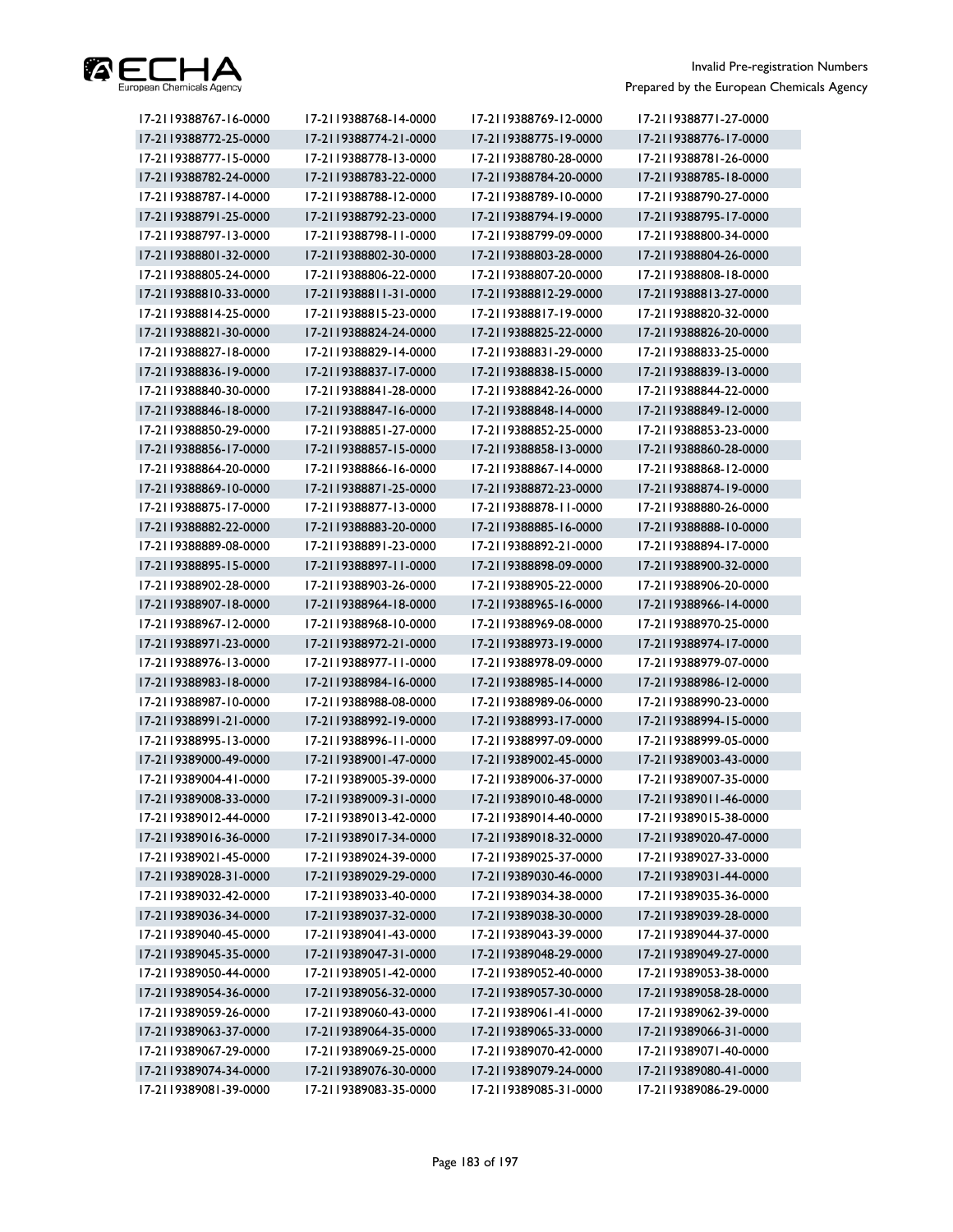

| 17-2119388767-16-0000 | 17-2119388768-14-0000 | 17-2119388769-12-0000 | 17-2119388771-27-0000 |
|-----------------------|-----------------------|-----------------------|-----------------------|
| 17-2119388772-25-0000 | 17-2119388774-21-0000 | 17-2119388775-19-0000 | 17-2119388776-17-0000 |
| 17-2119388777-15-0000 | 17-2119388778-13-0000 | 17-2119388780-28-0000 | 17-2119388781-26-0000 |
| 17-2119388782-24-0000 | 17-2119388783-22-0000 | 17-2119388784-20-0000 | 17-2119388785-18-0000 |
| 17-2119388787-14-0000 | 17-2119388788-12-0000 | 17-2119388789-10-0000 | 17-2119388790-27-0000 |
| 17-2119388791-25-0000 | 17-2119388792-23-0000 | 17-2119388794-19-0000 | 17-2119388795-17-0000 |
| 17-2119388797-13-0000 | 17-2119388798-11-0000 | 17-2119388799-09-0000 | 17-2119388800-34-0000 |
| 17-2119388801-32-0000 | 17-2119388802-30-0000 | 17-2119388803-28-0000 | 17-2119388804-26-0000 |
| 17-2119388805-24-0000 | 17-2119388806-22-0000 | 17-2119388807-20-0000 | 17-2119388808-18-0000 |
| 17-2119388810-33-0000 | 17-2119388811-31-0000 | 17-2119388812-29-0000 | 17-2119388813-27-0000 |
| 17-2119388814-25-0000 | 17-2119388815-23-0000 | 17-2119388817-19-0000 | 17-2119388820-32-0000 |
| 17-2119388821-30-0000 | 17-2119388824-24-0000 | 17-2119388825-22-0000 | 17-2119388826-20-0000 |
| 17-2119388827-18-0000 | 17-2119388829-14-0000 | 17-2119388831-29-0000 | 17-2119388833-25-0000 |
| 17-2119388836-19-0000 | 17-2119388837-17-0000 | 17-2119388838-15-0000 | 17-2119388839-13-0000 |
| 17-2119388840-30-0000 | 17-2119388841-28-0000 | 17-2119388842-26-0000 | 17-2119388844-22-0000 |
| 17-2119388846-18-0000 | 17-2119388847-16-0000 | 17-2119388848-14-0000 | 17-2119388849-12-0000 |
| 17-2119388850-29-0000 | 17-2119388851-27-0000 | 17-2119388852-25-0000 | 17-2119388853-23-0000 |
| 17-2119388856-17-0000 | 17-2119388857-15-0000 | 17-2119388858-13-0000 | 17-2119388860-28-0000 |
| 17-2119388864-20-0000 | 17-2119388866-16-0000 | 17-2119388867-14-0000 | 17-2119388868-12-0000 |
| 17-2119388869-10-0000 | 17-2119388871-25-0000 | 17-2119388872-23-0000 | 17-2119388874-19-0000 |
| 17-2119388875-17-0000 | 17-2119388877-13-0000 | 17-2119388878-11-0000 | 17-2119388880-26-0000 |
| 17-2119388882-22-0000 | 17-2119388883-20-0000 | 17-2119388885-16-0000 | 17-2119388888-10-0000 |
| 17-2119388889-08-0000 | 17-2119388891-23-0000 | 17-2119388892-21-0000 | 17-2119388894-17-0000 |
| 17-2119388895-15-0000 | 17-2119388897-11-0000 | 17-2119388898-09-0000 | 17-2119388900-32-0000 |
| 17-2119388902-28-0000 | 17-2119388903-26-0000 | 17-2119388905-22-0000 | 17-2119388906-20-0000 |
| 17-2119388907-18-0000 | 17-2119388964-18-0000 | 17-2119388965-16-0000 | 17-2119388966-14-0000 |
| 17-2119388967-12-0000 | 17-2119388968-10-0000 | 17-2119388969-08-0000 | 17-2119388970-25-0000 |
| 17-2119388971-23-0000 | 17-2119388972-21-0000 | 17-2119388973-19-0000 | 17-2119388974-17-0000 |
| 17-2119388976-13-0000 | 17-2119388977-11-0000 | 17-2119388978-09-0000 | 17-2119388979-07-0000 |
| 17-2119388983-18-0000 | 17-2119388984-16-0000 | 17-2119388985-14-0000 | 17-2119388986-12-0000 |
| 17-2119388987-10-0000 | 17-2119388988-08-0000 | 17-2119388989-06-0000 | 17-2119388990-23-0000 |
| 17-2119388991-21-0000 | 17-2119388992-19-0000 | 17-2119388993-17-0000 | 17-2119388994-15-0000 |
| 17-2119388995-13-0000 | 17-2119388996-11-0000 | 17-2119388997-09-0000 | 17-2119388999-05-0000 |
| 17-2119389000-49-0000 | 17-2119389001-47-0000 | 17-2119389002-45-0000 | 17-2119389003-43-0000 |
| 17-2119389004-41-0000 | 17-2119389005-39-0000 | 17-2119389006-37-0000 | 17-2119389007-35-0000 |
| 17-2119389008-33-0000 | 17-2119389009-31-0000 | 17-2119389010-48-0000 | 17-2119389011-46-0000 |
| 17-2119389012-44-0000 | 17-2119389013-42-0000 | 17-2119389014-40-0000 | 17-2119389015-38-0000 |
| 17-2119389016-36-0000 | 17-2119389017-34-0000 | 17-2119389018-32-0000 | 17-2119389020-47-0000 |
| 17-2119389021-45-0000 | 17-2119389024-39-0000 | 17-2119389025-37-0000 | 17-2119389027-33-0000 |
| 17-2119389028-31-0000 | 17-2119389029-29-0000 | 17-2119389030-46-0000 | 17-2119389031-44-0000 |
| 17-2119389032-42-0000 | 17-2119389033-40-0000 | 17-2119389034-38-0000 | 17-2119389035-36-0000 |
| 17-2119389036-34-0000 | 17-2119389037-32-0000 | 17-2119389038-30-0000 | 17-2119389039-28-0000 |
| 17-2119389040-45-0000 | 17-2119389041-43-0000 | 17-2119389043-39-0000 | 17-2119389044-37-0000 |
| 17-2119389045-35-0000 | 17-2119389047-31-0000 | 17-2119389048-29-0000 | 17-2119389049-27-0000 |
| 17-2119389050-44-0000 | 17-2119389051-42-0000 | 17-2119389052-40-0000 | 17-2119389053-38-0000 |
| 17-2119389054-36-0000 | 17-2119389056-32-0000 | 17-2119389057-30-0000 | 17-2119389058-28-0000 |
| 17-2119389059-26-0000 | 17-2119389060-43-0000 | 17-2119389061-41-0000 | 17-2119389062-39-0000 |
| 17-2119389063-37-0000 | 17-2119389064-35-0000 | 17-2119389065-33-0000 | 17-2119389066-31-0000 |
| 17-2119389067-29-0000 | 17-2119389069-25-0000 | 17-2119389070-42-0000 | 17-2119389071-40-0000 |
| 17-2119389074-34-0000 | 17-2119389076-30-0000 | 17-2119389079-24-0000 | 17-2119389080-41-0000 |
| 17-2119389081-39-0000 | 17-2119389083-35-0000 | 17-2119389085-31-0000 | 17-2119389086-29-0000 |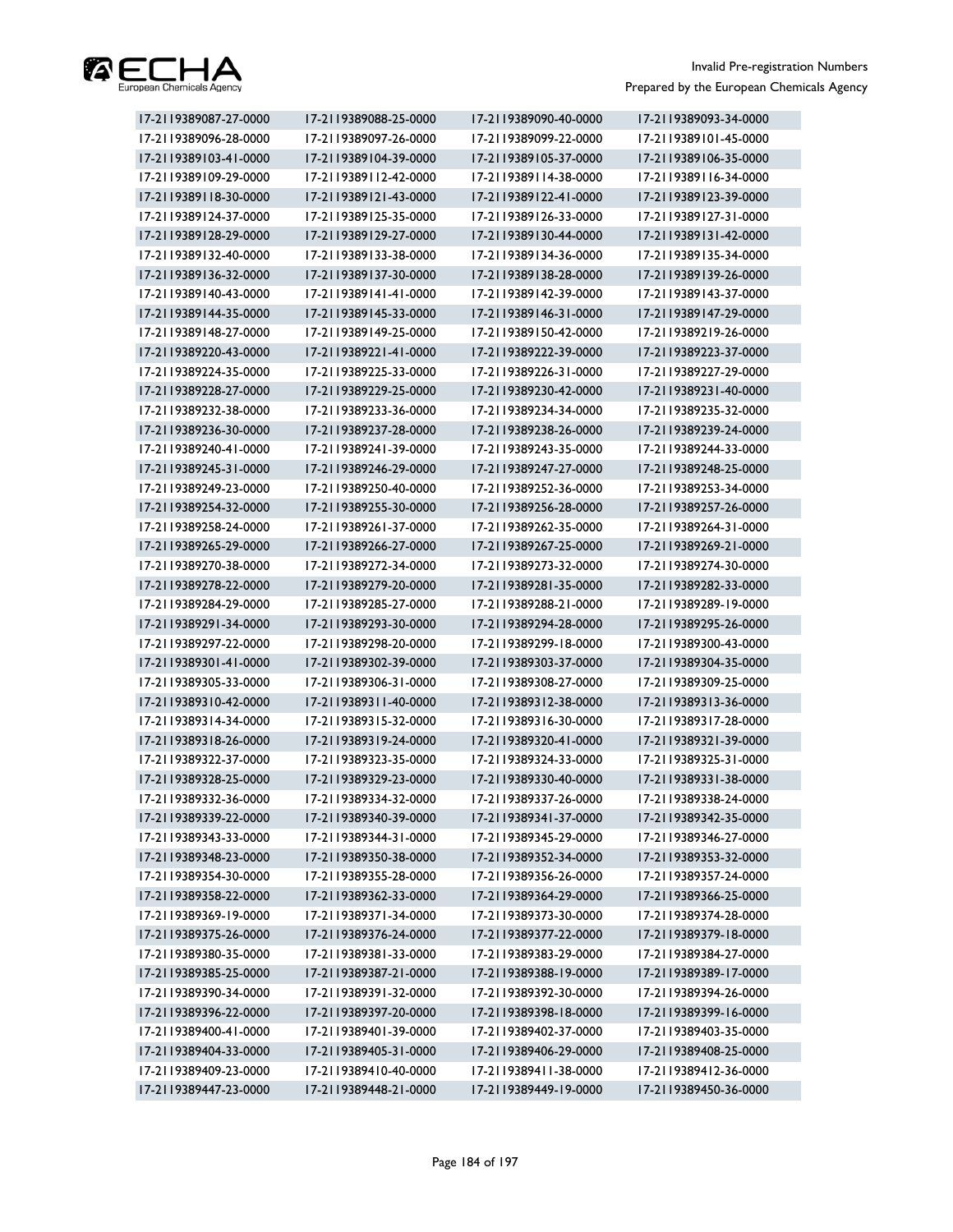

| 17-2119389087-27-0000 | 17-2119389088-25-0000 | 17-2119389090-40-0000 | 17-2119389093-34-0000 |
|-----------------------|-----------------------|-----------------------|-----------------------|
| 17-2119389096-28-0000 | 17-2119389097-26-0000 | 17-2119389099-22-0000 | 17-2119389101-45-0000 |
| 17-2119389103-41-0000 | 17-2119389104-39-0000 | 17-2119389105-37-0000 | 17-2119389106-35-0000 |
| 17-2119389109-29-0000 | 17-2119389112-42-0000 | 17-2119389114-38-0000 | 17-2119389116-34-0000 |
| 17-2119389118-30-0000 | 17-2119389121-43-0000 | 17-2119389122-41-0000 | 17-2119389123-39-0000 |
| 17-2119389124-37-0000 | 17-2119389125-35-0000 | 17-2119389126-33-0000 | 17-2119389127-31-0000 |
| 17-2119389128-29-0000 | 17-2119389129-27-0000 | 17-2119389130-44-0000 | 17-2119389131-42-0000 |
| 17-2119389132-40-0000 | 17-2119389133-38-0000 | 17-2119389134-36-0000 | 17-2119389135-34-0000 |
| 17-2119389136-32-0000 | 17-2119389137-30-0000 | 17-2119389138-28-0000 | 17-2119389139-26-0000 |
| 17-2119389140-43-0000 | 17-2119389141-41-0000 | 17-2119389142-39-0000 | 17-2119389143-37-0000 |
| 17-2119389144-35-0000 | 17-2119389145-33-0000 | 17-2119389146-31-0000 | 17-2119389147-29-0000 |
| 17-2119389148-27-0000 | 17-2119389149-25-0000 | 17-2119389150-42-0000 | 17-2119389219-26-0000 |
| 17-2119389220-43-0000 | 17-2119389221-41-0000 | 17-2119389222-39-0000 | 17-2119389223-37-0000 |
| 17-2119389224-35-0000 | 17-2119389225-33-0000 | 17-2119389226-31-0000 | 17-2119389227-29-0000 |
| 17-2119389228-27-0000 | 17-2119389229-25-0000 | 17-2119389230-42-0000 | 17-2119389231-40-0000 |
| 17-2119389232-38-0000 | 17-2119389233-36-0000 | 17-2119389234-34-0000 | 17-2119389235-32-0000 |
| 17-2119389236-30-0000 | 17-2119389237-28-0000 | 17-2119389238-26-0000 | 17-2119389239-24-0000 |
| 17-2119389240-41-0000 | 17-2119389241-39-0000 | 17-2119389243-35-0000 | 17-2119389244-33-0000 |
| 17-2119389245-31-0000 | 17-2119389246-29-0000 | 17-2119389247-27-0000 | 17-2119389248-25-0000 |
| 17-2119389249-23-0000 | 17-2119389250-40-0000 | 17-2119389252-36-0000 | 17-2119389253-34-0000 |
| 17-2119389254-32-0000 | 17-2119389255-30-0000 | 17-2119389256-28-0000 | 17-2119389257-26-0000 |
| 17-2119389258-24-0000 | 17-2119389261-37-0000 | 17-2119389262-35-0000 | 17-2119389264-31-0000 |
| 17-2119389265-29-0000 | 17-2119389266-27-0000 | 17-2119389267-25-0000 | 17-2119389269-21-0000 |
| 17-2119389270-38-0000 | 17-2119389272-34-0000 | 17-2119389273-32-0000 | 17-2119389274-30-0000 |
| 17-2119389278-22-0000 | 17-2119389279-20-0000 | 17-2119389281-35-0000 | 17-2119389282-33-0000 |
| 17-2119389284-29-0000 | 17-2119389285-27-0000 | 17-2119389288-21-0000 | 17-2119389289-19-0000 |
| 17-2119389291-34-0000 | 17-2119389293-30-0000 | 17-2119389294-28-0000 | 17-2119389295-26-0000 |
| 17-2119389297-22-0000 | 17-2119389298-20-0000 | 17-2119389299-18-0000 | 17-2119389300-43-0000 |
| 17-2119389301-41-0000 | 17-2119389302-39-0000 | 17-2119389303-37-0000 | 17-2119389304-35-0000 |
| 17-2119389305-33-0000 | 17-2119389306-31-0000 | 17-2119389308-27-0000 | 17-2119389309-25-0000 |
| 17-2119389310-42-0000 | 17-2119389311-40-0000 | 17-2119389312-38-0000 | 17-2119389313-36-0000 |
| 17-2119389314-34-0000 | 17-2119389315-32-0000 | 17-2119389316-30-0000 | 17-2119389317-28-0000 |
| 17-2119389318-26-0000 | 17-2119389319-24-0000 | 17-2119389320-41-0000 | 17-2119389321-39-0000 |
| 17-2119389322-37-0000 | 17-2119389323-35-0000 | 17-2119389324-33-0000 | 17-2119389325-31-0000 |
| 17-2119389328-25-0000 | 17-2119389329-23-0000 | 17-2119389330-40-0000 | 17-2119389331-38-0000 |
| 17-2119389332-36-0000 | 17-2119389334-32-0000 | 17-2119389337-26-0000 | 17-2119389338-24-0000 |
| 17-2119389339-22-0000 | 17-2119389340-39-0000 | 17-2119389341-37-0000 | 17-2119389342-35-0000 |
| 17-2119389343-33-0000 | 17-2119389344-31-0000 | 17-2119389345-29-0000 | 17-2119389346-27-0000 |
| 17-2119389348-23-0000 | 17-2119389350-38-0000 | 17-2119389352-34-0000 | 17-2119389353-32-0000 |
| 17-2119389354-30-0000 | 17-2119389355-28-0000 | 17-2119389356-26-0000 | 17-2119389357-24-0000 |
| 17-2119389358-22-0000 | 17-2119389362-33-0000 | 17-2119389364-29-0000 | 17-2119389366-25-0000 |
| 17-2119389369-19-0000 | 17-2119389371-34-0000 | 17-2119389373-30-0000 | 17-2119389374-28-0000 |
| 17-2119389375-26-0000 | 17-2119389376-24-0000 | 17-2119389377-22-0000 | 17-2119389379-18-0000 |
| 17-2119389380-35-0000 | 17-2119389381-33-0000 | 17-2119389383-29-0000 | 17-2119389384-27-0000 |
| 17-2119389385-25-0000 | 17-2119389387-21-0000 | 17-2119389388-19-0000 | 17-2119389389-17-0000 |
| 17-2119389390-34-0000 | 17-2119389391-32-0000 | 17-2119389392-30-0000 | 17-2119389394-26-0000 |
| 17-2119389396-22-0000 | 17-2119389397-20-0000 | 17-2119389398-18-0000 | 17-2119389399-16-0000 |
| 17-2119389400-41-0000 | 17-2119389401-39-0000 | 17-2119389402-37-0000 | 17-2119389403-35-0000 |
| 17-2119389404-33-0000 | 17-2119389405-31-0000 | 17-2119389406-29-0000 | 17-2119389408-25-0000 |
| 17-2119389409-23-0000 | 17-2119389410-40-0000 | 17-2119389411-38-0000 | 17-2119389412-36-0000 |
| 17-2119389447-23-0000 | 17-2119389448-21-0000 | 17-2119389449-19-0000 | 17-2119389450-36-0000 |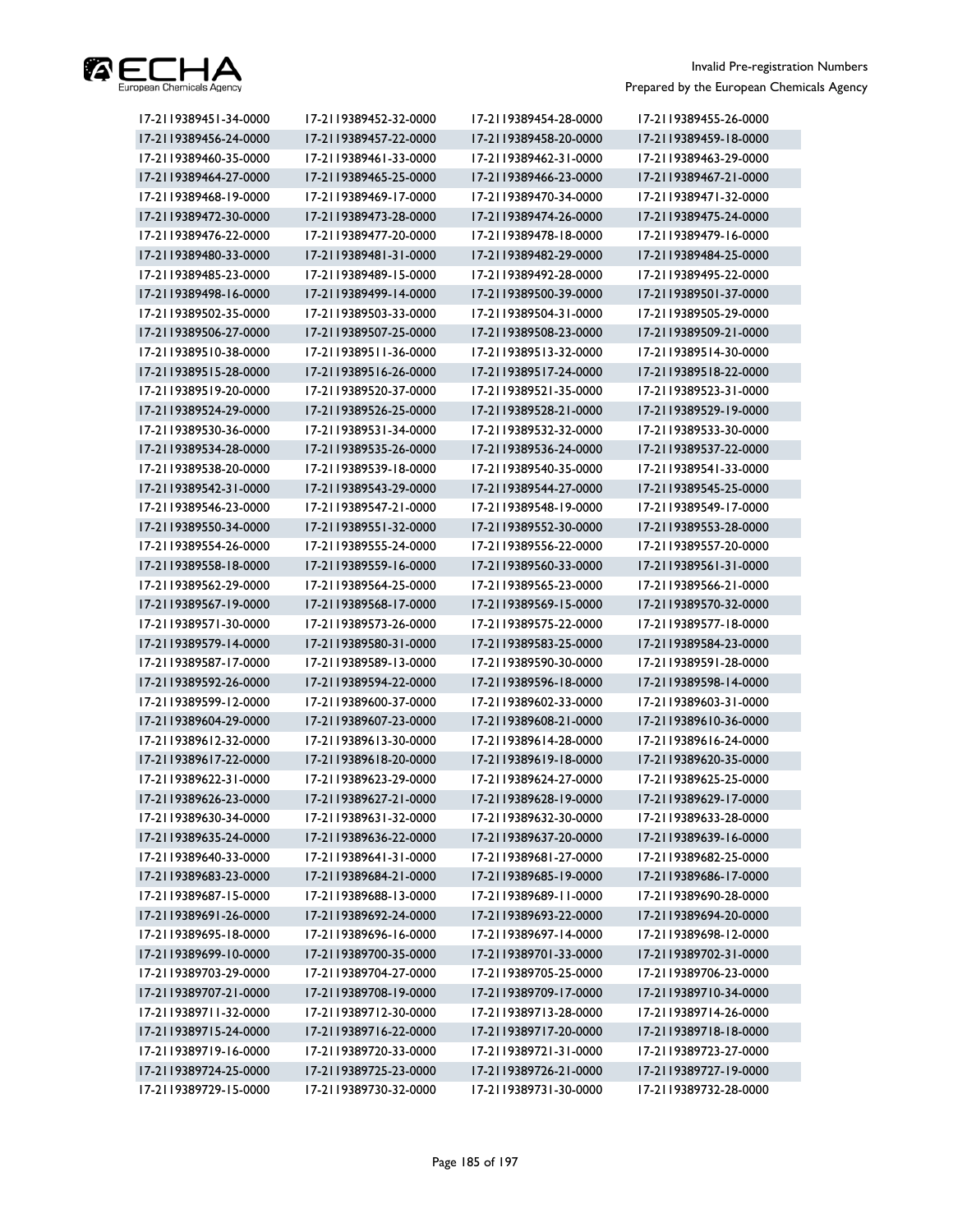

| 17-2119389451-34-0000 | 17-2119389452-32-0000 | 17-2119389454-28-0000 | 17-2119389455-26-0000 |
|-----------------------|-----------------------|-----------------------|-----------------------|
| 17-2119389456-24-0000 | 17-2119389457-22-0000 | 17-2119389458-20-0000 | 17-2119389459-18-0000 |
| 17-2119389460-35-0000 | 17-2119389461-33-0000 | 17-2119389462-31-0000 | 17-2119389463-29-0000 |
| 17-2119389464-27-0000 | 17-2119389465-25-0000 | 17-2119389466-23-0000 | 17-2119389467-21-0000 |
| 17-2119389468-19-0000 | 17-2119389469-17-0000 | 17-2119389470-34-0000 | 17-2119389471-32-0000 |
| 17-2119389472-30-0000 | 17-2119389473-28-0000 | 17-2119389474-26-0000 | 17-2119389475-24-0000 |
| 17-2119389476-22-0000 | 17-2119389477-20-0000 | 17-2119389478-18-0000 | 17-2119389479-16-0000 |
| 17-2119389480-33-0000 | 17-2119389481-31-0000 | 17-2119389482-29-0000 | 17-2119389484-25-0000 |
| 17-2119389485-23-0000 | 17-2119389489-15-0000 | 17-2119389492-28-0000 | 17-2119389495-22-0000 |
| 17-2119389498-16-0000 | 17-2119389499-14-0000 | 17-2119389500-39-0000 | 17-2119389501-37-0000 |
| 17-2119389502-35-0000 | 17-2119389503-33-0000 | 17-2119389504-31-0000 | 17-2119389505-29-0000 |
| 17-2119389506-27-0000 | 17-2119389507-25-0000 | 17-2119389508-23-0000 | 17-2119389509-21-0000 |
| 17-2119389510-38-0000 | 17-2119389511-36-0000 | 17-2119389513-32-0000 | 17-2119389514-30-0000 |
| 17-2119389515-28-0000 | 17-2119389516-26-0000 | 17-2119389517-24-0000 | 17-2119389518-22-0000 |
| 17-2119389519-20-0000 | 17-2119389520-37-0000 | 17-2119389521-35-0000 | 17-2119389523-31-0000 |
| 17-2119389524-29-0000 | 17-2119389526-25-0000 | 17-2119389528-21-0000 | 17-2119389529-19-0000 |
| 17-2119389530-36-0000 | 17-2119389531-34-0000 | 17-2119389532-32-0000 | 17-2119389533-30-0000 |
| 17-2119389534-28-0000 | 17-2119389535-26-0000 | 17-2119389536-24-0000 | 17-2119389537-22-0000 |
| 17-2119389538-20-0000 | 17-2119389539-18-0000 | 17-2119389540-35-0000 | 17-2119389541-33-0000 |
| 17-2119389542-31-0000 | 17-2119389543-29-0000 | 17-2119389544-27-0000 | 17-2119389545-25-0000 |
| 17-2119389546-23-0000 | 17-2119389547-21-0000 | 17-2119389548-19-0000 | 17-2119389549-17-0000 |
| 17-2119389550-34-0000 | 17-2119389551-32-0000 | 17-2119389552-30-0000 | 17-2119389553-28-0000 |
| 17-2119389554-26-0000 | 17-2119389555-24-0000 | 17-2119389556-22-0000 | 17-2119389557-20-0000 |
| 17-2119389558-18-0000 | 17-2119389559-16-0000 | 17-2119389560-33-0000 | 17-2119389561-31-0000 |
| 17-2119389562-29-0000 | 17-2119389564-25-0000 | 17-2119389565-23-0000 | 17-2119389566-21-0000 |
| 17-2119389567-19-0000 | 17-2119389568-17-0000 | 17-2119389569-15-0000 | 17-2119389570-32-0000 |
| 17-2119389571-30-0000 | 17-2119389573-26-0000 | 17-2119389575-22-0000 | 17-2119389577-18-0000 |
| 17-2119389579-14-0000 | 17-2119389580-31-0000 | 17-2119389583-25-0000 | 17-2119389584-23-0000 |
| 17-2119389587-17-0000 | 17-2119389589-13-0000 | 17-2119389590-30-0000 | 17-2119389591-28-0000 |
| 17-2119389592-26-0000 | 17-2119389594-22-0000 | 17-2119389596-18-0000 | 17-2119389598-14-0000 |
| 17-2119389599-12-0000 | 17-2119389600-37-0000 | 17-2119389602-33-0000 | 17-2119389603-31-0000 |
| 17-2119389604-29-0000 | 17-2119389607-23-0000 | 17-2119389608-21-0000 | 17-2119389610-36-0000 |
| 17-2119389612-32-0000 | 17-2119389613-30-0000 | 17-2119389614-28-0000 | 17-2119389616-24-0000 |
| 17-2119389617-22-0000 | 17-2119389618-20-0000 | 17-2119389619-18-0000 | 17-2119389620-35-0000 |
| 17-2119389622-31-0000 | 17-2119389623-29-0000 | 17-2119389624-27-0000 | 17-2119389625-25-0000 |
| 17-2119389626-23-0000 | 17-2119389627-21-0000 | 17-2119389628-19-0000 | 17-2119389629-17-0000 |
| 17-2119389630-34-0000 | 17-2119389631-32-0000 | 17-2119389632-30-0000 | 17-2119389633-28-0000 |
| 17-2119389635-24-0000 | 17-2119389636-22-0000 | 17-2119389637-20-0000 | 17-2119389639-16-0000 |
| 17-2119389640-33-0000 | 17-2119389641-31-0000 | 17-2119389681-27-0000 | 17-2119389682-25-0000 |
| 17-2119389683-23-0000 | 17-2119389684-21-0000 | 17-2119389685-19-0000 | 17-2119389686-17-0000 |
| 17-2119389687-15-0000 | 17-2119389688-13-0000 | 17-2119389689-11-0000 | 17-2119389690-28-0000 |
| 17-2119389691-26-0000 | 17-2119389692-24-0000 | 17-2119389693-22-0000 | 17-2119389694-20-0000 |
| 17-2119389695-18-0000 | 17-2119389696-16-0000 | 17-2119389697-14-0000 | 17-2119389698-12-0000 |
| 17-2119389699-10-0000 | 17-2119389700-35-0000 | 17-2119389701-33-0000 | 17-2119389702-31-0000 |
| 17-2119389703-29-0000 | 17-2119389704-27-0000 | 17-2119389705-25-0000 | 17-2119389706-23-0000 |
| 17-2119389707-21-0000 | 17-2119389708-19-0000 | 17-2119389709-17-0000 | 17-2119389710-34-0000 |
| 17-2119389711-32-0000 | 17-2119389712-30-0000 | 17-2119389713-28-0000 | 17-2119389714-26-0000 |
| 17-2119389715-24-0000 | 17-2119389716-22-0000 | 17-2119389717-20-0000 | 17-2119389718-18-0000 |
| 17-2119389719-16-0000 | 17-2119389720-33-0000 | 17-2119389721-31-0000 | 17-2119389723-27-0000 |
| 17-2119389724-25-0000 | 17-2119389725-23-0000 | 17-2119389726-21-0000 | 17-2119389727-19-0000 |
| 17-2119389729-15-0000 | 17-2119389730-32-0000 | 17-2119389731-30-0000 | 17-2119389732-28-0000 |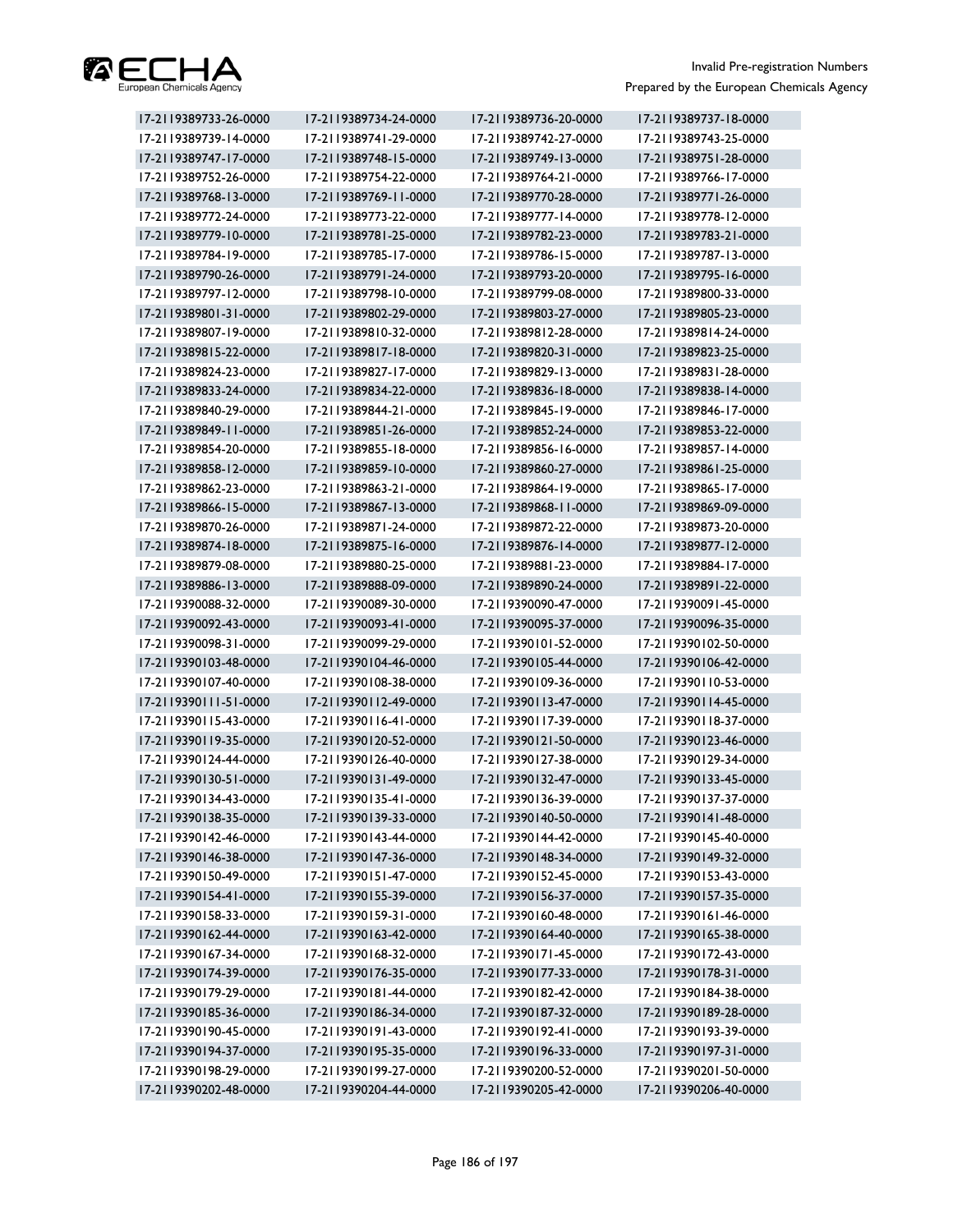

| 17-2119389733-26-0000 | 17-2119389734-24-0000 | 17-2119389736-20-0000 | 17-2119389737-18-0000 |
|-----------------------|-----------------------|-----------------------|-----------------------|
| 17-2119389739-14-0000 | 17-2119389741-29-0000 | 17-2119389742-27-0000 | 17-2119389743-25-0000 |
| 17-2119389747-17-0000 | 17-2119389748-15-0000 | 17-2119389749-13-0000 | 17-2119389751-28-0000 |
| 17-2119389752-26-0000 | 17-2119389754-22-0000 | 17-2119389764-21-0000 | 17-2119389766-17-0000 |
| 17-2119389768-13-0000 | 17-2119389769-11-0000 | 17-2119389770-28-0000 | 17-2119389771-26-0000 |
| 17-2119389772-24-0000 | 17-2119389773-22-0000 | 17-2119389777-14-0000 | 17-2119389778-12-0000 |
| 17-2119389779-10-0000 | 17-2119389781-25-0000 | 17-2119389782-23-0000 | 17-2119389783-21-0000 |
| 17-2119389784-19-0000 | 17-2119389785-17-0000 | 17-2119389786-15-0000 | 17-2119389787-13-0000 |
| 17-2119389790-26-0000 | 17-2119389791-24-0000 | 17-2119389793-20-0000 | 17-2119389795-16-0000 |
| 17-2119389797-12-0000 | 17-2119389798-10-0000 | 17-2119389799-08-0000 | 17-2119389800-33-0000 |
| 17-2119389801-31-0000 | 17-2119389802-29-0000 | 17-2119389803-27-0000 | 17-2119389805-23-0000 |
| 17-2119389807-19-0000 | 17-2119389810-32-0000 | 17-2119389812-28-0000 | 17-2119389814-24-0000 |
| 17-2119389815-22-0000 | 17-2119389817-18-0000 | 17-2119389820-31-0000 | 17-2119389823-25-0000 |
| 17-2119389824-23-0000 | 17-2119389827-17-0000 | 17-2119389829-13-0000 | 17-2119389831-28-0000 |
| 17-2119389833-24-0000 | 17-2119389834-22-0000 | 17-2119389836-18-0000 | 17-2119389838-14-0000 |
| 17-2119389840-29-0000 | 17-2119389844-21-0000 | 17-2119389845-19-0000 | 17-2119389846-17-0000 |
| 17-2119389849-11-0000 | 17-2119389851-26-0000 | 17-2119389852-24-0000 | 17-2119389853-22-0000 |
| 17-2119389854-20-0000 | 17-2119389855-18-0000 | 17-2119389856-16-0000 | 17-2119389857-14-0000 |
| 17-2119389858-12-0000 | 17-2119389859-10-0000 | 17-2119389860-27-0000 | 17-2119389861-25-0000 |
| 17-2119389862-23-0000 | 17-2119389863-21-0000 | 17-2119389864-19-0000 | 17-2119389865-17-0000 |
| 17-2119389866-15-0000 | 17-2119389867-13-0000 | 17-2119389868-11-0000 | 17-2119389869-09-0000 |
| 17-2119389870-26-0000 | 17-2119389871-24-0000 | 17-2119389872-22-0000 | 17-2119389873-20-0000 |
| 17-2119389874-18-0000 | 17-2119389875-16-0000 | 17-2119389876-14-0000 | 17-2119389877-12-0000 |
| 17-2119389879-08-0000 | 17-2119389880-25-0000 | 17-2119389881-23-0000 | 17-2119389884-17-0000 |
| 17-2119389886-13-0000 | 17-2119389888-09-0000 | 17-2119389890-24-0000 | 17-2119389891-22-0000 |
| 17-2119390088-32-0000 | 17-2119390089-30-0000 | 17-2119390090-47-0000 | 17-2119390091-45-0000 |
| 17-2119390092-43-0000 | 17-2119390093-41-0000 | 17-2119390095-37-0000 | 17-2119390096-35-0000 |
| 17-2119390098-31-0000 | 17-2119390099-29-0000 | 17-2119390101-52-0000 | 17-2119390102-50-0000 |
| 17-2119390103-48-0000 | 17-2119390104-46-0000 | 17-2119390105-44-0000 | 17-2119390106-42-0000 |
| 17-2119390107-40-0000 | 17-2119390108-38-0000 | 17-2119390109-36-0000 | 17-2119390110-53-0000 |
| 17-2119390111-51-0000 | 17-2119390112-49-0000 | 17-2119390113-47-0000 | 17-2119390114-45-0000 |
| 17-2119390115-43-0000 | 17-2119390116-41-0000 | 17-2119390117-39-0000 | 17-2119390118-37-0000 |
| 17-2119390119-35-0000 | 17-2119390120-52-0000 | 17-2119390121-50-0000 | 17-2119390123-46-0000 |
| 17-2119390124-44-0000 | 17-2119390126-40-0000 | 17-2119390127-38-0000 | 17-2119390129-34-0000 |
| 17-2119390130-51-0000 | 17-2119390131-49-0000 | 17-2119390132-47-0000 | 17-2119390133-45-0000 |
| 17-2119390134-43-0000 | 17-2119390135-41-0000 | 17-2119390136-39-0000 | 17-2119390137-37-0000 |
| 17-2119390138-35-0000 | 17-2119390139-33-0000 | 17-2119390140-50-0000 | 17-2119390141-48-0000 |
| 17-2119390142-46-0000 | 17-2119390143-44-0000 | 17-2119390144-42-0000 | 17-2119390145-40-0000 |
| 17-2119390146-38-0000 | 17-2119390147-36-0000 | 17-2119390148-34-0000 | 17-2119390149-32-0000 |
| 17-2119390150-49-0000 | 17-2119390151-47-0000 | 17-2119390152-45-0000 | 17-2119390153-43-0000 |
| 17-2119390154-41-0000 | 17-2119390155-39-0000 | 17-2119390156-37-0000 | 17-2119390157-35-0000 |
| 17-2119390158-33-0000 | 17-2119390159-31-0000 | 17-2119390160-48-0000 | 17-2119390161-46-0000 |
| 17-2119390162-44-0000 | 17-2119390163-42-0000 | 17-2119390164-40-0000 | 17-2119390165-38-0000 |
| 17-2119390167-34-0000 | 17-2119390168-32-0000 | 17-2119390171-45-0000 | 17-2119390172-43-0000 |
| 17-2119390174-39-0000 | 17-2119390176-35-0000 | 17-2119390177-33-0000 | 17-2119390178-31-0000 |
| 17-2119390179-29-0000 | 17-2119390181-44-0000 | 17-2119390182-42-0000 | 17-2119390184-38-0000 |
| 17-2119390185-36-0000 | 17-2119390186-34-0000 | 17-2119390187-32-0000 | 17-2119390189-28-0000 |
| 17-2119390190-45-0000 | 17-2119390191-43-0000 | 17-2119390192-41-0000 | 17-2119390193-39-0000 |
| 17-2119390194-37-0000 | 17-2119390195-35-0000 | 17-2119390196-33-0000 | 17-2119390197-31-0000 |
| 17-2119390198-29-0000 | 17-2119390199-27-0000 | 17-2119390200-52-0000 | 17-2119390201-50-0000 |
| 17-2119390202-48-0000 | 17-2119390204-44-0000 | 17-2119390205-42-0000 | 17-2119390206-40-0000 |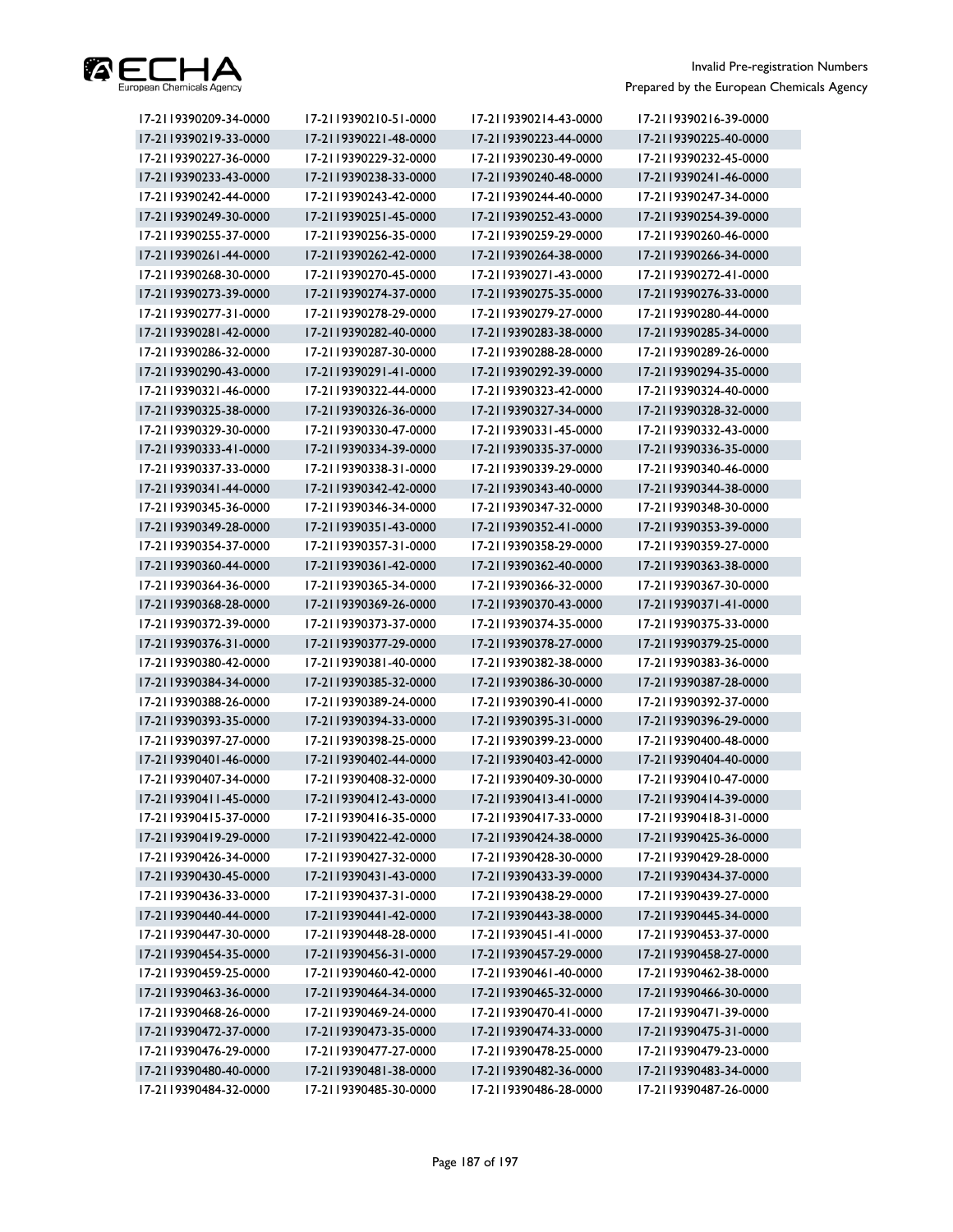

| 17-2119390209-34-0000 | 17-2119390210-51-0000 | 17-2119390214-43-0000 | 17-2119390216-39-0000 |
|-----------------------|-----------------------|-----------------------|-----------------------|
| 17-2119390219-33-0000 | 17-2119390221-48-0000 | 17-2119390223-44-0000 | 17-2119390225-40-0000 |
| 17-2119390227-36-0000 | 17-2119390229-32-0000 | 17-2119390230-49-0000 | 17-2119390232-45-0000 |
| 17-2119390233-43-0000 | 17-2119390238-33-0000 | 17-2119390240-48-0000 | 17-2119390241-46-0000 |
| 17-2119390242-44-0000 | 17-2119390243-42-0000 | 17-2119390244-40-0000 | 17-2119390247-34-0000 |
| 17-2119390249-30-0000 | 17-2119390251-45-0000 | 17-2119390252-43-0000 | 17-2119390254-39-0000 |
| 17-2119390255-37-0000 | 17-2119390256-35-0000 | 17-2119390259-29-0000 | 17-2119390260-46-0000 |
| 17-2119390261-44-0000 | 17-2119390262-42-0000 | 17-2119390264-38-0000 | 17-2119390266-34-0000 |
| 17-2119390268-30-0000 | 17-2119390270-45-0000 | 17-2119390271-43-0000 | 17-2119390272-41-0000 |
| 17-2119390273-39-0000 | 17-2119390274-37-0000 | 17-2119390275-35-0000 | 17-2119390276-33-0000 |
| 17-2119390277-31-0000 | 17-2119390278-29-0000 | 17-2119390279-27-0000 | 17-2119390280-44-0000 |
| 17-2119390281-42-0000 | 17-2119390282-40-0000 | 17-2119390283-38-0000 | 17-2119390285-34-0000 |
| 17-2119390286-32-0000 | 17-2119390287-30-0000 | 17-2119390288-28-0000 | 17-2119390289-26-0000 |
| 17-2119390290-43-0000 | 17-2119390291-41-0000 | 17-2119390292-39-0000 | 17-2119390294-35-0000 |
| 17-2119390321-46-0000 | 17-2119390322-44-0000 | 17-2119390323-42-0000 | 17-2119390324-40-0000 |
| 17-2119390325-38-0000 | 17-2119390326-36-0000 | 17-2119390327-34-0000 | 17-2119390328-32-0000 |
| 17-2119390329-30-0000 | 17-2119390330-47-0000 | 17-2119390331-45-0000 | 17-2119390332-43-0000 |
| 17-2119390333-41-0000 | 17-2119390334-39-0000 | 17-2119390335-37-0000 | 17-2119390336-35-0000 |
| 17-2119390337-33-0000 | 17-2119390338-31-0000 | 17-2119390339-29-0000 | 17-2119390340-46-0000 |
| 17-2119390341-44-0000 | 17-2119390342-42-0000 | 17-2119390343-40-0000 | 17-2119390344-38-0000 |
| 17-2119390345-36-0000 | 17-2119390346-34-0000 | 17-2119390347-32-0000 | 17-2119390348-30-0000 |
| 17-2119390349-28-0000 | 17-2119390351-43-0000 | 17-2119390352-41-0000 | 17-2119390353-39-0000 |
| 17-2119390354-37-0000 | 17-2119390357-31-0000 | 17-2119390358-29-0000 | 17-2119390359-27-0000 |
| 17-2119390360-44-0000 | 17-2119390361-42-0000 | 17-2119390362-40-0000 | 17-2119390363-38-0000 |
| 17-2119390364-36-0000 | 17-2119390365-34-0000 | 17-2119390366-32-0000 | 17-2119390367-30-0000 |
| 17-2119390368-28-0000 | 17-2119390369-26-0000 | 17-2119390370-43-0000 | 17-2119390371-41-0000 |
| 17-2119390372-39-0000 | 17-2119390373-37-0000 | 17-2119390374-35-0000 | 17-2119390375-33-0000 |
| 17-2119390376-31-0000 | 17-2119390377-29-0000 | 17-2119390378-27-0000 | 17-2119390379-25-0000 |
| 17-2119390380-42-0000 | 17-2119390381-40-0000 | 17-2119390382-38-0000 | 17-2119390383-36-0000 |
| 17-2119390384-34-0000 | 17-2119390385-32-0000 | 17-2119390386-30-0000 | 17-2119390387-28-0000 |
| 17-2119390388-26-0000 | 17-2119390389-24-0000 | 17-2119390390-41-0000 | 17-2119390392-37-0000 |
| 17-2119390393-35-0000 | 17-2119390394-33-0000 | 17-2119390395-31-0000 | 17-2119390396-29-0000 |
| 17-2119390397-27-0000 | 17-2119390398-25-0000 | 17-2119390399-23-0000 | 17-2119390400-48-0000 |
| 17-2119390401-46-0000 | 17-2119390402-44-0000 | 17-2119390403-42-0000 | 17-2119390404-40-0000 |
| 17-2119390407-34-0000 | 17-2119390408-32-0000 | 17-2119390409-30-0000 | 17-2119390410-47-0000 |
| 17-2119390411-45-0000 | 17-2119390412-43-0000 | 17-2119390413-41-0000 | 17-2119390414-39-0000 |
| 17-2119390415-37-0000 | 17-2119390416-35-0000 | 17-2119390417-33-0000 | 17-2119390418-31-0000 |
| 17-2119390419-29-0000 | 17-2119390422-42-0000 | 17-2119390424-38-0000 | 17-2119390425-36-0000 |
| 17-2119390426-34-0000 | 17-2119390427-32-0000 | 17-2119390428-30-0000 | 17-2119390429-28-0000 |
| 17-2119390430-45-0000 | 17-2119390431-43-0000 | 17-2119390433-39-0000 | 17-2119390434-37-0000 |
| 17-2119390436-33-0000 | 17-2119390437-31-0000 | 17-2119390438-29-0000 | 17-2119390439-27-0000 |
| 17-2119390440-44-0000 | 17-2119390441-42-0000 | 17-2119390443-38-0000 | 17-2119390445-34-0000 |
| 17-2119390447-30-0000 | 17-2119390448-28-0000 | 17-2119390451-41-0000 | 17-2119390453-37-0000 |
| 17-2119390454-35-0000 | 17-2119390456-31-0000 | 17-2119390457-29-0000 | 17-2119390458-27-0000 |
| 17-2119390459-25-0000 | 17-2119390460-42-0000 | 17-2119390461-40-0000 | 17-2119390462-38-0000 |
| 17-2119390463-36-0000 | 17-2119390464-34-0000 | 17-2119390465-32-0000 | 17-2119390466-30-0000 |
| 17-2119390468-26-0000 | 17-2119390469-24-0000 | 17-2119390470-41-0000 | 17-2119390471-39-0000 |
| 17-2119390472-37-0000 | 17-2119390473-35-0000 | 17-2119390474-33-0000 | 17-2119390475-31-0000 |
| 17-2119390476-29-0000 | 17-2119390477-27-0000 | 17-2119390478-25-0000 | 17-2119390479-23-0000 |
| 17-2119390480-40-0000 | 17-2119390481-38-0000 | 17-2119390482-36-0000 | 17-2119390483-34-0000 |
| 17-2119390484-32-0000 | 17-2119390485-30-0000 | 17-2119390486-28-0000 | 17-2119390487-26-0000 |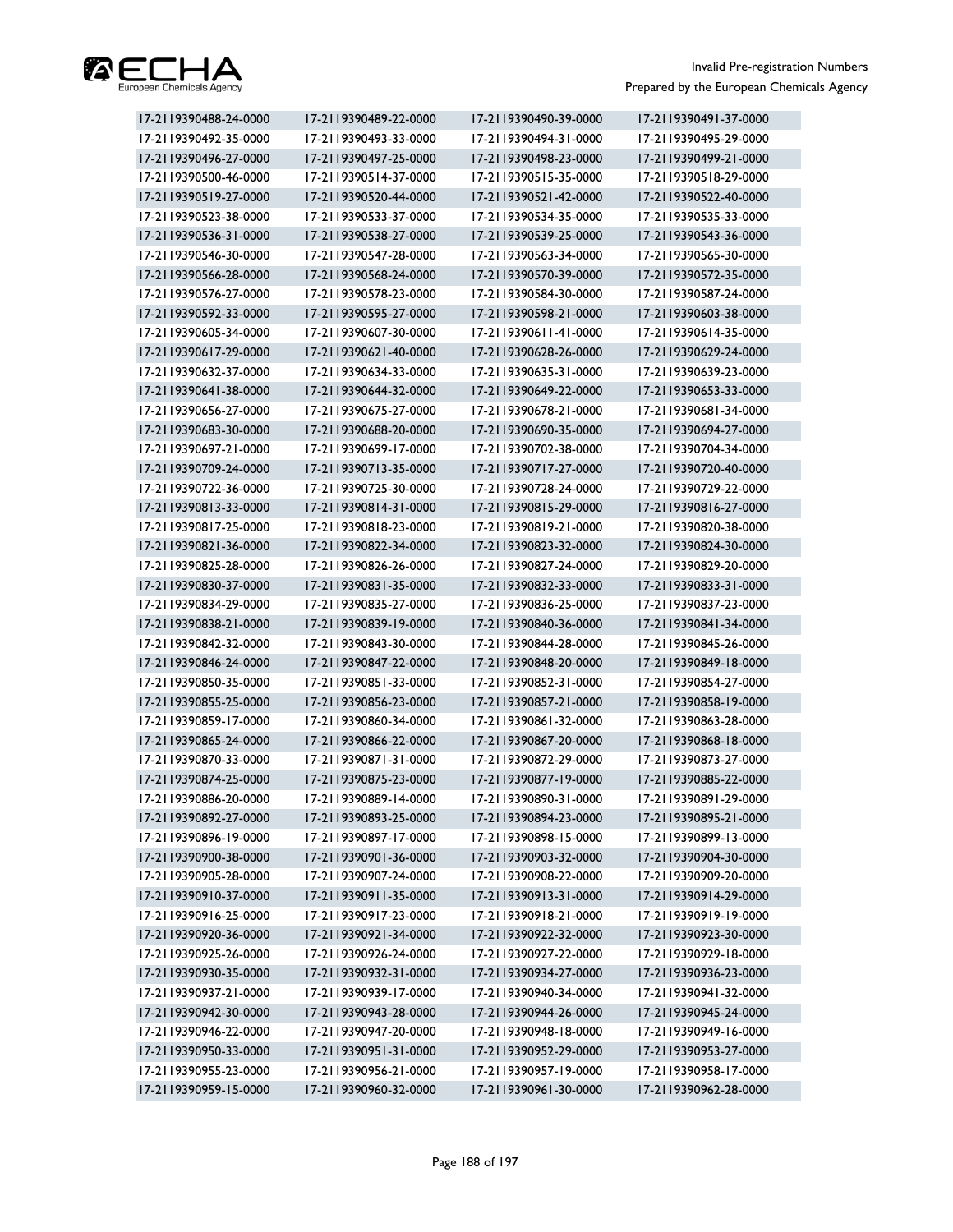

| 17-2119390488-24-0000 | 17-2119390489-22-0000 | 17-2119390490-39-0000 | 17-2119390491-37-0000 |
|-----------------------|-----------------------|-----------------------|-----------------------|
| 17-2119390492-35-0000 | 17-2119390493-33-0000 | 17-2119390494-31-0000 | 17-2119390495-29-0000 |
| 17-2119390496-27-0000 | 17-2119390497-25-0000 | 17-2119390498-23-0000 | 17-2119390499-21-0000 |
| 17-2119390500-46-0000 | 17-2119390514-37-0000 | 17-2119390515-35-0000 | 17-2119390518-29-0000 |
| 17-2119390519-27-0000 | 17-2119390520-44-0000 | 17-2119390521-42-0000 | 17-2119390522-40-0000 |
| 17-2119390523-38-0000 | 17-2119390533-37-0000 | 17-2119390534-35-0000 | 17-2119390535-33-0000 |
| 17-2119390536-31-0000 | 17-2119390538-27-0000 | 17-2119390539-25-0000 | 17-2119390543-36-0000 |
| 17-2119390546-30-0000 | 17-2119390547-28-0000 | 17-2119390563-34-0000 | 17-2119390565-30-0000 |
| 17-2119390566-28-0000 | 17-2119390568-24-0000 | 17-2119390570-39-0000 | 17-2119390572-35-0000 |
| 17-2119390576-27-0000 | 17-2119390578-23-0000 | 17-2119390584-30-0000 | 17-2119390587-24-0000 |
| 17-2119390592-33-0000 | 17-2119390595-27-0000 | 17-2119390598-21-0000 | 17-2119390603-38-0000 |
| 17-2119390605-34-0000 | 17-2119390607-30-0000 | 17-2119390611-41-0000 | 17-2119390614-35-0000 |
| 17-2119390617-29-0000 | 17-2119390621-40-0000 | 17-2119390628-26-0000 | 17-2119390629-24-0000 |
| 17-2119390632-37-0000 | 17-2119390634-33-0000 | 17-2119390635-31-0000 | 17-2119390639-23-0000 |
| 17-2119390641-38-0000 | 17-2119390644-32-0000 | 17-2119390649-22-0000 | 17-2119390653-33-0000 |
| 17-2119390656-27-0000 | 17-2119390675-27-0000 | 17-2119390678-21-0000 | 17-2119390681-34-0000 |
| 17-2119390683-30-0000 | 17-2119390688-20-0000 | 17-2119390690-35-0000 | 17-2119390694-27-0000 |
| 17-2119390697-21-0000 | 17-2119390699-17-0000 | 17-2119390702-38-0000 | 17-2119390704-34-0000 |
| 17-2119390709-24-0000 | 17-2119390713-35-0000 | 17-2119390717-27-0000 | 17-2119390720-40-0000 |
| 17-2119390722-36-0000 | 17-2119390725-30-0000 | 17-2119390728-24-0000 | 17-2119390729-22-0000 |
| 17-2119390813-33-0000 | 17-2119390814-31-0000 | 17-2119390815-29-0000 | 17-2119390816-27-0000 |
| 17-2119390817-25-0000 | 17-2119390818-23-0000 | 17-2119390819-21-0000 | 17-2119390820-38-0000 |
| 17-2119390821-36-0000 | 17-2119390822-34-0000 | 17-2119390823-32-0000 | 17-2119390824-30-0000 |
| 17-2119390825-28-0000 | 17-2119390826-26-0000 | 17-2119390827-24-0000 | 17-2119390829-20-0000 |
| 17-2119390830-37-0000 | 17-2119390831-35-0000 | 17-2119390832-33-0000 | 17-2119390833-31-0000 |
| 17-2119390834-29-0000 | 17-2119390835-27-0000 | 17-2119390836-25-0000 | 17-2119390837-23-0000 |
| 17-2119390838-21-0000 | 17-2119390839-19-0000 | 17-2119390840-36-0000 | 17-2119390841-34-0000 |
| 17-2119390842-32-0000 | 17-2119390843-30-0000 | 17-2119390844-28-0000 | 17-2119390845-26-0000 |
| 17-2119390846-24-0000 | 17-2119390847-22-0000 | 17-2119390848-20-0000 | 17-2119390849-18-0000 |
| 17-2119390850-35-0000 | 17-2119390851-33-0000 | 17-2119390852-31-0000 | 17-2119390854-27-0000 |
| 17-2119390855-25-0000 | 17-2119390856-23-0000 | 17-2119390857-21-0000 | 17-2119390858-19-0000 |
| 17-2119390859-17-0000 | 17-2119390860-34-0000 | 17-2119390861-32-0000 | 17-2119390863-28-0000 |
| 17-2119390865-24-0000 | 17-2119390866-22-0000 | 17-2119390867-20-0000 | 17-2119390868-18-0000 |
| 17-2119390870-33-0000 | 17-2119390871-31-0000 | 17-2119390872-29-0000 | 17-2119390873-27-0000 |
| 17-2119390874-25-0000 | 17-2119390875-23-0000 | 17-2119390877-19-0000 | 17-2119390885-22-0000 |
| 17-2119390886-20-0000 | 17-2119390889-14-0000 | 17-2119390890-31-0000 | 17-2119390891-29-0000 |
| 17-2119390892-27-0000 | 17-2119390893-25-0000 | 17-2119390894-23-0000 | 17-2119390895-21-0000 |
| 17-2119390896-19-0000 | 17-2119390897-17-0000 | 17-2119390898-15-0000 | 17-2119390899-13-0000 |
| 17-2119390900-38-0000 | 17-2119390901-36-0000 | 17-2119390903-32-0000 | 17-2119390904-30-0000 |
| 17-2119390905-28-0000 | 17-2119390907-24-0000 | 17-2119390908-22-0000 | 17-2119390909-20-0000 |
| 17-2119390910-37-0000 | 17-2119390911-35-0000 | 17-2119390913-31-0000 | 17-2119390914-29-0000 |
| 17-2119390916-25-0000 | 17-2119390917-23-0000 | 17-2119390918-21-0000 | 17-2119390919-19-0000 |
| 17-2119390920-36-0000 | 17-2119390921-34-0000 | 17-2119390922-32-0000 | 17-2119390923-30-0000 |
| 17-2119390925-26-0000 | 17-2119390926-24-0000 | 17-2119390927-22-0000 | 17-2119390929-18-0000 |
| 17-2119390930-35-0000 | 17-2119390932-31-0000 | 17-2119390934-27-0000 | 17-2119390936-23-0000 |
| 17-2119390937-21-0000 | 17-2119390939-17-0000 | 17-2119390940-34-0000 | 17-2119390941-32-0000 |
| 17-2119390942-30-0000 | 17-2119390943-28-0000 | 17-2119390944-26-0000 | 17-2119390945-24-0000 |
| 17-2119390946-22-0000 | 17-2119390947-20-0000 | 17-2119390948-18-0000 | 17-2119390949-16-0000 |
| 17-2119390950-33-0000 | 17-2119390951-31-0000 | 17-2119390952-29-0000 | 17-2119390953-27-0000 |
| 17-2119390955-23-0000 | 17-2119390956-21-0000 | 17-2119390957-19-0000 | 17-2119390958-17-0000 |
| 17-2119390959-15-0000 | 17-2119390960-32-0000 | 17-2119390961-30-0000 | 17-2119390962-28-0000 |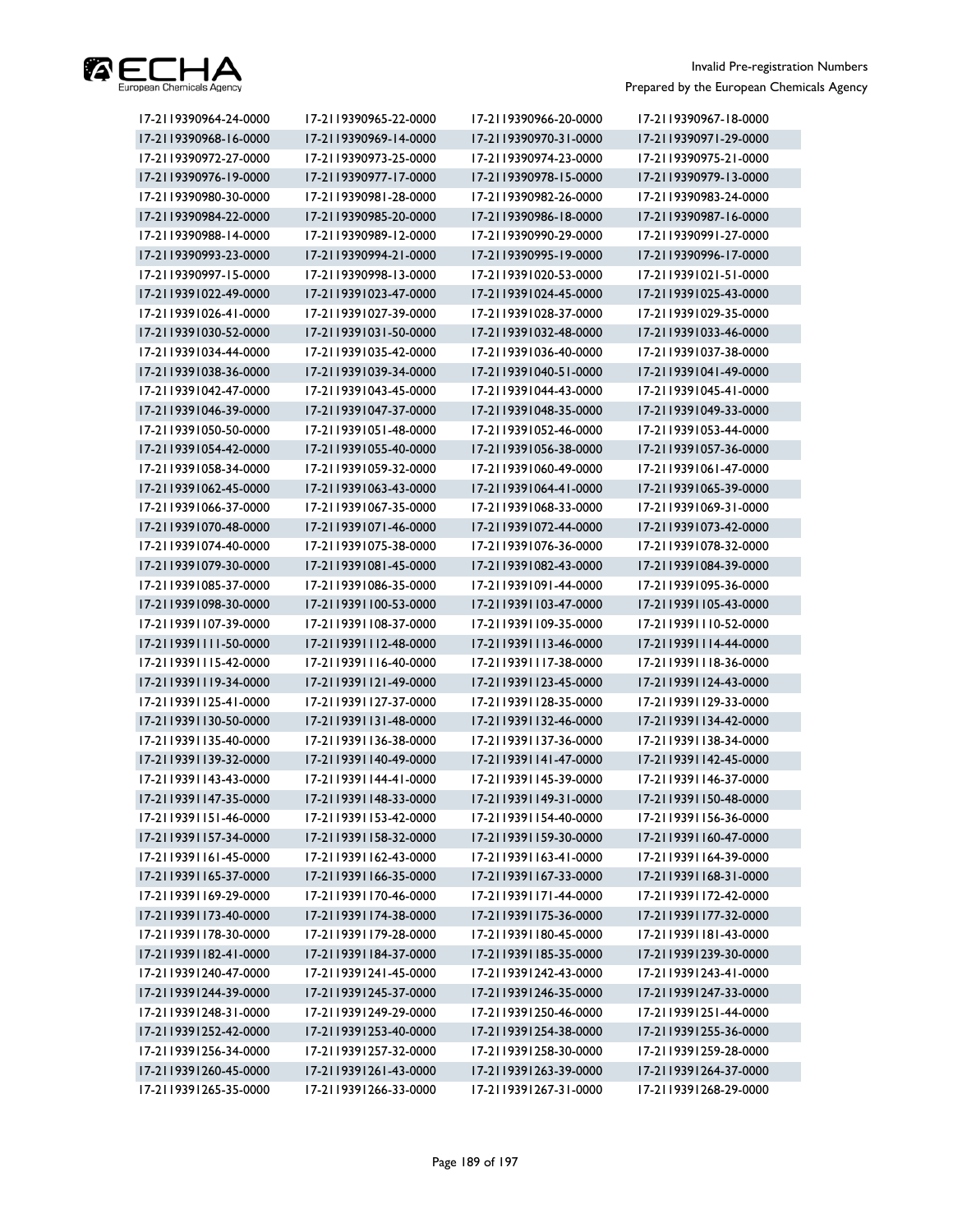

| 17-2119390964-24-0000 | 17-2119390965-22-0000 | 17-2119390966-20-0000 | 17-2119390967-18-0000 |
|-----------------------|-----------------------|-----------------------|-----------------------|
| 17-2119390968-16-0000 | 17-2119390969-14-0000 | 17-2119390970-31-0000 | 17-2119390971-29-0000 |
| 17-2119390972-27-0000 | 17-2119390973-25-0000 | 17-2119390974-23-0000 | 17-2119390975-21-0000 |
| 17-2119390976-19-0000 | 17-2119390977-17-0000 | 17-2119390978-15-0000 | 17-2119390979-13-0000 |
| 17-2119390980-30-0000 | 17-2119390981-28-0000 | 17-2119390982-26-0000 | 17-2119390983-24-0000 |
| 17-2119390984-22-0000 | 17-2119390985-20-0000 | 17-2119390986-18-0000 | 17-2119390987-16-0000 |
| 17-2119390988-14-0000 | 17-2119390989-12-0000 | 17-2119390990-29-0000 | 17-2119390991-27-0000 |
| 17-2119390993-23-0000 | 17-2119390994-21-0000 | 17-2119390995-19-0000 | 17-2119390996-17-0000 |
| 17-2119390997-15-0000 | 17-2119390998-13-0000 | 17-2119391020-53-0000 | 17-2119391021-51-0000 |
| 17-2119391022-49-0000 | 17-2119391023-47-0000 | 17-2119391024-45-0000 | 17-2119391025-43-0000 |
| 17-2119391026-41-0000 | 17-2119391027-39-0000 | 17-2119391028-37-0000 | 17-2119391029-35-0000 |
| 17-2119391030-52-0000 | 17-2119391031-50-0000 | 17-2119391032-48-0000 | 17-2119391033-46-0000 |
| 17-2119391034-44-0000 | 17-2119391035-42-0000 | 17-2119391036-40-0000 | 17-2119391037-38-0000 |
| 17-2119391038-36-0000 | 17-2119391039-34-0000 | 17-2119391040-51-0000 | 17-2119391041-49-0000 |
| 17-2119391042-47-0000 | 17-2119391043-45-0000 | 17-2119391044-43-0000 | 17-2119391045-41-0000 |
| 17-2119391046-39-0000 | 17-2119391047-37-0000 | 17-2119391048-35-0000 | 17-2119391049-33-0000 |
| 17-2119391050-50-0000 | 17-2119391051-48-0000 | 17-2119391052-46-0000 | 17-2119391053-44-0000 |
| 17-2119391054-42-0000 | 17-2119391055-40-0000 | 17-2119391056-38-0000 | 17-2119391057-36-0000 |
| 17-2119391058-34-0000 | 17-2119391059-32-0000 | 17-2119391060-49-0000 | 17-2119391061-47-0000 |
| 17-2119391062-45-0000 | 17-2119391063-43-0000 | 17-2119391064-41-0000 | 17-2119391065-39-0000 |
| 17-2119391066-37-0000 | 17-2119391067-35-0000 | 17-2119391068-33-0000 | 17-2119391069-31-0000 |
| 17-2119391070-48-0000 | 17-2119391071-46-0000 | 17-2119391072-44-0000 | 17-2119391073-42-0000 |
| 17-2119391074-40-0000 | 17-2119391075-38-0000 | 17-2119391076-36-0000 | 17-2119391078-32-0000 |
| 17-2119391079-30-0000 | 17-2119391081-45-0000 | 17-2119391082-43-0000 | 17-2119391084-39-0000 |
| 17-2119391085-37-0000 | 17-2119391086-35-0000 | 17-2119391091-44-0000 | 17-2119391095-36-0000 |
| 17-2119391098-30-0000 | 17-2119391100-53-0000 | 17-2119391103-47-0000 | 17-2119391105-43-0000 |
| 17-2119391107-39-0000 | 17-2119391108-37-0000 | 17-2119391109-35-0000 | 17-2119391110-52-0000 |
| 17-2119391111-50-0000 | 17-2119391112-48-0000 | 17-2119391113-46-0000 | 17-2119391114-44-0000 |
| 17-2119391115-42-0000 | 17-2119391116-40-0000 | 17-2119391117-38-0000 | 17-2119391118-36-0000 |
| 17-2119391119-34-0000 | 17-2119391121-49-0000 | 17-2119391123-45-0000 | 17-2119391124-43-0000 |
| 17-2119391125-41-0000 | 17-2119391127-37-0000 | 17-2119391128-35-0000 | 17-2119391129-33-0000 |
| 17-2119391130-50-0000 | 17-2119391131-48-0000 | 17-2119391132-46-0000 | 17-2119391134-42-0000 |
| 17-2119391135-40-0000 | 17-2119391136-38-0000 | 17-2119391137-36-0000 | 17-2119391138-34-0000 |
| 17-2119391139-32-0000 | 17-2119391140-49-0000 | 17-2119391141-47-0000 | 17-2119391142-45-0000 |
| 17-2119391143-43-0000 | 17-2119391144-41-0000 | 17-2119391145-39-0000 | 17-2119391146-37-0000 |
| 17-2119391147-35-0000 | 17-2119391148-33-0000 | 17-2119391149-31-0000 | 17-2119391150-48-0000 |
| 17-2119391151-46-0000 | 17-2119391153-42-0000 | 17-2119391154-40-0000 | 17-2119391156-36-0000 |
| 17-2119391157-34-0000 | 17-2119391158-32-0000 | 17-2119391159-30-0000 | 17-2119391160-47-0000 |
| 17-2119391161-45-0000 | 17-2119391162-43-0000 | 17-2119391163-41-0000 | 17-2119391164-39-0000 |
| 17-2119391165-37-0000 | 17-2119391166-35-0000 | 17-2119391167-33-0000 | 17-2119391168-31-0000 |
| 17-2119391169-29-0000 | 17-2119391170-46-0000 | 17-2119391171-44-0000 | 17-2119391172-42-0000 |
| 17-2119391173-40-0000 | 17-2119391174-38-0000 | 17-2119391175-36-0000 | 17-2119391177-32-0000 |
| 17-2119391178-30-0000 | 17-2119391179-28-0000 | 17-2119391180-45-0000 | 17-2119391181-43-0000 |
| 17-2119391182-41-0000 | 17-2119391184-37-0000 | 17-2119391185-35-0000 | 17-2119391239-30-0000 |
| 17-2119391240-47-0000 | 17-2119391241-45-0000 | 17-2119391242-43-0000 | 17-2119391243-41-0000 |
| 17-2119391244-39-0000 | 17-2119391245-37-0000 | 17-2119391246-35-0000 | 17-2119391247-33-0000 |
| 17-2119391248-31-0000 | 17-2119391249-29-0000 | 17-2119391250-46-0000 | 17-2119391251-44-0000 |
| 17-2119391252-42-0000 | 17-2119391253-40-0000 | 17-2119391254-38-0000 | 17-2119391255-36-0000 |
| 17-2119391256-34-0000 | 17-2119391257-32-0000 | 17-2119391258-30-0000 | 17-2119391259-28-0000 |
| 17-2119391260-45-0000 | 17-2119391261-43-0000 | 17-2119391263-39-0000 | 17-2119391264-37-0000 |
| 17-2119391265-35-0000 | 17-2119391266-33-0000 | 17-2119391267-31-0000 | 17-2119391268-29-0000 |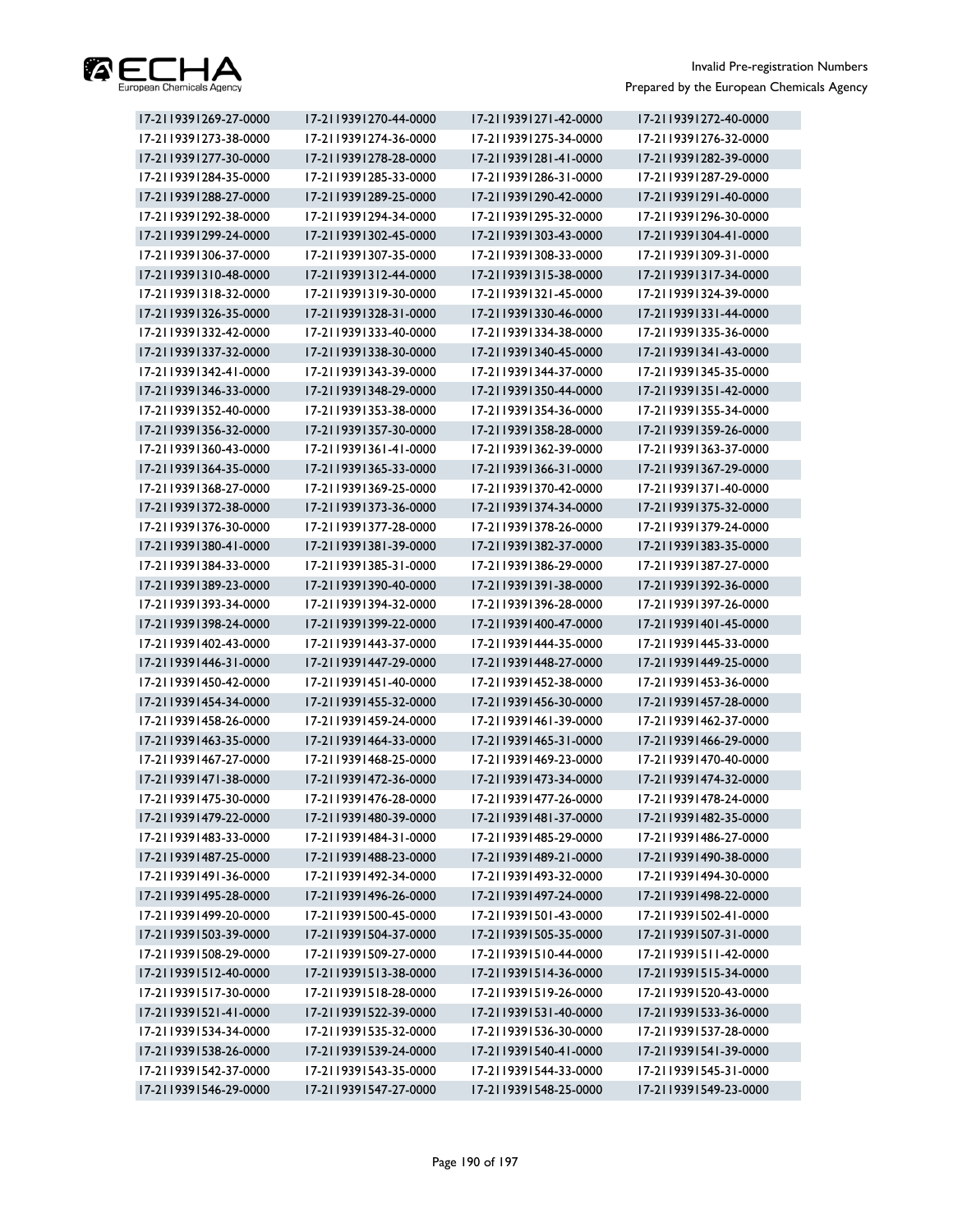

| 17-2119391269-27-0000 | 17-2119391270-44-0000 | 17-2119391271-42-0000 | 17-2119391272-40-0000 |
|-----------------------|-----------------------|-----------------------|-----------------------|
| 17-2119391273-38-0000 | 17-2119391274-36-0000 | 17-2119391275-34-0000 | 17-2119391276-32-0000 |
| 17-2119391277-30-0000 | 17-2119391278-28-0000 | 17-2119391281-41-0000 | 17-2119391282-39-0000 |
| 17-2119391284-35-0000 | 17-2119391285-33-0000 | 17-2119391286-31-0000 | 17-2119391287-29-0000 |
| 17-2119391288-27-0000 | 17-2119391289-25-0000 | 17-2119391290-42-0000 | 17-2119391291-40-0000 |
| 17-2119391292-38-0000 | 17-2119391294-34-0000 | 17-2119391295-32-0000 | 17-2119391296-30-0000 |
| 17-2119391299-24-0000 | 17-2119391302-45-0000 | 17-2119391303-43-0000 | 17-2119391304-41-0000 |
| 17-2119391306-37-0000 | 17-2119391307-35-0000 | 17-2119391308-33-0000 | 17-2119391309-31-0000 |
| 17-2119391310-48-0000 | 17-2119391312-44-0000 | 17-2119391315-38-0000 | 17-2119391317-34-0000 |
| 17-2119391318-32-0000 | 17-2119391319-30-0000 | 17-2119391321-45-0000 | 17-2119391324-39-0000 |
| 17-2119391326-35-0000 | 17-2119391328-31-0000 | 17-2119391330-46-0000 | 17-2119391331-44-0000 |
| 17-2119391332-42-0000 | 17-2119391333-40-0000 | 17-2119391334-38-0000 | 17-2119391335-36-0000 |
| 17-2119391337-32-0000 | 17-2119391338-30-0000 | 17-2119391340-45-0000 | 17-2119391341-43-0000 |
| 17-2119391342-41-0000 | 17-2119391343-39-0000 | 17-2119391344-37-0000 | 17-2119391345-35-0000 |
| 17-2119391346-33-0000 | 17-2119391348-29-0000 | 17-2119391350-44-0000 | 17-2119391351-42-0000 |
| 17-2119391352-40-0000 | 17-2119391353-38-0000 | 17-2119391354-36-0000 | 17-2119391355-34-0000 |
| 17-2119391356-32-0000 | 17-2119391357-30-0000 | 17-2119391358-28-0000 | 17-2119391359-26-0000 |
| 17-2119391360-43-0000 | 17-2119391361-41-0000 | 17-2119391362-39-0000 | 17-2119391363-37-0000 |
| 17-2119391364-35-0000 | 17-2119391365-33-0000 | 17-2119391366-31-0000 | 17-2119391367-29-0000 |
| 17-2119391368-27-0000 | 17-2119391369-25-0000 | 17-2119391370-42-0000 | 17-2119391371-40-0000 |
| 17-2119391372-38-0000 | 17-2119391373-36-0000 | 17-2119391374-34-0000 | 17-2119391375-32-0000 |
| 17-2119391376-30-0000 | 17-2119391377-28-0000 | 17-2119391378-26-0000 | 17-2119391379-24-0000 |
| 17-2119391380-41-0000 | 17-2119391381-39-0000 | 17-2119391382-37-0000 | 17-2119391383-35-0000 |
| 17-2119391384-33-0000 | 17-2119391385-31-0000 | 17-2119391386-29-0000 | 17-2119391387-27-0000 |
| 17-2119391389-23-0000 | 17-2119391390-40-0000 | 17-2119391391-38-0000 | 17-2119391392-36-0000 |
| 17-2119391393-34-0000 | 17-2119391394-32-0000 | 17-2119391396-28-0000 | 17-2119391397-26-0000 |
| 17-2119391398-24-0000 | 17-2119391399-22-0000 | 17-2119391400-47-0000 | 17-2119391401-45-0000 |
| 17-2119391402-43-0000 | 17-2119391443-37-0000 | 17-2119391444-35-0000 | 17-2119391445-33-0000 |
| 17-2119391446-31-0000 | 17-2119391447-29-0000 | 17-2119391448-27-0000 | 17-2119391449-25-0000 |
| 17-2119391450-42-0000 | 17-2119391451-40-0000 | 17-2119391452-38-0000 | 17-2119391453-36-0000 |
| 17-2119391454-34-0000 | 17-2119391455-32-0000 | 17-2119391456-30-0000 | 17-2119391457-28-0000 |
| 17-2119391458-26-0000 | 17-2119391459-24-0000 | 17-2119391461-39-0000 | 17-2119391462-37-0000 |
| 17-2119391463-35-0000 | 17-2119391464-33-0000 | 17-2119391465-31-0000 | 17-2119391466-29-0000 |
| 17-2119391467-27-0000 | 17-2119391468-25-0000 | 17-2119391469-23-0000 | 17-2119391470-40-0000 |
| 17-2119391471-38-0000 | 17-2119391472-36-0000 | 17-2119391473-34-0000 | 17-2119391474-32-0000 |
| 17-2119391475-30-0000 | 17-2119391476-28-0000 | 17-2119391477-26-0000 | 17-2119391478-24-0000 |
| 17-2119391479-22-0000 | 17-2119391480-39-0000 | 17-2119391481-37-0000 | 17-2119391482-35-0000 |
| 17-2119391483-33-0000 | 17-2119391484-31-0000 | 17-2119391485-29-0000 | 17-2119391486-27-0000 |
| 17-2119391487-25-0000 | 17-2119391488-23-0000 | 17-2119391489-21-0000 | 17-2119391490-38-0000 |
| 17-2119391491-36-0000 | 17-2119391492-34-0000 | 17-2119391493-32-0000 | 17-2119391494-30-0000 |
| 17-2119391495-28-0000 | 17-2119391496-26-0000 | 17-2119391497-24-0000 | 17-2119391498-22-0000 |
| 17-2119391499-20-0000 | 17-2119391500-45-0000 | 17-2119391501-43-0000 | 17-2119391502-41-0000 |
| 17-2119391503-39-0000 | 17-2119391504-37-0000 | 17-2119391505-35-0000 | 17-2119391507-31-0000 |
| 17-2119391508-29-0000 | 17-2119391509-27-0000 | 17-2119391510-44-0000 | 17-2119391511-42-0000 |
| 17-2119391512-40-0000 | 17-2119391513-38-0000 | 17-2119391514-36-0000 | 17-2119391515-34-0000 |
| 17-2119391517-30-0000 | 17-2119391518-28-0000 | 17-2119391519-26-0000 | 17-2119391520-43-0000 |
| 17-2119391521-41-0000 | 17-2119391522-39-0000 | 17-2119391531-40-0000 | 17-2119391533-36-0000 |
| 17-2119391534-34-0000 | 17-2119391535-32-0000 | 17-2119391536-30-0000 | 17-2119391537-28-0000 |
| 17-2119391538-26-0000 | 17-2119391539-24-0000 | 17-2119391540-41-0000 | 17-2119391541-39-0000 |
| 17-2119391542-37-0000 | 17-2119391543-35-0000 | 17-2119391544-33-0000 | 17-2119391545-31-0000 |
| 17-2119391546-29-0000 | 17-2119391547-27-0000 | 17-2119391548-25-0000 | 17-2119391549-23-0000 |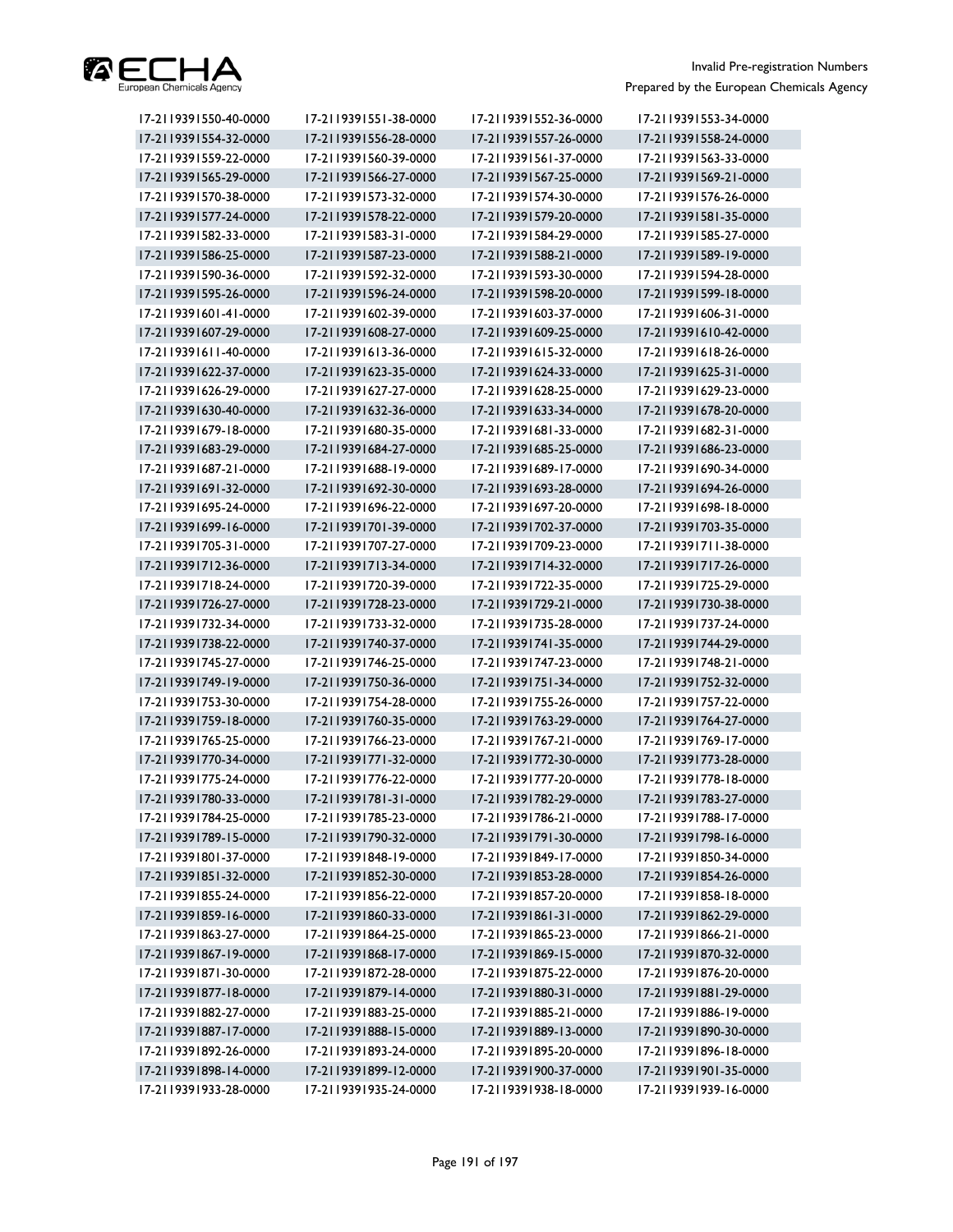

| 17-2119391550-40-0000 | 17-2119391551-38-0000 | 17-2119391552-36-0000 | 17-2119391553-34-0000 |
|-----------------------|-----------------------|-----------------------|-----------------------|
| 17-2119391554-32-0000 | 17-2119391556-28-0000 | 17-2119391557-26-0000 | 17-2119391558-24-0000 |
| 17-2119391559-22-0000 | 17-2119391560-39-0000 | 17-2119391561-37-0000 | 17-2119391563-33-0000 |
| 17-2119391565-29-0000 | 17-2119391566-27-0000 | 17-2119391567-25-0000 | 17-2119391569-21-0000 |
| 17-2119391570-38-0000 | 17-2119391573-32-0000 | 17-2119391574-30-0000 | 17-2119391576-26-0000 |
| 17-2119391577-24-0000 | 17-2119391578-22-0000 | 17-2119391579-20-0000 | 17-2119391581-35-0000 |
| 17-2119391582-33-0000 | 17-2119391583-31-0000 | 17-2119391584-29-0000 | 17-2119391585-27-0000 |
| 17-2119391586-25-0000 | 17-2119391587-23-0000 | 17-2119391588-21-0000 | 17-2119391589-19-0000 |
| 17-2119391590-36-0000 | 17-2119391592-32-0000 | 17-2119391593-30-0000 | 17-2119391594-28-0000 |
| 17-2119391595-26-0000 | 17-2119391596-24-0000 | 17-2119391598-20-0000 | 17-2119391599-18-0000 |
| 17-2119391601-41-0000 | 17-2119391602-39-0000 | 17-2119391603-37-0000 | 17-2119391606-31-0000 |
| 17-2119391607-29-0000 | 17-2119391608-27-0000 | 17-2119391609-25-0000 | 17-2119391610-42-0000 |
| 17-2119391611-40-0000 | 17-2119391613-36-0000 | 17-2119391615-32-0000 | 17-2119391618-26-0000 |
| 17-2119391622-37-0000 | 17-2119391623-35-0000 | 17-2119391624-33-0000 | 17-2119391625-31-0000 |
| 17-2119391626-29-0000 | 17-2119391627-27-0000 | 17-2119391628-25-0000 | 17-2119391629-23-0000 |
| 17-2119391630-40-0000 | 17-2119391632-36-0000 | 17-2119391633-34-0000 | 17-2119391678-20-0000 |
| 17-2119391679-18-0000 | 17-2119391680-35-0000 | 17-2119391681-33-0000 | 17-2119391682-31-0000 |
| 17-2119391683-29-0000 | 17-2119391684-27-0000 | 17-2119391685-25-0000 | 17-2119391686-23-0000 |
| 17-2119391687-21-0000 | 17-2119391688-19-0000 | 17-2119391689-17-0000 | 17-2119391690-34-0000 |
| 17-2119391691-32-0000 | 17-2119391692-30-0000 | 17-2119391693-28-0000 | 17-2119391694-26-0000 |
| 17-2119391695-24-0000 | 17-2119391696-22-0000 | 17-2119391697-20-0000 | 17-2119391698-18-0000 |
| 17-2119391699-16-0000 | 17-2119391701-39-0000 | 17-2119391702-37-0000 | 17-2119391703-35-0000 |
| 17-2119391705-31-0000 | 17-2119391707-27-0000 | 17-2119391709-23-0000 | 17-2119391711-38-0000 |
| 17-2119391712-36-0000 | 17-2119391713-34-0000 | 17-2119391714-32-0000 | 17-2119391717-26-0000 |
| 17-2119391718-24-0000 | 17-2119391720-39-0000 | 17-2119391722-35-0000 | 17-2119391725-29-0000 |
| 17-2119391726-27-0000 | 17-2119391728-23-0000 | 17-2119391729-21-0000 | 17-2119391730-38-0000 |
| 17-2119391732-34-0000 | 17-2119391733-32-0000 | 17-2119391735-28-0000 | 17-2119391737-24-0000 |
| 17-2119391738-22-0000 | 17-2119391740-37-0000 | 17-2119391741-35-0000 | 17-2119391744-29-0000 |
| 17-2119391745-27-0000 | 17-2119391746-25-0000 | 17-2119391747-23-0000 | 17-2119391748-21-0000 |
| 17-2119391749-19-0000 | 17-2119391750-36-0000 | 17-2119391751-34-0000 | 17-2119391752-32-0000 |
| 17-2119391753-30-0000 | 17-2119391754-28-0000 | 17-2119391755-26-0000 | 17-2119391757-22-0000 |
| 17-2119391759-18-0000 | 17-2119391760-35-0000 | 17-2119391763-29-0000 | 17-2119391764-27-0000 |
| 17-2119391765-25-0000 | 17-2119391766-23-0000 | 17-2119391767-21-0000 | 17-2119391769-17-0000 |
| 17-2119391770-34-0000 | 17-2119391771-32-0000 | 17-2119391772-30-0000 | 17-2119391773-28-0000 |
| 17-2119391775-24-0000 | 17-2119391776-22-0000 | 17-2119391777-20-0000 | 17-2119391778-18-0000 |
| 17-2119391780-33-0000 | 17-2119391781-31-0000 | 17-2119391782-29-0000 | 17-2119391783-27-0000 |
| 17-2119391784-25-0000 | 17-2119391785-23-0000 | 17-2119391786-21-0000 | 17-2119391788-17-0000 |
| 17-2119391789-15-0000 | 17-2119391790-32-0000 | 17-2119391791-30-0000 | 17-2119391798-16-0000 |
| 17-2119391801-37-0000 | 17-2119391848-19-0000 | 17-2119391849-17-0000 | 17-2119391850-34-0000 |
| 17-2119391851-32-0000 | 17-2119391852-30-0000 | 17-2119391853-28-0000 | 17-2119391854-26-0000 |
| 17-2119391855-24-0000 | 17-2119391856-22-0000 | 17-2119391857-20-0000 | 17-2119391858-18-0000 |
| 17-2119391859-16-0000 | 17-2119391860-33-0000 | 17-2119391861-31-0000 | 17-2119391862-29-0000 |
| 17-2119391863-27-0000 | 17-2119391864-25-0000 | 17-2119391865-23-0000 | 17-2119391866-21-0000 |
| 17-2119391867-19-0000 | 17-2119391868-17-0000 | 17-2119391869-15-0000 | 17-2119391870-32-0000 |
| 17-2119391871-30-0000 | 17-2119391872-28-0000 | 17-2119391875-22-0000 | 17-2119391876-20-0000 |
| 17-2119391877-18-0000 | 17-2119391879-14-0000 | 17-2119391880-31-0000 | 17-2119391881-29-0000 |
| 17-2119391882-27-0000 | 17-2119391883-25-0000 | 17-2119391885-21-0000 | 17-2119391886-19-0000 |
| 17-2119391887-17-0000 | 17-2119391888-15-0000 | 17-2119391889-13-0000 | 17-2119391890-30-0000 |
| 17-2119391892-26-0000 | 17-2119391893-24-0000 | 17-2119391895-20-0000 | 17-2119391896-18-0000 |
| 17-2119391898-14-0000 | 17-2119391899-12-0000 | 17-2119391900-37-0000 | 17-2119391901-35-0000 |
| 17-2119391933-28-0000 | 17-2119391935-24-0000 | 17-2119391938-18-0000 | 17-2119391939-16-0000 |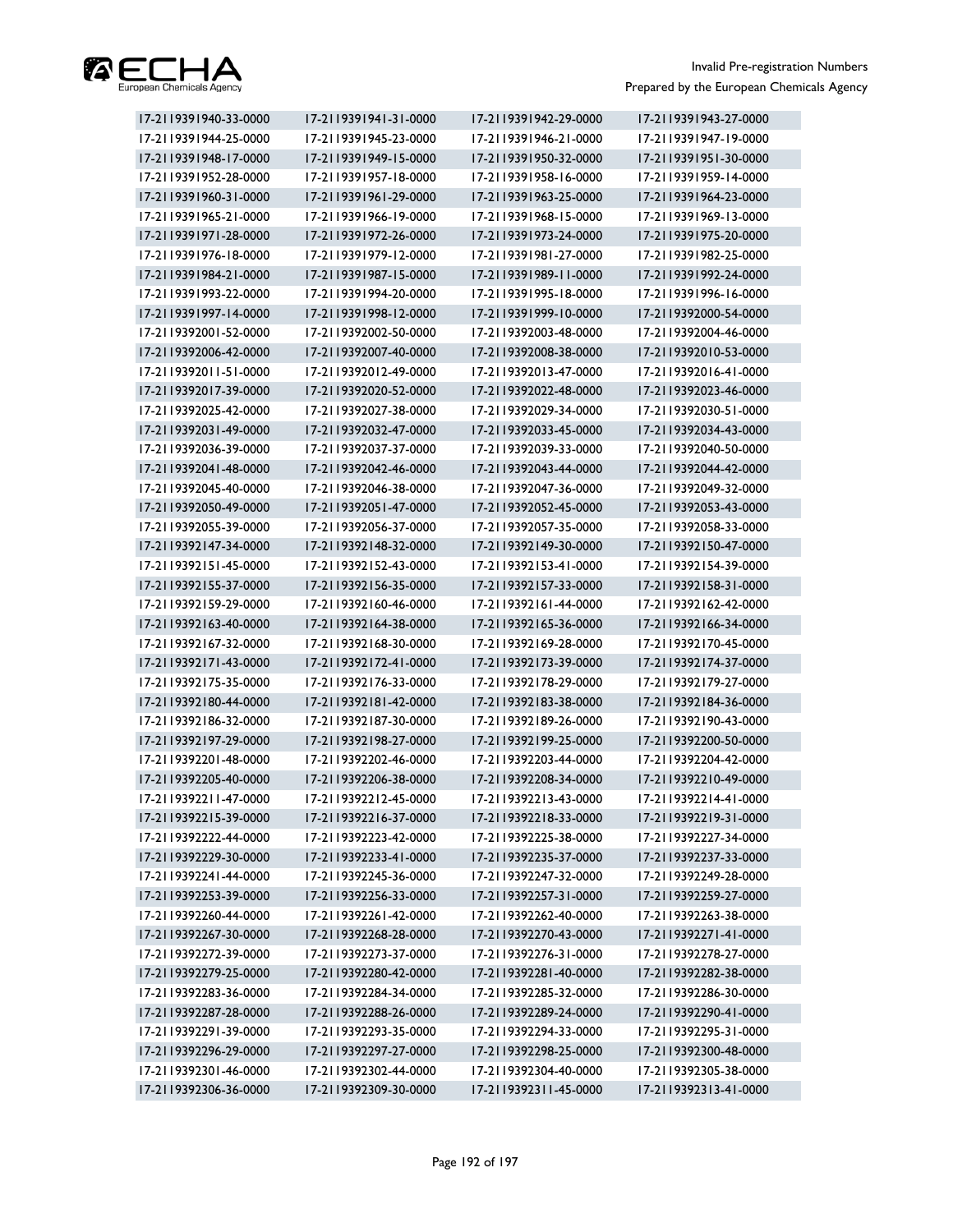

| 17-2119391940-33-0000 | 17-2119391941-31-0000 | 17-2119391942-29-0000 | 17-2119391943-27-0000 |
|-----------------------|-----------------------|-----------------------|-----------------------|
| 17-2119391944-25-0000 | 17-2119391945-23-0000 | 17-2119391946-21-0000 | 17-2119391947-19-0000 |
| 17-2119391948-17-0000 | 17-2119391949-15-0000 | 17-2119391950-32-0000 | 17-2119391951-30-0000 |
| 17-2119391952-28-0000 | 17-2119391957-18-0000 | 17-2119391958-16-0000 | 17-2119391959-14-0000 |
| 17-2119391960-31-0000 | 17-2119391961-29-0000 | 17-2119391963-25-0000 | 17-2119391964-23-0000 |
| 17-2119391965-21-0000 | 17-2119391966-19-0000 | 17-2119391968-15-0000 | 17-2119391969-13-0000 |
| 17-2119391971-28-0000 | 17-2119391972-26-0000 | 17-2119391973-24-0000 | 17-2119391975-20-0000 |
| 17-2119391976-18-0000 | 17-2119391979-12-0000 | 17-2119391981-27-0000 | 17-2119391982-25-0000 |
| 17-2119391984-21-0000 | 17-2119391987-15-0000 | 17-2119391989-11-0000 | 17-2119391992-24-0000 |
| 17-2119391993-22-0000 | 17-2119391994-20-0000 | 17-2119391995-18-0000 | 17-2119391996-16-0000 |
| 17-2119391997-14-0000 | 17-2119391998-12-0000 | 17-2119391999-10-0000 | 17-2119392000-54-0000 |
| 17-2119392001-52-0000 | 17-2119392002-50-0000 | 17-2119392003-48-0000 | 17-2119392004-46-0000 |
| 17-2119392006-42-0000 | 17-2119392007-40-0000 | 17-2119392008-38-0000 | 17-2119392010-53-0000 |
| 17-2119392011-51-0000 | 17-2119392012-49-0000 | 17-2119392013-47-0000 | 17-2119392016-41-0000 |
| 17-2119392017-39-0000 | 17-2119392020-52-0000 | 17-2119392022-48-0000 | 17-2119392023-46-0000 |
| 17-2119392025-42-0000 | 17-2119392027-38-0000 | 17-2119392029-34-0000 | 17-2119392030-51-0000 |
| 17-2119392031-49-0000 | 17-2119392032-47-0000 | 17-2119392033-45-0000 | 17-2119392034-43-0000 |
| 17-2119392036-39-0000 | 17-2119392037-37-0000 | 17-2119392039-33-0000 | 17-2119392040-50-0000 |
| 17-2119392041-48-0000 | 17-2119392042-46-0000 | 17-2119392043-44-0000 | 17-2119392044-42-0000 |
| 17-2119392045-40-0000 | 17-2119392046-38-0000 | 17-2119392047-36-0000 | 17-2119392049-32-0000 |
| 17-2119392050-49-0000 | 17-2119392051-47-0000 | 17-2119392052-45-0000 | 17-2119392053-43-0000 |
| 17-2119392055-39-0000 | 17-2119392056-37-0000 | 17-2119392057-35-0000 | 17-2119392058-33-0000 |
| 17-2119392147-34-0000 | 17-2119392148-32-0000 | 17-2119392149-30-0000 | 17-2119392150-47-0000 |
| 17-2119392151-45-0000 | 17-2119392152-43-0000 | 17-2119392153-41-0000 | 17-2119392154-39-0000 |
| 17-2119392155-37-0000 | 17-2119392156-35-0000 | 17-2119392157-33-0000 | 17-2119392158-31-0000 |
| 17-2119392159-29-0000 | 17-2119392160-46-0000 | 17-2119392161-44-0000 | 17-2119392162-42-0000 |
| 17-2119392163-40-0000 | 17-2119392164-38-0000 | 17-2119392165-36-0000 | 17-2119392166-34-0000 |
| 17-2119392167-32-0000 | 17-2119392168-30-0000 | 17-2119392169-28-0000 | 17-2119392170-45-0000 |
| 17-2119392171-43-0000 | 17-2119392172-41-0000 | 17-2119392173-39-0000 | 17-2119392174-37-0000 |
| 17-2119392175-35-0000 | 17-2119392176-33-0000 | 17-2119392178-29-0000 | 17-2119392179-27-0000 |
| 17-2119392180-44-0000 | 17-2119392181-42-0000 | 17-2119392183-38-0000 | 17-2119392184-36-0000 |
| 17-2119392186-32-0000 | 17-2119392187-30-0000 | 17-2119392189-26-0000 | 17-2119392190-43-0000 |
| 17-2119392197-29-0000 | 17-2119392198-27-0000 | 17-2119392199-25-0000 | 17-2119392200-50-0000 |
| 17-2119392201-48-0000 | 17-2119392202-46-0000 | 17-2119392203-44-0000 | 17-2119392204-42-0000 |
| 17-2119392205-40-0000 | 17-2119392206-38-0000 | 17-2119392208-34-0000 | 17-2119392210-49-0000 |
| 17-2119392211-47-0000 | 17-2119392212-45-0000 | 17-2119392213-43-0000 | 17-2119392214-41-0000 |
| 17-2119392215-39-0000 | 17-2119392216-37-0000 | 17-2119392218-33-0000 | 17-2119392219-31-0000 |
| 17-2119392222-44-0000 | 17-2119392223-42-0000 | 17-2119392225-38-0000 | 17-2119392227-34-0000 |
| 17-2119392229-30-0000 | 17-2119392233-41-0000 | 17-2119392235-37-0000 | 17-2119392237-33-0000 |
| 17-2119392241-44-0000 | 17-2119392245-36-0000 | 17-2119392247-32-0000 | 17-2119392249-28-0000 |
| 17-2119392253-39-0000 | 17-2119392256-33-0000 | 17-2119392257-31-0000 | 17-2119392259-27-0000 |
| 17-2119392260-44-0000 | 17-2119392261-42-0000 | 17-2119392262-40-0000 | 17-2119392263-38-0000 |
| 17-2119392267-30-0000 | 17-2119392268-28-0000 | 17-2119392270-43-0000 | 17-2119392271-41-0000 |
| 17-2119392272-39-0000 | 17-2119392273-37-0000 | 17-2119392276-31-0000 | 17-2119392278-27-0000 |
| 17-2119392279-25-0000 | 17-2119392280-42-0000 | 17-2119392281-40-0000 | 17-2119392282-38-0000 |
| 17-2119392283-36-0000 | 17-2119392284-34-0000 | 17-2119392285-32-0000 | 17-2119392286-30-0000 |
| 17-2119392287-28-0000 | 17-2119392288-26-0000 | 17-2119392289-24-0000 | 17-2119392290-41-0000 |
| 17-2119392291-39-0000 | 17-2119392293-35-0000 | 17-2119392294-33-0000 | 17-2119392295-31-0000 |
| 17-2119392296-29-0000 | 17-2119392297-27-0000 | 17-2119392298-25-0000 | 17-2119392300-48-0000 |
| 17-2119392301-46-0000 | 17-2119392302-44-0000 | 17-2119392304-40-0000 | 17-2119392305-38-0000 |
| 17-2119392306-36-0000 | 17-2119392309-30-0000 | 17-2119392311-45-0000 | 17-2119392313-41-0000 |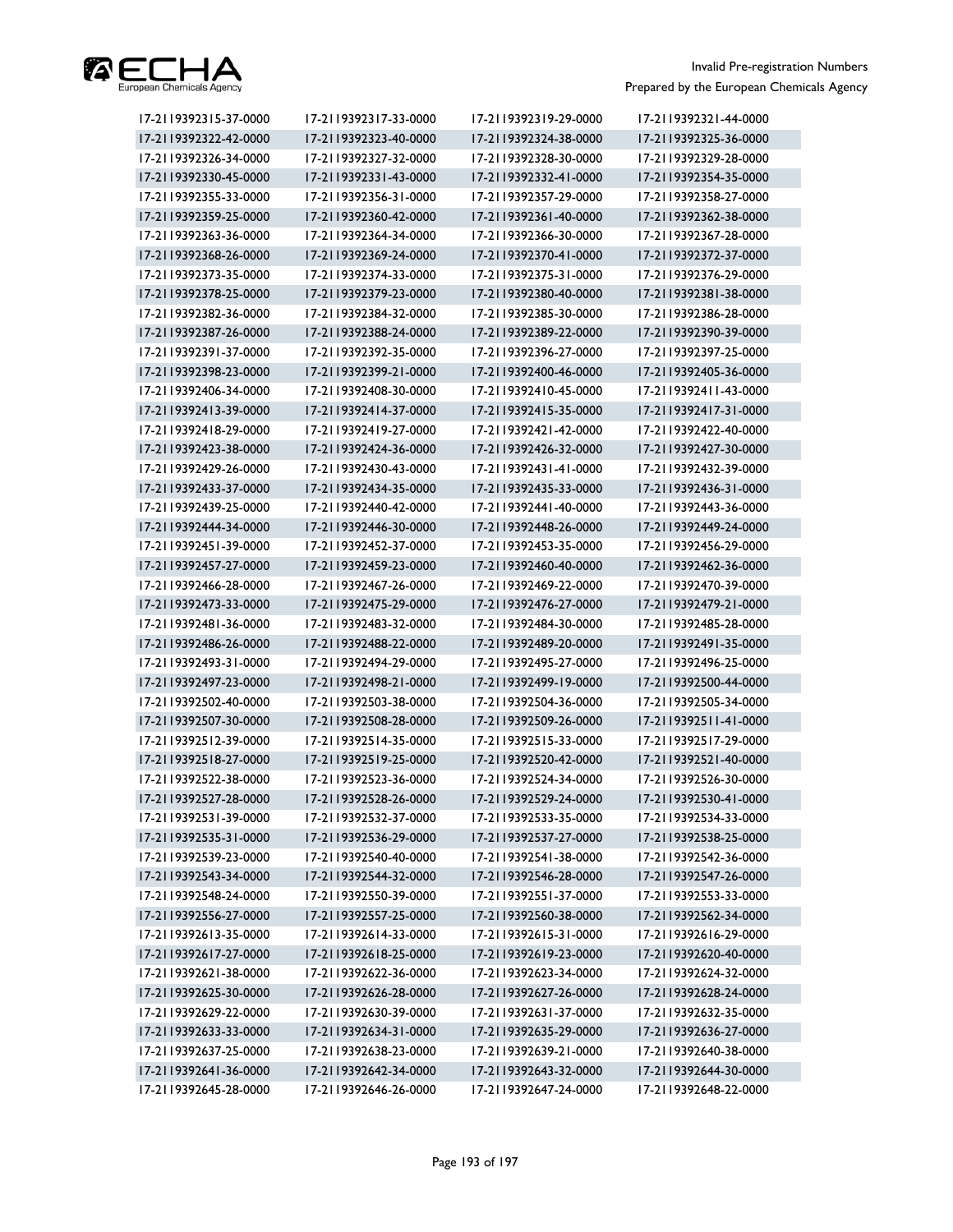

| 17-2119392315-37-0000 | 17-2119392317-33-0000 | 17-2119392319-29-0000 | 17-2119392321-44-0000 |
|-----------------------|-----------------------|-----------------------|-----------------------|
| 17-2119392322-42-0000 | 17-2119392323-40-0000 | 17-2119392324-38-0000 | 17-2119392325-36-0000 |
| 17-2119392326-34-0000 | 17-2119392327-32-0000 | 17-2119392328-30-0000 | 17-2119392329-28-0000 |
| 17-2119392330-45-0000 | 17-2119392331-43-0000 | 17-2119392332-41-0000 | 17-2119392354-35-0000 |
| 17-2119392355-33-0000 | 17-2119392356-31-0000 | 17-2119392357-29-0000 | 17-2119392358-27-0000 |
| 17-2119392359-25-0000 | 17-2119392360-42-0000 | 17-2119392361-40-0000 | 17-2119392362-38-0000 |
| 17-2119392363-36-0000 | 17-2119392364-34-0000 | 17-2119392366-30-0000 | 17-2119392367-28-0000 |
| 17-2119392368-26-0000 | 17-2119392369-24-0000 | 17-2119392370-41-0000 | 17-2119392372-37-0000 |
| 17-2119392373-35-0000 | 17-2119392374-33-0000 | 17-2119392375-31-0000 | 17-2119392376-29-0000 |
| 17-2119392378-25-0000 | 17-2119392379-23-0000 | 17-2119392380-40-0000 | 17-2119392381-38-0000 |
| 17-2119392382-36-0000 | 17-2119392384-32-0000 | 17-2119392385-30-0000 | 17-2119392386-28-0000 |
| 17-2119392387-26-0000 | 17-2119392388-24-0000 | 17-2119392389-22-0000 | 17-2119392390-39-0000 |
| 17-2119392391-37-0000 | 17-2119392392-35-0000 | 17-2119392396-27-0000 | 17-2119392397-25-0000 |
| 17-2119392398-23-0000 | 17-2119392399-21-0000 | 17-2119392400-46-0000 | 17-2119392405-36-0000 |
| 17-2119392406-34-0000 | 17-2119392408-30-0000 | 17-2119392410-45-0000 | 17-2119392411-43-0000 |
| 17-2119392413-39-0000 | 17-2119392414-37-0000 | 17-2119392415-35-0000 | 17-2119392417-31-0000 |
| 17-2119392418-29-0000 | 17-2119392419-27-0000 | 17-2119392421-42-0000 | 17-2119392422-40-0000 |
| 17-2119392423-38-0000 | 17-2119392424-36-0000 | 17-2119392426-32-0000 | 17-2119392427-30-0000 |
| 17-2119392429-26-0000 | 17-2119392430-43-0000 | 17-2119392431-41-0000 | 17-2119392432-39-0000 |
| 17-2119392433-37-0000 | 17-2119392434-35-0000 | 17-2119392435-33-0000 | 17-2119392436-31-0000 |
| 17-2119392439-25-0000 | 17-2119392440-42-0000 | 17-2119392441-40-0000 | 17-2119392443-36-0000 |
| 17-2119392444-34-0000 | 17-2119392446-30-0000 | 17-2119392448-26-0000 | 17-2119392449-24-0000 |
| 17-2119392451-39-0000 | 17-2119392452-37-0000 | 17-2119392453-35-0000 | 17-2119392456-29-0000 |
| 17-2119392457-27-0000 | 17-2119392459-23-0000 | 17-2119392460-40-0000 | 17-2119392462-36-0000 |
| 17-2119392466-28-0000 | 17-2119392467-26-0000 | 17-2119392469-22-0000 | 17-2119392470-39-0000 |
| 17-2119392473-33-0000 | 17-2119392475-29-0000 | 17-2119392476-27-0000 | 17-2119392479-21-0000 |
| 17-2119392481-36-0000 | 17-2119392483-32-0000 | 17-2119392484-30-0000 | 17-2119392485-28-0000 |
| 17-2119392486-26-0000 | 17-2119392488-22-0000 | 17-2119392489-20-0000 | 17-2119392491-35-0000 |
| 17-2119392493-31-0000 | 17-2119392494-29-0000 | 17-2119392495-27-0000 | 17-2119392496-25-0000 |
| 17-2119392497-23-0000 | 17-2119392498-21-0000 | 17-2119392499-19-0000 | 17-2119392500-44-0000 |
| 17-2119392502-40-0000 | 17-2119392503-38-0000 | 17-2119392504-36-0000 | 17-2119392505-34-0000 |
| 17-2119392507-30-0000 | 17-2119392508-28-0000 | 17-2119392509-26-0000 | 17-2119392511-41-0000 |
| 17-2119392512-39-0000 | 17-2119392514-35-0000 | 17-2119392515-33-0000 | 17-2119392517-29-0000 |
| 17-2119392518-27-0000 | 17-2119392519-25-0000 | 17-2119392520-42-0000 | 17-2119392521-40-0000 |
| 17-2119392522-38-0000 | 17-2119392523-36-0000 | 17-2119392524-34-0000 | 17-2119392526-30-0000 |
| 17-2119392527-28-0000 | 17-2119392528-26-0000 | 17-2119392529-24-0000 | 17-2119392530-41-0000 |
| 17-2119392531-39-0000 | 17-2119392532-37-0000 | 17-2119392533-35-0000 | 17-2119392534-33-0000 |
| 17-2119392535-31-0000 | 17-2119392536-29-0000 | 17-2119392537-27-0000 | 17-2119392538-25-0000 |
| 17-2119392539-23-0000 | 17-2119392540-40-0000 | 17-2119392541-38-0000 | 17-2119392542-36-0000 |
| 17-2119392543-34-0000 | 17-2119392544-32-0000 | 17-2119392546-28-0000 | 17-2119392547-26-0000 |
| 17-2119392548-24-0000 | 17-2119392550-39-0000 | 17-2119392551-37-0000 | 17-2119392553-33-0000 |
| 17-2119392556-27-0000 | 17-2119392557-25-0000 | 17-2119392560-38-0000 | 17-2119392562-34-0000 |
| 17-2119392613-35-0000 | 17-2119392614-33-0000 | 17-2119392615-31-0000 | 17-2119392616-29-0000 |
| 17-2119392617-27-0000 | 17-2119392618-25-0000 | 17-2119392619-23-0000 | 17-2119392620-40-0000 |
| 17-2119392621-38-0000 | 17-2119392622-36-0000 | 17-2119392623-34-0000 | 17-2119392624-32-0000 |
| 17-2119392625-30-0000 | 17-2119392626-28-0000 | 17-2119392627-26-0000 | 17-2119392628-24-0000 |
| 17-2119392629-22-0000 | 17-2119392630-39-0000 | 17-2119392631-37-0000 | 17-2119392632-35-0000 |
| 17-2119392633-33-0000 | 17-2119392634-31-0000 | 17-2119392635-29-0000 | 17-2119392636-27-0000 |
| 17-2119392637-25-0000 | 17-2119392638-23-0000 | 17-2119392639-21-0000 | 17-2119392640-38-0000 |
| 17-2119392641-36-0000 | 17-2119392642-34-0000 | 17-2119392643-32-0000 | 17-2119392644-30-0000 |
| 17-2119392645-28-0000 | 17-2119392646-26-0000 | 17-2119392647-24-0000 | 17-2119392648-22-0000 |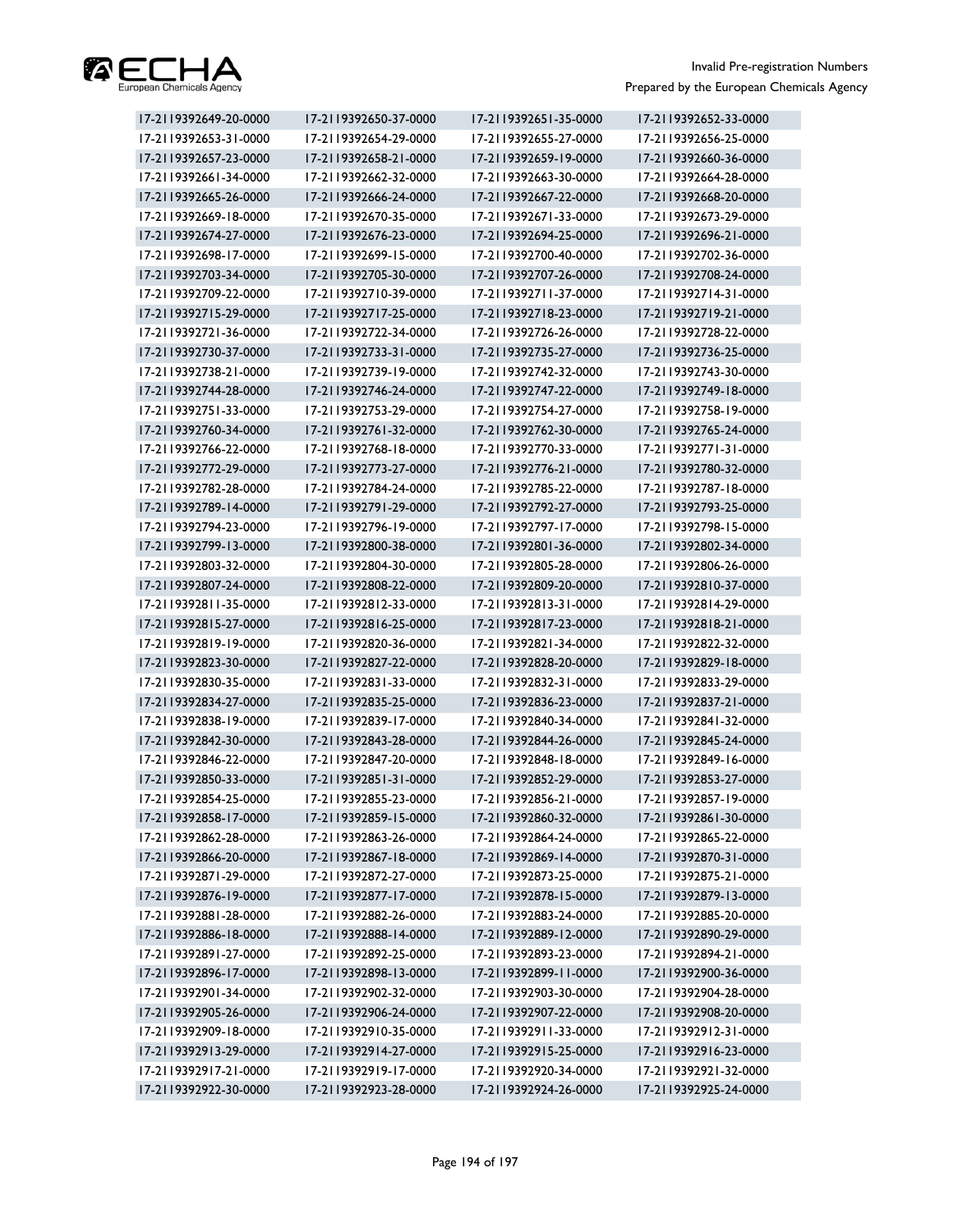

| 17-2119392649-20-0000 | 17-2119392650-37-0000 | 17-2119392651-35-0000 | 17-2119392652-33-0000 |
|-----------------------|-----------------------|-----------------------|-----------------------|
| 17-2119392653-31-0000 | 17-2119392654-29-0000 | 17-2119392655-27-0000 | 17-2119392656-25-0000 |
| 17-2119392657-23-0000 | 17-2119392658-21-0000 | 17-2119392659-19-0000 | 17-2119392660-36-0000 |
| 17-2119392661-34-0000 | 17-2119392662-32-0000 | 17-2119392663-30-0000 | 17-2119392664-28-0000 |
| 17-2119392665-26-0000 | 17-2119392666-24-0000 | 17-2119392667-22-0000 | 17-2119392668-20-0000 |
| 17-2119392669-18-0000 | 17-2119392670-35-0000 | 17-2119392671-33-0000 | 17-2119392673-29-0000 |
| 17-2119392674-27-0000 | 17-2119392676-23-0000 | 17-2119392694-25-0000 | 17-2119392696-21-0000 |
| 17-2119392698-17-0000 | 17-2119392699-15-0000 | 17-2119392700-40-0000 | 17-2119392702-36-0000 |
| 17-2119392703-34-0000 | 17-2119392705-30-0000 | 17-2119392707-26-0000 | 17-2119392708-24-0000 |
| 17-2119392709-22-0000 | 17-2119392710-39-0000 | 17-2119392711-37-0000 | 17-2119392714-31-0000 |
| 17-2119392715-29-0000 | 17-2119392717-25-0000 | 17-2119392718-23-0000 | 17-2119392719-21-0000 |
| 17-2119392721-36-0000 | 17-2119392722-34-0000 | 17-2119392726-26-0000 | 17-2119392728-22-0000 |
| 17-2119392730-37-0000 | 17-2119392733-31-0000 | 17-2119392735-27-0000 | 17-2119392736-25-0000 |
| 17-2119392738-21-0000 | 17-2119392739-19-0000 | 17-2119392742-32-0000 | 17-2119392743-30-0000 |
| 17-2119392744-28-0000 | 17-2119392746-24-0000 | 17-2119392747-22-0000 | 17-2119392749-18-0000 |
| 17-2119392751-33-0000 | 17-2119392753-29-0000 | 17-2119392754-27-0000 | 17-2119392758-19-0000 |
| 17-2119392760-34-0000 | 17-2119392761-32-0000 | 17-2119392762-30-0000 | 17-2119392765-24-0000 |
| 17-2119392766-22-0000 | 17-2119392768-18-0000 | 17-2119392770-33-0000 | 17-2119392771-31-0000 |
| 17-2119392772-29-0000 | 17-2119392773-27-0000 | 17-2119392776-21-0000 | 17-2119392780-32-0000 |
| 17-2119392782-28-0000 | 17-2119392784-24-0000 | 17-2119392785-22-0000 | 17-2119392787-18-0000 |
| 17-2119392789-14-0000 | 17-2119392791-29-0000 | 17-2119392792-27-0000 | 17-2119392793-25-0000 |
| 17-2119392794-23-0000 | 17-2119392796-19-0000 | 17-2119392797-17-0000 | 17-2119392798-15-0000 |
| 17-2119392799-13-0000 | 17-2119392800-38-0000 | 17-2119392801-36-0000 | 17-2119392802-34-0000 |
| 17-2119392803-32-0000 | 17-2119392804-30-0000 | 17-2119392805-28-0000 | 17-2119392806-26-0000 |
| 17-2119392807-24-0000 | 17-2119392808-22-0000 | 17-2119392809-20-0000 | 17-2119392810-37-0000 |
| 17-2119392811-35-0000 | 17-2119392812-33-0000 | 17-2119392813-31-0000 | 17-2119392814-29-0000 |
| 17-2119392815-27-0000 | 17-2119392816-25-0000 | 17-2119392817-23-0000 | 17-2119392818-21-0000 |
| 17-2119392819-19-0000 | 17-2119392820-36-0000 | 17-2119392821-34-0000 | 17-2119392822-32-0000 |
| 17-2119392823-30-0000 | 17-2119392827-22-0000 | 17-2119392828-20-0000 | 17-2119392829-18-0000 |
| 17-2119392830-35-0000 | 17-2119392831-33-0000 | 17-2119392832-31-0000 | 17-2119392833-29-0000 |
| 17-2119392834-27-0000 | 17-2119392835-25-0000 | 17-2119392836-23-0000 | 17-2119392837-21-0000 |
| 17-2119392838-19-0000 | 17-2119392839-17-0000 | 17-2119392840-34-0000 | 17-2119392841-32-0000 |
| 17-2119392842-30-0000 | 17-2119392843-28-0000 | 17-2119392844-26-0000 | 17-2119392845-24-0000 |
| 17-2119392846-22-0000 | 17-2119392847-20-0000 | 17-2119392848-18-0000 | 17-2119392849-16-0000 |
| 17-2119392850-33-0000 | 17-2119392851-31-0000 | 17-2119392852-29-0000 | 17-2119392853-27-0000 |
| 17-2119392854-25-0000 | 17-2119392855-23-0000 | 17-2119392856-21-0000 | 17-2119392857-19-0000 |
| 17-2119392858-17-0000 | 17-2119392859-15-0000 | 17-2119392860-32-0000 | 17-2119392861-30-0000 |
| 17-2119392862-28-0000 | 17-2119392863-26-0000 | 17-2119392864-24-0000 | 17-2119392865-22-0000 |
| 17-2119392866-20-0000 | 17-2119392867-18-0000 | 17-2119392869-14-0000 | 17-2119392870-31-0000 |
| 17-2119392871-29-0000 | 17-2119392872-27-0000 | 17-2119392873-25-0000 | 17-2119392875-21-0000 |
| 17-2119392876-19-0000 | 17-2119392877-17-0000 | 17-2119392878-15-0000 | 17-2119392879-13-0000 |
| 17-2119392881-28-0000 | 17-2119392882-26-0000 | 17-2119392883-24-0000 | 17-2119392885-20-0000 |
| 17-2119392886-18-0000 | 17-2119392888-14-0000 | 17-2119392889-12-0000 | 17-2119392890-29-0000 |
| 17-2119392891-27-0000 | 17-2119392892-25-0000 | 17-2119392893-23-0000 | 17-2119392894-21-0000 |
| 17-2119392896-17-0000 | 17-2119392898-13-0000 | 17-2119392899-11-0000 | 17-2119392900-36-0000 |
| 17-2119392901-34-0000 | 17-2119392902-32-0000 | 17-2119392903-30-0000 | 17-2119392904-28-0000 |
| 17-2119392905-26-0000 | 17-2119392906-24-0000 | 17-2119392907-22-0000 | 17-2119392908-20-0000 |
| 17-2119392909-18-0000 | 17-2119392910-35-0000 | 17-2119392911-33-0000 | 17-2119392912-31-0000 |
| 17-2119392913-29-0000 | 17-2119392914-27-0000 | 17-2119392915-25-0000 | 17-2119392916-23-0000 |
| 17-2119392917-21-0000 | 17-2119392919-17-0000 | 17-2119392920-34-0000 | 17-2119392921-32-0000 |
| 17-2119392922-30-0000 | 17-2119392923-28-0000 | 17-2119392924-26-0000 | 17-2119392925-24-0000 |
|                       |                       |                       |                       |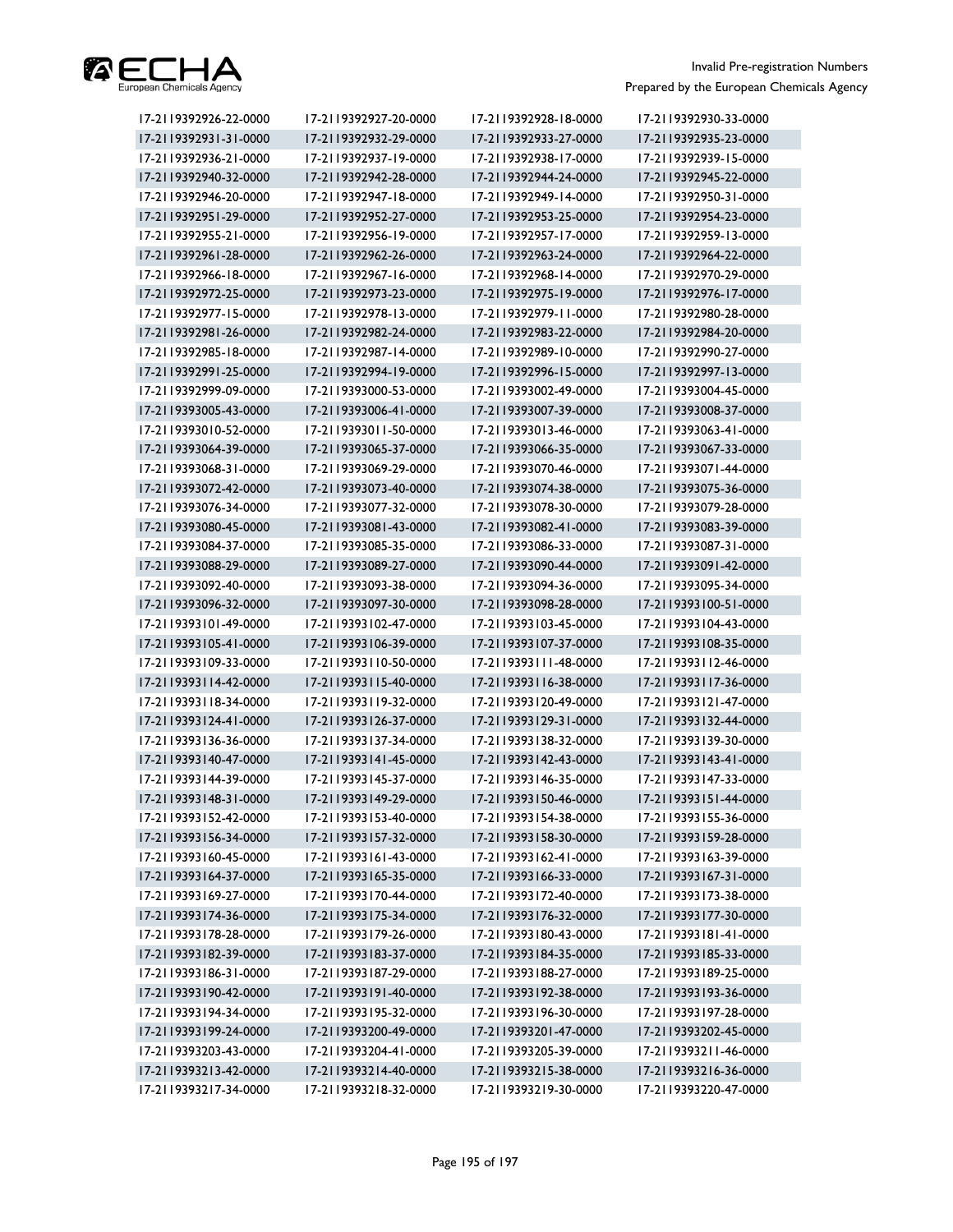

| 17-2119392926-22-0000 | 17-2119392927-20-0000 | 17-2119392928-18-0000 | 17-2119392930-33-0000 |
|-----------------------|-----------------------|-----------------------|-----------------------|
| 17-2119392931-31-0000 | 17-2119392932-29-0000 | 17-2119392933-27-0000 | 17-2119392935-23-0000 |
| 17-2119392936-21-0000 | 17-2119392937-19-0000 | 17-2119392938-17-0000 | 17-2119392939-15-0000 |
| 17-2119392940-32-0000 | 17-2119392942-28-0000 | 17-2119392944-24-0000 | 17-2119392945-22-0000 |
| 17-2119392946-20-0000 | 17-2119392947-18-0000 | 17-2119392949-14-0000 | 17-2119392950-31-0000 |
| 17-2119392951-29-0000 | 17-2119392952-27-0000 | 17-2119392953-25-0000 | 17-2119392954-23-0000 |
| 17-2119392955-21-0000 | 17-2119392956-19-0000 | 17-2119392957-17-0000 | 17-2119392959-13-0000 |
| 17-2119392961-28-0000 | 17-2119392962-26-0000 | 17-2119392963-24-0000 | 17-2119392964-22-0000 |
| 17-2119392966-18-0000 | 17-2119392967-16-0000 | 17-2119392968-14-0000 | 17-2119392970-29-0000 |
| 17-2119392972-25-0000 | 17-2119392973-23-0000 | 17-2119392975-19-0000 | 17-2119392976-17-0000 |
| 17-2119392977-15-0000 | 17-2119392978-13-0000 | 17-2119392979-11-0000 | 17-2119392980-28-0000 |
| 17-2119392981-26-0000 | 17-2119392982-24-0000 | 17-2119392983-22-0000 | 17-2119392984-20-0000 |
| 17-2119392985-18-0000 | 17-2119392987-14-0000 | 17-2119392989-10-0000 | 17-2119392990-27-0000 |
| 17-2119392991-25-0000 | 17-2119392994-19-0000 | 17-2119392996-15-0000 | 17-2119392997-13-0000 |
| 17-2119392999-09-0000 | 17-2119393000-53-0000 | 17-2119393002-49-0000 | 17-2119393004-45-0000 |
| 17-2119393005-43-0000 | 17-2119393006-41-0000 | 17-2119393007-39-0000 | 17-2119393008-37-0000 |
| 17-2119393010-52-0000 | 17-2119393011-50-0000 | 17-2119393013-46-0000 | 17-2119393063-41-0000 |
| 17-2119393064-39-0000 | 17-2119393065-37-0000 | 17-2119393066-35-0000 | 17-2119393067-33-0000 |
| 17-2119393068-31-0000 | 17-2119393069-29-0000 | 17-2119393070-46-0000 | 17-2119393071-44-0000 |
| 17-2119393072-42-0000 | 17-2119393073-40-0000 | 17-2119393074-38-0000 | 17-2119393075-36-0000 |
| 17-2119393076-34-0000 | 17-2119393077-32-0000 | 17-2119393078-30-0000 | 17-2119393079-28-0000 |
| 17-2119393080-45-0000 | 17-2119393081-43-0000 | 17-2119393082-41-0000 | 17-2119393083-39-0000 |
| 17-2119393084-37-0000 | 17-2119393085-35-0000 | 17-2119393086-33-0000 | 17-2119393087-31-0000 |
| 17-2119393088-29-0000 | 17-2119393089-27-0000 | 17-2119393090-44-0000 | 17-2119393091-42-0000 |
| 17-2119393092-40-0000 | 17-2119393093-38-0000 | 17-2119393094-36-0000 | 17-2119393095-34-0000 |
| 17-2119393096-32-0000 | 17-2119393097-30-0000 | 17-2119393098-28-0000 | 17-2119393100-51-0000 |
| 17-2119393101-49-0000 | 17-2119393102-47-0000 | 17-2119393103-45-0000 | 17-2119393104-43-0000 |
| 17-2119393105-41-0000 | 17-2119393106-39-0000 | 17-2119393107-37-0000 | 17-2119393108-35-0000 |
| 17-2119393109-33-0000 | 17-2119393110-50-0000 | 17-2119393111-48-0000 | 17-2119393112-46-0000 |
| 17-2119393114-42-0000 | 17-2119393115-40-0000 | 17-2119393116-38-0000 | 17-2119393117-36-0000 |
| 17-2119393118-34-0000 | 17-2119393119-32-0000 | 17-2119393120-49-0000 | 17-2119393121-47-0000 |
| 17-2119393124-41-0000 | 17-2119393126-37-0000 | 17-2119393129-31-0000 | 17-2119393132-44-0000 |
| 17-2119393136-36-0000 | 17-2119393137-34-0000 | 17-2119393138-32-0000 | 17-2119393139-30-0000 |
| 17-2119393140-47-0000 | 17-2119393141-45-0000 | 17-2119393142-43-0000 | 17-2119393143-41-0000 |
| 17-2119393144-39-0000 | 17-2119393145-37-0000 | 17-2119393146-35-0000 | 17-2119393147-33-0000 |
| 17-2119393148-31-0000 | 17-2119393149-29-0000 | 17-2119393150-46-0000 | 17-2119393151-44-0000 |
| 17-2119393152-42-0000 | 17-2119393153-40-0000 | 17-2119393154-38-0000 | 17-2119393155-36-0000 |
| 17-2119393156-34-0000 | 17-2119393157-32-0000 | 17-2119393158-30-0000 | 17-2119393159-28-0000 |
| 17-2119393160-45-0000 | 17-2119393161-43-0000 | 17-2119393162-41-0000 | 17-2119393163-39-0000 |
| 17-2119393164-37-0000 | 17-2119393165-35-0000 | 17-2119393166-33-0000 | 17-2119393167-31-0000 |
| 17-2119393169-27-0000 | 17-2119393170-44-0000 | 17-2119393172-40-0000 | 17-2119393173-38-0000 |
| 17-2119393174-36-0000 | 17-2119393175-34-0000 | 17-2119393176-32-0000 | 17-2119393177-30-0000 |
| 17-2119393178-28-0000 | 17-2119393179-26-0000 | 17-2119393180-43-0000 | 17-2119393181-41-0000 |
| 17-2119393182-39-0000 | 17-2119393183-37-0000 | 17-2119393184-35-0000 | 17-2119393185-33-0000 |
| 17-2119393186-31-0000 | 17-2119393187-29-0000 | 17-2119393188-27-0000 | 17-2119393189-25-0000 |
| 17-2119393190-42-0000 | 17-2119393191-40-0000 | 17-2119393192-38-0000 | 17-2119393193-36-0000 |
| 17-2119393194-34-0000 | 17-2119393195-32-0000 | 17-2119393196-30-0000 | 17-2119393197-28-0000 |
| 17-2119393199-24-0000 | 17-2119393200-49-0000 | 17-2119393201-47-0000 | 17-2119393202-45-0000 |
| 17-2119393203-43-0000 | 17-2119393204-41-0000 | 17-2119393205-39-0000 | 17-2119393211-46-0000 |
| 17-2119393213-42-0000 | 17-2119393214-40-0000 | 17-2119393215-38-0000 | 17-2119393216-36-0000 |
| 17-2119393217-34-0000 | 17-2119393218-32-0000 | 17-2119393219-30-0000 | 17-2119393220-47-0000 |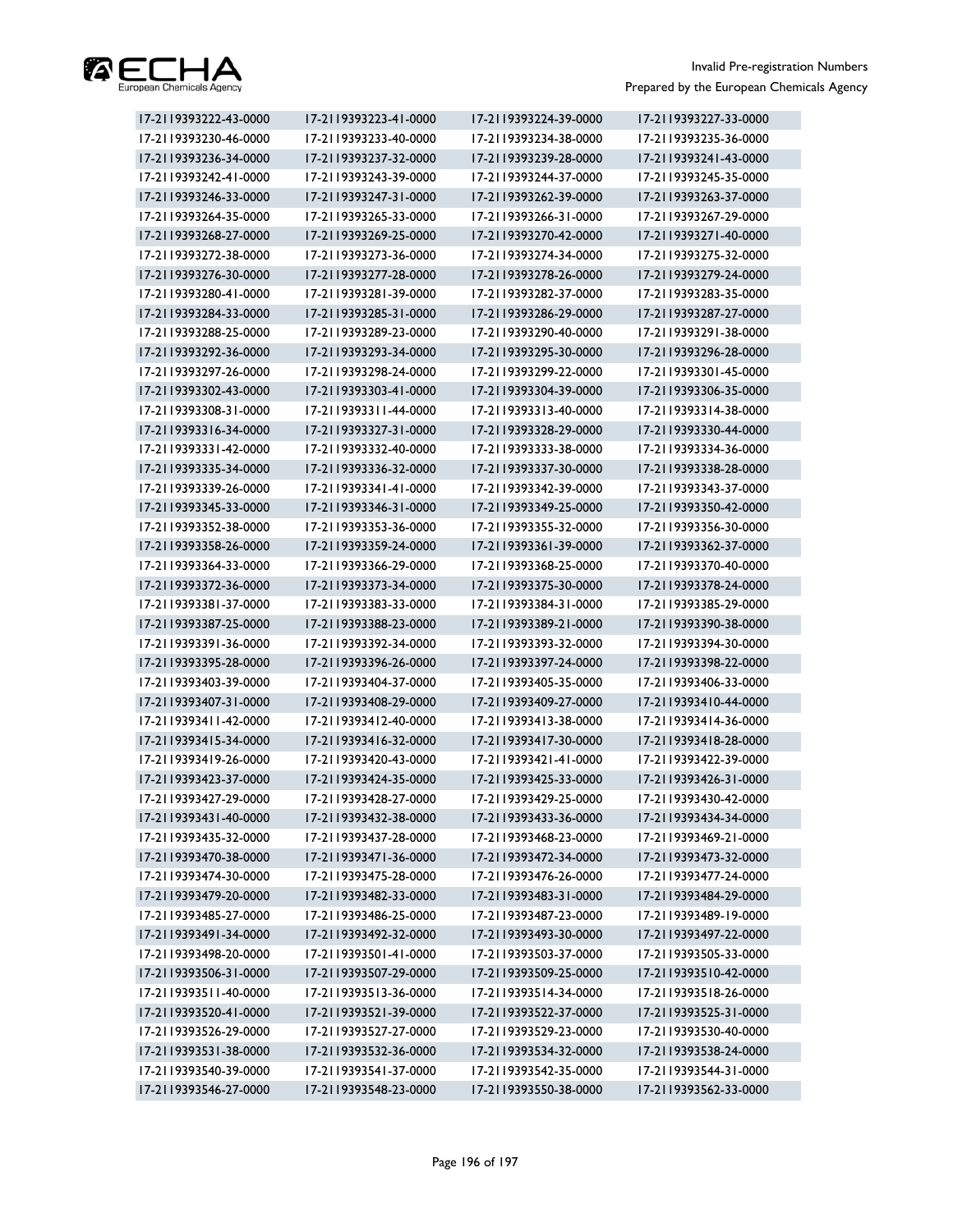

| 17-2119393222-43-0000 | 17-2119393223-41-0000 | 17-2119393224-39-0000 | 17-2119393227-33-0000 |
|-----------------------|-----------------------|-----------------------|-----------------------|
| 17-2119393230-46-0000 | 17-2119393233-40-0000 | 17-2119393234-38-0000 | 17-2119393235-36-0000 |
| 17-2119393236-34-0000 | 17-2119393237-32-0000 | 17-2119393239-28-0000 | 17-2119393241-43-0000 |
| 17-2119393242-41-0000 | 17-2119393243-39-0000 | 17-2119393244-37-0000 | 17-2119393245-35-0000 |
| 17-2119393246-33-0000 | 17-2119393247-31-0000 | 17-2119393262-39-0000 | 17-2119393263-37-0000 |
| 17-2119393264-35-0000 | 17-2119393265-33-0000 | 17-2119393266-31-0000 | 17-2119393267-29-0000 |
| 17-2119393268-27-0000 | 17-2119393269-25-0000 | 17-2119393270-42-0000 | 17-2119393271-40-0000 |
| 17-2119393272-38-0000 | 17-2119393273-36-0000 | 17-2119393274-34-0000 | 17-2119393275-32-0000 |
| 17-2119393276-30-0000 | 17-2119393277-28-0000 | 17-2119393278-26-0000 | 17-2119393279-24-0000 |
| 17-2119393280-41-0000 | 17-2119393281-39-0000 | 17-2119393282-37-0000 | 17-2119393283-35-0000 |
| 17-2119393284-33-0000 | 17-2119393285-31-0000 | 17-2119393286-29-0000 | 17-2119393287-27-0000 |
| 17-2119393288-25-0000 | 17-2119393289-23-0000 | 17-2119393290-40-0000 | 17-2119393291-38-0000 |
| 17-2119393292-36-0000 | 17-2119393293-34-0000 | 17-2119393295-30-0000 | 17-2119393296-28-0000 |
| 17-2119393297-26-0000 | 17-2119393298-24-0000 | 17-2119393299-22-0000 | 17-2119393301-45-0000 |
| 17-2119393302-43-0000 | 17-2119393303-41-0000 | 17-2119393304-39-0000 | 17-2119393306-35-0000 |
| 17-2119393308-31-0000 | 17-2119393311-44-0000 | 17-2119393313-40-0000 | 17-2119393314-38-0000 |
| 17-2119393316-34-0000 | 17-2119393327-31-0000 | 17-2119393328-29-0000 | 17-2119393330-44-0000 |
| 17-2119393331-42-0000 | 17-2119393332-40-0000 | 17-2119393333-38-0000 | 17-2119393334-36-0000 |
| 17-2119393335-34-0000 | 17-2119393336-32-0000 | 17-2119393337-30-0000 | 17-2119393338-28-0000 |
| 17-2119393339-26-0000 | 17-2119393341-41-0000 | 17-2119393342-39-0000 | 17-2119393343-37-0000 |
| 17-2119393345-33-0000 | 17-2119393346-31-0000 | 17-2119393349-25-0000 | 17-2119393350-42-0000 |
| 17-2119393352-38-0000 | 17-2119393353-36-0000 | 17-2119393355-32-0000 | 17-2119393356-30-0000 |
| 17-2119393358-26-0000 | 17-2119393359-24-0000 | 17-2119393361-39-0000 | 17-2119393362-37-0000 |
| 17-2119393364-33-0000 | 17-2119393366-29-0000 | 17-2119393368-25-0000 | 17-2119393370-40-0000 |
| 17-2119393372-36-0000 | 17-2119393373-34-0000 | 17-2119393375-30-0000 | 17-2119393378-24-0000 |
| 17-2119393381-37-0000 | 17-2119393383-33-0000 | 17-2119393384-31-0000 | 17-2119393385-29-0000 |
| 17-2119393387-25-0000 | 17-2119393388-23-0000 | 17-2119393389-21-0000 | 17-2119393390-38-0000 |
| 17-2119393391-36-0000 | 17-2119393392-34-0000 | 17-2119393393-32-0000 | 17-2119393394-30-0000 |
| 17-2119393395-28-0000 | 17-2119393396-26-0000 | 17-2119393397-24-0000 | 17-2119393398-22-0000 |
| 17-2119393403-39-0000 | 17-2119393404-37-0000 | 17-2119393405-35-0000 | 17-2119393406-33-0000 |
| 17-2119393407-31-0000 | 17-2119393408-29-0000 | 17-2119393409-27-0000 | 17-2119393410-44-0000 |
| 17-2119393411-42-0000 | 17-2119393412-40-0000 | 17-2119393413-38-0000 | 17-2119393414-36-0000 |
| 17-2119393415-34-0000 | 17-2119393416-32-0000 | 17-2119393417-30-0000 | 17-2119393418-28-0000 |
| 17-2119393419-26-0000 | 17-2119393420-43-0000 | 17-2119393421-41-0000 | 17-2119393422-39-0000 |
| 17-2119393423-37-0000 | 17-2119393424-35-0000 | 17-2119393425-33-0000 | 17-2119393426-31-0000 |
| 17-2119393427-29-0000 | 17-2119393428-27-0000 | 17-2119393429-25-0000 | 17-2119393430-42-0000 |
| 17-2119393431-40-0000 | 17-2119393432-38-0000 | 17-2119393433-36-0000 | 17-2119393434-34-0000 |
| 17-2119393435-32-0000 | 17-2119393437-28-0000 | 17-2119393468-23-0000 | 17-2119393469-21-0000 |
| 17-2119393470-38-0000 | 17-2119393471-36-0000 | 17-2119393472-34-0000 | 17-2119393473-32-0000 |
| 17-2119393474-30-0000 | 17-2119393475-28-0000 | 17-2119393476-26-0000 | 17-2119393477-24-0000 |
| 17-2119393479-20-0000 | 17-2119393482-33-0000 | 17-2119393483-31-0000 | 17-2119393484-29-0000 |
| 17-2119393485-27-0000 | 17-2119393486-25-0000 | 17-2119393487-23-0000 | 17-2119393489-19-0000 |
| 17-2119393491-34-0000 | 17-2119393492-32-0000 | 17-2119393493-30-0000 | 17-2119393497-22-0000 |
| 17-2119393498-20-0000 | 17-2119393501-41-0000 | 17-2119393503-37-0000 | 17-2119393505-33-0000 |
| 17-2119393506-31-0000 | 17-2119393507-29-0000 | 17-2119393509-25-0000 | 17-2119393510-42-0000 |
| 17-2119393511-40-0000 | 17-2119393513-36-0000 | 17-2119393514-34-0000 | 17-2119393518-26-0000 |
| 17-2119393520-41-0000 | 17-2119393521-39-0000 | 17-2119393522-37-0000 | 17-2119393525-31-0000 |
| 17-2119393526-29-0000 | 17-2119393527-27-0000 | 17-2119393529-23-0000 | 17-2119393530-40-0000 |
| 17-2119393531-38-0000 | 17-2119393532-36-0000 | 17-2119393534-32-0000 | 17-2119393538-24-0000 |
| 17-2119393540-39-0000 | 17-2119393541-37-0000 | 17-2119393542-35-0000 | 17-2119393544-31-0000 |
| 17-2119393546-27-0000 | 17-2119393548-23-0000 | 17-2119393550-38-0000 | 17-2119393562-33-0000 |